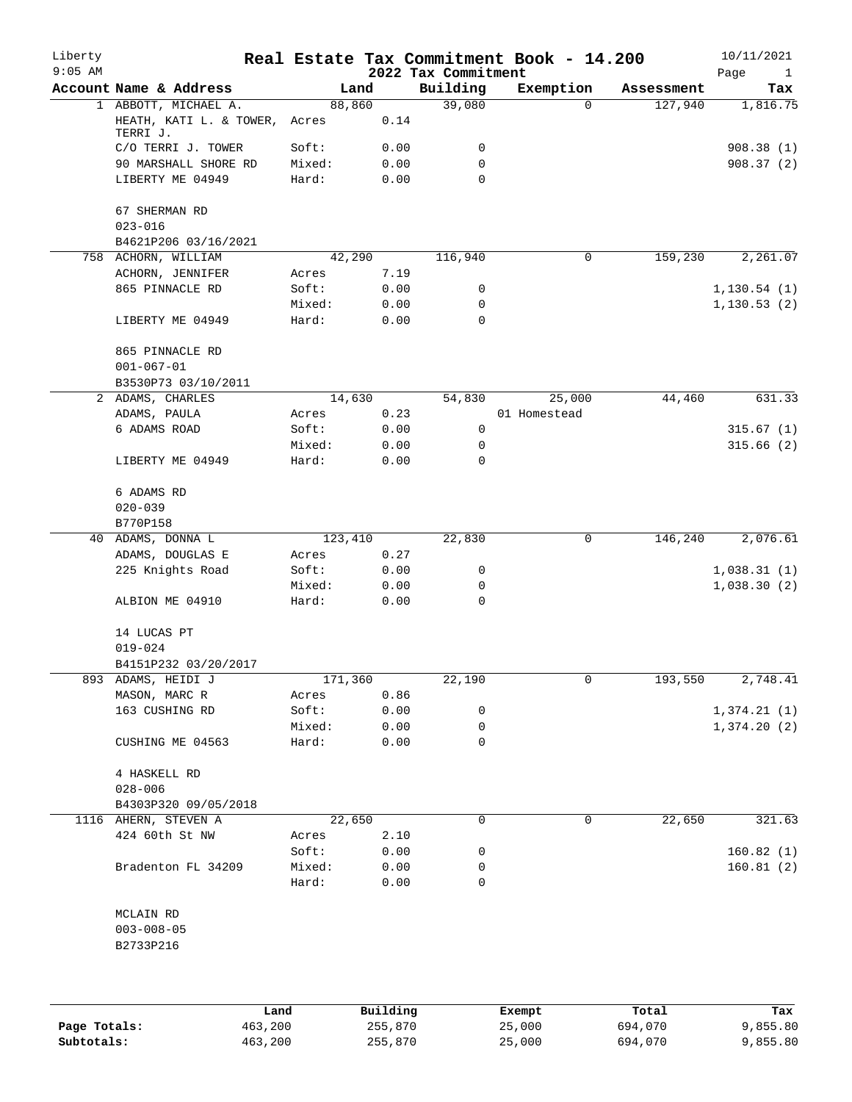| Liberty<br>$9:05$ AM |                                            |        |         | 2022 Tax Commitment | Real Estate Tax Commitment Book - 14.200 |            | 10/11/2021<br>Page<br>$\mathbf{1}$ |
|----------------------|--------------------------------------------|--------|---------|---------------------|------------------------------------------|------------|------------------------------------|
|                      | Account Name & Address                     |        | Land    | Building            | Exemption                                | Assessment | Tax                                |
|                      | 1 ABBOTT, MICHAEL A.                       |        | 88,860  | 39,080              | $\Omega$                                 | 127,940    | 1,816.75                           |
|                      | HEATH, KATI L. & TOWER,<br>TERRI J.        | Acres  | 0.14    |                     |                                          |            |                                    |
|                      | C/O TERRI J. TOWER                         | Soft:  | 0.00    | 0                   |                                          |            | 908.38(1)                          |
|                      | 90 MARSHALL SHORE RD                       | Mixed: | 0.00    | 0                   |                                          |            | 908.37(2)                          |
|                      | LIBERTY ME 04949                           | Hard:  | 0.00    | $\Omega$            |                                          |            |                                    |
|                      | 67 SHERMAN RD<br>$023 - 016$               |        |         |                     |                                          |            |                                    |
|                      | B4621P206 03/16/2021                       |        |         |                     |                                          |            |                                    |
|                      | 758 ACHORN, WILLIAM                        |        | 42,290  | 116,940             | 0                                        | 159,230    | 2,261.07                           |
|                      | ACHORN, JENNIFER                           | Acres  | 7.19    |                     |                                          |            |                                    |
|                      | 865 PINNACLE RD                            | Soft:  | 0.00    | 0                   |                                          |            | 1,130.54(1)                        |
|                      |                                            | Mixed: | 0.00    | 0                   |                                          |            | 1, 130.53(2)                       |
|                      | LIBERTY ME 04949                           | Hard:  | 0.00    | 0                   |                                          |            |                                    |
|                      | 865 PINNACLE RD<br>$001 - 067 - 01$        |        |         |                     |                                          |            |                                    |
|                      | B3530P73 03/10/2011                        |        |         |                     |                                          |            |                                    |
|                      | 2 ADAMS, CHARLES                           |        | 14,630  | 54,830              | 25,000                                   | 44,460     | 631.33                             |
|                      | ADAMS, PAULA                               | Acres  | 0.23    |                     | 01 Homestead                             |            |                                    |
|                      | 6 ADAMS ROAD                               | Soft:  | 0.00    | 0                   |                                          |            | 315.67(1)                          |
|                      |                                            | Mixed: | 0.00    | 0                   |                                          |            | 315.66(2)                          |
|                      | LIBERTY ME 04949                           | Hard:  | 0.00    | 0                   |                                          |            |                                    |
|                      | 6 ADAMS RD<br>$020 - 039$                  |        |         |                     |                                          |            |                                    |
|                      | B770P158                                   |        |         |                     |                                          |            |                                    |
| 40                   | ADAMS, DONNA L                             |        | 123,410 | 22,830              | 0                                        | 146,240    | 2,076.61                           |
|                      |                                            |        |         |                     |                                          |            |                                    |
|                      | ADAMS, DOUGLAS E                           | Acres  | 0.27    |                     |                                          |            |                                    |
|                      | 225 Knights Road                           | Soft:  | 0.00    | 0                   |                                          |            | 1,038.31(1)                        |
|                      |                                            | Mixed: | 0.00    | 0                   |                                          |            | 1,038.30(2)                        |
|                      | ALBION ME 04910                            | Hard:  | 0.00    | 0                   |                                          |            |                                    |
|                      | 14 LUCAS PT                                |        |         |                     |                                          |            |                                    |
|                      | $019 - 024$                                |        |         |                     |                                          |            |                                    |
|                      | B4151P232 03/20/2017                       |        |         |                     |                                          |            |                                    |
|                      | 893 ADAMS, HEIDI J                         |        | 171,360 | 22,190              | 0                                        | 193,550    | 2,748.41                           |
|                      | MASON, MARC R                              | Acres  | 0.86    |                     |                                          |            |                                    |
|                      | 163 CUSHING RD                             | Soft:  | 0.00    | 0                   |                                          |            | 1,374.21(1)                        |
|                      |                                            | Mixed: | 0.00    | 0                   |                                          |            | 1,374.20(2)                        |
|                      | CUSHING ME 04563                           | Hard:  | 0.00    | 0                   |                                          |            |                                    |
|                      | 4 HASKELL RD<br>$028 - 006$                |        |         |                     |                                          |            |                                    |
|                      | B4303P320 09/05/2018                       |        |         |                     |                                          |            |                                    |
|                      | 1116 AHERN, STEVEN A                       |        | 22,650  | 0                   | 0                                        | 22,650     | 321.63                             |
|                      | 424 60th St NW                             | Acres  | 2.10    |                     |                                          |            |                                    |
|                      |                                            | Soft:  | 0.00    | 0                   |                                          |            | 160.82(1)                          |
|                      | Bradenton FL 34209                         | Mixed: | 0.00    | 0                   |                                          |            | 160.81(2)                          |
|                      |                                            | Hard:  | 0.00    | 0                   |                                          |            |                                    |
|                      | MCLAIN RD<br>$003 - 008 - 05$<br>B2733P216 |        |         |                     |                                          |            |                                    |
|                      |                                            |        |         |                     |                                          |            |                                    |
|                      |                                            |        |         |                     |                                          |            |                                    |
|                      |                                            |        |         |                     |                                          |            |                                    |

|              | úand    | Building | Exempt | Total   | Tax      |
|--------------|---------|----------|--------|---------|----------|
| Page Totals: | 463,200 | 255,870  | 25,000 | 694,070 | 9,855.80 |
| Subtotals:   | 463,200 | 255,870  | 25,000 | 694,070 | 9,855.80 |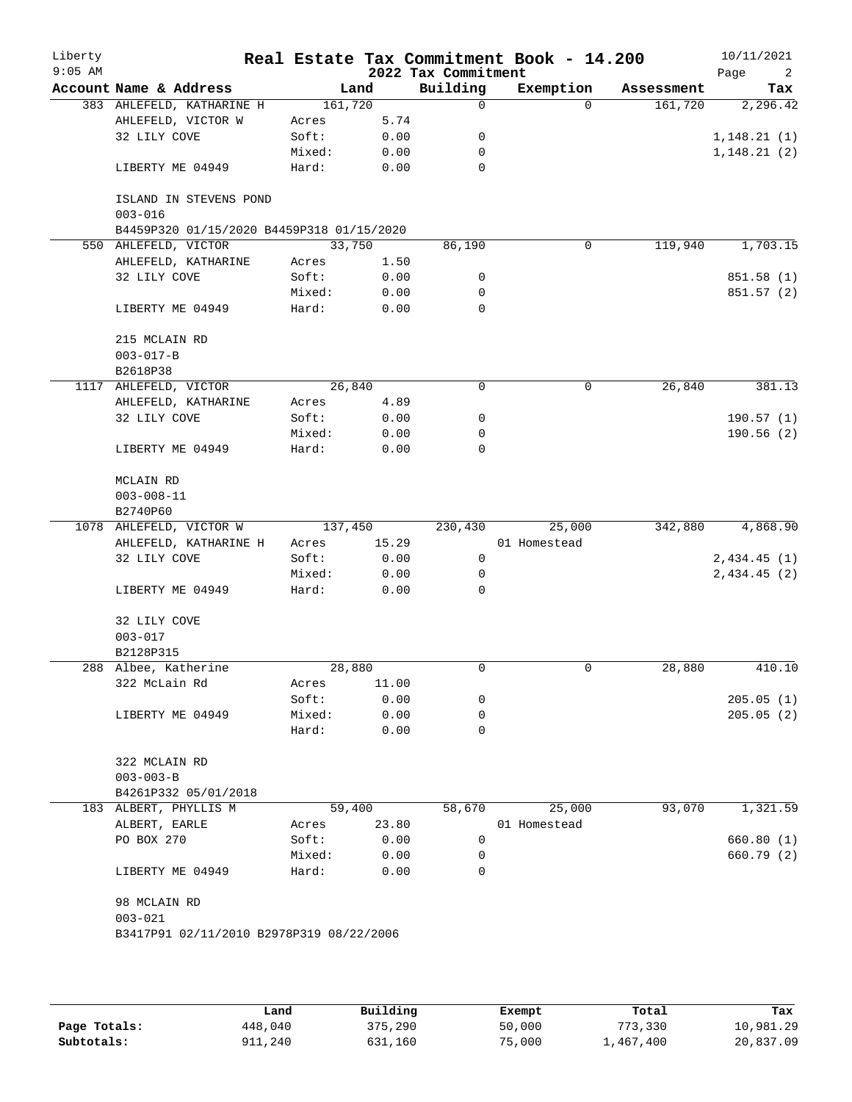| Liberty<br>$9:05$ AM |                                                          |                 |              | 2022 Tax Commitment | Real Estate Tax Commitment Book - 14.200 |            | 10/11/2021<br>Page<br>2 |
|----------------------|----------------------------------------------------------|-----------------|--------------|---------------------|------------------------------------------|------------|-------------------------|
|                      | Account Name & Address                                   |                 | Land         | Building            | Exemption                                | Assessment | Tax                     |
|                      | 383 AHLEFELD, KATHARINE H                                | 161,720         |              | 0                   | $\Omega$                                 | 161,720    | 2, 296.42               |
|                      | AHLEFELD, VICTOR W                                       | Acres           | 5.74         |                     |                                          |            |                         |
|                      | 32 LILY COVE                                             | Soft:           | 0.00         | 0                   |                                          |            | 1,148.21(1)             |
|                      |                                                          | Mixed:          | 0.00         | 0                   |                                          |            | 1,148.21(2)             |
|                      | LIBERTY ME 04949                                         | Hard:           | 0.00         | 0                   |                                          |            |                         |
|                      | ISLAND IN STEVENS POND                                   |                 |              |                     |                                          |            |                         |
|                      | $003 - 016$<br>B4459P320 01/15/2020 B4459P318 01/15/2020 |                 |              |                     |                                          |            |                         |
|                      | 550 AHLEFELD, VICTOR                                     | 33,750          |              | 86,190              | 0                                        | 119,940    | 1,703.15                |
|                      | AHLEFELD, KATHARINE                                      | Acres           | 1.50         |                     |                                          |            |                         |
|                      | 32 LILY COVE                                             | Soft:           | 0.00         | 0                   |                                          |            | 851.58 (1)              |
|                      |                                                          |                 |              | 0                   |                                          |            |                         |
|                      | LIBERTY ME 04949                                         | Mixed:<br>Hard: | 0.00<br>0.00 | $\Omega$            |                                          |            | 851.57 (2)              |
|                      | 215 MCLAIN RD                                            |                 |              |                     |                                          |            |                         |
|                      | $003 - 017 - B$                                          |                 |              |                     |                                          |            |                         |
|                      | B2618P38                                                 |                 |              |                     |                                          |            |                         |
|                      | 1117 AHLEFELD, VICTOR                                    |                 | 26,840       | 0                   | 0                                        | 26,840     | 381.13                  |
|                      | AHLEFELD, KATHARINE                                      |                 | 4.89         |                     |                                          |            |                         |
|                      |                                                          | Acres           |              |                     |                                          |            |                         |
|                      | 32 LILY COVE                                             | Soft:           | 0.00         | 0                   |                                          |            | 190.57(1)               |
|                      | LIBERTY ME 04949                                         | Mixed:<br>Hard: | 0.00<br>0.00 | 0<br>0              |                                          |            | 190.56(2)               |
|                      |                                                          |                 |              |                     |                                          |            |                         |
|                      | MCLAIN RD                                                |                 |              |                     |                                          |            |                         |
|                      | $003 - 008 - 11$                                         |                 |              |                     |                                          |            |                         |
|                      | B2740P60                                                 |                 |              |                     |                                          |            |                         |
|                      | 1078 AHLEFELD, VICTOR W                                  | 137,450         |              | 230,430             | 25,000                                   | 342,880    | 4,868.90                |
|                      | AHLEFELD, KATHARINE H                                    | Acres           | 15.29        |                     | 01 Homestead                             |            |                         |
|                      | 32 LILY COVE                                             | Soft:           | 0.00         | 0                   |                                          |            | 2,434.45(1)             |
|                      |                                                          | Mixed:          | 0.00         | 0                   |                                          |            | 2,434.45(2)             |
|                      | LIBERTY ME 04949                                         | Hard:           | 0.00         | 0                   |                                          |            |                         |
|                      | 32 LILY COVE                                             |                 |              |                     |                                          |            |                         |
|                      | $003 - 017$                                              |                 |              |                     |                                          |            |                         |
|                      | B2128P315                                                |                 |              |                     |                                          |            |                         |
|                      | 288 Albee, Katherine                                     | 28,880          |              | 0                   | $\mathbf 0$                              | 28,880     | 410.10                  |
|                      | 322 McLain Rd                                            | Acres           | 11.00        |                     |                                          |            |                         |
|                      |                                                          | Soft:           | 0.00         | 0                   |                                          |            | 205.05(1)               |
|                      | LIBERTY ME 04949                                         | Mixed:          | 0.00         | 0                   |                                          |            | 205.05(2)               |
|                      |                                                          | Hard:           | 0.00         | $\Omega$            |                                          |            |                         |
|                      | 322 MCLAIN RD                                            |                 |              |                     |                                          |            |                         |
|                      | $003 - 003 - B$                                          |                 |              |                     |                                          |            |                         |
|                      | B4261P332 05/01/2018                                     |                 |              |                     |                                          |            |                         |
|                      | 183 ALBERT, PHYLLIS M                                    | 59,400          |              | 58,670              | 25,000                                   | 93,070     | 1,321.59                |
|                      | ALBERT, EARLE                                            | Acres           | 23.80        |                     | 01 Homestead                             |            |                         |
|                      | PO BOX 270                                               | Soft:           | 0.00         | 0                   |                                          |            | 660.80 (1)              |
|                      |                                                          | Mixed:          | 0.00         | 0                   |                                          |            | 660.79 (2)              |
|                      | LIBERTY ME 04949                                         | Hard:           | 0.00         | $\Omega$            |                                          |            |                         |
|                      | 98 MCLAIN RD                                             |                 |              |                     |                                          |            |                         |
|                      | $003 - 021$                                              |                 |              |                     |                                          |            |                         |
|                      | B3417P91 02/11/2010 B2978P319 08/22/2006                 |                 |              |                     |                                          |            |                         |
|                      |                                                          |                 |              |                     |                                          |            |                         |
|                      |                                                          |                 |              |                     |                                          |            |                         |

|              | Land    | Building | Exempt | Total     | Tax       |
|--------------|---------|----------|--------|-----------|-----------|
| Page Totals: | 448,040 | 375,290  | 50,000 | 773,330   | 10,981.29 |
| Subtotals:   | 111,240 | 631,160  | 75,000 | .,467,400 | 20,837.09 |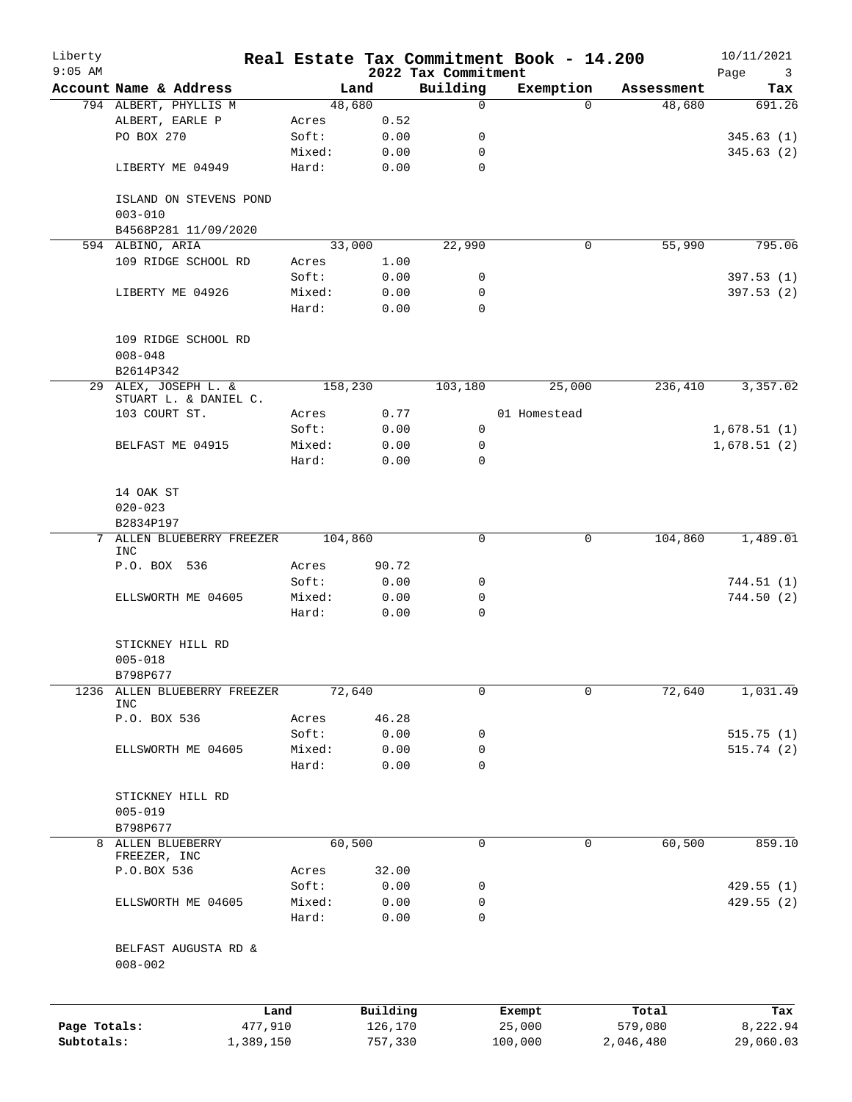| Liberty<br>$9:05$ AM |                                               |                |               | 2022 Tax Commitment | Real Estate Tax Commitment Book - 14.200 |            | 10/11/2021<br>Page<br>3 |
|----------------------|-----------------------------------------------|----------------|---------------|---------------------|------------------------------------------|------------|-------------------------|
|                      | Account Name & Address                        |                | Land          | Building            | Exemption                                | Assessment | Tax                     |
|                      | 794 ALBERT, PHYLLIS M                         |                | 48,680        | 0                   | $\Omega$                                 | 48,680     | 691.26                  |
|                      | ALBERT, EARLE P                               | Acres          | 0.52          |                     |                                          |            |                         |
|                      | PO BOX 270                                    | Soft:          | 0.00          | 0                   |                                          |            | 345.63(1)               |
|                      |                                               | Mixed:         | 0.00          | 0                   |                                          |            | 345.63(2)               |
|                      | LIBERTY ME 04949                              | Hard:          | 0.00          | $\mathbf 0$         |                                          |            |                         |
|                      | ISLAND ON STEVENS POND<br>$003 - 010$         |                |               |                     |                                          |            |                         |
|                      | B4568P281 11/09/2020                          |                |               |                     |                                          |            |                         |
|                      | 594 ALBINO, ARIA                              |                | 33,000        | 22,990              | 0                                        | 55,990     | 795.06                  |
|                      | 109 RIDGE SCHOOL RD                           | Acres          | 1.00          |                     |                                          |            |                         |
|                      |                                               | Soft:          | 0.00          | 0                   |                                          |            | 397.53(1)               |
|                      | LIBERTY ME 04926                              | Mixed:         | 0.00          | 0                   |                                          |            | 397.53 (2)              |
|                      |                                               | Hard:          | 0.00          | $\mathbf 0$         |                                          |            |                         |
|                      | 109 RIDGE SCHOOL RD                           |                |               |                     |                                          |            |                         |
|                      | $008 - 048$<br>B2614P342                      |                |               |                     |                                          |            |                         |
|                      | 29 ALEX, JOSEPH L. &<br>STUART L. & DANIEL C. |                | 158,230       | 103,180             | 25,000                                   | 236,410    | 3,357.02                |
|                      | 103 COURT ST.                                 | Acres          | 0.77          |                     | 01 Homestead                             |            |                         |
|                      |                                               | Soft:          | 0.00          | 0                   |                                          |            | 1,678.51(1)             |
|                      | BELFAST ME 04915                              | Mixed:         | 0.00          | 0                   |                                          |            | 1,678.51(2)             |
|                      |                                               | Hard:          | 0.00          | $\Omega$            |                                          |            |                         |
|                      |                                               |                |               |                     |                                          |            |                         |
|                      | 14 OAK ST                                     |                |               |                     |                                          |            |                         |
|                      | $020 - 023$                                   |                |               |                     |                                          |            |                         |
|                      | B2834P197                                     |                |               |                     |                                          |            |                         |
| 7                    | ALLEN BLUEBERRY FREEZER                       |                | 104,860       | 0                   | 0                                        | 104,860    | 1,489.01                |
|                      | <b>INC</b><br>P.O. BOX 536                    |                |               |                     |                                          |            |                         |
|                      |                                               | Acres<br>Soft: | 90.72<br>0.00 | 0                   |                                          |            | 744.51 (1)              |
|                      | ELLSWORTH ME 04605                            | Mixed:         | 0.00          | 0                   |                                          |            | 744.50(2)               |
|                      |                                               | Hard:          | 0.00          | 0                   |                                          |            |                         |
|                      |                                               |                |               |                     |                                          |            |                         |
|                      | STICKNEY HILL RD                              |                |               |                     |                                          |            |                         |
|                      | $005 - 018$                                   |                |               |                     |                                          |            |                         |
|                      | B798P677                                      |                |               |                     |                                          |            |                         |
| 1236                 | ALLEN BLUEBERRY FREEZER                       |                | 72,640        | 0                   | 0                                        | 72,640     | 1,031.49                |
|                      | <b>INC</b>                                    |                |               |                     |                                          |            |                         |
|                      | P.O. BOX 536                                  | Acres          | 46.28         |                     |                                          |            |                         |
|                      |                                               | Soft:          | 0.00          | 0                   |                                          |            | 515.75(1)               |
|                      | ELLSWORTH ME 04605                            | Mixed:         | 0.00          | 0                   |                                          |            | 515.74(2)               |
|                      |                                               | Hard:          | 0.00          | 0                   |                                          |            |                         |
|                      | STICKNEY HILL RD                              |                |               |                     |                                          |            |                         |
|                      | $005 - 019$                                   |                |               |                     |                                          |            |                         |
|                      | B798P677                                      |                |               |                     |                                          |            |                         |
| 8                    | ALLEN BLUEBERRY                               |                | 60,500        | 0                   | 0                                        | 60,500     | 859.10                  |
|                      | FREEZER, INC                                  |                |               |                     |                                          |            |                         |
|                      | P.O.BOX 536                                   | Acres          | 32.00         |                     |                                          |            |                         |
|                      |                                               | Soft:          | 0.00          | 0                   |                                          |            | 429.55(1)               |
|                      | ELLSWORTH ME 04605                            | Mixed:         | 0.00          | 0                   |                                          |            | 429.55 (2)              |
|                      |                                               | Hard:          | 0.00          | 0                   |                                          |            |                         |
|                      | BELFAST AUGUSTA RD &<br>$008 - 002$           |                |               |                     |                                          |            |                         |
|                      |                                               |                |               |                     |                                          |            |                         |
|                      | Land                                          |                | Building      |                     | Exempt                                   | Total      | Tax                     |
| Page Totals:         | 477,910                                       |                | 126,170       |                     | 25,000                                   | 579,080    | 8,222.94                |
| Subtotals:           | 1,389,150                                     |                | 757,330       |                     | 100,000                                  | 2,046,480  | 29,060.03               |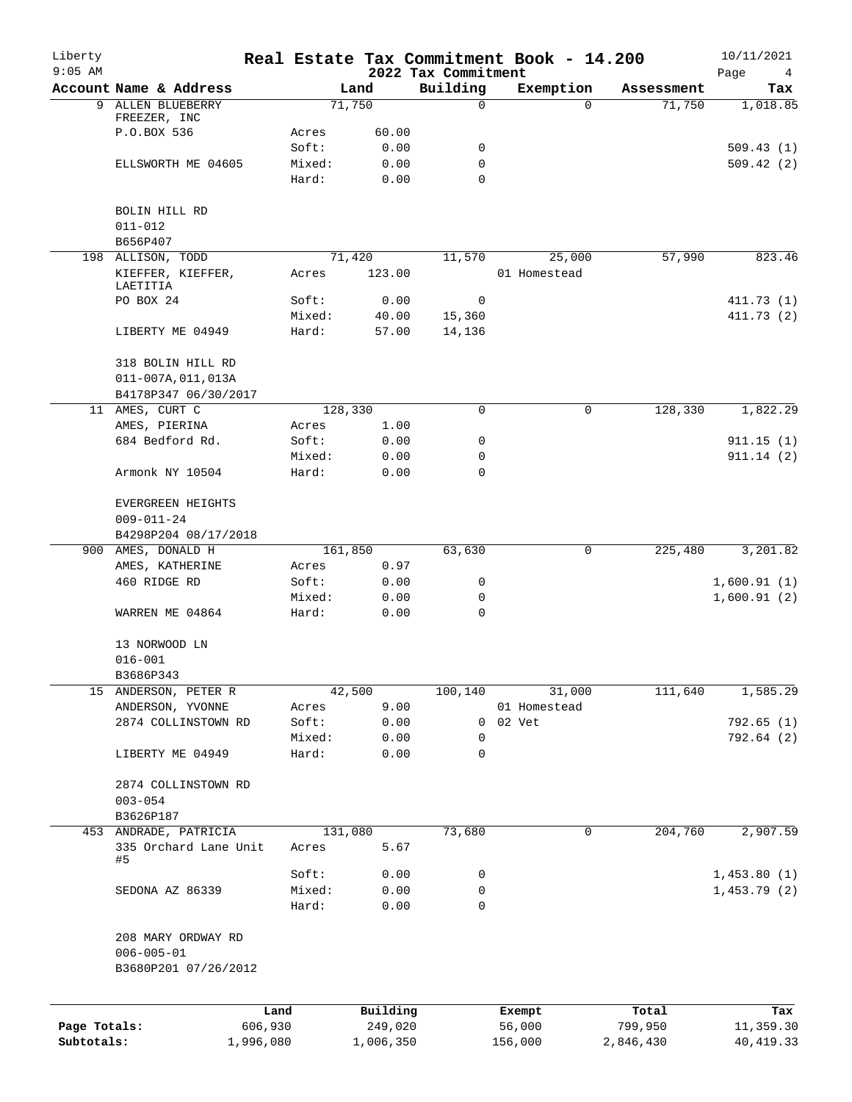| Liberty<br>$9:05$ AM |                                                |                 |                 |                     | 2022 Tax Commitment | Real Estate Tax Commitment Book - 14.200 |                    | 10/11/2021<br>Page<br>4 |
|----------------------|------------------------------------------------|-----------------|-----------------|---------------------|---------------------|------------------------------------------|--------------------|-------------------------|
|                      | Account Name & Address                         |                 |                 | Land                | Building            | Exemption                                | Assessment         | Tax                     |
| 9                    | ALLEN BLUEBERRY                                |                 |                 | 71,750              | 0                   |                                          | 71,750<br>$\Omega$ | 1,018.85                |
|                      | FREEZER, INC                                   |                 |                 |                     |                     |                                          |                    |                         |
|                      | P.O.BOX 536                                    |                 | Acres           | 60.00               |                     |                                          |                    |                         |
|                      |                                                |                 | Soft:           | 0.00                | 0                   |                                          |                    | 509.43(1)               |
|                      | ELLSWORTH ME 04605                             |                 | Mixed:<br>Hard: | 0.00                | 0<br>0              |                                          |                    | 509.42(2)               |
|                      |                                                |                 |                 | 0.00                |                     |                                          |                    |                         |
|                      | BOLIN HILL RD                                  |                 |                 |                     |                     |                                          |                    |                         |
|                      | $011 - 012$                                    |                 |                 |                     |                     |                                          |                    |                         |
|                      | B656P407                                       |                 |                 |                     |                     |                                          |                    |                         |
|                      | 198 ALLISON, TODD                              |                 |                 | 71,420              | 11,570              | 25,000                                   | 57,990             | 823.46                  |
|                      | KIEFFER, KIEFFER,                              |                 | Acres           | 123.00              |                     | 01 Homestead                             |                    |                         |
|                      | LAETITIA                                       |                 |                 |                     |                     |                                          |                    |                         |
|                      | PO BOX 24                                      |                 | Soft:           | 0.00                | 0                   |                                          |                    | 411.73 (1)              |
|                      |                                                |                 | Mixed:          | 40.00               | 15,360              |                                          |                    | 411.73(2)               |
|                      | LIBERTY ME 04949                               |                 | Hard:           | 57.00               | 14,136              |                                          |                    |                         |
|                      | 318 BOLIN HILL RD                              |                 |                 |                     |                     |                                          |                    |                         |
|                      | $011 - 007A, 011, 013A$                        |                 |                 |                     |                     |                                          |                    |                         |
|                      | B4178P347 06/30/2017                           |                 |                 |                     |                     |                                          |                    |                         |
|                      | 11 AMES, CURT C                                |                 |                 | 128,330             | 0                   |                                          | 128,330<br>0       | 1,822.29                |
|                      | AMES, PIERINA                                  |                 | Acres           | 1.00                |                     |                                          |                    |                         |
|                      | 684 Bedford Rd.                                |                 | Soft:           | 0.00                | 0                   |                                          |                    | 911.15(1)               |
|                      |                                                |                 | Mixed:          | 0.00                | 0                   |                                          |                    | 911.14(2)               |
|                      | Armonk NY 10504                                |                 | Hard:           | 0.00                | 0                   |                                          |                    |                         |
|                      | EVERGREEN HEIGHTS                              |                 |                 |                     |                     |                                          |                    |                         |
|                      | $009 - 011 - 24$                               |                 |                 |                     |                     |                                          |                    |                         |
|                      | B4298P204 08/17/2018                           |                 |                 |                     |                     |                                          |                    |                         |
|                      | 900 AMES, DONALD H                             |                 |                 | 161,850             | 63,630              |                                          | 0<br>225,480       | 3,201.82                |
|                      | AMES, KATHERINE                                |                 | Acres           | 0.97                |                     |                                          |                    |                         |
|                      | 460 RIDGE RD                                   |                 | Soft:           | 0.00                | 0                   |                                          |                    | 1,600.91(1)             |
|                      |                                                |                 | Mixed:          | 0.00                | 0                   |                                          |                    | 1,600.91(2)             |
|                      | WARREN ME 04864                                |                 | Hard:           | 0.00                | 0                   |                                          |                    |                         |
|                      |                                                |                 |                 |                     |                     |                                          |                    |                         |
|                      | 13 NORWOOD LN<br>$016 - 001$                   |                 |                 |                     |                     |                                          |                    |                         |
|                      | B3686P343                                      |                 |                 |                     |                     |                                          |                    |                         |
|                      | 15 ANDERSON, PETER R                           |                 |                 | 42,500              | 100,140             | 31,000                                   | 111,640            | 1,585.29                |
|                      | ANDERSON, YVONNE                               |                 | Acres           | 9.00                |                     | 01 Homestead                             |                    |                         |
|                      | 2874 COLLINSTOWN RD                            |                 | Soft:           | 0.00                | 0                   | 02 Vet                                   |                    | 792.65(1)               |
|                      |                                                |                 | Mixed:          | 0.00                | 0                   |                                          |                    | 792.64 (2)              |
|                      | LIBERTY ME 04949                               |                 | Hard:           | 0.00                | 0                   |                                          |                    |                         |
|                      |                                                |                 |                 |                     |                     |                                          |                    |                         |
|                      | 2874 COLLINSTOWN RD                            |                 |                 |                     |                     |                                          |                    |                         |
|                      | $003 - 054$                                    |                 |                 |                     |                     |                                          |                    |                         |
|                      | B3626P187                                      |                 |                 |                     |                     |                                          |                    |                         |
|                      | 453 ANDRADE, PATRICIA<br>335 Orchard Lane Unit |                 | Acres           | 131,080<br>5.67     | 73,680              |                                          | 0<br>204,760       | 2,907.59                |
|                      | #5                                             |                 |                 |                     |                     |                                          |                    |                         |
|                      |                                                |                 | Soft:           | 0.00                | 0                   |                                          |                    | 1,453.80(1)             |
|                      | SEDONA AZ 86339                                |                 | Mixed:          | 0.00                | 0                   |                                          |                    | 1,453.79(2)             |
|                      |                                                |                 | Hard:           | 0.00                | 0                   |                                          |                    |                         |
|                      | 208 MARY ORDWAY RD                             |                 |                 |                     |                     |                                          |                    |                         |
|                      | $006 - 005 - 01$                               |                 |                 |                     |                     |                                          |                    |                         |
|                      | B3680P201 07/26/2012                           |                 |                 |                     |                     |                                          |                    |                         |
|                      |                                                |                 |                 |                     |                     |                                          |                    |                         |
| Page Totals:         |                                                | Land<br>606,930 |                 | Building<br>249,020 |                     | Exempt<br>56,000                         | Total<br>799,950   | Tax<br>11,359.30        |
| Subtotals:           |                                                | 1,996,080       |                 | 1,006,350           |                     | 156,000                                  | 2,846,430          | 40, 419.33              |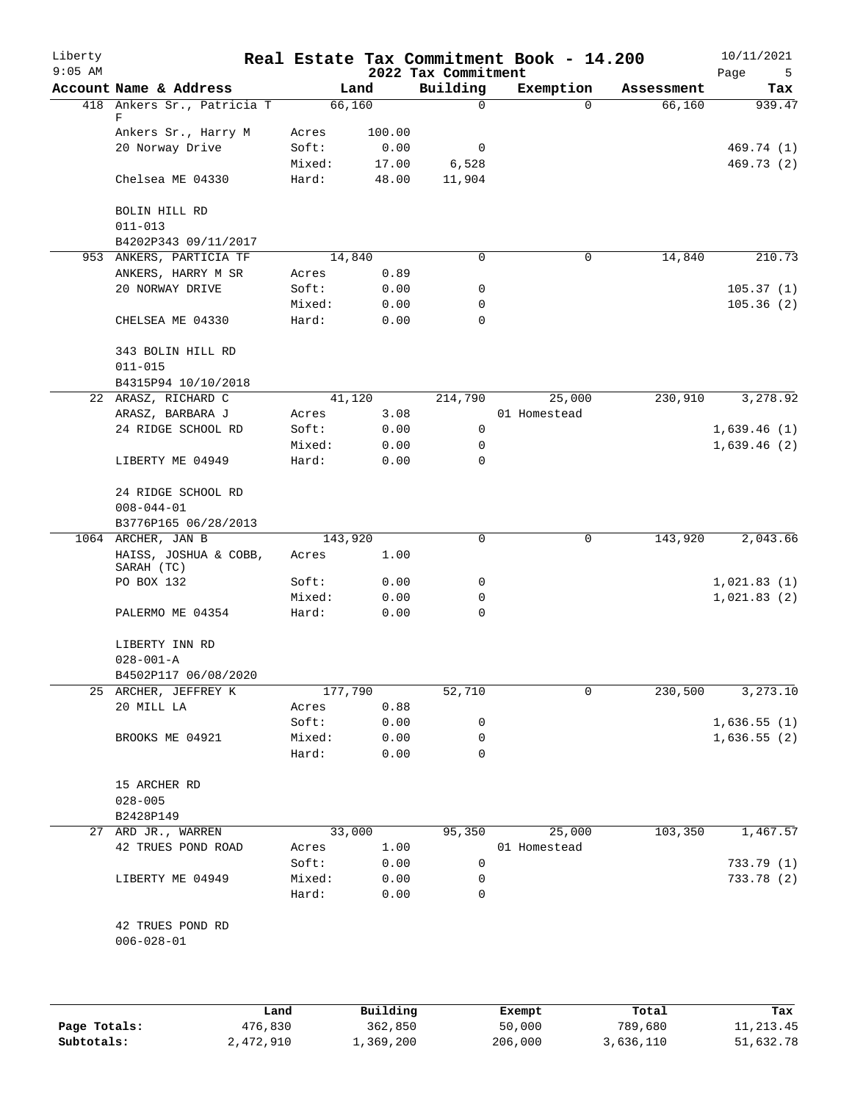| Liberty<br>$9:05$ AM |                                         |         |        | 2022 Tax Commitment | Real Estate Tax Commitment Book - 14.200 |            | 10/11/2021<br>Page<br>5 |
|----------------------|-----------------------------------------|---------|--------|---------------------|------------------------------------------|------------|-------------------------|
|                      | Account Name & Address                  |         | Land   | Building            | Exemption                                | Assessment | Tax                     |
|                      | 418 Ankers Sr., Patricia T<br>F         |         | 66,160 | 0                   | $\Omega$                                 | 66,160     | 939.47                  |
|                      | Ankers Sr., Harry M                     | Acres   | 100.00 |                     |                                          |            |                         |
|                      | 20 Norway Drive                         | Soft:   | 0.00   | 0                   |                                          |            | 469.74 (1)              |
|                      |                                         | Mixed:  | 17.00  | 6,528               |                                          |            | 469.73 (2)              |
|                      | Chelsea ME 04330                        | Hard:   | 48.00  | 11,904              |                                          |            |                         |
|                      | BOLIN HILL RD                           |         |        |                     |                                          |            |                         |
|                      | $011 - 013$                             |         |        |                     |                                          |            |                         |
|                      | B4202P343 09/11/2017                    |         |        |                     |                                          |            |                         |
|                      | 953 ANKERS, PARTICIA TF                 |         | 14,840 | 0                   | 0                                        | 14,840     | 210.73                  |
|                      | ANKERS, HARRY M SR                      | Acres   | 0.89   |                     |                                          |            |                         |
|                      | 20 NORWAY DRIVE                         | Soft:   | 0.00   | 0                   |                                          |            | 105.37(1)               |
|                      |                                         | Mixed:  | 0.00   | 0                   |                                          |            | 105.36(2)               |
|                      | CHELSEA ME 04330                        | Hard:   | 0.00   | $\mathbf 0$         |                                          |            |                         |
|                      | 343 BOLIN HILL RD<br>$011 - 015$        |         |        |                     |                                          |            |                         |
|                      | B4315P94 10/10/2018                     |         |        |                     |                                          |            |                         |
|                      | 22 ARASZ, RICHARD C                     |         | 41,120 | 214,790             | 25,000                                   | 230,910    | 3,278.92                |
|                      | ARASZ, BARBARA J                        | Acres   | 3.08   |                     | 01 Homestead                             |            |                         |
|                      | 24 RIDGE SCHOOL RD                      |         |        |                     |                                          |            |                         |
|                      |                                         | Soft:   | 0.00   | 0                   |                                          |            | 1,639.46(1)             |
|                      |                                         | Mixed:  | 0.00   | 0                   |                                          |            | 1,639.46(2)             |
|                      | LIBERTY ME 04949                        | Hard:   | 0.00   | 0                   |                                          |            |                         |
|                      | 24 RIDGE SCHOOL RD<br>$008 - 044 - 01$  |         |        |                     |                                          |            |                         |
|                      | B3776P165 06/28/2013                    |         |        |                     |                                          |            |                         |
|                      | 1064 ARCHER, JAN B                      | 143,920 |        | 0                   | 0                                        | 143,920    | 2,043.66                |
|                      | HAISS, JOSHUA & COBB,<br>SARAH (TC)     | Acres   | 1.00   |                     |                                          |            |                         |
|                      | PO BOX 132                              | Soft:   | 0.00   | 0                   |                                          |            | 1,021.83(1)             |
|                      |                                         | Mixed:  | 0.00   | 0                   |                                          |            | 1,021.83(2)             |
|                      | PALERMO ME 04354                        | Hard:   | 0.00   | $\mathbf 0$         |                                          |            |                         |
|                      | LIBERTY INN RD                          |         |        |                     |                                          |            |                         |
|                      | $028 - 001 - A$<br>B4502P117 06/08/2020 |         |        |                     |                                          |            |                         |
|                      | 25 ARCHER, JEFFREY K                    | 177,790 |        | 52,710              | 0                                        | 230,500    | 3,273.10                |
|                      | 20 MILL LA                              | Acres   | 0.88   |                     |                                          |            |                         |
|                      |                                         | Soft:   | 0.00   | 0                   |                                          |            | 1,636.55(1)             |
|                      | BROOKS ME 04921                         | Mixed:  | 0.00   | 0                   |                                          |            | 1,636.55(2)             |
|                      |                                         | Hard:   | 0.00   | 0                   |                                          |            |                         |
|                      | 15 ARCHER RD                            |         |        |                     |                                          |            |                         |
|                      | $028 - 005$                             |         |        |                     |                                          |            |                         |
|                      | B2428P149                               |         |        |                     |                                          |            |                         |
|                      | 27 ARD JR., WARREN                      |         | 33,000 | 95,350              | 25,000                                   | 103,350    | 1,467.57                |
|                      | 42 TRUES POND ROAD                      | Acres   | 1.00   |                     | 01 Homestead                             |            |                         |
|                      |                                         | Soft:   | 0.00   | 0                   |                                          |            | 733.79(1)               |
|                      | LIBERTY ME 04949                        | Mixed:  | 0.00   | 0                   |                                          |            | 733.78 (2)              |
|                      |                                         | Hard:   | 0.00   | 0                   |                                          |            |                         |
|                      | 42 TRUES POND RD                        |         |        |                     |                                          |            |                         |
|                      | $006 - 028 - 01$                        |         |        |                     |                                          |            |                         |
|                      |                                         |         |        |                     |                                          |            |                         |
|                      |                                         |         |        |                     |                                          |            |                         |
|                      |                                         |         |        |                     |                                          |            |                         |

|              | Land      | Building  | Exempt  | Total     | Tax       |
|--------------|-----------|-----------|---------|-----------|-----------|
| Page Totals: | 476,830   | 362,850   | 50,000  | 789,680   | 11,213.45 |
| Subtotals:   | 2,472,910 | 1,369,200 | 206,000 | 3,636,110 | 51,632.78 |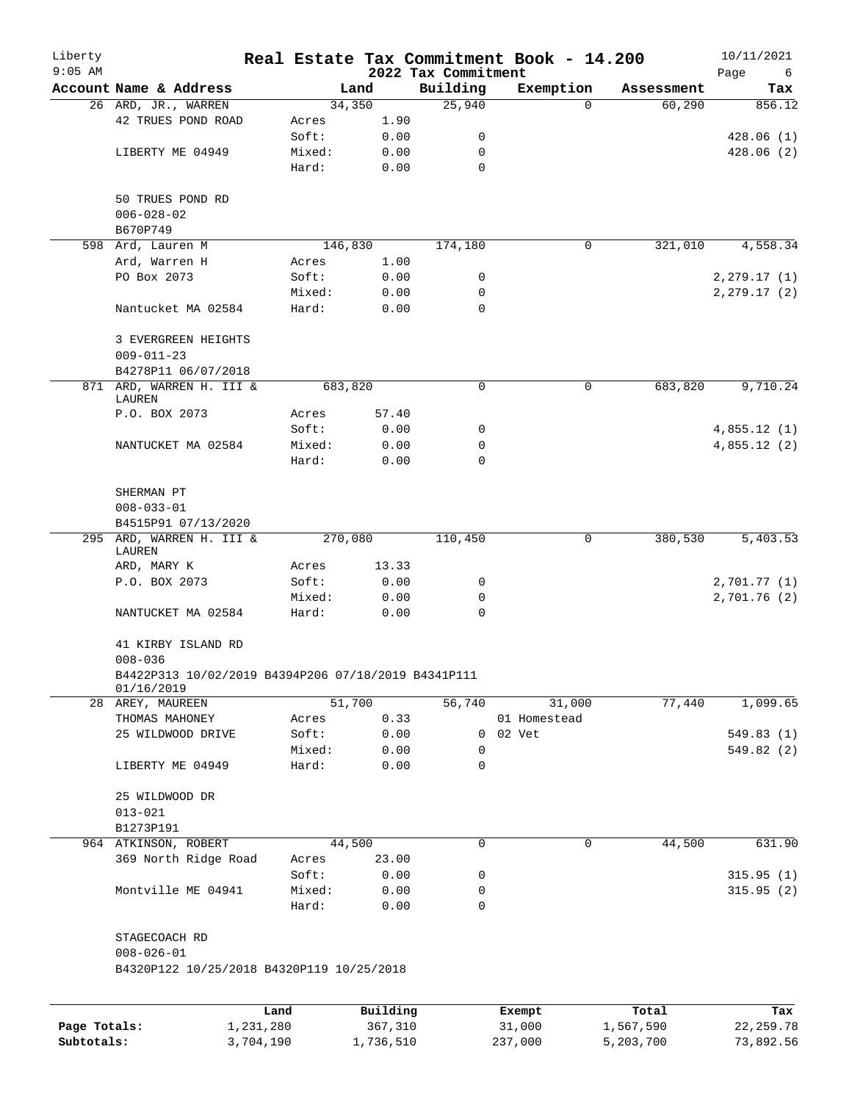| Liberty<br>$9:05$ AM |                                                                    |        |          | 2022 Tax Commitment | Real Estate Tax Commitment Book - 14.200 |                     | 10/11/2021<br>Page<br>6 |
|----------------------|--------------------------------------------------------------------|--------|----------|---------------------|------------------------------------------|---------------------|-------------------------|
|                      | Account Name & Address                                             |        | Land     | Building            | Exemption                                | Assessment          | Tax                     |
|                      | 26 ARD, JR., WARREN                                                |        | 34,350   | 25,940              |                                          | 60, 290<br>$\Omega$ | 856.12                  |
|                      | 42 TRUES POND ROAD                                                 | Acres  | 1.90     |                     |                                          |                     |                         |
|                      |                                                                    | Soft:  | 0.00     | 0                   |                                          |                     | 428.06(1)               |
|                      | LIBERTY ME 04949                                                   | Mixed: | 0.00     | 0                   |                                          |                     | 428.06(2)               |
|                      |                                                                    | Hard:  | 0.00     | 0                   |                                          |                     |                         |
|                      | 50 TRUES POND RD                                                   |        |          |                     |                                          |                     |                         |
|                      | $006 - 028 - 02$                                                   |        |          |                     |                                          |                     |                         |
|                      | B670P749                                                           |        |          |                     |                                          |                     |                         |
|                      | 598 Ard, Lauren M                                                  |        | 146,830  | 174,180             |                                          | 0<br>321,010        | 4,558.34                |
|                      | Ard, Warren H                                                      | Acres  | 1.00     |                     |                                          |                     |                         |
|                      | PO Box 2073                                                        | Soft:  | 0.00     | 0                   |                                          |                     | 2, 279.17(1)            |
|                      |                                                                    | Mixed: | 0.00     | 0                   |                                          |                     | 2, 279.17(2)            |
|                      | Nantucket MA 02584                                                 | Hard:  | 0.00     | 0                   |                                          |                     |                         |
|                      | 3 EVERGREEN HEIGHTS<br>$009 - 011 - 23$                            |        |          |                     |                                          |                     |                         |
|                      | B4278P11 06/07/2018                                                |        |          |                     |                                          |                     |                         |
|                      | 871 ARD, WARREN H. III &<br>LAUREN                                 |        | 683,820  | 0                   |                                          | 683,820<br>0        | 9,710.24                |
|                      | P.O. BOX 2073                                                      | Acres  | 57.40    |                     |                                          |                     |                         |
|                      |                                                                    | Soft:  | 0.00     | 0                   |                                          |                     | 4,855.12(1)             |
|                      | NANTUCKET MA 02584                                                 | Mixed: | 0.00     | 0                   |                                          |                     | 4,855.12(2)             |
|                      |                                                                    | Hard:  | 0.00     | $\Omega$            |                                          |                     |                         |
|                      | SHERMAN PT                                                         |        |          |                     |                                          |                     |                         |
|                      | $008 - 033 - 01$                                                   |        |          |                     |                                          |                     |                         |
|                      | B4515P91 07/13/2020                                                |        |          |                     |                                          |                     |                         |
| 295                  | ARD, WARREN H. III &<br>LAUREN                                     |        | 270,080  | 110,450             |                                          | 0<br>380,530        | 5,403.53                |
|                      | ARD, MARY K                                                        | Acres  | 13.33    |                     |                                          |                     |                         |
|                      | P.O. BOX 2073                                                      | Soft:  | 0.00     | 0                   |                                          |                     | 2,701.77 (1)            |
|                      |                                                                    | Mixed: | 0.00     | 0                   |                                          |                     | 2,701.76(2)             |
|                      | NANTUCKET MA 02584                                                 | Hard:  | 0.00     | $\Omega$            |                                          |                     |                         |
|                      | 41 KIRBY ISLAND RD                                                 |        |          |                     |                                          |                     |                         |
|                      | $008 - 036$<br>B4422P313 10/02/2019 B4394P206 07/18/2019 B4341P111 |        |          |                     |                                          |                     |                         |
|                      | 01/16/2019                                                         |        |          |                     |                                          |                     |                         |
|                      | 28 AREY, MAUREEN                                                   |        | 51,700   | 56,740              | 31,000                                   | 77,440              | 1,099.65                |
|                      | THOMAS MAHONEY                                                     | Acres  | 0.33     |                     | 01 Homestead                             |                     |                         |
|                      | 25 WILDWOOD DRIVE                                                  | Soft:  | 0.00     | 0                   | 02 Vet                                   |                     | 549.83(1)               |
|                      |                                                                    | Mixed: | 0.00     | 0                   |                                          |                     | 549.82 (2)              |
|                      | LIBERTY ME 04949                                                   | Hard:  | 0.00     | 0                   |                                          |                     |                         |
|                      | 25 WILDWOOD DR                                                     |        |          |                     |                                          |                     |                         |
|                      | $013 - 021$                                                        |        |          |                     |                                          |                     |                         |
|                      | B1273P191                                                          |        |          |                     |                                          |                     |                         |
|                      | 964 ATKINSON, ROBERT                                               |        | 44,500   | 0                   |                                          | 0<br>44,500         | 631.90                  |
|                      | 369 North Ridge Road                                               | Acres  | 23.00    |                     |                                          |                     |                         |
|                      |                                                                    | Soft:  | 0.00     | 0                   |                                          |                     | 315.95(1)               |
|                      | Montville ME 04941                                                 | Mixed: | 0.00     | 0                   |                                          |                     | 315.95(2)               |
|                      |                                                                    | Hard:  | 0.00     | 0                   |                                          |                     |                         |
|                      | STAGECOACH RD                                                      |        |          |                     |                                          |                     |                         |
|                      | $008 - 026 - 01$<br>B4320P122 10/25/2018 B4320P119 10/25/2018      |        |          |                     |                                          |                     |                         |
|                      |                                                                    |        |          |                     |                                          |                     |                         |
|                      |                                                                    | Land   | Building |                     | Exempt                                   | Total               | Tax                     |
| Page Totals:         | 1,231,280                                                          |        | 367,310  |                     | 31,000                                   | 1,567,590           | 22, 259.78              |

**Subtotals:** 3,704,190 1,736,510 237,000 5,203,700 73,892.56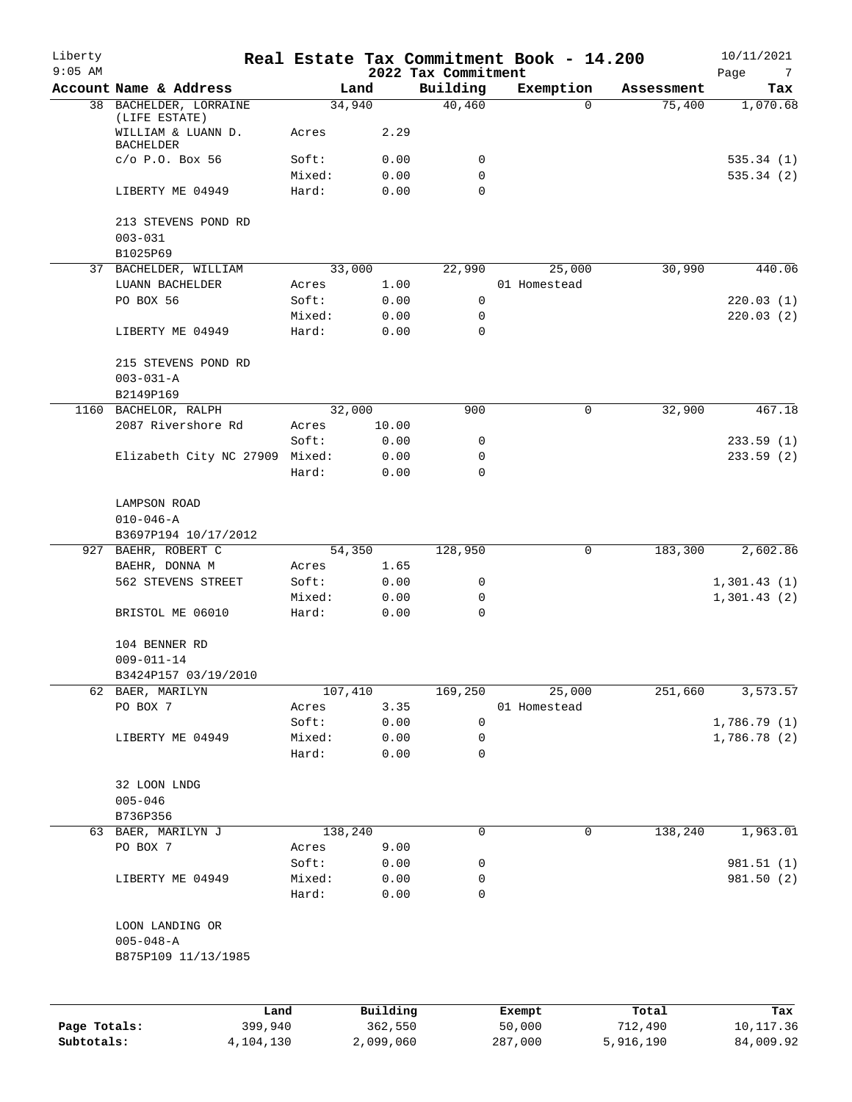| Liberty<br>$9:05$ AM |                                                         |                 |              | 2022 Tax Commitment | Real Estate Tax Commitment Book - 14.200 |            | 10/11/2021<br>Page<br>7 |
|----------------------|---------------------------------------------------------|-----------------|--------------|---------------------|------------------------------------------|------------|-------------------------|
|                      | Account Name & Address                                  |                 | Land         | Building            | Exemption                                | Assessment | Tax                     |
|                      | 38 BACHELDER, LORRAINE                                  |                 | 34,940       | 40,460              | $\Omega$                                 | 75,400     | 1,070.68                |
|                      | (LIFE ESTATE)<br>WILLIAM & LUANN D.<br><b>BACHELDER</b> | Acres           | 2.29         |                     |                                          |            |                         |
|                      | $C/O$ P.O. Box 56                                       | Soft:           | 0.00         | 0                   |                                          |            | 535.34(1)               |
|                      |                                                         | Mixed:          | 0.00         | 0                   |                                          |            | 535.34(2)               |
|                      | LIBERTY ME 04949                                        | Hard:           | 0.00         | $\Omega$            |                                          |            |                         |
|                      | 213 STEVENS POND RD<br>$003 - 031$                      |                 |              |                     |                                          |            |                         |
|                      | B1025P69                                                |                 |              |                     |                                          |            |                         |
|                      | 37 BACHELDER, WILLIAM                                   |                 | 33,000       | 22,990              | 25,000                                   | 30,990     | 440.06                  |
|                      | LUANN BACHELDER                                         | Acres           | 1.00         |                     | 01 Homestead                             |            |                         |
|                      | PO BOX 56                                               | Soft:           | 0.00         | 0                   |                                          |            | 220.03(1)               |
|                      |                                                         | Mixed:          | 0.00         | 0                   |                                          |            | 220.03(2)               |
|                      | LIBERTY ME 04949                                        | Hard:           | 0.00         | $\Omega$            |                                          |            |                         |
|                      | 215 STEVENS POND RD                                     |                 |              |                     |                                          |            |                         |
|                      | $003 - 031 - A$                                         |                 |              |                     |                                          |            |                         |
|                      | B2149P169                                               |                 |              |                     |                                          |            |                         |
|                      | 1160 BACHELOR, RALPH                                    |                 | 32,000       | 900                 | 0                                        | 32,900     | 467.18                  |
|                      | 2087 Rivershore Rd                                      | Acres           | 10.00        |                     |                                          |            |                         |
|                      |                                                         | Soft:           | 0.00         | 0                   |                                          |            | 233.59(1)               |
|                      | Elizabeth City NC 27909 Mixed:                          |                 | 0.00         | 0                   |                                          |            | 233.59(2)               |
|                      |                                                         | Hard:           | 0.00         | $\Omega$            |                                          |            |                         |
|                      | LAMPSON ROAD                                            |                 |              |                     |                                          |            |                         |
|                      | $010 - 046 - A$                                         |                 |              |                     |                                          |            |                         |
|                      | B3697P194 10/17/2012                                    |                 |              |                     |                                          |            |                         |
|                      | 927 BAEHR, ROBERT C                                     |                 | 54,350       | 128,950             | 0                                        | 183,300    | 2,602.86                |
|                      | BAEHR, DONNA M                                          | Acres           | 1.65         |                     |                                          |            |                         |
|                      | 562 STEVENS STREET                                      | Soft:           | 0.00         | 0                   |                                          |            | 1,301.43(1)             |
|                      | BRISTOL ME 06010                                        | Mixed:<br>Hard: | 0.00<br>0.00 | 0<br>0              |                                          |            | 1,301.43(2)             |
|                      |                                                         |                 |              |                     |                                          |            |                         |
|                      | 104 BENNER RD                                           |                 |              |                     |                                          |            |                         |
|                      | $009 - 011 - 14$                                        |                 |              |                     |                                          |            |                         |
|                      | B3424P157 03/19/2010                                    |                 |              |                     |                                          |            |                         |
|                      | 62 BAER, MARILYN                                        |                 | 107,410      | 169,250             | 25,000                                   | 251,660    | 3,573.57                |
|                      | PO BOX 7                                                | Acres           | 3.35         |                     | 01 Homestead                             |            |                         |
|                      |                                                         | Soft:           | 0.00         | 0                   |                                          |            | 1,786.79(1)             |
|                      | LIBERTY ME 04949                                        | Mixed:          | 0.00         | 0                   |                                          |            | 1,786.78(2)             |
|                      |                                                         | Hard:           | 0.00         | 0                   |                                          |            |                         |
|                      | 32 LOON LNDG                                            |                 |              |                     |                                          |            |                         |
|                      | $005 - 046$                                             |                 |              |                     |                                          |            |                         |
|                      | B736P356                                                |                 |              |                     |                                          |            |                         |
|                      | 63 BAER, MARILYN J                                      |                 | 138, 240     | 0                   | 0                                        | 138,240    | 1,963.01                |
|                      | PO BOX 7                                                | Acres           | 9.00         |                     |                                          |            |                         |
|                      |                                                         | Soft:           | 0.00         | 0                   |                                          |            | 981.51 (1)              |
|                      | LIBERTY ME 04949                                        | Mixed:          | 0.00         | 0                   |                                          |            | 981.50 (2)              |
|                      |                                                         | Hard:           | 0.00         | 0                   |                                          |            |                         |
|                      | LOON LANDING OR                                         |                 |              |                     |                                          |            |                         |
|                      | $005 - 048 - A$                                         |                 |              |                     |                                          |            |                         |
|                      | B875P109 11/13/1985                                     |                 |              |                     |                                          |            |                         |
|                      |                                                         |                 |              |                     |                                          |            |                         |
|                      |                                                         | Land            | Building     |                     | Exempt                                   | Total      | Tax                     |
| Page Totals:         | 399,940                                                 |                 | 362,550      |                     | 50,000                                   | 712,490    | 10, 117.36              |
| Subtotals:           | 4,104,130                                               |                 | 2,099,060    |                     | 287,000                                  | 5,916,190  | 84,009.92               |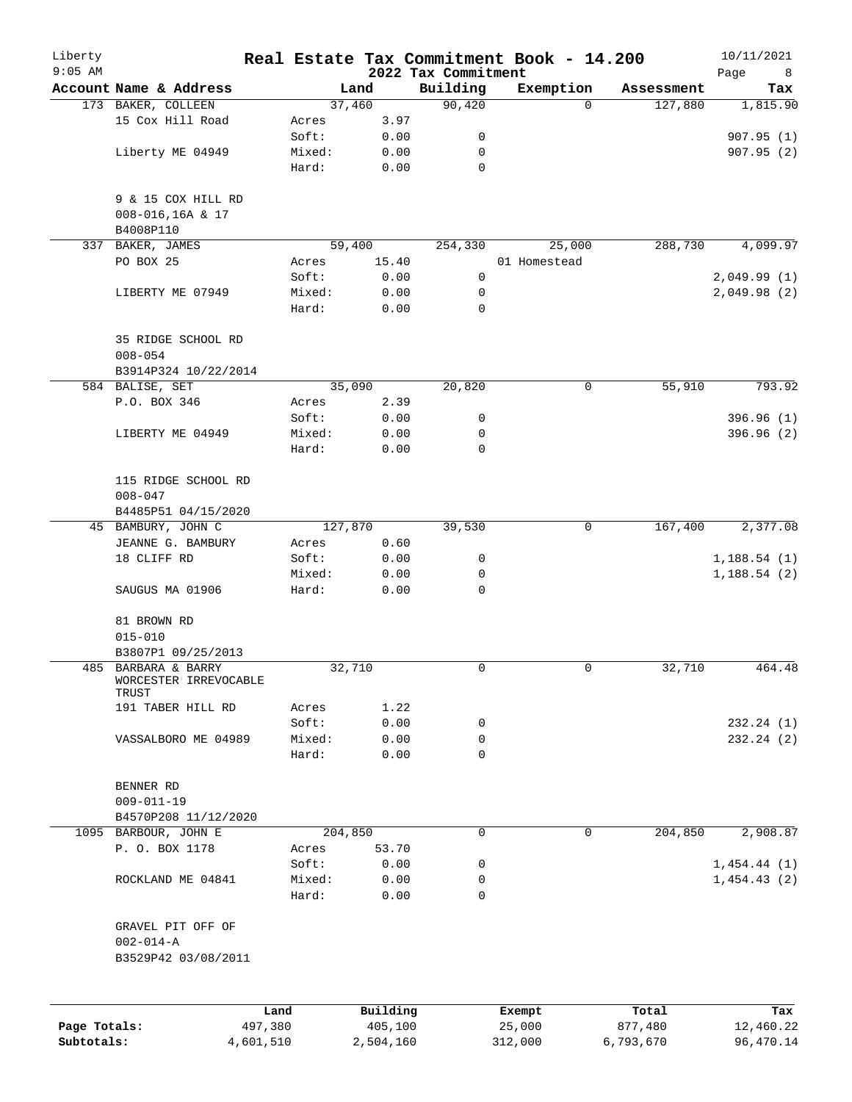| Liberty<br>$9:05$ AM |                                              |           |         |           | 2022 Tax Commitment | Real Estate Tax Commitment Book - 14.200 |            | 10/11/2021<br>Page<br>8 |
|----------------------|----------------------------------------------|-----------|---------|-----------|---------------------|------------------------------------------|------------|-------------------------|
|                      | Account Name & Address                       |           |         | Land      | Building            | Exemption                                | Assessment | Tax                     |
|                      | 173 BAKER, COLLEEN                           |           |         | 37,460    | 90,420              | $\Omega$                                 | 127,880    | 1,815.90                |
|                      | 15 Cox Hill Road                             |           | Acres   | 3.97      |                     |                                          |            |                         |
|                      |                                              |           | Soft:   | 0.00      | 0                   |                                          |            | 907.95(1)               |
|                      | Liberty ME 04949                             |           | Mixed:  | 0.00      | 0                   |                                          |            | 907.95(2)               |
|                      |                                              |           | Hard:   | 0.00      | $\mathbf 0$         |                                          |            |                         |
|                      | 9 & 15 COX HILL RD                           |           |         |           |                     |                                          |            |                         |
|                      | 008-016,16A & 17                             |           |         |           |                     |                                          |            |                         |
|                      | B4008P110                                    |           |         |           |                     |                                          |            |                         |
|                      | 337 BAKER, JAMES                             |           |         | 59,400    | 254,330             | 25,000                                   | 288,730    | 4,099.97                |
|                      | PO BOX 25                                    |           | Acres   | 15.40     |                     | 01 Homestead                             |            |                         |
|                      |                                              |           | Soft:   | 0.00      | $\mathbf 0$         |                                          |            | 2,049.99(1)             |
|                      | LIBERTY ME 07949                             |           | Mixed:  | 0.00      | 0                   |                                          |            | 2,049.98(2)             |
|                      |                                              |           | Hard:   | 0.00      | $\mathbf 0$         |                                          |            |                         |
|                      | 35 RIDGE SCHOOL RD                           |           |         |           |                     |                                          |            |                         |
|                      | $008 - 054$                                  |           |         |           |                     |                                          |            |                         |
|                      | B3914P324 10/22/2014                         |           |         |           |                     |                                          |            |                         |
|                      | 584 BALISE, SET                              |           |         | 35,090    | 20,820              | 0                                        | 55,910     | 793.92                  |
|                      | P.O. BOX 346                                 |           | Acres   | 2.39      |                     |                                          |            |                         |
|                      |                                              |           | Soft:   | 0.00      | 0                   |                                          |            | 396.96(1)               |
|                      | LIBERTY ME 04949                             |           | Mixed:  | 0.00      | 0                   |                                          |            | 396.96(2)               |
|                      |                                              |           | Hard:   | 0.00      | 0                   |                                          |            |                         |
|                      | 115 RIDGE SCHOOL RD                          |           |         |           |                     |                                          |            |                         |
|                      | $008 - 047$                                  |           |         |           |                     |                                          |            |                         |
|                      | B4485P51 04/15/2020                          |           |         |           |                     |                                          |            |                         |
|                      | 45 BAMBURY, JOHN C                           |           | 127,870 |           | 39,530              | 0                                        | 167,400    | 2,377.08                |
|                      | JEANNE G. BAMBURY                            |           | Acres   | 0.60      |                     |                                          |            |                         |
|                      | 18 CLIFF RD                                  |           | Soft:   | 0.00      | 0                   |                                          |            | 1,188.54(1)             |
|                      |                                              |           | Mixed:  | 0.00      | 0                   |                                          |            | 1,188.54(2)             |
|                      | SAUGUS MA 01906                              |           | Hard:   | 0.00      | 0                   |                                          |            |                         |
|                      | 81 BROWN RD                                  |           |         |           |                     |                                          |            |                         |
|                      | $015 - 010$                                  |           |         |           |                     |                                          |            |                         |
|                      | B3807P1 09/25/2013                           |           |         |           |                     |                                          |            |                         |
|                      | 485 BARBARA & BARRY<br>WORCESTER IRREVOCABLE |           |         | 32,710    | 0                   | 0                                        | 32,710     | 464.48                  |
|                      | TRUST<br>191 TABER HILL RD                   |           | Acres   | 1.22      |                     |                                          |            |                         |
|                      |                                              |           | Soft:   | 0.00      | 0                   |                                          |            | 232.24(1)               |
|                      | VASSALBORO ME 04989                          |           | Mixed:  | 0.00      | 0                   |                                          |            | 232.24(2)               |
|                      |                                              |           | Hard:   | 0.00      | $\Omega$            |                                          |            |                         |
|                      |                                              |           |         |           |                     |                                          |            |                         |
|                      | BENNER RD                                    |           |         |           |                     |                                          |            |                         |
|                      | $009 - 011 - 19$                             |           |         |           |                     |                                          |            |                         |
|                      | B4570P208 11/12/2020                         |           |         |           |                     |                                          |            |                         |
|                      | 1095 BARBOUR, JOHN E                         |           |         | 204,850   | 0                   | $\mathbf 0$                              | 204,850    | 2,908.87                |
|                      | P. O. BOX 1178                               |           | Acres   | 53.70     |                     |                                          |            |                         |
|                      |                                              |           | Soft:   | 0.00      | 0                   |                                          |            | 1,454.44(1)             |
|                      | ROCKLAND ME 04841                            |           | Mixed:  | 0.00      | 0                   |                                          |            | 1,454.43(2)             |
|                      |                                              |           | Hard:   | 0.00      | 0                   |                                          |            |                         |
|                      | GRAVEL PIT OFF OF                            |           |         |           |                     |                                          |            |                         |
|                      | $002 - 014 - A$<br>B3529P42 03/08/2011       |           |         |           |                     |                                          |            |                         |
|                      |                                              |           |         |           |                     |                                          |            |                         |
|                      |                                              | Land      |         | Building  |                     | Exempt                                   | Total      | Tax                     |
| Page Totals:         |                                              | 497,380   |         | 405,100   |                     | 25,000                                   | 877,480    | 12,460.22               |
| Subtotals:           |                                              | 4,601,510 |         | 2,504,160 |                     | 312,000                                  | 6,793,670  | 96,470.14               |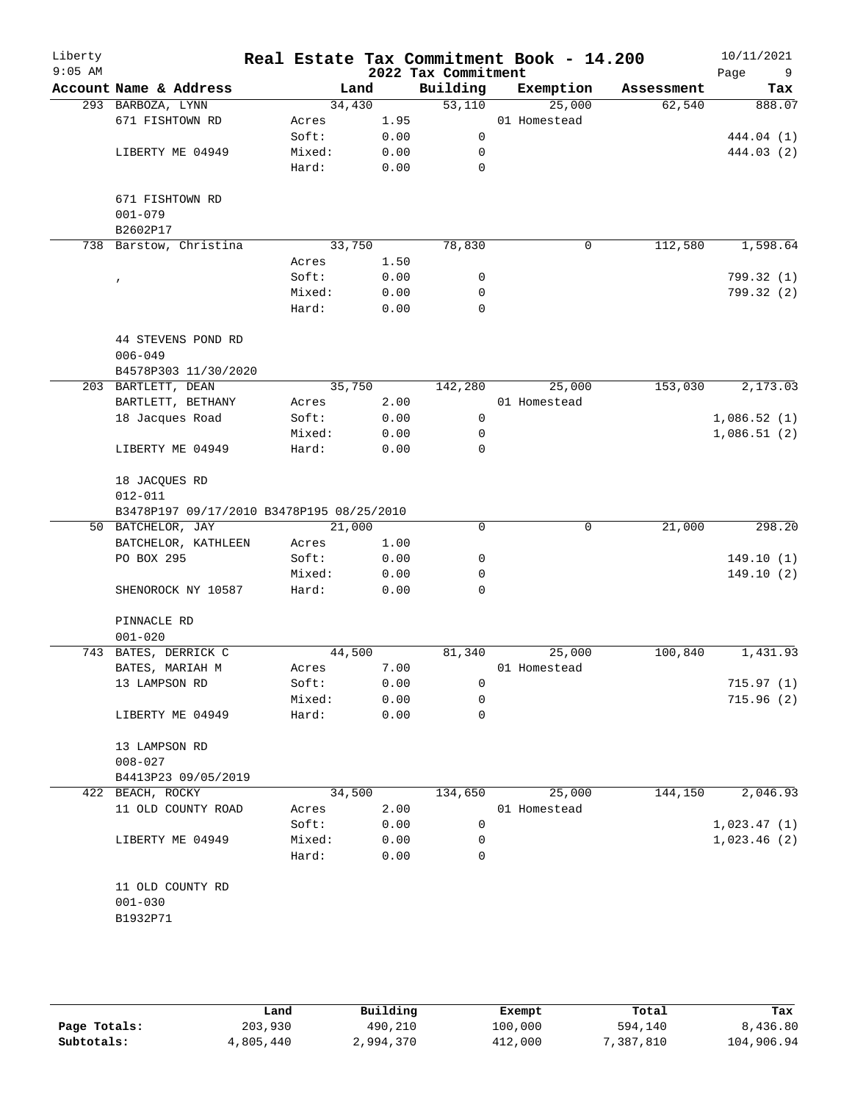| Liberty<br>$9:05$ AM |                                           |                |              | 2022 Tax Commitment | Real Estate Tax Commitment Book - 14.200 |            | 10/11/2021<br>Page<br>9  |
|----------------------|-------------------------------------------|----------------|--------------|---------------------|------------------------------------------|------------|--------------------------|
|                      | Account Name & Address                    | Land           |              | Building            | Exemption                                | Assessment | Tax                      |
|                      | 293 BARBOZA, LYNN                         | 34,430         |              | 53,110              | 25,000                                   | 62,540     | 888.07                   |
|                      | 671 FISHTOWN RD                           | Acres          | 1.95         |                     | 01 Homestead                             |            |                          |
|                      |                                           | Soft:          | 0.00         | $\mathbf 0$         |                                          |            | 444.04 (1)               |
|                      | LIBERTY ME 04949                          | Mixed:         | 0.00         | $\mathbf 0$         |                                          |            | 444.03 (2)               |
|                      |                                           | Hard:          | 0.00         | 0                   |                                          |            |                          |
|                      |                                           |                |              |                     |                                          |            |                          |
|                      | 671 FISHTOWN RD                           |                |              |                     |                                          |            |                          |
|                      | $001 - 079$                               |                |              |                     |                                          |            |                          |
|                      | B2602P17<br>738 Barstow, Christina        |                |              |                     |                                          |            |                          |
|                      |                                           | 33,750         |              | 78,830              | $\mathbf 0$                              | 112,580    | 1,598.64                 |
|                      |                                           | Acres<br>Soft: | 1.50         | 0                   |                                          |            |                          |
|                      | $\pmb{r}$                                 | Mixed:         | 0.00<br>0.00 | 0                   |                                          |            | 799.32 (1)<br>799.32 (2) |
|                      |                                           | Hard:          | 0.00         | 0                   |                                          |            |                          |
|                      |                                           |                |              |                     |                                          |            |                          |
|                      | 44 STEVENS POND RD<br>$006 - 049$         |                |              |                     |                                          |            |                          |
|                      | B4578P303 11/30/2020                      |                |              |                     |                                          |            |                          |
|                      | 203 BARTLETT, DEAN                        | 35,750         |              | 142,280             | 25,000                                   | 153,030    | 2,173.03                 |
|                      | BARTLETT, BETHANY                         | Acres          | 2.00         |                     | 01 Homestead                             |            |                          |
|                      | 18 Jacques Road                           | Soft:          | 0.00         | 0                   |                                          |            | 1,086.52(1)              |
|                      |                                           | Mixed:         | 0.00         | 0                   |                                          |            | 1,086.51(2)              |
|                      | LIBERTY ME 04949                          | Hard:          | 0.00         | $\mathbf 0$         |                                          |            |                          |
|                      |                                           |                |              |                     |                                          |            |                          |
|                      | 18 JACQUES RD                             |                |              |                     |                                          |            |                          |
|                      | $012 - 011$                               |                |              |                     |                                          |            |                          |
|                      | B3478P197 09/17/2010 B3478P195 08/25/2010 |                |              |                     |                                          |            |                          |
|                      | 50 BATCHELOR, JAY                         | 21,000         |              | 0                   | 0                                        | 21,000     | 298.20                   |
|                      | BATCHELOR, KATHLEEN                       | Acres          | 1.00         |                     |                                          |            |                          |
|                      | PO BOX 295                                | Soft:          | 0.00         | 0                   |                                          |            | 149.10(1)                |
|                      |                                           | Mixed:         | 0.00         | 0                   |                                          |            | 149.10(2)                |
|                      | SHENOROCK NY 10587                        | Hard:          | 0.00         | 0                   |                                          |            |                          |
|                      | PINNACLE RD                               |                |              |                     |                                          |            |                          |
|                      | $001 - 020$                               |                |              |                     |                                          |            |                          |
|                      | 743 BATES, DERRICK C                      | 44,500         |              | 81,340              | 25,000                                   | 100,840    | 1,431.93                 |
|                      | BATES, MARIAH M                           | Acres          | 7.00         |                     | 01 Homestead                             |            |                          |
|                      | 13 LAMPSON RD                             | Soft:          | 0.00         | 0                   |                                          |            | 715.97(1)                |
|                      |                                           | Mixed:         | 0.00         | 0                   |                                          |            | 715.96(2)                |
|                      | LIBERTY ME 04949                          | Hard:          | 0.00         | $\mathbf 0$         |                                          |            |                          |
|                      |                                           |                |              |                     |                                          |            |                          |
|                      | 13 LAMPSON RD                             |                |              |                     |                                          |            |                          |
|                      | $008 - 027$                               |                |              |                     |                                          |            |                          |
|                      | B4413P23 09/05/2019                       |                |              |                     |                                          |            |                          |
|                      | 422 BEACH, ROCKY                          | 34,500         |              | 134,650             | 25,000                                   | 144,150    | 2,046.93                 |
|                      | 11 OLD COUNTY ROAD                        | Acres          | 2.00         |                     | 01 Homestead                             |            |                          |
|                      |                                           | Soft:          | 0.00         | 0                   |                                          |            | 1,023.47(1)              |
|                      | LIBERTY ME 04949                          | Mixed:         | 0.00         | 0                   |                                          |            | 1,023.46(2)              |
|                      |                                           | Hard:          | 0.00         | 0                   |                                          |            |                          |
|                      |                                           |                |              |                     |                                          |            |                          |
|                      | 11 OLD COUNTY RD                          |                |              |                     |                                          |            |                          |
|                      | $001 - 030$                               |                |              |                     |                                          |            |                          |
|                      | B1932P71                                  |                |              |                     |                                          |            |                          |
|                      |                                           |                |              |                     |                                          |            |                          |

|              | Land      | Building  | Exempt  | Total     | Tax        |
|--------------|-----------|-----------|---------|-----------|------------|
| Page Totals: | 203,930   | 490,210   | 100,000 | 594,140   | 8,436.80   |
| Subtotals:   | 4,805,440 | 2,994,370 | 412,000 | 7,387,810 | 104,906.94 |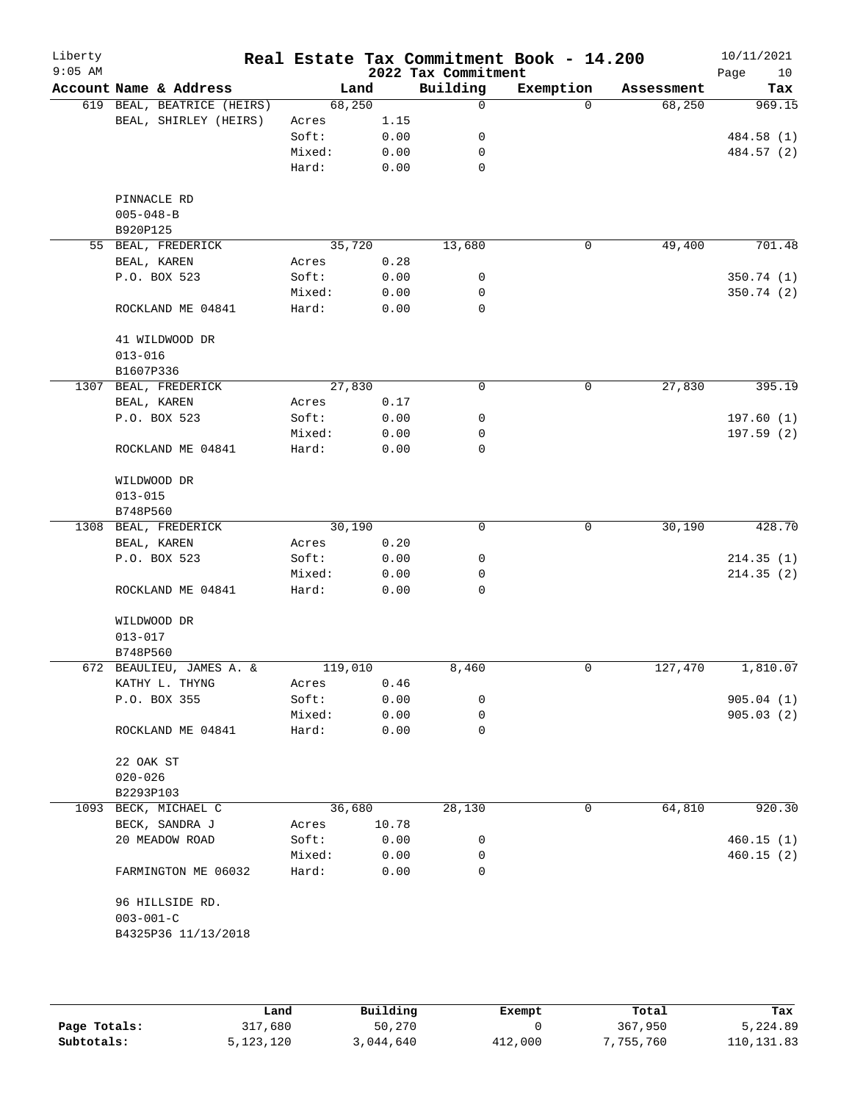| Liberty<br>$9:05$ AM |                                  |         |        | 2022 Tax Commitment | Real Estate Tax Commitment Book - 14.200 |            | 10/11/2021<br>Page<br>10 |
|----------------------|----------------------------------|---------|--------|---------------------|------------------------------------------|------------|--------------------------|
|                      | Account Name & Address           |         | Land   | Building            | Exemption                                | Assessment | Tax                      |
|                      | 619 BEAL, BEATRICE (HEIRS)       |         | 68,250 | 0                   | $\Omega$                                 | 68,250     | 969.15                   |
|                      | BEAL, SHIRLEY (HEIRS)            | Acres   | 1.15   |                     |                                          |            |                          |
|                      |                                  | Soft:   | 0.00   | 0                   |                                          |            | 484.58 (1)               |
|                      |                                  | Mixed:  | 0.00   | 0                   |                                          |            | 484.57 (2)               |
|                      |                                  | Hard:   | 0.00   | $\mathbf 0$         |                                          |            |                          |
|                      | PINNACLE RD                      |         |        |                     |                                          |            |                          |
|                      | $005 - 048 - B$                  |         |        |                     |                                          |            |                          |
|                      | B920P125                         |         |        |                     |                                          |            |                          |
|                      | 55 BEAL, FREDERICK               |         | 35,720 | 13,680              | 0                                        | 49,400     | 701.48                   |
|                      | BEAL, KAREN                      | Acres   | 0.28   |                     |                                          |            |                          |
|                      | P.O. BOX 523                     | Soft:   | 0.00   | 0                   |                                          |            | 350.74(1)                |
|                      |                                  | Mixed:  | 0.00   | 0                   |                                          |            | 350.74(2)                |
|                      | ROCKLAND ME 04841                | Hard:   | 0.00   | 0                   |                                          |            |                          |
|                      | 41 WILDWOOD DR                   |         |        |                     |                                          |            |                          |
|                      | $013 - 016$                      |         |        |                     |                                          |            |                          |
|                      | B1607P336                        |         |        |                     |                                          |            |                          |
|                      | 1307 BEAL, FREDERICK             |         | 27,830 | $\mathbf 0$         | 0                                        | 27,830     | 395.19                   |
|                      | BEAL, KAREN                      | Acres   | 0.17   |                     |                                          |            |                          |
|                      | P.O. BOX 523                     | Soft:   | 0.00   | 0                   |                                          |            | 197.60(1)                |
|                      |                                  | Mixed:  | 0.00   | 0                   |                                          |            | 197.59(2)                |
|                      | ROCKLAND ME 04841                | Hard:   | 0.00   | $\mathbf 0$         |                                          |            |                          |
|                      |                                  |         |        |                     |                                          |            |                          |
|                      | WILDWOOD DR                      |         |        |                     |                                          |            |                          |
|                      | $013 - 015$                      |         |        |                     |                                          |            |                          |
|                      | B748P560<br>1308 BEAL, FREDERICK |         | 30,190 | $\mathbf 0$         | 0                                        | 30,190     | 428.70                   |
|                      | BEAL, KAREN                      | Acres   | 0.20   |                     |                                          |            |                          |
|                      | P.O. BOX 523                     | Soft:   | 0.00   | 0                   |                                          |            | 214.35(1)                |
|                      |                                  | Mixed:  | 0.00   | 0                   |                                          |            | 214.35(2)                |
|                      | ROCKLAND ME 04841                | Hard:   | 0.00   | 0                   |                                          |            |                          |
|                      |                                  |         |        |                     |                                          |            |                          |
|                      | WILDWOOD DR                      |         |        |                     |                                          |            |                          |
|                      | $013 - 017$                      |         |        |                     |                                          |            |                          |
|                      | B748P560                         |         |        |                     |                                          |            |                          |
|                      | 672 BEAULIEU, JAMES A. &         | 119,010 |        | 8,460               | 0                                        | 127,470    | 1,810.07                 |
|                      | KATHY L. THYNG                   | Acres   | 0.46   |                     |                                          |            |                          |
|                      | P.O. BOX 355                     | Soft:   | 0.00   | 0                   |                                          |            | 905.04(1)                |
|                      |                                  | Mixed:  | 0.00   | 0                   |                                          |            | 905.03(2)                |
|                      | ROCKLAND ME 04841                | Hard:   | 0.00   | 0                   |                                          |            |                          |
|                      | 22 OAK ST                        |         |        |                     |                                          |            |                          |
|                      | $020 - 026$                      |         |        |                     |                                          |            |                          |
|                      | B2293P103                        |         |        |                     |                                          |            |                          |
|                      | 1093 BECK, MICHAEL C             |         | 36,680 | 28,130              | 0                                        | 64,810     | 920.30                   |
|                      | BECK, SANDRA J                   | Acres   | 10.78  |                     |                                          |            |                          |
|                      | 20 MEADOW ROAD                   | Soft:   | 0.00   | 0                   |                                          |            | 460.15(1)                |
|                      |                                  | Mixed:  | 0.00   | 0                   |                                          |            | 460.15(2)                |
|                      | FARMINGTON ME 06032              | Hard:   | 0.00   | 0                   |                                          |            |                          |
|                      | 96 HILLSIDE RD.                  |         |        |                     |                                          |            |                          |
|                      | $003 - 001 - C$                  |         |        |                     |                                          |            |                          |
|                      |                                  |         |        |                     |                                          |            |                          |
|                      | B4325P36 11/13/2018              |         |        |                     |                                          |            |                          |

|              | Land      | Building  | Exempt  | Total     | Tax         |
|--------------|-----------|-----------|---------|-----------|-------------|
| Page Totals: | 317,680   | 50,270    |         | 367,950   | 5,224.89    |
| Subtotals:   | 5,123,120 | 3,044,640 | 412,000 | 7,755,760 | 110, 131.83 |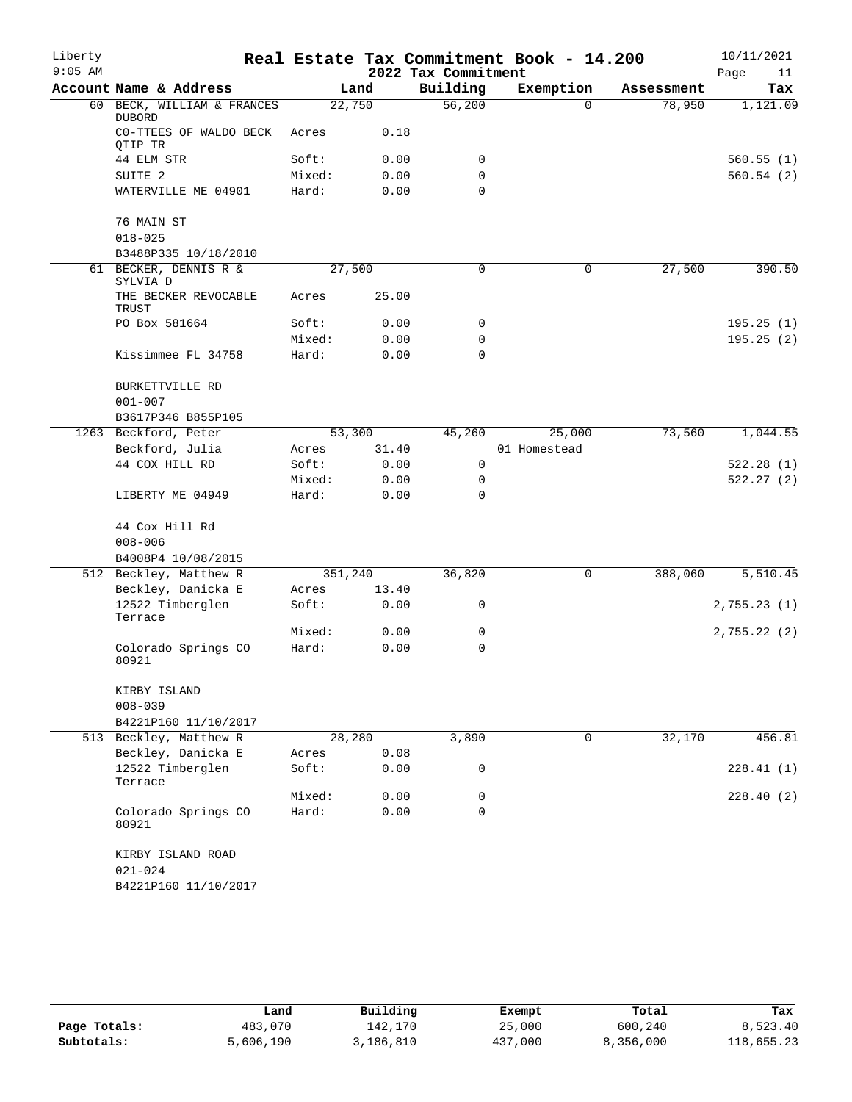| Liberty<br>$9:05$ AM |                                                        |                 |                 | 2022 Tax Commitment | Real Estate Tax Commitment Book - 14.200 |            | 10/11/2021<br>Page<br>11 |
|----------------------|--------------------------------------------------------|-----------------|-----------------|---------------------|------------------------------------------|------------|--------------------------|
|                      | Account Name & Address                                 |                 | Land            | Building            | Exemption                                | Assessment | Tax                      |
|                      | 60 BECK, WILLIAM & FRANCES<br><b>DUBORD</b>            |                 | 22,750          | 56,200              | $\Omega$                                 | 78,950     | 1,121.09                 |
|                      | CO-TTEES OF WALDO BECK<br>OTIP TR                      | Acres           | 0.18            |                     |                                          |            |                          |
|                      | 44 ELM STR                                             | Soft:           | 0.00            | 0                   |                                          |            | 560.55(1)                |
|                      | SUITE <sub>2</sub>                                     | Mixed:          | 0.00            | $\mathbf 0$         |                                          |            | 560.54(2)                |
|                      | WATERVILLE ME 04901                                    | Hard:           | 0.00            | $\Omega$            |                                          |            |                          |
|                      | 76 MAIN ST                                             |                 |                 |                     |                                          |            |                          |
|                      | $018 - 025$                                            |                 |                 |                     |                                          |            |                          |
|                      | B3488P335 10/18/2010                                   |                 |                 |                     |                                          |            |                          |
| 61                   | BECKER, DENNIS R &<br>SYLVIA D<br>THE BECKER REVOCABLE | Acres           | 27,500<br>25.00 | 0                   | 0                                        | 27,500     | 390.50                   |
|                      | TRUST                                                  |                 |                 |                     |                                          |            |                          |
|                      | PO Box 581664                                          | Soft:           | 0.00            | 0                   |                                          |            | 195.25(1)                |
|                      |                                                        | Mixed:          | 0.00            | $\mathbf 0$         |                                          |            | 195.25(2)                |
|                      | Kissimmee FL 34758                                     | Hard:           | 0.00            | $\Omega$            |                                          |            |                          |
|                      | BURKETTVILLE RD                                        |                 |                 |                     |                                          |            |                          |
|                      | $001 - 007$                                            |                 |                 |                     |                                          |            |                          |
|                      | B3617P346 B855P105                                     |                 |                 |                     |                                          |            |                          |
|                      | 1263 Beckford, Peter                                   |                 | 53,300          | 45,260              | 25,000                                   | 73,560     | 1,044.55                 |
|                      | Beckford, Julia                                        | Acres           | 31.40           |                     | 01 Homestead                             |            |                          |
|                      | 44 COX HILL RD                                         | Soft:<br>Mixed: | 0.00            | $\mathbf 0$<br>0    |                                          |            | 522.28(1)<br>522.27(2)   |
|                      | LIBERTY ME 04949                                       | Hard:           | 0.00<br>0.00    | $\mathbf 0$         |                                          |            |                          |
|                      | 44 Cox Hill Rd                                         |                 |                 |                     |                                          |            |                          |
|                      | $008 - 006$                                            |                 |                 |                     |                                          |            |                          |
|                      | B4008P4 10/08/2015                                     |                 |                 |                     |                                          |            |                          |
|                      | 512 Beckley, Matthew R                                 | 351,240         |                 | 36,820              | 0                                        | 388,060    | 5,510.45                 |
|                      | Beckley, Danicka E                                     | Acres           | 13.40           |                     |                                          |            |                          |
|                      | 12522 Timberglen<br>Terrace                            | Soft:           | 0.00            | 0                   |                                          |            | 2,755.23(1)              |
|                      |                                                        | Mixed:          | 0.00            | 0                   |                                          |            | 2,755.22(2)              |
|                      | Colorado Springs CO<br>80921                           | Hard:           | 0.00            | $\mathbf 0$         |                                          |            |                          |
|                      | KIRBY ISLAND                                           |                 |                 |                     |                                          |            |                          |
|                      | $008 - 039$                                            |                 |                 |                     |                                          |            |                          |
|                      | B4221P160 11/10/2017                                   |                 |                 |                     |                                          |            |                          |
|                      | 513 Beckley, Matthew R                                 |                 | 28,280          | 3,890               | $\mathbf 0$                              | 32,170     | 456.81                   |
|                      | Beckley, Danicka E<br>12522 Timberglen                 | Acres<br>Soft:  | 0.08<br>0.00    | 0                   |                                          |            | 228.41(1)                |
|                      | Terrace                                                | Mixed:          | 0.00            | 0                   |                                          |            | 228.40(2)                |
|                      | Colorado Springs CO                                    | Hard:           | 0.00            | 0                   |                                          |            |                          |
|                      | 80921                                                  |                 |                 |                     |                                          |            |                          |
|                      | KIRBY ISLAND ROAD<br>$021 - 024$                       |                 |                 |                     |                                          |            |                          |
|                      | B4221P160 11/10/2017                                   |                 |                 |                     |                                          |            |                          |

|              | Land      | Building  | Exempt  | Total     | Tax        |
|--------------|-----------|-----------|---------|-----------|------------|
| Page Totals: | 483,070   | 142,170   | 25,000  | 600,240   | 8,523.40   |
| Subtotals:   | 5,606,190 | 3,186,810 | 437,000 | 8,356,000 | 118,655.23 |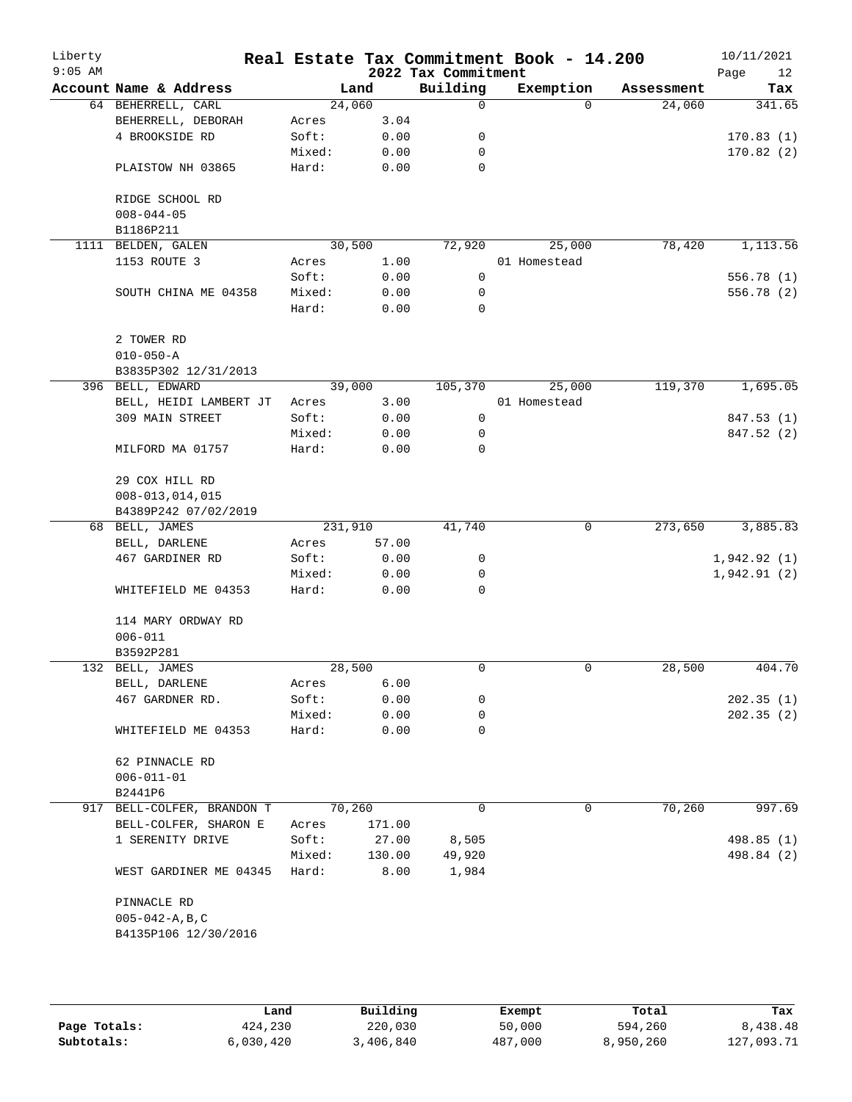| Liberty<br>$9:05$ AM |                                                  |         |        | 2022 Tax Commitment | Real Estate Tax Commitment Book - 14.200 |            | 10/11/2021<br>Page<br>12 |
|----------------------|--------------------------------------------------|---------|--------|---------------------|------------------------------------------|------------|--------------------------|
|                      | Account Name & Address                           |         | Land   | Building            | Exemption                                | Assessment | Tax                      |
|                      | 64 BEHERRELL, CARL                               |         | 24,060 | 0                   | $\Omega$                                 | 24,060     | 341.65                   |
|                      | BEHERRELL, DEBORAH                               | Acres   | 3.04   |                     |                                          |            |                          |
|                      | 4 BROOKSIDE RD                                   | Soft:   | 0.00   | 0                   |                                          |            | 170.83(1)                |
|                      |                                                  | Mixed:  | 0.00   | 0                   |                                          |            | 170.82(2)                |
|                      | PLAISTOW NH 03865                                | Hard:   | 0.00   | 0                   |                                          |            |                          |
|                      | RIDGE SCHOOL RD<br>$008 - 044 - 05$<br>B1186P211 |         |        |                     |                                          |            |                          |
| 1111                 | BELDEN, GALEN                                    |         | 30,500 | 72,920              | 25,000                                   | 78,420     | 1,113.56                 |
|                      | 1153 ROUTE 3                                     | Acres   | 1.00   |                     | 01 Homestead                             |            |                          |
|                      |                                                  | Soft:   | 0.00   | 0                   |                                          |            | 556.78 (1)               |
|                      | SOUTH CHINA ME 04358                             | Mixed:  | 0.00   | 0                   |                                          |            | 556.78 (2)               |
|                      |                                                  | Hard:   | 0.00   | $\mathbf 0$         |                                          |            |                          |
|                      | 2 TOWER RD                                       |         |        |                     |                                          |            |                          |
|                      | $010 - 050 - A$                                  |         |        |                     |                                          |            |                          |
|                      | B3835P302 12/31/2013                             |         |        |                     |                                          |            |                          |
|                      | 396 BELL, EDWARD                                 |         | 39,000 | 105,370             | 25,000                                   | 119,370    | 1,695.05                 |
|                      | BELL, HEIDI LAMBERT JT                           | Acres   | 3.00   |                     | 01 Homestead                             |            |                          |
|                      | 309 MAIN STREET                                  | Soft:   | 0.00   | 0                   |                                          |            | 847.53(1)                |
|                      |                                                  | Mixed:  | 0.00   | 0                   |                                          |            | 847.52 (2)               |
|                      | MILFORD MA 01757                                 | Hard:   | 0.00   | 0                   |                                          |            |                          |
|                      | 29 COX HILL RD                                   |         |        |                     |                                          |            |                          |
|                      | $008 - 013, 014, 015$                            |         |        |                     |                                          |            |                          |
|                      | B4389P242 07/02/2019                             |         |        |                     |                                          |            |                          |
|                      | 68 BELL, JAMES                                   | 231,910 |        | 41,740              | 0                                        | 273,650    | 3,885.83                 |
|                      | BELL, DARLENE                                    | Acres   | 57.00  |                     |                                          |            |                          |
|                      | 467 GARDINER RD                                  | Soft:   | 0.00   | 0                   |                                          |            | 1,942.92(1)              |
|                      |                                                  | Mixed:  | 0.00   | 0                   |                                          |            | 1,942.91(2)              |
|                      | WHITEFIELD ME 04353                              | Hard:   | 0.00   | 0                   |                                          |            |                          |
|                      | 114 MARY ORDWAY RD                               |         |        |                     |                                          |            |                          |
|                      | $006 - 011$                                      |         |        |                     |                                          |            |                          |
|                      | B3592P281                                        |         |        |                     |                                          |            |                          |
|                      | 132 BELL, JAMES                                  |         | 28,500 | $\mathbf 0$         | $\mathsf{O}$                             | 28,500     | 404.70                   |
|                      | BELL, DARLENE                                    | Acres   | 6.00   |                     |                                          |            |                          |
|                      | 467 GARDNER RD.                                  | Soft:   | 0.00   | 0                   |                                          |            | 202.35(1)                |
|                      |                                                  | Mixed:  | 0.00   | 0                   |                                          |            | 202.35(2)                |
|                      | WHITEFIELD ME 04353                              | Hard:   | 0.00   | 0                   |                                          |            |                          |
|                      | 62 PINNACLE RD                                   |         |        |                     |                                          |            |                          |
|                      | $006 - 011 - 01$                                 |         |        |                     |                                          |            |                          |
|                      | B2441P6                                          |         |        |                     |                                          |            |                          |
|                      | 917 BELL-COLFER, BRANDON T                       |         | 70,260 | 0                   | 0                                        | 70,260     | 997.69                   |
|                      | BELL-COLFER, SHARON E                            | Acres   | 171.00 |                     |                                          |            |                          |
|                      | 1 SERENITY DRIVE                                 | Soft:   | 27.00  | 8,505               |                                          |            | 498.85 (1)               |
|                      |                                                  | Mixed:  | 130.00 | 49,920              |                                          |            | 498.84 (2)               |
|                      | WEST GARDINER ME 04345                           | Hard:   | 8.00   | 1,984               |                                          |            |                          |
|                      | PINNACLE RD                                      |         |        |                     |                                          |            |                          |
|                      | $005 - 042 - A$ , B, C                           |         |        |                     |                                          |            |                          |
|                      | B4135P106 12/30/2016                             |         |        |                     |                                          |            |                          |
|                      |                                                  |         |        |                     |                                          |            |                          |
|                      |                                                  |         |        |                     |                                          |            |                          |

|              | Land      | Building  | Exempt  | Total     | Tax        |
|--------------|-----------|-----------|---------|-----------|------------|
| Page Totals: | 424,230   | 220,030   | 50,000  | 594,260   | 8,438.48   |
| Subtotals:   | 6,030,420 | 3,406,840 | 487,000 | 8,950,260 | 127,093.71 |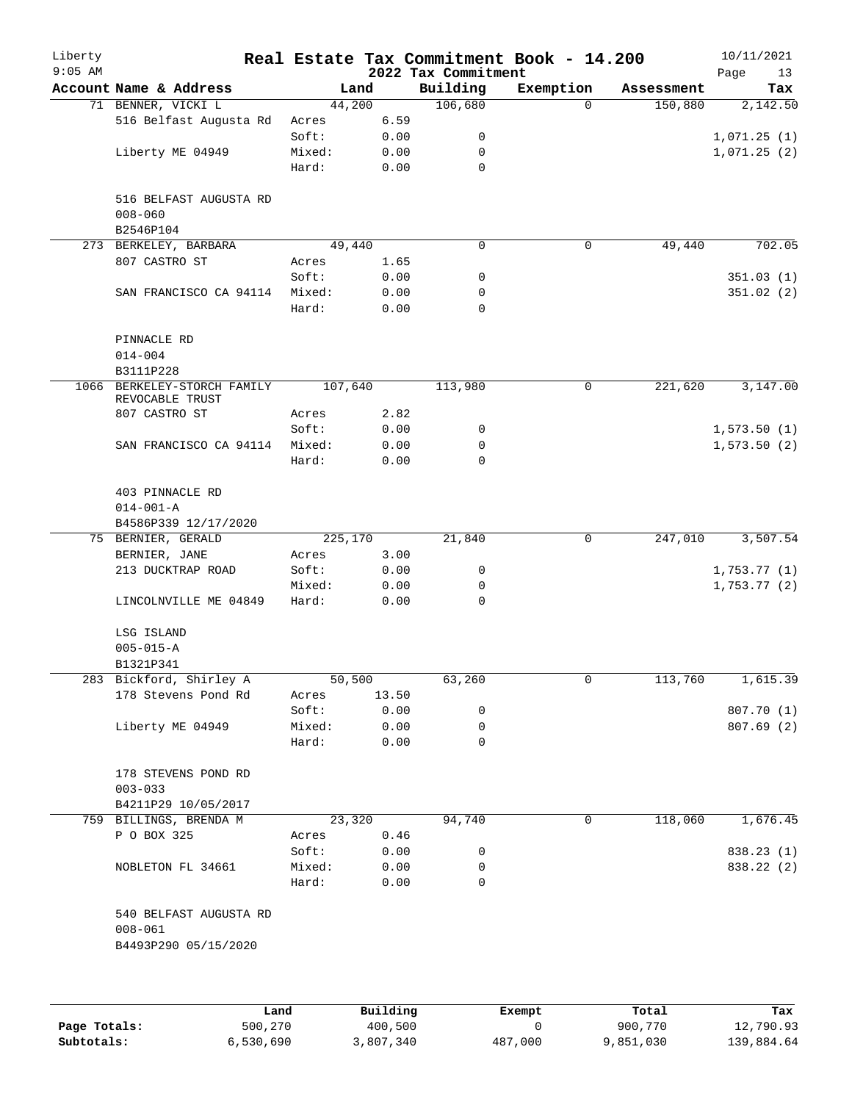| Liberty<br>$9:05$ AM |                                           |         |       | 2022 Tax Commitment | Real Estate Tax Commitment Book - 14.200 |            | 10/11/2021<br>Page<br>13 |
|----------------------|-------------------------------------------|---------|-------|---------------------|------------------------------------------|------------|--------------------------|
|                      | Account Name & Address                    | Land    |       | Building            | Exemption                                | Assessment | Tax                      |
|                      | 71 BENNER, VICKI L                        | 44,200  |       | 106,680             | $\Omega$                                 | 150,880    | 2,142.50                 |
|                      | 516 Belfast Augusta Rd                    | Acres   | 6.59  |                     |                                          |            |                          |
|                      |                                           | Soft:   | 0.00  | 0                   |                                          |            | 1,071.25(1)              |
|                      | Liberty ME 04949                          | Mixed:  | 0.00  | 0                   |                                          |            | 1,071.25(2)              |
|                      |                                           | Hard:   | 0.00  | 0                   |                                          |            |                          |
|                      | 516 BELFAST AUGUSTA RD<br>$008 - 060$     |         |       |                     |                                          |            |                          |
|                      | B2546P104                                 |         |       |                     |                                          |            |                          |
|                      | 273 BERKELEY, BARBARA                     | 49,440  |       | $\mathbf 0$         | 0                                        | 49,440     | 702.05                   |
|                      | 807 CASTRO ST                             | Acres   | 1.65  |                     |                                          |            |                          |
|                      |                                           | Soft:   | 0.00  | 0                   |                                          |            | 351.03(1)                |
|                      | SAN FRANCISCO CA 94114                    | Mixed:  | 0.00  | 0                   |                                          |            | 351.02(2)                |
|                      |                                           | Hard:   | 0.00  | 0                   |                                          |            |                          |
|                      | PINNACLE RD<br>$014 - 004$                |         |       |                     |                                          |            |                          |
|                      | B3111P228                                 |         |       |                     |                                          |            |                          |
| 1066                 | BERKELEY-STORCH FAMILY<br>REVOCABLE TRUST | 107,640 |       | 113,980             | 0                                        | 221,620    | 3,147.00                 |
|                      | 807 CASTRO ST                             | Acres   | 2.82  |                     |                                          |            |                          |
|                      |                                           | Soft:   | 0.00  | 0                   |                                          |            | 1,573.50(1)              |
|                      | SAN FRANCISCO CA 94114                    | Mixed:  | 0.00  | 0                   |                                          |            | 1,573.50(2)              |
|                      |                                           |         |       | $\Omega$            |                                          |            |                          |
|                      |                                           | Hard:   | 0.00  |                     |                                          |            |                          |
|                      | 403 PINNACLE RD                           |         |       |                     |                                          |            |                          |
|                      | $014 - 001 - A$                           |         |       |                     |                                          |            |                          |
|                      | B4586P339 12/17/2020                      |         |       |                     |                                          |            |                          |
|                      | 75 BERNIER, GERALD                        | 225,170 |       | 21,840              | 0                                        | 247,010    | 3,507.54                 |
|                      | BERNIER, JANE                             | Acres   | 3.00  |                     |                                          |            |                          |
|                      | 213 DUCKTRAP ROAD                         | Soft:   | 0.00  | 0                   |                                          |            | 1,753.77(1)              |
|                      |                                           | Mixed:  | 0.00  | 0                   |                                          |            | 1,753.77(2)              |
|                      | LINCOLNVILLE ME 04849                     | Hard:   | 0.00  | 0                   |                                          |            |                          |
|                      | LSG ISLAND                                |         |       |                     |                                          |            |                          |
|                      | $005 - 015 - A$                           |         |       |                     |                                          |            |                          |
|                      | B1321P341                                 |         |       |                     |                                          |            |                          |
|                      | 283 Bickford, Shirley A                   | 50,500  |       | 63,260              | 0                                        | 113,760    | 1,615.39                 |
|                      | 178 Stevens Pond Rd                       | Acres   | 13.50 |                     |                                          |            |                          |
|                      |                                           | Soft:   | 0.00  | 0                   |                                          |            | 807.70 (1)               |
|                      | Liberty ME 04949                          | Mixed:  | 0.00  | 0                   |                                          |            | 807.69(2)                |
|                      |                                           | Hard:   | 0.00  | $\mathbf 0$         |                                          |            |                          |
|                      | 178 STEVENS POND RD                       |         |       |                     |                                          |            |                          |
|                      | $003 - 033$                               |         |       |                     |                                          |            |                          |
|                      | B4211P29 10/05/2017                       |         |       |                     |                                          |            |                          |
|                      | 759 BILLINGS, BRENDA M                    | 23,320  |       | 94,740              | 0                                        | 118,060    | 1,676.45                 |
|                      | P O BOX 325                               | Acres   | 0.46  |                     |                                          |            |                          |
|                      |                                           | Soft:   | 0.00  | 0                   |                                          |            | 838.23 (1)               |
|                      | NOBLETON FL 34661                         | Mixed:  | 0.00  | 0                   |                                          |            | 838.22 (2)               |
|                      |                                           | Hard:   | 0.00  | 0                   |                                          |            |                          |
|                      | 540 BELFAST AUGUSTA RD                    |         |       |                     |                                          |            |                          |
|                      | $008 - 061$<br>B4493P290 05/15/2020       |         |       |                     |                                          |            |                          |
|                      |                                           |         |       |                     |                                          |            |                          |
|                      |                                           |         |       |                     |                                          |            |                          |
|                      |                                           |         |       |                     |                                          |            |                          |

|              | Land      | Building  | Exempt  | Total     | Tax        |
|--------------|-----------|-----------|---------|-----------|------------|
| Page Totals: | 500,270   | 400,500   |         | 900,770   | 12,790.93  |
| Subtotals:   | 6,530,690 | 3,807,340 | 487,000 | 9,851,030 | 139,884.64 |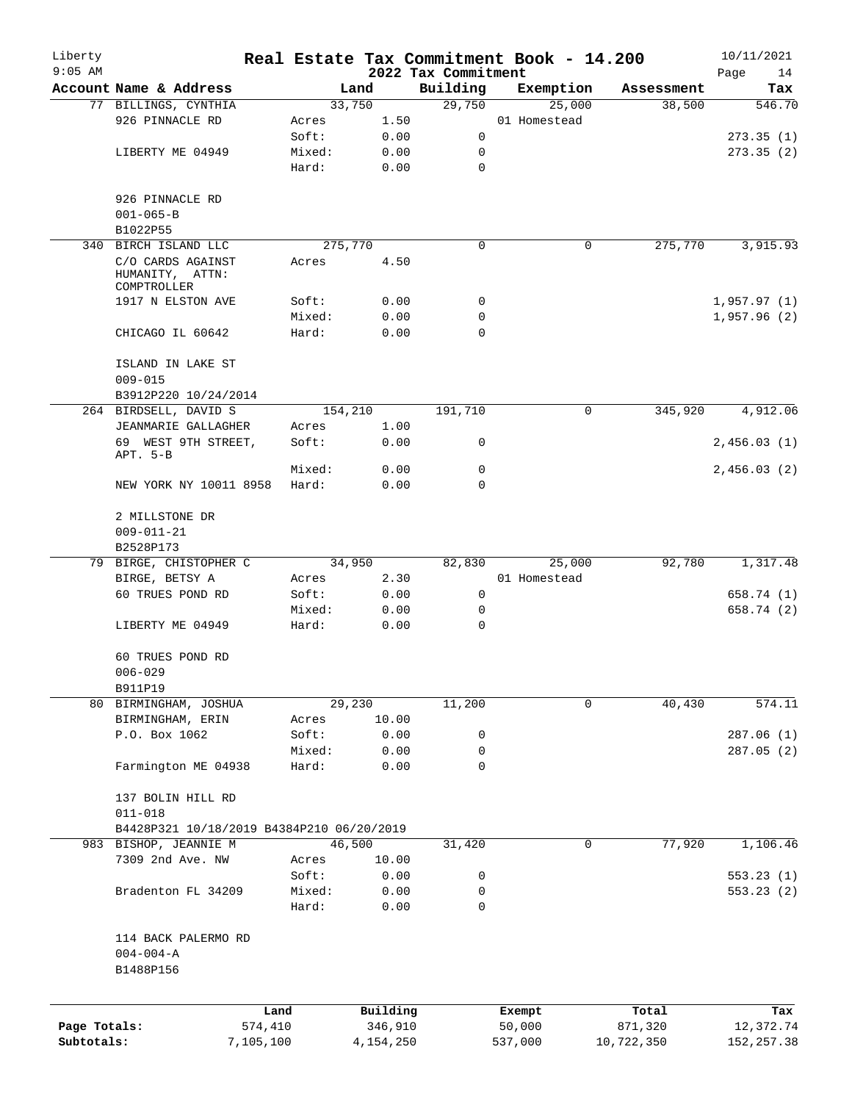| Liberty<br>$9:05$ AM |                                                     |        |           | 2022 Tax Commitment | Real Estate Tax Commitment Book - 14.200 |            | 10/11/2021<br>Page<br>14 |
|----------------------|-----------------------------------------------------|--------|-----------|---------------------|------------------------------------------|------------|--------------------------|
|                      | Account Name & Address                              |        | Land      | Building            | Exemption                                | Assessment | Tax                      |
|                      | 77 BILLINGS, CYNTHIA                                |        | 33,750    | 29,750              | 25,000                                   | 38,500     | 546.70                   |
|                      | 926 PINNACLE RD                                     | Acres  | 1.50      |                     | 01 Homestead                             |            |                          |
|                      |                                                     | Soft:  | 0.00      | 0                   |                                          |            | 273.35(1)                |
|                      | LIBERTY ME 04949                                    | Mixed: | 0.00      | 0                   |                                          |            | 273.35(2)                |
|                      |                                                     | Hard:  | 0.00      | 0                   |                                          |            |                          |
|                      | 926 PINNACLE RD                                     |        |           |                     |                                          |            |                          |
|                      | $001 - 065 - B$                                     |        |           |                     |                                          |            |                          |
|                      | B1022P55                                            |        |           |                     |                                          |            |                          |
|                      | 340 BIRCH ISLAND LLC                                |        | 275,770   | 0                   | 0                                        | 275,770    | 3,915.93                 |
|                      | C/O CARDS AGAINST<br>HUMANITY, ATTN:<br>COMPTROLLER | Acres  | 4.50      |                     |                                          |            |                          |
|                      | 1917 N ELSTON AVE                                   | Soft:  | 0.00      | 0                   |                                          |            | 1,957.97(1)              |
|                      |                                                     | Mixed: | 0.00      | 0                   |                                          |            | 1,957.96(2)              |
|                      | CHICAGO IL 60642                                    | Hard:  | 0.00      | 0                   |                                          |            |                          |
|                      | ISLAND IN LAKE ST<br>$009 - 015$                    |        |           |                     |                                          |            |                          |
|                      | B3912P220 10/24/2014                                |        |           |                     |                                          |            |                          |
|                      | 264 BIRDSELL, DAVID S                               |        | 154,210   | 191,710             | 0                                        | 345,920    | 4,912.06                 |
|                      | JEANMARIE GALLAGHER                                 | Acres  | 1.00      |                     |                                          |            |                          |
|                      | 69 WEST 9TH STREET,<br>APT. 5-B                     | Soft:  | 0.00      | 0                   |                                          |            | 2,456.03(1)              |
|                      |                                                     | Mixed: | 0.00      | 0                   |                                          |            | 2,456.03(2)              |
|                      | NEW YORK NY 10011 8958                              | Hard:  | 0.00      | 0                   |                                          |            |                          |
|                      | 2 MILLSTONE DR<br>$009 - 011 - 21$                  |        |           |                     |                                          |            |                          |
|                      | B2528P173                                           |        |           |                     |                                          |            |                          |
|                      | 79 BIRGE, CHISTOPHER C                              |        | 34,950    | 82,830              | 25,000                                   | 92,780     | 1,317.48                 |
|                      | BIRGE, BETSY A                                      | Acres  | 2.30      |                     | 01 Homestead                             |            |                          |
|                      | 60 TRUES POND RD                                    | Soft:  | 0.00      | 0                   |                                          |            | 658.74 (1)               |
|                      |                                                     | Mixed: | 0.00      | 0                   |                                          |            | 658.74 (2)               |
|                      | LIBERTY ME 04949                                    | Hard:  | 0.00      | $\mathbf 0$         |                                          |            |                          |
|                      | 60 TRUES POND RD<br>$006 - 029$                     |        |           |                     |                                          |            |                          |
|                      | B911P19                                             |        |           |                     |                                          |            |                          |
|                      | 80 BIRMINGHAM, JOSHUA                               |        | 29,230    | 11,200              | 0                                        | 40,430     | 574.11                   |
|                      | BIRMINGHAM, ERIN                                    | Acres  | 10.00     |                     |                                          |            |                          |
|                      | P.O. Box 1062                                       | Soft:  | 0.00      | 0                   |                                          |            | 287.06 (1)               |
|                      |                                                     | Mixed: | 0.00      | 0                   |                                          |            | 287.05 (2)               |
|                      | Farmington ME 04938                                 | Hard:  | 0.00      | 0                   |                                          |            |                          |
|                      | 137 BOLIN HILL RD                                   |        |           |                     |                                          |            |                          |
|                      | $011 - 018$                                         |        |           |                     |                                          |            |                          |
|                      | B4428P321 10/18/2019 B4384P210 06/20/2019           |        |           |                     |                                          |            |                          |
|                      | 983 BISHOP, JEANNIE M                               |        | 46,500    | 31,420              | 0                                        | 77,920     | 1,106.46                 |
|                      | 7309 2nd Ave. NW                                    | Acres  | 10.00     |                     |                                          |            |                          |
|                      |                                                     | Soft:  | 0.00      | 0                   |                                          |            | 553.23(1)                |
|                      | Bradenton FL 34209                                  | Mixed: | 0.00      | 0                   |                                          |            | 553.23(2)                |
|                      |                                                     | Hard:  | 0.00      | 0                   |                                          |            |                          |
|                      | 114 BACK PALERMO RD                                 |        |           |                     |                                          |            |                          |
|                      | $004 - 004 - A$<br>B1488P156                        |        |           |                     |                                          |            |                          |
|                      |                                                     |        |           |                     |                                          |            |                          |
|                      |                                                     | Land   | Building  |                     | Exempt                                   | Total      | Tax                      |
| Page Totals:         | 574,410                                             |        | 346,910   |                     | 50,000                                   | 871,320    | 12,372.74                |
| Subtotals:           | 7,105,100                                           |        | 4,154,250 |                     | 537,000                                  | 10,722,350 | 152, 257.38              |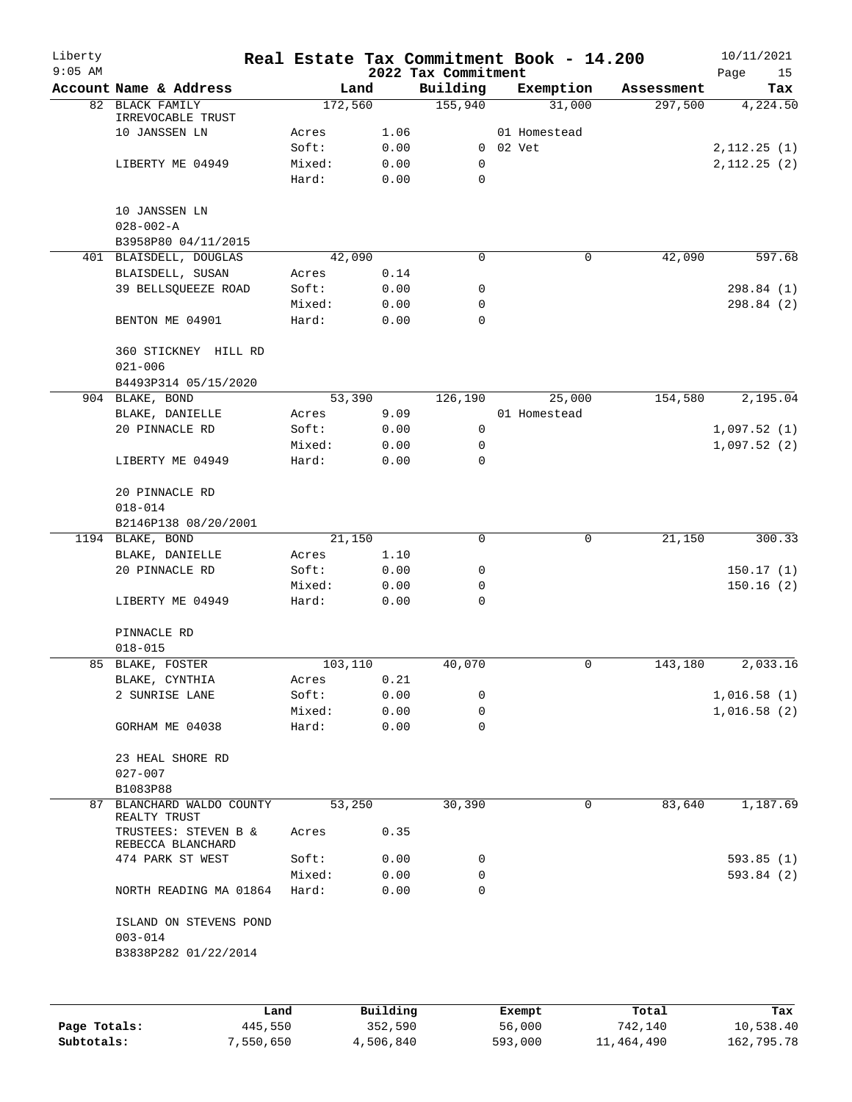| Liberty<br>$9:05$ AM |                                           |         |          | 2022 Tax Commitment | Real Estate Tax Commitment Book - 14.200 |                       | 10/11/2021<br>Page<br>15 |
|----------------------|-------------------------------------------|---------|----------|---------------------|------------------------------------------|-----------------------|--------------------------|
|                      | Account Name & Address                    |         | Land     | Building            | Exemption                                | Assessment            | Tax                      |
|                      | 82 BLACK FAMILY                           | 172,560 |          | 155,940             | 31,000                                   | 297,500               | 4,224.50                 |
|                      | IRREVOCABLE TRUST                         |         |          |                     |                                          |                       |                          |
|                      | 10 JANSSEN LN                             | Acres   | 1.06     |                     | 01 Homestead                             |                       |                          |
|                      |                                           | Soft:   | 0.00     |                     | 0 02 Vet                                 |                       | 2,112.25(1)              |
|                      | LIBERTY ME 04949                          | Mixed:  | 0.00     | $\mathbf 0$         |                                          |                       | 2,112.25(2)              |
|                      |                                           | Hard:   | 0.00     | 0                   |                                          |                       |                          |
|                      | 10 JANSSEN LN                             |         |          |                     |                                          |                       |                          |
|                      | $028 - 002 - A$                           |         |          |                     |                                          |                       |                          |
|                      | B3958P80 04/11/2015                       |         |          |                     |                                          |                       |                          |
|                      | 401 BLAISDELL, DOUGLAS                    |         | 42,090   | 0                   |                                          | $\mathbf 0$<br>42,090 | 597.68                   |
|                      | BLAISDELL, SUSAN                          | Acres   | 0.14     |                     |                                          |                       |                          |
|                      | 39 BELLSQUEEZE ROAD                       | Soft:   | 0.00     | 0                   |                                          |                       | 298.84 (1)               |
|                      |                                           | Mixed:  | 0.00     | 0                   |                                          |                       | 298.84 (2)               |
|                      | BENTON ME 04901                           | Hard:   | 0.00     | 0                   |                                          |                       |                          |
|                      |                                           |         |          |                     |                                          |                       |                          |
|                      | 360 STICKNEY HILL RD                      |         |          |                     |                                          |                       |                          |
|                      | $021 - 006$                               |         |          |                     |                                          |                       |                          |
|                      | B4493P314 05/15/2020                      |         |          |                     |                                          |                       |                          |
| 904                  | BLAKE, BOND                               |         | 53,390   | 126,190             | 25,000                                   | 154,580               | 2,195.04                 |
|                      | BLAKE, DANIELLE                           | Acres   | 9.09     |                     | 01 Homestead                             |                       |                          |
|                      | 20 PINNACLE RD                            | Soft:   | 0.00     | 0                   |                                          |                       | 1,097.52(1)              |
|                      |                                           | Mixed:  | 0.00     | 0                   |                                          |                       | 1,097.52(2)              |
|                      | LIBERTY ME 04949                          | Hard:   | 0.00     | 0                   |                                          |                       |                          |
|                      | 20 PINNACLE RD                            |         |          |                     |                                          |                       |                          |
|                      | $018 - 014$                               |         |          |                     |                                          |                       |                          |
|                      | B2146P138 08/20/2001                      |         |          |                     |                                          |                       |                          |
|                      | 1194 BLAKE, BOND                          |         | 21,150   | 0                   |                                          | $\mathbf 0$<br>21,150 | 300.33                   |
|                      |                                           |         |          |                     |                                          |                       |                          |
|                      | BLAKE, DANIELLE                           | Acres   | 1.10     |                     |                                          |                       |                          |
|                      | 20 PINNACLE RD                            | Soft:   | 0.00     | 0                   |                                          |                       | 150.17(1)                |
|                      |                                           | Mixed:  | 0.00     | 0                   |                                          |                       | 150.16(2)                |
|                      | LIBERTY ME 04949                          | Hard:   | 0.00     | 0                   |                                          |                       |                          |
|                      | PINNACLE RD                               |         |          |                     |                                          |                       |                          |
|                      | $018 - 015$                               |         |          |                     |                                          |                       |                          |
|                      | 85 BLAKE, FOSTER                          | 103,110 |          | 40,070              |                                          | 0<br>143,180          | 2,033.16                 |
|                      | BLAKE, CYNTHIA                            | Acres   | 0.21     |                     |                                          |                       |                          |
|                      | 2 SUNRISE LANE                            | Soft:   | 0.00     | 0                   |                                          |                       | 1,016.58(1)              |
|                      |                                           | Mixed:  | 0.00     | 0                   |                                          |                       | 1,016.58(2)              |
|                      | GORHAM ME 04038                           | Hard:   | 0.00     | 0                   |                                          |                       |                          |
|                      |                                           |         |          |                     |                                          |                       |                          |
|                      | 23 HEAL SHORE RD                          |         |          |                     |                                          |                       |                          |
|                      | $027 - 007$                               |         |          |                     |                                          |                       |                          |
|                      | B1083P88                                  |         |          |                     |                                          |                       |                          |
|                      | 87 BLANCHARD WALDO COUNTY<br>REALTY TRUST |         | 53,250   | 30,390              |                                          | 83,640<br>0           | 1,187.69                 |
|                      | TRUSTEES: STEVEN B &                      | Acres   | 0.35     |                     |                                          |                       |                          |
|                      | REBECCA BLANCHARD<br>474 PARK ST WEST     | Soft:   |          | 0                   |                                          |                       | 593.85(1)                |
|                      |                                           |         | 0.00     |                     |                                          |                       |                          |
|                      |                                           | Mixed:  | 0.00     | 0                   |                                          |                       | 593.84 (2)               |
|                      | NORTH READING MA 01864                    | Hard:   | 0.00     | $\Omega$            |                                          |                       |                          |
|                      | ISLAND ON STEVENS POND                    |         |          |                     |                                          |                       |                          |
|                      | $003 - 014$                               |         |          |                     |                                          |                       |                          |
|                      | B3838P282 01/22/2014                      |         |          |                     |                                          |                       |                          |
|                      |                                           |         |          |                     |                                          |                       |                          |
|                      |                                           | Land    | Building |                     | Exempt                                   | Total                 | Tax                      |
|                      |                                           |         |          |                     |                                          |                       |                          |

|              | ⊥and      | Building  | Exempt  | тосат      | тах        |
|--------------|-----------|-----------|---------|------------|------------|
| Page Totals: | 445,550   | 352,590   | 56,000  | 742,140    | 10,538.40  |
| Subtotals:   | 7,550,650 | 4,506,840 | 593,000 | 11,464,490 | 162,795.78 |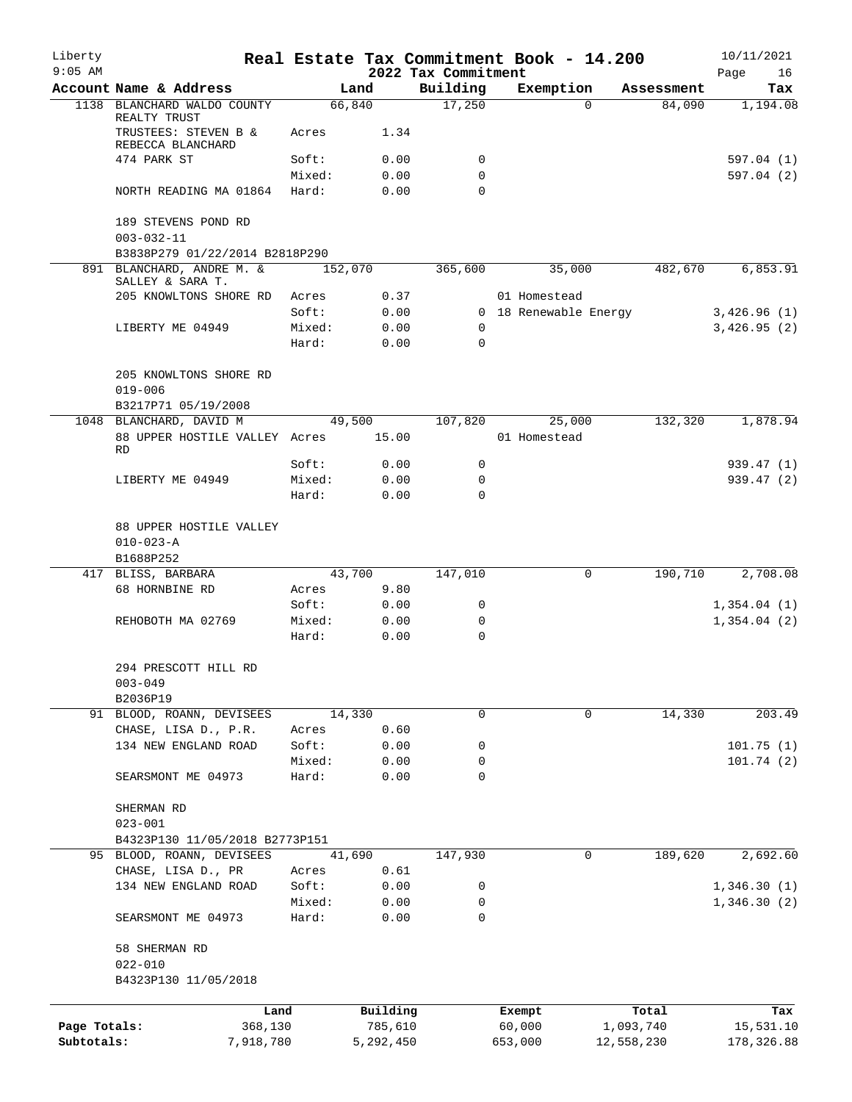| Liberty<br>$9:05$ AM |                                                                           |                |                 | Real Estate Tax Commitment Book - 14.200<br>2022 Tax Commitment |                       |             |            | 10/11/2021<br>Page<br>16 |
|----------------------|---------------------------------------------------------------------------|----------------|-----------------|-----------------------------------------------------------------|-----------------------|-------------|------------|--------------------------|
|                      | Account Name & Address                                                    |                | Land            | Building                                                        | Exemption             |             | Assessment | Tax                      |
|                      | 1138 BLANCHARD WALDO COUNTY                                               |                | 66,840          | 17,250                                                          |                       | $\Omega$    | 84,090     | 1,194.08                 |
|                      | REALTY TRUST<br>TRUSTEES: STEVEN B &<br>REBECCA BLANCHARD                 | Acres          | 1.34            |                                                                 |                       |             |            |                          |
|                      | 474 PARK ST                                                               | Soft:          | 0.00            | 0                                                               |                       |             |            | 597.04 (1)               |
|                      |                                                                           | Mixed:         | 0.00            | 0                                                               |                       |             |            | 597.04(2)                |
|                      | NORTH READING MA 01864                                                    | Hard:          | 0.00            | 0                                                               |                       |             |            |                          |
|                      | 189 STEVENS POND RD<br>$003 - 032 - 11$<br>B3838P279 01/22/2014 B2818P290 |                |                 |                                                                 |                       |             |            |                          |
|                      | 891 BLANCHARD, ANDRE M. &                                                 |                | 152,070         | 365,600                                                         |                       | 35,000      | 482,670    | 6,853.91                 |
|                      | SALLEY & SARA T.                                                          |                |                 |                                                                 |                       |             |            |                          |
|                      | 205 KNOWLTONS SHORE RD                                                    | Acres          | 0.37            |                                                                 | 01 Homestead          |             |            |                          |
|                      |                                                                           | Soft:          | 0.00            |                                                                 | 0 18 Renewable Energy |             |            | 3,426.96(1)              |
|                      | LIBERTY ME 04949                                                          | Mixed:         | 0.00            | 0                                                               |                       |             |            | 3,426.95(2)              |
|                      |                                                                           | Hard:          | 0.00            | $\Omega$                                                        |                       |             |            |                          |
|                      | 205 KNOWLTONS SHORE RD<br>$019 - 006$                                     |                |                 |                                                                 |                       |             |            |                          |
|                      | B3217P71 05/19/2008<br>1048 BLANCHARD, DAVID M                            |                |                 | 107,820                                                         |                       | 25,000      | 132,320    | 1,878.94                 |
|                      | 88 UPPER HOSTILE VALLEY Acres                                             |                | 49,500<br>15.00 |                                                                 | 01 Homestead          |             |            |                          |
|                      | RD                                                                        | Soft:          | 0.00            | 0                                                               |                       |             |            | 939.47(1)                |
|                      | LIBERTY ME 04949                                                          | Mixed:         | 0.00            | 0                                                               |                       |             |            | 939.47 (2)               |
|                      |                                                                           | Hard:          | 0.00            | $\Omega$                                                        |                       |             |            |                          |
|                      |                                                                           |                |                 |                                                                 |                       |             |            |                          |
|                      |                                                                           |                |                 |                                                                 |                       |             |            |                          |
|                      | 88 UPPER HOSTILE VALLEY<br>$010 - 023 - A$                                |                |                 |                                                                 |                       |             |            |                          |
|                      |                                                                           |                |                 |                                                                 |                       |             |            |                          |
|                      | B1688P252                                                                 |                | 43,700          |                                                                 |                       | $\mathbf 0$ | 190,710    | 2,708.08                 |
|                      | 417 BLISS, BARBARA<br>68 HORNBINE RD                                      |                | 9.80            | 147,010                                                         |                       |             |            |                          |
|                      |                                                                           | Acres<br>Soft: | 0.00            | 0                                                               |                       |             |            | 1,354.04(1)              |
|                      | REHOBOTH MA 02769                                                         | Mixed:         | 0.00            | 0                                                               |                       |             |            | 1,354.04(2)              |
|                      |                                                                           | Hard:          | 0.00            | 0                                                               |                       |             |            |                          |
|                      | 294 PRESCOTT HILL RD<br>$003 - 049$                                       |                |                 |                                                                 |                       |             |            |                          |
|                      | B2036P19                                                                  |                |                 |                                                                 |                       |             |            |                          |
|                      | 91 BLOOD, ROANN, DEVISEES                                                 |                | 14,330          | 0                                                               |                       | $\mathbf 0$ | 14,330     | 203.49                   |
|                      | CHASE, LISA D., P.R.                                                      | Acres          | 0.60            |                                                                 |                       |             |            |                          |
|                      | 134 NEW ENGLAND ROAD                                                      | Soft:          | 0.00            | 0                                                               |                       |             |            | 101.75(1)                |
|                      |                                                                           | Mixed:         | 0.00            | 0                                                               |                       |             |            | 101.74(2)                |
|                      | SEARSMONT ME 04973                                                        | Hard:          | 0.00            | 0                                                               |                       |             |            |                          |
|                      | SHERMAN RD<br>$023 - 001$                                                 |                |                 |                                                                 |                       |             |            |                          |
|                      | B4323P130 11/05/2018 B2773P151                                            |                |                 |                                                                 |                       |             |            |                          |
|                      | 95 BLOOD, ROANN, DEVISEES                                                 |                | 41,690          | 147,930                                                         |                       | 0           | 189,620    | 2,692.60                 |
|                      | CHASE, LISA D., PR                                                        | Acres          | 0.61            |                                                                 |                       |             |            |                          |
|                      | 134 NEW ENGLAND ROAD                                                      | Soft:          | 0.00            | 0                                                               |                       |             |            | 1,346.30(1)              |
|                      |                                                                           | Mixed:         | 0.00            | 0                                                               |                       |             |            | 1,346.30(2)              |
|                      | SEARSMONT ME 04973                                                        | Hard:          | 0.00            | 0                                                               |                       |             |            |                          |
|                      | 58 SHERMAN RD                                                             |                |                 |                                                                 |                       |             |            |                          |
|                      | $022 - 010$<br>B4323P130 11/05/2018                                       |                |                 |                                                                 |                       |             |            |                          |
|                      | Land                                                                      |                | Building        |                                                                 | Exempt                |             | Total      | Tax                      |
| Page Totals:         | 368,130                                                                   |                | 785,610         |                                                                 | 60,000                |             | 1,093,740  | 15,531.10                |
| Subtotals:           | 7,918,780                                                                 |                | 5,292,450       |                                                                 | 653,000               |             | 12,558,230 | 178,326.88               |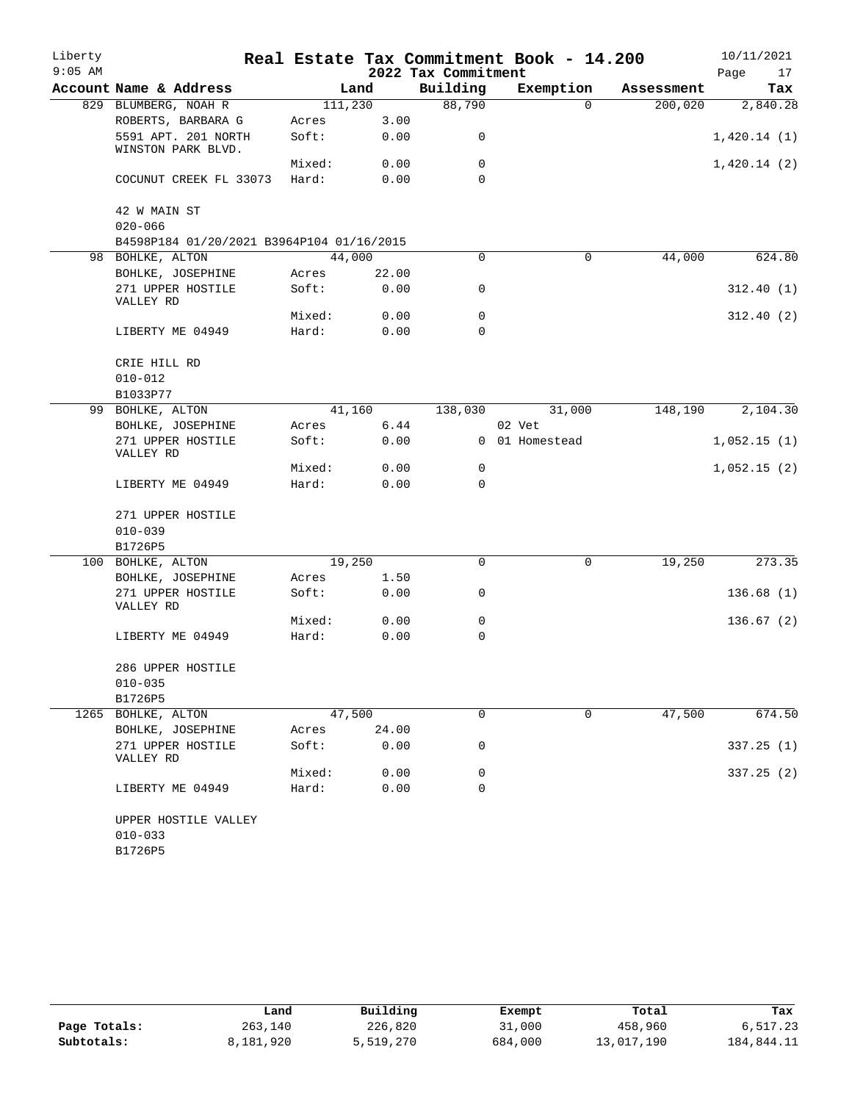| Liberty   |                                           |         |       |                     | Real Estate Tax Commitment Book - 14.200 |            | 10/11/2021  |
|-----------|-------------------------------------------|---------|-------|---------------------|------------------------------------------|------------|-------------|
| $9:05$ AM |                                           |         |       | 2022 Tax Commitment |                                          |            | Page<br>17  |
|           | Account Name & Address                    |         | Land  | Building            | Exemption                                | Assessment | Tax         |
|           | 829 BLUMBERG, NOAH R                      | 111,230 |       | 88,790              | $\Omega$                                 | 200,020    | 2,840.28    |
|           | ROBERTS, BARBARA G                        | Acres   | 3.00  |                     |                                          |            |             |
|           | 5591 APT. 201 NORTH                       | Soft:   | 0.00  | 0                   |                                          |            | 1,420.14(1) |
|           | WINSTON PARK BLVD.                        |         |       |                     |                                          |            |             |
|           |                                           | Mixed:  | 0.00  | 0                   |                                          |            | 1,420.14(2) |
|           | COCUNUT CREEK FL 33073                    | Hard:   | 0.00  | 0                   |                                          |            |             |
|           | 42 W MAIN ST                              |         |       |                     |                                          |            |             |
|           | $020 - 066$                               |         |       |                     |                                          |            |             |
|           | B4598P184 01/20/2021 B3964P104 01/16/2015 |         |       |                     |                                          |            |             |
|           | 98 BOHLKE, ALTON                          | 44,000  |       | 0                   | $\mathbf 0$                              | 44,000     | 624.80      |
|           | BOHLKE, JOSEPHINE                         | Acres   | 22.00 |                     |                                          |            |             |
|           | 271 UPPER HOSTILE                         | Soft:   | 0.00  | 0                   |                                          |            | 312.40(1)   |
|           | VALLEY RD                                 |         |       |                     |                                          |            |             |
|           |                                           | Mixed:  | 0.00  | 0                   |                                          |            | 312.40(2)   |
|           | LIBERTY ME 04949                          | Hard:   | 0.00  | $\Omega$            |                                          |            |             |
|           | CRIE HILL RD                              |         |       |                     |                                          |            |             |
|           | $010 - 012$                               |         |       |                     |                                          |            |             |
|           | B1033P77                                  |         |       |                     |                                          |            |             |
|           | 99 BOHLKE, ALTON                          | 41,160  |       | 138,030             | 31,000                                   | 148,190    | 2,104.30    |
|           | BOHLKE, JOSEPHINE                         | Acres   | 6.44  |                     | 02 Vet                                   |            |             |
|           | 271 UPPER HOSTILE                         | Soft:   | 0.00  |                     | 0 01 Homestead                           |            |             |
|           | VALLEY RD                                 |         |       |                     |                                          |            | 1,052.15(1) |
|           |                                           | Mixed:  | 0.00  | 0                   |                                          |            | 1,052.15(2) |
|           | LIBERTY ME 04949                          | Hard:   | 0.00  | 0                   |                                          |            |             |
|           |                                           |         |       |                     |                                          |            |             |
|           | 271 UPPER HOSTILE                         |         |       |                     |                                          |            |             |
|           | $010 - 039$                               |         |       |                     |                                          |            |             |
|           | B1726P5                                   |         |       |                     |                                          |            |             |
|           | 100 BOHLKE, ALTON                         | 19,250  |       | $\mathbf 0$         | 0                                        | 19,250     | 273.35      |
|           | BOHLKE, JOSEPHINE                         | Acres   | 1.50  |                     |                                          |            |             |
|           | 271 UPPER HOSTILE                         | Soft:   | 0.00  | 0                   |                                          |            | 136.68(1)   |
|           | VALLEY RD                                 |         |       |                     |                                          |            |             |
|           |                                           | Mixed:  | 0.00  | 0                   |                                          |            | 136.67(2)   |
|           | LIBERTY ME 04949                          | Hard:   | 0.00  | 0                   |                                          |            |             |
|           | 286 UPPER HOSTILE                         |         |       |                     |                                          |            |             |
|           | $010 - 035$                               |         |       |                     |                                          |            |             |
|           | B1726P5                                   |         |       |                     |                                          |            |             |
| 1265      | BOHLKE, ALTON                             | 47,500  |       | 0                   | $\mathbf 0$                              | 47,500     | 674.50      |
|           | BOHLKE, JOSEPHINE                         | Acres   | 24.00 |                     |                                          |            |             |
|           | 271 UPPER HOSTILE                         | Soft:   | 0.00  | 0                   |                                          |            | 337.25 (1)  |
|           | VALLEY RD                                 |         |       |                     |                                          |            |             |
|           |                                           | Mixed:  | 0.00  | 0                   |                                          |            | 337.25 (2)  |
|           | LIBERTY ME 04949                          | Hard:   | 0.00  | 0                   |                                          |            |             |
|           |                                           |         |       |                     |                                          |            |             |
|           | UPPER HOSTILE VALLEY                      |         |       |                     |                                          |            |             |
|           | $010 - 033$                               |         |       |                     |                                          |            |             |
|           | B1726P5                                   |         |       |                     |                                          |            |             |

|              | Land      | Building  | Exempt  | Total      | Tax        |
|--------------|-----------|-----------|---------|------------|------------|
| Page Totals: | 263,140   | 226,820   | 31,000  | 458,960    | 6,517.23   |
| Subtotals:   | 8,181,920 | 5,519,270 | 684,000 | 13,017,190 | 184,844.11 |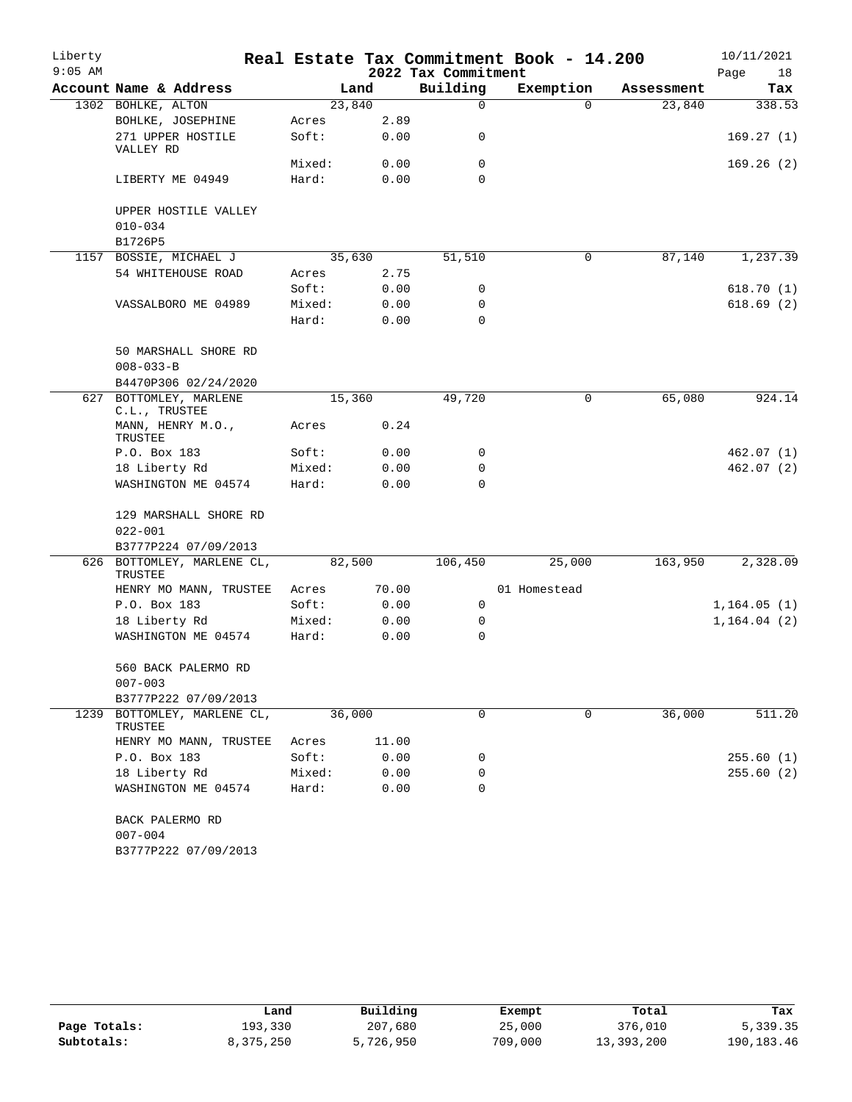| Liberty   |                                      |        |        |                     | Real Estate Tax Commitment Book - 14.200 |            | 10/11/2021   |
|-----------|--------------------------------------|--------|--------|---------------------|------------------------------------------|------------|--------------|
| $9:05$ AM |                                      |        |        | 2022 Tax Commitment |                                          |            | Page<br>18   |
|           | Account Name & Address               |        | Land   | Building            | Exemption                                | Assessment | Tax          |
|           | 1302 BOHLKE, ALTON                   |        | 23,840 | $\Omega$            | $\Omega$                                 | 23,840     | 338.53       |
|           | BOHLKE, JOSEPHINE                    | Acres  | 2.89   |                     |                                          |            |              |
|           | 271 UPPER HOSTILE<br>VALLEY RD       | Soft:  | 0.00   | 0                   |                                          |            | 169.27(1)    |
|           |                                      | Mixed: | 0.00   | 0                   |                                          |            | 169.26(2)    |
|           | LIBERTY ME 04949                     | Hard:  | 0.00   | $\Omega$            |                                          |            |              |
|           | UPPER HOSTILE VALLEY<br>$010 - 034$  |        |        |                     |                                          |            |              |
|           | B1726P5                              |        |        |                     |                                          |            |              |
|           | 1157 BOSSIE, MICHAEL J               |        | 35,630 | 51,510              | 0                                        | 87,140     | 1,237.39     |
|           | 54 WHITEHOUSE ROAD                   | Acres  | 2.75   |                     |                                          |            |              |
|           |                                      | Soft:  | 0.00   | 0                   |                                          |            | 618.70(1)    |
|           | VASSALBORO ME 04989                  | Mixed: | 0.00   | 0                   |                                          |            | 618.69(2)    |
|           |                                      | Hard:  | 0.00   | 0                   |                                          |            |              |
|           | 50 MARSHALL SHORE RD                 |        |        |                     |                                          |            |              |
|           | $008 - 033 - B$                      |        |        |                     |                                          |            |              |
|           | B4470P306 02/24/2020                 |        |        |                     |                                          |            |              |
|           | 627 BOTTOMLEY, MARLENE               |        | 15,360 |                     | 0                                        | 65,080     | 924.14       |
|           | C.L., TRUSTEE                        |        |        |                     |                                          |            |              |
|           | MANN, HENRY M.O.,<br>TRUSTEE         | Acres  | 0.24   |                     |                                          |            |              |
|           | P.O. Box 183                         | Soft:  | 0.00   | 0                   |                                          |            | 462.07(1)    |
|           | 18 Liberty Rd                        | Mixed: | 0.00   | 0                   |                                          |            | 462.07(2)    |
|           | WASHINGTON ME 04574                  | Hard:  | 0.00   | $\Omega$            |                                          |            |              |
|           | 129 MARSHALL SHORE RD<br>$022 - 001$ |        |        |                     |                                          |            |              |
|           | B3777P224 07/09/2013                 |        |        |                     |                                          |            |              |
| 626       | BOTTOMLEY, MARLENE CL,<br>TRUSTEE    |        | 82,500 | 106,450             | 25,000                                   | 163,950    | 2,328.09     |
|           | HENRY MO MANN, TRUSTEE               | Acres  | 70.00  |                     | 01 Homestead                             |            |              |
|           | P.O. Box 183                         | Soft:  | 0.00   | 0                   |                                          |            | 1,164.05(1)  |
|           | 18 Liberty Rd                        | Mixed: | 0.00   | 0                   |                                          |            | 1, 164.04(2) |
|           | WASHINGTON ME 04574                  | Hard:  | 0.00   | $\Omega$            |                                          |            |              |
|           | 560 BACK PALERMO RD                  |        |        |                     |                                          |            |              |
|           | $007 - 003$                          |        |        |                     |                                          |            |              |
|           | B3777P222 07/09/2013                 |        |        |                     |                                          |            |              |
| 1239      | BOTTOMLEY, MARLENE CL,<br>TRUSTEE    |        | 36,000 | 0                   | 0                                        | 36,000     | 511.20       |
|           | HENRY MO MANN, TRUSTEE               | Acres  | 11.00  |                     |                                          |            |              |
|           | P.O. Box 183                         | Soft:  | 0.00   | 0                   |                                          |            | 255.60(1)    |
|           | 18 Liberty Rd                        | Mixed: | 0.00   | 0                   |                                          |            | 255.60 (2)   |
|           | WASHINGTON ME 04574                  | Hard:  | 0.00   | 0                   |                                          |            |              |
|           | BACK PALERMO RD<br>$007 - 004$       |        |        |                     |                                          |            |              |

|              | Land      | Building  | Exempt  | Total      | Tax          |
|--------------|-----------|-----------|---------|------------|--------------|
| Page Totals: | 193,330   | 207,680   | 25,000  | 376,010    | 5,339.35     |
| Subtotals:   | 8,375,250 | 5,726,950 | 709,000 | 13,393,200 | 190, 183, 46 |

B3777P222 07/09/2013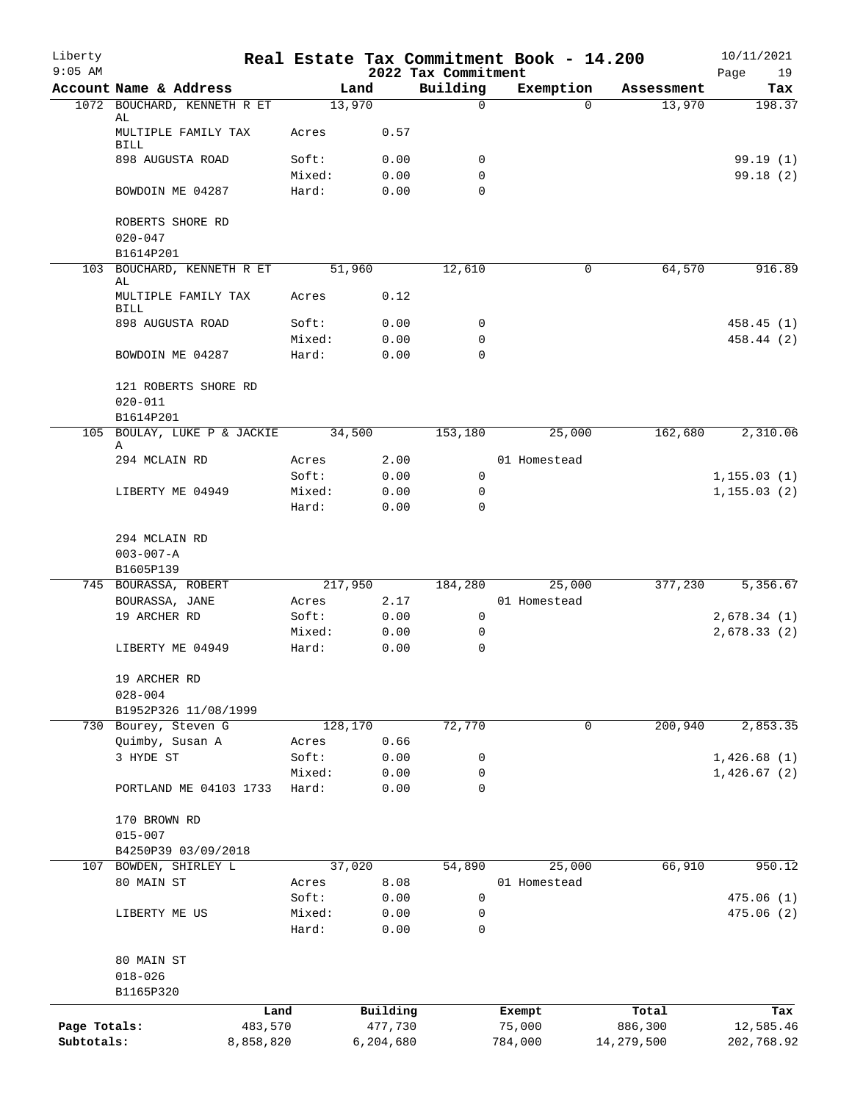| Liberty      |                                                       |           |                |                |                          | Real Estate Tax Commitment Book - 14.200 |                      | 10/11/2021    |
|--------------|-------------------------------------------------------|-----------|----------------|----------------|--------------------------|------------------------------------------|----------------------|---------------|
| $9:05$ AM    |                                                       |           |                |                | 2022 Tax Commitment      |                                          |                      | Page<br>19    |
|              | Account Name & Address<br>1072 BOUCHARD, KENNETH R ET |           |                | Land<br>13,970 | Building<br>$\mathsf{O}$ | Exemption<br>$\Omega$                    | Assessment<br>13,970 | Tax<br>198.37 |
|              | AL<br>MULTIPLE FAMILY TAX                             |           | Acres          | 0.57           |                          |                                          |                      |               |
|              | BILL<br>898 AUGUSTA ROAD                              |           | Soft:          | 0.00           | 0                        |                                          |                      | 99.19(1)      |
|              |                                                       |           | Mixed:         | 0.00           | 0                        |                                          |                      | 99.18 (2)     |
|              | BOWDOIN ME 04287                                      |           | Hard:          | 0.00           | $\Omega$                 |                                          |                      |               |
|              | ROBERTS SHORE RD<br>$020 - 047$                       |           |                |                |                          |                                          |                      |               |
|              | B1614P201                                             |           |                |                |                          |                                          |                      |               |
|              | 103 BOUCHARD, KENNETH R ET<br>AL                      |           |                | 51,960         | 12,610                   | 0                                        | 64,570               | 916.89        |
|              | MULTIPLE FAMILY TAX<br><b>BILL</b>                    |           | Acres          | 0.12           |                          |                                          |                      |               |
|              | 898 AUGUSTA ROAD                                      |           | Soft:          | 0.00           | 0                        |                                          |                      | 458.45 (1)    |
|              |                                                       |           | Mixed:         | 0.00           | $\mathbf 0$              |                                          |                      | 458.44 (2)    |
|              | BOWDOIN ME 04287                                      |           | Hard:          | 0.00           | $\mathbf 0$              |                                          |                      |               |
|              | 121 ROBERTS SHORE RD<br>$020 - 011$                   |           |                |                |                          |                                          |                      |               |
|              | B1614P201                                             |           |                |                |                          |                                          |                      |               |
|              | 105 BOULAY, LUKE P & JACKIE<br>Α                      |           |                | 34,500         | 153,180                  | 25,000                                   | 162,680              | 2,310.06      |
|              | 294 MCLAIN RD                                         |           | Acres          | 2.00           |                          | 01 Homestead                             |                      |               |
|              |                                                       |           | Soft:          | 0.00           | 0                        |                                          |                      | 1, 155.03(1)  |
|              | LIBERTY ME 04949                                      |           | Mixed:         | 0.00           | 0                        |                                          |                      | 1, 155.03(2)  |
|              |                                                       |           | Hard:          | 0.00           | $\Omega$                 |                                          |                      |               |
|              | 294 MCLAIN RD                                         |           |                |                |                          |                                          |                      |               |
|              | $003 - 007 - A$                                       |           |                |                |                          |                                          |                      |               |
|              | B1605P139                                             |           |                |                |                          |                                          |                      |               |
|              | 745 BOURASSA, ROBERT                                  |           |                | 217,950        | 184,280                  | 25,000                                   | 377,230              | 5,356.67      |
|              | BOURASSA, JANE                                        |           | Acres          | 2.17           |                          | 01 Homestead                             |                      |               |
|              | 19 ARCHER RD                                          |           | Soft:          | 0.00           | 0                        |                                          |                      | 2,678.34(1)   |
|              |                                                       |           | Mixed:         | 0.00           | 0                        |                                          |                      | 2,678.33(2)   |
|              | LIBERTY ME 04949                                      |           | Hard:          | 0.00           | 0                        |                                          |                      |               |
|              | 19 ARCHER RD<br>$028 - 004$                           |           |                |                |                          |                                          |                      |               |
|              | B1952P326 11/08/1999                                  |           |                |                |                          |                                          |                      |               |
|              | 730 Bourey, Steven G                                  |           |                | 128,170        | 72,770                   | 0                                        | 200,940              | 2,853.35      |
|              | Quimby, Susan A                                       |           | Acres          | 0.66           |                          |                                          |                      |               |
|              | 3 HYDE ST                                             |           | Soft:          | 0.00           | 0                        |                                          |                      | 1,426.68(1)   |
|              |                                                       |           | Mixed:         | 0.00           | 0                        |                                          |                      | 1,426.67(2)   |
|              | PORTLAND ME 04103 1733                                |           | Hard:          | 0.00           | 0                        |                                          |                      |               |
|              | 170 BROWN RD                                          |           |                |                |                          |                                          |                      |               |
|              | $015 - 007$                                           |           |                |                |                          |                                          |                      |               |
|              | B4250P39 03/09/2018                                   |           |                |                |                          |                                          |                      |               |
|              | 107 BOWDEN, SHIRLEY L<br>80 MAIN ST                   |           |                | 37,020<br>8.08 | 54,890                   | 25,000<br>01 Homestead                   | 66,910               | 950.12        |
|              |                                                       |           | Acres<br>Soft: | 0.00           | 0                        |                                          |                      | 475.06(1)     |
|              | LIBERTY ME US                                         |           | Mixed:         | 0.00           | 0                        |                                          |                      | 475.06(2)     |
|              |                                                       |           | Hard:          | 0.00           | 0                        |                                          |                      |               |
|              | 80 MAIN ST                                            |           |                |                |                          |                                          |                      |               |
|              | $018 - 026$                                           |           |                |                |                          |                                          |                      |               |
|              | B1165P320                                             |           |                |                |                          |                                          |                      |               |
|              |                                                       | Land      |                | Building       |                          | Exempt                                   | Total                | Tax           |
| Page Totals: |                                                       | 483,570   |                | 477,730        |                          | 75,000                                   | 886,300              | 12,585.46     |
| Subtotals:   |                                                       | 8,858,820 |                | 6,204,680      |                          | 784,000                                  | 14,279,500           | 202,768.92    |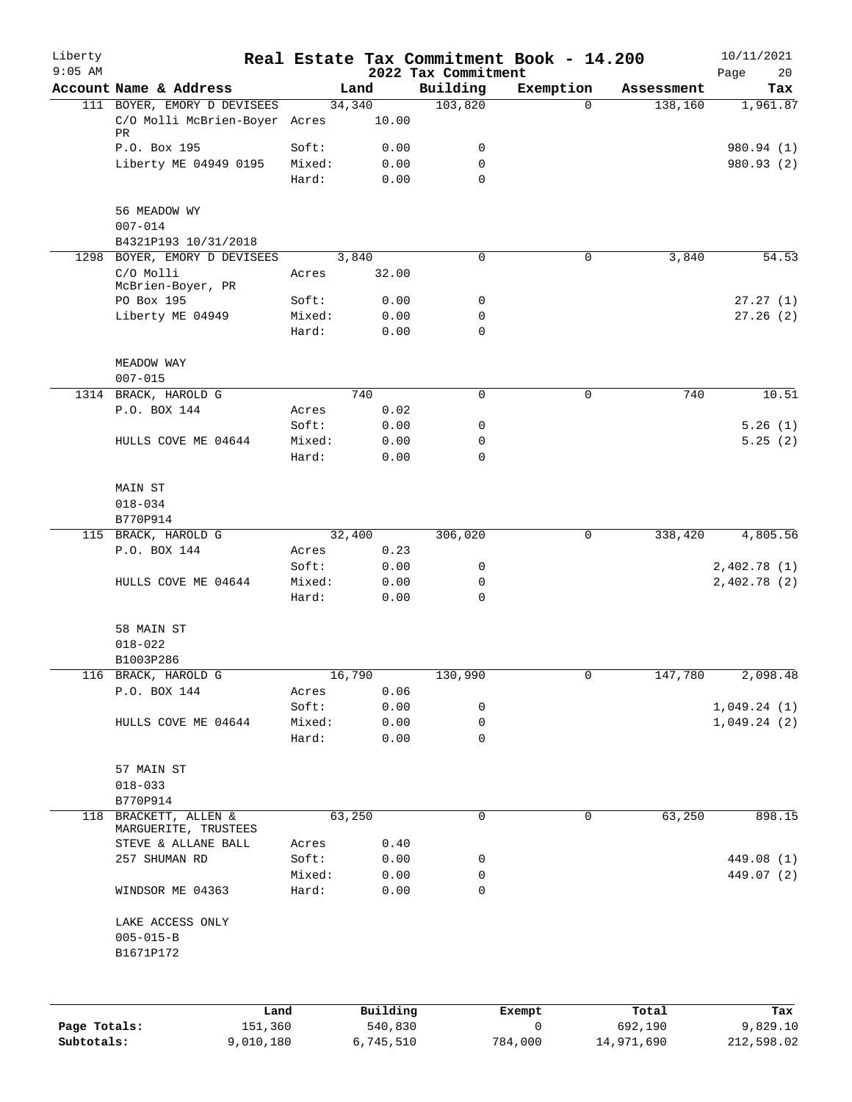| Liberty      |                                     |                 |                |                     | Real Estate Tax Commitment Book - 14.200 |                       | 10/11/2021      |
|--------------|-------------------------------------|-----------------|----------------|---------------------|------------------------------------------|-----------------------|-----------------|
| $9:05$ AM    | Account Name & Address              |                 |                | 2022 Tax Commitment |                                          |                       | 20<br>Page      |
|              | 111 BOYER, EMORY D DEVISEES         |                 | Land<br>34,340 | Building<br>103,820 | Exemption<br>$\Omega$                    | Assessment<br>138,160 | Tax<br>1,961.87 |
|              | C/O Molli McBrien-Boyer Acres<br>PR |                 | 10.00          |                     |                                          |                       |                 |
|              | P.O. Box 195                        | Soft:           | 0.00           | 0                   |                                          |                       | 980.94 (1)      |
|              | Liberty ME 04949 0195               | Mixed:<br>Hard: | 0.00<br>0.00   | 0<br>$\Omega$       |                                          |                       | 980.93 (2)      |
|              | 56 MEADOW WY<br>$007 - 014$         |                 |                |                     |                                          |                       |                 |
|              | B4321P193 10/31/2018                |                 |                |                     |                                          |                       |                 |
|              | 1298 BOYER, EMORY D DEVISEES        |                 | 3,840          | 0                   | $\mathbf 0$                              | 3,840                 | 54.53           |
|              | C/O Molli<br>McBrien-Boyer, PR      | Acres           | 32.00          |                     |                                          |                       |                 |
|              | PO Box 195                          | Soft:           | 0.00           | 0                   |                                          |                       | 27.27(1)        |
|              | Liberty ME 04949                    | Mixed:<br>Hard: | 0.00<br>0.00   | 0<br>0              |                                          |                       | 27.26(2)        |
|              | MEADOW WAY                          |                 |                |                     |                                          |                       |                 |
|              | $007 - 015$<br>1314 BRACK, HAROLD G |                 | 740            | $\mathbf 0$         | 0                                        | 740                   | 10.51           |
|              | P.O. BOX 144                        | Acres           | 0.02           |                     |                                          |                       |                 |
|              |                                     | Soft:           | 0.00           | 0                   |                                          |                       | 5.26(1)         |
|              | HULLS COVE ME 04644                 | Mixed:          | 0.00           | 0                   |                                          |                       | 5.25(2)         |
|              |                                     | Hard:           | 0.00           | 0                   |                                          |                       |                 |
|              | MAIN ST<br>$018 - 034$              |                 |                |                     |                                          |                       |                 |
|              | B770P914                            |                 |                |                     |                                          |                       |                 |
|              | 115 BRACK, HAROLD G                 |                 | 32,400         | 306,020             | 0                                        | 338,420               | 4,805.56        |
|              | P.O. BOX 144                        | Acres           | 0.23           |                     |                                          |                       |                 |
|              |                                     | Soft:           | 0.00           | 0                   |                                          |                       | 2,402.78(1)     |
|              | HULLS COVE ME 04644                 | Mixed:          | 0.00           | 0                   |                                          |                       | 2,402.78(2)     |
|              |                                     | Hard:           | 0.00           | $\Omega$            |                                          |                       |                 |
|              | 58 MAIN ST<br>$018 - 022$           |                 |                |                     |                                          |                       |                 |
|              | B1003P286                           |                 |                |                     |                                          |                       |                 |
|              | 116 BRACK, HAROLD G                 |                 | 16,790         | 130,990             | 0                                        | 147,780               | 2,098.48        |
|              | P.O. BOX 144                        | Acres           | 0.06           |                     |                                          |                       |                 |
|              |                                     | Soft:           | 0.00           | 0                   |                                          |                       | 1,049.24(1)     |
|              | HULLS COVE ME 04644                 | Mixed:          | 0.00           | 0                   |                                          |                       | 1,049.24(2)     |
|              |                                     | Hard:           | 0.00           | 0                   |                                          |                       |                 |
|              | 57 MAIN ST                          |                 |                |                     |                                          |                       |                 |
|              | $018 - 033$<br>B770P914             |                 |                |                     |                                          |                       |                 |
| 118          | BRACKETT, ALLEN &                   |                 | 63,250         | 0                   | 0                                        | 63,250                | 898.15          |
|              | MARGUERITE, TRUSTEES                |                 |                |                     |                                          |                       |                 |
|              | STEVE & ALLANE BALL                 | Acres           | 0.40           |                     |                                          |                       |                 |
|              | 257 SHUMAN RD                       | Soft:           | 0.00           | 0                   |                                          |                       | 449.08 (1)      |
|              |                                     | Mixed:          | 0.00           | 0                   |                                          |                       | 449.07 (2)      |
|              | WINDSOR ME 04363                    | Hard:           | 0.00           | 0                   |                                          |                       |                 |
|              | LAKE ACCESS ONLY                    |                 |                |                     |                                          |                       |                 |
|              | $005 - 015 - B$<br>B1671P172        |                 |                |                     |                                          |                       |                 |
|              |                                     |                 |                |                     |                                          |                       |                 |
|              | Land                                |                 | Building       |                     | Exempt                                   | Total                 | Tax             |
| Page Totals: | 151,360                             |                 | 540,830        |                     | 0                                        | 692,190               | 9,829.10        |

**Subtotals:** 9,010,180 6,745,510 784,000 14,971,690 212,598.02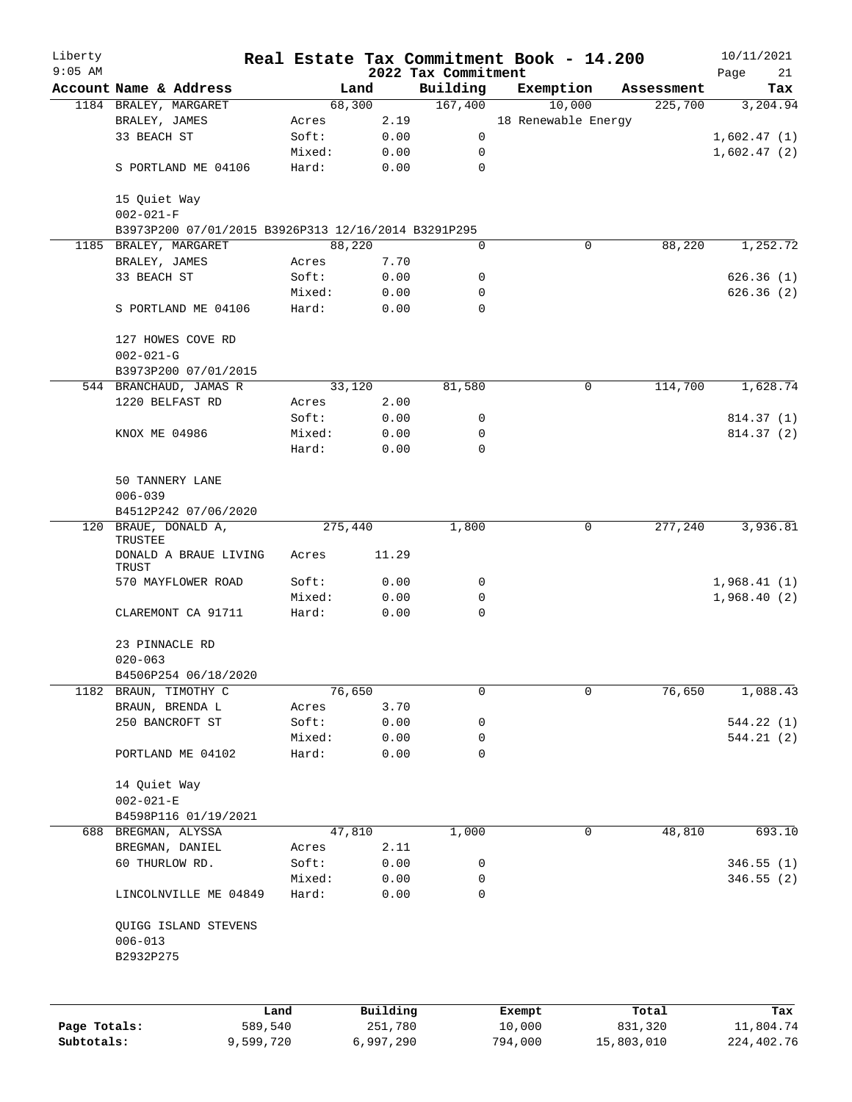| Liberty<br>$9:05$ AM |                                                     |           |                      | 2022 Tax Commitment | Real Estate Tax Commitment Book - 14.200 |                       | 10/11/2021                |
|----------------------|-----------------------------------------------------|-----------|----------------------|---------------------|------------------------------------------|-----------------------|---------------------------|
|                      | Account Name & Address                              |           | Land                 | Building            | Exemption                                | Assessment            | Page<br>21<br>Tax         |
|                      | 1184 BRALEY, MARGARET                               |           | 68,300               | 167,400             | 10,000                                   | 225,700               | 3,204.94                  |
|                      | BRALEY, JAMES                                       | Acres     | 2.19                 |                     | 18 Renewable Energy                      |                       |                           |
|                      | 33 BEACH ST                                         | Soft:     | 0.00                 | 0                   |                                          |                       | 1,602.47(1)               |
|                      |                                                     | Mixed:    | 0.00                 | 0                   |                                          |                       | 1,602.47(2)               |
|                      | S PORTLAND ME 04106                                 | Hard:     | 0.00                 | 0                   |                                          |                       |                           |
|                      | 15 Quiet Way                                        |           |                      |                     |                                          |                       |                           |
|                      | $002 - 021 - F$                                     |           |                      |                     |                                          |                       |                           |
|                      | B3973P200 07/01/2015 B3926P313 12/16/2014 B3291P295 |           |                      |                     |                                          |                       |                           |
|                      | 1185 BRALEY, MARGARET                               |           | 88,220               | 0                   | 0                                        | 88,220                | 1,252.72                  |
|                      | BRALEY, JAMES                                       | Acres     | 7.70                 |                     |                                          |                       |                           |
|                      | 33 BEACH ST                                         | Soft:     | 0.00                 | 0                   |                                          |                       | 626.36(1)                 |
|                      |                                                     | Mixed:    | 0.00                 | 0                   |                                          |                       | 626.36(2)                 |
|                      | S PORTLAND ME 04106                                 | Hard:     | 0.00                 | $\Omega$            |                                          |                       |                           |
|                      | 127 HOWES COVE RD                                   |           |                      |                     |                                          |                       |                           |
|                      | $002 - 021 - G$                                     |           |                      |                     |                                          |                       |                           |
|                      | B3973P200 07/01/2015                                |           |                      |                     |                                          |                       |                           |
|                      | 544 BRANCHAUD, JAMAS R                              |           | 33,120               | 81,580              | $\mathbf 0$                              | 114,700               | 1,628.74                  |
|                      | 1220 BELFAST RD                                     | Acres     | 2.00                 |                     |                                          |                       |                           |
|                      |                                                     | Soft:     | 0.00                 | 0                   |                                          |                       | 814.37 (1)                |
|                      | KNOX ME 04986                                       | Mixed:    | 0.00                 | 0                   |                                          |                       | 814.37(2)                 |
|                      |                                                     | Hard:     | 0.00                 | 0                   |                                          |                       |                           |
|                      |                                                     |           |                      |                     |                                          |                       |                           |
|                      | 50 TANNERY LANE<br>$006 - 039$                      |           |                      |                     |                                          |                       |                           |
|                      | B4512P242 07/06/2020                                |           |                      |                     |                                          |                       |                           |
|                      | 120 BRAUE, DONALD A,                                |           | 275,440              | 1,800               | 0                                        | 277,240               | 3,936.81                  |
|                      | TRUSTEE<br>DONALD A BRAUE LIVING                    | Acres     | 11.29                |                     |                                          |                       |                           |
|                      | TRUST                                               |           |                      |                     |                                          |                       |                           |
|                      | 570 MAYFLOWER ROAD                                  | Soft:     | 0.00                 | 0                   |                                          |                       | 1,968.41(1)               |
|                      |                                                     | Mixed:    | 0.00                 | 0                   |                                          |                       | 1,968.40(2)               |
|                      | CLAREMONT CA 91711                                  | Hard:     | 0.00                 | 0                   |                                          |                       |                           |
|                      | 23 PINNACLE RD                                      |           |                      |                     |                                          |                       |                           |
|                      | $020 - 063$                                         |           |                      |                     |                                          |                       |                           |
|                      | B4506P254 06/18/2020                                |           |                      |                     |                                          |                       |                           |
| 1182                 | BRAUN, TIMOTHY C                                    |           | 76,650               | 0                   | $\mathbf 0$                              | 76,650                | 1,088.43                  |
|                      | BRAUN, BRENDA L                                     | Acres     | 3.70                 |                     |                                          |                       |                           |
|                      | 250 BANCROFT ST                                     | Soft:     | 0.00                 | 0                   |                                          |                       | 544.22 (1)                |
|                      |                                                     | Mixed:    | 0.00                 | 0                   |                                          |                       | 544.21(2)                 |
|                      | PORTLAND ME 04102                                   | Hard:     | 0.00                 | $\mathbf 0$         |                                          |                       |                           |
|                      | 14 Quiet Way                                        |           |                      |                     |                                          |                       |                           |
|                      | $002 - 021 - E$                                     |           |                      |                     |                                          |                       |                           |
|                      | B4598P116 01/19/2021                                |           |                      |                     |                                          |                       |                           |
| 688                  | BREGMAN, ALYSSA                                     |           | 47,810               | 1,000               | 0                                        | 48,810                | 693.10                    |
|                      | BREGMAN, DANIEL                                     | Acres     | 2.11                 |                     |                                          |                       |                           |
|                      | 60 THURLOW RD.                                      | Soft:     | 0.00                 | 0                   |                                          |                       | 346.55(1)                 |
|                      |                                                     | Mixed:    | 0.00                 | 0                   |                                          |                       | 346.55(2)                 |
|                      | LINCOLNVILLE ME 04849                               | Hard:     | 0.00                 | 0                   |                                          |                       |                           |
|                      | QUIGG ISLAND STEVENS<br>$006 - 013$                 |           |                      |                     |                                          |                       |                           |
|                      | B2932P275                                           |           |                      |                     |                                          |                       |                           |
|                      |                                                     |           |                      |                     |                                          |                       |                           |
|                      |                                                     | Land      | Building             |                     | Exempt                                   | Total                 | Tax                       |
| Page Totals:         |                                                     | 589,540   | 251,780<br>6,997,290 |                     | 10,000<br>794,000                        | 831,320<br>15,803,010 | 11,804.74<br>224, 402. 76 |
| Subtotals:           |                                                     | 9,599,720 |                      |                     |                                          |                       |                           |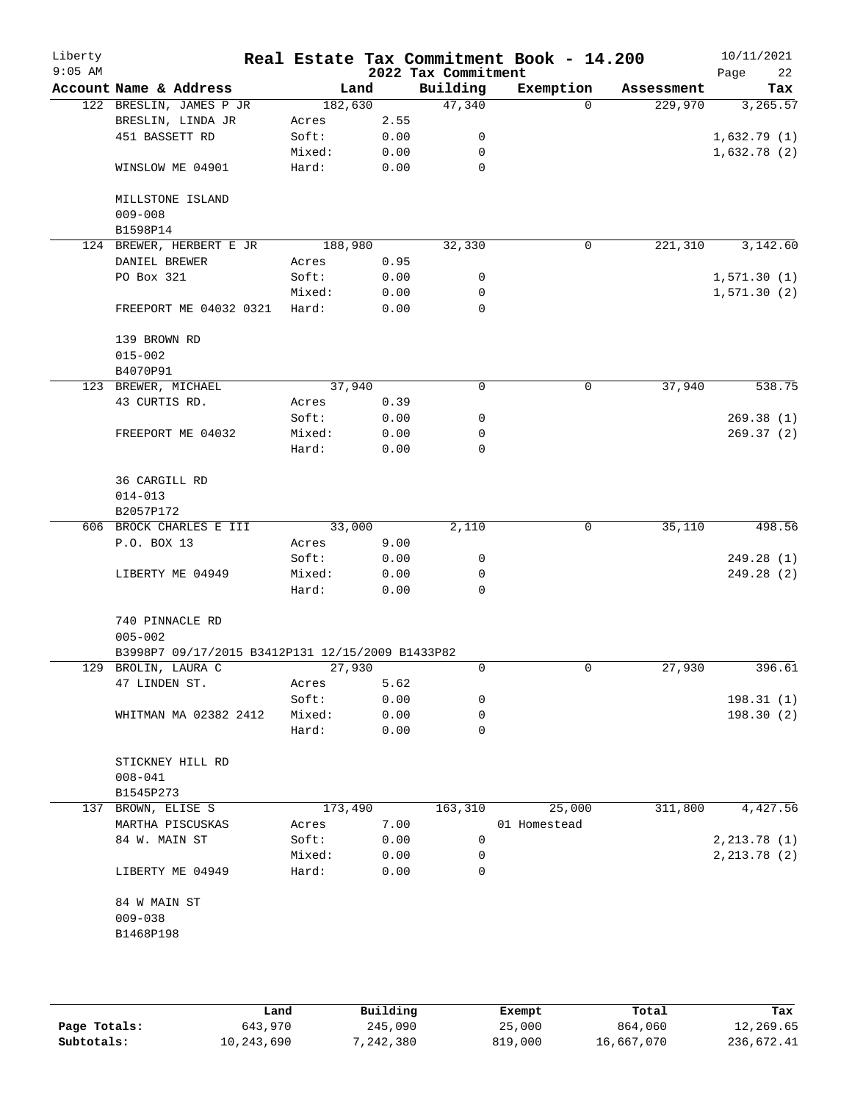| Liberty<br>$9:05$ AM |                                                                         |         |      | 2022 Tax Commitment | Real Estate Tax Commitment Book - 14.200 |            | 10/11/2021<br>22<br>Page |
|----------------------|-------------------------------------------------------------------------|---------|------|---------------------|------------------------------------------|------------|--------------------------|
|                      | Account Name & Address                                                  | Land    |      | Building            | Exemption                                | Assessment | Tax                      |
|                      | 122 BRESLIN, JAMES P JR                                                 | 182,630 |      | 47,340              | $\Omega$                                 | 229,970    | 3, 265.57                |
|                      | BRESLIN, LINDA JR                                                       | Acres   | 2.55 |                     |                                          |            |                          |
|                      | 451 BASSETT RD                                                          | Soft:   | 0.00 | 0                   |                                          |            | 1,632.79(1)              |
|                      |                                                                         | Mixed:  | 0.00 | 0                   |                                          |            | 1,632.78(2)              |
|                      | WINSLOW ME 04901                                                        | Hard:   | 0.00 | 0                   |                                          |            |                          |
|                      | MILLSTONE ISLAND                                                        |         |      |                     |                                          |            |                          |
|                      | $009 - 008$<br>B1598P14                                                 |         |      |                     |                                          |            |                          |
|                      | 124 BREWER, HERBERT E JR                                                | 188,980 |      | 32,330              | 0                                        | 221,310    | 3,142.60                 |
|                      | DANIEL BREWER                                                           | Acres   | 0.95 |                     |                                          |            |                          |
|                      | PO Box 321                                                              | Soft:   | 0.00 | 0                   |                                          |            | 1,571.30(1)              |
|                      |                                                                         | Mixed:  | 0.00 | 0                   |                                          |            | 1,571.30(2)              |
|                      | FREEPORT ME 04032 0321                                                  | Hard:   | 0.00 | 0                   |                                          |            |                          |
|                      |                                                                         |         |      |                     |                                          |            |                          |
|                      | 139 BROWN RD                                                            |         |      |                     |                                          |            |                          |
|                      | $015 - 002$                                                             |         |      |                     |                                          |            |                          |
|                      | B4070P91<br>123 BREWER, MICHAEL                                         | 37,940  |      | 0                   | 0                                        | 37,940     | 538.75                   |
|                      | 43 CURTIS RD.                                                           | Acres   | 0.39 |                     |                                          |            |                          |
|                      |                                                                         | Soft:   | 0.00 | 0                   |                                          |            | 269.38(1)                |
|                      | FREEPORT ME 04032                                                       | Mixed:  | 0.00 | 0                   |                                          |            | 269.37(2)                |
|                      |                                                                         | Hard:   | 0.00 | 0                   |                                          |            |                          |
|                      |                                                                         |         |      |                     |                                          |            |                          |
|                      | <b>36 CARGILL RD</b>                                                    |         |      |                     |                                          |            |                          |
|                      | $014 - 013$                                                             |         |      |                     |                                          |            |                          |
|                      | B2057P172                                                               |         |      |                     |                                          |            |                          |
|                      | 606 BROCK CHARLES E III                                                 | 33,000  |      | 2,110               | 0                                        | 35,110     | 498.56                   |
|                      | P.O. BOX 13                                                             | Acres   | 9.00 |                     |                                          |            |                          |
|                      |                                                                         | Soft:   | 0.00 | 0                   |                                          |            | 249.28 (1)               |
|                      | LIBERTY ME 04949                                                        | Mixed:  | 0.00 | 0                   |                                          |            | 249.28 (2)               |
|                      |                                                                         | Hard:   | 0.00 | $\Omega$            |                                          |            |                          |
|                      |                                                                         |         |      |                     |                                          |            |                          |
|                      | 740 PINNACLE RD                                                         |         |      |                     |                                          |            |                          |
|                      | $005 - 002$                                                             |         |      |                     |                                          |            |                          |
|                      | B3998P7 09/17/2015 B3412P131 12/15/2009 B1433P82<br>129 BROLIN, LAURA C | 27,930  |      | 0                   | $\mathbf 0$                              | 27,930     | 396.61                   |
|                      | 47 LINDEN ST.                                                           |         | 5.62 |                     |                                          |            |                          |
|                      |                                                                         | Acres   |      |                     |                                          |            |                          |
|                      |                                                                         | Soft:   | 0.00 | 0                   |                                          |            | 198.31(1)                |
|                      | WHITMAN MA 02382 2412                                                   | Mixed:  | 0.00 | 0<br>0              |                                          |            | 198.30 (2)               |
|                      |                                                                         | Hard:   | 0.00 |                     |                                          |            |                          |
|                      | STICKNEY HILL RD                                                        |         |      |                     |                                          |            |                          |
|                      | $008 - 041$                                                             |         |      |                     |                                          |            |                          |
|                      | B1545P273                                                               |         |      |                     |                                          |            |                          |
|                      | 137 BROWN, ELISE S                                                      | 173,490 |      | 163,310             | 25,000                                   | 311,800    | 4,427.56                 |
|                      | MARTHA PISCUSKAS                                                        | Acres   | 7.00 |                     | 01 Homestead                             |            |                          |
|                      | 84 W. MAIN ST                                                           | Soft:   | 0.00 | 0                   |                                          |            | 2, 213.78(1)             |
|                      |                                                                         | Mixed:  | 0.00 | 0                   |                                          |            | 2, 213.78 (2)            |
|                      | LIBERTY ME 04949                                                        | Hard:   | 0.00 | 0                   |                                          |            |                          |
|                      |                                                                         |         |      |                     |                                          |            |                          |
|                      | 84 W MAIN ST                                                            |         |      |                     |                                          |            |                          |
|                      | $009 - 038$                                                             |         |      |                     |                                          |            |                          |
|                      | B1468P198                                                               |         |      |                     |                                          |            |                          |
|                      |                                                                         |         |      |                     |                                          |            |                          |
|                      |                                                                         |         |      |                     |                                          |            |                          |
|                      |                                                                         |         |      |                     |                                          |            |                          |

|              | Land       | Building  | Exempt  | Total      | Tax        |
|--------------|------------|-----------|---------|------------|------------|
| Page Totals: | 643,970    | 245,090   | 25,000  | 864,060    | 12,269.65  |
| Subtotals:   | 10,243,690 | 7,242,380 | 819,000 | 16,667,070 | 236,672.41 |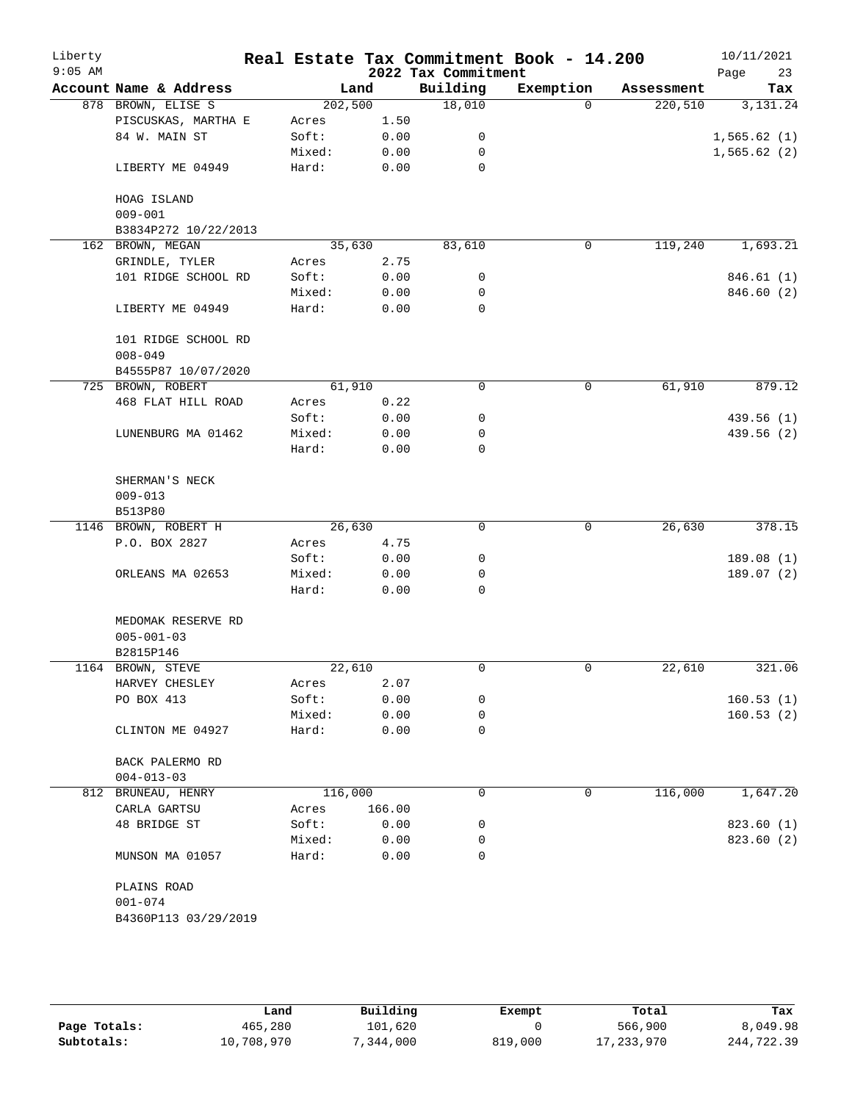| Liberty<br>$9:05$ AM |                        |         |        | 2022 Tax Commitment | Real Estate Tax Commitment Book - 14.200 |            | 10/11/2021<br>23<br>Page |
|----------------------|------------------------|---------|--------|---------------------|------------------------------------------|------------|--------------------------|
|                      | Account Name & Address | Land    |        | Building            | Exemption                                | Assessment | Tax                      |
|                      | 878 BROWN, ELISE S     | 202,500 |        | 18,010              | $\Omega$                                 | 220,510    | 3,131.24                 |
|                      | PISCUSKAS, MARTHA E    | Acres   | 1.50   |                     |                                          |            |                          |
|                      | 84 W. MAIN ST          | Soft:   | 0.00   | 0                   |                                          |            | 1,565.62(1)              |
|                      |                        | Mixed:  | 0.00   | 0                   |                                          |            | 1,565.62(2)              |
|                      | LIBERTY ME 04949       | Hard:   | 0.00   | 0                   |                                          |            |                          |
|                      | HOAG ISLAND            |         |        |                     |                                          |            |                          |
|                      | $009 - 001$            |         |        |                     |                                          |            |                          |
|                      | B3834P272 10/22/2013   |         |        |                     |                                          |            |                          |
|                      | 162 BROWN, MEGAN       | 35,630  |        | 83,610              | 0                                        | 119,240    | 1,693.21                 |
|                      | GRINDLE, TYLER         | Acres   | 2.75   |                     |                                          |            |                          |
|                      | 101 RIDGE SCHOOL RD    | Soft:   | 0.00   | 0                   |                                          |            | 846.61 (1)               |
|                      |                        | Mixed:  | 0.00   | 0                   |                                          |            | 846.60 (2)               |
|                      | LIBERTY ME 04949       | Hard:   | 0.00   | $\mathbf 0$         |                                          |            |                          |
|                      | 101 RIDGE SCHOOL RD    |         |        |                     |                                          |            |                          |
|                      | $008 - 049$            |         |        |                     |                                          |            |                          |
|                      | B4555P87 10/07/2020    |         |        |                     |                                          |            |                          |
|                      | 725 BROWN, ROBERT      | 61,910  |        | 0                   | $\mathbf 0$                              | 61,910     | 879.12                   |
|                      | 468 FLAT HILL ROAD     | Acres   | 0.22   |                     |                                          |            |                          |
|                      |                        | Soft:   | 0.00   | 0                   |                                          |            | 439.56(1)                |
|                      | LUNENBURG MA 01462     | Mixed:  | 0.00   | 0                   |                                          |            | 439.56 (2)               |
|                      |                        | Hard:   | 0.00   | $\mathbf 0$         |                                          |            |                          |
|                      | SHERMAN'S NECK         |         |        |                     |                                          |            |                          |
|                      | $009 - 013$            |         |        |                     |                                          |            |                          |
|                      | B513P80                |         |        |                     |                                          |            |                          |
|                      | 1146 BROWN, ROBERT H   | 26,630  |        | 0                   | 0                                        | 26,630     | 378.15                   |
|                      | P.O. BOX 2827          | Acres   | 4.75   |                     |                                          |            |                          |
|                      |                        | Soft:   | 0.00   | 0                   |                                          |            | 189.08 (1)               |
|                      | ORLEANS MA 02653       | Mixed:  | 0.00   | 0                   |                                          |            | 189.07(2)                |
|                      |                        | Hard:   | 0.00   | $\Omega$            |                                          |            |                          |
|                      | MEDOMAK RESERVE RD     |         |        |                     |                                          |            |                          |
|                      | $005 - 001 - 03$       |         |        |                     |                                          |            |                          |
|                      | B2815P146              |         |        |                     |                                          |            |                          |
|                      | 1164 BROWN, STEVE      | 22,610  |        | $\mathbf 0$         | 0                                        | 22,610     | 321.06                   |
|                      | HARVEY CHESLEY         | Acres   | 2.07   |                     |                                          |            |                          |
|                      | PO BOX 413             | Soft:   | 0.00   | 0                   |                                          |            | 160.53(1)                |
|                      |                        | Mixed:  | 0.00   | 0                   |                                          |            | 160.53(2)                |
|                      | CLINTON ME 04927       | Hard:   | 0.00   | 0                   |                                          |            |                          |
|                      | BACK PALERMO RD        |         |        |                     |                                          |            |                          |
|                      | $004 - 013 - 03$       |         |        |                     |                                          |            |                          |
|                      | 812 BRUNEAU, HENRY     | 116,000 |        | 0                   | 0                                        | 116,000    | 1,647.20                 |
|                      | CARLA GARTSU           | Acres   | 166.00 |                     |                                          |            |                          |
|                      | 48 BRIDGE ST           | Soft:   | 0.00   | 0                   |                                          |            | 823.60(1)                |
|                      |                        | Mixed:  | 0.00   | 0                   |                                          |            | 823.60 (2)               |
|                      | MUNSON MA 01057        | Hard:   | 0.00   | 0                   |                                          |            |                          |
|                      | PLAINS ROAD            |         |        |                     |                                          |            |                          |
|                      | $001 - 074$            |         |        |                     |                                          |            |                          |
|                      | B4360P113 03/29/2019   |         |        |                     |                                          |            |                          |

|              | Land       | Building   | Exempt  | Total        | Tax        |
|--------------|------------|------------|---------|--------------|------------|
| Page Totals: | 465,280    | 101,620    |         | 566,900      | 8,049.98   |
| Subtotals:   | 10,708,970 | , 344, 000 | 819,000 | 17, 233, 970 | 244,722.39 |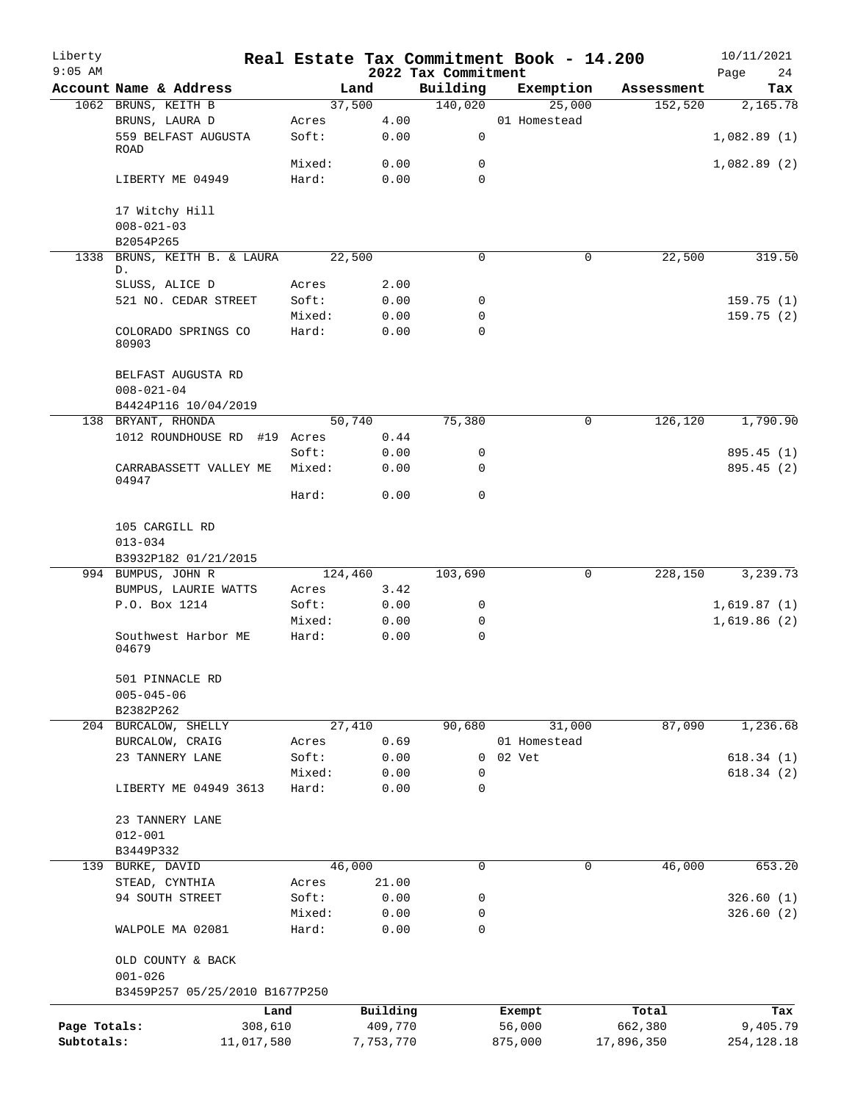| Liberty<br>$9:05$ AM |                                            |                |              |                                 | Real Estate Tax Commitment Book - 14.200 |            | 10/11/2021        |
|----------------------|--------------------------------------------|----------------|--------------|---------------------------------|------------------------------------------|------------|-------------------|
|                      | Account Name & Address                     | Land           |              | 2022 Tax Commitment<br>Building | Exemption                                | Assessment | Page<br>24<br>Tax |
|                      | 1062 BRUNS, KEITH B                        | 37,500         |              | 140,020                         | 25,000                                   | 152,520    | 2,165.78          |
|                      | BRUNS, LAURA D                             | Acres          | 4.00         |                                 | 01 Homestead                             |            |                   |
|                      | 559 BELFAST AUGUSTA<br>ROAD                | Soft:          | 0.00         | 0                               |                                          |            | 1,082.89(1)       |
|                      |                                            | Mixed:         | 0.00         | 0                               |                                          |            | 1,082.89(2)       |
|                      | LIBERTY ME 04949                           | Hard:          | 0.00         | $\Omega$                        |                                          |            |                   |
|                      | 17 Witchy Hill                             |                |              |                                 |                                          |            |                   |
|                      | $008 - 021 - 03$                           |                |              |                                 |                                          |            |                   |
|                      | B2054P265                                  |                |              |                                 |                                          |            |                   |
| 1338                 | BRUNS, KEITH B. & LAURA<br>D.              | 22,500         |              | 0                               | 0                                        | 22,500     | 319.50            |
|                      | SLUSS, ALICE D                             | Acres          | 2.00         |                                 |                                          |            |                   |
|                      | 521 NO. CEDAR STREET                       | Soft:          | 0.00         | 0                               |                                          |            | 159.75(1)         |
|                      |                                            | Mixed:         | 0.00         | 0                               |                                          |            | 159.75(2)         |
|                      | COLORADO SPRINGS CO<br>80903               | Hard:          | 0.00         | 0                               |                                          |            |                   |
|                      | BELFAST AUGUSTA RD                         |                |              |                                 |                                          |            |                   |
|                      | $008 - 021 - 04$                           |                |              |                                 |                                          |            |                   |
|                      | B4424P116 10/04/2019<br>138 BRYANT, RHONDA | 50,740         |              | 75,380                          | $\mathbf 0$                              | 126,120    | 1,790.90          |
|                      | 1012 ROUNDHOUSE RD #19 Acres               |                | 0.44         |                                 |                                          |            |                   |
|                      |                                            | Soft:          | 0.00         | 0                               |                                          |            | 895.45 (1)        |
|                      | CARRABASSETT VALLEY ME<br>04947            | Mixed:         | 0.00         | 0                               |                                          |            | 895.45(2)         |
|                      |                                            | Hard:          | 0.00         | 0                               |                                          |            |                   |
|                      | 105 CARGILL RD<br>$013 - 034$              |                |              |                                 |                                          |            |                   |
|                      | B3932P182 01/21/2015                       |                |              |                                 |                                          |            |                   |
|                      | 994 BUMPUS, JOHN R<br>BUMPUS, LAURIE WATTS | 124,460        | 3.42         | 103,690                         | $\mathbf 0$                              | 228,150    | 3,239.73          |
|                      | P.O. Box 1214                              | Acres<br>Soft: | 0.00         | 0                               |                                          |            | 1,619.87(1)       |
|                      |                                            | Mixed:         | 0.00         | 0                               |                                          |            | 1,619.86(2)       |
|                      | Southwest Harbor ME<br>04679               | Hard:          | 0.00         | $\mathbf 0$                     |                                          |            |                   |
|                      | 501 PINNACLE RD                            |                |              |                                 |                                          |            |                   |
|                      | $005 - 045 - 06$                           |                |              |                                 |                                          |            |                   |
|                      | B2382P262                                  |                |              | 90,680                          |                                          |            |                   |
|                      | 204 BURCALOW, SHELLY                       | 27,410         |              |                                 | 31,000<br>01 Homestead                   | 87,090     | 1,236.68          |
|                      | BURCALOW, CRAIG<br>23 TANNERY LANE         | Acres<br>Soft: | 0.69<br>0.00 | 0                               | 02 Vet                                   |            | 618.34(1)         |
|                      |                                            | Mixed:         | 0.00         | 0                               |                                          |            | 618.34(2)         |
|                      | LIBERTY ME 04949 3613                      | Hard:          | 0.00         | 0                               |                                          |            |                   |
|                      |                                            |                |              |                                 |                                          |            |                   |
|                      | 23 TANNERY LANE                            |                |              |                                 |                                          |            |                   |
|                      | $012 - 001$<br>B3449P332                   |                |              |                                 |                                          |            |                   |
|                      | 139 BURKE, DAVID                           | 46,000         |              | 0                               | $\mathbf 0$                              | 46,000     | 653.20            |
|                      | STEAD, CYNTHIA                             | Acres          | 21.00        |                                 |                                          |            |                   |
|                      | 94 SOUTH STREET                            | Soft:          | 0.00         | 0                               |                                          |            | 326.60(1)         |
|                      |                                            | Mixed:         | 0.00         | 0                               |                                          |            | 326.60(2)         |
|                      | WALPOLE MA 02081                           | Hard:          | 0.00         | 0                               |                                          |            |                   |
|                      | OLD COUNTY & BACK<br>$001 - 026$           |                |              |                                 |                                          |            |                   |
|                      | B3459P257 05/25/2010 B1677P250             |                |              |                                 |                                          |            |                   |
|                      | Land                                       |                | Building     |                                 | Exempt                                   | Total      | Tax               |
| Page Totals:         | 308,610                                    |                | 409,770      |                                 | 56,000                                   | 662,380    | 9,405.79          |
| Subtotals:           | 11,017,580                                 |                | 7,753,770    |                                 | 875,000                                  | 17,896,350 | 254, 128. 18      |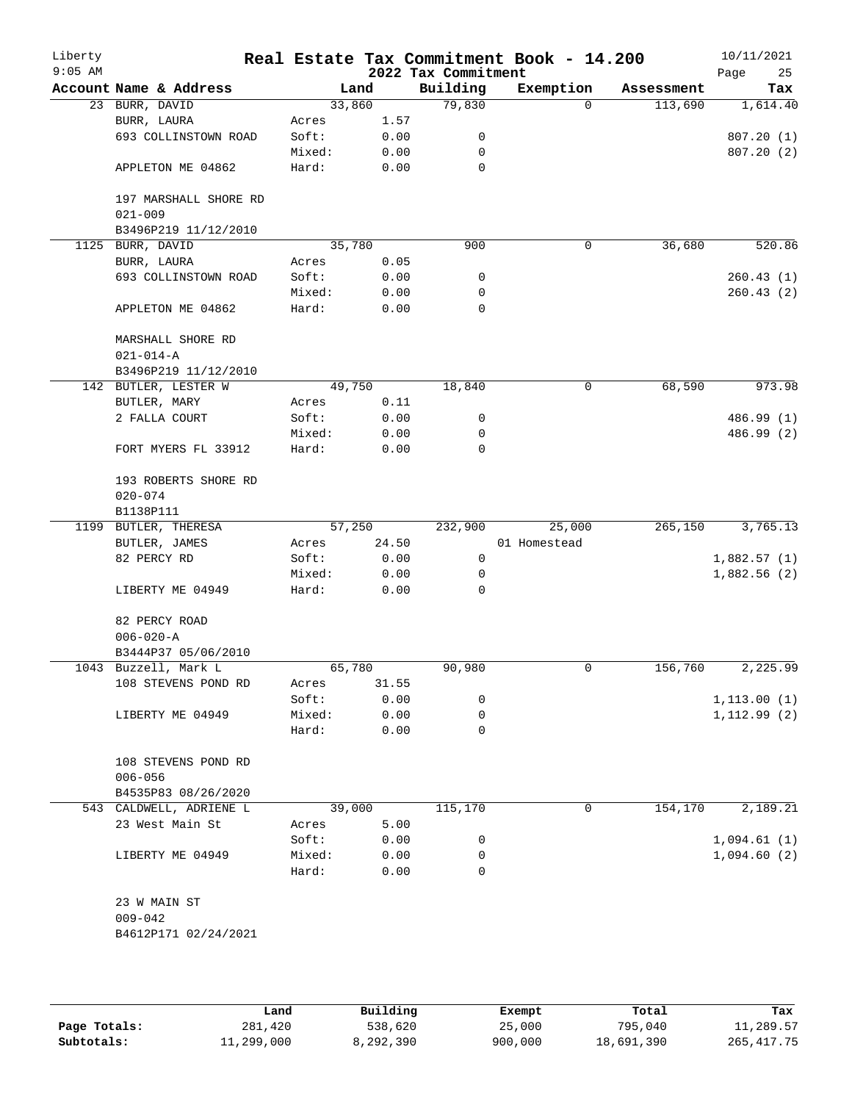| Liberty<br>$9:05$ AM |                                      |                |       | 2022 Tax Commitment | Real Estate Tax Commitment Book - 14.200 |            | 10/11/2021<br>Page<br>25   |
|----------------------|--------------------------------------|----------------|-------|---------------------|------------------------------------------|------------|----------------------------|
|                      | Account Name & Address               |                | Land  | Building            | Exemption                                | Assessment | Tax                        |
|                      | 23 BURR, DAVID                       | 33,860         |       | 79,830              | $\Omega$                                 | 113,690    | 1,614.40                   |
|                      | BURR, LAURA                          | Acres          | 1.57  |                     |                                          |            |                            |
|                      | 693 COLLINSTOWN ROAD                 | Soft:          | 0.00  | 0                   |                                          |            | 807.20(1)                  |
|                      |                                      | Mixed:         | 0.00  | 0                   |                                          |            | 807.20(2)                  |
|                      | APPLETON ME 04862                    | Hard:          | 0.00  | 0                   |                                          |            |                            |
|                      | 197 MARSHALL SHORE RD                |                |       |                     |                                          |            |                            |
|                      | $021 - 009$                          |                |       |                     |                                          |            |                            |
|                      | B3496P219 11/12/2010                 |                |       |                     |                                          |            |                            |
| 1125                 | BURR, DAVID                          | 35,780         |       | 900                 | $\mathbf 0$                              | 36,680     | 520.86                     |
|                      | BURR, LAURA                          | Acres          | 0.05  |                     |                                          |            |                            |
|                      | 693 COLLINSTOWN ROAD                 | Soft:          | 0.00  | 0                   |                                          |            | 260.43 (1)                 |
|                      |                                      | Mixed:         | 0.00  | 0                   |                                          |            | 260.43(2)                  |
|                      | APPLETON ME 04862                    | Hard:          | 0.00  | $\mathbf 0$         |                                          |            |                            |
|                      | MARSHALL SHORE RD<br>$021 - 014 - A$ |                |       |                     |                                          |            |                            |
|                      | B3496P219 11/12/2010                 |                |       |                     |                                          |            |                            |
|                      | 142 BUTLER, LESTER W                 | 49,750         |       | 18,840              | 0                                        | 68,590     | 973.98                     |
|                      | BUTLER, MARY                         | Acres          | 0.11  |                     |                                          |            |                            |
|                      | 2 FALLA COURT                        | Soft:          | 0.00  | 0                   |                                          |            | 486.99 (1)                 |
|                      |                                      | Mixed:         | 0.00  | 0                   |                                          |            | 486.99 (2)                 |
|                      | FORT MYERS FL 33912                  | Hard:          | 0.00  | $\Omega$            |                                          |            |                            |
|                      | 193 ROBERTS SHORE RD                 |                |       |                     |                                          |            |                            |
|                      | $020 - 074$                          |                |       |                     |                                          |            |                            |
|                      | B1138P111                            | 57,250         |       | 232,900             | 25,000                                   | 265,150    | 3,765.13                   |
|                      | 1199 BUTLER, THERESA                 |                | 24.50 |                     | 01 Homestead                             |            |                            |
|                      | BUTLER, JAMES<br>82 PERCY RD         | Acres<br>Soft: | 0.00  | 0                   |                                          |            |                            |
|                      |                                      | Mixed:         | 0.00  | 0                   |                                          |            | 1,882.57(1)<br>1,882.56(2) |
|                      | LIBERTY ME 04949                     | Hard:          | 0.00  | 0                   |                                          |            |                            |
|                      | 82 PERCY ROAD                        |                |       |                     |                                          |            |                            |
|                      | $006 - 020 - A$                      |                |       |                     |                                          |            |                            |
|                      | B3444P37 05/06/2010                  |                |       |                     |                                          |            |                            |
|                      | 1043 Buzzell, Mark L                 | 65,780         |       | 90,980              | 0                                        | 156,760    | 2,225.99                   |
|                      | 108 STEVENS POND RD                  | Acres          | 31.55 |                     |                                          |            |                            |
|                      |                                      | Soft:          | 0.00  | 0                   |                                          |            | 1, 113.00(1)               |
|                      | LIBERTY ME 04949                     | Mixed:         | 0.00  | 0                   |                                          |            | 1, 112.99 (2)              |
|                      |                                      | Hard:          | 0.00  | 0                   |                                          |            |                            |
|                      | 108 STEVENS POND RD                  |                |       |                     |                                          |            |                            |
|                      | $006 - 056$                          |                |       |                     |                                          |            |                            |
|                      | B4535P83 08/26/2020                  |                |       |                     |                                          |            |                            |
|                      | 543 CALDWELL, ADRIENE L              | 39,000         |       | 115,170             | 0                                        | 154,170    | 2,189.21                   |
|                      | 23 West Main St                      | Acres          | 5.00  |                     |                                          |            |                            |
|                      |                                      | Soft:          | 0.00  | 0                   |                                          |            | 1,094.61(1)                |
|                      | LIBERTY ME 04949                     | Mixed:         | 0.00  | 0                   |                                          |            | 1,094.60(2)                |
|                      |                                      | Hard:          | 0.00  | $\Omega$            |                                          |            |                            |
|                      | 23 W MAIN ST                         |                |       |                     |                                          |            |                            |
|                      | $009 - 042$                          |                |       |                     |                                          |            |                            |
|                      | B4612P171 02/24/2021                 |                |       |                     |                                          |            |                            |
|                      |                                      |                |       |                     |                                          |            |                            |

|              | Land       | Building  | Exempt  | Total      | Tax          |
|--------------|------------|-----------|---------|------------|--------------|
| Page Totals: | 281,420    | 538,620   | 25,000  | 795,040    | 11,289.57    |
| Subtotals:   | 11,299,000 | 8,292,390 | 900,000 | 18,691,390 | 265, 417. 75 |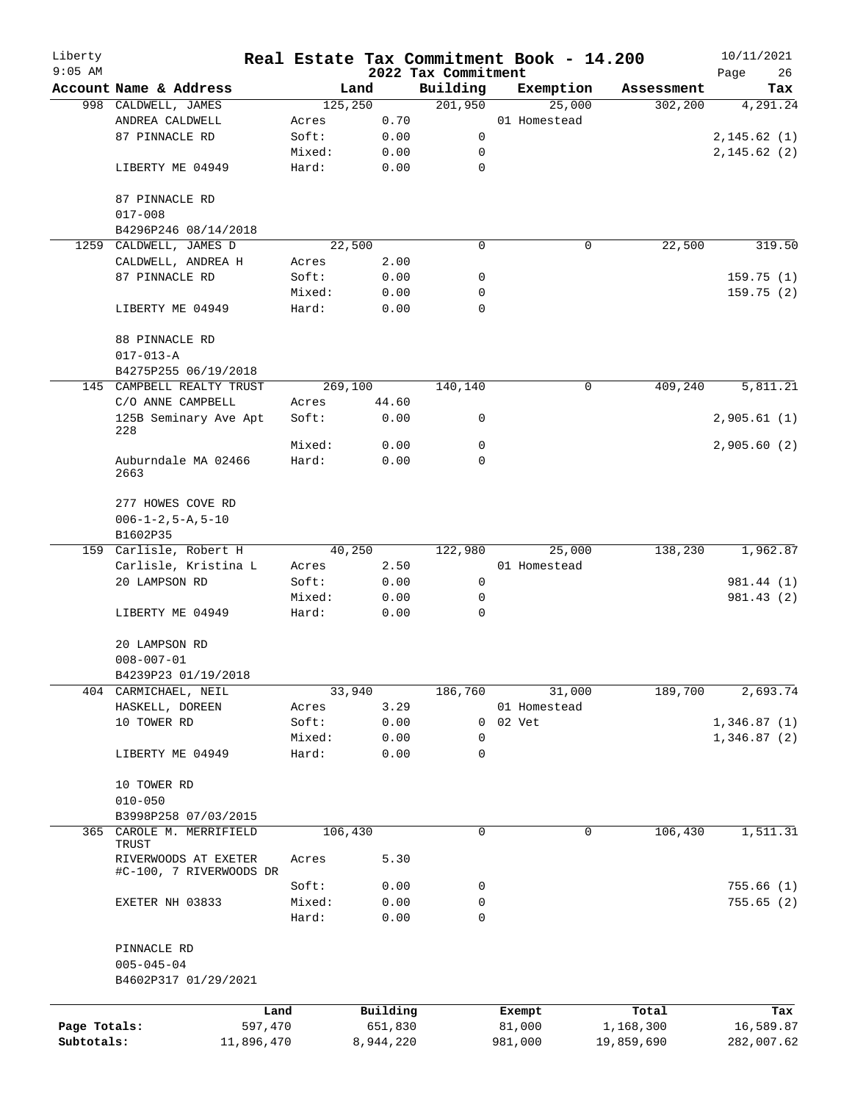| Liberty<br>$9:05$ AM |                                                 |        |           | 2022 Tax Commitment | Real Estate Tax Commitment Book - 14.200 |            | 10/11/2021<br>Page<br>26 |
|----------------------|-------------------------------------------------|--------|-----------|---------------------|------------------------------------------|------------|--------------------------|
|                      | Account Name & Address                          |        | Land      | Building            | Exemption                                | Assessment | Tax                      |
|                      | 998 CALDWELL, JAMES                             |        | 125,250   | 201,950             | 25,000                                   | 302, 200   | 4,291.24                 |
|                      | ANDREA CALDWELL                                 | Acres  | 0.70      |                     | 01 Homestead                             |            |                          |
|                      | 87 PINNACLE RD                                  | Soft:  | 0.00      | 0                   |                                          |            | 2, 145.62(1)             |
|                      |                                                 | Mixed: | 0.00      | 0                   |                                          |            | 2,145.62(2)              |
|                      | LIBERTY ME 04949                                | Hard:  | 0.00      | $\mathbf 0$         |                                          |            |                          |
|                      | 87 PINNACLE RD                                  |        |           |                     |                                          |            |                          |
|                      | $017 - 008$                                     |        |           |                     |                                          |            |                          |
|                      | B4296P246 08/14/2018                            |        |           |                     |                                          |            |                          |
|                      | 1259 CALDWELL, JAMES D                          |        | 22,500    | $\Omega$            | 0                                        | 22,500     | 319.50                   |
|                      | CALDWELL, ANDREA H                              | Acres  | 2.00      |                     |                                          |            |                          |
|                      | 87 PINNACLE RD                                  | Soft:  | 0.00      | 0                   |                                          |            | 159.75(1)                |
|                      |                                                 | Mixed: | 0.00      | 0                   |                                          |            | 159.75(2)                |
|                      | LIBERTY ME 04949                                | Hard:  | 0.00      | $\mathbf 0$         |                                          |            |                          |
|                      | 88 PINNACLE RD                                  |        |           |                     |                                          |            |                          |
|                      | $017 - 013 - A$                                 |        |           |                     |                                          |            |                          |
|                      | B4275P255 06/19/2018                            |        |           |                     |                                          |            |                          |
|                      |                                                 |        | 269,100   | 140,140             | 0                                        | 409,240    | 5,811.21                 |
|                      | 145 CAMPBELL REALTY TRUST                       |        |           |                     |                                          |            |                          |
|                      | C/O ANNE CAMPBELL                               | Acres  | 44.60     |                     |                                          |            |                          |
|                      | 125B Seminary Ave Apt<br>228                    | Soft:  | 0.00      | 0                   |                                          |            | 2,905.61(1)              |
|                      |                                                 | Mixed: | 0.00      | 0                   |                                          |            | 2,905.60(2)              |
|                      | Auburndale MA 02466<br>2663                     | Hard:  | 0.00      | 0                   |                                          |            |                          |
|                      | 277 HOWES COVE RD                               |        |           |                     |                                          |            |                          |
|                      | $006 - 1 - 2, 5 - A, 5 - 10$                    |        |           |                     |                                          |            |                          |
|                      | B1602P35                                        |        |           |                     |                                          |            |                          |
|                      | 159 Carlisle, Robert H                          |        | 40,250    | 122,980             | 25,000                                   | 138,230    | 1,962.87                 |
|                      | Carlisle, Kristina L                            | Acres  | 2.50      |                     | 01 Homestead                             |            |                          |
|                      | 20 LAMPSON RD                                   | Soft:  | 0.00      | 0                   |                                          |            | 981.44 (1)               |
|                      |                                                 | Mixed: | 0.00      | 0                   |                                          |            | 981.43 (2)               |
|                      | LIBERTY ME 04949                                | Hard:  | 0.00      | 0                   |                                          |            |                          |
|                      | 20 LAMPSON RD                                   |        |           |                     |                                          |            |                          |
|                      | $008 - 007 - 01$                                |        |           |                     |                                          |            |                          |
|                      | B4239P23 01/19/2018                             |        |           |                     |                                          |            |                          |
|                      | 404 CARMICHAEL, NEIL                            |        | 33,940    | 186,760             | 31,000                                   | 189,700    | 2,693.74                 |
|                      | HASKELL, DOREEN                                 | Acres  | 3.29      |                     | 01 Homestead                             |            |                          |
|                      | 10 TOWER RD                                     | Soft:  | 0.00      | 0                   | 02 Vet                                   |            | 1,346.87(1)              |
|                      |                                                 | Mixed: | 0.00      | 0                   |                                          |            | 1,346.87(2)              |
|                      |                                                 |        |           | 0                   |                                          |            |                          |
|                      | LIBERTY ME 04949                                | Hard:  | 0.00      |                     |                                          |            |                          |
|                      | 10 TOWER RD                                     |        |           |                     |                                          |            |                          |
|                      | $010 - 050$                                     |        |           |                     |                                          |            |                          |
|                      | B3998P258 07/03/2015                            |        |           |                     |                                          |            |                          |
| 365                  | CAROLE M. MERRIFIELD<br>TRUST                   |        | 106,430   | 0                   | $\mathbf 0$                              | 106,430    | 1,511.31                 |
|                      | RIVERWOODS AT EXETER<br>#C-100, 7 RIVERWOODS DR | Acres  | 5.30      |                     |                                          |            |                          |
|                      |                                                 | Soft:  | 0.00      | 0                   |                                          |            | 755.66(1)                |
|                      | EXETER NH 03833                                 | Mixed: | 0.00      | 0                   |                                          |            | 755.65(2)                |
|                      |                                                 | Hard:  | 0.00      | 0                   |                                          |            |                          |
|                      | PINNACLE RD                                     |        |           |                     |                                          |            |                          |
|                      | $005 - 045 - 04$                                |        |           |                     |                                          |            |                          |
|                      | B4602P317 01/29/2021                            |        |           |                     |                                          |            |                          |
|                      |                                                 | Land   | Building  |                     | Exempt                                   | Total      | Tax                      |
| Page Totals:         | 597,470                                         |        | 651,830   |                     | 81,000                                   | 1,168,300  | 16,589.87                |
| Subtotals:           | 11,896,470                                      |        | 8,944,220 |                     | 981,000                                  | 19,859,690 | 282,007.62               |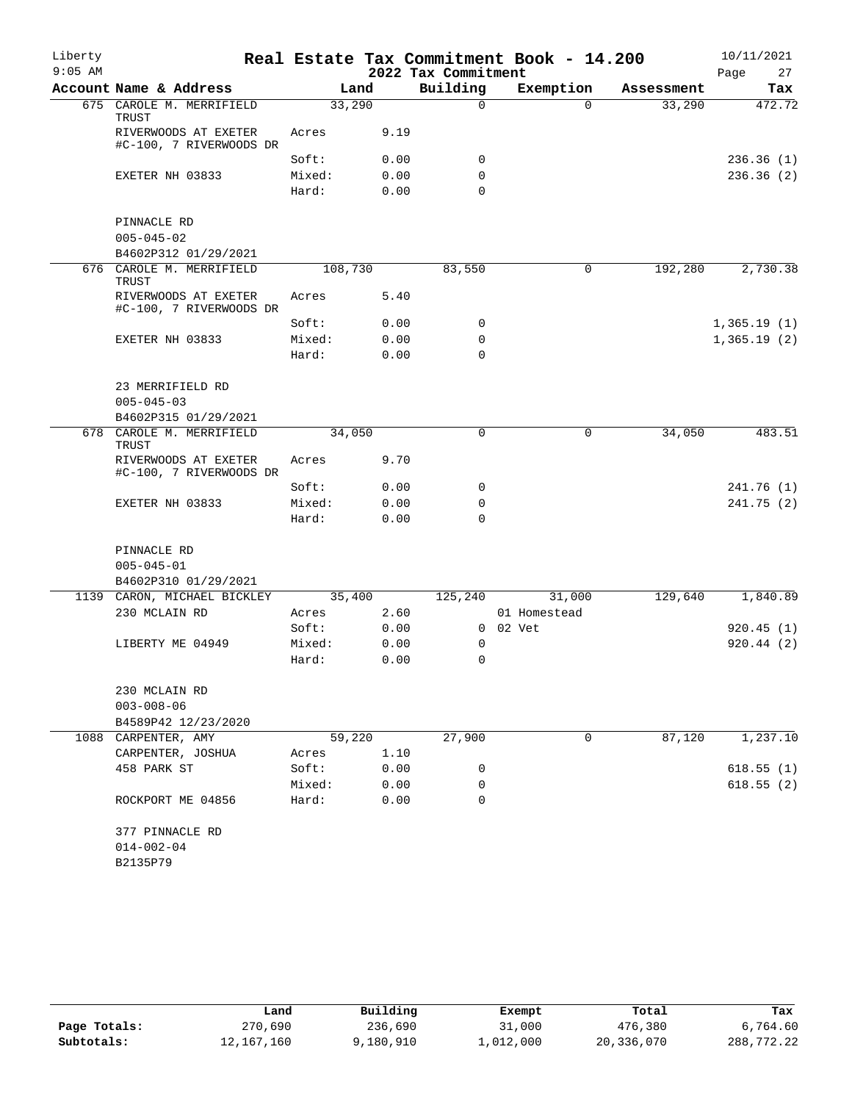| Liberty   |                                                 |                 |              |                     | Real Estate Tax Commitment Book - 14.200 |            | 10/11/2021  |
|-----------|-------------------------------------------------|-----------------|--------------|---------------------|------------------------------------------|------------|-------------|
| $9:05$ AM |                                                 |                 |              | 2022 Tax Commitment |                                          |            | 27<br>Page  |
|           | Account Name & Address                          | Land            |              | Building            | Exemption                                | Assessment | Tax         |
|           | 675 CAROLE M. MERRIFIELD<br>TRUST               | 33,290          |              | $\Omega$            | $\Omega$                                 | 33,290     | 472.72      |
|           | RIVERWOODS AT EXETER<br>#C-100, 7 RIVERWOODS DR | Acres           | 9.19         |                     |                                          |            |             |
|           |                                                 | Soft:           | 0.00         | 0                   |                                          |            | 236.36(1)   |
|           | EXETER NH 03833                                 | Mixed:<br>Hard: | 0.00<br>0.00 | 0<br>$\mathbf 0$    |                                          |            | 236.36(2)   |
|           | PINNACLE RD                                     |                 |              |                     |                                          |            |             |
|           | $005 - 045 - 02$                                |                 |              |                     |                                          |            |             |
|           | B4602P312 01/29/2021                            |                 |              |                     |                                          |            |             |
| 676       | CAROLE M. MERRIFIELD<br>TRUST                   | 108,730         |              | 83,550              | 0                                        | 192,280    | 2,730.38    |
|           | RIVERWOODS AT EXETER<br>#C-100, 7 RIVERWOODS DR | Acres           | 5.40         |                     |                                          |            |             |
|           |                                                 | Soft:           | 0.00         | 0                   |                                          |            | 1,365.19(1) |
|           | EXETER NH 03833                                 | Mixed:          | 0.00         | 0                   |                                          |            | 1,365.19(2) |
|           |                                                 | Hard:           | 0.00         | $\Omega$            |                                          |            |             |
|           | 23 MERRIFIELD RD<br>$005 - 045 - 03$            |                 |              |                     |                                          |            |             |
|           | B4602P315 01/29/2021                            |                 |              |                     |                                          |            |             |
|           | 678 CAROLE M. MERRIFIELD<br>TRUST               | 34,050          |              | 0                   | 0                                        | 34,050     | 483.51      |
|           | RIVERWOODS AT EXETER<br>#C-100, 7 RIVERWOODS DR | Acres           | 9.70         |                     |                                          |            |             |
|           |                                                 | Soft:           | 0.00         | 0                   |                                          |            | 241.76 (1)  |
|           | EXETER NH 03833                                 | Mixed:          | 0.00         | 0                   |                                          |            | 241.75 (2)  |
|           |                                                 | Hard:           | 0.00         | $\Omega$            |                                          |            |             |
|           | PINNACLE RD                                     |                 |              |                     |                                          |            |             |
|           | $005 - 045 - 01$                                |                 |              |                     |                                          |            |             |
|           | B4602P310 01/29/2021                            |                 |              |                     |                                          |            |             |
|           | 1139 CARON, MICHAEL BICKLEY                     | 35,400          |              | 125,240             | 31,000                                   | 129,640    | 1,840.89    |
|           | 230 MCLAIN RD                                   | Acres           | 2.60         |                     | 01 Homestead                             |            |             |
|           |                                                 | Soft:           | 0.00         |                     | 0 02 Vet                                 |            | 920.45(1)   |
|           | LIBERTY ME 04949                                | Mixed:          | 0.00         | 0                   |                                          |            | 920.44(2)   |
|           |                                                 | Hard:           | 0.00         | 0                   |                                          |            |             |
|           | 230 MCLAIN RD                                   |                 |              |                     |                                          |            |             |
|           | $003 - 008 - 06$                                |                 |              |                     |                                          |            |             |
|           | B4589P42 12/23/2020                             |                 |              |                     |                                          |            |             |
|           | 1088 CARPENTER, AMY                             | 59,220          |              | 27,900              | 0                                        | 87,120     | 1,237.10    |
|           | CARPENTER, JOSHUA                               | Acres           | 1.10         |                     |                                          |            |             |
|           | 458 PARK ST                                     | Soft:           | 0.00         | 0                   |                                          |            | 618.55(1)   |
|           |                                                 | Mixed:          | 0.00         | 0                   |                                          |            | 618.55(2)   |
|           | ROCKPORT ME 04856                               | Hard:           | 0.00         | $\Omega$            |                                          |            |             |
|           | 377 PINNACLE RD                                 |                 |              |                     |                                          |            |             |
|           | $014 - 002 - 04$                                |                 |              |                     |                                          |            |             |
|           | B2135P79                                        |                 |              |                     |                                          |            |             |
|           |                                                 |                 |              |                     |                                          |            |             |

|              | Land       | Building  | Exempt    | Total      | Tax        |
|--------------|------------|-----------|-----------|------------|------------|
| Page Totals: | 270,690    | 236,690   | 31,000    | 476,380    | 6,764.60   |
| Subtotals:   | 12,167,160 | 9,180,910 | 1,012,000 | 20,336,070 | 288,772.22 |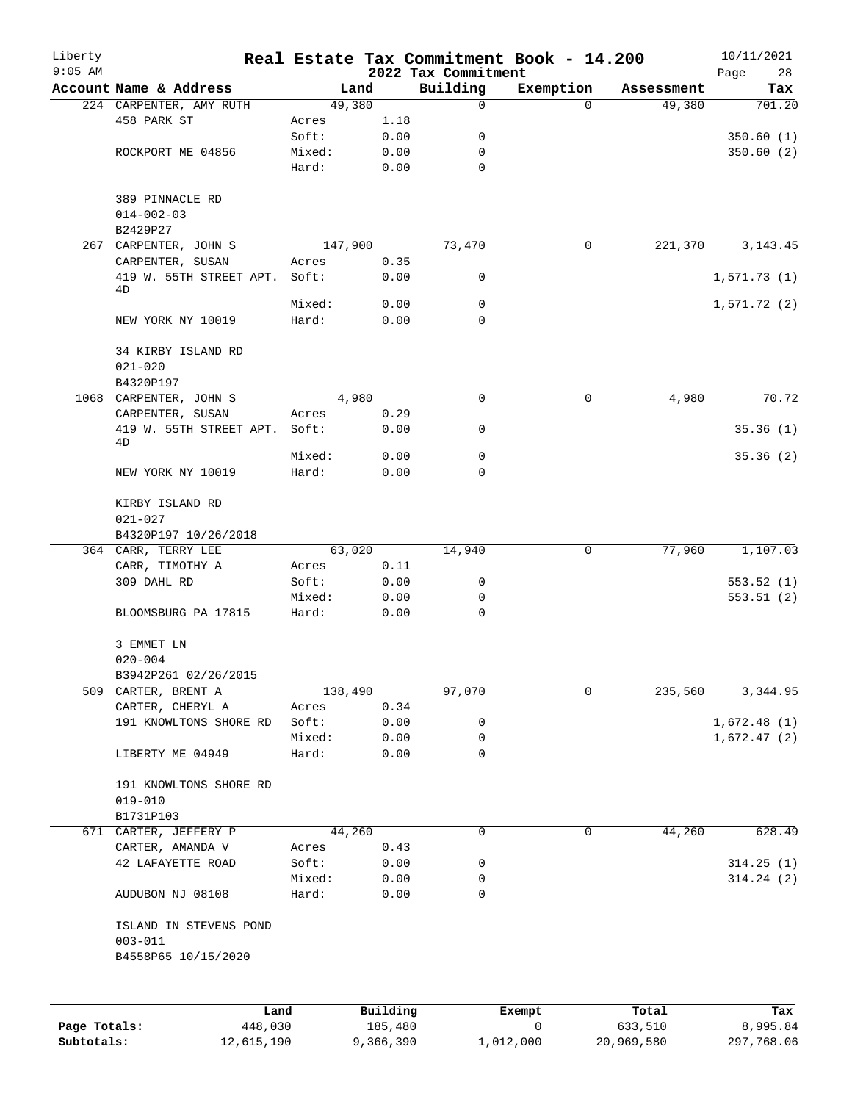| Liberty      |                                   |         |          |                                 | Real Estate Tax Commitment Book - 14.200 |            | 10/11/2021        |
|--------------|-----------------------------------|---------|----------|---------------------------------|------------------------------------------|------------|-------------------|
| $9:05$ AM    | Account Name & Address            |         | Land     | 2022 Tax Commitment<br>Building | Exemption                                | Assessment | Page<br>28<br>Tax |
|              | 224 CARPENTER, AMY RUTH           |         | 49,380   | 0                               | $\Omega$                                 | 49,380     | 701.20            |
|              | 458 PARK ST                       | Acres   | 1.18     |                                 |                                          |            |                   |
|              |                                   | Soft:   | 0.00     | 0                               |                                          |            | 350.60(1)         |
|              | ROCKPORT ME 04856                 | Mixed:  | 0.00     | 0                               |                                          |            | 350.60(2)         |
|              |                                   | Hard:   | 0.00     | 0                               |                                          |            |                   |
|              | 389 PINNACLE RD                   |         |          |                                 |                                          |            |                   |
|              | $014 - 002 - 03$                  |         |          |                                 |                                          |            |                   |
|              | B2429P27                          |         |          |                                 |                                          |            |                   |
|              | 267 CARPENTER, JOHN S             | 147,900 |          | 73,470                          | 0                                        | 221,370    | 3, 143. 45        |
|              | CARPENTER, SUSAN                  | Acres   | 0.35     |                                 |                                          |            |                   |
|              | 419 W. 55TH STREET APT.<br>4D     | Soft:   | 0.00     | 0                               |                                          |            | 1,571.73(1)       |
|              |                                   | Mixed:  | 0.00     | $\mathbf 0$                     |                                          |            | 1,571.72(2)       |
|              | NEW YORK NY 10019                 | Hard:   | 0.00     | 0                               |                                          |            |                   |
|              | 34 KIRBY ISLAND RD<br>$021 - 020$ |         |          |                                 |                                          |            |                   |
|              | B4320P197                         |         |          |                                 |                                          |            |                   |
|              | 1068 CARPENTER, JOHN S            |         | 4,980    | $\mathbf 0$                     | 0                                        | 4,980      | 70.72             |
|              | CARPENTER, SUSAN                  | Acres   | 0.29     |                                 |                                          |            |                   |
|              | 419 W. 55TH STREET APT.<br>4D     | Soft:   | 0.00     | 0                               |                                          |            | 35.36(1)          |
|              |                                   | Mixed:  | 0.00     | 0                               |                                          |            | 35.36(2)          |
|              | NEW YORK NY 10019                 | Hard:   | 0.00     | 0                               |                                          |            |                   |
|              | KIRBY ISLAND RD                   |         |          |                                 |                                          |            |                   |
|              | $021 - 027$                       |         |          |                                 |                                          |            |                   |
|              | B4320P197 10/26/2018              |         |          |                                 |                                          |            |                   |
|              | 364 CARR, TERRY LEE               |         | 63,020   | 14,940                          | 0                                        | 77,960     | 1,107.03          |
|              | CARR, TIMOTHY A                   | Acres   | 0.11     |                                 |                                          |            |                   |
|              | 309 DAHL RD                       | Soft:   | 0.00     | 0                               |                                          |            | 553.52(1)         |
|              |                                   | Mixed:  | 0.00     | 0                               |                                          |            | 553.51(2)         |
|              | BLOOMSBURG PA 17815               | Hard:   | 0.00     | 0                               |                                          |            |                   |
|              | 3 EMMET LN                        |         |          |                                 |                                          |            |                   |
|              | $020 - 004$                       |         |          |                                 |                                          |            |                   |
|              | B3942P261 02/26/2015              |         |          |                                 |                                          |            |                   |
| 509          | CARTER, BRENT A                   | 138,490 |          | 97,070                          | $\mathbf 0$                              | 235,560    | 3,344.95          |
|              | CARTER, CHERYL A                  | Acres   | 0.34     |                                 |                                          |            |                   |
|              | 191 KNOWLTONS SHORE RD            | Soft:   | 0.00     | 0                               |                                          |            | 1,672.48(1)       |
|              |                                   | Mixed:  | 0.00     | 0                               |                                          |            | 1,672.47(2)       |
|              | LIBERTY ME 04949                  | Hard:   | 0.00     | 0                               |                                          |            |                   |
|              | 191 KNOWLTONS SHORE RD            |         |          |                                 |                                          |            |                   |
|              | $019 - 010$                       |         |          |                                 |                                          |            |                   |
|              | B1731P103                         |         |          |                                 |                                          |            |                   |
|              | 671 CARTER, JEFFERY P             |         | 44,260   | $\mathbf 0$                     | $\mathbf 0$                              | 44,260     | 628.49            |
|              | CARTER, AMANDA V                  | Acres   | 0.43     |                                 |                                          |            |                   |
|              | 42 LAFAYETTE ROAD                 | Soft:   | 0.00     | 0                               |                                          |            | 314.25(1)         |
|              |                                   | Mixed:  | 0.00     | 0                               |                                          |            | 314.24(2)         |
|              | AUDUBON NJ 08108                  | Hard:   | 0.00     | 0                               |                                          |            |                   |
|              | ISLAND IN STEVENS POND            |         |          |                                 |                                          |            |                   |
|              | $003 - 011$                       |         |          |                                 |                                          |            |                   |
|              | B4558P65 10/15/2020               |         |          |                                 |                                          |            |                   |
|              |                                   |         |          |                                 |                                          |            |                   |
|              | Land                              |         | Building |                                 | Exempt                                   | Total      | Tax               |
| Page Totals: | 448,030                           |         | 185,480  |                                 | 0                                        | 633,510    | 8,995.84          |

**Subtotals:** 12,615,190 9,366,390 1,012,000 20,969,580 297,768.06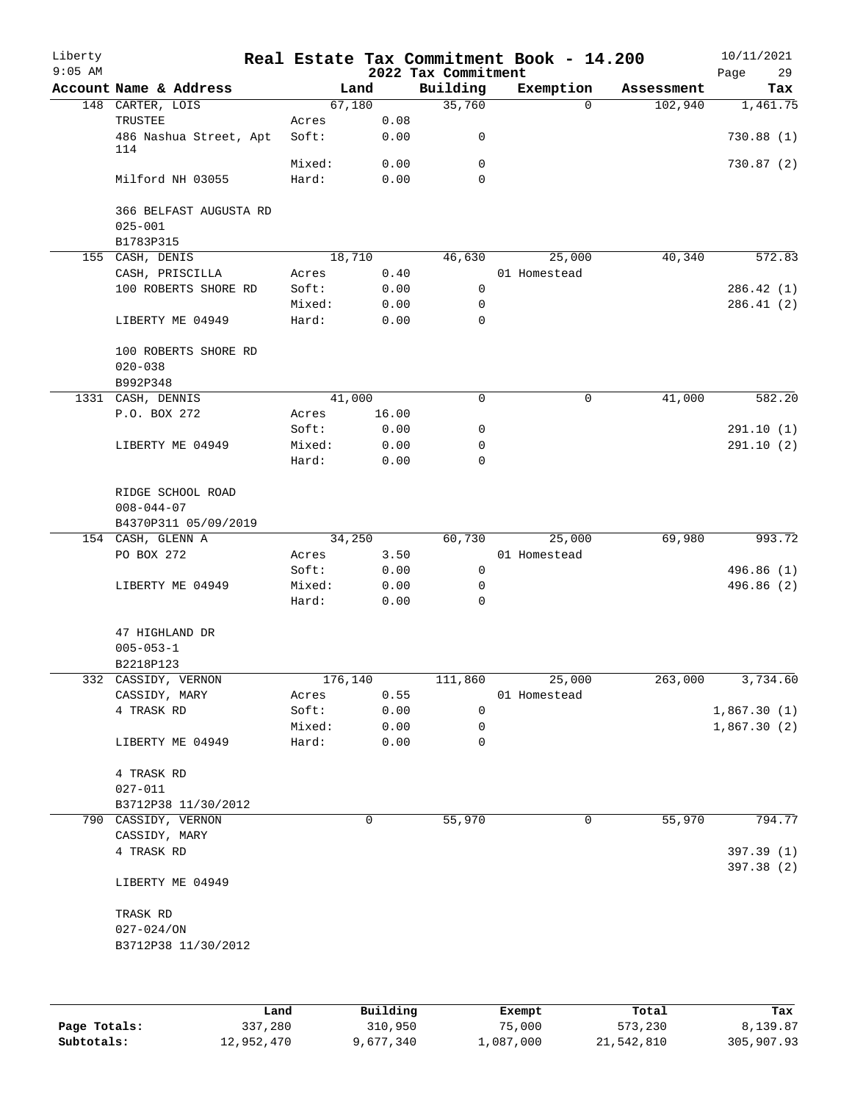| Liberty<br>$9:05$ AM |                         |         |        | 2022 Tax Commitment | Real Estate Tax Commitment Book - 14.200 |            | 10/11/2021<br>29<br>Page |
|----------------------|-------------------------|---------|--------|---------------------|------------------------------------------|------------|--------------------------|
|                      | Account Name & Address  |         | Land   | Building            | Exemption                                | Assessment | Tax                      |
|                      | 148 CARTER, LOIS        |         | 67,180 | 35,760              | $\Omega$                                 | 102,940    | 1,461.75                 |
|                      | TRUSTEE                 | Acres   | 0.08   |                     |                                          |            |                          |
|                      | 486 Nashua Street, Apt  | Soft:   | 0.00   | 0                   |                                          |            | 730.88(1)                |
|                      | 114                     |         |        |                     |                                          |            |                          |
|                      |                         | Mixed:  | 0.00   | 0                   |                                          |            | 730.87(2)                |
|                      | Milford NH 03055        | Hard:   | 0.00   | $\Omega$            |                                          |            |                          |
|                      |                         |         |        |                     |                                          |            |                          |
|                      | 366 BELFAST AUGUSTA RD  |         |        |                     |                                          |            |                          |
|                      | $025 - 001$             |         |        |                     |                                          |            |                          |
|                      | B1783P315               |         |        |                     |                                          |            |                          |
|                      | 155 CASH, DENIS         |         | 18,710 | 46,630              | 25,000                                   | 40,340     | 572.83                   |
|                      | CASH, PRISCILLA         | Acres   | 0.40   |                     | 01 Homestead                             |            |                          |
|                      | 100 ROBERTS SHORE RD    | Soft:   | 0.00   | $\mathbf 0$         |                                          |            | 286.42 (1)               |
|                      |                         | Mixed:  | 0.00   | 0                   |                                          |            | 286.41(2)                |
|                      | LIBERTY ME 04949        | Hard:   | 0.00   | 0                   |                                          |            |                          |
|                      | 100 ROBERTS SHORE RD    |         |        |                     |                                          |            |                          |
|                      |                         |         |        |                     |                                          |            |                          |
|                      | $020 - 038$<br>B992P348 |         |        |                     |                                          |            |                          |
|                      | 1331 CASH, DENNIS       |         | 41,000 | 0                   | $\mathsf{O}$                             | 41,000     | 582.20                   |
|                      | P.O. BOX 272            | Acres   | 16.00  |                     |                                          |            |                          |
|                      |                         | Soft:   | 0.00   | 0                   |                                          |            | 291.10(1)                |
|                      | LIBERTY ME 04949        | Mixed:  | 0.00   | 0                   |                                          |            | 291.10(2)                |
|                      |                         | Hard:   | 0.00   | $\Omega$            |                                          |            |                          |
|                      |                         |         |        |                     |                                          |            |                          |
|                      | RIDGE SCHOOL ROAD       |         |        |                     |                                          |            |                          |
|                      | $008 - 044 - 07$        |         |        |                     |                                          |            |                          |
|                      | B4370P311 05/09/2019    |         |        |                     |                                          |            |                          |
|                      | 154 CASH, GLENN A       |         | 34,250 | 60,730              | 25,000                                   | 69,980     | 993.72                   |
|                      | PO BOX 272              | Acres   | 3.50   |                     | 01 Homestead                             |            |                          |
|                      |                         | Soft:   | 0.00   | $\mathsf{O}$        |                                          |            | 496.86 (1)               |
|                      | LIBERTY ME 04949        | Mixed:  | 0.00   | 0                   |                                          |            | 496.86 (2)               |
|                      |                         | Hard:   | 0.00   | 0                   |                                          |            |                          |
|                      |                         |         |        |                     |                                          |            |                          |
|                      | 47 HIGHLAND DR          |         |        |                     |                                          |            |                          |
|                      | $005 - 053 - 1$         |         |        |                     |                                          |            |                          |
|                      | B2218P123               |         |        |                     |                                          |            |                          |
|                      | 332 CASSIDY, VERNON     | 176,140 |        | 111,860             | 25,000                                   | 263,000    | 3,734.60                 |
|                      | CASSIDY, MARY           | Acres   | 0.55   |                     | 01 Homestead                             |            |                          |
|                      | 4 TRASK RD              | Soft:   | 0.00   | 0                   |                                          |            | 1,867.30(1)              |
|                      |                         | Mixed:  | 0.00   | 0                   |                                          |            | 1,867.30(2)              |
|                      | LIBERTY ME 04949        | Hard:   | 0.00   | $\mathbf 0$         |                                          |            |                          |
|                      |                         |         |        |                     |                                          |            |                          |
|                      | 4 TRASK RD              |         |        |                     |                                          |            |                          |
|                      | $027 - 011$             |         |        |                     |                                          |            |                          |
|                      | B3712P38 11/30/2012     |         |        |                     |                                          |            |                          |
|                      | 790 CASSIDY, VERNON     |         | 0      | 55,970              | 0                                        | 55,970     | 794.77                   |
|                      | CASSIDY, MARY           |         |        |                     |                                          |            |                          |
|                      | 4 TRASK RD              |         |        |                     |                                          |            | 397.39 (1)               |
|                      |                         |         |        |                     |                                          |            | 397.38 (2)               |
|                      | LIBERTY ME 04949        |         |        |                     |                                          |            |                          |
|                      |                         |         |        |                     |                                          |            |                          |
|                      | TRASK RD                |         |        |                     |                                          |            |                          |
|                      | $027 - 024 / ON$        |         |        |                     |                                          |            |                          |
|                      | B3712P38 11/30/2012     |         |        |                     |                                          |            |                          |
|                      |                         |         |        |                     |                                          |            |                          |
|                      |                         |         |        |                     |                                          |            |                          |

|              | Land       | Building  | Exempt    | Total      | Tax        |
|--------------|------------|-----------|-----------|------------|------------|
| Page Totals: | 337,280    | 310,950   | 75,000    | 573,230    | 8,139.87   |
| Subtotals:   | 12,952,470 | 9,677,340 | ⊥,087,000 | 21,542,810 | 305,907.93 |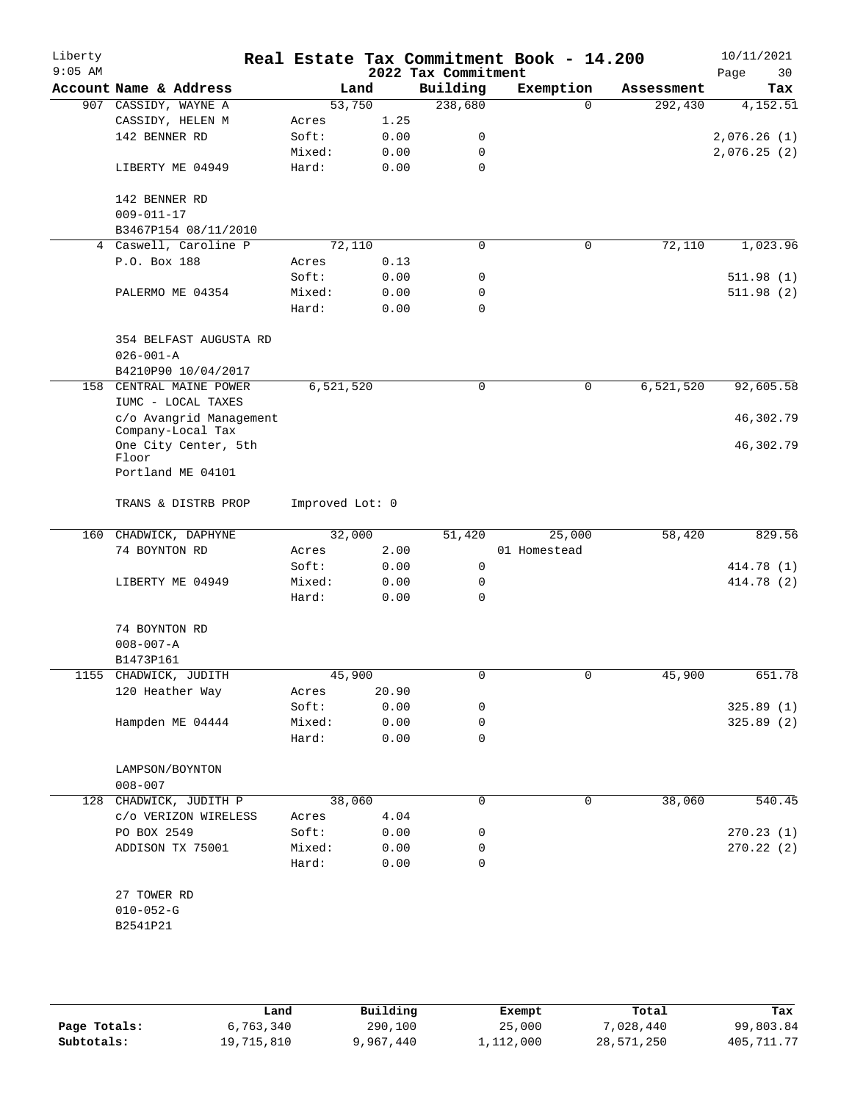| Liberty<br>$9:05$ AM |                                              |                 |              | 2022 Tax Commitment | Real Estate Tax Commitment Book - 14.200 |             | 10/11/2021<br>30<br>Page |
|----------------------|----------------------------------------------|-----------------|--------------|---------------------|------------------------------------------|-------------|--------------------------|
|                      | Account Name & Address                       |                 | Land         | Building            | Exemption                                | Assessment  | Tax                      |
|                      | 907 CASSIDY, WAYNE A                         |                 | 53,750       | 238,680             | $\Omega$                                 | 292,430     | 4,152.51                 |
|                      | CASSIDY, HELEN M                             | Acres           | 1.25         |                     |                                          |             |                          |
|                      | 142 BENNER RD                                | Soft:           | 0.00         | 0                   |                                          |             | 2,076.26(1)              |
|                      |                                              | Mixed:          | 0.00         | 0                   |                                          |             | 2,076.25(2)              |
|                      | LIBERTY ME 04949                             | Hard:           | 0.00         | 0                   |                                          |             |                          |
|                      | 142 BENNER RD                                |                 |              |                     |                                          |             |                          |
|                      | $009 - 011 - 17$                             |                 |              |                     |                                          |             |                          |
|                      | B3467P154 08/11/2010                         |                 |              |                     |                                          |             |                          |
|                      | 4 Caswell, Caroline P                        |                 | 72,110       | 0                   | 0                                        | 72,110      | 1,023.96                 |
|                      | P.O. Box 188                                 | Acres           | 0.13         |                     |                                          |             |                          |
|                      |                                              | Soft:           | 0.00         | 0                   |                                          |             | 511.98(1)                |
|                      | PALERMO ME 04354                             | Mixed:          | 0.00         | 0                   |                                          |             | 511.98 (2)               |
|                      |                                              | Hard:           | 0.00         | 0                   |                                          |             |                          |
|                      | 354 BELFAST AUGUSTA RD<br>$026 - 001 - A$    |                 |              |                     |                                          |             |                          |
|                      | B4210P90 10/04/2017                          |                 |              |                     |                                          |             |                          |
| 158                  | CENTRAL MAINE POWER                          | 6,521,520       |              | 0                   | 0                                        | 6, 521, 520 | 92,605.58                |
|                      | IUMC - LOCAL TAXES                           |                 |              |                     |                                          |             |                          |
|                      | c/o Avangrid Management<br>Company-Local Tax |                 |              |                     |                                          |             | 46,302.79                |
|                      | One City Center, 5th<br>Floor                |                 |              |                     |                                          |             | 46,302.79                |
|                      | Portland ME 04101                            |                 |              |                     |                                          |             |                          |
|                      | TRANS & DISTRB PROP                          | Improved Lot: 0 |              |                     |                                          |             |                          |
|                      | 160 CHADWICK, DAPHYNE                        |                 | 32,000       | 51,420              | 25,000                                   | 58,420      | 829.56                   |
|                      | 74 BOYNTON RD                                | Acres           | 2.00         |                     | 01 Homestead                             |             |                          |
|                      |                                              | Soft:           | 0.00         | 0                   |                                          |             | 414.78 (1)               |
|                      | LIBERTY ME 04949                             | Mixed:          | 0.00         | 0                   |                                          |             | 414.78 (2)               |
|                      |                                              | Hard:           | 0.00         | 0                   |                                          |             |                          |
|                      | 74 BOYNTON RD                                |                 |              |                     |                                          |             |                          |
|                      | $008 - 007 - A$                              |                 |              |                     |                                          |             |                          |
|                      | B1473P161                                    |                 |              |                     |                                          |             |                          |
|                      | 1155 CHADWICK, JUDITH                        |                 | 45,900       | 0                   | 0                                        | 45,900      | 651.78                   |
|                      | 120 Heather Way                              | Acres           | 20.90        |                     |                                          |             |                          |
|                      |                                              | Soft:           | 0.00         | 0                   |                                          |             | 325.89(1)                |
|                      | Hampden ME 04444                             | Mixed:          | 0.00         | 0                   |                                          |             | 325.89 (2)               |
|                      |                                              | Hard:           | 0.00         | 0                   |                                          |             |                          |
|                      | LAMPSON/BOYNTON                              |                 |              |                     |                                          |             |                          |
|                      | $008 - 007$                                  |                 |              |                     |                                          |             |                          |
|                      | 128 CHADWICK, JUDITH P                       |                 | 38,060       | 0                   | 0                                        | 38,060      | 540.45                   |
|                      | c/o VERIZON WIRELESS                         | Acres           | 4.04         |                     |                                          |             |                          |
|                      | PO BOX 2549                                  | Soft:           | 0.00         | 0                   |                                          |             | 270.23(1)                |
|                      | ADDISON TX 75001                             | Mixed:<br>Hard: | 0.00<br>0.00 | 0<br>0              |                                          |             | 270.22(2)                |
|                      | 27 TOWER RD                                  |                 |              |                     |                                          |             |                          |
|                      | $010 - 052 - G$                              |                 |              |                     |                                          |             |                          |
|                      | B2541P21                                     |                 |              |                     |                                          |             |                          |
|                      |                                              |                 |              |                     |                                          |             |                          |
|                      |                                              |                 |              |                     |                                          |             |                          |

|              | Land       | Building  | Exempt    | Total      | Tax          |
|--------------|------------|-----------|-----------|------------|--------------|
| Page Totals: | 6,763,340  | 290,100   | 25,000    | 7,028,440  | 99,803.84    |
| Subtotals:   | 19,715,810 | 9,967,440 | 1,112,000 | 28,571,250 | 405, 711, 77 |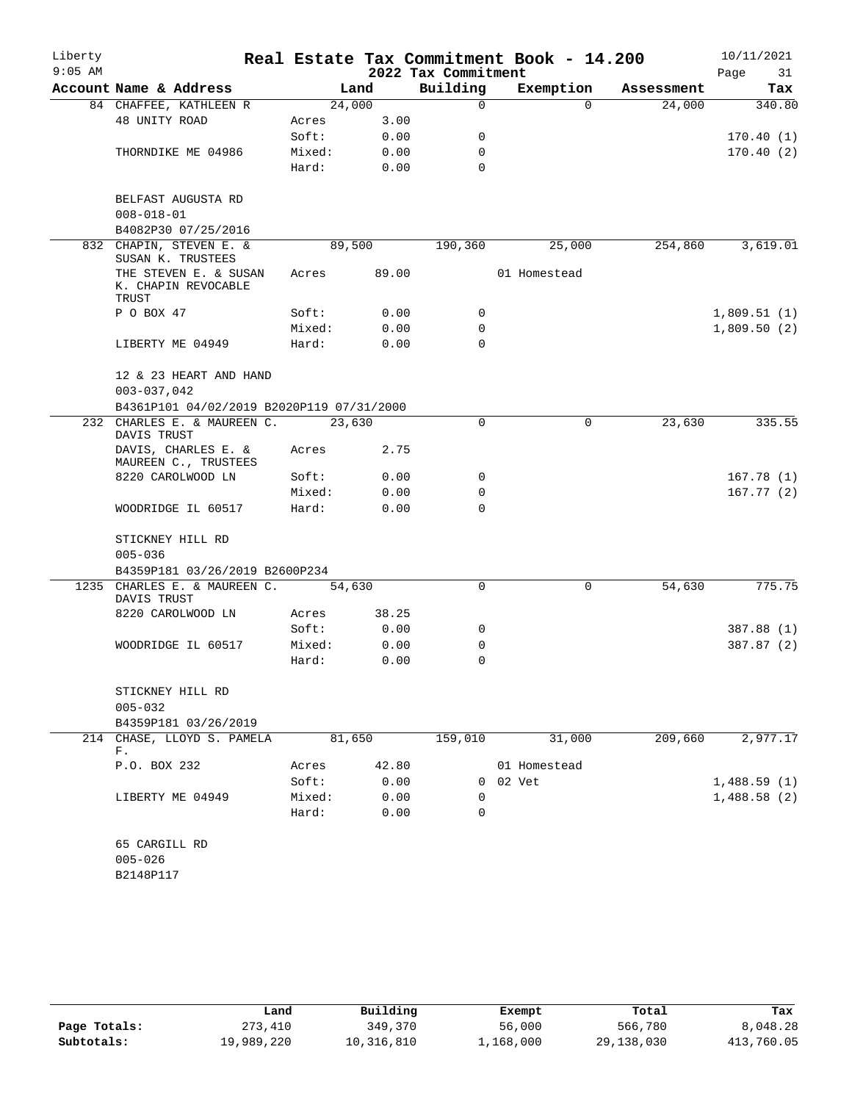| Liberty   |                                                       |        |       |                     | Real Estate Tax Commitment Book - 14.200 |            | 10/11/2021  |
|-----------|-------------------------------------------------------|--------|-------|---------------------|------------------------------------------|------------|-------------|
| $9:05$ AM |                                                       |        |       | 2022 Tax Commitment |                                          |            | Page<br>31  |
|           | Account Name & Address                                |        | Land  | Building            | Exemption                                | Assessment | Tax         |
|           | 84 CHAFFEE, KATHLEEN R                                | 24,000 |       | 0                   | $\Omega$                                 | 24,000     | 340.80      |
|           | 48 UNITY ROAD                                         | Acres  | 3.00  |                     |                                          |            |             |
|           |                                                       | Soft:  | 0.00  | 0                   |                                          |            | 170.40(1)   |
|           | THORNDIKE ME 04986                                    | Mixed: | 0.00  | 0                   |                                          |            | 170.40(2)   |
|           |                                                       | Hard:  | 0.00  | $\Omega$            |                                          |            |             |
|           | BELFAST AUGUSTA RD                                    |        |       |                     |                                          |            |             |
|           | $008 - 018 - 01$                                      |        |       |                     |                                          |            |             |
|           | B4082P30 07/25/2016                                   |        |       |                     |                                          |            |             |
| 832       | CHAPIN, STEVEN E. &<br>SUSAN K. TRUSTEES              | 89,500 |       | 190,360             | 25,000                                   | 254,860    | 3,619.01    |
|           | THE STEVEN E. & SUSAN<br>K. CHAPIN REVOCABLE<br>TRUST | Acres  | 89.00 |                     | 01 Homestead                             |            |             |
|           | P O BOX 47                                            | Soft:  | 0.00  | 0                   |                                          |            | 1,809.51(1) |
|           |                                                       | Mixed: | 0.00  | 0                   |                                          |            | 1,809.50(2) |
|           | LIBERTY ME 04949                                      | Hard:  | 0.00  | $\Omega$            |                                          |            |             |
|           | 12 & 23 HEART AND HAND<br>$003 - 037,042$             |        |       |                     |                                          |            |             |
|           | B4361P101 04/02/2019 B2020P119 07/31/2000             |        |       |                     |                                          |            |             |
|           | 232 CHARLES E. & MAUREEN C.<br>DAVIS TRUST            | 23,630 |       | 0                   | 0                                        | 23,630     | 335.55      |
|           | DAVIS, CHARLES E. &<br>MAUREEN C., TRUSTEES           | Acres  | 2.75  |                     |                                          |            |             |
|           | 8220 CAROLWOOD LN                                     | Soft:  | 0.00  | 0                   |                                          |            | 167.78(1)   |
|           |                                                       | Mixed: | 0.00  | 0                   |                                          |            | 167.77(2)   |
|           | WOODRIDGE IL 60517                                    | Hard:  | 0.00  | $\Omega$            |                                          |            |             |
|           | STICKNEY HILL RD                                      |        |       |                     |                                          |            |             |
|           | $005 - 036$                                           |        |       |                     |                                          |            |             |
|           | B4359P181 03/26/2019 B2600P234                        |        |       |                     |                                          |            |             |
| 1235      | CHARLES E. & MAUREEN C.                               | 54,630 |       | 0                   | 0                                        | 54,630     | 775.75      |
|           | DAVIS TRUST                                           |        |       |                     |                                          |            |             |
|           | 8220 CAROLWOOD LN                                     | Acres  | 38.25 |                     |                                          |            |             |
|           |                                                       | Soft:  | 0.00  | 0                   |                                          |            | 387.88 (1)  |
|           | WOODRIDGE IL 60517                                    | Mixed: | 0.00  | 0                   |                                          |            | 387.87 (2)  |
|           |                                                       | Hard:  | 0.00  | 0                   |                                          |            |             |
|           | STICKNEY HILL RD<br>$005 - 032$                       |        |       |                     |                                          |            |             |
|           | B4359P181 03/26/2019                                  |        |       |                     |                                          |            |             |
|           | 214 CHASE, LLOYD S. PAMELA                            | 81,650 |       | 159,010             | 31,000                                   | 209,660    | 2,977.17    |
|           | F.                                                    |        |       |                     |                                          |            |             |
|           | P.O. BOX 232                                          | Acres  | 42.80 |                     | 01 Homestead                             |            |             |
|           |                                                       | Soft:  | 0.00  |                     | 0 02 Vet                                 |            | 1,488.59(1) |
|           | LIBERTY ME 04949                                      | Mixed: | 0.00  | $\Omega$            |                                          |            | 1,488.58(2) |
|           |                                                       | Hard:  | 0.00  | 0                   |                                          |            |             |
|           | 65 CARGILL RD                                         |        |       |                     |                                          |            |             |
|           | $005 - 026$                                           |        |       |                     |                                          |            |             |
|           | B2148P117                                             |        |       |                     |                                          |            |             |
|           |                                                       |        |       |                     |                                          |            |             |

|              | Land       | Building   | Exempt    | Total        | Tax        |
|--------------|------------|------------|-----------|--------------|------------|
| Page Totals: | 273,410    | 349,370    | 56,000    | 566,780      | 8,048.28   |
| Subtotals:   | 19,989,220 | 10,316,810 | 1,168,000 | 29, 138, 030 | 413,760.05 |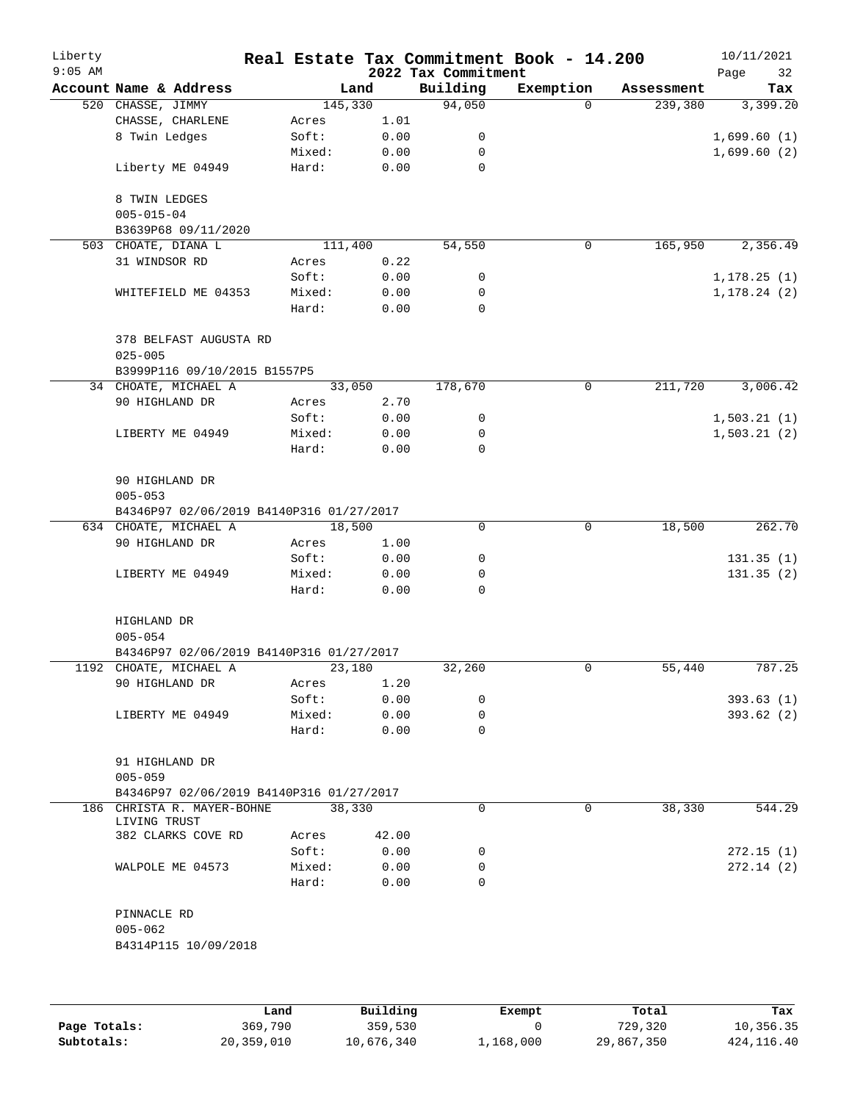| Liberty<br>$9:05$ AM |                                          |         |        | 2022 Tax Commitment | Real Estate Tax Commitment Book - 14.200 |            | 10/11/2021<br>32<br>Page |
|----------------------|------------------------------------------|---------|--------|---------------------|------------------------------------------|------------|--------------------------|
|                      | Account Name & Address                   |         | Land   | Building            | Exemption                                | Assessment | Tax                      |
|                      | 520 CHASSE, JIMMY                        | 145,330 |        | 94,050              | $\Omega$                                 | 239,380    | 3,399.20                 |
|                      | CHASSE, CHARLENE                         | Acres   | 1.01   |                     |                                          |            |                          |
|                      | 8 Twin Ledges                            | Soft:   | 0.00   | 0                   |                                          |            | 1,699.60(1)              |
|                      |                                          | Mixed:  | 0.00   | $\mathbf 0$         |                                          |            | 1,699.60(2)              |
|                      | Liberty ME 04949                         | Hard:   | 0.00   | 0                   |                                          |            |                          |
|                      | 8 TWIN LEDGES                            |         |        |                     |                                          |            |                          |
|                      | $005 - 015 - 04$                         |         |        |                     |                                          |            |                          |
|                      | B3639P68 09/11/2020                      |         |        |                     |                                          |            |                          |
|                      | 503 CHOATE, DIANA L                      | 111,400 |        | 54,550              | 0                                        | 165,950    | 2,356.49                 |
|                      | 31 WINDSOR RD                            | Acres   | 0.22   |                     |                                          |            |                          |
|                      |                                          | Soft:   | 0.00   | 0                   |                                          |            | 1, 178.25(1)             |
|                      | WHITEFIELD ME 04353                      | Mixed:  | 0.00   | 0                   |                                          |            | 1, 178.24(2)             |
|                      |                                          | Hard:   | 0.00   | 0                   |                                          |            |                          |
|                      | 378 BELFAST AUGUSTA RD<br>$025 - 005$    |         |        |                     |                                          |            |                          |
|                      | B3999P116 09/10/2015 B1557P5             |         |        |                     |                                          |            |                          |
|                      | 34 CHOATE, MICHAEL A                     |         | 33,050 | 178,670             | 0                                        | 211,720    | 3,006.42                 |
|                      | 90 HIGHLAND DR                           | Acres   | 2.70   |                     |                                          |            |                          |
|                      |                                          | Soft:   | 0.00   | 0                   |                                          |            |                          |
|                      |                                          |         |        | 0                   |                                          |            | 1,503.21(1)              |
|                      | LIBERTY ME 04949                         | Mixed:  | 0.00   | $\Omega$            |                                          |            | 1,503.21(2)              |
|                      |                                          | Hard:   | 0.00   |                     |                                          |            |                          |
|                      | 90 HIGHLAND DR                           |         |        |                     |                                          |            |                          |
|                      | $005 - 053$                              |         |        |                     |                                          |            |                          |
|                      | B4346P97 02/06/2019 B4140P316 01/27/2017 |         |        |                     |                                          |            |                          |
|                      | 634 CHOATE, MICHAEL A                    | 18,500  |        | $\mathbf 0$         | $\mathbf 0$                              | 18,500     | 262.70                   |
|                      | 90 HIGHLAND DR                           | Acres   | 1.00   |                     |                                          |            |                          |
|                      |                                          | Soft:   | 0.00   | 0                   |                                          |            | 131.35(1)                |
|                      | LIBERTY ME 04949                         | Mixed:  | 0.00   | 0                   |                                          |            | 131.35(2)                |
|                      |                                          | Hard:   | 0.00   | $\Omega$            |                                          |            |                          |
|                      | HIGHLAND DR                              |         |        |                     |                                          |            |                          |
|                      | $005 - 054$                              |         |        |                     |                                          |            |                          |
|                      | B4346P97 02/06/2019 B4140P316 01/27/2017 |         |        |                     |                                          |            |                          |
|                      | 1192 CHOATE, MICHAEL A                   |         | 23,180 | 32,260              | 0                                        | 55,440     | 787.25                   |
|                      | 90 HIGHLAND DR                           | Acres   | 1.20   |                     |                                          |            |                          |
|                      |                                          | Soft:   | 0.00   | 0                   |                                          |            | 393.63(1)                |
|                      | LIBERTY ME 04949                         | Mixed:  | 0.00   | 0                   |                                          |            | 393.62(2)                |
|                      |                                          | Hard:   | 0.00   | $\Omega$            |                                          |            |                          |
|                      | 91 HIGHLAND DR                           |         |        |                     |                                          |            |                          |
|                      | $005 - 059$                              |         |        |                     |                                          |            |                          |
|                      | B4346P97 02/06/2019 B4140P316 01/27/2017 |         |        |                     |                                          |            |                          |
|                      | 186 CHRISTA R. MAYER-BOHNE               |         | 38,330 | 0                   | 0                                        | 38,330     | 544.29                   |
|                      | LIVING TRUST                             |         |        |                     |                                          |            |                          |
|                      | 382 CLARKS COVE RD                       | Acres   | 42.00  |                     |                                          |            |                          |
|                      |                                          | Soft:   | 0.00   | 0                   |                                          |            | 272.15 (1)               |
|                      | WALPOLE ME 04573                         | Mixed:  | 0.00   | 0                   |                                          |            | 272.14(2)                |
|                      |                                          | Hard:   | 0.00   | $\Omega$            |                                          |            |                          |
|                      | PINNACLE RD                              |         |        |                     |                                          |            |                          |
|                      | $005 - 062$                              |         |        |                     |                                          |            |                          |
|                      | B4314P115 10/09/2018                     |         |        |                     |                                          |            |                          |
|                      |                                          |         |        |                     |                                          |            |                          |
|                      |                                          |         |        |                     |                                          |            |                          |
|                      |                                          |         |        |                     |                                          |            |                          |

|              | Land       | Building   | Exempt    | Total      | Tax        |
|--------------|------------|------------|-----------|------------|------------|
| Page Totals: | 369,790    | 359,530    |           | 729,320    | 10,356.35  |
| Subtotals:   | 20,359,010 | 10,676,340 | 1,168,000 | 29,867,350 | 424,116.40 |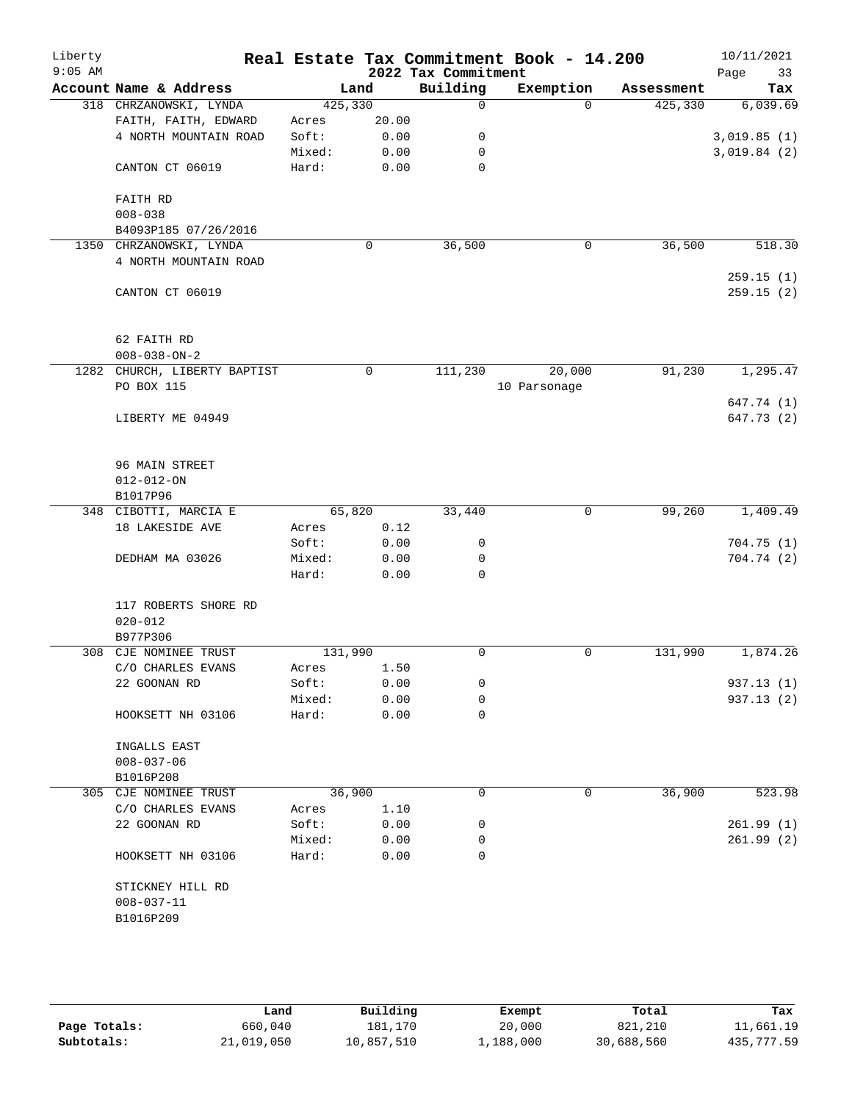| Liberty   |                                                |                  |              |                                 | Real Estate Tax Commitment Book - 14.200 |                       | 10/11/2021              |
|-----------|------------------------------------------------|------------------|--------------|---------------------------------|------------------------------------------|-----------------------|-------------------------|
| $9:05$ AM | Account Name & Address                         |                  |              | 2022 Tax Commitment<br>Building |                                          |                       | Page<br>33              |
|           |                                                |                  | Land         | $\Omega$                        | Exemption<br>$\Omega$                    | Assessment<br>425,330 | Tax<br>6,039.69         |
|           | 318 CHRZANOWSKI, LYNDA<br>FAITH, FAITH, EDWARD | 425,330<br>Acres | 20.00        |                                 |                                          |                       |                         |
|           | 4 NORTH MOUNTAIN ROAD                          | Soft:            | 0.00         | 0                               |                                          |                       | 3,019.85(1)             |
|           |                                                | Mixed:           | 0.00         | $\mathbf 0$                     |                                          |                       | 3,019.84(2)             |
|           | CANTON CT 06019                                | Hard:            | 0.00         | $\mathbf 0$                     |                                          |                       |                         |
|           | FAITH RD                                       |                  |              |                                 |                                          |                       |                         |
|           | $008 - 038$                                    |                  |              |                                 |                                          |                       |                         |
|           | B4093P185 07/26/2016                           |                  |              |                                 |                                          |                       |                         |
|           | 1350 CHRZANOWSKI, LYNDA                        |                  | 0            | 36,500                          | 0                                        | 36,500                | 518.30                  |
|           | 4 NORTH MOUNTAIN ROAD                          |                  |              |                                 |                                          |                       |                         |
|           |                                                |                  |              |                                 |                                          |                       | 259.15(1)               |
|           | CANTON CT 06019                                |                  |              |                                 |                                          |                       | 259.15(2)               |
|           | 62 FAITH RD                                    |                  |              |                                 |                                          |                       |                         |
|           | $008 - 038 - ON - 2$                           |                  |              |                                 |                                          |                       |                         |
|           | 1282 CHURCH, LIBERTY BAPTIST                   |                  | 0            | 111,230                         | 20,000                                   | 91,230                | 1, 295.47               |
|           | PO BOX 115                                     |                  |              |                                 | 10 Parsonage                             |                       |                         |
|           |                                                |                  |              |                                 |                                          |                       | 647.74 (1)              |
|           | LIBERTY ME 04949                               |                  |              |                                 |                                          |                       | 647.73 (2)              |
|           | 96 MAIN STREET                                 |                  |              |                                 |                                          |                       |                         |
|           | $012 - 012 - ON$                               |                  |              |                                 |                                          |                       |                         |
|           | B1017P96                                       |                  |              |                                 |                                          |                       |                         |
|           | 348 CIBOTTI, MARCIA E                          | 65,820           |              | 33,440                          | 0                                        | 99,260                | 1,409.49                |
|           | 18 LAKESIDE AVE                                | Acres            | 0.12         |                                 |                                          |                       |                         |
|           |                                                | Soft:            | 0.00         | 0                               |                                          |                       | 704.75(1)               |
|           | DEDHAM MA 03026                                | Mixed:           | 0.00         | 0                               |                                          |                       | 704.74 (2)              |
|           |                                                | Hard:            | 0.00         | $\mathbf 0$                     |                                          |                       |                         |
|           | 117 ROBERTS SHORE RD                           |                  |              |                                 |                                          |                       |                         |
|           | $020 - 012$                                    |                  |              |                                 |                                          |                       |                         |
|           | B977P306                                       |                  |              |                                 |                                          |                       |                         |
| 308       | CJE NOMINEE TRUST                              | 131,990          |              | 0                               | 0                                        | 131,990               | 1,874.26                |
|           | C/O CHARLES EVANS                              | Acres            | 1.50         |                                 |                                          |                       |                         |
|           | 22 GOONAN RD                                   | Soft:<br>Mixed:  | 0.00<br>0.00 | 0<br>0                          |                                          |                       | 937.13 (1)<br>937.13(2) |
|           | HOOKSETT NH 03106                              | Hard:            | 0.00         | 0                               |                                          |                       |                         |
|           |                                                |                  |              |                                 |                                          |                       |                         |
|           | INGALLS EAST                                   |                  |              |                                 |                                          |                       |                         |
|           | $008 - 037 - 06$                               |                  |              |                                 |                                          |                       |                         |
|           | B1016P208                                      |                  |              |                                 |                                          |                       |                         |
|           | 305 CJE NOMINEE TRUST                          | 36,900           |              | 0                               | 0                                        | 36,900                | 523.98                  |
|           | C/O CHARLES EVANS                              | Acres            | 1.10         |                                 |                                          |                       |                         |
|           | 22 GOONAN RD                                   | Soft:            | 0.00         | 0                               |                                          |                       | 261.99(1)               |
|           |                                                | Mixed:           | 0.00         | 0                               |                                          |                       | 261.99(2)               |
|           | HOOKSETT NH 03106                              | Hard:            | 0.00         | 0                               |                                          |                       |                         |
|           | STICKNEY HILL RD                               |                  |              |                                 |                                          |                       |                         |
|           | $008 - 037 - 11$                               |                  |              |                                 |                                          |                       |                         |
|           | B1016P209                                      |                  |              |                                 |                                          |                       |                         |
|           |                                                |                  |              |                                 |                                          |                       |                         |
|           |                                                |                  |              |                                 |                                          |                       |                         |

|              | Land       | Building   | Exempt    | Total      | Tax        |
|--------------|------------|------------|-----------|------------|------------|
| Page Totals: | 660,040    | 181.170    | 20,000    | 821,210    | 11,661.19  |
| Subtotals:   | 21,019,050 | 10,857,510 | 1,188,000 | 30,688,560 | 435,777.59 |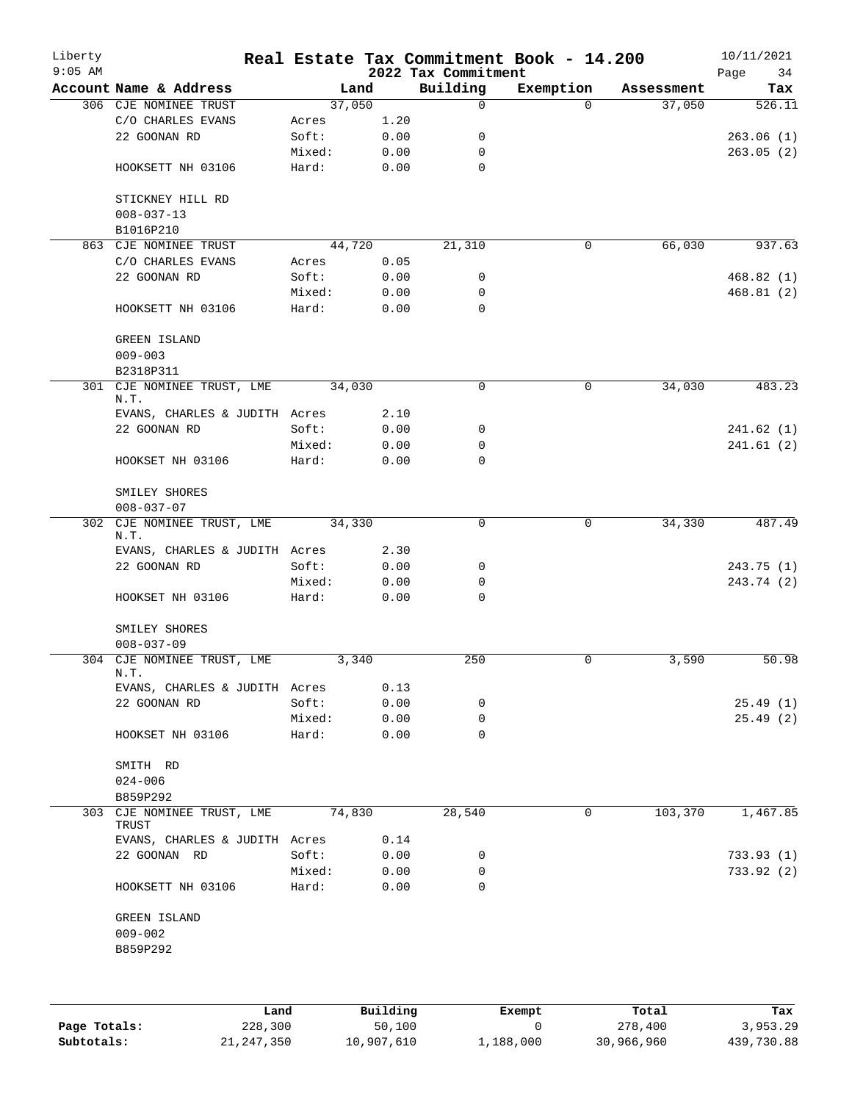| Liberty<br>$9:05$ AM |                                    |                 |              | 2022 Tax Commitment | Real Estate Tax Commitment Book - 14.200 |            | 10/11/2021<br>Page<br>34 |
|----------------------|------------------------------------|-----------------|--------------|---------------------|------------------------------------------|------------|--------------------------|
|                      | Account Name & Address             | Land            |              | Building            | Exemption                                | Assessment | Tax                      |
|                      | 306 CJE NOMINEE TRUST              | 37,050          |              | 0                   | $\Omega$                                 | 37,050     | 526.11                   |
|                      | C/O CHARLES EVANS                  | Acres           | 1.20         |                     |                                          |            |                          |
|                      | 22 GOONAN RD                       | Soft:           | 0.00         | 0                   |                                          |            | 263.06(1)                |
|                      |                                    | Mixed:          | 0.00         | 0                   |                                          |            | 263.05(2)                |
|                      | HOOKSETT NH 03106                  | Hard:           | 0.00         | 0                   |                                          |            |                          |
|                      | STICKNEY HILL RD                   |                 |              |                     |                                          |            |                          |
|                      | $008 - 037 - 13$                   |                 |              |                     |                                          |            |                          |
|                      | B1016P210                          |                 |              |                     |                                          |            |                          |
|                      | 863 CJE NOMINEE TRUST              | 44,720          |              | 21,310              | $\mathsf{O}$                             | 66,030     | 937.63                   |
|                      | C/O CHARLES EVANS                  | Acres           | 0.05         |                     |                                          |            |                          |
|                      | 22 GOONAN RD                       | Soft:           | 0.00         | 0                   |                                          |            | 468.82(1)                |
|                      |                                    | Mixed:          | 0.00         | 0                   |                                          |            | 468.81 (2)               |
|                      | HOOKSETT NH 03106                  | Hard:           | 0.00         | 0                   |                                          |            |                          |
|                      | <b>GREEN ISLAND</b>                |                 |              |                     |                                          |            |                          |
|                      | $009 - 003$                        |                 |              |                     |                                          |            |                          |
|                      | B2318P311                          |                 |              |                     |                                          |            |                          |
| 301                  | CJE NOMINEE TRUST, LME<br>N.T.     | 34,030          |              | $\mathbf 0$         | 0                                        | 34,030     | 483.23                   |
|                      | EVANS, CHARLES & JUDITH Acres      |                 | 2.10         |                     |                                          |            |                          |
|                      | 22 GOONAN RD                       | Soft:           | 0.00         | 0                   |                                          |            | 241.62(1)                |
|                      |                                    | Mixed:          | 0.00         | 0                   |                                          |            | 241.61(2)                |
|                      | HOOKSET NH 03106                   | Hard:           | 0.00         | $\Omega$            |                                          |            |                          |
|                      | SMILEY SHORES                      |                 |              |                     |                                          |            |                          |
|                      | $008 - 037 - 07$                   |                 |              |                     |                                          |            |                          |
| 302                  | CJE NOMINEE TRUST, LME<br>N.T.     | 34,330          |              | 0                   | $\mathbf 0$                              | 34,330     | 487.49                   |
|                      | EVANS, CHARLES & JUDITH Acres      |                 | 2.30         |                     |                                          |            |                          |
|                      | 22 GOONAN RD                       | Soft:           | 0.00         | 0                   |                                          |            | 243.75(1)                |
|                      |                                    | Mixed:          | 0.00         | 0                   |                                          |            | 243.74 (2)               |
|                      | HOOKSET NH 03106                   | Hard:           | 0.00         | 0                   |                                          |            |                          |
|                      | SMILEY SHORES                      |                 |              |                     |                                          |            |                          |
|                      | $008 - 037 - 09$                   |                 |              |                     |                                          |            |                          |
|                      | 304 CJE NOMINEE TRUST, LME<br>N.T. | 3,340           |              | 250                 | 0                                        | 3,590      | 50.98                    |
|                      | EVANS, CHARLES & JUDITH Acres      |                 | 0.13         |                     |                                          |            |                          |
|                      | 22 GOONAN RD                       | Soft:           | 0.00         | 0                   |                                          |            | 25.49 (1)                |
|                      | HOOKSET NH 03106                   | Mixed:<br>Hard: | 0.00<br>0.00 | 0<br>0              |                                          |            | 25.49 (2)                |
|                      | SMITH RD                           |                 |              |                     |                                          |            |                          |
|                      | $024 - 006$                        |                 |              |                     |                                          |            |                          |
|                      | B859P292                           |                 |              |                     |                                          |            |                          |
| 303                  | CJE NOMINEE TRUST, LME<br>TRUST    | 74,830          |              | 28,540              | 0                                        | 103,370    | 1,467.85                 |
|                      | EVANS, CHARLES & JUDITH Acres      |                 | 0.14         |                     |                                          |            |                          |
|                      | 22 GOONAN RD                       | Soft:           | 0.00         | 0                   |                                          |            | 733.93 (1)               |
|                      |                                    | Mixed:          | 0.00         | 0                   |                                          |            | 733.92(2)                |
|                      | HOOKSETT NH 03106                  | Hard:           | 0.00         | 0                   |                                          |            |                          |
|                      | GREEN ISLAND                       |                 |              |                     |                                          |            |                          |
|                      | $009 - 002$                        |                 |              |                     |                                          |            |                          |
|                      | B859P292                           |                 |              |                     |                                          |            |                          |
|                      |                                    |                 |              |                     |                                          |            |                          |
|                      | Land                               |                 | Building     |                     | Exempt                                   | Total      | Tax                      |

|              | Land         | Building   | Exempt    | Total      | Tax        |
|--------------|--------------|------------|-----------|------------|------------|
| Page Totals: | 228,300      | 50,100     |           | 278,400    | 3,953.29   |
| Subtotals:   | 21, 247, 350 | 10,907,610 | 1,188,000 | 30,966,960 | 439,730.88 |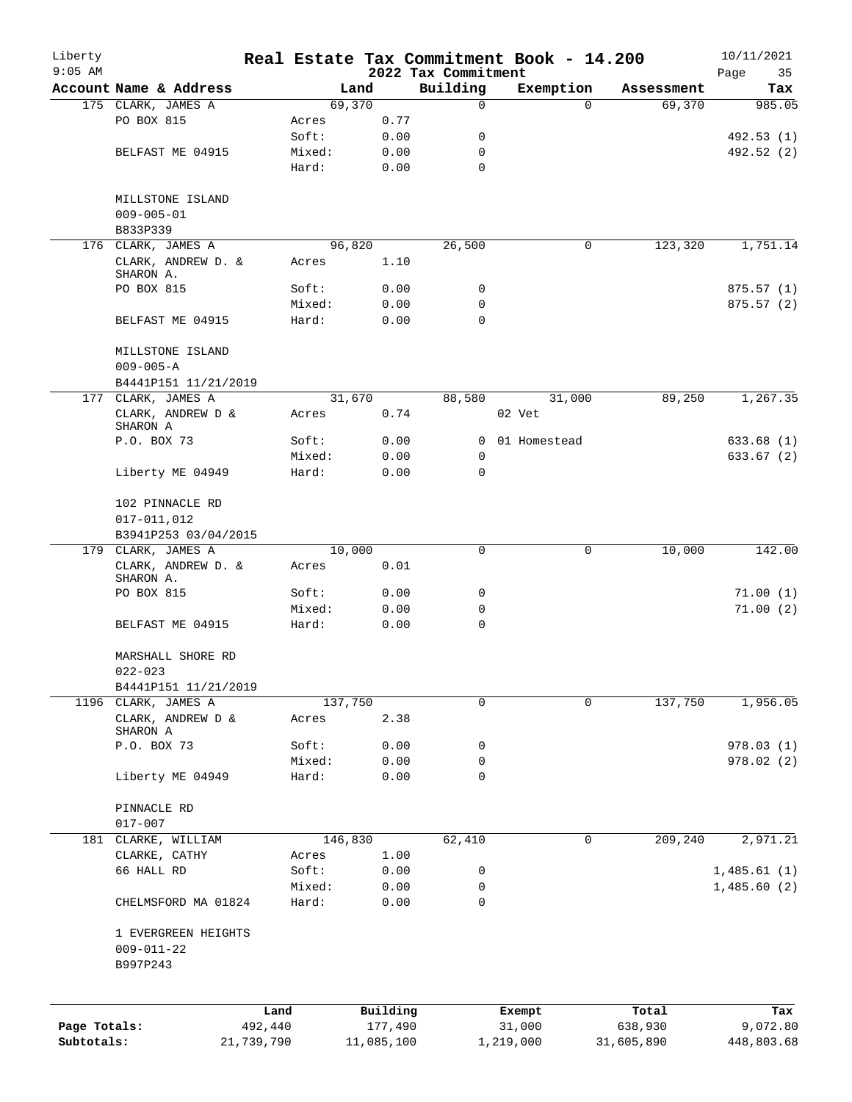| Liberty      |                                         |            |                 |              |                     | Real Estate Tax Commitment Book - 14.200 |            | 10/11/2021  |
|--------------|-----------------------------------------|------------|-----------------|--------------|---------------------|------------------------------------------|------------|-------------|
| $9:05$ AM    |                                         |            |                 |              | 2022 Tax Commitment |                                          |            | Page<br>35  |
|              | Account Name & Address                  |            |                 | Land         | Building            | Exemption                                | Assessment | Tax         |
|              | 175 CLARK, JAMES A                      |            |                 | 69,370       | $\mathbf 0$         | $\Omega$                                 | 69,370     | 985.05      |
|              | PO BOX 815                              |            | Acres<br>Soft:  | 0.77         | 0                   |                                          |            | 492.53 (1)  |
|              |                                         |            |                 | 0.00<br>0.00 | 0                   |                                          |            | 492.52 (2)  |
|              | BELFAST ME 04915                        |            | Mixed:<br>Hard: | 0.00         | $\mathbf 0$         |                                          |            |             |
|              |                                         |            |                 |              |                     |                                          |            |             |
|              | MILLSTONE ISLAND                        |            |                 |              |                     |                                          |            |             |
|              | $009 - 005 - 01$                        |            |                 |              |                     |                                          |            |             |
|              | B833P339                                |            |                 |              |                     |                                          |            |             |
|              | 176 CLARK, JAMES A                      |            |                 | 96,820       | 26,500              | 0                                        | 123,320    | 1,751.14    |
|              | CLARK, ANDREW D. &<br>SHARON A.         |            | Acres           | 1.10         |                     |                                          |            |             |
|              | PO BOX 815                              |            | Soft:           | 0.00         | 0                   |                                          |            | 875.57(1)   |
|              |                                         |            | Mixed:          | 0.00         | 0                   |                                          |            | 875.57(2)   |
|              | BELFAST ME 04915                        |            | Hard:           | 0.00         | $\Omega$            |                                          |            |             |
|              |                                         |            |                 |              |                     |                                          |            |             |
|              | MILLSTONE ISLAND                        |            |                 |              |                     |                                          |            |             |
|              | $009 - 005 - A$<br>B4441P151 11/21/2019 |            |                 |              |                     |                                          |            |             |
|              | 177 CLARK, JAMES A                      |            |                 | 31,670       | 88,580              | 31,000                                   | 89,250     | 1,267.35    |
|              | CLARK, ANDREW D &                       |            | Acres           | 0.74         |                     | 02 Vet                                   |            |             |
|              | SHARON A                                |            |                 |              |                     |                                          |            |             |
|              | P.O. BOX 73                             |            | Soft:           | 0.00         | 0                   | 01 Homestead                             |            | 633.68(1)   |
|              |                                         |            | Mixed:          | 0.00         | 0                   |                                          |            | 633.67(2)   |
|              | Liberty ME 04949                        |            | Hard:           | 0.00         | $\mathbf 0$         |                                          |            |             |
|              |                                         |            |                 |              |                     |                                          |            |             |
|              | 102 PINNACLE RD                         |            |                 |              |                     |                                          |            |             |
|              | $017 - 011,012$                         |            |                 |              |                     |                                          |            |             |
|              | B3941P253 03/04/2015                    |            |                 |              |                     |                                          |            |             |
|              | 179 CLARK, JAMES A                      |            |                 | 10,000       | 0                   | 0                                        | 10,000     | 142.00      |
|              | CLARK, ANDREW D. &                      |            | Acres           | 0.01         |                     |                                          |            |             |
|              | SHARON A.                               |            | Soft:           |              |                     |                                          |            |             |
|              | PO BOX 815                              |            |                 | 0.00         | 0<br>0              |                                          |            | 71.00(1)    |
|              |                                         |            | Mixed:<br>Hard: | 0.00         | $\mathbf 0$         |                                          |            | 71.00(2)    |
|              | BELFAST ME 04915                        |            |                 | 0.00         |                     |                                          |            |             |
|              | MARSHALL SHORE RD<br>$022 - 023$        |            |                 |              |                     |                                          |            |             |
|              | B4441P151 11/21/2019                    |            |                 |              |                     |                                          |            |             |
|              | 1196 CLARK, JAMES A                     |            |                 | 137,750      | $\mathbf 0$         | 0                                        | 137,750    | 1,956.05    |
|              | CLARK, ANDREW D $\&$<br>SHARON A        |            | Acres           | 2.38         |                     |                                          |            |             |
|              | P.O. BOX 73                             |            | Soft:           | 0.00         | 0                   |                                          |            | 978.03(1)   |
|              |                                         |            | Mixed:          | 0.00         | 0                   |                                          |            | 978.02(2)   |
|              | Liberty ME 04949                        |            | Hard:           | 0.00         | 0                   |                                          |            |             |
|              |                                         |            |                 |              |                     |                                          |            |             |
|              | PINNACLE RD                             |            |                 |              |                     |                                          |            |             |
|              | $017 - 007$                             |            |                 |              |                     |                                          |            |             |
|              | 181 CLARKE, WILLIAM                     |            |                 | 146,830      | 62,410              | 0                                        | 209,240    | 2,971.21    |
|              | CLARKE, CATHY                           |            | Acres           | 1.00         |                     |                                          |            |             |
|              | 66 HALL RD                              |            | Soft:           | 0.00         | 0                   |                                          |            | 1,485.61(1) |
|              | CHELMSFORD MA 01824                     |            | Mixed:<br>Hard: | 0.00<br>0.00 | 0<br>$\mathbf 0$    |                                          |            | 1,485.60(2) |
|              |                                         |            |                 |              |                     |                                          |            |             |
|              | 1 EVERGREEN HEIGHTS                     |            |                 |              |                     |                                          |            |             |
|              | $009 - 011 - 22$                        |            |                 |              |                     |                                          |            |             |
|              | B997P243                                |            |                 |              |                     |                                          |            |             |
|              |                                         |            |                 |              |                     |                                          |            |             |
|              |                                         | Land       |                 | Building     |                     | Exempt                                   | Total      | Tax         |
| Page Totals: |                                         | 492,440    |                 | 177,490      |                     | 31,000                                   | 638,930    | 9,072.80    |
| Subtotals:   |                                         | 21,739,790 |                 | 11,085,100   |                     | 1,219,000                                | 31,605,890 | 448,803.68  |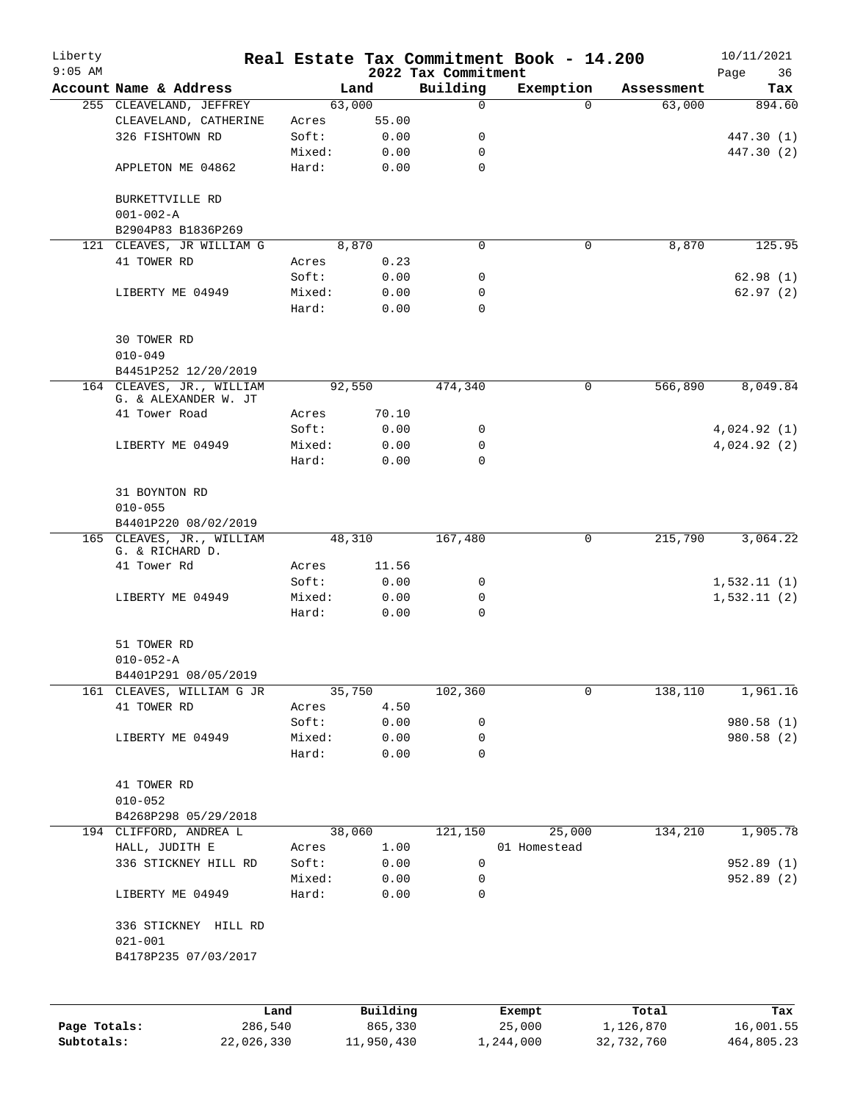| Liberty<br>$9:05$ AM |                                                   |        |          | 2022 Tax Commitment | Real Estate Tax Commitment Book - 14.200 |            | 10/11/2021<br>Page<br>36 |
|----------------------|---------------------------------------------------|--------|----------|---------------------|------------------------------------------|------------|--------------------------|
|                      | Account Name & Address                            |        | Land     | Building            | Exemption                                | Assessment | Tax                      |
|                      | 255 CLEAVELAND, JEFFREY                           |        | 63,000   | $\mathbf 0$         | $\Omega$                                 | 63,000     | 894.60                   |
|                      | CLEAVELAND, CATHERINE                             | Acres  | 55.00    |                     |                                          |            |                          |
|                      | 326 FISHTOWN RD                                   | Soft:  | 0.00     | 0                   |                                          |            | 447.30 (1)               |
|                      |                                                   | Mixed: | 0.00     | 0                   |                                          |            | 447.30 (2)               |
|                      | APPLETON ME 04862                                 | Hard:  | 0.00     | $\mathbf 0$         |                                          |            |                          |
|                      | BURKETTVILLE RD                                   |        |          |                     |                                          |            |                          |
|                      | $001 - 002 - A$                                   |        |          |                     |                                          |            |                          |
|                      | B2904P83 B1836P269                                |        |          |                     |                                          |            |                          |
|                      | 121 CLEAVES, JR WILLIAM G                         |        | 8,870    | 0                   | 0                                        | 8,870      | 125.95                   |
|                      | 41 TOWER RD                                       | Acres  | 0.23     |                     |                                          |            |                          |
|                      |                                                   | Soft:  | 0.00     | 0                   |                                          |            | 62.98(1)                 |
|                      | LIBERTY ME 04949                                  | Mixed: | 0.00     | 0                   |                                          |            | 62.97(2)                 |
|                      |                                                   | Hard:  | 0.00     | $\Omega$            |                                          |            |                          |
|                      | 30 TOWER RD                                       |        |          |                     |                                          |            |                          |
|                      | $010 - 049$                                       |        |          |                     |                                          |            |                          |
|                      | B4451P252 12/20/2019                              |        |          |                     |                                          |            |                          |
|                      | 164 CLEAVES, JR., WILLIAM<br>G. & ALEXANDER W. JT |        | 92,550   | 474,340             | 0                                        | 566,890    | 8,049.84                 |
|                      | 41 Tower Road                                     | Acres  | 70.10    |                     |                                          |            |                          |
|                      |                                                   | Soft:  | 0.00     | 0                   |                                          |            | 4,024.92(1)              |
|                      | LIBERTY ME 04949                                  | Mixed: | 0.00     | 0                   |                                          |            | 4,024.92 (2)             |
|                      |                                                   | Hard:  | 0.00     | 0                   |                                          |            |                          |
|                      | 31 BOYNTON RD                                     |        |          |                     |                                          |            |                          |
|                      | $010 - 055$                                       |        |          |                     |                                          |            |                          |
|                      | B4401P220 08/02/2019                              |        |          |                     |                                          |            |                          |
|                      | 165 CLEAVES, JR., WILLIAM<br>G. & RICHARD D.      |        | 48,310   | 167,480             | 0                                        | 215,790    | 3,064.22                 |
|                      | 41 Tower Rd                                       | Acres  | 11.56    |                     |                                          |            |                          |
|                      |                                                   | Soft:  | 0.00     | 0                   |                                          |            | 1,532.11(1)              |
|                      | LIBERTY ME 04949                                  | Mixed: | 0.00     | 0                   |                                          |            | 1,532.11(2)              |
|                      |                                                   | Hard:  | 0.00     | 0                   |                                          |            |                          |
|                      | 51 TOWER RD                                       |        |          |                     |                                          |            |                          |
|                      | $010 - 052 - A$                                   |        |          |                     |                                          |            |                          |
|                      | B4401P291 08/05/2019                              |        |          |                     |                                          |            |                          |
|                      | 161 CLEAVES, WILLIAM G JR                         |        | 35,750   | 102,360             | 0                                        | 138,110    | 1,961.16                 |
|                      | 41 TOWER RD                                       | Acres  | 4.50     |                     |                                          |            |                          |
|                      |                                                   | Soft:  | 0.00     | 0                   |                                          |            | 980.58 (1)               |
|                      | LIBERTY ME 04949                                  | Mixed: | 0.00     | 0                   |                                          |            | 980.58 (2)               |
|                      |                                                   | Hard:  | 0.00     | 0                   |                                          |            |                          |
|                      | 41 TOWER RD                                       |        |          |                     |                                          |            |                          |
|                      | $010 - 052$                                       |        |          |                     |                                          |            |                          |
|                      | B4268P298 05/29/2018                              |        |          |                     |                                          |            |                          |
|                      | 194 CLIFFORD, ANDREA L                            |        | 38,060   | 121,150             | 25,000                                   | 134,210    | 1,905.78                 |
|                      | HALL, JUDITH E                                    | Acres  | 1.00     |                     | 01 Homestead                             |            |                          |
|                      | 336 STICKNEY HILL RD                              | Soft:  | 0.00     | 0                   |                                          |            | 952.89 (1)               |
|                      |                                                   | Mixed: | 0.00     | 0                   |                                          |            | 952.89 (2)               |
|                      | LIBERTY ME 04949                                  | Hard:  | 0.00     | 0                   |                                          |            |                          |
|                      | 336 STICKNEY HILL RD<br>$021 - 001$               |        |          |                     |                                          |            |                          |
|                      | B4178P235 07/03/2017                              |        |          |                     |                                          |            |                          |
|                      |                                                   |        |          |                     |                                          |            |                          |
|                      |                                                   | Land   | Building |                     | Exempt                                   | Total      | Tax                      |

|              | nana       | <b>DULLULLY</b> | <b>BACILDL</b> | TOCAT      | ⊥a∧        |
|--------------|------------|-----------------|----------------|------------|------------|
| Page Totals: | 286,540    | 865,330         | 25,000         | 1,126,870  | 16,001.55  |
| Subtotals:   | 22,026,330 | 11,950,430      | 1,244,000      | 32,732,760 | 464,805.23 |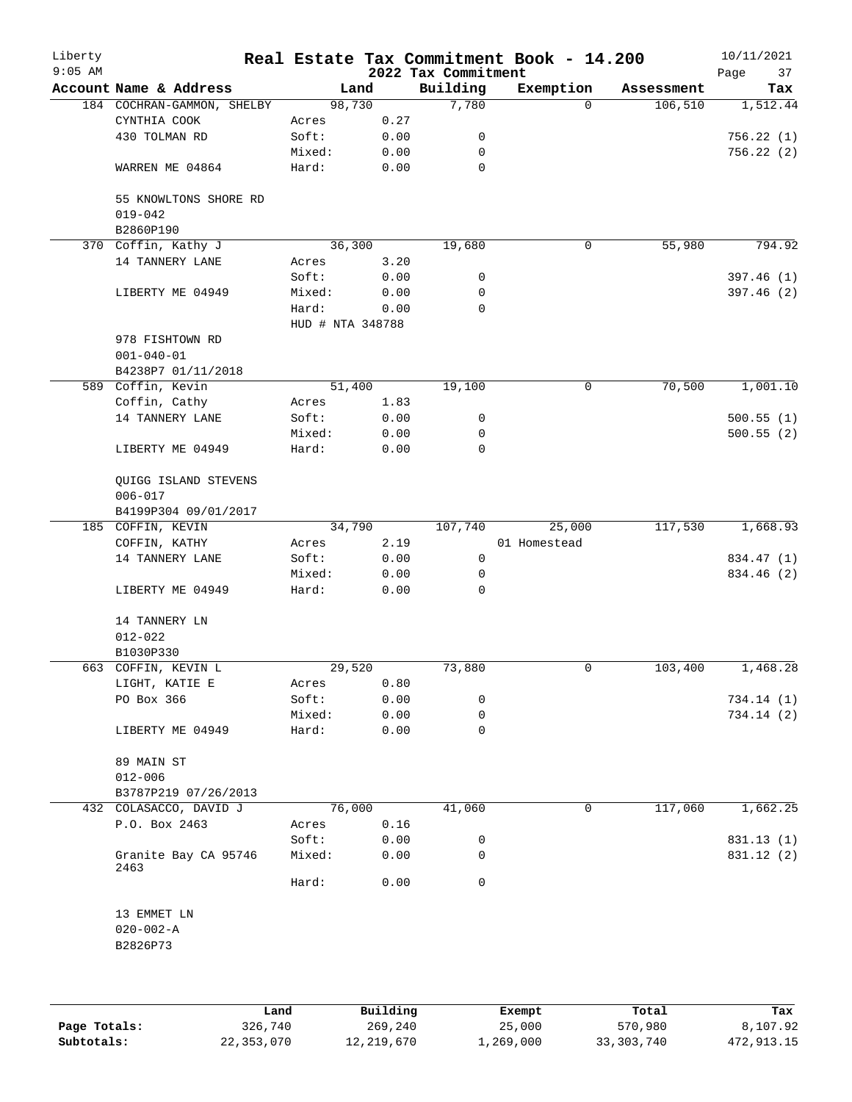| Liberty<br>$9:05$ AM |                                      |                  |              | 2022 Tax Commitment | Real Estate Tax Commitment Book - 14.200 |            | 10/11/2021<br>Page<br>37 |
|----------------------|--------------------------------------|------------------|--------------|---------------------|------------------------------------------|------------|--------------------------|
|                      | Account Name & Address               | Land             |              | Building            | Exemption                                | Assessment | Tax                      |
|                      | 184 COCHRAN-GAMMON, SHELBY           | 98,730           |              | 7,780               | $\Omega$                                 | 106, 510   | 1,512.44                 |
|                      | CYNTHIA COOK                         | Acres            | 0.27         |                     |                                          |            |                          |
|                      | 430 TOLMAN RD                        | Soft:            | 0.00         | 0                   |                                          |            | 756.22(1)                |
|                      |                                      | Mixed:           | 0.00         | 0                   |                                          |            | 756.22(2)                |
|                      | WARREN ME 04864                      | Hard:            | 0.00         | 0                   |                                          |            |                          |
|                      | 55 KNOWLTONS SHORE RD<br>$019 - 042$ |                  |              |                     |                                          |            |                          |
|                      | B2860P190                            |                  |              |                     |                                          |            |                          |
|                      | 370 Coffin, Kathy J                  | 36,300           |              | 19,680              | $\mathsf{O}$                             | 55,980     | 794.92                   |
|                      | 14 TANNERY LANE                      | Acres            | 3.20         |                     |                                          |            |                          |
|                      |                                      | Soft:            | 0.00         | 0                   |                                          |            | 397.46(1)                |
|                      | LIBERTY ME 04949                     | Mixed:           | 0.00         | 0                   |                                          |            | 397.46 (2)               |
|                      |                                      | Hard:            | 0.00         | 0                   |                                          |            |                          |
|                      |                                      | HUD # NTA 348788 |              |                     |                                          |            |                          |
|                      | 978 FISHTOWN RD                      |                  |              |                     |                                          |            |                          |
|                      | $001 - 040 - 01$                     |                  |              |                     |                                          |            |                          |
|                      | B4238P7 01/11/2018                   |                  |              |                     |                                          |            |                          |
|                      | 589 Coffin, Kevin                    | 51,400           |              | 19,100              | 0                                        | 70,500     | 1,001.10                 |
|                      | Coffin, Cathy                        | Acres            | 1.83         |                     |                                          |            |                          |
|                      | 14 TANNERY LANE                      | Soft:            | 0.00         | 0                   |                                          |            | 500.55(1)                |
|                      |                                      | Mixed:           | 0.00         | 0                   |                                          |            | 500.55(2)                |
|                      | LIBERTY ME 04949                     | Hard:            | 0.00         | 0                   |                                          |            |                          |
|                      | QUIGG ISLAND STEVENS                 |                  |              |                     |                                          |            |                          |
|                      | $006 - 017$                          |                  |              |                     |                                          |            |                          |
|                      | B4199P304 09/01/2017                 |                  |              |                     |                                          |            |                          |
|                      | 185 COFFIN, KEVIN                    | 34,790           |              | 107,740             | 25,000                                   | 117,530    | 1,668.93                 |
|                      | COFFIN, KATHY                        | Acres            | 2.19         |                     | 01 Homestead                             |            |                          |
|                      | 14 TANNERY LANE                      | Soft:            | 0.00         | 0                   |                                          |            | 834.47 (1)               |
|                      | LIBERTY ME 04949                     | Mixed:<br>Hard:  | 0.00<br>0.00 | 0<br>0              |                                          |            | 834.46 (2)               |
|                      |                                      |                  |              |                     |                                          |            |                          |
|                      | 14 TANNERY LN                        |                  |              |                     |                                          |            |                          |
|                      | $012 - 022$                          |                  |              |                     |                                          |            |                          |
|                      | B1030P330<br>663 COFFIN, KEVIN L     | 29,520           |              | 73,880              | 0                                        | 103,400    | 1,468.28                 |
|                      | LIGHT, KATIE E                       |                  | 0.80         |                     |                                          |            |                          |
|                      | PO Box 366                           | Acres<br>Soft:   | 0.00         | 0                   |                                          |            | 734.14 (1)               |
|                      |                                      | Mixed:           | 0.00         | 0                   |                                          |            | 734.14(2)                |
|                      | LIBERTY ME 04949                     | Hard:            | 0.00         | 0                   |                                          |            |                          |
|                      |                                      |                  |              |                     |                                          |            |                          |
|                      | 89 MAIN ST                           |                  |              |                     |                                          |            |                          |
|                      | $012 - 006$                          |                  |              |                     |                                          |            |                          |
|                      | B3787P219 07/26/2013                 |                  |              |                     |                                          |            |                          |
|                      | 432 COLASACCO, DAVID J               | 76,000           |              | 41,060              | 0                                        | 117,060    | 1,662.25                 |
|                      | P.O. Box 2463                        | Acres            | 0.16         |                     |                                          |            |                          |
|                      |                                      | Soft:            | 0.00         | 0                   |                                          |            | 831.13 (1)               |
|                      | Granite Bay CA 95746<br>2463         | Mixed:           | 0.00         | 0                   |                                          |            | 831.12 (2)               |
|                      |                                      | Hard:            | 0.00         | 0                   |                                          |            |                          |
|                      | 13 EMMET LN                          |                  |              |                     |                                          |            |                          |
|                      | $020 - 002 - A$                      |                  |              |                     |                                          |            |                          |
|                      | B2826P73                             |                  |              |                     |                                          |            |                          |
|                      |                                      |                  |              |                     |                                          |            |                          |
|                      |                                      |                  |              |                     |                                          |            |                          |
|                      |                                      |                  |              |                     |                                          |            |                          |

|              | Land       | Building   | Exempt    | Total      | Tax        |
|--------------|------------|------------|-----------|------------|------------|
| Page Totals: | 326,740    | 269,240    | 25,000    | 570,980    | 8,107.92   |
| Subtotals:   | 22,353,070 | 12,219,670 | 1,269,000 | 33,303,740 | 472,913.15 |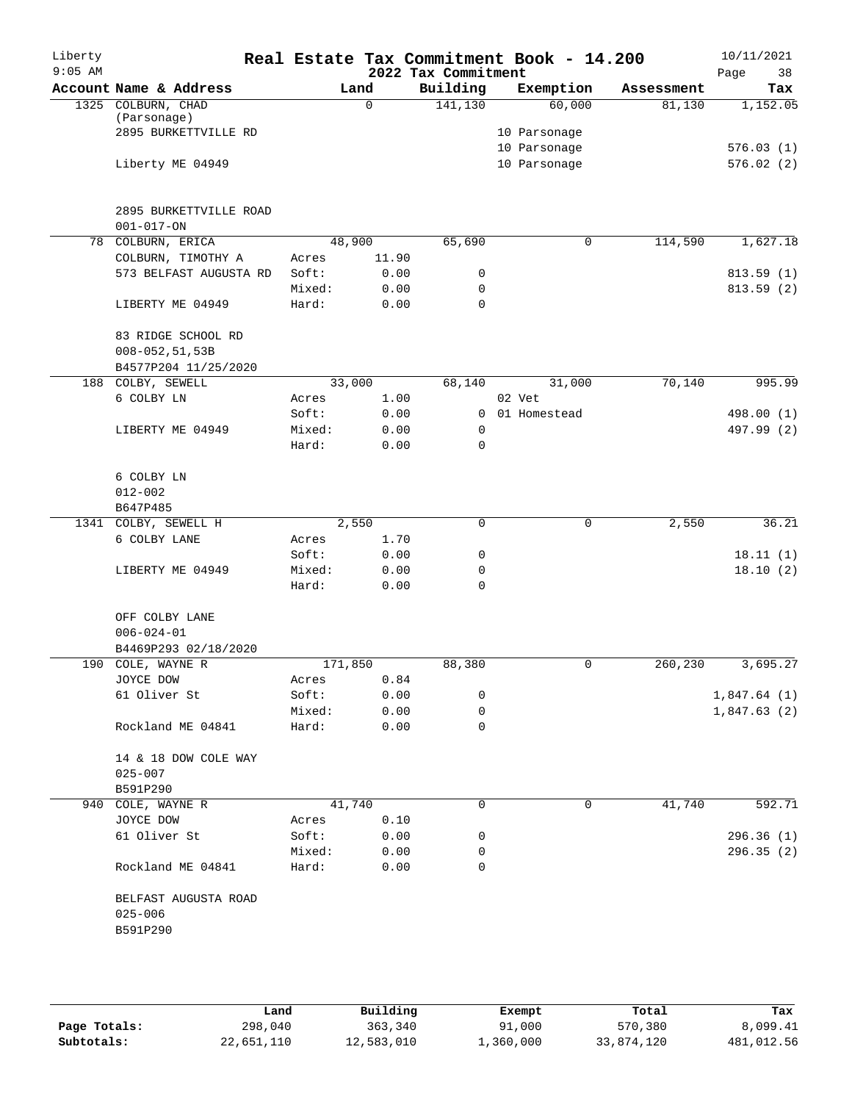| Liberty<br>$9:05$ AM |                                                           |                |             | 2022 Tax Commitment | Real Estate Tax Commitment Book - 14.200 |            | 10/11/2021<br>Page<br>38 |
|----------------------|-----------------------------------------------------------|----------------|-------------|---------------------|------------------------------------------|------------|--------------------------|
|                      | Account Name & Address                                    |                | Land        | Building            | Exemption                                | Assessment | Tax                      |
|                      | 1325 COLBURN, CHAD<br>(Parsonage)<br>2895 BURKETTVILLE RD |                | $\mathbf 0$ | 141, 130            | 60,000<br>10 Parsonage<br>10 Parsonage   | 81,130     | 1,152.05<br>576.03(1)    |
|                      | Liberty ME 04949                                          |                |             |                     | 10 Parsonage                             |            | 576.02(2)                |
|                      | 2895 BURKETTVILLE ROAD<br>$001 - 017 - ON$                |                |             |                     |                                          |            |                          |
|                      | 78 COLBURN, ERICA                                         |                | 48,900      | 65,690              | 0                                        | 114,590    | 1,627.18                 |
|                      | COLBURN, TIMOTHY A                                        | Acres          | 11.90       |                     |                                          |            |                          |
|                      | 573 BELFAST AUGUSTA RD                                    | Soft:          | 0.00        | 0                   |                                          |            | 813.59(1)                |
|                      |                                                           | Mixed:         | 0.00        | 0                   |                                          |            | 813.59 (2)               |
|                      | LIBERTY ME 04949                                          | Hard:          | 0.00        | 0                   |                                          |            |                          |
|                      | 83 RIDGE SCHOOL RD                                        |                |             |                     |                                          |            |                          |
|                      | $008 - 052, 51, 53B$<br>B4577P204 11/25/2020              |                |             |                     |                                          |            |                          |
| 188                  | COLBY, SEWELL                                             |                | 33,000      | 68,140              | 31,000                                   | 70,140     | 995.99                   |
|                      | 6 COLBY LN                                                | Acres          | 1.00        |                     | 02 Vet                                   |            |                          |
|                      |                                                           | Soft:          | 0.00        | 0                   | 01 Homestead                             |            | 498.00 (1)               |
|                      | LIBERTY ME 04949                                          | Mixed:         | 0.00        | 0                   |                                          |            | 497.99 (2)               |
|                      |                                                           | Hard:          | 0.00        | 0                   |                                          |            |                          |
|                      | 6 COLBY LN<br>$012 - 002$                                 |                |             |                     |                                          |            |                          |
|                      | B647P485                                                  |                |             |                     |                                          |            |                          |
|                      | 1341 COLBY, SEWELL H                                      |                | 2,550       | 0                   | $\mathbf 0$                              | 2,550      | 36.21                    |
|                      | 6 COLBY LANE                                              | Acres          | 1.70        |                     |                                          |            |                          |
|                      |                                                           | Soft:          | 0.00        | 0                   |                                          |            | 18.11(1)                 |
|                      | LIBERTY ME 04949                                          | Mixed:         | 0.00        | 0                   |                                          |            | 18.10(2)                 |
|                      |                                                           | Hard:          | 0.00        | 0                   |                                          |            |                          |
|                      | OFF COLBY LANE<br>$006 - 024 - 01$                        |                |             |                     |                                          |            |                          |
|                      | B4469P293 02/18/2020                                      |                |             |                     |                                          |            |                          |
| 190                  | COLE, WAYNE R                                             |                | 171,850     | 88,380              | $\mathbf 0$                              | 260,230    | 3,695.27                 |
|                      | JOYCE DOW                                                 | Acres          | 0.84        |                     |                                          |            |                          |
|                      | 61 Oliver St                                              | Soft:          | 0.00        | 0                   |                                          |            | 1,847.64(1)              |
|                      |                                                           | Mixed:         | 0.00        | 0                   |                                          |            | 1,847.63(2)              |
|                      | Rockland ME 04841                                         | Hard:          | 0.00        | 0                   |                                          |            |                          |
|                      | 14 & 18 DOW COLE WAY<br>$025 - 007$                       |                |             |                     |                                          |            |                          |
|                      | B591P290                                                  |                | 41,740      | 0                   | 0                                        |            | 592.71                   |
|                      | 940 COLE, WAYNE R<br>JOYCE DOW                            |                | 0.10        |                     |                                          | 41,740     |                          |
|                      | 61 Oliver St                                              | Acres<br>Soft: | 0.00        | 0                   |                                          |            |                          |
|                      |                                                           | Mixed:         | 0.00        | 0                   |                                          |            | 296.36 (1)<br>296.35(2)  |
|                      | Rockland ME 04841                                         | Hard:          | 0.00        | 0                   |                                          |            |                          |
|                      | BELFAST AUGUSTA ROAD<br>$025 - 006$<br>B591P290           |                |             |                     |                                          |            |                          |
|                      |                                                           |                |             |                     |                                          |            |                          |

|              | Land       | Building   | Exempt    | Total      | Tax        |
|--------------|------------|------------|-----------|------------|------------|
| Page Totals: | 298,040    | 363,340    | 91,000    | 570,380    | 8,099.41   |
| Subtotals:   | 22,651,110 | 12,583,010 | 1,360,000 | 33,874,120 | 481,012.56 |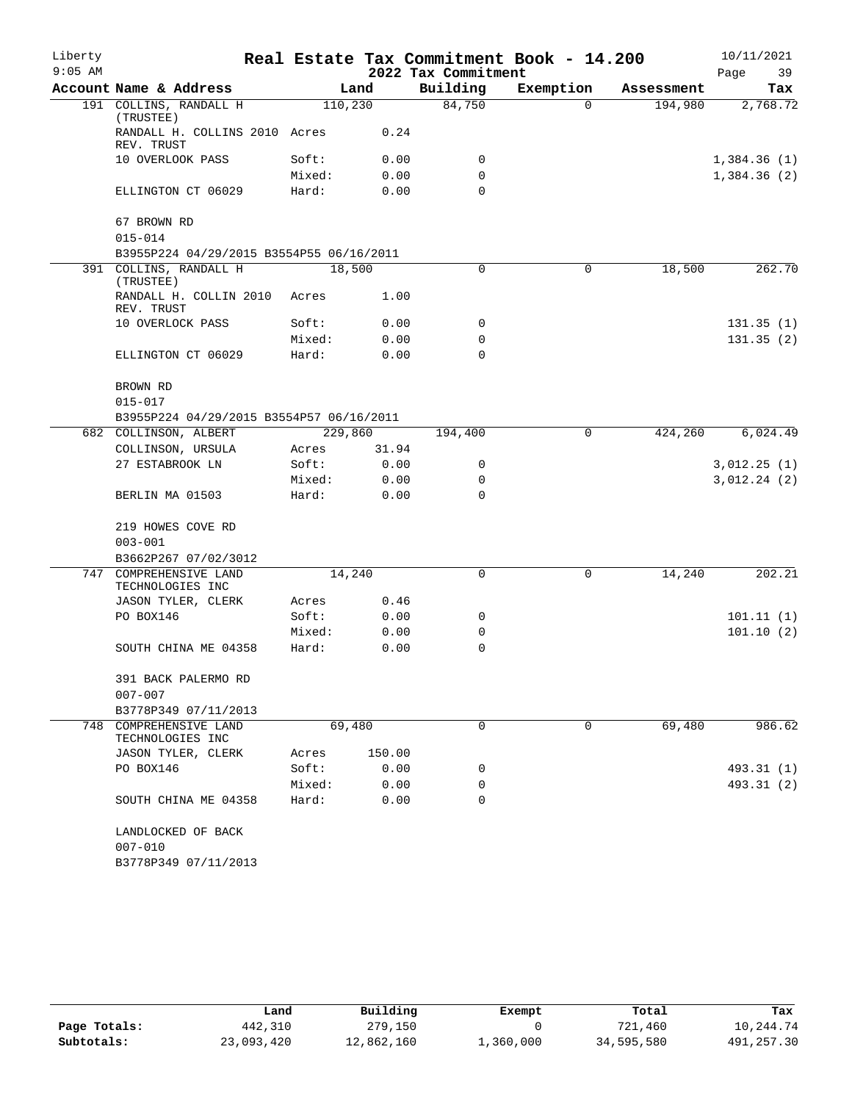| Liberty   |                                                                    |                 |              |                     | Real Estate Tax Commitment Book - 14.200 |            | 10/11/2021                 |
|-----------|--------------------------------------------------------------------|-----------------|--------------|---------------------|------------------------------------------|------------|----------------------------|
| $9:05$ AM |                                                                    |                 |              | 2022 Tax Commitment |                                          |            | Page<br>39                 |
|           | Account Name & Address                                             |                 | Land         | Building            | Exemption                                | Assessment | Tax                        |
|           | 191 COLLINS, RANDALL H<br>(TRUSTEE)                                | 110,230         |              | 84,750              | $\Omega$                                 | 194,980    | 2,768.72                   |
|           | RANDALL H. COLLINS 2010 Acres<br>REV. TRUST                        |                 | 0.24         |                     |                                          |            |                            |
|           | 10 OVERLOOK PASS                                                   | Soft:           | 0.00         | 0                   |                                          |            | 1,384.36(1)                |
|           |                                                                    | Mixed:          | 0.00         | 0                   |                                          |            | 1,384.36(2)                |
|           | ELLINGTON CT 06029                                                 | Hard:           | 0.00         | $\Omega$            |                                          |            |                            |
|           | 67 BROWN RD                                                        |                 |              |                     |                                          |            |                            |
|           | $015 - 014$                                                        |                 |              |                     |                                          |            |                            |
|           | B3955P224 04/29/2015 B3554P55 06/16/2011<br>391 COLLINS, RANDALL H |                 |              | 0                   | $\mathbf 0$                              | 18,500     | 262.70                     |
|           | (TRUSTEE)                                                          | 18,500          |              |                     |                                          |            |                            |
|           | RANDALL H. COLLIN 2010<br>REV. TRUST                               | Acres           | 1.00         |                     |                                          |            |                            |
|           | 10 OVERLOCK PASS                                                   | Soft:           | 0.00         | 0                   |                                          |            | 131.35(1)                  |
|           |                                                                    | Mixed:          | 0.00         | $\mathbf 0$         |                                          |            | 131.35(2)                  |
|           | ELLINGTON CT 06029                                                 | Hard:           | 0.00         | $\Omega$            |                                          |            |                            |
|           | BROWN RD                                                           |                 |              |                     |                                          |            |                            |
|           | $015 - 017$                                                        |                 |              |                     |                                          |            |                            |
|           | B3955P224 04/29/2015 B3554P57 06/16/2011                           |                 |              |                     |                                          |            |                            |
|           | 682 COLLINSON, ALBERT                                              | 229,860         |              | 194,400             | $\mathbf 0$                              | 424,260    | 6,024.49                   |
|           | COLLINSON, URSULA                                                  | Acres           | 31.94        |                     |                                          |            |                            |
|           | 27 ESTABROOK LN                                                    | Soft:<br>Mixed: | 0.00<br>0.00 | 0<br>0              |                                          |            | 3,012.25(1)<br>3,012.24(2) |
|           | BERLIN MA 01503                                                    | Hard:           | 0.00         | 0                   |                                          |            |                            |
|           | 219 HOWES COVE RD                                                  |                 |              |                     |                                          |            |                            |
|           | $003 - 001$                                                        |                 |              |                     |                                          |            |                            |
|           | B3662P267 07/02/3012                                               |                 |              |                     |                                          |            |                            |
|           | 747 COMPREHENSIVE LAND                                             | 14,240          |              | $\Omega$            | 0                                        | 14,240     | 202.21                     |
|           | TECHNOLOGIES INC                                                   |                 |              |                     |                                          |            |                            |
|           | JASON TYLER, CLERK                                                 | Acres           | 0.46         |                     |                                          |            |                            |
|           | PO BOX146                                                          | Soft:           | 0.00         | 0                   |                                          |            | 101.11(1)                  |
|           |                                                                    | Mixed:          | 0.00         | 0                   |                                          |            | 101.10(2)                  |
|           | SOUTH CHINA ME 04358                                               | Hard:           | 0.00         | 0                   |                                          |            |                            |
|           | 391 BACK PALERMO RD                                                |                 |              |                     |                                          |            |                            |
|           | $007 - 007$                                                        |                 |              |                     |                                          |            |                            |
|           | B3778P349 07/11/2013                                               |                 |              |                     |                                          |            |                            |
|           | 748 COMPREHENSIVE LAND<br>TECHNOLOGIES INC                         | 69,480          |              | 0                   | 0                                        | 69,480     | 986.62                     |
|           | JASON TYLER, CLERK                                                 | Acres           | 150.00       |                     |                                          |            |                            |
|           | PO BOX146                                                          | Soft:           | 0.00         | 0                   |                                          |            | 493.31 (1)                 |
|           |                                                                    | Mixed:          | 0.00         | 0                   |                                          |            | 493.31 (2)                 |
|           | SOUTH CHINA ME 04358                                               | Hard:           | 0.00         | 0                   |                                          |            |                            |
|           | LANDLOCKED OF BACK                                                 |                 |              |                     |                                          |            |                            |
|           | $007 - 010$                                                        |                 |              |                     |                                          |            |                            |
|           | B3778P349 07/11/2013                                               |                 |              |                     |                                          |            |                            |

|              | Land       | Building   | Exempt    | Total      | Tax        |
|--------------|------------|------------|-----------|------------|------------|
| Page Totals: | 442,310    | 279,150    |           | 721,460    | 10,244.74  |
| Subtotals:   | 23,093,420 | 12,862,160 | 1,360,000 | 34,595,580 | 491,257.30 |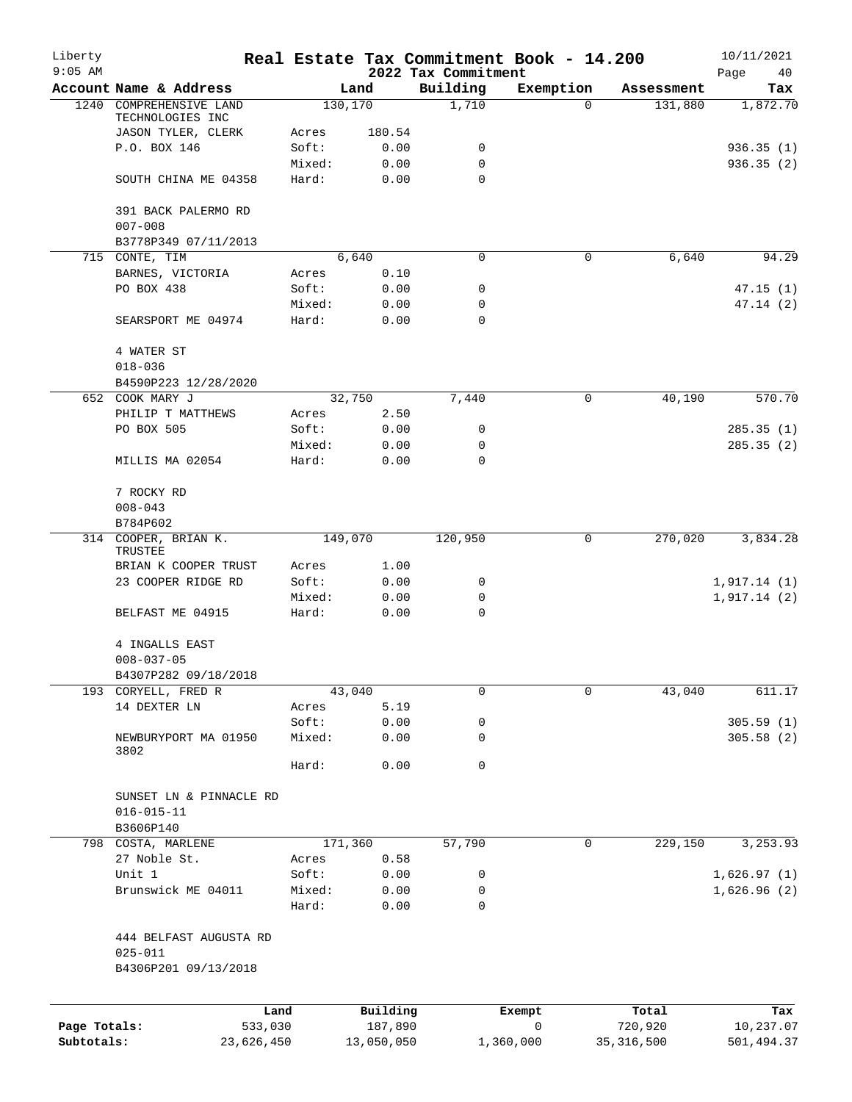| Liberty<br>$9:05$ AM       |                                            |                 |                       | 2022 Tax Commitment | Real Estate Tax Commitment Book - 14.200 |                         | 10/11/2021<br>Page<br>40 |
|----------------------------|--------------------------------------------|-----------------|-----------------------|---------------------|------------------------------------------|-------------------------|--------------------------|
|                            | Account Name & Address                     |                 | Land                  | Building            | Exemption                                | Assessment              | Tax                      |
| 1240                       | COMPREHENSIVE LAND                         |                 | 130,170               | 1,710               | $\mathbf 0$                              | 131,880                 | 1,872.70                 |
|                            | TECHNOLOGIES INC                           |                 |                       |                     |                                          |                         |                          |
|                            | JASON TYLER, CLERK                         | Acres           | 180.54                |                     |                                          |                         |                          |
|                            | P.O. BOX 146                               | Soft:           | 0.00                  | 0                   |                                          |                         | 936.35(1)                |
|                            |                                            | Mixed:<br>Hard: | 0.00                  | 0<br>$\Omega$       |                                          |                         | 936.35(2)                |
|                            | SOUTH CHINA ME 04358                       |                 | 0.00                  |                     |                                          |                         |                          |
|                            | 391 BACK PALERMO RD                        |                 |                       |                     |                                          |                         |                          |
|                            | $007 - 008$                                |                 |                       |                     |                                          |                         |                          |
|                            | B3778P349 07/11/2013                       |                 |                       |                     |                                          |                         |                          |
|                            | 715 CONTE, TIM                             |                 | 6,640                 | 0                   | 0                                        | 6,640                   | 94.29                    |
|                            | BARNES, VICTORIA                           | Acres           | 0.10                  |                     |                                          |                         |                          |
|                            | PO BOX 438                                 | Soft:           | 0.00                  | 0                   |                                          |                         | 47.15(1)                 |
|                            |                                            | Mixed:          | 0.00                  | 0                   |                                          |                         | 47.14(2)                 |
|                            | SEARSPORT ME 04974                         | Hard:           | 0.00                  | 0                   |                                          |                         |                          |
|                            | 4 WATER ST                                 |                 |                       |                     |                                          |                         |                          |
|                            | $018 - 036$                                |                 |                       |                     |                                          |                         |                          |
|                            | B4590P223 12/28/2020                       |                 |                       |                     |                                          |                         |                          |
|                            | 652 COOK MARY J                            |                 | 32,750                | 7,440               | 0                                        | 40,190                  | 570.70                   |
|                            | PHILIP T MATTHEWS                          | Acres           | 2.50                  |                     |                                          |                         |                          |
|                            | PO BOX 505                                 | Soft:           | 0.00                  | 0                   |                                          |                         | 285.35(1)                |
|                            |                                            | Mixed:          | 0.00                  | 0                   |                                          |                         | 285.35(2)                |
|                            | MILLIS MA 02054                            | Hard:           | 0.00                  | $\mathbf 0$         |                                          |                         |                          |
|                            |                                            |                 |                       |                     |                                          |                         |                          |
|                            | 7 ROCKY RD                                 |                 |                       |                     |                                          |                         |                          |
|                            | $008 - 043$                                |                 |                       |                     |                                          |                         |                          |
|                            | B784P602                                   |                 |                       |                     |                                          |                         |                          |
|                            | 314 COOPER, BRIAN K.                       |                 | 149,070               | 120,950             | 0                                        | 270,020                 | 3,834.28                 |
|                            | TRUSTEE                                    |                 | 1.00                  |                     |                                          |                         |                          |
|                            | BRIAN K COOPER TRUST<br>23 COOPER RIDGE RD | Acres<br>Soft:  | 0.00                  | 0                   |                                          |                         | 1,917.14(1)              |
|                            |                                            | Mixed:          | 0.00                  | 0                   |                                          |                         | 1,917.14(2)              |
|                            | BELFAST ME 04915                           | Hard:           | 0.00                  | $\mathbf 0$         |                                          |                         |                          |
|                            |                                            |                 |                       |                     |                                          |                         |                          |
|                            | 4 INGALLS EAST                             |                 |                       |                     |                                          |                         |                          |
|                            | $008 - 037 - 05$                           |                 |                       |                     |                                          |                         |                          |
|                            | B4307P282 09/18/2018                       |                 |                       |                     |                                          |                         |                          |
|                            | 193 CORYELL, FRED R                        |                 | 43,040                | 0                   | $\mathbf 0$                              | 43,040                  | 611.17                   |
|                            | 14 DEXTER LN                               | Acres           | 5.19                  |                     |                                          |                         |                          |
|                            |                                            | Soft:           | 0.00                  | 0                   |                                          |                         | 305.59(1)                |
|                            | NEWBURYPORT MA 01950                       | Mixed:          | 0.00                  | 0                   |                                          |                         | 305.58(2)                |
|                            | 3802                                       | Hard:           | 0.00                  | 0                   |                                          |                         |                          |
|                            |                                            |                 |                       |                     |                                          |                         |                          |
|                            | SUNSET LN & PINNACLE RD                    |                 |                       |                     |                                          |                         |                          |
|                            | $016 - 015 - 11$                           |                 |                       |                     |                                          |                         |                          |
|                            | B3606P140                                  |                 |                       |                     |                                          |                         |                          |
|                            | 798 COSTA, MARLENE                         |                 | 171,360               | 57,790              | 0                                        | 229,150                 | 3,253.93                 |
|                            | 27 Noble St.                               | Acres           | 0.58                  |                     |                                          |                         |                          |
|                            | Unit 1                                     | Soft:           | 0.00                  | 0                   |                                          |                         | 1,626.97(1)              |
|                            | Brunswick ME 04011                         | Mixed:          | 0.00                  | 0                   |                                          |                         | 1,626.96(2)              |
|                            |                                            | Hard:           | 0.00                  | 0                   |                                          |                         |                          |
|                            |                                            |                 |                       |                     |                                          |                         |                          |
|                            | 444 BELFAST AUGUSTA RD                     |                 |                       |                     |                                          |                         |                          |
|                            | $025 - 011$                                |                 |                       |                     |                                          |                         |                          |
|                            | B4306P201 09/13/2018                       |                 |                       |                     |                                          |                         |                          |
|                            |                                            |                 |                       |                     |                                          |                         |                          |
|                            |                                            | Land            | Building              |                     | Exempt                                   | Total                   | Tax                      |
| Page Totals:<br>Subtotals: | 533,030<br>23,626,450                      |                 | 187,890<br>13,050,050 |                     | 0<br>1,360,000                           | 720,920<br>35, 316, 500 | 10,237.07<br>501,494.37  |
|                            |                                            |                 |                       |                     |                                          |                         |                          |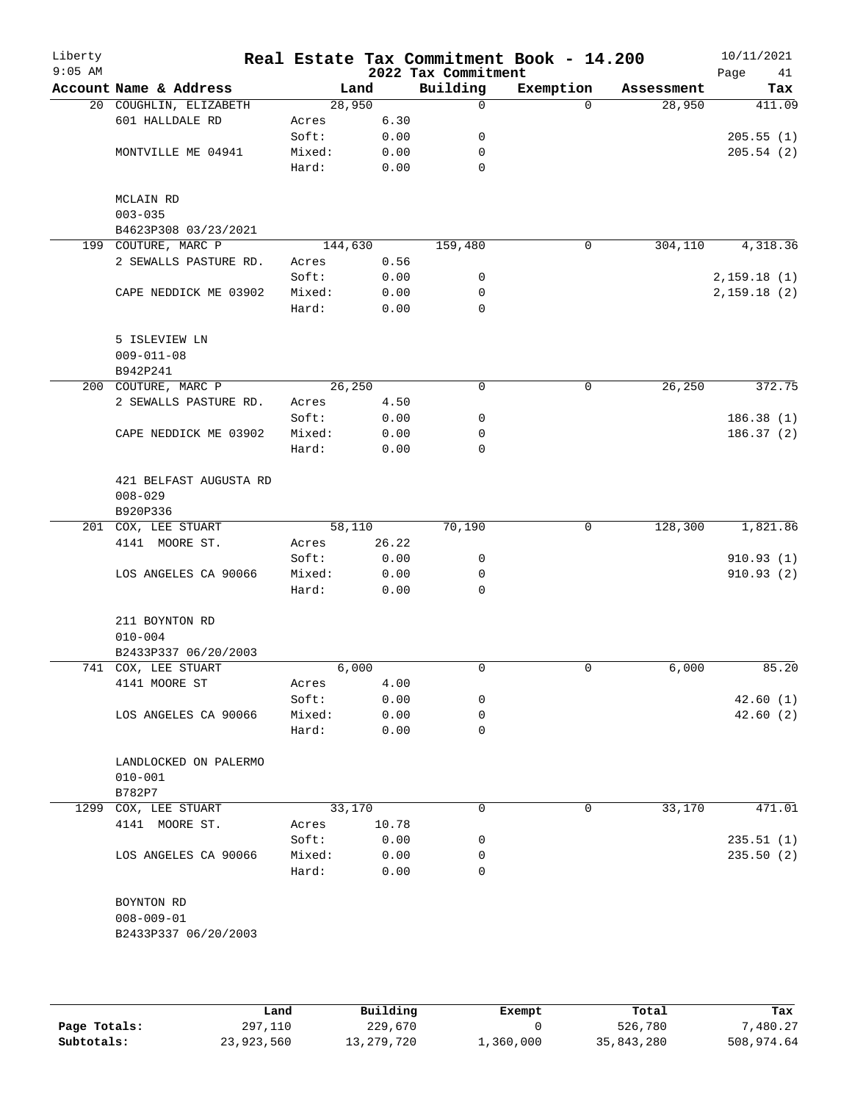| Building<br>Account Name & Address<br>Exemption<br>Land<br>Assessment<br>28,950<br>28,950<br>20 COUGHLIN, ELIZABETH<br>0<br>$\Omega$<br>601 HALLDALE RD<br>6.30<br>Acres<br>Soft:<br>0.00<br>0<br>MONTVILLE ME 04941<br>Mixed:<br>0.00<br>0<br>Hard:<br>$\mathbf 0$<br>0.00<br>MCLAIN RD<br>$003 - 035$<br>B4623P308 03/23/2021<br>199 COUTURE, MARC P<br>144,630<br>159,480<br>304,110<br>$\mathbf 0$<br>2 SEWALLS PASTURE RD.<br>0.56<br>Acres<br>Soft:<br>0.00<br>0<br>Mixed:<br>0.00<br>0<br>CAPE NEDDICK ME 03902<br>Hard:<br>$\mathbf 0$<br>0.00<br>5 ISLEVIEW LN<br>$009 - 011 - 08$<br>B942P241<br>26, 250<br>26, 250<br>0<br>0<br>200 COUTURE, MARC P<br>2 SEWALLS PASTURE RD.<br>4.50<br>Acres<br>Soft:<br>0<br>0.00<br>CAPE NEDDICK ME 03902<br>Mixed:<br>0.00<br>0<br>0.00<br>0<br>Hard:<br>421 BELFAST AUGUSTA RD<br>$008 - 029$<br>B920P336<br>201 COX, LEE STUART<br>58,110<br>70,190<br>128,300<br>1,821.86<br>0<br>4141 MOORE ST.<br>26.22<br>Acres<br>0.00<br>Soft:<br>0<br>910.93(1)<br>Mixed:<br>0.00<br>910.93(2)<br>LOS ANGELES CA 90066<br>0<br>0<br>Hard:<br>0.00<br>211 BOYNTON RD<br>$010 - 004$<br>B2433P337 06/20/2003<br>741 COX, LEE STUART<br>6,000<br>6,000<br>0<br>0<br>4141 MOORE ST<br>4.00<br>Acres<br>Soft:<br>0.00<br>0<br>LOS ANGELES CA 90066<br>Mixed:<br>0.00<br>0<br>Hard:<br>0.00<br>0 | Liberty<br>$9:05$ AM |  | 2022 Tax Commitment | Real Estate Tax Commitment Book - 14.200 | 10/11/2021<br>Page<br>41 |
|------------------------------------------------------------------------------------------------------------------------------------------------------------------------------------------------------------------------------------------------------------------------------------------------------------------------------------------------------------------------------------------------------------------------------------------------------------------------------------------------------------------------------------------------------------------------------------------------------------------------------------------------------------------------------------------------------------------------------------------------------------------------------------------------------------------------------------------------------------------------------------------------------------------------------------------------------------------------------------------------------------------------------------------------------------------------------------------------------------------------------------------------------------------------------------------------------------------------------------------------------------------------------------------------------------------------------------|----------------------|--|---------------------|------------------------------------------|--------------------------|
|                                                                                                                                                                                                                                                                                                                                                                                                                                                                                                                                                                                                                                                                                                                                                                                                                                                                                                                                                                                                                                                                                                                                                                                                                                                                                                                                    |                      |  |                     |                                          | Tax                      |
|                                                                                                                                                                                                                                                                                                                                                                                                                                                                                                                                                                                                                                                                                                                                                                                                                                                                                                                                                                                                                                                                                                                                                                                                                                                                                                                                    |                      |  |                     |                                          | 411.09                   |
|                                                                                                                                                                                                                                                                                                                                                                                                                                                                                                                                                                                                                                                                                                                                                                                                                                                                                                                                                                                                                                                                                                                                                                                                                                                                                                                                    |                      |  |                     |                                          |                          |
|                                                                                                                                                                                                                                                                                                                                                                                                                                                                                                                                                                                                                                                                                                                                                                                                                                                                                                                                                                                                                                                                                                                                                                                                                                                                                                                                    |                      |  |                     |                                          | 205.55(1)                |
|                                                                                                                                                                                                                                                                                                                                                                                                                                                                                                                                                                                                                                                                                                                                                                                                                                                                                                                                                                                                                                                                                                                                                                                                                                                                                                                                    |                      |  |                     |                                          | 205.54(2)                |
|                                                                                                                                                                                                                                                                                                                                                                                                                                                                                                                                                                                                                                                                                                                                                                                                                                                                                                                                                                                                                                                                                                                                                                                                                                                                                                                                    |                      |  |                     |                                          |                          |
|                                                                                                                                                                                                                                                                                                                                                                                                                                                                                                                                                                                                                                                                                                                                                                                                                                                                                                                                                                                                                                                                                                                                                                                                                                                                                                                                    |                      |  |                     |                                          |                          |
|                                                                                                                                                                                                                                                                                                                                                                                                                                                                                                                                                                                                                                                                                                                                                                                                                                                                                                                                                                                                                                                                                                                                                                                                                                                                                                                                    |                      |  |                     |                                          |                          |
|                                                                                                                                                                                                                                                                                                                                                                                                                                                                                                                                                                                                                                                                                                                                                                                                                                                                                                                                                                                                                                                                                                                                                                                                                                                                                                                                    |                      |  |                     |                                          |                          |
|                                                                                                                                                                                                                                                                                                                                                                                                                                                                                                                                                                                                                                                                                                                                                                                                                                                                                                                                                                                                                                                                                                                                                                                                                                                                                                                                    |                      |  |                     |                                          | 4,318.36                 |
|                                                                                                                                                                                                                                                                                                                                                                                                                                                                                                                                                                                                                                                                                                                                                                                                                                                                                                                                                                                                                                                                                                                                                                                                                                                                                                                                    |                      |  |                     |                                          |                          |
|                                                                                                                                                                                                                                                                                                                                                                                                                                                                                                                                                                                                                                                                                                                                                                                                                                                                                                                                                                                                                                                                                                                                                                                                                                                                                                                                    |                      |  |                     |                                          | 2,159.18(1)              |
|                                                                                                                                                                                                                                                                                                                                                                                                                                                                                                                                                                                                                                                                                                                                                                                                                                                                                                                                                                                                                                                                                                                                                                                                                                                                                                                                    |                      |  |                     |                                          | 2,159.18(2)              |
|                                                                                                                                                                                                                                                                                                                                                                                                                                                                                                                                                                                                                                                                                                                                                                                                                                                                                                                                                                                                                                                                                                                                                                                                                                                                                                                                    |                      |  |                     |                                          |                          |
|                                                                                                                                                                                                                                                                                                                                                                                                                                                                                                                                                                                                                                                                                                                                                                                                                                                                                                                                                                                                                                                                                                                                                                                                                                                                                                                                    |                      |  |                     |                                          |                          |
|                                                                                                                                                                                                                                                                                                                                                                                                                                                                                                                                                                                                                                                                                                                                                                                                                                                                                                                                                                                                                                                                                                                                                                                                                                                                                                                                    |                      |  |                     |                                          |                          |
|                                                                                                                                                                                                                                                                                                                                                                                                                                                                                                                                                                                                                                                                                                                                                                                                                                                                                                                                                                                                                                                                                                                                                                                                                                                                                                                                    |                      |  |                     |                                          |                          |
|                                                                                                                                                                                                                                                                                                                                                                                                                                                                                                                                                                                                                                                                                                                                                                                                                                                                                                                                                                                                                                                                                                                                                                                                                                                                                                                                    |                      |  |                     |                                          | 372.75                   |
|                                                                                                                                                                                                                                                                                                                                                                                                                                                                                                                                                                                                                                                                                                                                                                                                                                                                                                                                                                                                                                                                                                                                                                                                                                                                                                                                    |                      |  |                     |                                          |                          |
|                                                                                                                                                                                                                                                                                                                                                                                                                                                                                                                                                                                                                                                                                                                                                                                                                                                                                                                                                                                                                                                                                                                                                                                                                                                                                                                                    |                      |  |                     |                                          | 186.38(1)                |
|                                                                                                                                                                                                                                                                                                                                                                                                                                                                                                                                                                                                                                                                                                                                                                                                                                                                                                                                                                                                                                                                                                                                                                                                                                                                                                                                    |                      |  |                     |                                          | 186.37(2)                |
|                                                                                                                                                                                                                                                                                                                                                                                                                                                                                                                                                                                                                                                                                                                                                                                                                                                                                                                                                                                                                                                                                                                                                                                                                                                                                                                                    |                      |  |                     |                                          |                          |
|                                                                                                                                                                                                                                                                                                                                                                                                                                                                                                                                                                                                                                                                                                                                                                                                                                                                                                                                                                                                                                                                                                                                                                                                                                                                                                                                    |                      |  |                     |                                          |                          |
|                                                                                                                                                                                                                                                                                                                                                                                                                                                                                                                                                                                                                                                                                                                                                                                                                                                                                                                                                                                                                                                                                                                                                                                                                                                                                                                                    |                      |  |                     |                                          |                          |
|                                                                                                                                                                                                                                                                                                                                                                                                                                                                                                                                                                                                                                                                                                                                                                                                                                                                                                                                                                                                                                                                                                                                                                                                                                                                                                                                    |                      |  |                     |                                          |                          |
|                                                                                                                                                                                                                                                                                                                                                                                                                                                                                                                                                                                                                                                                                                                                                                                                                                                                                                                                                                                                                                                                                                                                                                                                                                                                                                                                    |                      |  |                     |                                          |                          |
|                                                                                                                                                                                                                                                                                                                                                                                                                                                                                                                                                                                                                                                                                                                                                                                                                                                                                                                                                                                                                                                                                                                                                                                                                                                                                                                                    |                      |  |                     |                                          |                          |
|                                                                                                                                                                                                                                                                                                                                                                                                                                                                                                                                                                                                                                                                                                                                                                                                                                                                                                                                                                                                                                                                                                                                                                                                                                                                                                                                    |                      |  |                     |                                          |                          |
|                                                                                                                                                                                                                                                                                                                                                                                                                                                                                                                                                                                                                                                                                                                                                                                                                                                                                                                                                                                                                                                                                                                                                                                                                                                                                                                                    |                      |  |                     |                                          |                          |
|                                                                                                                                                                                                                                                                                                                                                                                                                                                                                                                                                                                                                                                                                                                                                                                                                                                                                                                                                                                                                                                                                                                                                                                                                                                                                                                                    |                      |  |                     |                                          |                          |
|                                                                                                                                                                                                                                                                                                                                                                                                                                                                                                                                                                                                                                                                                                                                                                                                                                                                                                                                                                                                                                                                                                                                                                                                                                                                                                                                    |                      |  |                     |                                          |                          |
|                                                                                                                                                                                                                                                                                                                                                                                                                                                                                                                                                                                                                                                                                                                                                                                                                                                                                                                                                                                                                                                                                                                                                                                                                                                                                                                                    |                      |  |                     |                                          |                          |
|                                                                                                                                                                                                                                                                                                                                                                                                                                                                                                                                                                                                                                                                                                                                                                                                                                                                                                                                                                                                                                                                                                                                                                                                                                                                                                                                    |                      |  |                     |                                          | 85.20                    |
|                                                                                                                                                                                                                                                                                                                                                                                                                                                                                                                                                                                                                                                                                                                                                                                                                                                                                                                                                                                                                                                                                                                                                                                                                                                                                                                                    |                      |  |                     |                                          |                          |
|                                                                                                                                                                                                                                                                                                                                                                                                                                                                                                                                                                                                                                                                                                                                                                                                                                                                                                                                                                                                                                                                                                                                                                                                                                                                                                                                    |                      |  |                     |                                          | 42.60(1)                 |
|                                                                                                                                                                                                                                                                                                                                                                                                                                                                                                                                                                                                                                                                                                                                                                                                                                                                                                                                                                                                                                                                                                                                                                                                                                                                                                                                    |                      |  |                     |                                          | 42.60(2)                 |
|                                                                                                                                                                                                                                                                                                                                                                                                                                                                                                                                                                                                                                                                                                                                                                                                                                                                                                                                                                                                                                                                                                                                                                                                                                                                                                                                    |                      |  |                     |                                          |                          |
| LANDLOCKED ON PALERMO                                                                                                                                                                                                                                                                                                                                                                                                                                                                                                                                                                                                                                                                                                                                                                                                                                                                                                                                                                                                                                                                                                                                                                                                                                                                                                              |                      |  |                     |                                          |                          |
| $010 - 001$<br>B782P7                                                                                                                                                                                                                                                                                                                                                                                                                                                                                                                                                                                                                                                                                                                                                                                                                                                                                                                                                                                                                                                                                                                                                                                                                                                                                                              |                      |  |                     |                                          |                          |
| 33,170<br>0<br>33,170<br>1299<br>COX, LEE STUART<br>0                                                                                                                                                                                                                                                                                                                                                                                                                                                                                                                                                                                                                                                                                                                                                                                                                                                                                                                                                                                                                                                                                                                                                                                                                                                                              |                      |  |                     |                                          | 471.01                   |
| 4141 MOORE ST.<br>10.78<br>Acres                                                                                                                                                                                                                                                                                                                                                                                                                                                                                                                                                                                                                                                                                                                                                                                                                                                                                                                                                                                                                                                                                                                                                                                                                                                                                                   |                      |  |                     |                                          |                          |
| 0.00<br>Soft:<br>0                                                                                                                                                                                                                                                                                                                                                                                                                                                                                                                                                                                                                                                                                                                                                                                                                                                                                                                                                                                                                                                                                                                                                                                                                                                                                                                 |                      |  |                     |                                          | 235.51(1)                |
| LOS ANGELES CA 90066<br>Mixed:<br>0.00<br>0                                                                                                                                                                                                                                                                                                                                                                                                                                                                                                                                                                                                                                                                                                                                                                                                                                                                                                                                                                                                                                                                                                                                                                                                                                                                                        |                      |  |                     |                                          | 235.50(2)                |
| Hard:<br>0.00<br>0                                                                                                                                                                                                                                                                                                                                                                                                                                                                                                                                                                                                                                                                                                                                                                                                                                                                                                                                                                                                                                                                                                                                                                                                                                                                                                                 |                      |  |                     |                                          |                          |
| BOYNTON RD                                                                                                                                                                                                                                                                                                                                                                                                                                                                                                                                                                                                                                                                                                                                                                                                                                                                                                                                                                                                                                                                                                                                                                                                                                                                                                                         |                      |  |                     |                                          |                          |
| $008 - 009 - 01$                                                                                                                                                                                                                                                                                                                                                                                                                                                                                                                                                                                                                                                                                                                                                                                                                                                                                                                                                                                                                                                                                                                                                                                                                                                                                                                   |                      |  |                     |                                          |                          |
| B2433P337 06/20/2003                                                                                                                                                                                                                                                                                                                                                                                                                                                                                                                                                                                                                                                                                                                                                                                                                                                                                                                                                                                                                                                                                                                                                                                                                                                                                                               |                      |  |                     |                                          |                          |
|                                                                                                                                                                                                                                                                                                                                                                                                                                                                                                                                                                                                                                                                                                                                                                                                                                                                                                                                                                                                                                                                                                                                                                                                                                                                                                                                    |                      |  |                     |                                          |                          |

|              | Land       | Building   | Exempt    | Total      | Tax        |
|--------------|------------|------------|-----------|------------|------------|
| Page Totals: | 297,110    | 229,670    |           | 526,780    | 7,480.27   |
| Subtotals:   | 23,923,560 | 13,279,720 | ⊥,360,000 | 35,843,280 | 508,974.64 |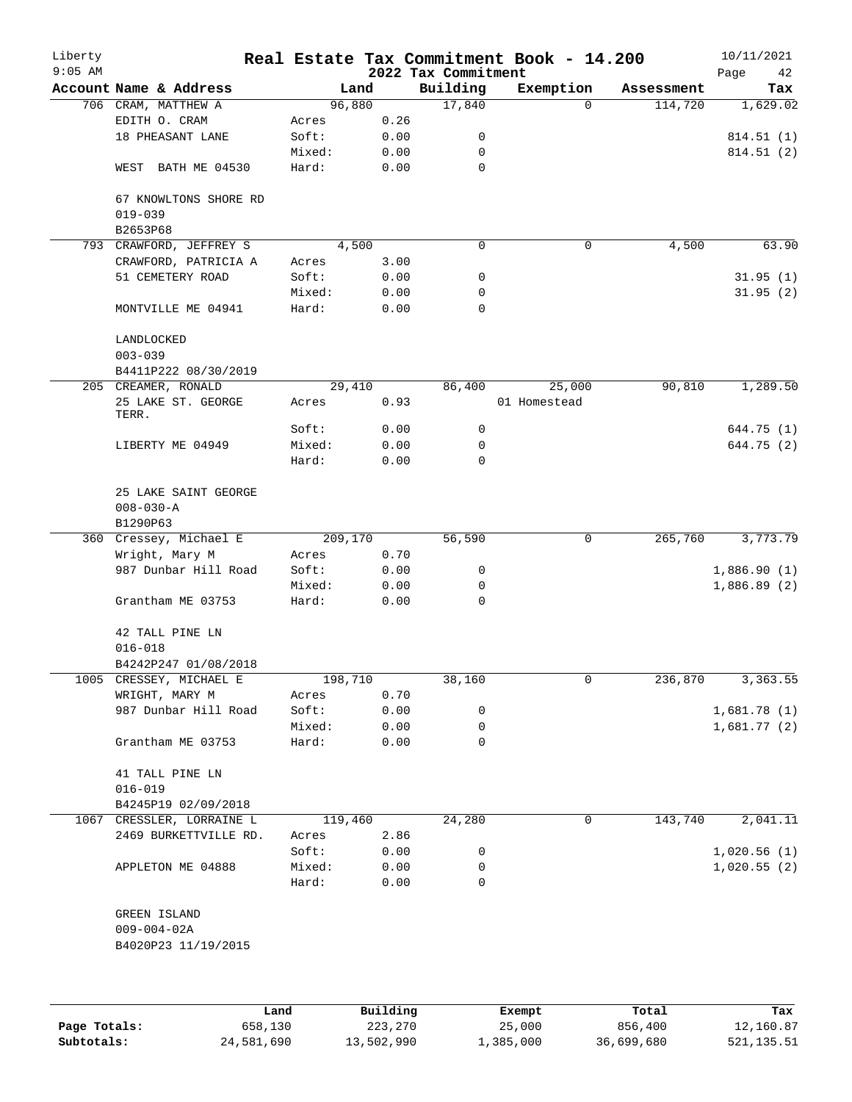| Liberty<br>$9:05$ AM |                                          |        |          | 2022 Tax Commitment | Real Estate Tax Commitment Book - 14.200 |            | 10/11/2021<br>Page<br>42 |
|----------------------|------------------------------------------|--------|----------|---------------------|------------------------------------------|------------|--------------------------|
|                      | Account Name & Address                   |        | Land     | Building            | Exemption                                | Assessment | Tax                      |
|                      | 706 CRAM, MATTHEW A                      |        | 96,880   | 17,840              | $\Omega$                                 | 114,720    | 1,629.02                 |
|                      | EDITH O. CRAM                            | Acres  | 0.26     |                     |                                          |            |                          |
|                      | 18 PHEASANT LANE                         | Soft:  | 0.00     | 0                   |                                          |            | 814.51 (1)               |
|                      |                                          | Mixed: | 0.00     | 0                   |                                          |            | 814.51 (2)               |
|                      | BATH ME 04530<br>WEST                    | Hard:  | 0.00     | $\mathbf 0$         |                                          |            |                          |
|                      | 67 KNOWLTONS SHORE RD<br>$019 - 039$     |        |          |                     |                                          |            |                          |
|                      | B2653P68                                 |        |          |                     |                                          |            |                          |
|                      | 793 CRAWFORD, JEFFREY S                  |        | 4,500    | $\mathbf 0$         | $\mathbf 0$                              | 4,500      | 63.90                    |
|                      | CRAWFORD, PATRICIA A                     | Acres  | 3.00     |                     |                                          |            |                          |
|                      | 51 CEMETERY ROAD                         | Soft:  | 0.00     | 0                   |                                          |            | 31.95(1)                 |
|                      |                                          | Mixed: | 0.00     | 0                   |                                          |            | 31.95(2)                 |
|                      | MONTVILLE ME 04941                       | Hard:  | 0.00     | 0                   |                                          |            |                          |
|                      | LANDLOCKED<br>$003 - 039$                |        |          |                     |                                          |            |                          |
|                      | B4411P222 08/30/2019                     |        |          |                     |                                          |            |                          |
|                      | 205 CREAMER, RONALD                      |        | 29,410   | 86,400              | 25,000                                   | 90,810     | 1,289.50                 |
|                      | 25 LAKE ST. GEORGE<br>TERR.              | Acres  | 0.93     |                     | 01 Homestead                             |            |                          |
|                      |                                          | Soft:  | 0.00     | 0                   |                                          |            | 644.75 (1)               |
|                      | LIBERTY ME 04949                         | Mixed: | 0.00     | 0                   |                                          |            | 644.75 (2)               |
|                      |                                          | Hard:  | 0.00     | 0                   |                                          |            |                          |
|                      | 25 LAKE SAINT GEORGE<br>$008 - 030 - A$  |        |          |                     |                                          |            |                          |
|                      | B1290P63                                 |        |          |                     |                                          |            |                          |
|                      | 360 Cressey, Michael E                   |        | 209,170  | 56,590              | 0                                        | 265,760    | 3,773.79                 |
|                      | Wright, Mary M                           | Acres  | 0.70     |                     |                                          |            |                          |
|                      | 987 Dunbar Hill Road                     | Soft:  | 0.00     | 0                   |                                          |            | 1,886.90(1)              |
|                      |                                          | Mixed: | 0.00     | 0                   |                                          |            | 1,886.89(2)              |
|                      | Grantham ME 03753                        | Hard:  | 0.00     | 0                   |                                          |            |                          |
|                      | 42 TALL PINE LN<br>$016 - 018$           |        |          |                     |                                          |            |                          |
|                      | B4242P247 01/08/2018                     |        |          |                     |                                          |            |                          |
|                      | 1005 CRESSEY, MICHAEL E                  |        | 198,710  | 38,160              | 0                                        | 236,870    | 3,363.55                 |
|                      | WRIGHT, MARY M                           | Acres  | 0.70     |                     |                                          |            |                          |
|                      | 987 Dunbar Hill Road                     | Soft:  | 0.00     | 0                   |                                          |            | 1,681.78(1)              |
|                      |                                          | Mixed: | 0.00     | 0                   |                                          |            | 1,681.77(2)              |
|                      | Grantham ME 03753                        | Hard:  | 0.00     | 0                   |                                          |            |                          |
|                      | 41 TALL PINE LN<br>$016 - 019$           |        |          |                     |                                          |            |                          |
|                      | B4245P19 02/09/2018                      |        |          |                     |                                          |            |                          |
|                      | 1067 CRESSLER, LORRAINE L                |        | 119,460  | 24,280              | 0                                        | 143,740    | 2,041.11                 |
|                      | 2469 BURKETTVILLE RD.                    | Acres  | 2.86     |                     |                                          |            |                          |
|                      |                                          | Soft:  | 0.00     | 0                   |                                          |            | 1,020.56(1)              |
|                      | APPLETON ME 04888                        | Mixed: | 0.00     | 0                   |                                          |            | 1,020.55(2)              |
|                      |                                          | Hard:  | 0.00     | 0                   |                                          |            |                          |
|                      | GREEN ISLAND                             |        |          |                     |                                          |            |                          |
|                      | $009 - 004 - 02A$<br>B4020P23 11/19/2015 |        |          |                     |                                          |            |                          |
|                      |                                          |        |          |                     |                                          |            |                          |
|                      |                                          |        |          |                     |                                          |            |                          |
|                      |                                          | Land   | Building |                     | Exempt                                   | Total      | Tax                      |

|              | Land       | Building   | Exempt    | Total      | Tax        |
|--------------|------------|------------|-----------|------------|------------|
| Page Totals: | 658,130    | 223,270    | 25,000    | 856,400    | 12,160.87  |
| Subtotals:   | 24,581,690 | 13,502,990 | 1,385,000 | 36,699,680 | 521,135.51 |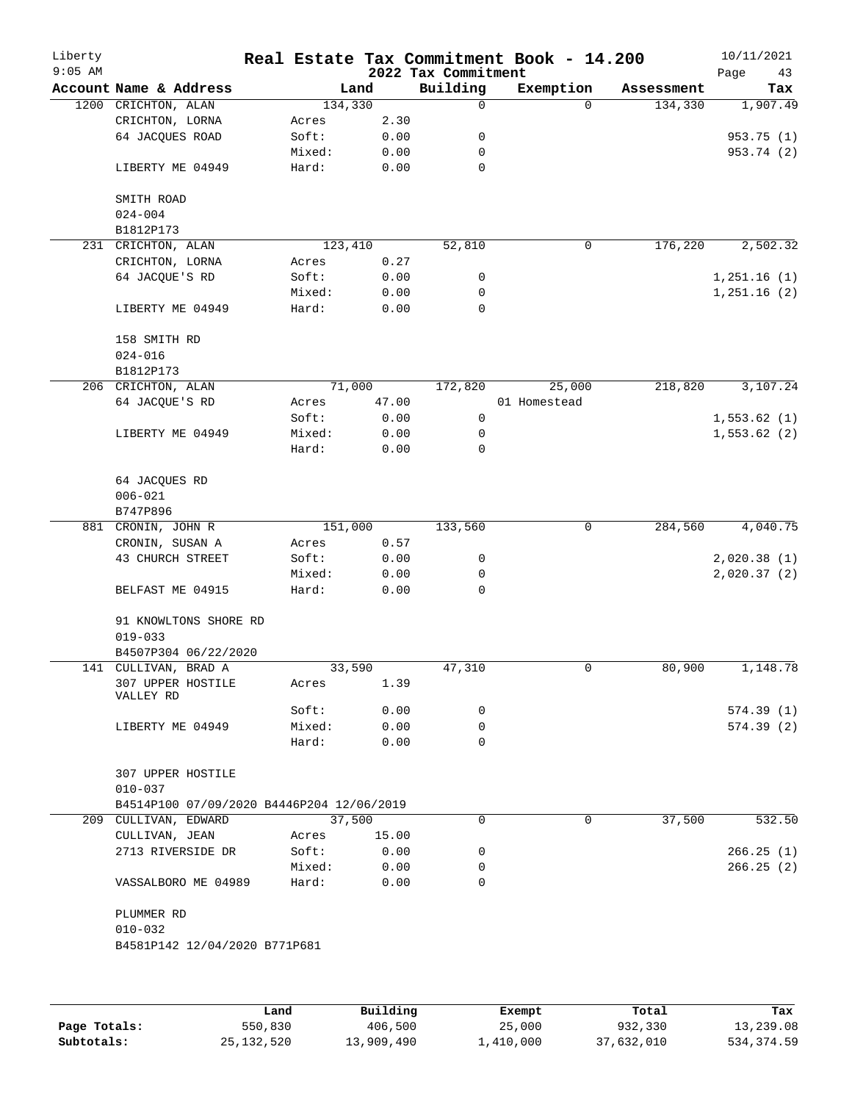| Building<br>Exemption<br>Account Name & Address<br>Land<br>Assessment<br>1200 CRICHTON, ALAN<br>134,330<br>134,330<br>0<br>$\Omega$<br>CRICHTON, LORNA<br>2.30<br>Acres<br>64 JACQUES ROAD<br>0.00<br>Soft:<br>0<br>Mixed:<br>0.00<br>0<br>LIBERTY ME 04949<br>Hard:<br>0.00<br>0<br>SMITH ROAD<br>$024 - 004$<br>B1812P173<br>52,810<br>0<br>176,220<br>231 CRICHTON, ALAN<br>123,410<br>CRICHTON, LORNA<br>0.27<br>Acres<br>64 JACQUE'S RD<br>Soft:<br>0.00<br>0<br>Mixed:<br>0.00<br>0<br>Hard:<br>$\mathbf 0$<br>LIBERTY ME 04949<br>0.00<br>158 SMITH RD<br>$024 - 016$<br>B1812P173<br>71,000<br>172,820<br>25,000<br>218,820<br>206 CRICHTON, ALAN<br>64 JACQUE'S RD<br>47.00<br>01 Homestead<br>Acres<br>Soft:<br>0.00<br>0<br>LIBERTY ME 04949<br>Mixed:<br>0.00<br>0<br>Hard:<br>0.00<br>0<br>64 JACQUES RD<br>$006 - 021$<br>B747P896<br>151,000<br>284,560<br>133,560<br>0<br>881 CRONIN, JOHN R<br>CRONIN, SUSAN A<br>0.57<br>Acres<br>43 CHURCH STREET<br>Soft:<br>0.00<br>0<br>Mixed:<br>0.00<br>0<br>Hard:<br>0.00<br>0<br>BELFAST ME 04915<br>91 KNOWLTONS SHORE RD<br>$019 - 033$<br>B4507P304 06/22/2020<br>80,900<br>141 CULLIVAN, BRAD A<br>33,590<br>47,310<br>0<br>307 UPPER HOSTILE<br>1.39<br>Acres<br>VALLEY RD<br>0.00<br>Soft:<br>0<br>Mixed:<br>0.00<br>0<br>LIBERTY ME 04949<br>$\Omega$<br>Hard:<br>0.00<br>307 UPPER HOSTILE<br>$010 - 037$<br>B4514P100 07/09/2020 B4446P204 12/06/2019<br>37,500<br>37,500<br>209 CULLIVAN, EDWARD<br>$\Omega$<br>$\Omega$<br>CULLIVAN, JEAN<br>15.00<br>Acres<br>2713 RIVERSIDE DR<br>Soft:<br>0.00<br>0<br>Mixed:<br>0.00<br>0<br>Hard:<br>0.00<br>$\Omega$<br>VASSALBORO ME 04989<br>PLUMMER RD<br>$010 - 032$<br>B4581P142 12/04/2020 B771P681 | Liberty<br>$9:05$ AM |  |  | 2022 Tax Commitment | Real Estate Tax Commitment Book - 14.200 | 10/11/2021<br>Page<br>43 |
|----------------------------------------------------------------------------------------------------------------------------------------------------------------------------------------------------------------------------------------------------------------------------------------------------------------------------------------------------------------------------------------------------------------------------------------------------------------------------------------------------------------------------------------------------------------------------------------------------------------------------------------------------------------------------------------------------------------------------------------------------------------------------------------------------------------------------------------------------------------------------------------------------------------------------------------------------------------------------------------------------------------------------------------------------------------------------------------------------------------------------------------------------------------------------------------------------------------------------------------------------------------------------------------------------------------------------------------------------------------------------------------------------------------------------------------------------------------------------------------------------------------------------------------------------------------------------------------------------------------------------------------------------------------------------------------------------------------------|----------------------|--|--|---------------------|------------------------------------------|--------------------------|
|                                                                                                                                                                                                                                                                                                                                                                                                                                                                                                                                                                                                                                                                                                                                                                                                                                                                                                                                                                                                                                                                                                                                                                                                                                                                                                                                                                                                                                                                                                                                                                                                                                                                                                                      |                      |  |  |                     |                                          | Tax                      |
|                                                                                                                                                                                                                                                                                                                                                                                                                                                                                                                                                                                                                                                                                                                                                                                                                                                                                                                                                                                                                                                                                                                                                                                                                                                                                                                                                                                                                                                                                                                                                                                                                                                                                                                      |                      |  |  |                     |                                          | 1,907.49                 |
|                                                                                                                                                                                                                                                                                                                                                                                                                                                                                                                                                                                                                                                                                                                                                                                                                                                                                                                                                                                                                                                                                                                                                                                                                                                                                                                                                                                                                                                                                                                                                                                                                                                                                                                      |                      |  |  |                     |                                          |                          |
|                                                                                                                                                                                                                                                                                                                                                                                                                                                                                                                                                                                                                                                                                                                                                                                                                                                                                                                                                                                                                                                                                                                                                                                                                                                                                                                                                                                                                                                                                                                                                                                                                                                                                                                      |                      |  |  |                     |                                          | 953.75 (1)               |
|                                                                                                                                                                                                                                                                                                                                                                                                                                                                                                                                                                                                                                                                                                                                                                                                                                                                                                                                                                                                                                                                                                                                                                                                                                                                                                                                                                                                                                                                                                                                                                                                                                                                                                                      |                      |  |  |                     |                                          | 953.74 (2)               |
|                                                                                                                                                                                                                                                                                                                                                                                                                                                                                                                                                                                                                                                                                                                                                                                                                                                                                                                                                                                                                                                                                                                                                                                                                                                                                                                                                                                                                                                                                                                                                                                                                                                                                                                      |                      |  |  |                     |                                          |                          |
|                                                                                                                                                                                                                                                                                                                                                                                                                                                                                                                                                                                                                                                                                                                                                                                                                                                                                                                                                                                                                                                                                                                                                                                                                                                                                                                                                                                                                                                                                                                                                                                                                                                                                                                      |                      |  |  |                     |                                          |                          |
|                                                                                                                                                                                                                                                                                                                                                                                                                                                                                                                                                                                                                                                                                                                                                                                                                                                                                                                                                                                                                                                                                                                                                                                                                                                                                                                                                                                                                                                                                                                                                                                                                                                                                                                      |                      |  |  |                     |                                          |                          |
|                                                                                                                                                                                                                                                                                                                                                                                                                                                                                                                                                                                                                                                                                                                                                                                                                                                                                                                                                                                                                                                                                                                                                                                                                                                                                                                                                                                                                                                                                                                                                                                                                                                                                                                      |                      |  |  |                     |                                          |                          |
|                                                                                                                                                                                                                                                                                                                                                                                                                                                                                                                                                                                                                                                                                                                                                                                                                                                                                                                                                                                                                                                                                                                                                                                                                                                                                                                                                                                                                                                                                                                                                                                                                                                                                                                      |                      |  |  |                     |                                          | 2,502.32                 |
|                                                                                                                                                                                                                                                                                                                                                                                                                                                                                                                                                                                                                                                                                                                                                                                                                                                                                                                                                                                                                                                                                                                                                                                                                                                                                                                                                                                                                                                                                                                                                                                                                                                                                                                      |                      |  |  |                     |                                          |                          |
|                                                                                                                                                                                                                                                                                                                                                                                                                                                                                                                                                                                                                                                                                                                                                                                                                                                                                                                                                                                                                                                                                                                                                                                                                                                                                                                                                                                                                                                                                                                                                                                                                                                                                                                      |                      |  |  |                     |                                          | 1,251.16(1)              |
|                                                                                                                                                                                                                                                                                                                                                                                                                                                                                                                                                                                                                                                                                                                                                                                                                                                                                                                                                                                                                                                                                                                                                                                                                                                                                                                                                                                                                                                                                                                                                                                                                                                                                                                      |                      |  |  |                     |                                          | 1,251.16(2)              |
|                                                                                                                                                                                                                                                                                                                                                                                                                                                                                                                                                                                                                                                                                                                                                                                                                                                                                                                                                                                                                                                                                                                                                                                                                                                                                                                                                                                                                                                                                                                                                                                                                                                                                                                      |                      |  |  |                     |                                          |                          |
|                                                                                                                                                                                                                                                                                                                                                                                                                                                                                                                                                                                                                                                                                                                                                                                                                                                                                                                                                                                                                                                                                                                                                                                                                                                                                                                                                                                                                                                                                                                                                                                                                                                                                                                      |                      |  |  |                     |                                          |                          |
|                                                                                                                                                                                                                                                                                                                                                                                                                                                                                                                                                                                                                                                                                                                                                                                                                                                                                                                                                                                                                                                                                                                                                                                                                                                                                                                                                                                                                                                                                                                                                                                                                                                                                                                      |                      |  |  |                     |                                          |                          |
|                                                                                                                                                                                                                                                                                                                                                                                                                                                                                                                                                                                                                                                                                                                                                                                                                                                                                                                                                                                                                                                                                                                                                                                                                                                                                                                                                                                                                                                                                                                                                                                                                                                                                                                      |                      |  |  |                     |                                          |                          |
|                                                                                                                                                                                                                                                                                                                                                                                                                                                                                                                                                                                                                                                                                                                                                                                                                                                                                                                                                                                                                                                                                                                                                                                                                                                                                                                                                                                                                                                                                                                                                                                                                                                                                                                      |                      |  |  |                     |                                          | 3,107.24                 |
|                                                                                                                                                                                                                                                                                                                                                                                                                                                                                                                                                                                                                                                                                                                                                                                                                                                                                                                                                                                                                                                                                                                                                                                                                                                                                                                                                                                                                                                                                                                                                                                                                                                                                                                      |                      |  |  |                     |                                          |                          |
|                                                                                                                                                                                                                                                                                                                                                                                                                                                                                                                                                                                                                                                                                                                                                                                                                                                                                                                                                                                                                                                                                                                                                                                                                                                                                                                                                                                                                                                                                                                                                                                                                                                                                                                      |                      |  |  |                     |                                          | 1,553.62(1)              |
|                                                                                                                                                                                                                                                                                                                                                                                                                                                                                                                                                                                                                                                                                                                                                                                                                                                                                                                                                                                                                                                                                                                                                                                                                                                                                                                                                                                                                                                                                                                                                                                                                                                                                                                      |                      |  |  |                     |                                          | 1,553.62(2)              |
|                                                                                                                                                                                                                                                                                                                                                                                                                                                                                                                                                                                                                                                                                                                                                                                                                                                                                                                                                                                                                                                                                                                                                                                                                                                                                                                                                                                                                                                                                                                                                                                                                                                                                                                      |                      |  |  |                     |                                          |                          |
|                                                                                                                                                                                                                                                                                                                                                                                                                                                                                                                                                                                                                                                                                                                                                                                                                                                                                                                                                                                                                                                                                                                                                                                                                                                                                                                                                                                                                                                                                                                                                                                                                                                                                                                      |                      |  |  |                     |                                          |                          |
|                                                                                                                                                                                                                                                                                                                                                                                                                                                                                                                                                                                                                                                                                                                                                                                                                                                                                                                                                                                                                                                                                                                                                                                                                                                                                                                                                                                                                                                                                                                                                                                                                                                                                                                      |                      |  |  |                     |                                          |                          |
|                                                                                                                                                                                                                                                                                                                                                                                                                                                                                                                                                                                                                                                                                                                                                                                                                                                                                                                                                                                                                                                                                                                                                                                                                                                                                                                                                                                                                                                                                                                                                                                                                                                                                                                      |                      |  |  |                     |                                          |                          |
|                                                                                                                                                                                                                                                                                                                                                                                                                                                                                                                                                                                                                                                                                                                                                                                                                                                                                                                                                                                                                                                                                                                                                                                                                                                                                                                                                                                                                                                                                                                                                                                                                                                                                                                      |                      |  |  |                     |                                          | 4,040.75                 |
|                                                                                                                                                                                                                                                                                                                                                                                                                                                                                                                                                                                                                                                                                                                                                                                                                                                                                                                                                                                                                                                                                                                                                                                                                                                                                                                                                                                                                                                                                                                                                                                                                                                                                                                      |                      |  |  |                     |                                          |                          |
|                                                                                                                                                                                                                                                                                                                                                                                                                                                                                                                                                                                                                                                                                                                                                                                                                                                                                                                                                                                                                                                                                                                                                                                                                                                                                                                                                                                                                                                                                                                                                                                                                                                                                                                      |                      |  |  |                     |                                          | 2,020.38(1)              |
|                                                                                                                                                                                                                                                                                                                                                                                                                                                                                                                                                                                                                                                                                                                                                                                                                                                                                                                                                                                                                                                                                                                                                                                                                                                                                                                                                                                                                                                                                                                                                                                                                                                                                                                      |                      |  |  |                     |                                          | 2,020.37(2)              |
|                                                                                                                                                                                                                                                                                                                                                                                                                                                                                                                                                                                                                                                                                                                                                                                                                                                                                                                                                                                                                                                                                                                                                                                                                                                                                                                                                                                                                                                                                                                                                                                                                                                                                                                      |                      |  |  |                     |                                          |                          |
|                                                                                                                                                                                                                                                                                                                                                                                                                                                                                                                                                                                                                                                                                                                                                                                                                                                                                                                                                                                                                                                                                                                                                                                                                                                                                                                                                                                                                                                                                                                                                                                                                                                                                                                      |                      |  |  |                     |                                          |                          |
|                                                                                                                                                                                                                                                                                                                                                                                                                                                                                                                                                                                                                                                                                                                                                                                                                                                                                                                                                                                                                                                                                                                                                                                                                                                                                                                                                                                                                                                                                                                                                                                                                                                                                                                      |                      |  |  |                     |                                          |                          |
|                                                                                                                                                                                                                                                                                                                                                                                                                                                                                                                                                                                                                                                                                                                                                                                                                                                                                                                                                                                                                                                                                                                                                                                                                                                                                                                                                                                                                                                                                                                                                                                                                                                                                                                      |                      |  |  |                     |                                          |                          |
|                                                                                                                                                                                                                                                                                                                                                                                                                                                                                                                                                                                                                                                                                                                                                                                                                                                                                                                                                                                                                                                                                                                                                                                                                                                                                                                                                                                                                                                                                                                                                                                                                                                                                                                      |                      |  |  |                     |                                          | 1,148.78                 |
|                                                                                                                                                                                                                                                                                                                                                                                                                                                                                                                                                                                                                                                                                                                                                                                                                                                                                                                                                                                                                                                                                                                                                                                                                                                                                                                                                                                                                                                                                                                                                                                                                                                                                                                      |                      |  |  |                     |                                          |                          |
|                                                                                                                                                                                                                                                                                                                                                                                                                                                                                                                                                                                                                                                                                                                                                                                                                                                                                                                                                                                                                                                                                                                                                                                                                                                                                                                                                                                                                                                                                                                                                                                                                                                                                                                      |                      |  |  |                     |                                          | 574.39 (1)               |
|                                                                                                                                                                                                                                                                                                                                                                                                                                                                                                                                                                                                                                                                                                                                                                                                                                                                                                                                                                                                                                                                                                                                                                                                                                                                                                                                                                                                                                                                                                                                                                                                                                                                                                                      |                      |  |  |                     |                                          | 574.39(2)                |
|                                                                                                                                                                                                                                                                                                                                                                                                                                                                                                                                                                                                                                                                                                                                                                                                                                                                                                                                                                                                                                                                                                                                                                                                                                                                                                                                                                                                                                                                                                                                                                                                                                                                                                                      |                      |  |  |                     |                                          |                          |
|                                                                                                                                                                                                                                                                                                                                                                                                                                                                                                                                                                                                                                                                                                                                                                                                                                                                                                                                                                                                                                                                                                                                                                                                                                                                                                                                                                                                                                                                                                                                                                                                                                                                                                                      |                      |  |  |                     |                                          |                          |
|                                                                                                                                                                                                                                                                                                                                                                                                                                                                                                                                                                                                                                                                                                                                                                                                                                                                                                                                                                                                                                                                                                                                                                                                                                                                                                                                                                                                                                                                                                                                                                                                                                                                                                                      |                      |  |  |                     |                                          |                          |
|                                                                                                                                                                                                                                                                                                                                                                                                                                                                                                                                                                                                                                                                                                                                                                                                                                                                                                                                                                                                                                                                                                                                                                                                                                                                                                                                                                                                                                                                                                                                                                                                                                                                                                                      |                      |  |  |                     |                                          |                          |
|                                                                                                                                                                                                                                                                                                                                                                                                                                                                                                                                                                                                                                                                                                                                                                                                                                                                                                                                                                                                                                                                                                                                                                                                                                                                                                                                                                                                                                                                                                                                                                                                                                                                                                                      |                      |  |  |                     |                                          | 532.50                   |
|                                                                                                                                                                                                                                                                                                                                                                                                                                                                                                                                                                                                                                                                                                                                                                                                                                                                                                                                                                                                                                                                                                                                                                                                                                                                                                                                                                                                                                                                                                                                                                                                                                                                                                                      |                      |  |  |                     |                                          |                          |
|                                                                                                                                                                                                                                                                                                                                                                                                                                                                                                                                                                                                                                                                                                                                                                                                                                                                                                                                                                                                                                                                                                                                                                                                                                                                                                                                                                                                                                                                                                                                                                                                                                                                                                                      |                      |  |  |                     |                                          | 266.25(1)                |
|                                                                                                                                                                                                                                                                                                                                                                                                                                                                                                                                                                                                                                                                                                                                                                                                                                                                                                                                                                                                                                                                                                                                                                                                                                                                                                                                                                                                                                                                                                                                                                                                                                                                                                                      |                      |  |  |                     |                                          | 266.25(2)                |
|                                                                                                                                                                                                                                                                                                                                                                                                                                                                                                                                                                                                                                                                                                                                                                                                                                                                                                                                                                                                                                                                                                                                                                                                                                                                                                                                                                                                                                                                                                                                                                                                                                                                                                                      |                      |  |  |                     |                                          |                          |
|                                                                                                                                                                                                                                                                                                                                                                                                                                                                                                                                                                                                                                                                                                                                                                                                                                                                                                                                                                                                                                                                                                                                                                                                                                                                                                                                                                                                                                                                                                                                                                                                                                                                                                                      |                      |  |  |                     |                                          |                          |
|                                                                                                                                                                                                                                                                                                                                                                                                                                                                                                                                                                                                                                                                                                                                                                                                                                                                                                                                                                                                                                                                                                                                                                                                                                                                                                                                                                                                                                                                                                                                                                                                                                                                                                                      |                      |  |  |                     |                                          |                          |
|                                                                                                                                                                                                                                                                                                                                                                                                                                                                                                                                                                                                                                                                                                                                                                                                                                                                                                                                                                                                                                                                                                                                                                                                                                                                                                                                                                                                                                                                                                                                                                                                                                                                                                                      |                      |  |  |                     |                                          |                          |
|                                                                                                                                                                                                                                                                                                                                                                                                                                                                                                                                                                                                                                                                                                                                                                                                                                                                                                                                                                                                                                                                                                                                                                                                                                                                                                                                                                                                                                                                                                                                                                                                                                                                                                                      |                      |  |  |                     |                                          |                          |

|              | Land         | Building   | Exempt    | Total      | Tax        |
|--------------|--------------|------------|-----------|------------|------------|
| Page Totals: | 550,830      | 406,500    | 25,000    | 932,330    | 13,239.08  |
| Subtotals:   | 25, 132, 520 | 13,909,490 | 1,410,000 | 37,632,010 | 534,374.59 |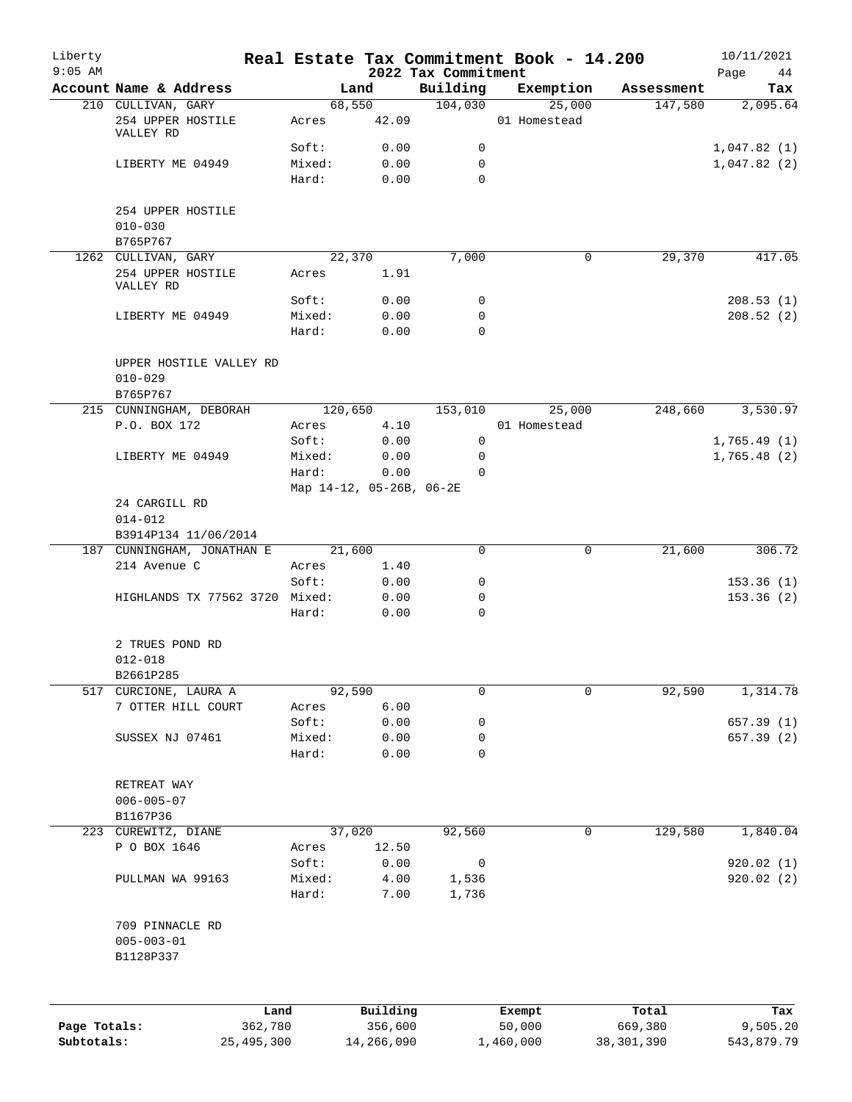| Liberty<br>$9:05$ AM |                                                    |        |                          | 2022 Tax Commitment | Real Estate Tax Commitment Book - 14.200 |            | 10/11/2021<br>Page<br>44 |
|----------------------|----------------------------------------------------|--------|--------------------------|---------------------|------------------------------------------|------------|--------------------------|
|                      | Account Name & Address                             |        | Land                     | Building            | Exemption                                | Assessment | Tax                      |
|                      | 210 CULLIVAN, GARY                                 |        | 68,550                   | 104,030             | 25,000                                   | 147,580    | 2,095.64                 |
|                      | 254 UPPER HOSTILE<br>VALLEY RD                     | Acres  | 42.09                    |                     | 01 Homestead                             |            |                          |
|                      |                                                    | Soft:  | 0.00                     | 0                   |                                          |            | 1,047.82(1)              |
|                      | LIBERTY ME 04949                                   | Mixed: | 0.00                     | 0                   |                                          |            | 1,047.82(2)              |
|                      |                                                    | Hard:  | 0.00                     | $\Omega$            |                                          |            |                          |
|                      | 254 UPPER HOSTILE                                  |        |                          |                     |                                          |            |                          |
|                      | $010 - 030$                                        |        |                          |                     |                                          |            |                          |
|                      | B765P767<br>1262 CULLIVAN, GARY                    |        | 22,370                   | 7,000               | 0                                        | 29,370     | 417.05                   |
|                      | 254 UPPER HOSTILE                                  | Acres  | 1.91                     |                     |                                          |            |                          |
|                      | VALLEY RD                                          |        |                          |                     |                                          |            |                          |
|                      |                                                    | Soft:  | 0.00                     | 0                   |                                          |            | 208.53(1)                |
|                      | LIBERTY ME 04949                                   | Mixed: | 0.00                     | $\mathbf 0$         |                                          |            | 208.52(2)                |
|                      |                                                    | Hard:  | 0.00                     | $\Omega$            |                                          |            |                          |
|                      | UPPER HOSTILE VALLEY RD                            |        |                          |                     |                                          |            |                          |
|                      | $010 - 029$                                        |        |                          |                     |                                          |            |                          |
|                      | B765P767                                           |        |                          |                     |                                          |            |                          |
|                      | 215 CUNNINGHAM, DEBORAH                            |        | 120,650                  | 153,010             | 25,000                                   | 248,660    | 3,530.97                 |
|                      | P.O. BOX 172                                       | Acres  | 4.10                     |                     | 01 Homestead                             |            |                          |
|                      |                                                    | Soft:  | 0.00                     | $\mathbf 0$         |                                          |            | 1,765.49(1)              |
|                      | LIBERTY ME 04949                                   | Mixed: | 0.00                     | 0                   |                                          |            | 1,765.48(2)              |
|                      |                                                    | Hard:  | 0.00                     | $\Omega$            |                                          |            |                          |
|                      |                                                    |        | Map 14-12, 05-26B, 06-2E |                     |                                          |            |                          |
|                      | 24 CARGILL RD                                      |        |                          |                     |                                          |            |                          |
|                      | $014 - 012$                                        |        |                          |                     |                                          |            |                          |
|                      | B3914P134 11/06/2014<br>187 CUNNINGHAM, JONATHAN E |        | 21,600                   | 0                   | 0                                        | 21,600     | 306.72                   |
|                      | 214 Avenue C                                       | Acres  | 1.40                     |                     |                                          |            |                          |
|                      |                                                    | Soft:  | 0.00                     | 0                   |                                          |            | 153.36(1)                |
|                      | HIGHLANDS TX 77562 3720 Mixed:                     |        | 0.00                     | 0                   |                                          |            | 153.36(2)                |
|                      |                                                    | Hard:  | 0.00                     | 0                   |                                          |            |                          |
|                      | 2 TRUES POND RD                                    |        |                          |                     |                                          |            |                          |
|                      | $012 - 018$                                        |        |                          |                     |                                          |            |                          |
|                      | B2661P285                                          |        |                          |                     |                                          |            |                          |
| 517                  | CURCIONE, LAURA A                                  |        | 92,590                   | 0                   | $\mathbf 0$                              | 92,590     | 1,314.78                 |
|                      | 7 OTTER HILL COURT                                 | Acres  | 6.00                     |                     |                                          |            |                          |
|                      |                                                    | Soft:  | 0.00                     | 0                   |                                          |            | 657.39 (1)               |
|                      | SUSSEX NJ 07461                                    | Mixed: | 0.00                     | 0                   |                                          |            | 657.39 (2)               |
|                      |                                                    | Hard:  | 0.00                     | $\mathbf 0$         |                                          |            |                          |
|                      |                                                    |        |                          |                     |                                          |            |                          |
|                      | RETREAT WAY                                        |        |                          |                     |                                          |            |                          |
|                      | $006 - 005 - 07$                                   |        |                          |                     |                                          |            |                          |
|                      | B1167P36                                           |        |                          |                     |                                          |            |                          |
|                      | 223 CUREWITZ, DIANE                                |        | 37,020                   | 92,560              | 0                                        | 129,580    | 1,840.04                 |
|                      | P O BOX 1646                                       | Acres  | 12.50                    |                     |                                          |            |                          |
|                      |                                                    | Soft:  | 0.00                     | 0                   |                                          |            | 920.02(1)                |
|                      | PULLMAN WA 99163                                   | Mixed: | 4.00                     | 1,536               |                                          |            | 920.02(2)                |
|                      |                                                    | Hard:  | 7.00                     | 1,736               |                                          |            |                          |
|                      | 709 PINNACLE RD                                    |        |                          |                     |                                          |            |                          |
|                      | $005 - 003 - 01$                                   |        |                          |                     |                                          |            |                          |
|                      | B1128P337                                          |        |                          |                     |                                          |            |                          |
|                      |                                                    |        |                          |                     |                                          |            |                          |
|                      | Land                                               |        | Building                 |                     | Exempt                                   | Total      | Tax                      |
| Page Totals:         | 362,780                                            |        | 356,600                  |                     | 50,000                                   | 669,380    | 9,505.20                 |
| Subtotals:           | 25, 495, 300                                       |        | 14,266,090               |                     | 1,460,000                                | 38,301,390 | 543,879.79               |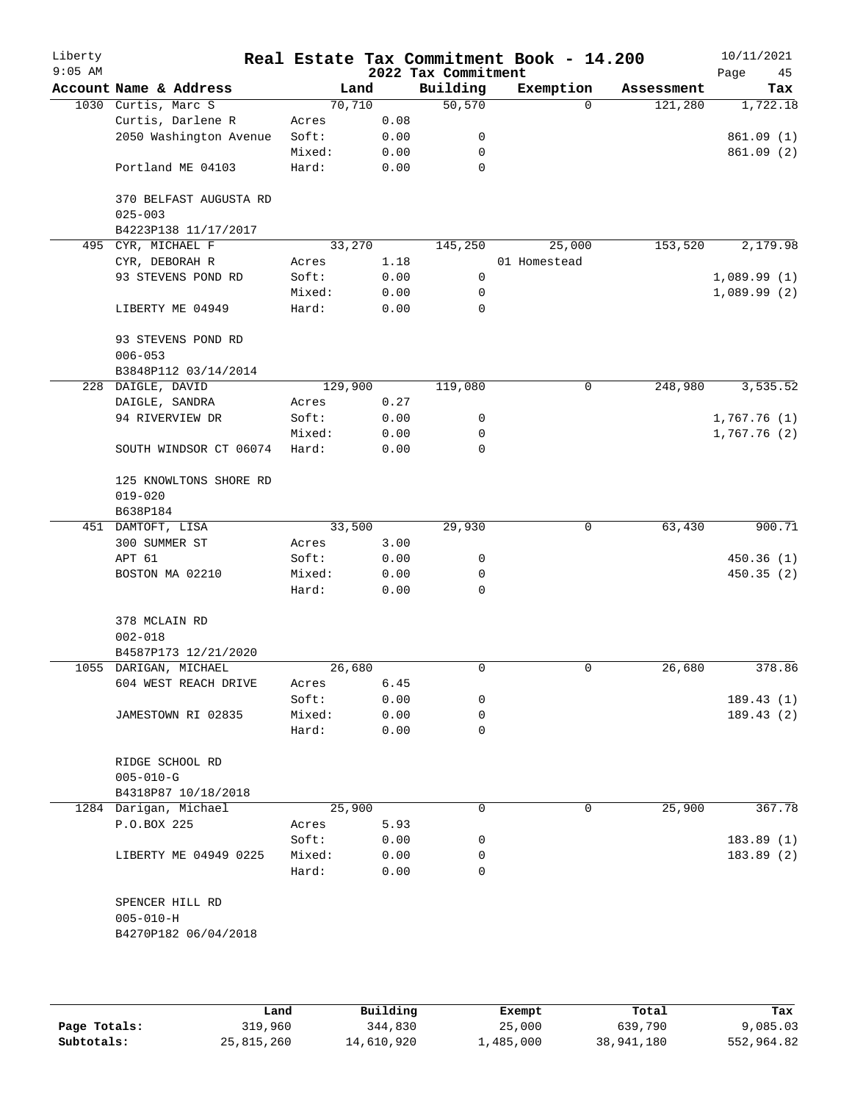| Liberty<br>$9:05$ AM |                                                            |         |      | 2022 Tax Commitment | Real Estate Tax Commitment Book - 14.200 |            | 10/11/2021<br>Page<br>45 |
|----------------------|------------------------------------------------------------|---------|------|---------------------|------------------------------------------|------------|--------------------------|
|                      | Account Name & Address                                     | Land    |      | Building            | Exemption                                | Assessment | Tax                      |
|                      | 1030 Curtis, Marc S                                        | 70,710  |      | 50,570              | $\mathbf 0$                              | 121,280    | 1,722.18                 |
|                      | Curtis, Darlene R                                          | Acres   | 0.08 |                     |                                          |            |                          |
|                      | 2050 Washington Avenue                                     | Soft:   | 0.00 | 0                   |                                          |            | 861.09(1)                |
|                      |                                                            | Mixed:  | 0.00 | 0                   |                                          |            | 861.09 (2)               |
|                      | Portland ME 04103                                          | Hard:   | 0.00 | 0                   |                                          |            |                          |
|                      | 370 BELFAST AUGUSTA RD<br>$025 - 003$                      |         |      |                     |                                          |            |                          |
|                      | B4223P138 11/17/2017                                       |         |      |                     |                                          |            |                          |
| 495                  | CYR, MICHAEL F                                             | 33,270  |      | 145,250             | 25,000                                   | 153,520    | 2,179.98                 |
|                      | CYR, DEBORAH R                                             | Acres   | 1.18 |                     | 01 Homestead                             |            |                          |
|                      | 93 STEVENS POND RD                                         | Soft:   | 0.00 | 0                   |                                          |            | 1,089.99(1)              |
|                      |                                                            | Mixed:  | 0.00 | 0                   |                                          |            | 1,089.99(2)              |
|                      | LIBERTY ME 04949                                           | Hard:   | 0.00 | 0                   |                                          |            |                          |
|                      | 93 STEVENS POND RD<br>$006 - 053$                          |         |      |                     |                                          |            |                          |
|                      | B3848P112 03/14/2014                                       |         |      |                     |                                          |            |                          |
|                      | 228 DAIGLE, DAVID                                          | 129,900 |      | 119,080             | 0                                        | 248,980    | 3,535.52                 |
|                      | DAIGLE, SANDRA                                             | Acres   | 0.27 |                     |                                          |            |                          |
|                      | 94 RIVERVIEW DR                                            | Soft:   | 0.00 | 0                   |                                          |            | 1,767.76(1)              |
|                      |                                                            | Mixed:  | 0.00 | 0                   |                                          |            | 1,767.76(2)              |
|                      | SOUTH WINDSOR CT 06074                                     | Hard:   | 0.00 | 0                   |                                          |            |                          |
|                      | 125 KNOWLTONS SHORE RD<br>$019 - 020$                      |         |      |                     |                                          |            |                          |
|                      | B638P184                                                   |         |      |                     |                                          |            |                          |
|                      | 451 DAMTOFT, LISA                                          | 33,500  |      | 29,930              | 0                                        | 63,430     | 900.71                   |
|                      | 300 SUMMER ST                                              | Acres   | 3.00 |                     |                                          |            |                          |
|                      | APT 61                                                     | Soft:   | 0.00 | 0                   |                                          |            | 450.36(1)                |
|                      | BOSTON MA 02210                                            | Mixed:  | 0.00 | 0                   |                                          |            | 450.35(2)                |
|                      |                                                            | Hard:   | 0.00 | 0                   |                                          |            |                          |
|                      | 378 MCLAIN RD<br>$002 - 018$                               |         |      |                     |                                          |            |                          |
|                      | B4587P173 12/21/2020                                       |         |      |                     |                                          |            |                          |
|                      | 1055 DARIGAN, MICHAEL                                      | 26,680  |      | 0                   | 0                                        | 26,680     | 378.86                   |
|                      | 604 WEST REACH DRIVE                                       | Acres   | 6.45 |                     |                                          |            |                          |
|                      |                                                            | Soft:   | 0.00 | 0                   |                                          |            | 189.43(1)                |
|                      | JAMESTOWN RI 02835                                         | Mixed:  | 0.00 | 0                   |                                          |            | 189.43(2)                |
|                      |                                                            | Hard:   | 0.00 | $\Omega$            |                                          |            |                          |
|                      | RIDGE SCHOOL RD<br>$005 - 010 - G$                         |         |      |                     |                                          |            |                          |
|                      | B4318P87 10/18/2018                                        |         |      |                     |                                          |            |                          |
|                      | 1284 Darigan, Michael                                      | 25,900  |      | 0                   | 0                                        | 25,900     | 367.78                   |
|                      | P.O.BOX 225                                                | Acres   | 5.93 |                     |                                          |            |                          |
|                      |                                                            | Soft:   | 0.00 | 0                   |                                          |            | 183.89(1)                |
|                      | LIBERTY ME 04949 0225                                      | Mixed:  | 0.00 | 0                   |                                          |            | 183.89(2)                |
|                      |                                                            | Hard:   | 0.00 | $\Omega$            |                                          |            |                          |
|                      | SPENCER HILL RD<br>$005 - 010 - H$<br>B4270P182 06/04/2018 |         |      |                     |                                          |            |                          |
|                      |                                                            |         |      |                     |                                          |            |                          |

|              | Land       | Building   | Exempt    | Total      | Tax        |
|--------------|------------|------------|-----------|------------|------------|
| Page Totals: | 319,960    | 344,830    | 25,000    | 639,790    | 9,085.03   |
| Subtotals:   | 25,815,260 | 14,610,920 | ⊥,485,000 | 38,941,180 | 552,964.82 |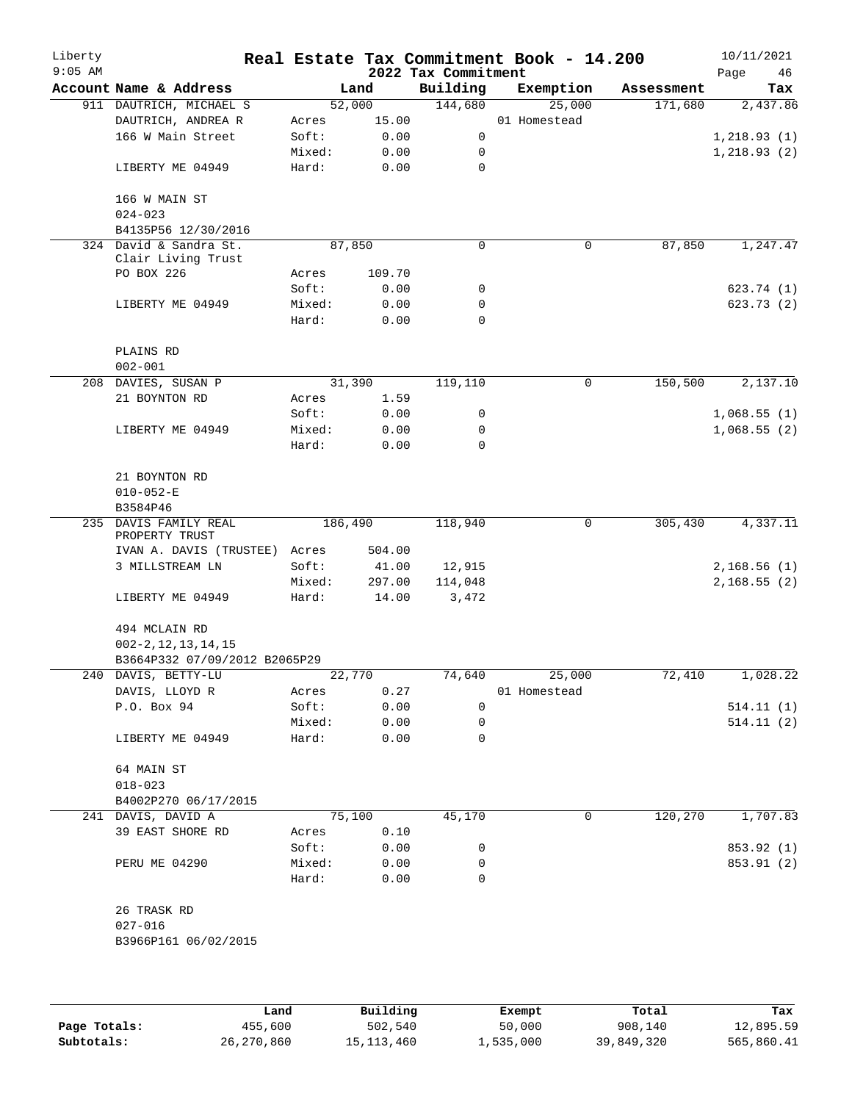| Liberty<br>$9:05$ AM |                                                      |                 |              | 2022 Tax Commitment | Real Estate Tax Commitment Book - 14.200 |            | 10/11/2021<br>46<br>Page |
|----------------------|------------------------------------------------------|-----------------|--------------|---------------------|------------------------------------------|------------|--------------------------|
|                      | Account Name & Address                               |                 | Land         | Building            | Exemption                                | Assessment | Tax                      |
|                      | 911 DAUTRICH, MICHAEL S                              |                 | 52,000       | 144,680             | 25,000                                   | 171,680    | 2,437.86                 |
|                      | DAUTRICH, ANDREA R                                   | Acres           | 15.00        |                     | 01 Homestead                             |            |                          |
|                      | 166 W Main Street                                    | Soft:           | 0.00         | 0                   |                                          |            | 1, 218.93(1)             |
|                      |                                                      | Mixed:          | 0.00         | 0                   |                                          |            | 1, 218.93(2)             |
|                      | LIBERTY ME 04949                                     | Hard:           | 0.00         | $\mathbf 0$         |                                          |            |                          |
|                      | 166 W MAIN ST<br>$024 - 023$                         |                 |              |                     |                                          |            |                          |
|                      | B4135P56 12/30/2016                                  |                 |              |                     |                                          |            |                          |
|                      | 324 David & Sandra St.                               |                 | 87,850       | $\mathbf 0$         | 0                                        | 87,850     | 1,247.47                 |
|                      | Clair Living Trust                                   |                 |              |                     |                                          |            |                          |
|                      | PO BOX 226                                           | Acres           | 109.70       |                     |                                          |            |                          |
|                      |                                                      | Soft:           | 0.00         | 0                   |                                          |            | 623.74 (1)               |
|                      | LIBERTY ME 04949                                     | Mixed:          | 0.00         | 0                   |                                          |            | 623.73(2)                |
|                      |                                                      | Hard:           | 0.00         | $\mathbf 0$         |                                          |            |                          |
|                      | PLAINS RD                                            |                 |              |                     |                                          |            |                          |
|                      | $002 - 001$                                          |                 |              |                     | $\mathbf 0$                              |            |                          |
|                      | 208 DAVIES, SUSAN P                                  |                 | 31,390       | 119,110             |                                          | 150,500    | 2,137.10                 |
|                      | 21 BOYNTON RD                                        | Acres           | 1.59         |                     |                                          |            |                          |
|                      |                                                      | Soft:           | 0.00         | 0                   |                                          |            | 1,068.55(1)              |
|                      | LIBERTY ME 04949                                     | Mixed:<br>Hard: | 0.00<br>0.00 | 0<br>$\Omega$       |                                          |            | 1,068.55(2)              |
|                      |                                                      |                 |              |                     |                                          |            |                          |
|                      | 21 BOYNTON RD                                        |                 |              |                     |                                          |            |                          |
|                      | $010 - 052 - E$<br>B3584P46                          |                 |              |                     |                                          |            |                          |
|                      | 235 DAVIS FAMILY REAL<br>PROPERTY TRUST              | 186,490         |              | 118,940             | 0                                        | 305,430    | 4,337.11                 |
|                      | IVAN A. DAVIS (TRUSTEE) Acres                        |                 | 504.00       |                     |                                          |            |                          |
|                      | 3 MILLSTREAM LN                                      | Soft:           | 41.00        | 12,915              |                                          |            | 2,168.56(1)              |
|                      |                                                      | Mixed:          | 297.00       | 114,048             |                                          |            | 2,168.55(2)              |
|                      | LIBERTY ME 04949                                     | Hard:           | 14.00        | 3,472               |                                          |            |                          |
|                      | 494 MCLAIN RD                                        |                 |              |                     |                                          |            |                          |
|                      | $002 - 2, 12, 13, 14, 15$                            |                 |              |                     |                                          |            |                          |
|                      | B3664P332 07/09/2012 B2065P29<br>240 DAVIS, BETTY-LU |                 | 22,770       |                     | 74,640 25,000                            | 72,410     | 1,028.22                 |
|                      | DAVIS, LLOYD R                                       | Acres           | 0.27         |                     | 01 Homestead                             |            |                          |
|                      | P.O. Box 94                                          | Soft:           | 0.00         | 0                   |                                          |            | 514.11(1)                |
|                      |                                                      | Mixed:          | 0.00         | 0                   |                                          |            | 514.11(2)                |
|                      | LIBERTY ME 04949                                     | Hard:           | 0.00         | $\Omega$            |                                          |            |                          |
|                      |                                                      |                 |              |                     |                                          |            |                          |
|                      | 64 MAIN ST                                           |                 |              |                     |                                          |            |                          |
|                      | $018 - 023$                                          |                 |              |                     |                                          |            |                          |
|                      | B4002P270 06/17/2015                                 |                 |              |                     |                                          |            |                          |
|                      | 241 DAVIS, DAVID A                                   |                 | 75,100       | 45,170              | 0                                        | 120,270    | 1,707.83                 |
|                      | 39 EAST SHORE RD                                     | Acres           | 0.10         |                     |                                          |            |                          |
|                      |                                                      | Soft:           | 0.00         | 0                   |                                          |            | 853.92 (1)               |
|                      | PERU ME 04290                                        | Mixed:          | 0.00         | 0                   |                                          |            | 853.91 (2)               |
|                      |                                                      | Hard:           | 0.00         | 0                   |                                          |            |                          |
|                      | 26 TRASK RD                                          |                 |              |                     |                                          |            |                          |
|                      | $027 - 016$                                          |                 |              |                     |                                          |            |                          |
|                      | B3966P161 06/02/2015                                 |                 |              |                     |                                          |            |                          |
|                      |                                                      |                 |              |                     |                                          |            |                          |
|                      |                                                      |                 |              |                     |                                          |            |                          |
|                      |                                                      |                 |              |                     |                                          |            |                          |

|              | Land       | Building     | Exempt    | Total      | Tax        |
|--------------|------------|--------------|-----------|------------|------------|
| Page Totals: | 455,600    | 502,540      | 50,000    | 908,140    | 12,895.59  |
| Subtotals:   | 26,270,860 | 15, 113, 460 | 1,535,000 | 39,849,320 | 565,860.41 |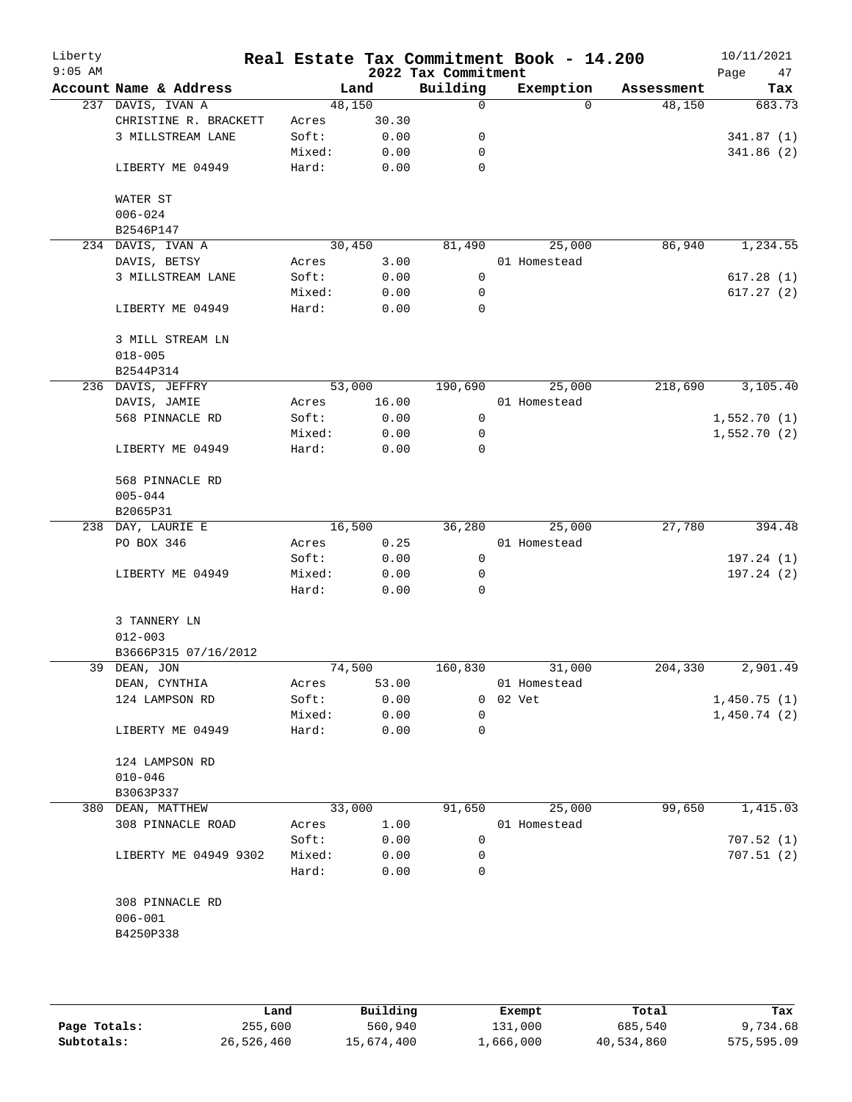| Liberty<br>$9:05$ AM |                        |        |       | 2022 Tax Commitment | Real Estate Tax Commitment Book - 14.200 |                    | 10/11/2021<br>Page<br>47 |
|----------------------|------------------------|--------|-------|---------------------|------------------------------------------|--------------------|--------------------------|
|                      | Account Name & Address |        | Land  | Building            | Exemption                                | Assessment         | Tax                      |
|                      | 237 DAVIS, IVAN A      | 48,150 |       | 0                   |                                          | 48,150<br>$\Omega$ | 683.73                   |
|                      | CHRISTINE R. BRACKETT  | Acres  | 30.30 |                     |                                          |                    |                          |
|                      | 3 MILLSTREAM LANE      | Soft:  | 0.00  | 0                   |                                          |                    | 341.87(1)                |
|                      |                        | Mixed: | 0.00  | 0                   |                                          |                    | 341.86 (2)               |
|                      | LIBERTY ME 04949       | Hard:  | 0.00  | 0                   |                                          |                    |                          |
|                      | WATER ST               |        |       |                     |                                          |                    |                          |
|                      | $006 - 024$            |        |       |                     |                                          |                    |                          |
|                      | B2546P147              |        |       |                     |                                          |                    |                          |
|                      | 234 DAVIS, IVAN A      | 30,450 |       | 81,490              | 25,000                                   | 86,940             | 1,234.55                 |
|                      | DAVIS, BETSY           | Acres  | 3.00  |                     | 01 Homestead                             |                    |                          |
|                      | 3 MILLSTREAM LANE      | Soft:  | 0.00  | 0                   |                                          |                    | 617.28(1)                |
|                      |                        | Mixed: | 0.00  | 0                   |                                          |                    | 617.27(2)                |
|                      | LIBERTY ME 04949       | Hard:  | 0.00  | $\mathbf 0$         |                                          |                    |                          |
|                      | 3 MILL STREAM LN       |        |       |                     |                                          |                    |                          |
|                      | $018 - 005$            |        |       |                     |                                          |                    |                          |
|                      | B2544P314              |        |       |                     |                                          |                    |                          |
|                      | 236 DAVIS, JEFFRY      | 53,000 |       | 190,690             | 25,000                                   | 218,690            | 3,105.40                 |
|                      | DAVIS, JAMIE           | Acres  | 16.00 |                     | 01 Homestead                             |                    |                          |
|                      | 568 PINNACLE RD        | Soft:  | 0.00  | 0                   |                                          |                    | 1,552.70(1)              |
|                      |                        | Mixed: | 0.00  | 0                   |                                          |                    | 1,552.70(2)              |
|                      | LIBERTY ME 04949       | Hard:  | 0.00  | 0                   |                                          |                    |                          |
|                      | 568 PINNACLE RD        |        |       |                     |                                          |                    |                          |
|                      | $005 - 044$            |        |       |                     |                                          |                    |                          |
|                      | B2065P31               |        |       |                     |                                          |                    |                          |
|                      | 238 DAY, LAURIE E      | 16,500 |       | 36,280              | 25,000                                   | 27,780             | 394.48                   |
|                      | PO BOX 346             | Acres  | 0.25  |                     | 01 Homestead                             |                    |                          |
|                      |                        | Soft:  | 0.00  | $\mathbf 0$         |                                          |                    | 197.24(1)                |
|                      | LIBERTY ME 04949       | Mixed: | 0.00  | 0                   |                                          |                    | 197.24(2)                |
|                      |                        | Hard:  | 0.00  | 0                   |                                          |                    |                          |
|                      | 3 TANNERY LN           |        |       |                     |                                          |                    |                          |
|                      | $012 - 003$            |        |       |                     |                                          |                    |                          |
|                      | B3666P315 07/16/2012   |        |       |                     |                                          |                    |                          |
|                      | 39 DEAN, JON           | 74,500 |       | 160,830             | 31,000                                   | 204,330            | 2,901.49                 |
|                      | DEAN, CYNTHIA          | Acres  | 53.00 |                     | 01 Homestead                             |                    |                          |
|                      | 124 LAMPSON RD         | Soft:  | 0.00  | 0                   | 02 Vet                                   |                    | 1,450.75(1)              |
|                      |                        | Mixed: | 0.00  | $\mathbf 0$         |                                          |                    | 1,450.74(2)              |
|                      | LIBERTY ME 04949       | Hard:  | 0.00  | 0                   |                                          |                    |                          |
|                      | 124 LAMPSON RD         |        |       |                     |                                          |                    |                          |
|                      | $010 - 046$            |        |       |                     |                                          |                    |                          |
|                      | B3063P337              |        |       |                     |                                          |                    |                          |
|                      | 380 DEAN, MATTHEW      | 33,000 |       | 91,650              | 25,000                                   | 99,650             | 1,415.03                 |
|                      | 308 PINNACLE ROAD      | Acres  | 1.00  |                     | 01 Homestead                             |                    |                          |
|                      |                        | Soft:  | 0.00  | 0                   |                                          |                    | 707.52(1)                |
|                      | LIBERTY ME 04949 9302  | Mixed: | 0.00  | 0                   |                                          |                    | 707.51(2)                |
|                      |                        | Hard:  | 0.00  | 0                   |                                          |                    |                          |
|                      | 308 PINNACLE RD        |        |       |                     |                                          |                    |                          |
|                      | $006 - 001$            |        |       |                     |                                          |                    |                          |
|                      | B4250P338              |        |       |                     |                                          |                    |                          |
|                      |                        |        |       |                     |                                          |                    |                          |
|                      |                        |        |       |                     |                                          |                    |                          |
|                      |                        |        |       |                     |                                          |                    |                          |

|              | Land       | Building   | Exempt    | Total      | Tax        |
|--------------|------------|------------|-----------|------------|------------|
| Page Totals: | 255,600    | 560,940    | 131,000   | 685,540    | 9,734.68   |
| Subtotals:   | 26,526,460 | 15,674,400 | ⊥,666,000 | 40,534,860 | 575,595.09 |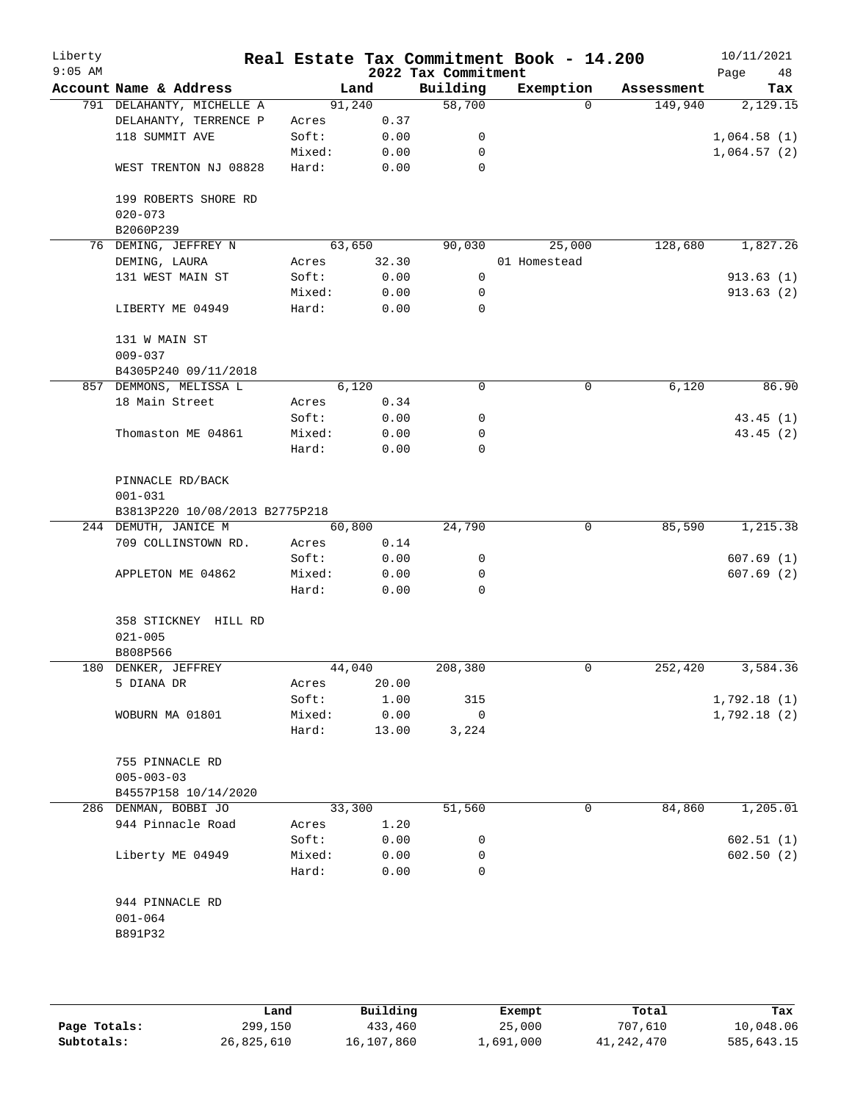| Liberty<br>$9:05$ AM |                                 |        |       | 2022 Tax Commitment | Real Estate Tax Commitment Book - 14.200 |            | 10/11/2021<br>Page<br>48 |
|----------------------|---------------------------------|--------|-------|---------------------|------------------------------------------|------------|--------------------------|
|                      | Account Name & Address          |        | Land  | Building            | Exemption                                | Assessment | Tax                      |
|                      | 791 DELAHANTY, MICHELLE A       | 91,240 |       | 58,700              | $\Omega$                                 | 149,940    | 2,129.15                 |
|                      | DELAHANTY, TERRENCE P           | Acres  | 0.37  |                     |                                          |            |                          |
|                      | 118 SUMMIT AVE                  | Soft:  | 0.00  | 0                   |                                          |            | 1,064.58(1)              |
|                      |                                 | Mixed: | 0.00  | 0                   |                                          |            | 1,064.57(2)              |
|                      | WEST TRENTON NJ 08828           | Hard:  | 0.00  | $\mathbf 0$         |                                          |            |                          |
|                      | 199 ROBERTS SHORE RD            |        |       |                     |                                          |            |                          |
|                      | $020 - 073$                     |        |       |                     |                                          |            |                          |
|                      | B2060P239                       |        |       |                     |                                          |            |                          |
|                      | 76 DEMING, JEFFREY N            | 63,650 |       | 90,030              | 25,000                                   | 128,680    | 1,827.26                 |
|                      | DEMING, LAURA                   | Acres  | 32.30 |                     | 01 Homestead                             |            |                          |
|                      | 131 WEST MAIN ST                | Soft:  | 0.00  | 0                   |                                          |            | 913.63(1)                |
|                      |                                 | Mixed: | 0.00  | 0                   |                                          |            | 913.63(2)                |
|                      | LIBERTY ME 04949                | Hard:  | 0.00  | 0                   |                                          |            |                          |
|                      | 131 W MAIN ST                   |        |       |                     |                                          |            |                          |
|                      | $009 - 037$                     |        |       |                     |                                          |            |                          |
|                      | B4305P240 09/11/2018            |        |       |                     |                                          |            |                          |
|                      | 857 DEMMONS, MELISSA L          |        | 6,120 | 0                   | $\mathbf 0$                              | 6,120      | 86.90                    |
|                      | 18 Main Street                  | Acres  | 0.34  |                     |                                          |            |                          |
|                      |                                 | Soft:  | 0.00  | 0                   |                                          |            | 43.45(1)                 |
|                      | Thomaston ME 04861              | Mixed: | 0.00  | 0                   |                                          |            | 43.45 (2)                |
|                      |                                 | Hard:  | 0.00  | 0                   |                                          |            |                          |
|                      | PINNACLE RD/BACK<br>$001 - 031$ |        |       |                     |                                          |            |                          |
|                      | B3813P220 10/08/2013 B2775P218  |        |       |                     |                                          |            |                          |
|                      | 244 DEMUTH, JANICE M            | 60,800 |       | 24,790              | 0                                        | 85,590     | 1,215.38                 |
|                      | 709 COLLINSTOWN RD.             | Acres  | 0.14  |                     |                                          |            |                          |
|                      |                                 | Soft:  | 0.00  | 0                   |                                          |            | 607.69(1)                |
|                      | APPLETON ME 04862               | Mixed: | 0.00  | 0                   |                                          |            | 607.69(2)                |
|                      |                                 | Hard:  | 0.00  | $\Omega$            |                                          |            |                          |
|                      | 358 STICKNEY HILL RD            |        |       |                     |                                          |            |                          |
|                      | $021 - 005$                     |        |       |                     |                                          |            |                          |
|                      | B808P566                        |        |       |                     |                                          |            |                          |
|                      | 180 DENKER, JEFFREY             | 44,040 |       | 208,380             | 0                                        | 252,420    | 3,584.36                 |
|                      | 5 DIANA DR                      | Acres  | 20.00 |                     |                                          |            |                          |
|                      |                                 | Soft:  | 1.00  | 315                 |                                          |            | 1,792.18(1)              |
|                      | WOBURN MA 01801                 | Mixed: | 0.00  | $\mathsf{O}$        |                                          |            | 1,792.18(2)              |
|                      |                                 | Hard:  | 13.00 | 3,224               |                                          |            |                          |
|                      | 755 PINNACLE RD                 |        |       |                     |                                          |            |                          |
|                      | $005 - 003 - 03$                |        |       |                     |                                          |            |                          |
|                      | B4557P158 10/14/2020            |        |       |                     |                                          |            |                          |
|                      | 286 DENMAN, BOBBI JO            | 33,300 |       | 51,560              | 0                                        | 84,860     | 1,205.01                 |
|                      | 944 Pinnacle Road               | Acres  | 1.20  |                     |                                          |            |                          |
|                      |                                 | Soft:  | 0.00  | 0                   |                                          |            | 602.51(1)                |
|                      | Liberty ME 04949                | Mixed: | 0.00  | 0                   |                                          |            | 602.50(2)                |
|                      |                                 | Hard:  | 0.00  | $\Omega$            |                                          |            |                          |
|                      | 944 PINNACLE RD                 |        |       |                     |                                          |            |                          |
|                      | $001 - 064$                     |        |       |                     |                                          |            |                          |
|                      | B891P32                         |        |       |                     |                                          |            |                          |
|                      |                                 |        |       |                     |                                          |            |                          |
|                      |                                 |        |       |                     |                                          |            |                          |

|              | Land       | Building   | Exempt    | Total      | Tax        |
|--------------|------------|------------|-----------|------------|------------|
| Page Totals: | 299,150    | 433,460    | 25,000    | 707,610    | 10,048.06  |
| Subtotals:   | 26,825,610 | 16,107,860 | 1,691,000 | 41,242,470 | 585,643.15 |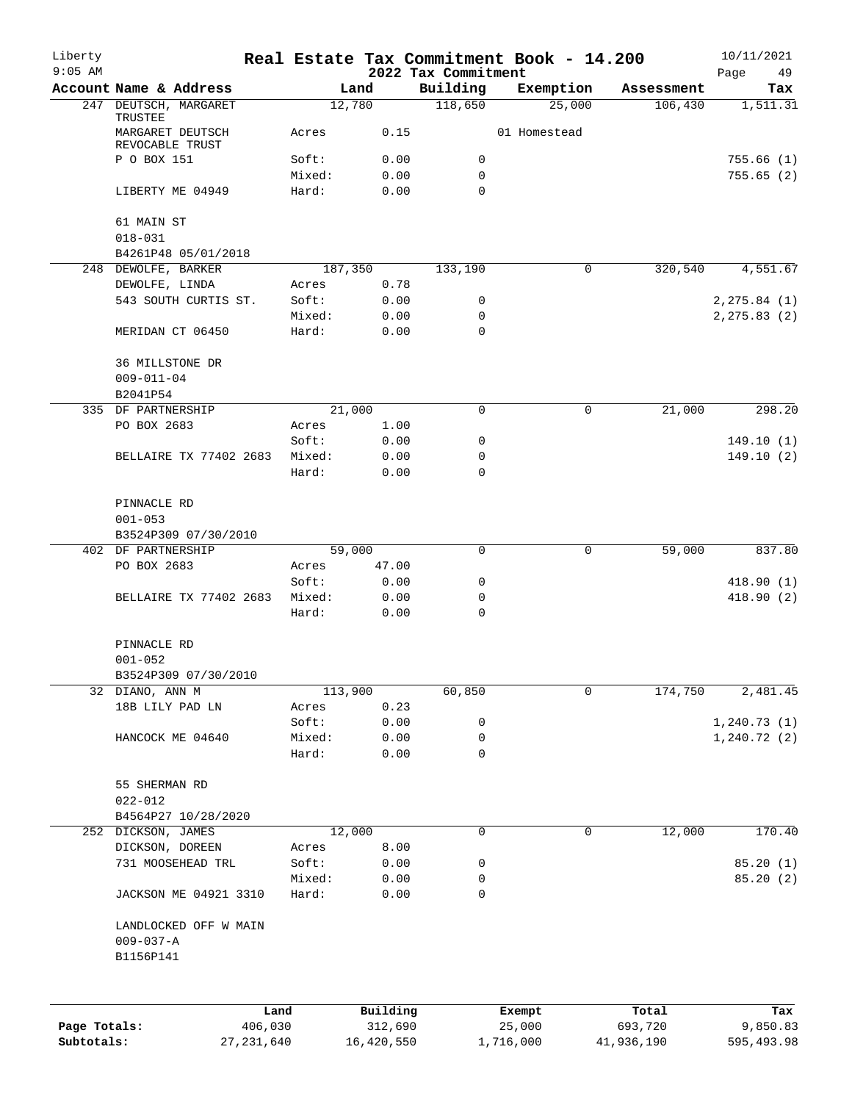| Liberty<br>$9:05$ AM |                                                |                 |              | 2022 Tax Commitment | Real Estate Tax Commitment Book - 14.200 |            | 10/11/2021           |
|----------------------|------------------------------------------------|-----------------|--------------|---------------------|------------------------------------------|------------|----------------------|
|                      | Account Name & Address                         |                 | Land         | Building            | Exemption                                | Assessment | Page<br>49<br>Tax    |
|                      | 247 DEUTSCH, MARGARET                          |                 | 12,780       | 118,650             | 25,000                                   | 106,430    | 1,511.31             |
|                      | TRUSTEE<br>MARGARET DEUTSCH<br>REVOCABLE TRUST | Acres           | 0.15         |                     | 01 Homestead                             |            |                      |
|                      | P O BOX 151                                    | Soft:           | 0.00         | 0                   |                                          |            | 755.66(1)            |
|                      |                                                | Mixed:          | 0.00         | $\mathbf 0$         |                                          |            | 755.65(2)            |
|                      | LIBERTY ME 04949                               | Hard:           | 0.00         | $\Omega$            |                                          |            |                      |
|                      | 61 MAIN ST                                     |                 |              |                     |                                          |            |                      |
|                      | $018 - 031$                                    |                 |              |                     |                                          |            |                      |
|                      | B4261P48 05/01/2018<br>248 DEWOLFE, BARKER     |                 | 187,350      | 133,190             | 0                                        | 320,540    | 4,551.67             |
|                      | DEWOLFE, LINDA                                 | Acres           | 0.78         |                     |                                          |            |                      |
|                      | 543 SOUTH CURTIS ST.                           | Soft:           | 0.00         | 0                   |                                          |            | 2, 275.84 (1)        |
|                      |                                                | Mixed:          | 0.00         | 0                   |                                          |            | 2, 275.83(2)         |
|                      | MERIDAN CT 06450                               | Hard:           | 0.00         | 0                   |                                          |            |                      |
|                      | 36 MILLSTONE DR                                |                 |              |                     |                                          |            |                      |
|                      | $009 - 011 - 04$                               |                 |              |                     |                                          |            |                      |
|                      | B2041P54                                       |                 |              |                     |                                          |            |                      |
|                      | 335 DF PARTNERSHIP                             |                 | 21,000       | 0                   | $\mathbf 0$                              | 21,000     | 298.20               |
|                      | PO BOX 2683                                    | Acres           | 1.00         |                     |                                          |            |                      |
|                      |                                                | Soft:           | 0.00         | 0                   |                                          |            | 149.10(1)            |
|                      | BELLAIRE TX 77402 2683                         | Mixed:          | 0.00         | $\mathbf 0$         |                                          |            | 149.10(2)            |
|                      |                                                | Hard:           | 0.00         | $\Omega$            |                                          |            |                      |
|                      | PINNACLE RD                                    |                 |              |                     |                                          |            |                      |
|                      | $001 - 053$                                    |                 |              |                     |                                          |            |                      |
|                      | B3524P309 07/30/2010                           |                 |              |                     |                                          |            |                      |
|                      | 402 DF PARTNERSHIP                             |                 | 59,000       | 0                   | $\mathbf 0$                              | 59,000     | 837.80               |
|                      | PO BOX 2683                                    | Acres           | 47.00        |                     |                                          |            |                      |
|                      |                                                | Soft:           | 0.00         | 0                   |                                          |            | 418.90(1)            |
|                      | BELLAIRE TX 77402 2683                         | Mixed:          | 0.00         | 0                   |                                          |            | 418.90 (2)           |
|                      |                                                | Hard:           | 0.00         | 0                   |                                          |            |                      |
|                      | PINNACLE RD                                    |                 |              |                     |                                          |            |                      |
|                      | $001 - 052$                                    |                 |              |                     |                                          |            |                      |
|                      | B3524P309 07/30/2010                           |                 |              |                     |                                          |            |                      |
|                      | 32 DIANO, ANN M                                |                 | 113,900      | 60,850              | $\mathbf 0$                              | 174,750    | 2,481.45             |
|                      | 18B LILY PAD LN                                | Acres<br>Soft:  | 0.23<br>0.00 | 0                   |                                          |            | 1, 240.73(1)         |
|                      | HANCOCK ME 04640                               | Mixed:          | 0.00         | 0                   |                                          |            | 1, 240.72(2)         |
|                      |                                                | Hard:           | 0.00         | 0                   |                                          |            |                      |
|                      |                                                |                 |              |                     |                                          |            |                      |
|                      | 55 SHERMAN RD                                  |                 |              |                     |                                          |            |                      |
|                      | $022 - 012$                                    |                 |              |                     |                                          |            |                      |
|                      | B4564P27 10/28/2020                            |                 |              |                     |                                          |            |                      |
| 252                  | DICKSON, JAMES                                 |                 | 12,000       | 0                   | 0                                        | 12,000     | 170.40               |
|                      | DICKSON, DOREEN                                | Acres           | 8.00         |                     |                                          |            |                      |
|                      | 731 MOOSEHEAD TRL                              | Soft:<br>Mixed: | 0.00<br>0.00 | 0<br>0              |                                          |            | 85.20(1)<br>85.20(2) |
|                      | JACKSON ME 04921 3310                          | Hard:           | 0.00         | 0                   |                                          |            |                      |
|                      | LANDLOCKED OFF W MAIN                          |                 |              |                     |                                          |            |                      |
|                      | $009 - 037 - A$                                |                 |              |                     |                                          |            |                      |
|                      | B1156P141                                      |                 |              |                     |                                          |            |                      |
|                      |                                                |                 |              |                     |                                          |            |                      |
|                      |                                                | Land            | Building     |                     | Exempt                                   | Total      | Tax                  |
| Page Totals:         | 406,030                                        |                 | 312,690      |                     | 25,000                                   | 693,720    | 9,850.83             |
| Subtotals:           | 27, 231, 640                                   |                 | 16,420,550   |                     | 1,716,000                                | 41,936,190 | 595,493.98           |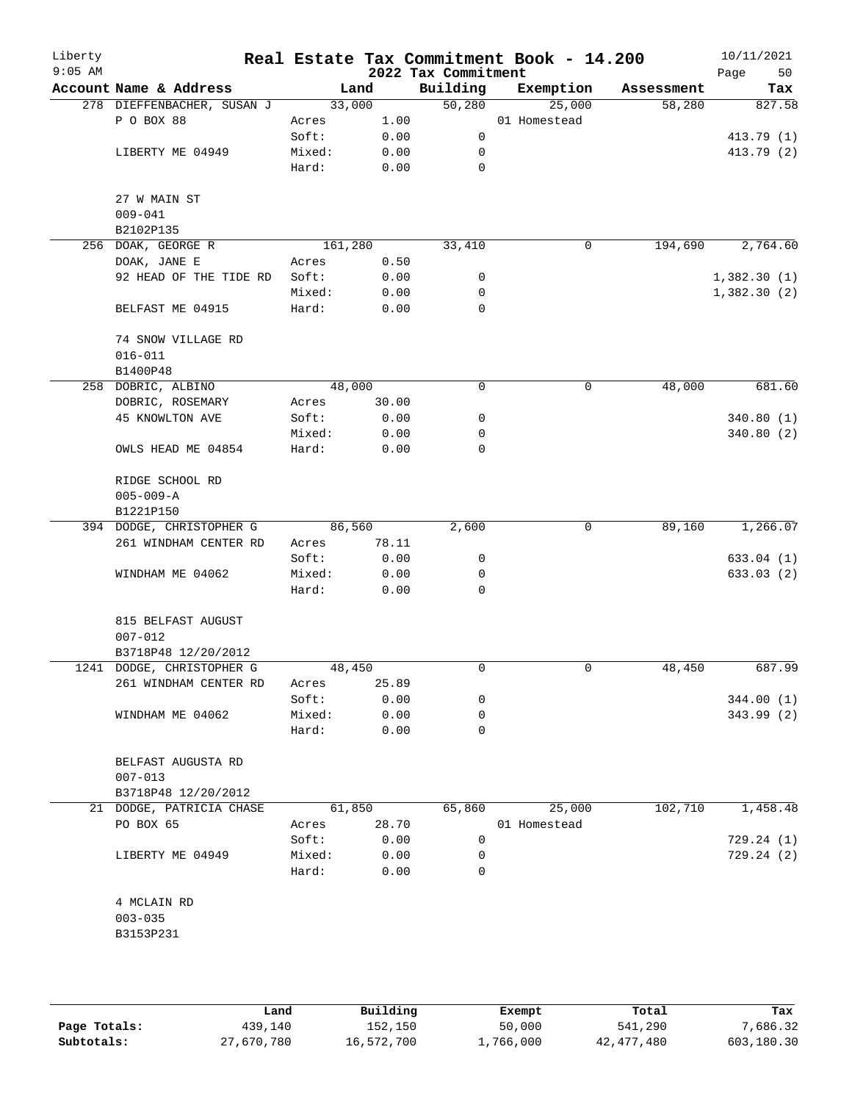| Liberty<br>$9:05$ AM |                            |         |        | 2022 Tax Commitment | Real Estate Tax Commitment Book - 14.200 |            | 10/11/2021<br>Page<br>50 |
|----------------------|----------------------------|---------|--------|---------------------|------------------------------------------|------------|--------------------------|
|                      | Account Name & Address     |         | Land   | Building            | Exemption                                | Assessment | Tax                      |
|                      | 278 DIEFFENBACHER, SUSAN J | 33,000  |        | 50,280              | 25,000                                   | 58,280     | 827.58                   |
|                      | P O BOX 88                 | Acres   | 1.00   |                     | 01 Homestead                             |            |                          |
|                      |                            | Soft:   | 0.00   | 0                   |                                          |            | 413.79 (1)               |
|                      | LIBERTY ME 04949           | Mixed:  | 0.00   | 0                   |                                          |            | 413.79 (2)               |
|                      |                            | Hard:   | 0.00   | 0                   |                                          |            |                          |
|                      | 27 W MAIN ST               |         |        |                     |                                          |            |                          |
|                      | $009 - 041$                |         |        |                     |                                          |            |                          |
|                      | B2102P135                  |         |        |                     |                                          |            |                          |
|                      | 256 DOAK, GEORGE R         | 161,280 |        | 33,410              | $\mathsf{O}$                             | 194,690    | 2,764.60                 |
|                      | DOAK, JANE E               | Acres   | 0.50   |                     |                                          |            |                          |
|                      | 92 HEAD OF THE TIDE RD     | Soft:   | 0.00   | 0                   |                                          |            | 1,382.30(1)              |
|                      |                            | Mixed:  | 0.00   | 0                   |                                          |            | 1,382.30(2)              |
|                      | BELFAST ME 04915           | Hard:   | 0.00   | 0                   |                                          |            |                          |
|                      | 74 SNOW VILLAGE RD         |         |        |                     |                                          |            |                          |
|                      | $016 - 011$                |         |        |                     |                                          |            |                          |
|                      | B1400P48                   |         |        |                     |                                          |            |                          |
|                      | 258 DOBRIC, ALBINO         | 48,000  |        | 0                   | 0                                        | 48,000     | 681.60                   |
|                      | DOBRIC, ROSEMARY           | Acres   | 30.00  |                     |                                          |            |                          |
|                      | <b>45 KNOWLTON AVE</b>     | Soft:   | 0.00   | 0                   |                                          |            | 340.80(1)                |
|                      |                            | Mixed:  | 0.00   | 0                   |                                          |            | 340.80 (2)               |
|                      | OWLS HEAD ME 04854         | Hard:   | 0.00   | 0                   |                                          |            |                          |
|                      | RIDGE SCHOOL RD            |         |        |                     |                                          |            |                          |
|                      | $005 - 009 - A$            |         |        |                     |                                          |            |                          |
|                      | B1221P150                  |         |        |                     |                                          |            |                          |
|                      | 394 DODGE, CHRISTOPHER G   | 86,560  |        | 2,600               | 0                                        | 89,160     | 1,266.07                 |
|                      | 261 WINDHAM CENTER RD      | Acres   | 78.11  |                     |                                          |            |                          |
|                      |                            | Soft:   | 0.00   | 0                   |                                          |            | 633.04(1)                |
|                      | WINDHAM ME 04062           | Mixed:  | 0.00   | 0                   |                                          |            | 633.03 (2)               |
|                      |                            | Hard:   | 0.00   | 0                   |                                          |            |                          |
|                      | 815 BELFAST AUGUST         |         |        |                     |                                          |            |                          |
|                      | $007 - 012$                |         |        |                     |                                          |            |                          |
|                      | B3718P48 12/20/2012        |         |        |                     |                                          |            |                          |
|                      | 1241 DODGE, CHRISTOPHER G  | 48,450  |        | 0                   | 0                                        | 48,450     | 687.99                   |
|                      | 261 WINDHAM CENTER RD      | Acres   | 25.89  |                     |                                          |            |                          |
|                      |                            | Soft:   | 0.00   | 0                   |                                          |            | 344.00(1)                |
|                      | WINDHAM ME 04062           | Mixed:  | 0.00   | 0                   |                                          |            | 343.99 (2)               |
|                      |                            | Hard:   | 0.00   | 0                   |                                          |            |                          |
|                      | BELFAST AUGUSTA RD         |         |        |                     |                                          |            |                          |
|                      | $007 - 013$                |         |        |                     |                                          |            |                          |
|                      | B3718P48 12/20/2012        |         |        |                     |                                          |            |                          |
|                      | 21 DODGE, PATRICIA CHASE   |         | 61,850 | 65,860              | 25,000                                   | 102,710    | 1,458.48                 |
|                      | PO BOX 65                  | Acres   | 28.70  |                     | 01 Homestead                             |            |                          |
|                      |                            | Soft:   | 0.00   | 0                   |                                          |            | 729.24(1)                |
|                      | LIBERTY ME 04949           | Mixed:  | 0.00   | 0                   |                                          |            | 729.24(2)                |
|                      |                            | Hard:   | 0.00   | $\Omega$            |                                          |            |                          |
|                      | 4 MCLAIN RD                |         |        |                     |                                          |            |                          |
|                      | $003 - 035$                |         |        |                     |                                          |            |                          |
|                      | B3153P231                  |         |        |                     |                                          |            |                          |
|                      |                            |         |        |                     |                                          |            |                          |
|                      |                            |         |        |                     |                                          |            |                          |

|              | Land       | Building   | Exempt    | Total        | Tax        |
|--------------|------------|------------|-----------|--------------|------------|
| Page Totals: | 439,140    | 152,150    | 50,000    | 541,290      | 7,686.32   |
| Subtotals:   | 27,670,780 | 16,572,700 | 1,766,000 | 42, 477, 480 | 603,180.30 |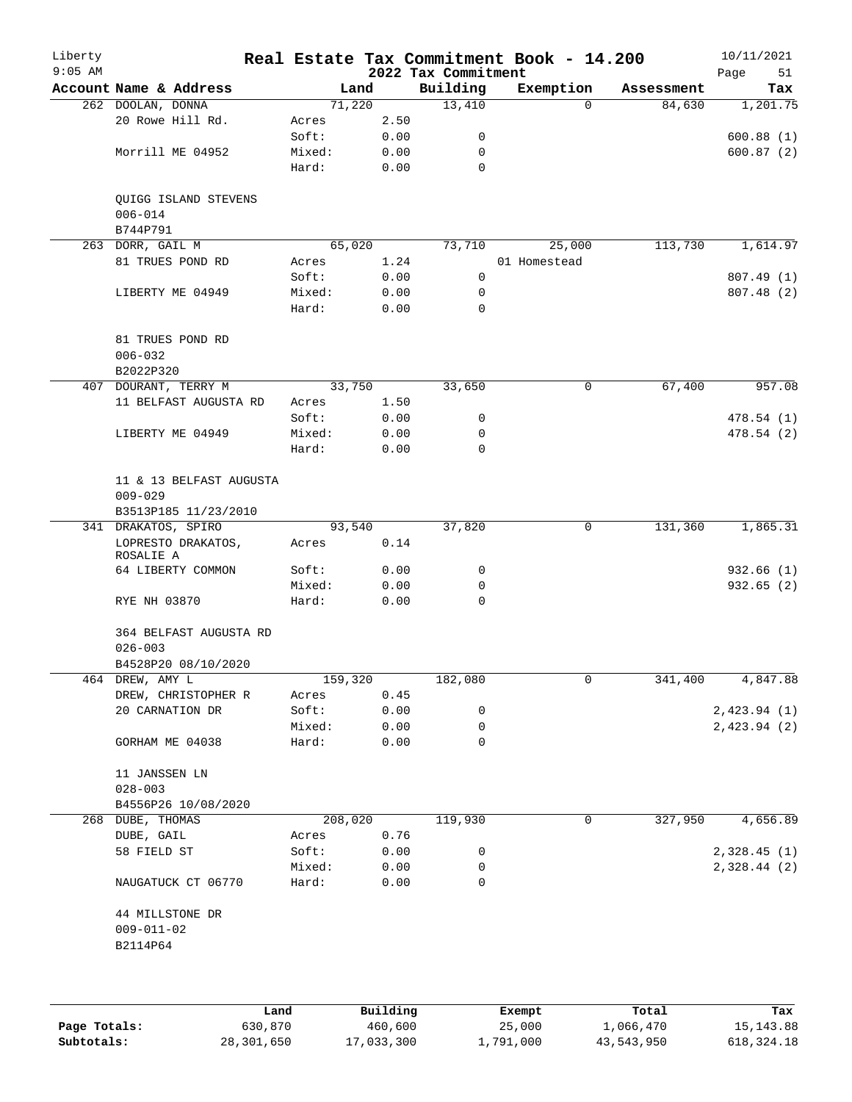| Liberty<br>$9:05$ AM |                                                 |                 |              | 2022 Tax Commitment | Real Estate Tax Commitment Book - 14.200 |                         | 10/11/2021<br>Page<br>51 |
|----------------------|-------------------------------------------------|-----------------|--------------|---------------------|------------------------------------------|-------------------------|--------------------------|
|                      | Account Name & Address                          |                 | Land         | Building            | Exemption                                | Assessment              | Tax                      |
|                      | 262 DOOLAN, DONNA                               |                 | 71,220       | 13,410              |                                          | 84,630<br>$\Omega$      | 1,201.75                 |
|                      | 20 Rowe Hill Rd.                                | Acres           | 2.50         |                     |                                          |                         |                          |
|                      |                                                 | Soft:           | 0.00         | 0                   |                                          |                         | 600.88(1)                |
|                      | Morrill ME 04952                                | Mixed:          | 0.00         | 0                   |                                          |                         | 600.87(2)                |
|                      |                                                 | Hard:           | 0.00         | $\mathbf 0$         |                                          |                         |                          |
|                      | QUIGG ISLAND STEVENS<br>$006 - 014$<br>B744P791 |                 |              |                     |                                          |                         |                          |
|                      |                                                 |                 | 65,020       |                     |                                          | 113,730                 |                          |
|                      | 263 DORR, GAIL M<br>81 TRUES POND RD            |                 |              | 73,710              | 25,000                                   |                         | 1,614.97                 |
|                      |                                                 | Acres           | 1.24         |                     | 01 Homestead                             |                         |                          |
|                      |                                                 | Soft:           | 0.00         | 0                   |                                          |                         | 807.49 (1)               |
|                      | LIBERTY ME 04949                                | Mixed:          | 0.00         | 0                   |                                          |                         | 807.48 (2)               |
|                      |                                                 | Hard:           | 0.00         | 0                   |                                          |                         |                          |
|                      | 81 TRUES POND RD<br>$006 - 032$                 |                 |              |                     |                                          |                         |                          |
|                      | B2022P320                                       |                 |              |                     |                                          |                         |                          |
|                      | 407 DOURANT, TERRY M                            |                 | 33,750       | 33,650              |                                          | 67,400<br>0             | 957.08                   |
|                      | 11 BELFAST AUGUSTA RD                           | Acres           | 1.50         |                     |                                          |                         |                          |
|                      |                                                 | Soft:           | 0.00         | 0                   |                                          |                         | 478.54(1)                |
|                      | LIBERTY ME 04949                                | Mixed:          | 0.00         | 0                   |                                          |                         | 478.54 (2)               |
|                      |                                                 | Hard:           | 0.00         | 0                   |                                          |                         |                          |
|                      | 11 & 13 BELFAST AUGUSTA<br>$009 - 029$          |                 |              |                     |                                          |                         |                          |
|                      | B3513P185 11/23/2010                            |                 |              |                     |                                          |                         |                          |
|                      | 341 DRAKATOS, SPIRO                             |                 | 93,540       | 37,820              |                                          | $\mathbf 0$<br>131,360  | 1,865.31                 |
|                      | LOPRESTO DRAKATOS,<br>ROSALIE A                 | Acres           | 0.14         |                     |                                          |                         |                          |
|                      | 64 LIBERTY COMMON                               | Soft:           | 0.00         | 0                   |                                          |                         | 932.66(1)                |
|                      |                                                 | Mixed:          | 0.00         | 0                   |                                          |                         | 932.65 (2)               |
|                      | RYE NH 03870                                    | Hard:           | 0.00         | $\mathsf{O}$        |                                          |                         |                          |
|                      | 364 BELFAST AUGUSTA RD<br>$026 - 003$           |                 |              |                     |                                          |                         |                          |
|                      | B4528P20 08/10/2020                             |                 |              |                     |                                          |                         |                          |
|                      | 464 DREW, AMY L                                 | 159,320         |              | 182,080             |                                          | $\mathsf{O}$<br>341,400 | 4,847.88                 |
|                      | DREW, CHRISTOPHER R                             | Acres           | 0.45         |                     |                                          |                         |                          |
|                      | 20 CARNATION DR                                 | Soft:           | 0.00         | 0                   |                                          |                         | 2,423.94(1)              |
|                      |                                                 | Mixed:          | 0.00         | 0                   |                                          |                         | 2,423.94(2)              |
|                      | GORHAM ME 04038                                 | Hard:           | 0.00         | 0                   |                                          |                         |                          |
|                      | 11 JANSSEN LN<br>$028 - 003$                    |                 |              |                     |                                          |                         |                          |
|                      | B4556P26 10/08/2020                             |                 |              |                     |                                          |                         |                          |
|                      | 268 DUBE, THOMAS                                |                 | 208,020      | 119,930             |                                          | 327,950<br>0            | 4,656.89                 |
|                      | DUBE, GAIL                                      | Acres           | 0.76         |                     |                                          |                         |                          |
|                      | 58 FIELD ST                                     | Soft:           | 0.00         | 0                   |                                          |                         | 2,328.45(1)              |
|                      |                                                 |                 |              |                     |                                          |                         |                          |
|                      | NAUGATUCK CT 06770                              | Mixed:<br>Hard: | 0.00<br>0.00 | 0<br>0              |                                          |                         | 2,328.44(2)              |
|                      | 44 MILLSTONE DR<br>$009 - 011 - 02$             |                 |              |                     |                                          |                         |                          |
|                      | B2114P64                                        |                 |              |                     |                                          |                         |                          |
|                      |                                                 |                 |              |                     |                                          |                         |                          |
|                      |                                                 |                 |              |                     |                                          |                         |                          |
|                      |                                                 |                 |              |                     |                                          |                         |                          |

|              | Land       | Building   | Exempt    | Total      | Tax          |
|--------------|------------|------------|-----------|------------|--------------|
| Page Totals: | 630,870    | 460,600    | 25,000    | 1,066,470  | 15, 143.88   |
| Subtotals:   | 28,301,650 | 17,033,300 | 1,791,000 | 43,543,950 | 618, 324. 18 |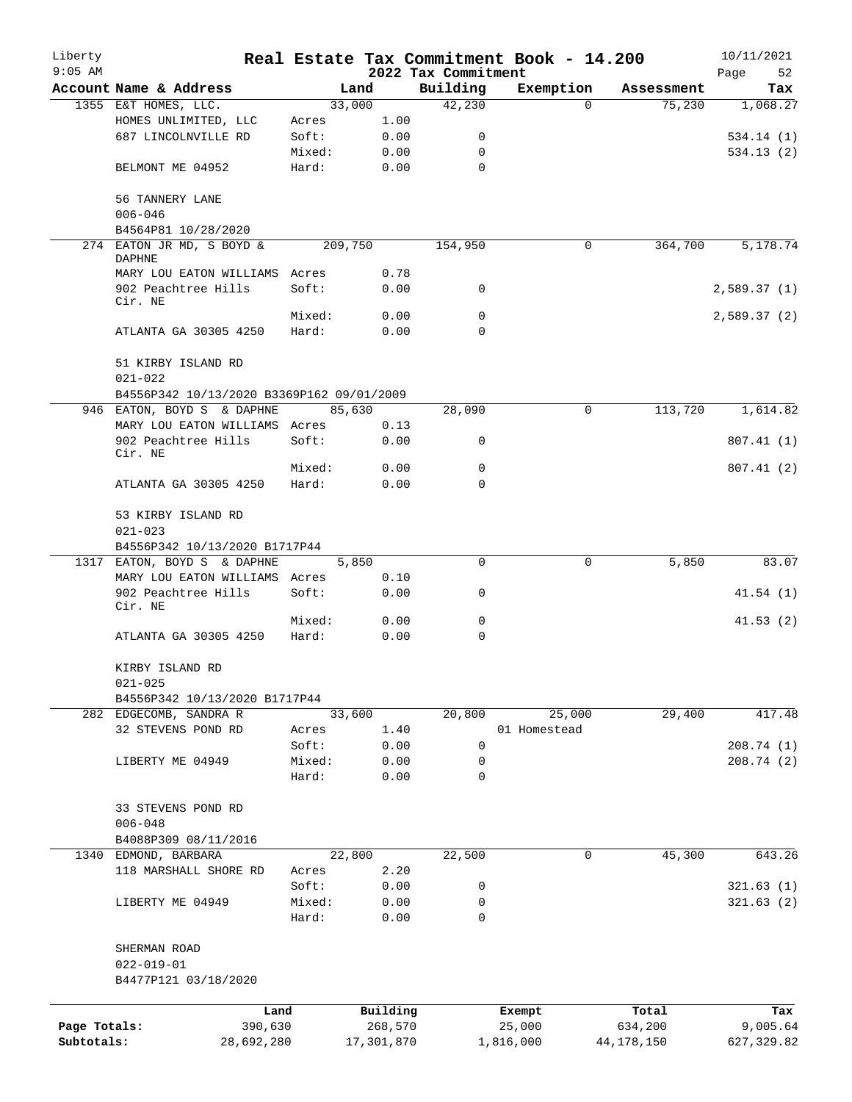| Liberty      |                                                                    |                 |                |                     | Real Estate Tax Commitment Book - 14.200 |                      | 10/11/2021      |
|--------------|--------------------------------------------------------------------|-----------------|----------------|---------------------|------------------------------------------|----------------------|-----------------|
| $9:05$ AM    |                                                                    |                 |                | 2022 Tax Commitment |                                          |                      | Page<br>52      |
|              | Account Name & Address<br>1355 E&T HOMES, LLC.                     |                 | Land<br>33,000 | Building<br>42,230  | Exemption<br>$\Omega$                    | Assessment<br>75,230 | Tax<br>1,068.27 |
|              | HOMES UNLIMITED, LLC                                               | Acres           | 1.00           |                     |                                          |                      |                 |
|              | 687 LINCOLNVILLE RD                                                | Soft:           | 0.00           | 0                   |                                          |                      | 534.14(1)       |
|              |                                                                    | Mixed:          | 0.00           | 0                   |                                          |                      | 534.13(2)       |
|              | BELMONT ME 04952                                                   | Hard:           | 0.00           | 0                   |                                          |                      |                 |
|              | 56 TANNERY LANE<br>$006 - 046$                                     |                 |                |                     |                                          |                      |                 |
|              | B4564P81 10/28/2020                                                |                 |                |                     |                                          |                      |                 |
|              | 274 EATON JR MD, S BOYD &<br>DAPHNE                                |                 | 209,750        | 154,950             | 0                                        | 364,700              | 5,178.74        |
|              | MARY LOU EATON WILLIAMS Acres                                      |                 | 0.78           |                     |                                          |                      |                 |
|              | 902 Peachtree Hills                                                | Soft:           | 0.00           | 0                   |                                          |                      | 2,589.37(1)     |
|              | Cir. NE                                                            |                 |                |                     |                                          |                      |                 |
|              | ATLANTA GA 30305 4250                                              | Mixed:<br>Hard: | 0.00<br>0.00   | 0<br>$\Omega$       |                                          |                      | 2,589.37(2)     |
|              | 51 KIRBY ISLAND RD                                                 |                 |                |                     |                                          |                      |                 |
|              | $021 - 022$                                                        |                 |                |                     |                                          |                      |                 |
|              | B4556P342 10/13/2020 B3369P162 09/01/2009                          |                 |                |                     |                                          |                      |                 |
|              | 946 EATON, BOYD S & DAPHNE<br>MARY LOU EATON WILLIAMS Acres        |                 | 85,630<br>0.13 | 28,090              | 0                                        | 113,720              | 1,614.82        |
|              | 902 Peachtree Hills                                                | Soft:           | 0.00           | 0                   |                                          |                      | 807.41(1)       |
|              | Cir. NE                                                            |                 |                | 0                   |                                          |                      |                 |
|              | ATLANTA GA 30305 4250                                              | Mixed:<br>Hard: | 0.00<br>0.00   | $\Omega$            |                                          |                      | 807.41(2)       |
|              | 53 KIRBY ISLAND RD<br>$021 - 023$<br>B4556P342 10/13/2020 B1717P44 |                 |                |                     |                                          |                      |                 |
|              | 1317 EATON, BOYD S & DAPHNE                                        |                 | 5,850          | $\Omega$            | 0                                        | 5,850                | 83.07           |
|              | MARY LOU EATON WILLIAMS Acres                                      |                 | 0.10           |                     |                                          |                      |                 |
|              | 902 Peachtree Hills<br>Cir. NE                                     | Soft:           | 0.00           | 0                   |                                          |                      | 41.54(1)        |
|              |                                                                    | Mixed:          | 0.00           | 0                   |                                          |                      | 41.53(2)        |
|              | ATLANTA GA 30305 4250                                              | Hard:           | 0.00           | 0                   |                                          |                      |                 |
|              | KIRBY ISLAND RD<br>$021 - 025$                                     |                 |                |                     |                                          |                      |                 |
|              | B4556P342 10/13/2020 B1717P44                                      |                 |                |                     |                                          |                      |                 |
|              | 282 EDGECOMB, SANDRA R                                             |                 | 33,600         | 20,800              | 25,000                                   | 29,400               | 417.48          |
|              | 32 STEVENS POND RD                                                 | Acres           | 1.40           |                     | 01 Homestead                             |                      |                 |
|              |                                                                    | Soft:           | 0.00           | 0                   |                                          |                      | 208.74(1)       |
|              | LIBERTY ME 04949                                                   | Mixed:          | 0.00           | 0                   |                                          |                      | 208.74(2)       |
|              |                                                                    | Hard:           | 0.00           | 0                   |                                          |                      |                 |
|              | 33 STEVENS POND RD<br>$006 - 048$                                  |                 |                |                     |                                          |                      |                 |
|              | B4088P309 08/11/2016                                               |                 |                |                     |                                          |                      |                 |
| 1340         | EDMOND, BARBARA                                                    |                 | 22,800         | 22,500              | 0                                        | 45,300               | 643.26          |
|              | 118 MARSHALL SHORE RD                                              | Acres           | 2.20           |                     |                                          |                      |                 |
|              |                                                                    | Soft:           | 0.00           | 0                   |                                          |                      | 321.63(1)       |
|              | LIBERTY ME 04949                                                   | Mixed:          | 0.00           | 0                   |                                          |                      | 321.63(2)       |
|              |                                                                    | Hard:           | 0.00           | 0                   |                                          |                      |                 |
|              | SHERMAN ROAD<br>$022 - 019 - 01$                                   |                 |                |                     |                                          |                      |                 |
|              | B4477P121 03/18/2020                                               |                 |                |                     |                                          |                      |                 |
|              | Land                                                               |                 | Building       |                     | Exempt                                   | Total                | Tax             |
| Page Totals: | 390,630                                                            |                 | 268,570        |                     | 25,000                                   | 634,200              | 9,005.64        |
| Subtotals:   | 28,692,280                                                         |                 | 17,301,870     |                     | 1,816,000                                | 44, 178, 150         | 627, 329.82     |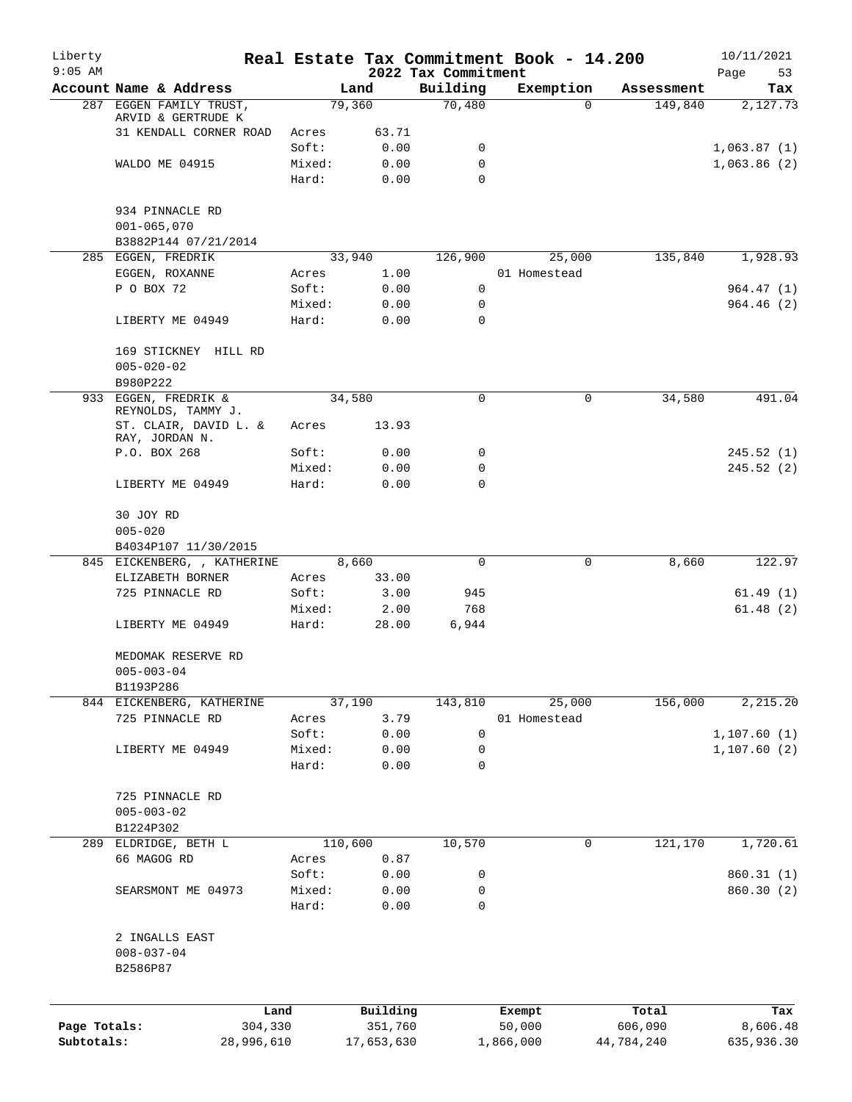| Liberty<br>$9:05$ AM |                                               |                 |              | 2022 Tax Commitment | Real Estate Tax Commitment Book - 14.200 |            | 10/11/2021<br>Page<br>53 |
|----------------------|-----------------------------------------------|-----------------|--------------|---------------------|------------------------------------------|------------|--------------------------|
|                      | Account Name & Address                        |                 | Land         | Building            | Exemption                                | Assessment | Tax                      |
|                      | 287 EGGEN FAMILY TRUST,<br>ARVID & GERTRUDE K |                 | 79,360       | 70,480              | $\Omega$                                 | 149,840    | 2,127.73                 |
|                      | 31 KENDALL CORNER ROAD                        | Acres           | 63.71        |                     |                                          |            |                          |
|                      |                                               | Soft:           | 0.00         | 0                   |                                          |            | 1,063.87(1)              |
|                      | WALDO ME 04915                                | Mixed:          | 0.00         | 0                   |                                          |            | 1,063.86(2)              |
|                      |                                               | Hard:           | 0.00         | $\Omega$            |                                          |            |                          |
|                      | 934 PINNACLE RD                               |                 |              |                     |                                          |            |                          |
|                      | $001 - 065,070$                               |                 |              |                     |                                          |            |                          |
|                      | B3882P144 07/21/2014                          |                 |              |                     |                                          |            |                          |
|                      | 285 EGGEN, FREDRIK                            |                 | 33,940       | 126,900             | 25,000                                   | 135,840    | 1,928.93                 |
|                      | EGGEN, ROXANNE                                | Acres           | 1.00         |                     | 01 Homestead                             |            |                          |
|                      | P O BOX 72                                    | Soft:           | 0.00         | 0                   |                                          |            | 964.47(1)                |
|                      | LIBERTY ME 04949                              | Mixed:<br>Hard: | 0.00<br>0.00 | 0<br>$\Omega$       |                                          |            | 964.46(2)                |
|                      |                                               |                 |              |                     |                                          |            |                          |
|                      | 169 STICKNEY HILL RD                          |                 |              |                     |                                          |            |                          |
|                      | $005 - 020 - 02$                              |                 |              |                     |                                          |            |                          |
|                      | B980P222                                      |                 |              |                     |                                          |            |                          |
|                      | 933 EGGEN, FREDRIK &<br>REYNOLDS, TAMMY J.    |                 | 34,580       | 0                   | $\mathbf 0$                              | 34,580     | 491.04                   |
|                      | ST. CLAIR, DAVID L. &<br>RAY, JORDAN N.       | Acres           | 13.93        |                     |                                          |            |                          |
|                      | P.O. BOX 268                                  | Soft:           | 0.00         | 0                   |                                          |            | 245.52(1)                |
|                      |                                               | Mixed:          | 0.00         | 0                   |                                          |            | 245.52(2)                |
|                      | LIBERTY ME 04949                              | Hard:           | 0.00         | 0                   |                                          |            |                          |
|                      | 30 JOY RD                                     |                 |              |                     |                                          |            |                          |
|                      | $005 - 020$                                   |                 |              |                     |                                          |            |                          |
|                      | B4034P107 11/30/2015                          |                 |              |                     |                                          |            |                          |
|                      | 845 EICKENBERG, , KATHERINE                   |                 | 8,660        | $\mathbf 0$         | $\mathbf 0$                              | 8,660      | 122.97                   |
|                      | ELIZABETH BORNER                              | Acres           | 33.00        |                     |                                          |            |                          |
|                      | 725 PINNACLE RD                               | Soft:           | 3.00         | 945                 |                                          |            | 61.49(1)                 |
|                      |                                               | Mixed:          | 2.00         | 768                 |                                          |            | 61.48(2)                 |
|                      | LIBERTY ME 04949                              | Hard:           | 28.00        | 6,944               |                                          |            |                          |
|                      | MEDOMAK RESERVE RD                            |                 |              |                     |                                          |            |                          |
|                      | $005 - 003 - 04$                              |                 |              |                     |                                          |            |                          |
|                      | B1193P286                                     |                 |              |                     |                                          |            |                          |
|                      | 844 EICKENBERG, KATHERINE                     |                 | 37,190       | 143,810             | 25,000                                   | 156,000    | 2,215.20                 |
|                      | 725 PINNACLE RD                               | Acres<br>Soft:  | 3.79         | 0                   | 01 Homestead                             |            |                          |
|                      | LIBERTY ME 04949                              |                 | 0.00         |                     |                                          |            | 1,107.60(1)              |
|                      |                                               | Mixed:<br>Hard: | 0.00<br>0.00 | 0<br>$\mathbf 0$    |                                          |            | 1,107.60(2)              |
|                      |                                               |                 |              |                     |                                          |            |                          |
|                      | 725 PINNACLE RD<br>$005 - 003 - 02$           |                 |              |                     |                                          |            |                          |
|                      | B1224P302                                     |                 |              |                     |                                          |            |                          |
| 289                  | ELDRIDGE, BETH L                              |                 | 110,600      | 10,570              | 0                                        | 121,170    | 1,720.61                 |
|                      | 66 MAGOG RD                                   | Acres           | 0.87         |                     |                                          |            |                          |
|                      |                                               | Soft:           | 0.00         | 0                   |                                          |            | 860.31(1)                |
|                      | SEARSMONT ME 04973                            | Mixed:          | 0.00         | 0                   |                                          |            | 860.30 (2)               |
|                      |                                               | Hard:           | 0.00         | 0                   |                                          |            |                          |
|                      | 2 INGALLS EAST                                |                 |              |                     |                                          |            |                          |
|                      | $008 - 037 - 04$<br>B2586P87                  |                 |              |                     |                                          |            |                          |
|                      |                                               |                 |              |                     |                                          |            |                          |
|                      |                                               | Land            | Building     |                     | Exempt                                   | Total      | Tax                      |
| Page Totals:         | 304,330                                       |                 | 351,760      |                     | 50,000                                   | 606,090    | 8,606.48                 |
| Subtotals:           | 28,996,610                                    |                 | 17,653,630   |                     | 1,866,000                                | 44,784,240 | 635,936.30               |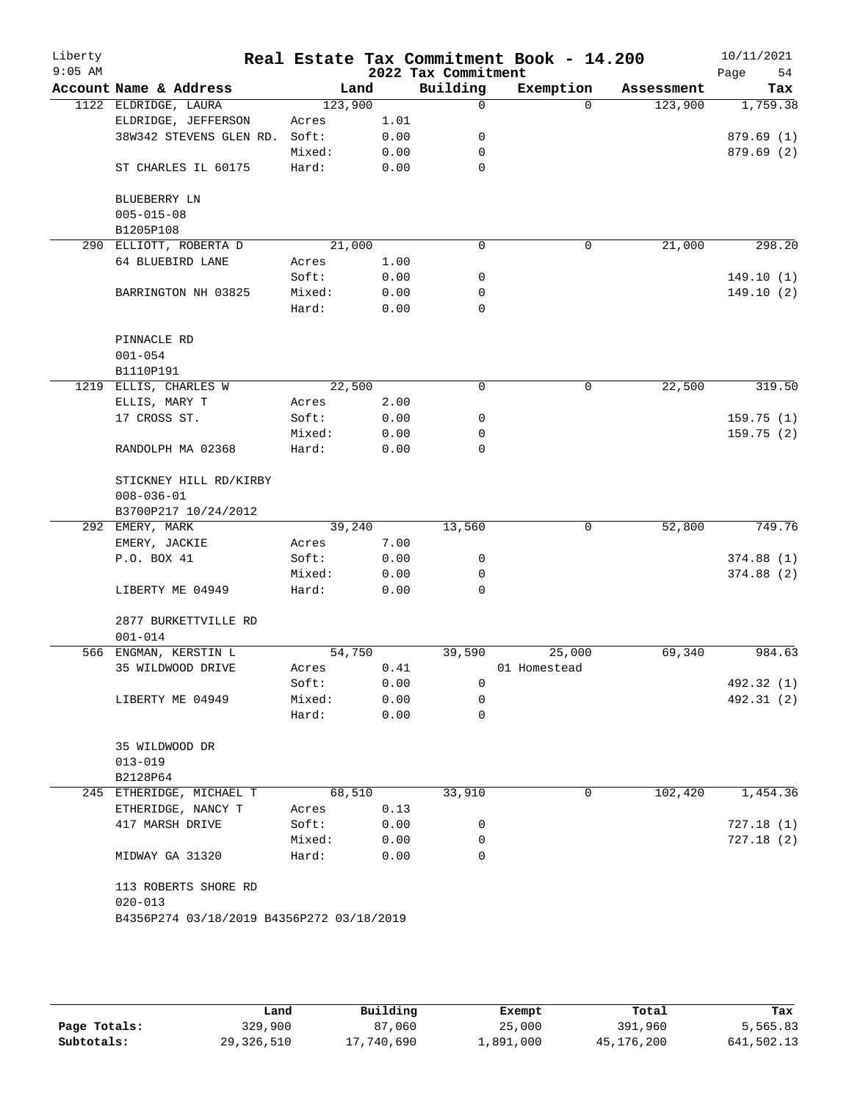| Liberty<br>$9:05$ AM |                                           |         |      | 2022 Tax Commitment | Real Estate Tax Commitment Book - 14.200 |            | 10/11/2021<br>Page<br>54 |
|----------------------|-------------------------------------------|---------|------|---------------------|------------------------------------------|------------|--------------------------|
|                      | Account Name & Address                    | Land    |      | Building            | Exemption                                | Assessment | Tax                      |
|                      | 1122 ELDRIDGE, LAURA                      | 123,900 |      | $\mathbf 0$         | $\Omega$                                 | 123,900    | 1,759.38                 |
|                      | ELDRIDGE, JEFFERSON                       | Acres   | 1.01 |                     |                                          |            |                          |
|                      | 38W342 STEVENS GLEN RD.                   | Soft:   | 0.00 | 0                   |                                          |            | 879.69 (1)               |
|                      |                                           | Mixed:  | 0.00 | 0                   |                                          |            | 879.69(2)                |
|                      | ST CHARLES IL 60175                       | Hard:   | 0.00 | $\mathbf 0$         |                                          |            |                          |
|                      | BLUEBERRY LN                              |         |      |                     |                                          |            |                          |
|                      | $005 - 015 - 08$                          |         |      |                     |                                          |            |                          |
|                      | B1205P108                                 |         |      |                     |                                          |            |                          |
|                      | 290 ELLIOTT, ROBERTA D                    | 21,000  |      | $\mathbf 0$         | $\mathbf 0$                              | 21,000     | 298.20                   |
|                      | 64 BLUEBIRD LANE                          | Acres   | 1.00 |                     |                                          |            |                          |
|                      |                                           | Soft:   | 0.00 | 0                   |                                          |            | 149.10(1)                |
|                      | BARRINGTON NH 03825                       | Mixed:  | 0.00 | 0                   |                                          |            | 149.10(2)                |
|                      |                                           | Hard:   | 0.00 | $\mathbf 0$         |                                          |            |                          |
|                      | PINNACLE RD                               |         |      |                     |                                          |            |                          |
|                      | $001 - 054$                               |         |      |                     |                                          |            |                          |
|                      | B1110P191                                 |         |      |                     |                                          |            |                          |
|                      | 1219 ELLIS, CHARLES W                     | 22,500  |      | 0                   | 0                                        | 22,500     | 319.50                   |
|                      | ELLIS, MARY T                             | Acres   | 2.00 |                     |                                          |            |                          |
|                      | 17 CROSS ST.                              | Soft:   | 0.00 | 0                   |                                          |            | 159.75(1)                |
|                      |                                           | Mixed:  | 0.00 | 0                   |                                          |            | 159.75(2)                |
|                      | RANDOLPH MA 02368                         | Hard:   | 0.00 | $\mathbf 0$         |                                          |            |                          |
|                      | STICKNEY HILL RD/KIRBY                    |         |      |                     |                                          |            |                          |
|                      | $008 - 036 - 01$                          |         |      |                     |                                          |            |                          |
|                      | B3700P217 10/24/2012                      |         |      |                     |                                          |            |                          |
|                      | 292 EMERY, MARK                           | 39,240  |      | 13,560              | $\mathbf 0$                              | 52,800     | 749.76                   |
|                      | EMERY, JACKIE                             | Acres   | 7.00 |                     |                                          |            |                          |
|                      | P.O. BOX 41                               | Soft:   | 0.00 | 0                   |                                          |            | 374.88(1)                |
|                      |                                           | Mixed:  | 0.00 | 0                   |                                          |            | 374.88(2)                |
|                      | LIBERTY ME 04949                          | Hard:   | 0.00 | $\mathbf 0$         |                                          |            |                          |
|                      | 2877 BURKETTVILLE RD                      |         |      |                     |                                          |            |                          |
|                      | $001 - 014$                               |         |      |                     |                                          |            |                          |
|                      | 566 ENGMAN, KERSTIN L                     | 54,750  |      | 39,590              | 25,000                                   | 69,340     | 984.63                   |
|                      | 35 WILDWOOD DRIVE                         | Acres   | 0.41 |                     | 01 Homestead                             |            |                          |
|                      |                                           | Soft:   | 0.00 | 0                   |                                          |            | 492.32 (1)               |
|                      | LIBERTY ME 04949                          | Mixed:  | 0.00 | 0                   |                                          |            | 492.31 (2)               |
|                      |                                           | Hard:   | 0.00 | 0                   |                                          |            |                          |
|                      | 35 WILDWOOD DR                            |         |      |                     |                                          |            |                          |
|                      | $013 - 019$                               |         |      |                     |                                          |            |                          |
|                      | B2128P64                                  |         |      |                     |                                          |            |                          |
|                      | 245 ETHERIDGE, MICHAEL T                  | 68,510  |      | 33,910              | 0                                        | 102,420    | 1,454.36                 |
|                      | ETHERIDGE, NANCY T                        | Acres   | 0.13 |                     |                                          |            |                          |
|                      | 417 MARSH DRIVE                           | Soft:   | 0.00 | 0                   |                                          |            | 727.18(1)                |
|                      |                                           | Mixed:  | 0.00 | 0                   |                                          |            | 727.18(2)                |
|                      | MIDWAY GA 31320                           | Hard:   | 0.00 | $\Omega$            |                                          |            |                          |
|                      | 113 ROBERTS SHORE RD<br>$020 - 013$       |         |      |                     |                                          |            |                          |
|                      | B4356P274 03/18/2019 B4356P272 03/18/2019 |         |      |                     |                                          |            |                          |
|                      |                                           |         |      |                     |                                          |            |                          |
|                      |                                           |         |      |                     |                                          |            |                          |

|              | Land       | Building   | Exempt    | Total      | Tax        |
|--------------|------------|------------|-----------|------------|------------|
| Page Totals: | 329,900    | 87,060     | 25,000    | 391,960    | 5,565.83   |
| Subtotals:   | 29,326,510 | 17,740,690 | ⊥,891,000 | 45,176,200 | 641,502.13 |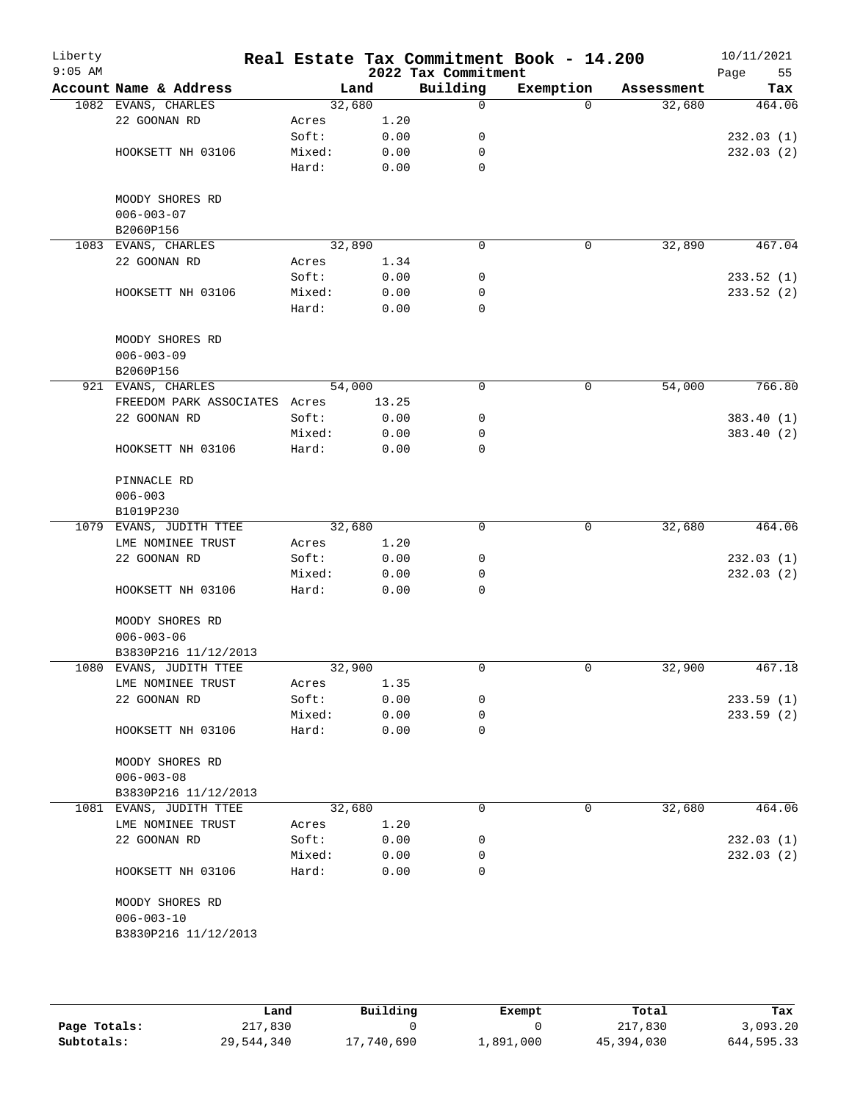| Liberty<br>$9:05$ AM |                               |        |       | 2022 Tax Commitment | Real Estate Tax Commitment Book - 14.200 |            | 10/11/2021<br>Page<br>55 |
|----------------------|-------------------------------|--------|-------|---------------------|------------------------------------------|------------|--------------------------|
|                      | Account Name & Address        |        | Land  | Building            | Exemption                                | Assessment | Tax                      |
|                      | 1082 EVANS, CHARLES           | 32,680 |       | 0                   | $\Omega$                                 | 32,680     | 464.06                   |
|                      | 22 GOONAN RD                  | Acres  | 1.20  |                     |                                          |            |                          |
|                      |                               | Soft:  | 0.00  | 0                   |                                          |            | 232.03(1)                |
|                      | HOOKSETT NH 03106             | Mixed: | 0.00  | 0                   |                                          |            | 232.03(2)                |
|                      |                               | Hard:  | 0.00  | 0                   |                                          |            |                          |
|                      | MOODY SHORES RD               |        |       |                     |                                          |            |                          |
|                      | $006 - 003 - 07$              |        |       |                     |                                          |            |                          |
|                      | B2060P156                     |        |       |                     |                                          |            |                          |
|                      | 1083 EVANS, CHARLES           | 32,890 |       | $\mathbf 0$         | 0                                        | 32,890     | 467.04                   |
|                      | 22 GOONAN RD                  | Acres  | 1.34  |                     |                                          |            |                          |
|                      |                               | Soft:  | 0.00  | 0                   |                                          |            | 233.52(1)                |
|                      | HOOKSETT NH 03106             | Mixed: | 0.00  | 0                   |                                          |            | 233.52 (2)               |
|                      |                               | Hard:  | 0.00  | $\mathbf 0$         |                                          |            |                          |
|                      | MOODY SHORES RD               |        |       |                     |                                          |            |                          |
|                      | $006 - 003 - 09$              |        |       |                     |                                          |            |                          |
|                      | B2060P156                     |        |       |                     |                                          |            |                          |
|                      | 921 EVANS, CHARLES            | 54,000 |       | 0                   | 0                                        | 54,000     | 766.80                   |
|                      | FREEDOM PARK ASSOCIATES Acres |        | 13.25 |                     |                                          |            |                          |
|                      | 22 GOONAN RD                  | Soft:  | 0.00  | 0                   |                                          |            | 383.40(1)                |
|                      |                               | Mixed: | 0.00  | 0                   |                                          |            | 383.40 (2)               |
|                      | HOOKSETT NH 03106             | Hard:  | 0.00  | 0                   |                                          |            |                          |
|                      | PINNACLE RD                   |        |       |                     |                                          |            |                          |
|                      | $006 - 003$                   |        |       |                     |                                          |            |                          |
|                      | B1019P230                     |        |       |                     |                                          |            |                          |
|                      | 1079 EVANS, JUDITH TTEE       | 32,680 |       | $\mathbf 0$         | 0                                        | 32,680     | 464.06                   |
|                      | LME NOMINEE TRUST             | Acres  | 1.20  |                     |                                          |            |                          |
|                      | 22 GOONAN RD                  | Soft:  | 0.00  | 0                   |                                          |            | 232.03(1)                |
|                      |                               | Mixed: | 0.00  | 0                   |                                          |            | 232.03(2)                |
|                      | HOOKSETT NH 03106             | Hard:  | 0.00  | 0                   |                                          |            |                          |
|                      | MOODY SHORES RD               |        |       |                     |                                          |            |                          |
|                      | $006 - 003 - 06$              |        |       |                     |                                          |            |                          |
|                      | B3830P216 11/12/2013          |        |       |                     |                                          |            |                          |
|                      | 1080 EVANS, JUDITH TTEE       | 32,900 |       | 0                   | 0                                        | 32,900     | 467.18                   |
|                      | LME NOMINEE TRUST             | Acres  | 1.35  |                     |                                          |            |                          |
|                      | 22 GOONAN RD                  | Soft:  | 0.00  | 0                   |                                          |            | 233.59(1)                |
|                      |                               | Mixed: | 0.00  | 0                   |                                          |            | 233.59(2)                |
|                      | HOOKSETT NH 03106             | Hard:  | 0.00  | 0                   |                                          |            |                          |
|                      | MOODY SHORES RD               |        |       |                     |                                          |            |                          |
|                      | $006 - 003 - 08$              |        |       |                     |                                          |            |                          |
|                      | B3830P216 11/12/2013          |        |       |                     |                                          |            |                          |
|                      | 1081 EVANS, JUDITH TTEE       | 32,680 |       | 0                   | 0                                        | 32,680     | 464.06                   |
|                      | LME NOMINEE TRUST             | Acres  | 1.20  |                     |                                          |            |                          |
|                      | 22 GOONAN RD                  | Soft:  | 0.00  | 0                   |                                          |            | 232.03(1)                |
|                      |                               | Mixed: | 0.00  | 0                   |                                          |            | 232.03(2)                |
|                      | HOOKSETT NH 03106             | Hard:  | 0.00  | 0                   |                                          |            |                          |
|                      | MOODY SHORES RD               |        |       |                     |                                          |            |                          |
|                      | $006 - 003 - 10$              |        |       |                     |                                          |            |                          |
|                      | B3830P216 11/12/2013          |        |       |                     |                                          |            |                          |
|                      |                               |        |       |                     |                                          |            |                          |

|              | Land       | Building   | Exempt    | Total      | Tax        |
|--------------|------------|------------|-----------|------------|------------|
| Page Totals: | 217,830    |            |           | 217,830    | 3.093.20   |
| Subtotals:   | 29,544,340 | 17,740,690 | 1,891,000 | 45,394,030 | 644,595.33 |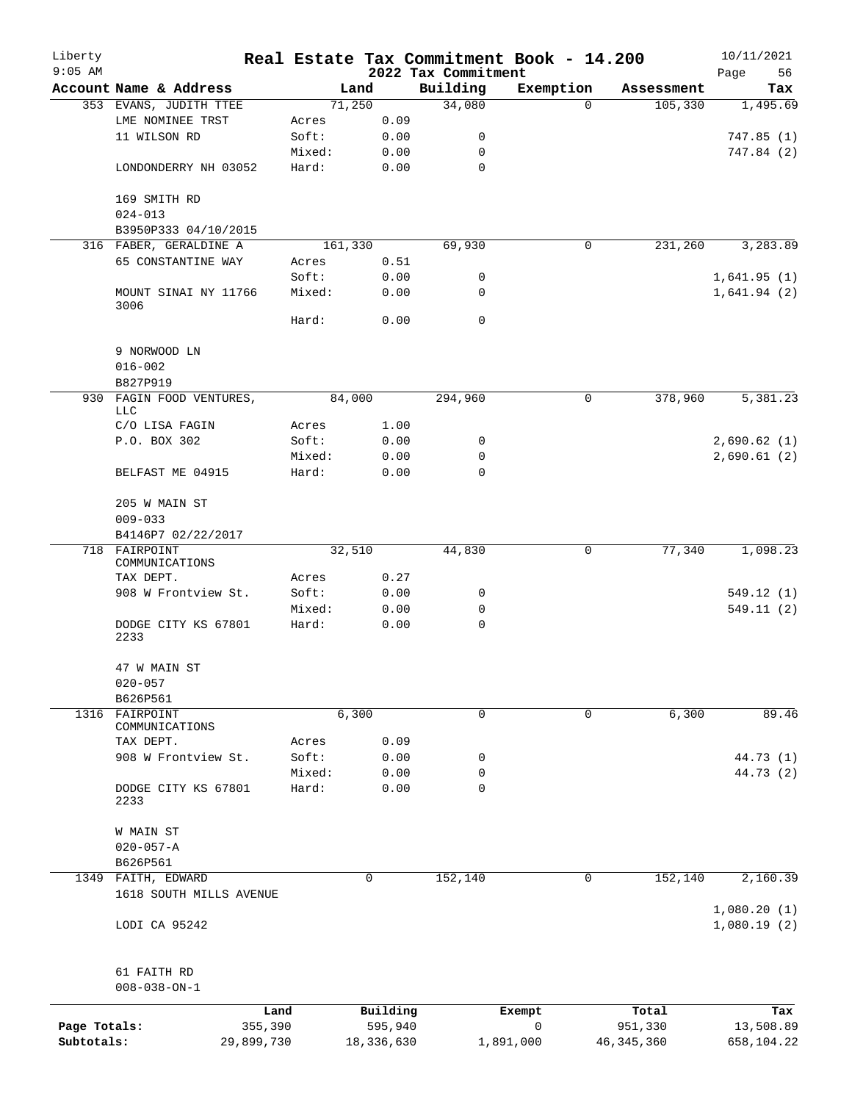| Liberty      |                                        |        |          |                                 | Real Estate Tax Commitment Book - 14.200 |            | 10/11/2021        |
|--------------|----------------------------------------|--------|----------|---------------------------------|------------------------------------------|------------|-------------------|
| $9:05$ AM    | Account Name & Address                 |        | Land     | 2022 Tax Commitment<br>Building | Exemption                                | Assessment | Page<br>56<br>Tax |
|              | 353 EVANS, JUDITH TTEE                 |        | 71,250   | 34,080                          | 0                                        | 105,330    | 1,495.69          |
|              | LME NOMINEE TRST                       | Acres  | 0.09     |                                 |                                          |            |                   |
|              | 11 WILSON RD                           | Soft:  | 0.00     | 0                               |                                          |            | 747.85(1)         |
|              |                                        | Mixed: | 0.00     | 0                               |                                          |            | 747.84 (2)        |
|              | LONDONDERRY NH 03052                   | Hard:  | 0.00     | $\mathbf 0$                     |                                          |            |                   |
|              | 169 SMITH RD                           |        |          |                                 |                                          |            |                   |
|              | $024 - 013$                            |        |          |                                 |                                          |            |                   |
|              | B3950P333 04/10/2015                   |        |          |                                 |                                          |            |                   |
|              | 316 FABER, GERALDINE A                 |        | 161,330  | 69,930                          | 0                                        | 231,260    | 3,283.89          |
|              | 65 CONSTANTINE WAY                     | Acres  | 0.51     |                                 |                                          |            |                   |
|              |                                        | Soft:  | 0.00     | 0                               |                                          |            | 1,641.95(1)       |
|              | MOUNT SINAI NY 11766<br>3006           | Mixed: | 0.00     | 0                               |                                          |            | 1,641.94(2)       |
|              |                                        | Hard:  | 0.00     | 0                               |                                          |            |                   |
|              | 9 NORWOOD LN                           |        |          |                                 |                                          |            |                   |
|              | $016 - 002$<br>B827P919                |        |          |                                 |                                          |            |                   |
|              | 930 FAGIN FOOD VENTURES,<br><b>LLC</b> |        | 84,000   | 294,960                         | 0                                        | 378,960    | 5,381.23          |
|              | C/O LISA FAGIN                         | Acres  | 1.00     |                                 |                                          |            |                   |
|              | P.O. BOX 302                           | Soft:  | 0.00     | 0                               |                                          |            | 2,690.62(1)       |
|              |                                        | Mixed: | 0.00     | 0                               |                                          |            | 2,690.61(2)       |
|              | BELFAST ME 04915                       | Hard:  | 0.00     | $\mathbf 0$                     |                                          |            |                   |
|              | 205 W MAIN ST<br>$009 - 033$           |        |          |                                 |                                          |            |                   |
|              | B4146P7 02/22/2017                     |        |          |                                 |                                          |            |                   |
|              | 718 FAIRPOINT                          |        | 32,510   | 44,830                          | 0                                        | 77,340     | 1,098.23          |
|              | COMMUNICATIONS<br>TAX DEPT.            | Acres  | 0.27     |                                 |                                          |            |                   |
|              | 908 W Frontview St.                    | Soft:  | 0.00     | 0                               |                                          |            | 549.12(1)         |
|              |                                        | Mixed: | 0.00     | 0                               |                                          |            | 549.11(2)         |
|              | DODGE CITY KS 67801<br>2233            | Hard:  | 0.00     | $\mathbf 0$                     |                                          |            |                   |
|              | 47 W MAIN ST<br>$020 - 057$            |        |          |                                 |                                          |            |                   |
|              | B626P561                               |        |          |                                 |                                          |            |                   |
| 1316         | FAIRPOINT                              |        | 6,300    | 0                               | 0                                        | 6,300      | 89.46             |
|              | COMMUNICATIONS                         |        |          |                                 |                                          |            |                   |
|              | TAX DEPT.                              | Acres  | 0.09     |                                 |                                          |            |                   |
|              | 908 W Frontview St.                    | Soft:  | 0.00     | 0                               |                                          |            | 44.73 (1)         |
|              |                                        | Mixed: | 0.00     | 0                               |                                          |            | 44.73 (2)         |
|              | DODGE CITY KS 67801<br>2233            | Hard:  | 0.00     | 0                               |                                          |            |                   |
|              | W MAIN ST                              |        |          |                                 |                                          |            |                   |
|              | $020 - 057 - A$                        |        |          |                                 |                                          |            |                   |
|              | B626P561                               |        |          |                                 |                                          |            |                   |
|              | 1349 FAITH, EDWARD                     |        | 0        | 152,140                         | 0                                        | 152,140    | 2,160.39          |
|              | 1618 SOUTH MILLS AVENUE                |        |          |                                 |                                          |            | 1,080.20(1)       |
|              | LODI CA 95242                          |        |          |                                 |                                          |            | 1,080.19(2)       |
|              | 61 FAITH RD                            |        |          |                                 |                                          |            |                   |
|              | $008 - 038 - ON - 1$                   |        |          |                                 |                                          |            |                   |
|              | Land                                   |        | Building |                                 | Exempt                                   | Total      | Tax               |
| Page Totals: | 355,390                                |        | 595,940  |                                 | 0                                        | 951,330    | 13,508.89         |
|              |                                        |        |          |                                 |                                          |            |                   |

**Subtotals:** 29,899,730 18,336,630 1,891,000 46,345,360 658,104.22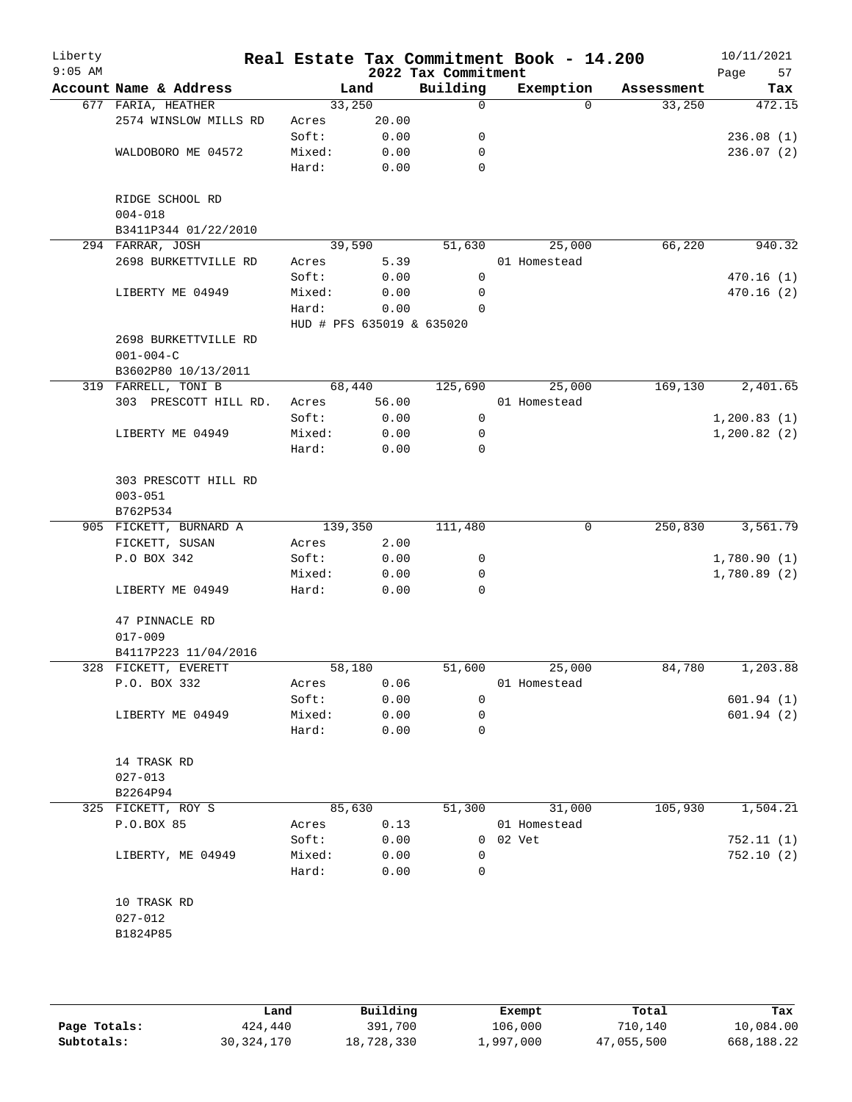| Liberty<br>$9:05$ AM |                                |        |                           | Real Estate Tax Commitment Book - 14.200<br>2022 Tax Commitment |              |          |            | 10/11/2021<br>Page<br>57 |
|----------------------|--------------------------------|--------|---------------------------|-----------------------------------------------------------------|--------------|----------|------------|--------------------------|
|                      | Account Name & Address         |        | Land                      | Building                                                        | Exemption    |          | Assessment | Tax                      |
|                      | 677 FARIA, HEATHER             |        | 33,250                    | 0                                                               |              | $\Omega$ | 33,250     | 472.15                   |
|                      | 2574 WINSLOW MILLS RD          | Acres  | 20.00                     |                                                                 |              |          |            |                          |
|                      |                                | Soft:  | 0.00                      | 0                                                               |              |          |            | 236.08(1)                |
|                      | WALDOBORO ME 04572             | Mixed: | 0.00                      | 0                                                               |              |          |            | 236.07(2)                |
|                      |                                | Hard:  | 0.00                      | 0                                                               |              |          |            |                          |
|                      | RIDGE SCHOOL RD<br>$004 - 018$ |        |                           |                                                                 |              |          |            |                          |
|                      | B3411P344 01/22/2010           |        |                           |                                                                 |              |          |            |                          |
|                      | 294 FARRAR, JOSH               |        | 39,590                    | 51,630                                                          |              | 25,000   | 66,220     | 940.32                   |
|                      | 2698 BURKETTVILLE RD           | Acres  | 5.39                      |                                                                 | 01 Homestead |          |            |                          |
|                      |                                | Soft:  | 0.00                      | 0                                                               |              |          |            | 470.16(1)                |
|                      | LIBERTY ME 04949               | Mixed: | 0.00                      | 0                                                               |              |          |            | 470.16(2)                |
|                      |                                | Hard:  | 0.00                      | $\Omega$                                                        |              |          |            |                          |
|                      |                                |        | HUD # PFS 635019 & 635020 |                                                                 |              |          |            |                          |
|                      | 2698 BURKETTVILLE RD           |        |                           |                                                                 |              |          |            |                          |
|                      | $001 - 004 - C$                |        |                           |                                                                 |              |          |            |                          |
|                      | B3602P80 10/13/2011            |        |                           |                                                                 |              |          |            |                          |
|                      | 319 FARRELL, TONI B            |        | 68,440                    | 125,690                                                         |              | 25,000   | 169,130    | 2,401.65                 |
|                      | 303 PRESCOTT HILL RD.          | Acres  | 56.00                     |                                                                 | 01 Homestead |          |            |                          |
|                      |                                | Soft:  | 0.00                      | 0                                                               |              |          |            | 1, 200.83(1)             |
|                      | LIBERTY ME 04949               | Mixed: | 0.00                      | 0                                                               |              |          |            | 1,200.82(2)              |
|                      |                                | Hard:  | 0.00                      | $\Omega$                                                        |              |          |            |                          |
|                      | 303 PRESCOTT HILL RD           |        |                           |                                                                 |              |          |            |                          |
|                      | $003 - 051$                    |        |                           |                                                                 |              |          |            |                          |
|                      | B762P534                       |        |                           |                                                                 |              |          |            |                          |
|                      | 905 FICKETT, BURNARD A         |        | 139,350                   | 111,480                                                         |              | 0        | 250,830    | 3,561.79                 |
|                      | FICKETT, SUSAN                 | Acres  | 2.00                      |                                                                 |              |          |            |                          |
|                      | P.O BOX 342                    | Soft:  | 0.00                      | 0                                                               |              |          |            | 1,780.90(1)              |
|                      |                                | Mixed: | 0.00                      | 0                                                               |              |          |            | 1,780.89(2)              |
|                      | LIBERTY ME 04949               | Hard:  | 0.00                      | $\Omega$                                                        |              |          |            |                          |
|                      | 47 PINNACLE RD                 |        |                           |                                                                 |              |          |            |                          |
|                      | $017 - 009$                    |        |                           |                                                                 |              |          |            |                          |
|                      | B4117P223 11/04/2016           |        |                           |                                                                 |              |          |            |                          |
|                      | 328 FICKETT, EVERETT           |        | 58,180                    | 51,600                                                          |              | 25,000   | 84,780     | 1,203.88                 |
|                      | P.O. BOX 332                   | Acres  | 0.06                      |                                                                 | 01 Homestead |          |            |                          |
|                      |                                | Soft:  | 0.00                      | 0                                                               |              |          |            | 601.94(1)                |
|                      | LIBERTY ME 04949               | Mixed: | 0.00                      | 0                                                               |              |          |            | 601.94(2)                |
|                      |                                | Hard:  | 0.00                      | 0                                                               |              |          |            |                          |
|                      | 14 TRASK RD                    |        |                           |                                                                 |              |          |            |                          |
|                      | $027 - 013$                    |        |                           |                                                                 |              |          |            |                          |
|                      | B2264P94                       |        |                           |                                                                 |              |          |            |                          |
|                      | 325 FICKETT, ROY S             |        | 85,630                    | 51,300                                                          |              | 31,000   | 105,930    | 1,504.21                 |
|                      | P.O.BOX 85                     | Acres  | 0.13                      |                                                                 | 01 Homestead |          |            |                          |
|                      |                                | Soft:  | 0.00                      |                                                                 | 0 02 Vet     |          |            | 752.11(1)                |
|                      | LIBERTY, ME 04949              | Mixed: | 0.00                      | 0                                                               |              |          |            | 752.10(2)                |
|                      |                                | Hard:  | 0.00                      | 0                                                               |              |          |            |                          |
|                      | 10 TRASK RD                    |        |                           |                                                                 |              |          |            |                          |
|                      | $027 - 012$                    |        |                           |                                                                 |              |          |            |                          |
|                      | B1824P85                       |        |                           |                                                                 |              |          |            |                          |
|                      |                                |        |                           |                                                                 |              |          |            |                          |
|                      |                                |        |                           |                                                                 |              |          |            |                          |
|                      |                                |        |                           |                                                                 |              |          |            |                          |

|              | Land       | Building   | Exempt    | Total      | Tax        |
|--------------|------------|------------|-----------|------------|------------|
| Page Totals: | 424,440    | 391,700    | 106,000   | 710,140    | 10,084.00  |
| Subtotals:   | 30,324,170 | 18,728,330 | 1,997,000 | 47,055,500 | 668,188.22 |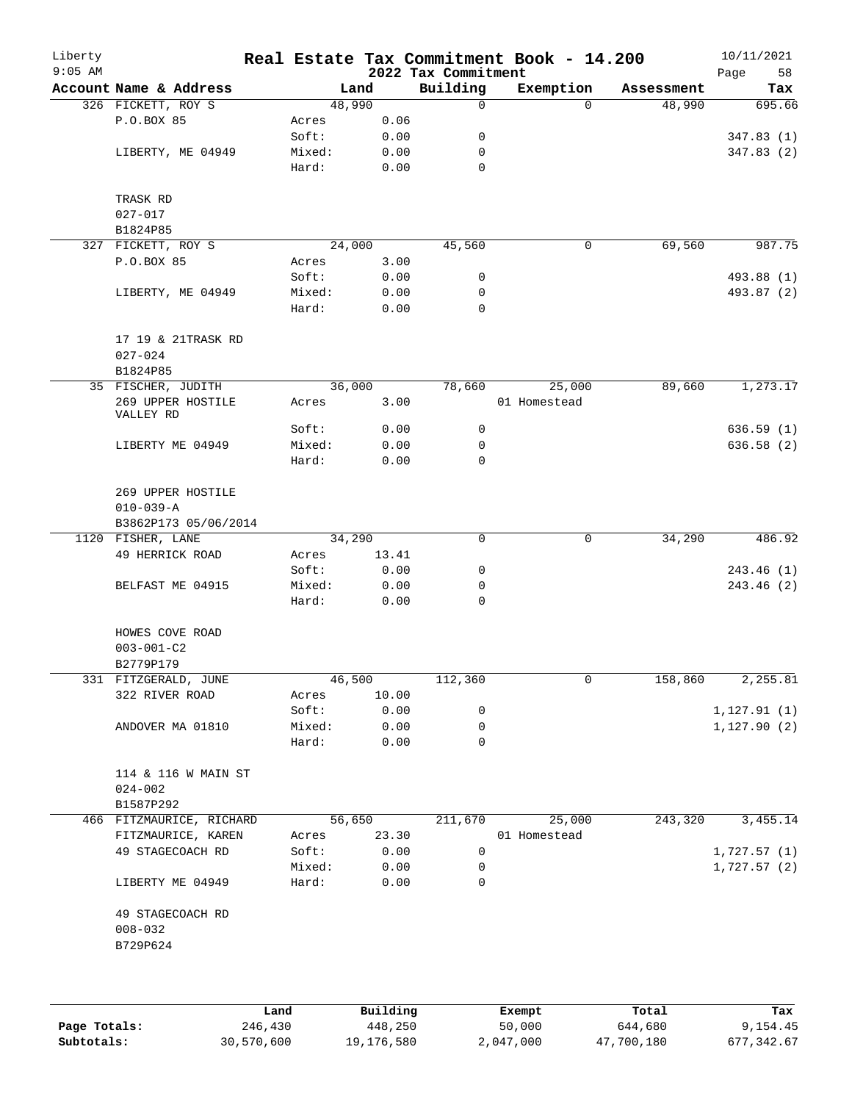| Liberty<br>$9:05$ AM |                                         |                 |              | 2022 Tax Commitment | Real Estate Tax Commitment Book - 14.200 |            | 10/11/2021<br>Page<br>58 |
|----------------------|-----------------------------------------|-----------------|--------------|---------------------|------------------------------------------|------------|--------------------------|
|                      | Account Name & Address                  |                 | Land         | Building            | Exemption                                | Assessment | Tax                      |
|                      | 326 FICKETT, ROY S                      |                 | 48,990       | $\mathsf{O}$        | $\Omega$                                 | 48,990     | 695.66                   |
|                      | P.O.BOX 85                              | Acres           | 0.06         |                     |                                          |            |                          |
|                      |                                         | Soft:           | 0.00         | 0                   |                                          |            | 347.83(1)                |
|                      | LIBERTY, ME 04949                       | Mixed:          | 0.00         | 0                   |                                          |            | 347.83(2)                |
|                      |                                         | Hard:           | 0.00         | $\mathbf 0$         |                                          |            |                          |
|                      | TRASK RD                                |                 |              |                     |                                          |            |                          |
|                      | $027 - 017$                             |                 |              |                     |                                          |            |                          |
|                      | B1824P85                                |                 |              |                     |                                          |            |                          |
|                      | 327 FICKETT, ROY S                      |                 | 24,000       | 45,560              | $\mathbf 0$                              | 69,560     | 987.75                   |
|                      | P.O.BOX 85                              | Acres           | 3.00         |                     |                                          |            |                          |
|                      |                                         | Soft:           | 0.00         | 0                   |                                          |            | 493.88 (1)               |
|                      | LIBERTY, ME 04949                       | Mixed:          | 0.00         | 0                   |                                          |            | 493.87 (2)               |
|                      |                                         | Hard:           | 0.00         | $\mathbf 0$         |                                          |            |                          |
|                      | 17 19 & 21TRASK RD                      |                 |              |                     |                                          |            |                          |
|                      | $027 - 024$                             |                 |              |                     |                                          |            |                          |
|                      | B1824P85                                |                 |              |                     |                                          |            |                          |
|                      | 35 FISCHER, JUDITH                      |                 | 36,000       | 78,660              | 25,000                                   | 89,660     | 1,273.17                 |
|                      | 269 UPPER HOSTILE                       | Acres           | 3.00         |                     | 01 Homestead                             |            |                          |
|                      | VALLEY RD                               |                 | 0.00         | 0                   |                                          |            |                          |
|                      |                                         | Soft:           |              |                     |                                          |            | 636.59(1)                |
|                      | LIBERTY ME 04949                        | Mixed:          | 0.00         | 0                   |                                          |            | 636.58 (2)               |
|                      |                                         | Hard:           | 0.00         | $\mathbf 0$         |                                          |            |                          |
|                      | 269 UPPER HOSTILE                       |                 |              |                     |                                          |            |                          |
|                      | $010 - 039 - A$<br>B3862P173 05/06/2014 |                 |              |                     |                                          |            |                          |
|                      | 1120 FISHER, LANE                       |                 | 34,290       | $\mathbf 0$         | $\mathsf{O}$                             | 34,290     | 486.92                   |
|                      | 49 HERRICK ROAD                         | Acres           | 13.41        |                     |                                          |            |                          |
|                      |                                         | Soft:           | 0.00         | 0                   |                                          |            | 243.46 (1)               |
|                      | BELFAST ME 04915                        | Mixed:          | 0.00         | 0                   |                                          |            | 243.46 (2)               |
|                      |                                         | Hard:           | 0.00         | $\mathbf 0$         |                                          |            |                          |
|                      | HOWES COVE ROAD                         |                 |              |                     |                                          |            |                          |
|                      | $003 - 001 - C2$                        |                 |              |                     |                                          |            |                          |
|                      | B2779P179                               |                 |              |                     |                                          |            |                          |
|                      | 331 FITZGERALD, JUNE                    |                 | 46,500       | 112,360             | 0                                        | 158,860    | 2,255.81                 |
|                      | 322 RIVER ROAD                          | Acres           | 10.00        |                     |                                          |            |                          |
|                      |                                         | Soft:           | 0.00         | 0                   |                                          |            | 1, 127.91(1)             |
|                      | ANDOVER MA 01810                        | Mixed:          | 0.00         | 0                   |                                          |            | 1, 127.90(2)             |
|                      |                                         | Hard:           | 0.00         | 0                   |                                          |            |                          |
|                      | 114 & 116 W MAIN ST                     |                 |              |                     |                                          |            |                          |
|                      | $024 - 002$                             |                 |              |                     |                                          |            |                          |
|                      | B1587P292                               |                 |              |                     |                                          |            |                          |
|                      | 466 FITZMAURICE, RICHARD                |                 | 56,650       | 211,670             | 25,000                                   | 243,320    | 3,455.14                 |
|                      | FITZMAURICE, KAREN                      | Acres           | 23.30        |                     | 01 Homestead                             |            |                          |
|                      | 49 STAGECOACH RD                        |                 |              | 0                   |                                          |            |                          |
|                      |                                         | Soft:           | 0.00         |                     |                                          |            | 1,727.57(1)              |
|                      | LIBERTY ME 04949                        | Mixed:<br>Hard: | 0.00<br>0.00 | 0<br>0              |                                          |            | 1,727.57(2)              |
|                      | 49 STAGECOACH RD                        |                 |              |                     |                                          |            |                          |
|                      | $008 - 032$                             |                 |              |                     |                                          |            |                          |
|                      |                                         |                 |              |                     |                                          |            |                          |
|                      | B729P624                                |                 |              |                     |                                          |            |                          |
|                      |                                         |                 |              |                     |                                          |            |                          |

|              | Land       | Building   | Exempt    | Total      | Tax        |
|--------------|------------|------------|-----------|------------|------------|
| Page Totals: | 246,430    | 448,250    | 50,000    | 644,680    | 9,154.45   |
| Subtotals:   | 30,570,600 | 19,176,580 | 2,047,000 | 47,700,180 | 677,342.67 |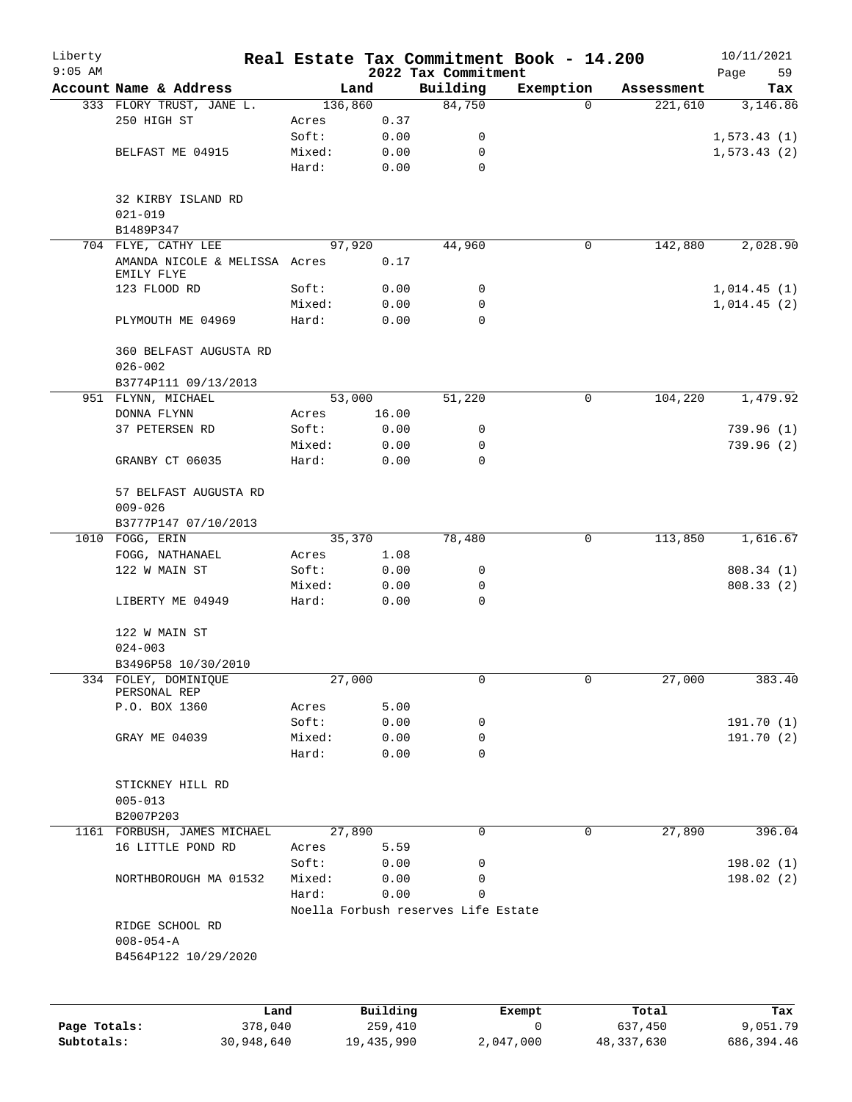| Liberty   |                                             |         |          |                                     | Real Estate Tax Commitment Book - 14.200 |            | 10/11/2021        |
|-----------|---------------------------------------------|---------|----------|-------------------------------------|------------------------------------------|------------|-------------------|
| $9:05$ AM | Account Name & Address                      |         | Land     | 2022 Tax Commitment<br>Building     | Exemption                                | Assessment | 59<br>Page<br>Tax |
|           | 333 FLORY TRUST, JANE L.                    | 136,860 |          | 84,750                              | $\Omega$                                 | 221,610    | 3,146.86          |
|           | 250 HIGH ST                                 | Acres   | 0.37     |                                     |                                          |            |                   |
|           |                                             | Soft:   | 0.00     | 0                                   |                                          |            | 1,573.43(1)       |
|           | BELFAST ME 04915                            | Mixed:  | 0.00     | 0                                   |                                          |            | 1,573.43(2)       |
|           |                                             | Hard:   | 0.00     | 0                                   |                                          |            |                   |
|           | 32 KIRBY ISLAND RD<br>$021 - 019$           |         |          |                                     |                                          |            |                   |
|           | B1489P347                                   |         |          |                                     |                                          |            |                   |
|           | 704 FLYE, CATHY LEE                         |         | 97,920   | 44,960                              | $\mathbf 0$                              | 142,880    | 2,028.90          |
|           | AMANDA NICOLE & MELISSA Acres<br>EMILY FLYE |         | 0.17     |                                     |                                          |            |                   |
|           | 123 FLOOD RD                                | Soft:   | 0.00     | 0                                   |                                          |            | 1,014.45(1)       |
|           |                                             | Mixed:  | 0.00     | 0                                   |                                          |            | 1,014.45(2)       |
|           | PLYMOUTH ME 04969                           | Hard:   | 0.00     | 0                                   |                                          |            |                   |
|           | 360 BELFAST AUGUSTA RD                      |         |          |                                     |                                          |            |                   |
|           | $026 - 002$                                 |         |          |                                     |                                          |            |                   |
|           | B3774P111 09/13/2013<br>951 FLYNN, MICHAEL  |         | 53,000   | 51,220                              | $\mathbf 0$                              | 104,220    | 1,479.92          |
|           | DONNA FLYNN                                 | Acres   | 16.00    |                                     |                                          |            |                   |
|           | 37 PETERSEN RD                              | Soft:   | 0.00     | 0                                   |                                          |            | 739.96(1)         |
|           |                                             | Mixed:  | 0.00     | 0                                   |                                          |            | 739.96(2)         |
|           | GRANBY CT 06035                             | Hard:   | 0.00     | 0                                   |                                          |            |                   |
|           | 57 BELFAST AUGUSTA RD                       |         |          |                                     |                                          |            |                   |
|           | $009 - 026$                                 |         |          |                                     |                                          |            |                   |
|           | B3777P147 07/10/2013                        |         |          |                                     |                                          |            |                   |
|           | 1010 FOGG, ERIN                             |         | 35,370   | 78,480                              | 0                                        | 113,850    | 1,616.67          |
|           | FOGG, NATHANAEL                             | Acres   | 1.08     |                                     |                                          |            |                   |
|           | 122 W MAIN ST                               | Soft:   | 0.00     | 0                                   |                                          |            | 808.34 (1)        |
|           |                                             | Mixed:  | 0.00     | 0                                   |                                          |            | 808.33 (2)        |
|           | LIBERTY ME 04949                            | Hard:   | 0.00     | $\mathbf 0$                         |                                          |            |                   |
|           | 122 W MAIN ST                               |         |          |                                     |                                          |            |                   |
|           | $024 - 003$                                 |         |          |                                     |                                          |            |                   |
|           | B3496P58 10/30/2010                         |         |          |                                     |                                          |            |                   |
|           | 334 FOLEY, DOMINIQUE<br>PERSONAL REP        |         | 27,000   | 0                                   | 0                                        | 27,000     | 383.40            |
|           | P.O. BOX 1360                               | Acres   | 5.00     |                                     |                                          |            |                   |
|           |                                             | Soft:   | 0.00     | 0                                   |                                          |            | 191.70 (1)        |
|           | GRAY ME 04039                               | Mixed:  | 0.00     | 0                                   |                                          |            | 191.70(2)         |
|           |                                             | Hard:   | 0.00     | 0                                   |                                          |            |                   |
|           | STICKNEY HILL RD<br>$005 - 013$             |         |          |                                     |                                          |            |                   |
|           | B2007P203                                   |         |          |                                     |                                          |            |                   |
|           | 1161 FORBUSH, JAMES MICHAEL                 |         | 27,890   | $\mathbf 0$                         | $\mathbf 0$                              | 27,890     | 396.04            |
|           | 16 LITTLE POND RD                           | Acres   | 5.59     |                                     |                                          |            |                   |
|           |                                             | Soft:   | 0.00     | 0                                   |                                          |            | 198.02(1)         |
|           | NORTHBOROUGH MA 01532                       | Mixed:  | 0.00     | 0                                   |                                          |            | 198.02(2)         |
|           |                                             | Hard:   | 0.00     | 0                                   |                                          |            |                   |
|           |                                             |         |          | Noella Forbush reserves Life Estate |                                          |            |                   |
|           | RIDGE SCHOOL RD                             |         |          |                                     |                                          |            |                   |
|           | $008 - 054 - A$<br>B4564P122 10/29/2020     |         |          |                                     |                                          |            |                   |
|           |                                             |         |          |                                     |                                          |            |                   |
|           | Land                                        |         | Building |                                     | Exempt                                   | Total      | Tax               |

|              | uanu       | <b>DULLUILLY</b> | <b>BACILDU</b> | TOCAT      | 19A        |
|--------------|------------|------------------|----------------|------------|------------|
| Page Totals: | 378,040    | 259,410          |                | 637,450    | 9,051.79   |
| Subtotals:   | 30,948,640 | 19,435,990       | 2,047,000      | 48,337,630 | 686,394.46 |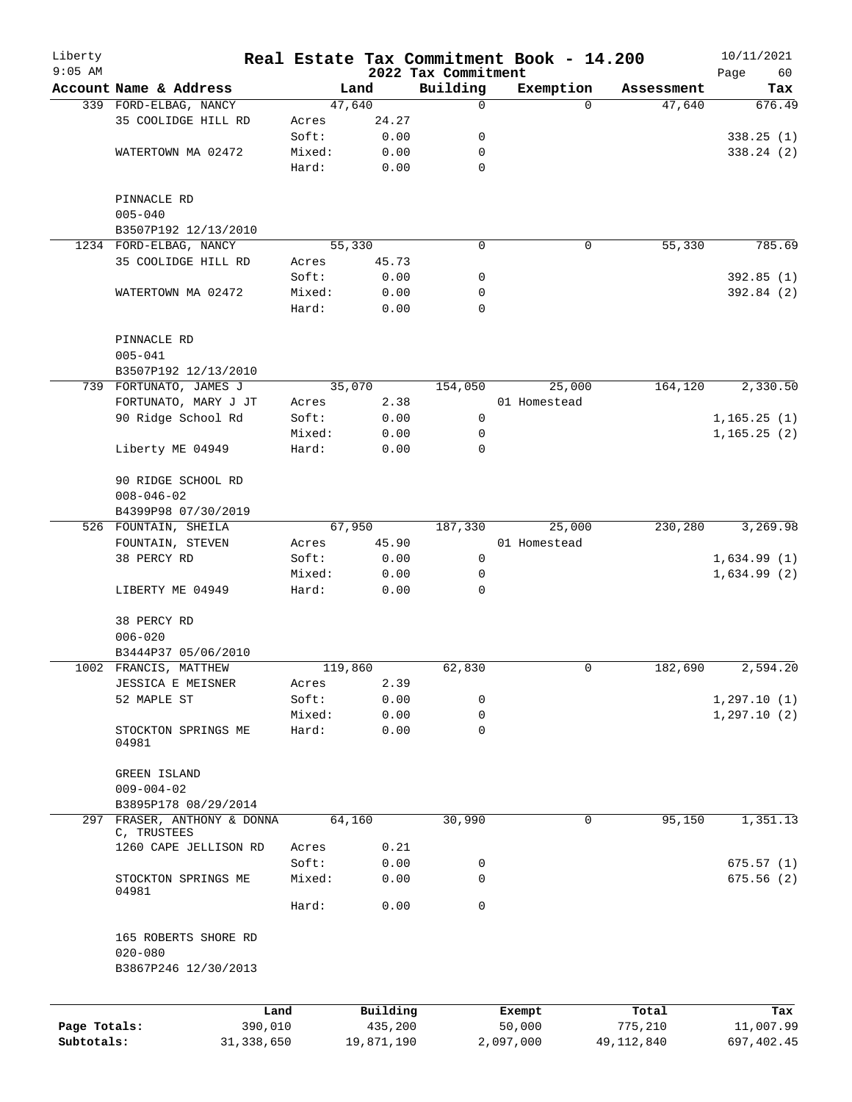| Liberty<br>$9:05$ AM |                                        |        |            | 2022 Tax Commitment | Real Estate Tax Commitment Book - 14.200 |              | 10/11/2021        |
|----------------------|----------------------------------------|--------|------------|---------------------|------------------------------------------|--------------|-------------------|
|                      | Account Name & Address                 |        | Land       | Building            | Exemption                                | Assessment   | Page<br>60<br>Tax |
|                      | 339 FORD-ELBAG, NANCY                  |        | 47,640     | 0                   | $\Omega$                                 | 47,640       | 676.49            |
|                      | 35 COOLIDGE HILL RD                    | Acres  | 24.27      |                     |                                          |              |                   |
|                      |                                        | Soft:  | 0.00       | 0                   |                                          |              | 338.25(1)         |
|                      | WATERTOWN MA 02472                     | Mixed: | 0.00       | 0                   |                                          |              | 338.24(2)         |
|                      |                                        | Hard:  | 0.00       | $\mathbf 0$         |                                          |              |                   |
|                      | PINNACLE RD                            |        |            |                     |                                          |              |                   |
|                      | $005 - 040$                            |        |            |                     |                                          |              |                   |
|                      | B3507P192 12/13/2010                   |        |            |                     |                                          |              |                   |
|                      | 1234 FORD-ELBAG, NANCY                 |        | 55,330     | $\mathbf 0$         | 0                                        | 55,330       | 785.69            |
|                      | 35 COOLIDGE HILL RD                    | Acres  | 45.73      |                     |                                          |              |                   |
|                      |                                        | Soft:  | 0.00       | 0                   |                                          |              | 392.85(1)         |
|                      | WATERTOWN MA 02472                     | Mixed: | 0.00       | 0                   |                                          |              | 392.84 (2)        |
|                      |                                        | Hard:  | 0.00       | $\mathbf 0$         |                                          |              |                   |
|                      | PINNACLE RD                            |        |            |                     |                                          |              |                   |
|                      | $005 - 041$                            |        |            |                     |                                          |              |                   |
|                      | B3507P192 12/13/2010                   |        |            |                     |                                          |              |                   |
|                      | 739 FORTUNATO, JAMES J                 |        | 35,070     | 154,050             | 25,000                                   | 164,120      | 2,330.50          |
|                      | FORTUNATO, MARY J JT                   | Acres  | 2.38       |                     | 01 Homestead                             |              |                   |
|                      | 90 Ridge School Rd                     | Soft:  | 0.00       | 0                   |                                          |              | 1, 165.25(1)      |
|                      |                                        | Mixed: | 0.00       | 0                   |                                          |              | 1, 165.25(2)      |
|                      | Liberty ME 04949                       | Hard:  | 0.00       | 0                   |                                          |              |                   |
|                      | 90 RIDGE SCHOOL RD                     |        |            |                     |                                          |              |                   |
|                      | $008 - 046 - 02$                       |        |            |                     |                                          |              |                   |
|                      | B4399P98 07/30/2019                    |        |            |                     |                                          |              |                   |
|                      | 526 FOUNTAIN, SHEILA                   |        | 67,950     | 187,330             | 25,000                                   | 230,280      | 3,269.98          |
|                      | FOUNTAIN, STEVEN                       | Acres  | 45.90      |                     | 01 Homestead                             |              |                   |
|                      | 38 PERCY RD                            | Soft:  | 0.00       | 0                   |                                          |              | 1,634.99(1)       |
|                      |                                        | Mixed: | 0.00       | 0                   |                                          |              | 1,634.99(2)       |
|                      | LIBERTY ME 04949                       | Hard:  | 0.00       | 0                   |                                          |              |                   |
|                      | 38 PERCY RD                            |        |            |                     |                                          |              |                   |
|                      | $006 - 020$                            |        |            |                     |                                          |              |                   |
|                      | B3444P37 05/06/2010                    |        |            |                     |                                          |              |                   |
|                      | 1002 FRANCIS, MATTHEW                  |        | 119,860    | 62,830              | 0                                        | 182,690      | 2,594.20          |
|                      | JESSICA E MEISNER                      | Acres  | 2.39       |                     |                                          |              |                   |
|                      | 52 MAPLE ST                            | Soft:  | 0.00       | 0                   |                                          |              | 1, 297.10(1)      |
|                      |                                        | Mixed: | 0.00       | 0                   |                                          |              | 1, 297.10(2)      |
|                      | STOCKTON SPRINGS ME<br>04981           | Hard:  | 0.00       | $\mathbf 0$         |                                          |              |                   |
|                      | GREEN ISLAND                           |        |            |                     |                                          |              |                   |
|                      | $009 - 004 - 02$                       |        |            |                     |                                          |              |                   |
|                      | B3895P178 08/29/2014                   |        |            |                     |                                          |              |                   |
| 297                  | FRASER, ANTHONY & DONNA<br>C, TRUSTEES |        | 64,160     | 30,990              | 0                                        | 95,150       | 1,351.13          |
|                      | 1260 CAPE JELLISON RD                  | Acres  | 0.21       |                     |                                          |              |                   |
|                      |                                        | Soft:  | 0.00       | 0                   |                                          |              | 675.57(1)         |
|                      | STOCKTON SPRINGS ME<br>04981           | Mixed: | 0.00       | 0                   |                                          |              | 675.56(2)         |
|                      |                                        | Hard:  | 0.00       | $\mathbf 0$         |                                          |              |                   |
|                      | 165 ROBERTS SHORE RD                   |        |            |                     |                                          |              |                   |
|                      | $020 - 080$                            |        |            |                     |                                          |              |                   |
|                      | B3867P246 12/30/2013                   |        |            |                     |                                          |              |                   |
|                      | Land                                   |        | Building   |                     | Exempt                                   | Total        | Tax               |
| Page Totals:         | 390,010                                |        | 435,200    |                     | 50,000                                   | 775,210      | 11,007.99         |
| Subtotals:           | 31, 338, 650                           |        | 19,871,190 |                     | 2,097,000                                | 49, 112, 840 | 697,402.45        |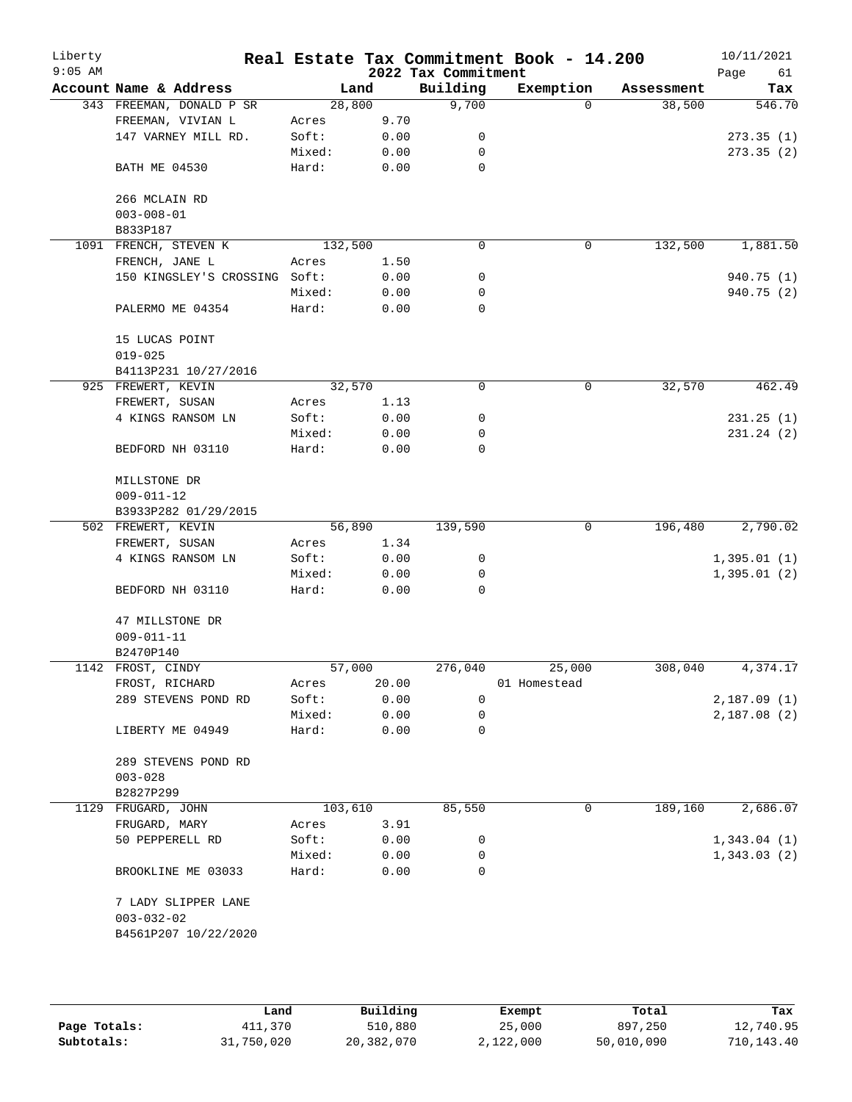| Liberty<br>$9:05$ AM |                               |         |       | 2022 Tax Commitment | Real Estate Tax Commitment Book - 14.200 |            | 10/11/2021<br>Page<br>61 |
|----------------------|-------------------------------|---------|-------|---------------------|------------------------------------------|------------|--------------------------|
|                      | Account Name & Address        | Land    |       | Building            | Exemption                                | Assessment | Tax                      |
|                      | 343 FREEMAN, DONALD P SR      | 28,800  |       | 9,700               | $\Omega$                                 | 38,500     | 546.70                   |
|                      | FREEMAN, VIVIAN L             | Acres   | 9.70  |                     |                                          |            |                          |
|                      | 147 VARNEY MILL RD.           | Soft:   | 0.00  | 0                   |                                          |            | 273.35(1)                |
|                      |                               | Mixed:  | 0.00  | 0                   |                                          |            | 273.35(2)                |
|                      | BATH ME 04530                 | Hard:   | 0.00  | 0                   |                                          |            |                          |
|                      | 266 MCLAIN RD                 |         |       |                     |                                          |            |                          |
|                      | $003 - 008 - 01$              |         |       |                     |                                          |            |                          |
|                      | B833P187                      |         |       |                     |                                          |            |                          |
|                      | 1091 FRENCH, STEVEN K         | 132,500 |       | $\mathbf 0$         | 0                                        | 132,500    | 1,881.50                 |
|                      | FRENCH, JANE L                | Acres   | 1.50  |                     |                                          |            |                          |
|                      | 150 KINGSLEY'S CROSSING Soft: |         | 0.00  | 0                   |                                          |            | 940.75 (1)               |
|                      |                               | Mixed:  | 0.00  | 0                   |                                          |            | 940.75 (2)               |
|                      | PALERMO ME 04354              | Hard:   | 0.00  | $\mathbf 0$         |                                          |            |                          |
|                      | 15 LUCAS POINT                |         |       |                     |                                          |            |                          |
|                      | $019 - 025$                   |         |       |                     |                                          |            |                          |
|                      | B4113P231 10/27/2016          |         |       |                     |                                          |            |                          |
|                      | 925 FREWERT, KEVIN            | 32,570  |       | 0                   | 0                                        | 32,570     | 462.49                   |
|                      | FREWERT, SUSAN                | Acres   | 1.13  |                     |                                          |            |                          |
|                      | 4 KINGS RANSOM LN             | Soft:   | 0.00  | 0                   |                                          |            | 231.25(1)                |
|                      |                               | Mixed:  | 0.00  | $\mathbf 0$         |                                          |            | 231.24 (2)               |
|                      | BEDFORD NH 03110              | Hard:   | 0.00  | 0                   |                                          |            |                          |
|                      | MILLSTONE DR                  |         |       |                     |                                          |            |                          |
|                      | $009 - 011 - 12$              |         |       |                     |                                          |            |                          |
|                      | B3933P282 01/29/2015          |         |       |                     |                                          |            |                          |
|                      | 502 FREWERT, KEVIN            | 56,890  |       | 139,590             | 0                                        | 196,480    | 2,790.02                 |
|                      | FREWERT, SUSAN                | Acres   | 1.34  |                     |                                          |            |                          |
|                      | 4 KINGS RANSOM LN             | Soft:   | 0.00  | 0                   |                                          |            | 1,395.01(1)              |
|                      |                               | Mixed:  | 0.00  | 0                   |                                          |            | 1,395.01(2)              |
|                      | BEDFORD NH 03110              | Hard:   | 0.00  | 0                   |                                          |            |                          |
|                      | 47 MILLSTONE DR               |         |       |                     |                                          |            |                          |
|                      | $009 - 011 - 11$              |         |       |                     |                                          |            |                          |
|                      | B2470P140                     |         |       |                     |                                          |            |                          |
|                      | 1142 FROST, CINDY             | 57,000  |       | 276,040             | 25,000                                   | 308,040    | 4,374.17                 |
|                      | FROST, RICHARD                | Acres   | 20.00 |                     | 01 Homestead                             |            |                          |
|                      | 289 STEVENS POND RD           | Soft:   | 0.00  | $\mathbf 0$         |                                          |            | 2,187.09(1)              |
|                      |                               | Mixed:  | 0.00  | 0                   |                                          |            | 2,187.08(2)              |
|                      | LIBERTY ME 04949              | Hard:   | 0.00  | 0                   |                                          |            |                          |
|                      | 289 STEVENS POND RD           |         |       |                     |                                          |            |                          |
|                      | $003 - 028$                   |         |       |                     |                                          |            |                          |
|                      | B2827P299                     |         |       |                     |                                          |            |                          |
|                      | 1129 FRUGARD, JOHN            | 103,610 |       | 85,550              | 0                                        | 189,160    | 2,686.07                 |
|                      | FRUGARD, MARY                 | Acres   | 3.91  |                     |                                          |            |                          |
|                      | 50 PEPPERELL RD               | Soft:   | 0.00  | 0                   |                                          |            | 1,343.04(1)              |
|                      |                               | Mixed:  | 0.00  | 0                   |                                          |            | 1,343.03(2)              |
|                      | BROOKLINE ME 03033            | Hard:   | 0.00  | 0                   |                                          |            |                          |
|                      | 7 LADY SLIPPER LANE           |         |       |                     |                                          |            |                          |
|                      | $003 - 032 - 02$              |         |       |                     |                                          |            |                          |
|                      | B4561P207 10/22/2020          |         |       |                     |                                          |            |                          |
|                      |                               |         |       |                     |                                          |            |                          |
|                      |                               |         |       |                     |                                          |            |                          |
|                      |                               |         |       |                     |                                          |            |                          |

|              | Land       | Building   | Exempt    | Total      | Tax        |
|--------------|------------|------------|-----------|------------|------------|
| Page Totals: | 411,370    | 510,880    | 25,000    | 897,250    | 12,740.95  |
| Subtotals:   | 31,750,020 | 20,382,070 | 2,122,000 | 50,010,090 | 710,143.40 |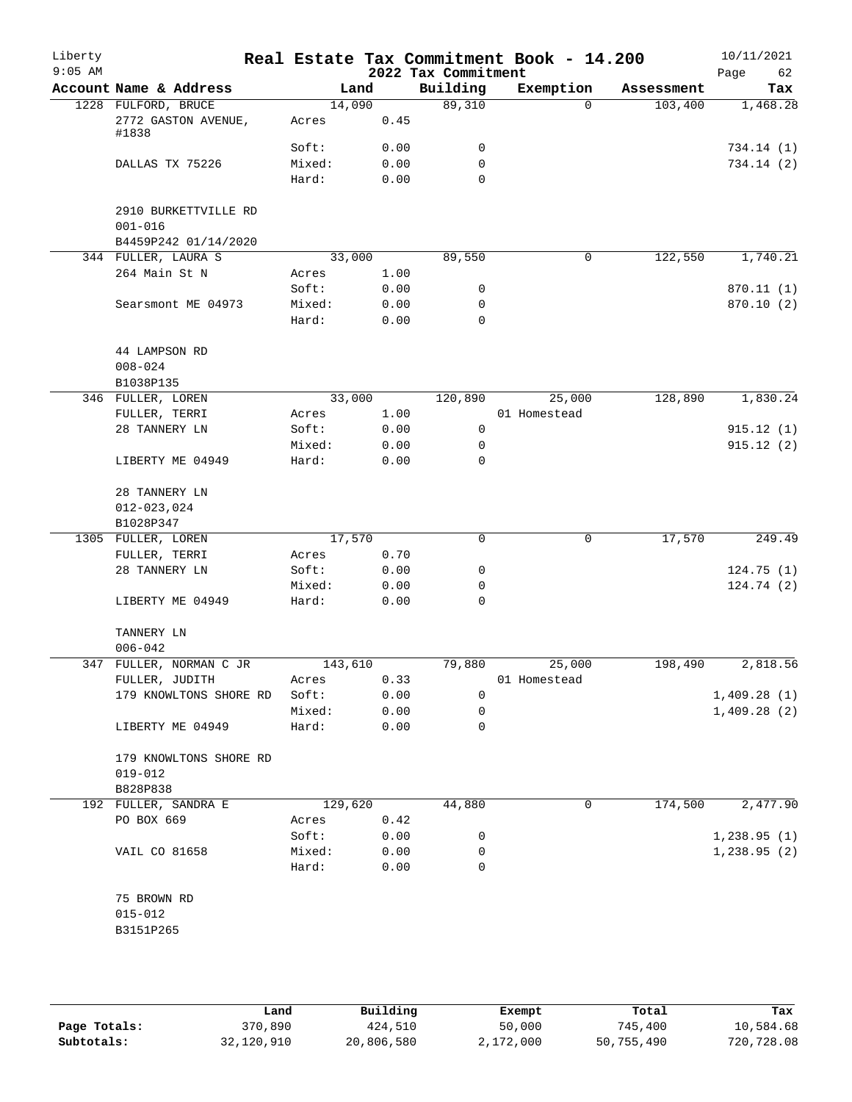| Liberty<br>$9:05$ AM |                                                             |                          |                      | 2022 Tax Commitment   | Real Estate Tax Commitment Book - 14.200 |            | 10/11/2021<br>62<br>Page |
|----------------------|-------------------------------------------------------------|--------------------------|----------------------|-----------------------|------------------------------------------|------------|--------------------------|
|                      | Account Name & Address                                      | Land                     |                      | Building              | Exemption                                | Assessment | Tax                      |
|                      | 1228 FULFORD, BRUCE<br>2772 GASTON AVENUE,<br>#1838         | 14,090<br>Acres          | 0.45                 | 89,310                | $\Omega$                                 | 103,400    | 1,468.28                 |
|                      | DALLAS TX 75226                                             | Soft:<br>Mixed:<br>Hard: | 0.00<br>0.00<br>0.00 | 0<br>$\mathbf 0$<br>0 |                                          |            | 734.14 (1)<br>734.14 (2) |
|                      | 2910 BURKETTVILLE RD<br>$001 - 016$<br>B4459P242 01/14/2020 |                          |                      |                       |                                          |            |                          |
|                      | 344 FULLER, LAURA S                                         | 33,000                   |                      | 89,550                | 0                                        | 122,550    | 1,740.21                 |
|                      | 264 Main St N                                               | Acres                    | 1.00                 |                       |                                          |            |                          |
|                      | Searsmont ME 04973                                          | Soft:<br>Mixed:<br>Hard: | 0.00<br>0.00<br>0.00 | 0<br>0<br>0           |                                          |            | 870.11 (1)<br>870.10 (2) |
|                      | 44 LAMPSON RD<br>$008 - 024$<br>B1038P135                   |                          |                      |                       |                                          |            |                          |
|                      | 346 FULLER, LOREN                                           | 33,000                   |                      | 120,890               | 25,000                                   | 128,890    | 1,830.24                 |
|                      | FULLER, TERRI                                               | Acres                    | 1.00                 |                       | 01 Homestead                             |            |                          |
|                      | 28 TANNERY LN                                               | Soft:                    | 0.00                 | 0                     |                                          |            | 915.12(1)                |
|                      |                                                             | Mixed:                   | 0.00                 | 0                     |                                          |            | 915.12(2)                |
|                      | LIBERTY ME 04949                                            | Hard:                    | 0.00                 | $\Omega$              |                                          |            |                          |
|                      | 28 TANNERY LN<br>$012 - 023,024$                            |                          |                      |                       |                                          |            |                          |
|                      | B1028P347                                                   |                          |                      |                       |                                          |            |                          |
|                      | 1305 FULLER, LOREN                                          | 17,570                   | 0.70                 | 0                     | $\mathbf 0$                              | 17,570     | 249.49                   |
|                      | FULLER, TERRI<br>28 TANNERY LN                              | Acres<br>Soft:           | 0.00                 | 0                     |                                          |            | 124.75(1)                |
|                      |                                                             | Mixed:                   | 0.00                 | 0                     |                                          |            | 124.74(2)                |
|                      | LIBERTY ME 04949                                            | Hard:                    | 0.00                 | $\mathbf 0$           |                                          |            |                          |
|                      | TANNERY LN<br>$006 - 042$                                   |                          |                      |                       |                                          |            |                          |
|                      | 347 FULLER, NORMAN C JR                                     | 143,610                  |                      | 79,880                | 25,000                                   | 198,490    | 2,818.56                 |
|                      | FULLER, JUDITH                                              | Acres                    | 0.33                 |                       | 01 Homestead                             |            |                          |
|                      | 179 KNOWLTONS SHORE RD                                      | Soft:                    | 0.00                 | 0                     |                                          |            | 1,409.28(1)              |
|                      |                                                             | Mixed:                   | 0.00                 | 0                     |                                          |            | 1,409.28(2)              |
|                      | LIBERTY ME 04949                                            | Hard:                    | 0.00                 | 0                     |                                          |            |                          |
|                      | 179 KNOWLTONS SHORE RD<br>$019 - 012$                       |                          |                      |                       |                                          |            |                          |
|                      | B828P838                                                    |                          |                      |                       |                                          |            |                          |
|                      | 192 FULLER, SANDRA E                                        | 129,620                  |                      | 44,880                | 0                                        | 174,500    | 2,477.90                 |
|                      | PO BOX 669                                                  | Acres                    | 0.42                 |                       |                                          |            |                          |
|                      |                                                             | Soft:                    | 0.00                 | 0                     |                                          |            | 1,238.95(1)              |
|                      | VAIL CO 81658                                               | Mixed:<br>Hard:          | 0.00<br>0.00         | 0<br>0                |                                          |            | 1,238.95(2)              |
|                      |                                                             |                          |                      |                       |                                          |            |                          |
|                      | 75 BROWN RD                                                 |                          |                      |                       |                                          |            |                          |
|                      | $015 - 012$                                                 |                          |                      |                       |                                          |            |                          |
|                      | B3151P265                                                   |                          |                      |                       |                                          |            |                          |
|                      |                                                             |                          |                      |                       |                                          |            |                          |

|              | Land       | Building   | Exempt    | Total      | Tax        |
|--------------|------------|------------|-----------|------------|------------|
| Page Totals: | 370,890    | 424,510    | 50,000    | 745,400    | 10,584.68  |
| Subtotals:   | 32,120,910 | 20,806,580 | 2,172,000 | 50,755,490 | 720,728.08 |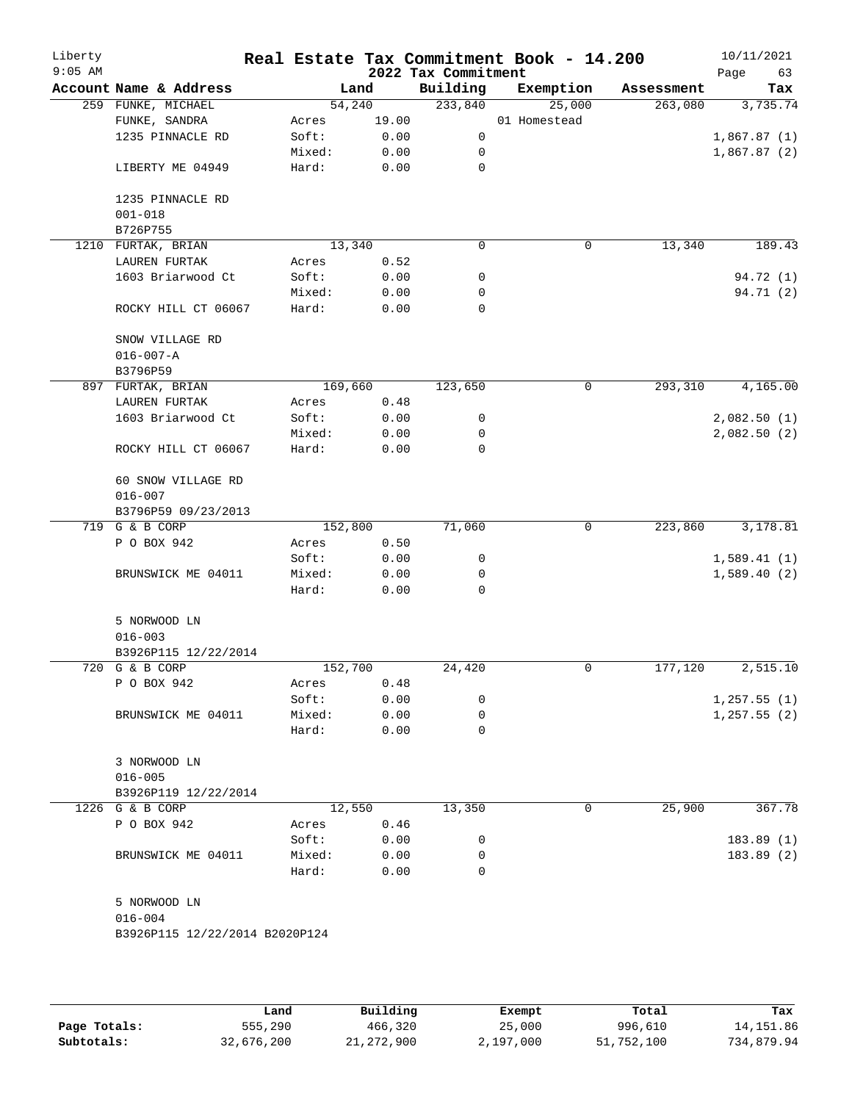| Liberty<br>$9:05$ AM |                                |         |         | 2022 Tax Commitment | Real Estate Tax Commitment Book - 14.200 |            | 10/11/2021<br>Page<br>63 |
|----------------------|--------------------------------|---------|---------|---------------------|------------------------------------------|------------|--------------------------|
|                      | Account Name & Address         |         | Land    | Building            | Exemption                                | Assessment | Tax                      |
|                      | 259 FUNKE, MICHAEL             |         | 54,240  | 233,840             | 25,000                                   | 263,080    | 3,735.74                 |
|                      | FUNKE, SANDRA                  | Acres   | 19.00   |                     | 01 Homestead                             |            |                          |
|                      | 1235 PINNACLE RD               | Soft:   | 0.00    | 0                   |                                          |            | 1,867.87(1)              |
|                      |                                | Mixed:  | 0.00    | 0                   |                                          |            | 1,867.87(2)              |
|                      | LIBERTY ME 04949               | Hard:   | 0.00    | 0                   |                                          |            |                          |
|                      | 1235 PINNACLE RD               |         |         |                     |                                          |            |                          |
|                      | $001 - 018$                    |         |         |                     |                                          |            |                          |
|                      | B726P755                       |         |         |                     |                                          |            |                          |
|                      | 1210 FURTAK, BRIAN             |         | 13,340  | 0                   | 0                                        | 13,340     | 189.43                   |
|                      | LAUREN FURTAK                  | Acres   | 0.52    |                     |                                          |            |                          |
|                      | 1603 Briarwood Ct              | Soft:   | 0.00    | 0                   |                                          |            | 94.72 (1)                |
|                      |                                | Mixed:  | 0.00    | 0                   |                                          |            | 94.71 (2)                |
|                      | ROCKY HILL CT 06067            | Hard:   | 0.00    | 0                   |                                          |            |                          |
|                      | SNOW VILLAGE RD                |         |         |                     |                                          |            |                          |
|                      | $016 - 007 - A$                |         |         |                     |                                          |            |                          |
|                      | B3796P59                       |         |         |                     |                                          |            |                          |
|                      | 897 FURTAK, BRIAN              |         | 169,660 | 123,650             | 0                                        | 293,310    | 4,165.00                 |
|                      | LAUREN FURTAK                  | Acres   | 0.48    |                     |                                          |            |                          |
|                      | 1603 Briarwood Ct              | Soft:   | 0.00    | 0                   |                                          |            | 2,082.50(1)              |
|                      |                                | Mixed:  | 0.00    | 0                   |                                          |            | 2,082.50(2)              |
|                      | ROCKY HILL CT 06067            | Hard:   | 0.00    | 0                   |                                          |            |                          |
|                      | 60 SNOW VILLAGE RD             |         |         |                     |                                          |            |                          |
|                      | $016 - 007$                    |         |         |                     |                                          |            |                          |
|                      | B3796P59 09/23/2013            |         |         |                     |                                          |            |                          |
|                      | 719 G & B CORP                 |         | 152,800 | 71,060              | 0                                        | 223,860    | 3,178.81                 |
|                      | P O BOX 942                    | Acres   | 0.50    |                     |                                          |            |                          |
|                      |                                | Soft:   | 0.00    | 0                   |                                          |            | 1,589.41(1)              |
|                      | BRUNSWICK ME 04011             | Mixed:  | 0.00    | 0                   |                                          |            | 1,589.40(2)              |
|                      |                                | Hard:   | 0.00    | 0                   |                                          |            |                          |
|                      | 5 NORWOOD LN                   |         |         |                     |                                          |            |                          |
|                      | $016 - 003$                    |         |         |                     |                                          |            |                          |
|                      | B3926P115 12/22/2014           |         |         |                     |                                          |            |                          |
|                      | 720 G & B CORP                 | 152,700 |         | 24,420              | 0                                        | 177,120    | 2,515.10                 |
|                      | P O BOX 942                    | Acres   | 0.48    |                     |                                          |            |                          |
|                      |                                | Soft:   | 0.00    | 0                   |                                          |            | 1,257.55(1)              |
|                      | BRUNSWICK ME 04011             | Mixed:  | 0.00    | 0                   |                                          |            | 1, 257.55(2)             |
|                      |                                | Hard:   | 0.00    | 0                   |                                          |            |                          |
|                      | 3 NORWOOD LN                   |         |         |                     |                                          |            |                          |
|                      | $016 - 005$                    |         |         |                     |                                          |            |                          |
|                      | B3926P119 12/22/2014           |         |         |                     |                                          |            |                          |
|                      | 1226 G & B CORP                |         | 12,550  | 13,350              | 0                                        | 25,900     | 367.78                   |
|                      | P O BOX 942                    | Acres   | 0.46    |                     |                                          |            |                          |
|                      |                                | Soft:   | 0.00    | 0                   |                                          |            | 183.89(1)                |
|                      | BRUNSWICK ME 04011             | Mixed:  | 0.00    | 0                   |                                          |            | 183.89(2)                |
|                      |                                | Hard:   | 0.00    | 0                   |                                          |            |                          |
|                      |                                |         |         |                     |                                          |            |                          |
|                      | 5 NORWOOD LN<br>$016 - 004$    |         |         |                     |                                          |            |                          |
|                      | B3926P115 12/22/2014 B2020P124 |         |         |                     |                                          |            |                          |
|                      |                                |         |         |                     |                                          |            |                          |
|                      |                                |         |         |                     |                                          |            |                          |
|                      |                                |         |         |                     |                                          |            |                          |

|              | Land       | Building   | Exempt    | Total      | Tax        |
|--------------|------------|------------|-----------|------------|------------|
| Page Totals: | 555,290    | 466,320    | 25,000    | 996,610    | 14, 151.86 |
| Subtotals:   | 32,676,200 | 21,272,900 | 2,197,000 | 51,752,100 | 734,879.94 |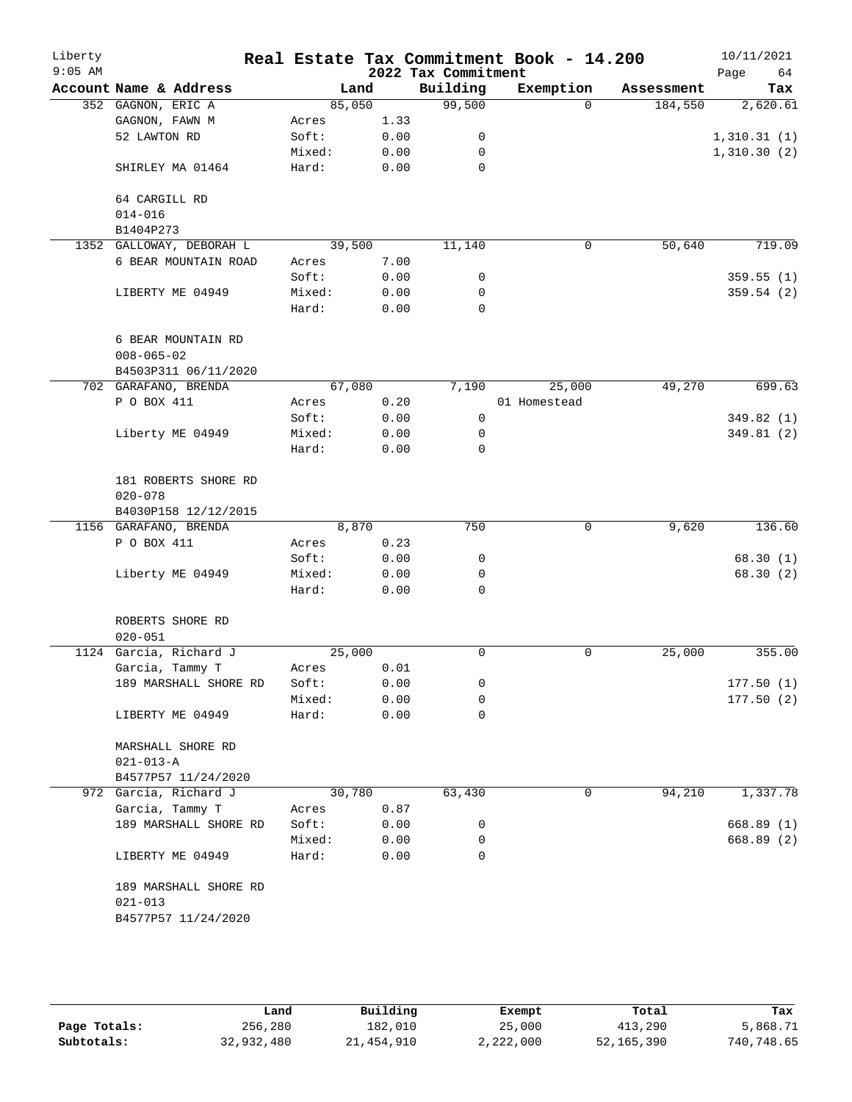| Liberty<br>$9:05$ AM |                                        |        |      | 2022 Tax Commitment | Real Estate Tax Commitment Book - 14.200 |            | 10/11/2021<br>Page<br>64 |
|----------------------|----------------------------------------|--------|------|---------------------|------------------------------------------|------------|--------------------------|
|                      | Account Name & Address                 | Land   |      | Building            | Exemption                                | Assessment | Tax                      |
|                      | 352 GAGNON, ERIC A                     | 85,050 |      | 99,500              | $\Omega$                                 | 184,550    | 2,620.61                 |
|                      | GAGNON, FAWN M                         | Acres  | 1.33 |                     |                                          |            |                          |
|                      | 52 LAWTON RD                           | Soft:  | 0.00 | 0                   |                                          |            | 1,310.31(1)              |
|                      |                                        | Mixed: | 0.00 | 0                   |                                          |            | 1,310.30(2)              |
|                      | SHIRLEY MA 01464                       | Hard:  | 0.00 | 0                   |                                          |            |                          |
|                      | 64 CARGILL RD<br>$014 - 016$           |        |      |                     |                                          |            |                          |
|                      | B1404P273                              |        |      |                     |                                          |            |                          |
|                      | 1352 GALLOWAY, DEBORAH L               | 39,500 |      | 11,140              | $\mathbf 0$                              | 50,640     | 719.09                   |
|                      | 6 BEAR MOUNTAIN ROAD                   | Acres  | 7.00 |                     |                                          |            |                          |
|                      |                                        | Soft:  | 0.00 | 0                   |                                          |            | 359.55(1)                |
|                      | LIBERTY ME 04949                       | Mixed: | 0.00 | 0                   |                                          |            | 359.54(2)                |
|                      |                                        | Hard:  | 0.00 | 0                   |                                          |            |                          |
|                      | 6 BEAR MOUNTAIN RD<br>$008 - 065 - 02$ |        |      |                     |                                          |            |                          |
|                      | B4503P311 06/11/2020                   |        |      |                     |                                          |            |                          |
|                      | 702 GARAFANO, BRENDA                   | 67,080 |      | 7,190               | 25,000                                   | 49,270     | 699.63                   |
|                      | P O BOX 411                            | Acres  | 0.20 |                     | 01 Homestead                             |            |                          |
|                      |                                        | Soft:  | 0.00 | 0                   |                                          |            | 349.82 (1)               |
|                      | Liberty ME 04949                       | Mixed: | 0.00 | 0                   |                                          |            | 349.81(2)                |
|                      |                                        | Hard:  | 0.00 | 0                   |                                          |            |                          |
|                      | 181 ROBERTS SHORE RD                   |        |      |                     |                                          |            |                          |
|                      | $020 - 078$                            |        |      |                     |                                          |            |                          |
|                      | B4030P158 12/12/2015                   |        |      |                     |                                          |            |                          |
|                      | 1156 GARAFANO, BRENDA                  | 8,870  |      | 750                 | 0                                        | 9,620      | 136.60                   |
|                      | P O BOX 411                            | Acres  | 0.23 |                     |                                          |            |                          |
|                      |                                        | Soft:  | 0.00 | 0                   |                                          |            | 68.30(1)                 |
|                      | Liberty ME 04949                       | Mixed: | 0.00 | 0                   |                                          |            | 68.30 (2)                |
|                      |                                        | Hard:  | 0.00 | $\Omega$            |                                          |            |                          |
|                      | ROBERTS SHORE RD<br>$020 - 051$        |        |      |                     |                                          |            |                          |
|                      | 1124 Garcia, Richard J                 | 25,000 |      | 0                   | 0                                        | 25,000     | 355.00                   |
|                      | Garcia, Tammy T                        | Acres  | 0.01 |                     |                                          |            |                          |
|                      | 189 MARSHALL SHORE RD                  | Soft:  | 0.00 | 0                   |                                          |            | 177.50(1)                |
|                      |                                        | Mixed: | 0.00 | 0                   |                                          |            | 177.50(2)                |
|                      | LIBERTY ME 04949                       | Hard:  | 0.00 | 0                   |                                          |            |                          |
|                      | MARSHALL SHORE RD<br>$021 - 013 - A$   |        |      |                     |                                          |            |                          |
|                      | B4577P57 11/24/2020                    |        |      |                     |                                          |            |                          |
|                      | 972 Garcia, Richard J                  | 30,780 |      | 63,430              | 0                                        | 94,210     | 1,337.78                 |
|                      | Garcia, Tammy T                        | Acres  | 0.87 |                     |                                          |            |                          |
|                      | 189 MARSHALL SHORE RD                  | Soft:  | 0.00 | 0                   |                                          |            | 668.89(1)                |
|                      |                                        | Mixed: | 0.00 | 0                   |                                          |            | 668.89 (2)               |
|                      | LIBERTY ME 04949                       | Hard:  | 0.00 | 0                   |                                          |            |                          |
|                      | 189 MARSHALL SHORE RD<br>$021 - 013$   |        |      |                     |                                          |            |                          |
|                      | B4577P57 11/24/2020                    |        |      |                     |                                          |            |                          |
|                      |                                        |        |      |                     |                                          |            |                          |

**Page Totals:** 256,280 182,010 25,000 413,290 5,868.71<br>**Subtotals:** 32,932,480 21,454,910 2,222,000 52,165,390 740,748.65 **Subtotals:** 32,932,480 21,454,910 2,222,000 52,165,390 740,748.65 **Land Building Exempt Total Tax**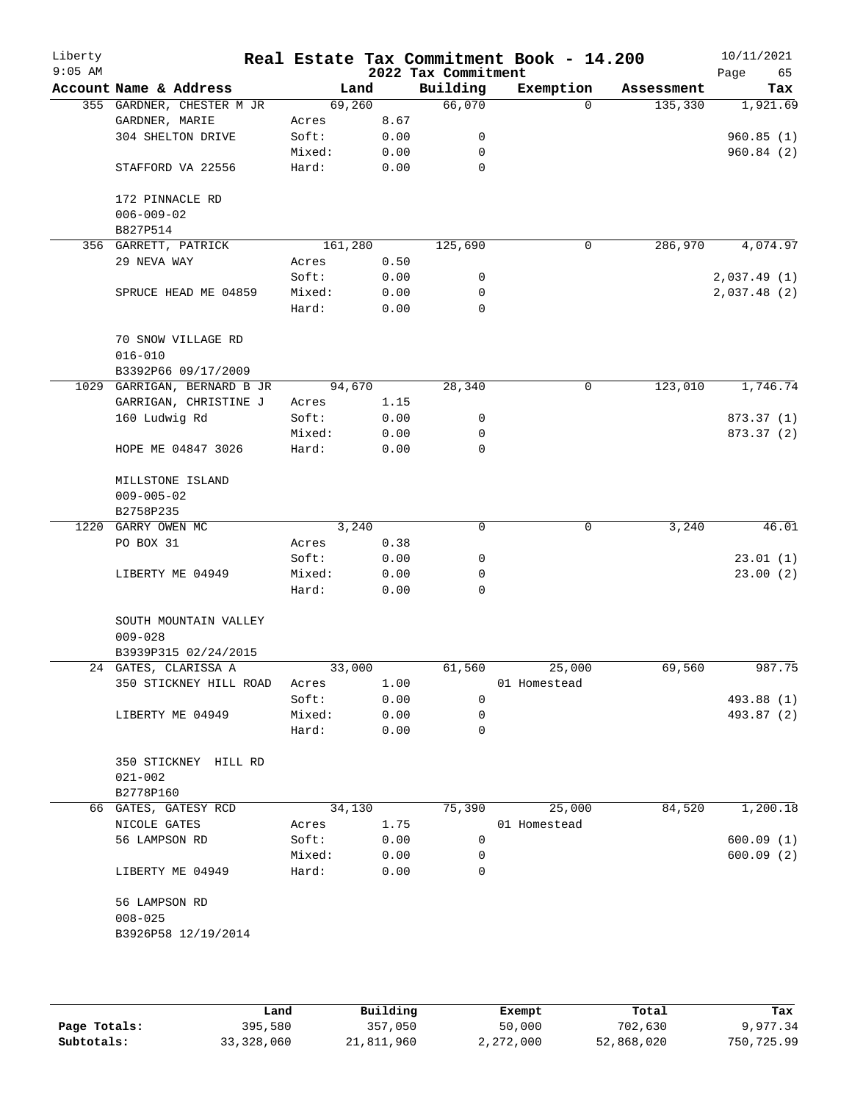| Liberty<br>$9:05$ AM |                                      |         |      | 2022 Tax Commitment | Real Estate Tax Commitment Book - 14.200 |            | 10/11/2021<br>65<br>Page |
|----------------------|--------------------------------------|---------|------|---------------------|------------------------------------------|------------|--------------------------|
|                      | Account Name & Address               | Land    |      | Building            | Exemption                                | Assessment | Tax                      |
|                      | 355 GARDNER, CHESTER M JR            | 69,260  |      | 66,070              | $\Omega$                                 | 135,330    | 1,921.69                 |
|                      | GARDNER, MARIE                       | Acres   | 8.67 |                     |                                          |            |                          |
|                      | 304 SHELTON DRIVE                    | Soft:   | 0.00 | 0                   |                                          |            | 960.85(1)                |
|                      |                                      | Mixed:  | 0.00 | 0                   |                                          |            | 960.84(2)                |
|                      | STAFFORD VA 22556                    | Hard:   | 0.00 | 0                   |                                          |            |                          |
|                      | 172 PINNACLE RD<br>$006 - 009 - 02$  |         |      |                     |                                          |            |                          |
|                      | B827P514                             |         |      |                     |                                          |            |                          |
|                      | 356 GARRETT, PATRICK                 | 161,280 |      | 125,690             | 0                                        | 286,970    | 4,074.97                 |
|                      | 29 NEVA WAY                          | Acres   | 0.50 |                     |                                          |            |                          |
|                      |                                      | Soft:   | 0.00 | 0                   |                                          |            | 2,037.49(1)              |
|                      | SPRUCE HEAD ME 04859                 | Mixed:  | 0.00 | 0                   |                                          |            | 2,037.48(2)              |
|                      |                                      | Hard:   | 0.00 | 0                   |                                          |            |                          |
|                      | 70 SNOW VILLAGE RD<br>$016 - 010$    |         |      |                     |                                          |            |                          |
|                      | B3392P66 09/17/2009                  |         |      |                     |                                          |            |                          |
|                      | 1029 GARRIGAN, BERNARD B JR          | 94,670  |      | 28,340              | 0                                        | 123,010    | 1,746.74                 |
|                      | GARRIGAN, CHRISTINE J                | Acres   | 1.15 |                     |                                          |            |                          |
|                      | 160 Ludwig Rd                        | Soft:   | 0.00 | 0                   |                                          |            | 873.37 (1)               |
|                      |                                      | Mixed:  | 0.00 | 0                   |                                          |            | 873.37 (2)               |
|                      | HOPE ME 04847 3026                   | Hard:   | 0.00 | 0                   |                                          |            |                          |
|                      | MILLSTONE ISLAND<br>$009 - 005 - 02$ |         |      |                     |                                          |            |                          |
|                      | B2758P235                            |         |      |                     |                                          |            |                          |
|                      | 1220 GARRY OWEN MC                   | 3,240   |      | 0                   | 0                                        | 3,240      | 46.01                    |
|                      | PO BOX 31                            | Acres   | 0.38 |                     |                                          |            |                          |
|                      |                                      | Soft:   | 0.00 | 0                   |                                          |            | 23.01(1)                 |
|                      | LIBERTY ME 04949                     | Mixed:  | 0.00 | 0                   |                                          |            | 23.00(2)                 |
|                      |                                      | Hard:   | 0.00 | $\Omega$            |                                          |            |                          |
|                      | SOUTH MOUNTAIN VALLEY<br>$009 - 028$ |         |      |                     |                                          |            |                          |
|                      | B3939P315 02/24/2015                 |         |      |                     |                                          |            |                          |
|                      | 24 GATES, CLARISSA A                 | 33,000  |      | 61,560              | 25,000                                   | 69,560     | 987.75                   |
|                      | 350 STICKNEY HILL ROAD               | Acres   | 1.00 |                     | 01 Homestead                             |            |                          |
|                      |                                      | Soft:   | 0.00 | 0                   |                                          |            | 493.88 (1)               |
|                      | LIBERTY ME 04949                     | Mixed:  | 0.00 | 0                   |                                          |            | 493.87 (2)               |
|                      |                                      | Hard:   | 0.00 | 0                   |                                          |            |                          |
|                      | 350 STICKNEY HILL RD<br>$021 - 002$  |         |      |                     |                                          |            |                          |
|                      | B2778P160                            |         |      |                     |                                          |            |                          |
|                      | 66 GATES, GATESY RCD                 | 34,130  |      | 75,390              | 25,000                                   | 84,520     | 1,200.18                 |
|                      | NICOLE GATES                         | Acres   | 1.75 |                     | 01 Homestead                             |            |                          |
|                      | 56 LAMPSON RD                        | Soft:   | 0.00 | 0                   |                                          |            | 600.09(1)                |
|                      |                                      | Mixed:  | 0.00 | 0                   |                                          |            | 600.09(2)                |
|                      | LIBERTY ME 04949                     | Hard:   | 0.00 | $\Omega$            |                                          |            |                          |
|                      | 56 LAMPSON RD<br>$008 - 025$         |         |      |                     |                                          |            |                          |
|                      | B3926P58 12/19/2014                  |         |      |                     |                                          |            |                          |
|                      |                                      |         |      |                     |                                          |            |                          |
|                      |                                      |         |      |                     |                                          |            |                          |

|              | Land       | Building   | Exempt    | Total      | Tax        |
|--------------|------------|------------|-----------|------------|------------|
| Page Totals: | 395,580    | 357,050    | 50,000    | 702,630    | 9,977.34   |
| Subtotals:   | 33,328,060 | 21,811,960 | 2,272,000 | 52,868,020 | 750,725.99 |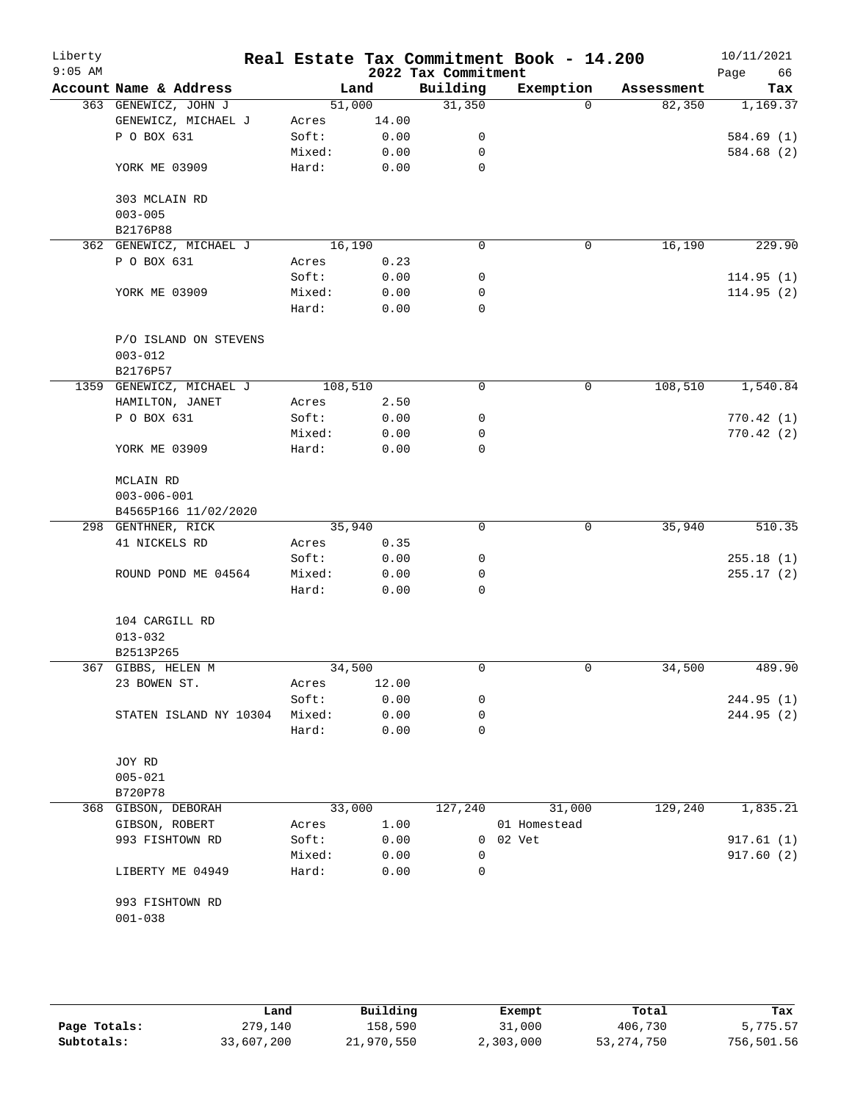| Liberty<br>$9:05$ AM |                          |        |         | 2022 Tax Commitment | Real Estate Tax Commitment Book - 14.200 |            | 10/11/2021<br>Page<br>66 |
|----------------------|--------------------------|--------|---------|---------------------|------------------------------------------|------------|--------------------------|
|                      | Account Name & Address   |        | Land    | Building            | Exemption                                | Assessment | Tax                      |
|                      | 363 GENEWICZ, JOHN J     |        | 51,000  | 31,350              | $\Omega$                                 | 82,350     | 1,169.37                 |
|                      | GENEWICZ, MICHAEL J      | Acres  | 14.00   |                     |                                          |            |                          |
|                      | P O BOX 631              | Soft:  | 0.00    | 0                   |                                          |            | 584.69(1)                |
|                      |                          | Mixed: | 0.00    | 0                   |                                          |            | 584.68 (2)               |
|                      | YORK ME 03909            | Hard:  | 0.00    | 0                   |                                          |            |                          |
|                      | 303 MCLAIN RD            |        |         |                     |                                          |            |                          |
|                      | $003 - 005$              |        |         |                     |                                          |            |                          |
|                      | B2176P88                 |        |         |                     |                                          |            |                          |
|                      | 362 GENEWICZ, MICHAEL J  |        | 16, 190 | 0                   | 0                                        | 16,190     | 229.90                   |
|                      | P O BOX 631              | Acres  | 0.23    |                     |                                          |            |                          |
|                      |                          | Soft:  | 0.00    | 0                   |                                          |            | 114.95(1)                |
|                      | YORK ME 03909            | Mixed: | 0.00    | 0                   |                                          |            | 114.95(2)                |
|                      |                          | Hard:  | 0.00    | 0                   |                                          |            |                          |
|                      | P/O ISLAND ON STEVENS    |        |         |                     |                                          |            |                          |
|                      | $003 - 012$              |        |         |                     |                                          |            |                          |
|                      | B2176P57                 |        |         |                     |                                          |            |                          |
|                      | 1359 GENEWICZ, MICHAEL J |        | 108,510 | 0                   | 0                                        | 108,510    | 1,540.84                 |
|                      | HAMILTON, JANET          | Acres  | 2.50    |                     |                                          |            |                          |
|                      | P O BOX 631              | Soft:  | 0.00    | 0                   |                                          |            | 770.42(1)                |
|                      |                          | Mixed: | 0.00    | 0                   |                                          |            | 770.42(2)                |
|                      | YORK ME 03909            | Hard:  | 0.00    | 0                   |                                          |            |                          |
|                      | MCLAIN RD                |        |         |                     |                                          |            |                          |
|                      | $003 - 006 - 001$        |        |         |                     |                                          |            |                          |
|                      | B4565P166 11/02/2020     |        |         |                     |                                          |            |                          |
|                      | 298 GENTHNER, RICK       |        | 35,940  | 0                   | 0                                        | 35,940     | 510.35                   |
|                      | 41 NICKELS RD            | Acres  | 0.35    |                     |                                          |            |                          |
|                      |                          | Soft:  | 0.00    | 0                   |                                          |            | 255.18(1)                |
|                      | ROUND POND ME 04564      | Mixed: | 0.00    | 0                   |                                          |            | 255.17(2)                |
|                      |                          | Hard:  | 0.00    | 0                   |                                          |            |                          |
|                      | 104 CARGILL RD           |        |         |                     |                                          |            |                          |
|                      | $013 - 032$              |        |         |                     |                                          |            |                          |
|                      | B2513P265                |        |         |                     |                                          |            |                          |
|                      | 367 GIBBS, HELEN M       |        | 34,500  | 0                   | 0                                        | 34,500     | 489.90                   |
|                      | 23 BOWEN ST.             | Acres  | 12.00   |                     |                                          |            |                          |
|                      |                          | Soft:  | 0.00    | 0                   |                                          |            | 244.95 (1)               |
|                      | STATEN ISLAND NY 10304   | Mixed: | 0.00    | 0                   |                                          |            | 244.95 (2)               |
|                      |                          | Hard:  | 0.00    | 0                   |                                          |            |                          |
|                      | JOY RD                   |        |         |                     |                                          |            |                          |
|                      | $005 - 021$              |        |         |                     |                                          |            |                          |
|                      | B720P78                  |        |         |                     |                                          |            |                          |
| 368                  | GIBSON, DEBORAH          |        | 33,000  | 127,240             | 31,000                                   | 129,240    | 1,835.21                 |
|                      | GIBSON, ROBERT           | Acres  | 1.00    |                     | 01 Homestead                             |            |                          |
|                      | 993 FISHTOWN RD          | Soft:  | 0.00    | 0                   | 02 Vet                                   |            | 917.61(1)                |
|                      |                          | Mixed: | 0.00    | 0                   |                                          |            | 917.60(2)                |
|                      | LIBERTY ME 04949         | Hard:  | 0.00    | 0                   |                                          |            |                          |
|                      | 993 FISHTOWN RD          |        |         |                     |                                          |            |                          |
|                      | $001 - 038$              |        |         |                     |                                          |            |                          |
|                      |                          |        |         |                     |                                          |            |                          |

|              | Land       | Building   | Exempt    | Total      | Tax        |
|--------------|------------|------------|-----------|------------|------------|
| Page Totals: | 279,140    | 158,590    | 31,000    | 406,730    | 5,775.57   |
| Subtotals:   | 33,607,200 | 21,970,550 | 2,303,000 | 53,274,750 | 756,501.56 |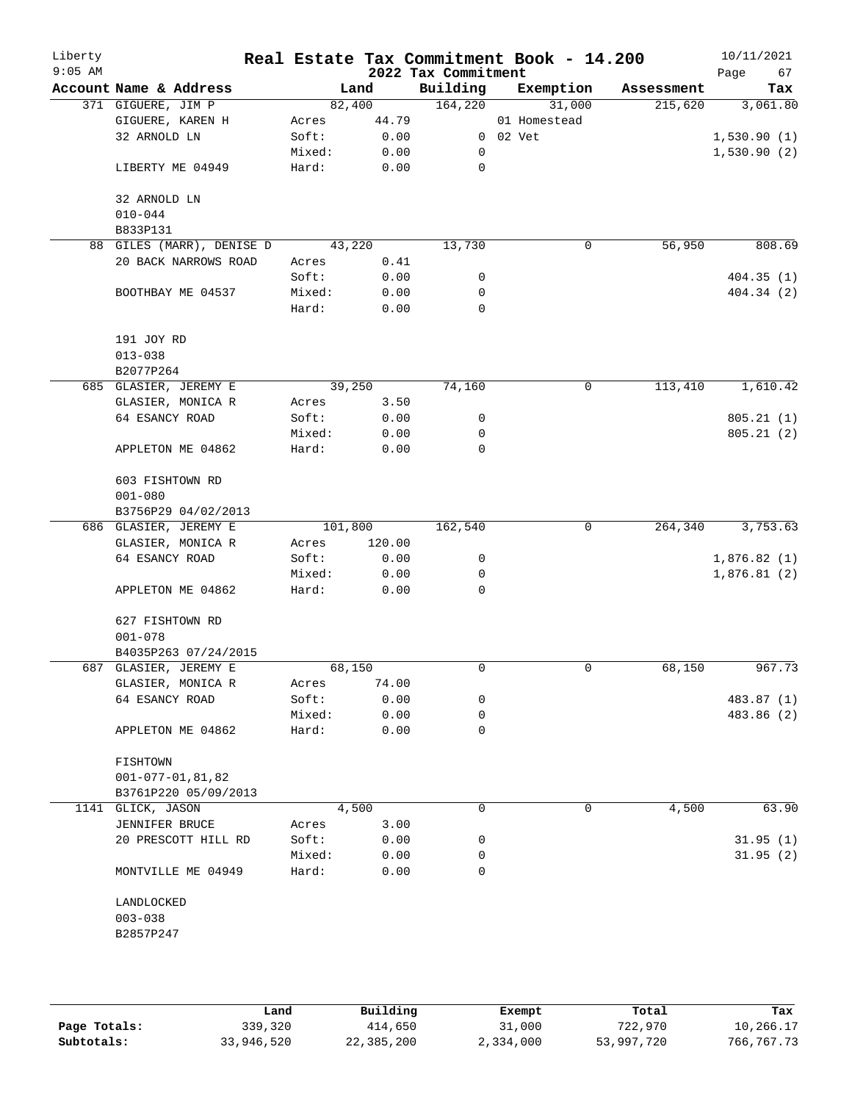| Liberty<br>$9:05$ AM |                           |        |         | 2022 Tax Commitment | Real Estate Tax Commitment Book - 14.200 |            | 10/11/2021<br>Page<br>67 |
|----------------------|---------------------------|--------|---------|---------------------|------------------------------------------|------------|--------------------------|
|                      | Account Name & Address    |        | Land    | Building            | Exemption                                | Assessment | Tax                      |
|                      | 371 GIGUERE, JIM P        |        | 82,400  | 164,220             | 31,000                                   | 215,620    | 3,061.80                 |
|                      | GIGUERE, KAREN H          | Acres  | 44.79   |                     | 01 Homestead                             |            |                          |
|                      | 32 ARNOLD LN              | Soft:  | 0.00    |                     | 0 02 Vet                                 |            | 1,530.90(1)              |
|                      |                           | Mixed: | 0.00    | 0                   |                                          |            | 1,530.90(2)              |
|                      | LIBERTY ME 04949          | Hard:  | 0.00    | 0                   |                                          |            |                          |
|                      | 32 ARNOLD LN              |        |         |                     |                                          |            |                          |
|                      | $010 - 044$               |        |         |                     |                                          |            |                          |
|                      | B833P131                  |        |         |                     |                                          |            |                          |
|                      | 88 GILES (MARR), DENISE D |        | 43,220  | 13,730              | 0                                        | 56,950     | 808.69                   |
|                      | 20 BACK NARROWS ROAD      | Acres  | 0.41    |                     |                                          |            |                          |
|                      |                           | Soft:  | 0.00    | 0                   |                                          |            | 404.35(1)                |
|                      | BOOTHBAY ME 04537         | Mixed: | 0.00    | 0                   |                                          |            | 404.34 (2)               |
|                      |                           | Hard:  | 0.00    | 0                   |                                          |            |                          |
|                      | 191 JOY RD                |        |         |                     |                                          |            |                          |
|                      | $013 - 038$               |        |         |                     |                                          |            |                          |
|                      | B2077P264                 |        |         |                     |                                          |            |                          |
|                      | 685 GLASIER, JEREMY E     |        | 39,250  | 74,160              | 0                                        | 113,410    | 1,610.42                 |
|                      | GLASIER, MONICA R         | Acres  | 3.50    |                     |                                          |            |                          |
|                      | 64 ESANCY ROAD            | Soft:  | 0.00    | 0                   |                                          |            | 805.21(1)                |
|                      |                           | Mixed: | 0.00    | 0                   |                                          |            | 805.21(2)                |
|                      | APPLETON ME 04862         | Hard:  | 0.00    | 0                   |                                          |            |                          |
|                      | 603 FISHTOWN RD           |        |         |                     |                                          |            |                          |
|                      | $001 - 080$               |        |         |                     |                                          |            |                          |
|                      | B3756P29 04/02/2013       |        |         |                     |                                          |            |                          |
|                      | 686 GLASIER, JEREMY E     |        | 101,800 | 162,540             | 0                                        | 264,340    | 3,753.63                 |
|                      | GLASIER, MONICA R         | Acres  | 120.00  |                     |                                          |            |                          |
|                      | 64 ESANCY ROAD            | Soft:  | 0.00    | 0                   |                                          |            | 1,876.82(1)              |
|                      |                           | Mixed: | 0.00    | 0                   |                                          |            | 1,876.81(2)              |
|                      |                           | Hard:  |         | 0                   |                                          |            |                          |
|                      | APPLETON ME 04862         |        | 0.00    |                     |                                          |            |                          |
|                      | 627 FISHTOWN RD           |        |         |                     |                                          |            |                          |
|                      | $001 - 078$               |        |         |                     |                                          |            |                          |
|                      | B4035P263 07/24/2015      |        |         |                     |                                          |            |                          |
|                      | 687 GLASIER, JEREMY E     |        | 68,150  | 0                   | 0                                        | 68,150     | 967.73                   |
|                      | GLASIER, MONICA R         | Acres  | 74.00   |                     |                                          |            |                          |
|                      | 64 ESANCY ROAD            | Soft:  | 0.00    | 0                   |                                          |            | 483.87 (1)               |
|                      |                           | Mixed: | 0.00    | 0                   |                                          |            | 483.86 (2)               |
|                      | APPLETON ME 04862         | Hard:  | 0.00    | 0                   |                                          |            |                          |
|                      | FISHTOWN                  |        |         |                     |                                          |            |                          |
|                      | $001 - 077 - 01, 81, 82$  |        |         |                     |                                          |            |                          |
|                      | B3761P220 05/09/2013      |        |         |                     |                                          |            |                          |
|                      | 1141 GLICK, JASON         |        | 4,500   | 0                   | $\mathbf 0$                              | 4,500      | 63.90                    |
|                      | JENNIFER BRUCE            | Acres  | 3.00    |                     |                                          |            |                          |
|                      | 20 PRESCOTT HILL RD       | Soft:  | 0.00    | 0                   |                                          |            | 31.95(1)                 |
|                      |                           | Mixed: | 0.00    | 0                   |                                          |            | 31.95(2)                 |
|                      | MONTVILLE ME 04949        | Hard:  | 0.00    | 0                   |                                          |            |                          |
|                      | LANDLOCKED                |        |         |                     |                                          |            |                          |
|                      | $003 - 038$               |        |         |                     |                                          |            |                          |
|                      | B2857P247                 |        |         |                     |                                          |            |                          |
|                      |                           |        |         |                     |                                          |            |                          |
|                      |                           |        |         |                     |                                          |            |                          |
|                      |                           |        |         |                     |                                          |            |                          |

|              | Land       | Building   | Exempt    | Total      | Tax        |
|--------------|------------|------------|-----------|------------|------------|
| Page Totals: | 339,320    | 414,650    | 31,000    | 722,970    | 10,266.17  |
| Subtotals:   | 33,946,520 | 22,385,200 | 2,334,000 | 53,997,720 | 766,767.73 |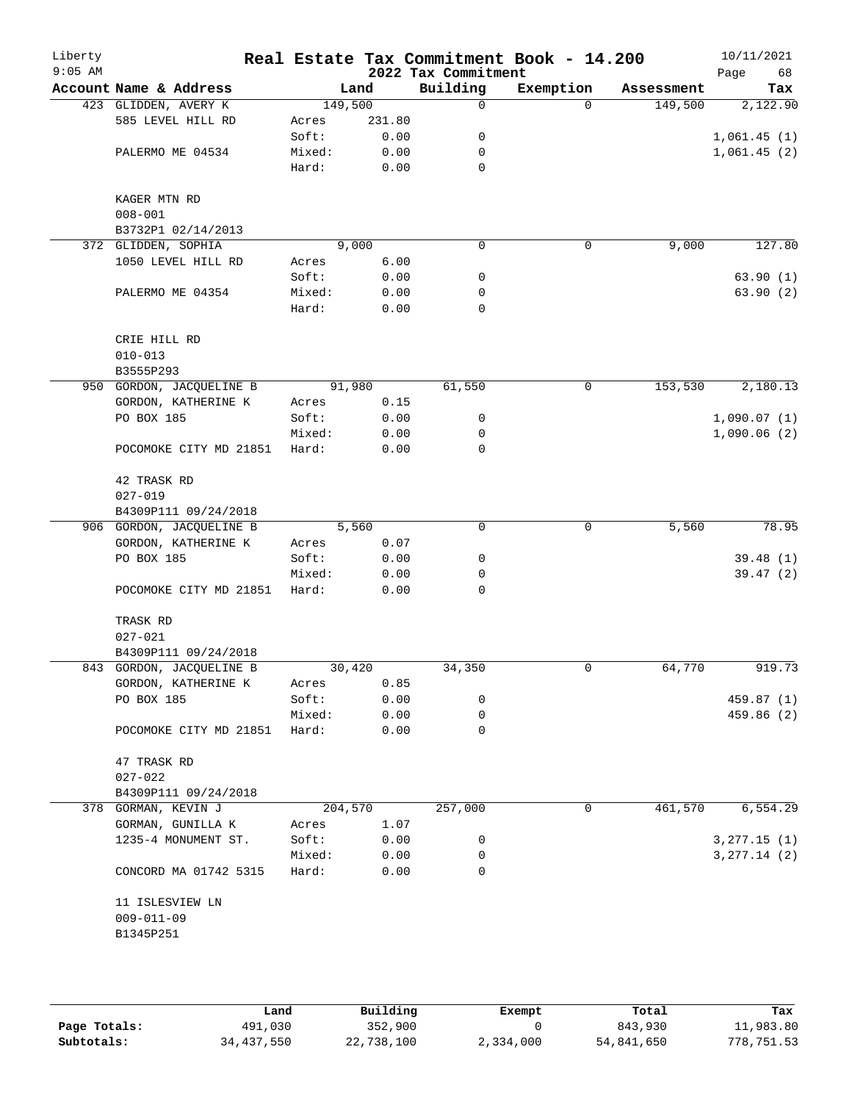| Liberty<br>$9:05$ AM |                               |         |        | 2022 Tax Commitment | Real Estate Tax Commitment Book - 14.200 |            | 10/11/2021<br>Page<br>68 |
|----------------------|-------------------------------|---------|--------|---------------------|------------------------------------------|------------|--------------------------|
|                      | Account Name & Address        |         | Land   | Building            | Exemption                                | Assessment | Tax                      |
|                      | 423 GLIDDEN, AVERY K          | 149,500 |        | 0                   | $\Omega$                                 | 149,500    | 2,122.90                 |
|                      | 585 LEVEL HILL RD             | Acres   | 231.80 |                     |                                          |            |                          |
|                      |                               | Soft:   | 0.00   | 0                   |                                          |            | 1,061.45(1)              |
|                      | PALERMO ME 04534              | Mixed:  | 0.00   | 0                   |                                          |            | 1,061.45(2)              |
|                      |                               | Hard:   | 0.00   | $\mathbf 0$         |                                          |            |                          |
|                      | KAGER MTN RD                  |         |        |                     |                                          |            |                          |
|                      | $008 - 001$                   |         |        |                     |                                          |            |                          |
|                      | B3732P1 02/14/2013            |         |        |                     |                                          |            |                          |
|                      | 372 GLIDDEN, SOPHIA           |         | 9,000  | $\mathbf 0$         | 0                                        | 9,000      | 127.80                   |
|                      | 1050 LEVEL HILL RD            | Acres   | 6.00   |                     |                                          |            |                          |
|                      |                               | Soft:   | 0.00   | 0                   |                                          |            | 63.90(1)                 |
|                      | PALERMO ME 04354              | Mixed:  | 0.00   | 0<br>$\mathbf 0$    |                                          |            | 63.90(2)                 |
|                      |                               | Hard:   | 0.00   |                     |                                          |            |                          |
|                      | CRIE HILL RD                  |         |        |                     |                                          |            |                          |
|                      | $010 - 013$                   |         |        |                     |                                          |            |                          |
|                      | B3555P293                     |         |        |                     |                                          |            |                          |
|                      | 950 GORDON, JACQUELINE B      |         | 91,980 | 61,550              | 0                                        | 153,530    | 2,180.13                 |
|                      | GORDON, KATHERINE K           | Acres   | 0.15   |                     |                                          |            |                          |
|                      | PO BOX 185                    | Soft:   | 0.00   | 0                   |                                          |            | 1,090.07(1)              |
|                      |                               | Mixed:  | 0.00   | 0                   |                                          |            | 1,090.06(2)              |
|                      | POCOMOKE CITY MD 21851        | Hard:   | 0.00   | $\mathbf 0$         |                                          |            |                          |
|                      | 42 TRASK RD                   |         |        |                     |                                          |            |                          |
|                      | $027 - 019$                   |         |        |                     |                                          |            |                          |
|                      | B4309P111 09/24/2018          |         |        |                     |                                          |            |                          |
|                      | 906 GORDON, JACQUELINE B      |         | 5,560  | $\mathbf 0$         | $\mathbf 0$                              | 5,560      | 78.95                    |
|                      | GORDON, KATHERINE K           | Acres   | 0.07   |                     |                                          |            |                          |
|                      | PO BOX 185                    | Soft:   | 0.00   | 0                   |                                          |            | 39.48(1)                 |
|                      |                               | Mixed:  | 0.00   | 0                   |                                          |            | 39.47(2)                 |
|                      | POCOMOKE CITY MD 21851        | Hard:   | 0.00   | 0                   |                                          |            |                          |
|                      | TRASK RD                      |         |        |                     |                                          |            |                          |
|                      | $027 - 021$                   |         |        |                     |                                          |            |                          |
|                      | B4309P111 09/24/2018          |         |        |                     |                                          |            |                          |
|                      | 843 GORDON, JACQUELINE B      |         | 30,420 | 34,350              | 0                                        | 64,770     | 919.73                   |
|                      | GORDON, KATHERINE K           | Acres   | 0.85   |                     |                                          |            |                          |
|                      | PO BOX 185                    | Soft:   | 0.00   | 0                   |                                          |            | 459.87 (1)               |
|                      |                               | Mixed:  | 0.00   | 0                   |                                          |            | 459.86 (2)               |
|                      | POCOMOKE CITY MD 21851        | Hard:   | 0.00   | $\mathbf 0$         |                                          |            |                          |
|                      | 47 TRASK RD                   |         |        |                     |                                          |            |                          |
|                      | $027 - 022$                   |         |        |                     |                                          |            |                          |
|                      | B4309P111 09/24/2018          |         |        |                     |                                          |            |                          |
|                      | 378 GORMAN, KEVIN J           | 204,570 |        | 257,000             | 0                                        | 461,570    | 6,554.29                 |
|                      | GORMAN, GUNILLA K             | Acres   | 1.07   |                     |                                          |            |                          |
|                      | 1235-4 MONUMENT ST.           | Soft:   | 0.00   | 0                   |                                          |            | 3, 277.15 (1)            |
|                      |                               | Mixed:  | 0.00   | 0                   |                                          |            | 3, 277.14 (2)            |
|                      | CONCORD MA 01742 5315         | Hard:   | 0.00   | 0                   |                                          |            |                          |
|                      | 11 ISLESVIEW LN               |         |        |                     |                                          |            |                          |
|                      | $009 - 011 - 09$<br>B1345P251 |         |        |                     |                                          |            |                          |
|                      |                               |         |        |                     |                                          |            |                          |
|                      |                               |         |        |                     |                                          |            |                          |
|                      |                               |         |        |                     |                                          |            |                          |

|              | Land       | Building   | Exempt    | Total      | Tax        |
|--------------|------------|------------|-----------|------------|------------|
| Page Totals: | 491,030    | 352,900    |           | 843,930    | 11,983.80  |
| Subtotals:   | 34,437,550 | 22,738,100 | 2,334,000 | 54,841,650 | 778,751.53 |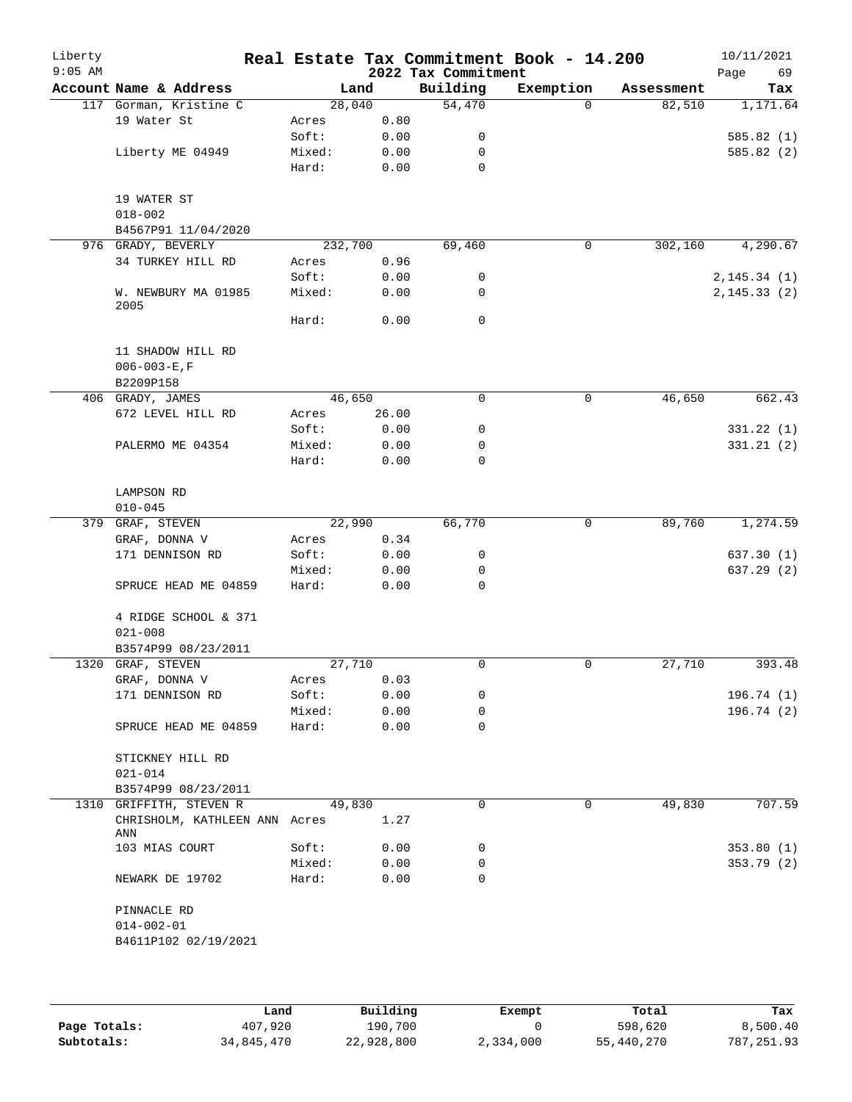| Liberty<br>$9:05$ AM |                                      |         |       | 2022 Tax Commitment | Real Estate Tax Commitment Book - 14.200 |            | 10/11/2021<br>Page<br>69 |
|----------------------|--------------------------------------|---------|-------|---------------------|------------------------------------------|------------|--------------------------|
|                      | Account Name & Address               | Land    |       | Building            | Exemption                                | Assessment | Tax                      |
|                      | 117 Gorman, Kristine C               | 28,040  |       | 54,470              | $\Omega$                                 | 82,510     | 1,171.64                 |
|                      | 19 Water St                          | Acres   | 0.80  |                     |                                          |            |                          |
|                      |                                      | Soft:   | 0.00  | 0                   |                                          |            | 585.82 (1)               |
|                      | Liberty ME 04949                     | Mixed:  | 0.00  | 0                   |                                          |            | 585.82(2)                |
|                      |                                      | Hard:   | 0.00  | $\mathbf 0$         |                                          |            |                          |
|                      | 19 WATER ST                          |         |       |                     |                                          |            |                          |
|                      | $018 - 002$                          |         |       |                     |                                          |            |                          |
|                      | B4567P91 11/04/2020                  |         |       |                     |                                          |            |                          |
|                      | 976 GRADY, BEVERLY                   | 232,700 |       | 69,460              | 0                                        | 302,160    | 4,290.67                 |
|                      | 34 TURKEY HILL RD                    | Acres   | 0.96  |                     |                                          |            |                          |
|                      |                                      | Soft:   | 0.00  | 0                   |                                          |            | 2, 145.34(1)             |
|                      | W. NEWBURY MA 01985<br>2005          | Mixed:  | 0.00  | 0                   |                                          |            | 2, 145.33(2)             |
|                      |                                      | Hard:   | 0.00  | $\mathbf 0$         |                                          |            |                          |
|                      | 11 SHADOW HILL RD                    |         |       |                     |                                          |            |                          |
|                      | $006 - 003 - E$ , F                  |         |       |                     |                                          |            |                          |
|                      | B2209P158                            |         |       |                     |                                          |            |                          |
|                      | 406 GRADY, JAMES                     | 46,650  |       | 0                   | 0                                        | 46,650     | 662.43                   |
|                      | 672 LEVEL HILL RD                    | Acres   | 26.00 |                     |                                          |            |                          |
|                      |                                      | Soft:   | 0.00  | 0                   |                                          |            | 331.22(1)                |
|                      | PALERMO ME 04354                     | Mixed:  | 0.00  | 0                   |                                          |            | 331.21(2)                |
|                      |                                      | Hard:   | 0.00  | 0                   |                                          |            |                          |
|                      | LAMPSON RD                           |         |       |                     |                                          |            |                          |
|                      | $010 - 045$                          |         |       |                     |                                          |            |                          |
|                      | 379 GRAF, STEVEN                     | 22,990  |       | 66,770              | 0                                        | 89,760     | 1,274.59                 |
|                      | GRAF, DONNA V                        | Acres   | 0.34  |                     |                                          |            |                          |
|                      | 171 DENNISON RD                      | Soft:   | 0.00  | 0                   |                                          |            | 637.30 (1)               |
|                      |                                      | Mixed:  | 0.00  | 0                   |                                          |            | 637.29(2)                |
|                      | SPRUCE HEAD ME 04859                 | Hard:   | 0.00  | 0                   |                                          |            |                          |
|                      | 4 RIDGE SCHOOL & 371                 |         |       |                     |                                          |            |                          |
|                      | $021 - 008$                          |         |       |                     |                                          |            |                          |
|                      | B3574P99 08/23/2011                  |         |       |                     |                                          |            |                          |
|                      | 1320 GRAF, STEVEN                    | 27,710  |       | 0                   | 0                                        | 27,710     | 393.48                   |
|                      | $\mathtt{GRAF}$ , $\mathtt{DONNA}$ V | Acres   | 0.03  |                     |                                          |            |                          |
|                      | 171 DENNISON RD                      | Soft:   | 0.00  | 0                   |                                          |            | 196.74 (1)               |
|                      |                                      | Mixed:  | 0.00  | 0                   |                                          |            | 196.74(2)                |
|                      | SPRUCE HEAD ME 04859                 | Hard:   | 0.00  | 0                   |                                          |            |                          |
|                      | STICKNEY HILL RD                     |         |       |                     |                                          |            |                          |
|                      | $021 - 014$                          |         |       |                     |                                          |            |                          |
|                      | B3574P99 08/23/2011                  |         |       |                     |                                          |            |                          |
|                      | 1310 GRIFFITH, STEVEN R              | 49,830  |       | $\Omega$            | 0                                        | 49,830     | 707.59                   |
|                      | CHRISHOLM, KATHLEEN ANN Acres<br>ANN |         | 1.27  |                     |                                          |            |                          |
|                      | 103 MIAS COURT                       | Soft:   | 0.00  | 0                   |                                          |            | 353.80(1)                |
|                      |                                      | Mixed:  | 0.00  | 0                   |                                          |            | 353.79(2)                |
|                      | NEWARK DE 19702                      | Hard:   | 0.00  | 0                   |                                          |            |                          |
|                      | PINNACLE RD                          |         |       |                     |                                          |            |                          |
|                      | $014 - 002 - 01$                     |         |       |                     |                                          |            |                          |
|                      | B4611P102 02/19/2021                 |         |       |                     |                                          |            |                          |
|                      |                                      |         |       |                     |                                          |            |                          |
|                      |                                      |         |       |                     |                                          |            |                          |

|              | Land       | Building   | Exempt    | Total      | Tax          |
|--------------|------------|------------|-----------|------------|--------------|
| Page Totals: | 407,920    | 190,700    |           | 598,620    | 8,500.40     |
| Subtotals:   | 34,845,470 | 22,928,800 | 2,334,000 | 55,440,270 | 787, 251, 93 |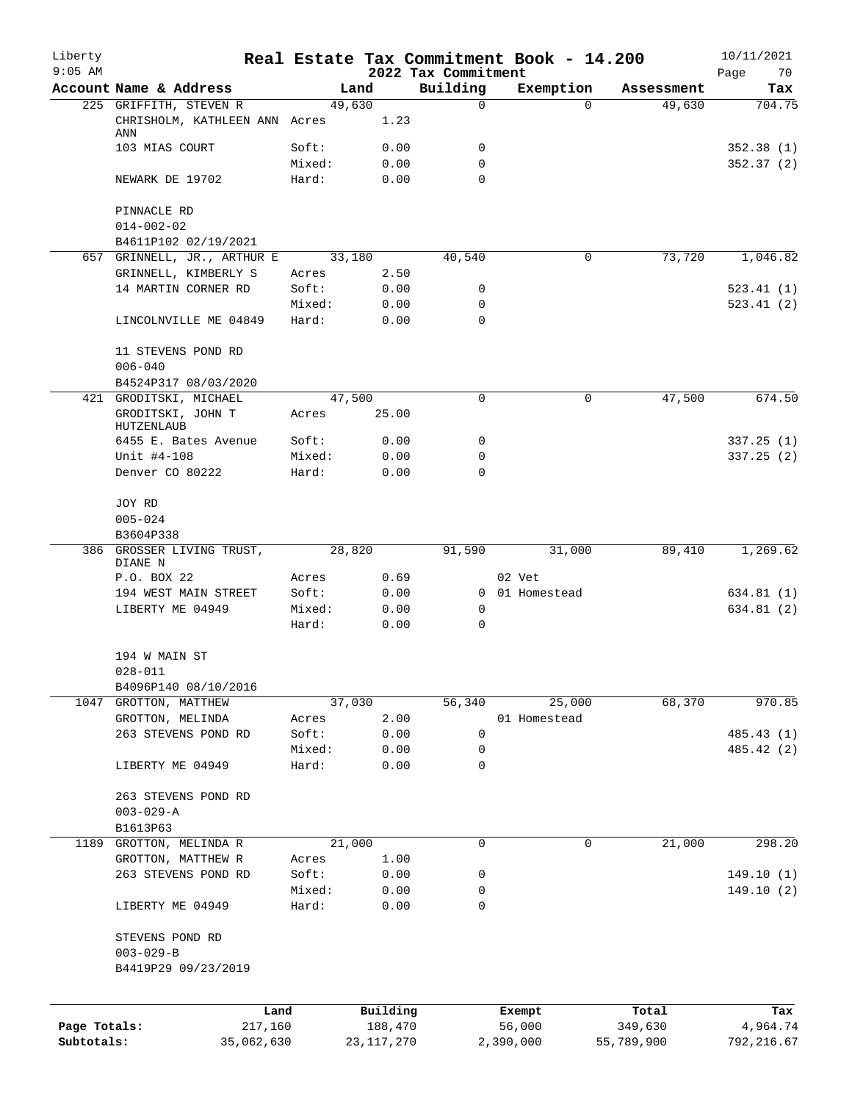| Liberty<br>$9:05$ AM |                                          |                 |              | 2022 Tax Commitment | Real Estate Tax Commitment Book - 14.200 |            | 10/11/2021<br>Page<br>70 |
|----------------------|------------------------------------------|-----------------|--------------|---------------------|------------------------------------------|------------|--------------------------|
|                      | Account Name & Address                   |                 | Land         | Building            | Exemption                                | Assessment | Tax                      |
|                      | 225 GRIFFITH, STEVEN R                   |                 | 49,630       | 0                   | $\Omega$                                 | 49,630     | 704.75                   |
|                      | CHRISHOLM, KATHLEEN ANN Acres<br>ANN     |                 | 1.23         |                     |                                          |            |                          |
|                      | 103 MIAS COURT                           | Soft:           | 0.00         | 0                   |                                          |            | 352.38(1)                |
|                      |                                          | Mixed:          | 0.00         | $\mathbf 0$         |                                          |            | 352.37(2)                |
|                      | NEWARK DE 19702                          | Hard:           | 0.00         | $\Omega$            |                                          |            |                          |
|                      | PINNACLE RD                              |                 |              |                     |                                          |            |                          |
|                      | $014 - 002 - 02$<br>B4611P102 02/19/2021 |                 |              |                     |                                          |            |                          |
|                      | 657 GRINNELL, JR., ARTHUR E              |                 | 33,180       | 40,540              | 0                                        | 73,720     | 1,046.82                 |
|                      | GRINNELL, KIMBERLY S                     | Acres           | 2.50         |                     |                                          |            |                          |
|                      | 14 MARTIN CORNER RD                      | Soft:           | 0.00         | 0                   |                                          |            | 523.41(1)                |
|                      |                                          | Mixed:          | 0.00         | 0                   |                                          |            | 523.41(2)                |
|                      | LINCOLNVILLE ME 04849                    | Hard:           | 0.00         | $\Omega$            |                                          |            |                          |
|                      | 11 STEVENS POND RD<br>$006 - 040$        |                 |              |                     |                                          |            |                          |
|                      | B4524P317 08/03/2020                     |                 |              |                     |                                          |            |                          |
|                      | 421 GRODITSKI, MICHAEL                   |                 | 47,500       | 0                   | $\mathbf 0$                              | 47,500     | 674.50                   |
|                      | GRODITSKI, JOHN T<br>HUTZENLAUB          | Acres           | 25.00        |                     |                                          |            |                          |
|                      | 6455 E. Bates Avenue                     | Soft:           | 0.00         | 0                   |                                          |            | 337.25(1)                |
|                      | Unit #4-108                              | Mixed:          | 0.00         | 0                   |                                          |            | 337.25(2)                |
|                      | Denver CO 80222                          | Hard:           | 0.00         | $\Omega$            |                                          |            |                          |
|                      | JOY RD                                   |                 |              |                     |                                          |            |                          |
|                      | $005 - 024$                              |                 |              |                     |                                          |            |                          |
|                      | B3604P338                                |                 |              |                     |                                          |            |                          |
|                      | 386 GROSSER LIVING TRUST,<br>DIANE N     |                 | 28,820       | 91,590              | 31,000                                   | 89,410     | 1,269.62                 |
|                      | P.O. BOX 22                              | Acres           | 0.69         |                     | 02 Vet                                   |            |                          |
|                      | 194 WEST MAIN STREET                     | Soft:           | 0.00         | 0                   | 0 01 Homestead                           |            | 634.81 (1)               |
|                      | LIBERTY ME 04949                         | Mixed:<br>Hard: | 0.00<br>0.00 | 0                   |                                          |            | 634.81 (2)               |
|                      | 194 W MAIN ST                            |                 |              |                     |                                          |            |                          |
|                      | $028 - 011$                              |                 |              |                     |                                          |            |                          |
|                      | B4096P140 08/10/2016                     |                 |              |                     |                                          |            |                          |
|                      | 1047 GROTTON, MATTHEW                    |                 | 37,030       | 56, 340             | 25,000                                   | 68,370     | 970.85                   |
|                      | GROTTON, MELINDA                         | Acres           | 2.00         |                     | 01 Homestead                             |            |                          |
|                      | 263 STEVENS POND RD                      | Soft:           | 0.00         | 0                   |                                          |            | 485.43 (1)               |
|                      |                                          | Mixed:          | 0.00         | 0                   |                                          |            | 485.42 (2)               |
|                      | LIBERTY ME 04949                         | Hard:           | 0.00         | 0                   |                                          |            |                          |
|                      | 263 STEVENS POND RD                      |                 |              |                     |                                          |            |                          |
|                      | $003 - 029 - A$                          |                 |              |                     |                                          |            |                          |
|                      | B1613P63                                 |                 |              |                     |                                          |            |                          |
| 1189                 | GROTTON, MELINDA R                       |                 | 21,000       | 0                   | 0                                        | 21,000     | 298.20                   |
|                      | GROTTON, MATTHEW R                       | Acres           | 1.00         |                     |                                          |            |                          |
|                      | 263 STEVENS POND RD                      | Soft:           | 0.00         | 0                   |                                          |            | 149.10(1)                |
|                      |                                          | Mixed:          | 0.00         | 0                   |                                          |            | 149.10(2)                |
|                      | LIBERTY ME 04949                         | Hard:           | 0.00         | 0                   |                                          |            |                          |
|                      | STEVENS POND RD                          |                 |              |                     |                                          |            |                          |
|                      | $003 - 029 - B$<br>B4419P29 09/23/2019   |                 |              |                     |                                          |            |                          |
|                      |                                          |                 |              |                     |                                          |            |                          |
|                      | Land                                     |                 | Building     |                     | Exempt                                   | Total      | Tax                      |
| Page Totals:         | 217,160                                  |                 | 188,470      |                     | 56,000                                   | 349,630    | 4,964.74                 |
| Subtotals:           | 35,062,630                               |                 | 23, 117, 270 |                     | 2,390,000                                | 55,789,900 | 792, 216.67              |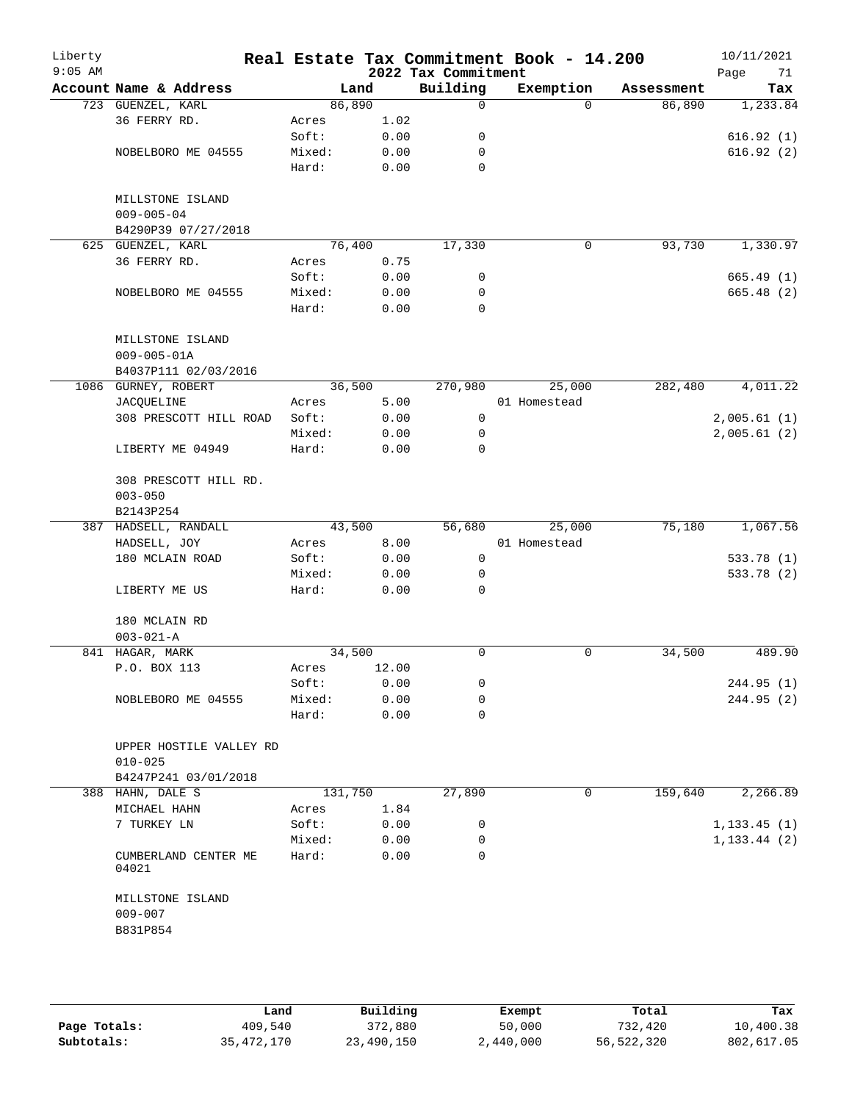| Liberty<br>$9:05$ AM |                                          |                 |              | 2022 Tax Commitment | Real Estate Tax Commitment Book - 14.200 |            | 10/11/2021<br>Page<br>71 |
|----------------------|------------------------------------------|-----------------|--------------|---------------------|------------------------------------------|------------|--------------------------|
|                      | Account Name & Address                   | Land            |              | Building            | Exemption                                | Assessment | Tax                      |
|                      | 723 GUENZEL, KARL                        | 86,890          |              | 0                   | $\Omega$                                 | 86,890     | 1,233.84                 |
|                      | 36 FERRY RD.                             | Acres           | 1.02         |                     |                                          |            |                          |
|                      |                                          | Soft:           | 0.00         | 0                   |                                          |            | 616.92(1)                |
|                      | NOBELBORO ME 04555                       | Mixed:          | 0.00         | 0                   |                                          |            | 616.92(2)                |
|                      |                                          | Hard:           | 0.00         | $\mathbf 0$         |                                          |            |                          |
|                      | MILLSTONE ISLAND                         |                 |              |                     |                                          |            |                          |
|                      | $009 - 005 - 04$                         |                 |              |                     |                                          |            |                          |
|                      | B4290P39 07/27/2018                      |                 |              |                     |                                          |            |                          |
|                      | 625 GUENZEL, KARL                        | 76,400          |              | 17,330              | $\mathsf{O}$                             | 93,730     | 1,330.97                 |
|                      | 36 FERRY RD.                             | Acres           | 0.75         |                     |                                          |            |                          |
|                      |                                          | Soft:           | 0.00         | 0                   |                                          |            | 665.49(1)                |
|                      | NOBELBORO ME 04555                       | Mixed:          | 0.00         | 0                   |                                          |            | 665.48 (2)               |
|                      |                                          | Hard:           | 0.00         | $\mathbf 0$         |                                          |            |                          |
|                      | MILLSTONE ISLAND                         |                 |              |                     |                                          |            |                          |
|                      | $009 - 005 - 01A$                        |                 |              |                     |                                          |            |                          |
|                      | B4037P111 02/03/2016                     |                 |              |                     |                                          |            |                          |
|                      | 1086 GURNEY, ROBERT                      | 36,500          |              | 270,980             | 25,000                                   | 282,480    | 4,011.22                 |
|                      | JACQUELINE                               | Acres           | 5.00         |                     | 01 Homestead                             |            |                          |
|                      | 308 PRESCOTT HILL ROAD                   | Soft:           | 0.00         | 0                   |                                          |            | 2,005.61(1)              |
|                      |                                          | Mixed:          | 0.00         | 0                   |                                          |            | 2,005.61(2)              |
|                      | LIBERTY ME 04949                         | Hard:           | 0.00         | 0                   |                                          |            |                          |
|                      | 308 PRESCOTT HILL RD.                    |                 |              |                     |                                          |            |                          |
|                      | $003 - 050$                              |                 |              |                     |                                          |            |                          |
|                      | B2143P254                                |                 |              |                     |                                          |            |                          |
|                      | 387 HADSELL, RANDALL                     | 43,500          |              | 56,680              | 25,000                                   | 75,180     | 1,067.56                 |
|                      | HADSELL, JOY                             | Acres           | 8.00         |                     | 01 Homestead                             |            |                          |
|                      | 180 MCLAIN ROAD                          | Soft:           | 0.00         | $\mathsf{O}$        |                                          |            | 533.78 (1)               |
|                      |                                          | Mixed:          | 0.00         | 0                   |                                          |            | 533.78 (2)               |
|                      | LIBERTY ME US                            | Hard:           | 0.00         | 0                   |                                          |            |                          |
|                      | 180 MCLAIN RD<br>$003 - 021 - A$         |                 |              |                     |                                          |            |                          |
|                      | 841 HAGAR, MARK                          | 34,500          |              | 0                   | 0                                        | 34,500     | 489.90                   |
|                      | P.O. BOX 113                             | Acres           | 12.00        |                     |                                          |            |                          |
|                      |                                          | Soft:           | 0.00         | 0                   |                                          |            | 244.95(1)                |
|                      | NOBLEBORO ME 04555                       | Mixed:          | 0.00         | 0                   |                                          |            | 244.95 (2)               |
|                      |                                          | Hard:           | 0.00         | 0                   |                                          |            |                          |
|                      | UPPER HOSTILE VALLEY RD                  |                 |              |                     |                                          |            |                          |
|                      | $010 - 025$                              |                 |              |                     |                                          |            |                          |
|                      | B4247P241 03/01/2018<br>388 HAHN, DALE S | 131,750         |              | 27,890              | 0                                        | 159,640    | 2,266.89                 |
|                      |                                          |                 |              |                     |                                          |            |                          |
|                      | MICHAEL HAHN                             | Acres           | 1.84         |                     |                                          |            |                          |
|                      | 7 TURKEY LN                              | Soft:           | 0.00         | 0                   |                                          |            | 1, 133.45(1)             |
|                      | CUMBERLAND CENTER ME<br>04021            | Mixed:<br>Hard: | 0.00<br>0.00 | 0<br>$\Omega$       |                                          |            | 1, 133.44 (2)            |
|                      | MILLSTONE ISLAND<br>$009 - 007$          |                 |              |                     |                                          |            |                          |
|                      | B831P854                                 |                 |              |                     |                                          |            |                          |
|                      |                                          |                 |              |                     |                                          |            |                          |

|              | Land         | Building   | Exempt    | Total      | Tax        |
|--------------|--------------|------------|-----------|------------|------------|
| Page Totals: | 409,540      | 372,880    | 50,000    | 732,420    | 10,400.38  |
| Subtotals:   | 35, 472, 170 | 23,490,150 | 2,440,000 | 56,522,320 | 802,617.05 |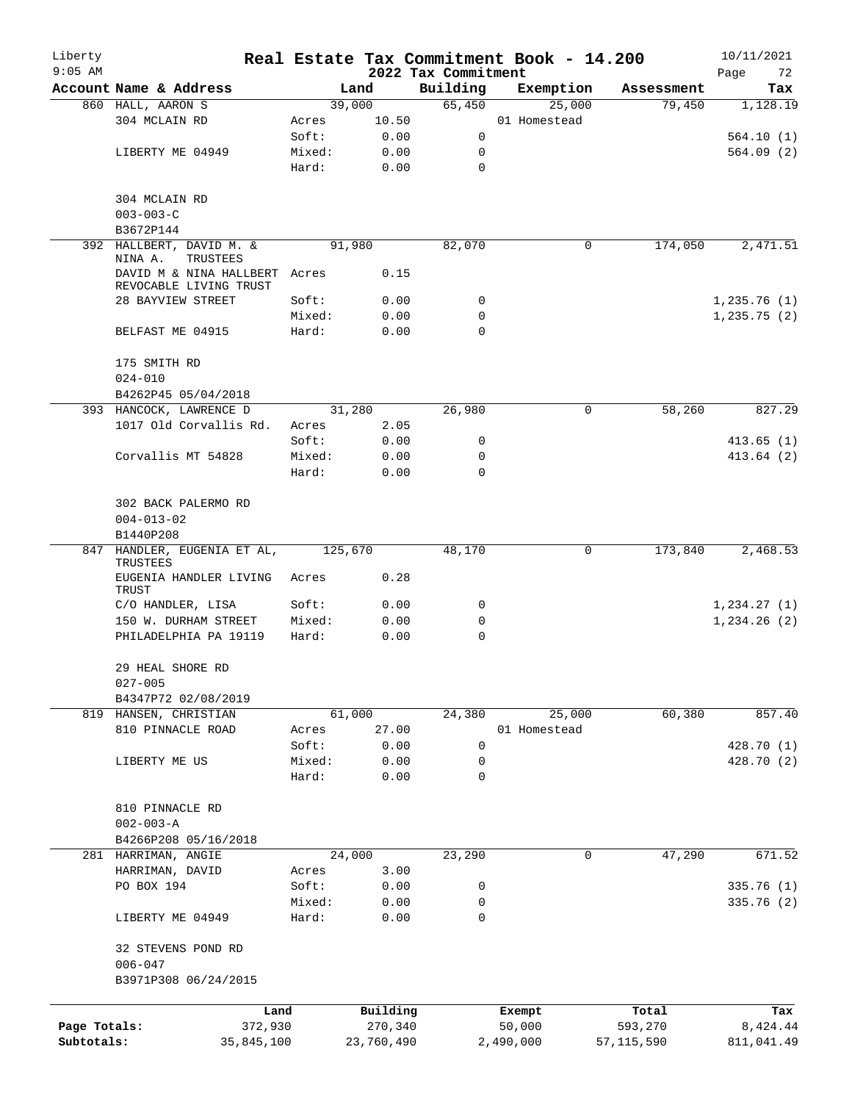| Liberty<br>$9:05$ AM    |                                                         |                 |               |                                 | Real Estate Tax Commitment Book - 14.200 |            | 10/11/2021        |
|-------------------------|---------------------------------------------------------|-----------------|---------------|---------------------------------|------------------------------------------|------------|-------------------|
|                         | Account Name & Address                                  |                 | Land          | 2022 Tax Commitment<br>Building | Exemption                                | Assessment | Page<br>72<br>Tax |
|                         | 860 HALL, AARON S                                       |                 | 39,000        | 65,450                          | 25,000                                   | 79,450     | 1,128.19          |
|                         | 304 MCLAIN RD                                           | Acres           | 10.50         |                                 | 01 Homestead                             |            |                   |
|                         |                                                         | Soft:           | 0.00          | 0                               |                                          |            | 564.10(1)         |
|                         | LIBERTY ME 04949                                        | Mixed:          | 0.00          | 0                               |                                          |            | 564.09(2)         |
|                         |                                                         | Hard:           | 0.00          | $\mathbf 0$                     |                                          |            |                   |
|                         | 304 MCLAIN RD                                           |                 |               |                                 |                                          |            |                   |
|                         | $003 - 003 - C$                                         |                 |               |                                 |                                          |            |                   |
|                         | B3672P144                                               |                 |               |                                 |                                          |            |                   |
|                         | 392 HALLBERT, DAVID M. &<br>NINA A.<br>TRUSTEES         |                 | 91,980        | 82,070                          | 0                                        | 174,050    | 2,471.51          |
|                         | DAVID M & NINA HALLBERT Acres<br>REVOCABLE LIVING TRUST |                 | 0.15          |                                 |                                          |            |                   |
|                         | 28 BAYVIEW STREET                                       | Soft:           | 0.00          | 0                               |                                          |            | 1,235.76(1)       |
|                         |                                                         | Mixed:          | 0.00          | 0                               |                                          |            | 1, 235.75(2)      |
|                         | BELFAST ME 04915                                        | Hard:           | 0.00          | 0                               |                                          |            |                   |
|                         | 175 SMITH RD<br>$024 - 010$                             |                 |               |                                 |                                          |            |                   |
|                         | B4262P45 05/04/2018                                     |                 |               |                                 |                                          |            |                   |
|                         | 393 HANCOCK, LAWRENCE D                                 |                 | 31,280        | 26,980                          | 0                                        | 58,260     | 827.29            |
|                         | 1017 Old Corvallis Rd.                                  | Acres           | 2.05          |                                 |                                          |            |                   |
|                         |                                                         | Soft:           | 0.00          | 0                               |                                          |            | 413.65(1)         |
|                         | Corvallis MT 54828                                      | Mixed:          | 0.00          | 0                               |                                          |            | 413.64 (2)        |
|                         |                                                         | Hard:           | 0.00          | 0                               |                                          |            |                   |
|                         | 302 BACK PALERMO RD                                     |                 |               |                                 |                                          |            |                   |
|                         | $004 - 013 - 02$<br>B1440P208                           |                 |               |                                 |                                          |            |                   |
|                         | 847 HANDLER, EUGENIA ET AL,<br>TRUSTEES                 | 125,670         |               | 48,170                          | 0                                        | 173,840    | 2,468.53          |
|                         | EUGENIA HANDLER LIVING<br>TRUST                         | Acres           | 0.28          |                                 |                                          |            |                   |
|                         | C/O HANDLER, LISA                                       | Soft:           | 0.00          | 0                               |                                          |            | 1,234.27(1)       |
|                         | 150 W. DURHAM STREET                                    | Mixed:          | 0.00          | 0                               |                                          |            | 1, 234.26 (2)     |
|                         | PHILADELPHIA PA 19119                                   | Hard:           | 0.00          | 0                               |                                          |            |                   |
|                         | 29 HEAL SHORE RD                                        |                 |               |                                 |                                          |            |                   |
|                         | $027 - 005$                                             |                 |               |                                 |                                          |            |                   |
|                         | B4347P72 02/08/2019                                     |                 |               |                                 |                                          |            |                   |
| 819                     | HANSEN, CHRISTIAN                                       |                 | 61,000        | 24,380                          | 25,000                                   | 60,380     | 857.40            |
|                         | 810 PINNACLE ROAD                                       | Acres<br>Soft:  | 27.00<br>0.00 | 0                               | 01 Homestead                             |            | 428.70 (1)        |
|                         | LIBERTY ME US                                           | Mixed:          | 0.00          | 0                               |                                          |            | 428.70 (2)        |
|                         |                                                         | Hard:           | 0.00          | $\mathbf 0$                     |                                          |            |                   |
|                         | 810 PINNACLE RD                                         |                 |               |                                 |                                          |            |                   |
|                         | $002 - 003 - A$                                         |                 |               |                                 |                                          |            |                   |
|                         | B4266P208 05/16/2018                                    |                 |               |                                 |                                          |            |                   |
|                         | 281 HARRIMAN, ANGIE                                     |                 | 24,000        | 23,290                          | 0                                        | 47,290     | 671.52            |
|                         | HARRIMAN, DAVID                                         | Acres           | 3.00          |                                 |                                          |            |                   |
|                         | PO BOX 194                                              | Soft:           | 0.00          | 0                               |                                          |            | 335.76 (1)        |
|                         | LIBERTY ME 04949                                        | Mixed:<br>Hard: | 0.00<br>0.00  | 0<br>$\mathbf 0$                |                                          |            | 335.76 (2)        |
|                         | 32 STEVENS POND RD                                      |                 |               |                                 |                                          |            |                   |
|                         | $006 - 047$                                             |                 |               |                                 |                                          |            |                   |
|                         | B3971P308 06/24/2015                                    |                 |               |                                 |                                          |            |                   |
|                         | Land                                                    |                 | Building      |                                 | Exempt                                   | Total      | Tax               |
| Page Totals:<br>372,930 |                                                         |                 | 270,340       |                                 | 50,000                                   | 593,270    | 8,424.44          |
| Subtotals:              | 35,845,100                                              |                 | 23,760,490    |                                 | 2,490,000                                | 57,115,590 | 811,041.49        |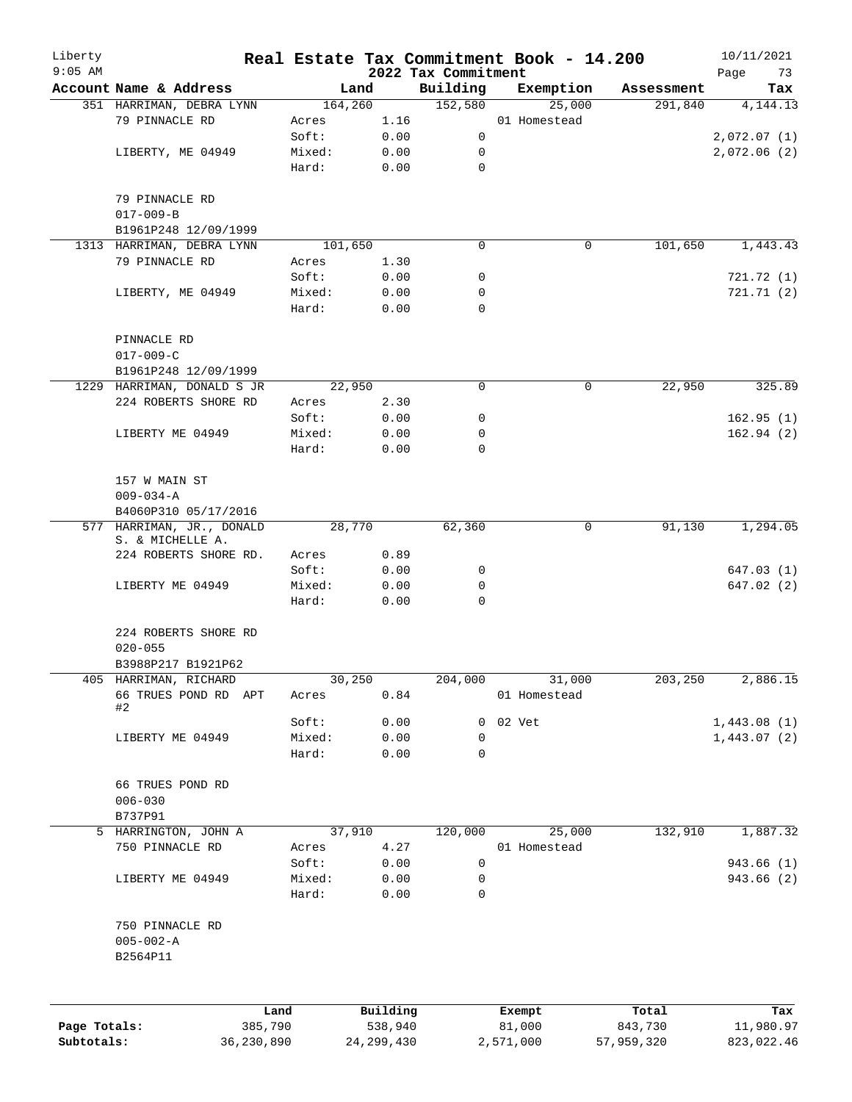| Liberty<br>$9:05$ AM |                                                |         |              | 2022 Tax Commitment | Real Estate Tax Commitment Book - 14.200 |            | 10/11/2021<br>Page<br>73 |
|----------------------|------------------------------------------------|---------|--------------|---------------------|------------------------------------------|------------|--------------------------|
|                      | Account Name & Address                         |         | Land         | Building            | Exemption                                | Assessment | Tax                      |
|                      | 351 HARRIMAN, DEBRA LYNN                       |         | 164,260      | 152,580             | 25,000                                   | 291,840    | 4, 144. 13               |
|                      | 79 PINNACLE RD                                 | Acres   | 1.16         |                     | 01 Homestead                             |            |                          |
|                      |                                                | Soft:   | 0.00         | 0                   |                                          |            | 2,072.07(1)              |
|                      | LIBERTY, ME 04949                              | Mixed:  | 0.00         | 0                   |                                          |            | 2,072.06(2)              |
|                      |                                                | Hard:   | 0.00         | $\mathbf 0$         |                                          |            |                          |
|                      | 79 PINNACLE RD                                 |         |              |                     |                                          |            |                          |
|                      | $017 - 009 - B$                                |         |              |                     |                                          |            |                          |
|                      | B1961P248 12/09/1999                           |         |              |                     |                                          |            |                          |
|                      | 1313 HARRIMAN, DEBRA LYNN                      |         | 101,650      | 0                   | 0                                        | 101,650    | 1,443.43                 |
|                      | 79 PINNACLE RD                                 | Acres   | 1.30         |                     |                                          |            |                          |
|                      |                                                | Soft:   | 0.00         | 0                   |                                          |            | 721.72 (1)               |
|                      | LIBERTY, ME 04949                              | Mixed:  | 0.00         | 0                   |                                          |            | 721.71(2)                |
|                      |                                                | Hard:   | 0.00         | 0                   |                                          |            |                          |
|                      | PINNACLE RD                                    |         |              |                     |                                          |            |                          |
|                      | $017 - 009 - C$                                |         |              |                     |                                          |            |                          |
|                      | B1961P248 12/09/1999                           |         |              |                     |                                          |            |                          |
|                      | 1229 HARRIMAN, DONALD S JR                     |         | 22,950       | 0                   | 0                                        | 22,950     | 325.89                   |
|                      | 224 ROBERTS SHORE RD                           | Acres   | 2.30         |                     |                                          |            |                          |
|                      |                                                | Soft:   | 0.00         | 0                   |                                          |            | 162.95(1)                |
|                      | LIBERTY ME 04949                               | Mixed:  | 0.00         | 0                   |                                          |            | 162.94(2)                |
|                      |                                                | Hard:   | 0.00         | 0                   |                                          |            |                          |
|                      | 157 W MAIN ST<br>$009 - 034 - A$               |         |              |                     |                                          |            |                          |
|                      | B4060P310 05/17/2016                           |         |              |                     |                                          |            |                          |
|                      | 577 HARRIMAN, JR., DONALD<br>S. & MICHELLE A.  |         | 28,770       | 62,360              | 0                                        | 91, 130    | 1,294.05                 |
|                      | 224 ROBERTS SHORE RD.                          | Acres   | 0.89         |                     |                                          |            |                          |
|                      |                                                | Soft:   | 0.00         | 0                   |                                          |            | 647.03(1)                |
|                      | LIBERTY ME 04949                               | Mixed:  | 0.00         | 0                   |                                          |            | 647.02 (2)               |
|                      |                                                | Hard:   | 0.00         | $\mathbf 0$         |                                          |            |                          |
|                      | 224 ROBERTS SHORE RD<br>$020 - 055$            |         |              |                     |                                          |            |                          |
|                      | B3988P217 B1921P62                             |         |              |                     |                                          |            |                          |
|                      | 405 HARRIMAN, RICHARD                          |         | 30,250       | 204,000             | 31,000                                   | 203,250    | 2,886.15                 |
|                      | 66 TRUES POND RD APT<br>#2                     | Acres   | 0.84         |                     | 01 Homestead                             |            |                          |
|                      |                                                | Soft:   | 0.00         | 0                   | 02 Vet                                   |            | 1,443.08(1)              |
|                      | LIBERTY ME 04949                               | Mixed:  | 0.00         | 0                   |                                          |            | 1,443.07(2)              |
|                      |                                                | Hard:   | 0.00         | 0                   |                                          |            |                          |
|                      | 66 TRUES POND RD                               |         |              |                     |                                          |            |                          |
|                      | $006 - 030$                                    |         |              |                     |                                          |            |                          |
|                      | B737P91                                        |         |              |                     |                                          |            |                          |
| 5                    | HARRINGTON, JOHN A                             |         | 37,910       | 120,000             | 25,000                                   | 132,910    | 1,887.32                 |
|                      | 750 PINNACLE RD                                | Acres   | 4.27         |                     | 01 Homestead                             |            |                          |
|                      |                                                | Soft:   | 0.00         | 0                   |                                          |            | 943.66 (1)               |
|                      | LIBERTY ME 04949                               | Mixed:  | 0.00         | 0                   |                                          |            | 943.66 (2)               |
|                      |                                                | Hard:   | 0.00         | 0                   |                                          |            |                          |
|                      | 750 PINNACLE RD<br>$005 - 002 - A$<br>B2564P11 |         |              |                     |                                          |            |                          |
|                      |                                                |         |              |                     |                                          |            |                          |
|                      |                                                | Land    | Building     |                     | Exempt                                   | Total      | Tax                      |
| Page Totals:         |                                                | 385,790 | 538,940      |                     | 81,000                                   | 843,730    | 11,980.97                |
| Subtotals:           | 36,230,890                                     |         | 24, 299, 430 |                     | 2,571,000                                | 57,959,320 | 823,022.46               |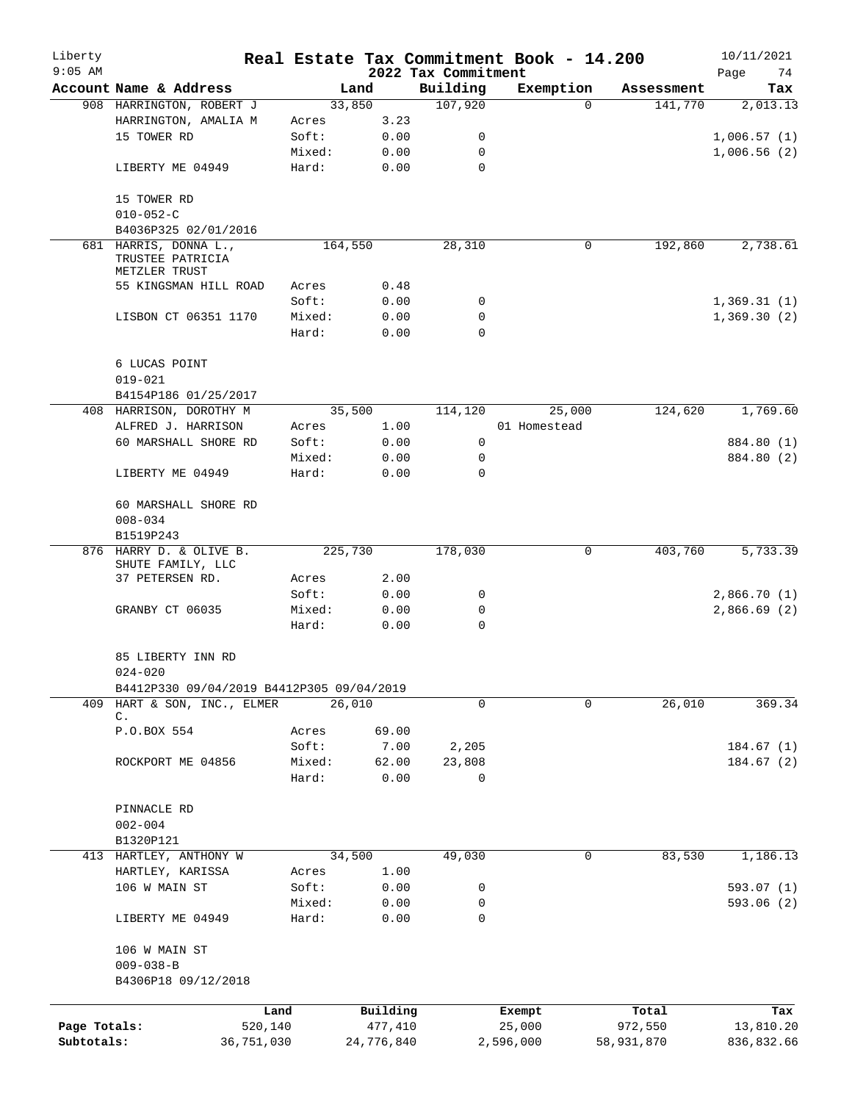| Liberty<br>$9:05$ AM |                                                        |                 |               | 2022 Tax Commitment | Real Estate Tax Commitment Book - 14.200 |            | 10/11/2021<br>74<br>Page |
|----------------------|--------------------------------------------------------|-----------------|---------------|---------------------|------------------------------------------|------------|--------------------------|
|                      | Account Name & Address                                 |                 | Land          | Building            | Exemption                                | Assessment | Tax                      |
|                      | 908 HARRINGTON, ROBERT J                               |                 | 33,850        | 107,920             | $\Omega$                                 | 141,770    | 2,013.13                 |
|                      | HARRINGTON, AMALIA M                                   | Acres           | 3.23          |                     |                                          |            |                          |
|                      | 15 TOWER RD                                            | Soft:           | 0.00          | 0                   |                                          |            | 1,006.57(1)              |
|                      |                                                        | Mixed:          | 0.00          | 0                   |                                          |            | 1,006.56(2)              |
|                      | LIBERTY ME 04949                                       | Hard:           | 0.00          | 0                   |                                          |            |                          |
|                      | 15 TOWER RD                                            |                 |               |                     |                                          |            |                          |
|                      | $010 - 052 - C$                                        |                 |               |                     |                                          |            |                          |
|                      | B4036P325 02/01/2016                                   |                 |               |                     |                                          |            |                          |
| 681                  | HARRIS, DONNA L.,<br>TRUSTEE PATRICIA<br>METZLER TRUST |                 | 164,550       | 28,310              | 0                                        | 192,860    | 2,738.61                 |
|                      | 55 KINGSMAN HILL ROAD                                  | Acres           | 0.48          |                     |                                          |            |                          |
|                      |                                                        | Soft:           | 0.00          | 0                   |                                          |            | 1,369.31(1)              |
|                      | LISBON CT 06351 1170                                   | Mixed:          | 0.00          | 0                   |                                          |            | 1,369.30(2)              |
|                      |                                                        | Hard:           | 0.00          | $\mathbf 0$         |                                          |            |                          |
|                      | 6 LUCAS POINT                                          |                 |               |                     |                                          |            |                          |
|                      | $019 - 021$                                            |                 |               |                     |                                          |            |                          |
|                      | B4154P186 01/25/2017                                   |                 |               |                     |                                          |            |                          |
|                      | 408 HARRISON, DOROTHY M                                |                 | 35,500        | 114,120             | 25,000                                   | 124,620    | 1,769.60                 |
|                      | ALFRED J. HARRISON                                     | Acres           | 1.00          |                     | 01 Homestead                             |            |                          |
|                      | 60 MARSHALL SHORE RD                                   | Soft:           | 0.00          | 0                   |                                          |            | 884.80 (1)               |
|                      |                                                        | Mixed:          | 0.00          | 0                   |                                          |            | 884.80 (2)               |
|                      | LIBERTY ME 04949                                       | Hard:           | 0.00          | $\Omega$            |                                          |            |                          |
|                      | 60 MARSHALL SHORE RD                                   |                 |               |                     |                                          |            |                          |
|                      | $008 - 034$<br>B1519P243                               |                 |               |                     |                                          |            |                          |
| 876                  | HARRY D. & OLIVE B.                                    |                 | 225,730       | 178,030             | 0                                        | 403,760    | 5,733.39                 |
|                      | SHUTE FAMILY, LLC                                      |                 |               |                     |                                          |            |                          |
|                      | 37 PETERSEN RD.                                        | Acres           | 2.00          |                     |                                          |            |                          |
|                      |                                                        | Soft:           | 0.00          | 0                   |                                          |            | 2,866.70(1)              |
|                      | GRANBY CT 06035                                        | Mixed:          | 0.00          | 0                   |                                          |            | 2,866.69(2)              |
|                      |                                                        | Hard:           | 0.00          | 0                   |                                          |            |                          |
|                      | 85 LIBERTY INN RD<br>$024 - 020$                       |                 |               |                     |                                          |            |                          |
|                      | B4412P330 09/04/2019 B4412P305 09/04/2019              |                 |               |                     |                                          |            |                          |
| 409                  | HART & SON, INC., ELMER                                |                 | 26,010        | 0                   | 0                                        | 26,010     | 369.34                   |
|                      | С.                                                     |                 |               |                     |                                          |            |                          |
|                      | P.O.BOX 554                                            | Acres           | 69.00         |                     |                                          |            |                          |
|                      |                                                        | Soft:           | 7.00          | 2,205               |                                          |            | 184.67(1)                |
|                      | ROCKPORT ME 04856                                      | Mixed:<br>Hard: | 62.00<br>0.00 | 23,808<br>0         |                                          |            | 184.67(2)                |
|                      | PINNACLE RD                                            |                 |               |                     |                                          |            |                          |
|                      | $002 - 004$                                            |                 |               |                     |                                          |            |                          |
|                      | B1320P121                                              |                 |               |                     |                                          |            |                          |
| 413                  | HARTLEY, ANTHONY W                                     |                 | 34,500        | 49,030              | 0                                        | 83,530     | 1,186.13                 |
|                      |                                                        |                 | 1.00          |                     |                                          |            |                          |
|                      | HARTLEY, KARISSA<br>106 W MAIN ST                      | Acres<br>Soft:  | 0.00          | 0                   |                                          |            | 593.07(1)                |
|                      |                                                        |                 |               |                     |                                          |            |                          |
|                      | LIBERTY ME 04949                                       | Mixed:<br>Hard: | 0.00<br>0.00  | 0<br>0              |                                          |            | 593.06(2)                |
|                      | 106 W MAIN ST                                          |                 |               |                     |                                          |            |                          |
|                      | $009 - 038 - B$                                        |                 |               |                     |                                          |            |                          |
|                      | B4306P18 09/12/2018                                    |                 |               |                     |                                          |            |                          |
|                      |                                                        | Land            | Building      |                     | Exempt                                   | Total      | Tax                      |
| Page Totals:         | 520,140                                                |                 | 477,410       |                     | 25,000                                   | 972,550    | 13,810.20                |
| Subtotals:           | 36,751,030                                             |                 | 24,776,840    |                     | 2,596,000                                | 58,931,870 | 836,832.66               |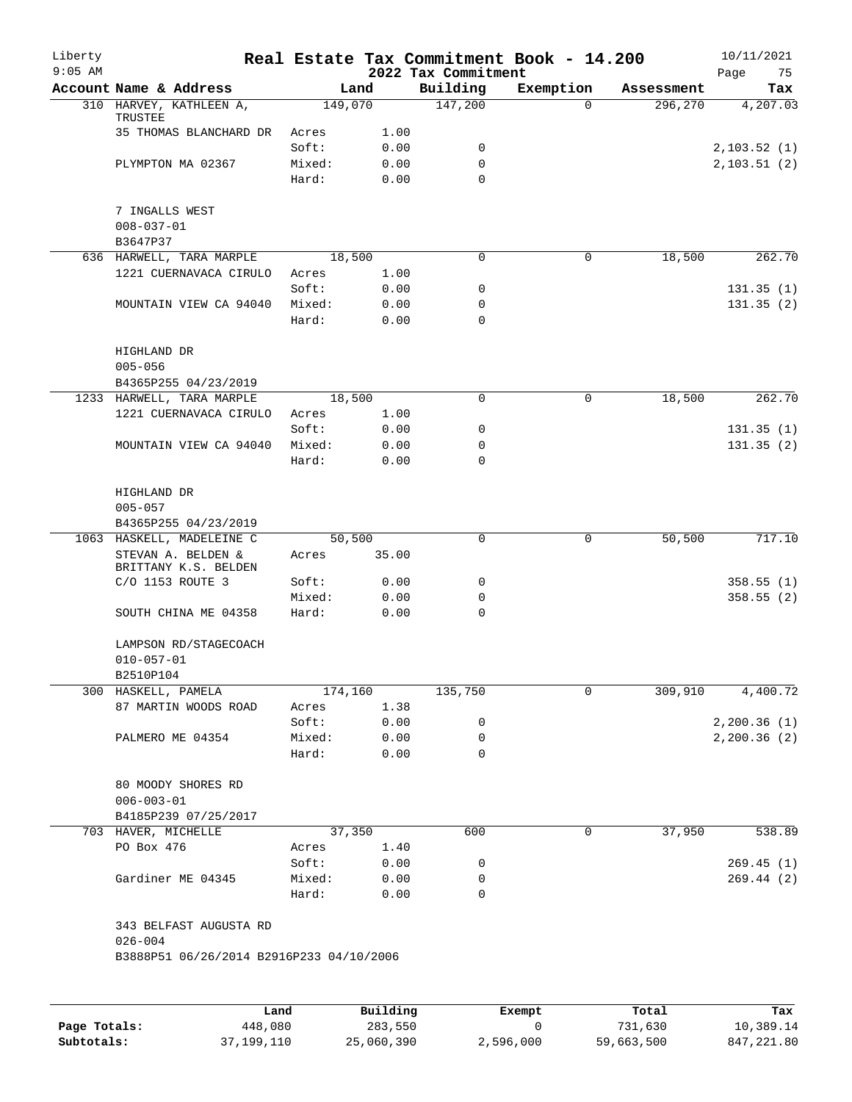| Liberty<br>$9:05$ AM |                                            |         |        | 2022 Tax Commitment | Real Estate Tax Commitment Book - 14.200 |            | 10/11/2021<br>75<br>Page |
|----------------------|--------------------------------------------|---------|--------|---------------------|------------------------------------------|------------|--------------------------|
|                      | Account Name & Address                     |         | Land   | Building            | Exemption                                | Assessment | Tax                      |
|                      | 310 HARVEY, KATHLEEN A,<br>TRUSTEE         | 149,070 |        | 147,200             | $\Omega$                                 | 296,270    | 4,207.03                 |
|                      | 35 THOMAS BLANCHARD DR                     | Acres   | 1.00   |                     |                                          |            |                          |
|                      |                                            | Soft:   | 0.00   | 0                   |                                          |            | 2,103.52(1)              |
|                      | PLYMPTON MA 02367                          | Mixed:  | 0.00   | 0                   |                                          |            | 2, 103.51(2)             |
|                      |                                            | Hard:   | 0.00   | $\Omega$            |                                          |            |                          |
|                      | 7 INGALLS WEST<br>$008 - 037 - 01$         |         |        |                     |                                          |            |                          |
|                      | B3647P37                                   |         |        |                     |                                          |            |                          |
|                      | 636 HARWELL, TARA MARPLE                   | 18,500  |        | 0                   | $\mathbf 0$                              | 18,500     | 262.70                   |
|                      | 1221 CUERNAVACA CIRULO                     | Acres   | 1.00   |                     |                                          |            |                          |
|                      |                                            | Soft:   | 0.00   | 0                   |                                          |            | 131.35(1)                |
|                      | MOUNTAIN VIEW CA 94040                     | Mixed:  | 0.00   | 0                   |                                          |            | 131.35(2)                |
|                      |                                            | Hard:   | 0.00   | $\mathbf 0$         |                                          |            |                          |
|                      | HIGHLAND DR<br>$005 - 056$                 |         |        |                     |                                          |            |                          |
|                      | B4365P255 04/23/2019                       |         |        |                     |                                          |            |                          |
|                      | 1233 HARWELL, TARA MARPLE                  | 18,500  |        | $\mathbf 0$         | $\mathbf 0$                              | 18,500     | 262.70                   |
|                      | 1221 CUERNAVACA CIRULO                     | Acres   | 1.00   |                     |                                          |            |                          |
|                      |                                            | Soft:   | 0.00   | 0                   |                                          |            | 131.35(1)                |
|                      | MOUNTAIN VIEW CA 94040                     | Mixed:  | 0.00   | 0                   |                                          |            | 131.35(2)                |
|                      |                                            | Hard:   | 0.00   | $\Omega$            |                                          |            |                          |
|                      | HIGHLAND DR                                |         |        |                     |                                          |            |                          |
|                      | $005 - 057$                                |         |        |                     |                                          |            |                          |
|                      | B4365P255 04/23/2019                       |         |        |                     |                                          |            |                          |
| 1063                 | HASKELL, MADELEINE C                       |         | 50,500 | 0                   | $\mathbf 0$                              | 50,500     | 717.10                   |
|                      | STEVAN A. BELDEN &<br>BRITTANY K.S. BELDEN | Acres   | 35.00  |                     |                                          |            |                          |
|                      | C/O 1153 ROUTE 3                           | Soft:   | 0.00   | 0                   |                                          |            | 358.55(1)                |
|                      |                                            | Mixed:  | 0.00   | 0                   |                                          |            | 358.55(2)                |
|                      | SOUTH CHINA ME 04358                       | Hard:   | 0.00   | 0                   |                                          |            |                          |
|                      | LAMPSON RD/STAGECOACH<br>$010 - 057 - 01$  |         |        |                     |                                          |            |                          |
|                      | B2510P104                                  |         |        |                     |                                          |            |                          |
|                      | 300 HASKELL, PAMELA                        | 174,160 |        | 135,750             | 0                                        | 309,910    | 4,400.72                 |
|                      | 87 MARTIN WOODS ROAD                       | Acres   | 1.38   |                     |                                          |            |                          |
|                      |                                            | Soft:   | 0.00   | 0                   |                                          |            | 2,200.36(1)              |
|                      |                                            | Mixed:  | 0.00   | 0                   |                                          |            | 2, 200.36(2)             |
|                      | PALMERO ME 04354                           | Hard:   | 0.00   | 0                   |                                          |            |                          |
|                      |                                            |         |        |                     |                                          |            |                          |
|                      | 80 MOODY SHORES RD<br>$006 - 003 - 01$     |         |        |                     |                                          |            |                          |
|                      | B4185P239 07/25/2017                       |         |        |                     |                                          |            |                          |
|                      | 703 HAVER, MICHELLE                        |         | 37,350 | 600                 | 0                                        | 37,950     | 538.89                   |
|                      | PO Box 476                                 | Acres   | 1.40   |                     |                                          |            |                          |
|                      |                                            | Soft:   | 0.00   | 0                   |                                          |            | 269.45(1)                |
|                      | Gardiner ME 04345                          | Mixed:  | 0.00   | 0                   |                                          |            | 269.44(2)                |
|                      |                                            | Hard:   | 0.00   | 0                   |                                          |            |                          |
|                      | 343 BELFAST AUGUSTA RD<br>$026 - 004$      |         |        |                     |                                          |            |                          |
|                      | B3888P51 06/26/2014 B2916P233 04/10/2006   |         |        |                     |                                          |            |                          |
|                      |                                            |         |        |                     |                                          |            |                          |

|              | Land         | Building   | Exempt    | Total      | Tax          |
|--------------|--------------|------------|-----------|------------|--------------|
| Page Totals: | 448,080      | 283,550    |           | 731,630    | 10,389.14    |
| Subtotals:   | 37, 199, 110 | 25,060,390 | 2,596,000 | 59,663,500 | 847, 221, 80 |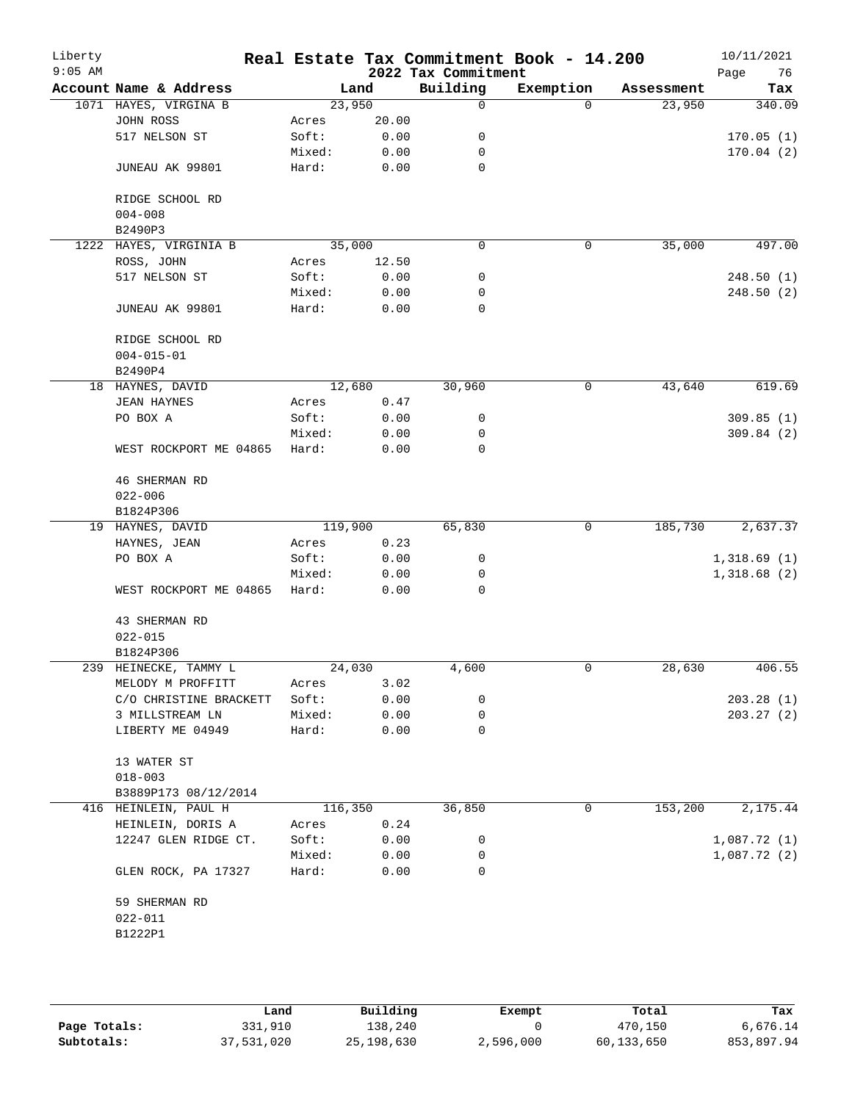| Liberty<br>$9:05$ AM |                        |                 |         |              | Real Estate Tax Commitment Book - 14.200<br>2022 Tax Commitment |           |          |            | 10/11/2021<br>76<br>Page |
|----------------------|------------------------|-----------------|---------|--------------|-----------------------------------------------------------------|-----------|----------|------------|--------------------------|
|                      | Account Name & Address |                 | Land    |              | Building                                                        | Exemption |          | Assessment | Tax                      |
|                      | 1071 HAYES, VIRGINA B  |                 | 23,950  |              | 0                                                               |           | $\Omega$ | 23,950     | 340.09                   |
|                      | JOHN ROSS              | Acres           |         | 20.00        |                                                                 |           |          |            |                          |
|                      | 517 NELSON ST          | Soft:           |         | 0.00         | 0                                                               |           |          |            | 170.05(1)                |
|                      |                        | Mixed:          |         | 0.00         | 0                                                               |           |          |            | 170.04(2)                |
|                      | JUNEAU AK 99801        | Hard:           |         | 0.00         | 0                                                               |           |          |            |                          |
|                      | RIDGE SCHOOL RD        |                 |         |              |                                                                 |           |          |            |                          |
|                      | $004 - 008$<br>B2490P3 |                 |         |              |                                                                 |           |          |            |                          |
| 1222                 | HAYES, VIRGINIA B      |                 | 35,000  |              | $\mathbf 0$                                                     |           | 0        | 35,000     | 497.00                   |
|                      | ROSS, JOHN             | Acres           |         | 12.50        |                                                                 |           |          |            |                          |
|                      | 517 NELSON ST          | Soft:           |         | 0.00         | 0                                                               |           |          |            | 248.50(1)                |
|                      |                        | Mixed:          |         | 0.00         | 0                                                               |           |          |            | 248.50(2)                |
|                      | JUNEAU AK 99801        | Hard:           |         | 0.00         | $\mathbf 0$                                                     |           |          |            |                          |
|                      | RIDGE SCHOOL RD        |                 |         |              |                                                                 |           |          |            |                          |
|                      | $004 - 015 - 01$       |                 |         |              |                                                                 |           |          |            |                          |
|                      | B2490P4                |                 |         |              |                                                                 |           |          |            |                          |
|                      | 18 HAYNES, DAVID       |                 | 12,680  |              | 30,960                                                          |           | 0        | 43,640     | 619.69                   |
|                      | <b>JEAN HAYNES</b>     | Acres           |         | 0.47         |                                                                 |           |          |            |                          |
|                      | PO BOX A               | Soft:           |         | 0.00         | 0                                                               |           |          |            | 309.85(1)                |
|                      |                        | Mixed:          |         | 0.00         | 0                                                               |           |          |            | 309.84(2)                |
|                      | WEST ROCKPORT ME 04865 | Hard:           |         | 0.00         | 0                                                               |           |          |            |                          |
|                      | <b>46 SHERMAN RD</b>   |                 |         |              |                                                                 |           |          |            |                          |
|                      | $022 - 006$            |                 |         |              |                                                                 |           |          |            |                          |
|                      | B1824P306              |                 |         |              |                                                                 |           |          |            |                          |
|                      | 19 HAYNES, DAVID       |                 | 119,900 |              | 65,830                                                          |           | 0        | 185,730    | 2,637.37                 |
|                      | HAYNES, JEAN           | Acres           |         | 0.23         |                                                                 |           |          |            |                          |
|                      | PO BOX A               | Soft:           |         | 0.00         | 0                                                               |           |          |            | 1,318.69(1)              |
|                      |                        |                 |         |              | 0                                                               |           |          |            | 1,318.68(2)              |
|                      | WEST ROCKPORT ME 04865 | Mixed:<br>Hard: |         | 0.00<br>0.00 | 0                                                               |           |          |            |                          |
|                      | 43 SHERMAN RD          |                 |         |              |                                                                 |           |          |            |                          |
|                      | $022 - 015$            |                 |         |              |                                                                 |           |          |            |                          |
|                      | B1824P306              |                 |         |              |                                                                 |           |          |            |                          |
|                      | 239 HEINECKE, TAMMY L  |                 | 24,030  |              | 4,600                                                           |           | 0        | 28,630     | 406.55                   |
|                      | MELODY M PROFFITT      | Acres           |         | 3.02         |                                                                 |           |          |            |                          |
|                      | C/O CHRISTINE BRACKETT | Soft:           |         | 0.00         | 0                                                               |           |          |            | 203.28(1)                |
|                      | 3 MILLSTREAM LN        | Mixed:          |         | 0.00         | 0                                                               |           |          |            | 203.27(2)                |
|                      | LIBERTY ME 04949       | Hard:           |         | 0.00         | 0                                                               |           |          |            |                          |
|                      | 13 WATER ST            |                 |         |              |                                                                 |           |          |            |                          |
|                      | $018 - 003$            |                 |         |              |                                                                 |           |          |            |                          |
|                      | B3889P173 08/12/2014   |                 |         |              |                                                                 |           |          |            |                          |
|                      |                        |                 |         |              |                                                                 |           | 0        |            | 2,175.44                 |
|                      | 416 HEINLEIN, PAUL H   |                 | 116,350 |              | 36,850                                                          |           |          | 153,200    |                          |
|                      | HEINLEIN, DORIS A      | Acres           |         | 0.24         |                                                                 |           |          |            |                          |
|                      | 12247 GLEN RIDGE CT.   | Soft:           |         | 0.00         | 0                                                               |           |          |            | 1,087.72(1)              |
|                      |                        | Mixed:          |         | 0.00         | 0                                                               |           |          |            | 1,087.72(2)              |
|                      | GLEN ROCK, PA 17327    | Hard:           |         | 0.00         | 0                                                               |           |          |            |                          |
|                      | 59 SHERMAN RD          |                 |         |              |                                                                 |           |          |            |                          |
|                      | $022 - 011$            |                 |         |              |                                                                 |           |          |            |                          |
|                      | B1222P1                |                 |         |              |                                                                 |           |          |            |                          |
|                      |                        |                 |         |              |                                                                 |           |          |            |                          |

|              | Land       | Building     | Exempt    | Total      | Tax        |
|--------------|------------|--------------|-----------|------------|------------|
| Page Totals: | 331,910    | 138.240      |           | 470,150    | 6,676.14   |
| Subtotals:   | 37,531,020 | 25, 198, 630 | 2,596,000 | 60,133,650 | 853,897.94 |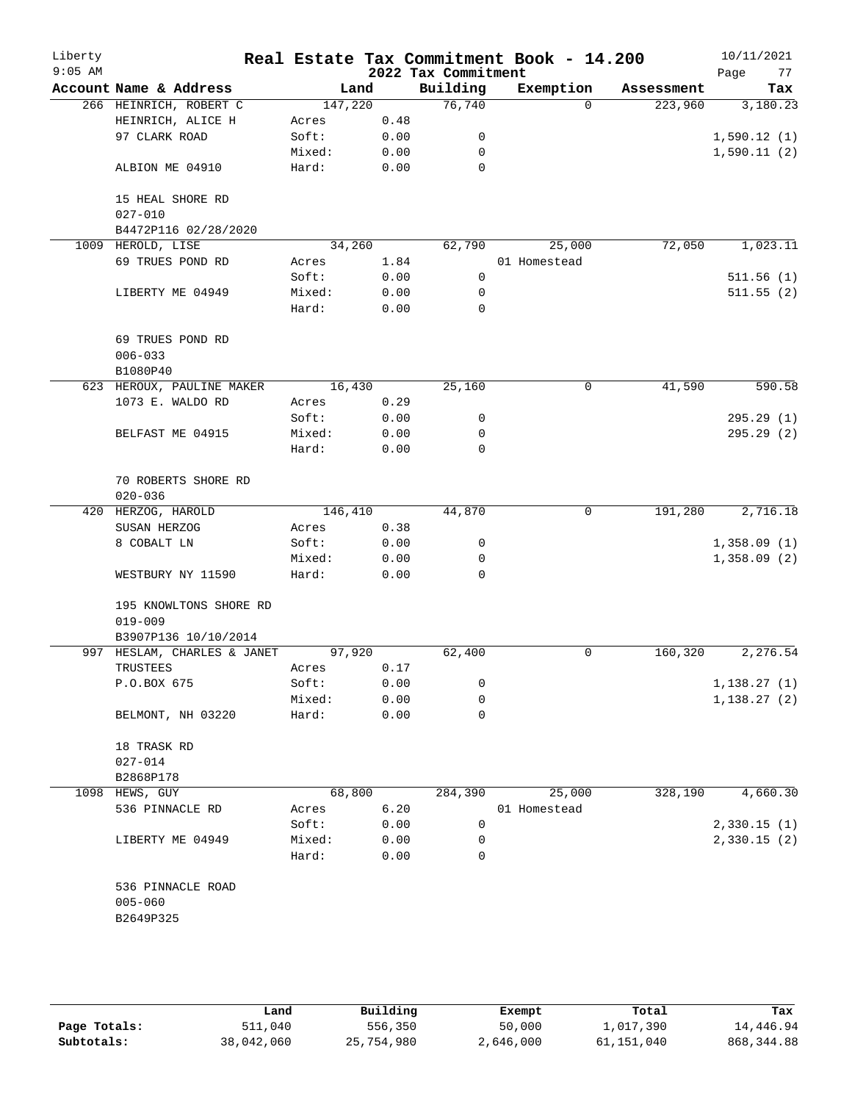| Liberty<br>$9:05$ AM |                                    |         |      | 2022 Tax Commitment | Real Estate Tax Commitment Book - 14.200 |            | 10/11/2021<br>Page<br>77 |
|----------------------|------------------------------------|---------|------|---------------------|------------------------------------------|------------|--------------------------|
|                      | Account Name & Address             | Land    |      | Building            | Exemption                                | Assessment | Tax                      |
|                      | 266 HEINRICH, ROBERT C             | 147,220 |      | 76,740              | $\Omega$                                 | 223,960    | 3,180.23                 |
|                      | HEINRICH, ALICE H                  | Acres   | 0.48 |                     |                                          |            |                          |
|                      | 97 CLARK ROAD                      | Soft:   | 0.00 | 0                   |                                          |            | 1,590.12(1)              |
|                      |                                    | Mixed:  | 0.00 | $\mathbf 0$         |                                          |            | 1,590.11(2)              |
|                      | ALBION ME 04910                    | Hard:   | 0.00 | 0                   |                                          |            |                          |
|                      | 15 HEAL SHORE RD                   |         |      |                     |                                          |            |                          |
|                      | $027 - 010$                        |         |      |                     |                                          |            |                          |
|                      | B4472P116 02/28/2020               |         |      |                     |                                          |            |                          |
|                      | 1009 HEROLD, LISE                  | 34,260  |      | 62,790              | 25,000                                   | 72,050     | 1,023.11                 |
|                      | 69 TRUES POND RD                   | Acres   | 1.84 |                     | 01 Homestead                             |            |                          |
|                      |                                    | Soft:   | 0.00 | $\mathbf 0$         |                                          |            | 511.56(1)                |
|                      | LIBERTY ME 04949                   | Mixed:  | 0.00 | 0                   |                                          |            | 511.55(2)                |
|                      |                                    | Hard:   | 0.00 | $\mathbf 0$         |                                          |            |                          |
|                      | 69 TRUES POND RD                   |         |      |                     |                                          |            |                          |
|                      | $006 - 033$                        |         |      |                     |                                          |            |                          |
|                      | B1080P40                           |         |      |                     |                                          |            |                          |
|                      | 623 HEROUX, PAULINE MAKER          | 16,430  |      | 25,160              | 0                                        | 41,590     | 590.58                   |
|                      | 1073 E. WALDO RD                   | Acres   | 0.29 |                     |                                          |            |                          |
|                      |                                    | Soft:   | 0.00 | 0                   |                                          |            | 295.29(1)                |
|                      | BELFAST ME 04915                   | Mixed:  | 0.00 | 0                   |                                          |            | 295.29(2)                |
|                      |                                    | Hard:   | 0.00 | $\mathbf 0$         |                                          |            |                          |
|                      | 70 ROBERTS SHORE RD<br>$020 - 036$ |         |      |                     |                                          |            |                          |
|                      | 420 HERZOG, HAROLD                 | 146,410 |      | 44,870              | 0                                        | 191,280    | 2,716.18                 |
|                      | SUSAN HERZOG                       | Acres   | 0.38 |                     |                                          |            |                          |
|                      | 8 COBALT LN                        | Soft:   | 0.00 | 0                   |                                          |            | 1,358.09(1)              |
|                      |                                    | Mixed:  | 0.00 | 0                   |                                          |            | 1,358.09(2)              |
|                      | WESTBURY NY 11590                  | Hard:   | 0.00 | $\mathbf 0$         |                                          |            |                          |
|                      | 195 KNOWLTONS SHORE RD             |         |      |                     |                                          |            |                          |
|                      | $019 - 009$                        |         |      |                     |                                          |            |                          |
|                      | B3907P136 10/10/2014               |         |      |                     |                                          |            |                          |
| 997                  | HESLAM, CHARLES & JANET            | 97,920  |      | 62,400              | 0                                        | 160,320    | 2,276.54                 |
|                      | TRUSTEES                           | Acres   | 0.17 |                     |                                          |            |                          |
|                      | P.O.BOX 675                        | Soft:   | 0.00 | 0                   |                                          |            | 1,138.27(1)              |
|                      |                                    | Mixed:  | 0.00 | 0                   |                                          |            | 1,138.27(2)              |
|                      | BELMONT, NH 03220                  | Hard:   | 0.00 | 0                   |                                          |            |                          |
|                      | 18 TRASK RD                        |         |      |                     |                                          |            |                          |
|                      | $027 - 014$                        |         |      |                     |                                          |            |                          |
|                      | B2868P178                          |         |      |                     |                                          |            |                          |
|                      | 1098 HEWS, GUY                     | 68,800  |      | 284,390             | 25,000                                   | 328,190    | 4,660.30                 |
|                      | 536 PINNACLE RD                    | Acres   | 6.20 |                     | 01 Homestead                             |            |                          |
|                      |                                    | Soft:   | 0.00 | 0                   |                                          |            | 2,330.15(1)              |
|                      | LIBERTY ME 04949                   | Mixed:  | 0.00 | 0                   |                                          |            | 2,330.15(2)              |
|                      |                                    | Hard:   | 0.00 | 0                   |                                          |            |                          |
|                      | 536 PINNACLE ROAD                  |         |      |                     |                                          |            |                          |
|                      | $005 - 060$                        |         |      |                     |                                          |            |                          |
|                      | B2649P325                          |         |      |                     |                                          |            |                          |
|                      |                                    |         |      |                     |                                          |            |                          |

|              | Land       | Building   | Exempt    | Total      | Tax         |
|--------------|------------|------------|-----------|------------|-------------|
| Page Totals: | 511,040    | 556,350    | 50,000    | 1,017,390  | 14,446.94   |
| Subtotals:   | 38,042,060 | 25,754,980 | 2,646,000 | 61,151,040 | 868, 344.88 |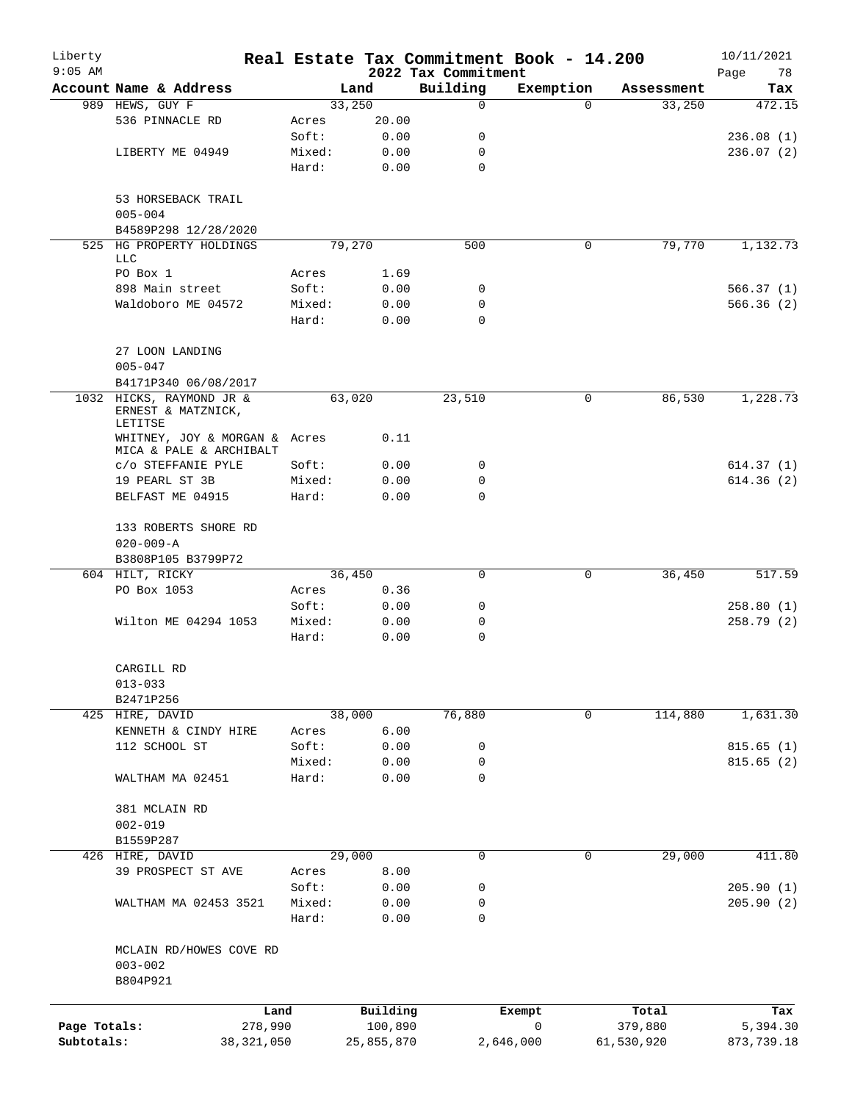| Liberty<br>$9:05$ AM |                                                           |                 |                     | 2022 Tax Commitment | Real Estate Tax Commitment Book - 14.200 |                  | 10/11/2021<br>Page<br>78 |
|----------------------|-----------------------------------------------------------|-----------------|---------------------|---------------------|------------------------------------------|------------------|--------------------------|
|                      | Account Name & Address                                    |                 | Land                | Building            | Exemption                                | Assessment       | Tax                      |
|                      | 989 HEWS, GUY F                                           |                 | 33,250              | $\mathbf 0$         | $\Omega$                                 | 33,250           | 472.15                   |
|                      | 536 PINNACLE RD                                           | Acres           | 20.00               |                     |                                          |                  |                          |
|                      |                                                           | Soft:           | 0.00                | 0                   |                                          |                  | 236.08(1)                |
|                      | LIBERTY ME 04949                                          | Mixed:          | 0.00                | 0                   |                                          |                  | 236.07(2)                |
|                      |                                                           | Hard:           | 0.00                | $\mathbf 0$         |                                          |                  |                          |
|                      | 53 HORSEBACK TRAIL<br>$005 - 004$                         |                 |                     |                     |                                          |                  |                          |
|                      | B4589P298 12/28/2020                                      |                 |                     |                     |                                          |                  |                          |
|                      | 525 HG PROPERTY HOLDINGS<br><b>LLC</b>                    |                 | 79,270              | 500                 | 0                                        | 79,770           | 1,132.73                 |
|                      | PO Box 1                                                  | Acres           | 1.69                |                     |                                          |                  |                          |
|                      | 898 Main street                                           | Soft:           | 0.00                | 0                   |                                          |                  | 566.37(1)                |
|                      | Waldoboro ME 04572                                        | Mixed:          | 0.00                | $\mathbf 0$         |                                          |                  | 566.36(2)                |
|                      |                                                           | Hard:           | 0.00                | $\Omega$            |                                          |                  |                          |
|                      | 27 LOON LANDING<br>$005 - 047$                            |                 |                     |                     |                                          |                  |                          |
|                      | B4171P340 06/08/2017                                      |                 |                     |                     |                                          |                  |                          |
|                      | 1032 HICKS, RAYMOND JR &<br>ERNEST & MATZNICK,<br>LETITSE |                 | 63,020              | 23,510              | 0                                        | 86,530           | 1,228.73                 |
|                      | WHITNEY, JOY & MORGAN & Acres<br>MICA & PALE & ARCHIBALT  |                 | 0.11                |                     |                                          |                  |                          |
|                      | C/O STEFFANIE PYLE                                        | Soft:           | 0.00                | 0                   |                                          |                  | 614.37(1)                |
|                      | 19 PEARL ST 3B                                            | Mixed:          | 0.00                | 0                   |                                          |                  | 614.36(2)                |
|                      | BELFAST ME 04915                                          | Hard:           | 0.00                | $\Omega$            |                                          |                  |                          |
|                      | 133 ROBERTS SHORE RD                                      |                 |                     |                     |                                          |                  |                          |
|                      | $020 - 009 - A$                                           |                 |                     |                     |                                          |                  |                          |
|                      | B3808P105 B3799P72                                        |                 |                     |                     |                                          |                  |                          |
|                      | 604 HILT, RICKY                                           |                 | 36,450              | 0                   | 0                                        | 36,450           | 517.59                   |
|                      | PO Box 1053                                               | Acres           | 0.36                |                     |                                          |                  |                          |
|                      |                                                           | Soft:           | 0.00                | 0                   |                                          |                  | 258.80(1)                |
|                      | Wilton ME 04294 1053                                      | Mixed:<br>Hard: | 0.00<br>0.00        | 0<br>$\mathbf 0$    |                                          |                  | 258.79 (2)               |
|                      | CARGILL RD                                                |                 |                     |                     |                                          |                  |                          |
|                      | $013 - 033$                                               |                 |                     |                     |                                          |                  |                          |
|                      | B2471P256                                                 |                 |                     |                     |                                          |                  |                          |
|                      | 425 HIRE, DAVID                                           |                 | 38,000              | 76,880              | 0                                        | 114,880          | 1,631.30                 |
|                      | KENNETH & CINDY HIRE                                      | Acres           | 6.00                |                     |                                          |                  |                          |
|                      | 112 SCHOOL ST                                             | Soft:           | 0.00                | 0                   |                                          |                  | 815.65(1)                |
|                      |                                                           | Mixed:          | 0.00                | 0                   |                                          |                  | 815.65(2)                |
|                      | WALTHAM MA 02451                                          | Hard:           | 0.00                | $\mathbf 0$         |                                          |                  |                          |
|                      | 381 MCLAIN RD                                             |                 |                     |                     |                                          |                  |                          |
|                      | $002 - 019$                                               |                 |                     |                     |                                          |                  |                          |
|                      | B1559P287                                                 |                 |                     |                     |                                          |                  |                          |
|                      | 426 HIRE, DAVID                                           |                 | 29,000              | 0                   | $\mathbf 0$                              | 29,000           | 411.80                   |
|                      | 39 PROSPECT ST AVE                                        | Acres           | 8.00                |                     |                                          |                  |                          |
|                      |                                                           | Soft:           | 0.00                | 0                   |                                          |                  | 205.90(1)                |
|                      | WALTHAM MA 02453 3521                                     | Mixed:<br>Hard: | 0.00<br>0.00        | 0<br>0              |                                          |                  | 205.90(2)                |
|                      |                                                           |                 |                     |                     |                                          |                  |                          |
|                      | MCLAIN RD/HOWES COVE RD<br>$003 - 002$<br>B804P921        |                 |                     |                     |                                          |                  |                          |
|                      |                                                           |                 |                     |                     |                                          |                  |                          |
| Page Totals:         | 278,990                                                   | Land            | Building<br>100,890 |                     | Exempt<br>$\mathsf{O}$                   | Total<br>379,880 | Tax<br>5,394.30          |
| Subtotals:           | 38, 321, 050                                              |                 | 25,855,870          |                     | 2,646,000                                | 61,530,920       | 873,739.18               |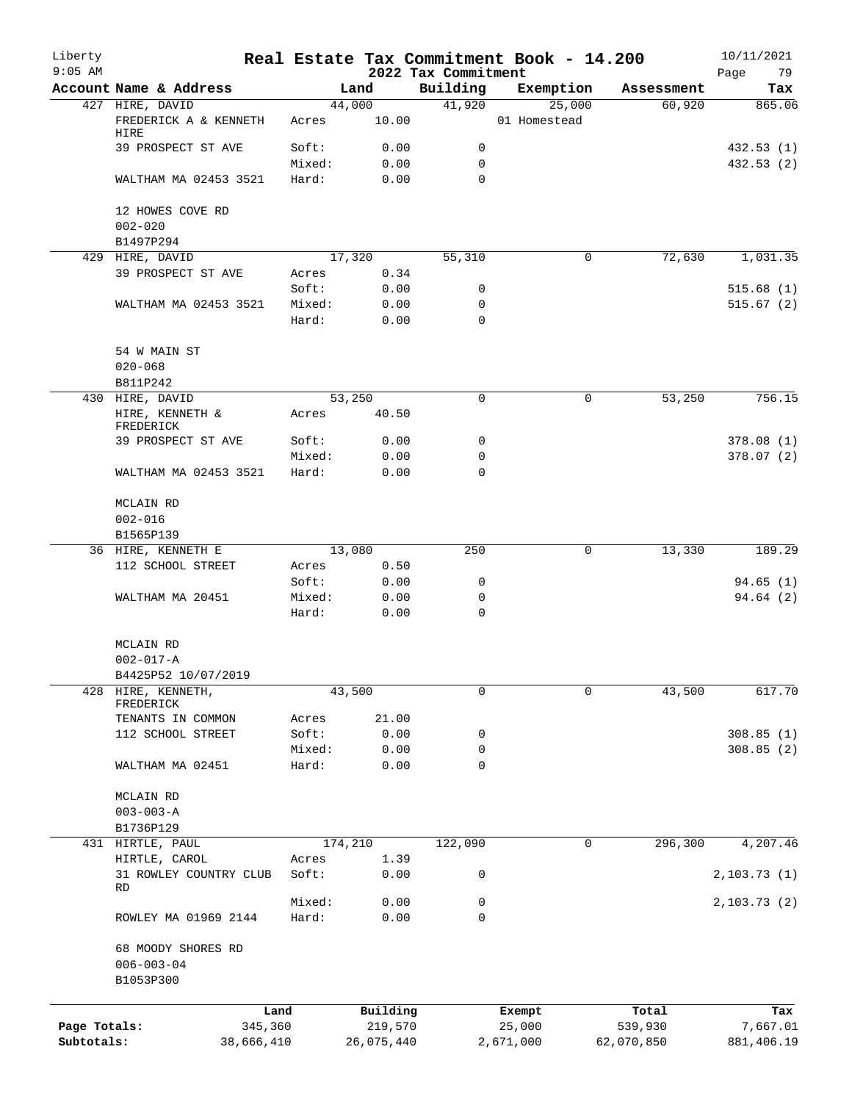| Liberty<br>$9:05$ AM |                                         |                 |                | 2022 Tax Commitment | Real Estate Tax Commitment Book - 14.200 |            | 10/11/2021<br>Page<br>79 |
|----------------------|-----------------------------------------|-----------------|----------------|---------------------|------------------------------------------|------------|--------------------------|
|                      | Account Name & Address                  |                 | Land           | Building            | Exemption                                | Assessment | Tax                      |
|                      | 427 HIRE, DAVID                         |                 | 44,000         | 41,920              | 25,000                                   | 60,920     | 865.06                   |
|                      | FREDERICK A & KENNETH<br>HIRE           | Acres           | 10.00          |                     | 01 Homestead                             |            |                          |
|                      | 39 PROSPECT ST AVE                      | Soft:           | 0.00           | 0                   |                                          |            | 432.53(1)                |
|                      |                                         | Mixed:          | 0.00           | $\mathbf 0$         |                                          |            | 432.53(2)                |
|                      | WALTHAM MA 02453 3521                   | Hard:           | 0.00           | $\Omega$            |                                          |            |                          |
|                      | 12 HOWES COVE RD                        |                 |                |                     |                                          |            |                          |
|                      | $002 - 020$<br>B1497P294                |                 |                |                     |                                          |            |                          |
|                      | 429 HIRE, DAVID                         |                 | 17,320         | 55,310              | 0                                        | 72,630     | 1,031.35                 |
|                      | 39 PROSPECT ST AVE                      | Acres           | 0.34           |                     |                                          |            |                          |
|                      |                                         | Soft:           | 0.00           | 0                   |                                          |            | 515.68(1)                |
|                      | WALTHAM MA 02453 3521                   | Mixed:          | 0.00           | 0                   |                                          |            | 515.67(2)                |
|                      |                                         | Hard:           | 0.00           | $\mathbf 0$         |                                          |            |                          |
|                      | 54 W MAIN ST                            |                 |                |                     |                                          |            |                          |
|                      | $020 - 068$                             |                 |                |                     |                                          |            |                          |
|                      | B811P242                                |                 |                |                     |                                          |            |                          |
|                      | 430 HIRE, DAVID                         |                 | 53,250         | $\mathbf 0$         | 0                                        | 53,250     | 756.15                   |
|                      | HIRE, KENNETH &<br>FREDERICK            | Acres           | 40.50          |                     |                                          |            |                          |
|                      | 39 PROSPECT ST AVE                      | Soft:           | 0.00           | 0                   |                                          |            | 378.08(1)                |
|                      |                                         | Mixed:          | 0.00           | $\mathbf 0$         |                                          |            | 378.07(2)                |
|                      | WALTHAM MA 02453 3521                   | Hard:           | 0.00           | $\Omega$            |                                          |            |                          |
|                      | MCLAIN RD                               |                 |                |                     |                                          |            |                          |
|                      | $002 - 016$                             |                 |                |                     |                                          |            |                          |
|                      | B1565P139                               |                 |                |                     |                                          |            |                          |
|                      | 36 HIRE, KENNETH E<br>112 SCHOOL STREET | Acres           | 13,080<br>0.50 | 250                 | 0                                        | 13,330     | 189.29                   |
|                      |                                         | Soft:           | 0.00           | 0                   |                                          |            | 94.65(1)                 |
|                      | WALTHAM MA 20451                        | Mixed:          | 0.00           | $\mathbf 0$         |                                          |            | 94.64(2)                 |
|                      |                                         | Hard:           | 0.00           | $\mathbf 0$         |                                          |            |                          |
|                      | MCLAIN RD                               |                 |                |                     |                                          |            |                          |
|                      | $002 - 017 - A$                         |                 |                |                     |                                          |            |                          |
|                      | B4425P52 10/07/2019                     |                 |                |                     |                                          |            |                          |
| 428                  | HIRE, KENNETH,<br>FREDERICK             |                 | 43,500         | 0                   | 0                                        | 43,500     | 617.70                   |
|                      | TENANTS IN COMMON                       | Acres           | 21.00          |                     |                                          |            |                          |
|                      | 112 SCHOOL STREET                       | Soft:           | 0.00           | 0                   |                                          |            | 308.85(1)                |
|                      |                                         | Mixed:          | 0.00           | 0                   |                                          |            | 308.85(2)                |
|                      | WALTHAM MA 02451                        | Hard:           | 0.00           | 0                   |                                          |            |                          |
|                      | MCLAIN RD                               |                 |                |                     |                                          |            |                          |
|                      | $003 - 003 - A$                         |                 |                |                     |                                          |            |                          |
|                      | B1736P129                               |                 |                |                     |                                          |            |                          |
|                      | 431 HIRTLE, PAUL                        |                 | 174,210        | 122,090             | 0                                        | 296,300    | 4,207.46                 |
|                      | HIRTLE, CAROL                           | Acres           | 1.39           |                     |                                          |            |                          |
|                      | 31 ROWLEY COUNTRY CLUB<br>RD            | Soft:           | 0.00           | 0                   |                                          |            | 2, 103.73(1)             |
|                      | ROWLEY MA 01969 2144                    | Mixed:<br>Hard: | 0.00<br>0.00   | 0<br>0              |                                          |            | 2,103.73 (2)             |
|                      | 68 MOODY SHORES RD                      |                 |                |                     |                                          |            |                          |
|                      | $006 - 003 - 04$                        |                 |                |                     |                                          |            |                          |
|                      | B1053P300                               |                 |                |                     |                                          |            |                          |
|                      |                                         | Land            | Building       |                     | Exempt                                   | Total      | Tax                      |
| Page Totals:         |                                         | 345,360         | 219,570        |                     | 25,000                                   | 539,930    | 7,667.01                 |
| Subtotals:           |                                         | 38,666,410      | 26,075,440     |                     | 2,671,000                                | 62,070,850 | 881,406.19               |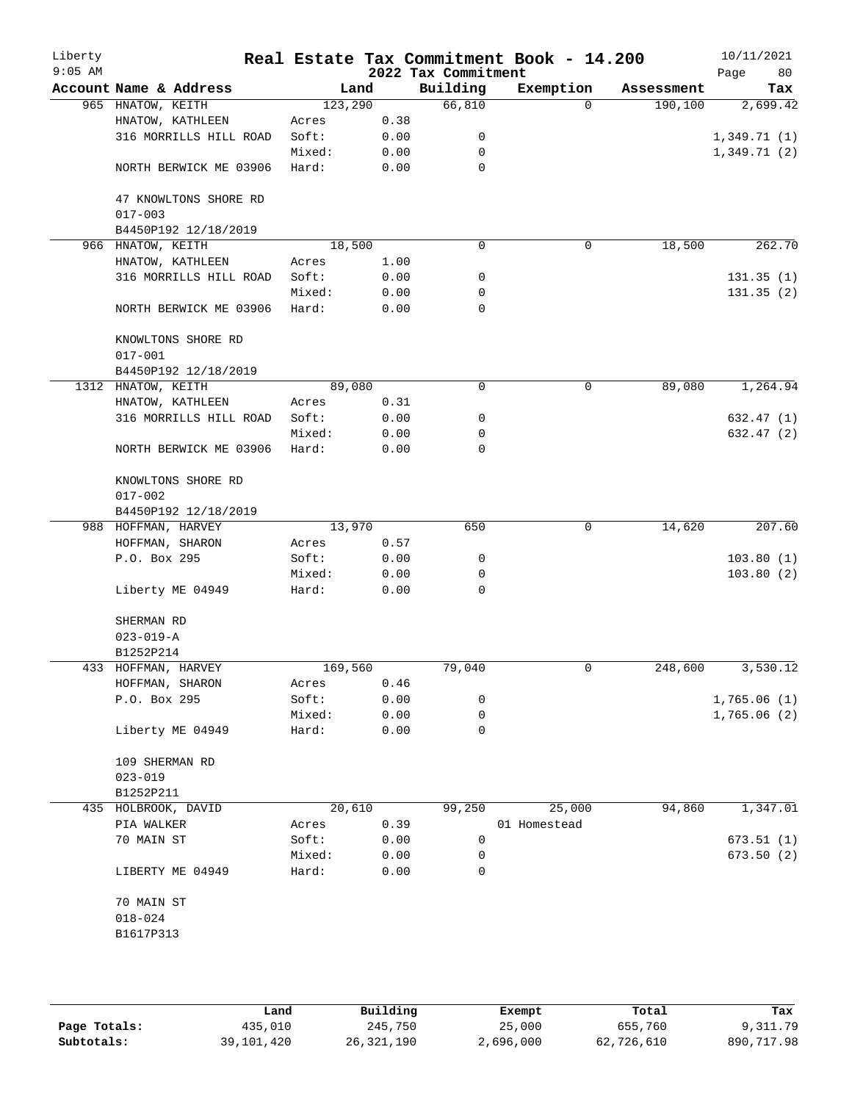| Liberty<br>$9:05$ AM |                                      |         |      | 2022 Tax Commitment | Real Estate Tax Commitment Book - 14.200 |            | 10/11/2021<br>Page<br>80 |
|----------------------|--------------------------------------|---------|------|---------------------|------------------------------------------|------------|--------------------------|
|                      | Account Name & Address               |         | Land | Building            | Exemption                                | Assessment | Tax                      |
|                      | 965 HNATOW, KEITH                    | 123,290 |      | 66,810              | $\Omega$                                 | 190,100    | 2,699.42                 |
|                      | HNATOW, KATHLEEN                     | Acres   | 0.38 |                     |                                          |            |                          |
|                      | 316 MORRILLS HILL ROAD               | Soft:   | 0.00 | 0                   |                                          |            | 1,349.71(1)              |
|                      |                                      | Mixed:  | 0.00 | 0                   |                                          |            | 1,349.71(2)              |
|                      | NORTH BERWICK ME 03906               | Hard:   | 0.00 | 0                   |                                          |            |                          |
|                      | 47 KNOWLTONS SHORE RD<br>$017 - 003$ |         |      |                     |                                          |            |                          |
|                      | B4450P192 12/18/2019                 |         |      |                     |                                          |            |                          |
| 966                  | HNATOW, KEITH                        | 18,500  |      | 0                   | 0                                        | 18,500     | 262.70                   |
|                      | HNATOW, KATHLEEN                     | Acres   | 1.00 |                     |                                          |            |                          |
|                      | 316 MORRILLS HILL ROAD               | Soft:   | 0.00 | 0                   |                                          |            | 131.35(1)                |
|                      |                                      | Mixed:  | 0.00 | 0                   |                                          |            | 131.35(2)                |
|                      | NORTH BERWICK ME 03906               | Hard:   | 0.00 | 0                   |                                          |            |                          |
|                      | KNOWLTONS SHORE RD<br>$017 - 001$    |         |      |                     |                                          |            |                          |
|                      | B4450P192 12/18/2019                 |         |      |                     |                                          |            |                          |
|                      | 1312 HNATOW, KEITH                   | 89,080  |      | 0                   | 0                                        | 89,080     | 1,264.94                 |
|                      | HNATOW, KATHLEEN                     | Acres   | 0.31 |                     |                                          |            |                          |
|                      | 316 MORRILLS HILL ROAD               | Soft:   | 0.00 | 0                   |                                          |            | 632.47 (1)               |
|                      |                                      | Mixed:  | 0.00 | 0                   |                                          |            | 632.47 (2)               |
|                      | NORTH BERWICK ME 03906               | Hard:   | 0.00 | 0                   |                                          |            |                          |
|                      | KNOWLTONS SHORE RD<br>$017 - 002$    |         |      |                     |                                          |            |                          |
|                      | B4450P192 12/18/2019                 |         |      |                     |                                          |            |                          |
|                      | 988 HOFFMAN, HARVEY                  | 13,970  |      | 650                 | $\mathbf 0$                              | 14,620     | 207.60                   |
|                      | HOFFMAN, SHARON                      | Acres   | 0.57 |                     |                                          |            |                          |
|                      | P.O. Box 295                         | Soft:   | 0.00 | 0                   |                                          |            | 103.80(1)                |
|                      |                                      | Mixed:  | 0.00 | 0                   |                                          |            | 103.80(2)                |
|                      | Liberty ME 04949                     | Hard:   | 0.00 | 0                   |                                          |            |                          |
|                      | SHERMAN RD                           |         |      |                     |                                          |            |                          |
|                      | $023 - 019 - A$                      |         |      |                     |                                          |            |                          |
|                      | B1252P214                            |         |      |                     |                                          |            |                          |
|                      | 433 HOFFMAN, HARVEY                  | 169,560 |      | 79,040              | 0                                        | 248,600    | 3,530.12                 |
|                      | HOFFMAN, SHARON                      | Acres   | 0.46 |                     |                                          |            |                          |
|                      | P.O. Box 295                         | Soft:   | 0.00 | 0                   |                                          |            | 1,765.06(1)              |
|                      |                                      | Mixed:  | 0.00 | 0                   |                                          |            | 1,765.06(2)              |
|                      | Liberty ME 04949                     | Hard:   | 0.00 | 0                   |                                          |            |                          |
|                      | 109 SHERMAN RD<br>$023 - 019$        |         |      |                     |                                          |            |                          |
|                      |                                      |         |      |                     |                                          |            |                          |
|                      | B1252P211                            |         |      |                     |                                          |            |                          |
|                      | 435 HOLBROOK, DAVID                  | 20,610  |      | 99,250              | 25,000                                   | 94,860     | 1,347.01                 |
|                      | PIA WALKER                           | Acres   | 0.39 |                     | 01 Homestead                             |            |                          |
|                      | 70 MAIN ST                           | Soft:   | 0.00 | $\mathbf 0$         |                                          |            | 673.51(1)                |
|                      |                                      | Mixed:  | 0.00 | 0                   |                                          |            | 673.50(2)                |
|                      | LIBERTY ME 04949                     | Hard:   | 0.00 | 0                   |                                          |            |                          |
|                      | 70 MAIN ST<br>$018 - 024$            |         |      |                     |                                          |            |                          |
|                      | B1617P313                            |         |      |                     |                                          |            |                          |
|                      |                                      |         |      |                     |                                          |            |                          |

|              | Land       | Building   | Exempt    | Total      | Tax        |
|--------------|------------|------------|-----------|------------|------------|
| Page Totals: | 435,010    | 245,750    | 25,000    | 655,760    | 9,311.79   |
| Subtotals:   | 39,101,420 | 26,321,190 | 2,696,000 | 62,726,610 | 890,717.98 |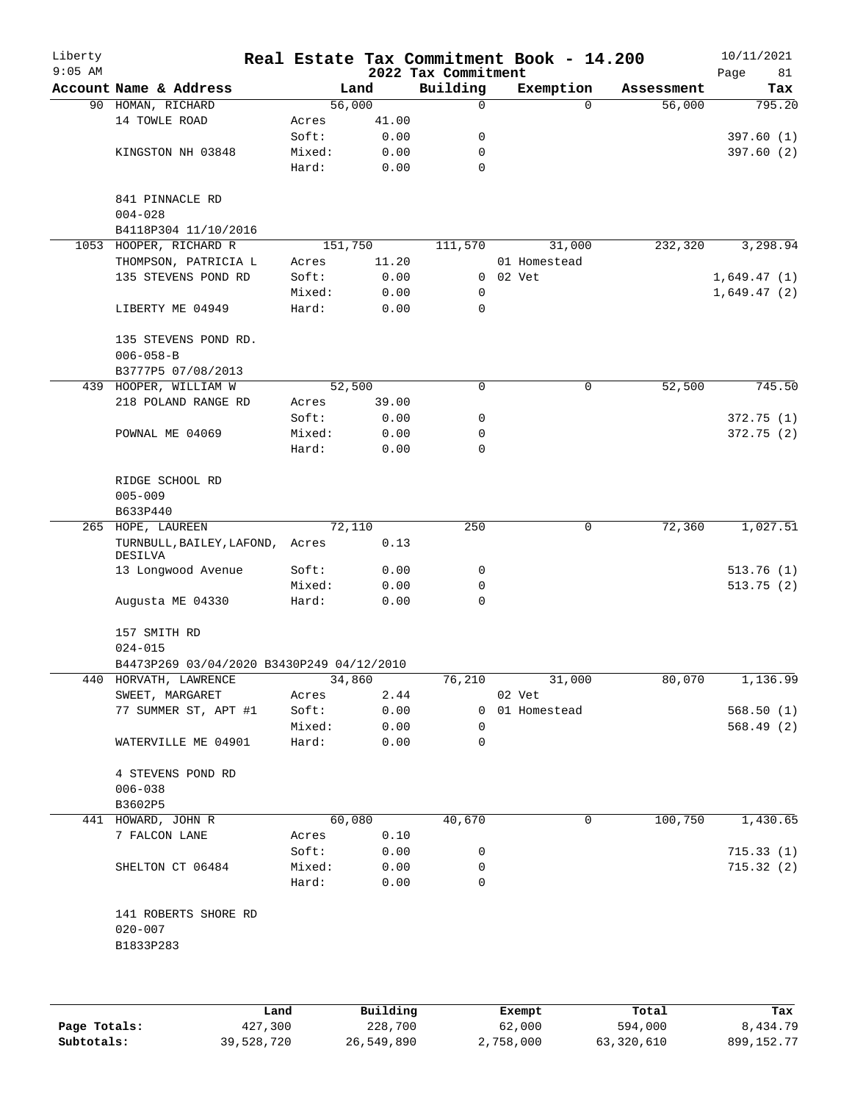| Liberty<br>$9:05$ AM |                                                          |         |        | 2022 Tax Commitment | Real Estate Tax Commitment Book - 14.200 |            | 10/11/2021<br>Page<br>81 |
|----------------------|----------------------------------------------------------|---------|--------|---------------------|------------------------------------------|------------|--------------------------|
|                      | Account Name & Address                                   |         | Land   | Building            | Exemption                                | Assessment | Tax                      |
|                      | 90 HOMAN, RICHARD                                        |         | 56,000 | 0                   | $\Omega$                                 | 56,000     | 795.20                   |
|                      | 14 TOWLE ROAD                                            | Acres   | 41.00  |                     |                                          |            |                          |
|                      |                                                          | Soft:   | 0.00   | 0                   |                                          |            | 397.60(1)                |
|                      | KINGSTON NH 03848                                        | Mixed:  | 0.00   | 0                   |                                          |            | 397.60(2)                |
|                      |                                                          | Hard:   | 0.00   | 0                   |                                          |            |                          |
|                      | 841 PINNACLE RD<br>$004 - 028$                           |         |        |                     |                                          |            |                          |
|                      | B4118P304 11/10/2016                                     |         |        |                     |                                          |            |                          |
|                      | 1053 HOOPER, RICHARD R                                   | 151,750 |        | 111,570             | 31,000                                   | 232,320    | 3,298.94                 |
|                      | THOMPSON, PATRICIA L                                     | Acres   | 11.20  |                     | 01 Homestead                             |            |                          |
|                      | 135 STEVENS POND RD                                      | Soft:   | 0.00   |                     | 0 02 Vet                                 |            | 1,649.47(1)              |
|                      |                                                          | Mixed:  | 0.00   | 0                   |                                          |            | 1,649.47(2)              |
|                      | LIBERTY ME 04949                                         | Hard:   | 0.00   | 0                   |                                          |            |                          |
|                      | 135 STEVENS POND RD.<br>$006 - 058 - B$                  |         |        |                     |                                          |            |                          |
|                      | B3777P5 07/08/2013                                       |         |        |                     |                                          |            |                          |
|                      | 439 HOOPER, WILLIAM W                                    |         | 52,500 | 0                   | 0                                        | 52,500     | 745.50                   |
|                      | 218 POLAND RANGE RD                                      | Acres   | 39.00  |                     |                                          |            |                          |
|                      |                                                          | Soft:   | 0.00   | 0                   |                                          |            | 372.75 (1)               |
|                      | POWNAL ME 04069                                          | Mixed:  | 0.00   | 0                   |                                          |            | 372.75(2)                |
|                      |                                                          | Hard:   | 0.00   | 0                   |                                          |            |                          |
|                      | RIDGE SCHOOL RD<br>$005 - 009$                           |         |        |                     |                                          |            |                          |
|                      | B633P440                                                 |         |        |                     |                                          |            |                          |
|                      | 265 HOPE, LAUREEN                                        |         | 72,110 | 250                 | $\mathbf 0$                              | 72,360     | 1,027.51                 |
|                      | TURNBULL, BAILEY, LAFOND, Acres<br>DESILVA               |         | 0.13   |                     |                                          |            |                          |
|                      | 13 Longwood Avenue                                       | Soft:   | 0.00   | 0                   |                                          |            | 513.76(1)                |
|                      |                                                          | Mixed:  | 0.00   | 0                   |                                          |            | 513.75(2)                |
|                      | Augusta ME 04330                                         | Hard:   | 0.00   | 0                   |                                          |            |                          |
|                      | 157 SMITH RD                                             |         |        |                     |                                          |            |                          |
|                      | $024 - 015$<br>B4473P269 03/04/2020 B3430P249 04/12/2010 |         |        |                     |                                          |            |                          |
|                      | 440 HORVATH, LAWRENCE                                    |         | 34,860 | 76,210              | 31,000                                   | 80,070     | 1,136.99                 |
|                      | SWEET, MARGARET                                          | Acres   | 2.44   |                     | 02 Vet                                   |            |                          |
|                      | 77 SUMMER ST, APT #1                                     | Soft:   | 0.00   |                     | 0 01 Homestead                           |            | 568.50(1)                |
|                      |                                                          | Mixed:  | 0.00   | 0                   |                                          |            | 568.49(2)                |
|                      | WATERVILLE ME 04901                                      | Hard:   | 0.00   | 0                   |                                          |            |                          |
|                      | 4 STEVENS POND RD<br>$006 - 038$                         |         |        |                     |                                          |            |                          |
|                      | B3602P5                                                  |         |        |                     |                                          |            |                          |
|                      | 441 HOWARD, JOHN R                                       |         | 60,080 | 40,670              | 0                                        | 100,750    | 1,430.65                 |
|                      | 7 FALCON LANE                                            | Acres   | 0.10   |                     |                                          |            |                          |
|                      |                                                          | Soft:   | 0.00   | 0                   |                                          |            | 715.33(1)                |
|                      | SHELTON CT 06484                                         | Mixed:  | 0.00   | 0                   |                                          |            | 715.32(2)                |
|                      |                                                          | Hard:   | 0.00   | 0                   |                                          |            |                          |
|                      | 141 ROBERTS SHORE RD<br>$020 - 007$                      |         |        |                     |                                          |            |                          |
|                      | B1833P283                                                |         |        |                     |                                          |            |                          |
|                      |                                                          |         |        |                     |                                          |            |                          |
|                      |                                                          |         |        |                     |                                          |            |                          |

|              | Land       | Building   | Exempt    | Total      | Tax          |
|--------------|------------|------------|-----------|------------|--------------|
| Page Totals: | 427,300    | 228,700    | 62,000    | 594,000    | 8,434.79     |
| Subtotals:   | 39,528,720 | 26,549,890 | 2,758,000 | 63,320,610 | 899, 152. 77 |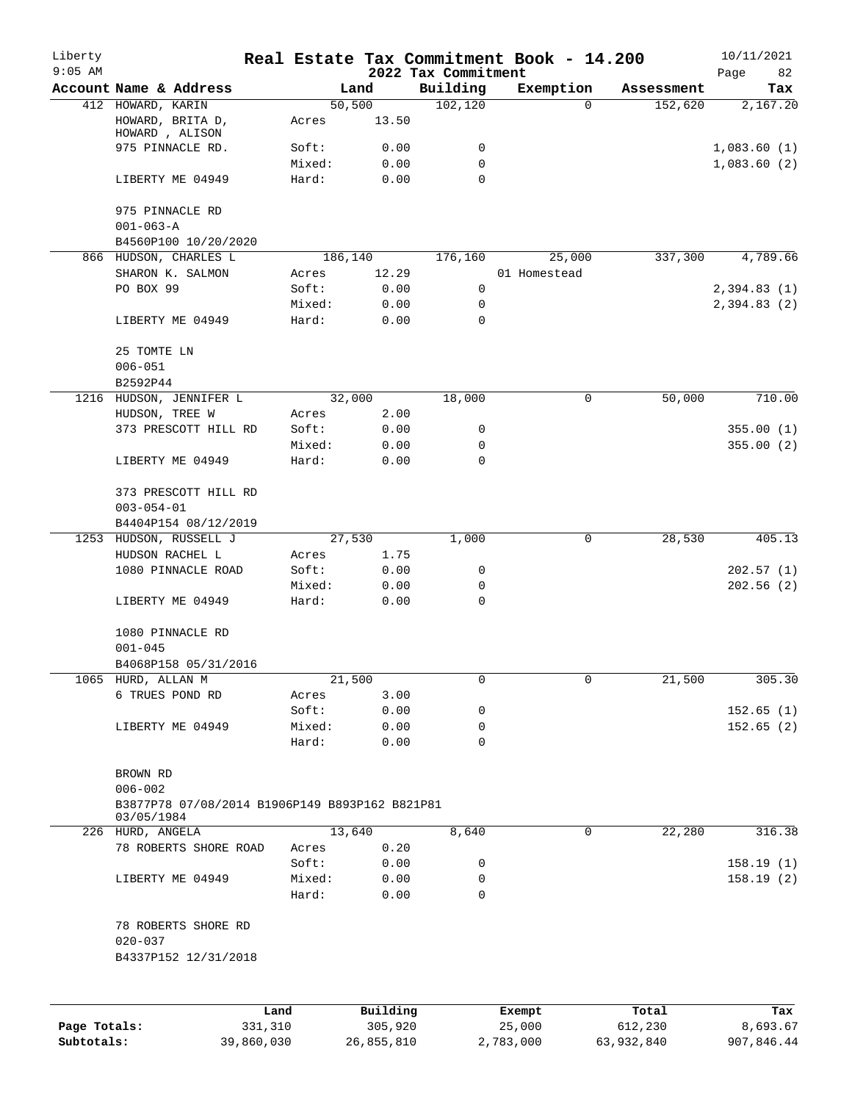| Building<br>Exemption<br>Account Name & Address<br>Land<br>Tax<br>Assessment<br>102, 120<br>412 HOWARD, KARIN<br>50,500<br>$\Omega$<br>152,620<br>2,167.20<br>13.50<br>HOWARD, BRITA D,<br>Acres<br>HOWARD, ALISON<br>975 PINNACLE RD.<br>0.00<br>0<br>1,083.60(1)<br>Soft:<br>0.00<br>Mixed:<br>0<br>$\Omega$<br>Hard:<br>0.00<br>LIBERTY ME 04949<br>975 PINNACLE RD<br>$001 - 063 - A$<br>B4560P100 10/20/2020<br>4,789.66<br>866 HUDSON, CHARLES L<br>186,140<br>176,160<br>25,000<br>337,300<br>12.29<br>01 Homestead<br>SHARON K. SALMON<br>Acres<br>PO BOX 99<br>Soft:<br>0.00<br>0<br>2,394.83(1)<br>0.00<br>Mixed:<br>0<br>LIBERTY ME 04949<br>Hard:<br>0.00<br>0<br>25 TOMTE LN<br>$006 - 051$<br>B2592P44<br>50,000<br>710.00<br>1216<br>32,000<br>18,000<br>0<br>HUDSON, JENNIFER L<br>HUDSON, TREE W<br>2.00<br>Acres<br>373 PRESCOTT HILL RD<br>Soft:<br>0.00<br>0<br>Mixed:<br>0.00<br>0<br>355.00(2)<br>Hard:<br>0.00<br>0<br>LIBERTY ME 04949<br>373 PRESCOTT HILL RD<br>$003 - 054 - 01$<br>B4404P154 08/12/2019<br>1253<br>HUDSON, RUSSELL J<br>27,530<br>1,000<br>0<br>28,530<br>HUDSON RACHEL L<br>1.75<br>Acres<br>1080 PINNACLE ROAD<br>Soft:<br>0.00<br>202.57(1)<br>0<br>202.56(2)<br>Mixed:<br>0.00<br>0<br>0<br>LIBERTY ME 04949<br>Hard:<br>0.00<br>1080 PINNACLE RD<br>$001 - 045$<br>B4068P158 05/31/2016<br>1065 HURD, ALLAN M<br>21,500<br>0<br>0<br>21,500<br>305.30<br>6 TRUES POND RD<br>3.00<br>Acres<br>Soft:<br>0.00<br>0<br>152.65(1)<br>Mixed:<br>0.00<br>0<br>LIBERTY ME 04949<br>0<br>Hard:<br>0.00<br>BROWN RD<br>$006 - 002$<br>B3877P78 07/08/2014 B1906P149 B893P162 B821P81<br>03/05/1984<br>13,640<br>8,640<br>$\mathbf 0$<br>22,280<br>226 HURD, ANGELA<br>78 ROBERTS SHORE ROAD<br>0.20<br>Acres<br>Soft:<br>0.00<br>0<br>LIBERTY ME 04949<br>Mixed:<br>0.00<br>0<br>0<br>Hard:<br>0.00<br>78 ROBERTS SHORE RD<br>$020 - 037$<br>B4337P152 12/31/2018<br>Building<br>Land<br>Total<br>Exempt | Liberty<br>$9:05$ AM |  |  | 2022 Tax Commitment | Real Estate Tax Commitment Book - 14.200 | 10/11/2021<br>Page<br>82 |
|------------------------------------------------------------------------------------------------------------------------------------------------------------------------------------------------------------------------------------------------------------------------------------------------------------------------------------------------------------------------------------------------------------------------------------------------------------------------------------------------------------------------------------------------------------------------------------------------------------------------------------------------------------------------------------------------------------------------------------------------------------------------------------------------------------------------------------------------------------------------------------------------------------------------------------------------------------------------------------------------------------------------------------------------------------------------------------------------------------------------------------------------------------------------------------------------------------------------------------------------------------------------------------------------------------------------------------------------------------------------------------------------------------------------------------------------------------------------------------------------------------------------------------------------------------------------------------------------------------------------------------------------------------------------------------------------------------------------------------------------------------------------------------------------------------------------------------------------------------------------------------------------------------------------------------------------|----------------------|--|--|---------------------|------------------------------------------|--------------------------|
|                                                                                                                                                                                                                                                                                                                                                                                                                                                                                                                                                                                                                                                                                                                                                                                                                                                                                                                                                                                                                                                                                                                                                                                                                                                                                                                                                                                                                                                                                                                                                                                                                                                                                                                                                                                                                                                                                                                                                |                      |  |  |                     |                                          |                          |
|                                                                                                                                                                                                                                                                                                                                                                                                                                                                                                                                                                                                                                                                                                                                                                                                                                                                                                                                                                                                                                                                                                                                                                                                                                                                                                                                                                                                                                                                                                                                                                                                                                                                                                                                                                                                                                                                                                                                                |                      |  |  |                     |                                          |                          |
|                                                                                                                                                                                                                                                                                                                                                                                                                                                                                                                                                                                                                                                                                                                                                                                                                                                                                                                                                                                                                                                                                                                                                                                                                                                                                                                                                                                                                                                                                                                                                                                                                                                                                                                                                                                                                                                                                                                                                |                      |  |  |                     |                                          |                          |
|                                                                                                                                                                                                                                                                                                                                                                                                                                                                                                                                                                                                                                                                                                                                                                                                                                                                                                                                                                                                                                                                                                                                                                                                                                                                                                                                                                                                                                                                                                                                                                                                                                                                                                                                                                                                                                                                                                                                                |                      |  |  |                     |                                          |                          |
|                                                                                                                                                                                                                                                                                                                                                                                                                                                                                                                                                                                                                                                                                                                                                                                                                                                                                                                                                                                                                                                                                                                                                                                                                                                                                                                                                                                                                                                                                                                                                                                                                                                                                                                                                                                                                                                                                                                                                |                      |  |  |                     |                                          | 1,083.60(2)              |
|                                                                                                                                                                                                                                                                                                                                                                                                                                                                                                                                                                                                                                                                                                                                                                                                                                                                                                                                                                                                                                                                                                                                                                                                                                                                                                                                                                                                                                                                                                                                                                                                                                                                                                                                                                                                                                                                                                                                                |                      |  |  |                     |                                          |                          |
|                                                                                                                                                                                                                                                                                                                                                                                                                                                                                                                                                                                                                                                                                                                                                                                                                                                                                                                                                                                                                                                                                                                                                                                                                                                                                                                                                                                                                                                                                                                                                                                                                                                                                                                                                                                                                                                                                                                                                |                      |  |  |                     |                                          |                          |
|                                                                                                                                                                                                                                                                                                                                                                                                                                                                                                                                                                                                                                                                                                                                                                                                                                                                                                                                                                                                                                                                                                                                                                                                                                                                                                                                                                                                                                                                                                                                                                                                                                                                                                                                                                                                                                                                                                                                                |                      |  |  |                     |                                          |                          |
|                                                                                                                                                                                                                                                                                                                                                                                                                                                                                                                                                                                                                                                                                                                                                                                                                                                                                                                                                                                                                                                                                                                                                                                                                                                                                                                                                                                                                                                                                                                                                                                                                                                                                                                                                                                                                                                                                                                                                |                      |  |  |                     |                                          |                          |
|                                                                                                                                                                                                                                                                                                                                                                                                                                                                                                                                                                                                                                                                                                                                                                                                                                                                                                                                                                                                                                                                                                                                                                                                                                                                                                                                                                                                                                                                                                                                                                                                                                                                                                                                                                                                                                                                                                                                                |                      |  |  |                     |                                          |                          |
|                                                                                                                                                                                                                                                                                                                                                                                                                                                                                                                                                                                                                                                                                                                                                                                                                                                                                                                                                                                                                                                                                                                                                                                                                                                                                                                                                                                                                                                                                                                                                                                                                                                                                                                                                                                                                                                                                                                                                |                      |  |  |                     |                                          |                          |
|                                                                                                                                                                                                                                                                                                                                                                                                                                                                                                                                                                                                                                                                                                                                                                                                                                                                                                                                                                                                                                                                                                                                                                                                                                                                                                                                                                                                                                                                                                                                                                                                                                                                                                                                                                                                                                                                                                                                                |                      |  |  |                     |                                          | 2,394.83(2)              |
|                                                                                                                                                                                                                                                                                                                                                                                                                                                                                                                                                                                                                                                                                                                                                                                                                                                                                                                                                                                                                                                                                                                                                                                                                                                                                                                                                                                                                                                                                                                                                                                                                                                                                                                                                                                                                                                                                                                                                |                      |  |  |                     |                                          |                          |
|                                                                                                                                                                                                                                                                                                                                                                                                                                                                                                                                                                                                                                                                                                                                                                                                                                                                                                                                                                                                                                                                                                                                                                                                                                                                                                                                                                                                                                                                                                                                                                                                                                                                                                                                                                                                                                                                                                                                                |                      |  |  |                     |                                          |                          |
|                                                                                                                                                                                                                                                                                                                                                                                                                                                                                                                                                                                                                                                                                                                                                                                                                                                                                                                                                                                                                                                                                                                                                                                                                                                                                                                                                                                                                                                                                                                                                                                                                                                                                                                                                                                                                                                                                                                                                |                      |  |  |                     |                                          |                          |
|                                                                                                                                                                                                                                                                                                                                                                                                                                                                                                                                                                                                                                                                                                                                                                                                                                                                                                                                                                                                                                                                                                                                                                                                                                                                                                                                                                                                                                                                                                                                                                                                                                                                                                                                                                                                                                                                                                                                                |                      |  |  |                     |                                          |                          |
|                                                                                                                                                                                                                                                                                                                                                                                                                                                                                                                                                                                                                                                                                                                                                                                                                                                                                                                                                                                                                                                                                                                                                                                                                                                                                                                                                                                                                                                                                                                                                                                                                                                                                                                                                                                                                                                                                                                                                |                      |  |  |                     |                                          |                          |
|                                                                                                                                                                                                                                                                                                                                                                                                                                                                                                                                                                                                                                                                                                                                                                                                                                                                                                                                                                                                                                                                                                                                                                                                                                                                                                                                                                                                                                                                                                                                                                                                                                                                                                                                                                                                                                                                                                                                                |                      |  |  |                     |                                          | 355.00(1)                |
|                                                                                                                                                                                                                                                                                                                                                                                                                                                                                                                                                                                                                                                                                                                                                                                                                                                                                                                                                                                                                                                                                                                                                                                                                                                                                                                                                                                                                                                                                                                                                                                                                                                                                                                                                                                                                                                                                                                                                |                      |  |  |                     |                                          |                          |
|                                                                                                                                                                                                                                                                                                                                                                                                                                                                                                                                                                                                                                                                                                                                                                                                                                                                                                                                                                                                                                                                                                                                                                                                                                                                                                                                                                                                                                                                                                                                                                                                                                                                                                                                                                                                                                                                                                                                                |                      |  |  |                     |                                          |                          |
|                                                                                                                                                                                                                                                                                                                                                                                                                                                                                                                                                                                                                                                                                                                                                                                                                                                                                                                                                                                                                                                                                                                                                                                                                                                                                                                                                                                                                                                                                                                                                                                                                                                                                                                                                                                                                                                                                                                                                |                      |  |  |                     |                                          |                          |
|                                                                                                                                                                                                                                                                                                                                                                                                                                                                                                                                                                                                                                                                                                                                                                                                                                                                                                                                                                                                                                                                                                                                                                                                                                                                                                                                                                                                                                                                                                                                                                                                                                                                                                                                                                                                                                                                                                                                                |                      |  |  |                     |                                          |                          |
|                                                                                                                                                                                                                                                                                                                                                                                                                                                                                                                                                                                                                                                                                                                                                                                                                                                                                                                                                                                                                                                                                                                                                                                                                                                                                                                                                                                                                                                                                                                                                                                                                                                                                                                                                                                                                                                                                                                                                |                      |  |  |                     |                                          |                          |
|                                                                                                                                                                                                                                                                                                                                                                                                                                                                                                                                                                                                                                                                                                                                                                                                                                                                                                                                                                                                                                                                                                                                                                                                                                                                                                                                                                                                                                                                                                                                                                                                                                                                                                                                                                                                                                                                                                                                                |                      |  |  |                     |                                          | 405.13                   |
|                                                                                                                                                                                                                                                                                                                                                                                                                                                                                                                                                                                                                                                                                                                                                                                                                                                                                                                                                                                                                                                                                                                                                                                                                                                                                                                                                                                                                                                                                                                                                                                                                                                                                                                                                                                                                                                                                                                                                |                      |  |  |                     |                                          |                          |
|                                                                                                                                                                                                                                                                                                                                                                                                                                                                                                                                                                                                                                                                                                                                                                                                                                                                                                                                                                                                                                                                                                                                                                                                                                                                                                                                                                                                                                                                                                                                                                                                                                                                                                                                                                                                                                                                                                                                                |                      |  |  |                     |                                          |                          |
|                                                                                                                                                                                                                                                                                                                                                                                                                                                                                                                                                                                                                                                                                                                                                                                                                                                                                                                                                                                                                                                                                                                                                                                                                                                                                                                                                                                                                                                                                                                                                                                                                                                                                                                                                                                                                                                                                                                                                |                      |  |  |                     |                                          |                          |
|                                                                                                                                                                                                                                                                                                                                                                                                                                                                                                                                                                                                                                                                                                                                                                                                                                                                                                                                                                                                                                                                                                                                                                                                                                                                                                                                                                                                                                                                                                                                                                                                                                                                                                                                                                                                                                                                                                                                                |                      |  |  |                     |                                          |                          |
|                                                                                                                                                                                                                                                                                                                                                                                                                                                                                                                                                                                                                                                                                                                                                                                                                                                                                                                                                                                                                                                                                                                                                                                                                                                                                                                                                                                                                                                                                                                                                                                                                                                                                                                                                                                                                                                                                                                                                |                      |  |  |                     |                                          |                          |
|                                                                                                                                                                                                                                                                                                                                                                                                                                                                                                                                                                                                                                                                                                                                                                                                                                                                                                                                                                                                                                                                                                                                                                                                                                                                                                                                                                                                                                                                                                                                                                                                                                                                                                                                                                                                                                                                                                                                                |                      |  |  |                     |                                          |                          |
|                                                                                                                                                                                                                                                                                                                                                                                                                                                                                                                                                                                                                                                                                                                                                                                                                                                                                                                                                                                                                                                                                                                                                                                                                                                                                                                                                                                                                                                                                                                                                                                                                                                                                                                                                                                                                                                                                                                                                |                      |  |  |                     |                                          |                          |
|                                                                                                                                                                                                                                                                                                                                                                                                                                                                                                                                                                                                                                                                                                                                                                                                                                                                                                                                                                                                                                                                                                                                                                                                                                                                                                                                                                                                                                                                                                                                                                                                                                                                                                                                                                                                                                                                                                                                                |                      |  |  |                     |                                          |                          |
|                                                                                                                                                                                                                                                                                                                                                                                                                                                                                                                                                                                                                                                                                                                                                                                                                                                                                                                                                                                                                                                                                                                                                                                                                                                                                                                                                                                                                                                                                                                                                                                                                                                                                                                                                                                                                                                                                                                                                |                      |  |  |                     |                                          |                          |
|                                                                                                                                                                                                                                                                                                                                                                                                                                                                                                                                                                                                                                                                                                                                                                                                                                                                                                                                                                                                                                                                                                                                                                                                                                                                                                                                                                                                                                                                                                                                                                                                                                                                                                                                                                                                                                                                                                                                                |                      |  |  |                     |                                          | 152.65(2)                |
|                                                                                                                                                                                                                                                                                                                                                                                                                                                                                                                                                                                                                                                                                                                                                                                                                                                                                                                                                                                                                                                                                                                                                                                                                                                                                                                                                                                                                                                                                                                                                                                                                                                                                                                                                                                                                                                                                                                                                |                      |  |  |                     |                                          |                          |
|                                                                                                                                                                                                                                                                                                                                                                                                                                                                                                                                                                                                                                                                                                                                                                                                                                                                                                                                                                                                                                                                                                                                                                                                                                                                                                                                                                                                                                                                                                                                                                                                                                                                                                                                                                                                                                                                                                                                                |                      |  |  |                     |                                          |                          |
|                                                                                                                                                                                                                                                                                                                                                                                                                                                                                                                                                                                                                                                                                                                                                                                                                                                                                                                                                                                                                                                                                                                                                                                                                                                                                                                                                                                                                                                                                                                                                                                                                                                                                                                                                                                                                                                                                                                                                |                      |  |  |                     |                                          |                          |
|                                                                                                                                                                                                                                                                                                                                                                                                                                                                                                                                                                                                                                                                                                                                                                                                                                                                                                                                                                                                                                                                                                                                                                                                                                                                                                                                                                                                                                                                                                                                                                                                                                                                                                                                                                                                                                                                                                                                                |                      |  |  |                     |                                          | 316.38                   |
|                                                                                                                                                                                                                                                                                                                                                                                                                                                                                                                                                                                                                                                                                                                                                                                                                                                                                                                                                                                                                                                                                                                                                                                                                                                                                                                                                                                                                                                                                                                                                                                                                                                                                                                                                                                                                                                                                                                                                |                      |  |  |                     |                                          |                          |
|                                                                                                                                                                                                                                                                                                                                                                                                                                                                                                                                                                                                                                                                                                                                                                                                                                                                                                                                                                                                                                                                                                                                                                                                                                                                                                                                                                                                                                                                                                                                                                                                                                                                                                                                                                                                                                                                                                                                                |                      |  |  |                     |                                          | 158.19(1)                |
|                                                                                                                                                                                                                                                                                                                                                                                                                                                                                                                                                                                                                                                                                                                                                                                                                                                                                                                                                                                                                                                                                                                                                                                                                                                                                                                                                                                                                                                                                                                                                                                                                                                                                                                                                                                                                                                                                                                                                |                      |  |  |                     |                                          | 158.19(2)                |
|                                                                                                                                                                                                                                                                                                                                                                                                                                                                                                                                                                                                                                                                                                                                                                                                                                                                                                                                                                                                                                                                                                                                                                                                                                                                                                                                                                                                                                                                                                                                                                                                                                                                                                                                                                                                                                                                                                                                                |                      |  |  |                     |                                          |                          |
|                                                                                                                                                                                                                                                                                                                                                                                                                                                                                                                                                                                                                                                                                                                                                                                                                                                                                                                                                                                                                                                                                                                                                                                                                                                                                                                                                                                                                                                                                                                                                                                                                                                                                                                                                                                                                                                                                                                                                |                      |  |  |                     |                                          |                          |
|                                                                                                                                                                                                                                                                                                                                                                                                                                                                                                                                                                                                                                                                                                                                                                                                                                                                                                                                                                                                                                                                                                                                                                                                                                                                                                                                                                                                                                                                                                                                                                                                                                                                                                                                                                                                                                                                                                                                                |                      |  |  |                     |                                          |                          |
|                                                                                                                                                                                                                                                                                                                                                                                                                                                                                                                                                                                                                                                                                                                                                                                                                                                                                                                                                                                                                                                                                                                                                                                                                                                                                                                                                                                                                                                                                                                                                                                                                                                                                                                                                                                                                                                                                                                                                |                      |  |  |                     |                                          | Tax                      |

|              | --------   | ____________ | ______    | --------   | --------   |
|--------------|------------|--------------|-----------|------------|------------|
| Page Totals: | 331,310    | 305,920      | 25,000    | 612,230    | 8,693.67   |
| Subtotals:   | 39,860,030 | 26,855,810   | 2,783,000 | 63,932,840 | 907,846.44 |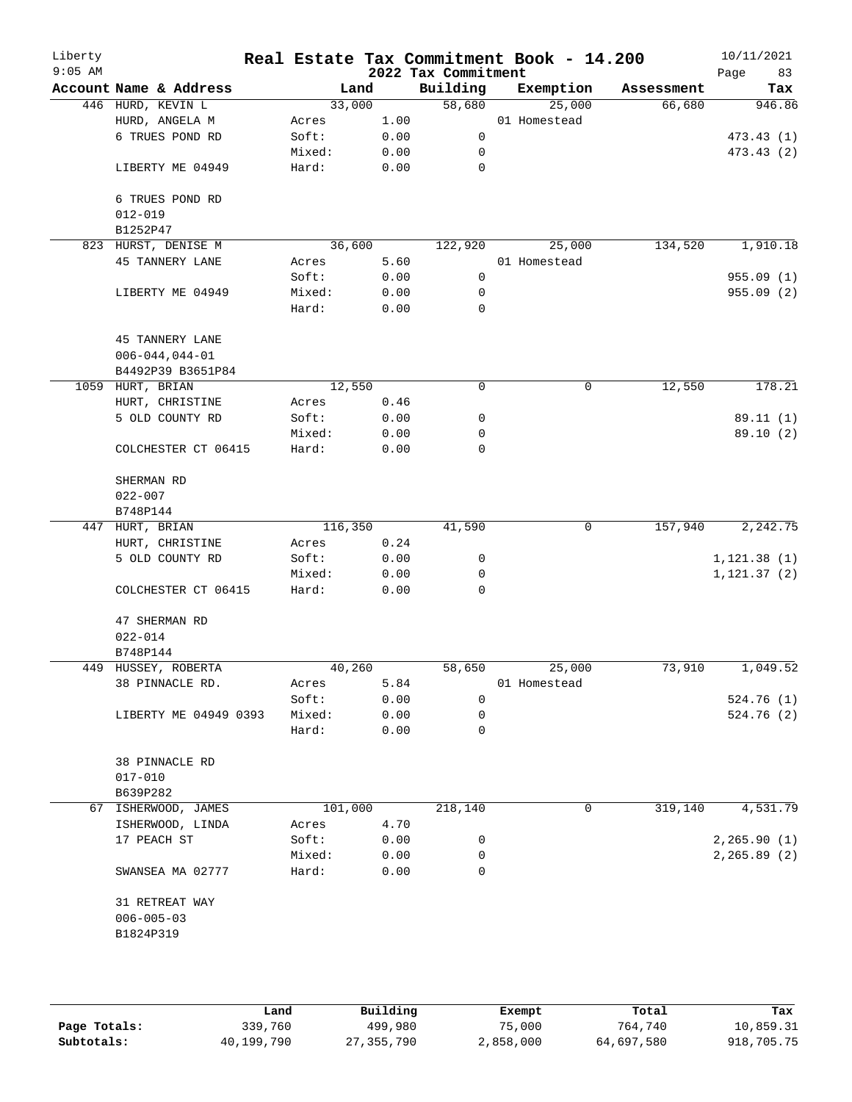| Liberty<br>$9:05$ AM |                                 |         |      | 2022 Tax Commitment | Real Estate Tax Commitment Book - 14.200 |            | 10/11/2021<br>83<br>Page |
|----------------------|---------------------------------|---------|------|---------------------|------------------------------------------|------------|--------------------------|
|                      | Account Name & Address          |         | Land | Building            | Exemption                                | Assessment | Tax                      |
|                      | 446 HURD, KEVIN L               | 33,000  |      | 58,680              | 25,000                                   | 66,680     | 946.86                   |
|                      | HURD, ANGELA M                  | Acres   | 1.00 |                     | 01 Homestead                             |            |                          |
|                      | 6 TRUES POND RD                 | Soft:   | 0.00 | $\mathsf{O}$        |                                          |            | 473.43 (1)               |
|                      |                                 | Mixed:  | 0.00 | 0                   |                                          |            | 473.43(2)                |
|                      | LIBERTY ME 04949                | Hard:   | 0.00 | 0                   |                                          |            |                          |
|                      | 6 TRUES POND RD                 |         |      |                     |                                          |            |                          |
|                      | $012 - 019$                     |         |      |                     |                                          |            |                          |
|                      | B1252P47<br>823 HURST, DENISE M | 36,600  |      | 122,920             | 25,000                                   | 134,520    | 1,910.18                 |
|                      | 45 TANNERY LANE                 | Acres   | 5.60 |                     | 01 Homestead                             |            |                          |
|                      |                                 | Soft:   | 0.00 | 0                   |                                          |            | 955.09(1)                |
|                      | LIBERTY ME 04949                | Mixed:  | 0.00 | 0                   |                                          |            | 955.09(2)                |
|                      |                                 | Hard:   | 0.00 | 0                   |                                          |            |                          |
|                      | <b>45 TANNERY LANE</b>          |         |      |                     |                                          |            |                          |
|                      | $006 - 044, 044 - 01$           |         |      |                     |                                          |            |                          |
|                      | B4492P39 B3651P84               |         |      |                     |                                          |            |                          |
|                      | 1059 HURT, BRIAN                | 12,550  |      | 0                   | 0                                        | 12,550     | 178.21                   |
|                      | HURT, CHRISTINE                 | Acres   | 0.46 |                     |                                          |            |                          |
|                      | 5 OLD COUNTY RD                 | Soft:   | 0.00 | 0                   |                                          |            | 89.11(1)                 |
|                      |                                 | Mixed:  | 0.00 | 0                   |                                          |            | 89.10 (2)                |
|                      | COLCHESTER CT 06415             | Hard:   | 0.00 | 0                   |                                          |            |                          |
|                      | SHERMAN RD                      |         |      |                     |                                          |            |                          |
|                      | $022 - 007$                     |         |      |                     |                                          |            |                          |
|                      | B748P144                        |         |      |                     |                                          |            |                          |
|                      | 447 HURT, BRIAN                 | 116,350 |      | 41,590              | 0                                        | 157,940    | 2,242.75                 |
|                      | HURT, CHRISTINE                 | Acres   | 0.24 |                     |                                          |            |                          |
|                      | 5 OLD COUNTY RD                 | Soft:   | 0.00 | 0                   |                                          |            | 1, 121.38(1)             |
|                      |                                 | Mixed:  | 0.00 | 0                   |                                          |            | 1, 121.37(2)             |
|                      | COLCHESTER CT 06415             | Hard:   | 0.00 | $\mathbf 0$         |                                          |            |                          |
|                      | 47 SHERMAN RD                   |         |      |                     |                                          |            |                          |
|                      | $022 - 014$                     |         |      |                     |                                          |            |                          |
|                      | B748P144                        |         |      |                     |                                          |            |                          |
|                      | 449 HUSSEY, ROBERTA             | 40,260  |      | 58,650              | 25,000                                   | 73,910     | 1,049.52                 |
|                      | 38 PINNACLE RD.                 | Acres   | 5.84 |                     | 01 Homestead                             |            |                          |
|                      |                                 | Soft:   | 0.00 | $\mathbf 0$         |                                          |            | 524.76 (1)               |
|                      | LIBERTY ME 04949 0393           | Mixed:  | 0.00 | 0                   |                                          |            | 524.76 (2)               |
|                      |                                 | Hard:   | 0.00 | 0                   |                                          |            |                          |
|                      | 38 PINNACLE RD                  |         |      |                     |                                          |            |                          |
|                      | $017 - 010$                     |         |      |                     |                                          |            |                          |
|                      | B639P282                        |         |      |                     |                                          |            |                          |
|                      | 67 ISHERWOOD, JAMES             | 101,000 |      | 218,140             | 0                                        | 319,140    | 4,531.79                 |
|                      | ISHERWOOD, LINDA                | Acres   | 4.70 |                     |                                          |            |                          |
|                      | 17 PEACH ST                     | Soft:   | 0.00 | 0                   |                                          |            | 2,265.90(1)              |
|                      |                                 | Mixed:  | 0.00 | 0                   |                                          |            | 2, 265.89(2)             |
|                      | SWANSEA MA 02777                | Hard:   | 0.00 | 0                   |                                          |            |                          |
|                      | 31 RETREAT WAY                  |         |      |                     |                                          |            |                          |
|                      | $006 - 005 - 03$                |         |      |                     |                                          |            |                          |
|                      | B1824P319                       |         |      |                     |                                          |            |                          |
|                      |                                 |         |      |                     |                                          |            |                          |
|                      |                                 |         |      |                     |                                          |            |                          |
|                      |                                 |         |      |                     |                                          |            |                          |

|              | Land       | Building   | Exempt    | Total      | Tax        |
|--------------|------------|------------|-----------|------------|------------|
| Page Totals: | 339,760    | 499,980    | 75,000    | 764,740    | 10,859.31  |
| Subtotals:   | 40,199,790 | 27,355,790 | 2,858,000 | 64,697,580 | 918,705.75 |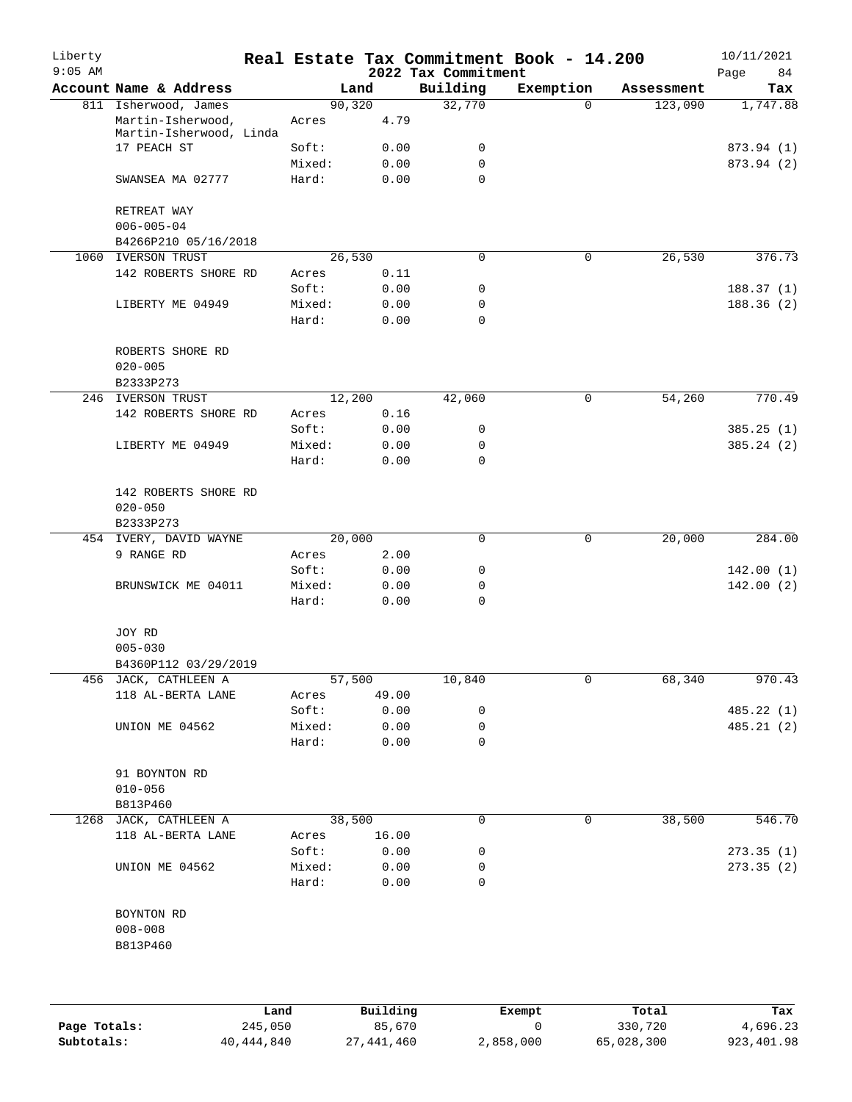| Building<br>Exemption<br>Account Name & Address<br>Land<br>Assessment<br>Tax<br>90,320<br>32,770<br>1,747.88<br>811 Isherwood, James<br>$\Omega$<br>123,090<br>4.79<br>Martin-Isherwood,<br>Acres<br>Martin-Isherwood, Linda<br>17 PEACH ST<br>Soft:<br>0.00<br>0<br>873.94 (1)<br>Mixed:<br>0.00<br>0<br>873.94 (2)<br>Hard:<br>0.00<br>$\Omega$<br>SWANSEA MA 02777<br>RETREAT WAY<br>$006 - 005 - 04$<br>B4266P210 05/16/2018<br>26,530<br>26,530<br>1060<br>IVERSON TRUST<br>0<br>$\mathbf 0$<br>142 ROBERTS SHORE RD<br>0.11<br>Acres<br>0.00<br>Soft:<br>0<br>0.00<br>0<br>LIBERTY ME 04949<br>Mixed:<br>0<br>Hard:<br>0.00<br>ROBERTS SHORE RD<br>$020 - 005$<br>B2333P273<br>54,260<br><b>IVERSON TRUST</b><br>12,200<br>42,060<br>0<br>246<br>142 ROBERTS SHORE RD<br>0.16<br>Acres<br>0.00<br>Soft:<br>0<br>Mixed:<br>0.00<br>0<br>LIBERTY ME 04949<br>0<br>Hard:<br>0.00<br>142 ROBERTS SHORE RD<br>$020 - 050$<br>B2333P273<br>454 IVERY, DAVID WAYNE<br>20,000<br>0<br>$\mathsf{O}$<br>20,000<br>9 RANGE RD<br>2.00<br>Acres<br>Soft:<br>0.00<br>0<br>142.00(1)<br>Mixed:<br>0.00<br>0<br>142.00(2)<br>BRUNSWICK ME 04011<br>0<br>Hard:<br>0.00<br>JOY RD<br>$005 - 030$<br>B4360P112 03/29/2019<br>456 JACK, CATHLEEN A<br>57,500<br>10,840<br>0<br>68,340<br>970.43<br>118 AL-BERTA LANE<br>49.00<br>Acres<br>Soft:<br>485.22 (1)<br>0.00<br>0<br>Mixed:<br>0.00<br>0<br>485.21(2)<br>UNION ME 04562<br>Hard:<br>0<br>0.00<br>91 BOYNTON RD<br>$010 - 056$<br>B813P460<br>38,500<br>546.70<br>1268 JACK, CATHLEEN A<br>38,500<br>0<br>0<br>118 AL-BERTA LANE<br>16.00<br>Acres<br>Soft:<br>0.00<br>273.35(1)<br>0<br>273.35(2)<br>UNION ME 04562<br>Mixed:<br>0.00<br>0<br>0<br>Hard:<br>0.00<br>BOYNTON RD<br>$008 - 008$<br>B813P460 | Liberty<br>$9:05$ AM |  |  | 2022 Tax Commitment | Real Estate Tax Commitment Book - 14.200 | 10/11/2021<br>Page<br>84 |
|-------------------------------------------------------------------------------------------------------------------------------------------------------------------------------------------------------------------------------------------------------------------------------------------------------------------------------------------------------------------------------------------------------------------------------------------------------------------------------------------------------------------------------------------------------------------------------------------------------------------------------------------------------------------------------------------------------------------------------------------------------------------------------------------------------------------------------------------------------------------------------------------------------------------------------------------------------------------------------------------------------------------------------------------------------------------------------------------------------------------------------------------------------------------------------------------------------------------------------------------------------------------------------------------------------------------------------------------------------------------------------------------------------------------------------------------------------------------------------------------------------------------------------------------------------------------------------------------------------------------------------------------------------------------------------------------------------------------------------------------------------|----------------------|--|--|---------------------|------------------------------------------|--------------------------|
|                                                                                                                                                                                                                                                                                                                                                                                                                                                                                                                                                                                                                                                                                                                                                                                                                                                                                                                                                                                                                                                                                                                                                                                                                                                                                                                                                                                                                                                                                                                                                                                                                                                                                                                                                       |                      |  |  |                     |                                          |                          |
|                                                                                                                                                                                                                                                                                                                                                                                                                                                                                                                                                                                                                                                                                                                                                                                                                                                                                                                                                                                                                                                                                                                                                                                                                                                                                                                                                                                                                                                                                                                                                                                                                                                                                                                                                       |                      |  |  |                     |                                          |                          |
|                                                                                                                                                                                                                                                                                                                                                                                                                                                                                                                                                                                                                                                                                                                                                                                                                                                                                                                                                                                                                                                                                                                                                                                                                                                                                                                                                                                                                                                                                                                                                                                                                                                                                                                                                       |                      |  |  |                     |                                          |                          |
|                                                                                                                                                                                                                                                                                                                                                                                                                                                                                                                                                                                                                                                                                                                                                                                                                                                                                                                                                                                                                                                                                                                                                                                                                                                                                                                                                                                                                                                                                                                                                                                                                                                                                                                                                       |                      |  |  |                     |                                          |                          |
|                                                                                                                                                                                                                                                                                                                                                                                                                                                                                                                                                                                                                                                                                                                                                                                                                                                                                                                                                                                                                                                                                                                                                                                                                                                                                                                                                                                                                                                                                                                                                                                                                                                                                                                                                       |                      |  |  |                     |                                          |                          |
|                                                                                                                                                                                                                                                                                                                                                                                                                                                                                                                                                                                                                                                                                                                                                                                                                                                                                                                                                                                                                                                                                                                                                                                                                                                                                                                                                                                                                                                                                                                                                                                                                                                                                                                                                       |                      |  |  |                     |                                          |                          |
|                                                                                                                                                                                                                                                                                                                                                                                                                                                                                                                                                                                                                                                                                                                                                                                                                                                                                                                                                                                                                                                                                                                                                                                                                                                                                                                                                                                                                                                                                                                                                                                                                                                                                                                                                       |                      |  |  |                     |                                          |                          |
|                                                                                                                                                                                                                                                                                                                                                                                                                                                                                                                                                                                                                                                                                                                                                                                                                                                                                                                                                                                                                                                                                                                                                                                                                                                                                                                                                                                                                                                                                                                                                                                                                                                                                                                                                       |                      |  |  |                     |                                          |                          |
|                                                                                                                                                                                                                                                                                                                                                                                                                                                                                                                                                                                                                                                                                                                                                                                                                                                                                                                                                                                                                                                                                                                                                                                                                                                                                                                                                                                                                                                                                                                                                                                                                                                                                                                                                       |                      |  |  |                     |                                          |                          |
|                                                                                                                                                                                                                                                                                                                                                                                                                                                                                                                                                                                                                                                                                                                                                                                                                                                                                                                                                                                                                                                                                                                                                                                                                                                                                                                                                                                                                                                                                                                                                                                                                                                                                                                                                       |                      |  |  |                     |                                          | 376.73                   |
|                                                                                                                                                                                                                                                                                                                                                                                                                                                                                                                                                                                                                                                                                                                                                                                                                                                                                                                                                                                                                                                                                                                                                                                                                                                                                                                                                                                                                                                                                                                                                                                                                                                                                                                                                       |                      |  |  |                     |                                          |                          |
|                                                                                                                                                                                                                                                                                                                                                                                                                                                                                                                                                                                                                                                                                                                                                                                                                                                                                                                                                                                                                                                                                                                                                                                                                                                                                                                                                                                                                                                                                                                                                                                                                                                                                                                                                       |                      |  |  |                     |                                          | 188.37(1)                |
|                                                                                                                                                                                                                                                                                                                                                                                                                                                                                                                                                                                                                                                                                                                                                                                                                                                                                                                                                                                                                                                                                                                                                                                                                                                                                                                                                                                                                                                                                                                                                                                                                                                                                                                                                       |                      |  |  |                     |                                          | 188.36(2)                |
|                                                                                                                                                                                                                                                                                                                                                                                                                                                                                                                                                                                                                                                                                                                                                                                                                                                                                                                                                                                                                                                                                                                                                                                                                                                                                                                                                                                                                                                                                                                                                                                                                                                                                                                                                       |                      |  |  |                     |                                          |                          |
|                                                                                                                                                                                                                                                                                                                                                                                                                                                                                                                                                                                                                                                                                                                                                                                                                                                                                                                                                                                                                                                                                                                                                                                                                                                                                                                                                                                                                                                                                                                                                                                                                                                                                                                                                       |                      |  |  |                     |                                          |                          |
|                                                                                                                                                                                                                                                                                                                                                                                                                                                                                                                                                                                                                                                                                                                                                                                                                                                                                                                                                                                                                                                                                                                                                                                                                                                                                                                                                                                                                                                                                                                                                                                                                                                                                                                                                       |                      |  |  |                     |                                          |                          |
|                                                                                                                                                                                                                                                                                                                                                                                                                                                                                                                                                                                                                                                                                                                                                                                                                                                                                                                                                                                                                                                                                                                                                                                                                                                                                                                                                                                                                                                                                                                                                                                                                                                                                                                                                       |                      |  |  |                     |                                          | 770.49                   |
|                                                                                                                                                                                                                                                                                                                                                                                                                                                                                                                                                                                                                                                                                                                                                                                                                                                                                                                                                                                                                                                                                                                                                                                                                                                                                                                                                                                                                                                                                                                                                                                                                                                                                                                                                       |                      |  |  |                     |                                          |                          |
|                                                                                                                                                                                                                                                                                                                                                                                                                                                                                                                                                                                                                                                                                                                                                                                                                                                                                                                                                                                                                                                                                                                                                                                                                                                                                                                                                                                                                                                                                                                                                                                                                                                                                                                                                       |                      |  |  |                     |                                          | 385.25(1)                |
|                                                                                                                                                                                                                                                                                                                                                                                                                                                                                                                                                                                                                                                                                                                                                                                                                                                                                                                                                                                                                                                                                                                                                                                                                                                                                                                                                                                                                                                                                                                                                                                                                                                                                                                                                       |                      |  |  |                     |                                          | 385.24(2)                |
|                                                                                                                                                                                                                                                                                                                                                                                                                                                                                                                                                                                                                                                                                                                                                                                                                                                                                                                                                                                                                                                                                                                                                                                                                                                                                                                                                                                                                                                                                                                                                                                                                                                                                                                                                       |                      |  |  |                     |                                          |                          |
|                                                                                                                                                                                                                                                                                                                                                                                                                                                                                                                                                                                                                                                                                                                                                                                                                                                                                                                                                                                                                                                                                                                                                                                                                                                                                                                                                                                                                                                                                                                                                                                                                                                                                                                                                       |                      |  |  |                     |                                          |                          |
|                                                                                                                                                                                                                                                                                                                                                                                                                                                                                                                                                                                                                                                                                                                                                                                                                                                                                                                                                                                                                                                                                                                                                                                                                                                                                                                                                                                                                                                                                                                                                                                                                                                                                                                                                       |                      |  |  |                     |                                          |                          |
|                                                                                                                                                                                                                                                                                                                                                                                                                                                                                                                                                                                                                                                                                                                                                                                                                                                                                                                                                                                                                                                                                                                                                                                                                                                                                                                                                                                                                                                                                                                                                                                                                                                                                                                                                       |                      |  |  |                     |                                          | 284.00                   |
|                                                                                                                                                                                                                                                                                                                                                                                                                                                                                                                                                                                                                                                                                                                                                                                                                                                                                                                                                                                                                                                                                                                                                                                                                                                                                                                                                                                                                                                                                                                                                                                                                                                                                                                                                       |                      |  |  |                     |                                          |                          |
|                                                                                                                                                                                                                                                                                                                                                                                                                                                                                                                                                                                                                                                                                                                                                                                                                                                                                                                                                                                                                                                                                                                                                                                                                                                                                                                                                                                                                                                                                                                                                                                                                                                                                                                                                       |                      |  |  |                     |                                          |                          |
|                                                                                                                                                                                                                                                                                                                                                                                                                                                                                                                                                                                                                                                                                                                                                                                                                                                                                                                                                                                                                                                                                                                                                                                                                                                                                                                                                                                                                                                                                                                                                                                                                                                                                                                                                       |                      |  |  |                     |                                          |                          |
|                                                                                                                                                                                                                                                                                                                                                                                                                                                                                                                                                                                                                                                                                                                                                                                                                                                                                                                                                                                                                                                                                                                                                                                                                                                                                                                                                                                                                                                                                                                                                                                                                                                                                                                                                       |                      |  |  |                     |                                          |                          |
|                                                                                                                                                                                                                                                                                                                                                                                                                                                                                                                                                                                                                                                                                                                                                                                                                                                                                                                                                                                                                                                                                                                                                                                                                                                                                                                                                                                                                                                                                                                                                                                                                                                                                                                                                       |                      |  |  |                     |                                          |                          |
|                                                                                                                                                                                                                                                                                                                                                                                                                                                                                                                                                                                                                                                                                                                                                                                                                                                                                                                                                                                                                                                                                                                                                                                                                                                                                                                                                                                                                                                                                                                                                                                                                                                                                                                                                       |                      |  |  |                     |                                          |                          |
|                                                                                                                                                                                                                                                                                                                                                                                                                                                                                                                                                                                                                                                                                                                                                                                                                                                                                                                                                                                                                                                                                                                                                                                                                                                                                                                                                                                                                                                                                                                                                                                                                                                                                                                                                       |                      |  |  |                     |                                          |                          |
|                                                                                                                                                                                                                                                                                                                                                                                                                                                                                                                                                                                                                                                                                                                                                                                                                                                                                                                                                                                                                                                                                                                                                                                                                                                                                                                                                                                                                                                                                                                                                                                                                                                                                                                                                       |                      |  |  |                     |                                          |                          |
|                                                                                                                                                                                                                                                                                                                                                                                                                                                                                                                                                                                                                                                                                                                                                                                                                                                                                                                                                                                                                                                                                                                                                                                                                                                                                                                                                                                                                                                                                                                                                                                                                                                                                                                                                       |                      |  |  |                     |                                          |                          |
|                                                                                                                                                                                                                                                                                                                                                                                                                                                                                                                                                                                                                                                                                                                                                                                                                                                                                                                                                                                                                                                                                                                                                                                                                                                                                                                                                                                                                                                                                                                                                                                                                                                                                                                                                       |                      |  |  |                     |                                          |                          |
|                                                                                                                                                                                                                                                                                                                                                                                                                                                                                                                                                                                                                                                                                                                                                                                                                                                                                                                                                                                                                                                                                                                                                                                                                                                                                                                                                                                                                                                                                                                                                                                                                                                                                                                                                       |                      |  |  |                     |                                          |                          |
|                                                                                                                                                                                                                                                                                                                                                                                                                                                                                                                                                                                                                                                                                                                                                                                                                                                                                                                                                                                                                                                                                                                                                                                                                                                                                                                                                                                                                                                                                                                                                                                                                                                                                                                                                       |                      |  |  |                     |                                          |                          |
|                                                                                                                                                                                                                                                                                                                                                                                                                                                                                                                                                                                                                                                                                                                                                                                                                                                                                                                                                                                                                                                                                                                                                                                                                                                                                                                                                                                                                                                                                                                                                                                                                                                                                                                                                       |                      |  |  |                     |                                          |                          |
|                                                                                                                                                                                                                                                                                                                                                                                                                                                                                                                                                                                                                                                                                                                                                                                                                                                                                                                                                                                                                                                                                                                                                                                                                                                                                                                                                                                                                                                                                                                                                                                                                                                                                                                                                       |                      |  |  |                     |                                          |                          |
|                                                                                                                                                                                                                                                                                                                                                                                                                                                                                                                                                                                                                                                                                                                                                                                                                                                                                                                                                                                                                                                                                                                                                                                                                                                                                                                                                                                                                                                                                                                                                                                                                                                                                                                                                       |                      |  |  |                     |                                          |                          |
|                                                                                                                                                                                                                                                                                                                                                                                                                                                                                                                                                                                                                                                                                                                                                                                                                                                                                                                                                                                                                                                                                                                                                                                                                                                                                                                                                                                                                                                                                                                                                                                                                                                                                                                                                       |                      |  |  |                     |                                          |                          |
|                                                                                                                                                                                                                                                                                                                                                                                                                                                                                                                                                                                                                                                                                                                                                                                                                                                                                                                                                                                                                                                                                                                                                                                                                                                                                                                                                                                                                                                                                                                                                                                                                                                                                                                                                       |                      |  |  |                     |                                          |                          |
|                                                                                                                                                                                                                                                                                                                                                                                                                                                                                                                                                                                                                                                                                                                                                                                                                                                                                                                                                                                                                                                                                                                                                                                                                                                                                                                                                                                                                                                                                                                                                                                                                                                                                                                                                       |                      |  |  |                     |                                          |                          |
|                                                                                                                                                                                                                                                                                                                                                                                                                                                                                                                                                                                                                                                                                                                                                                                                                                                                                                                                                                                                                                                                                                                                                                                                                                                                                                                                                                                                                                                                                                                                                                                                                                                                                                                                                       |                      |  |  |                     |                                          |                          |
|                                                                                                                                                                                                                                                                                                                                                                                                                                                                                                                                                                                                                                                                                                                                                                                                                                                                                                                                                                                                                                                                                                                                                                                                                                                                                                                                                                                                                                                                                                                                                                                                                                                                                                                                                       |                      |  |  |                     |                                          |                          |
|                                                                                                                                                                                                                                                                                                                                                                                                                                                                                                                                                                                                                                                                                                                                                                                                                                                                                                                                                                                                                                                                                                                                                                                                                                                                                                                                                                                                                                                                                                                                                                                                                                                                                                                                                       |                      |  |  |                     |                                          |                          |
|                                                                                                                                                                                                                                                                                                                                                                                                                                                                                                                                                                                                                                                                                                                                                                                                                                                                                                                                                                                                                                                                                                                                                                                                                                                                                                                                                                                                                                                                                                                                                                                                                                                                                                                                                       |                      |  |  |                     |                                          |                          |
|                                                                                                                                                                                                                                                                                                                                                                                                                                                                                                                                                                                                                                                                                                                                                                                                                                                                                                                                                                                                                                                                                                                                                                                                                                                                                                                                                                                                                                                                                                                                                                                                                                                                                                                                                       |                      |  |  |                     |                                          |                          |
|                                                                                                                                                                                                                                                                                                                                                                                                                                                                                                                                                                                                                                                                                                                                                                                                                                                                                                                                                                                                                                                                                                                                                                                                                                                                                                                                                                                                                                                                                                                                                                                                                                                                                                                                                       |                      |  |  |                     |                                          |                          |
|                                                                                                                                                                                                                                                                                                                                                                                                                                                                                                                                                                                                                                                                                                                                                                                                                                                                                                                                                                                                                                                                                                                                                                                                                                                                                                                                                                                                                                                                                                                                                                                                                                                                                                                                                       |                      |  |  |                     |                                          |                          |

|              | Land       | Building   | Exempt    | Total      | Tax        |
|--------------|------------|------------|-----------|------------|------------|
| Page Totals: | 245,050    | 85,670     |           | 330,720    | 4,696.23   |
| Subtotals:   | 40,444,840 | 27,441,460 | 2,858,000 | 65,028,300 | 923,401.98 |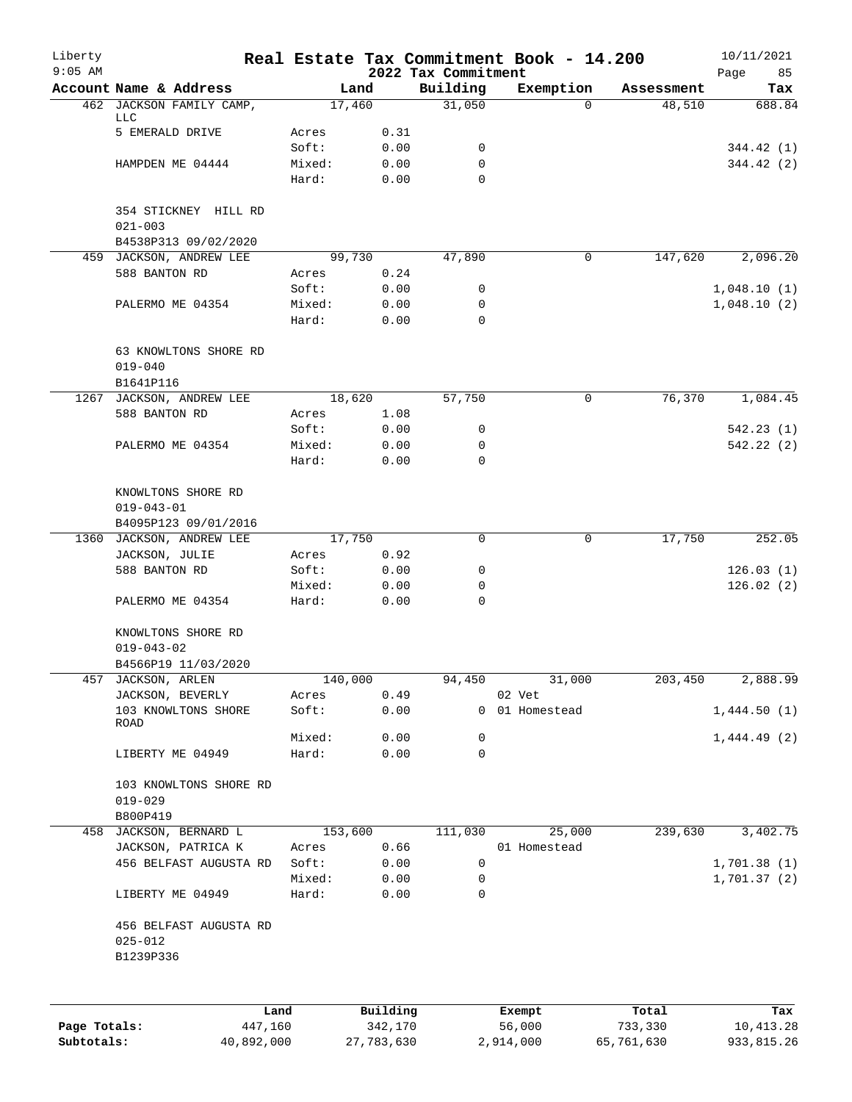| Liberty<br>$9:05$ AM |                                    |         |              | 2022 Tax Commitment | Real Estate Tax Commitment Book - 14.200 |            | 10/11/2021<br>Page<br>85 |
|----------------------|------------------------------------|---------|--------------|---------------------|------------------------------------------|------------|--------------------------|
|                      | Account Name & Address             | Land    |              | Building            | Exemption                                | Assessment | Tax                      |
|                      | 462 JACKSON FAMILY CAMP,           | 17,460  |              | 31,050              | $\Omega$                                 | 48,510     | 688.84                   |
|                      | LLC<br>5 EMERALD DRIVE             | Acres   |              |                     |                                          |            |                          |
|                      |                                    | Soft:   | 0.31<br>0.00 | 0                   |                                          |            | 344.42 (1)               |
|                      | HAMPDEN ME 04444                   | Mixed:  | 0.00         | 0                   |                                          |            | 344.42 (2)               |
|                      |                                    | Hard:   | 0.00         | $\Omega$            |                                          |            |                          |
|                      |                                    |         |              |                     |                                          |            |                          |
|                      | 354 STICKNEY HILL RD               |         |              |                     |                                          |            |                          |
|                      | $021 - 003$                        |         |              |                     |                                          |            |                          |
|                      | B4538P313 09/02/2020               |         |              |                     |                                          |            |                          |
|                      | 459 JACKSON, ANDREW LEE            | 99,730  |              | 47,890              | 0                                        | 147,620    | 2,096.20                 |
|                      | 588 BANTON RD                      | Acres   | 0.24         |                     |                                          |            |                          |
|                      |                                    | Soft:   | 0.00         | 0                   |                                          |            | 1,048.10(1)              |
|                      | PALERMO ME 04354                   | Mixed:  | 0.00         | 0                   |                                          |            | 1,048.10(2)              |
|                      |                                    | Hard:   | 0.00         | 0                   |                                          |            |                          |
|                      | 63 KNOWLTONS SHORE RD              |         |              |                     |                                          |            |                          |
|                      | $019 - 040$                        |         |              |                     |                                          |            |                          |
|                      | B1641P116                          |         |              |                     |                                          |            |                          |
|                      | 1267 JACKSON, ANDREW LEE           | 18,620  |              | 57,750              | 0                                        | 76,370     | 1,084.45                 |
|                      | 588 BANTON RD                      | Acres   | 1.08         |                     |                                          |            |                          |
|                      |                                    | Soft:   | 0.00         | 0                   |                                          |            | 542.23(1)                |
|                      | PALERMO ME 04354                   | Mixed:  | 0.00         | 0                   |                                          |            | 542.22(2)                |
|                      |                                    | Hard:   | 0.00         | $\Omega$            |                                          |            |                          |
|                      |                                    |         |              |                     |                                          |            |                          |
|                      | KNOWLTONS SHORE RD                 |         |              |                     |                                          |            |                          |
|                      | $019 - 043 - 01$                   |         |              |                     |                                          |            |                          |
|                      | B4095P123 09/01/2016               |         |              |                     |                                          |            |                          |
| 1360                 | JACKSON, ANDREW LEE                | 17,750  |              | 0                   | 0                                        | 17,750     | 252.05                   |
|                      | JACKSON, JULIE                     | Acres   | 0.92         |                     |                                          |            |                          |
|                      | 588 BANTON RD                      | Soft:   | 0.00         | 0                   |                                          |            | 126.03(1)                |
|                      |                                    | Mixed:  | 0.00         | 0                   |                                          |            | 126.02(2)                |
|                      | PALERMO ME 04354                   | Hard:   | 0.00         | 0                   |                                          |            |                          |
|                      |                                    |         |              |                     |                                          |            |                          |
|                      | KNOWLTONS SHORE RD                 |         |              |                     |                                          |            |                          |
|                      | $019 - 043 - 02$                   |         |              |                     |                                          |            |                          |
|                      | B4566P19 11/03/2020                |         |              |                     |                                          |            |                          |
| 457                  | JACKSON, ARLEN                     | 140,000 |              | 94,450              | 31,000                                   | 203,450    | 2,888.99                 |
|                      | JACKSON, BEVERLY                   | Acres   | 0.49         |                     | 02 Vet                                   |            |                          |
|                      | 103 KNOWLTONS SHORE<br><b>ROAD</b> | Soft:   | 0.00         |                     | 0 01 Homestead                           |            | 1,444.50(1)              |
|                      |                                    | Mixed:  | 0.00         | 0                   |                                          |            | 1,444.49(2)              |
|                      | LIBERTY ME 04949                   | Hard:   | 0.00         | 0                   |                                          |            |                          |
|                      |                                    |         |              |                     |                                          |            |                          |
|                      | 103 KNOWLTONS SHORE RD             |         |              |                     |                                          |            |                          |
|                      | $019 - 029$                        |         |              |                     |                                          |            |                          |
|                      | B800P419                           |         |              |                     |                                          |            |                          |
| 458                  | JACKSON, BERNARD L                 | 153,600 |              | 111,030             | 25,000                                   | 239,630    | 3,402.75                 |
|                      | JACKSON, PATRICA K                 | Acres   | 0.66         |                     | 01 Homestead                             |            |                          |
|                      | 456 BELFAST AUGUSTA RD             | Soft:   | 0.00         | 0                   |                                          |            | 1,701.38(1)              |
|                      |                                    | Mixed:  | 0.00         | 0                   |                                          |            | 1,701.37(2)              |
|                      | LIBERTY ME 04949                   | Hard:   | 0.00         | 0                   |                                          |            |                          |
|                      |                                    |         |              |                     |                                          |            |                          |
|                      | 456 BELFAST AUGUSTA RD             |         |              |                     |                                          |            |                          |
|                      | $025 - 012$                        |         |              |                     |                                          |            |                          |
|                      | B1239P336                          |         |              |                     |                                          |            |                          |
|                      |                                    |         |              |                     |                                          |            |                          |
|                      |                                    |         |              |                     |                                          |            |                          |
|                      | Land                               |         | Building     |                     | Exempt                                   | Total      | Tax                      |
| Page Totals:         | 447,160                            |         | 342,170      |                     | 56,000                                   | 733,330    | 10, 413.28               |

**Subtotals:** 40,892,000 27,783,630 2,914,000 65,761,630 933,815.26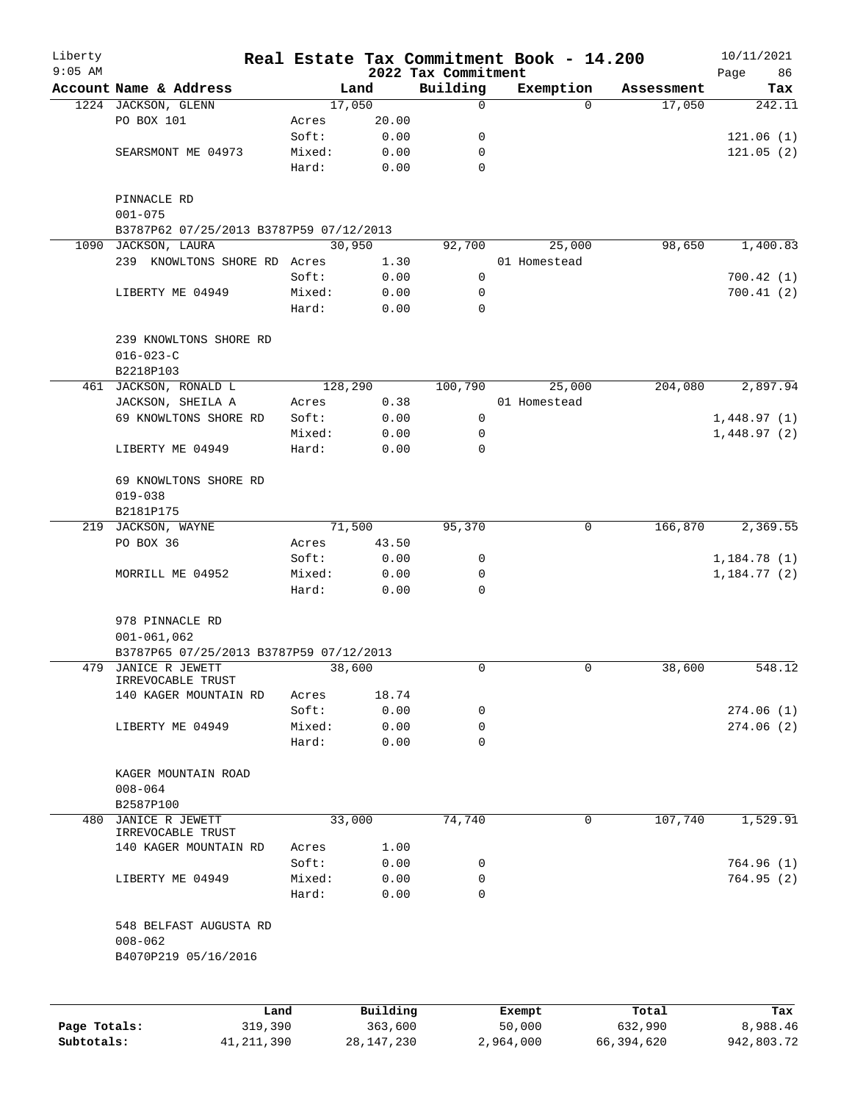| Liberty      |                                                                                |                 |              |                                 | Real Estate Tax Commitment Book - 14.200 |            | 10/11/2021        |
|--------------|--------------------------------------------------------------------------------|-----------------|--------------|---------------------------------|------------------------------------------|------------|-------------------|
| $9:05$ AM    | Account Name & Address                                                         |                 | Land         | 2022 Tax Commitment<br>Building | Exemption                                | Assessment | Page<br>86<br>Tax |
|              | 1224 JACKSON, GLENN                                                            |                 | 17,050       | 0                               | $\Omega$                                 | 17,050     | 242.11            |
|              | PO BOX 101                                                                     | Acres           | 20.00        |                                 |                                          |            |                   |
|              |                                                                                | Soft:           | 0.00         | 0                               |                                          |            | 121.06(1)         |
|              | SEARSMONT ME 04973                                                             | Mixed:          | 0.00         | 0                               |                                          |            | 121.05(2)         |
|              |                                                                                | Hard:           | 0.00         | $\mathbf 0$                     |                                          |            |                   |
|              | PINNACLE RD                                                                    |                 |              |                                 |                                          |            |                   |
|              | $001 - 075$<br>B3787P62 07/25/2013 B3787P59 07/12/2013                         |                 |              |                                 |                                          |            |                   |
| 1090         | JACKSON, LAURA                                                                 |                 | 30,950       | 92,700                          | 25,000                                   | 98,650     | 1,400.83          |
|              | 239 KNOWLTONS SHORE RD Acres                                                   |                 | 1.30         |                                 | 01 Homestead                             |            |                   |
|              |                                                                                | Soft:           | 0.00         | $\mathsf{O}$                    |                                          |            | 700.42(1)         |
|              | LIBERTY ME 04949                                                               | Mixed:          | 0.00         | 0                               |                                          |            | 700.41(2)         |
|              |                                                                                | Hard:           | 0.00         | 0                               |                                          |            |                   |
|              | 239 KNOWLTONS SHORE RD<br>$016 - 023 - C$                                      |                 |              |                                 |                                          |            |                   |
|              | B2218P103                                                                      |                 |              |                                 |                                          |            |                   |
|              | 461 JACKSON, RONALD L                                                          |                 | 128,290      | 100,790                         | 25,000                                   | 204,080    | 2,897.94          |
|              | JACKSON, SHEILA A                                                              | Acres           | 0.38         |                                 | 01 Homestead                             |            |                   |
|              | 69 KNOWLTONS SHORE RD                                                          | Soft:           | 0.00         | 0                               |                                          |            | 1,448.97(1)       |
|              |                                                                                | Mixed:          | 0.00         | 0                               |                                          |            | 1,448.97(2)       |
|              | LIBERTY ME 04949                                                               | Hard:           | 0.00         | 0                               |                                          |            |                   |
|              | 69 KNOWLTONS SHORE RD<br>$019 - 038$                                           |                 |              |                                 |                                          |            |                   |
|              | B2181P175                                                                      |                 |              |                                 |                                          |            |                   |
| 219          | JACKSON, WAYNE                                                                 |                 | 71,500       | 95,370                          | 0                                        | 166,870    | 2,369.55          |
|              | PO BOX 36                                                                      | Acres           | 43.50        |                                 |                                          |            |                   |
|              |                                                                                | Soft:           | 0.00         | 0                               |                                          |            | 1,184.78(1)       |
|              | MORRILL ME 04952                                                               | Mixed:          | 0.00         | 0                               |                                          |            | 1,184.77(2)       |
|              |                                                                                | Hard:           | 0.00         | 0                               |                                          |            |                   |
|              | 978 PINNACLE RD<br>$001 - 061, 062$<br>B3787P65 07/25/2013 B3787P59 07/12/2013 |                 |              |                                 |                                          |            |                   |
|              | 479 JANICE R JEWETT                                                            |                 | 38,600       | 0                               | 0                                        | 38,600     | 548.12            |
|              | IRREVOCABLE TRUST<br>140 KAGER MOUNTAIN RD                                     |                 | 18.74        |                                 |                                          |            |                   |
|              |                                                                                | Acres<br>Soft:  | 0.00         | 0                               |                                          |            | 274.06(1)         |
|              |                                                                                |                 |              |                                 |                                          |            |                   |
|              | LIBERTY ME 04949                                                               | Mixed:<br>Hard: | 0.00<br>0.00 | 0<br>$\Omega$                   |                                          |            | 274.06(2)         |
|              | KAGER MOUNTAIN ROAD<br>$008 - 064$                                             |                 |              |                                 |                                          |            |                   |
|              | B2587P100                                                                      |                 |              |                                 |                                          |            |                   |
| 480          | JANICE R JEWETT                                                                |                 | 33,000       | 74,740                          | 0                                        | 107,740    | 1,529.91          |
|              | IRREVOCABLE TRUST                                                              |                 |              |                                 |                                          |            |                   |
|              | 140 KAGER MOUNTAIN RD                                                          | Acres<br>Soft:  | 1.00<br>0.00 | 0                               |                                          |            | 764.96 (1)        |
|              | LIBERTY ME 04949                                                               | Mixed:          | 0.00         | 0                               |                                          |            | 764.95 (2)        |
|              |                                                                                | Hard:           | 0.00         | 0                               |                                          |            |                   |
|              | 548 BELFAST AUGUSTA RD<br>$008 - 062$<br>B4070P219 05/16/2016                  |                 |              |                                 |                                          |            |                   |
|              |                                                                                |                 |              |                                 |                                          |            |                   |
|              | Land                                                                           |                 | Building     |                                 | Exempt                                   | Total      | Tax               |
| Page Totals: | 319,390                                                                        |                 | 363,600      |                                 | 50,000                                   | 632,990    | 8,988.46          |

**Subtotals:** 41,211,390 28,147,230 2,964,000 66,394,620 942,803.72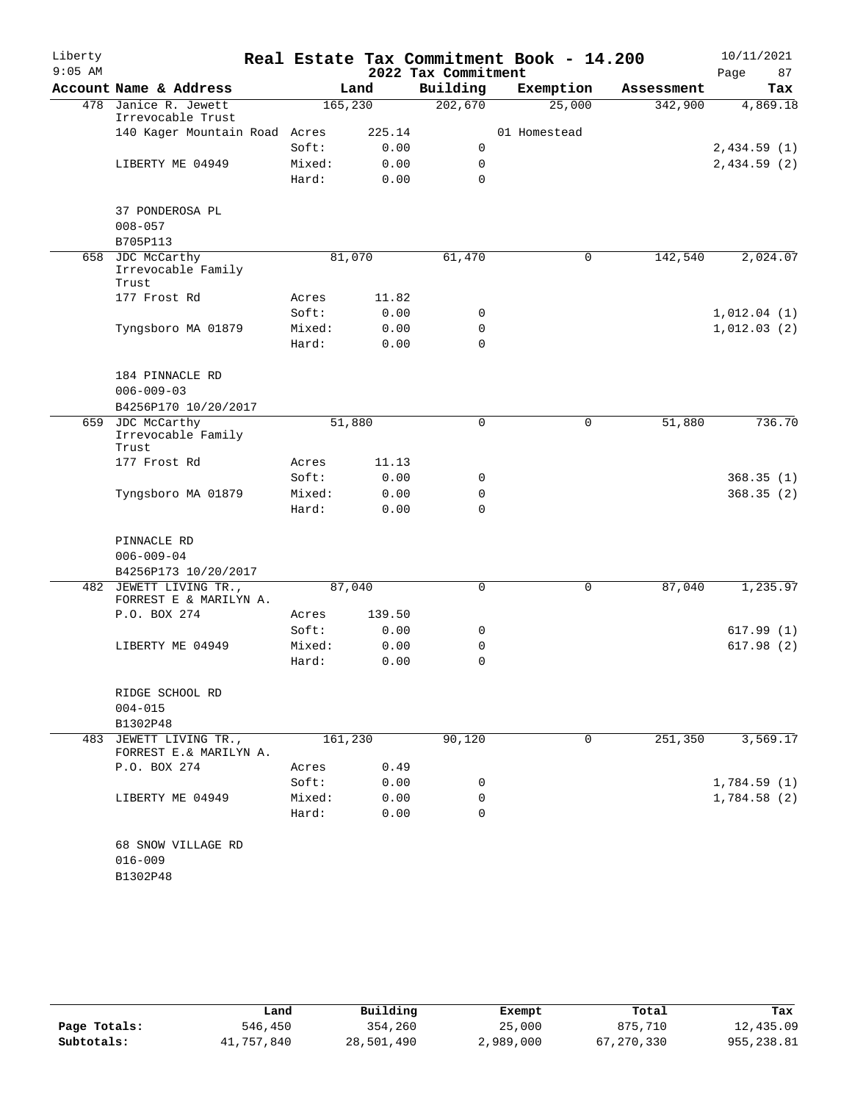| Liberty   |                                                  |          |        |                     | Real Estate Tax Commitment Book - 14.200 |            | 10/11/2021  |
|-----------|--------------------------------------------------|----------|--------|---------------------|------------------------------------------|------------|-------------|
| $9:05$ AM |                                                  |          |        | 2022 Tax Commitment |                                          |            | 87<br>Page  |
|           | Account Name & Address                           |          | Land   | Building            | Exemption                                | Assessment | Tax         |
|           | 478 Janice R. Jewett<br>Irrevocable Trust        | 165, 230 |        | 202,670             | 25,000                                   | 342,900    | 4,869.18    |
|           | 140 Kager Mountain Road Acres                    |          | 225.14 |                     | 01 Homestead                             |            |             |
|           |                                                  | Soft:    | 0.00   | 0                   |                                          |            | 2,434.59(1) |
|           | LIBERTY ME 04949                                 | Mixed:   | 0.00   | 0                   |                                          |            | 2,434.59(2) |
|           |                                                  | Hard:    | 0.00   | 0                   |                                          |            |             |
|           | 37 PONDEROSA PL                                  |          |        |                     |                                          |            |             |
|           | $008 - 057$                                      |          |        |                     |                                          |            |             |
|           | B705P113                                         |          |        |                     |                                          |            |             |
|           | 658 JDC McCarthy                                 | 81,070   |        | 61,470              | 0                                        | 142,540    | 2,024.07    |
|           | Irrevocable Family<br>Trust                      |          |        |                     |                                          |            |             |
|           | 177 Frost Rd                                     | Acres    | 11.82  |                     |                                          |            |             |
|           |                                                  | Soft:    | 0.00   | 0                   |                                          |            | 1,012.04(1) |
|           | Tyngsboro MA 01879                               | Mixed:   | 0.00   | $\mathbf 0$         |                                          |            | 1,012.03(2) |
|           |                                                  | Hard:    | 0.00   | $\Omega$            |                                          |            |             |
|           | 184 PINNACLE RD                                  |          |        |                     |                                          |            |             |
|           | $006 - 009 - 03$                                 |          |        |                     |                                          |            |             |
|           | B4256P170 10/20/2017                             |          |        |                     |                                          |            |             |
|           | 659 JDC McCarthy                                 | 51,880   |        | 0                   | 0                                        | 51,880     | 736.70      |
|           | Irrevocable Family                               |          |        |                     |                                          |            |             |
|           | Trust                                            |          |        |                     |                                          |            |             |
|           | 177 Frost Rd                                     | Acres    | 11.13  |                     |                                          |            |             |
|           |                                                  | Soft:    | 0.00   | 0                   |                                          |            | 368.35(1)   |
|           | Tyngsboro MA 01879                               | Mixed:   | 0.00   | 0                   |                                          |            | 368.35(2)   |
|           |                                                  | Hard:    | 0.00   | $\mathbf 0$         |                                          |            |             |
|           | PINNACLE RD                                      |          |        |                     |                                          |            |             |
|           | $006 - 009 - 04$                                 |          |        |                     |                                          |            |             |
|           | B4256P173 10/20/2017                             |          |        |                     |                                          |            |             |
| 482       | JEWETT LIVING TR.,                               | 87,040   |        | 0                   | 0                                        | 87,040     | 1,235.97    |
|           | FORREST E & MARILYN A.                           |          |        |                     |                                          |            |             |
|           | P.O. BOX 274                                     | Acres    | 139.50 |                     |                                          |            |             |
|           |                                                  | Soft:    | 0.00   | 0                   |                                          |            | 617.99(1)   |
|           | LIBERTY ME 04949                                 | Mixed:   | 0.00   | 0                   |                                          |            | 617.98(2)   |
|           |                                                  | Hard:    | 0.00   | 0                   |                                          |            |             |
|           | RIDGE SCHOOL RD                                  |          |        |                     |                                          |            |             |
|           | $004 - 015$                                      |          |        |                     |                                          |            |             |
|           | B1302P48                                         |          |        |                     |                                          |            |             |
|           | 483 JEWETT LIVING TR.,<br>FORREST E.& MARILYN A. | 161,230  |        | 90,120              | 0                                        | 251,350    | 3,569.17    |
|           | P.O. BOX 274                                     | Acres    | 0.49   |                     |                                          |            |             |
|           |                                                  | Soft:    | 0.00   | 0                   |                                          |            | 1,784.59(1) |
|           | LIBERTY ME 04949                                 | Mixed:   | 0.00   | 0                   |                                          |            | 1,784.58(2) |
|           |                                                  | Hard:    | 0.00   | 0                   |                                          |            |             |
|           | 68 SNOW VILLAGE RD                               |          |        |                     |                                          |            |             |
|           | $016 - 009$                                      |          |        |                     |                                          |            |             |
|           | B1302P48                                         |          |        |                     |                                          |            |             |
|           |                                                  |          |        |                     |                                          |            |             |

|              | Land       | Building   | Exempt    | Total      | Tax         |
|--------------|------------|------------|-----------|------------|-------------|
| Page Totals: | 546,450    | 354,260    | 25,000    | 875,710    | 12,435.09   |
| Subtotals:   | 41,757,840 | 28,501,490 | 2,989,000 | 67,270,330 | 955, 238.81 |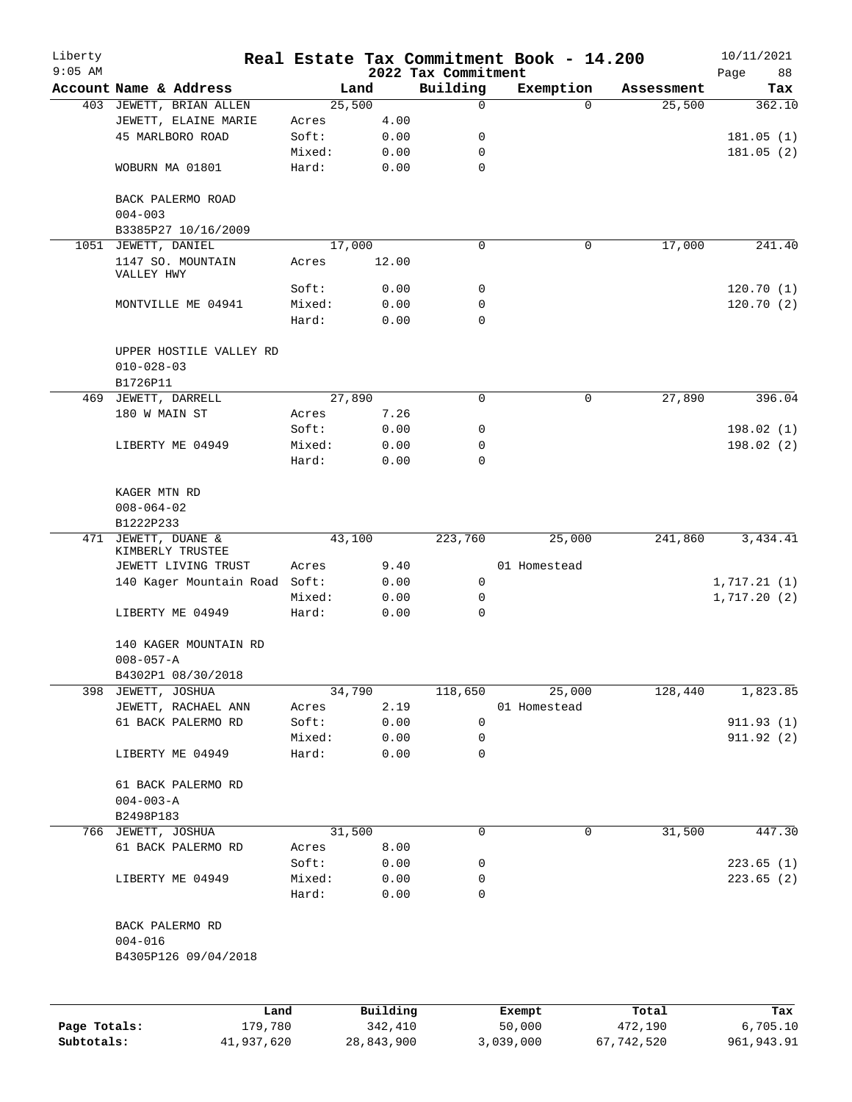| Liberty<br>$9:05$ AM |                                                        |                 |                 | 2022 Tax Commitment | Real Estate Tax Commitment Book - 14.200 |            | 10/11/2021<br>Page<br>88 |
|----------------------|--------------------------------------------------------|-----------------|-----------------|---------------------|------------------------------------------|------------|--------------------------|
|                      | Account Name & Address                                 |                 | Land            | Building            | Exemption                                | Assessment | Tax                      |
|                      | 403 JEWETT, BRIAN ALLEN                                |                 | 25,500          | 0                   | $\Omega$                                 | 25,500     | 362.10                   |
|                      | JEWETT, ELAINE MARIE                                   | Acres           | 4.00            |                     |                                          |            |                          |
|                      | 45 MARLBORO ROAD                                       | Soft:           | 0.00            | 0                   |                                          |            | 181.05(1)                |
|                      |                                                        | Mixed:          | 0.00            | 0                   |                                          |            | 181.05(2)                |
|                      | WOBURN MA 01801                                        | Hard:           | 0.00            | 0                   |                                          |            |                          |
|                      | BACK PALERMO ROAD<br>$004 - 003$                       |                 |                 |                     |                                          |            |                          |
|                      | B3385P27 10/16/2009                                    |                 |                 |                     |                                          |            | 241.40                   |
|                      | 1051 JEWETT, DANIEL<br>1147 SO. MOUNTAIN<br>VALLEY HWY | Acres           | 17,000<br>12.00 | 0                   | 0                                        | 17,000     |                          |
|                      |                                                        | Soft:           | 0.00            | 0                   |                                          |            | 120.70(1)                |
|                      | MONTVILLE ME 04941                                     | Mixed:          | 0.00            | 0                   |                                          |            | 120.70(2)                |
|                      |                                                        | Hard:           | 0.00            | 0                   |                                          |            |                          |
|                      | UPPER HOSTILE VALLEY RD<br>$010 - 028 - 03$            |                 |                 |                     |                                          |            |                          |
|                      | B1726P11                                               |                 |                 |                     |                                          |            |                          |
| 469                  | JEWETT, DARRELL                                        |                 | 27,890          | 0                   | $\mathsf{O}$                             | 27,890     | 396.04                   |
|                      | 180 W MAIN ST                                          | Acres           | 7.26            |                     |                                          |            |                          |
|                      |                                                        | Soft:<br>Mixed: | 0.00            | 0<br>0              |                                          |            | 198.02(1)                |
|                      | LIBERTY ME 04949                                       | Hard:           | 0.00<br>0.00    | 0                   |                                          |            | 198.02(2)                |
|                      | KAGER MTN RD<br>$008 - 064 - 02$                       |                 |                 |                     |                                          |            |                          |
|                      | B1222P233                                              |                 |                 |                     |                                          |            |                          |
| 471                  | JEWETT, DUANE &<br>KIMBERLY TRUSTEE                    |                 | 43,100          | 223,760             | 25,000                                   | 241,860    | 3,434.41                 |
|                      | JEWETT LIVING TRUST                                    | Acres           | 9.40            |                     | 01 Homestead                             |            |                          |
|                      | 140 Kager Mountain Road                                | Soft:           | 0.00            | 0                   |                                          |            | 1,717.21(1)              |
|                      |                                                        | Mixed:          | 0.00            | 0                   |                                          |            | 1,717.20(2)              |
|                      | LIBERTY ME 04949                                       | Hard:           | 0.00            | 0                   |                                          |            |                          |
|                      | 140 KAGER MOUNTAIN RD<br>$008 - 057 - A$               |                 |                 |                     |                                          |            |                          |
|                      | B4302P1 08/30/2018                                     |                 |                 |                     |                                          |            |                          |
| 398                  | JEWETT, JOSHUA                                         |                 | 34,790          | 118,650             | 25,000                                   | 128,440    | 1,823.85                 |
|                      | JEWETT, RACHAEL ANN                                    | Acres           | 2.19            |                     | 01 Homestead                             |            |                          |
|                      | 61 BACK PALERMO RD                                     | Soft:           | 0.00            | 0                   |                                          |            | 911.93(1)                |
|                      | LIBERTY ME 04949                                       | Mixed:<br>Hard: | 0.00<br>0.00    | 0<br>0              |                                          |            | 911.92 (2)               |
|                      |                                                        |                 |                 |                     |                                          |            |                          |
|                      | 61 BACK PALERMO RD<br>$004 - 003 - A$<br>B2498P183     |                 |                 |                     |                                          |            |                          |
| 766                  | JEWETT, JOSHUA                                         |                 | 31,500          | 0                   | 0                                        | 31,500     | 447.30                   |
|                      | 61 BACK PALERMO RD                                     | Acres           | 8.00            |                     |                                          |            |                          |
|                      |                                                        | Soft:           | 0.00            | 0                   |                                          |            | 223.65(1)                |
|                      | LIBERTY ME 04949                                       | Mixed:          | 0.00            | 0                   |                                          |            | 223.65(2)                |
|                      |                                                        | Hard:           | 0.00            | 0                   |                                          |            |                          |
|                      | BACK PALERMO RD<br>$004 - 016$<br>B4305P126 09/04/2018 |                 |                 |                     |                                          |            |                          |
|                      |                                                        |                 |                 |                     |                                          |            |                          |
|                      | Land                                                   |                 | Building        |                     | Exempt                                   | Total      | Tax                      |
| Page Totals:         | 179,780                                                |                 | 342,410         |                     | 50,000                                   | 472,190    | 6,705.10                 |

**Subtotals:** 41,937,620 28,843,900 3,039,000 67,742,520 961,943.91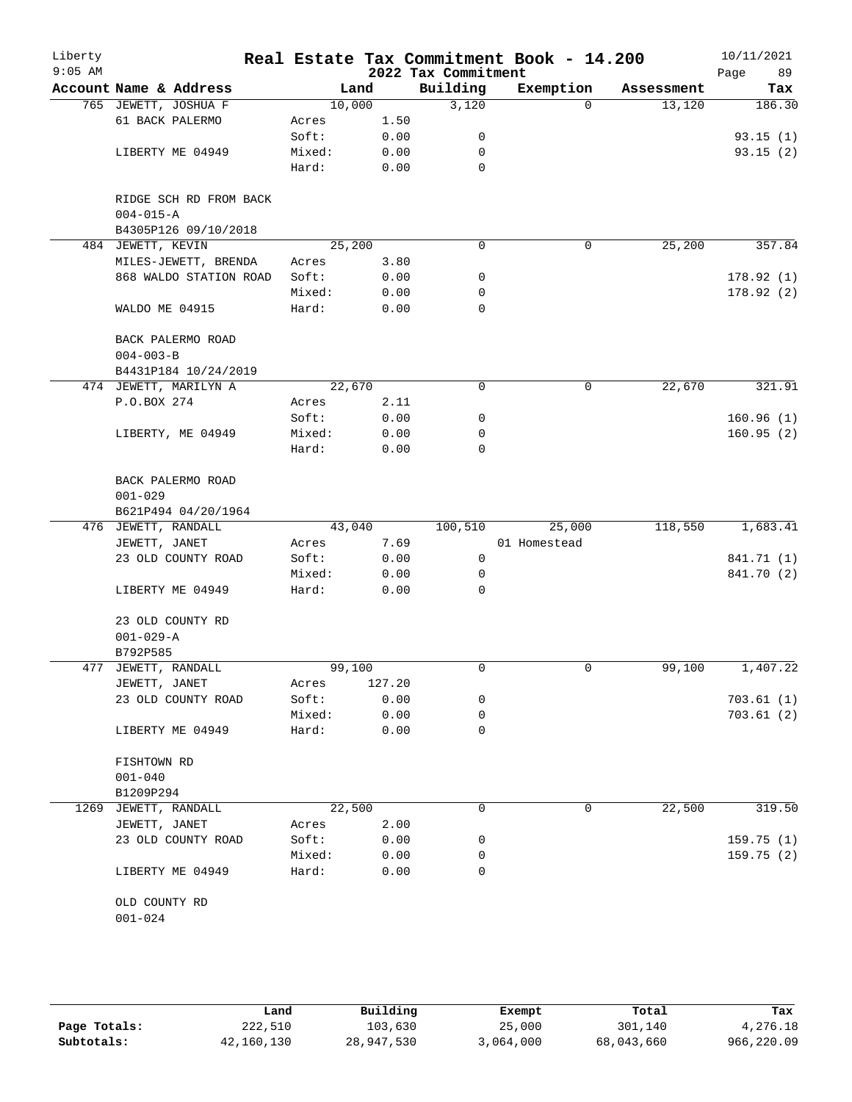| Liberty<br>$9:05$ AM |                                           |        |        | 2022 Tax Commitment | Real Estate Tax Commitment Book - 14.200 |            | 10/11/2021<br>Page<br>89 |
|----------------------|-------------------------------------------|--------|--------|---------------------|------------------------------------------|------------|--------------------------|
|                      | Account Name & Address                    |        | Land   | Building            | Exemption                                | Assessment | Tax                      |
|                      | 765 JEWETT, JOSHUA F                      | 10,000 |        | 3,120               | $\Omega$                                 | 13,120     | 186.30                   |
|                      | 61 BACK PALERMO                           | Acres  | 1.50   |                     |                                          |            |                          |
|                      |                                           | Soft:  | 0.00   | 0                   |                                          |            | 93.15(1)                 |
|                      | LIBERTY ME 04949                          | Mixed: | 0.00   | 0                   |                                          |            | 93.15(2)                 |
|                      |                                           | Hard:  | 0.00   | $\mathbf 0$         |                                          |            |                          |
|                      | RIDGE SCH RD FROM BACK<br>$004 - 015 - A$ |        |        |                     |                                          |            |                          |
|                      | B4305P126 09/10/2018                      |        |        |                     |                                          |            |                          |
|                      | 484 JEWETT, KEVIN                         | 25,200 |        | $\mathbf 0$         | 0                                        | 25,200     | 357.84                   |
|                      | MILES-JEWETT, BRENDA                      | Acres  | 3.80   |                     |                                          |            |                          |
|                      | 868 WALDO STATION ROAD                    | Soft:  | 0.00   | 0                   |                                          |            | 178.92(1)                |
|                      |                                           | Mixed: | 0.00   | 0                   |                                          |            | 178.92(2)                |
|                      | WALDO ME 04915                            | Hard:  | 0.00   | 0                   |                                          |            |                          |
|                      | BACK PALERMO ROAD<br>$004 - 003 - B$      |        |        |                     |                                          |            |                          |
|                      | B4431P184 10/24/2019                      |        |        |                     |                                          |            |                          |
|                      | 474 JEWETT, MARILYN A                     | 22,670 |        | 0                   | 0                                        | 22,670     | 321.91                   |
|                      | P.O.BOX 274                               | Acres  | 2.11   |                     |                                          |            |                          |
|                      |                                           | Soft:  | 0.00   | 0                   |                                          |            | 160.96(1)                |
|                      | LIBERTY, ME 04949                         | Mixed: | 0.00   | 0                   |                                          |            | 160.95(2)                |
|                      |                                           | Hard:  | 0.00   | $\Omega$            |                                          |            |                          |
|                      | BACK PALERMO ROAD<br>$001 - 029$          |        |        |                     |                                          |            |                          |
|                      | B621P494 04/20/1964                       |        |        |                     |                                          |            |                          |
|                      | 476 JEWETT, RANDALL                       | 43,040 |        | 100,510             | 25,000                                   | 118,550    | 1,683.41                 |
|                      | JEWETT, JANET                             | Acres  | 7.69   |                     | 01 Homestead                             |            |                          |
|                      | 23 OLD COUNTY ROAD                        | Soft:  | 0.00   | 0                   |                                          |            | 841.71 (1)               |
|                      |                                           | Mixed: | 0.00   | 0                   |                                          |            | 841.70 (2)               |
|                      | LIBERTY ME 04949                          | Hard:  | 0.00   | 0                   |                                          |            |                          |
|                      | 23 OLD COUNTY RD<br>$001 - 029 - A$       |        |        |                     |                                          |            |                          |
|                      | B792P585                                  |        |        |                     |                                          |            |                          |
|                      | 477 JEWETT, RANDALL                       | 99,100 |        | 0                   | 0                                        | 99,100     | 1,407.22                 |
|                      | JEWETT, JANET                             | Acres  | 127.20 |                     |                                          |            |                          |
|                      | 23 OLD COUNTY ROAD                        | Soft:  | 0.00   | 0                   |                                          |            | 703.61(1)                |
|                      |                                           | Mixed: | 0.00   | 0                   |                                          |            | 703.61(2)                |
|                      | LIBERTY ME 04949                          | Hard:  | 0.00   | 0                   |                                          |            |                          |
|                      | FISHTOWN RD<br>$001 - 040$                |        |        |                     |                                          |            |                          |
|                      | B1209P294                                 |        |        |                     |                                          |            |                          |
|                      | 1269 JEWETT, RANDALL                      | 22,500 |        | 0                   | 0                                        | 22,500     | 319.50                   |
|                      | JEWETT, JANET                             | Acres  | 2.00   |                     |                                          |            |                          |
|                      | 23 OLD COUNTY ROAD                        | Soft:  | 0.00   | 0                   |                                          |            | 159.75(1)                |
|                      |                                           | Mixed: | 0.00   | 0                   |                                          |            | 159.75(2)                |
|                      | LIBERTY ME 04949                          | Hard:  | 0.00   | 0                   |                                          |            |                          |
|                      | OLD COUNTY RD<br>$001 - 024$              |        |        |                     |                                          |            |                          |

|              | Land       | Building   | Exempt    | Total      | Tax        |
|--------------|------------|------------|-----------|------------|------------|
| Page Totals: | 222,510    | 103,630    | 25,000    | 301,140    | 4,276.18   |
| Subtotals:   | 42,160,130 | 28,947,530 | 3,064,000 | 68,043,660 | 966,220.09 |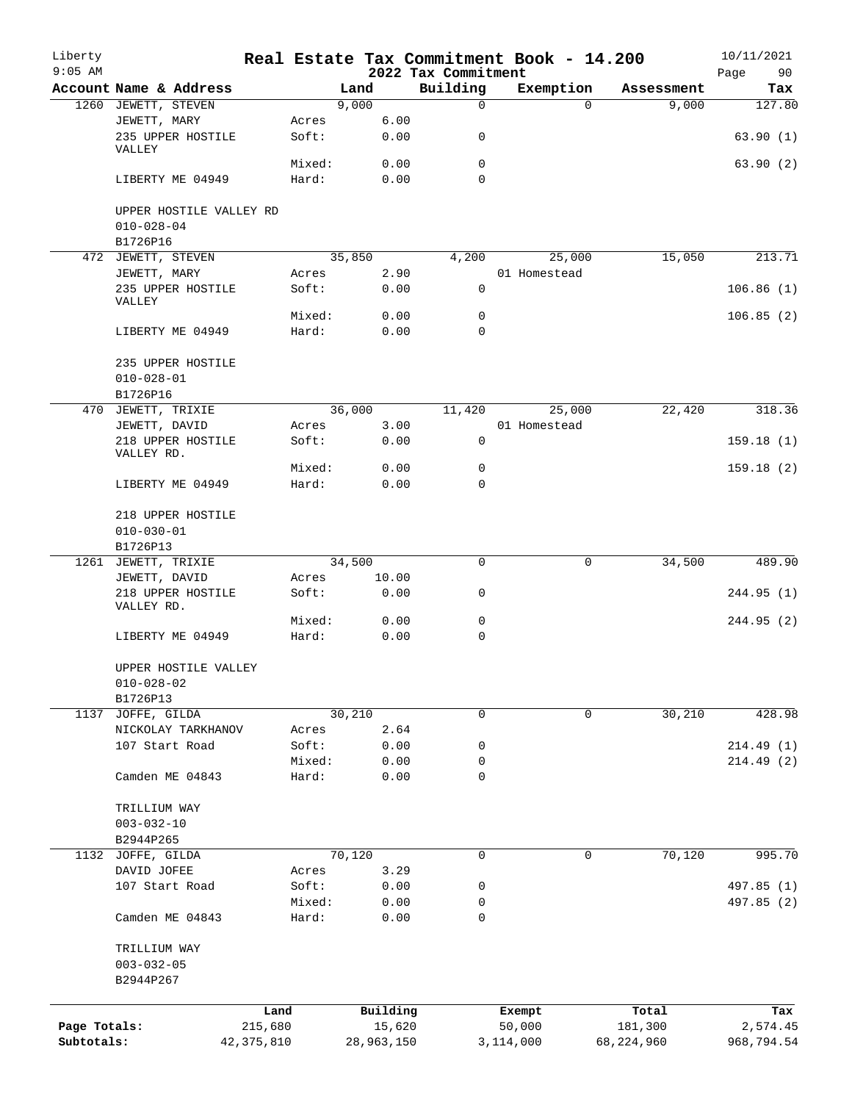| Liberty<br>$9:05$ AM |                                             |              |                |                | Real Estate Tax Commitment Book - 14.200<br>2022 Tax Commitment |           |              |              | 10/11/2021<br>Page<br>90 |
|----------------------|---------------------------------------------|--------------|----------------|----------------|-----------------------------------------------------------------|-----------|--------------|--------------|--------------------------|
|                      | Account Name & Address                      |              |                | Land           | Building                                                        |           | Exemption    | Assessment   | Tax                      |
|                      | 1260 JEWETT, STEVEN                         |              |                | 9,000          | $\mathsf{O}$                                                    |           | $\Omega$     | 9,000        | 127.80                   |
|                      | JEWETT, MARY                                |              | Acres          | 6.00           |                                                                 |           |              |              |                          |
|                      | 235 UPPER HOSTILE<br>VALLEY                 |              | Soft:          | 0.00           | 0                                                               |           |              |              | 63.90(1)                 |
|                      |                                             |              | Mixed:         | 0.00           | $\mathbf 0$                                                     |           |              |              | 63.90(2)                 |
|                      | LIBERTY ME 04949                            |              | Hard:          | 0.00           | $\Omega$                                                        |           |              |              |                          |
|                      | UPPER HOSTILE VALLEY RD<br>$010 - 028 - 04$ |              |                |                |                                                                 |           |              |              |                          |
|                      | B1726P16                                    |              |                |                |                                                                 |           |              |              |                          |
|                      | 472 JEWETT, STEVEN                          |              |                | 35,850         | 4,200                                                           |           | 25,000       | 15,050       | 213.71                   |
|                      | JEWETT, MARY                                |              | Acres          | 2.90           |                                                                 |           | 01 Homestead |              |                          |
|                      | 235 UPPER HOSTILE                           |              | Soft:          | 0.00           | $\mathbf 0$                                                     |           |              |              | 106.86(1)                |
|                      | VALLEY                                      |              |                |                |                                                                 |           |              |              |                          |
|                      |                                             |              | Mixed:         | 0.00           | 0                                                               |           |              |              | 106.85(2)                |
|                      | LIBERTY ME 04949                            |              | Hard:          | 0.00           | $\Omega$                                                        |           |              |              |                          |
|                      | 235 UPPER HOSTILE                           |              |                |                |                                                                 |           |              |              |                          |
|                      | $010 - 028 - 01$                            |              |                |                |                                                                 |           |              |              |                          |
|                      | B1726P16                                    |              |                |                |                                                                 |           | 25,000       |              |                          |
|                      | 470 JEWETT, TRIXIE<br>JEWETT, DAVID         |              |                | 36,000<br>3.00 | 11,420                                                          |           | 01 Homestead | 22,420       | 318.36                   |
|                      | 218 UPPER HOSTILE                           |              | Acres<br>Soft: | 0.00           | $\mathbf 0$                                                     |           |              |              | 159.18(1)                |
|                      | VALLEY RD.                                  |              |                |                |                                                                 |           |              |              |                          |
|                      |                                             |              | Mixed:         | 0.00           | 0                                                               |           |              |              | 159.18(2)                |
|                      | LIBERTY ME 04949                            |              | Hard:          | 0.00           | 0                                                               |           |              |              |                          |
|                      | 218 UPPER HOSTILE                           |              |                |                |                                                                 |           |              |              |                          |
|                      | $010 - 030 - 01$                            |              |                |                |                                                                 |           |              |              |                          |
|                      | B1726P13                                    |              |                |                |                                                                 |           |              |              |                          |
|                      | 1261 JEWETT, TRIXIE                         |              |                | 34,500         | $\mathbf 0$                                                     |           | $\mathbf 0$  | 34,500       | 489.90                   |
|                      | JEWETT, DAVID                               |              | Acres          | 10.00          |                                                                 |           |              |              |                          |
|                      | 218 UPPER HOSTILE<br>VALLEY RD.             |              | Soft:          | 0.00           | 0                                                               |           |              |              | 244.95(1)                |
|                      |                                             |              | Mixed:         | 0.00           | $\mathbf 0$                                                     |           |              |              | 244.95(2)                |
|                      | LIBERTY ME 04949                            |              | Hard:          | 0.00           | 0                                                               |           |              |              |                          |
|                      | UPPER HOSTILE VALLEY                        |              |                |                |                                                                 |           |              |              |                          |
|                      | $010 - 028 - 02$                            |              |                |                |                                                                 |           |              |              |                          |
|                      | B1726P13                                    |              |                |                |                                                                 |           |              |              |                          |
|                      | 1137 JOFFE, GILDA                           |              |                | 30,210         | 0                                                               |           | $\mathbf 0$  | 30,210       | 428.98                   |
|                      | NICKOLAY TARKHANOV                          |              | Acres          | 2.64           |                                                                 |           |              |              |                          |
|                      | 107 Start Road                              |              | Soft:          | 0.00           | 0                                                               |           |              |              | 214.49(1)                |
|                      |                                             |              | Mixed:         | 0.00           | 0                                                               |           |              |              | 214.49(2)                |
|                      | Camden ME 04843                             |              | Hard:          | 0.00           | 0                                                               |           |              |              |                          |
|                      | TRILLIUM WAY                                |              |                |                |                                                                 |           |              |              |                          |
|                      | $003 - 032 - 10$                            |              |                |                |                                                                 |           |              |              |                          |
|                      | B2944P265                                   |              |                |                |                                                                 |           |              |              |                          |
| 1132                 | JOFFE, GILDA                                |              |                | 70,120         | $\mathbf 0$                                                     |           | 0            | 70,120       | 995.70                   |
|                      | DAVID JOFEE                                 |              | Acres          | 3.29           |                                                                 |           |              |              |                          |
|                      | 107 Start Road                              |              | Soft:          | 0.00           | 0                                                               |           |              |              | 497.85 (1)               |
|                      |                                             |              | Mixed:         | 0.00           | 0                                                               |           |              |              | 497.85 (2)               |
|                      | Camden ME 04843                             |              | Hard:          | 0.00           | $\mathbf 0$                                                     |           |              |              |                          |
|                      | TRILLIUM WAY                                |              |                |                |                                                                 |           |              |              |                          |
|                      | $003 - 032 - 05$                            |              |                |                |                                                                 |           |              |              |                          |
|                      | B2944P267                                   |              |                |                |                                                                 |           |              |              |                          |
|                      |                                             | Land         |                | Building       |                                                                 | Exempt    |              | Total        | Tax                      |
| Page Totals:         |                                             | 215,680      |                | 15,620         |                                                                 | 50,000    |              | 181,300      | 2,574.45                 |
| Subtotals:           |                                             | 42, 375, 810 |                | 28,963,150     |                                                                 | 3,114,000 |              | 68, 224, 960 | 968,794.54               |
|                      |                                             |              |                |                |                                                                 |           |              |              |                          |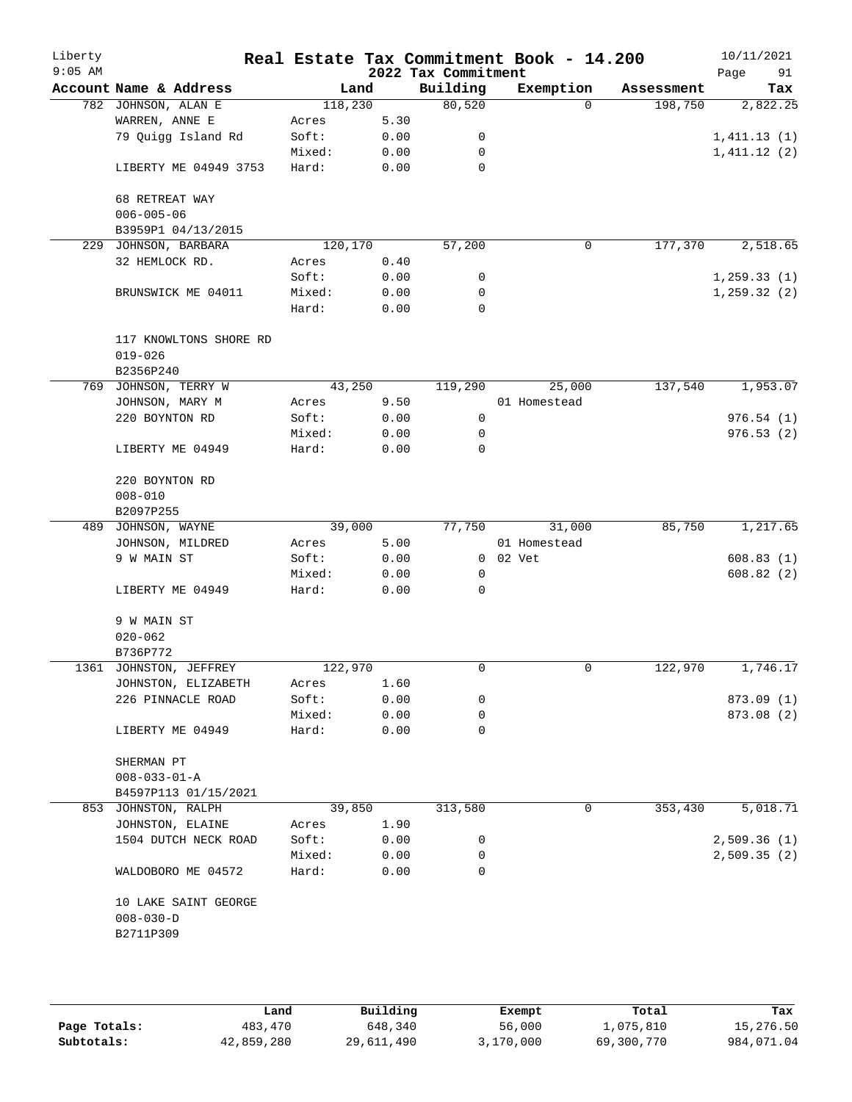| Liberty<br>$9:05$ AM |                        |         |      | 2022 Tax Commitment | Real Estate Tax Commitment Book - 14.200 |            | 10/11/2021<br>Page<br>91 |
|----------------------|------------------------|---------|------|---------------------|------------------------------------------|------------|--------------------------|
|                      | Account Name & Address | Land    |      | Building            | Exemption                                | Assessment | Tax                      |
|                      | 782 JOHNSON, ALAN E    | 118,230 |      | 80,520              | $\Omega$                                 | 198,750    | 2,822.25                 |
|                      | WARREN, ANNE E         | Acres   | 5.30 |                     |                                          |            |                          |
|                      | 79 Quigg Island Rd     | Soft:   | 0.00 | 0                   |                                          |            | 1,411.13(1)              |
|                      |                        | Mixed:  | 0.00 | 0                   |                                          |            | 1,411.12(2)              |
|                      | LIBERTY ME 04949 3753  | Hard:   | 0.00 | $\mathbf 0$         |                                          |            |                          |
|                      | 68 RETREAT WAY         |         |      |                     |                                          |            |                          |
|                      | $006 - 005 - 06$       |         |      |                     |                                          |            |                          |
|                      | B3959P1 04/13/2015     |         |      |                     |                                          |            |                          |
| 229                  | JOHNSON, BARBARA       | 120,170 |      | 57,200              | $\mathbf 0$                              | 177,370    | 2,518.65                 |
|                      | 32 HEMLOCK RD.         | Acres   | 0.40 |                     |                                          |            |                          |
|                      |                        | Soft:   | 0.00 | 0                   |                                          |            | 1, 259.33(1)             |
|                      | BRUNSWICK ME 04011     | Mixed:  | 0.00 | 0                   |                                          |            | 1, 259.32(2)             |
|                      |                        | Hard:   | 0.00 | 0                   |                                          |            |                          |
|                      | 117 KNOWLTONS SHORE RD |         |      |                     |                                          |            |                          |
|                      |                        |         |      |                     |                                          |            |                          |
|                      | $019 - 026$            |         |      |                     |                                          |            |                          |
|                      | B2356P240              |         |      |                     |                                          |            |                          |
|                      | 769 JOHNSON, TERRY W   | 43,250  |      | 119,290             | 25,000                                   | 137,540    | 1,953.07                 |
|                      | JOHNSON, MARY M        | Acres   | 9.50 |                     | 01 Homestead                             |            |                          |
|                      | 220 BOYNTON RD         | Soft:   | 0.00 | 0                   |                                          |            | 976.54(1)                |
|                      |                        | Mixed:  | 0.00 | 0                   |                                          |            | 976.53(2)                |
|                      | LIBERTY ME 04949       | Hard:   | 0.00 | 0                   |                                          |            |                          |
|                      | 220 BOYNTON RD         |         |      |                     |                                          |            |                          |
|                      | $008 - 010$            |         |      |                     |                                          |            |                          |
|                      | B2097P255              |         |      |                     |                                          |            |                          |
| 489                  | JOHNSON, WAYNE         | 39,000  |      | 77,750              | 31,000                                   | 85,750     | 1,217.65                 |
|                      | JOHNSON, MILDRED       | Acres   | 5.00 |                     | 01 Homestead                             |            |                          |
|                      | 9 W MAIN ST            | Soft:   | 0.00 | 0                   | 02 Vet                                   |            | 608.83(1)                |
|                      |                        | Mixed:  | 0.00 | 0                   |                                          |            | 608.82(2)                |
|                      | LIBERTY ME 04949       | Hard:   | 0.00 | 0                   |                                          |            |                          |
|                      | 9 W MAIN ST            |         |      |                     |                                          |            |                          |
|                      | $020 - 062$            |         |      |                     |                                          |            |                          |
|                      | B736P772               |         |      |                     |                                          |            |                          |
|                      | 1361 JOHNSTON, JEFFREY | 122,970 |      | 0                   | 0                                        | 122,970    | 1,746.17                 |
|                      |                        |         |      |                     |                                          |            |                          |
|                      | JOHNSTON, ELIZABETH    | Acres   | 1.60 |                     |                                          |            |                          |
|                      | 226 PINNACLE ROAD      | Soft:   | 0.00 | 0                   |                                          |            | 873.09 (1)               |
|                      |                        | Mixed:  | 0.00 | 0                   |                                          |            | 873.08 (2)               |
|                      | LIBERTY ME 04949       | Hard:   | 0.00 | 0                   |                                          |            |                          |
|                      | SHERMAN PT             |         |      |                     |                                          |            |                          |
|                      | $008 - 033 - 01 - A$   |         |      |                     |                                          |            |                          |
|                      | B4597P113 01/15/2021   |         |      |                     |                                          |            |                          |
|                      | 853 JOHNSTON, RALPH    | 39,850  |      | 313,580             | 0                                        | 353,430    | 5,018.71                 |
|                      | JOHNSTON, ELAINE       | Acres   | 1.90 |                     |                                          |            |                          |
|                      | 1504 DUTCH NECK ROAD   | Soft:   | 0.00 | 0                   |                                          |            | 2,509.36(1)              |
|                      |                        | Mixed:  | 0.00 | 0                   |                                          |            | 2,509.35(2)              |
|                      | WALDOBORO ME 04572     | Hard:   | 0.00 | 0                   |                                          |            |                          |
|                      | 10 LAKE SAINT GEORGE   |         |      |                     |                                          |            |                          |
|                      | $008 - 030 - D$        |         |      |                     |                                          |            |                          |
|                      | B2711P309              |         |      |                     |                                          |            |                          |
|                      |                        |         |      |                     |                                          |            |                          |
|                      |                        |         |      |                     |                                          |            |                          |
|                      |                        |         |      |                     |                                          |            |                          |
|                      |                        |         |      |                     |                                          |            |                          |

|              | Land       | Building   | Exempt    | Total      | Tax        |
|--------------|------------|------------|-----------|------------|------------|
| Page Totals: | 483,470    | 648,340    | 56,000    | 1,075,810  | 15,276.50  |
| Subtotals:   | 42,859,280 | 29,611,490 | 3,170,000 | 69,300,770 | 984,071.04 |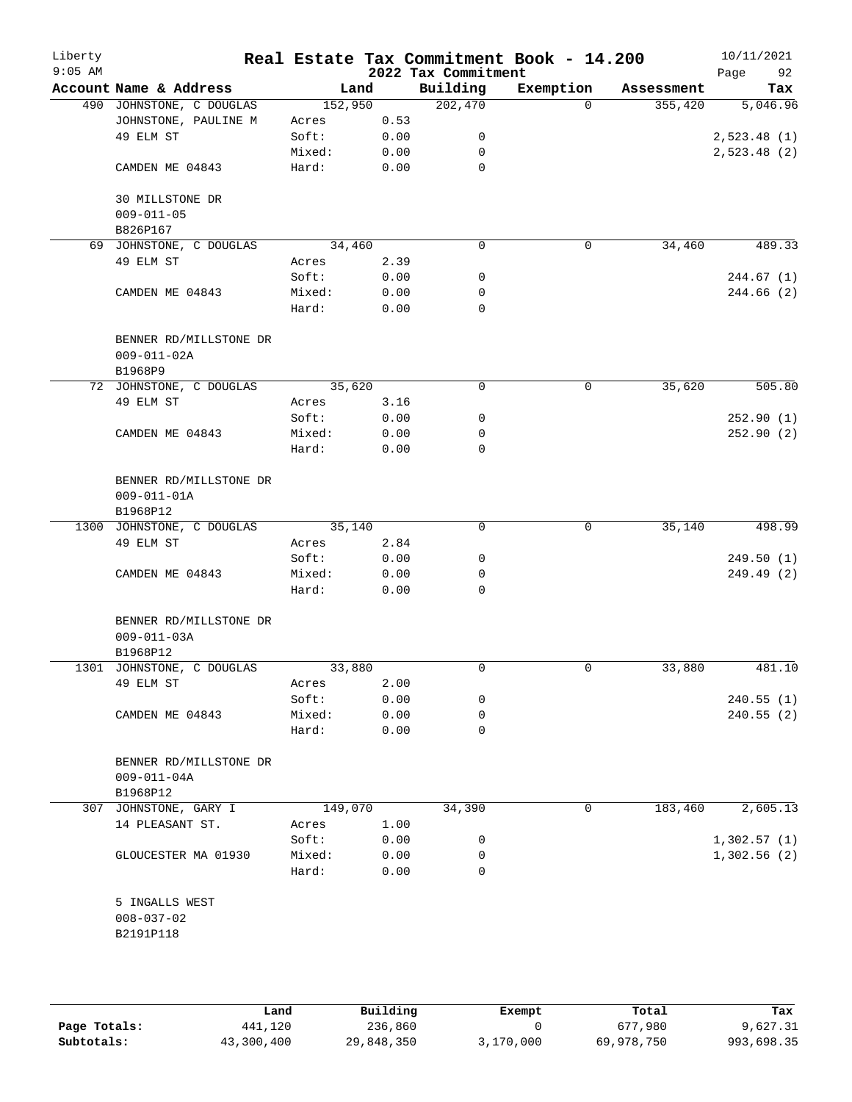| Liberty<br>$9:05$ AM |                                                         |                 |              | 2022 Tax Commitment | Real Estate Tax Commitment Book - 14.200 |            | 10/11/2021<br>Page<br>92 |
|----------------------|---------------------------------------------------------|-----------------|--------------|---------------------|------------------------------------------|------------|--------------------------|
|                      | Account Name & Address                                  | Land            |              | Building            | Exemption                                | Assessment | Tax                      |
|                      | 490 JOHNSTONE, C DOUGLAS                                | 152,950         |              | 202,470             | $\Omega$                                 | 355,420    | 5,046.96                 |
|                      | JOHNSTONE, PAULINE M                                    | Acres           | 0.53         |                     |                                          |            |                          |
|                      | 49 ELM ST                                               | Soft:           | 0.00         | 0                   |                                          |            | 2,523.48(1)              |
|                      |                                                         | Mixed:          | 0.00         | 0                   |                                          |            | 2,523.48(2)              |
|                      | CAMDEN ME 04843                                         | Hard:           | 0.00         | 0                   |                                          |            |                          |
|                      | 30 MILLSTONE DR<br>$009 - 011 - 05$                     |                 |              |                     |                                          |            |                          |
|                      | B826P167                                                |                 |              |                     |                                          |            |                          |
|                      | 69 JOHNSTONE, C DOUGLAS                                 | 34,460          |              | $\mathbf 0$         | 0                                        | 34,460     | 489.33                   |
|                      | 49 ELM ST                                               | Acres           | 2.39         |                     |                                          |            |                          |
|                      |                                                         | Soft:           | 0.00         | 0                   |                                          |            | 244.67(1)                |
|                      | CAMDEN ME 04843                                         | Mixed:          | 0.00         | 0                   |                                          |            | 244.66 (2)               |
|                      |                                                         | Hard:           | 0.00         | 0                   |                                          |            |                          |
|                      | BENNER RD/MILLSTONE DR<br>$009 - 011 - 02A$<br>B1968P9  |                 |              |                     |                                          |            |                          |
|                      | 72 JOHNSTONE, C DOUGLAS                                 | 35,620          |              | 0                   | 0                                        | 35,620     | 505.80                   |
|                      | 49 ELM ST                                               | Acres           | 3.16         |                     |                                          |            |                          |
|                      |                                                         | Soft:           | 0.00         | 0                   |                                          |            | 252.90(1)                |
|                      | CAMDEN ME 04843                                         | Mixed:          | 0.00         | 0                   |                                          |            | 252.90(2)                |
|                      |                                                         | Hard:           | 0.00         | 0                   |                                          |            |                          |
|                      | BENNER RD/MILLSTONE DR<br>$009 - 011 - 01A$<br>B1968P12 |                 |              |                     |                                          |            |                          |
|                      | 1300 JOHNSTONE, C DOUGLAS                               | 35,140          |              | 0                   | 0                                        | 35,140     | 498.99                   |
|                      | 49 ELM ST                                               | Acres           | 2.84         |                     |                                          |            |                          |
|                      |                                                         | Soft:           | 0.00         | 0                   |                                          |            | 249.50(1)                |
|                      | CAMDEN ME 04843                                         | Mixed:          | 0.00         | 0                   |                                          |            | 249.49 (2)               |
|                      |                                                         | Hard:           | 0.00         | 0                   |                                          |            |                          |
|                      | BENNER RD/MILLSTONE DR<br>$009 - 011 - 03A$             |                 |              |                     |                                          |            |                          |
|                      | B1968P12                                                |                 |              |                     |                                          |            |                          |
|                      | 1301 JOHNSTONE, C DOUGLAS                               | 33,880          |              | 0                   | 0                                        | 33,880     | 481.10                   |
|                      | 49 ELM ST                                               | Acres           | 2.00         |                     |                                          |            |                          |
|                      |                                                         | Soft:           | 0.00         | 0                   |                                          |            | 240.55(1)                |
|                      | CAMDEN ME 04843                                         | Mixed:<br>Hard: | 0.00<br>0.00 | 0<br>0              |                                          |            | 240.55(2)                |
|                      | BENNER RD/MILLSTONE DR<br>$009 - 011 - 04A$<br>B1968P12 |                 |              |                     |                                          |            |                          |
|                      | 307 JOHNSTONE, GARY I                                   | 149,070         |              | 34,390              | $\mathbf 0$                              | 183,460    | 2,605.13                 |
|                      | 14 PLEASANT ST.                                         | Acres           | 1.00         |                     |                                          |            |                          |
|                      |                                                         | Soft:           | 0.00         | 0                   |                                          |            | 1,302.57(1)              |
|                      | GLOUCESTER MA 01930                                     | Mixed:          | 0.00         | 0                   |                                          |            | 1,302.56(2)              |
|                      |                                                         | Hard:           | 0.00         | 0                   |                                          |            |                          |
|                      | 5 INGALLS WEST<br>$008 - 037 - 02$<br>B2191P118         |                 |              |                     |                                          |            |                          |
|                      |                                                         |                 |              |                     |                                          |            |                          |

|              | Land       | Building   | Exempt    | Total      | Tax        |
|--------------|------------|------------|-----------|------------|------------|
| Page Totals: | 441,120    | 236,860    |           | 677,980    | 9,627.31   |
| Subtotals:   | 43,300,400 | 29,848,350 | 3,170,000 | 69,978,750 | 993,698.35 |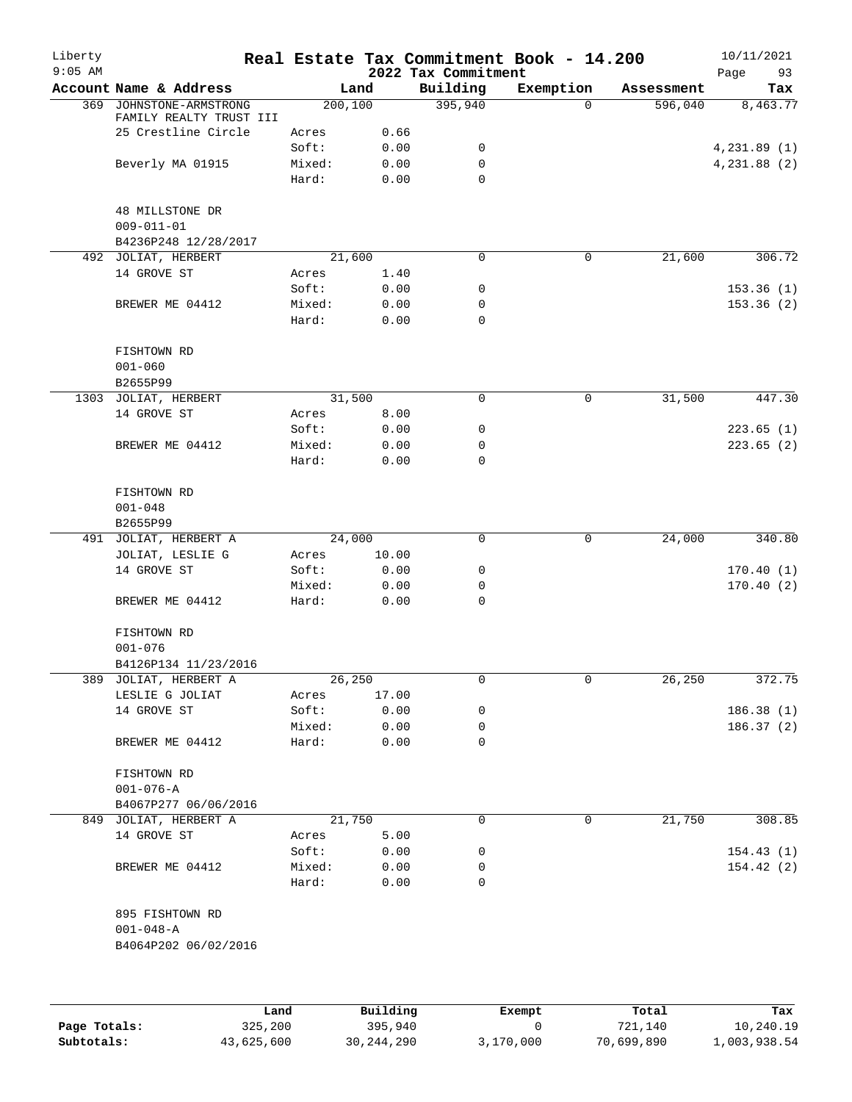| Liberty<br>$9:05$ AM |                         |                 |              | 2022 Tax Commitment | Real Estate Tax Commitment Book - 14.200 |            | 10/11/2021<br>Page<br>93 |
|----------------------|-------------------------|-----------------|--------------|---------------------|------------------------------------------|------------|--------------------------|
|                      | Account Name & Address  |                 | Land         | Building            | Exemption                                | Assessment | Tax                      |
| 369                  | JOHNSTONE-ARMSTRONG     | 200, 100        |              | 395,940             | $\Omega$                                 | 596,040    | 8,463.77                 |
|                      | FAMILY REALTY TRUST III |                 |              |                     |                                          |            |                          |
|                      | 25 Crestline Circle     | Acres           | 0.66         |                     |                                          |            |                          |
|                      |                         | Soft:           | 0.00         | 0                   |                                          |            | 4,231.89(1)              |
|                      | Beverly MA 01915        | Mixed:          | 0.00         | 0                   |                                          |            | 4,231.88 (2)             |
|                      |                         | Hard:           | 0.00         | 0                   |                                          |            |                          |
|                      | 48 MILLSTONE DR         |                 |              |                     |                                          |            |                          |
|                      | $009 - 011 - 01$        |                 |              |                     |                                          |            |                          |
|                      | B4236P248 12/28/2017    |                 |              |                     |                                          |            |                          |
|                      | 492 JOLIAT, HERBERT     | 21,600          |              | $\mathbf 0$         | 0                                        | 21,600     | 306.72                   |
|                      | 14 GROVE ST             | Acres           | 1.40         |                     |                                          |            |                          |
|                      |                         | Soft:           | 0.00         | 0                   |                                          |            | 153.36(1)                |
|                      | BREWER ME 04412         | Mixed:          | 0.00         | 0                   |                                          |            | 153.36(2)                |
|                      |                         | Hard:           | 0.00         | 0                   |                                          |            |                          |
|                      |                         |                 |              |                     |                                          |            |                          |
|                      | FISHTOWN RD             |                 |              |                     |                                          |            |                          |
|                      | $001 - 060$             |                 |              |                     |                                          |            |                          |
|                      | B2655P99                |                 |              |                     |                                          |            |                          |
|                      | 1303 JOLIAT, HERBERT    | 31,500          |              | 0                   | $\mathbf 0$                              | 31,500     | 447.30                   |
|                      | 14 GROVE ST             | Acres           | 8.00         |                     |                                          |            |                          |
|                      |                         | Soft:           | 0.00         | 0                   |                                          |            | 223.65(1)                |
|                      | BREWER ME 04412         | Mixed:          | 0.00         | 0                   |                                          |            | 223.65(2)                |
|                      |                         | Hard:           | 0.00         | 0                   |                                          |            |                          |
|                      |                         |                 |              |                     |                                          |            |                          |
|                      | FISHTOWN RD             |                 |              |                     |                                          |            |                          |
|                      | $001 - 048$             |                 |              |                     |                                          |            |                          |
|                      | B2655P99                |                 |              |                     |                                          |            |                          |
|                      | 491 JOLIAT, HERBERT A   | 24,000          |              | 0                   | 0                                        | 24,000     | 340.80                   |
|                      | JOLIAT, LESLIE G        | Acres           | 10.00        |                     |                                          |            |                          |
|                      | 14 GROVE ST             | Soft:           | 0.00         | 0                   |                                          |            | 170.40(1)                |
|                      | BREWER ME 04412         | Mixed:<br>Hard: | 0.00<br>0.00 | 0<br>0              |                                          |            | 170.40(2)                |
|                      |                         |                 |              |                     |                                          |            |                          |
|                      | FISHTOWN RD             |                 |              |                     |                                          |            |                          |
|                      | $001 - 076$             |                 |              |                     |                                          |            |                          |
|                      | B4126P134 11/23/2016    |                 |              |                     |                                          |            |                          |
|                      | 389 JOLIAT, HERBERT A   | 26,250          |              | 0                   | 0                                        | 26,250     | 372.75                   |
|                      | LESLIE G JOLIAT         | Acres           | 17.00        |                     |                                          |            |                          |
|                      | 14 GROVE ST             | Soft:           | 0.00         | 0                   |                                          |            | 186.38(1)                |
|                      |                         | Mixed:          | 0.00         | 0                   |                                          |            | 186.37(2)                |
|                      | BREWER ME 04412         | Hard:           | 0.00         | 0                   |                                          |            |                          |
|                      |                         |                 |              |                     |                                          |            |                          |
|                      | FISHTOWN RD             |                 |              |                     |                                          |            |                          |
|                      | $001 - 076 - A$         |                 |              |                     |                                          |            |                          |
|                      | B4067P277 06/06/2016    |                 |              |                     |                                          |            |                          |
|                      | 849 JOLIAT, HERBERT A   | 21,750          |              | 0                   | 0                                        | 21,750     | 308.85                   |
|                      | 14 GROVE ST             | Acres           | 5.00         |                     |                                          |            |                          |
|                      |                         | Soft:           | 0.00         | 0                   |                                          |            | 154.43(1)                |
|                      | BREWER ME 04412         | Mixed:          | 0.00         | 0                   |                                          |            | 154.42(2)                |
|                      |                         | Hard:           | 0.00         | 0                   |                                          |            |                          |
|                      |                         |                 |              |                     |                                          |            |                          |
|                      | 895 FISHTOWN RD         |                 |              |                     |                                          |            |                          |
|                      | $001 - 048 - A$         |                 |              |                     |                                          |            |                          |
|                      | B4064P202 06/02/2016    |                 |              |                     |                                          |            |                          |
|                      |                         |                 |              |                     |                                          |            |                          |
|                      |                         |                 |              |                     |                                          |            |                          |
|                      |                         |                 |              |                     |                                          |            |                          |

|              | Land       | Building     | Exempt    | Total      | Tax          |
|--------------|------------|--------------|-----------|------------|--------------|
| Page Totals: | 325,200    | 395,940      |           | 721,140    | 10,240.19    |
| Subtotals:   | 43,625,600 | 30, 244, 290 | 3,170,000 | 70,699,890 | 1,003,938.54 |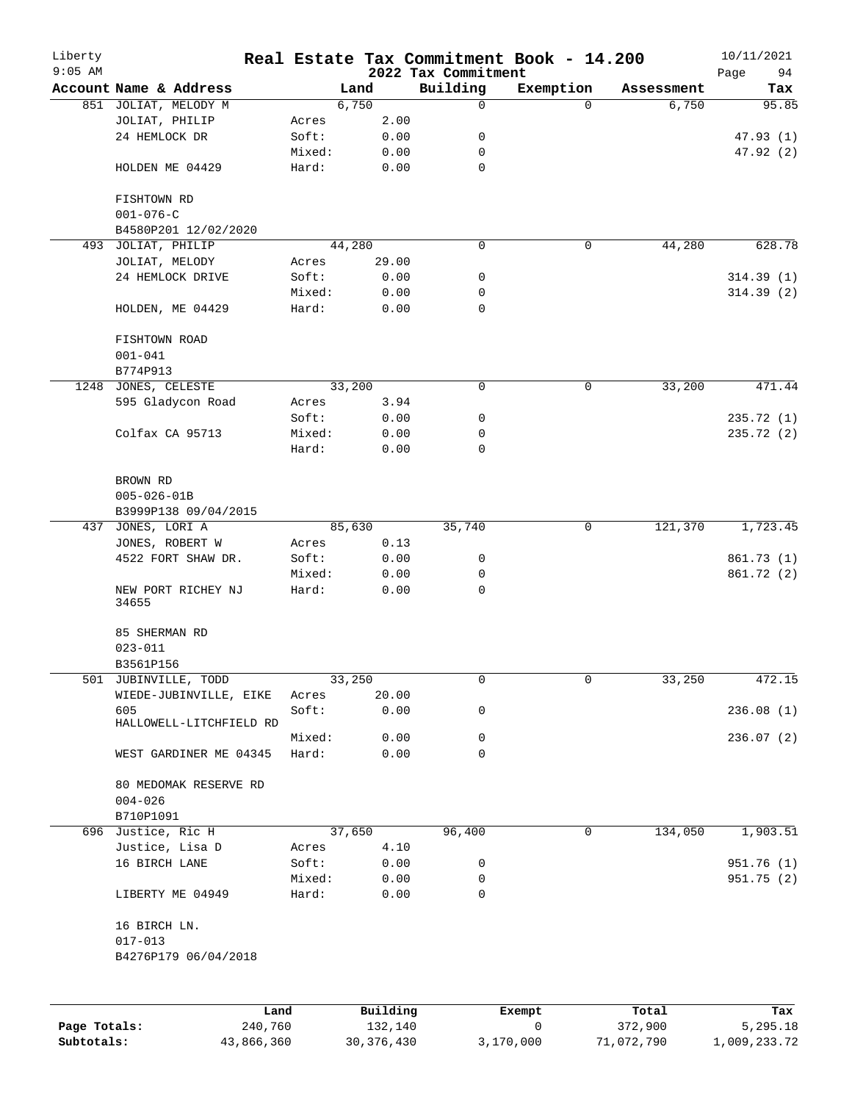| Liberty<br>$9:05$ AM |                              |        |                     | 2022 Tax Commitment | Real Estate Tax Commitment Book - 14.200 |                  | 10/11/2021<br>Page<br>94 |
|----------------------|------------------------------|--------|---------------------|---------------------|------------------------------------------|------------------|--------------------------|
|                      | Account Name & Address       |        | Land                | Building            | Exemption                                | Assessment       | Tax                      |
|                      | 851 JOLIAT, MELODY M         |        | 6,750               | 0                   | $\Omega$                                 | 6,750            | 95.85                    |
|                      | JOLIAT, PHILIP               | Acres  | 2.00                |                     |                                          |                  |                          |
|                      | 24 HEMLOCK DR                | Soft:  | 0.00                | 0                   |                                          |                  | 47.93(1)                 |
|                      |                              | Mixed: | 0.00                | 0                   |                                          |                  | 47.92 (2)                |
|                      | HOLDEN ME 04429              | Hard:  | 0.00                | $\mathbf 0$         |                                          |                  |                          |
|                      | FISHTOWN RD                  |        |                     |                     |                                          |                  |                          |
|                      | $001 - 076 - C$              |        |                     |                     |                                          |                  |                          |
|                      | B4580P201 12/02/2020         |        |                     |                     |                                          |                  |                          |
|                      | 493 JOLIAT, PHILIP           |        | 44,280              | 0                   | 0                                        | 44,280           | 628.78                   |
|                      | JOLIAT, MELODY               | Acres  | 29.00               |                     |                                          |                  |                          |
|                      | 24 HEMLOCK DRIVE             | Soft:  | 0.00                | 0                   |                                          |                  | 314.39(1)                |
|                      |                              | Mixed: | 0.00                | 0                   |                                          |                  | 314.39(2)                |
|                      | HOLDEN, ME 04429             | Hard:  | 0.00                | 0                   |                                          |                  |                          |
|                      | FISHTOWN ROAD<br>$001 - 041$ |        |                     |                     |                                          |                  |                          |
|                      | B774P913                     |        |                     |                     |                                          |                  |                          |
|                      | 1248 JONES, CELESTE          |        | 33,200              | 0                   | 0                                        | 33,200           | 471.44                   |
|                      | 595 Gladycon Road            | Acres  | 3.94                |                     |                                          |                  |                          |
|                      |                              | Soft:  | 0.00                | 0                   |                                          |                  | 235.72(1)                |
|                      | Colfax CA 95713              | Mixed: | 0.00                | 0                   |                                          |                  | 235.72(2)                |
|                      |                              | Hard:  | 0.00                | 0                   |                                          |                  |                          |
|                      | BROWN RD                     |        |                     |                     |                                          |                  |                          |
|                      | $005 - 026 - 01B$            |        |                     |                     |                                          |                  |                          |
|                      |                              |        |                     |                     |                                          |                  |                          |
|                      | B3999P138 09/04/2015         |        |                     |                     |                                          |                  |                          |
|                      | 437 JONES, LORI A            |        | 85,630              | 35,740              | 0                                        | 121,370          | 1,723.45                 |
|                      | JONES, ROBERT W              | Acres  | 0.13                |                     |                                          |                  |                          |
|                      | 4522 FORT SHAW DR.           | Soft:  | 0.00                | 0                   |                                          |                  | 861.73 (1)               |
|                      |                              | Mixed: | 0.00                | 0                   |                                          |                  | 861.72 (2)               |
|                      | NEW PORT RICHEY NJ<br>34655  | Hard:  | 0.00                | 0                   |                                          |                  |                          |
|                      | 85 SHERMAN RD                |        |                     |                     |                                          |                  |                          |
|                      | $023 - 011$                  |        |                     |                     |                                          |                  |                          |
|                      | B3561P156                    |        |                     |                     |                                          |                  |                          |
|                      | 501 JUBINVILLE, TODD         |        | 33,250              | 0                   | 0                                        | 33,250           | 472.15                   |
|                      | WIEDE-JUBINVILLE, EIKE       | Acres  | 20.00               |                     |                                          |                  |                          |
|                      | 605                          | Soft:  | 0.00                | 0                   |                                          |                  | 236.08(1)                |
|                      | HALLOWELL-LITCHFIELD RD      |        |                     |                     |                                          |                  |                          |
|                      |                              | Mixed: | 0.00                | 0                   |                                          |                  | 236.07(2)                |
|                      | WEST GARDINER ME 04345       | Hard:  | 0.00                | 0                   |                                          |                  |                          |
|                      | 80 MEDOMAK RESERVE RD        |        |                     |                     |                                          |                  |                          |
|                      | $004 - 026$                  |        |                     |                     |                                          |                  |                          |
|                      | B710P1091                    |        |                     |                     |                                          |                  |                          |
|                      | 696 Justice, Ric H           |        | 37,650              | 96,400              | 0                                        | 134,050          | 1,903.51                 |
|                      | Justice, Lisa D              | Acres  | 4.10                |                     |                                          |                  |                          |
|                      | 16 BIRCH LANE                | Soft:  | 0.00                | 0                   |                                          |                  | 951.76 (1)               |
|                      |                              | Mixed: | 0.00                | 0                   |                                          |                  | 951.75 (2)               |
|                      | LIBERTY ME 04949             | Hard:  | 0.00                | 0                   |                                          |                  |                          |
|                      | 16 BIRCH LN.                 |        |                     |                     |                                          |                  |                          |
|                      | $017 - 013$                  |        |                     |                     |                                          |                  |                          |
|                      | B4276P179 06/04/2018         |        |                     |                     |                                          |                  |                          |
|                      |                              |        |                     |                     |                                          |                  |                          |
|                      |                              |        |                     |                     |                                          |                  |                          |
| Page Totals:         | 240,760                      | Land   | Building<br>132,140 |                     | Exempt<br>0                              | Total<br>372,900 | Tax<br>5,295.18          |

**Subtotals:** 43,866,360 30,376,430 3,170,000 71,072,790 1,009,233.72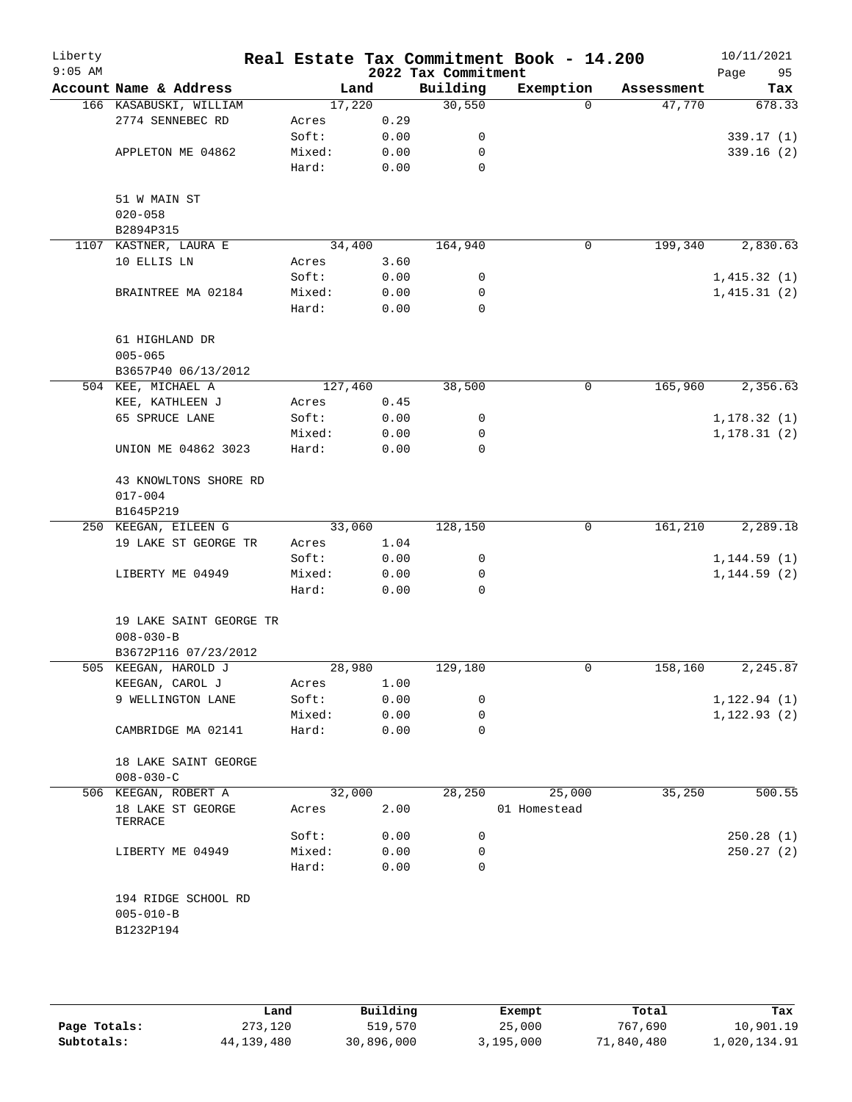| Liberty<br>$9:05$ AM |                                         |                 |              | 2022 Tax Commitment | Real Estate Tax Commitment Book - 14.200 |            | 10/11/2021<br>95<br>Page |
|----------------------|-----------------------------------------|-----------------|--------------|---------------------|------------------------------------------|------------|--------------------------|
|                      | Account Name & Address                  | Land            |              | Building            | Exemption                                | Assessment | Tax                      |
|                      | 166 KASABUSKI, WILLIAM                  | 17,220          |              | 30,550              | $\Omega$                                 | 47,770     | 678.33                   |
|                      | 2774 SENNEBEC RD                        | Acres           | 0.29         |                     |                                          |            |                          |
|                      |                                         | Soft:           | 0.00         | 0                   |                                          |            | 339.17(1)                |
|                      | APPLETON ME 04862                       | Mixed:          | 0.00         | 0                   |                                          |            | 339.16(2)                |
|                      |                                         | Hard:           | 0.00         | 0                   |                                          |            |                          |
|                      |                                         |                 |              |                     |                                          |            |                          |
|                      | 51 W MAIN ST<br>$020 - 058$             |                 |              |                     |                                          |            |                          |
|                      | B2894P315                               |                 |              |                     |                                          |            |                          |
|                      | 1107 KASTNER, LAURA E                   | 34,400          |              | 164,940             | $\mathbf 0$                              | 199,340    | 2,830.63                 |
|                      | 10 ELLIS LN                             | Acres           | 3.60         |                     |                                          |            |                          |
|                      |                                         | Soft:           | 0.00         | 0                   |                                          |            | 1,415.32(1)              |
|                      | BRAINTREE MA 02184                      | Mixed:          | 0.00         | 0                   |                                          |            | 1,415.31(2)              |
|                      |                                         | Hard:           | 0.00         | $\mathbf 0$         |                                          |            |                          |
|                      |                                         |                 |              |                     |                                          |            |                          |
|                      | 61 HIGHLAND DR                          |                 |              |                     |                                          |            |                          |
|                      | $005 - 065$                             |                 |              |                     |                                          |            |                          |
|                      | B3657P40 06/13/2012                     |                 |              |                     |                                          |            |                          |
|                      | 504 KEE, MICHAEL A                      | 127,460         |              | 38,500              | 0                                        | 165,960    | 2,356.63                 |
|                      | KEE, KATHLEEN J                         | Acres           | 0.45         |                     |                                          |            |                          |
|                      | 65 SPRUCE LANE                          | Soft:           | 0.00         | 0                   |                                          |            | 1,178.32(1)              |
|                      |                                         | Mixed:          | 0.00         | 0                   |                                          |            | 1,178.31(2)              |
|                      | UNION ME 04862 3023                     | Hard:           | 0.00         | 0                   |                                          |            |                          |
|                      | 43 KNOWLTONS SHORE RD                   |                 |              |                     |                                          |            |                          |
|                      | $017 - 004$                             |                 |              |                     |                                          |            |                          |
|                      | B1645P219                               |                 |              |                     |                                          |            |                          |
|                      | 250 KEEGAN, EILEEN G                    | 33,060          |              | 128,150             | 0                                        | 161,210    | 2,289.18                 |
|                      | 19 LAKE ST GEORGE TR                    | Acres           | 1.04         |                     |                                          |            |                          |
|                      |                                         | Soft:           | 0.00         | 0                   |                                          |            | 1,144.59(1)              |
|                      | LIBERTY ME 04949                        | Mixed:<br>Hard: | 0.00<br>0.00 | 0<br>0              |                                          |            | 1, 144.59(2)             |
|                      |                                         |                 |              |                     |                                          |            |                          |
|                      | 19 LAKE SAINT GEORGE TR                 |                 |              |                     |                                          |            |                          |
|                      | $008 - 030 - B$                         |                 |              |                     |                                          |            |                          |
|                      | B3672P116 07/23/2012                    |                 |              |                     |                                          |            |                          |
|                      | 505 KEEGAN, HAROLD J                    | 28,980          |              | 129,180             | 0                                        | 158,160    | 2,245.87                 |
|                      | KEEGAN, CAROL J                         | Acres           | 1.00         |                     |                                          |            |                          |
|                      | 9 WELLINGTON LANE                       | Soft:           | 0.00         | 0                   |                                          |            | 1, 122.94(1)             |
|                      |                                         | Mixed:<br>Hard: | 0.00<br>0.00 | 0<br>0              |                                          |            | 1, 122.93(2)             |
|                      | CAMBRIDGE MA 02141                      |                 |              |                     |                                          |            |                          |
|                      | 18 LAKE SAINT GEORGE                    |                 |              |                     |                                          |            |                          |
|                      | $008 - 030 - C$<br>506 KEEGAN, ROBERT A | 32,000          |              | 28,250              | 25,000                                   | 35,250     | 500.55                   |
|                      | 18 LAKE ST GEORGE                       | Acres           | 2.00         |                     | 01 Homestead                             |            |                          |
|                      | TERRACE                                 |                 |              |                     |                                          |            |                          |
|                      |                                         | Soft:           | 0.00         | 0                   |                                          |            | 250.28(1)                |
|                      | LIBERTY ME 04949                        | Mixed:          | 0.00         | 0                   |                                          |            | 250.27(2)                |
|                      |                                         | Hard:           | 0.00         | 0                   |                                          |            |                          |
|                      | 194 RIDGE SCHOOL RD                     |                 |              |                     |                                          |            |                          |
|                      | $005 - 010 - B$                         |                 |              |                     |                                          |            |                          |
|                      | B1232P194                               |                 |              |                     |                                          |            |                          |
|                      |                                         |                 |              |                     |                                          |            |                          |
|                      |                                         |                 |              |                     |                                          |            |                          |
|                      |                                         |                 |              |                     |                                          |            |                          |

|              | Land       | Building   | Exempt    | Total      | Tax          |
|--------------|------------|------------|-----------|------------|--------------|
| Page Totals: | 273,120    | 519,570    | 25,000    | 767,690    | 10,901.19    |
| Subtotals:   | 44,139,480 | 30,896,000 | 3,195,000 | 71,840,480 | 1,020,134.91 |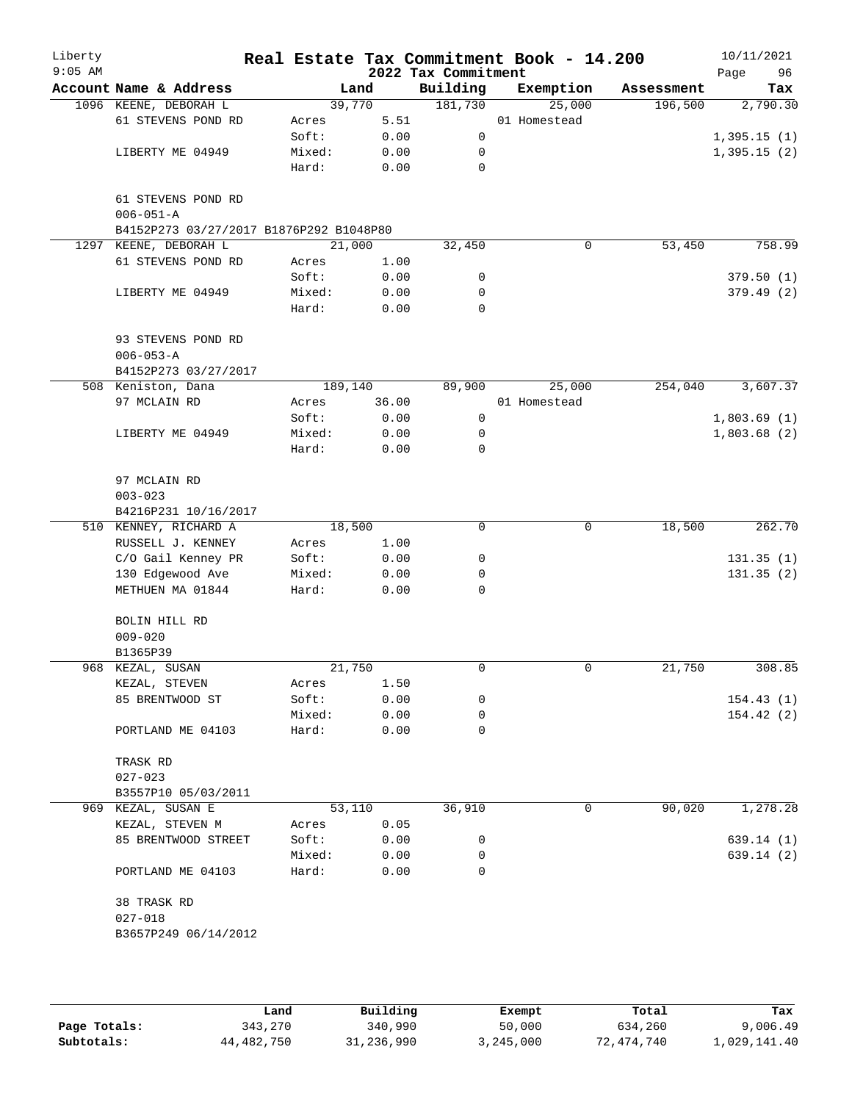| Liberty<br>$9:05$ AM |                                         |        |         | 2022 Tax Commitment | Real Estate Tax Commitment Book - 14.200 |            | 10/11/2021<br>Page<br>96 |
|----------------------|-----------------------------------------|--------|---------|---------------------|------------------------------------------|------------|--------------------------|
|                      | Account Name & Address                  |        | Land    | Building            | Exemption                                | Assessment | Tax                      |
|                      | 1096 KEENE, DEBORAH L                   |        | 39,770  | 181,730             | 25,000                                   | 196,500    | 2,790.30                 |
|                      | 61 STEVENS POND RD                      | Acres  | 5.51    |                     | 01 Homestead                             |            |                          |
|                      |                                         | Soft:  | 0.00    | $\mathsf{O}$        |                                          |            | 1,395.15(1)              |
|                      | LIBERTY ME 04949                        | Mixed: | 0.00    | 0                   |                                          |            | 1,395.15(2)              |
|                      |                                         | Hard:  | 0.00    | 0                   |                                          |            |                          |
|                      | 61 STEVENS POND RD                      |        |         |                     |                                          |            |                          |
|                      | $006 - 051 - A$                         |        |         |                     |                                          |            |                          |
|                      | B4152P273 03/27/2017 B1876P292 B1048P80 |        |         |                     |                                          |            |                          |
| 1297                 | KEENE, DEBORAH L                        |        | 21,000  | 32,450              | 0                                        | 53,450     | 758.99                   |
|                      | 61 STEVENS POND RD                      | Acres  | 1.00    |                     |                                          |            |                          |
|                      |                                         | Soft:  | 0.00    | 0                   |                                          |            | 379.50(1)                |
|                      | LIBERTY ME 04949                        | Mixed: | 0.00    | 0                   |                                          |            | 379.49(2)                |
|                      |                                         | Hard:  | 0.00    | $\mathbf 0$         |                                          |            |                          |
|                      | 93 STEVENS POND RD                      |        |         |                     |                                          |            |                          |
|                      | $006 - 053 - A$                         |        |         |                     |                                          |            |                          |
|                      | B4152P273 03/27/2017                    |        |         |                     |                                          |            |                          |
|                      | 508 Keniston, Dana                      |        | 189,140 | 89,900              | 25,000                                   | 254,040    | 3,607.37                 |
|                      | 97 MCLAIN RD                            | Acres  | 36.00   |                     | 01 Homestead                             |            |                          |
|                      |                                         | Soft:  | 0.00    | 0                   |                                          |            | 1,803.69(1)              |
|                      | LIBERTY ME 04949                        | Mixed: | 0.00    | 0                   |                                          |            | 1,803.68(2)              |
|                      |                                         | Hard:  | 0.00    | 0                   |                                          |            |                          |
|                      | 97 MCLAIN RD                            |        |         |                     |                                          |            |                          |
|                      | $003 - 023$                             |        |         |                     |                                          |            |                          |
|                      | B4216P231 10/16/2017                    |        |         |                     |                                          |            |                          |
|                      | 510 KENNEY, RICHARD A                   |        | 18,500  | 0                   | 0                                        | 18,500     | 262.70                   |
|                      | RUSSELL J. KENNEY                       | Acres  | 1.00    |                     |                                          |            |                          |
|                      | C/O Gail Kenney PR                      | Soft:  | 0.00    | 0                   |                                          |            | 131.35(1)                |
|                      | 130 Edgewood Ave                        | Mixed: | 0.00    | 0                   |                                          |            | 131.35(2)                |
|                      | METHUEN MA 01844                        | Hard:  | 0.00    | 0                   |                                          |            |                          |
|                      | BOLIN HILL RD                           |        |         |                     |                                          |            |                          |
|                      | $009 - 020$                             |        |         |                     |                                          |            |                          |
|                      | B1365P39                                |        |         |                     |                                          |            |                          |
|                      | 968 KEZAL, SUSAN                        |        | 21,750  | 0                   | 0                                        | 21,750     | 308.85                   |
|                      | KEZAL, STEVEN                           | Acres  | 1.50    |                     |                                          |            |                          |
|                      | 85 BRENTWOOD ST                         | Soft:  | 0.00    | 0                   |                                          |            | 154.43(1)                |
|                      |                                         | Mixed: | 0.00    | 0                   |                                          |            | 154.42(2)                |
|                      | PORTLAND ME 04103                       | Hard:  | 0.00    | 0                   |                                          |            |                          |
|                      | TRASK RD                                |        |         |                     |                                          |            |                          |
|                      | $027 - 023$                             |        |         |                     |                                          |            |                          |
|                      | B3557P10 05/03/2011                     |        |         |                     |                                          |            |                          |
|                      | 969 KEZAL, SUSAN E                      |        | 53,110  | 36,910              | 0                                        | 90,020     | 1,278.28                 |
|                      | KEZAL, STEVEN M                         | Acres  | 0.05    |                     |                                          |            |                          |
|                      | 85 BRENTWOOD STREET                     | Soft:  | 0.00    | 0                   |                                          |            | 639.14 (1)               |
|                      |                                         | Mixed: | 0.00    | 0                   |                                          |            | 639.14 (2)               |
|                      | PORTLAND ME 04103                       | Hard:  | 0.00    | 0                   |                                          |            |                          |
|                      | 38 TRASK RD                             |        |         |                     |                                          |            |                          |
|                      | $027 - 018$                             |        |         |                     |                                          |            |                          |
|                      | B3657P249 06/14/2012                    |        |         |                     |                                          |            |                          |
|                      |                                         |        |         |                     |                                          |            |                          |

|              | Land       | Building   | Exempt    | Total      | Tax          |
|--------------|------------|------------|-----------|------------|--------------|
| Page Totals: | 343,270    | 340,990    | 50,000    | 634,260    | 9,006.49     |
| Subtotals:   | 44,482,750 | 31,236,990 | 3,245,000 | 72,474,740 | 1,029,141.40 |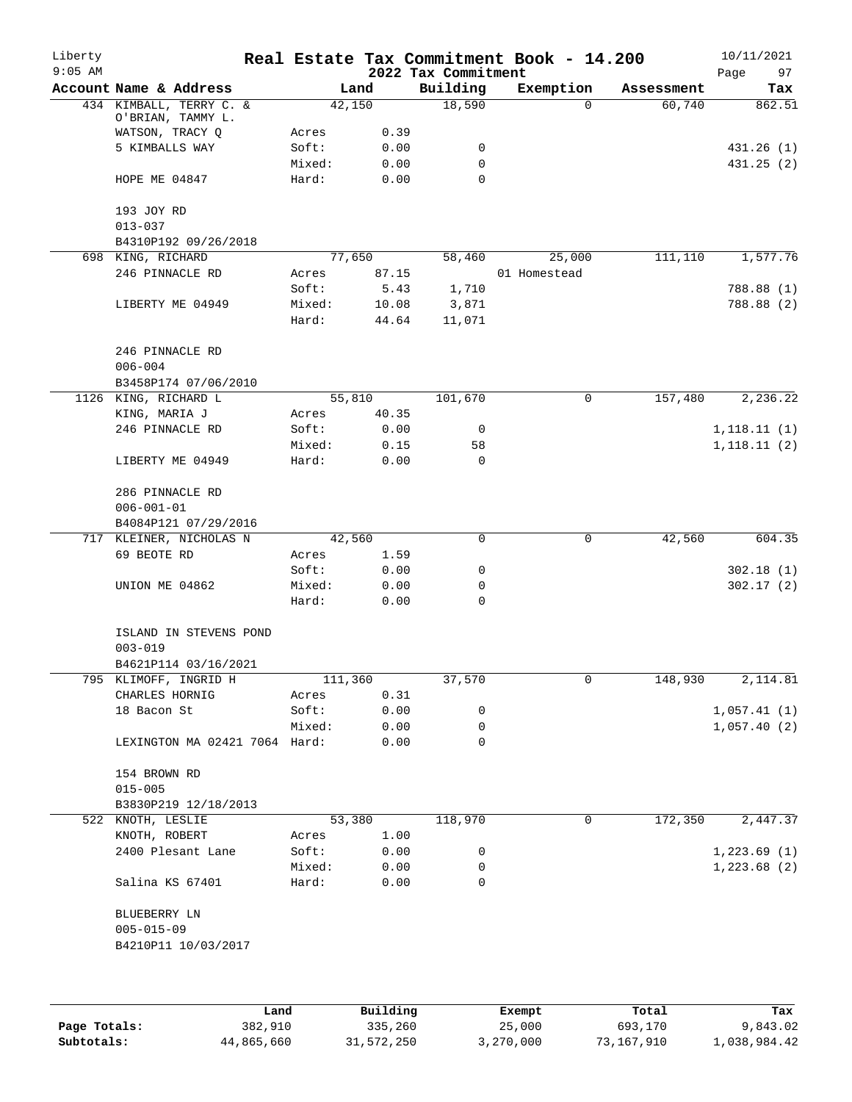| Liberty<br>$9:05$ AM |                                              |        |              | 2022 Tax Commitment | Real Estate Tax Commitment Book - 14.200 |            | 10/11/2021<br>97<br>Page |
|----------------------|----------------------------------------------|--------|--------------|---------------------|------------------------------------------|------------|--------------------------|
|                      | Account Name & Address                       |        | Land         | Building            | Exemption                                | Assessment | Tax                      |
|                      | 434 KIMBALL, TERRY C. &<br>O'BRIAN, TAMMY L. |        | 42,150       | 18,590              | $\Omega$                                 | 60,740     | 862.51                   |
|                      | WATSON, TRACY Q                              | Acres  | 0.39         |                     |                                          |            |                          |
|                      | 5 KIMBALLS WAY                               | Soft:  | 0.00         | 0                   |                                          |            | 431.26 (1)               |
|                      |                                              | Mixed: | 0.00         | 0                   |                                          |            | 431.25 (2)               |
|                      | HOPE ME 04847                                | Hard:  | 0.00         | 0                   |                                          |            |                          |
|                      | 193 JOY RD                                   |        |              |                     |                                          |            |                          |
|                      | $013 - 037$                                  |        |              |                     |                                          |            |                          |
|                      | B4310P192 09/26/2018                         |        |              |                     |                                          |            |                          |
|                      | 698 KING, RICHARD                            |        | 77,650       | 58,460              | 25,000                                   | 111, 110   | 1,577.76                 |
|                      | 246 PINNACLE RD                              | Acres  | 87.15        |                     | 01 Homestead                             |            |                          |
|                      |                                              | Soft:  | 5.43         | 1,710               |                                          |            | 788.88 (1)               |
|                      | LIBERTY ME 04949                             | Mixed: | 10.08        | 3,871               |                                          |            | 788.88 (2)               |
|                      |                                              | Hard:  | 44.64        | 11,071              |                                          |            |                          |
|                      | 246 PINNACLE RD                              |        |              |                     |                                          |            |                          |
|                      | $006 - 004$                                  |        |              |                     |                                          |            |                          |
|                      | B3458P174 07/06/2010                         |        |              |                     |                                          |            |                          |
|                      | 1126 KING, RICHARD L                         |        | 55,810       | 101,670             | 0                                        | 157,480    | 2,236.22                 |
|                      | KING, MARIA J                                | Acres  | 40.35        |                     |                                          |            |                          |
|                      | 246 PINNACLE RD                              | Soft:  | 0.00         | 0                   |                                          |            | 1,118.11(1)              |
|                      |                                              | Mixed: | 0.15         | 58                  |                                          |            | 1,118.11(2)              |
|                      | LIBERTY ME 04949                             | Hard:  | 0.00         | $\Omega$            |                                          |            |                          |
|                      | 286 PINNACLE RD                              |        |              |                     |                                          |            |                          |
|                      | $006 - 001 - 01$                             |        |              |                     |                                          |            |                          |
|                      | B4084P121 07/29/2016                         |        |              |                     |                                          |            |                          |
| 717                  | KLEINER, NICHOLAS N                          |        | 42,560       | 0                   | 0                                        | 42,560     | 604.35                   |
|                      | 69 BEOTE RD                                  | Acres  | 1.59         |                     |                                          |            |                          |
|                      |                                              | Soft:  | 0.00         | 0                   |                                          |            | 302.18(1)                |
|                      | UNION ME 04862                               | Mixed: | 0.00         | 0                   |                                          |            | 302.17(2)                |
|                      |                                              | Hard:  | 0.00         | 0                   |                                          |            |                          |
|                      | ISLAND IN STEVENS POND<br>$003 - 019$        |        |              |                     |                                          |            |                          |
|                      | B4621P114 03/16/2021                         |        |              |                     |                                          |            |                          |
|                      | 795 KLIMOFF, INGRID H                        |        | 111,360      | 37,570              | 0                                        | 148,930    | 2,114.81                 |
|                      | CHARLES HORNIG                               | Acres  | 0.31         |                     |                                          |            |                          |
|                      | 18 Bacon St                                  | Soft:  | 0.00         | 0                   |                                          |            | 1,057.41(1)              |
|                      |                                              |        |              | 0                   |                                          |            |                          |
|                      | LEXINGTON MA 02421 7064 Hard:                | Mixed: | 0.00<br>0.00 | 0                   |                                          |            | 1,057.40(2)              |
|                      | 154 BROWN RD                                 |        |              |                     |                                          |            |                          |
|                      | $015 - 005$                                  |        |              |                     |                                          |            |                          |
|                      | B3830P219 12/18/2013                         |        |              |                     |                                          |            |                          |
|                      | 522 KNOTH, LESLIE                            |        | 53,380       | 118,970             | 0                                        | 172,350    | 2,447.37                 |
|                      | KNOTH, ROBERT                                | Acres  | 1.00         |                     |                                          |            |                          |
|                      | 2400 Plesant Lane                            | Soft:  | 0.00         | 0                   |                                          |            | 1,223.69(1)              |
|                      |                                              | Mixed: | 0.00         | 0                   |                                          |            | 1,223.68(2)              |
|                      | Salina KS 67401                              | Hard:  | 0.00         | 0                   |                                          |            |                          |
|                      | BLUEBERRY LN                                 |        |              |                     |                                          |            |                          |
|                      | $005 - 015 - 09$                             |        |              |                     |                                          |            |                          |
|                      | B4210P11 10/03/2017                          |        |              |                     |                                          |            |                          |
|                      |                                              |        |              |                     |                                          |            |                          |
|                      |                                              | Land   | Building     |                     | Exempt                                   | Total      | Tax                      |

|              | Land       | Building   | Exempt    | Total      | Tax          |
|--------------|------------|------------|-----------|------------|--------------|
| Page Totals: | 382,910    | 335,260    | 25,000    | 693,170    | 9,843.02     |
| Subtotals:   | 44,865,660 | 31,572,250 | 3,270,000 | 73,167,910 | 1,038,984.42 |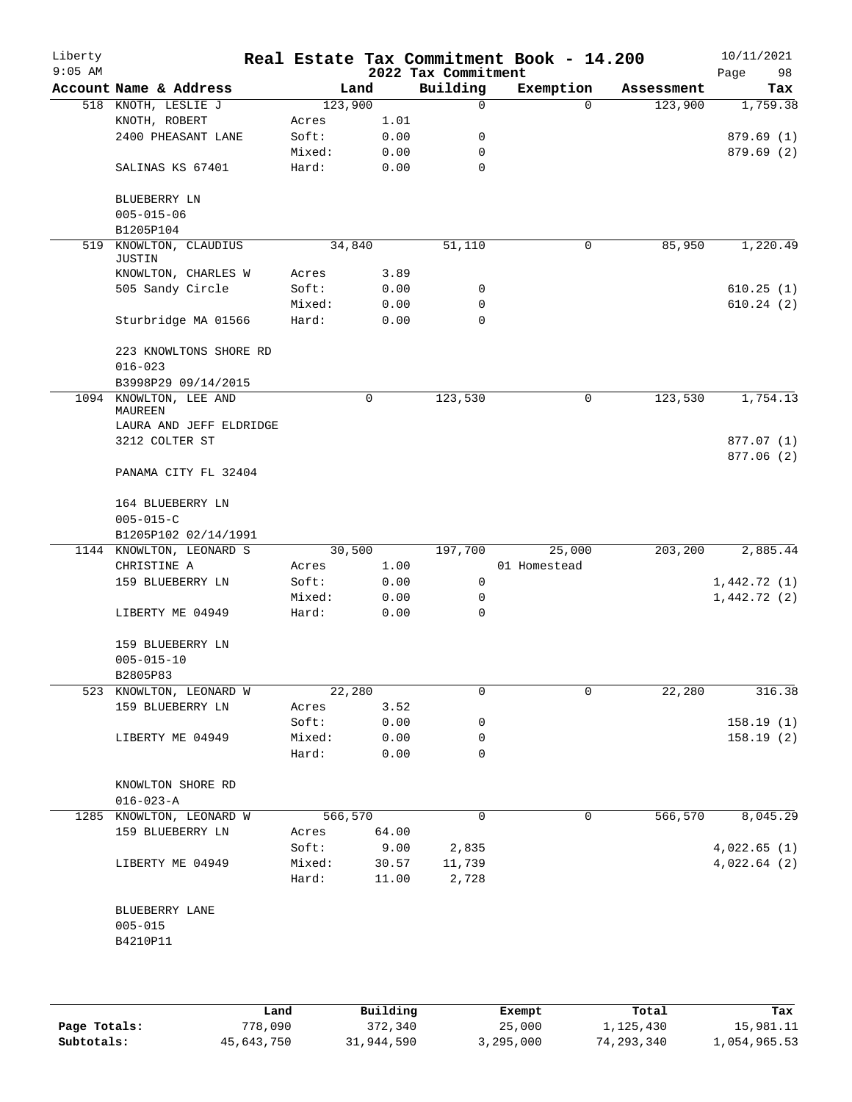| Liberty<br>$9:05$ AM |                                       |         |             | 2022 Tax Commitment | Real Estate Tax Commitment Book - 14.200 |            | 10/11/2021<br>Page<br>98 |
|----------------------|---------------------------------------|---------|-------------|---------------------|------------------------------------------|------------|--------------------------|
|                      | Account Name & Address                | Land    |             | Building            | Exemption                                | Assessment | Tax                      |
|                      | 518 KNOTH, LESLIE J                   | 123,900 |             | 0                   | $\Omega$                                 | 123,900    | 1,759.38                 |
|                      | KNOTH, ROBERT                         | Acres   | 1.01        |                     |                                          |            |                          |
|                      | 2400 PHEASANT LANE                    | Soft:   | 0.00        | 0                   |                                          |            | 879.69 (1)               |
|                      |                                       | Mixed:  | 0.00        | 0                   |                                          |            | 879.69 (2)               |
|                      | SALINAS KS 67401                      | Hard:   | 0.00        | $\mathbf 0$         |                                          |            |                          |
|                      | BLUEBERRY LN<br>$005 - 015 - 06$      |         |             |                     |                                          |            |                          |
|                      | B1205P104                             |         |             |                     |                                          |            |                          |
| 519                  | KNOWLTON, CLAUDIUS<br><b>JUSTIN</b>   | 34,840  |             | 51,110              | $\mathbf 0$                              | 85,950     | 1,220.49                 |
|                      | KNOWLTON, CHARLES W                   | Acres   | 3.89        |                     |                                          |            |                          |
|                      | 505 Sandy Circle                      | Soft:   | 0.00        | 0                   |                                          |            | 610.25(1)                |
|                      |                                       | Mixed:  | 0.00        | 0                   |                                          |            | 610.24(2)                |
|                      | Sturbridge MA 01566                   | Hard:   | 0.00        | 0                   |                                          |            |                          |
|                      | 223 KNOWLTONS SHORE RD<br>$016 - 023$ |         |             |                     |                                          |            |                          |
|                      | B3998P29 09/14/2015                   |         |             |                     |                                          |            |                          |
| 1094                 | KNOWLTON, LEE AND<br>MAUREEN          |         | $\mathbf 0$ | 123,530             | 0                                        | 123,530    | 1,754.13                 |
|                      | LAURA AND JEFF ELDRIDGE               |         |             |                     |                                          |            |                          |
|                      | 3212 COLTER ST                        |         |             |                     |                                          |            | 877.07 (1)               |
|                      | PANAMA CITY FL 32404                  |         |             |                     |                                          |            | 877.06 (2)               |
|                      | 164 BLUEBERRY LN                      |         |             |                     |                                          |            |                          |
|                      | $005 - 015 - C$                       |         |             |                     |                                          |            |                          |
|                      | B1205P102 02/14/1991                  |         |             |                     |                                          |            |                          |
|                      | 1144 KNOWLTON, LEONARD S              | 30,500  |             | 197,700             | 25,000                                   | 203,200    | 2,885.44                 |
|                      | CHRISTINE A                           | Acres   | 1.00        |                     | 01 Homestead                             |            |                          |
|                      | 159 BLUEBERRY LN                      | Soft:   | 0.00        | 0                   |                                          |            | 1,442.72(1)              |
|                      |                                       | Mixed:  | 0.00        | 0                   |                                          |            | 1,442.72(2)              |
|                      | LIBERTY ME 04949                      | Hard:   | 0.00        | 0                   |                                          |            |                          |
|                      | 159 BLUEBERRY LN                      |         |             |                     |                                          |            |                          |
|                      | $005 - 015 - 10$                      |         |             |                     |                                          |            |                          |
|                      | B2805P83                              |         |             |                     |                                          |            |                          |
|                      | 523 KNOWLTON, LEONARD W               | 22,280  |             | 0                   | 0                                        | 22,280     | 316.38                   |
|                      | 159 BLUEBERRY LN                      | Acres   | 3.52        |                     |                                          |            |                          |
|                      |                                       | Soft:   | 0.00        | 0                   |                                          |            | 158.19 (1)               |
|                      | LIBERTY ME 04949                      | Mixed:  | 0.00        | 0                   |                                          |            | 158.19(2)                |
|                      |                                       | Hard:   | 0.00        | 0                   |                                          |            |                          |
|                      | KNOWLTON SHORE RD                     |         |             |                     |                                          |            |                          |
|                      | $016 - 023 - A$                       |         |             |                     |                                          |            |                          |
|                      | 1285 KNOWLTON, LEONARD W              | 566,570 |             | $\mathbf 0$         | 0                                        | 566,570    | 8,045.29                 |
|                      | 159 BLUEBERRY LN                      | Acres   | 64.00       |                     |                                          |            |                          |
|                      |                                       | Soft:   | 9.00        | 2,835               |                                          |            | 4,022.65(1)              |
|                      | LIBERTY ME 04949                      | Mixed:  | 30.57       | 11,739              |                                          |            | 4,022.64(2)              |
|                      |                                       | Hard:   | 11.00       | 2,728               |                                          |            |                          |
|                      | BLUEBERRY LANE<br>$005 - 015$         |         |             |                     |                                          |            |                          |
|                      | B4210P11                              |         |             |                     |                                          |            |                          |
|                      |                                       |         |             |                     |                                          |            |                          |
|                      |                                       |         |             |                     |                                          |            |                          |

|              | Land       | Building   | Exempt    | Total      | Tax          |
|--------------|------------|------------|-----------|------------|--------------|
| Page Totals: | 778,090    | 372,340    | 25,000    | 1,125,430  | 15,981.11    |
| Subtotals:   | 45,643,750 | 31,944,590 | 3,295,000 | 74,293,340 | 1,054,965.53 |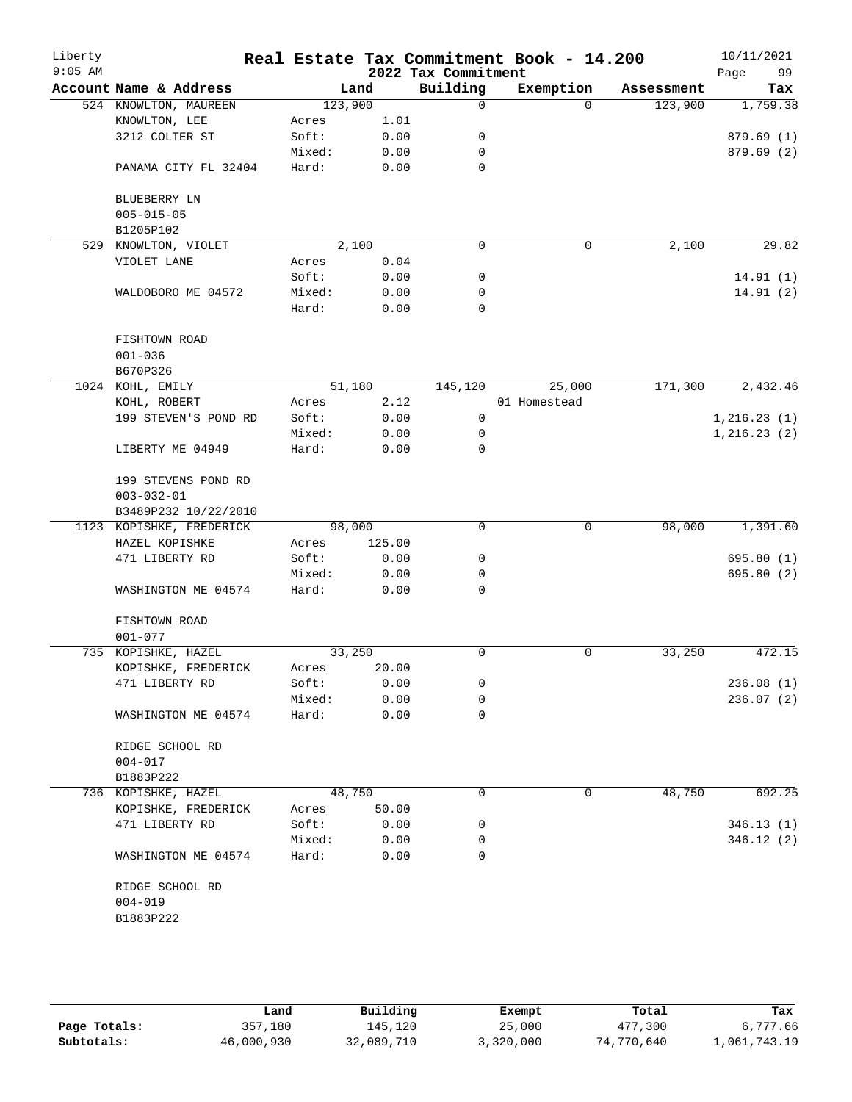| Liberty<br>$9:05$ AM |                          |         |        | 2022 Tax Commitment | Real Estate Tax Commitment Book - 14.200 |            | 10/11/2021<br>Page<br>99 |
|----------------------|--------------------------|---------|--------|---------------------|------------------------------------------|------------|--------------------------|
|                      | Account Name & Address   |         | Land   | Building            | Exemption                                | Assessment | Tax                      |
|                      | 524 KNOWLTON, MAUREEN    | 123,900 |        | 0                   | $\Omega$                                 | 123,900    | 1,759.38                 |
|                      | KNOWLTON, LEE            | Acres   | 1.01   |                     |                                          |            |                          |
|                      | 3212 COLTER ST           | Soft:   | 0.00   | 0                   |                                          |            | 879.69 (1)               |
|                      |                          | Mixed:  | 0.00   | 0                   |                                          |            | 879.69 (2)               |
|                      | PANAMA CITY FL 32404     | Hard:   | 0.00   | 0                   |                                          |            |                          |
|                      | BLUEBERRY LN             |         |        |                     |                                          |            |                          |
|                      | $005 - 015 - 05$         |         |        |                     |                                          |            |                          |
|                      | B1205P102                |         |        |                     |                                          |            |                          |
| 529                  | KNOWLTON, VIOLET         |         | 2,100  | 0                   | $\mathsf{O}$                             | 2,100      | 29.82                    |
|                      | VIOLET LANE              | Acres   | 0.04   |                     |                                          |            |                          |
|                      |                          | Soft:   | 0.00   | 0                   |                                          |            | 14.91(1)                 |
|                      | WALDOBORO ME 04572       | Mixed:  | 0.00   | 0                   |                                          |            | 14.91(2)                 |
|                      |                          | Hard:   | 0.00   | 0                   |                                          |            |                          |
|                      | FISHTOWN ROAD            |         |        |                     |                                          |            |                          |
|                      | $001 - 036$              |         |        |                     |                                          |            |                          |
|                      | B670P326                 |         |        |                     |                                          |            |                          |
|                      | 1024 KOHL, EMILY         |         | 51,180 | 145,120             | 25,000                                   | 171,300    | 2,432.46                 |
|                      | KOHL, ROBERT             | Acres   | 2.12   |                     | 01 Homestead                             |            |                          |
|                      | 199 STEVEN'S POND RD     | Soft:   | 0.00   | 0                   |                                          |            | 1, 216.23(1)             |
|                      |                          | Mixed:  | 0.00   | 0                   |                                          |            | 1, 216.23(2)             |
|                      | LIBERTY ME 04949         | Hard:   | 0.00   | $\Omega$            |                                          |            |                          |
|                      | 199 STEVENS POND RD      |         |        |                     |                                          |            |                          |
|                      | $003 - 032 - 01$         |         |        |                     |                                          |            |                          |
|                      | B3489P232 10/22/2010     |         |        |                     |                                          |            |                          |
|                      | 1123 KOPISHKE, FREDERICK |         | 98,000 | 0                   | $\mathbf 0$                              | 98,000     | 1,391.60                 |
|                      | HAZEL KOPISHKE           | Acres   | 125.00 |                     |                                          |            |                          |
|                      | 471 LIBERTY RD           | Soft:   | 0.00   | 0                   |                                          |            | 695.80(1)                |
|                      |                          | Mixed:  | 0.00   | 0                   |                                          |            | 695.80 (2)               |
|                      | WASHINGTON ME 04574      | Hard:   | 0.00   | 0                   |                                          |            |                          |
|                      | FISHTOWN ROAD            |         |        |                     |                                          |            |                          |
|                      | $001 - 077$              |         |        |                     |                                          |            |                          |
|                      | 735 KOPISHKE, HAZEL      |         | 33,250 | 0                   | 0                                        | 33,250     | 472.15                   |
|                      | KOPISHKE, FREDERICK      | Acres   | 20.00  |                     |                                          |            |                          |
|                      | 471 LIBERTY RD           | Soft:   | 0.00   | 0                   |                                          |            | 236.08(1)                |
|                      |                          | Mixed:  | 0.00   | 0                   |                                          |            | 236.07(2)                |
|                      | WASHINGTON ME 04574      | Hard:   | 0.00   | 0                   |                                          |            |                          |
|                      | RIDGE SCHOOL RD          |         |        |                     |                                          |            |                          |
|                      | $004 - 017$              |         |        |                     |                                          |            |                          |
|                      | B1883P222                |         |        |                     |                                          |            |                          |
|                      | 736 KOPISHKE, HAZEL      |         | 48,750 | 0                   | 0                                        | 48,750     | 692.25                   |
|                      | KOPISHKE, FREDERICK      | Acres   | 50.00  |                     |                                          |            |                          |
|                      | 471 LIBERTY RD           | Soft:   | 0.00   | 0                   |                                          |            | 346.13(1)                |
|                      |                          | Mixed:  | 0.00   | 0                   |                                          |            | 346.12(2)                |
|                      | WASHINGTON ME 04574      | Hard:   | 0.00   | 0                   |                                          |            |                          |
|                      | RIDGE SCHOOL RD          |         |        |                     |                                          |            |                          |
|                      | $004 - 019$              |         |        |                     |                                          |            |                          |
|                      | B1883P222                |         |        |                     |                                          |            |                          |

|              | Land       | Building   | Exempt    | Total      | Tax          |  |
|--------------|------------|------------|-----------|------------|--------------|--|
| Page Totals: | 357,180    | 145,120    | 25,000    | 477,300    | 6,777.66     |  |
| Subtotals:   | 46,000,930 | 32,089,710 | 3,320,000 | 74,770,640 | 1,061,743.19 |  |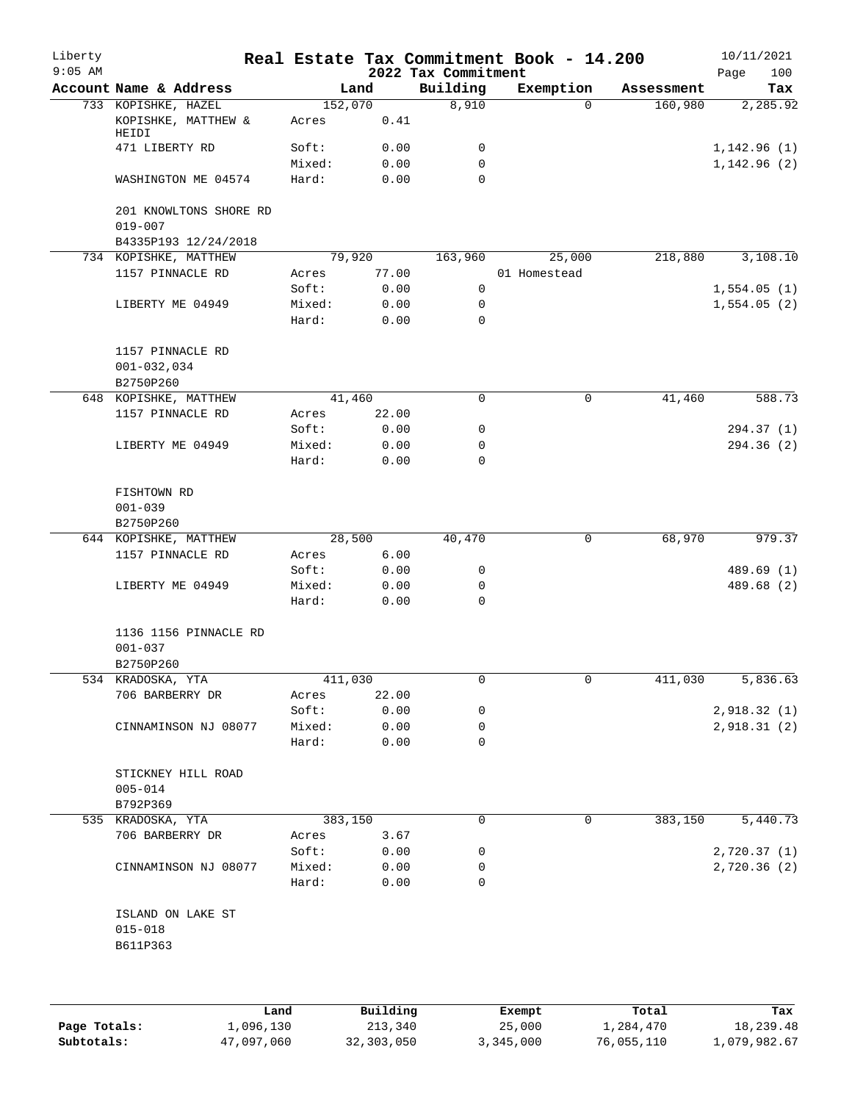| Liberty<br>$9:05$ AM |                                                   |                 |              | 2022 Tax Commitment | Real Estate Tax Commitment Book - 14.200 |            | 10/11/2021<br>Page<br>100   |
|----------------------|---------------------------------------------------|-----------------|--------------|---------------------|------------------------------------------|------------|-----------------------------|
|                      | Account Name & Address                            |                 | Land         | Building            | Exemption                                | Assessment | Tax                         |
|                      | 733 KOPISHKE, HAZEL                               | 152,070         |              | 8,910               | $\Omega$                                 | 160,980    | 2,285.92                    |
|                      | KOPISHKE, MATTHEW &<br>HEIDI                      | Acres           | 0.41         |                     |                                          |            |                             |
|                      | 471 LIBERTY RD                                    | Soft:           | 0.00         | 0                   |                                          |            | 1,142.96(1)                 |
|                      | WASHINGTON ME 04574                               | Mixed:<br>Hard: | 0.00<br>0.00 | 0<br>$\Omega$       |                                          |            | 1,142.96(2)                 |
|                      | 201 KNOWLTONS SHORE RD<br>$019 - 007$             |                 |              |                     |                                          |            |                             |
|                      | B4335P193 12/24/2018                              |                 |              |                     |                                          |            |                             |
|                      | 734 KOPISHKE, MATTHEW                             | 79,920          |              | 163,960             | 25,000                                   | 218,880    | 3,108.10                    |
|                      | 1157 PINNACLE RD                                  | Acres           | 77.00        |                     | 01 Homestead                             |            |                             |
|                      |                                                   | Soft:           | 0.00         | $\mathbf 0$         |                                          |            | 1,554.05(1)                 |
|                      | LIBERTY ME 04949                                  | Mixed:          | 0.00         | 0                   |                                          |            | 1,554.05(2)                 |
|                      |                                                   | Hard:           | 0.00         | 0                   |                                          |            |                             |
|                      | 1157 PINNACLE RD<br>$001 - 032, 034$<br>B2750P260 |                 |              |                     |                                          |            |                             |
|                      | 648 KOPISHKE, MATTHEW                             | 41,460          |              | 0                   | 0                                        | 41,460     | 588.73                      |
|                      | 1157 PINNACLE RD                                  | Acres           | 22.00        |                     |                                          |            |                             |
|                      |                                                   | Soft:           | 0.00         | 0                   |                                          |            | 294.37(1)                   |
|                      | LIBERTY ME 04949                                  | Mixed:          | 0.00         | 0                   |                                          |            | 294.36(2)                   |
|                      |                                                   | Hard:           | 0.00         | $\Omega$            |                                          |            |                             |
|                      | FISHTOWN RD<br>$001 - 039$<br>B2750P260           |                 |              |                     |                                          |            |                             |
|                      | 644 KOPISHKE, MATTHEW                             | 28,500          |              | 40,470              | 0                                        | 68,970     | 979.37                      |
|                      | 1157 PINNACLE RD                                  | Acres           | 6.00         |                     |                                          |            |                             |
|                      |                                                   | Soft:           | 0.00         | 0                   |                                          |            | 489.69 (1)                  |
|                      | LIBERTY ME 04949                                  | Mixed:          | 0.00         | 0                   |                                          |            | 489.68 (2)                  |
|                      |                                                   | Hard:           | 0.00         | $\mathbf 0$         |                                          |            |                             |
|                      | 1136 1156 PINNACLE RD<br>$001 - 037$              |                 |              |                     |                                          |            |                             |
|                      | B2750P260                                         |                 |              |                     |                                          |            |                             |
|                      | 534 KRADOSKA, YTA                                 | 411,030         |              | 0                   | 0                                        | 411,030    | 5,836.63                    |
|                      | 706 BARBERRY DR                                   | Acres           | 22.00        |                     |                                          |            |                             |
|                      |                                                   | Soft:           | 0.00         | 0                   |                                          |            | 2,918.32 (1)                |
|                      | CINNAMINSON NJ 08077                              | Mixed:          | 0.00         | 0                   |                                          |            | 2,918.31(2)                 |
|                      |                                                   | Hard:           | 0.00         | 0                   |                                          |            |                             |
|                      | STICKNEY HILL ROAD<br>$005 - 014$                 |                 |              |                     |                                          |            |                             |
|                      | B792P369                                          |                 |              |                     |                                          |            |                             |
|                      | 535 KRADOSKA, YTA                                 | 383,150         |              | 0                   | 0                                        | 383,150    | 5,440.73                    |
|                      | 706 BARBERRY DR                                   | Acres           | 3.67         |                     |                                          |            |                             |
|                      | CINNAMINSON NJ 08077                              | Soft:<br>Mixed: | 0.00<br>0.00 | 0<br>0              |                                          |            | 2,720.37(1)<br>2,720.36 (2) |
|                      |                                                   | Hard:           | 0.00         | 0                   |                                          |            |                             |
|                      | ISLAND ON LAKE ST<br>$015 - 018$<br>B611P363      |                 |              |                     |                                          |            |                             |
|                      |                                                   |                 |              |                     |                                          |            |                             |

|              | Land       | Building   | Exempt    | Total      | Tax          |
|--------------|------------|------------|-----------|------------|--------------|
| Page Totals: | 1,096,130  | 213,340    | 25,000    | 1,284,470  | 18,239.48    |
| Subtotals:   | 47,097,060 | 32,303,050 | 3,345,000 | 76,055,110 | 1,079,982.67 |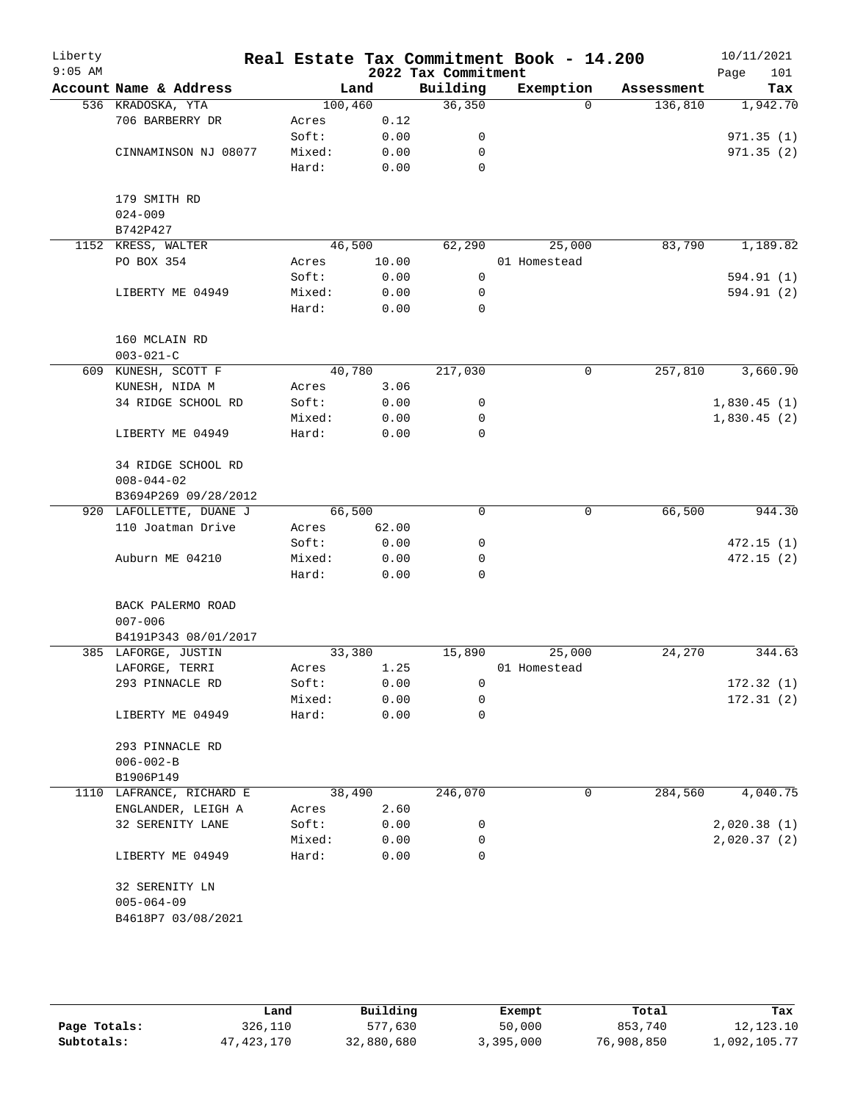| Liberty<br>$9:05$ AM |                                  |         |       | 2022 Tax Commitment | Real Estate Tax Commitment Book - 14.200 |            | 10/11/2021<br>101<br>Page |
|----------------------|----------------------------------|---------|-------|---------------------|------------------------------------------|------------|---------------------------|
|                      | Account Name & Address           |         | Land  | Building            | Exemption                                | Assessment | Tax                       |
|                      | 536 KRADOSKA, YTA                | 100,460 |       | 36,350              | $\Omega$                                 | 136,810    | 1,942.70                  |
|                      | 706 BARBERRY DR                  | Acres   | 0.12  |                     |                                          |            |                           |
|                      |                                  | Soft:   | 0.00  | 0                   |                                          |            | 971.35(1)                 |
|                      | CINNAMINSON NJ 08077             | Mixed:  | 0.00  | 0                   |                                          |            | 971.35(2)                 |
|                      |                                  | Hard:   | 0.00  | $\Omega$            |                                          |            |                           |
|                      |                                  |         |       |                     |                                          |            |                           |
|                      | 179 SMITH RD                     |         |       |                     |                                          |            |                           |
|                      | $024 - 009$                      |         |       |                     |                                          |            |                           |
|                      | B742P427                         |         |       |                     |                                          |            |                           |
|                      | 1152 KRESS, WALTER               | 46,500  |       | 62, 290             | 25,000                                   | 83,790     | 1,189.82                  |
|                      | PO BOX 354                       | Acres   | 10.00 |                     | 01 Homestead                             |            |                           |
|                      |                                  | Soft:   | 0.00  | $\mathbf 0$         |                                          |            | 594.91 (1)                |
|                      | LIBERTY ME 04949                 | Mixed:  | 0.00  | 0                   |                                          |            | 594.91 (2)                |
|                      |                                  | Hard:   | 0.00  | $\mathbf 0$         |                                          |            |                           |
|                      | 160 MCLAIN RD                    |         |       |                     |                                          |            |                           |
|                      | $003 - 021 - C$                  |         |       |                     |                                          |            |                           |
|                      | 609 KUNESH, SCOTT F              | 40,780  |       | 217,030             | $\mathbf 0$                              | 257,810    | 3,660.90                  |
|                      | KUNESH, NIDA M                   | Acres   | 3.06  |                     |                                          |            |                           |
|                      | 34 RIDGE SCHOOL RD               | Soft:   | 0.00  | 0                   |                                          |            | 1,830.45(1)               |
|                      |                                  | Mixed:  | 0.00  | 0                   |                                          |            | 1,830.45(2)               |
|                      | LIBERTY ME 04949                 | Hard:   | 0.00  | $\mathbf 0$         |                                          |            |                           |
|                      | 34 RIDGE SCHOOL RD               |         |       |                     |                                          |            |                           |
|                      | $008 - 044 - 02$                 |         |       |                     |                                          |            |                           |
|                      | B3694P269 09/28/2012             |         |       |                     |                                          |            |                           |
|                      | 920 LAFOLLETTE, DUANE J          | 66,500  |       | 0                   | $\mathsf{O}$                             | 66,500     | 944.30                    |
|                      | 110 Joatman Drive                | Acres   | 62.00 |                     |                                          |            |                           |
|                      |                                  | Soft:   | 0.00  | 0                   |                                          |            | 472.15(1)                 |
|                      | Auburn ME 04210                  | Mixed:  | 0.00  | 0                   |                                          |            | 472.15(2)                 |
|                      |                                  | Hard:   | 0.00  | $\Omega$            |                                          |            |                           |
|                      |                                  |         |       |                     |                                          |            |                           |
|                      | BACK PALERMO ROAD<br>$007 - 006$ |         |       |                     |                                          |            |                           |
|                      |                                  |         |       |                     |                                          |            |                           |
|                      | B4191P343 08/01/2017             |         |       |                     |                                          |            |                           |
|                      | 385 LAFORGE, JUSTIN              | 33,380  |       | 15,890              | 25,000                                   | 24,270     | 344.63                    |
|                      | LAFORGE, TERRI                   | Acres   | 1.25  |                     | 01 Homestead                             |            |                           |
|                      | 293 PINNACLE RD                  | Soft:   | 0.00  | 0                   |                                          |            | 172.32(1)                 |
|                      |                                  | Mixed:  | 0.00  | 0                   |                                          |            | 172.31(2)                 |
|                      | LIBERTY ME 04949                 | Hard:   | 0.00  | 0                   |                                          |            |                           |
|                      | 293 PINNACLE RD                  |         |       |                     |                                          |            |                           |
|                      | $006 - 002 - B$                  |         |       |                     |                                          |            |                           |
|                      | B1906P149                        |         |       |                     |                                          |            |                           |
|                      | 1110 LAFRANCE, RICHARD E         | 38,490  |       | 246,070             | 0                                        | 284,560    | 4,040.75                  |
|                      | ENGLANDER, LEIGH A               | Acres   | 2.60  |                     |                                          |            |                           |
|                      | 32 SERENITY LANE                 | Soft:   | 0.00  | 0                   |                                          |            | 2,020.38(1)               |
|                      |                                  | Mixed:  | 0.00  | 0                   |                                          |            | 2,020.37(2)               |
|                      | LIBERTY ME 04949                 | Hard:   | 0.00  | 0                   |                                          |            |                           |
|                      | 32 SERENITY LN                   |         |       |                     |                                          |            |                           |
|                      | $005 - 064 - 09$                 |         |       |                     |                                          |            |                           |
|                      |                                  |         |       |                     |                                          |            |                           |
|                      | B4618P7 03/08/2021               |         |       |                     |                                          |            |                           |
|                      |                                  |         |       |                     |                                          |            |                           |

|              | Land       | Building   | Exempt    | Total      | Tax          |
|--------------|------------|------------|-----------|------------|--------------|
| Page Totals: | 326,110    | 577,630    | 50,000    | 853,740    | 12, 123, 10  |
| Subtotals:   | 47,423,170 | 32,880,680 | 3,395,000 | 76,908,850 | 1,092,105.77 |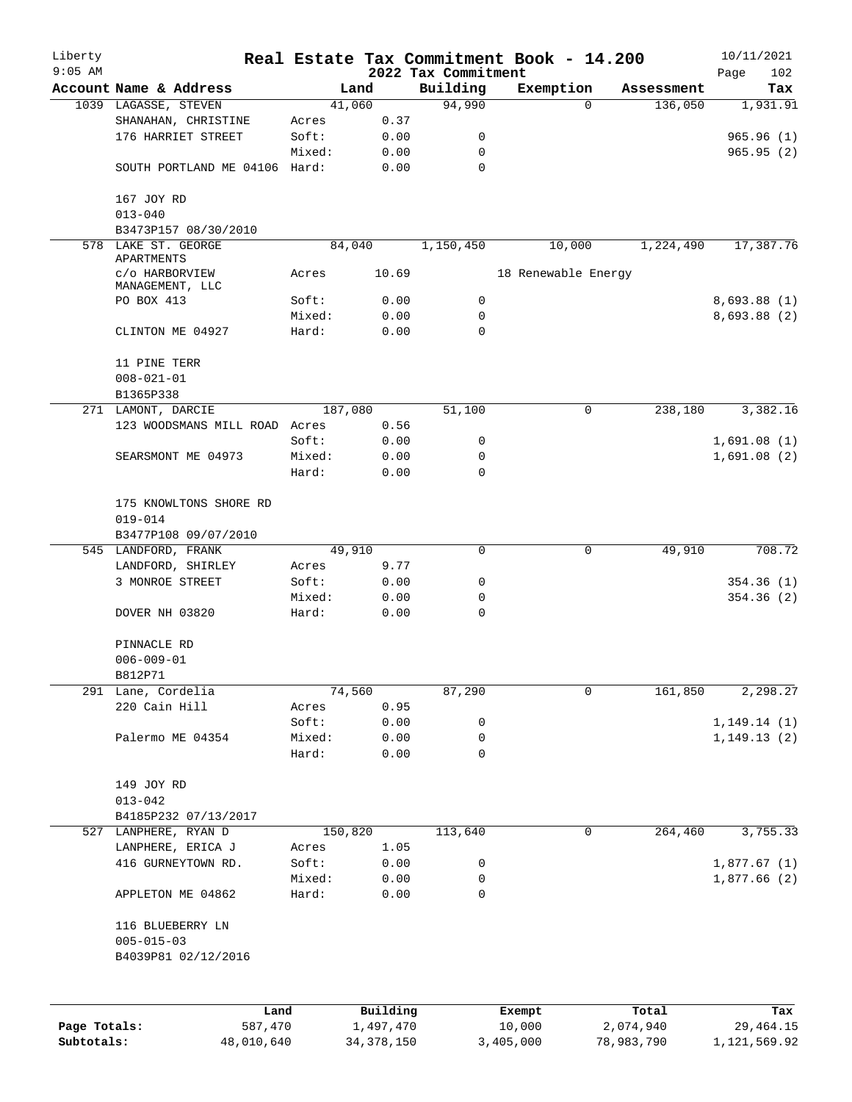| Liberty<br>$9:05$ AM |                                       |         |           |                                 | Real Estate Tax Commitment Book - 14.200 |            | 10/11/2021         |
|----------------------|---------------------------------------|---------|-----------|---------------------------------|------------------------------------------|------------|--------------------|
|                      | Account Name & Address                | Land    |           | 2022 Tax Commitment<br>Building | Exemption                                | Assessment | Page<br>102<br>Tax |
|                      | 1039 LAGASSE, STEVEN                  | 41,060  |           | 94,990                          | $\Omega$                                 | 136,050    | 1,931.91           |
|                      | SHANAHAN, CHRISTINE                   | Acres   | 0.37      |                                 |                                          |            |                    |
|                      | 176 HARRIET STREET                    | Soft:   | 0.00      | 0                               |                                          |            | 965.96(1)          |
|                      |                                       | Mixed:  | 0.00      | 0                               |                                          |            | 965.95(2)          |
|                      | SOUTH PORTLAND ME 04106 Hard:         |         | 0.00      | 0                               |                                          |            |                    |
|                      | 167 JOY RD                            |         |           |                                 |                                          |            |                    |
|                      | $013 - 040$                           |         |           |                                 |                                          |            |                    |
|                      | B3473P157 08/30/2010                  |         |           |                                 |                                          |            |                    |
|                      | 578 LAKE ST. GEORGE<br>APARTMENTS     | 84,040  |           | 1,150,450                       | 10,000                                   | 1,224,490  | 17,387.76          |
|                      | c/o HARBORVIEW<br>MANAGEMENT, LLC     | Acres   | 10.69     |                                 | 18 Renewable Energy                      |            |                    |
|                      | PO BOX 413                            | Soft:   | 0.00      | 0                               |                                          |            | 8,693.88(1)        |
|                      |                                       | Mixed:  | 0.00      | 0                               |                                          |            | 8,693.88(2)        |
|                      | CLINTON ME 04927                      | Hard:   | 0.00      | 0                               |                                          |            |                    |
|                      | 11 PINE TERR                          |         |           |                                 |                                          |            |                    |
|                      | $008 - 021 - 01$                      |         |           |                                 |                                          |            |                    |
|                      | B1365P338                             |         |           |                                 |                                          |            |                    |
|                      | 271 LAMONT, DARCIE                    | 187,080 |           | 51,100                          | 0                                        | 238,180    | 3,382.16           |
|                      | 123 WOODSMANS MILL ROAD Acres         |         | 0.56      |                                 |                                          |            |                    |
|                      |                                       | Soft:   | 0.00      | 0                               |                                          |            | 1,691.08(1)        |
|                      | SEARSMONT ME 04973                    | Mixed:  | 0.00      | 0                               |                                          |            | 1,691.08(2)        |
|                      |                                       | Hard:   | 0.00      | $\mathbf 0$                     |                                          |            |                    |
|                      | 175 KNOWLTONS SHORE RD<br>$019 - 014$ |         |           |                                 |                                          |            |                    |
|                      | B3477P108 09/07/2010                  |         |           |                                 |                                          |            |                    |
|                      | 545 LANDFORD, FRANK                   | 49,910  |           | 0                               | 0                                        | 49,910     | 708.72             |
|                      | LANDFORD, SHIRLEY                     | Acres   | 9.77      |                                 |                                          |            |                    |
|                      | 3 MONROE STREET                       | Soft:   | 0.00      | 0                               |                                          |            | 354.36(1)          |
|                      |                                       | Mixed:  | 0.00      | 0                               |                                          |            | 354.36(2)          |
|                      | DOVER NH 03820                        | Hard:   | 0.00      | $\mathbf 0$                     |                                          |            |                    |
|                      | PINNACLE RD                           |         |           |                                 |                                          |            |                    |
|                      | $006 - 009 - 01$                      |         |           |                                 |                                          |            |                    |
|                      | B812P71                               |         |           |                                 |                                          |            |                    |
|                      | 291 Lane, Cordelia                    | 74,560  |           | 87,290                          | 0                                        | 161,850    | 2,298.27           |
|                      | 220 Cain Hill                         | Acres   | 0.95      |                                 |                                          |            |                    |
|                      |                                       | Soft:   | 0.00      | 0                               |                                          |            | 1, 149.14(1)       |
|                      | Palermo ME 04354                      | Mixed:  | 0.00      | 0                               |                                          |            | 1, 149.13(2)       |
|                      |                                       | Hard:   | 0.00      | 0                               |                                          |            |                    |
|                      | 149 JOY RD                            |         |           |                                 |                                          |            |                    |
|                      | $013 - 042$                           |         |           |                                 |                                          |            |                    |
|                      | B4185P232 07/13/2017                  |         |           |                                 |                                          |            |                    |
|                      | 527 LANPHERE, RYAN D                  | 150,820 |           | 113,640                         | $\mathbf 0$                              | 264,460    | 3,755.33           |
|                      | LANPHERE, ERICA J                     | Acres   | 1.05      |                                 |                                          |            |                    |
|                      | 416 GURNEYTOWN RD.                    | Soft:   | 0.00      | 0                               |                                          |            | 1,877.67(1)        |
|                      |                                       | Mixed:  | 0.00      | 0                               |                                          |            | 1,877.66(2)        |
|                      | APPLETON ME 04862                     | Hard:   | 0.00      | 0                               |                                          |            |                    |
|                      | 116 BLUEBERRY LN                      |         |           |                                 |                                          |            |                    |
|                      | $005 - 015 - 03$                      |         |           |                                 |                                          |            |                    |
|                      | B4039P81 02/12/2016                   |         |           |                                 |                                          |            |                    |
|                      |                                       |         |           |                                 |                                          |            |                    |
|                      | Land                                  |         | Building  |                                 | Exempt                                   | Total      | Tax                |
| Page Totals:         | 587,470                               |         | 1,497,470 |                                 | 10,000                                   | 2,074,940  | 29, 464. 15        |

**Subtotals:** 48,010,640 34,378,150 3,405,000 78,983,790 1,121,569.92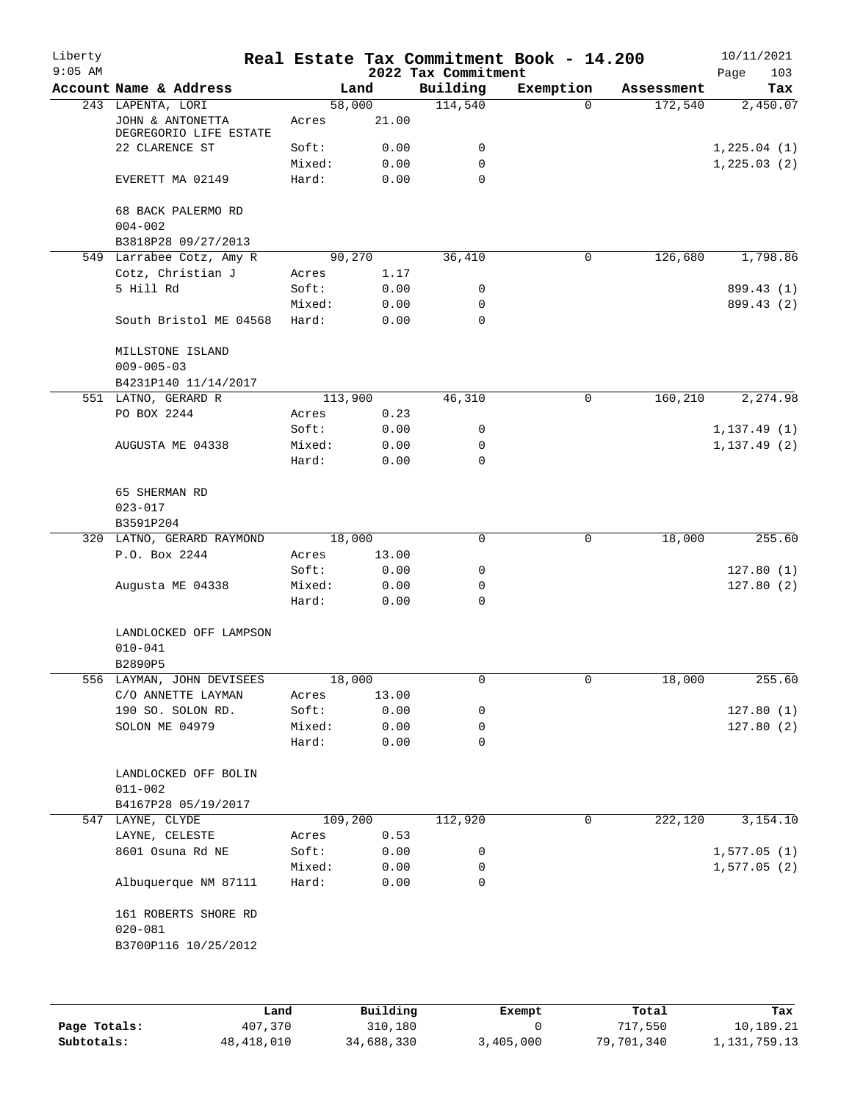| Liberty<br>$9:05$ AM |                                            |                  |              | 2022 Tax Commitment | Real Estate Tax Commitment Book - 14.200 |            | 10/11/2021<br>103<br>Page |
|----------------------|--------------------------------------------|------------------|--------------|---------------------|------------------------------------------|------------|---------------------------|
|                      | Account Name & Address                     |                  | Land         | Building            | Exemption                                | Assessment | Tax                       |
|                      | 243 LAPENTA, LORI                          |                  | 58,000       | 114,540             | $\Omega$                                 | 172,540    | 2,450.07                  |
|                      | JOHN & ANTONETTA<br>DEGREGORIO LIFE ESTATE | Acres            | 21.00        |                     |                                          |            |                           |
|                      | 22 CLARENCE ST                             | Soft:            | 0.00         | 0                   |                                          |            | 1,225.04(1)               |
|                      | EVERETT MA 02149                           | Mixed:<br>Hard:  | 0.00<br>0.00 | 0<br>0              |                                          |            | 1, 225.03(2)              |
|                      | 68 BACK PALERMO RD<br>$004 - 002$          |                  |              |                     |                                          |            |                           |
|                      | B3818P28 09/27/2013                        |                  |              |                     |                                          |            |                           |
|                      | 549 Larrabee Cotz, Amy R                   |                  | 90,270       | 36,410              | 0                                        | 126,680    | 1,798.86                  |
|                      | Cotz, Christian J                          | Acres            | 1.17         |                     |                                          |            |                           |
|                      | 5 Hill Rd                                  | Soft:            | 0.00         | 0                   |                                          |            | 899.43 (1)                |
|                      |                                            | Mixed:           | 0.00         | 0                   |                                          |            | 899.43 (2)                |
|                      | South Bristol ME 04568                     | Hard:            | 0.00         | 0                   |                                          |            |                           |
|                      | MILLSTONE ISLAND<br>$009 - 005 - 03$       |                  |              |                     |                                          |            |                           |
|                      | B4231P140 11/14/2017                       |                  |              |                     |                                          |            |                           |
|                      | 551 LATNO, GERARD R                        | 113,900          |              | 46,310              | 0                                        | 160,210    | 2,274.98                  |
|                      | PO BOX 2244                                | Acres            | 0.23         |                     |                                          |            |                           |
|                      |                                            | Soft:            | 0.00         | 0                   |                                          |            | 1, 137.49(1)              |
|                      | AUGUSTA ME 04338                           | Mixed:           | 0.00         | 0                   |                                          |            | 1, 137.49(2)              |
|                      |                                            | Hard:            | 0.00         | $\mathbf 0$         |                                          |            |                           |
|                      | 65 SHERMAN RD<br>$023 - 017$               |                  |              |                     |                                          |            |                           |
|                      | B3591P204                                  |                  |              |                     |                                          |            |                           |
|                      | 320 LATNO, GERARD RAYMOND                  |                  | 18,000       | 0                   | 0                                        | 18,000     | 255.60                    |
|                      | P.O. Box 2244                              | Acres            | 13.00        |                     |                                          |            |                           |
|                      |                                            | Soft:            | 0.00         | 0                   |                                          |            | 127.80(1)                 |
|                      | Augusta ME 04338                           | Mixed:           | 0.00         | 0                   |                                          |            | 127.80(2)                 |
|                      |                                            | Hard:            | 0.00         | 0                   |                                          |            |                           |
|                      | LANDLOCKED OFF LAMPSON<br>$010 - 041$      |                  |              |                     |                                          |            |                           |
|                      | B2890P5                                    |                  |              |                     |                                          |            |                           |
|                      | 556 LAYMAN, JOHN DEVISEES                  |                  | 18,000       | 0                   | 0                                        | 18,000     | 255.60                    |
|                      | C/O ANNETTE LAYMAN                         | Acres            | 13.00        |                     |                                          |            |                           |
|                      | 190 SO. SOLON RD.                          | Soft:            | 0.00         | 0                   |                                          |            | 127.80(1)                 |
|                      | SOLON ME 04979                             | Mixed:           | 0.00         | 0                   |                                          |            | 127.80(2)                 |
|                      |                                            | Hard:            | 0.00         | 0                   |                                          |            |                           |
|                      | LANDLOCKED OFF BOLIN                       |                  |              |                     |                                          |            |                           |
|                      | $011 - 002$                                |                  |              |                     |                                          |            |                           |
|                      | B4167P28 05/19/2017                        |                  |              | 112,920             | 0                                        |            |                           |
|                      | 547 LAYNE, CLYDE                           | 109,200<br>Acres |              |                     |                                          | 222,120    | 3,154.10                  |
|                      | LAYNE, CELESTE                             |                  | 0.53         |                     |                                          |            |                           |
|                      | 8601 Osuna Rd NE                           | Soft:            | 0.00         | 0                   |                                          |            | 1,577.05(1)               |
|                      | Albuquerque NM 87111                       | Mixed:<br>Hard:  | 0.00<br>0.00 | 0<br>0              |                                          |            | 1,577.05(2)               |
|                      |                                            |                  |              |                     |                                          |            |                           |
|                      | 161 ROBERTS SHORE RD<br>$020 - 081$        |                  |              |                     |                                          |            |                           |
|                      | B3700P116 10/25/2012                       |                  |              |                     |                                          |            |                           |
|                      |                                            |                  |              |                     |                                          |            |                           |
|                      |                                            |                  |              |                     |                                          |            |                           |
|                      |                                            |                  |              |                     |                                          |            |                           |

|              | Land       | Building   | Exempt    | Total      | Tax          |
|--------------|------------|------------|-----------|------------|--------------|
| Page Totals: | 407,370    | 310,180    |           | 717,550    | 10,189.21    |
| Subtotals:   | 48,418,010 | 34,688,330 | 3,405,000 | 79,701,340 | 1,131,759.13 |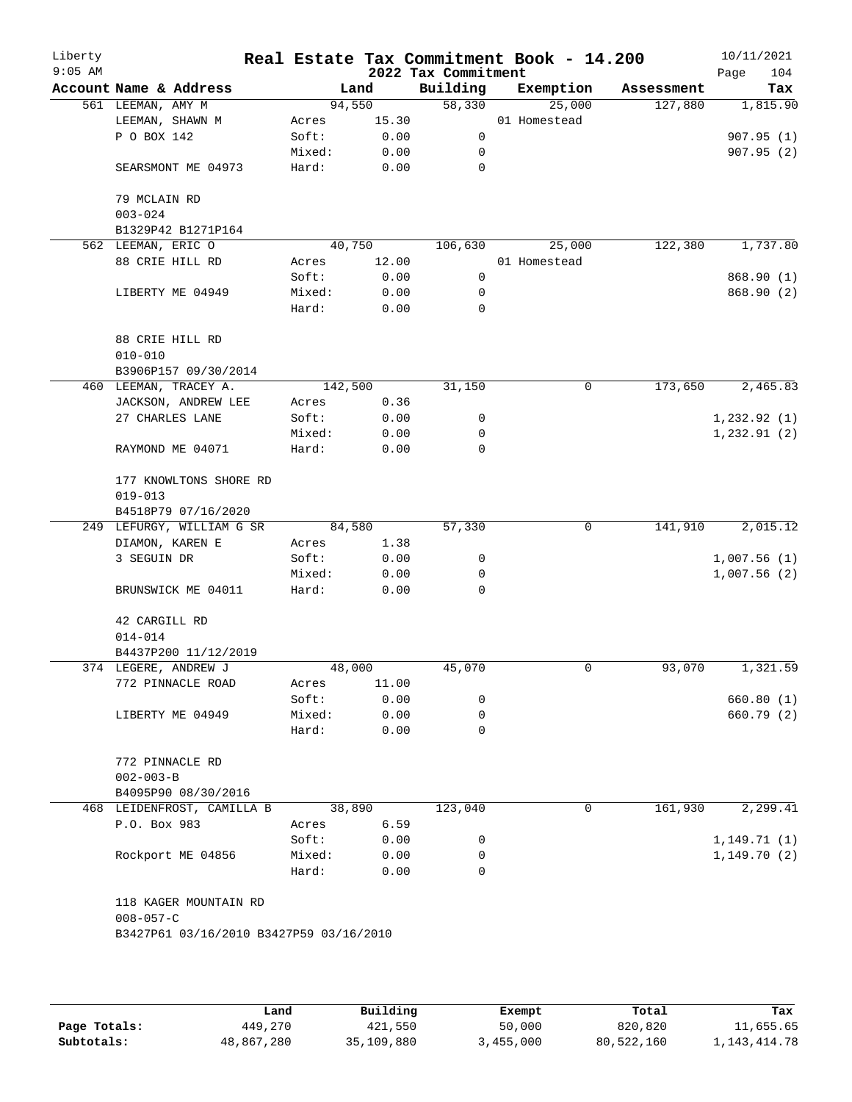| Liberty<br>$9:05$ AM |                                |                                         |                 |              | 2022 Tax Commitment | Real Estate Tax Commitment Book - 14.200 |   |            | 10/11/2021<br>104<br>Page |
|----------------------|--------------------------------|-----------------------------------------|-----------------|--------------|---------------------|------------------------------------------|---|------------|---------------------------|
|                      | Account Name & Address         |                                         |                 | Land         | Building            | Exemption                                |   | Assessment | Tax                       |
|                      | 561 LEEMAN, AMY M              |                                         | 94,550          |              | 58,330              | 25,000                                   |   | 127,880    | 1,815.90                  |
|                      | LEEMAN, SHAWN M                |                                         | Acres           | 15.30        |                     | 01 Homestead                             |   |            |                           |
|                      | P O BOX 142                    |                                         | Soft:           | 0.00         | $\mathbf 0$         |                                          |   |            | 907.95(1)                 |
|                      |                                |                                         | Mixed:          | 0.00         | 0                   |                                          |   |            | 907.95(2)                 |
|                      |                                | SEARSMONT ME 04973                      | Hard:           | 0.00         | 0                   |                                          |   |            |                           |
|                      | 79 MCLAIN RD                   |                                         |                 |              |                     |                                          |   |            |                           |
|                      | $003 - 024$                    |                                         |                 |              |                     |                                          |   |            |                           |
|                      |                                | B1329P42 B1271P164                      |                 |              |                     |                                          |   |            |                           |
|                      | 562 LEEMAN, ERIC O             |                                         |                 | 40,750       | 106,630             | 25,000                                   |   | 122,380    | 1,737.80                  |
|                      | 88 CRIE HILL RD                |                                         | Acres           | 12.00        |                     | 01 Homestead                             |   |            |                           |
|                      |                                |                                         | Soft:           | 0.00         | 0                   |                                          |   |            | 868.90 (1)                |
|                      | LIBERTY ME 04949               |                                         | Mixed:          | 0.00         | 0                   |                                          |   |            | 868.90 (2)                |
|                      |                                |                                         | Hard:           | 0.00         | $\mathbf 0$         |                                          |   |            |                           |
|                      | 88 CRIE HILL RD<br>$010 - 010$ |                                         |                 |              |                     |                                          |   |            |                           |
|                      |                                | B3906P157 09/30/2014                    |                 |              |                     |                                          |   |            |                           |
|                      | 460 LEEMAN, TRACEY A.          |                                         | 142,500         |              | 31,150              |                                          | 0 | 173,650    | 2,465.83                  |
|                      |                                | JACKSON, ANDREW LEE                     | Acres           | 0.36         |                     |                                          |   |            |                           |
|                      | 27 CHARLES LANE                |                                         | Soft:           | 0.00         | 0                   |                                          |   |            | 1,232.92(1)               |
|                      |                                |                                         | Mixed:          | 0.00         | 0                   |                                          |   |            | 1, 232.91(2)              |
|                      | RAYMOND ME 04071               |                                         | Hard:           | 0.00         | 0                   |                                          |   |            |                           |
|                      | $019 - 013$                    | 177 KNOWLTONS SHORE RD                  |                 |              |                     |                                          |   |            |                           |
|                      |                                | B4518P79 07/16/2020                     |                 |              |                     |                                          |   |            |                           |
|                      |                                | 249 LEFURGY, WILLIAM G SR               | 84,580          |              | 57,330              |                                          | 0 | 141,910    | 2,015.12                  |
|                      | DIAMON, KAREN E                |                                         | Acres           | 1.38         |                     |                                          |   |            |                           |
|                      | 3 SEGUIN DR                    |                                         | Soft:           | 0.00         | 0                   |                                          |   |            | 1,007.56(1)               |
|                      |                                |                                         |                 |              | 0                   |                                          |   |            |                           |
|                      |                                | BRUNSWICK ME 04011                      | Mixed:<br>Hard: | 0.00<br>0.00 | 0                   |                                          |   |            | 1,007.56(2)               |
|                      |                                |                                         |                 |              |                     |                                          |   |            |                           |
|                      | 42 CARGILL RD                  |                                         |                 |              |                     |                                          |   |            |                           |
|                      | $014 - 014$                    |                                         |                 |              |                     |                                          |   |            |                           |
|                      |                                | B4437P200 11/12/2019                    |                 |              |                     |                                          |   |            |                           |
|                      | 374 LEGERE, ANDREW J           |                                         | 48,000          |              | 45,070              |                                          | 0 | 93,070     | 1,321.59                  |
|                      |                                | 772 PINNACLE ROAD                       | Acres           | 11.00        |                     |                                          |   |            |                           |
|                      |                                |                                         | Soft:           | 0.00         | 0                   |                                          |   |            | 660.80 (1)                |
|                      | LIBERTY ME 04949               |                                         | Mixed:          | 0.00         | 0                   |                                          |   |            | 660.79 (2)                |
|                      |                                |                                         | Hard:           | 0.00         | 0                   |                                          |   |            |                           |
|                      | 772 PINNACLE RD                |                                         |                 |              |                     |                                          |   |            |                           |
|                      | $002 - 003 - B$                |                                         |                 |              |                     |                                          |   |            |                           |
|                      |                                | B4095P90 08/30/2016                     |                 |              |                     |                                          |   |            |                           |
|                      |                                | 468 LEIDENFROST, CAMILLA B              |                 | 38,890       | 123,040             |                                          | 0 | 161,930    | 2,299.41                  |
|                      | P.O. Box 983                   |                                         | Acres           | 6.59         |                     |                                          |   |            |                           |
|                      |                                |                                         | Soft:           | 0.00         | 0                   |                                          |   |            | 1, 149.71(1)              |
|                      |                                | Rockport ME 04856                       | Mixed:          | 0.00         | 0                   |                                          |   |            | 1,149.70(2)               |
|                      |                                |                                         | Hard:           | 0.00         | $\Omega$            |                                          |   |            |                           |
|                      |                                | 118 KAGER MOUNTAIN RD                   |                 |              |                     |                                          |   |            |                           |
|                      | $008 - 057 - C$                | B3427P61 03/16/2010 B3427P59 03/16/2010 |                 |              |                     |                                          |   |            |                           |
|                      |                                |                                         |                 |              |                     |                                          |   |            |                           |
|                      |                                |                                         |                 |              |                     |                                          |   |            |                           |
|                      |                                |                                         |                 |              |                     |                                          |   |            |                           |

|              | Land       | Building   | Exempt    | Total      | Tax             |
|--------------|------------|------------|-----------|------------|-----------------|
| Page Totals: | 449,270    | 421,550    | 50,000    | 820,820    | 11,655.65       |
| Subtotals:   | 48,867,280 | 35,109,880 | 3,455,000 | 80,522,160 | 1, 143, 414. 78 |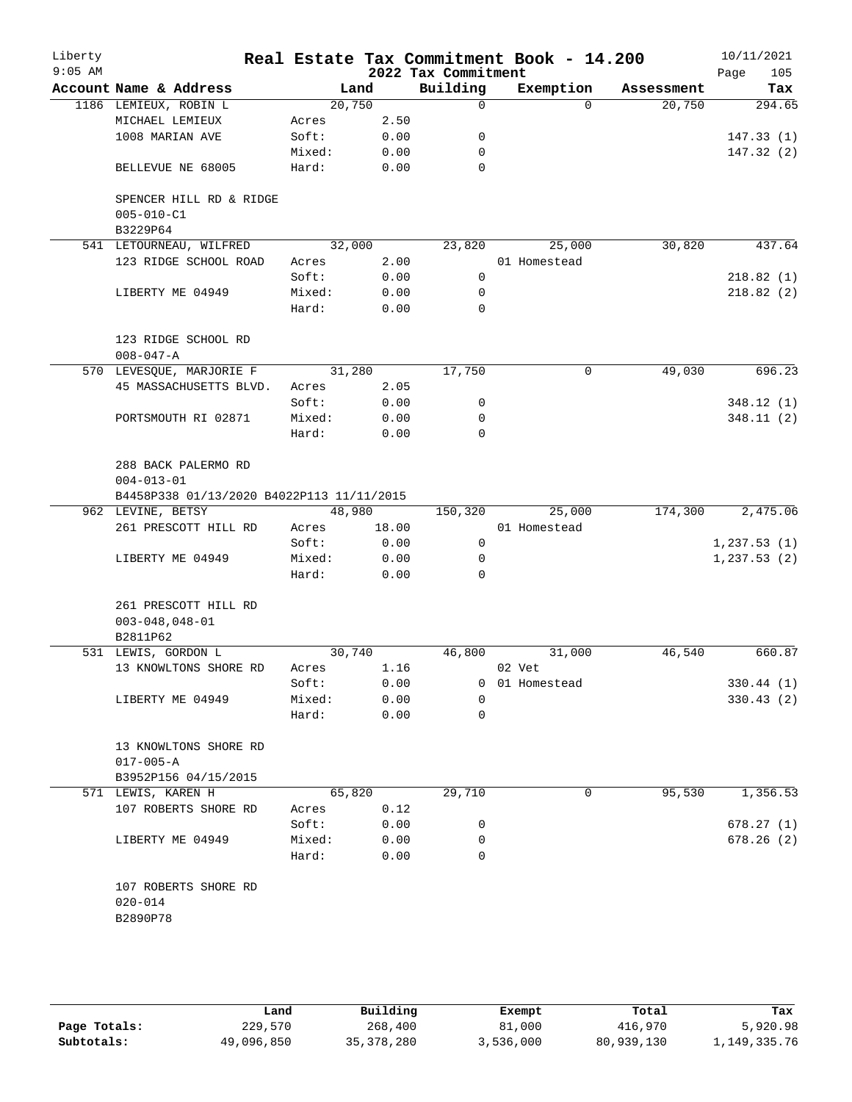| Liberty<br>$9:05$ AM |                                                                                      |        |       | 2022 Tax Commitment | Real Estate Tax Commitment Book - 14.200 |            | 10/11/2021<br>105<br>Page |
|----------------------|--------------------------------------------------------------------------------------|--------|-------|---------------------|------------------------------------------|------------|---------------------------|
|                      | Account Name & Address                                                               | Land   |       | Building            | Exemption                                | Assessment | Tax                       |
|                      | 1186 LEMIEUX, ROBIN L                                                                | 20,750 |       | $\overline{0}$      | $\Omega$                                 | 20,750     | 294.65                    |
|                      | MICHAEL LEMIEUX                                                                      | Acres  | 2.50  |                     |                                          |            |                           |
|                      | 1008 MARIAN AVE                                                                      | Soft:  | 0.00  | 0                   |                                          |            | 147.33(1)                 |
|                      |                                                                                      | Mixed: | 0.00  | 0                   |                                          |            | 147.32(2)                 |
|                      | BELLEVUE NE 68005                                                                    | Hard:  | 0.00  | $\Omega$            |                                          |            |                           |
|                      | SPENCER HILL RD & RIDGE<br>$005 - 010 - C1$<br>B3229P64                              |        |       |                     |                                          |            |                           |
|                      | 541 LETOURNEAU, WILFRED                                                              | 32,000 |       | 23,820              | 25,000                                   | 30,820     | 437.64                    |
|                      | 123 RIDGE SCHOOL ROAD                                                                | Acres  | 2.00  |                     | 01 Homestead                             |            |                           |
|                      |                                                                                      | Soft:  | 0.00  | 0                   |                                          |            | 218.82(1)                 |
|                      | LIBERTY ME 04949                                                                     | Mixed: | 0.00  | 0                   |                                          |            | 218.82(2)                 |
|                      |                                                                                      | Hard:  | 0.00  | $\Omega$            |                                          |            |                           |
|                      | 123 RIDGE SCHOOL RD<br>$008 - 047 - A$                                               |        |       |                     |                                          |            |                           |
|                      | 570 LEVESQUE, MARJORIE F                                                             | 31,280 |       | 17,750              | 0                                        | 49,030     | 696.23                    |
|                      | 45 MASSACHUSETTS BLVD.                                                               | Acres  | 2.05  |                     |                                          |            |                           |
|                      |                                                                                      | Soft:  | 0.00  | 0                   |                                          |            | 348.12(1)                 |
|                      | PORTSMOUTH RI 02871                                                                  | Mixed: | 0.00  | 0                   |                                          |            | 348.11(2)                 |
|                      |                                                                                      | Hard:  | 0.00  | $\Omega$            |                                          |            |                           |
|                      | 288 BACK PALERMO RD<br>$004 - 013 - 01$<br>B4458P338 01/13/2020 B4022P113 11/11/2015 |        |       |                     |                                          |            |                           |
|                      | 962 LEVINE, BETSY                                                                    | 48,980 |       | 150,320             | 25,000                                   | 174,300    | 2,475.06                  |
|                      | 261 PRESCOTT HILL RD                                                                 | Acres  | 18.00 |                     | 01 Homestead                             |            |                           |
|                      |                                                                                      | Soft:  | 0.00  | 0                   |                                          |            | 1, 237.53(1)              |
|                      | LIBERTY ME 04949                                                                     | Mixed: | 0.00  | 0                   |                                          |            | 1, 237.53(2)              |
|                      |                                                                                      | Hard:  | 0.00  | $\Omega$            |                                          |            |                           |
|                      | 261 PRESCOTT HILL RD<br>$003 - 048, 048 - 01$                                        |        |       |                     |                                          |            |                           |
|                      | B2811P62                                                                             |        |       |                     |                                          |            |                           |
|                      | 531 LEWIS, GORDON L                                                                  | 30,740 |       | 46,800              | 31,000                                   | 46,540     | 660.87                    |
|                      | 13 KNOWLTONS SHORE RD                                                                | Acres  | 1.16  |                     | 02 Vet                                   |            |                           |
|                      |                                                                                      | Soft:  | 0.00  | 0                   | 01 Homestead                             |            | 330.44(1)                 |
|                      | LIBERTY ME 04949                                                                     | Mixed: | 0.00  | 0                   |                                          |            | 330.43(2)                 |
|                      |                                                                                      | Hard:  | 0.00  | 0                   |                                          |            |                           |
|                      | 13 KNOWLTONS SHORE RD<br>$017 - 005 - A$                                             |        |       |                     |                                          |            |                           |
|                      | B3952P156 04/15/2015                                                                 |        |       |                     |                                          |            |                           |
|                      | 571 LEWIS, KAREN H                                                                   | 65,820 |       | 29,710              | 0                                        | 95,530     | 1,356.53                  |
|                      | 107 ROBERTS SHORE RD                                                                 | Acres  | 0.12  |                     |                                          |            |                           |
|                      |                                                                                      | Soft:  | 0.00  | 0                   |                                          |            | 678.27(1)                 |
|                      | LIBERTY ME 04949                                                                     | Mixed: | 0.00  | 0                   |                                          |            | 678.26(2)                 |
|                      |                                                                                      | Hard:  | 0.00  | $\Omega$            |                                          |            |                           |
|                      | 107 ROBERTS SHORE RD<br>$020 - 014$                                                  |        |       |                     |                                          |            |                           |
|                      | B2890P78                                                                             |        |       |                     |                                          |            |                           |
|                      |                                                                                      |        |       |                     |                                          |            |                           |

|              | Land       | Building     | Exempt    | Total      | Tax          |
|--------------|------------|--------------|-----------|------------|--------------|
| Page Totals: | 229,570    | 268,400      | 81,000    | 416,970    | 5,920.98     |
| Subtotals:   | 49,096,850 | 35, 378, 280 | 3,536,000 | 80,939,130 | 1,149,335.76 |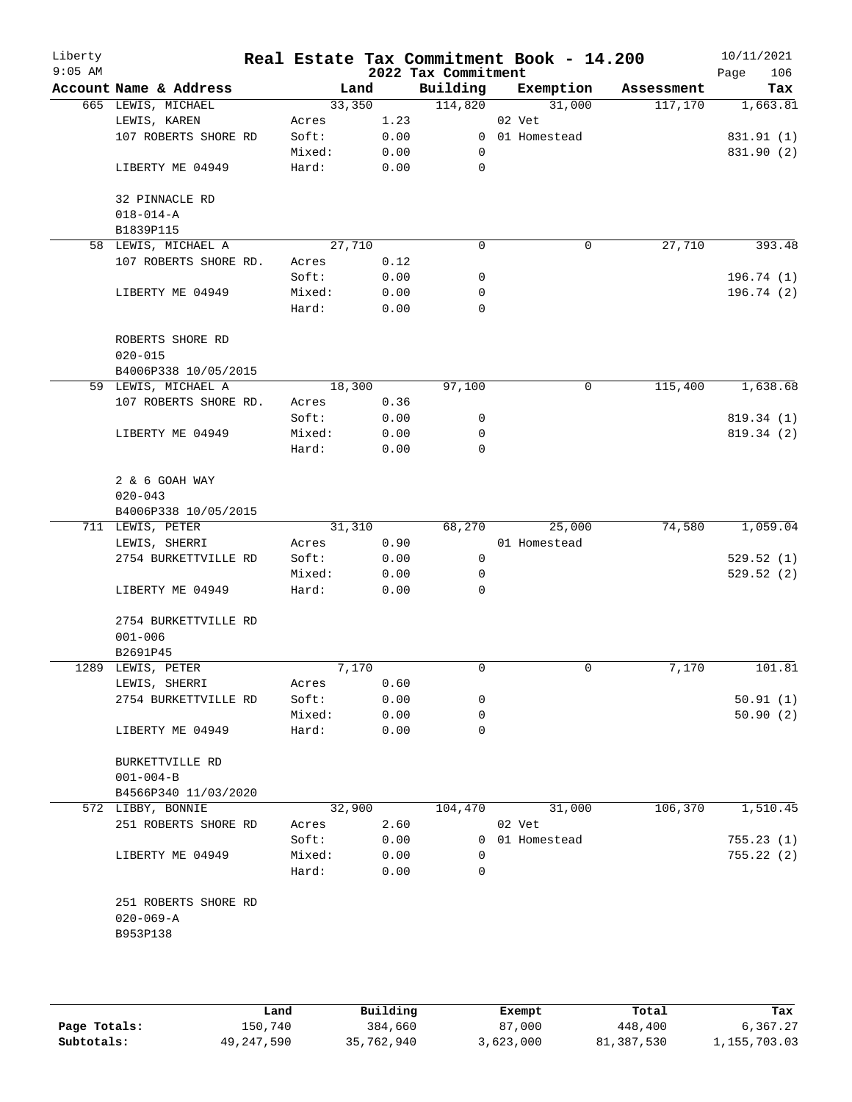| Liberty<br>$9:05$ AM |                        |        |      | 2022 Tax Commitment | Real Estate Tax Commitment Book - 14.200 |            | 10/11/2021<br>Page<br>106 |
|----------------------|------------------------|--------|------|---------------------|------------------------------------------|------------|---------------------------|
|                      | Account Name & Address | Land   |      | Building            | Exemption                                | Assessment | Tax                       |
|                      | 665 LEWIS, MICHAEL     | 33,350 |      | 114,820             | 31,000                                   | 117,170    | 1,663.81                  |
|                      | LEWIS, KAREN           | Acres  | 1.23 |                     | 02 Vet                                   |            |                           |
|                      | 107 ROBERTS SHORE RD   | Soft:  | 0.00 |                     | 0 01 Homestead                           |            | 831.91 (1)                |
|                      |                        | Mixed: | 0.00 | 0                   |                                          |            | 831.90 (2)                |
|                      | LIBERTY ME 04949       | Hard:  | 0.00 | 0                   |                                          |            |                           |
|                      | 32 PINNACLE RD         |        |      |                     |                                          |            |                           |
|                      | $018 - 014 - A$        |        |      |                     |                                          |            |                           |
|                      | B1839P115              |        |      |                     |                                          |            |                           |
|                      | 58 LEWIS, MICHAEL A    | 27,710 |      | 0                   | 0                                        | 27,710     | 393.48                    |
|                      | 107 ROBERTS SHORE RD.  | Acres  | 0.12 |                     |                                          |            |                           |
|                      |                        | Soft:  | 0.00 | 0                   |                                          |            | 196.74(1)                 |
|                      | LIBERTY ME 04949       | Mixed: | 0.00 | 0                   |                                          |            | 196.74(2)                 |
|                      |                        | Hard:  | 0.00 | 0                   |                                          |            |                           |
|                      | ROBERTS SHORE RD       |        |      |                     |                                          |            |                           |
|                      | $020 - 015$            |        |      |                     |                                          |            |                           |
|                      | B4006P338 10/05/2015   |        |      |                     |                                          |            |                           |
|                      | 59 LEWIS, MICHAEL A    | 18,300 |      | 97,100              | 0                                        | 115,400    | 1,638.68                  |
|                      | 107 ROBERTS SHORE RD.  | Acres  | 0.36 |                     |                                          |            |                           |
|                      |                        | Soft:  | 0.00 | 0                   |                                          |            | 819.34 (1)                |
|                      | LIBERTY ME 04949       | Mixed: | 0.00 | 0                   |                                          |            | 819.34 (2)                |
|                      |                        | Hard:  | 0.00 | 0                   |                                          |            |                           |
|                      | 2 & 6 GOAH WAY         |        |      |                     |                                          |            |                           |
|                      | $020 - 043$            |        |      |                     |                                          |            |                           |
|                      | B4006P338 10/05/2015   |        |      |                     |                                          |            |                           |
|                      | 711 LEWIS, PETER       | 31,310 |      | 68,270              | 25,000                                   | 74,580     | 1,059.04                  |
|                      | LEWIS, SHERRI          | Acres  | 0.90 |                     | 01 Homestead                             |            |                           |
|                      | 2754 BURKETTVILLE RD   | Soft:  | 0.00 | $\mathbf 0$         |                                          |            | 529.52(1)                 |
|                      |                        | Mixed: | 0.00 | 0                   |                                          |            | 529.52(2)                 |
|                      | LIBERTY ME 04949       | Hard:  | 0.00 | 0                   |                                          |            |                           |
|                      | 2754 BURKETTVILLE RD   |        |      |                     |                                          |            |                           |
|                      | $001 - 006$            |        |      |                     |                                          |            |                           |
|                      | B2691P45               |        |      |                     |                                          |            |                           |
|                      | 1289 LEWIS, PETER      | 7,170  |      | 0                   | 0                                        | 7,170      | 101.81                    |
|                      | LEWIS, SHERRI          | Acres  | 0.60 |                     |                                          |            |                           |
|                      | 2754 BURKETTVILLE RD   | Soft:  | 0.00 | 0                   |                                          |            | 50.91(1)                  |
|                      |                        | Mixed: | 0.00 | 0                   |                                          |            | 50.90(2)                  |
|                      | LIBERTY ME 04949       | Hard:  | 0.00 | 0                   |                                          |            |                           |
|                      | BURKETTVILLE RD        |        |      |                     |                                          |            |                           |
|                      | $001 - 004 - B$        |        |      |                     |                                          |            |                           |
|                      | B4566P340 11/03/2020   |        |      |                     |                                          |            |                           |
|                      | 572 LIBBY, BONNIE      | 32,900 |      | 104,470             | 31,000                                   | 106,370    | 1,510.45                  |
|                      | 251 ROBERTS SHORE RD   | Acres  | 2.60 |                     | 02 Vet                                   |            |                           |
|                      |                        | Soft:  | 0.00 |                     | 0 01 Homestead                           |            | 755.23(1)                 |
|                      | LIBERTY ME 04949       | Mixed: | 0.00 | 0                   |                                          |            | 755.22(2)                 |
|                      |                        | Hard:  | 0.00 | 0                   |                                          |            |                           |
|                      | 251 ROBERTS SHORE RD   |        |      |                     |                                          |            |                           |
|                      | $020 - 069 - A$        |        |      |                     |                                          |            |                           |
|                      | B953P138               |        |      |                     |                                          |            |                           |
|                      |                        |        |      |                     |                                          |            |                           |
|                      |                        |        |      |                     |                                          |            |                           |
|                      |                        |        |      |                     |                                          |            |                           |

|              | Land       | Building   | Exempt    | Total      | Tax          |
|--------------|------------|------------|-----------|------------|--------------|
| Page Totals: | 150,740    | 384,660    | 87,000    | 448,400    | 6,367.27     |
| Subtotals:   | 49,247,590 | 35,762,940 | 3,623,000 | 81,387,530 | 1,155,703.03 |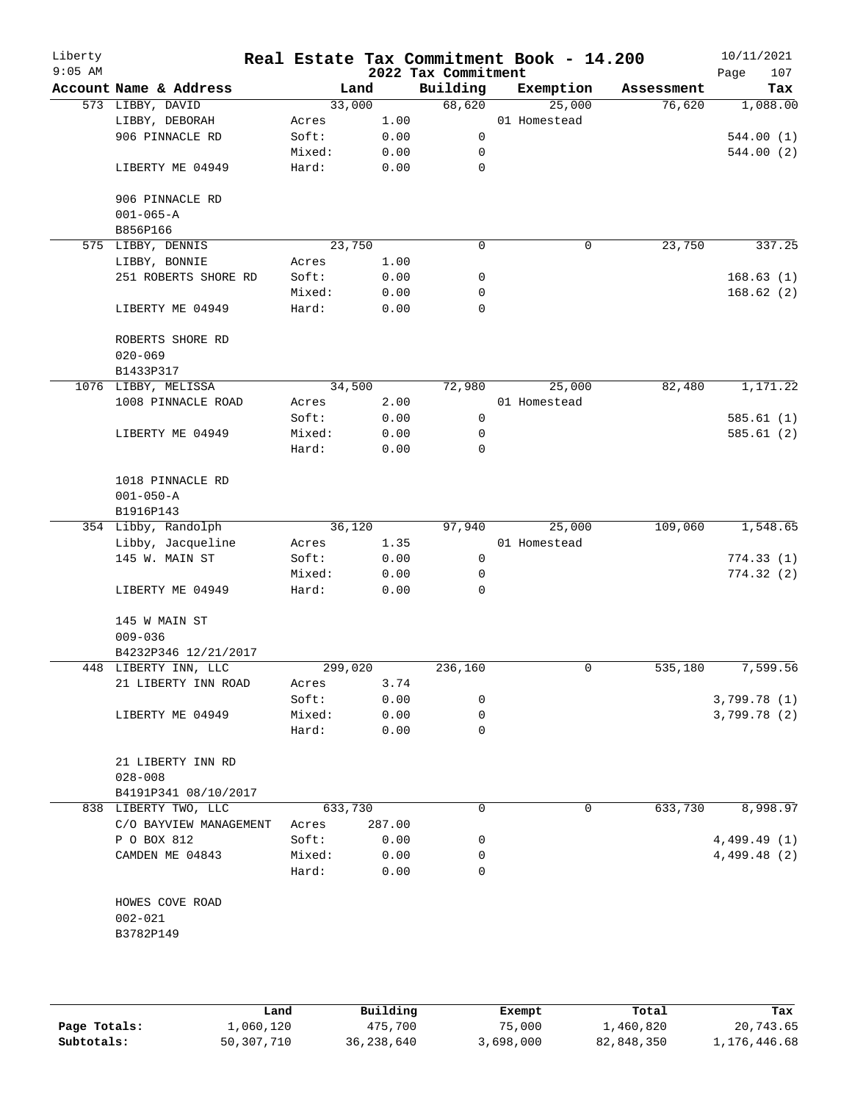| Liberty<br>$9:05$ AM |                                |        |         | 2022 Tax Commitment | Real Estate Tax Commitment Book - 14.200 |            | 10/11/2021<br>Page<br>107 |
|----------------------|--------------------------------|--------|---------|---------------------|------------------------------------------|------------|---------------------------|
|                      | Account Name & Address         |        | Land    | Building            | Exemption                                | Assessment | Tax                       |
|                      | 573 LIBBY, DAVID               |        | 33,000  | 68,620              | 25,000                                   | 76,620     | 1,088.00                  |
|                      | LIBBY, DEBORAH                 | Acres  | 1.00    |                     | 01 Homestead                             |            |                           |
|                      | 906 PINNACLE RD                | Soft:  | 0.00    | $\mathsf{O}$        |                                          |            | 544.00(1)                 |
|                      |                                | Mixed: | 0.00    | 0                   |                                          |            | 544.00 (2)                |
|                      | LIBERTY ME 04949               | Hard:  | 0.00    | 0                   |                                          |            |                           |
|                      | 906 PINNACLE RD                |        |         |                     |                                          |            |                           |
|                      | $001 - 065 - A$<br>B856P166    |        |         |                     |                                          |            |                           |
|                      | 575 LIBBY, DENNIS              |        | 23,750  | $\mathbf 0$         | 0                                        | 23,750     | 337.25                    |
|                      | LIBBY, BONNIE                  | Acres  | 1.00    |                     |                                          |            |                           |
|                      | 251 ROBERTS SHORE RD           | Soft:  | 0.00    | 0                   |                                          |            | 168.63(1)                 |
|                      |                                | Mixed: | 0.00    | 0                   |                                          |            | 168.62(2)                 |
|                      | LIBERTY ME 04949               | Hard:  | 0.00    | $\mathbf 0$         |                                          |            |                           |
|                      | ROBERTS SHORE RD               |        |         |                     |                                          |            |                           |
|                      | $020 - 069$                    |        |         |                     |                                          |            |                           |
|                      | B1433P317                      |        |         |                     |                                          |            |                           |
|                      | 1076 LIBBY, MELISSA            |        | 34,500  | 72,980              | 25,000                                   | 82,480     | 1,171.22                  |
|                      | 1008 PINNACLE ROAD             | Acres  | 2.00    |                     | 01 Homestead                             |            |                           |
|                      |                                | Soft:  | 0.00    | 0                   |                                          |            | 585.61(1)                 |
|                      | LIBERTY ME 04949               | Mixed: | 0.00    | 0                   |                                          |            | 585.61 (2)                |
|                      |                                | Hard:  | 0.00    | $\mathbf 0$         |                                          |            |                           |
|                      | 1018 PINNACLE RD               |        |         |                     |                                          |            |                           |
|                      | $001 - 050 - A$                |        |         |                     |                                          |            |                           |
|                      | B1916P143                      |        |         |                     |                                          |            |                           |
|                      | 354 Libby, Randolph            |        | 36,120  | 97,940              | 25,000                                   | 109,060    | 1,548.65                  |
|                      | Libby, Jacqueline              | Acres  | 1.35    |                     | 01 Homestead                             |            |                           |
|                      | 145 W. MAIN ST                 | Soft:  | 0.00    | $\mathbf 0$         |                                          |            | 774.33(1)                 |
|                      |                                | Mixed: | 0.00    | 0                   |                                          |            | 774.32(2)                 |
|                      | LIBERTY ME 04949               | Hard:  | 0.00    | 0                   |                                          |            |                           |
|                      | 145 W MAIN ST                  |        |         |                     |                                          |            |                           |
|                      | $009 - 036$                    |        |         |                     |                                          |            |                           |
|                      | B4232P346 12/21/2017           |        |         |                     |                                          |            |                           |
|                      | 448 LIBERTY INN, LLC           |        | 299,020 | 236,160             | 0                                        | 535,180    | 7,599.56                  |
|                      | 21 LIBERTY INN ROAD            | Acres  | 3.74    |                     |                                          |            |                           |
|                      |                                | Soft:  | 0.00    | 0                   |                                          |            | 3,799.78(1)               |
|                      | LIBERTY ME 04949               | Mixed: | 0.00    | 0                   |                                          |            | 3,799.78 (2)              |
|                      |                                | Hard:  | 0.00    | 0                   |                                          |            |                           |
|                      | 21 LIBERTY INN RD              |        |         |                     |                                          |            |                           |
|                      | $028 - 008$                    |        |         |                     |                                          |            |                           |
|                      | B4191P341 08/10/2017           |        |         |                     |                                          |            |                           |
|                      | 838 LIBERTY TWO, LLC           |        | 633,730 | 0                   | 0                                        | 633,730    | 8,998.97                  |
|                      | C/O BAYVIEW MANAGEMENT         | Acres  | 287.00  |                     |                                          |            |                           |
|                      | P O BOX 812                    | Soft:  | 0.00    | 0                   |                                          |            | 4,499.49(1)               |
|                      | CAMDEN ME 04843                | Mixed: | 0.00    | 0                   |                                          |            | 4,499.48(2)               |
|                      |                                | Hard:  | 0.00    | 0                   |                                          |            |                           |
|                      | HOWES COVE ROAD<br>$002 - 021$ |        |         |                     |                                          |            |                           |
|                      | B3782P149                      |        |         |                     |                                          |            |                           |
|                      |                                |        |         |                     |                                          |            |                           |

**Page Totals:** 1,060,120 <br>**475,700** 75,000 1,460,820 20,743.65<br>**50,307,710** 36,238,640 3,698,000 82,848,350 1,176,446.68 **Subtotals:** 50,307,710 36,238,640 3,698,000 82,848,350 1,176,446.68 **Land Building Exempt Total Tax**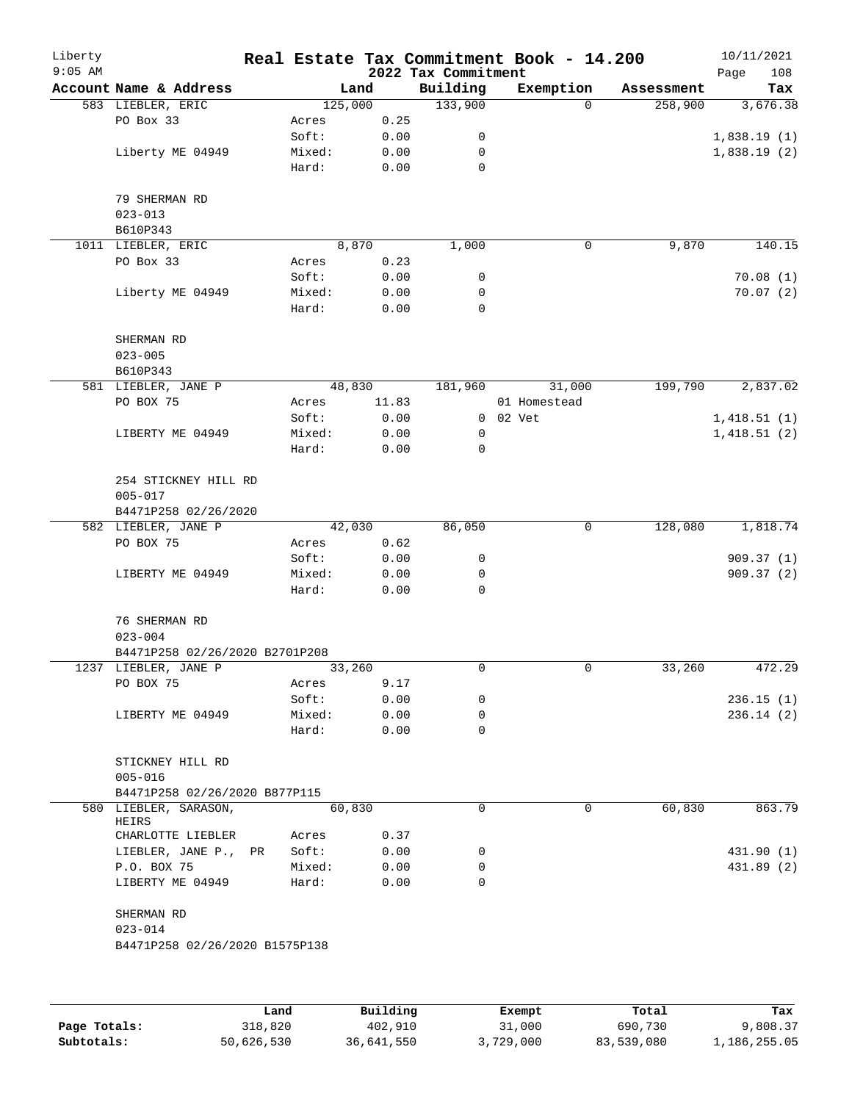| Liberty<br>$9:05$ AM |                                |         |       | 2022 Tax Commitment | Real Estate Tax Commitment Book - 14.200 |            | 10/11/2021<br>Page<br>108 |
|----------------------|--------------------------------|---------|-------|---------------------|------------------------------------------|------------|---------------------------|
|                      | Account Name & Address         | Land    |       | Building            | Exemption                                | Assessment | Tax                       |
|                      | 583 LIEBLER, ERIC              | 125,000 |       | 133,900             | $\Omega$                                 | 258,900    | 3,676.38                  |
|                      | PO Box 33                      | Acres   | 0.25  |                     |                                          |            |                           |
|                      |                                | Soft:   | 0.00  | 0                   |                                          |            | 1,838.19(1)               |
|                      | Liberty ME 04949               | Mixed:  | 0.00  | 0                   |                                          |            | 1,838.19(2)               |
|                      |                                | Hard:   | 0.00  | 0                   |                                          |            |                           |
|                      | 79 SHERMAN RD                  |         |       |                     |                                          |            |                           |
|                      | $023 - 013$                    |         |       |                     |                                          |            |                           |
|                      | B610P343                       |         |       |                     |                                          |            |                           |
|                      | 1011 LIEBLER, ERIC             | 8,870   |       | 1,000               | $\mathsf{O}$                             | 9,870      | 140.15                    |
|                      | PO Box 33                      | Acres   | 0.23  |                     |                                          |            |                           |
|                      |                                | Soft:   | 0.00  | 0                   |                                          |            | 70.08(1)                  |
|                      | Liberty ME 04949               | Mixed:  | 0.00  | 0                   |                                          |            | 70.07(2)                  |
|                      |                                | Hard:   | 0.00  | 0                   |                                          |            |                           |
|                      | SHERMAN RD                     |         |       |                     |                                          |            |                           |
|                      | $023 - 005$                    |         |       |                     |                                          |            |                           |
|                      | B610P343                       |         |       |                     |                                          |            |                           |
|                      | 581 LIEBLER, JANE P            | 48,830  |       | 181,960             | 31,000                                   | 199,790    | 2,837.02                  |
|                      | PO BOX 75                      | Acres   | 11.83 |                     | 01 Homestead                             |            |                           |
|                      |                                | Soft:   | 0.00  |                     | 0 02 Vet                                 |            | 1,418.51(1)               |
|                      | LIBERTY ME 04949               | Mixed:  | 0.00  | 0                   |                                          |            | 1,418.51(2)               |
|                      |                                | Hard:   | 0.00  | 0                   |                                          |            |                           |
|                      | 254 STICKNEY HILL RD           |         |       |                     |                                          |            |                           |
|                      | $005 - 017$                    |         |       |                     |                                          |            |                           |
|                      | B4471P258 02/26/2020           |         |       |                     |                                          |            |                           |
|                      | 582 LIEBLER, JANE P            | 42,030  |       | 86,050              | 0                                        | 128,080    | 1,818.74                  |
|                      | PO BOX 75                      | Acres   | 0.62  |                     |                                          |            |                           |
|                      |                                | Soft:   | 0.00  | 0                   |                                          |            | 909.37(1)                 |
|                      | LIBERTY ME 04949               | Mixed:  | 0.00  | 0                   |                                          |            | 909.37(2)                 |
|                      |                                | Hard:   | 0.00  | 0                   |                                          |            |                           |
|                      | 76 SHERMAN RD                  |         |       |                     |                                          |            |                           |
|                      | $023 - 004$                    |         |       |                     |                                          |            |                           |
|                      | B4471P258 02/26/2020 B2701P208 |         |       |                     |                                          |            |                           |
|                      | 1237 LIEBLER, JANE P           | 33,260  |       | 0                   | 0                                        | 33,260     | 472.29                    |
|                      | PO BOX 75                      | Acres   | 9.17  |                     |                                          |            |                           |
|                      |                                | Soft:   | 0.00  | 0                   |                                          |            | 236.15(1)                 |
|                      | LIBERTY ME 04949               | Mixed:  | 0.00  | 0                   |                                          |            | 236.14(2)                 |
|                      |                                | Hard:   | 0.00  | 0                   |                                          |            |                           |
|                      | STICKNEY HILL RD               |         |       |                     |                                          |            |                           |
|                      | $005 - 016$                    |         |       |                     |                                          |            |                           |
|                      | B4471P258 02/26/2020 B877P115  |         |       |                     |                                          |            |                           |
|                      | 580 LIEBLER, SARASON,<br>HEIRS | 60,830  |       | $\Omega$            | 0                                        | 60,830     | 863.79                    |
|                      | CHARLOTTE LIEBLER              | Acres   | 0.37  |                     |                                          |            |                           |
|                      | LIEBLER, JANE P., PR           | Soft:   | 0.00  | 0                   |                                          |            | 431.90 (1)                |
|                      | P.O. BOX 75                    | Mixed:  | 0.00  | 0                   |                                          |            | 431.89 (2)                |
|                      | LIBERTY ME 04949               | Hard:   | 0.00  | $\Omega$            |                                          |            |                           |
|                      | SHERMAN RD                     |         |       |                     |                                          |            |                           |
|                      | $023 - 014$                    |         |       |                     |                                          |            |                           |
|                      | B4471P258 02/26/2020 B1575P138 |         |       |                     |                                          |            |                           |
|                      |                                |         |       |                     |                                          |            |                           |
|                      |                                |         |       |                     |                                          |            |                           |
|                      |                                |         |       |                     |                                          |            |                           |

|              | Land       | Building   | Exempt    | Total      | Tax          |
|--------------|------------|------------|-----------|------------|--------------|
| Page Totals: | 318,820    | 402,910    | 31,000    | 690,730    | 9,808.37     |
| Subtotals:   | 50,626,530 | 36,641,550 | 3,729,000 | 83,539,080 | 1,186,255.05 |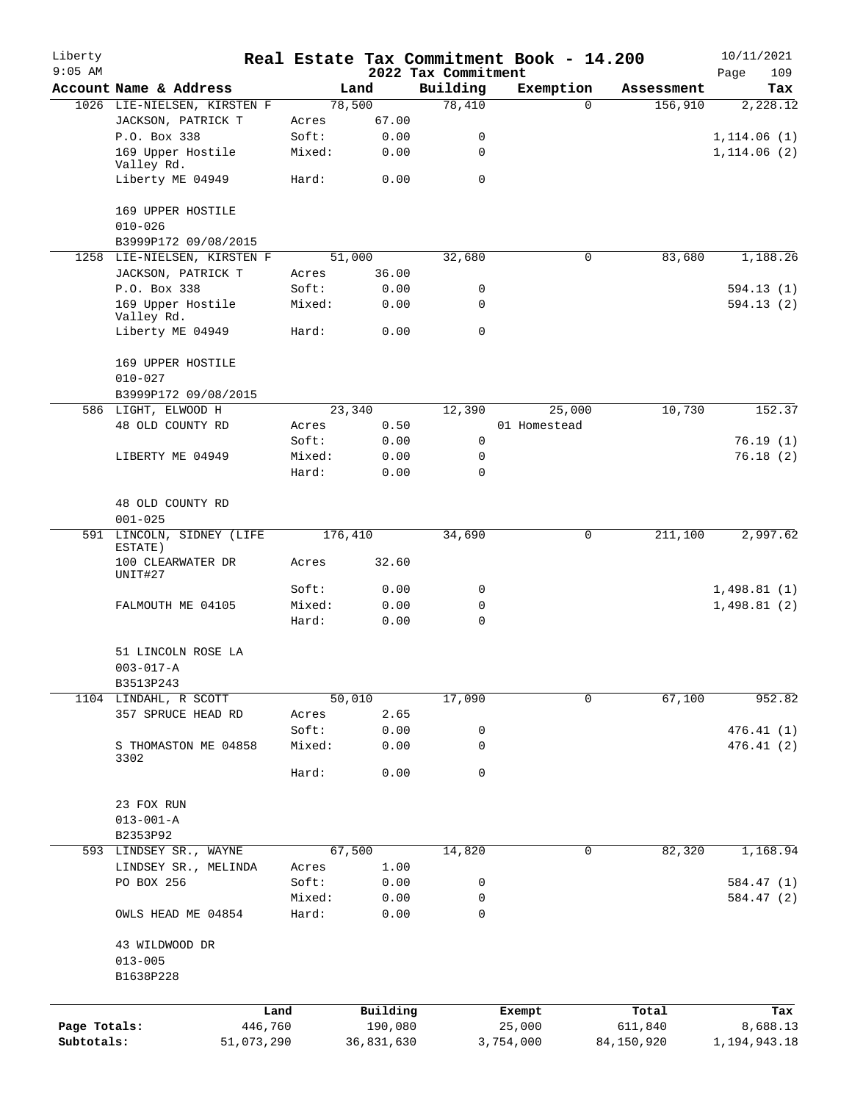| Liberty<br>$9:05$ AM |                                      |         |            | 2022 Tax Commitment | Real Estate Tax Commitment Book - 14.200 |            | 10/11/2021<br>109<br>Page |
|----------------------|--------------------------------------|---------|------------|---------------------|------------------------------------------|------------|---------------------------|
|                      | Account Name & Address               |         | Land       | Building            | Exemption                                | Assessment | Tax                       |
|                      | 1026 LIE-NIELSEN, KIRSTEN F          |         | 78,500     | 78,410              | $\Omega$                                 | 156,910    | 2,228.12                  |
|                      | JACKSON, PATRICK T                   | Acres   | 67.00      |                     |                                          |            |                           |
|                      | P.O. Box 338                         | Soft:   | 0.00       | 0                   |                                          |            | 1, 114.06(1)              |
|                      | 169 Upper Hostile                    | Mixed:  | 0.00       | 0                   |                                          |            | 1, 114.06(2)              |
|                      | Valley Rd.<br>Liberty ME 04949       | Hard:   | 0.00       | 0                   |                                          |            |                           |
|                      |                                      |         |            |                     |                                          |            |                           |
|                      | 169 UPPER HOSTILE<br>$010 - 026$     |         |            |                     |                                          |            |                           |
|                      | B3999P172 09/08/2015                 |         |            |                     |                                          |            |                           |
|                      | 1258 LIE-NIELSEN, KIRSTEN F          |         | 51,000     | 32,680              | 0                                        | 83,680     | 1,188.26                  |
|                      | JACKSON, PATRICK T                   | Acres   | 36.00      |                     |                                          |            |                           |
|                      | P.O. Box 338                         | Soft:   | 0.00       | 0                   |                                          |            | 594.13(1)                 |
|                      | 169 Upper Hostile<br>Valley Rd.      | Mixed:  | 0.00       | 0                   |                                          |            | 594.13(2)                 |
|                      | Liberty ME 04949                     | Hard:   | 0.00       | $\mathbf 0$         |                                          |            |                           |
|                      | 169 UPPER HOSTILE                    |         |            |                     |                                          |            |                           |
|                      | $010 - 027$                          |         |            |                     |                                          |            |                           |
|                      | B3999P172 09/08/2015                 |         |            |                     |                                          |            |                           |
|                      | 586 LIGHT, ELWOOD H                  |         | 23,340     | 12,390              | 25,000                                   | 10,730     | 152.37                    |
|                      | 48 OLD COUNTY RD                     | Acres   | 0.50       |                     | 01 Homestead                             |            |                           |
|                      |                                      | Soft:   | 0.00       | $\mathbf 0$         |                                          |            | 76.19(1)                  |
|                      | LIBERTY ME 04949                     | Mixed:  | 0.00       | $\mathbf 0$         |                                          |            | 76.18(2)                  |
|                      |                                      | Hard:   | 0.00       | $\Omega$            |                                          |            |                           |
|                      |                                      |         |            |                     |                                          |            |                           |
|                      | 48 OLD COUNTY RD                     |         |            |                     |                                          |            |                           |
|                      |                                      |         |            |                     |                                          |            |                           |
|                      | $001 - 025$                          |         |            |                     |                                          |            |                           |
|                      | 591 LINCOLN, SIDNEY (LIFE<br>ESTATE) |         | 176,410    | 34,690              | $\mathbf 0$                              | 211,100    | 2,997.62                  |
|                      | 100 CLEARWATER DR                    | Acres   | 32.60      |                     |                                          |            |                           |
|                      | UNIT#27                              | Soft:   | 0.00       | 0                   |                                          |            | 1,498.81(1)               |
|                      | FALMOUTH ME 04105                    | Mixed:  | 0.00       | 0                   |                                          |            | 1,498.81(2)               |
|                      |                                      | Hard:   | 0.00       | 0                   |                                          |            |                           |
|                      |                                      |         |            |                     |                                          |            |                           |
|                      | 51 LINCOLN ROSE LA                   |         |            |                     |                                          |            |                           |
|                      | $003 - 017 - A$                      |         |            |                     |                                          |            |                           |
|                      | B3513P243                            |         |            |                     |                                          |            |                           |
|                      |                                      |         |            |                     | $\Omega$                                 | 67,100     | 952.82                    |
|                      | 1104 LINDAHL, R SCOTT                |         | 50,010     | 17,090              |                                          |            |                           |
|                      | 357 SPRUCE HEAD RD                   | Acres   | 2.65       |                     |                                          |            |                           |
|                      |                                      | Soft:   | 0.00       | 0                   |                                          |            | 476.41(1)                 |
|                      | S THOMASTON ME 04858<br>3302         | Mixed:  | 0.00       | 0                   |                                          |            | 476.41(2)                 |
|                      |                                      | Hard:   | 0.00       | 0                   |                                          |            |                           |
|                      | 23 FOX RUN                           |         |            |                     |                                          |            |                           |
|                      | $013 - 001 - A$                      |         |            |                     |                                          |            |                           |
|                      | B2353P92                             |         |            |                     |                                          |            |                           |
|                      | 593 LINDSEY SR., WAYNE               |         | 67,500     | 14,820              | 0                                        | 82,320     | 1,168.94                  |
|                      | LINDSEY SR., MELINDA                 | Acres   | 1.00       |                     |                                          |            |                           |
|                      | PO BOX 256                           | Soft:   | 0.00       | 0                   |                                          |            | 584.47 (1)                |
|                      |                                      | Mixed:  | 0.00       | 0                   |                                          |            | 584.47 (2)                |
|                      | OWLS HEAD ME 04854                   | Hard:   | 0.00       | 0                   |                                          |            |                           |
|                      | 43 WILDWOOD DR                       |         |            |                     |                                          |            |                           |
|                      | $013 - 005$                          |         |            |                     |                                          |            |                           |
|                      | B1638P228                            |         |            |                     |                                          |            |                           |
|                      |                                      | Land    | Building   |                     | Exempt                                   | Total      | Tax                       |
| Page Totals:         |                                      | 446,760 | 190,080    |                     | 25,000                                   | 611,840    | 8,688.13                  |
| Subtotals:           | 51,073,290                           |         | 36,831,630 |                     | 3,754,000                                | 84,150,920 | 1,194,943.18              |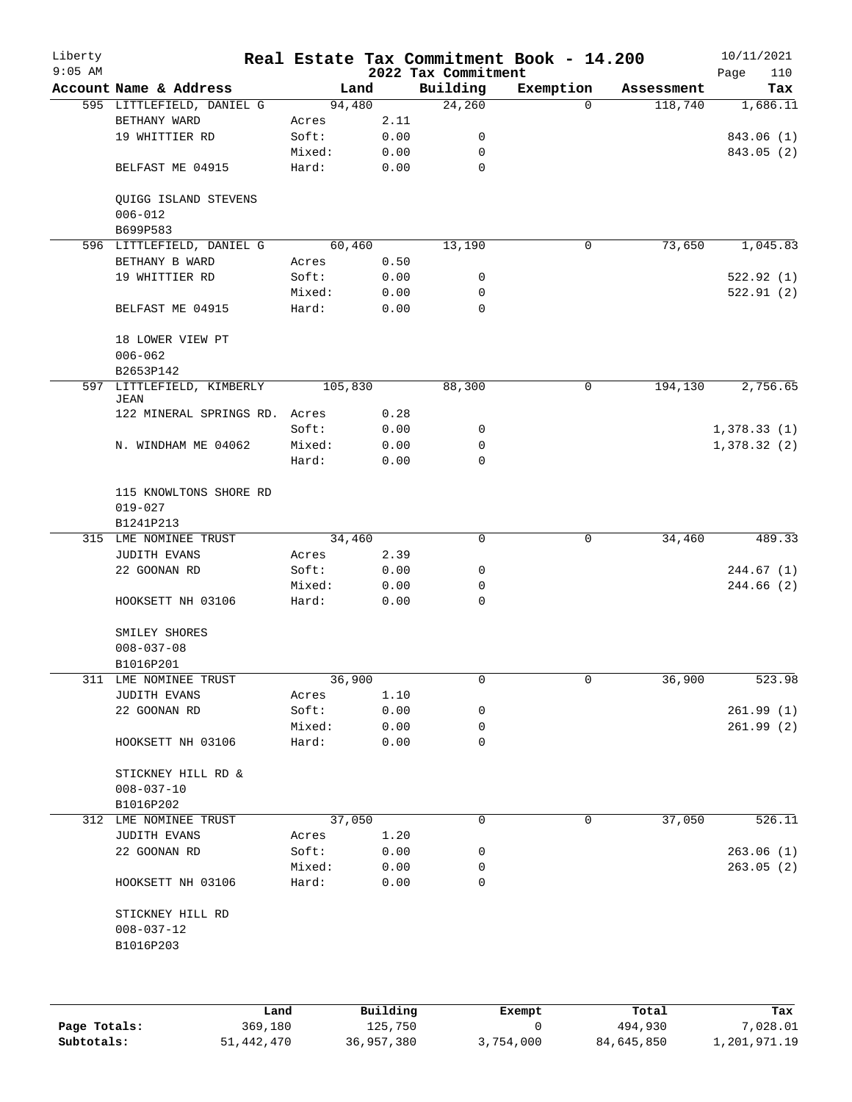| Liberty<br>$9:05$ AM |                                       |         |      | 2022 Tax Commitment | Real Estate Tax Commitment Book - 14.200 |            | 10/11/2021<br>Page<br>110 |
|----------------------|---------------------------------------|---------|------|---------------------|------------------------------------------|------------|---------------------------|
|                      | Account Name & Address                | Land    |      | Building            | Exemption                                | Assessment | Tax                       |
|                      | 595 LITTLEFIELD, DANIEL G             | 94,480  |      | 24,260              | $\Omega$                                 | 118,740    | 1,686.11                  |
|                      | BETHANY WARD                          | Acres   | 2.11 |                     |                                          |            |                           |
|                      | 19 WHITTIER RD                        | Soft:   | 0.00 | 0                   |                                          |            | 843.06 (1)                |
|                      |                                       | Mixed:  | 0.00 | 0                   |                                          |            | 843.05 (2)                |
|                      | BELFAST ME 04915                      | Hard:   | 0.00 | $\mathbf 0$         |                                          |            |                           |
|                      | QUIGG ISLAND STEVENS                  |         |      |                     |                                          |            |                           |
|                      | $006 - 012$<br>B699P583               |         |      |                     |                                          |            |                           |
|                      | 596 LITTLEFIELD, DANIEL G             | 60,460  |      | 13,190              | $\mathsf{O}$                             | 73,650     | 1,045.83                  |
|                      | BETHANY B WARD                        |         | 0.50 |                     |                                          |            |                           |
|                      |                                       | Acres   |      |                     |                                          |            |                           |
|                      | 19 WHITTIER RD                        | Soft:   | 0.00 | 0                   |                                          |            | 522.92(1)                 |
|                      |                                       | Mixed:  | 0.00 | 0                   |                                          |            | 522.91(2)                 |
|                      | BELFAST ME 04915                      | Hard:   | 0.00 | 0                   |                                          |            |                           |
|                      | 18 LOWER VIEW PT                      |         |      |                     |                                          |            |                           |
|                      | $006 - 062$                           |         |      |                     |                                          |            |                           |
|                      | B2653P142                             |         |      |                     |                                          |            |                           |
|                      | 597 LITTLEFIELD, KIMBERLY<br>JEAN     | 105,830 |      | 88,300              | 0                                        | 194,130    | 2,756.65                  |
|                      | 122 MINERAL SPRINGS RD. Acres         |         | 0.28 |                     |                                          |            |                           |
|                      |                                       | Soft:   | 0.00 | 0                   |                                          |            | 1,378.33(1)               |
|                      | N. WINDHAM ME 04062                   | Mixed:  | 0.00 | 0                   |                                          |            | 1,378.32(2)               |
|                      |                                       | Hard:   | 0.00 | $\Omega$            |                                          |            |                           |
|                      | 115 KNOWLTONS SHORE RD<br>$019 - 027$ |         |      |                     |                                          |            |                           |
|                      | B1241P213                             |         |      |                     |                                          |            |                           |
|                      | 315 LME NOMINEE TRUST                 | 34,460  |      | 0                   | 0                                        | 34,460     | 489.33                    |
|                      | JUDITH EVANS                          | Acres   | 2.39 |                     |                                          |            |                           |
|                      | 22 GOONAN RD                          | Soft:   | 0.00 | 0                   |                                          |            | 244.67 (1)                |
|                      |                                       | Mixed:  | 0.00 | 0                   |                                          |            | 244.66 (2)                |
|                      | HOOKSETT NH 03106                     | Hard:   | 0.00 | $\mathbf 0$         |                                          |            |                           |
|                      | SMILEY SHORES                         |         |      |                     |                                          |            |                           |
|                      | $008 - 037 - 08$                      |         |      |                     |                                          |            |                           |
|                      | B1016P201                             |         |      |                     |                                          |            |                           |
|                      | 311 LME NOMINEE TRUST                 | 36,900  |      | 0                   | 0                                        | 36,900     | 523.98                    |
|                      | <b>JUDITH EVANS</b>                   | Acres   | 1.10 |                     |                                          |            |                           |
|                      | 22 GOONAN RD                          | Soft:   | 0.00 | 0                   |                                          |            | 261.99(1)                 |
|                      |                                       | Mixed:  | 0.00 | 0                   |                                          |            | 261.99(2)                 |
|                      | HOOKSETT NH 03106                     | Hard:   | 0.00 | 0                   |                                          |            |                           |
|                      | STICKNEY HILL RD &                    |         |      |                     |                                          |            |                           |
|                      | $008 - 037 - 10$                      |         |      |                     |                                          |            |                           |
|                      | B1016P202                             |         |      |                     |                                          |            |                           |
|                      | 312 LME NOMINEE TRUST                 | 37,050  |      | 0                   | 0                                        | 37,050     | 526.11                    |
|                      | <b>JUDITH EVANS</b>                   | Acres   | 1.20 |                     |                                          |            |                           |
|                      | 22 GOONAN RD                          | Soft:   | 0.00 | 0                   |                                          |            | 263.06(1)                 |
|                      |                                       | Mixed:  | 0.00 | 0                   |                                          |            | 263.05(2)                 |
|                      | HOOKSETT NH 03106                     | Hard:   | 0.00 | 0                   |                                          |            |                           |
|                      | STICKNEY HILL RD                      |         |      |                     |                                          |            |                           |
|                      | $008 - 037 - 12$<br>B1016P203         |         |      |                     |                                          |            |                           |
|                      |                                       |         |      |                     |                                          |            |                           |
|                      |                                       |         |      |                     |                                          |            |                           |
|                      |                                       |         |      |                     |                                          |            |                           |

|              | Land       | Building   | Exempt    | Total      | Tax          |
|--------------|------------|------------|-----------|------------|--------------|
| Page Totals: | 369,180    | 125,750    |           | 494,930    | 7,028.01     |
| Subtotals:   | 51,442,470 | 36,957,380 | 3,754,000 | 84,645,850 | 1,201,971.19 |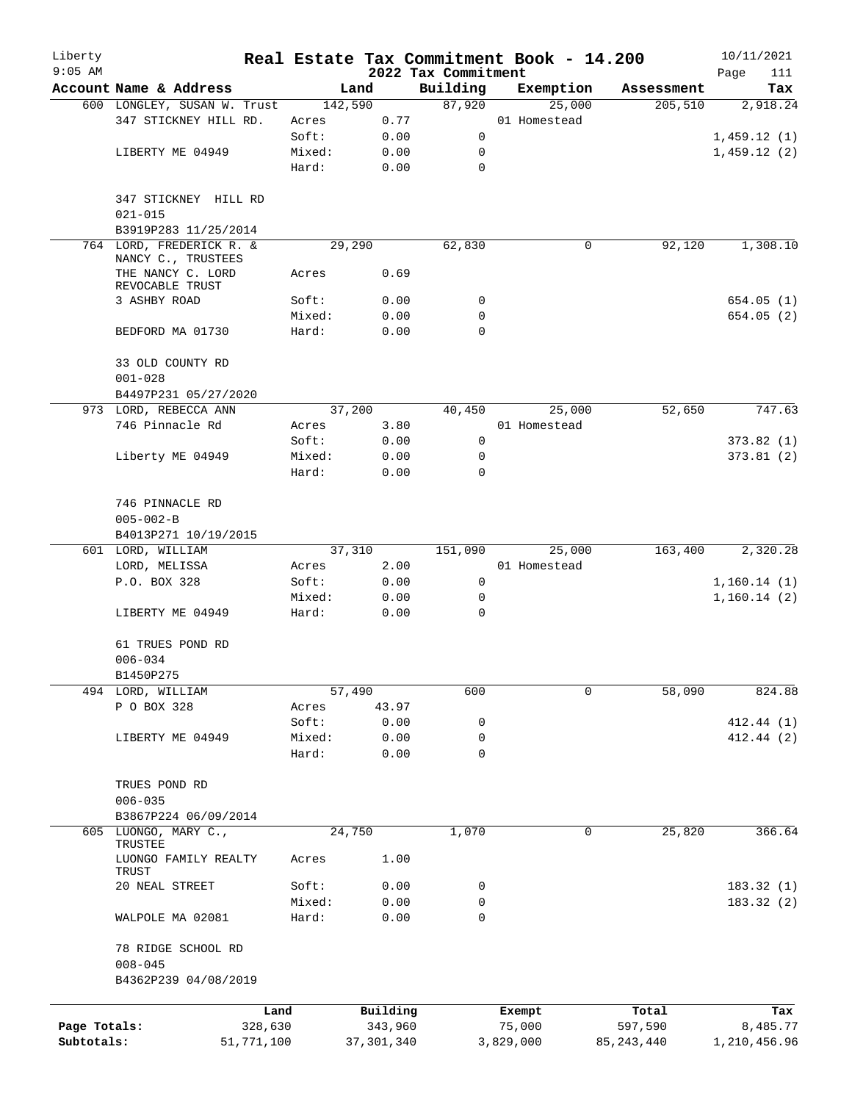| Liberty<br>$9:05$ AM |                                                |            |                 |              | 2022 Tax Commitment | Real Estate Tax Commitment Book - 14.200 |              | 10/11/2021<br>Page<br>111 |
|----------------------|------------------------------------------------|------------|-----------------|--------------|---------------------|------------------------------------------|--------------|---------------------------|
|                      | Account Name & Address                         |            |                 | Land         | Building            | Exemption                                | Assessment   | Tax                       |
|                      | 600 LONGLEY, SUSAN W. Trust                    |            |                 | 142,590      | 87,920              | 25,000                                   | 205,510      | 2,918.24                  |
|                      | 347 STICKNEY HILL RD.                          |            | Acres           | 0.77         |                     | 01 Homestead                             |              |                           |
|                      |                                                |            | Soft:           | 0.00         | $\mathsf{O}$        |                                          |              | 1,459.12(1)               |
|                      | LIBERTY ME 04949                               |            | Mixed:          | 0.00         | 0                   |                                          |              | 1,459.12(2)               |
|                      |                                                |            | Hard:           | 0.00         | $\mathbf 0$         |                                          |              |                           |
|                      | 347 STICKNEY HILL RD<br>$021 - 015$            |            |                 |              |                     |                                          |              |                           |
|                      | B3919P283 11/25/2014                           |            |                 |              |                     |                                          |              |                           |
|                      | 764 LORD, FREDERICK R. &<br>NANCY C., TRUSTEES |            |                 | 29,290       | 62,830              | 0                                        | 92,120       | 1,308.10                  |
|                      | THE NANCY C. LORD<br>REVOCABLE TRUST           |            | Acres           | 0.69         |                     |                                          |              |                           |
|                      | 3 ASHBY ROAD                                   |            | Soft:           | 0.00         | 0                   |                                          |              | 654.05(1)                 |
|                      |                                                |            | Mixed:          | 0.00         | 0                   |                                          |              | 654.05(2)                 |
|                      | BEDFORD MA 01730                               |            | Hard:           | 0.00         | $\mathbf 0$         |                                          |              |                           |
|                      | 33 OLD COUNTY RD                               |            |                 |              |                     |                                          |              |                           |
|                      | $001 - 028$                                    |            |                 |              |                     |                                          |              |                           |
|                      | B4497P231 05/27/2020                           |            |                 |              |                     |                                          |              |                           |
|                      | 973 LORD, REBECCA ANN                          |            |                 | 37,200       | 40,450              | 25,000                                   | 52,650       | 747.63                    |
|                      | 746 Pinnacle Rd                                |            | Acres           | 3.80         |                     | 01 Homestead                             |              |                           |
|                      |                                                |            | Soft:           | 0.00         | 0                   |                                          |              | 373.82(1)                 |
|                      | Liberty ME 04949                               |            | Mixed:<br>Hard: | 0.00<br>0.00 | 0<br>$\mathbf 0$    |                                          |              | 373.81(2)                 |
|                      |                                                |            |                 |              |                     |                                          |              |                           |
|                      | 746 PINNACLE RD                                |            |                 |              |                     |                                          |              |                           |
|                      | $005 - 002 - B$<br>B4013P271 10/19/2015        |            |                 |              |                     |                                          |              |                           |
|                      | 601 LORD, WILLIAM                              |            |                 | 37,310       | 151,090             | 25,000                                   | 163,400      | 2,320.28                  |
|                      | LORD, MELISSA                                  |            | Acres           | 2.00         |                     | 01 Homestead                             |              |                           |
|                      | P.O. BOX 328                                   |            | Soft:           | 0.00         | 0                   |                                          |              | 1,160.14(1)               |
|                      |                                                |            | Mixed:          | 0.00         | 0                   |                                          |              | 1,160.14(2)               |
|                      | LIBERTY ME 04949                               |            | Hard:           | 0.00         | $\mathbf 0$         |                                          |              |                           |
|                      | 61 TRUES POND RD                               |            |                 |              |                     |                                          |              |                           |
|                      | $006 - 034$                                    |            |                 |              |                     |                                          |              |                           |
|                      | B1450P275                                      |            |                 |              |                     |                                          |              |                           |
|                      | 494 LORD, WILLIAM                              |            |                 | 57,490       | 600                 | 0                                        | 58,090       | 824.88                    |
|                      | P O BOX 328                                    |            | Acres           | 43.97        |                     |                                          |              |                           |
|                      |                                                |            | Soft:           | 0.00         | 0                   |                                          |              | 412.44 (1)                |
|                      | LIBERTY ME 04949                               |            | Mixed:          | 0.00         | 0                   |                                          |              | 412.44(2)                 |
|                      |                                                |            | Hard:           | 0.00         | 0                   |                                          |              |                           |
|                      | TRUES POND RD                                  |            |                 |              |                     |                                          |              |                           |
|                      | $006 - 035$                                    |            |                 |              |                     |                                          |              |                           |
|                      | B3867P224 06/09/2014                           |            |                 |              |                     |                                          |              |                           |
|                      | 605 LUONGO, MARY C.,<br>TRUSTEE                |            |                 | 24,750       | 1,070               | 0                                        | 25,820       | 366.64                    |
|                      | LUONGO FAMILY REALTY<br>TRUST                  |            | Acres           | 1.00         |                     |                                          |              |                           |
|                      | 20 NEAL STREET                                 |            | Soft:           | 0.00         | 0                   |                                          |              | 183.32(1)                 |
|                      |                                                |            | Mixed:          | 0.00         | 0                   |                                          |              | 183.32(2)                 |
|                      | WALPOLE MA 02081                               |            | Hard:           | 0.00         | $\mathbf 0$         |                                          |              |                           |
|                      | 78 RIDGE SCHOOL RD<br>$008 - 045$              |            |                 |              |                     |                                          |              |                           |
|                      | B4362P239 04/08/2019                           |            |                 |              |                     |                                          |              |                           |
|                      |                                                | Land       |                 | Building     |                     | Exempt                                   | Total        | Tax                       |
| Page Totals:         |                                                | 328,630    |                 | 343,960      |                     | 75,000                                   | 597,590      | 8,485.77                  |
| Subtotals:           |                                                | 51,771,100 |                 | 37, 301, 340 |                     | 3,829,000                                | 85, 243, 440 | 1,210,456.96              |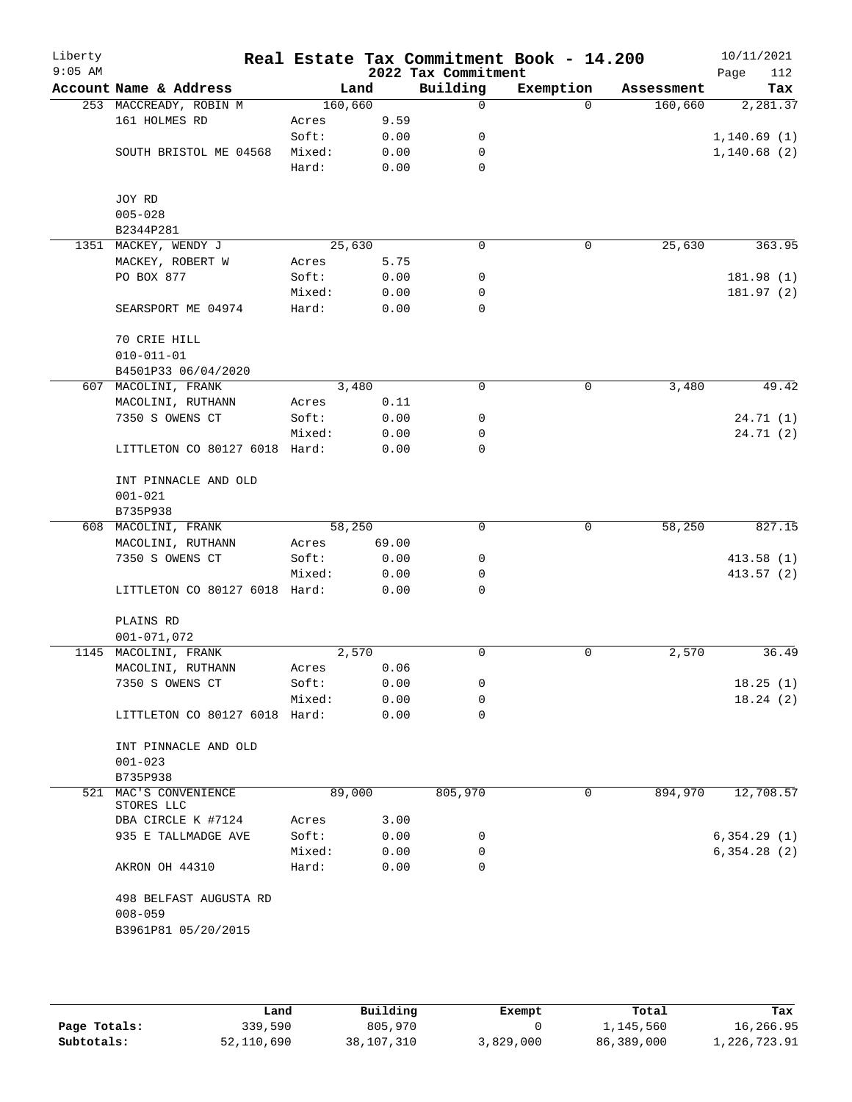| Liberty<br>$9:05$ AM |                                     |         |       | 2022 Tax Commitment | Real Estate Tax Commitment Book - 14.200 |            | 10/11/2021<br>112<br>Page |
|----------------------|-------------------------------------|---------|-------|---------------------|------------------------------------------|------------|---------------------------|
|                      | Account Name & Address              | Land    |       | Building            | Exemption                                | Assessment | Tax                       |
|                      | 253 MACCREADY, ROBIN M              | 160,660 |       | $\mathbf 0$         | $\Omega$                                 | 160,660    | 2,281.37                  |
|                      | 161 HOLMES RD                       | Acres   | 9.59  |                     |                                          |            |                           |
|                      |                                     | Soft:   | 0.00  | 0                   |                                          |            | 1, 140.69(1)              |
|                      | SOUTH BRISTOL ME 04568              | Mixed:  | 0.00  | 0                   |                                          |            | 1,140.68(2)               |
|                      |                                     | Hard:   | 0.00  | 0                   |                                          |            |                           |
|                      | JOY RD                              |         |       |                     |                                          |            |                           |
|                      | $005 - 028$                         |         |       |                     |                                          |            |                           |
|                      | B2344P281                           |         |       |                     |                                          |            |                           |
|                      | 1351 MACKEY, WENDY J                | 25,630  |       | $\mathbf 0$         | $\mathbf 0$                              | 25,630     | 363.95                    |
|                      | MACKEY, ROBERT W                    | Acres   | 5.75  |                     |                                          |            |                           |
|                      | PO BOX 877                          | Soft:   | 0.00  | 0                   |                                          |            | 181.98 (1)                |
|                      |                                     | Mixed:  | 0.00  | 0                   |                                          |            | 181.97(2)                 |
|                      | SEARSPORT ME 04974                  | Hard:   | 0.00  | $\mathbf 0$         |                                          |            |                           |
|                      | 70 CRIE HILL                        |         |       |                     |                                          |            |                           |
|                      | $010 - 011 - 01$                    |         |       |                     |                                          |            |                           |
|                      | B4501P33 06/04/2020                 |         |       |                     |                                          |            |                           |
|                      | 607 MACOLINI, FRANK                 | 3,480   |       | 0                   | $\mathbf 0$                              | 3,480      | 49.42                     |
|                      | MACOLINI, RUTHANN                   | Acres   | 0.11  |                     |                                          |            |                           |
|                      | 7350 S OWENS CT                     | Soft:   | 0.00  | 0                   |                                          |            | 24.71(1)                  |
|                      |                                     | Mixed:  | 0.00  | 0                   |                                          |            | 24.71(2)                  |
|                      | LITTLETON CO 80127 6018 Hard:       |         | 0.00  | $\mathbf 0$         |                                          |            |                           |
|                      | INT PINNACLE AND OLD                |         |       |                     |                                          |            |                           |
|                      | $001 - 021$                         |         |       |                     |                                          |            |                           |
|                      | B735P938                            |         |       |                     |                                          |            |                           |
|                      | 608 MACOLINI, FRANK                 | 58,250  |       | 0                   | 0                                        | 58,250     | 827.15                    |
|                      | MACOLINI, RUTHANN                   | Acres   | 69.00 |                     |                                          |            |                           |
|                      | 7350 S OWENS CT                     | Soft:   | 0.00  | 0                   |                                          |            | 413.58(1)                 |
|                      |                                     | Mixed:  | 0.00  | 0                   |                                          |            | 413.57 (2)                |
|                      | LITTLETON CO 80127 6018 Hard:       |         | 0.00  | $\Omega$            |                                          |            |                           |
|                      | PLAINS RD                           |         |       |                     |                                          |            |                           |
|                      | $001 - 071,072$                     |         |       |                     |                                          |            |                           |
| 1145                 | MACOLINI, FRANK                     | 2,570   |       | 0                   | 0                                        | 2,570      | 36.49                     |
|                      | MACOLINI, RUTHANN                   | Acres   | 0.06  |                     |                                          |            |                           |
|                      | 7350 S OWENS CT                     | Soft:   | 0.00  | 0                   |                                          |            | 18.25(1)                  |
|                      |                                     | Mixed:  | 0.00  | 0                   |                                          |            | 18.24(2)                  |
|                      | LITTLETON CO 80127 6018 Hard:       |         | 0.00  | 0                   |                                          |            |                           |
|                      | INT PINNACLE AND OLD                |         |       |                     |                                          |            |                           |
|                      | $001 - 023$                         |         |       |                     |                                          |            |                           |
|                      | B735P938                            |         |       |                     |                                          |            |                           |
|                      | 521 MAC'S CONVENIENCE<br>STORES LLC | 89,000  |       | 805,970             | 0                                        | 894,970    | 12,708.57                 |
|                      | DBA CIRCLE K #7124                  | Acres   | 3.00  |                     |                                          |            |                           |
|                      | 935 E TALLMADGE AVE                 | Soft:   | 0.00  | 0                   |                                          |            | 6, 354.29(1)              |
|                      |                                     | Mixed:  | 0.00  | 0                   |                                          |            | 6,354.28(2)               |
|                      | AKRON OH 44310                      | Hard:   | 0.00  | 0                   |                                          |            |                           |
|                      | 498 BELFAST AUGUSTA RD              |         |       |                     |                                          |            |                           |
|                      | $008 - 059$                         |         |       |                     |                                          |            |                           |
|                      | B3961P81 05/20/2015                 |         |       |                     |                                          |            |                           |
|                      |                                     |         |       |                     |                                          |            |                           |
|                      |                                     |         |       |                     |                                          |            |                           |

|              | Land       | Building   | Exempt    | Total      | Tax          |
|--------------|------------|------------|-----------|------------|--------------|
| Page Totals: | 339,590    | 805,970    |           | 1,145,560  | 16,266.95    |
| Subtotals:   | 52,110,690 | 38,107,310 | 3,829,000 | 86,389,000 | 1,226,723.91 |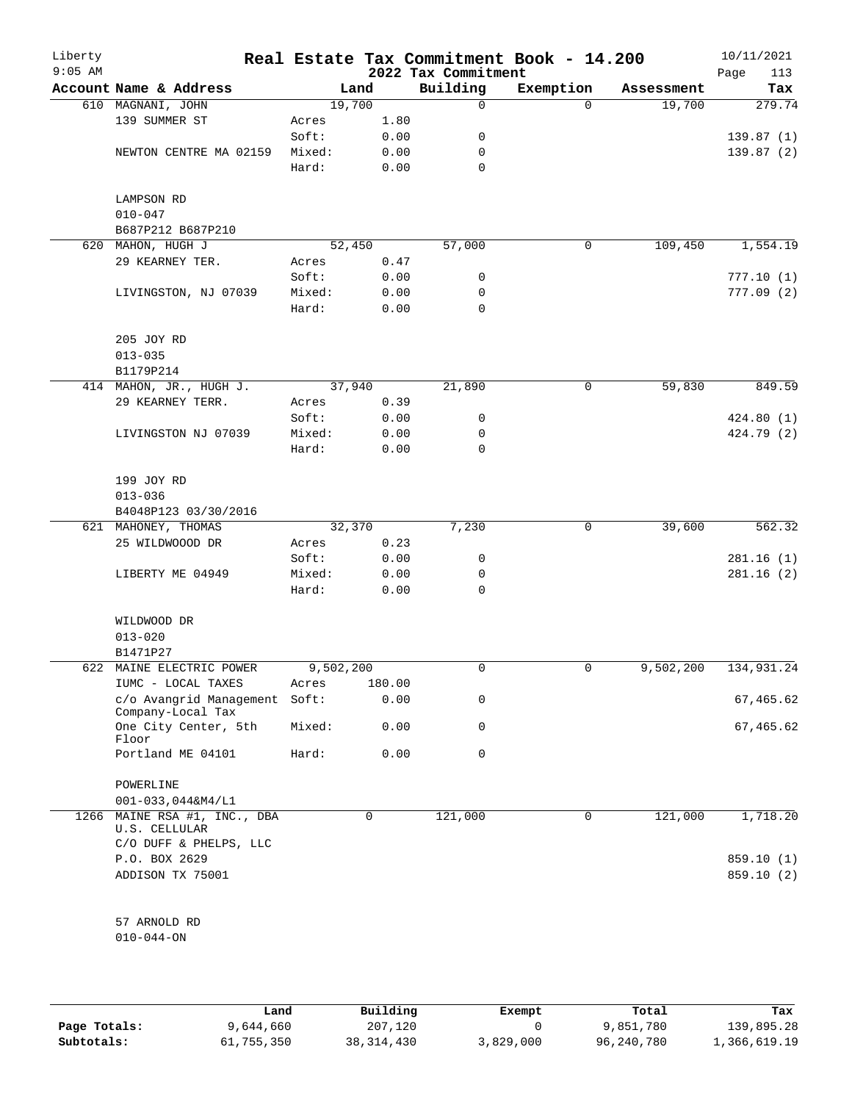| Liberty<br>$9:05$ AM |                                              |           |        | 2022 Tax Commitment | Real Estate Tax Commitment Book - 14.200 |            | 10/11/2021<br>Page<br>113 |
|----------------------|----------------------------------------------|-----------|--------|---------------------|------------------------------------------|------------|---------------------------|
|                      | Account Name & Address                       |           | Land   | Building            | Exemption                                | Assessment | Tax                       |
|                      | 610 MAGNANI, JOHN                            | 19,700    |        | 0                   | $\Omega$                                 | 19,700     | 279.74                    |
|                      | 139 SUMMER ST                                | Acres     | 1.80   |                     |                                          |            |                           |
|                      |                                              | Soft:     | 0.00   | 0                   |                                          |            | 139.87(1)                 |
|                      | NEWTON CENTRE MA 02159                       | Mixed:    | 0.00   | 0                   |                                          |            | 139.87(2)                 |
|                      |                                              | Hard:     | 0.00   | $\mathbf 0$         |                                          |            |                           |
|                      | LAMPSON RD                                   |           |        |                     |                                          |            |                           |
|                      | $010 - 047$                                  |           |        |                     |                                          |            |                           |
|                      | B687P212 B687P210                            |           |        |                     |                                          |            |                           |
|                      | 620 MAHON, HUGH J                            |           | 52,450 | 57,000              | 0                                        | 109,450    | 1,554.19                  |
|                      | 29 KEARNEY TER.                              | Acres     | 0.47   |                     |                                          |            |                           |
|                      |                                              | Soft:     | 0.00   | 0                   |                                          |            | 777.10(1)                 |
|                      | LIVINGSTON, NJ 07039                         | Mixed:    | 0.00   | 0                   |                                          |            | 777.09(2)                 |
|                      |                                              | Hard:     | 0.00   | $\mathbf 0$         |                                          |            |                           |
|                      | 205 JOY RD                                   |           |        |                     |                                          |            |                           |
|                      | $013 - 035$                                  |           |        |                     |                                          |            |                           |
|                      | B1179P214                                    |           |        |                     |                                          |            |                           |
|                      | 414 MAHON, JR., HUGH J.                      | 37,940    |        | 21,890              | 0                                        | 59,830     | 849.59                    |
|                      | 29 KEARNEY TERR.                             | Acres     | 0.39   |                     |                                          |            |                           |
|                      |                                              | Soft:     | 0.00   | 0                   |                                          |            | 424.80(1)                 |
|                      | LIVINGSTON NJ 07039                          | Mixed:    | 0.00   | 0                   |                                          |            | 424.79 (2)                |
|                      |                                              | Hard:     | 0.00   | 0                   |                                          |            |                           |
|                      | 199 JOY RD                                   |           |        |                     |                                          |            |                           |
|                      | $013 - 036$                                  |           |        |                     |                                          |            |                           |
|                      | B4048P123 03/30/2016                         |           |        |                     |                                          |            |                           |
|                      | 621 MAHONEY, THOMAS                          |           | 32,370 | 7,230               | 0                                        | 39,600     | 562.32                    |
|                      | 25 WILDWOOOD DR                              | Acres     | 0.23   |                     |                                          |            |                           |
|                      |                                              | Soft:     | 0.00   | 0                   |                                          |            | 281.16(1)                 |
|                      | LIBERTY ME 04949                             | Mixed:    | 0.00   | 0                   |                                          |            | 281.16(2)                 |
|                      |                                              | Hard:     | 0.00   | $\mathbf 0$         |                                          |            |                           |
|                      | WILDWOOD DR                                  |           |        |                     |                                          |            |                           |
|                      | $013 - 020$                                  |           |        |                     |                                          |            |                           |
|                      | B1471P27                                     |           |        |                     |                                          |            |                           |
|                      | 622 MAINE ELECTRIC POWER                     | 9,502,200 |        | 0                   | 0                                        | 9,502,200  | 134,931.24                |
|                      | IUMC - LOCAL TAXES                           | Acres     | 180.00 |                     |                                          |            |                           |
|                      | c/o Avangrid Management<br>Company-Local Tax | Soft:     | 0.00   | 0                   |                                          |            | 67,465.62                 |
|                      | One City Center, 5th<br>Floor                | Mixed:    | 0.00   | 0                   |                                          |            | 67,465.62                 |
|                      | Portland ME 04101                            | Hard:     | 0.00   | 0                   |                                          |            |                           |
|                      | POWERLINE                                    |           |        |                     |                                          |            |                           |
|                      | $001 - 033, 044$ &M4/L1                      |           |        |                     |                                          |            |                           |
| 1266                 | MAINE RSA #1, INC., DBA<br>U.S. CELLULAR     |           | 0      | 121,000             | 0                                        | 121,000    | 1,718.20                  |
|                      | C/O DUFF & PHELPS, LLC                       |           |        |                     |                                          |            |                           |
|                      | P.O. BOX 2629                                |           |        |                     |                                          |            | 859.10 (1)                |
|                      | ADDISON TX 75001                             |           |        |                     |                                          |            | 859.10 (2)                |
|                      | 57 ARNOLD RD                                 |           |        |                     |                                          |            |                           |
|                      | $010 - 044 - ON$                             |           |        |                     |                                          |            |                           |
|                      |                                              |           |        |                     |                                          |            |                           |

|              | Land       | Building     | Exempt    | Total      | Tax          |
|--------------|------------|--------------|-----------|------------|--------------|
| Page Totals: | 9,644,660  | 207,120      |           | 9,851,780  | 139,895.28   |
| Subtotals:   | 61,755,350 | 38, 314, 430 | 3,829,000 | 96,240,780 | 1,366,619.19 |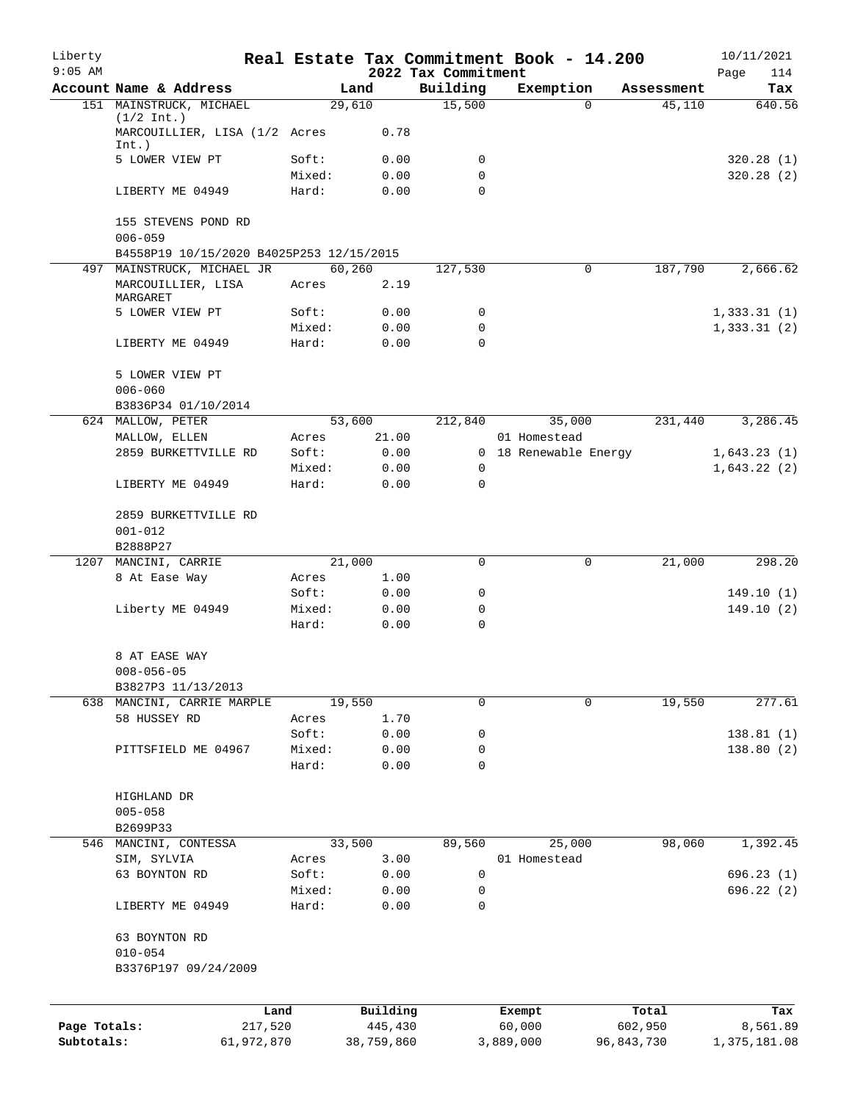| Liberty      |                                                       |                 |                     |                                 | Real Estate Tax Commitment Book - 14.200 |                                  | 10/11/2021               |
|--------------|-------------------------------------------------------|-----------------|---------------------|---------------------------------|------------------------------------------|----------------------------------|--------------------------|
| $9:05$ AM    | Account Name & Address                                |                 |                     | 2022 Tax Commitment<br>Building |                                          |                                  | 114<br>Page              |
|              | 151 MAINSTRUCK, MICHAEL                               |                 | Land<br>29,610      | 15,500                          | Exemption                                | Assessment<br>45,110<br>$\Omega$ | Tax<br>640.56            |
|              | $(1/2 \text{ Int.})$<br>MARCOUILLIER, LISA (1/2 Acres |                 | 0.78                |                                 |                                          |                                  |                          |
|              | Int.)                                                 |                 |                     |                                 |                                          |                                  |                          |
|              | 5 LOWER VIEW PT                                       | Soft:           | 0.00                | 0                               |                                          |                                  | 320.28(1)                |
|              | LIBERTY ME 04949                                      | Mixed:<br>Hard: | 0.00<br>0.00        | 0<br>$\Omega$                   |                                          |                                  | 320.28(2)                |
|              | 155 STEVENS POND RD<br>$006 - 059$                    |                 |                     |                                 |                                          |                                  |                          |
|              | B4558P19 10/15/2020 B4025P253 12/15/2015              |                 |                     |                                 |                                          |                                  |                          |
|              | 497 MAINSTRUCK, MICHAEL JR                            |                 | 60,260              | 127,530                         |                                          | 187,790<br>0                     | 2,666.62                 |
|              | MARCOUILLIER, LISA<br>MARGARET                        | Acres           | 2.19                |                                 |                                          |                                  |                          |
|              | 5 LOWER VIEW PT                                       | Soft:           | 0.00                | 0                               |                                          |                                  | 1,333.31(1)              |
|              |                                                       | Mixed:          | 0.00                | 0                               |                                          |                                  | 1,333.31(2)              |
|              | LIBERTY ME 04949                                      | Hard:           | 0.00                | 0                               |                                          |                                  |                          |
|              | 5 LOWER VIEW PT<br>$006 - 060$                        |                 |                     |                                 |                                          |                                  |                          |
|              | B3836P34 01/10/2014                                   |                 |                     |                                 |                                          |                                  |                          |
|              | 624 MALLOW, PETER                                     |                 | 53,600              | 212,840                         | 35,000                                   | 231,440                          | 3,286.45                 |
|              | MALLOW, ELLEN                                         | Acres           | 21.00               |                                 | 01 Homestead                             |                                  |                          |
|              | 2859 BURKETTVILLE RD                                  | Soft:           | 0.00                |                                 | 0 18 Renewable Energy                    |                                  | 1,643.23(1)              |
|              |                                                       | Mixed:          | 0.00                | 0                               |                                          |                                  | 1,643.22(2)              |
|              | LIBERTY ME 04949                                      | Hard:           | 0.00                | $\mathbf 0$                     |                                          |                                  |                          |
|              | 2859 BURKETTVILLE RD<br>$001 - 012$                   |                 |                     |                                 |                                          |                                  |                          |
|              | B2888P27                                              |                 |                     |                                 |                                          |                                  |                          |
|              | 1207 MANCINI, CARRIE                                  |                 | 21,000              | $\mathbf 0$                     |                                          | 21,000<br>0                      | 298.20                   |
|              | 8 At Ease Way                                         | Acres           | 1.00                |                                 |                                          |                                  |                          |
|              |                                                       | Soft:           | 0.00                | 0                               |                                          |                                  | 149.10(1)                |
|              | Liberty ME 04949                                      | Mixed:          | 0.00                | 0                               |                                          |                                  | 149.10(2)                |
|              |                                                       | Hard:           | 0.00                | 0                               |                                          |                                  |                          |
|              | 8 AT EASE WAY<br>$008 - 056 - 05$                     |                 |                     |                                 |                                          |                                  |                          |
|              | B3827P3 11/13/2013                                    |                 |                     |                                 |                                          |                                  |                          |
|              | 638 MANCINI, CARRIE MARPLE                            |                 | 19,550              | 0                               |                                          | 19,550<br>$\Omega$               | 277.61                   |
|              | 58 HUSSEY RD                                          | Acres           | 1.70                |                                 |                                          |                                  |                          |
|              |                                                       | Soft:           | 0.00                | 0                               |                                          |                                  | 138.81(1)                |
|              | PITTSFIELD ME 04967                                   | Mixed:          | 0.00                | 0                               |                                          |                                  | 138.80(2)                |
|              |                                                       | Hard:           | 0.00                | 0                               |                                          |                                  |                          |
|              | HIGHLAND DR                                           |                 |                     |                                 |                                          |                                  |                          |
|              | $005 - 058$                                           |                 |                     |                                 |                                          |                                  |                          |
|              | B2699P33                                              |                 |                     |                                 |                                          |                                  |                          |
|              | 546 MANCINI, CONTESSA                                 |                 | 33,500              | 89,560                          | 25,000                                   | 98,060                           | 1,392.45                 |
|              | SIM, SYLVIA                                           | Acres           | 3.00                |                                 | 01 Homestead                             |                                  |                          |
|              | 63 BOYNTON RD                                         | Soft:           | 0.00                | 0                               |                                          |                                  | 696.23(1)                |
|              | LIBERTY ME 04949                                      | Mixed:<br>Hard: | 0.00<br>0.00        | 0<br>0                          |                                          |                                  | 696.22 (2)               |
|              |                                                       |                 |                     |                                 |                                          |                                  |                          |
|              | 63 BOYNTON RD<br>$010 - 054$                          |                 |                     |                                 |                                          |                                  |                          |
|              | B3376P197 09/24/2009                                  |                 |                     |                                 |                                          |                                  |                          |
|              |                                                       |                 |                     |                                 |                                          |                                  |                          |
| Page Totals: | 217,520                                               | Land            | Building<br>445,430 |                                 | Exempt<br>60,000                         | Total<br>602,950                 | Tax                      |
| Subtotals:   | 61,972,870                                            |                 | 38,759,860          |                                 | 3,889,000                                | 96,843,730                       | 8,561.89<br>1,375,181.08 |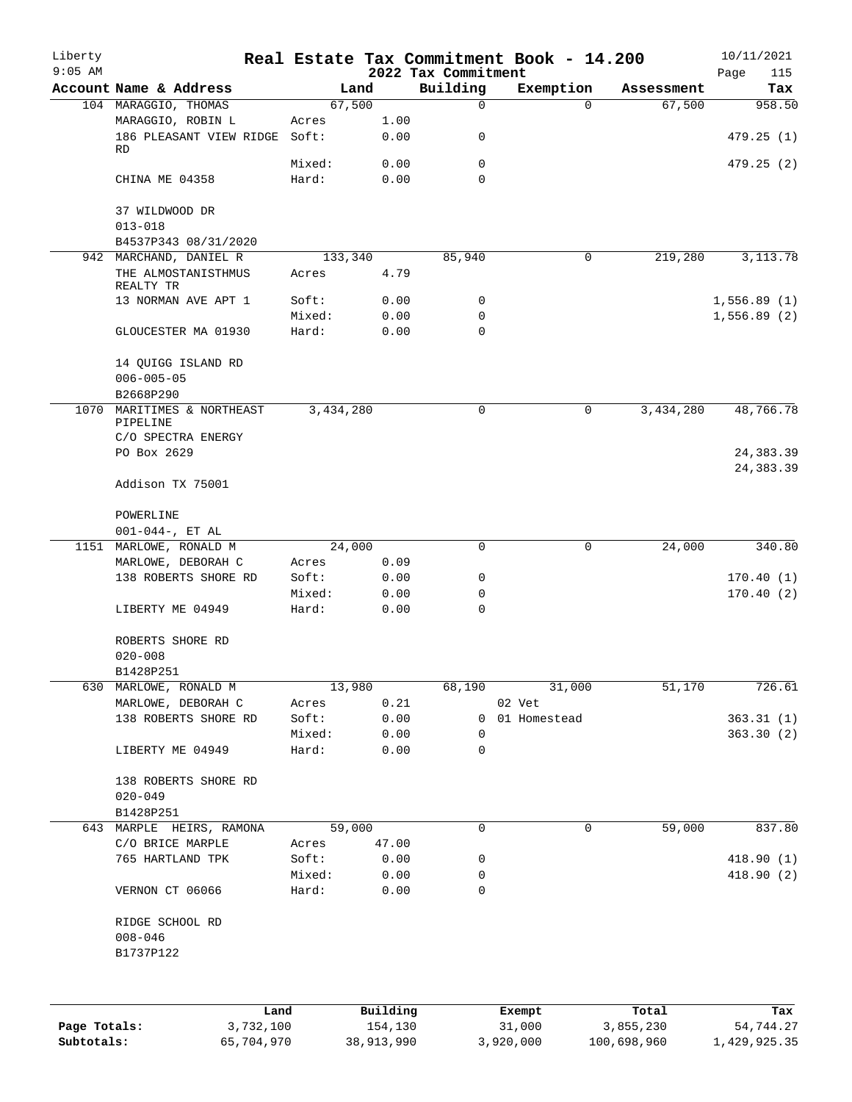| Liberty<br>$9:05$ AM |                                  |           |            | 2022 Tax Commitment | Real Estate Tax Commitment Book - 14.200 |             | 10/11/2021<br>Page<br>115 |
|----------------------|----------------------------------|-----------|------------|---------------------|------------------------------------------|-------------|---------------------------|
|                      | Account Name & Address           | Land      |            | Building            | Exemption                                | Assessment  | Tax                       |
|                      | 104 MARAGGIO, THOMAS             | 67,500    |            | $\mathsf{O}$        | $\Omega$                                 | 67,500      | 958.50                    |
|                      | MARAGGIO, ROBIN L                | Acres     | 1.00       |                     |                                          |             |                           |
|                      | 186 PLEASANT VIEW RIDGE<br>RD    | Soft:     | 0.00       | 0                   |                                          |             | 479.25(1)                 |
|                      |                                  | Mixed:    | 0.00       | $\mathbf 0$         |                                          |             | 479.25(2)                 |
|                      | CHINA ME 04358                   | Hard:     | 0.00       | $\Omega$            |                                          |             |                           |
|                      | 37 WILDWOOD DR                   |           |            |                     |                                          |             |                           |
|                      | $013 - 018$                      |           |            |                     |                                          |             |                           |
|                      | B4537P343 08/31/2020             |           |            |                     |                                          |             |                           |
|                      | 942 MARCHAND, DANIEL R           | 133,340   |            | 85,940              | 0                                        | 219,280     | 3, 113. 78                |
|                      | THE ALMOSTANISTHMUS<br>REALTY TR | Acres     | 4.79       |                     |                                          |             |                           |
|                      | 13 NORMAN AVE APT 1              | Soft:     | 0.00       | 0                   |                                          |             | 1,556.89(1)               |
|                      |                                  | Mixed:    | 0.00       | 0                   |                                          |             | 1,556.89(2)               |
|                      | GLOUCESTER MA 01930              | Hard:     | 0.00       | $\Omega$            |                                          |             |                           |
|                      | 14 QUIGG ISLAND RD               |           |            |                     |                                          |             |                           |
|                      | $006 - 005 - 05$                 |           |            |                     |                                          |             |                           |
|                      | B2668P290                        |           |            |                     |                                          |             |                           |
| 1070                 | MARITIMES & NORTHEAST            | 3,434,280 |            | 0                   | 0                                        | 3,434,280   | 48,766.78                 |
|                      | PIPELINE                         |           |            |                     |                                          |             |                           |
|                      | C/O SPECTRA ENERGY               |           |            |                     |                                          |             |                           |
|                      | PO Box 2629                      |           |            |                     |                                          |             | 24, 383.39                |
|                      |                                  |           |            |                     |                                          |             | 24, 383.39                |
|                      | Addison TX 75001                 |           |            |                     |                                          |             |                           |
|                      | POWERLINE                        |           |            |                     |                                          |             |                           |
|                      | $001-044-$ , ET AL               |           |            |                     |                                          |             |                           |
|                      | 1151 MARLOWE, RONALD M           | 24,000    |            | $\mathbf 0$         | 0                                        | 24,000      | 340.80                    |
|                      | MARLOWE, DEBORAH C               | Acres     | 0.09       |                     |                                          |             |                           |
|                      | 138 ROBERTS SHORE RD             | Soft:     | 0.00       | 0                   |                                          |             | 170.40(1)                 |
|                      |                                  | Mixed:    | 0.00       | 0                   |                                          |             | 170.40(2)                 |
|                      | LIBERTY ME 04949                 | Hard:     | 0.00       | $\mathbf 0$         |                                          |             |                           |
|                      | ROBERTS SHORE RD                 |           |            |                     |                                          |             |                           |
|                      | $020 - 008$                      |           |            |                     |                                          |             |                           |
|                      | B1428P251                        |           |            |                     |                                          |             |                           |
| 630                  | MARLOWE, RONALD M                | 13,980    |            | 68,190              | 31,000                                   | 51,170      | 726.61                    |
|                      | MARLOWE, DEBORAH C               | Acres     | 0.21       |                     | 02 Vet                                   |             |                           |
|                      | 138 ROBERTS SHORE RD             | Soft:     | 0.00       | 0                   | 01 Homestead                             |             | 363.31(1)                 |
|                      |                                  | Mixed:    | 0.00       | 0                   |                                          |             | 363.30 (2)                |
|                      | LIBERTY ME 04949                 | Hard:     | 0.00       | 0                   |                                          |             |                           |
|                      | 138 ROBERTS SHORE RD             |           |            |                     |                                          |             |                           |
|                      | $020 - 049$                      |           |            |                     |                                          |             |                           |
|                      | B1428P251                        |           |            |                     |                                          |             |                           |
|                      | 643 MARPLE HEIRS, RAMONA         | 59,000    |            | 0                   | 0                                        | 59,000      | 837.80                    |
|                      | C/O BRICE MARPLE                 | Acres     | 47.00      |                     |                                          |             |                           |
|                      | 765 HARTLAND TPK                 | Soft:     | 0.00       | 0                   |                                          |             | 418.90(1)                 |
|                      |                                  | Mixed:    | 0.00       | 0                   |                                          |             | 418.90 (2)                |
|                      | VERNON CT 06066                  | Hard:     | 0.00       | 0                   |                                          |             |                           |
|                      | RIDGE SCHOOL RD                  |           |            |                     |                                          |             |                           |
|                      | $008 - 046$                      |           |            |                     |                                          |             |                           |
|                      | B1737P122                        |           |            |                     |                                          |             |                           |
|                      |                                  |           |            |                     |                                          |             |                           |
|                      | Land                             |           | Building   |                     | Exempt                                   | Total       | Tax                       |
| Page Totals:         | 3,732,100                        |           | 154,130    |                     | 31,000                                   | 3,855,230   | 54,744.27                 |
| Subtotals:           | 65,704,970                       |           | 38,913,990 |                     | 3,920,000                                | 100,698,960 | 1,429,925.35              |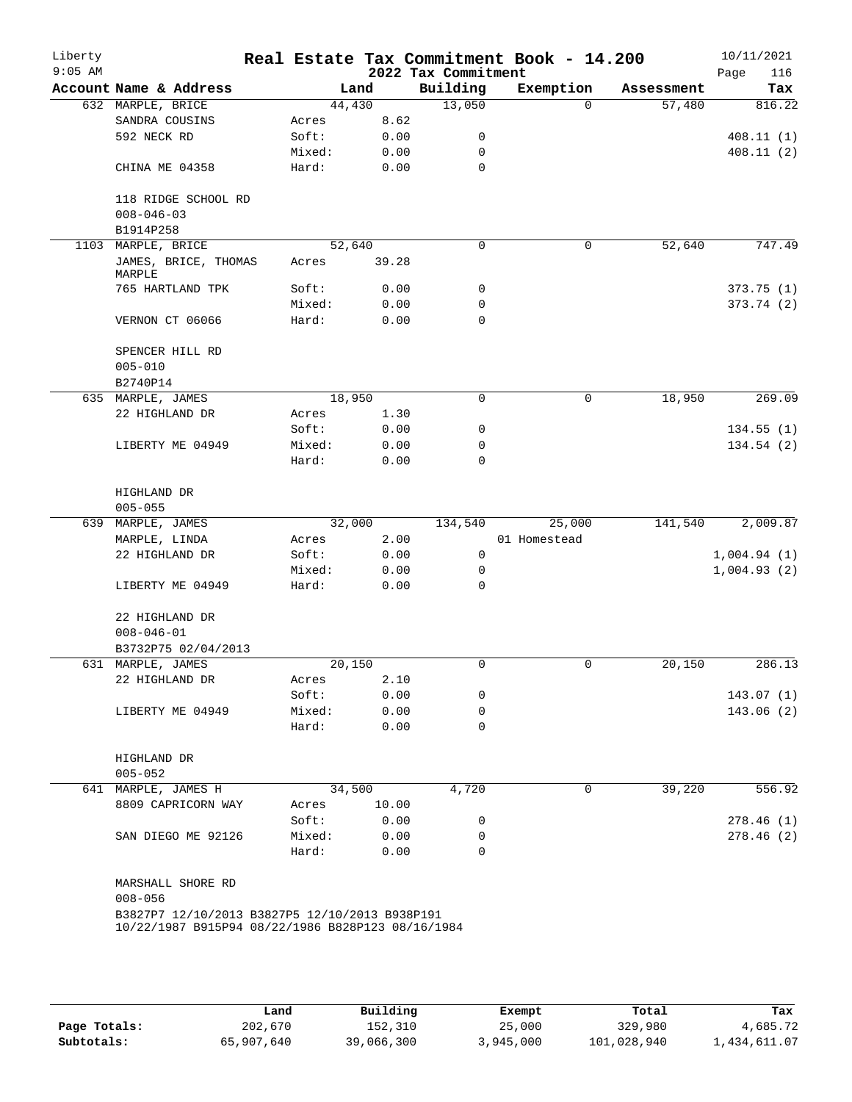| Page<br>Tax<br>816.22<br>408.11(1)<br>408.11(2)<br>747.49 |
|-----------------------------------------------------------|
|                                                           |
|                                                           |
|                                                           |
|                                                           |
|                                                           |
|                                                           |
|                                                           |
|                                                           |
|                                                           |
|                                                           |
|                                                           |
| 373.75(1)                                                 |
| 373.74(2)                                                 |
|                                                           |
|                                                           |
|                                                           |
|                                                           |
| 269.09                                                    |
|                                                           |
| 134.55(1)                                                 |
| 134.54(2)                                                 |
|                                                           |
|                                                           |
|                                                           |
| 2,009.87                                                  |
|                                                           |
| 1,004.94(1)                                               |
| 1,004.93(2)                                               |
|                                                           |
|                                                           |
|                                                           |
|                                                           |
| 286.13                                                    |
|                                                           |
| 143.07 (1)                                                |
| 143.06(2)                                                 |
|                                                           |
|                                                           |
|                                                           |
| 556.92                                                    |
|                                                           |
| 278.46(1)                                                 |
| 278.46(2)                                                 |
|                                                           |
|                                                           |
|                                                           |
|                                                           |
|                                                           |
|                                                           |

|              | Land       | Building   | Exempt    | Total       | Tax          |
|--------------|------------|------------|-----------|-------------|--------------|
| Page Totals: | 202,670    | 152,310    | 25,000    | 329,980     | 4,685.72     |
| Subtotals:   | 65,907,640 | 39,066,300 | 3,945,000 | 101,028,940 | 1,434,611.07 |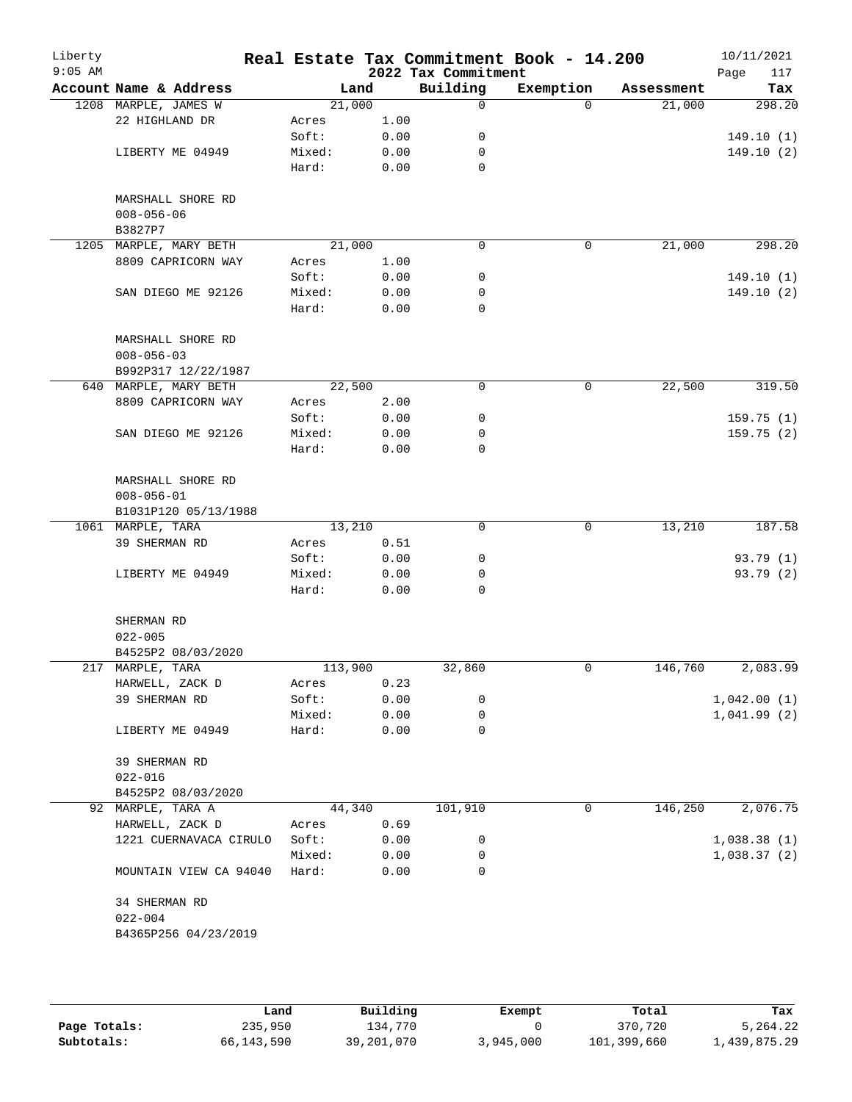| Liberty<br>$9:05$ AM |                                       |         |      | 2022 Tax Commitment | Real Estate Tax Commitment Book - 14.200 |            | 10/11/2021<br>Page<br>117 |
|----------------------|---------------------------------------|---------|------|---------------------|------------------------------------------|------------|---------------------------|
|                      | Account Name & Address                | Land    |      | Building            | Exemption                                | Assessment | Tax                       |
|                      | 1208 MARPLE, JAMES W                  | 21,000  |      | 0                   | $\Omega$                                 | 21,000     | 298.20                    |
|                      | 22 HIGHLAND DR                        | Acres   | 1.00 |                     |                                          |            |                           |
|                      |                                       | Soft:   | 0.00 | 0                   |                                          |            | 149.10(1)                 |
|                      | LIBERTY ME 04949                      | Mixed:  | 0.00 | 0                   |                                          |            | 149.10(2)                 |
|                      |                                       | Hard:   | 0.00 | $\mathbf 0$         |                                          |            |                           |
|                      | MARSHALL SHORE RD                     |         |      |                     |                                          |            |                           |
|                      | $008 - 056 - 06$<br>B3827P7           |         |      |                     |                                          |            |                           |
|                      | 1205 MARPLE, MARY BETH                | 21,000  |      | $\Omega$            | 0                                        | 21,000     | 298.20                    |
|                      | 8809 CAPRICORN WAY                    | Acres   | 1.00 |                     |                                          |            |                           |
|                      |                                       | Soft:   | 0.00 | 0                   |                                          |            | 149.10(1)                 |
|                      | SAN DIEGO ME 92126                    | Mixed:  | 0.00 | 0                   |                                          |            | 149.10 (2)                |
|                      |                                       | Hard:   | 0.00 | 0                   |                                          |            |                           |
|                      | MARSHALL SHORE RD                     |         |      |                     |                                          |            |                           |
|                      | $008 - 056 - 03$                      |         |      |                     |                                          |            |                           |
|                      | B992P317 12/22/1987                   |         |      |                     |                                          |            |                           |
|                      | 640 MARPLE, MARY BETH                 | 22,500  |      | 0                   | 0                                        | 22,500     | 319.50                    |
|                      | 8809 CAPRICORN WAY                    | Acres   | 2.00 |                     |                                          |            |                           |
|                      |                                       | Soft:   | 0.00 | 0                   |                                          |            | 159.75(1)                 |
|                      | SAN DIEGO ME 92126                    | Mixed:  | 0.00 | 0                   |                                          |            | 159.75(2)                 |
|                      |                                       | Hard:   | 0.00 | 0                   |                                          |            |                           |
|                      | MARSHALL SHORE RD<br>$008 - 056 - 01$ |         |      |                     |                                          |            |                           |
|                      | B1031P120 05/13/1988                  |         |      |                     |                                          |            |                           |
|                      | 1061 MARPLE, TARA                     | 13,210  |      | $\mathbf 0$         | 0                                        | 13,210     | 187.58                    |
|                      | 39 SHERMAN RD                         | Acres   | 0.51 |                     |                                          |            |                           |
|                      |                                       | Soft:   | 0.00 | 0                   |                                          |            | 93.79 (1)                 |
|                      | LIBERTY ME 04949                      | Mixed:  | 0.00 | 0                   |                                          |            | 93.79 (2)                 |
|                      |                                       | Hard:   | 0.00 | 0                   |                                          |            |                           |
|                      | SHERMAN RD                            |         |      |                     |                                          |            |                           |
|                      | $022 - 005$                           |         |      |                     |                                          |            |                           |
|                      | B4525P2 08/03/2020                    |         |      |                     |                                          |            |                           |
|                      | 217 MARPLE, TARA                      | 113,900 |      | 32,860              | 0                                        | 146,760    | 2,083.99                  |
|                      | HARWELL, ZACK D                       | Acres   | 0.23 |                     |                                          |            |                           |
|                      | 39 SHERMAN RD                         | Soft:   | 0.00 | 0                   |                                          |            | 1,042.00(1)               |
|                      |                                       | Mixed:  | 0.00 | 0                   |                                          |            | 1,041.99(2)               |
|                      | LIBERTY ME 04949                      | Hard:   | 0.00 | 0                   |                                          |            |                           |
|                      | 39 SHERMAN RD                         |         |      |                     |                                          |            |                           |
|                      | $022 - 016$                           |         |      |                     |                                          |            |                           |
|                      | B4525P2 08/03/2020                    |         |      |                     |                                          |            |                           |
|                      | 92 MARPLE, TARA A                     | 44,340  |      | 101,910             | 0                                        | 146,250    | 2,076.75                  |
|                      | HARWELL, ZACK D                       | Acres   | 0.69 |                     |                                          |            |                           |
|                      | 1221 CUERNAVACA CIRULO                | Soft:   | 0.00 | 0                   |                                          |            | 1,038.38(1)               |
|                      |                                       | Mixed:  | 0.00 | 0                   |                                          |            | 1,038.37(2)               |
|                      | MOUNTAIN VIEW CA 94040                | Hard:   | 0.00 | 0                   |                                          |            |                           |
|                      | 34 SHERMAN RD                         |         |      |                     |                                          |            |                           |
|                      | $022 - 004$                           |         |      |                     |                                          |            |                           |
|                      | B4365P256 04/23/2019                  |         |      |                     |                                          |            |                           |
|                      |                                       |         |      |                     |                                          |            |                           |
|                      |                                       |         |      |                     |                                          |            |                           |

|              | Land       | Building   | Exempt    | Total       | Tax          |
|--------------|------------|------------|-----------|-------------|--------------|
| Page Totals: | 235,950    | 134,770    |           | 370,720     | 5,264.22     |
| Subtotals:   | 66,143,590 | 39,201,070 | 3,945,000 | 101,399,660 | 1,439,875.29 |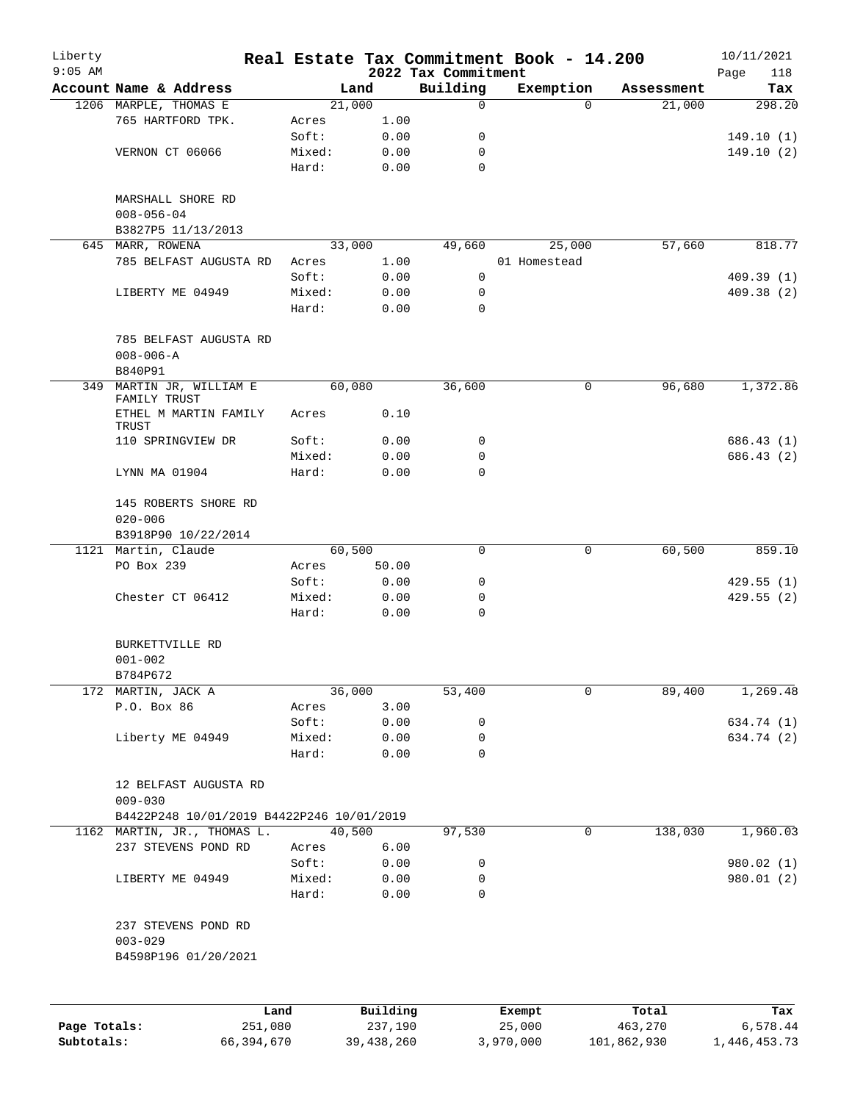| Liberty<br>$9:05$ AM |                                           |                 |              |                                 | Real Estate Tax Commitment Book - 14.200 |            | 10/11/2021         |
|----------------------|-------------------------------------------|-----------------|--------------|---------------------------------|------------------------------------------|------------|--------------------|
|                      | Account Name & Address                    |                 | Land         | 2022 Tax Commitment<br>Building | Exemption                                | Assessment | Page<br>118<br>Tax |
|                      | 1206 MARPLE, THOMAS E                     |                 | 21,000       | 0                               | $\Omega$                                 | 21,000     | 298.20             |
|                      | 765 HARTFORD TPK.                         | Acres           | 1.00         |                                 |                                          |            |                    |
|                      |                                           | Soft:           | 0.00         | 0                               |                                          |            | 149.10(1)          |
|                      | VERNON CT 06066                           | Mixed:          | 0.00         | 0                               |                                          |            | 149.10(2)          |
|                      |                                           | Hard:           | 0.00         | 0                               |                                          |            |                    |
|                      | MARSHALL SHORE RD<br>$008 - 056 - 04$     |                 |              |                                 |                                          |            |                    |
|                      | B3827P5 11/13/2013                        |                 |              |                                 |                                          |            |                    |
|                      | 645 MARR, ROWENA                          |                 | 33,000       | 49,660                          | 25,000                                   | 57,660     | 818.77             |
|                      | 785 BELFAST AUGUSTA RD                    | Acres           | 1.00         |                                 | 01 Homestead                             |            |                    |
|                      |                                           | Soft:           | 0.00         | 0                               |                                          |            | 409.39(1)          |
|                      | LIBERTY ME 04949                          | Mixed:          | 0.00         | 0                               |                                          |            | 409.38 (2)         |
|                      |                                           | Hard:           | 0.00         | $\Omega$                        |                                          |            |                    |
|                      | 785 BELFAST AUGUSTA RD<br>$008 - 006 - A$ |                 |              |                                 |                                          |            |                    |
|                      | B840P91                                   |                 |              |                                 |                                          |            |                    |
|                      | 349 MARTIN JR, WILLIAM E<br>FAMILY TRUST  |                 | 60,080       | 36,600                          | 0                                        | 96,680     | 1,372.86           |
|                      | ETHEL M MARTIN FAMILY<br>TRUST            | Acres           | 0.10         |                                 |                                          |            |                    |
|                      | 110 SPRINGVIEW DR                         | Soft:           | 0.00         | 0                               |                                          |            | 686.43 (1)         |
|                      |                                           | Mixed:          | 0.00         | 0                               |                                          |            | 686.43 (2)         |
|                      | LYNN MA 01904                             | Hard:           | 0.00         | $\Omega$                        |                                          |            |                    |
|                      | 145 ROBERTS SHORE RD<br>$020 - 006$       |                 |              |                                 |                                          |            |                    |
|                      | B3918P90 10/22/2014                       |                 |              |                                 |                                          |            |                    |
|                      | 1121 Martin, Claude                       |                 | 60,500       | 0                               | 0                                        | 60,500     | 859.10             |
|                      | PO Box 239                                | Acres           | 50.00        |                                 |                                          |            |                    |
|                      |                                           | Soft:           | 0.00         | 0                               |                                          |            | 429.55(1)          |
|                      | Chester CT 06412                          | Mixed:<br>Hard: | 0.00<br>0.00 | 0<br>0                          |                                          |            | 429.55(2)          |
|                      | BURKETTVILLE RD                           |                 |              |                                 |                                          |            |                    |
|                      | $001 - 002$                               |                 |              |                                 |                                          |            |                    |
|                      | B784P672                                  |                 |              |                                 |                                          |            |                    |
|                      | 172 MARTIN, JACK A                        |                 | 36,000       | 53,400                          | 0                                        | 89,400     | 1,269.48           |
|                      | P.O. Box 86                               | Acres           | 3.00         |                                 |                                          |            |                    |
|                      |                                           | Soft:           | 0.00         | 0                               |                                          |            | 634.74 (1)         |
|                      | Liberty ME 04949                          | Mixed:          | 0.00         | 0                               |                                          |            | 634.74 (2)         |
|                      |                                           | Hard:           | 0.00         | 0                               |                                          |            |                    |
|                      | 12 BELFAST AUGUSTA RD<br>$009 - 030$      |                 |              |                                 |                                          |            |                    |
|                      | B4422P248 10/01/2019 B4422P246 10/01/2019 |                 |              |                                 |                                          |            |                    |
|                      | 1162 MARTIN, JR., THOMAS L.               | 40,500          |              | 97,530                          | 0                                        | 138,030    | 1,960.03           |
|                      | 237 STEVENS POND RD                       | Acres           | 6.00         |                                 |                                          |            |                    |
|                      |                                           | Soft:           | 0.00         | 0                               |                                          |            | 980.02 (1)         |
|                      | LIBERTY ME 04949                          | Mixed:          | 0.00         | 0                               |                                          |            | 980.01 (2)         |
|                      |                                           | Hard:           | 0.00         | 0                               |                                          |            |                    |
|                      | 237 STEVENS POND RD<br>$003 - 029$        |                 |              |                                 |                                          |            |                    |
|                      | B4598P196 01/20/2021                      |                 |              |                                 |                                          |            |                    |
|                      |                                           |                 |              |                                 |                                          |            |                    |
|                      |                                           | Land            | Building     |                                 | Exempt                                   | Total      | Tax                |

|              | ⊥and       | Building   | Exempt    | Total       | тах          |
|--------------|------------|------------|-----------|-------------|--------------|
| Page Totals: | 251,080    | 237,190    | 25,000    | 463,270     | 6,578.44     |
| Subtotals:   | 66,394,670 | 39,438,260 | 3,970,000 | 101,862,930 | 1,446,453.73 |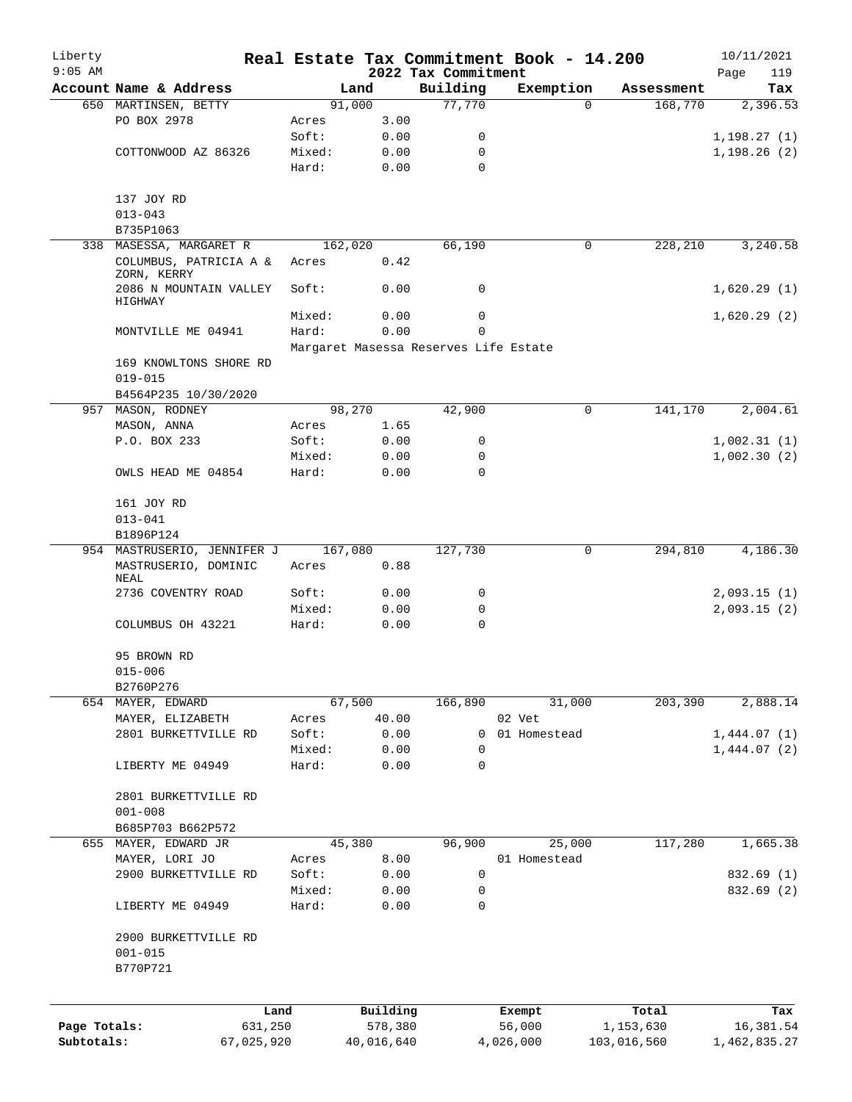| Liberty      |                                       |                 |              |                                       | Real Estate Tax Commitment Book - 14.200 |             | 10/11/2021   |
|--------------|---------------------------------------|-----------------|--------------|---------------------------------------|------------------------------------------|-------------|--------------|
| $9:05$ AM    |                                       |                 |              | 2022 Tax Commitment                   |                                          |             | 119<br>Page  |
|              | Account Name & Address                | Land            |              | Building                              | Exemption                                | Assessment  | Tax          |
|              | 650 MARTINSEN, BETTY<br>PO BOX 2978   | 91,000          | 3.00         | 77,770                                | $\Omega$                                 | 168,770     | 2,396.53     |
|              |                                       | Acres<br>Soft:  | 0.00         | 0                                     |                                          |             | 1, 198.27(1) |
|              | COTTONWOOD AZ 86326                   | Mixed:          | 0.00         | 0                                     |                                          |             | 1,198.26(2)  |
|              |                                       | Hard:           | 0.00         | $\Omega$                              |                                          |             |              |
|              |                                       |                 |              |                                       |                                          |             |              |
|              | 137 JOY RD                            |                 |              |                                       |                                          |             |              |
|              | $013 - 043$                           |                 |              |                                       |                                          |             |              |
|              | B735P1063                             |                 |              |                                       |                                          |             |              |
| 338          | MASESSA, MARGARET R                   | 162,020         |              | 66,190                                | 0                                        | 228,210     | 3,240.58     |
|              | COLUMBUS, PATRICIA A &<br>ZORN, KERRY | Acres           | 0.42         |                                       |                                          |             |              |
|              | 2086 N MOUNTAIN VALLEY<br>HIGHWAY     | Soft:           | 0.00         | 0                                     |                                          |             | 1,620.29(1)  |
|              |                                       | Mixed:          | 0.00         | 0                                     |                                          |             | 1,620.29(2)  |
|              | MONTVILLE ME 04941                    | Hard:           | 0.00         | $\Omega$                              |                                          |             |              |
|              |                                       |                 |              | Margaret Masessa Reserves Life Estate |                                          |             |              |
|              | 169 KNOWLTONS SHORE RD                |                 |              |                                       |                                          |             |              |
|              | $019 - 015$                           |                 |              |                                       |                                          |             |              |
|              | B4564P235 10/30/2020                  |                 |              |                                       |                                          |             |              |
|              | 957 MASON, RODNEY                     | 98,270          |              | 42,900                                | 0                                        | 141,170     | 2,004.61     |
|              | MASON, ANNA                           | Acres           | 1.65         |                                       |                                          |             |              |
|              | P.O. BOX 233                          | Soft:           | 0.00         | 0                                     |                                          |             | 1,002.31(1)  |
|              |                                       | Mixed:          | 0.00         | 0                                     |                                          |             | 1,002.30(2)  |
|              | OWLS HEAD ME 04854                    | Hard:           | 0.00         | $\Omega$                              |                                          |             |              |
|              | 161 JOY RD                            |                 |              |                                       |                                          |             |              |
|              | $013 - 041$                           |                 |              |                                       |                                          |             |              |
|              | B1896P124                             |                 |              |                                       |                                          |             |              |
|              | 954 MASTRUSERIO, JENNIFER J           | 167,080         |              | 127,730                               | 0                                        | 294,810     | 4,186.30     |
|              | MASTRUSERIO, DOMINIC<br>NEAL          | Acres           | 0.88         |                                       |                                          |             |              |
|              | 2736 COVENTRY ROAD                    | Soft:           | 0.00         | 0                                     |                                          |             | 2,093.15(1)  |
|              |                                       | Mixed:          | 0.00         | 0                                     |                                          |             | 2,093.15(2)  |
|              | COLUMBUS OH 43221                     | Hard:           | 0.00         | $\mathbf 0$                           |                                          |             |              |
|              | 95 BROWN RD                           |                 |              |                                       |                                          |             |              |
|              | $015 - 006$                           |                 |              |                                       |                                          |             |              |
|              | B2760P276<br>654 MAYER, EDWARD        |                 |              |                                       |                                          |             |              |
|              | MAYER, ELIZABETH                      | 67,500<br>Acres | 40.00        | 166,890                               | 31,000<br>02 Vet                         | 203,390     | 2,888.14     |
|              | 2801 BURKETTVILLE RD                  | Soft:           | 0.00         | 0                                     | 01 Homestead                             |             | 1,444.07(1)  |
|              |                                       | Mixed:          | 0.00         | 0                                     |                                          |             | 1,444.07(2)  |
|              | LIBERTY ME 04949                      | Hard:           | 0.00         | 0                                     |                                          |             |              |
|              |                                       |                 |              |                                       |                                          |             |              |
|              | 2801 BURKETTVILLE RD                  |                 |              |                                       |                                          |             |              |
|              | $001 - 008$                           |                 |              |                                       |                                          |             |              |
|              | B685P703 B662P572                     |                 |              |                                       |                                          |             |              |
|              | 655 MAYER, EDWARD JR                  | 45,380          |              | 96,900                                | 25,000                                   | 117,280     | 1,665.38     |
|              | MAYER, LORI JO                        | Acres           | 8.00         |                                       | 01 Homestead                             |             |              |
|              | 2900 BURKETTVILLE RD                  | Soft:           | 0.00         | 0                                     |                                          |             | 832.69 (1)   |
|              | LIBERTY ME 04949                      | Mixed:<br>Hard: | 0.00<br>0.00 | 0<br>0                                |                                          |             | 832.69 (2)   |
|              |                                       |                 |              |                                       |                                          |             |              |
|              | 2900 BURKETTVILLE RD                  |                 |              |                                       |                                          |             |              |
|              | $001 - 015$                           |                 |              |                                       |                                          |             |              |
|              | B770P721                              |                 |              |                                       |                                          |             |              |
|              | Land                                  |                 | Building     |                                       | Exempt                                   | Total       | Tax          |
| Page Totals: | 631,250                               |                 | 578,380      |                                       | 56,000                                   | 1,153,630   | 16,381.54    |
| Subtotals:   | 67,025,920                            |                 | 40,016,640   |                                       | 4,026,000                                | 103,016,560 | 1,462,835.27 |
|              |                                       |                 |              |                                       |                                          |             |              |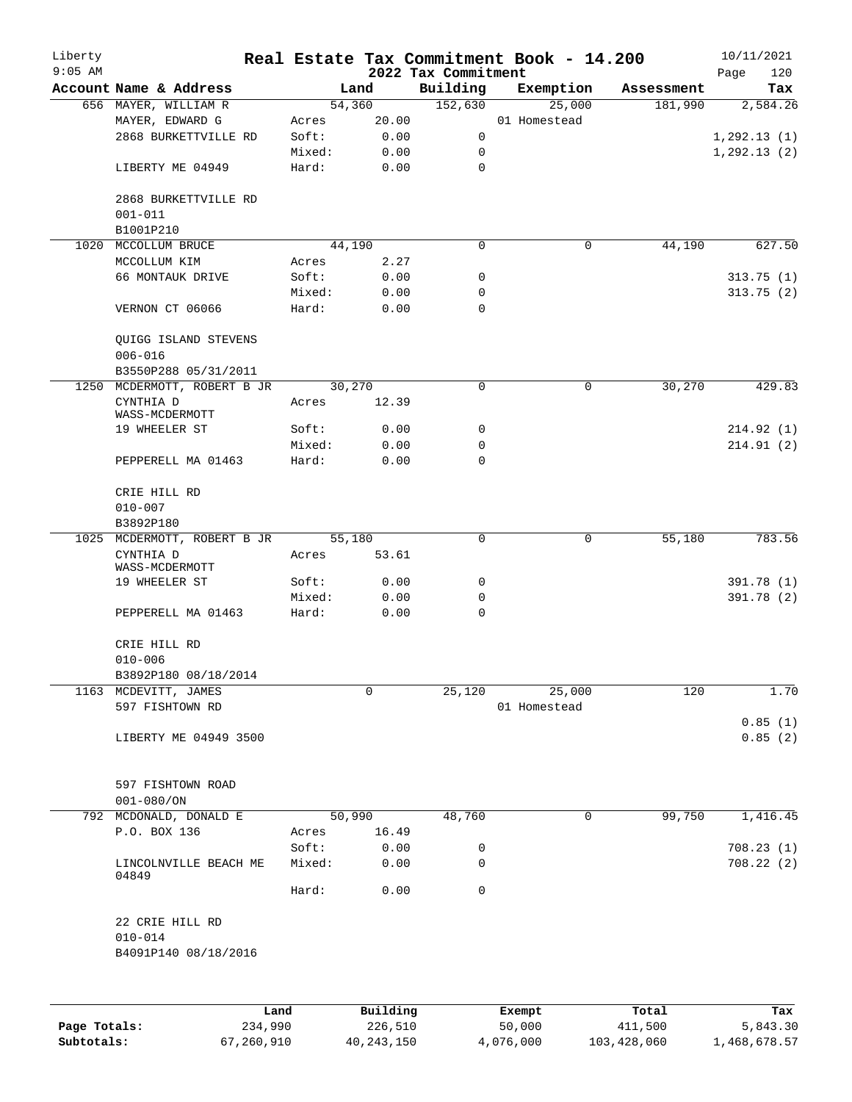| Liberty<br>$9:05$ AM |                                     |         |              | 2022 Tax Commitment | Real Estate Tax Commitment Book - 14.200 |            | 10/11/2021         |
|----------------------|-------------------------------------|---------|--------------|---------------------|------------------------------------------|------------|--------------------|
|                      | Account Name & Address              |         | Land         | Building            | Exemption                                | Assessment | 120<br>Page<br>Tax |
|                      | 656 MAYER, WILLIAM R                |         | 54,360       | 152,630             | 25,000                                   | 181,990    | 2,584.26           |
|                      | MAYER, EDWARD G                     | Acres   | 20.00        |                     | 01 Homestead                             |            |                    |
|                      | 2868 BURKETTVILLE RD                | Soft:   | 0.00         | 0                   |                                          |            | 1, 292.13(1)       |
|                      |                                     | Mixed:  | 0.00         | 0                   |                                          |            | 1,292.13(2)        |
|                      | LIBERTY ME 04949                    | Hard:   | 0.00         | $\mathbf 0$         |                                          |            |                    |
|                      | 2868 BURKETTVILLE RD<br>$001 - 011$ |         |              |                     |                                          |            |                    |
|                      | B1001P210                           |         |              |                     |                                          |            |                    |
| 1020                 | MCCOLLUM BRUCE                      |         | 44,190       | $\Omega$            | 0                                        | 44,190     | 627.50             |
|                      | MCCOLLUM KIM                        | Acres   | 2.27         |                     |                                          |            |                    |
|                      | 66 MONTAUK DRIVE                    | Soft:   | 0.00         | 0                   |                                          |            | 313.75(1)          |
|                      |                                     | Mixed:  |              | 0                   |                                          |            |                    |
|                      | VERNON CT 06066                     | Hard:   | 0.00<br>0.00 | 0                   |                                          |            | 313.75(2)          |
|                      | QUIGG ISLAND STEVENS<br>$006 - 016$ |         |              |                     |                                          |            |                    |
|                      | B3550P288 05/31/2011                |         |              |                     |                                          |            |                    |
|                      | 1250 MCDERMOTT, ROBERT B JR         |         | 30,270       | 0                   | $\mathsf{O}$                             | 30,270     | 429.83             |
|                      | CYNTHIA D<br>WASS-MCDERMOTT         | Acres   | 12.39        |                     |                                          |            |                    |
|                      | 19 WHEELER ST                       | Soft:   | 0.00         | 0                   |                                          |            | 214.92 (1)         |
|                      |                                     | Mixed:  | 0.00         | 0                   |                                          |            | 214.91(2)          |
|                      | PEPPERELL MA 01463                  | Hard:   | 0.00         | $\Omega$            |                                          |            |                    |
|                      | CRIE HILL RD                        |         |              |                     |                                          |            |                    |
|                      | $010 - 007$                         |         |              |                     |                                          |            |                    |
|                      | B3892P180                           |         |              |                     |                                          |            |                    |
|                      | 1025 MCDERMOTT, ROBERT B JR         |         | 55,180       | 0                   | 0                                        | 55,180     | 783.56             |
|                      | CYNTHIA D<br>WASS-MCDERMOTT         | Acres   | 53.61        |                     |                                          |            |                    |
|                      | 19 WHEELER ST                       | Soft:   | 0.00         | 0                   |                                          |            | 391.78 (1)         |
|                      |                                     | Mixed:  | 0.00         | 0                   |                                          |            | 391.78 (2)         |
|                      | PEPPERELL MA 01463                  | Hard:   | 0.00         | $\mathbf 0$         |                                          |            |                    |
|                      | CRIE HILL RD                        |         |              |                     |                                          |            |                    |
|                      | $010 - 006$                         |         |              |                     |                                          |            |                    |
|                      | B3892P180 08/18/2014                |         |              |                     |                                          |            |                    |
|                      | 1163 MCDEVITT, JAMES                |         | 0            | 25,120              | 25,000                                   | 120        | 1.70               |
|                      | 597 FISHTOWN RD                     |         |              |                     | 01 Homestead                             |            | 0.85(1)            |
|                      | LIBERTY ME 04949 3500               |         |              |                     |                                          |            | 0.85(2)            |
|                      | 597 FISHTOWN ROAD                   |         |              |                     |                                          |            |                    |
|                      | $001 - 080 / ON$                    |         |              |                     |                                          |            |                    |
|                      | 792 MCDONALD, DONALD E              |         | 50,990       | 48,760              | $\mathbf 0$                              | 99,750     | 1,416.45           |
|                      | P.O. BOX 136                        | Acres   | 16.49        |                     |                                          |            |                    |
|                      |                                     | Soft:   | 0.00         |                     |                                          |            |                    |
|                      |                                     |         |              | 0                   |                                          |            | 708.23(1)          |
|                      | LINCOLNVILLE BEACH ME<br>04849      | Mixed:  | 0.00         | 0                   |                                          |            | 708.22(2)          |
|                      |                                     | Hard:   | 0.00         | $\mathbf 0$         |                                          |            |                    |
|                      | 22 CRIE HILL RD<br>$010 - 014$      |         |              |                     |                                          |            |                    |
|                      | B4091P140 08/18/2016                |         |              |                     |                                          |            |                    |
|                      |                                     |         |              |                     |                                          |            |                    |
|                      |                                     | Land    | Building     |                     | Exempt                                   | Total      | Tax                |
| Page Totals:         |                                     | 234,990 | 226,510      |                     | 50,000                                   | 411,500    | 5,843.30           |

**Subtotals:** 67,260,910 40,243,150 4,076,000 103,428,060 1,468,678.57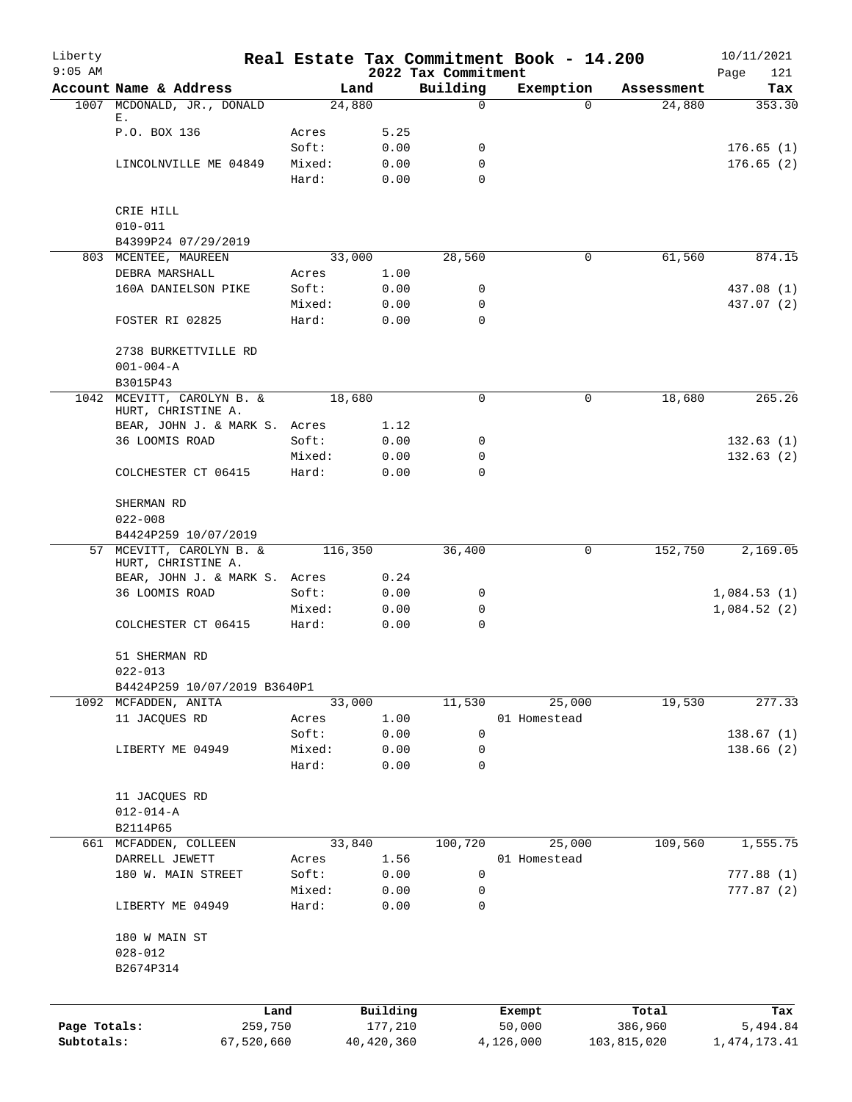| Liberty<br>$9:05$ AM       |                                                  |                 |                         | 2022 Tax Commitment | Real Estate Tax Commitment Book - 14.200 |                        | 10/11/2021<br>Page<br>121   |
|----------------------------|--------------------------------------------------|-----------------|-------------------------|---------------------|------------------------------------------|------------------------|-----------------------------|
|                            | Account Name & Address                           |                 | Land                    | Building            | Exemption                                | Assessment             | Tax                         |
|                            | 1007 MCDONALD, JR., DONALD                       |                 | 24,880                  | $\mathsf{O}$        | $\Omega$                                 | 24,880                 | 353.30                      |
|                            | Ε.                                               |                 |                         |                     |                                          |                        |                             |
|                            | P.O. BOX 136                                     | Acres<br>Soft:  | 5.25<br>0.00            | 0                   |                                          |                        | 176.65(1)                   |
|                            | LINCOLNVILLE ME 04849                            | Mixed:          | 0.00                    | 0                   |                                          |                        | 176.65(2)                   |
|                            |                                                  | Hard:           | 0.00                    | $\Omega$            |                                          |                        |                             |
|                            | CRIE HILL                                        |                 |                         |                     |                                          |                        |                             |
|                            | $010 - 011$                                      |                 |                         |                     |                                          |                        |                             |
|                            | B4399P24 07/29/2019                              |                 |                         |                     |                                          |                        |                             |
|                            | 803 MCENTEE, MAUREEN                             |                 | 33,000                  | 28,560              | 0                                        | 61,560                 | 874.15                      |
|                            | DEBRA MARSHALL                                   | Acres           | 1.00                    |                     |                                          |                        |                             |
|                            | 160A DANIELSON PIKE                              | Soft:           | 0.00                    | 0                   |                                          |                        | 437.08 (1)                  |
|                            |                                                  | Mixed:          | 0.00                    | 0                   |                                          |                        | 437.07 (2)                  |
|                            | FOSTER RI 02825                                  | Hard:           | 0.00                    | 0                   |                                          |                        |                             |
|                            | 2738 BURKETTVILLE RD                             |                 |                         |                     |                                          |                        |                             |
|                            | $001 - 004 - A$                                  |                 |                         |                     |                                          |                        |                             |
|                            | B3015P43                                         |                 |                         |                     |                                          |                        |                             |
|                            | 1042 MCEVITT, CAROLYN B. &<br>HURT, CHRISTINE A. |                 | 18,680                  | $\mathbf 0$         | 0                                        | 18,680                 | 265.26                      |
|                            | BEAR, JOHN J. & MARK S. Acres                    |                 | 1.12                    |                     |                                          |                        |                             |
|                            | 36 LOOMIS ROAD                                   | Soft:           | 0.00                    | 0                   |                                          |                        | 132.63(1)                   |
|                            |                                                  | Mixed:          | 0.00                    | $\mathbf 0$         |                                          |                        | 132.63(2)                   |
|                            | COLCHESTER CT 06415                              | Hard:           | 0.00                    | $\Omega$            |                                          |                        |                             |
|                            | SHERMAN RD                                       |                 |                         |                     |                                          |                        |                             |
|                            | $022 - 008$                                      |                 |                         |                     |                                          |                        |                             |
|                            | B4424P259 10/07/2019                             |                 |                         |                     |                                          |                        |                             |
|                            | 57 MCEVITT, CAROLYN B. &<br>HURT, CHRISTINE A.   |                 | 116,350                 | 36,400              | $\mathbf 0$                              | 152,750                | 2,169.05                    |
|                            | BEAR, JOHN J. & MARK S. Acres                    |                 | 0.24                    |                     |                                          |                        |                             |
|                            | 36 LOOMIS ROAD                                   | Soft:           | 0.00                    | 0                   |                                          |                        | 1,084.53(1)                 |
|                            |                                                  | Mixed:          | 0.00                    | 0                   |                                          |                        | 1,084.52(2)                 |
|                            | COLCHESTER CT 06415                              | Hard:           | 0.00                    | $\mathbf 0$         |                                          |                        |                             |
|                            | 51 SHERMAN RD                                    |                 |                         |                     |                                          |                        |                             |
|                            | $022 - 013$                                      |                 |                         |                     |                                          |                        |                             |
|                            | B4424P259 10/07/2019 B3640P1                     |                 |                         |                     |                                          |                        |                             |
|                            | 1092 MCFADDEN, ANITA                             |                 | 33,000                  | 11,530              | 25,000                                   | 19,530                 | 277.33                      |
|                            | 11 JACQUES RD                                    | Acres           | 1.00                    |                     | 01 Homestead                             |                        |                             |
|                            |                                                  | Soft:           | 0.00                    | 0                   |                                          |                        | 138.67(1)                   |
|                            | LIBERTY ME 04949                                 | Mixed:          | 0.00                    | 0                   |                                          |                        | 138.66(2)                   |
|                            |                                                  | Hard:           | 0.00                    | $\mathbf 0$         |                                          |                        |                             |
|                            | 11 JACQUES RD                                    |                 |                         |                     |                                          |                        |                             |
|                            | $012 - 014 - A$                                  |                 |                         |                     |                                          |                        |                             |
|                            | B2114P65                                         |                 |                         |                     |                                          |                        |                             |
|                            | 661 MCFADDEN, COLLEEN                            |                 | 33,840                  | 100,720             | 25,000                                   | 109,560                | 1,555.75                    |
|                            | DARRELL JEWETT                                   | Acres           | 1.56                    |                     | 01 Homestead                             |                        |                             |
|                            | 180 W. MAIN STREET                               | Soft:           | 0.00                    | 0                   |                                          |                        | 777.88(1)                   |
|                            | LIBERTY ME 04949                                 | Mixed:<br>Hard: | 0.00<br>0.00            | 0<br>$\mathbf 0$    |                                          |                        | 777.87(2)                   |
|                            |                                                  |                 |                         |                     |                                          |                        |                             |
|                            | 180 W MAIN ST                                    |                 |                         |                     |                                          |                        |                             |
|                            | $028 - 012$<br>B2674P314                         |                 |                         |                     |                                          |                        |                             |
|                            |                                                  |                 |                         |                     |                                          |                        |                             |
|                            |                                                  | Land            | Building                |                     | Exempt                                   | Total                  | Tax                         |
| Page Totals:<br>Subtotals: | 67,520,660                                       | 259,750         | 177,210<br>40, 420, 360 |                     | 50,000<br>4,126,000                      | 386,960<br>103,815,020 | 5,494.84<br>1, 474, 173. 41 |
|                            |                                                  |                 |                         |                     |                                          |                        |                             |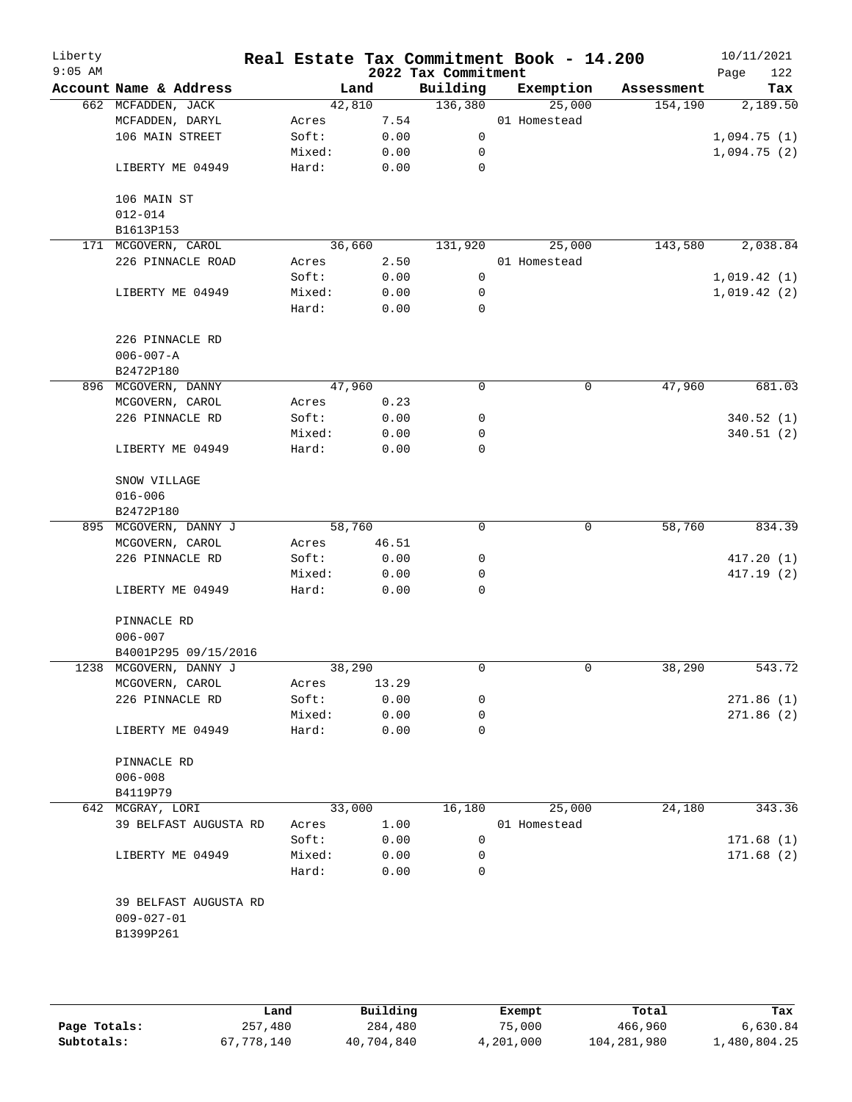| Liberty<br>$9:05$ AM |                        |        |        | 2022 Tax Commitment | Real Estate Tax Commitment Book - 14.200 |            | 10/11/2021<br>122<br>Page |
|----------------------|------------------------|--------|--------|---------------------|------------------------------------------|------------|---------------------------|
|                      | Account Name & Address |        | Land   | Building            | Exemption                                | Assessment | Tax                       |
|                      | 662 MCFADDEN, JACK     |        | 42,810 | 136,380             | 25,000                                   | 154,190    | 2,189.50                  |
|                      | MCFADDEN, DARYL        | Acres  | 7.54   |                     | 01 Homestead                             |            |                           |
|                      | 106 MAIN STREET        | Soft:  | 0.00   | $\mathsf{O}$        |                                          |            | 1,094.75(1)               |
|                      |                        | Mixed: | 0.00   | 0                   |                                          |            | 1,094.75(2)               |
|                      | LIBERTY ME 04949       | Hard:  | 0.00   | 0                   |                                          |            |                           |
|                      | 106 MAIN ST            |        |        |                     |                                          |            |                           |
|                      | $012 - 014$            |        |        |                     |                                          |            |                           |
|                      | B1613P153              |        |        |                     |                                          |            |                           |
|                      | 171 MCGOVERN, CAROL    |        | 36,660 | 131,920             | 25,000                                   | 143,580    | 2,038.84                  |
|                      | 226 PINNACLE ROAD      | Acres  | 2.50   |                     | 01 Homestead                             |            |                           |
|                      |                        | Soft:  | 0.00   | 0                   |                                          |            | 1,019.42(1)               |
|                      | LIBERTY ME 04949       | Mixed: | 0.00   | 0                   |                                          |            | 1,019.42(2)               |
|                      |                        | Hard:  | 0.00   | $\mathbf 0$         |                                          |            |                           |
|                      | 226 PINNACLE RD        |        |        |                     |                                          |            |                           |
|                      | $006 - 007 - A$        |        |        |                     |                                          |            |                           |
|                      | B2472P180              |        |        |                     |                                          |            |                           |
|                      | 896 MCGOVERN, DANNY    |        | 47,960 | 0                   | 0                                        | 47,960     | 681.03                    |
|                      | MCGOVERN, CAROL        | Acres  | 0.23   |                     |                                          |            |                           |
|                      | 226 PINNACLE RD        | Soft:  | 0.00   | 0                   |                                          |            | 340.52 (1)                |
|                      |                        | Mixed: | 0.00   | 0                   |                                          |            | 340.51(2)                 |
|                      | LIBERTY ME 04949       | Hard:  | 0.00   | 0                   |                                          |            |                           |
|                      | SNOW VILLAGE           |        |        |                     |                                          |            |                           |
|                      | $016 - 006$            |        |        |                     |                                          |            |                           |
|                      | B2472P180              |        |        |                     |                                          |            |                           |
|                      | 895 MCGOVERN, DANNY J  |        | 58,760 | 0                   | 0                                        | 58,760     | 834.39                    |
|                      | MCGOVERN, CAROL        | Acres  | 46.51  |                     |                                          |            |                           |
|                      | 226 PINNACLE RD        | Soft:  | 0.00   | 0                   |                                          |            | 417.20(1)                 |
|                      |                        | Mixed: | 0.00   | 0                   |                                          |            | 417.19(2)                 |
|                      | LIBERTY ME 04949       | Hard:  | 0.00   | 0                   |                                          |            |                           |
|                      | PINNACLE RD            |        |        |                     |                                          |            |                           |
|                      | $006 - 007$            |        |        |                     |                                          |            |                           |
|                      | B4001P295 09/15/2016   |        |        |                     |                                          |            |                           |
|                      | 1238 MCGOVERN, DANNY J |        | 38,290 | 0                   | 0                                        | 38,290     | 543.72                    |
|                      | MCGOVERN, CAROL        | Acres  | 13.29  |                     |                                          |            |                           |
|                      | 226 PINNACLE RD        | Soft:  | 0.00   | 0                   |                                          |            | 271.86(1)                 |
|                      |                        | Mixed: | 0.00   | 0                   |                                          |            | 271.86 (2)                |
|                      | LIBERTY ME 04949       | Hard:  | 0.00   | 0                   |                                          |            |                           |
|                      | PINNACLE RD            |        |        |                     |                                          |            |                           |
|                      | $006 - 008$            |        |        |                     |                                          |            |                           |
|                      | B4119P79               |        |        |                     |                                          |            |                           |
|                      | 642 MCGRAY, LORI       |        | 33,000 | 16,180              | 25,000                                   | 24,180     | 343.36                    |
|                      | 39 BELFAST AUGUSTA RD  | Acres  | 1.00   |                     | 01 Homestead                             |            |                           |
|                      |                        | Soft:  | 0.00   | 0                   |                                          |            | 171.68(1)                 |
|                      | LIBERTY ME 04949       | Mixed: | 0.00   | 0                   |                                          |            | 171.68(2)                 |
|                      |                        | Hard:  | 0.00   | $\Omega$            |                                          |            |                           |
|                      | 39 BELFAST AUGUSTA RD  |        |        |                     |                                          |            |                           |
|                      | $009 - 027 - 01$       |        |        |                     |                                          |            |                           |
|                      | B1399P261              |        |        |                     |                                          |            |                           |
|                      |                        |        |        |                     |                                          |            |                           |
|                      |                        |        |        |                     |                                          |            |                           |
|                      |                        |        |        |                     |                                          |            |                           |

|              | Land       | Building   | Exempt    | Total       | Tax          |  |
|--------------|------------|------------|-----------|-------------|--------------|--|
| Page Totals: | 257,480    | 284,480    | 75,000    | 466,960     | 6,630.84     |  |
| Subtotals:   | 67,778,140 | 40,704,840 | 4,201,000 | 104,281,980 | 1,480,804.25 |  |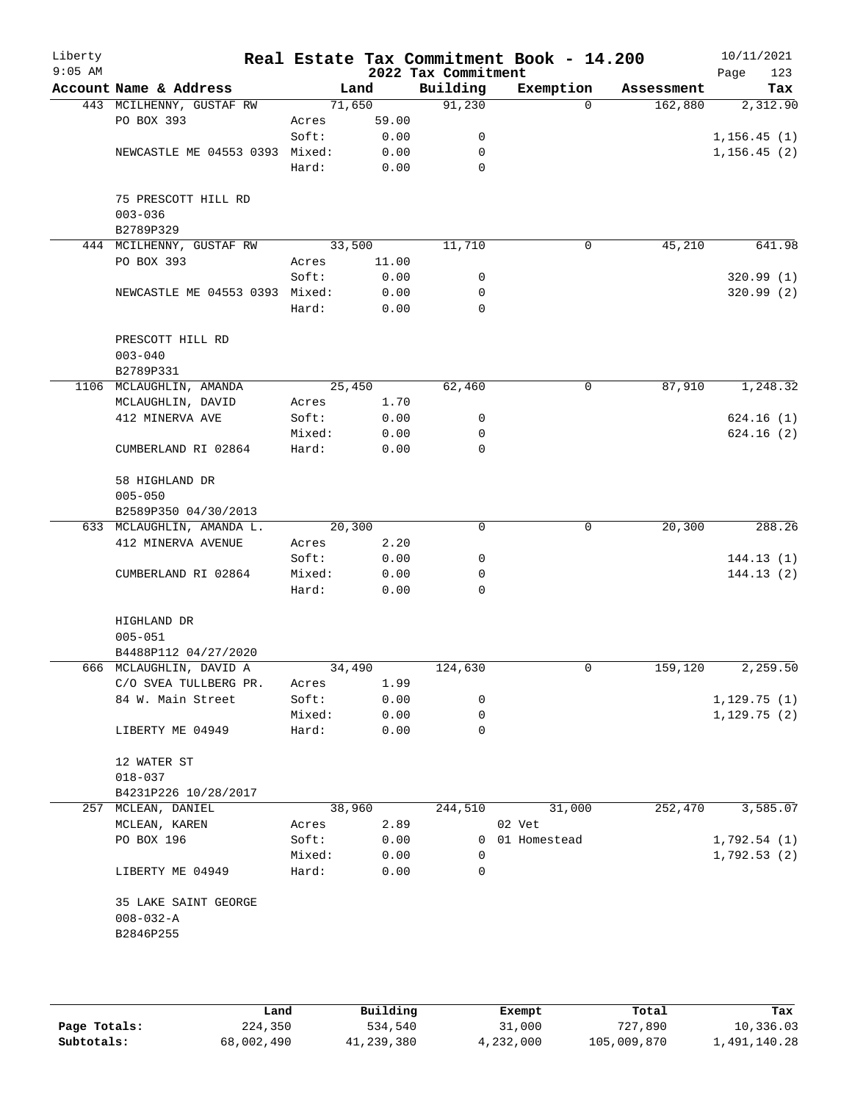| Liberty<br>$9:05$ AM |                                                      |                 |               | 2022 Tax Commitment | Real Estate Tax Commitment Book - 14.200 |            | 10/11/2021<br>123<br>Page |
|----------------------|------------------------------------------------------|-----------------|---------------|---------------------|------------------------------------------|------------|---------------------------|
|                      | Account Name & Address                               |                 | Land          | Building            | Exemption                                | Assessment | Tax                       |
|                      | 443 MCILHENNY, GUSTAF RW                             |                 | 71,650        | 91,230              | $\Omega$                                 | 162,880    | 2,312.90                  |
|                      | PO BOX 393                                           | Acres           | 59.00         |                     |                                          |            |                           |
|                      |                                                      | Soft:           | 0.00          | 0                   |                                          |            | 1, 156.45(1)              |
|                      | NEWCASTLE ME 04553 0393 Mixed:                       |                 | 0.00          | 0                   |                                          |            | 1, 156.45(2)              |
|                      |                                                      | Hard:           | 0.00          | $\mathbf 0$         |                                          |            |                           |
|                      | 75 PRESCOTT HILL RD<br>$003 - 036$                   |                 |               |                     |                                          |            |                           |
|                      | B2789P329                                            |                 | 33,500        |                     |                                          |            |                           |
|                      | 444 MCILHENNY, GUSTAF RW<br>PO BOX 393               |                 |               | 11,710              | 0                                        | 45,210     | 641.98                    |
|                      |                                                      | Acres<br>Soft:  | 11.00<br>0.00 | 0                   |                                          |            | 320.99(1)                 |
|                      | NEWCASTLE ME 04553 0393 Mixed:                       |                 | 0.00          | 0                   |                                          |            | 320.99(2)                 |
|                      |                                                      | Hard:           | 0.00          | 0                   |                                          |            |                           |
|                      |                                                      |                 |               |                     |                                          |            |                           |
|                      | PRESCOTT HILL RD<br>$003 - 040$                      |                 |               |                     |                                          |            |                           |
|                      | B2789P331                                            |                 |               |                     |                                          |            |                           |
|                      | 1106 MCLAUGHLIN, AMANDA                              |                 | 25,450        | 62,460              | 0                                        | 87,910     | 1,248.32                  |
|                      | MCLAUGHLIN, DAVID                                    | Acres           | 1.70          |                     |                                          |            |                           |
|                      | 412 MINERVA AVE                                      | Soft:           | 0.00          | 0<br>0              |                                          |            | 624.16(1)<br>624.16(2)    |
|                      |                                                      | Mixed:<br>Hard: | 0.00          | $\mathbf 0$         |                                          |            |                           |
|                      | CUMBERLAND RI 02864                                  |                 | 0.00          |                     |                                          |            |                           |
|                      | 58 HIGHLAND DR                                       |                 |               |                     |                                          |            |                           |
|                      | $005 - 050$                                          |                 |               |                     |                                          |            |                           |
|                      | B2589P350 04/30/2013                                 |                 |               |                     |                                          |            |                           |
|                      | 633 MCLAUGHLIN, AMANDA L.                            |                 | 20,300        | 0                   | 0                                        | 20,300     | 288.26                    |
|                      | 412 MINERVA AVENUE                                   | Acres           | 2.20          |                     |                                          |            |                           |
|                      |                                                      | Soft:           | 0.00          | 0                   |                                          |            | 144.13(1)                 |
|                      | CUMBERLAND RI 02864                                  | Mixed:          | 0.00          | 0                   |                                          |            | 144.13(2)                 |
|                      |                                                      | Hard:           | 0.00          | $\Omega$            |                                          |            |                           |
|                      | HIGHLAND DR<br>$005 - 051$                           |                 |               |                     |                                          |            |                           |
|                      | B4488P112 04/27/2020                                 |                 |               |                     |                                          |            |                           |
|                      | 666 MCLAUGHLIN, DAVID A                              |                 | 34,490        | 124,630             | 0                                        | 159,120    | 2,259.50                  |
|                      | C/O SVEA TULLBERG PR.                                | Acres           | 1.99          |                     |                                          |            |                           |
|                      | 84 W. Main Street                                    | Soft:           | 0.00          | 0                   |                                          |            | 1,129.75(1)               |
|                      |                                                      | Mixed:          | 0.00          | 0                   |                                          |            | 1, 129.75(2)              |
|                      | LIBERTY ME 04949                                     | Hard:           | 0.00          | 0                   |                                          |            |                           |
|                      | 12 WATER ST                                          |                 |               |                     |                                          |            |                           |
|                      | $018 - 037$                                          |                 |               |                     |                                          |            |                           |
|                      | B4231P226 10/28/2017                                 |                 |               |                     |                                          |            |                           |
|                      | 257 MCLEAN, DANIEL                                   |                 | 38,960        | 244,510             | 31,000                                   | 252,470    | 3,585.07                  |
|                      | MCLEAN, KAREN                                        | Acres           | 2.89          |                     | 02 Vet                                   |            |                           |
|                      | PO BOX 196                                           | Soft:           | 0.00          |                     | 0 01 Homestead                           |            | 1,792.54(1)               |
|                      |                                                      | Mixed:          | 0.00          | 0                   |                                          |            | 1,792.53(2)               |
|                      | LIBERTY ME 04949                                     | Hard:           | 0.00          | 0                   |                                          |            |                           |
|                      | 35 LAKE SAINT GEORGE<br>$008 - 032 - A$<br>B2846P255 |                 |               |                     |                                          |            |                           |
|                      |                                                      |                 |               |                     |                                          |            |                           |

|              | Land       | Building   | Exempt    | Total       | Tax          |
|--------------|------------|------------|-----------|-------------|--------------|
| Page Totals: | 224,350    | 534,540    | 31,000    | 727,890     | 10,336.03    |
| Subtotals:   | 68,002,490 | 41,239,380 | 4,232,000 | 105,009,870 | 1,491,140.28 |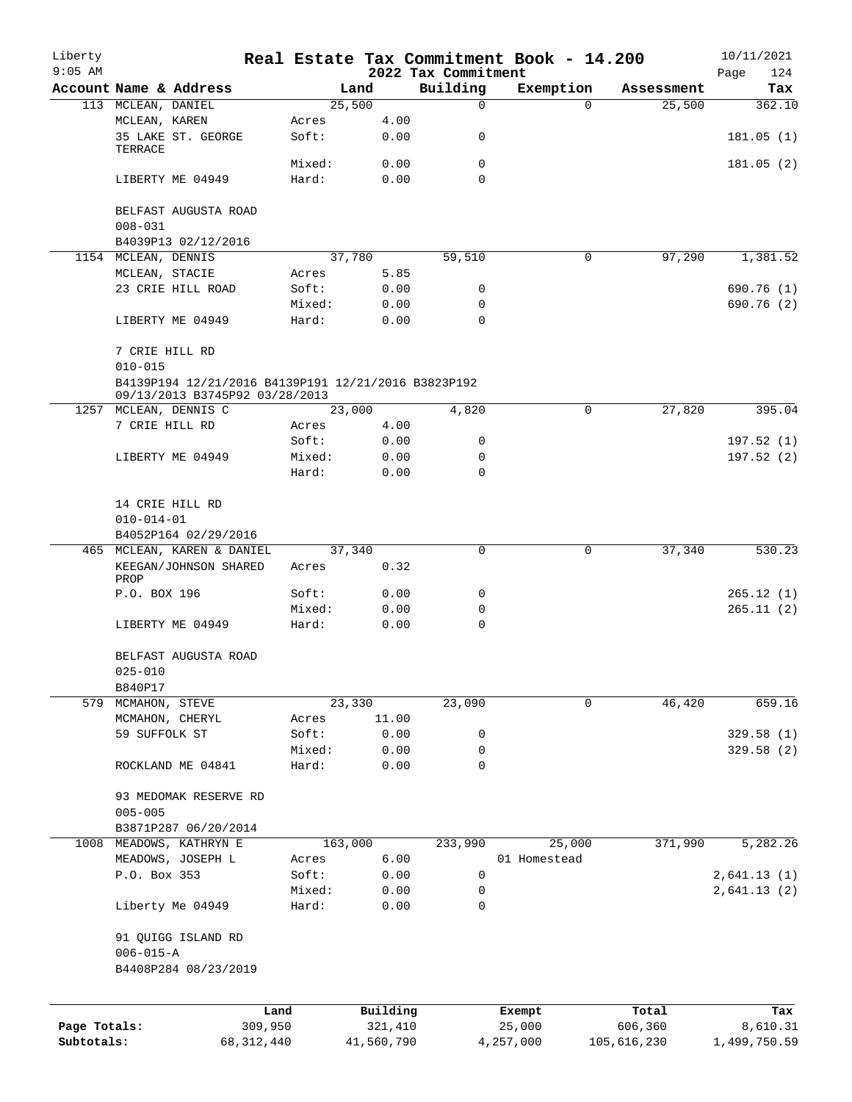| Liberty<br>$9:05$ AM |                                                                                       |                 |                | 2022 Tax Commitment | Real Estate Tax Commitment Book - 14.200 |             | 10/11/2021<br>124<br>Page |
|----------------------|---------------------------------------------------------------------------------------|-----------------|----------------|---------------------|------------------------------------------|-------------|---------------------------|
|                      | Account Name & Address                                                                |                 | Land           | Building            | Exemption                                | Assessment  | Tax                       |
|                      | 113 MCLEAN, DANIEL                                                                    |                 | 25,500         | 0                   | $\Omega$                                 | 25,500      | 362.10                    |
|                      | MCLEAN, KAREN                                                                         | Acres           | 4.00           |                     |                                          |             |                           |
|                      | 35 LAKE ST. GEORGE<br>TERRACE                                                         | Soft:           | 0.00           | 0                   |                                          |             | 181.05(1)                 |
|                      |                                                                                       | Mixed:          | 0.00           | 0                   |                                          |             | 181.05(2)                 |
|                      | LIBERTY ME 04949                                                                      | Hard:           | 0.00           | $\Omega$            |                                          |             |                           |
|                      | BELFAST AUGUSTA ROAD<br>$008 - 031$                                                   |                 |                |                     |                                          |             |                           |
|                      | B4039P13 02/12/2016                                                                   |                 |                |                     |                                          |             |                           |
|                      | 1154 MCLEAN, DENNIS                                                                   |                 | 37,780         | 59,510              | 0                                        | 97,290      | 1,381.52                  |
|                      | MCLEAN, STACIE                                                                        | Acres           | 5.85           |                     |                                          |             |                           |
|                      | 23 CRIE HILL ROAD                                                                     | Soft:           | 0.00           | 0                   |                                          |             | 690.76(1)                 |
|                      |                                                                                       | Mixed:          | 0.00           | $\mathbf 0$         |                                          |             | 690.76 (2)                |
|                      | LIBERTY ME 04949                                                                      | Hard:           | 0.00           | $\Omega$            |                                          |             |                           |
|                      | 7 CRIE HILL RD<br>$010 - 015$                                                         |                 |                |                     |                                          |             |                           |
|                      | B4139P194 12/21/2016 B4139P191 12/21/2016 B3823P192<br>09/13/2013 B3745P92 03/28/2013 |                 |                |                     |                                          |             |                           |
|                      | 1257 MCLEAN, DENNIS C                                                                 |                 | 23,000         | 4,820               | 0                                        | 27,820      | 395.04                    |
|                      | 7 CRIE HILL RD                                                                        | Acres           | 4.00           |                     |                                          |             |                           |
|                      |                                                                                       | Soft:           | 0.00           | 0                   |                                          |             | 197.52(1)                 |
|                      | LIBERTY ME 04949                                                                      | Mixed:          | 0.00           | 0                   |                                          |             | 197.52(2)                 |
|                      |                                                                                       | Hard:           | 0.00           | $\mathbf 0$         |                                          |             |                           |
|                      | 14 CRIE HILL RD                                                                       |                 |                |                     |                                          |             |                           |
|                      | $010 - 014 - 01$                                                                      |                 |                |                     |                                          |             |                           |
|                      | B4052P164 02/29/2016                                                                  |                 |                |                     |                                          |             |                           |
|                      | 465 MCLEAN, KAREN & DANIEL<br>KEEGAN/JOHNSON SHARED                                   | Acres           | 37,340<br>0.32 | 0                   | $\mathbf 0$                              | 37,340      | 530.23                    |
|                      | PROP                                                                                  |                 |                |                     |                                          |             |                           |
|                      | P.O. BOX 196                                                                          | Soft:           | 0.00           | 0                   |                                          |             | 265.12(1)                 |
|                      |                                                                                       | Mixed:          | 0.00           | 0                   |                                          |             | 265.11(2)                 |
|                      | LIBERTY ME 04949                                                                      | Hard:           | 0.00           | $\Omega$            |                                          |             |                           |
|                      | BELFAST AUGUSTA ROAD<br>$025 - 010$                                                   |                 |                |                     |                                          |             |                           |
|                      | B840P17                                                                               |                 |                |                     |                                          |             |                           |
|                      | 579 MCMAHON, STEVE                                                                    |                 | 23,330         | 23,090              | 0                                        | 46,420      | 659.16                    |
|                      | MCMAHON, CHERYL                                                                       | Acres           | 11.00          |                     |                                          |             |                           |
|                      | 59 SUFFOLK ST                                                                         | Soft:           | 0.00           | 0                   |                                          |             | 329.58 (1)                |
|                      | ROCKLAND ME 04841                                                                     | Mixed:<br>Hard: | 0.00<br>0.00   | 0<br>$\mathbf 0$    |                                          |             | 329.58(2)                 |
|                      |                                                                                       |                 |                |                     |                                          |             |                           |
|                      | 93 MEDOMAK RESERVE RD                                                                 |                 |                |                     |                                          |             |                           |
|                      | $005 - 005$                                                                           |                 |                |                     |                                          |             |                           |
|                      | B3871P287 06/20/2014                                                                  |                 |                |                     |                                          |             |                           |
|                      | 1008 MEADOWS, KATHRYN E                                                               | 163,000         |                | 233,990             | 25,000                                   | 371,990     | 5,282.26                  |
|                      | MEADOWS, JOSEPH L                                                                     | Acres           | 6.00           |                     | 01 Homestead                             |             |                           |
|                      | P.O. Box 353                                                                          | Soft:           | 0.00           | 0                   |                                          |             | 2,641.13(1)               |
|                      |                                                                                       | Mixed:          | 0.00           | 0                   |                                          |             | 2,641.13(2)               |
|                      | Liberty Me 04949                                                                      | Hard:           | 0.00           | 0                   |                                          |             |                           |
|                      | 91 QUIGG ISLAND RD                                                                    |                 |                |                     |                                          |             |                           |
|                      | $006 - 015 - A$                                                                       |                 |                |                     |                                          |             |                           |
|                      | B4408P284 08/23/2019                                                                  |                 |                |                     |                                          |             |                           |
|                      | Land                                                                                  |                 | Building       |                     | Exempt                                   | Total       | Tax                       |
| Page Totals:         | 309,950                                                                               |                 | 321,410        |                     | 25,000                                   | 606,360     | 8,610.31                  |
| Subtotals:           | 68, 312, 440                                                                          |                 | 41,560,790     |                     | 4,257,000                                | 105,616,230 | 1,499,750.59              |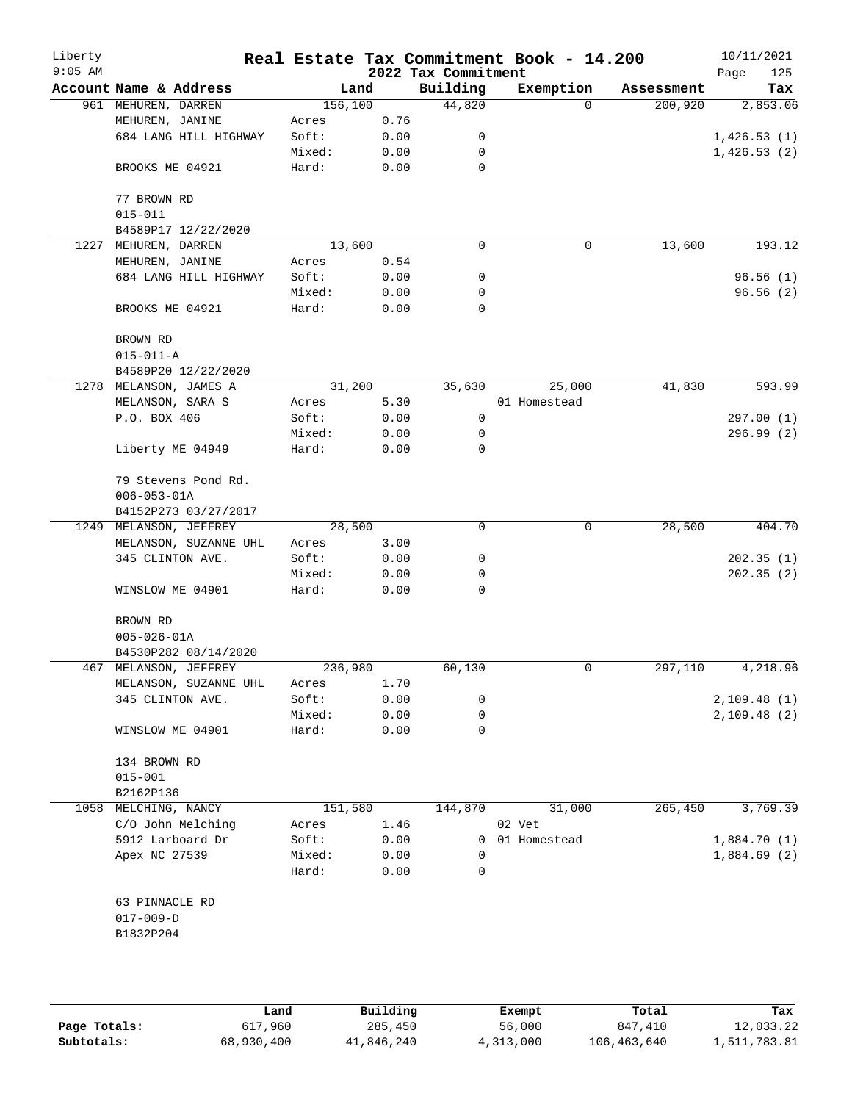| Liberty   |                        |         |      |                                 | Real Estate Tax Commitment Book - 14.200 |            | 10/11/2021         |
|-----------|------------------------|---------|------|---------------------------------|------------------------------------------|------------|--------------------|
| $9:05$ AM | Account Name & Address | Land    |      | 2022 Tax Commitment<br>Building | Exemption                                | Assessment | Page<br>125<br>Tax |
|           | 961 MEHUREN, DARREN    | 156,100 |      | 44,820                          | $\Omega$                                 | 200,920    | 2,853.06           |
|           | MEHUREN, JANINE        | Acres   | 0.76 |                                 |                                          |            |                    |
|           | 684 LANG HILL HIGHWAY  | Soft:   | 0.00 | 0                               |                                          |            | 1,426.53(1)        |
|           |                        | Mixed:  | 0.00 | 0                               |                                          |            | 1,426.53(2)        |
|           | BROOKS ME 04921        | Hard:   | 0.00 | $\mathbf 0$                     |                                          |            |                    |
|           |                        |         |      |                                 |                                          |            |                    |
|           | 77 BROWN RD            |         |      |                                 |                                          |            |                    |
|           | $015 - 011$            |         |      |                                 |                                          |            |                    |
|           | B4589P17 12/22/2020    |         |      |                                 |                                          |            |                    |
|           | 1227 MEHUREN, DARREN   | 13,600  |      | $\Omega$                        | 0                                        | 13,600     | 193.12             |
|           | MEHUREN, JANINE        | Acres   | 0.54 |                                 |                                          |            |                    |
|           | 684 LANG HILL HIGHWAY  | Soft:   | 0.00 | 0                               |                                          |            | 96.56(1)           |
|           |                        | Mixed:  | 0.00 | 0                               |                                          |            | 96.56(2)           |
|           | BROOKS ME 04921        | Hard:   | 0.00 | $\mathbf 0$                     |                                          |            |                    |
|           | BROWN RD               |         |      |                                 |                                          |            |                    |
|           | $015 - 011 - A$        |         |      |                                 |                                          |            |                    |
|           | B4589P20 12/22/2020    |         |      |                                 |                                          |            |                    |
|           | 1278 MELANSON, JAMES A | 31,200  |      | 35,630                          | 25,000                                   | 41,830     | 593.99             |
|           | MELANSON, SARA S       | Acres   | 5.30 |                                 | 01 Homestead                             |            |                    |
|           | P.O. BOX 406           | Soft:   | 0.00 | 0                               |                                          |            | 297.00(1)          |
|           |                        | Mixed:  | 0.00 | 0                               |                                          |            | 296.99(2)          |
|           | Liberty ME 04949       | Hard:   | 0.00 | 0                               |                                          |            |                    |
|           | 79 Stevens Pond Rd.    |         |      |                                 |                                          |            |                    |
|           | $006 - 053 - 01A$      |         |      |                                 |                                          |            |                    |
|           | B4152P273 03/27/2017   |         |      |                                 |                                          |            |                    |
|           | 1249 MELANSON, JEFFREY | 28,500  |      | $\mathbf 0$                     | 0                                        | 28,500     | 404.70             |
|           | MELANSON, SUZANNE UHL  | Acres   | 3.00 |                                 |                                          |            |                    |
|           | 345 CLINTON AVE.       | Soft:   | 0.00 | 0                               |                                          |            | 202.35(1)          |
|           |                        | Mixed:  | 0.00 | 0                               |                                          |            | 202.35(2)          |
|           | WINSLOW ME 04901       | Hard:   | 0.00 | 0                               |                                          |            |                    |
|           | BROWN RD               |         |      |                                 |                                          |            |                    |
|           | $005 - 026 - 01A$      |         |      |                                 |                                          |            |                    |
|           | B4530P282 08/14/2020   |         |      |                                 |                                          |            |                    |
|           | 467 MELANSON, JEFFREY  | 236,980 |      | 60,130                          | 0                                        | 297,110    | 4,218.96           |
|           | MELANSON, SUZANNE UHL  | Acres   | 1.70 |                                 |                                          |            |                    |
|           | 345 CLINTON AVE.       | Soft:   | 0.00 | 0                               |                                          |            | 2,109.48(1)        |
|           |                        | Mixed:  | 0.00 | 0                               |                                          |            | 2,109.48(2)        |
|           | WINSLOW ME 04901       | Hard:   | 0.00 | 0                               |                                          |            |                    |
|           | 134 BROWN RD           |         |      |                                 |                                          |            |                    |
|           | $015 - 001$            |         |      |                                 |                                          |            |                    |
|           | B2162P136              |         |      |                                 |                                          |            |                    |
| 1058      | MELCHING, NANCY        | 151,580 |      | 144,870                         | 31,000                                   | 265,450    | 3,769.39           |
|           | C/O John Melching      | Acres   | 1.46 |                                 | 02 Vet                                   |            |                    |
|           | 5912 Larboard Dr       | Soft:   | 0.00 | 0                               | 01 Homestead                             |            | 1,884.70(1)        |
|           | Apex NC 27539          | Mixed:  | 0.00 | 0                               |                                          |            | 1,884.69(2)        |
|           |                        | Hard:   | 0.00 | 0                               |                                          |            |                    |
|           | 63 PINNACLE RD         |         |      |                                 |                                          |            |                    |
|           | $017 - 009 - D$        |         |      |                                 |                                          |            |                    |
|           | B1832P204              |         |      |                                 |                                          |            |                    |
|           |                        |         |      |                                 |                                          |            |                    |
|           |                        |         |      |                                 |                                          |            |                    |
|           |                        |         |      |                                 |                                          |            |                    |
|           |                        |         |      |                                 |                                          |            |                    |

|              | Land       | Building   | Exempt    | Total       | Tax          |
|--------------|------------|------------|-----------|-------------|--------------|
| Page Totals: | 617,960    | 285,450    | 56,000    | 847,410     | 12,033.22    |
| Subtotals:   | 68,930,400 | 41,846,240 | 4,313,000 | 106,463,640 | 1,511,783.81 |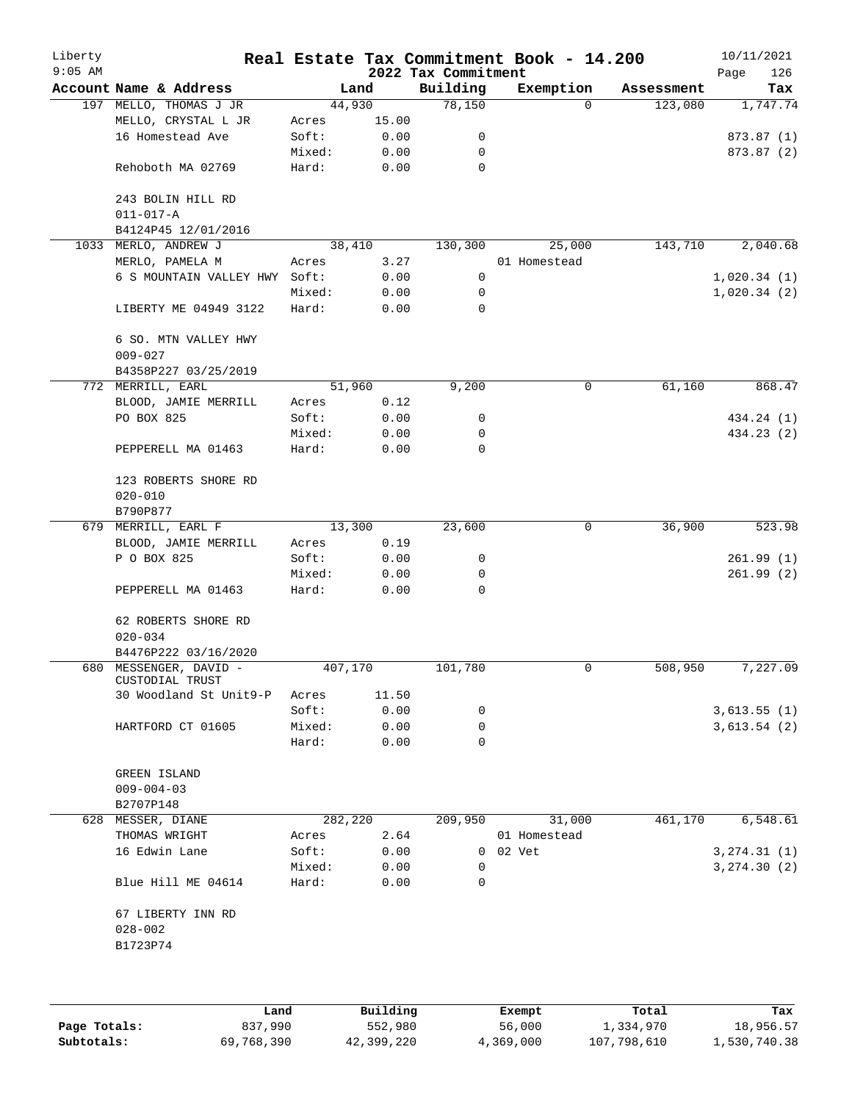| Liberty<br>$9:05$ AM |                                           |         |       | 2022 Tax Commitment | Real Estate Tax Commitment Book - 14.200 |            | 10/11/2021<br>Page<br>126 |
|----------------------|-------------------------------------------|---------|-------|---------------------|------------------------------------------|------------|---------------------------|
|                      | Account Name & Address                    |         | Land  | Building            | Exemption                                | Assessment | Tax                       |
|                      | 197 MELLO, THOMAS J JR                    | 44,930  |       | 78,150              | $\Omega$                                 | 123,080    | 1,747.74                  |
|                      | MELLO, CRYSTAL L JR                       | Acres   | 15.00 |                     |                                          |            |                           |
|                      | 16 Homestead Ave                          | Soft:   | 0.00  | 0                   |                                          |            | 873.87 (1)                |
|                      |                                           | Mixed:  | 0.00  | 0                   |                                          |            | 873.87 (2)                |
|                      | Rehoboth MA 02769                         | Hard:   | 0.00  | 0                   |                                          |            |                           |
|                      | 243 BOLIN HILL RD<br>$011 - 017 - A$      |         |       |                     |                                          |            |                           |
|                      | B4124P45 12/01/2016                       |         |       |                     |                                          |            |                           |
|                      | 1033 MERLO, ANDREW J                      | 38,410  |       | 130,300             | 25,000                                   | 143,710    | 2,040.68                  |
|                      | MERLO, PAMELA M                           | Acres   | 3.27  |                     | 01 Homestead                             |            |                           |
|                      | 6 S MOUNTAIN VALLEY HWY Soft:             |         | 0.00  | 0                   |                                          |            | 1,020.34(1)               |
|                      |                                           | Mixed:  | 0.00  | 0                   |                                          |            | 1,020.34(2)               |
|                      | LIBERTY ME 04949 3122                     | Hard:   | 0.00  | $\mathbf 0$         |                                          |            |                           |
|                      | 6 SO. MTN VALLEY HWY<br>$009 - 027$       |         |       |                     |                                          |            |                           |
|                      | B4358P227 03/25/2019                      |         |       |                     |                                          |            |                           |
|                      | 772 MERRILL, EARL                         | 51,960  |       | 9,200               | 0                                        | 61,160     | 868.47                    |
|                      | BLOOD, JAMIE MERRILL                      | Acres   | 0.12  |                     |                                          |            |                           |
|                      | PO BOX 825                                | Soft:   | 0.00  | 0                   |                                          |            | 434.24 (1)                |
|                      |                                           | Mixed:  | 0.00  | 0                   |                                          |            | 434.23 (2)                |
|                      | PEPPERELL MA 01463                        | Hard:   | 0.00  | 0                   |                                          |            |                           |
|                      | 123 ROBERTS SHORE RD<br>$020 - 010$       |         |       |                     |                                          |            |                           |
|                      | B790P877                                  |         |       |                     |                                          |            |                           |
|                      | 679 MERRILL, EARL F                       | 13,300  |       | 23,600              | 0                                        | 36,900     | 523.98                    |
|                      | BLOOD, JAMIE MERRILL                      | Acres   | 0.19  |                     |                                          |            |                           |
|                      | P O BOX 825                               | Soft:   | 0.00  | 0                   |                                          |            | 261.99(1)                 |
|                      |                                           | Mixed:  | 0.00  | 0                   |                                          |            | 261.99(2)                 |
|                      | PEPPERELL MA 01463                        | Hard:   | 0.00  | 0                   |                                          |            |                           |
|                      | 62 ROBERTS SHORE RD                       |         |       |                     |                                          |            |                           |
|                      | $020 - 034$                               |         |       |                     |                                          |            |                           |
|                      | B4476P222 03/16/2020                      |         |       |                     |                                          |            |                           |
|                      | 680 MESSENGER, DAVID -<br>CUSTODIAL TRUST | 407,170 |       | 101,780             | 0                                        | 508,950    | 7,227.09                  |
|                      | 30 Woodland St Unit9-P                    | Acres   | 11.50 |                     |                                          |            |                           |
|                      |                                           | Soft:   | 0.00  | 0                   |                                          |            | 3,613.55(1)               |
|                      | HARTFORD CT 01605                         | Mixed:  | 0.00  | 0                   |                                          |            | 3,613.54(2)               |
|                      |                                           | Hard:   | 0.00  | 0                   |                                          |            |                           |
|                      | GREEN ISLAND<br>$009 - 004 - 03$          |         |       |                     |                                          |            |                           |
|                      | B2707P148                                 |         |       |                     |                                          |            |                           |
| 628                  | MESSER, DIANE                             | 282,220 |       | 209,950             | 31,000                                   | 461,170    | 6,548.61                  |
|                      | THOMAS WRIGHT                             | Acres   | 2.64  |                     | 01 Homestead                             |            |                           |
|                      | 16 Edwin Lane                             | Soft:   | 0.00  | 0                   | 02 Vet                                   |            | 3, 274.31 (1)             |
|                      |                                           | Mixed:  | 0.00  | 0                   |                                          |            | 3, 274.30(2)              |
|                      | Blue Hill ME 04614                        | Hard:   | 0.00  | 0                   |                                          |            |                           |
|                      | 67 LIBERTY INN RD                         |         |       |                     |                                          |            |                           |
|                      | $028 - 002$<br>B1723P74                   |         |       |                     |                                          |            |                           |
|                      |                                           |         |       |                     |                                          |            |                           |
|                      |                                           |         |       |                     |                                          |            |                           |
|                      |                                           |         |       |                     |                                          |            |                           |

|              | Land       | Building   | Exempt    | Total       | Tax          |
|--------------|------------|------------|-----------|-------------|--------------|
| Page Totals: | 837,990    | 552,980    | 56,000    | 1,334,970   | 18,956.57    |
| Subtotals:   | 69,768,390 | 42,399,220 | 4,369,000 | 107,798,610 | 1,530,740.38 |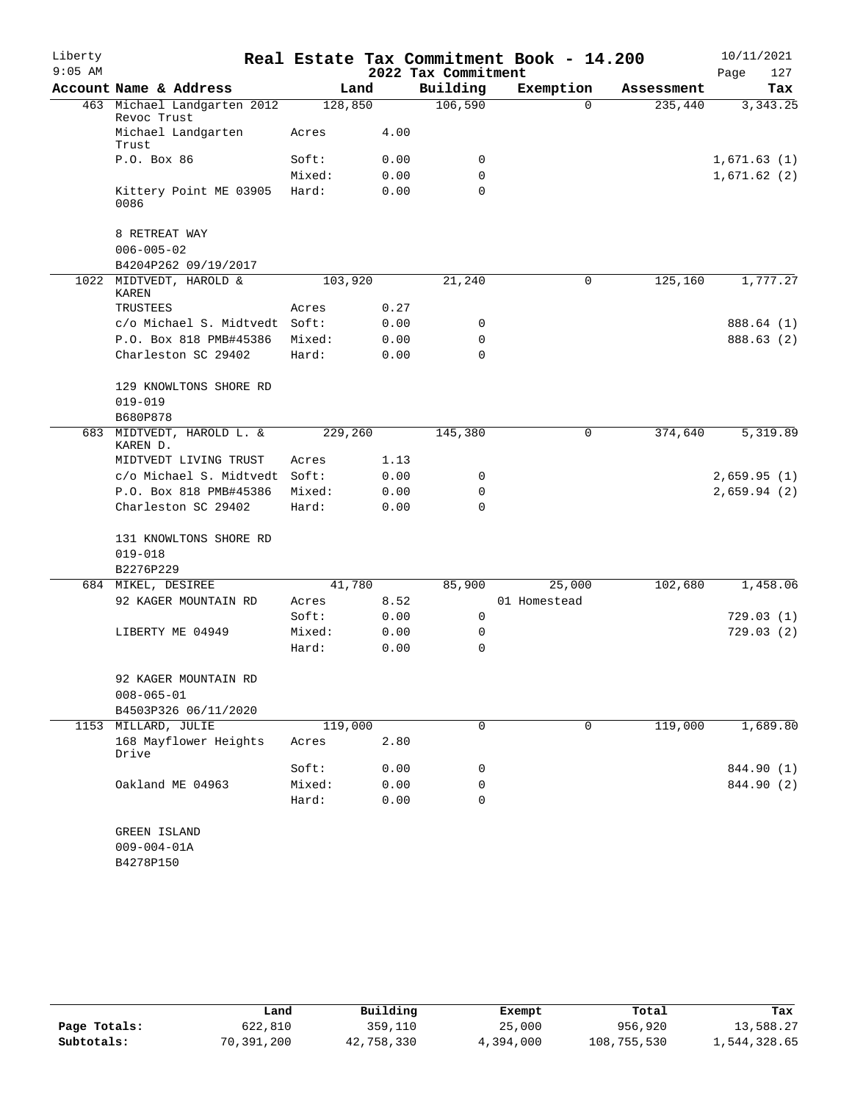| Liberty   |                                            |         |      |                     | Real Estate Tax Commitment Book - 14.200 |            | 10/11/2021  |
|-----------|--------------------------------------------|---------|------|---------------------|------------------------------------------|------------|-------------|
| $9:05$ AM |                                            |         |      | 2022 Tax Commitment |                                          |            | Page<br>127 |
|           | Account Name & Address                     |         | Land | Building            | Exemption                                | Assessment | Tax         |
|           | 463 Michael Landgarten 2012<br>Revoc Trust | 128,850 |      | 106,590             | $\Omega$                                 | 235,440    | 3, 343.25   |
|           | Michael Landgarten<br>Trust                | Acres   | 4.00 |                     |                                          |            |             |
|           | P.O. Box 86                                | Soft:   | 0.00 | 0                   |                                          |            | 1,671.63(1) |
|           |                                            | Mixed:  | 0.00 | 0                   |                                          |            | 1,671.62(2) |
|           | Kittery Point ME 03905<br>0086             | Hard:   | 0.00 | $\Omega$            |                                          |            |             |
|           | 8 RETREAT WAY                              |         |      |                     |                                          |            |             |
|           | $006 - 005 - 02$                           |         |      |                     |                                          |            |             |
|           | B4204P262 09/19/2017                       |         |      |                     |                                          |            |             |
|           | 1022 MIDTVEDT, HAROLD &<br><b>KAREN</b>    | 103,920 |      | 21,240              | 0                                        | 125,160    | 1,777.27    |
|           | TRUSTEES                                   | Acres   | 0.27 |                     |                                          |            |             |
|           | c/o Michael S. Midtvedt Soft:              |         | 0.00 | 0                   |                                          |            | 888.64 (1)  |
|           | P.O. Box 818 PMB#45386                     | Mixed:  | 0.00 | 0                   |                                          |            | 888.63 (2)  |
|           | Charleston SC 29402                        | Hard:   | 0.00 | $\Omega$            |                                          |            |             |
|           | 129 KNOWLTONS SHORE RD                     |         |      |                     |                                          |            |             |
|           | $019 - 019$<br>B680P878                    |         |      |                     |                                          |            |             |
|           | 683 MIDTVEDT, HAROLD L. &<br>KAREN D.      | 229,260 |      | 145,380             | 0                                        | 374,640    | 5,319.89    |
|           | MIDTVEDT LIVING TRUST                      | Acres   | 1.13 |                     |                                          |            |             |
|           | c/o Michael S. Midtvedt Soft:              |         | 0.00 | 0                   |                                          |            | 2,659.95(1) |
|           | P.O. Box 818 PMB#45386                     | Mixed:  | 0.00 | 0                   |                                          |            | 2,659.94(2) |
|           | Charleston SC 29402                        | Hard:   | 0.00 | $\Omega$            |                                          |            |             |
|           | 131 KNOWLTONS SHORE RD                     |         |      |                     |                                          |            |             |
|           | $019 - 018$                                |         |      |                     |                                          |            |             |
|           | B2276P229                                  | 41,780  |      | 85,900              |                                          | 102,680    | 1,458.06    |
|           | 684 MIKEL, DESIREE<br>92 KAGER MOUNTAIN RD | Acres   | 8.52 |                     | 25,000<br>01 Homestead                   |            |             |
|           |                                            | Soft:   | 0.00 | 0                   |                                          |            | 729.03(1)   |
|           | LIBERTY ME 04949                           | Mixed:  | 0.00 | 0                   |                                          |            | 729.03(2)   |
|           |                                            | Hard:   | 0.00 | 0                   |                                          |            |             |
|           | 92 KAGER MOUNTAIN RD<br>$008 - 065 - 01$   |         |      |                     |                                          |            |             |
|           | B4503P326 06/11/2020                       |         |      |                     |                                          |            |             |
|           | 1153 MILLARD, JULIE                        | 119,000 |      | 0                   | 0                                        | 119,000    | 1,689.80    |
|           | 168 Mayflower Heights<br>Drive             | Acres   | 2.80 |                     |                                          |            |             |
|           |                                            | Soft:   | 0.00 | 0                   |                                          |            | 844.90 (1)  |
|           | Oakland ME 04963                           | Mixed:  | 0.00 | 0                   |                                          |            | 844.90 (2)  |
|           |                                            | Hard:   | 0.00 | 0                   |                                          |            |             |
|           | GREEN ISLAND                               |         |      |                     |                                          |            |             |
|           | $009 - 004 - 01A$                          |         |      |                     |                                          |            |             |
|           | B4278P150                                  |         |      |                     |                                          |            |             |

|              | Land       | Building   | Exempt    | Total       | Tax          |
|--------------|------------|------------|-----------|-------------|--------------|
| Page Totals: | 622,810    | 359,110    | 25,000    | 956,920     | 13,588.27    |
| Subtotals:   | 70,391,200 | 42,758,330 | 4,394,000 | 108,755,530 | 1,544,328.65 |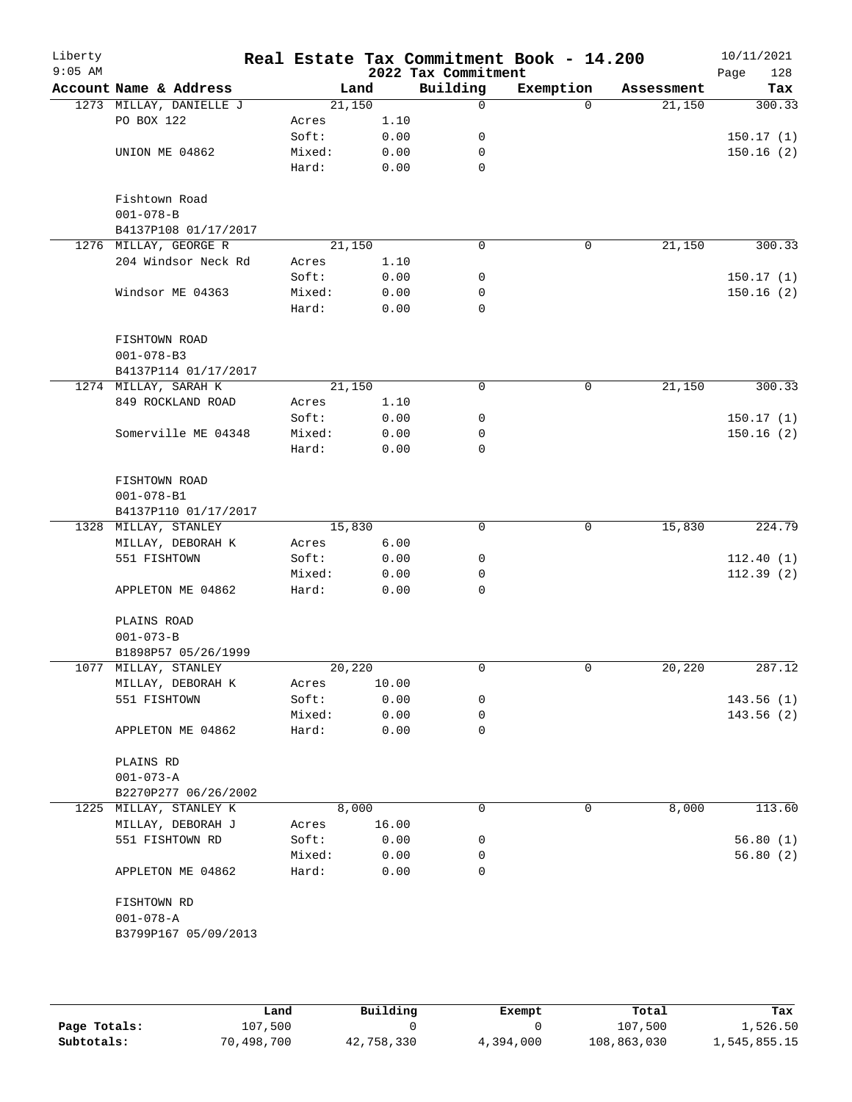| Liberty<br>$9:05$ AM |                         |        |        | 2022 Tax Commitment | Real Estate Tax Commitment Book - 14.200 |            | 10/11/2021<br>Page<br>128 |
|----------------------|-------------------------|--------|--------|---------------------|------------------------------------------|------------|---------------------------|
|                      | Account Name & Address  |        | Land   | Building            | Exemption                                | Assessment | Tax                       |
|                      | 1273 MILLAY, DANIELLE J | 21,150 |        | 0                   | $\Omega$                                 | 21,150     | 300.33                    |
|                      | PO BOX 122              | Acres  | 1.10   |                     |                                          |            |                           |
|                      |                         | Soft:  | 0.00   | 0                   |                                          |            | 150.17(1)                 |
|                      | UNION ME 04862          | Mixed: | 0.00   | 0                   |                                          |            | 150.16(2)                 |
|                      |                         | Hard:  | 0.00   | $\mathbf 0$         |                                          |            |                           |
|                      | Fishtown Road           |        |        |                     |                                          |            |                           |
|                      | $001 - 078 - B$         |        |        |                     |                                          |            |                           |
|                      | B4137P108 01/17/2017    |        |        |                     |                                          |            |                           |
|                      | 1276 MILLAY, GEORGE R   |        | 21,150 | $\Omega$            | 0                                        | 21,150     | 300.33                    |
|                      | 204 Windsor Neck Rd     | Acres  | 1.10   |                     |                                          |            |                           |
|                      |                         | Soft:  | 0.00   | 0                   |                                          |            | 150.17(1)                 |
|                      | Windsor ME 04363        | Mixed: | 0.00   | 0                   |                                          |            | 150.16(2)                 |
|                      |                         | Hard:  | 0.00   | 0                   |                                          |            |                           |
|                      | FISHTOWN ROAD           |        |        |                     |                                          |            |                           |
|                      | $001 - 078 - B3$        |        |        |                     |                                          |            |                           |
|                      | B4137P114 01/17/2017    |        |        |                     |                                          |            |                           |
|                      | 1274 MILLAY, SARAH K    |        | 21,150 | 0                   | 0                                        | 21,150     | 300.33                    |
|                      | 849 ROCKLAND ROAD       | Acres  | 1.10   |                     |                                          |            |                           |
|                      |                         | Soft:  | 0.00   | 0                   |                                          |            | 150.17(1)                 |
|                      | Somerville ME 04348     | Mixed: | 0.00   | 0                   |                                          |            | 150.16(2)                 |
|                      |                         | Hard:  | 0.00   | 0                   |                                          |            |                           |
|                      | FISHTOWN ROAD           |        |        |                     |                                          |            |                           |
|                      | $001 - 078 - B1$        |        |        |                     |                                          |            |                           |
|                      | B4137P110 01/17/2017    |        |        |                     |                                          |            |                           |
|                      | 1328 MILLAY, STANLEY    | 15,830 |        | $\mathbf 0$         | 0                                        | 15,830     | 224.79                    |
|                      | MILLAY, DEBORAH K       | Acres  | 6.00   |                     |                                          |            |                           |
|                      | 551 FISHTOWN            | Soft:  | 0.00   | 0                   |                                          |            | 112.40(1)                 |
|                      |                         | Mixed: | 0.00   | 0                   |                                          |            | 112.39(2)                 |
|                      | APPLETON ME 04862       | Hard:  | 0.00   | 0                   |                                          |            |                           |
|                      | PLAINS ROAD             |        |        |                     |                                          |            |                           |
|                      | $001 - 073 - B$         |        |        |                     |                                          |            |                           |
|                      | B1898P57 05/26/1999     |        |        |                     |                                          |            |                           |
|                      | 1077 MILLAY, STANLEY    | 20,220 |        | 0                   | 0                                        | 20,220     | 287.12                    |
|                      | MILLAY, DEBORAH K       | Acres  | 10.00  |                     |                                          |            |                           |
|                      | 551 FISHTOWN            | Soft:  | 0.00   | 0                   |                                          |            | 143.56(1)                 |
|                      |                         | Mixed: | 0.00   | 0                   |                                          |            | 143.56(2)                 |
|                      | APPLETON ME 04862       | Hard:  | 0.00   | 0                   |                                          |            |                           |
|                      | PLAINS RD               |        |        |                     |                                          |            |                           |
|                      | $001 - 073 - A$         |        |        |                     |                                          |            |                           |
|                      | B2270P277 06/26/2002    |        |        |                     |                                          |            |                           |
|                      | 1225 MILLAY, STANLEY K  |        | 8,000  | 0                   | 0                                        | 8,000      | 113.60                    |
|                      | MILLAY, DEBORAH J       | Acres  | 16.00  |                     |                                          |            |                           |
|                      | 551 FISHTOWN RD         | Soft:  | 0.00   | 0                   |                                          |            | 56.80(1)                  |
|                      |                         | Mixed: | 0.00   | 0                   |                                          |            | 56.80(2)                  |
|                      | APPLETON ME 04862       | Hard:  | 0.00   | 0                   |                                          |            |                           |
|                      | FISHTOWN RD             |        |        |                     |                                          |            |                           |
|                      | $001 - 078 - A$         |        |        |                     |                                          |            |                           |
|                      | B3799P167 05/09/2013    |        |        |                     |                                          |            |                           |

|              | Land       | Building   | Exempt    | Total       | Tax          |  |
|--------------|------------|------------|-----------|-------------|--------------|--|
| Page Totals: | 107,500    |            |           | 107,500     | 1,526.50     |  |
| Subtotals:   | 70,498,700 | 42,758,330 | 4,394,000 | 108,863,030 | 1,545,855.15 |  |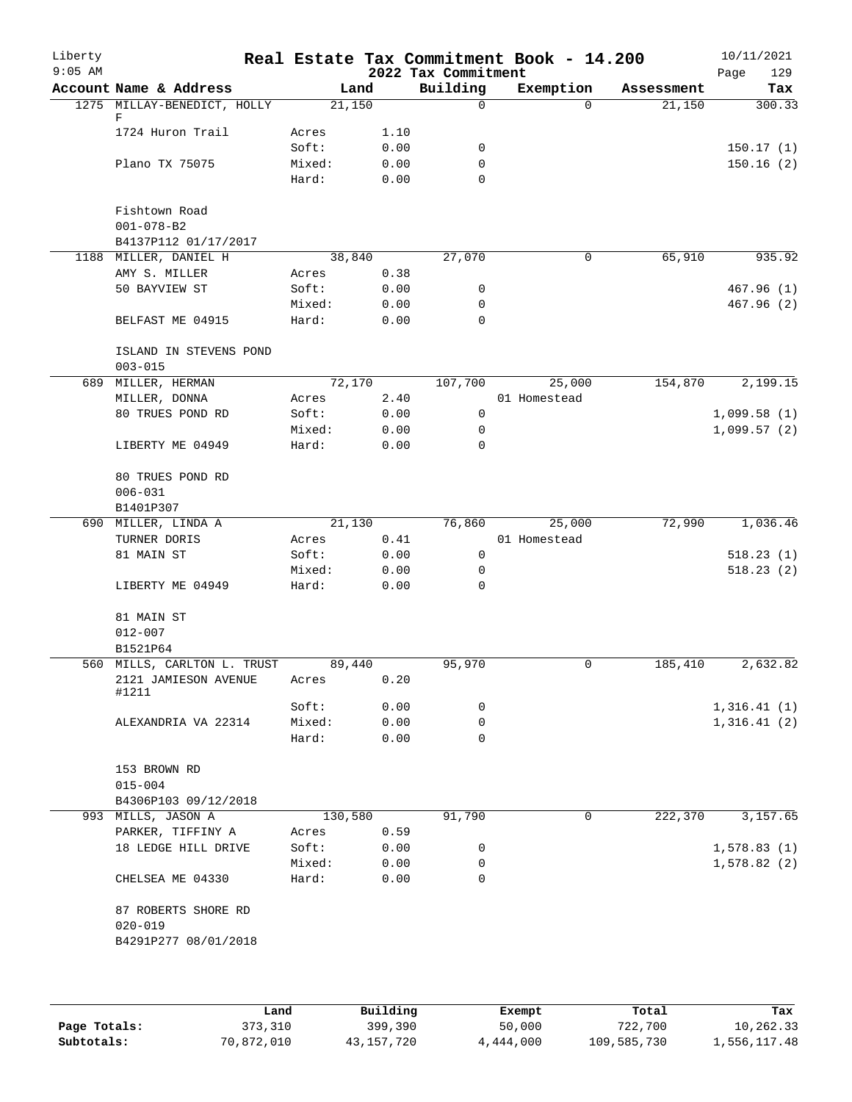| Liberty<br>$9:05$ AM |                               |         |      | 2022 Tax Commitment | Real Estate Tax Commitment Book - 14.200 |            | 10/11/2021<br>Page<br>129 |
|----------------------|-------------------------------|---------|------|---------------------|------------------------------------------|------------|---------------------------|
|                      | Account Name & Address        |         | Land | Building            | Exemption                                | Assessment | Tax                       |
|                      | 1275 MILLAY-BENEDICT, HOLLY   | 21,150  |      | 0                   | $\Omega$                                 | 21,150     | 300.33                    |
|                      | F<br>1724 Huron Trail         | Acres   | 1.10 |                     |                                          |            |                           |
|                      |                               | Soft:   | 0.00 | 0                   |                                          |            | 150.17(1)                 |
|                      | Plano TX 75075                | Mixed:  | 0.00 | $\mathbf 0$         |                                          |            | 150.16(2)                 |
|                      |                               | Hard:   | 0.00 | $\Omega$            |                                          |            |                           |
|                      |                               |         |      |                     |                                          |            |                           |
|                      | Fishtown Road                 |         |      |                     |                                          |            |                           |
|                      | $001 - 078 - B2$              |         |      |                     |                                          |            |                           |
|                      | B4137P112 01/17/2017          |         |      |                     |                                          |            |                           |
|                      | 1188 MILLER, DANIEL H         | 38,840  |      | 27,070              | 0                                        | 65,910     | 935.92                    |
|                      | AMY S. MILLER                 | Acres   | 0.38 |                     |                                          |            |                           |
|                      | 50 BAYVIEW ST                 | Soft:   | 0.00 | $\mathbf 0$         |                                          |            | 467.96(1)                 |
|                      |                               | Mixed:  | 0.00 | 0                   |                                          |            | 467.96(2)                 |
|                      | BELFAST ME 04915              | Hard:   | 0.00 | 0                   |                                          |            |                           |
|                      | ISLAND IN STEVENS POND        |         |      |                     |                                          |            |                           |
|                      | $003 - 015$                   |         |      |                     |                                          |            |                           |
|                      | 689 MILLER, HERMAN            | 72,170  |      | 107,700             | 25,000                                   | 154,870    | 2,199.15                  |
|                      | MILLER, DONNA                 | Acres   | 2.40 |                     | 01 Homestead                             |            |                           |
|                      | 80 TRUES POND RD              | Soft:   | 0.00 | $\mathbf 0$         |                                          |            | 1,099.58(1)               |
|                      |                               | Mixed:  | 0.00 | 0                   |                                          |            | 1,099.57(2)               |
|                      | LIBERTY ME 04949              | Hard:   | 0.00 | $\Omega$            |                                          |            |                           |
|                      |                               |         |      |                     |                                          |            |                           |
|                      | 80 TRUES POND RD              |         |      |                     |                                          |            |                           |
|                      | $006 - 031$                   |         |      |                     |                                          |            |                           |
|                      | B1401P307                     |         |      |                     |                                          |            |                           |
|                      | 690 MILLER, LINDA A           | 21,130  |      | 76,860              | 25,000                                   | 72,990     | 1,036.46                  |
|                      | TURNER DORIS                  | Acres   | 0.41 |                     | 01 Homestead                             |            |                           |
|                      | 81 MAIN ST                    | Soft:   | 0.00 | $\mathbf 0$         |                                          |            | 518.23(1)                 |
|                      |                               | Mixed:  | 0.00 | 0                   |                                          |            | 518.23(2)                 |
|                      | LIBERTY ME 04949              | Hard:   | 0.00 | 0                   |                                          |            |                           |
|                      | 81 MAIN ST                    |         |      |                     |                                          |            |                           |
|                      | $012 - 007$                   |         |      |                     |                                          |            |                           |
|                      | B1521P64                      |         |      |                     |                                          |            |                           |
|                      | 560 MILLS, CARLTON L. TRUST   | 89,440  |      | 95,970              | 0                                        | 185,410    | 2,632.82                  |
|                      | 2121 JAMIESON AVENUE<br>#1211 | Acres   | 0.20 |                     |                                          |            |                           |
|                      |                               | Soft:   | 0.00 | 0                   |                                          |            | 1,316.41(1)               |
|                      | ALEXANDRIA VA 22314           | Mixed:  | 0.00 | 0                   |                                          |            | 1,316.41(2)               |
|                      |                               | Hard:   | 0.00 | $\Omega$            |                                          |            |                           |
|                      |                               |         |      |                     |                                          |            |                           |
|                      | 153 BROWN RD                  |         |      |                     |                                          |            |                           |
|                      | $015 - 004$                   |         |      |                     |                                          |            |                           |
|                      | B4306P103 09/12/2018          |         |      |                     |                                          |            |                           |
|                      | 993 MILLS, JASON A            | 130,580 |      | 91,790              | 0                                        | 222,370    | 3,157.65                  |
|                      | PARKER, TIFFINY A             | Acres   | 0.59 |                     |                                          |            |                           |
|                      | 18 LEDGE HILL DRIVE           | Soft:   | 0.00 | 0                   |                                          |            | 1,578.83(1)               |
|                      |                               | Mixed:  | 0.00 | 0                   |                                          |            | 1,578.82(2)               |
|                      | CHELSEA ME 04330              | Hard:   | 0.00 | 0                   |                                          |            |                           |
|                      | 87 ROBERTS SHORE RD           |         |      |                     |                                          |            |                           |
|                      | $020 - 019$                   |         |      |                     |                                          |            |                           |
|                      | B4291P277 08/01/2018          |         |      |                     |                                          |            |                           |
|                      |                               |         |      |                     |                                          |            |                           |
|                      |                               |         |      |                     |                                          |            |                           |
|                      |                               |         |      |                     |                                          |            |                           |

|              | úand       | Building   | Exempt    | Total       | Tax          |
|--------------|------------|------------|-----------|-------------|--------------|
| Page Totals: | 373,310    | 399,390    | 50,000    | 722,700     | 10,262.33    |
| Subtotals:   | 70,872,010 | 43,157,720 | 4,444,000 | 109,585,730 | 1,556,117.48 |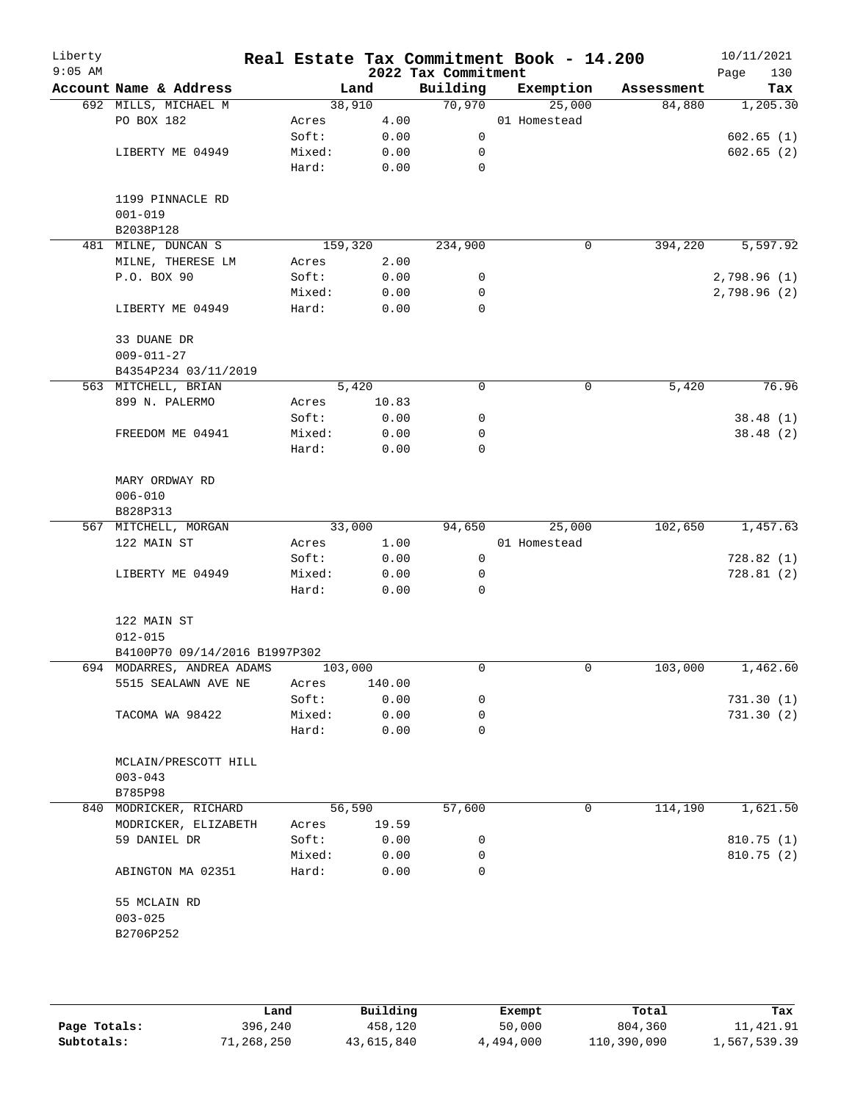| Liberty<br>$9:05$ AM |                               |  |         |        | 2022 Tax Commitment | Real Estate Tax Commitment Book - 14.200 |            | 10/11/2021<br>Page<br>130 |
|----------------------|-------------------------------|--|---------|--------|---------------------|------------------------------------------|------------|---------------------------|
|                      | Account Name & Address        |  |         | Land   | Building            | Exemption                                | Assessment | Tax                       |
|                      | 692 MILLS, MICHAEL M          |  |         | 38,910 | 70,970              | 25,000                                   | 84,880     | 1,205.30                  |
|                      | PO BOX 182                    |  | Acres   | 4.00   |                     | 01 Homestead                             |            |                           |
|                      |                               |  | Soft:   | 0.00   | $\mathsf{O}$        |                                          |            | 602.65(1)                 |
|                      | LIBERTY ME 04949              |  | Mixed:  | 0.00   | 0                   |                                          |            | 602.65(2)                 |
|                      |                               |  | Hard:   | 0.00   | $\mathbf 0$         |                                          |            |                           |
|                      | 1199 PINNACLE RD              |  |         |        |                     |                                          |            |                           |
|                      | $001 - 019$                   |  |         |        |                     |                                          |            |                           |
|                      | B2038P128                     |  |         |        |                     |                                          |            |                           |
|                      | 481 MILNE, DUNCAN S           |  | 159,320 |        | 234,900             | $\mathsf{O}$                             | 394,220    | 5,597.92                  |
|                      | MILNE, THERESE LM             |  | Acres   | 2.00   |                     |                                          |            |                           |
|                      | P.O. BOX 90                   |  | Soft:   | 0.00   | 0                   |                                          |            | 2,798.96(1)               |
|                      |                               |  | Mixed:  | 0.00   | 0                   |                                          |            | 2,798.96(2)               |
|                      | LIBERTY ME 04949              |  | Hard:   | 0.00   | 0                   |                                          |            |                           |
|                      | 33 DUANE DR                   |  |         |        |                     |                                          |            |                           |
|                      | $009 - 011 - 27$              |  |         |        |                     |                                          |            |                           |
|                      | B4354P234 03/11/2019          |  |         |        |                     |                                          |            |                           |
|                      | 563 MITCHELL, BRIAN           |  |         | 5,420  | 0                   | 0                                        | 5,420      | 76.96                     |
|                      | 899 N. PALERMO                |  | Acres   | 10.83  |                     |                                          |            |                           |
|                      |                               |  | Soft:   | 0.00   | 0                   |                                          |            | 38.48(1)                  |
|                      | FREEDOM ME 04941              |  | Mixed:  | 0.00   | 0                   |                                          |            | 38.48 (2)                 |
|                      |                               |  | Hard:   | 0.00   | 0                   |                                          |            |                           |
|                      | MARY ORDWAY RD                |  |         |        |                     |                                          |            |                           |
|                      | $006 - 010$                   |  |         |        |                     |                                          |            |                           |
|                      | B828P313                      |  |         |        |                     |                                          |            |                           |
|                      | 567 MITCHELL, MORGAN          |  |         | 33,000 | 94,650              | 25,000                                   | 102,650    | 1,457.63                  |
|                      | 122 MAIN ST                   |  | Acres   | 1.00   |                     | 01 Homestead                             |            |                           |
|                      |                               |  | Soft:   | 0.00   | $\mathbf 0$         |                                          |            | 728.82(1)                 |
|                      | LIBERTY ME 04949              |  | Mixed:  | 0.00   | 0                   |                                          |            | 728.81(2)                 |
|                      |                               |  | Hard:   | 0.00   | 0                   |                                          |            |                           |
|                      | 122 MAIN ST                   |  |         |        |                     |                                          |            |                           |
|                      | $012 - 015$                   |  |         |        |                     |                                          |            |                           |
|                      | B4100P70 09/14/2016 B1997P302 |  |         |        |                     |                                          |            |                           |
|                      | 694 MODARRES, ANDREA ADAMS    |  | 103,000 |        | 0                   | 0                                        | 103,000    | 1,462.60                  |
|                      | 5515 SEALAWN AVE NE           |  | Acres   | 140.00 |                     |                                          |            |                           |
|                      |                               |  | Soft:   | 0.00   | 0                   |                                          |            | 731.30(1)                 |
|                      | TACOMA WA 98422               |  | Mixed:  | 0.00   | 0                   |                                          |            | 731.30(2)                 |
|                      |                               |  | Hard:   | 0.00   | 0                   |                                          |            |                           |
|                      | MCLAIN/PRESCOTT HILL          |  |         |        |                     |                                          |            |                           |
|                      | $003 - 043$                   |  |         |        |                     |                                          |            |                           |
|                      | B785P98                       |  |         |        |                     |                                          |            |                           |
|                      | 840 MODRICKER, RICHARD        |  |         | 56,590 | 57,600              | 0                                        | 114,190    | 1,621.50                  |
|                      | MODRICKER, ELIZABETH          |  | Acres   | 19.59  |                     |                                          |            |                           |
|                      | 59 DANIEL DR                  |  | Soft:   | 0.00   | 0                   |                                          |            | 810.75(1)                 |
|                      |                               |  | Mixed:  | 0.00   | 0                   |                                          |            | 810.75(2)                 |
|                      | ABINGTON MA 02351             |  | Hard:   | 0.00   | 0                   |                                          |            |                           |
|                      | 55 MCLAIN RD                  |  |         |        |                     |                                          |            |                           |
|                      | $003 - 025$                   |  |         |        |                     |                                          |            |                           |
|                      | B2706P252                     |  |         |        |                     |                                          |            |                           |
|                      |                               |  |         |        |                     |                                          |            |                           |
|                      |                               |  |         |        |                     |                                          |            |                           |
|                      |                               |  |         |        |                     |                                          |            |                           |

|              | Land       | Building   | Exempt    | Total       | Tax          |
|--------------|------------|------------|-----------|-------------|--------------|
| Page Totals: | 396,240    | 458,120    | 50,000    | 804,360     | 11,421.91    |
| Subtotals:   | 71,268,250 | 43,615,840 | 4,494,000 | 110,390,090 | 1,567,539.39 |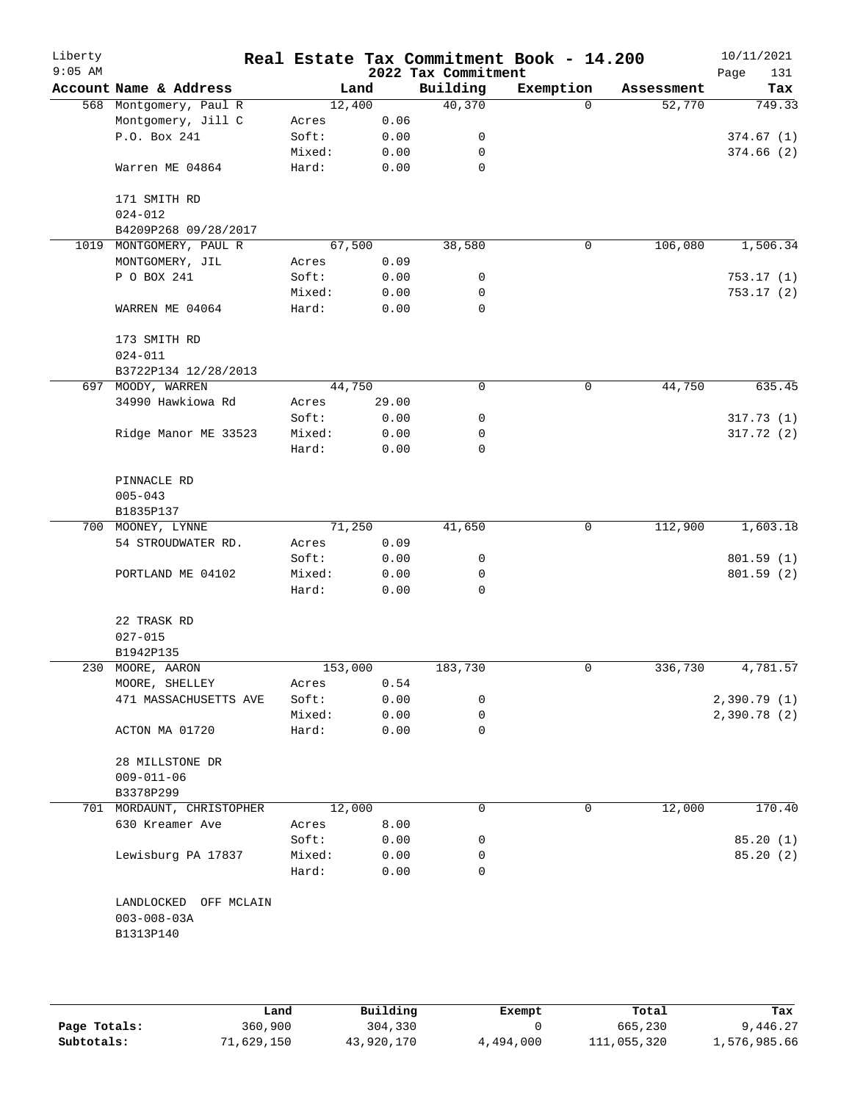| Liberty<br>$9:05$ AM |                                                         |        |         | 2022 Tax Commitment | Real Estate Tax Commitment Book - 14.200 |            | 10/11/2021<br>131<br>Page |
|----------------------|---------------------------------------------------------|--------|---------|---------------------|------------------------------------------|------------|---------------------------|
|                      | Account Name & Address                                  |        | Land    | Building            | Exemption                                | Assessment | Tax                       |
|                      | 568 Montgomery, Paul R                                  |        | 12,400  | 40,370              | $\Omega$                                 | 52,770     | 749.33                    |
|                      | Montgomery, Jill C                                      | Acres  | 0.06    |                     |                                          |            |                           |
|                      | P.O. Box 241                                            | Soft:  | 0.00    | 0                   |                                          |            | 374.67(1)                 |
|                      |                                                         | Mixed: | 0.00    | 0                   |                                          |            | 374.66(2)                 |
|                      | Warren ME 04864                                         | Hard:  | 0.00    | 0                   |                                          |            |                           |
|                      | 171 SMITH RD                                            |        |         |                     |                                          |            |                           |
|                      | $024 - 012$                                             |        |         |                     |                                          |            |                           |
|                      | B4209P268 09/28/2017                                    |        |         |                     |                                          |            |                           |
| 1019                 | MONTGOMERY, PAUL R                                      |        | 67,500  | 38,580              | 0                                        | 106,080    | 1,506.34                  |
|                      | MONTGOMERY, JIL                                         | Acres  | 0.09    |                     |                                          |            |                           |
|                      | P O BOX 241                                             | Soft:  | 0.00    | 0                   |                                          |            | 753.17 (1)                |
|                      |                                                         | Mixed: | 0.00    | 0                   |                                          |            | 753.17 (2)                |
|                      | WARREN ME 04064                                         | Hard:  | 0.00    | $\mathbf 0$         |                                          |            |                           |
|                      | 173 SMITH RD                                            |        |         |                     |                                          |            |                           |
|                      | $024 - 011$                                             |        |         |                     |                                          |            |                           |
|                      | B3722P134 12/28/2013                                    |        |         |                     |                                          |            |                           |
|                      | 697 MOODY, WARREN                                       |        | 44,750  | 0                   | 0                                        | 44,750     | 635.45                    |
|                      | 34990 Hawkiowa Rd                                       | Acres  | 29.00   |                     |                                          |            |                           |
|                      |                                                         | Soft:  | 0.00    | 0                   |                                          |            | 317.73(1)                 |
|                      | Ridge Manor ME 33523                                    | Mixed: | 0.00    | 0                   |                                          |            | 317.72(2)                 |
|                      |                                                         | Hard:  | 0.00    | 0                   |                                          |            |                           |
|                      | PINNACLE RD                                             |        |         |                     |                                          |            |                           |
|                      | $005 - 043$                                             |        |         |                     |                                          |            |                           |
|                      | B1835P137                                               |        |         |                     |                                          |            |                           |
|                      | 700 MOONEY, LYNNE                                       |        | 71,250  | 41,650              | 0                                        | 112,900    | 1,603.18                  |
|                      | 54 STROUDWATER RD.                                      | Acres  | 0.09    |                     |                                          |            |                           |
|                      |                                                         | Soft:  | 0.00    | 0                   |                                          |            | 801.59(1)                 |
|                      | PORTLAND ME 04102                                       | Mixed: | 0.00    | 0                   |                                          |            | 801.59(2)                 |
|                      |                                                         | Hard:  | 0.00    | 0                   |                                          |            |                           |
|                      | 22 TRASK RD                                             |        |         |                     |                                          |            |                           |
|                      | $027 - 015$                                             |        |         |                     |                                          |            |                           |
|                      | B1942P135                                               |        |         |                     |                                          |            |                           |
|                      | 230 MOORE, AARON                                        |        | 153,000 | 183,730             | 0                                        | 336,730    | 4,781.57                  |
|                      | MOORE, SHELLEY                                          | Acres  | 0.54    |                     |                                          |            |                           |
|                      | 471 MASSACHUSETTS AVE                                   | Soft:  | 0.00    | 0                   |                                          |            | 2,390.79(1)               |
|                      |                                                         | Mixed: | 0.00    | 0                   |                                          |            | 2,390.78(2)               |
|                      | ACTON MA 01720                                          | Hard:  | 0.00    | 0                   |                                          |            |                           |
|                      | 28 MILLSTONE DR                                         |        |         |                     |                                          |            |                           |
|                      | $009 - 011 - 06$                                        |        |         |                     |                                          |            |                           |
|                      | B3378P299                                               |        |         |                     |                                          |            |                           |
|                      | 701 MORDAUNT, CHRISTOPHER                               |        | 12,000  | 0                   | 0                                        | 12,000     | 170.40                    |
|                      | 630 Kreamer Ave                                         | Acres  | 8.00    |                     |                                          |            |                           |
|                      |                                                         | Soft:  | 0.00    | 0                   |                                          |            | 85.20(1)                  |
|                      | Lewisburg PA 17837                                      | Mixed: | 0.00    | 0                   |                                          |            | 85.20 (2)                 |
|                      |                                                         | Hard:  | 0.00    | 0                   |                                          |            |                           |
|                      | LANDLOCKED OFF MCLAIN<br>$003 - 008 - 03A$<br>B1313P140 |        |         |                     |                                          |            |                           |
|                      |                                                         |        |         |                     |                                          |            |                           |
|                      |                                                         |        |         |                     |                                          |            |                           |

|              | Land       | Building   | Exempt    | Total       | Tax          |
|--------------|------------|------------|-----------|-------------|--------------|
| Page Totals: | 360,900    | 304,330    |           | 665,230     | 9,446.27     |
| Subtotals:   | 71,629,150 | 43,920,170 | 4,494,000 | 111,055,320 | 1,576,985.66 |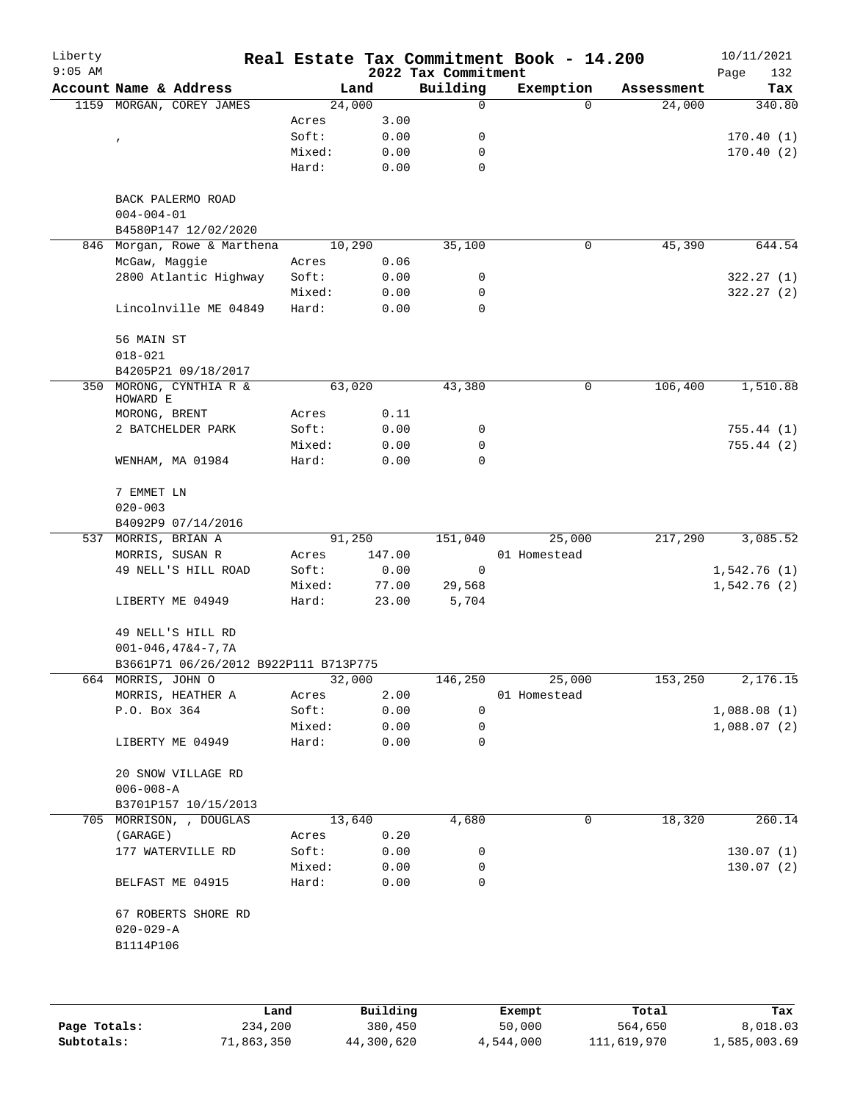| Liberty<br>$9:05$ AM |                                                     |        |        | 2022 Tax Commitment | Real Estate Tax Commitment Book - 14.200 |            | 10/11/2021<br>Page<br>132 |
|----------------------|-----------------------------------------------------|--------|--------|---------------------|------------------------------------------|------------|---------------------------|
|                      | Account Name & Address                              | Land   |        | Building            | Exemption                                | Assessment | Tax                       |
|                      | 1159 MORGAN, COREY JAMES                            | 24,000 |        | 0                   | $\Omega$                                 | 24,000     | 340.80                    |
|                      |                                                     | Acres  | 3.00   |                     |                                          |            |                           |
|                      | $\pmb{\mathcal{L}}$                                 | Soft:  | 0.00   | 0                   |                                          |            | 170.40(1)                 |
|                      |                                                     | Mixed: | 0.00   | 0                   |                                          |            | 170.40(2)                 |
|                      |                                                     | Hard:  | 0.00   | 0                   |                                          |            |                           |
|                      | BACK PALERMO ROAD<br>$004 - 004 - 01$               |        |        |                     |                                          |            |                           |
|                      | B4580P147 12/02/2020                                |        |        |                     |                                          |            |                           |
| 846                  | Morgan, Rowe & Marthena                             | 10,290 |        | 35,100              | 0                                        | 45,390     | 644.54                    |
|                      | McGaw, Maggie                                       | Acres  | 0.06   |                     |                                          |            |                           |
|                      | 2800 Atlantic Highway                               | Soft:  | 0.00   | 0                   |                                          |            | 322.27(1)                 |
|                      |                                                     | Mixed: | 0.00   | 0                   |                                          |            | 322.27(2)                 |
|                      | Lincolnville ME 04849                               | Hard:  | 0.00   | $\mathbf 0$         |                                          |            |                           |
|                      | 56 MAIN ST<br>$018 - 021$                           |        |        |                     |                                          |            |                           |
|                      | B4205P21 09/18/2017                                 |        |        |                     |                                          |            |                           |
| 350                  | MORONG, CYNTHIA R &<br>HOWARD E                     | 63,020 |        | 43,380              | 0                                        | 106,400    | 1,510.88                  |
|                      | MORONG, BRENT                                       | Acres  | 0.11   |                     |                                          |            |                           |
|                      | 2 BATCHELDER PARK                                   | Soft:  | 0.00   | 0                   |                                          |            | 755.44 (1)                |
|                      |                                                     | Mixed: | 0.00   | 0                   |                                          |            | 755.44(2)                 |
|                      | WENHAM, MA 01984                                    | Hard:  | 0.00   | $\Omega$            |                                          |            |                           |
|                      | 7 EMMET LN<br>$020 - 003$                           |        |        |                     |                                          |            |                           |
|                      | B4092P9 07/14/2016                                  |        |        |                     |                                          |            |                           |
| 537                  | MORRIS, BRIAN A                                     | 91,250 |        | 151,040             | 25,000                                   | 217,290    | 3,085.52                  |
|                      | MORRIS, SUSAN R                                     | Acres  | 147.00 |                     | 01 Homestead                             |            |                           |
|                      | 49 NELL'S HILL ROAD                                 | Soft:  | 0.00   | 0                   |                                          |            | 1,542.76(1)               |
|                      |                                                     | Mixed: | 77.00  | 29,568              |                                          |            | 1,542.76(2)               |
|                      | LIBERTY ME 04949                                    | Hard:  | 23.00  | 5,704               |                                          |            |                           |
|                      | 49 NELL'S HILL RD                                   |        |        |                     |                                          |            |                           |
|                      | $001 - 046, 47&4 - 7, 7A$                           |        |        |                     |                                          |            |                           |
|                      | B3661P71 06/26/2012 B922P111 B713P775               |        |        |                     |                                          |            |                           |
|                      | 664 MORRIS, JOHN O                                  | 32,000 |        | 146,250             | 25,000                                   | 153,250    | 2,176.15                  |
|                      | MORRIS, HEATHER A                                   | Acres  | 2.00   |                     | 01 Homestead                             |            |                           |
|                      | P.O. Box 364                                        | Soft:  | 0.00   | 0                   |                                          |            | 1,088.08(1)               |
|                      |                                                     | Mixed: | 0.00   | 0                   |                                          |            | 1,088.07(2)               |
|                      | LIBERTY ME 04949                                    | Hard:  | 0.00   | $\mathbf 0$         |                                          |            |                           |
|                      | 20 SNOW VILLAGE RD<br>$006 - 008 - A$               |        |        |                     |                                          |            |                           |
|                      | B3701P157 10/15/2013                                |        |        |                     |                                          |            |                           |
|                      | 705 MORRISON, , DOUGLAS                             | 13,640 |        | 4,680               | 0                                        | 18,320     | 260.14                    |
|                      | (GARAGE)                                            | Acres  | 0.20   |                     |                                          |            |                           |
|                      | 177 WATERVILLE RD                                   | Soft:  | 0.00   | 0                   |                                          |            | 130.07(1)                 |
|                      |                                                     | Mixed: | 0.00   | 0                   |                                          |            | 130.07(2)                 |
|                      | BELFAST ME 04915                                    | Hard:  | 0.00   | 0                   |                                          |            |                           |
|                      | 67 ROBERTS SHORE RD<br>$020 - 029 - A$<br>B1114P106 |        |        |                     |                                          |            |                           |
|                      |                                                     |        |        |                     |                                          |            |                           |
|                      |                                                     |        |        |                     |                                          |            |                           |

|              | Land       | Building   | Exempt    | Total       | Tax          |
|--------------|------------|------------|-----------|-------------|--------------|
| Page Totals: | 234,200    | 380,450    | 50,000    | 564,650     | 8,018.03     |
| Subtotals:   | 71,863,350 | 44,300,620 | 4,544,000 | 111,619,970 | 1,585,003.69 |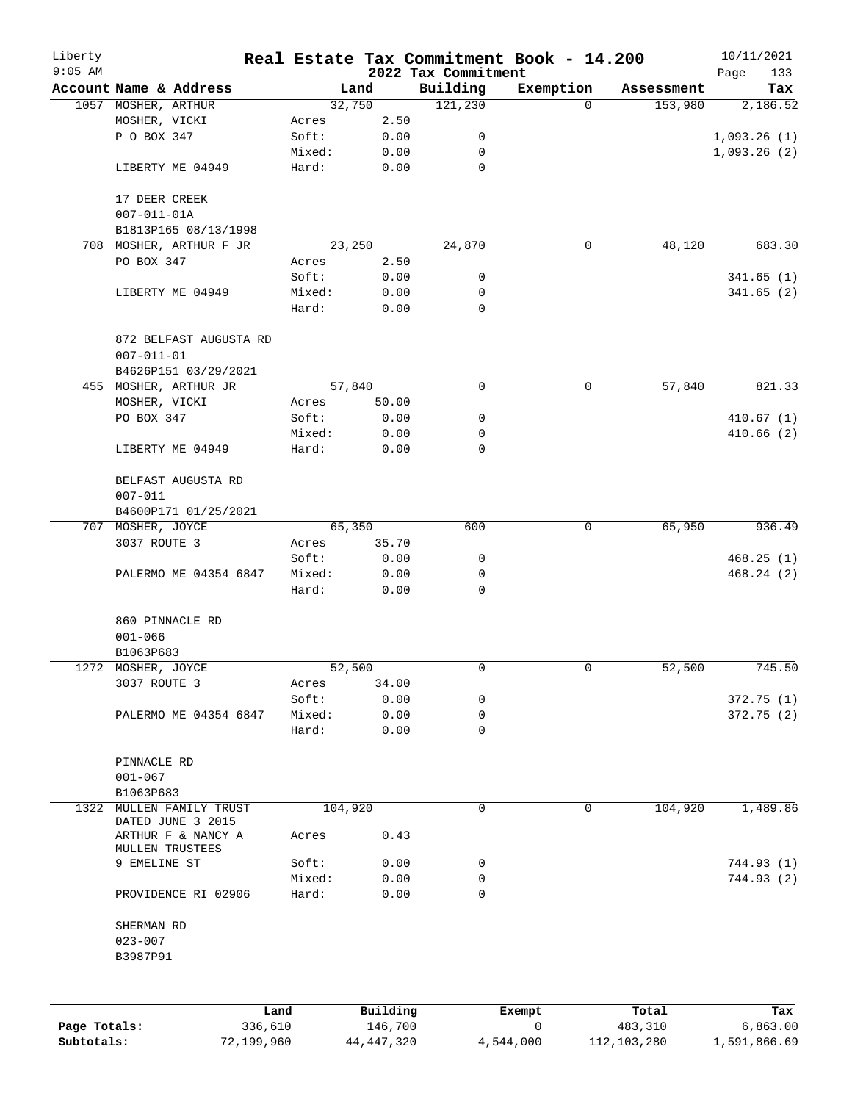| Liberty      |                                          |                 |        |                     |                                 | Real Estate Tax Commitment Book - 14.200 |                  | 10/11/2021         |
|--------------|------------------------------------------|-----------------|--------|---------------------|---------------------------------|------------------------------------------|------------------|--------------------|
| $9:05$ AM    | Account Name & Address                   |                 |        | Land                | 2022 Tax Commitment<br>Building | Exemption                                | Assessment       | 133<br>Page<br>Tax |
|              | 1057 MOSHER, ARTHUR                      |                 |        | 32,750              | 121,230                         | $\Omega$                                 | 153,980          | 2,186.52           |
|              | MOSHER, VICKI                            |                 | Acres  | 2.50                |                                 |                                          |                  |                    |
|              | P O BOX 347                              |                 | Soft:  | 0.00                | 0                               |                                          |                  | 1,093.26(1)        |
|              |                                          |                 | Mixed: | 0.00                | 0                               |                                          |                  | 1,093.26(2)        |
|              | LIBERTY ME 04949                         |                 | Hard:  | 0.00                | 0                               |                                          |                  |                    |
|              | 17 DEER CREEK                            |                 |        |                     |                                 |                                          |                  |                    |
|              | $007 - 011 - 01A$                        |                 |        |                     |                                 |                                          |                  |                    |
|              | B1813P165 08/13/1998                     |                 |        |                     |                                 |                                          |                  |                    |
|              | 708 MOSHER, ARTHUR F JR                  |                 |        | 23,250              | 24,870                          | 0                                        | 48,120           | 683.30             |
|              | PO BOX 347                               |                 | Acres  | 2.50                |                                 |                                          |                  |                    |
|              |                                          |                 | Soft:  | 0.00                | 0                               |                                          |                  | 341.65(1)          |
|              | LIBERTY ME 04949                         |                 | Mixed: | 0.00                | 0                               |                                          |                  | 341.65(2)          |
|              |                                          |                 | Hard:  | 0.00                | 0                               |                                          |                  |                    |
|              |                                          |                 |        |                     |                                 |                                          |                  |                    |
|              | 872 BELFAST AUGUSTA RD                   |                 |        |                     |                                 |                                          |                  |                    |
|              | $007 - 011 - 01$                         |                 |        |                     |                                 |                                          |                  |                    |
|              | B4626P151 03/29/2021                     |                 |        | 57,840              | 0                               |                                          | 57,840           | 821.33             |
|              | 455 MOSHER, ARTHUR JR                    |                 |        |                     |                                 | 0                                        |                  |                    |
|              | MOSHER, VICKI                            |                 | Acres  | 50.00               |                                 |                                          |                  |                    |
|              | PO BOX 347                               |                 | Soft:  | 0.00                | 0                               |                                          |                  | 410.67(1)          |
|              |                                          |                 | Mixed: | 0.00                | 0                               |                                          |                  | 410.66(2)          |
|              | LIBERTY ME 04949                         |                 | Hard:  | 0.00                | 0                               |                                          |                  |                    |
|              | BELFAST AUGUSTA RD                       |                 |        |                     |                                 |                                          |                  |                    |
|              | $007 - 011$                              |                 |        |                     |                                 |                                          |                  |                    |
|              | B4600P171 01/25/2021                     |                 |        |                     |                                 |                                          |                  |                    |
|              | 707 MOSHER, JOYCE                        |                 | 65,350 |                     | 600                             | 0                                        | 65,950           | 936.49             |
|              | 3037 ROUTE 3                             |                 | Acres  | 35.70               |                                 |                                          |                  |                    |
|              |                                          |                 | Soft:  | 0.00                | 0                               |                                          |                  | 468.25(1)          |
|              | PALERMO ME 04354 6847                    |                 | Mixed: | 0.00                | 0                               |                                          |                  | 468.24(2)          |
|              |                                          |                 | Hard:  | 0.00                | 0                               |                                          |                  |                    |
|              | 860 PINNACLE RD                          |                 |        |                     |                                 |                                          |                  |                    |
|              | $001 - 066$                              |                 |        |                     |                                 |                                          |                  |                    |
|              | B1063P683                                |                 |        |                     |                                 |                                          |                  |                    |
|              | 1272 MOSHER, JOYCE                       |                 |        | 52,500              | 0                               | 0                                        | 52,500           | 745.50             |
|              | 3037 ROUTE 3                             |                 | Acres  | 34.00               |                                 |                                          |                  |                    |
|              |                                          |                 | Soft:  | 0.00                | 0                               |                                          |                  | 372.75(1)          |
|              | PALERMO ME 04354 6847                    |                 | Mixed: | 0.00                | 0                               |                                          |                  | 372.75 (2)         |
|              |                                          |                 | Hard:  | 0.00                | 0                               |                                          |                  |                    |
|              |                                          |                 |        |                     |                                 |                                          |                  |                    |
|              | PINNACLE RD                              |                 |        |                     |                                 |                                          |                  |                    |
|              | $001 - 067$                              |                 |        |                     |                                 |                                          |                  |                    |
|              | B1063P683                                |                 |        |                     |                                 |                                          |                  |                    |
| 1322         | MULLEN FAMILY TRUST<br>DATED JUNE 3 2015 |                 |        | 104,920             | 0                               | 0                                        | 104,920          | 1,489.86           |
|              | ARTHUR F & NANCY A                       |                 | Acres  | 0.43                |                                 |                                          |                  |                    |
|              | MULLEN TRUSTEES                          |                 |        |                     |                                 |                                          |                  |                    |
|              | 9 EMELINE ST                             |                 | Soft:  | 0.00                | 0                               |                                          |                  | 744.93 (1)         |
|              |                                          |                 | Mixed: | 0.00                | 0                               |                                          |                  | 744.93 (2)         |
|              | PROVIDENCE RI 02906                      |                 | Hard:  | 0.00                | 0                               |                                          |                  |                    |
|              | SHERMAN RD                               |                 |        |                     |                                 |                                          |                  |                    |
|              | $023 - 007$                              |                 |        |                     |                                 |                                          |                  |                    |
|              | B3987P91                                 |                 |        |                     |                                 |                                          |                  |                    |
|              |                                          |                 |        |                     |                                 |                                          |                  |                    |
|              |                                          |                 |        |                     |                                 |                                          |                  |                    |
| Page Totals: |                                          | Land<br>336,610 |        | Building<br>146,700 |                                 | Exempt<br>0                              | Total<br>483,310 | Tax<br>6,863.00    |
| Subtotals:   |                                          | 72,199,960      |        | 44, 447, 320        |                                 | 4,544,000                                | 112, 103, 280    | 1,591,866.69       |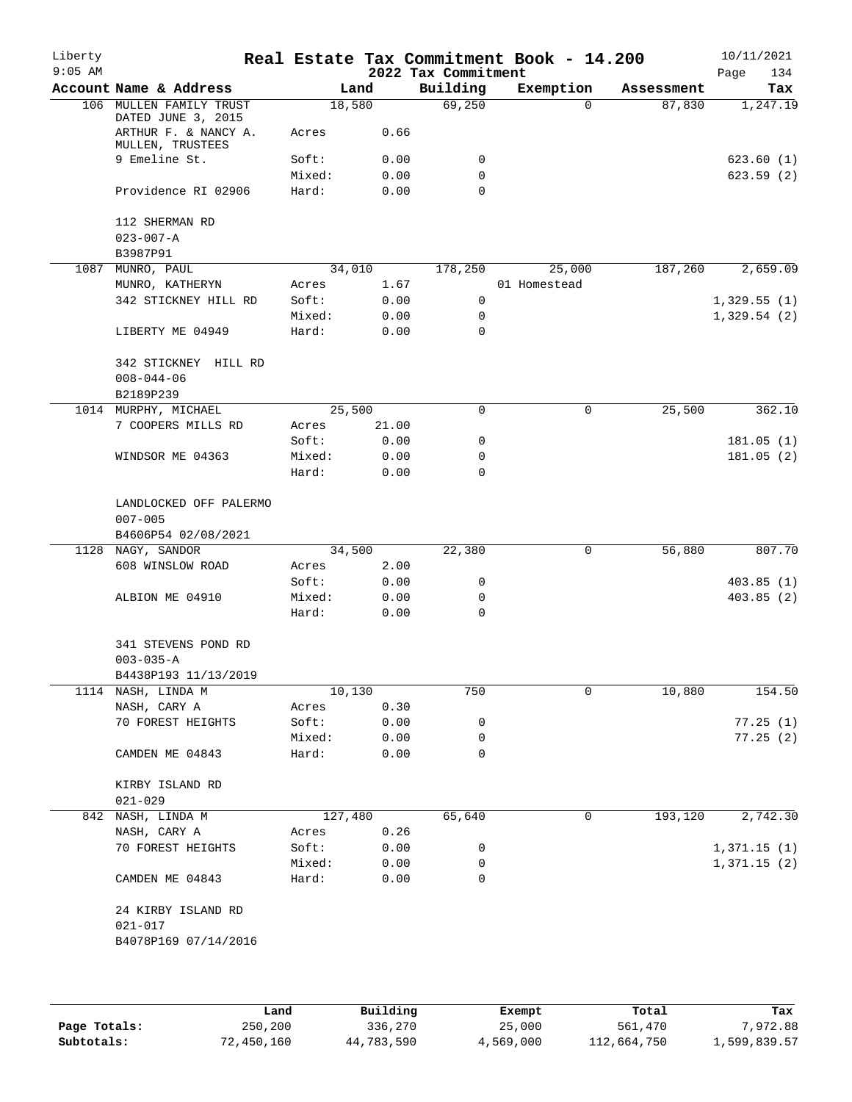| Liberty   |                                               |        |         |                     | Real Estate Tax Commitment Book - 14.200 |            | 10/11/2021  |
|-----------|-----------------------------------------------|--------|---------|---------------------|------------------------------------------|------------|-------------|
| $9:05$ AM |                                               |        |         | 2022 Tax Commitment |                                          |            | 134<br>Page |
|           | Account Name & Address                        |        | Land    | Building            | Exemption                                | Assessment | Tax         |
|           | 106 MULLEN FAMILY TRUST<br>DATED JUNE 3, 2015 |        | 18,580  | 69,250              | $\Omega$                                 | 87,830     | 1,247.19    |
|           | ARTHUR F. & NANCY A.<br>MULLEN, TRUSTEES      | Acres  | 0.66    |                     |                                          |            |             |
|           | 9 Emeline St.                                 | Soft:  | 0.00    | 0                   |                                          |            | 623.60(1)   |
|           |                                               | Mixed: | 0.00    | 0                   |                                          |            | 623.59(2)   |
|           | Providence RI 02906                           | Hard:  | 0.00    | 0                   |                                          |            |             |
|           | 112 SHERMAN RD                                |        |         |                     |                                          |            |             |
|           | $023 - 007 - A$                               |        |         |                     |                                          |            |             |
|           | B3987P91                                      |        |         |                     |                                          |            |             |
| 1087      | MUNRO, PAUL                                   |        | 34,010  | 178,250             | 25,000                                   | 187,260    | 2,659.09    |
|           | MUNRO, KATHERYN                               | Acres  | 1.67    |                     | 01 Homestead                             |            |             |
|           | 342 STICKNEY HILL RD                          | Soft:  | 0.00    | 0                   |                                          |            | 1,329.55(1) |
|           |                                               | Mixed: | 0.00    | 0                   |                                          |            | 1,329.54(2) |
|           | LIBERTY ME 04949                              | Hard:  | 0.00    | 0                   |                                          |            |             |
|           | 342 STICKNEY HILL RD<br>$008 - 044 - 06$      |        |         |                     |                                          |            |             |
|           | B2189P239                                     |        |         |                     |                                          |            |             |
|           | 1014 MURPHY, MICHAEL                          |        | 25,500  | 0                   | 0                                        | 25,500     | 362.10      |
|           | 7 COOPERS MILLS RD                            | Acres  | 21.00   |                     |                                          |            |             |
|           |                                               | Soft:  | 0.00    | 0                   |                                          |            | 181.05(1)   |
|           | WINDSOR ME 04363                              | Mixed: | 0.00    | 0                   |                                          |            | 181.05(2)   |
|           |                                               | Hard:  | 0.00    | 0                   |                                          |            |             |
|           | LANDLOCKED OFF PALERMO<br>$007 - 005$         |        |         |                     |                                          |            |             |
|           | B4606P54 02/08/2021                           |        |         |                     |                                          |            |             |
|           | 1128 NAGY, SANDOR                             |        | 34,500  | 22,380              | 0                                        | 56,880     | 807.70      |
|           | 608 WINSLOW ROAD                              | Acres  | 2.00    |                     |                                          |            |             |
|           |                                               | Soft:  | 0.00    | 0                   |                                          |            | 403.85(1)   |
|           | ALBION ME 04910                               | Mixed: | 0.00    | 0                   |                                          |            | 403.85 (2)  |
|           |                                               | Hard:  | 0.00    | $\mathbf 0$         |                                          |            |             |
|           | 341 STEVENS POND RD                           |        |         |                     |                                          |            |             |
|           | $003 - 035 - A$                               |        |         |                     |                                          |            |             |
|           | B4438P193 11/13/2019                          |        |         |                     |                                          |            |             |
|           | 1114 NASH, LINDA M                            |        | 10,130  | 750                 | 0                                        | 10,880     | 154.50      |
|           | NASH, CARY A                                  | Acres  | 0.30    |                     |                                          |            |             |
|           | 70 FOREST HEIGHTS                             | Soft:  | 0.00    | 0                   |                                          |            | 77.25(1)    |
|           |                                               | Mixed: | 0.00    | 0                   |                                          |            | 77.25(2)    |
|           | CAMDEN ME 04843                               | Hard:  | 0.00    | 0                   |                                          |            |             |
|           | KIRBY ISLAND RD                               |        |         |                     |                                          |            |             |
|           | $021 - 029$                                   |        |         |                     |                                          |            |             |
|           | 842 NASH, LINDA M                             |        | 127,480 | 65,640              | 0                                        | 193,120    | 2,742.30    |
|           | NASH, CARY A                                  | Acres  | 0.26    |                     |                                          |            |             |
|           | 70 FOREST HEIGHTS                             | Soft:  | 0.00    | 0                   |                                          |            | 1,371.15(1) |
|           |                                               | Mixed: | 0.00    | 0                   |                                          |            | 1,371.15(2) |
|           | CAMDEN ME 04843                               | Hard:  | 0.00    | 0                   |                                          |            |             |
|           | 24 KIRBY ISLAND RD<br>$021 - 017$             |        |         |                     |                                          |            |             |
|           | B4078P169 07/14/2016                          |        |         |                     |                                          |            |             |
|           |                                               |        |         |                     |                                          |            |             |

|              | Land       | Building   | Exempt    | Total       | Tax          |
|--------------|------------|------------|-----------|-------------|--------------|
| Page Totals: | 250,200    | 336,270    | 25,000    | 561,470     | 7,972.88     |
| Subtotals:   | 72,450,160 | 44,783,590 | 4,569,000 | 112,664,750 | 1,599,839.57 |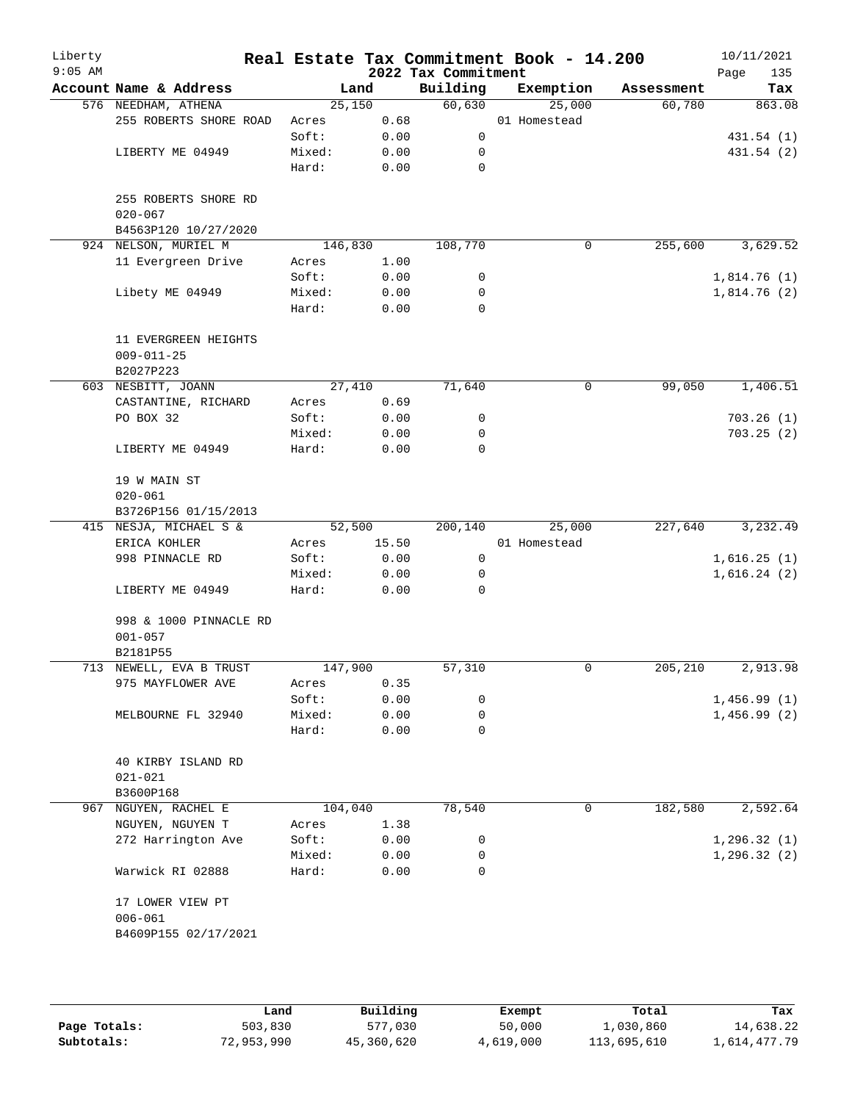|                                          |                                                                                                                                                                       |                                                               | 2022 Tax Commitment                                                                                                 |                                                     | Real Estate Tax Commitment Book - 14.200 | Page<br>135       |
|------------------------------------------|-----------------------------------------------------------------------------------------------------------------------------------------------------------------------|---------------------------------------------------------------|---------------------------------------------------------------------------------------------------------------------|-----------------------------------------------------|------------------------------------------|-------------------|
| Account Name & Address                   |                                                                                                                                                                       | Land                                                          | Building                                                                                                            | Exemption                                           | Assessment                               | Tax               |
| 576 NEEDHAM, ATHENA                      |                                                                                                                                                                       |                                                               |                                                                                                                     | 25,000                                              | 60,780                                   | 863.08            |
| 255 ROBERTS SHORE ROAD                   | Acres                                                                                                                                                                 | 0.68                                                          |                                                                                                                     | 01 Homestead                                        |                                          |                   |
|                                          | Soft:                                                                                                                                                                 | 0.00                                                          | 0                                                                                                                   |                                                     |                                          | 431.54 (1)        |
| LIBERTY ME 04949                         | Mixed:                                                                                                                                                                | 0.00                                                          | 0                                                                                                                   |                                                     |                                          | 431.54 (2)        |
|                                          | Hard:                                                                                                                                                                 | 0.00                                                          | $\mathbf 0$                                                                                                         |                                                     |                                          |                   |
| 255 ROBERTS SHORE RD<br>$020 - 067$      |                                                                                                                                                                       |                                                               |                                                                                                                     |                                                     |                                          |                   |
| B4563P120 10/27/2020                     |                                                                                                                                                                       |                                                               |                                                                                                                     |                                                     |                                          |                   |
| 924 NELSON, MURIEL M                     |                                                                                                                                                                       |                                                               | 108,770                                                                                                             | 0                                                   | 255,600                                  | 3,629.52          |
| 11 Evergreen Drive                       | Acres                                                                                                                                                                 | 1.00                                                          |                                                                                                                     |                                                     |                                          |                   |
|                                          | Soft:                                                                                                                                                                 | 0.00                                                          | 0                                                                                                                   |                                                     |                                          | 1,814.76(1)       |
| Libety ME 04949                          | Mixed:                                                                                                                                                                | 0.00                                                          | 0                                                                                                                   |                                                     |                                          | 1,814.76 (2)      |
|                                          | Hard:                                                                                                                                                                 | 0.00                                                          | 0                                                                                                                   |                                                     |                                          |                   |
| 11 EVERGREEN HEIGHTS<br>$009 - 011 - 25$ |                                                                                                                                                                       |                                                               |                                                                                                                     |                                                     |                                          |                   |
|                                          |                                                                                                                                                                       |                                                               |                                                                                                                     |                                                     |                                          |                   |
|                                          |                                                                                                                                                                       |                                                               |                                                                                                                     |                                                     |                                          | 1,406.51          |
|                                          |                                                                                                                                                                       |                                                               |                                                                                                                     |                                                     |                                          |                   |
|                                          |                                                                                                                                                                       |                                                               |                                                                                                                     |                                                     |                                          | 703.26(1)         |
| LIBERTY ME 04949                         | Hard:                                                                                                                                                                 | 0.00                                                          | 0                                                                                                                   |                                                     |                                          | 703.25(2)         |
|                                          |                                                                                                                                                                       |                                                               |                                                                                                                     |                                                     |                                          |                   |
| $020 - 061$                              |                                                                                                                                                                       |                                                               |                                                                                                                     |                                                     |                                          |                   |
| B3726P156 01/15/2013                     |                                                                                                                                                                       |                                                               |                                                                                                                     |                                                     |                                          |                   |
| 415 NESJA, MICHAEL S &                   |                                                                                                                                                                       |                                                               | 200,140                                                                                                             | 25,000                                              | 227,640                                  | 3,232.49          |
| ERICA KOHLER                             | Acres                                                                                                                                                                 | 15.50                                                         |                                                                                                                     | 01 Homestead                                        |                                          |                   |
| 998 PINNACLE RD                          | Soft:                                                                                                                                                                 | 0.00                                                          | $\mathbf 0$                                                                                                         |                                                     |                                          | 1,616.25(1)       |
|                                          | Mixed:                                                                                                                                                                | 0.00                                                          | 0                                                                                                                   |                                                     |                                          | 1,616.24(2)       |
| LIBERTY ME 04949                         | Hard:                                                                                                                                                                 | 0.00                                                          | 0                                                                                                                   |                                                     |                                          |                   |
| 998 & 1000 PINNACLE RD<br>$001 - 057$    |                                                                                                                                                                       |                                                               |                                                                                                                     |                                                     |                                          |                   |
|                                          |                                                                                                                                                                       |                                                               |                                                                                                                     |                                                     |                                          |                   |
|                                          |                                                                                                                                                                       |                                                               |                                                                                                                     |                                                     |                                          | 2,913.98          |
|                                          |                                                                                                                                                                       |                                                               |                                                                                                                     |                                                     |                                          |                   |
|                                          |                                                                                                                                                                       |                                                               |                                                                                                                     |                                                     |                                          | 1,456.99(1)       |
|                                          |                                                                                                                                                                       |                                                               |                                                                                                                     |                                                     |                                          | 1,456.99(2)       |
|                                          |                                                                                                                                                                       |                                                               |                                                                                                                     |                                                     |                                          |                   |
| 40 KIRBY ISLAND RD                       |                                                                                                                                                                       |                                                               |                                                                                                                     |                                                     |                                          |                   |
| $021 - 021$                              |                                                                                                                                                                       |                                                               |                                                                                                                     |                                                     |                                          |                   |
| B3600P168                                |                                                                                                                                                                       |                                                               |                                                                                                                     |                                                     |                                          |                   |
| NGUYEN, RACHEL E                         |                                                                                                                                                                       |                                                               | 78,540                                                                                                              | 0                                                   | 182,580                                  | 2,592.64          |
| NGUYEN, NGUYEN T                         | Acres                                                                                                                                                                 | 1.38                                                          |                                                                                                                     |                                                     |                                          |                   |
| 272 Harrington Ave                       | Soft:                                                                                                                                                                 | 0.00                                                          | 0                                                                                                                   |                                                     |                                          | 1, 296.32(1)      |
|                                          | Mixed:                                                                                                                                                                | 0.00                                                          | 0                                                                                                                   |                                                     |                                          | 1, 296.32(2)      |
| Warwick RI 02888                         | Hard:                                                                                                                                                                 | 0.00                                                          | $\Omega$                                                                                                            |                                                     |                                          |                   |
| 17 LOWER VIEW PT<br>$006 - 061$          |                                                                                                                                                                       |                                                               |                                                                                                                     |                                                     |                                          |                   |
|                                          | B2027P223<br>603 NESBITT, JOANN<br>CASTANTINE, RICHARD<br>PO BOX 32<br>19 W MAIN ST<br>B2181P55<br>713 NEWELL, EVA B TRUST<br>975 MAYFLOWER AVE<br>MELBOURNE FL 32940 | Acres<br>Soft:<br>Mixed:<br>Acres<br>Soft:<br>Mixed:<br>Hard: | 25,150<br>146,830<br>27,410<br>0.69<br>0.00<br>0.00<br>52,500<br>147,900<br>0.35<br>0.00<br>0.00<br>0.00<br>104,040 | 60,630<br>71,640<br>0<br>0<br>57,310<br>0<br>0<br>0 | 0<br>0                                   | 99,050<br>205,210 |

|              | Land       | Building   | Exempt    | Total       | Tax          |
|--------------|------------|------------|-----------|-------------|--------------|
| Page Totals: | 503,830    | 577,030    | 50,000    | 1,030,860   | 14,638.22    |
| Subtotals:   | 72,953,990 | 45,360,620 | 4,619,000 | 113,695,610 | 1,614,477.79 |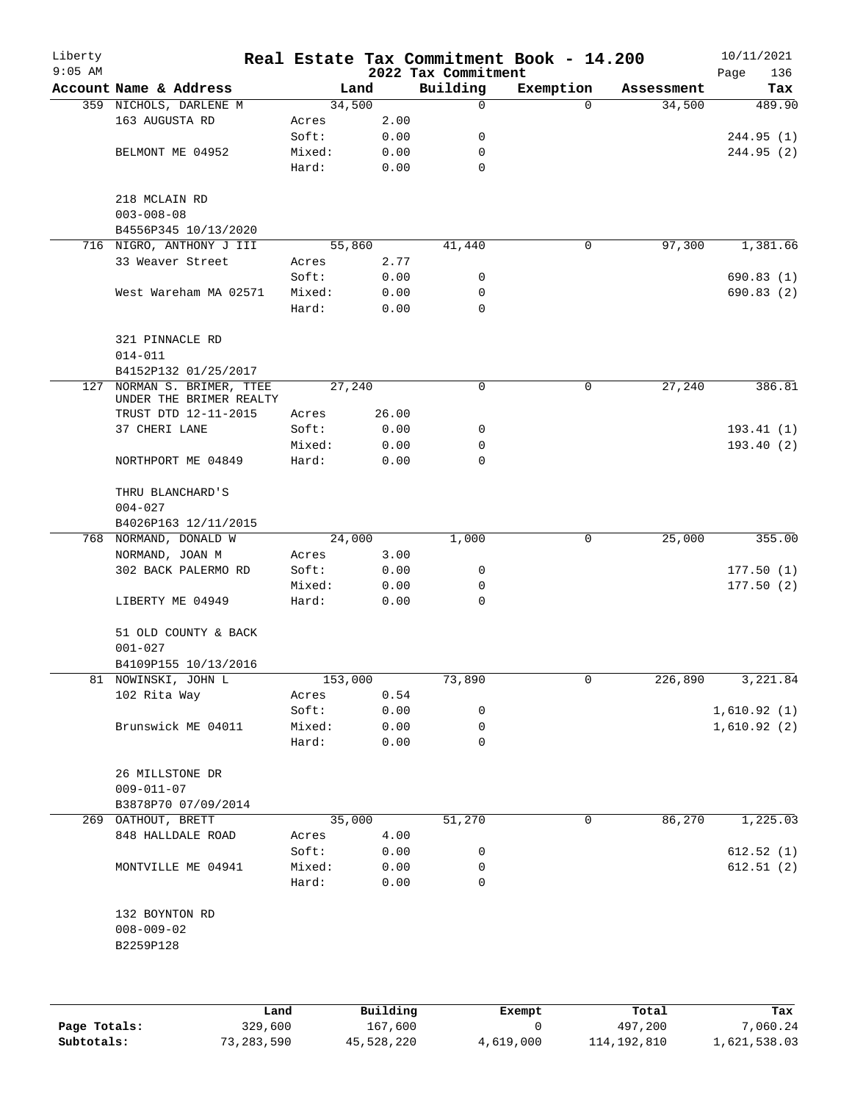| Liberty<br>$9:05$ AM |                                                   |                 |                         | 2022 Tax Commitment | Real Estate Tax Commitment Book - 14.200 |             | 10/11/2021<br>Page<br>136 |
|----------------------|---------------------------------------------------|-----------------|-------------------------|---------------------|------------------------------------------|-------------|---------------------------|
|                      | Account Name & Address                            |                 | Land                    | Building            | Exemption                                | Assessment  | Tax                       |
|                      | 359 NICHOLS, DARLENE M                            |                 | 34,500                  | 0                   | $\Omega$                                 | 34,500      | 489.90                    |
|                      | 163 AUGUSTA RD                                    | Acres           | 2.00                    |                     |                                          |             |                           |
|                      |                                                   | Soft:           | 0.00                    | 0                   |                                          |             | 244.95 (1)                |
|                      | BELMONT ME 04952                                  | Mixed:          | 0.00                    | 0                   |                                          |             | 244.95 (2)                |
|                      |                                                   | Hard:           | 0.00                    | 0                   |                                          |             |                           |
|                      | 218 MCLAIN RD<br>$003 - 008 - 08$                 |                 |                         |                     |                                          |             |                           |
|                      | B4556P345 10/13/2020                              |                 |                         |                     |                                          |             |                           |
|                      | 716 NIGRO, ANTHONY J III                          |                 | 55,860                  | 41,440              | 0                                        | 97,300      | 1,381.66                  |
|                      | 33 Weaver Street                                  | Acres           | 2.77                    |                     |                                          |             |                           |
|                      |                                                   | Soft:           | 0.00                    | 0                   |                                          |             | 690.83(1)                 |
|                      | West Wareham MA 02571                             | Mixed:          | 0.00                    | 0                   |                                          |             | 690.83(2)                 |
|                      |                                                   | Hard:           | 0.00                    | 0                   |                                          |             |                           |
|                      | 321 PINNACLE RD<br>$014 - 011$                    |                 |                         |                     |                                          |             |                           |
|                      | B4152P132 01/25/2017                              |                 |                         |                     |                                          |             |                           |
| 127                  | NORMAN S. BRIMER, TTEE<br>UNDER THE BRIMER REALTY |                 | 27,240                  | 0                   | 0                                        | 27,240      | 386.81                    |
|                      | TRUST DTD 12-11-2015                              | Acres           | 26.00                   |                     |                                          |             |                           |
|                      | 37 CHERI LANE                                     | Soft:           | 0.00                    | 0                   |                                          |             | 193.41(1)                 |
|                      |                                                   |                 |                         | 0                   |                                          |             |                           |
|                      | NORTHPORT ME 04849                                | Mixed:<br>Hard: | 0.00<br>0.00            | 0                   |                                          |             | 193.40(2)                 |
|                      | THRU BLANCHARD'S                                  |                 |                         |                     |                                          |             |                           |
|                      | $004 - 027$                                       |                 |                         |                     |                                          |             |                           |
|                      | B4026P163 12/11/2015                              |                 |                         |                     |                                          |             |                           |
| 768                  | NORMAND, DONALD W                                 |                 | 24,000                  | 1,000               | 0                                        | 25,000      | 355.00                    |
|                      | NORMAND, JOAN M                                   | Acres           | 3.00                    |                     |                                          |             |                           |
|                      | 302 BACK PALERMO RD                               | Soft:           | 0.00                    | 0                   |                                          |             | 177.50(1)                 |
|                      |                                                   | Mixed:          | 0.00                    | 0                   |                                          |             | 177.50(2)                 |
|                      | LIBERTY ME 04949                                  | Hard:           | 0.00                    | 0                   |                                          |             |                           |
|                      | 51 OLD COUNTY & BACK                              |                 |                         |                     |                                          |             |                           |
|                      | $001 - 027$                                       |                 |                         |                     |                                          |             |                           |
|                      | B4109P155 10/13/2016                              |                 |                         |                     |                                          |             |                           |
|                      | 81 NOWINSKI, JOHN L                               | 153,000         |                         | 73,890              | 0                                        | 226,890     | 3,221.84                  |
|                      | 102 Rita Way                                      | Acres           | 0.54                    |                     |                                          |             |                           |
|                      |                                                   | Soft:           | 0.00                    | 0                   |                                          |             | 1,610.92(1)               |
|                      | Brunswick ME 04011                                | Mixed:          | 0.00                    | 0                   |                                          |             | 1,610.92(2)               |
|                      |                                                   | Hard:           | 0.00                    | 0                   |                                          |             |                           |
|                      | 26 MILLSTONE DR<br>$009 - 011 - 07$               |                 |                         |                     |                                          |             |                           |
|                      | B3878P70 07/09/2014                               |                 |                         |                     |                                          |             |                           |
|                      | 269 OATHOUT, BRETT                                |                 | 35,000                  | 51,270              | 0                                        | 86,270      | 1,225.03                  |
|                      | 848 HALLDALE ROAD                                 | Acres<br>Soft:  | 4.00<br>0.00            | 0                   |                                          |             | 612.52(1)                 |
|                      | MONTVILLE ME 04941                                | Mixed:          | 0.00                    | 0                   |                                          |             | 612.51(2)                 |
|                      |                                                   | Hard:           | 0.00                    | 0                   |                                          |             |                           |
|                      | 132 BOYNTON RD<br>$008 - 009 - 02$                |                 |                         |                     |                                          |             |                           |
|                      | B2259P128                                         |                 |                         |                     |                                          |             |                           |
|                      |                                                   |                 |                         |                     |                                          |             |                           |
|                      |                                                   |                 | $D \cdot 1111 \cdot 24$ |                     |                                          | $T - F - 1$ |                           |
|                      | <b>Tond</b>                                       |                 |                         |                     | $P$ ucamat                               |             | m.,                       |

|              | Land       | Building   | Exempt    | Total       | Tax          |
|--------------|------------|------------|-----------|-------------|--------------|
| Page Totals: | 329,600    | 167,600    |           | 497,200     | 7,060.24     |
| Subtotals:   | 73,283,590 | 45,528,220 | 4,619,000 | 114,192,810 | 1,621,538.03 |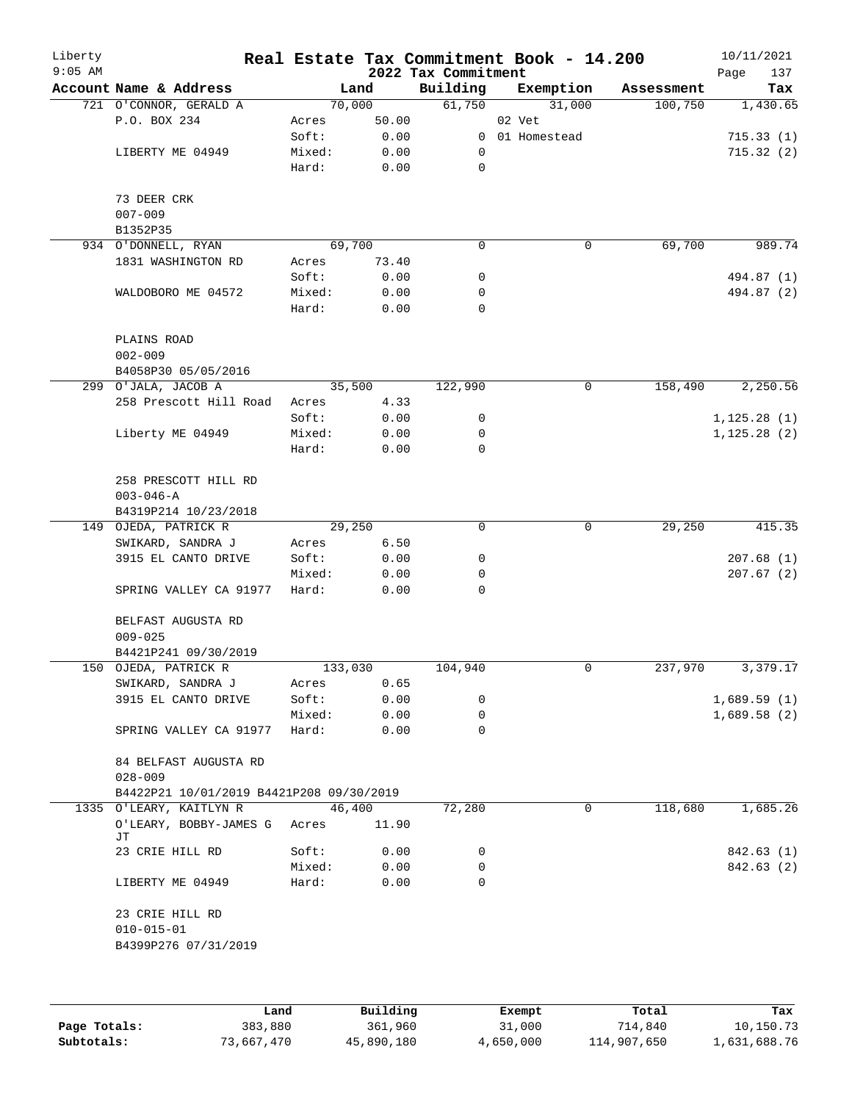| Liberty<br>$9:05$ AM |                                          |         |       | 2022 Tax Commitment | Real Estate Tax Commitment Book - 14.200 |            | 10/11/2021<br>Page<br>137 |
|----------------------|------------------------------------------|---------|-------|---------------------|------------------------------------------|------------|---------------------------|
|                      | Account Name & Address                   |         | Land  | Building            | Exemption                                | Assessment | Tax                       |
|                      | 721 O'CONNOR, GERALD A                   | 70,000  |       | 61,750              | 31,000                                   | 100,750    | 1,430.65                  |
|                      | P.O. BOX 234                             | Acres   | 50.00 |                     | 02 Vet                                   |            |                           |
|                      |                                          | Soft:   | 0.00  |                     | 0 01 Homestead                           |            | 715.33(1)                 |
|                      | LIBERTY ME 04949                         | Mixed:  | 0.00  | 0                   |                                          |            | 715.32(2)                 |
|                      |                                          | Hard:   | 0.00  | 0                   |                                          |            |                           |
|                      | 73 DEER CRK                              |         |       |                     |                                          |            |                           |
|                      | $007 - 009$                              |         |       |                     |                                          |            |                           |
|                      | B1352P35                                 |         |       |                     |                                          |            |                           |
|                      | 934 O'DONNELL, RYAN                      | 69,700  |       | 0                   | $\mathbf 0$                              | 69,700     | 989.74                    |
|                      | 1831 WASHINGTON RD                       | Acres   | 73.40 |                     |                                          |            |                           |
|                      |                                          | Soft:   | 0.00  | 0                   |                                          |            | 494.87 (1)                |
|                      | WALDOBORO ME 04572                       | Mixed:  | 0.00  | 0                   |                                          |            | 494.87 (2)                |
|                      |                                          | Hard:   | 0.00  | $\mathbf 0$         |                                          |            |                           |
|                      | PLAINS ROAD                              |         |       |                     |                                          |            |                           |
|                      | $002 - 009$                              |         |       |                     |                                          |            |                           |
|                      | B4058P30 05/05/2016                      |         |       |                     |                                          |            |                           |
|                      | 299 O'JALA, JACOB A                      | 35,500  |       | 122,990             | $\mathbf 0$                              | 158,490    | 2,250.56                  |
|                      | 258 Prescott Hill Road                   | Acres   | 4.33  |                     |                                          |            |                           |
|                      |                                          | Soft:   | 0.00  | 0                   |                                          |            | 1, 125.28(1)              |
|                      | Liberty ME 04949                         | Mixed:  | 0.00  | 0                   |                                          |            | 1, 125.28(2)              |
|                      |                                          | Hard:   | 0.00  | $\mathbf 0$         |                                          |            |                           |
|                      | 258 PRESCOTT HILL RD                     |         |       |                     |                                          |            |                           |
|                      | $003 - 046 - A$                          |         |       |                     |                                          |            |                           |
|                      | B4319P214 10/23/2018                     |         |       |                     |                                          |            |                           |
|                      | 149 OJEDA, PATRICK R                     | 29,250  |       | $\mathbf 0$         | $\mathbf 0$                              | 29,250     | 415.35                    |
|                      | SWIKARD, SANDRA J                        | Acres   | 6.50  |                     |                                          |            |                           |
|                      | 3915 EL CANTO DRIVE                      | Soft:   | 0.00  | 0                   |                                          |            | 207.68(1)                 |
|                      |                                          | Mixed:  | 0.00  | 0                   |                                          |            | 207.67(2)                 |
|                      | SPRING VALLEY CA 91977                   | Hard:   | 0.00  | $\mathbf 0$         |                                          |            |                           |
|                      | BELFAST AUGUSTA RD                       |         |       |                     |                                          |            |                           |
|                      | $009 - 025$                              |         |       |                     |                                          |            |                           |
|                      | B4421P241 09/30/2019                     |         |       |                     |                                          |            |                           |
|                      | 150 OJEDA, PATRICK R                     | 133,030 |       | 104,940             | 0                                        | 237,970    | 3,379.17                  |
|                      | SWIKARD, SANDRA J                        | Acres   | 0.65  |                     |                                          |            |                           |
|                      | 3915 EL CANTO DRIVE                      | Soft:   | 0.00  | 0                   |                                          |            | 1,689.59(1)               |
|                      |                                          | Mixed:  | 0.00  | 0                   |                                          |            | 1,689.58(2)               |
|                      | SPRING VALLEY CA 91977                   | Hard:   | 0.00  | 0                   |                                          |            |                           |
|                      | 84 BELFAST AUGUSTA RD<br>$028 - 009$     |         |       |                     |                                          |            |                           |
|                      | B4422P21 10/01/2019 B4421P208 09/30/2019 |         |       |                     |                                          |            |                           |
|                      | 1335 O'LEARY, KAITLYN R                  | 46,400  |       | 72,280              | 0                                        | 118,680    | 1,685.26                  |
|                      | O'LEARY, BOBBY-JAMES G<br>JТ             | Acres   | 11.90 |                     |                                          |            |                           |
|                      | 23 CRIE HILL RD                          | Soft:   | 0.00  | 0                   |                                          |            | 842.63 (1)                |
|                      |                                          | Mixed:  | 0.00  | 0                   |                                          |            | 842.63 (2)                |
|                      | LIBERTY ME 04949                         | Hard:   | 0.00  | 0                   |                                          |            |                           |
|                      | 23 CRIE HILL RD                          |         |       |                     |                                          |            |                           |
|                      | $010 - 015 - 01$                         |         |       |                     |                                          |            |                           |
|                      | B4399P276 07/31/2019                     |         |       |                     |                                          |            |                           |
|                      |                                          |         |       |                     |                                          |            |                           |
|                      |                                          |         |       |                     |                                          |            |                           |
|                      |                                          |         |       |                     |                                          |            |                           |

|              | Land       | Building   | Exempt    | Total       | Tax          |
|--------------|------------|------------|-----------|-------------|--------------|
| Page Totals: | 383,880    | 361,960    | 31,000    | 714,840     | 10,150.73    |
| Subtotals:   | 73,667,470 | 45,890,180 | 4,650,000 | 114,907,650 | 1,631,688.76 |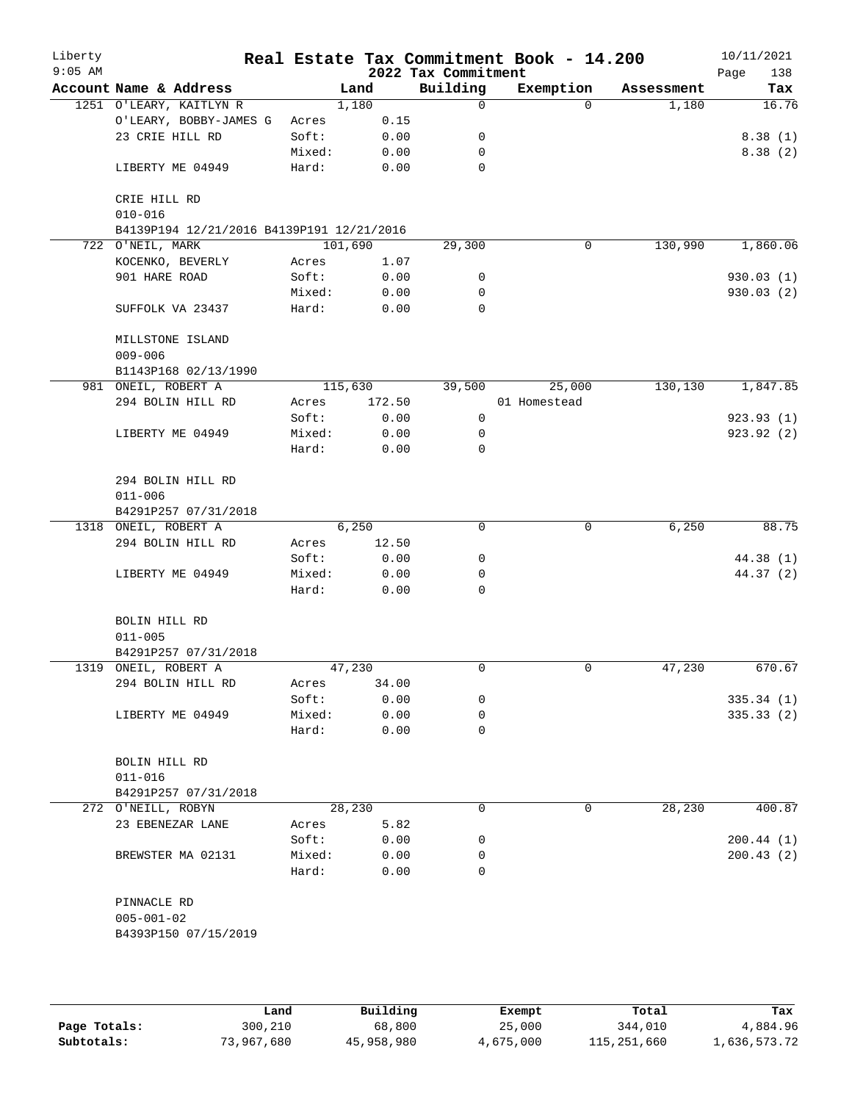| Liberty<br>$9:05$ AM |                                           |                 |         |              | 2022 Tax Commitment | Real Estate Tax Commitment Book - 14.200 |             |            | 10/11/2021<br>Page<br>138 |
|----------------------|-------------------------------------------|-----------------|---------|--------------|---------------------|------------------------------------------|-------------|------------|---------------------------|
|                      | Account Name & Address                    |                 | Land    |              | Building            | Exemption                                |             | Assessment | Tax                       |
|                      | 1251 O'LEARY, KAITLYN R                   |                 | 1,180   |              | 0                   |                                          | $\Omega$    | 1,180      | 16.76                     |
|                      | O'LEARY, BOBBY-JAMES G                    | Acres           |         | 0.15         |                     |                                          |             |            |                           |
|                      | 23 CRIE HILL RD                           | Soft:           |         | 0.00         | 0                   |                                          |             |            | 8.38(1)                   |
|                      |                                           | Mixed:          |         | 0.00         | 0                   |                                          |             |            | 8.38(2)                   |
|                      | LIBERTY ME 04949                          | Hard:           |         | 0.00         | $\mathbf 0$         |                                          |             |            |                           |
|                      | CRIE HILL RD<br>$010 - 016$               |                 |         |              |                     |                                          |             |            |                           |
|                      | B4139P194 12/21/2016 B4139P191 12/21/2016 |                 |         |              |                     |                                          |             |            |                           |
|                      | 722 O'NEIL, MARK                          |                 | 101,690 |              | 29,300              |                                          | 0           | 130,990    | 1,860.06                  |
|                      | KOCENKO, BEVERLY                          | Acres           |         | 1.07         |                     |                                          |             |            |                           |
|                      | 901 HARE ROAD                             | Soft:           |         | 0.00         | 0                   |                                          |             |            | 930.03(1)                 |
|                      |                                           | Mixed:          |         | 0.00         | 0                   |                                          |             |            | 930.03 (2)                |
|                      | SUFFOLK VA 23437                          | Hard:           |         | 0.00         | $\Omega$            |                                          |             |            |                           |
|                      | MILLSTONE ISLAND<br>$009 - 006$           |                 |         |              |                     |                                          |             |            |                           |
|                      | B1143P168 02/13/1990                      |                 |         |              |                     |                                          |             |            |                           |
|                      | 981 ONEIL, ROBERT A                       |                 | 115,630 |              | 39,500              | 25,000                                   |             | 130,130    | 1,847.85                  |
|                      | 294 BOLIN HILL RD                         | Acres           |         | 172.50       |                     | 01 Homestead                             |             |            |                           |
|                      |                                           | Soft:           |         | 0.00         | $\mathbf 0$         |                                          |             |            | 923.93(1)                 |
|                      | LIBERTY ME 04949                          | Mixed:          |         | 0.00         | 0                   |                                          |             |            | 923.92(2)                 |
|                      |                                           | Hard:           |         | 0.00         | 0                   |                                          |             |            |                           |
|                      | 294 BOLIN HILL RD<br>$011 - 006$          |                 |         |              |                     |                                          |             |            |                           |
|                      | B4291P257 07/31/2018                      |                 |         |              |                     |                                          |             |            |                           |
|                      | 1318 ONEIL, ROBERT A                      |                 | 6,250   |              | 0                   |                                          | 0           | 6,250      | 88.75                     |
|                      | 294 BOLIN HILL RD                         | Acres           |         | 12.50        |                     |                                          |             |            |                           |
|                      |                                           | Soft:           |         | 0.00         | 0                   |                                          |             |            | 44.38 (1)                 |
|                      | LIBERTY ME 04949                          | Mixed:<br>Hard: |         | 0.00<br>0.00 | 0<br>$\Omega$       |                                          |             |            | 44.37(2)                  |
|                      |                                           |                 |         |              |                     |                                          |             |            |                           |
|                      | BOLIN HILL RD<br>$011 - 005$              |                 |         |              |                     |                                          |             |            |                           |
|                      | B4291P257 07/31/2018                      |                 |         |              |                     |                                          |             |            |                           |
|                      | 1319 ONEIL, ROBERT A                      |                 | 47,230  |              | 0                   |                                          | 0           | 47,230     | 670.67                    |
|                      | 294 BOLIN HILL RD                         | Acres           |         | 34.00        |                     |                                          |             |            |                           |
|                      |                                           | Soft:           |         | 0.00         | 0                   |                                          |             |            | 335.34(1)                 |
|                      | LIBERTY ME 04949                          | Mixed:          |         | 0.00         | 0                   |                                          |             |            | 335.33(2)                 |
|                      |                                           | Hard:           |         | 0.00         | 0                   |                                          |             |            |                           |
|                      | BOLIN HILL RD                             |                 |         |              |                     |                                          |             |            |                           |
|                      | $011 - 016$                               |                 |         |              |                     |                                          |             |            |                           |
|                      | B4291P257 07/31/2018                      |                 |         |              |                     |                                          |             |            |                           |
|                      | 272 O'NEILL, ROBYN                        |                 | 28,230  |              | 0                   |                                          | $\mathbf 0$ | 28,230     | 400.87                    |
|                      | 23 EBENEZAR LANE                          | Acres           |         | 5.82         |                     |                                          |             |            |                           |
|                      |                                           | Soft:           |         | 0.00         | 0                   |                                          |             |            | 200.44(1)                 |
|                      | BREWSTER MA 02131                         | Mixed:          |         | 0.00         | 0                   |                                          |             |            | 200.43(2)                 |
|                      |                                           | Hard:           |         | 0.00         | $\Omega$            |                                          |             |            |                           |
|                      | PINNACLE RD                               |                 |         |              |                     |                                          |             |            |                           |
|                      | $005 - 001 - 02$                          |                 |         |              |                     |                                          |             |            |                           |
|                      | B4393P150 07/15/2019                      |                 |         |              |                     |                                          |             |            |                           |
|                      |                                           |                 |         |              |                     |                                          |             |            |                           |
|                      |                                           |                 |         |              |                     |                                          |             |            |                           |

|              | Land       | Building   | Exempt    | Total       | Tax          |
|--------------|------------|------------|-----------|-------------|--------------|
| Page Totals: | 300,210    | 68,800     | 25,000    | 344,010     | 4,884.96     |
| Subtotals:   | 73,967,680 | 45,958,980 | 4,675,000 | 115,251,660 | l,636,573.72 |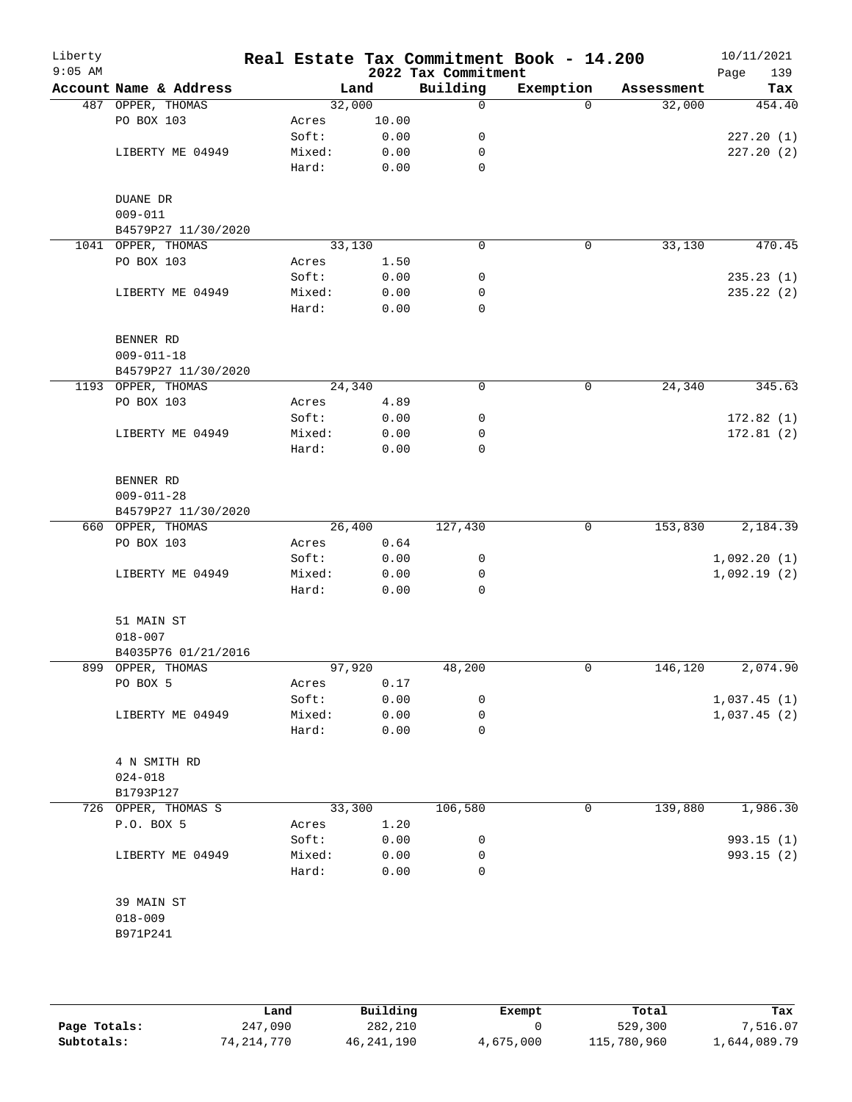| Liberty<br>$9:05$ AM |                        |        |       | 2022 Tax Commitment | Real Estate Tax Commitment Book - 14.200 |            | 10/11/2021<br>Page<br>139 |
|----------------------|------------------------|--------|-------|---------------------|------------------------------------------|------------|---------------------------|
|                      | Account Name & Address |        | Land  | Building            | Exemption                                | Assessment | Tax                       |
|                      | 487 OPPER, THOMAS      | 32,000 |       | 0                   | $\Omega$                                 | 32,000     | 454.40                    |
|                      | PO BOX 103             | Acres  | 10.00 |                     |                                          |            |                           |
|                      |                        | Soft:  | 0.00  | 0                   |                                          |            | 227.20(1)                 |
|                      | LIBERTY ME 04949       | Mixed: | 0.00  | 0                   |                                          |            | 227.20(2)                 |
|                      |                        | Hard:  | 0.00  | $\mathbf 0$         |                                          |            |                           |
|                      | DUANE DR               |        |       |                     |                                          |            |                           |
|                      | $009 - 011$            |        |       |                     |                                          |            |                           |
|                      | B4579P27 11/30/2020    |        |       |                     |                                          |            |                           |
|                      | 1041 OPPER, THOMAS     | 33,130 |       | $\mathbf 0$         | 0                                        | 33,130     | 470.45                    |
|                      | PO BOX 103             | Acres  | 1.50  |                     |                                          |            |                           |
|                      |                        | Soft:  | 0.00  | 0                   |                                          |            | 235.23(1)                 |
|                      | LIBERTY ME 04949       | Mixed: | 0.00  | 0                   |                                          |            | 235.22 (2)                |
|                      |                        | Hard:  | 0.00  | 0                   |                                          |            |                           |
|                      | BENNER RD              |        |       |                     |                                          |            |                           |
|                      | $009 - 011 - 18$       |        |       |                     |                                          |            |                           |
|                      | B4579P27 11/30/2020    |        |       |                     |                                          |            |                           |
|                      | 1193 OPPER, THOMAS     | 24,340 |       | 0                   | 0                                        | 24,340     | 345.63                    |
|                      | PO BOX 103             | Acres  | 4.89  |                     |                                          |            |                           |
|                      |                        | Soft:  | 0.00  | 0                   |                                          |            | 172.82(1)                 |
|                      | LIBERTY ME 04949       | Mixed: | 0.00  | 0                   |                                          |            | 172.81(2)                 |
|                      |                        | Hard:  | 0.00  | 0                   |                                          |            |                           |
|                      | BENNER RD              |        |       |                     |                                          |            |                           |
|                      | $009 - 011 - 28$       |        |       |                     |                                          |            |                           |
|                      | B4579P27 11/30/2020    |        |       |                     |                                          |            |                           |
|                      | 660 OPPER, THOMAS      | 26,400 |       | 127,430             | 0                                        | 153,830    | 2,184.39                  |
|                      | PO BOX 103             | Acres  | 0.64  |                     |                                          |            |                           |
|                      |                        | Soft:  | 0.00  | 0                   |                                          |            | 1,092.20(1)               |
|                      | LIBERTY ME 04949       | Mixed: | 0.00  | 0                   |                                          |            | 1,092.19(2)               |
|                      |                        | Hard:  | 0.00  | 0                   |                                          |            |                           |
|                      | 51 MAIN ST             |        |       |                     |                                          |            |                           |
|                      | $018 - 007$            |        |       |                     |                                          |            |                           |
|                      | B4035P76 01/21/2016    |        |       |                     |                                          |            |                           |
|                      | 899 OPPER, THOMAS      | 97,920 |       | 48,200              | 0                                        | 146,120    | 2,074.90                  |
|                      | PO BOX 5               | Acres  | 0.17  |                     |                                          |            |                           |
|                      |                        | Soft:  | 0.00  | 0                   |                                          |            | 1,037.45(1)               |
|                      | LIBERTY ME 04949       | Mixed: | 0.00  | 0                   |                                          |            | 1,037.45(2)               |
|                      |                        | Hard:  | 0.00  | 0                   |                                          |            |                           |
|                      | 4 N SMITH RD           |        |       |                     |                                          |            |                           |
|                      | $024 - 018$            |        |       |                     |                                          |            |                           |
|                      | B1793P127              |        |       |                     |                                          |            |                           |
|                      | 726 OPPER, THOMAS S    | 33,300 |       | 106,580             | $\mathsf{O}$                             | 139,880    | 1,986.30                  |
|                      | P.O. BOX 5             | Acres  | 1.20  |                     |                                          |            |                           |
|                      |                        | Soft:  | 0.00  | 0                   |                                          |            | 993.15(1)                 |
|                      | LIBERTY ME 04949       | Mixed: | 0.00  | 0                   |                                          |            | 993.15 (2)                |
|                      |                        | Hard:  | 0.00  | 0                   |                                          |            |                           |
|                      | 39 MAIN ST             |        |       |                     |                                          |            |                           |
|                      | $018 - 009$            |        |       |                     |                                          |            |                           |
|                      | B971P241               |        |       |                     |                                          |            |                           |
|                      |                        |        |       |                     |                                          |            |                           |
|                      |                        |        |       |                     |                                          |            |                           |

|              | Land       | Building   | Exempt    | Total       | Tax          |
|--------------|------------|------------|-----------|-------------|--------------|
| Page Totals: | 247,090    | 282,210    |           | 529,300     | 7,516.07     |
| Subtotals:   | 74,214,770 | 46,241,190 | 4,675,000 | 115,780,960 | l,644,089.79 |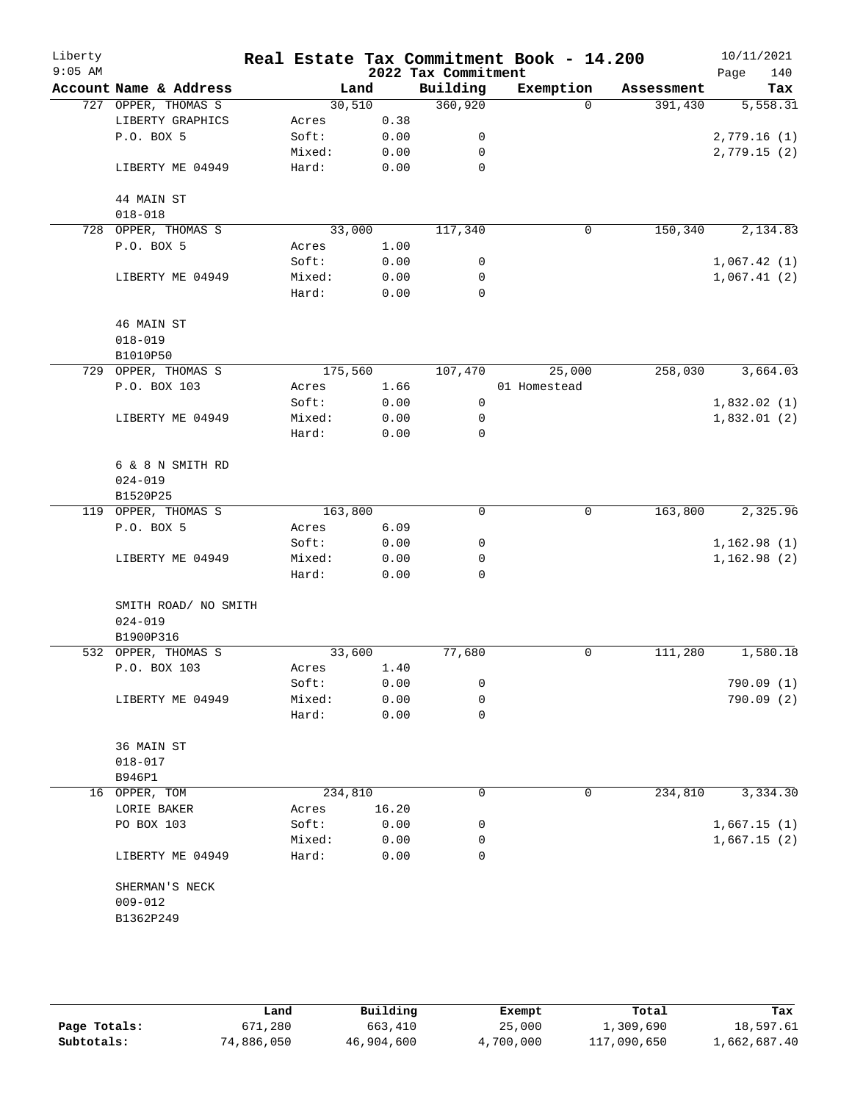| Liberty<br>$9:05$ AM |                        | Real Estate Tax Commitment Book - 14.200 |       | 2022 Tax Commitment |              |            | 10/11/2021<br>Page<br>140 |
|----------------------|------------------------|------------------------------------------|-------|---------------------|--------------|------------|---------------------------|
|                      | Account Name & Address |                                          | Land  | Building            | Exemption    | Assessment | Tax                       |
|                      | 727 OPPER, THOMAS S    | 30,510                                   |       | 360,920             | $\Omega$     | 391,430    | 5,558.31                  |
|                      | LIBERTY GRAPHICS       | Acres                                    | 0.38  |                     |              |            |                           |
|                      | P.O. BOX 5             | Soft:                                    | 0.00  | 0                   |              |            | 2,779.16(1)               |
|                      |                        | Mixed:                                   | 0.00  | 0                   |              |            | 2,779.15(2)               |
|                      | LIBERTY ME 04949       | Hard:                                    | 0.00  | $\mathbf 0$         |              |            |                           |
|                      | 44 MAIN ST             |                                          |       |                     |              |            |                           |
|                      | $018 - 018$            |                                          |       |                     |              |            |                           |
|                      | 728 OPPER, THOMAS S    | 33,000                                   |       | 117,340             | $\mathsf{O}$ | 150,340    | 2,134.83                  |
|                      | P.O. BOX 5             | Acres                                    | 1.00  |                     |              |            |                           |
|                      |                        | Soft:                                    | 0.00  | 0                   |              |            | 1,067.42(1)               |
|                      | LIBERTY ME 04949       | Mixed:                                   | 0.00  | 0                   |              |            | 1,067.41(2)               |
|                      |                        | Hard:                                    | 0.00  | 0                   |              |            |                           |
|                      | 46 MAIN ST             |                                          |       |                     |              |            |                           |
|                      | $018 - 019$            |                                          |       |                     |              |            |                           |
|                      | B1010P50               |                                          |       |                     |              |            |                           |
|                      | 729 OPPER, THOMAS S    | 175,560                                  |       | 107,470             | 25,000       | 258,030    | 3,664.03                  |
|                      | P.O. BOX 103           | Acres                                    | 1.66  |                     | 01 Homestead |            |                           |
|                      |                        | Soft:                                    | 0.00  | $\mathsf{O}$        |              |            | 1,832.02(1)               |
|                      | LIBERTY ME 04949       | Mixed:                                   | 0.00  | 0                   |              |            | 1,832.01(2)               |
|                      |                        | Hard:                                    | 0.00  | $\mathbf 0$         |              |            |                           |
|                      | 6 & 8 N SMITH RD       |                                          |       |                     |              |            |                           |
|                      | $024 - 019$            |                                          |       |                     |              |            |                           |
|                      | B1520P25               |                                          |       |                     |              |            |                           |
|                      | 119 OPPER, THOMAS S    | 163,800                                  |       | $\Omega$            | $\mathbf 0$  | 163,800    | 2,325.96                  |
|                      | P.O. BOX 5             | Acres                                    | 6.09  |                     |              |            |                           |
|                      |                        | Soft:                                    | 0.00  | 0                   |              |            | 1,162.98(1)               |
|                      | LIBERTY ME 04949       | Mixed:                                   | 0.00  | 0                   |              |            | 1,162.98(2)               |
|                      |                        | Hard:                                    | 0.00  | $\mathbf 0$         |              |            |                           |
|                      | SMITH ROAD/ NO SMITH   |                                          |       |                     |              |            |                           |
|                      | $024 - 019$            |                                          |       |                     |              |            |                           |
|                      | B1900P316              |                                          |       |                     |              |            |                           |
|                      | 532 OPPER, THOMAS S    | 33,600                                   |       | 77,680              | 0            | 111,280    | 1,580.18                  |
|                      | P.O. BOX 103           | Acres                                    | 1.40  |                     |              |            |                           |
|                      |                        | Soft:                                    | 0.00  | 0                   |              |            | 790.09 (1)                |
|                      | LIBERTY ME 04949       | Mixed:                                   | 0.00  | 0                   |              |            | 790.09 (2)                |
|                      |                        | Hard:                                    | 0.00  | 0                   |              |            |                           |
|                      | 36 MAIN ST             |                                          |       |                     |              |            |                           |
|                      | $018 - 017$            |                                          |       |                     |              |            |                           |
|                      | B946P1                 |                                          |       |                     |              |            |                           |
|                      | 16 OPPER, TOM          | 234,810                                  |       | 0                   | 0            | 234,810    | 3,334.30                  |
|                      | LORIE BAKER            | Acres                                    | 16.20 |                     |              |            |                           |
|                      | PO BOX 103             | Soft:                                    | 0.00  | 0                   |              |            | 1,667.15(1)               |
|                      |                        | Mixed:                                   | 0.00  | 0                   |              |            | 1,667.15(2)               |
|                      | LIBERTY ME 04949       | Hard:                                    | 0.00  | 0                   |              |            |                           |
|                      | SHERMAN'S NECK         |                                          |       |                     |              |            |                           |
|                      | $009 - 012$            |                                          |       |                     |              |            |                           |
|                      | B1362P249              |                                          |       |                     |              |            |                           |
|                      |                        |                                          |       |                     |              |            |                           |
|                      |                        |                                          |       |                     |              |            |                           |

|              | Land       | Building   | Exempt    | Total       | Tax          |
|--------------|------------|------------|-----------|-------------|--------------|
| Page Totals: | 671,280    | 663,410    | 25,000    | 1,309,690   | 18,597.61    |
| Subtotals:   | 74,886,050 | 46,904,600 | 4,700,000 | 117,090,650 | 1,662,687.40 |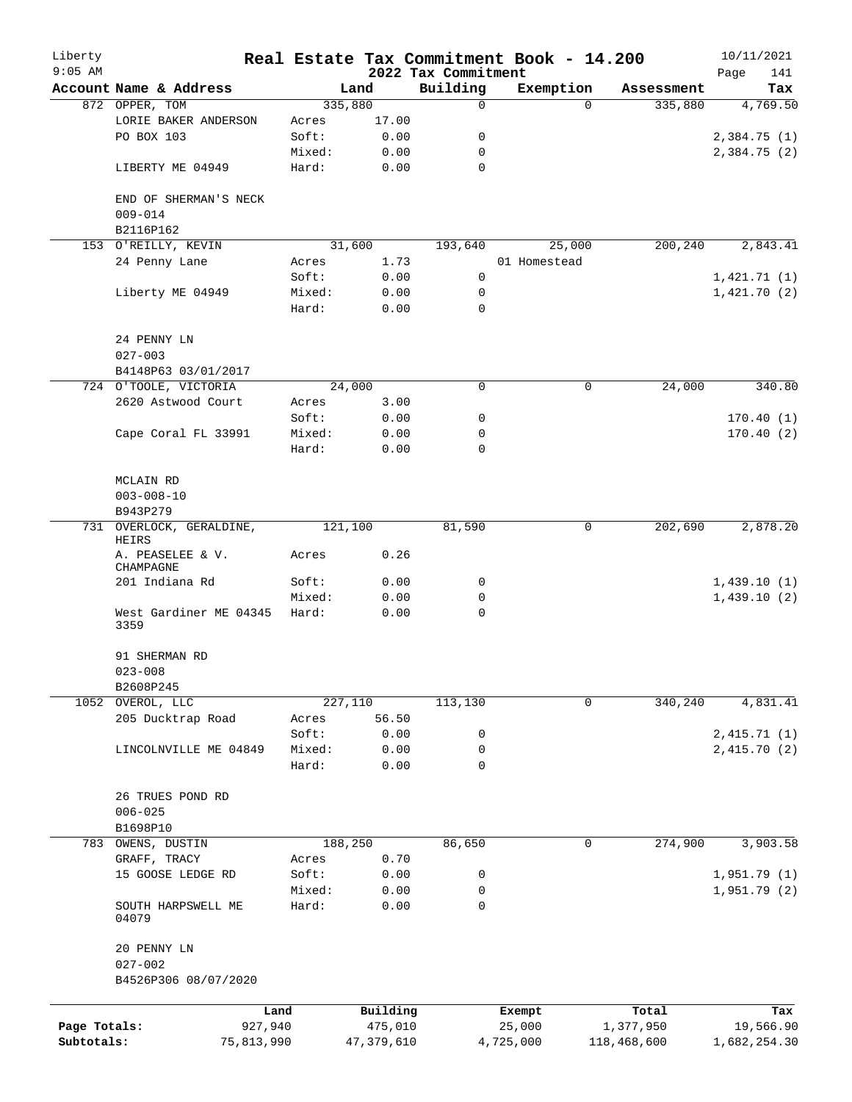| Liberty<br>$9:05$ AM |                                      |                 |              | 2022 Tax Commitment | Real Estate Tax Commitment Book - 14.200 |             | 10/11/2021<br>141<br>Page |
|----------------------|--------------------------------------|-----------------|--------------|---------------------|------------------------------------------|-------------|---------------------------|
|                      | Account Name & Address               |                 | Land         | Building            | Exemption                                | Assessment  | Tax                       |
|                      | 872 OPPER, TOM                       |                 | 335,880      | 0                   | $\Omega$                                 | 335,880     | 4,769.50                  |
|                      | LORIE BAKER ANDERSON                 | Acres           | 17.00        |                     |                                          |             |                           |
|                      | PO BOX 103                           | Soft:           | 0.00         | 0                   |                                          |             | 2,384.75(1)               |
|                      |                                      | Mixed:          | 0.00         | 0                   |                                          |             | 2,384.75 (2)              |
|                      | LIBERTY ME 04949                     | Hard:           | 0.00         | $\mathbf 0$         |                                          |             |                           |
|                      | END OF SHERMAN'S NECK<br>$009 - 014$ |                 |              |                     |                                          |             |                           |
|                      | B2116P162                            |                 |              |                     |                                          |             |                           |
|                      | 153 O'REILLY, KEVIN                  |                 | 31,600       | 193,640             | 25,000                                   | 200,240     | 2,843.41                  |
|                      | 24 Penny Lane                        | Acres           | 1.73         |                     | 01 Homestead                             |             |                           |
|                      |                                      | Soft:           | 0.00         | 0                   |                                          |             | 1,421.71(1)               |
|                      | Liberty ME 04949                     | Mixed:          | 0.00         | 0                   |                                          |             | 1,421.70(2)               |
|                      |                                      | Hard:           | 0.00         | 0                   |                                          |             |                           |
|                      | 24 PENNY LN                          |                 |              |                     |                                          |             |                           |
|                      | $027 - 003$                          |                 |              |                     |                                          |             |                           |
|                      | B4148P63 03/01/2017                  |                 |              |                     |                                          |             |                           |
|                      | 724 O'TOOLE, VICTORIA                |                 | 24,000       | 0                   | 0                                        | 24,000      | 340.80                    |
|                      | 2620 Astwood Court                   | Acres           | 3.00         |                     |                                          |             |                           |
|                      |                                      | Soft:           | 0.00         | 0                   |                                          |             | 170.40(1)                 |
|                      | Cape Coral FL 33991                  | Mixed:          | 0.00         | 0                   |                                          |             | 170.40(2)                 |
|                      |                                      | Hard:           | 0.00         | $\mathbf 0$         |                                          |             |                           |
|                      | MCLAIN RD                            |                 |              |                     |                                          |             |                           |
|                      | $003 - 008 - 10$                     |                 |              |                     |                                          |             |                           |
|                      | B943P279                             |                 |              |                     |                                          |             |                           |
|                      | 731 OVERLOCK, GERALDINE,<br>HEIRS    |                 | 121,100      | 81,590              | 0                                        | 202,690     | 2,878.20                  |
|                      | A. PEASELEE & V.<br>CHAMPAGNE        | Acres           | 0.26         |                     |                                          |             |                           |
|                      | 201 Indiana Rd                       | Soft:           | 0.00         | 0                   |                                          |             | 1,439.10(1)               |
|                      |                                      | Mixed:          | 0.00         | 0                   |                                          |             | 1,439.10(2)               |
|                      | West Gardiner ME 04345<br>3359       | Hard:           | 0.00         | $\mathbf 0$         |                                          |             |                           |
|                      | 91 SHERMAN RD                        |                 |              |                     |                                          |             |                           |
|                      | $023 - 008$                          |                 |              |                     |                                          |             |                           |
|                      | B2608P245                            |                 |              |                     |                                          |             |                           |
|                      | 1052 OVEROL, LLC                     |                 | 227,110      | 113,130             | 0                                        | 340,240     | 4,831.41                  |
|                      | 205 Ducktrap Road                    | Acres           | 56.50        |                     |                                          |             |                           |
|                      |                                      | Soft:           | 0.00         | 0                   |                                          |             | 2,415.71(1)               |
|                      | LINCOLNVILLE ME 04849                | Mixed:<br>Hard: | 0.00<br>0.00 | 0<br>0              |                                          |             | 2,415.70 (2)              |
|                      |                                      |                 |              |                     |                                          |             |                           |
|                      | 26 TRUES POND RD                     |                 |              |                     |                                          |             |                           |
|                      | $006 - 025$                          |                 |              |                     |                                          |             |                           |
|                      | B1698P10                             |                 |              |                     |                                          |             |                           |
|                      | 783 OWENS, DUSTIN                    |                 | 188,250      | 86,650              | 0                                        | 274,900     | 3,903.58                  |
|                      | GRAFF, TRACY                         | Acres           | 0.70         |                     |                                          |             |                           |
|                      | 15 GOOSE LEDGE RD                    | Soft:           | 0.00         | 0                   |                                          |             | 1,951.79(1)               |
|                      |                                      | Mixed:          | 0.00         | 0                   |                                          |             | 1,951.79(2)               |
|                      | SOUTH HARPSWELL ME<br>04079          | Hard:           | 0.00         | 0                   |                                          |             |                           |
|                      | 20 PENNY LN                          |                 |              |                     |                                          |             |                           |
|                      | $027 - 002$                          |                 |              |                     |                                          |             |                           |
|                      | B4526P306 08/07/2020                 |                 |              |                     |                                          |             |                           |
|                      |                                      | Land            | Building     |                     | Exempt                                   | Total       | Tax                       |
| Page Totals:         |                                      | 927,940         | 475,010      |                     | 25,000                                   | 1,377,950   | 19,566.90                 |
| Subtotals:           | 75,813,990                           |                 | 47, 379, 610 |                     | 4,725,000                                | 118,468,600 | 1,682,254.30              |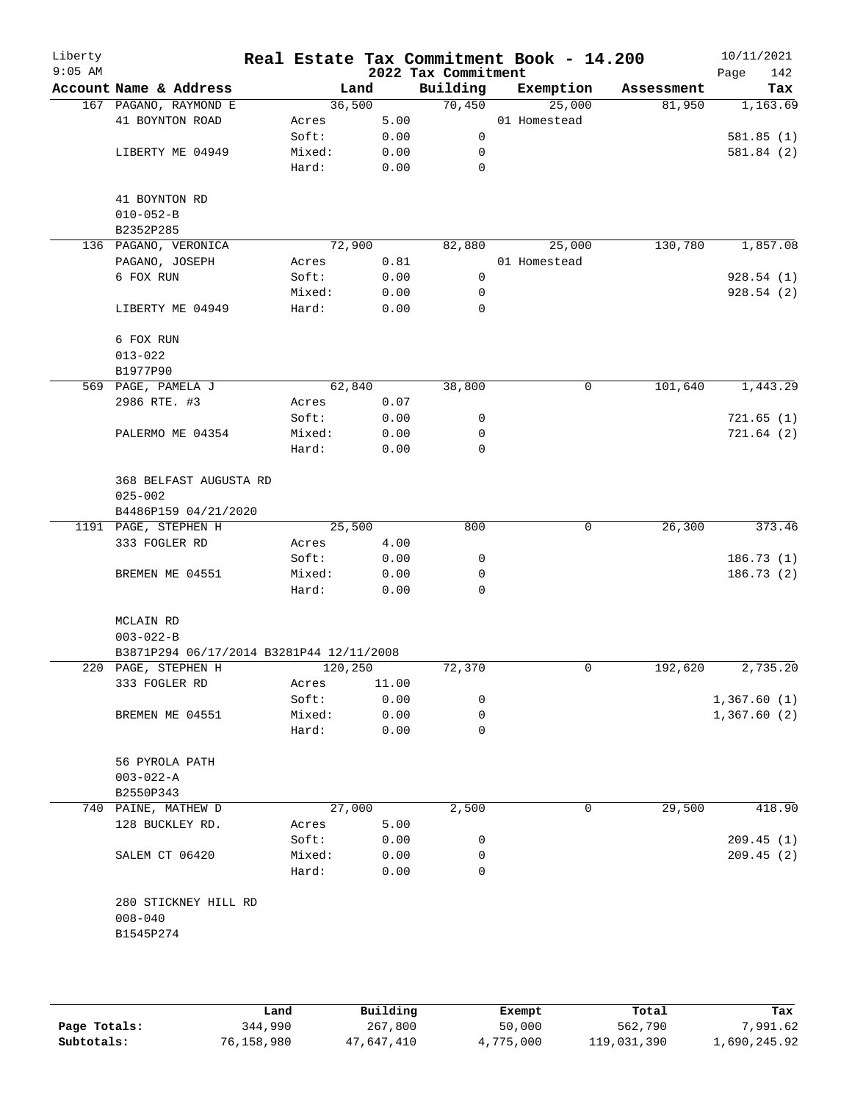| Liberty<br>$9:05$ AM |                                          |         |       | 2022 Tax Commitment | Real Estate Tax Commitment Book - 14.200 |            | 10/11/2021<br>Page<br>142 |
|----------------------|------------------------------------------|---------|-------|---------------------|------------------------------------------|------------|---------------------------|
|                      | Account Name & Address                   |         | Land  | Building            | Exemption                                | Assessment | Tax                       |
|                      | 167 PAGANO, RAYMOND E                    | 36,500  |       | 70,450              | 25,000                                   | 81,950     | 1,163.69                  |
|                      | 41 BOYNTON ROAD                          | Acres   | 5.00  |                     | 01 Homestead                             |            |                           |
|                      |                                          | Soft:   | 0.00  | $\mathsf{O}$        |                                          |            | 581.85(1)                 |
|                      | LIBERTY ME 04949                         | Mixed:  | 0.00  | 0                   |                                          |            | 581.84 (2)                |
|                      |                                          | Hard:   | 0.00  | 0                   |                                          |            |                           |
|                      | 41 BOYNTON RD                            |         |       |                     |                                          |            |                           |
|                      | $010 - 052 - B$                          |         |       |                     |                                          |            |                           |
|                      | B2352P285                                |         |       |                     |                                          |            |                           |
|                      | 136 PAGANO, VERONICA                     | 72,900  |       | 82,880              | 25,000                                   | 130,780    | 1,857.08                  |
|                      | PAGANO, JOSEPH                           | Acres   | 0.81  |                     | 01 Homestead                             |            |                           |
|                      | 6 FOX RUN                                | Soft:   | 0.00  | 0                   |                                          |            | 928.54(1)                 |
|                      |                                          | Mixed:  | 0.00  | 0                   |                                          |            | 928.54 (2)                |
|                      | LIBERTY ME 04949                         | Hard:   | 0.00  | $\mathbf 0$         |                                          |            |                           |
|                      | 6 FOX RUN                                |         |       |                     |                                          |            |                           |
|                      | $013 - 022$                              |         |       |                     |                                          |            |                           |
|                      | B1977P90                                 |         |       |                     |                                          |            |                           |
|                      | 569 PAGE, PAMELA J                       | 62,840  |       | 38,800              | 0                                        | 101,640    | 1,443.29                  |
|                      | 2986 RTE. #3                             | Acres   | 0.07  |                     |                                          |            |                           |
|                      |                                          | Soft:   | 0.00  | 0                   |                                          |            | 721.65(1)                 |
|                      | PALERMO ME 04354                         | Mixed:  | 0.00  | 0                   |                                          |            | 721.64(2)                 |
|                      |                                          | Hard:   | 0.00  | 0                   |                                          |            |                           |
|                      | 368 BELFAST AUGUSTA RD<br>$025 - 002$    |         |       |                     |                                          |            |                           |
|                      | B4486P159 04/21/2020                     |         |       |                     |                                          |            |                           |
|                      | 1191 PAGE, STEPHEN H                     | 25,500  |       | 800                 | $\mathbf 0$                              | 26,300     | 373.46                    |
|                      | 333 FOGLER RD                            | Acres   | 4.00  |                     |                                          |            |                           |
|                      |                                          | Soft:   | 0.00  | 0                   |                                          |            | 186.73(1)                 |
|                      | BREMEN ME 04551                          | Mixed:  | 0.00  | 0                   |                                          |            | 186.73(2)                 |
|                      |                                          | Hard:   | 0.00  | $\mathbf 0$         |                                          |            |                           |
|                      | MCLAIN RD                                |         |       |                     |                                          |            |                           |
|                      | $003 - 022 - B$                          |         |       |                     |                                          |            |                           |
|                      | B3871P294 06/17/2014 B3281P44 12/11/2008 |         |       |                     |                                          |            |                           |
|                      | 220 PAGE, STEPHEN H                      | 120,250 |       | 72,370              | 0                                        | 192,620    | 2,735.20                  |
|                      | 333 FOGLER RD                            | Acres   | 11.00 |                     |                                          |            |                           |
|                      |                                          | Soft:   | 0.00  | 0                   |                                          |            | 1,367.60(1)               |
|                      | BREMEN ME 04551                          | Mixed:  | 0.00  | 0                   |                                          |            | 1,367.60(2)               |
|                      |                                          | Hard:   | 0.00  | 0                   |                                          |            |                           |
|                      | 56 PYROLA PATH                           |         |       |                     |                                          |            |                           |
|                      | $003 - 022 - A$                          |         |       |                     |                                          |            |                           |
|                      | B2550P343                                |         |       |                     |                                          |            |                           |
|                      | 740 PAINE, MATHEW D                      | 27,000  |       | 2,500               | 0                                        | 29,500     | 418.90                    |
|                      | 128 BUCKLEY RD.                          | Acres   | 5.00  |                     |                                          |            |                           |
|                      |                                          | Soft:   | 0.00  | 0                   |                                          |            | 209.45(1)                 |
|                      | SALEM CT 06420                           | Mixed:  | 0.00  | 0                   |                                          |            | 209.45(2)                 |
|                      |                                          | Hard:   | 0.00  | 0                   |                                          |            |                           |
|                      | 280 STICKNEY HILL RD                     |         |       |                     |                                          |            |                           |
|                      | $008 - 040$                              |         |       |                     |                                          |            |                           |
|                      | B1545P274                                |         |       |                     |                                          |            |                           |
|                      |                                          |         |       |                     |                                          |            |                           |
|                      |                                          |         |       |                     |                                          |            |                           |
|                      |                                          |         |       |                     |                                          |            |                           |

|              | Land       | Building   | Exempt    | Total       | Tax          |
|--------------|------------|------------|-----------|-------------|--------------|
| Page Totals: | 344,990    | 267,800    | 50,000    | 562,790     | 7,991.62     |
| Subtotals:   | 76,158,980 | 47,647,410 | 4,775,000 | 119,031,390 | 1,690,245.92 |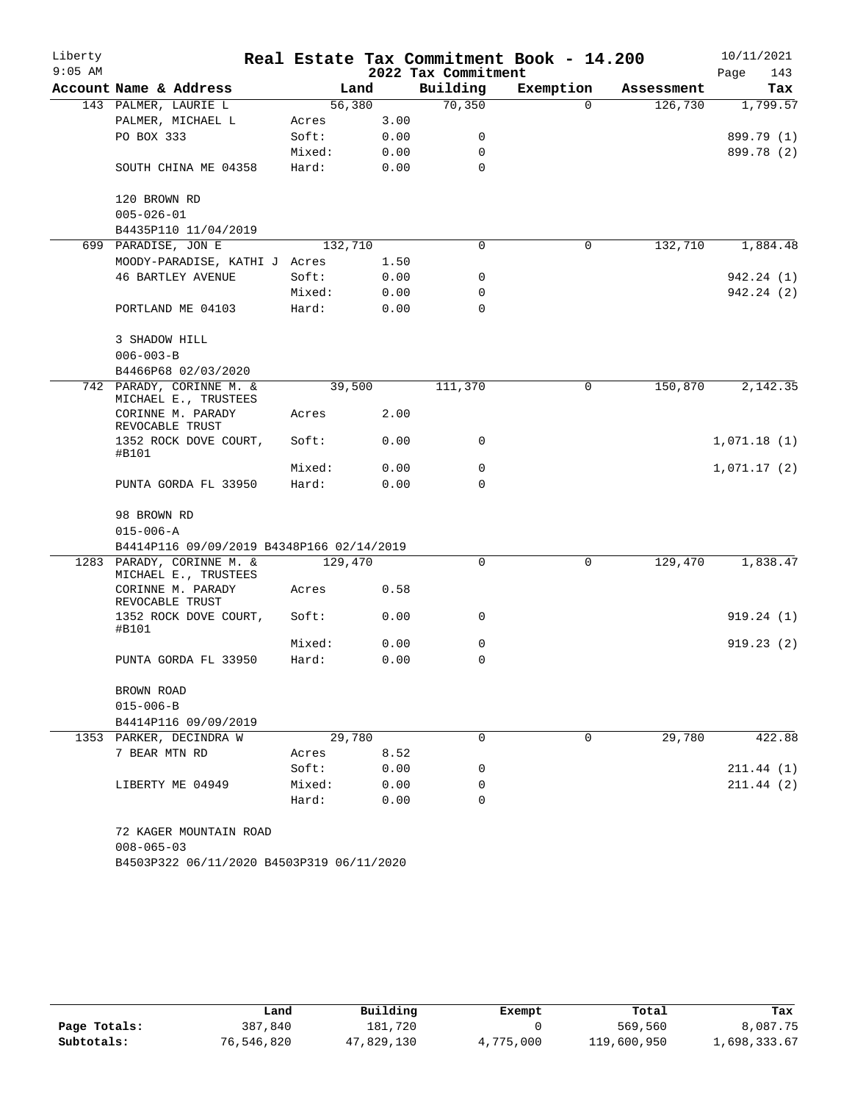| Liberty   |                                                   |         |      |                     | Real Estate Tax Commitment Book - 14.200 |            | 10/11/2021  |
|-----------|---------------------------------------------------|---------|------|---------------------|------------------------------------------|------------|-------------|
| $9:05$ AM |                                                   |         |      | 2022 Tax Commitment |                                          |            | 143<br>Page |
|           | Account Name & Address                            | Land    |      | Building            | Exemption                                | Assessment | Tax         |
|           | 143 PALMER, LAURIE L                              | 56,380  |      | 70,350              | $\Omega$                                 | 126,730    | 1,799.57    |
|           | PALMER, MICHAEL L                                 | Acres   | 3.00 |                     |                                          |            |             |
|           | PO BOX 333                                        | Soft:   | 0.00 | 0                   |                                          |            | 899.79 (1)  |
|           |                                                   | Mixed:  | 0.00 | 0                   |                                          |            | 899.78 (2)  |
|           | SOUTH CHINA ME 04358                              | Hard:   | 0.00 | $\mathbf 0$         |                                          |            |             |
|           | 120 BROWN RD                                      |         |      |                     |                                          |            |             |
|           | $005 - 026 - 01$                                  |         |      |                     |                                          |            |             |
|           | B4435P110 11/04/2019                              |         |      |                     |                                          |            |             |
|           | 699 PARADISE, JON E                               | 132,710 |      | $\mathbf 0$         | 0                                        | 132,710    | 1,884.48    |
|           | MOODY-PARADISE, KATHI J Acres                     |         | 1.50 |                     |                                          |            |             |
|           | <b>46 BARTLEY AVENUE</b>                          | Soft:   | 0.00 | 0                   |                                          |            | 942.24 (1)  |
|           |                                                   | Mixed:  | 0.00 | 0                   |                                          |            | 942.24 (2)  |
|           | PORTLAND ME 04103                                 | Hard:   | 0.00 | $\Omega$            |                                          |            |             |
|           | 3 SHADOW HILL                                     |         |      |                     |                                          |            |             |
|           | $006 - 003 - B$                                   |         |      |                     |                                          |            |             |
|           | B4466P68 02/03/2020                               |         |      |                     |                                          |            |             |
|           | 742 PARADY, CORINNE M. &<br>MICHAEL E., TRUSTEES  | 39,500  |      | 111,370             | 0                                        | 150,870    | 2,142.35    |
|           | CORINNE M. PARADY<br>REVOCABLE TRUST              | Acres   | 2.00 |                     |                                          |            |             |
|           | 1352 ROCK DOVE COURT,<br>#B101                    | Soft:   | 0.00 | $\mathbf 0$         |                                          |            | 1,071.18(1) |
|           |                                                   | Mixed:  | 0.00 | 0                   |                                          |            | 1,071.17(2) |
|           | PUNTA GORDA FL 33950                              | Hard:   | 0.00 | $\Omega$            |                                          |            |             |
|           | 98 BROWN RD                                       |         |      |                     |                                          |            |             |
|           | $015 - 006 - A$                                   |         |      |                     |                                          |            |             |
|           | B4414P116 09/09/2019 B4348P166 02/14/2019         |         |      |                     |                                          |            |             |
|           | 1283 PARADY, CORINNE M. &<br>MICHAEL E., TRUSTEES | 129,470 |      | $\Omega$            | $\mathbf 0$                              | 129,470    | 1,838.47    |
|           | CORINNE M. PARADY<br>REVOCABLE TRUST              | Acres   | 0.58 |                     |                                          |            |             |
|           | 1352 ROCK DOVE COURT,<br>#B101                    | Soft:   | 0.00 | 0                   |                                          |            | 919.24(1)   |
|           |                                                   | Mixed:  | 0.00 | 0                   |                                          |            | 919.23(2)   |
|           | PUNTA GORDA FL 33950                              | Hard:   | 0.00 | 0                   |                                          |            |             |
|           | BROWN ROAD                                        |         |      |                     |                                          |            |             |
|           | $015 - 006 - B$                                   |         |      |                     |                                          |            |             |
|           | B4414P116 09/09/2019                              |         |      |                     |                                          |            |             |
|           | 1353 PARKER, DECINDRA W                           | 29,780  |      | $\Omega$            | $\Omega$                                 | 29,780     | 422.88      |
|           | 7 BEAR MTN RD                                     | Acres   | 8.52 |                     |                                          |            |             |
|           |                                                   | Soft:   | 0.00 | 0                   |                                          |            | 211.44(1)   |
|           | LIBERTY ME 04949                                  | Mixed:  | 0.00 | 0                   |                                          |            | 211.44(2)   |
|           |                                                   | Hard:   | 0.00 | $\Omega$            |                                          |            |             |
|           | 72 KAGER MOUNTAIN ROAD                            |         |      |                     |                                          |            |             |
|           | $008 - 065 - 03$                                  |         |      |                     |                                          |            |             |
|           | B4503P322 06/11/2020 B4503P319 06/11/2020         |         |      |                     |                                          |            |             |

|              | Land       | Building   | Exempt    | Total       | Tax          |
|--------------|------------|------------|-----------|-------------|--------------|
| Page Totals: | 387,840    | 181,720    |           | 569,560     | 8,087.75     |
| Subtotals:   | 76,546,820 | 47,829,130 | 4,775,000 | 119,600,950 | 1,698,333.67 |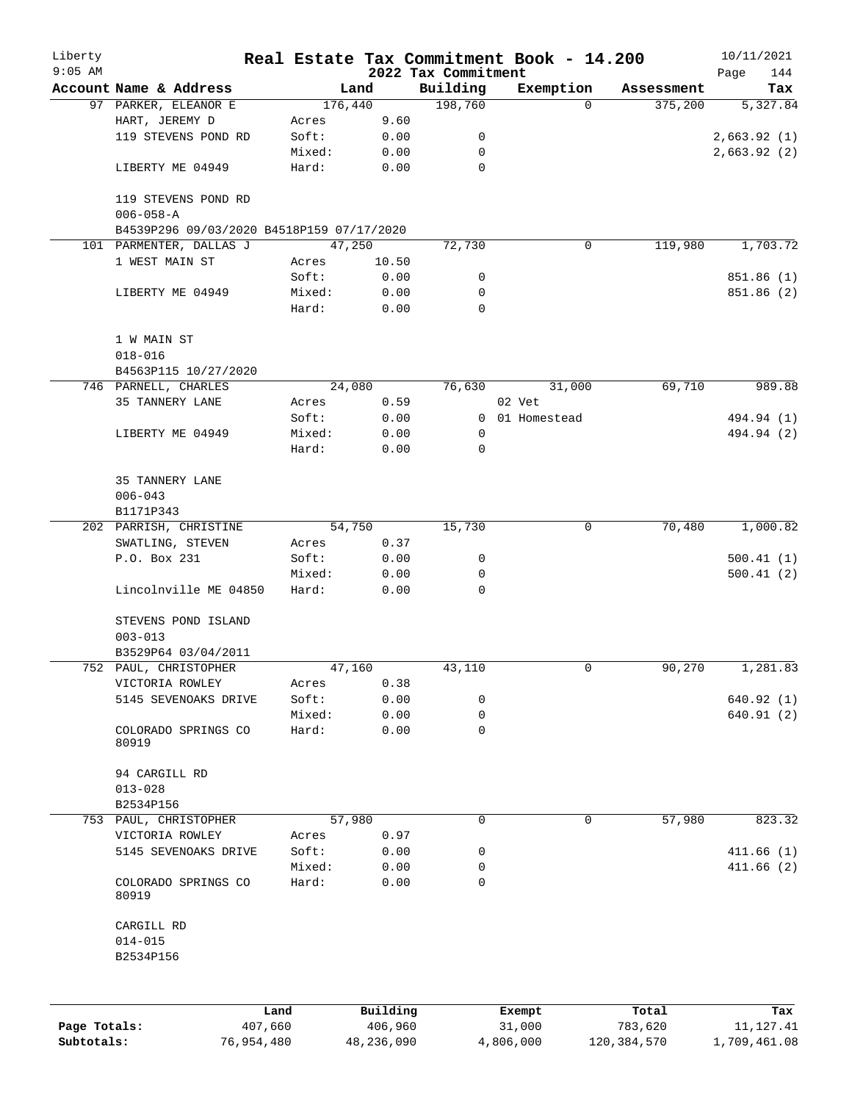| Liberty      |                                           |            |        |                 |                     | Real Estate Tax Commitment Book - 14.200 |                       | 10/11/2021         |
|--------------|-------------------------------------------|------------|--------|-----------------|---------------------|------------------------------------------|-----------------------|--------------------|
| $9:05$ AM    | Account Name & Address                    |            |        |                 | 2022 Tax Commitment |                                          |                       | 144<br>Page<br>Tax |
|              | 97 PARKER, ELEANOR E                      |            |        | Land<br>176,440 | Building<br>198,760 | Exemption<br>$\Omega$                    | Assessment<br>375,200 | 5,327.84           |
|              | HART, JEREMY D                            |            | Acres  | 9.60            |                     |                                          |                       |                    |
|              | 119 STEVENS POND RD                       |            | Soft:  | 0.00            | 0                   |                                          |                       | 2,663.92(1)        |
|              |                                           |            | Mixed: | 0.00            | 0                   |                                          |                       | 2,663.92(2)        |
|              | LIBERTY ME 04949                          |            | Hard:  | 0.00            | $\mathbf 0$         |                                          |                       |                    |
|              | 119 STEVENS POND RD<br>$006 - 058 - A$    |            |        |                 |                     |                                          |                       |                    |
|              | B4539P296 09/03/2020 B4518P159 07/17/2020 |            |        |                 |                     |                                          |                       |                    |
|              | 101 PARMENTER, DALLAS J                   |            |        | 47,250          | 72,730              | 0                                        | 119,980               | 1,703.72           |
|              | 1 WEST MAIN ST                            |            | Acres  | 10.50           |                     |                                          |                       |                    |
|              |                                           |            | Soft:  | 0.00            | 0                   |                                          |                       | 851.86 (1)         |
|              | LIBERTY ME 04949                          |            | Mixed: | 0.00            | 0                   |                                          |                       | 851.86 (2)         |
|              |                                           |            | Hard:  | 0.00            | $\Omega$            |                                          |                       |                    |
|              | 1 W MAIN ST                               |            |        |                 |                     |                                          |                       |                    |
|              | $018 - 016$                               |            |        |                 |                     |                                          |                       |                    |
|              | B4563P115 10/27/2020                      |            |        |                 |                     |                                          |                       |                    |
|              | 746 PARNELL, CHARLES                      |            |        | 24,080          | 76,630              | 31,000                                   | 69,710                | 989.88             |
|              | 35 TANNERY LANE                           |            | Acres  | 0.59            |                     | 02 Vet                                   |                       |                    |
|              |                                           |            | Soft:  | 0.00            |                     | 0 01 Homestead                           |                       | 494.94 (1)         |
|              | LIBERTY ME 04949                          |            | Mixed: | 0.00            | 0                   |                                          |                       | 494.94 (2)         |
|              |                                           |            | Hard:  | 0.00            | 0                   |                                          |                       |                    |
|              |                                           |            |        |                 |                     |                                          |                       |                    |
|              | 35 TANNERY LANE                           |            |        |                 |                     |                                          |                       |                    |
|              | $006 - 043$                               |            |        |                 |                     |                                          |                       |                    |
|              | B1171P343                                 |            |        |                 |                     |                                          |                       |                    |
|              | 202 PARRISH, CHRISTINE                    |            |        | 54,750          | 15,730              | 0                                        | 70,480                | 1,000.82           |
|              | SWATLING, STEVEN                          |            | Acres  | 0.37            |                     |                                          |                       |                    |
|              | P.O. Box 231                              |            | Soft:  | 0.00            | 0                   |                                          |                       | 500.41(1)          |
|              |                                           |            | Mixed: | 0.00            | 0                   |                                          |                       | 500.41(2)          |
|              | Lincolnville ME 04850                     |            | Hard:  | 0.00            | 0                   |                                          |                       |                    |
|              | STEVENS POND ISLAND                       |            |        |                 |                     |                                          |                       |                    |
|              | $003 - 013$                               |            |        |                 |                     |                                          |                       |                    |
|              | B3529P64 03/04/2011                       |            |        |                 |                     |                                          |                       |                    |
|              | 752 PAUL, CHRISTOPHER                     |            |        | 47,160          | 43,110              | 0                                        | 90,270                | 1,281.83           |
|              | VICTORIA ROWLEY                           |            | Acres  | 0.38            |                     |                                          |                       |                    |
|              | 5145 SEVENOAKS DRIVE                      |            | Soft:  | 0.00            | 0                   |                                          |                       | 640.92(1)          |
|              |                                           |            | Mixed: | 0.00            | 0                   |                                          |                       | 640.91(2)          |
|              | COLORADO SPRINGS CO                       |            | Hard:  | 0.00            | 0                   |                                          |                       |                    |
|              | 80919                                     |            |        |                 |                     |                                          |                       |                    |
|              | 94 CARGILL RD                             |            |        |                 |                     |                                          |                       |                    |
|              | $013 - 028$                               |            |        |                 |                     |                                          |                       |                    |
|              | B2534P156                                 |            |        |                 |                     |                                          |                       |                    |
|              | 753 PAUL, CHRISTOPHER                     |            |        | 57,980          | 0                   | 0                                        | 57,980                | 823.32             |
|              | VICTORIA ROWLEY                           |            | Acres  | 0.97            |                     |                                          |                       |                    |
|              | 5145 SEVENOAKS DRIVE                      |            | Soft:  | 0.00            | 0                   |                                          |                       | 411.66(1)          |
|              |                                           |            | Mixed: | 0.00            | 0                   |                                          |                       | 411.66(2)          |
|              | COLORADO SPRINGS CO<br>80919              |            | Hard:  | 0.00            | 0                   |                                          |                       |                    |
|              | CARGILL RD                                |            |        |                 |                     |                                          |                       |                    |
|              | $014 - 015$                               |            |        |                 |                     |                                          |                       |                    |
|              | B2534P156                                 |            |        |                 |                     |                                          |                       |                    |
|              |                                           |            |        |                 |                     |                                          |                       |                    |
|              |                                           |            | Land   | Building        |                     | Exempt                                   | Total                 | Tax                |
| Page Totals: |                                           | 407,660    |        | 406,960         |                     | 31,000                                   | 783,620               | 11, 127.41         |
| Subtotals:   |                                           | 76,954,480 |        | 48,236,090      |                     | 4,806,000                                | 120,384,570           | 1,709,461.08       |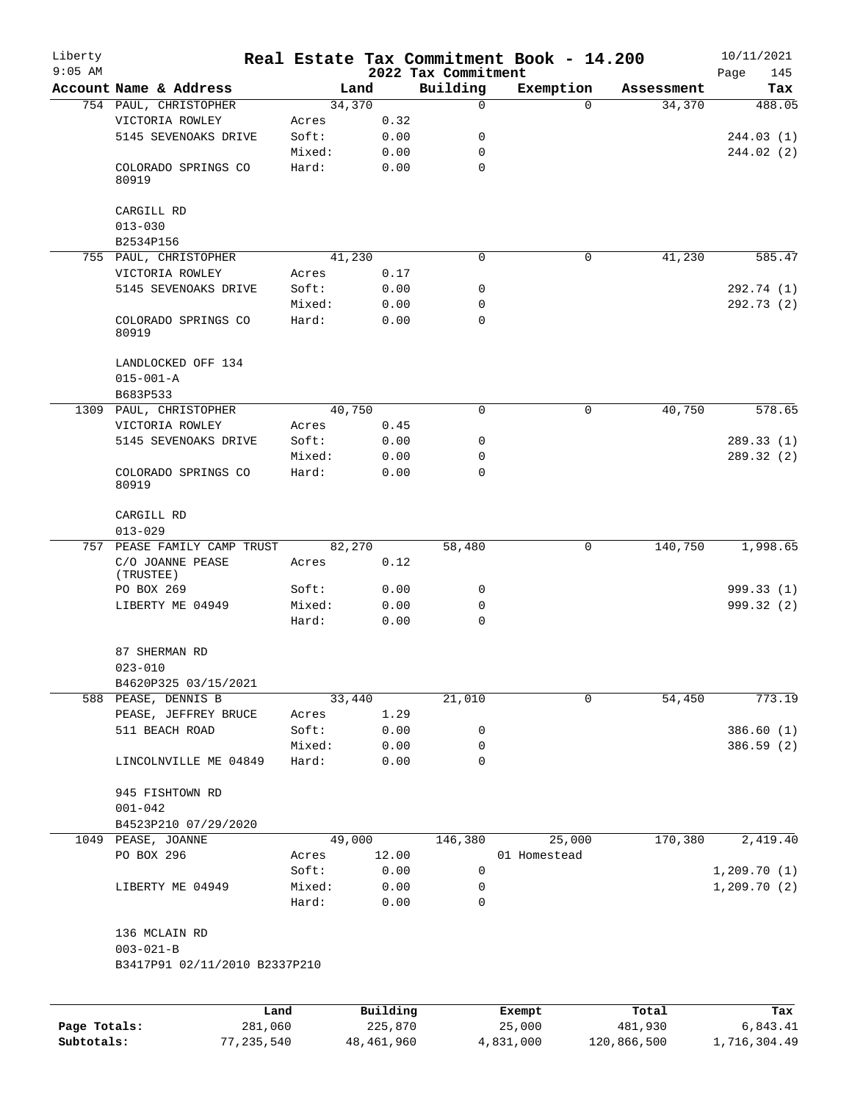| Liberty<br>$9:05$ AM |                                                   |                 |              | 2022 Tax Commitment | Real Estate Tax Commitment Book - 14.200 |            | 10/11/2021<br>Page<br>145 |
|----------------------|---------------------------------------------------|-----------------|--------------|---------------------|------------------------------------------|------------|---------------------------|
|                      | Account Name & Address                            | Land            |              | Building            | Exemption                                | Assessment | Tax                       |
|                      | 754 PAUL, CHRISTOPHER                             | 34,370          |              | 0                   | $\Omega$                                 | 34,370     | 488.05                    |
|                      | VICTORIA ROWLEY                                   | Acres           | 0.32         |                     |                                          |            |                           |
|                      | 5145 SEVENOAKS DRIVE                              | Soft:           | 0.00         | 0                   |                                          |            | 244.03(1)                 |
|                      |                                                   | Mixed:          | 0.00         | $\mathbf 0$         |                                          |            | 244.02(2)                 |
|                      | COLORADO SPRINGS CO<br>80919                      | Hard:           | 0.00         | 0                   |                                          |            |                           |
|                      | CARGILL RD                                        |                 |              |                     |                                          |            |                           |
|                      | $013 - 030$                                       |                 |              |                     |                                          |            |                           |
|                      | B2534P156                                         |                 |              | 0                   | $\mathbf 0$                              |            |                           |
|                      | 755 PAUL, CHRISTOPHER<br>VICTORIA ROWLEY          | 41,230<br>Acres | 0.17         |                     |                                          | 41,230     | 585.47                    |
|                      | 5145 SEVENOAKS DRIVE                              | Soft:           | 0.00         | 0                   |                                          |            | 292.74 (1)                |
|                      |                                                   | Mixed:          | 0.00         | 0                   |                                          |            | 292.73(2)                 |
|                      | COLORADO SPRINGS CO<br>80919                      | Hard:           | 0.00         | 0                   |                                          |            |                           |
|                      | LANDLOCKED OFF 134<br>$015 - 001 - A$<br>B683P533 |                 |              |                     |                                          |            |                           |
|                      | 1309 PAUL, CHRISTOPHER                            | 40,750          |              | $\Omega$            | $\mathbf 0$                              | 40,750     | 578.65                    |
|                      | VICTORIA ROWLEY                                   | Acres           | 0.45         |                     |                                          |            |                           |
|                      | 5145 SEVENOAKS DRIVE                              | Soft:           | 0.00         | 0                   |                                          |            | 289.33(1)                 |
|                      |                                                   | Mixed:          | 0.00         | 0                   |                                          |            | 289.32(2)                 |
|                      | COLORADO SPRINGS CO<br>80919                      | Hard:           | 0.00         | 0                   |                                          |            |                           |
|                      | CARGILL RD<br>$013 - 029$                         |                 |              |                     |                                          |            |                           |
| 757                  | PEASE FAMILY CAMP TRUST                           | 82,270          |              | 58,480              | $\mathbf 0$                              | 140,750    | 1,998.65                  |
|                      | C/O JOANNE PEASE<br>(TRUSTEE)                     | Acres           | 0.12         |                     |                                          |            |                           |
|                      | PO BOX 269                                        | Soft:           | 0.00         | 0                   |                                          |            | 999.33(1)                 |
|                      | LIBERTY ME 04949                                  | Mixed:<br>Hard: | 0.00<br>0.00 | 0<br>$\mathbf 0$    |                                          |            | 999.32 (2)                |
|                      | 87 SHERMAN RD<br>$023 - 010$                      |                 |              |                     |                                          |            |                           |
|                      | B4620P325 03/15/2021                              |                 |              |                     |                                          |            |                           |
|                      | 588 PEASE, DENNIS B                               | 33,440          |              | 21,010              | $\mathbf 0$                              | 54,450     | 773.19                    |
|                      | PEASE, JEFFREY BRUCE                              | Acres           | 1.29         |                     |                                          |            |                           |
|                      | 511 BEACH ROAD                                    | Soft:           | 0.00         | 0                   |                                          |            | 386.60(1)                 |
|                      |                                                   | Mixed:          | 0.00         | 0                   |                                          |            | 386.59 (2)                |
|                      | LINCOLNVILLE ME 04849                             | Hard:           | 0.00         | $\mathbf 0$         |                                          |            |                           |
|                      | 945 FISHTOWN RD<br>$001 - 042$                    |                 |              |                     |                                          |            |                           |
|                      | B4523P210 07/29/2020                              |                 |              |                     |                                          |            |                           |
|                      | 1049 PEASE, JOANNE                                | 49,000          |              | 146,380             | 25,000                                   | 170,380    | 2,419.40                  |
|                      | PO BOX 296                                        | Acres           | 12.00        |                     | 01 Homestead                             |            |                           |
|                      |                                                   | Soft:           | 0.00         | 0                   |                                          |            | 1,209.70(1)               |
|                      | LIBERTY ME 04949                                  | Mixed:<br>Hard: | 0.00<br>0.00 | 0<br>0              |                                          |            | 1, 209.70(2)              |
|                      | 136 MCLAIN RD                                     |                 |              |                     |                                          |            |                           |
|                      | $003 - 021 - B$                                   |                 |              |                     |                                          |            |                           |
|                      | B3417P91 02/11/2010 B2337P210                     |                 |              |                     |                                          |            |                           |
|                      | Land                                              |                 | Building     |                     | Exempt                                   | Total      | Tax                       |
| Page Totals:         | 281,060                                           |                 | 225,870      |                     | 25,000                                   | 481,930    | 6,843.41                  |

**Subtotals:** 77,235,540 48,461,960 4,831,000 120,866,500 1,716,304.49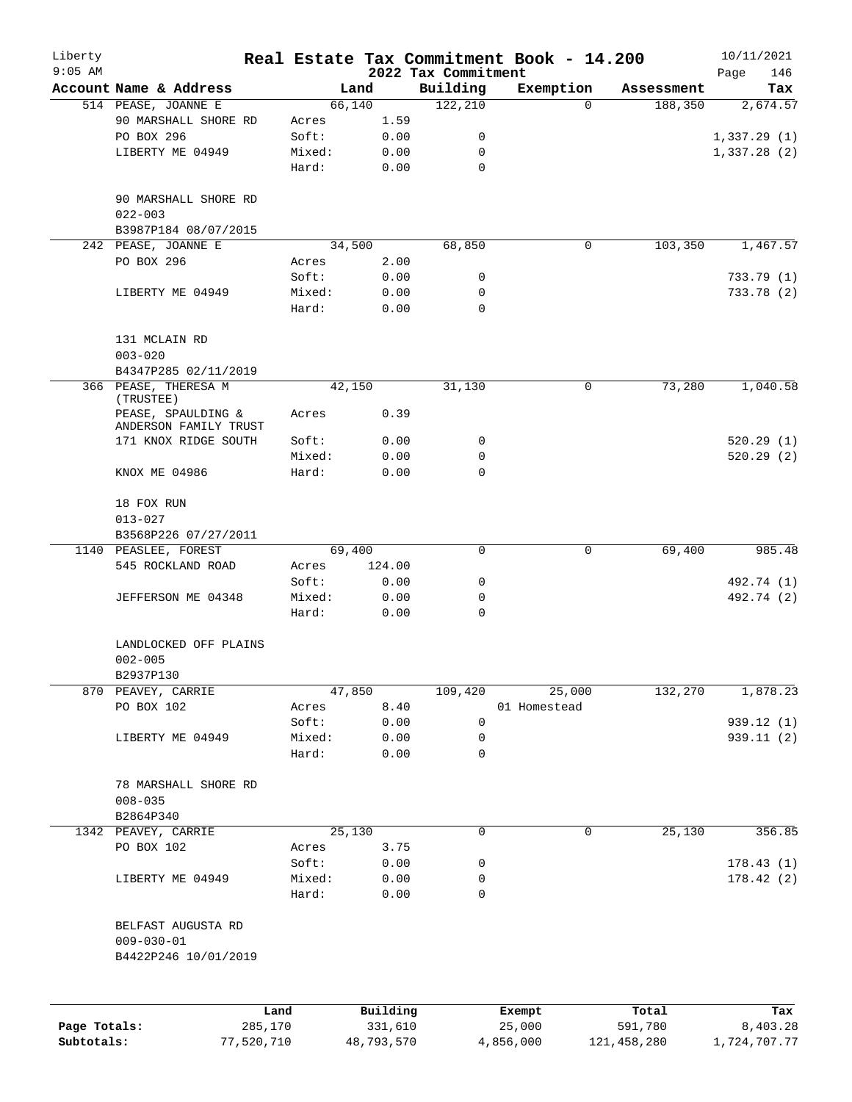| Liberty<br>$9:05$ AM |                                                                |                 |                     |                                 | Real Estate Tax Commitment Book - 14.200 |                  | 10/11/2021         |
|----------------------|----------------------------------------------------------------|-----------------|---------------------|---------------------------------|------------------------------------------|------------------|--------------------|
|                      | Account Name & Address                                         |                 | Land                | 2022 Tax Commitment<br>Building | Exemption                                | Assessment       | 146<br>Page<br>Tax |
|                      | 514 PEASE, JOANNE E                                            |                 | 66,140              | 122, 210                        | $\Omega$                                 | 188,350          | 2,674.57           |
|                      | 90 MARSHALL SHORE RD                                           | Acres           | 1.59                |                                 |                                          |                  |                    |
|                      | PO BOX 296                                                     | Soft:           | 0.00                | 0                               |                                          |                  | 1,337.29(1)        |
|                      | LIBERTY ME 04949                                               | Mixed:          | 0.00                | 0                               |                                          |                  | 1,337.28(2)        |
|                      |                                                                | Hard:           | 0.00                | $\mathbf 0$                     |                                          |                  |                    |
|                      | 90 MARSHALL SHORE RD<br>$022 - 003$                            |                 |                     |                                 |                                          |                  |                    |
|                      | B3987P184 08/07/2015                                           |                 |                     |                                 |                                          |                  |                    |
|                      | 242 PEASE, JOANNE E                                            |                 | 34,500              | 68,850                          | 0                                        | 103,350          | 1,467.57           |
|                      | PO BOX 296                                                     | Acres           | 2.00                |                                 |                                          |                  |                    |
|                      |                                                                | Soft:           | 0.00                | 0                               |                                          |                  | 733.79(1)          |
|                      | LIBERTY ME 04949                                               | Mixed:          | 0.00                | 0                               |                                          |                  | 733.78 (2)         |
|                      |                                                                | Hard:           | 0.00                | $\Omega$                        |                                          |                  |                    |
|                      | 131 MCLAIN RD<br>$003 - 020$                                   |                 |                     |                                 |                                          |                  |                    |
|                      | B4347P285 02/11/2019                                           |                 |                     |                                 |                                          |                  |                    |
|                      | 366 PEASE, THERESA M<br>(TRUSTEE)                              |                 | 42,150              | 31,130                          | 0                                        | 73,280           | 1,040.58           |
|                      | PEASE, SPAULDING &<br>ANDERSON FAMILY TRUST                    | Acres           | 0.39                |                                 |                                          |                  |                    |
|                      | 171 KNOX RIDGE SOUTH                                           | Soft:           | 0.00                | 0                               |                                          |                  | 520.29(1)          |
|                      |                                                                | Mixed:          | 0.00                | 0                               |                                          |                  | 520.29(2)          |
|                      | KNOX ME 04986                                                  | Hard:           | 0.00                | $\Omega$                        |                                          |                  |                    |
|                      | 18 FOX RUN                                                     |                 |                     |                                 |                                          |                  |                    |
|                      | $013 - 027$                                                    |                 |                     |                                 |                                          |                  |                    |
|                      | B3568P226 07/27/2011                                           |                 |                     |                                 |                                          |                  |                    |
|                      | 1140 PEASLEE, FOREST                                           |                 | 69,400              | 0                               | 0                                        | 69,400           | 985.48             |
|                      | 545 ROCKLAND ROAD                                              | Acres<br>Soft:  | 124.00<br>0.00      | 0                               |                                          |                  | 492.74 (1)         |
|                      | JEFFERSON ME 04348                                             | Mixed:          | 0.00                | 0                               |                                          |                  | 492.74 (2)         |
|                      |                                                                | Hard:           | 0.00                | $\mathbf 0$                     |                                          |                  |                    |
|                      | LANDLOCKED OFF PLAINS<br>$002 - 005$                           |                 |                     |                                 |                                          |                  |                    |
|                      | B2937P130                                                      |                 |                     |                                 |                                          |                  |                    |
|                      | 870 PEAVEY, CARRIE                                             |                 | 47,850              | 109,420                         | 25,000                                   | 132,270          | 1,878.23           |
|                      | PO BOX 102                                                     | Acres           | 8.40                |                                 | 01 Homestead                             |                  |                    |
|                      |                                                                | Soft:           | 0.00                | $\mathbf 0$                     |                                          |                  | 939.12 (1)         |
|                      | LIBERTY ME 04949                                               | Mixed:<br>Hard: | 0.00<br>0.00        | 0<br>0                          |                                          |                  | 939.11 (2)         |
|                      | 78 MARSHALL SHORE RD                                           |                 |                     |                                 |                                          |                  |                    |
|                      | $008 - 035$                                                    |                 |                     |                                 |                                          |                  |                    |
|                      | B2864P340                                                      |                 |                     |                                 |                                          |                  |                    |
|                      | 1342 PEAVEY, CARRIE                                            |                 | 25,130              | 0                               | 0                                        | 25,130           | 356.85             |
|                      | PO BOX 102                                                     | Acres           | 3.75                |                                 |                                          |                  |                    |
|                      |                                                                | Soft:           | 0.00                | 0                               |                                          |                  | 178.43(1)          |
|                      | LIBERTY ME 04949                                               | Mixed:          | 0.00                | 0                               |                                          |                  | 178.42(2)          |
|                      |                                                                | Hard:           | 0.00                | 0                               |                                          |                  |                    |
|                      | BELFAST AUGUSTA RD<br>$009 - 030 - 01$<br>B4422P246 10/01/2019 |                 |                     |                                 |                                          |                  |                    |
|                      |                                                                |                 |                     |                                 |                                          |                  |                    |
| Page Totals:         |                                                                | Land<br>285,170 | Building<br>331,610 |                                 | Exempt<br>25,000                         | Total<br>591,780 | Tax<br>8,403.28    |

**Subtotals:** 77,520,710 48,793,570 4,856,000 121,458,280 1,724,707.77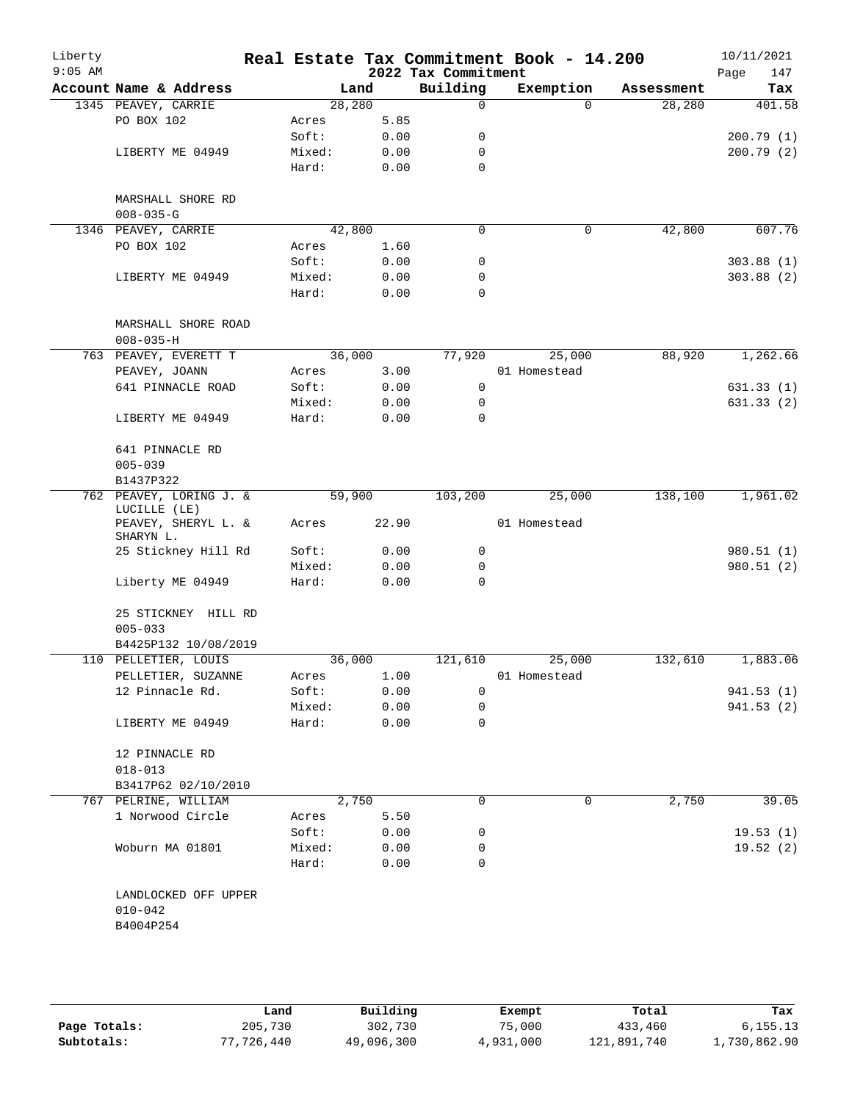| Liberty<br>$9:05$ AM |                                                  |        |        | 2022 Tax Commitment | Real Estate Tax Commitment Book - 14.200 |            | 10/11/2021<br>147<br>Page |
|----------------------|--------------------------------------------------|--------|--------|---------------------|------------------------------------------|------------|---------------------------|
|                      | Account Name & Address                           |        | Land   | Building            | Exemption                                | Assessment | Tax                       |
|                      | 1345 PEAVEY, CARRIE                              |        | 28,280 | $\mathsf{O}$        | $\Omega$                                 | 28,280     | 401.58                    |
|                      | PO BOX 102                                       | Acres  | 5.85   |                     |                                          |            |                           |
|                      |                                                  | Soft:  | 0.00   | 0                   |                                          |            | 200.79(1)                 |
|                      | LIBERTY ME 04949                                 | Mixed: | 0.00   | 0                   |                                          |            | 200.79(2)                 |
|                      |                                                  | Hard:  | 0.00   | $\mathbf 0$         |                                          |            |                           |
|                      | MARSHALL SHORE RD                                |        |        |                     |                                          |            |                           |
|                      | $008 - 035 - G$                                  |        |        |                     |                                          |            |                           |
|                      | 1346 PEAVEY, CARRIE                              |        | 42,800 | $\mathbf 0$         | $\mathbf 0$                              | 42,800     | 607.76                    |
|                      | PO BOX 102                                       | Acres  | 1.60   |                     |                                          |            |                           |
|                      |                                                  | Soft:  | 0.00   | 0                   |                                          |            | 303.88(1)                 |
|                      | LIBERTY ME 04949                                 | Mixed: | 0.00   | 0                   |                                          |            | 303.88(2)                 |
|                      |                                                  | Hard:  | 0.00   | $\mathbf 0$         |                                          |            |                           |
|                      | MARSHALL SHORE ROAD<br>$008 - 035 - H$           |        |        |                     |                                          |            |                           |
|                      | 763 PEAVEY, EVERETT T                            |        | 36,000 | 77,920              | 25,000                                   | 88,920     | 1,262.66                  |
|                      | PEAVEY, JOANN                                    | Acres  | 3.00   |                     | 01 Homestead                             |            |                           |
|                      | 641 PINNACLE ROAD                                | Soft:  | 0.00   | $\mathbf 0$         |                                          |            | 631.33(1)                 |
|                      |                                                  | Mixed: | 0.00   | 0                   |                                          |            | 631.33(2)                 |
|                      | LIBERTY ME 04949                                 | Hard:  | 0.00   | $\mathbf 0$         |                                          |            |                           |
|                      | 641 PINNACLE RD                                  |        |        |                     |                                          |            |                           |
|                      | $005 - 039$<br>B1437P322                         |        |        |                     |                                          |            |                           |
|                      | 762 PEAVEY, LORING J. &<br>LUCILLE (LE)          |        | 59,900 | 103,200             | 25,000                                   | 138,100    | 1,961.02                  |
|                      | PEAVEY, SHERYL L. &<br>SHARYN L.                 | Acres  | 22.90  |                     | 01 Homestead                             |            |                           |
|                      | 25 Stickney Hill Rd                              | Soft:  | 0.00   | 0                   |                                          |            | 980.51 (1)                |
|                      |                                                  | Mixed: | 0.00   | 0                   |                                          |            | 980.51(2)                 |
|                      | Liberty ME 04949                                 | Hard:  | 0.00   | $\mathbf 0$         |                                          |            |                           |
|                      | 25 STICKNEY HILL RD<br>$005 - 033$               |        |        |                     |                                          |            |                           |
|                      | B4425P132 10/08/2019                             |        |        |                     |                                          |            |                           |
|                      | 110 PELLETIER, LOUIS                             |        | 36,000 | 121,610             | 25,000                                   | 132,610    | 1,883.06                  |
|                      | PELLETIER, SUZANNE                               | Acres  | 1.00   |                     | 01 Homestead                             |            |                           |
|                      | 12 Pinnacle Rd.                                  | Soft:  | 0.00   | 0                   |                                          |            | 941.53 (1)                |
|                      |                                                  | Mixed: | 0.00   | 0                   |                                          |            | 941.53(2)                 |
|                      | LIBERTY ME 04949                                 | Hard:  | 0.00   | $\mathbf 0$         |                                          |            |                           |
|                      | 12 PINNACLE RD                                   |        |        |                     |                                          |            |                           |
|                      | $018 - 013$                                      |        |        |                     |                                          |            |                           |
|                      | B3417P62 02/10/2010                              |        |        |                     |                                          |            |                           |
|                      | 767 PELRINE, WILLIAM                             |        | 2,750  | 0                   | 0                                        | 2,750      | 39.05                     |
|                      | 1 Norwood Circle                                 | Acres  | 5.50   |                     |                                          |            |                           |
|                      |                                                  | Soft:  | 0.00   | 0                   |                                          |            | 19.53(1)                  |
|                      | Woburn MA 01801                                  | Mixed: | 0.00   | 0                   |                                          |            | 19.52(2)                  |
|                      |                                                  | Hard:  | 0.00   | 0                   |                                          |            |                           |
|                      | LANDLOCKED OFF UPPER<br>$010 - 042$<br>B4004P254 |        |        |                     |                                          |            |                           |
|                      |                                                  |        |        |                     |                                          |            |                           |
|                      |                                                  |        |        |                     |                                          |            |                           |

|              | Land       | Building   | Exempt    | Total       | Tax          |
|--------------|------------|------------|-----------|-------------|--------------|
| Page Totals: | 205,730    | 302,730    | 75,000    | 433,460     | 6, 155.13    |
| Subtotals:   | 77,726,440 | 49,096,300 | 4,931,000 | 121,891,740 | 1,730,862.90 |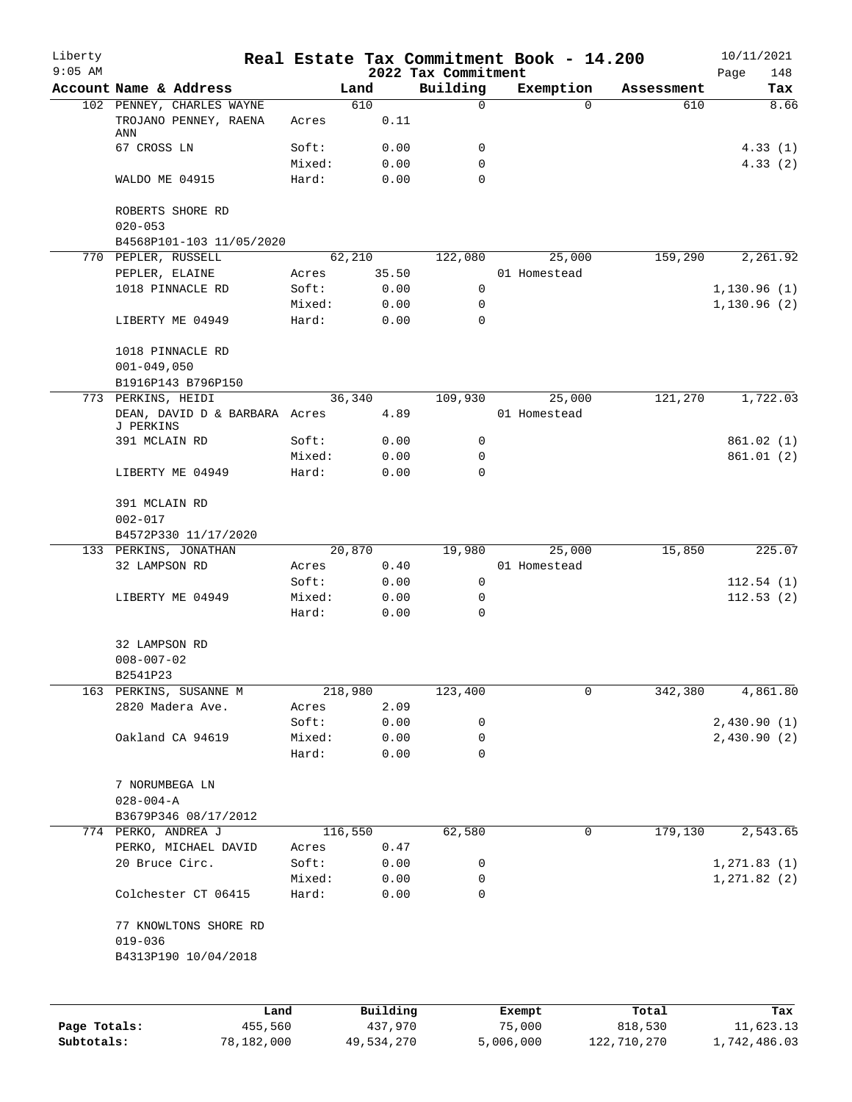| Liberty<br>$9:05$ AM |                                            |                 |                 | 2022 Tax Commitment | Real Estate Tax Commitment Book - 14.200 |                 | 10/11/2021<br>148<br>Page |
|----------------------|--------------------------------------------|-----------------|-----------------|---------------------|------------------------------------------|-----------------|---------------------------|
|                      | Account Name & Address                     |                 | Land            | Building            | Exemption                                | Assessment      | Tax                       |
|                      | 102 PENNEY, CHARLES WAYNE                  |                 | 610             | 0                   |                                          | $\Omega$<br>610 | 8.66                      |
|                      | TROJANO PENNEY, RAENA<br>ANN               | Acres           | 0.11            |                     |                                          |                 |                           |
|                      | 67 CROSS LN                                | Soft:           | 0.00            | 0                   |                                          |                 | 4.33(1)                   |
|                      | WALDO ME 04915                             | Mixed:<br>Hard: | 0.00<br>0.00    | 0<br>0              |                                          |                 | 4.33(2)                   |
|                      |                                            |                 |                 |                     |                                          |                 |                           |
|                      | ROBERTS SHORE RD<br>$020 - 053$            |                 |                 |                     |                                          |                 |                           |
|                      | B4568P101-103 11/05/2020                   |                 |                 |                     |                                          |                 |                           |
|                      | 770 PEPLER, RUSSELL                        |                 | 62,210          | 122,080             | 25,000                                   | 159,290         | 2,261.92                  |
|                      | PEPLER, ELAINE                             | Acres           | 35.50           |                     | 01 Homestead                             |                 |                           |
|                      | 1018 PINNACLE RD                           | Soft:           | 0.00            | 0                   |                                          |                 | 1,130.96(1)               |
|                      |                                            | Mixed:          | 0.00            | $\mathbf 0$         |                                          |                 | 1,130.96(2)               |
|                      | LIBERTY ME 04949                           | Hard:           | 0.00            | 0                   |                                          |                 |                           |
|                      | 1018 PINNACLE RD                           |                 |                 |                     |                                          |                 |                           |
|                      | $001 - 049,050$<br>B1916P143 B796P150      |                 |                 |                     |                                          |                 |                           |
|                      | 773 PERKINS, HEIDI                         |                 | 36, 340         | 109,930             | 25,000                                   | 121,270         | 1,722.03                  |
|                      | DEAN, DAVID D & BARBARA Acres<br>J PERKINS |                 | 4.89            |                     | 01 Homestead                             |                 |                           |
|                      | 391 MCLAIN RD                              | Soft:           | 0.00            | 0                   |                                          |                 | 861.02(1)                 |
|                      |                                            | Mixed:          | 0.00            | $\mathbf 0$         |                                          |                 | 861.01(2)                 |
|                      | LIBERTY ME 04949                           | Hard:           | 0.00            | 0                   |                                          |                 |                           |
|                      | 391 MCLAIN RD                              |                 |                 |                     |                                          |                 |                           |
|                      | $002 - 017$                                |                 |                 |                     |                                          |                 |                           |
|                      | B4572P330 11/17/2020                       |                 |                 |                     |                                          |                 |                           |
|                      | 133 PERKINS, JONATHAN                      |                 | 20,870          | 19,980              | 25,000                                   | 15,850          | 225.07                    |
|                      | 32 LAMPSON RD                              | Acres           | 0.40            |                     | 01 Homestead                             |                 |                           |
|                      |                                            | Soft:           | 0.00            | $\mathbf 0$         |                                          |                 | 112.54(1)                 |
|                      | LIBERTY ME 04949                           | Mixed:<br>Hard: | 0.00<br>0.00    | 0<br>0              |                                          |                 | 112.53(2)                 |
|                      |                                            |                 |                 |                     |                                          |                 |                           |
|                      | 32 LAMPSON RD                              |                 |                 |                     |                                          |                 |                           |
|                      | $008 - 007 - 02$                           |                 |                 |                     |                                          |                 |                           |
|                      | B2541P23                                   |                 |                 |                     |                                          |                 |                           |
|                      | 163 PERKINS, SUSANNE M<br>2820 Madera Ave. |                 | 218,980<br>2.09 | 123,400             |                                          | 342,380<br>0    | 4,861.80                  |
|                      |                                            | Acres<br>Soft:  | 0.00            | 0                   |                                          |                 | 2,430.90(1)               |
|                      | Oakland CA 94619                           | Mixed:          | 0.00            | 0                   |                                          |                 | 2,430.90(2)               |
|                      |                                            | Hard:           | 0.00            | 0                   |                                          |                 |                           |
|                      | 7 NORUMBEGA LN                             |                 |                 |                     |                                          |                 |                           |
|                      | $028 - 004 - A$                            |                 |                 |                     |                                          |                 |                           |
|                      | B3679P346 08/17/2012                       |                 |                 |                     |                                          |                 |                           |
|                      | 774 PERKO, ANDREA J                        |                 | 116,550         | 62,580              |                                          | 0<br>179,130    | 2,543.65                  |
|                      | PERKO, MICHAEL DAVID                       | Acres           | 0.47            |                     |                                          |                 |                           |
|                      | 20 Bruce Circ.                             | Soft:           | 0.00            | 0                   |                                          |                 | 1, 271.83(1)              |
|                      |                                            | Mixed:          | 0.00            | 0                   |                                          |                 | 1, 271.82(2)              |
|                      | Colchester CT 06415                        | Hard:           | 0.00            | 0                   |                                          |                 |                           |
|                      | 77 KNOWLTONS SHORE RD                      |                 |                 |                     |                                          |                 |                           |
|                      | $019 - 036$                                |                 |                 |                     |                                          |                 |                           |
|                      | B4313P190 10/04/2018                       |                 |                 |                     |                                          |                 |                           |
|                      |                                            |                 |                 |                     |                                          |                 |                           |
|                      | Land                                       |                 | Building        |                     | Exempt                                   | Total           | Tax                       |
| Page Totals:         | 455,560                                    |                 | 437,970         |                     | 75,000                                   | 818,530         | 11,623.13                 |

**Subtotals:** 78,182,000 49,534,270 5,006,000 122,710,270 1,742,486.03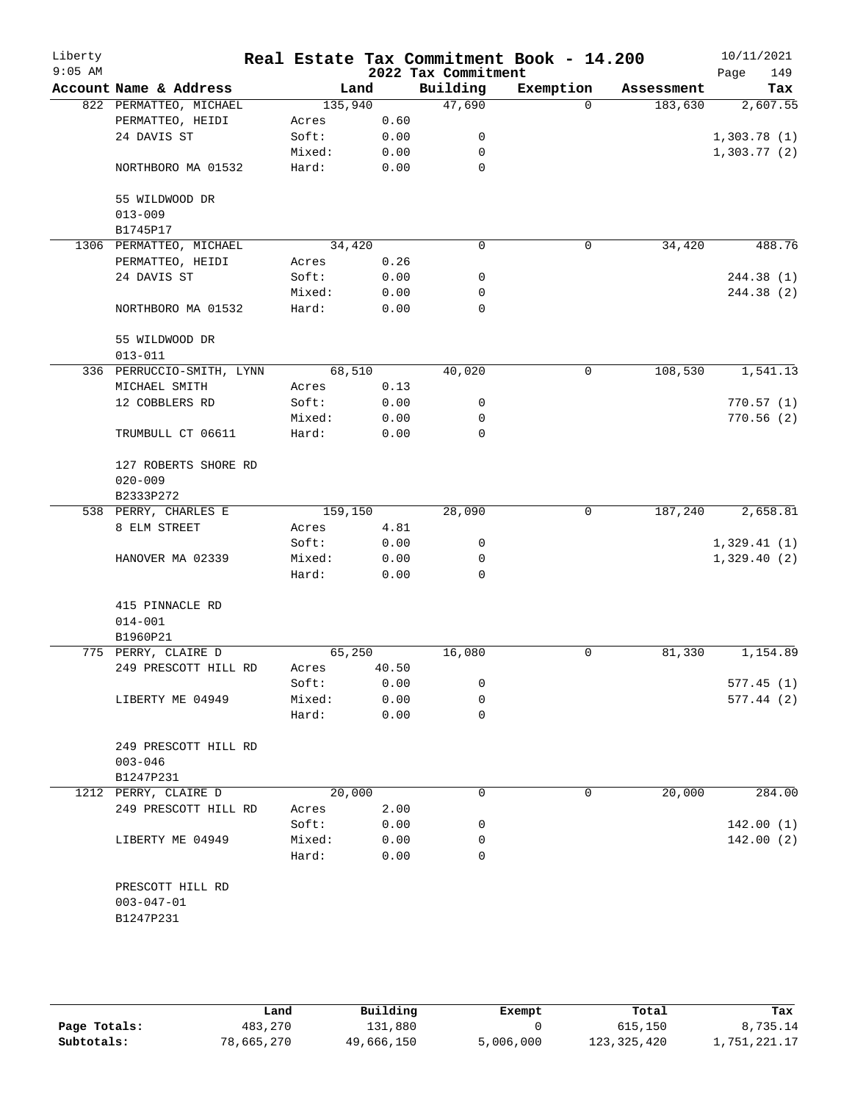| Liberty<br>$9:05$ AM |                               |         |       | 2022 Tax Commitment | Real Estate Tax Commitment Book - 14.200 |            | 10/11/2021<br>149<br>Page |
|----------------------|-------------------------------|---------|-------|---------------------|------------------------------------------|------------|---------------------------|
|                      | Account Name & Address        | Land    |       | Building            | Exemption                                | Assessment | Tax                       |
|                      | 822 PERMATTEO, MICHAEL        | 135,940 |       | 47,690              | $\Omega$                                 | 183,630    | 2,607.55                  |
|                      | PERMATTEO, HEIDI              | Acres   | 0.60  |                     |                                          |            |                           |
|                      | 24 DAVIS ST                   | Soft:   | 0.00  | 0                   |                                          |            | 1,303.78(1)               |
|                      |                               | Mixed:  | 0.00  | 0                   |                                          |            | 1,303.77(2)               |
|                      | NORTHBORO MA 01532            | Hard:   | 0.00  | 0                   |                                          |            |                           |
|                      | 55 WILDWOOD DR                |         |       |                     |                                          |            |                           |
|                      |                               |         |       |                     |                                          |            |                           |
|                      | $013 - 009$                   |         |       |                     |                                          |            |                           |
|                      | B1745P17                      |         |       |                     |                                          |            |                           |
|                      | 1306 PERMATTEO, MICHAEL       | 34,420  |       | $\mathbf 0$         | $\mathbf 0$                              | 34,420     | 488.76                    |
|                      | PERMATTEO, HEIDI              | Acres   | 0.26  |                     |                                          |            |                           |
|                      | 24 DAVIS ST                   | Soft:   | 0.00  | 0                   |                                          |            | 244.38 (1)                |
|                      |                               | Mixed:  | 0.00  | 0                   |                                          |            | 244.38 (2)                |
|                      | NORTHBORO MA 01532            | Hard:   | 0.00  | 0                   |                                          |            |                           |
|                      | 55 WILDWOOD DR<br>$013 - 011$ |         |       |                     |                                          |            |                           |
|                      | 336 PERRUCCIO-SMITH, LYNN     | 68,510  |       | 40,020              | $\mathbf 0$                              | 108,530    | 1,541.13                  |
|                      | MICHAEL SMITH                 | Acres   | 0.13  |                     |                                          |            |                           |
|                      | 12 COBBLERS RD                | Soft:   | 0.00  | 0                   |                                          |            | 770.57(1)                 |
|                      |                               | Mixed:  | 0.00  | 0                   |                                          |            | 770.56(2)                 |
|                      | TRUMBULL CT 06611             | Hard:   | 0.00  | 0                   |                                          |            |                           |
|                      | 127 ROBERTS SHORE RD          |         |       |                     |                                          |            |                           |
|                      | $020 - 009$                   |         |       |                     |                                          |            |                           |
|                      | B2333P272                     |         |       |                     |                                          |            |                           |
|                      | 538 PERRY, CHARLES E          | 159,150 |       | 28,090              | 0                                        | 187,240    | 2,658.81                  |
|                      | 8 ELM STREET                  | Acres   | 4.81  |                     |                                          |            |                           |
|                      |                               | Soft:   | 0.00  | 0                   |                                          |            | 1,329.41(1)               |
|                      | HANOVER MA 02339              | Mixed:  | 0.00  | 0                   |                                          |            | 1,329.40(2)               |
|                      |                               | Hard:   | 0.00  | $\Omega$            |                                          |            |                           |
|                      | 415 PINNACLE RD               |         |       |                     |                                          |            |                           |
|                      | $014 - 001$                   |         |       |                     |                                          |            |                           |
|                      | B1960P21                      |         |       |                     |                                          |            |                           |
|                      | 775 PERRY, CLAIRE D           | 65,250  |       | 16,080              | 0                                        | 81,330     | 1,154.89                  |
|                      | 249 PRESCOTT HILL RD          | Acres   | 40.50 |                     |                                          |            |                           |
|                      |                               | Soft:   | 0.00  | 0                   |                                          |            | 577.45(1)                 |
|                      | LIBERTY ME 04949              | Mixed:  | 0.00  | 0                   |                                          |            | 577.44(2)                 |
|                      |                               | Hard:   | 0.00  | 0                   |                                          |            |                           |
|                      |                               |         |       |                     |                                          |            |                           |
|                      | 249 PRESCOTT HILL RD          |         |       |                     |                                          |            |                           |
|                      | $003 - 046$                   |         |       |                     |                                          |            |                           |
|                      | B1247P231                     |         |       |                     |                                          |            |                           |
|                      | 1212 PERRY, CLAIRE D          | 20,000  |       | 0                   | 0                                        | 20,000     | 284.00                    |
|                      | 249 PRESCOTT HILL RD          | Acres   | 2.00  |                     |                                          |            |                           |
|                      |                               | Soft:   | 0.00  | 0                   |                                          |            | 142.00(1)                 |
|                      | LIBERTY ME 04949              | Mixed:  | 0.00  | 0                   |                                          |            | 142.00(2)                 |
|                      |                               | Hard:   | 0.00  | 0                   |                                          |            |                           |
|                      | PRESCOTT HILL RD              |         |       |                     |                                          |            |                           |
|                      | $003 - 047 - 01$              |         |       |                     |                                          |            |                           |
|                      | B1247P231                     |         |       |                     |                                          |            |                           |
|                      |                               |         |       |                     |                                          |            |                           |

|              | Land       | Building   | Exempt    | Total         | Tax          |
|--------------|------------|------------|-----------|---------------|--------------|
| Page Totals: | 483,270    | 131,880    |           | 615,150       | ,735.14      |
| Subtotals:   | 78,665,270 | 49,666,150 | 5,006,000 | 123, 325, 420 | 1,751,221.17 |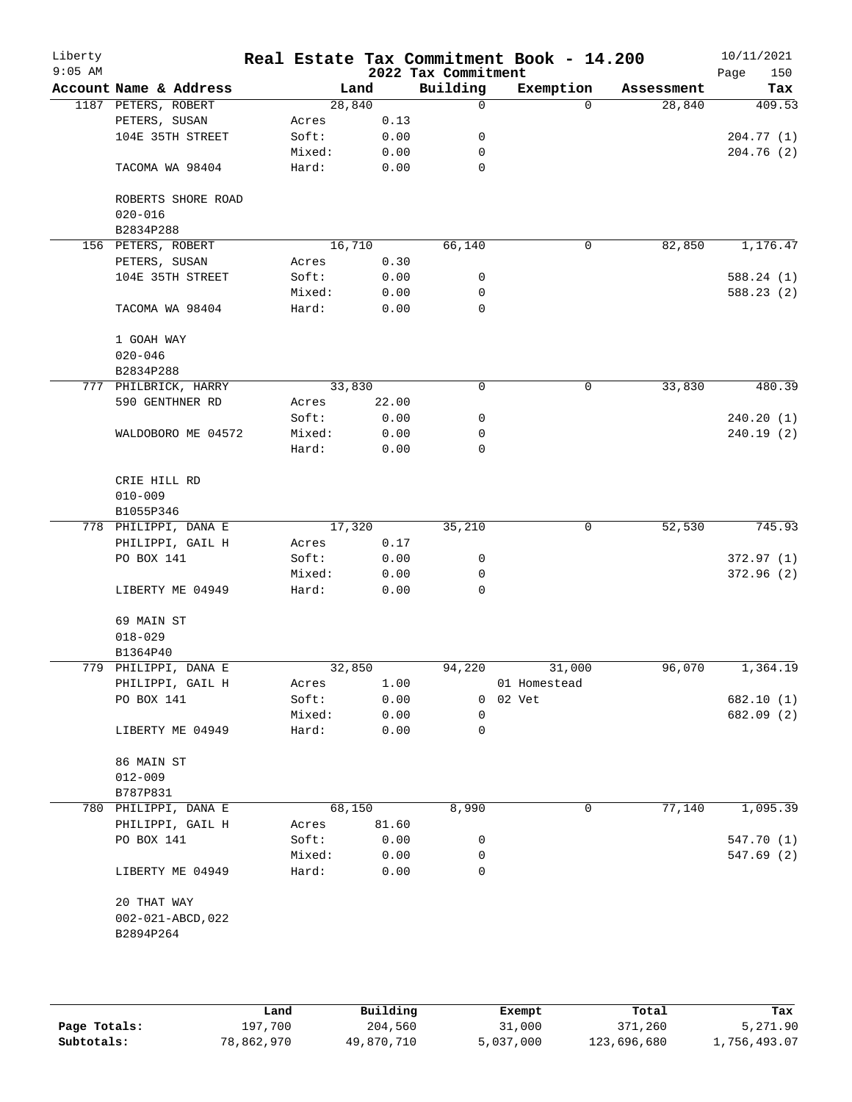| Liberty<br>$9:05$ AM |                        |        |        | 2022 Tax Commitment | Real Estate Tax Commitment Book - 14.200 |            | 10/11/2021<br>Page<br>150 |
|----------------------|------------------------|--------|--------|---------------------|------------------------------------------|------------|---------------------------|
|                      | Account Name & Address |        | Land   | Building            | Exemption                                | Assessment | Tax                       |
|                      | 1187 PETERS, ROBERT    |        | 28,840 | 0                   | $\Omega$                                 | 28,840     | 409.53                    |
|                      | PETERS, SUSAN          | Acres  | 0.13   |                     |                                          |            |                           |
|                      | 104E 35TH STREET       | Soft:  | 0.00   | 0                   |                                          |            | 204.77 (1)                |
|                      |                        | Mixed: | 0.00   | 0                   |                                          |            | 204.76(2)                 |
|                      | TACOMA WA 98404        | Hard:  | 0.00   | 0                   |                                          |            |                           |
|                      | ROBERTS SHORE ROAD     |        |        |                     |                                          |            |                           |
|                      | $020 - 016$            |        |        |                     |                                          |            |                           |
|                      | B2834P288              |        |        |                     |                                          |            |                           |
|                      | 156 PETERS, ROBERT     |        | 16,710 | 66,140              | 0                                        | 82,850     | 1,176.47                  |
|                      | PETERS, SUSAN          | Acres  | 0.30   |                     |                                          |            |                           |
|                      | 104E 35TH STREET       | Soft:  | 0.00   | 0                   |                                          |            | 588.24(1)                 |
|                      |                        | Mixed: | 0.00   | 0                   |                                          |            | 588.23(2)                 |
|                      | TACOMA WA 98404        | Hard:  | 0.00   | 0                   |                                          |            |                           |
|                      | 1 GOAH WAY             |        |        |                     |                                          |            |                           |
|                      | $020 - 046$            |        |        |                     |                                          |            |                           |
|                      | B2834P288              |        |        |                     |                                          |            |                           |
|                      | 777 PHILBRICK, HARRY   |        | 33,830 | 0                   | $\mathbf 0$                              | 33,830     | 480.39                    |
|                      | 590 GENTHNER RD        | Acres  | 22.00  |                     |                                          |            |                           |
|                      |                        | Soft:  | 0.00   | 0                   |                                          |            | 240.20(1)                 |
|                      | WALDOBORO ME 04572     | Mixed: | 0.00   | 0                   |                                          |            | 240.19(2)                 |
|                      |                        | Hard:  | 0.00   | 0                   |                                          |            |                           |
|                      | CRIE HILL RD           |        |        |                     |                                          |            |                           |
|                      | $010 - 009$            |        |        |                     |                                          |            |                           |
|                      | B1055P346              |        |        |                     |                                          |            |                           |
|                      | 778 PHILIPPI, DANA E   |        | 17,320 | 35,210              | $\mathbf 0$                              | 52,530     | 745.93                    |
|                      | PHILIPPI, GAIL H       | Acres  | 0.17   |                     |                                          |            |                           |
|                      | PO BOX 141             | Soft:  | 0.00   | 0                   |                                          |            | 372.97(1)                 |
|                      |                        | Mixed: | 0.00   | 0                   |                                          |            | 372.96(2)                 |
|                      | LIBERTY ME 04949       | Hard:  | 0.00   | 0                   |                                          |            |                           |
|                      | 69 MAIN ST             |        |        |                     |                                          |            |                           |
|                      | $018 - 029$            |        |        |                     |                                          |            |                           |
|                      | B1364P40               |        |        |                     |                                          |            |                           |
|                      | 779 PHILIPPI, DANA E   |        | 32,850 | 94,220              | 31,000                                   | 96,070     | 1,364.19                  |
|                      | PHILIPPI, GAIL H       | Acres  | 1.00   |                     | 01 Homestead                             |            |                           |
|                      | PO BOX 141             | Soft:  | 0.00   |                     | 0 02 Vet                                 |            | 682.10 (1)                |
|                      |                        | Mixed: | 0.00   | 0                   |                                          |            | 682.09 (2)                |
|                      | LIBERTY ME 04949       | Hard:  | 0.00   | 0                   |                                          |            |                           |
|                      | 86 MAIN ST             |        |        |                     |                                          |            |                           |
|                      | $012 - 009$            |        |        |                     |                                          |            |                           |
|                      | B787P831               |        |        |                     |                                          |            |                           |
|                      | 780 PHILIPPI, DANA E   |        | 68,150 | 8,990               | 0                                        | 77,140     | 1,095.39                  |
|                      | PHILIPPI, GAIL H       | Acres  | 81.60  |                     |                                          |            |                           |
|                      | PO BOX 141             | Soft:  | 0.00   | 0                   |                                          |            | 547.70 (1)                |
|                      |                        | Mixed: | 0.00   | 0                   |                                          |            | 547.69 (2)                |
|                      | LIBERTY ME 04949       | Hard:  | 0.00   | 0                   |                                          |            |                           |
|                      | 20 THAT WAY            |        |        |                     |                                          |            |                           |
|                      | 002-021-ABCD, 022      |        |        |                     |                                          |            |                           |
|                      | B2894P264              |        |        |                     |                                          |            |                           |
|                      |                        |        |        |                     |                                          |            |                           |
|                      |                        |        |        |                     |                                          |            |                           |
|                      |                        |        |        |                     |                                          |            |                           |
|                      |                        |        |        |                     |                                          |            |                           |

|              | Land       | Building   | Exempt    | Total       | Tax          |
|--------------|------------|------------|-----------|-------------|--------------|
| Page Totals: | 197,700    | 204,560    | 31,000    | 371,260     | 5,271.90     |
| Subtotals:   | 78,862,970 | 49,870,710 | 5,037,000 | 123,696,680 | 1,756,493.07 |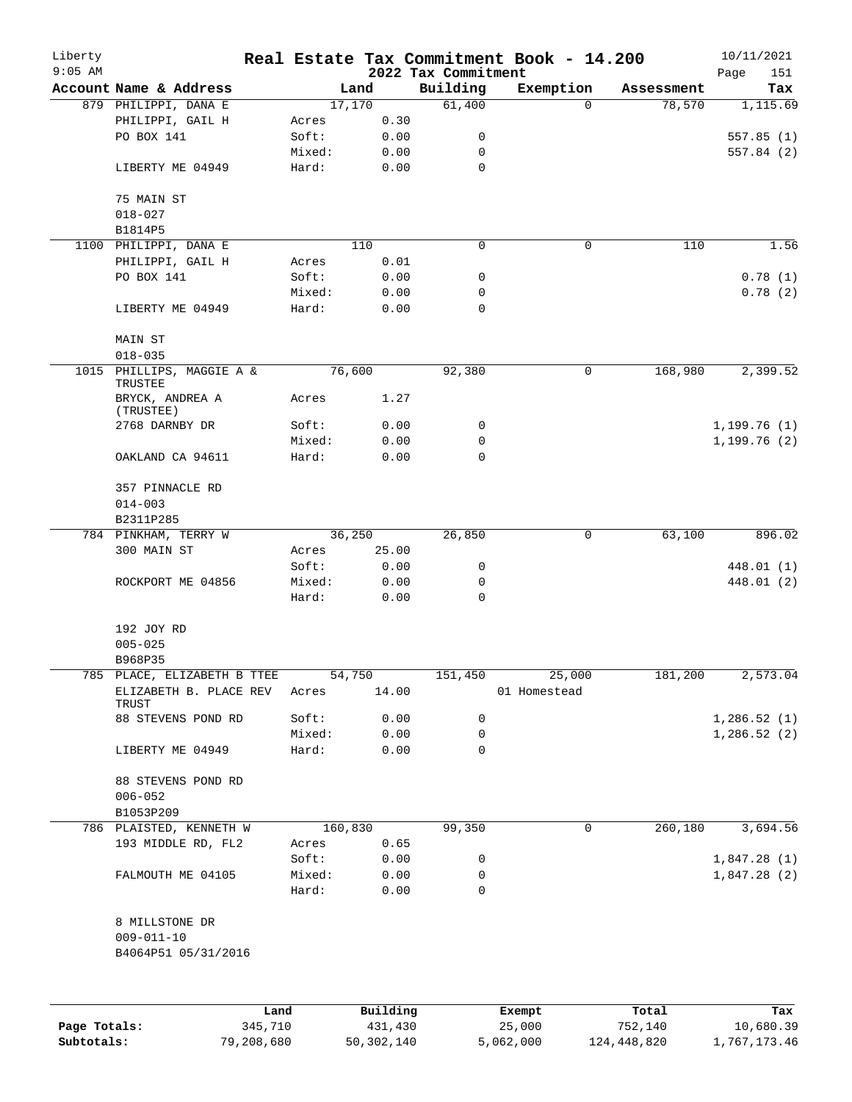| Liberty      |                                                                      |         |                |         |              |                     | Real Estate Tax Commitment Book - 14.200 |            | 10/11/2021   |
|--------------|----------------------------------------------------------------------|---------|----------------|---------|--------------|---------------------|------------------------------------------|------------|--------------|
| $9:05$ AM    | Account Name & Address                                               |         |                |         |              | 2022 Tax Commitment |                                          |            | 151<br>Page  |
|              |                                                                      |         |                | Land    |              | Building            | Exemption<br>$\Omega$                    | Assessment | Tax          |
|              | 879 PHILIPPI, DANA E                                                 |         |                | 17,170  |              | 61,400              |                                          | 78,570     | 1,115.69     |
|              | PHILIPPI, GAIL H<br>PO BOX 141                                       |         | Acres<br>Soft: |         | 0.30<br>0.00 | 0                   |                                          |            | 557.85(1)    |
|              |                                                                      |         | Mixed:         |         | 0.00         | 0                   |                                          |            | 557.84 (2)   |
|              | LIBERTY ME 04949                                                     |         | Hard:          |         | 0.00         | $\mathbf 0$         |                                          |            |              |
|              | 75 MAIN ST                                                           |         |                |         |              |                     |                                          |            |              |
|              | $018 - 027$                                                          |         |                |         |              |                     |                                          |            |              |
|              | B1814P5                                                              |         |                |         |              |                     |                                          |            |              |
|              | 1100 PHILIPPI, DANA E                                                |         |                | 110     |              | 0                   | 0                                        | 110        | 1.56         |
|              | PHILIPPI, GAIL H                                                     |         | Acres          |         | 0.01         |                     |                                          |            |              |
|              | PO BOX 141                                                           |         | Soft:          |         | 0.00         | 0                   |                                          |            | 0.78(1)      |
|              |                                                                      |         | Mixed:         |         | 0.00         | 0                   |                                          |            | 0.78(2)      |
|              | LIBERTY ME 04949                                                     |         | Hard:          |         | 0.00         | 0                   |                                          |            |              |
|              | MAIN ST                                                              |         |                |         |              |                     |                                          |            |              |
|              | $018 - 035$                                                          |         |                |         |              |                     |                                          |            |              |
| 1015         | PHILLIPS, MAGGIE A &<br>TRUSTEE                                      |         |                | 76,600  |              | 92,380              | 0                                        | 168,980    | 2,399.52     |
|              | BRYCK, ANDREA A<br>(TRUSTEE)                                         |         | Acres          |         | 1.27         |                     |                                          |            |              |
|              | 2768 DARNBY DR                                                       |         | Soft:          |         | 0.00         | 0                   |                                          |            | 1,199.76(1)  |
|              |                                                                      |         | Mixed:         |         | 0.00         | 0                   |                                          |            | 1, 199.76(2) |
|              | OAKLAND CA 94611                                                     |         | Hard:          |         | 0.00         | 0                   |                                          |            |              |
|              | 357 PINNACLE RD                                                      |         |                |         |              |                     |                                          |            |              |
|              | $014 - 003$                                                          |         |                |         |              |                     |                                          |            |              |
|              | B2311P285                                                            |         |                |         |              |                     |                                          |            |              |
|              | 784 PINKHAM, TERRY W                                                 |         |                | 36,250  |              | 26,850              | $\mathbf 0$                              | 63,100     | 896.02       |
|              | 300 MAIN ST                                                          |         | Acres          |         | 25.00        |                     |                                          |            |              |
|              |                                                                      |         | Soft:          |         | 0.00         | 0                   |                                          |            | 448.01 (1)   |
|              | ROCKPORT ME 04856                                                    |         | Mixed:         |         | 0.00         | 0                   |                                          |            | 448.01 (2)   |
|              |                                                                      |         | Hard:          |         | 0.00         | 0                   |                                          |            |              |
|              | 192 JOY RD                                                           |         |                |         |              |                     |                                          |            |              |
|              | $005 - 025$                                                          |         |                |         |              |                     |                                          |            |              |
|              | B968P35                                                              |         |                |         |              |                     |                                          |            |              |
|              | 785 PLACE, ELIZABETH B TTEE<br>ELIZABETH B. PLACE REV Acres<br>TRUST |         |                | 54,750  | 14.00        |                     | 151,450 25,000<br>01 Homestead           | 181,200    | 2,573.04     |
|              | 88 STEVENS POND RD                                                   |         | Soft:          |         | 0.00         | 0                   |                                          |            | 1,286.52(1)  |
|              |                                                                      |         | Mixed:         |         | 0.00         | 0                   |                                          |            | 1,286.52(2)  |
|              | LIBERTY ME 04949                                                     |         | Hard:          |         | 0.00         | 0                   |                                          |            |              |
|              | 88 STEVENS POND RD                                                   |         |                |         |              |                     |                                          |            |              |
|              | $006 - 052$                                                          |         |                |         |              |                     |                                          |            |              |
|              | B1053P209                                                            |         |                |         |              |                     |                                          |            |              |
|              | 786 PLAISTED, KENNETH W                                              |         |                | 160,830 |              | 99,350              | 0                                        | 260,180    | 3,694.56     |
|              | 193 MIDDLE RD, FL2                                                   |         | Acres          |         | 0.65         |                     |                                          |            |              |
|              |                                                                      |         | Soft:          |         | 0.00         | 0                   |                                          |            | 1,847.28(1)  |
|              | FALMOUTH ME 04105                                                    |         | Mixed:         |         | 0.00         | 0                   |                                          |            | 1,847.28(2)  |
|              |                                                                      |         | Hard:          |         | 0.00         | 0                   |                                          |            |              |
|              | 8 MILLSTONE DR                                                       |         |                |         |              |                     |                                          |            |              |
|              | $009 - 011 - 10$                                                     |         |                |         |              |                     |                                          |            |              |
|              | B4064P51 05/31/2016                                                  |         |                |         |              |                     |                                          |            |              |
|              |                                                                      |         |                |         |              |                     |                                          |            |              |
|              |                                                                      | Land    |                |         | Building     |                     | Exempt                                   | Total      | Tax          |
| Page Totals: |                                                                      | 345,710 |                |         | 431,430      |                     | 25,000                                   | 752,140    | 10,680.39    |

**Subtotals:** 79,208,680 50,302,140 5,062,000 124,448,820 1,767,173.46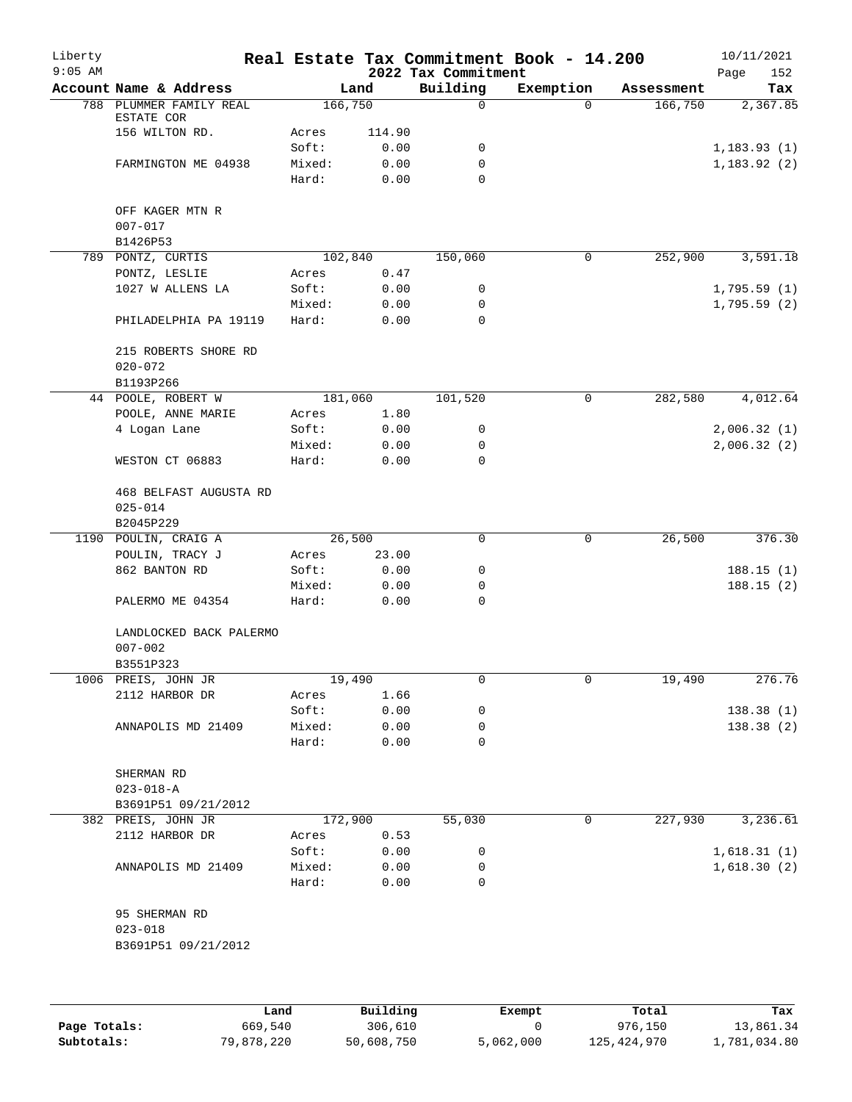| Liberty<br>$9:05$ AM |                                       |                 |                | 2022 Tax Commitment | Real Estate Tax Commitment Book - 14.200 |            | 10/11/2021<br>Page<br>152 |
|----------------------|---------------------------------------|-----------------|----------------|---------------------|------------------------------------------|------------|---------------------------|
|                      | Account Name & Address                |                 | Land           | Building            | Exemption                                | Assessment | Tax                       |
|                      | 788 PLUMMER FAMILY REAL               | 166,750         |                | 0                   | $\Omega$                                 | 166,750    | 2,367.85                  |
|                      | ESTATE COR<br>156 WILTON RD.          |                 |                |                     |                                          |            |                           |
|                      |                                       | Acres<br>Soft:  | 114.90<br>0.00 | 0                   |                                          |            | 1,183.93(1)               |
|                      | FARMINGTON ME 04938                   | Mixed:          | 0.00           | 0                   |                                          |            | 1,183.92(2)               |
|                      |                                       | Hard:           | 0.00           | $\Omega$            |                                          |            |                           |
|                      |                                       |                 |                |                     |                                          |            |                           |
|                      | OFF KAGER MTN R<br>$007 - 017$        |                 |                |                     |                                          |            |                           |
|                      | B1426P53                              |                 |                |                     |                                          |            |                           |
|                      | 789 PONTZ, CURTIS                     | 102,840         |                | 150,060             | 0                                        | 252,900    | 3,591.18                  |
|                      | PONTZ, LESLIE                         | Acres           | 0.47           |                     |                                          |            |                           |
|                      | 1027 W ALLENS LA                      | Soft:           | 0.00           | 0                   |                                          |            | 1,795.59(1)               |
|                      |                                       | Mixed:          | 0.00           | 0                   |                                          |            | 1,795.59(2)               |
|                      | PHILADELPHIA PA 19119                 | Hard:           | 0.00           | 0                   |                                          |            |                           |
|                      | 215 ROBERTS SHORE RD<br>$020 - 072$   |                 |                |                     |                                          |            |                           |
|                      | B1193P266                             |                 |                |                     |                                          |            |                           |
|                      | 44 POOLE, ROBERT W                    | 181,060         |                | 101,520             | $\mathbf 0$                              | 282,580    | 4,012.64                  |
|                      | POOLE, ANNE MARIE                     | Acres           | 1.80           |                     |                                          |            |                           |
|                      | 4 Logan Lane                          | Soft:           | 0.00           | 0                   |                                          |            | 2,006.32(1)               |
|                      |                                       | Mixed:          | 0.00           | 0                   |                                          |            | 2,006.32(2)               |
|                      | WESTON CT 06883                       | Hard:           | 0.00           | 0                   |                                          |            |                           |
|                      | 468 BELFAST AUGUSTA RD<br>$025 - 014$ |                 |                |                     |                                          |            |                           |
|                      | B2045P229                             |                 |                |                     |                                          |            |                           |
| 1190                 | POULIN, CRAIG A                       | 26,500          |                | 0                   | 0                                        | 26,500     | 376.30                    |
|                      | POULIN, TRACY J                       | Acres           | 23.00          |                     |                                          |            |                           |
|                      | 862 BANTON RD                         | Soft:           | 0.00           | 0                   |                                          |            | 188.15(1)                 |
|                      |                                       | Mixed:          | 0.00           | 0                   |                                          |            | 188.15(2)                 |
|                      | PALERMO ME 04354                      | Hard:           | 0.00           | 0                   |                                          |            |                           |
|                      | LANDLOCKED BACK PALERMO               |                 |                |                     |                                          |            |                           |
|                      | $007 - 002$                           |                 |                |                     |                                          |            |                           |
|                      | B3551P323                             |                 |                |                     |                                          |            |                           |
|                      | 1006 PREIS, JOHN JR                   | 19,490          |                | 0                   | 0                                        | 19,490     | 276.76                    |
|                      | 2112 HARBOR DR                        | Acres           | 1.66           |                     |                                          |            |                           |
|                      |                                       | Soft:           | 0.00           | 0                   |                                          |            | 138.38(1)                 |
|                      | ANNAPOLIS MD 21409                    | Mixed:          | 0.00           | 0                   |                                          |            | 138.38(2)                 |
|                      |                                       | Hard:           | 0.00           | 0                   |                                          |            |                           |
|                      | SHERMAN RD                            |                 |                |                     |                                          |            |                           |
|                      | $023 - 018 - A$                       |                 |                |                     |                                          |            |                           |
|                      | B3691P51 09/21/2012                   |                 |                |                     |                                          |            |                           |
|                      | 382 PREIS, JOHN JR                    | 172,900         |                | 55,030              | 0                                        | 227,930    | 3,236.61                  |
|                      | 2112 HARBOR DR                        | Acres           | 0.53           |                     |                                          |            |                           |
|                      |                                       | Soft:           | 0.00           | 0                   |                                          |            | 1,618.31(1)               |
|                      | ANNAPOLIS MD 21409                    | Mixed:<br>Hard: | 0.00<br>0.00   | 0<br>0              |                                          |            | 1,618.30(2)               |
|                      |                                       |                 |                |                     |                                          |            |                           |
|                      | 95 SHERMAN RD                         |                 |                |                     |                                          |            |                           |
|                      | $023 - 018$                           |                 |                |                     |                                          |            |                           |
|                      | B3691P51 09/21/2012                   |                 |                |                     |                                          |            |                           |
|                      |                                       |                 |                |                     |                                          |            |                           |
|                      |                                       |                 |                |                     |                                          |            |                           |
|                      |                                       |                 |                |                     |                                          |            |                           |

|              | Land       | Building   | Exempt    | Total         | Tax          |
|--------------|------------|------------|-----------|---------------|--------------|
| Page Totals: | 669,540    | 306,610    |           | 976,150       | 13,861.34    |
| Subtotals:   | 79,878,220 | 50,608,750 | 5,062,000 | 125, 424, 970 | 1,781,034.80 |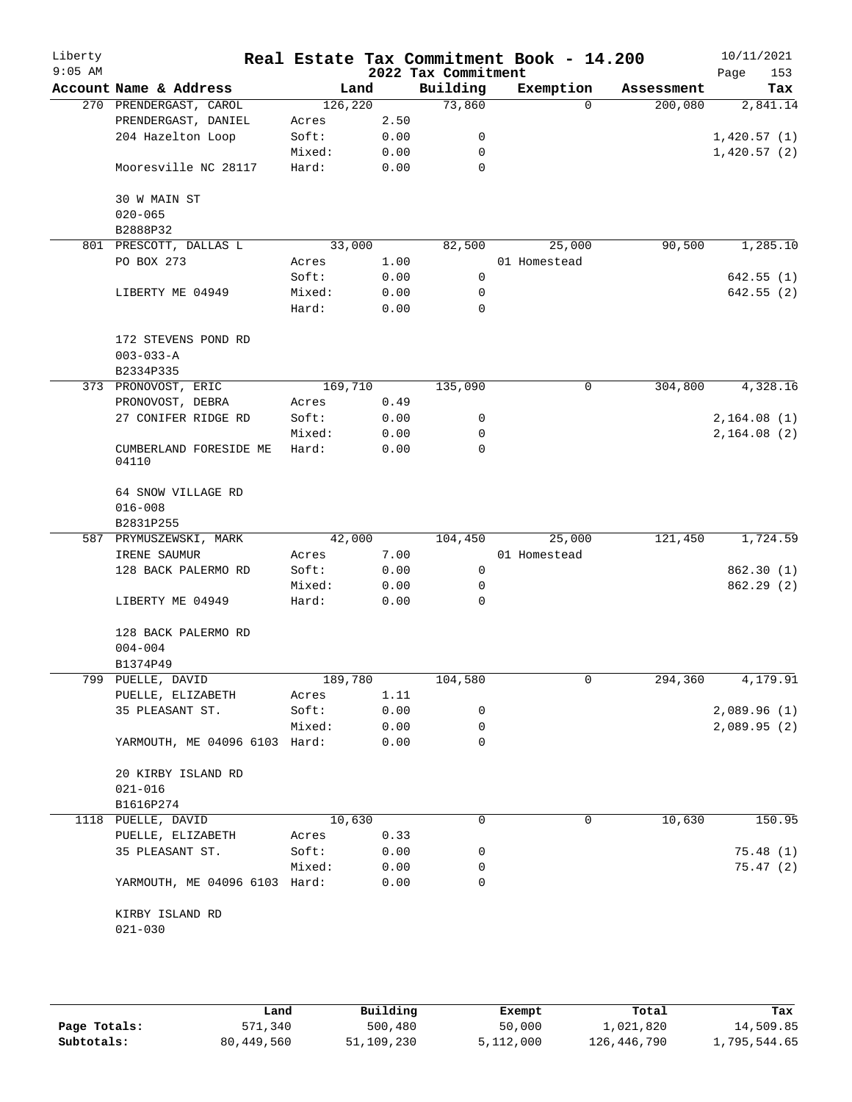| Liberty<br>$9:05$ AM |                                        |         |      | 2022 Tax Commitment | Real Estate Tax Commitment Book - 14.200 |                     | 10/11/2021<br>153<br>Page |
|----------------------|----------------------------------------|---------|------|---------------------|------------------------------------------|---------------------|---------------------------|
|                      | Account Name & Address                 | Land    |      | Building            | Exemption                                | Assessment          | Tax                       |
|                      | 270 PRENDERGAST, CAROL                 | 126,220 |      | 73,860              |                                          | 200,080<br>$\Omega$ | 2,841.14                  |
|                      | PRENDERGAST, DANIEL                    | Acres   | 2.50 |                     |                                          |                     |                           |
|                      | 204 Hazelton Loop                      | Soft:   | 0.00 | 0                   |                                          |                     | 1,420.57(1)               |
|                      |                                        | Mixed:  | 0.00 | 0                   |                                          |                     | 1,420.57(2)               |
|                      | Mooresville NC 28117                   | Hard:   | 0.00 | 0                   |                                          |                     |                           |
|                      | 30 W MAIN ST                           |         |      |                     |                                          |                     |                           |
|                      | $020 - 065$<br>B2888P32                |         |      |                     |                                          |                     |                           |
|                      | 801 PRESCOTT, DALLAS L                 | 33,000  |      | 82,500              | 25,000                                   | 90,500              | 1,285.10                  |
|                      | PO BOX 273                             | Acres   | 1.00 |                     | 01 Homestead                             |                     |                           |
|                      |                                        | Soft:   | 0.00 | 0                   |                                          |                     | 642.55(1)                 |
|                      | LIBERTY ME 04949                       | Mixed:  | 0.00 | 0                   |                                          |                     | 642.55 (2)                |
|                      |                                        | Hard:   | 0.00 | 0                   |                                          |                     |                           |
|                      | 172 STEVENS POND RD<br>$003 - 033 - A$ |         |      |                     |                                          |                     |                           |
|                      | B2334P335                              |         |      |                     |                                          |                     |                           |
|                      | 373 PRONOVOST, ERIC                    | 169,710 |      | 135,090             |                                          | 304,800<br>0        | 4,328.16                  |
|                      | PRONOVOST, DEBRA                       | Acres   | 0.49 |                     |                                          |                     |                           |
|                      | 27 CONIFER RIDGE RD                    | Soft:   | 0.00 | 0                   |                                          |                     | 2,164.08(1)               |
|                      |                                        | Mixed:  | 0.00 | 0                   |                                          |                     | 2,164.08(2)               |
|                      | CUMBERLAND FORESIDE ME<br>04110        | Hard:   | 0.00 | 0                   |                                          |                     |                           |
|                      | 64 SNOW VILLAGE RD                     |         |      |                     |                                          |                     |                           |
|                      | $016 - 008$                            |         |      |                     |                                          |                     |                           |
|                      | B2831P255                              |         |      |                     |                                          |                     |                           |
|                      | 587 PRYMUSZEWSKI, MARK                 | 42,000  |      | 104,450             | 25,000                                   | 121,450             | 1,724.59                  |
|                      | IRENE SAUMUR                           | Acres   | 7.00 |                     | 01 Homestead                             |                     |                           |
|                      | 128 BACK PALERMO RD                    | Soft:   | 0.00 | 0                   |                                          |                     | 862.30 (1)                |
|                      |                                        | Mixed:  | 0.00 | 0                   |                                          |                     | 862.29(2)                 |
|                      | LIBERTY ME 04949                       | Hard:   | 0.00 | 0                   |                                          |                     |                           |
|                      | 128 BACK PALERMO RD                    |         |      |                     |                                          |                     |                           |
|                      | $004 - 004$<br>B1374P49                |         |      |                     |                                          |                     |                           |
|                      | 799 PUELLE, DAVID                      | 189,780 |      | 104,580             |                                          | 0<br>294,360        | 4,179.91                  |
|                      | PUELLE, ELIZABETH                      | Acres   | 1.11 |                     |                                          |                     |                           |
|                      | 35 PLEASANT ST.                        | Soft:   | 0.00 | 0                   |                                          |                     | 2,089.96(1)               |
|                      |                                        | Mixed:  | 0.00 | 0                   |                                          |                     | 2,089.95(2)               |
|                      | YARMOUTH, ME 04096 6103 Hard:          |         | 0.00 | 0                   |                                          |                     |                           |
|                      | 20 KIRBY ISLAND RD                     |         |      |                     |                                          |                     |                           |
|                      | $021 - 016$                            |         |      |                     |                                          |                     |                           |
|                      | B1616P274                              |         |      |                     |                                          |                     |                           |
|                      | 1118 PUELLE, DAVID                     | 10,630  |      | 0                   |                                          | 10,630<br>0         | 150.95                    |
|                      | PUELLE, ELIZABETH                      | Acres   | 0.33 |                     |                                          |                     |                           |
|                      | 35 PLEASANT ST.                        | Soft:   | 0.00 | 0                   |                                          |                     | 75.48(1)                  |
|                      |                                        | Mixed:  | 0.00 | 0                   |                                          |                     | 75.47(2)                  |
|                      | YARMOUTH, ME 04096 6103 Hard:          |         | 0.00 | 0                   |                                          |                     |                           |
|                      | KIRBY ISLAND RD                        |         |      |                     |                                          |                     |                           |
|                      | $021 - 030$                            |         |      |                     |                                          |                     |                           |
|                      |                                        |         |      |                     |                                          |                     |                           |
|                      |                                        |         |      |                     |                                          |                     |                           |

|              | Land       | Building   | Exempt    | Total       | Tax          |
|--------------|------------|------------|-----------|-------------|--------------|
| Page Totals: | 571,340    | 500,480    | 50,000    | 1,021,820   | 14,509.85    |
| Subtotals:   | 80,449,560 | 51,109,230 | 5,112,000 | 126,446,790 | l,795,544.65 |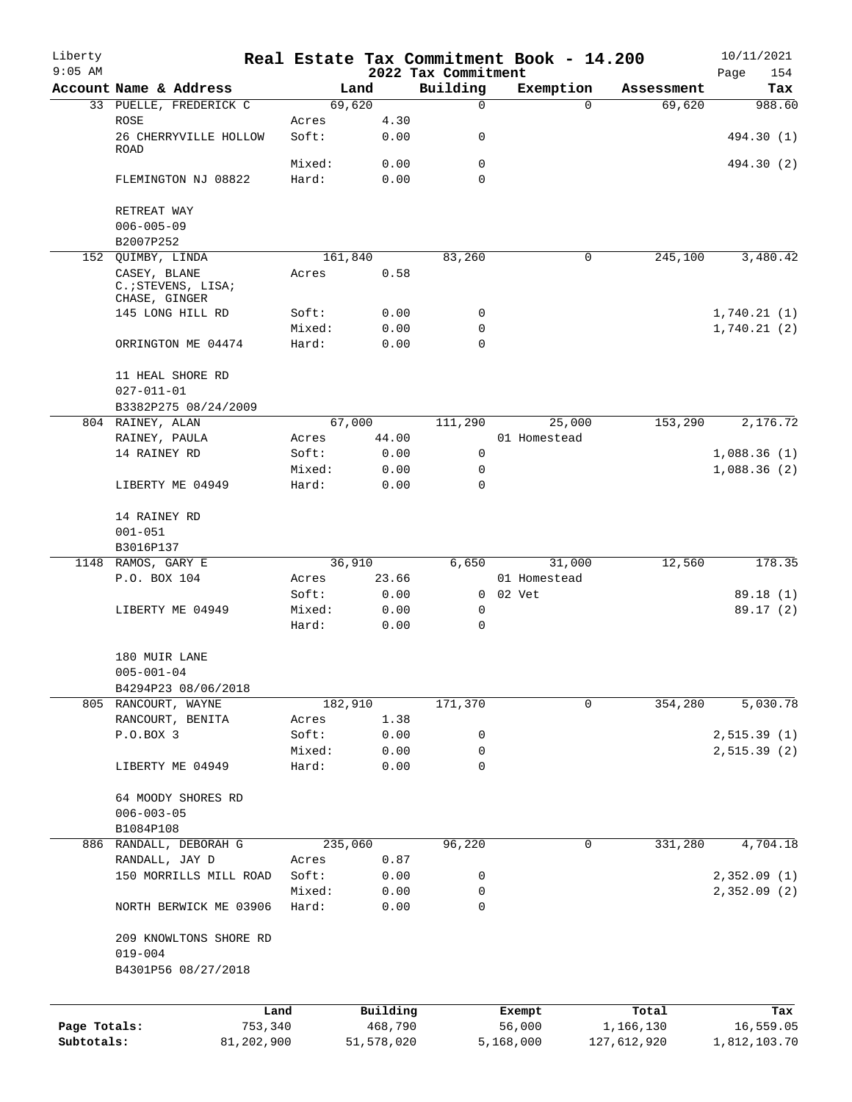| Liberty<br>$9:05$ AM |                                      |        |                 | 2022 Tax Commitment | Real Estate Tax Commitment Book - 14.200 |             | 10/11/2021<br>154<br>Page |
|----------------------|--------------------------------------|--------|-----------------|---------------------|------------------------------------------|-------------|---------------------------|
|                      | Account Name & Address               |        | Land            | Building            | Exemption                                | Assessment  | Tax                       |
|                      | 33 PUELLE, FREDERICK C               |        | 69,620          | 0                   | $\Omega$                                 | 69,620      | 988.60                    |
|                      | <b>ROSE</b>                          | Acres  | 4.30            |                     |                                          |             |                           |
|                      | 26 CHERRYVILLE HOLLOW                | Soft:  | 0.00            | 0                   |                                          |             | 494.30 (1)                |
|                      | ROAD                                 |        |                 |                     |                                          |             |                           |
|                      |                                      | Mixed: | 0.00            | 0                   |                                          |             | 494.30 (2)                |
|                      | FLEMINGTON NJ 08822                  | Hard:  | 0.00            | 0                   |                                          |             |                           |
|                      |                                      |        |                 |                     |                                          |             |                           |
|                      | RETREAT WAY                          |        |                 |                     |                                          |             |                           |
|                      | $006 - 005 - 09$                     |        |                 |                     |                                          |             |                           |
|                      | B2007P252                            |        |                 |                     | 0                                        |             |                           |
|                      | 152 QUIMBY, LINDA<br>CASEY, BLANE    | Acres  | 161,840<br>0.58 | 83,260              |                                          | 245,100     | 3,480.42                  |
|                      | C. ; STEVENS, LISA;<br>CHASE, GINGER |        |                 |                     |                                          |             |                           |
|                      | 145 LONG HILL RD                     | Soft:  | 0.00            | 0                   |                                          |             | 1,740.21(1)               |
|                      |                                      | Mixed: | 0.00            | 0                   |                                          |             | 1,740.21(2)               |
|                      | ORRINGTON ME 04474                   | Hard:  | 0.00            | $\Omega$            |                                          |             |                           |
|                      | 11 HEAL SHORE RD                     |        |                 |                     |                                          |             |                           |
|                      | $027 - 011 - 01$                     |        |                 |                     |                                          |             |                           |
|                      | B3382P275 08/24/2009                 |        |                 |                     |                                          |             |                           |
|                      | 804 RAINEY, ALAN                     |        | 67,000          | 111,290             | 25,000                                   | 153,290     | 2,176.72                  |
|                      | RAINEY, PAULA                        | Acres  | 44.00           |                     | 01 Homestead                             |             |                           |
|                      | 14 RAINEY RD                         | Soft:  | 0.00            | 0                   |                                          |             | 1,088.36(1)               |
|                      |                                      | Mixed: | 0.00            | 0                   |                                          |             | 1,088.36(2)               |
|                      | LIBERTY ME 04949                     | Hard:  | 0.00            | 0                   |                                          |             |                           |
|                      | 14 RAINEY RD                         |        |                 |                     |                                          |             |                           |
|                      | $001 - 051$                          |        |                 |                     |                                          |             |                           |
|                      | B3016P137                            |        |                 |                     |                                          |             |                           |
|                      | 1148 RAMOS, GARY E                   |        | 36,910          | 6,650               | 31,000                                   | 12,560      | 178.35                    |
|                      | P.O. BOX 104                         | Acres  | 23.66           |                     | 01 Homestead                             |             |                           |
|                      |                                      | Soft:  | 0.00            |                     | 0 02 Vet                                 |             | 89.18 (1)                 |
|                      | LIBERTY ME 04949                     | Mixed: | 0.00            | 0                   |                                          |             | 89.17 (2)                 |
|                      |                                      | Hard:  | 0.00            | 0                   |                                          |             |                           |
|                      | 180 MUIR LANE                        |        |                 |                     |                                          |             |                           |
|                      | $005 - 001 - 04$                     |        |                 |                     |                                          |             |                           |
|                      | B4294P23 08/06/2018                  |        |                 |                     |                                          |             |                           |
|                      | 805 RANCOURT, WAYNE                  |        | 182,910         | 171,370             | $\mathbf 0$                              | 354,280     | 5,030.78                  |
|                      | RANCOURT, BENITA                     | Acres  | 1.38            |                     |                                          |             |                           |
|                      | P.O.BOX 3                            | Soft:  | 0.00            | 0                   |                                          |             | 2,515.39(1)               |
|                      |                                      | Mixed: | 0.00            | 0                   |                                          |             | 2, 515.39(2)              |
|                      | LIBERTY ME 04949                     | Hard:  | 0.00            | 0                   |                                          |             |                           |
|                      | 64 MOODY SHORES RD                   |        |                 |                     |                                          |             |                           |
|                      | $006 - 003 - 05$                     |        |                 |                     |                                          |             |                           |
|                      | B1084P108                            |        |                 |                     |                                          |             |                           |
|                      | 886 RANDALL, DEBORAH G               |        | 235,060         | 96,220              | 0                                        | 331,280     | 4,704.18                  |
|                      | RANDALL, JAY D                       | Acres  | 0.87            |                     |                                          |             |                           |
|                      | 150 MORRILLS MILL ROAD               | Soft:  | 0.00            | 0                   |                                          |             | 2,352.09(1)               |
|                      |                                      | Mixed: | 0.00            | 0                   |                                          |             | 2,352.09(2)               |
|                      | NORTH BERWICK ME 03906               | Hard:  | 0.00            | 0                   |                                          |             |                           |
|                      | 209 KNOWLTONS SHORE RD               |        |                 |                     |                                          |             |                           |
|                      | $019 - 004$                          |        |                 |                     |                                          |             |                           |
|                      | B4301P56 08/27/2018                  |        |                 |                     |                                          |             |                           |
|                      | Land                                 |        | Building        |                     | Exempt                                   | Total       | Tax                       |
| Page Totals:         | 753,340                              |        | 468,790         |                     | 56,000                                   | 1,166,130   | 16,559.05                 |
| Subtotals:           | 81,202,900                           |        | 51,578,020      |                     | 5,168,000                                | 127,612,920 | 1,812,103.70              |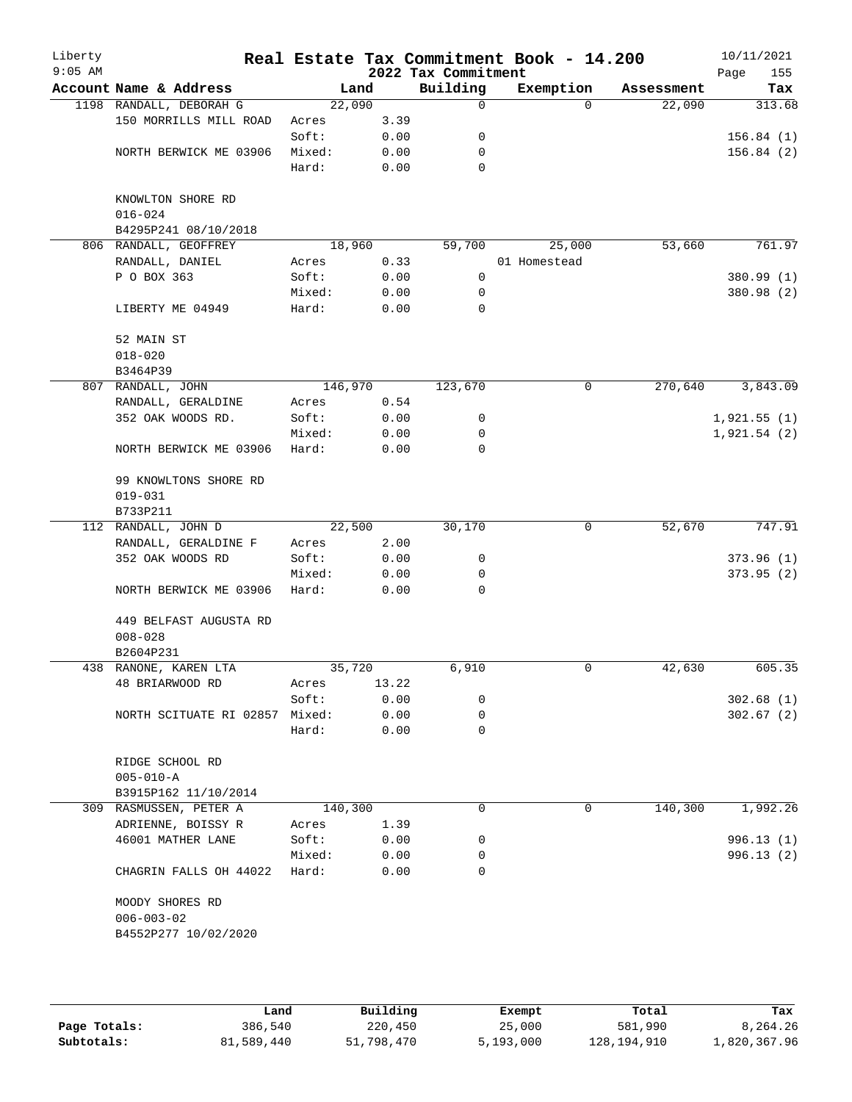| Liberty<br>$9:05$ AM |                                     |         |       | 2022 Tax Commitment | Real Estate Tax Commitment Book - 14.200 |            | 10/11/2021<br>155<br>Page |
|----------------------|-------------------------------------|---------|-------|---------------------|------------------------------------------|------------|---------------------------|
|                      | Account Name & Address              | Land    |       | Building            | Exemption                                | Assessment | Tax                       |
|                      | 1198 RANDALL, DEBORAH G             | 22,090  |       | 0                   | $\Omega$                                 | 22,090     | 313.68                    |
|                      | 150 MORRILLS MILL ROAD              | Acres   | 3.39  |                     |                                          |            |                           |
|                      |                                     | Soft:   | 0.00  | 0                   |                                          |            | 156.84(1)                 |
|                      | NORTH BERWICK ME 03906              | Mixed:  | 0.00  | 0                   |                                          |            | 156.84(2)                 |
|                      |                                     | Hard:   | 0.00  | 0                   |                                          |            |                           |
|                      | KNOWLTON SHORE RD                   |         |       |                     |                                          |            |                           |
|                      | $016 - 024$                         |         |       |                     |                                          |            |                           |
|                      | B4295P241 08/10/2018                |         |       |                     |                                          |            |                           |
|                      | 806 RANDALL, GEOFFREY               | 18,960  |       | 59,700              | 25,000                                   | 53,660     | 761.97                    |
|                      | RANDALL, DANIEL                     | Acres   | 0.33  |                     | 01 Homestead                             |            |                           |
|                      | P O BOX 363                         | Soft:   | 0.00  | 0                   |                                          |            | 380.99 (1)                |
|                      |                                     | Mixed:  | 0.00  | 0                   |                                          |            | 380.98 (2)                |
|                      | LIBERTY ME 04949                    | Hard:   | 0.00  | $\mathbf 0$         |                                          |            |                           |
|                      | 52 MAIN ST                          |         |       |                     |                                          |            |                           |
|                      | $018 - 020$                         |         |       |                     |                                          |            |                           |
|                      | B3464P39                            |         |       |                     |                                          |            |                           |
|                      | 807 RANDALL, JOHN                   | 146,970 |       | 123,670             | 0                                        | 270,640    | 3,843.09                  |
|                      | RANDALL, GERALDINE                  | Acres   | 0.54  |                     |                                          |            |                           |
|                      | 352 OAK WOODS RD.                   | Soft:   | 0.00  | 0                   |                                          |            | 1,921.55(1)               |
|                      |                                     | Mixed:  | 0.00  | 0                   |                                          |            | 1,921.54(2)               |
|                      | NORTH BERWICK ME 03906              | Hard:   | 0.00  | 0                   |                                          |            |                           |
|                      | 99 KNOWLTONS SHORE RD               |         |       |                     |                                          |            |                           |
|                      | $019 - 031$                         |         |       |                     |                                          |            |                           |
|                      | B733P211                            |         |       |                     |                                          |            |                           |
|                      | 112 RANDALL, JOHN D                 | 22,500  |       | 30,170              | 0                                        | 52,670     | 747.91                    |
|                      | RANDALL, GERALDINE F                | Acres   | 2.00  |                     |                                          |            |                           |
|                      | 352 OAK WOODS RD                    | Soft:   | 0.00  | 0                   |                                          |            | 373.96(1)                 |
|                      |                                     | Mixed:  | 0.00  | 0                   |                                          |            | 373.95(2)                 |
|                      | NORTH BERWICK ME 03906              | Hard:   | 0.00  | 0                   |                                          |            |                           |
|                      | 449 BELFAST AUGUSTA RD              |         |       |                     |                                          |            |                           |
|                      | $008 - 028$                         |         |       |                     |                                          |            |                           |
|                      | B2604P231                           |         |       |                     |                                          |            |                           |
|                      | 438 RANONE, KAREN LTA               | 35,720  |       | 6,910               | 0                                        | 42,630     | 605.35                    |
|                      | 48 BRIARWOOD RD                     | Acres   | 13.22 |                     |                                          |            |                           |
|                      |                                     | Soft:   | 0.00  | 0                   |                                          |            | 302.68(1)                 |
|                      | NORTH SCITUATE RI 02857             | Mixed:  | 0.00  | 0                   |                                          |            | 302.67(2)                 |
|                      |                                     | Hard:   | 0.00  | 0                   |                                          |            |                           |
|                      | RIDGE SCHOOL RD                     |         |       |                     |                                          |            |                           |
|                      | $005 - 010 - A$                     |         |       |                     |                                          |            |                           |
|                      | B3915P162 11/10/2014                |         |       |                     |                                          |            |                           |
|                      | 309 RASMUSSEN, PETER A              | 140,300 |       | 0                   | 0                                        | 140,300    | 1,992.26                  |
|                      | ADRIENNE, BOISSY R                  | Acres   | 1.39  |                     |                                          |            |                           |
|                      | 46001 MATHER LANE                   | Soft:   | 0.00  | 0                   |                                          |            | 996.13(1)                 |
|                      |                                     | Mixed:  | 0.00  | 0                   |                                          |            | 996.13(2)                 |
|                      | CHAGRIN FALLS OH 44022              | Hard:   | 0.00  | $\Omega$            |                                          |            |                           |
|                      | MOODY SHORES RD<br>$006 - 003 - 02$ |         |       |                     |                                          |            |                           |
|                      | B4552P277 10/02/2020                |         |       |                     |                                          |            |                           |
|                      |                                     |         |       |                     |                                          |            |                           |
|                      |                                     |         |       |                     |                                          |            |                           |

|              | Land       | Building   | Exempt    | Total       | Tax          |
|--------------|------------|------------|-----------|-------------|--------------|
| Page Totals: | 386,540    | 220,450    | 25,000    | 581,990     | 8,264.26     |
| Subtotals:   | 81,589,440 | 51,798,470 | 5,193,000 | 128,194,910 | 1,820,367.96 |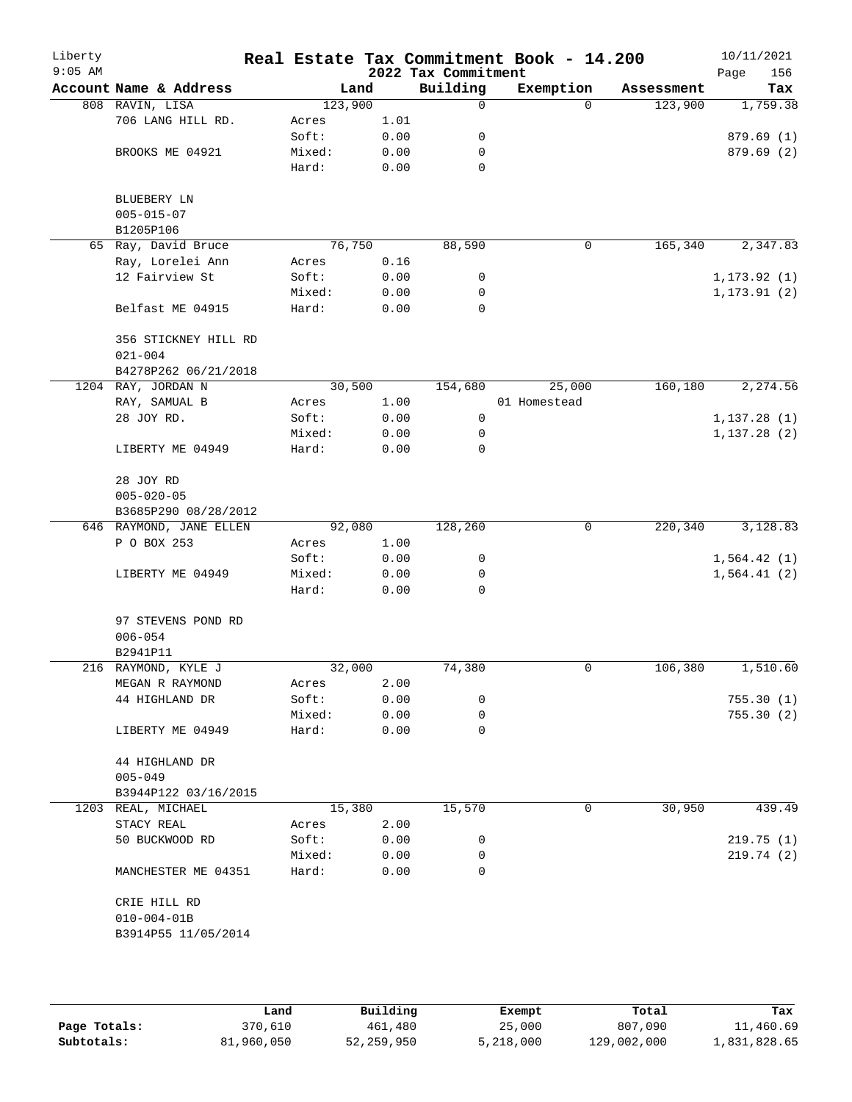| Liberty<br>$9:05$ AM |                         |         |      |      | Real Estate Tax Commitment Book - 14.200<br>2022 Tax Commitment |              |          |            | 10/11/2021<br>Page<br>156 |
|----------------------|-------------------------|---------|------|------|-----------------------------------------------------------------|--------------|----------|------------|---------------------------|
|                      | Account Name & Address  |         | Land |      | Building                                                        | Exemption    |          | Assessment | Tax                       |
|                      | 808 RAVIN, LISA         | 123,900 |      |      | 0                                                               |              | $\Omega$ | 123,900    | 1,759.38                  |
|                      | 706 LANG HILL RD.       | Acres   |      | 1.01 |                                                                 |              |          |            |                           |
|                      |                         | Soft:   |      | 0.00 | 0                                                               |              |          |            | 879.69(1)                 |
|                      | BROOKS ME 04921         | Mixed:  |      | 0.00 | 0                                                               |              |          |            | 879.69(2)                 |
|                      |                         | Hard:   |      | 0.00 | $\mathbf 0$                                                     |              |          |            |                           |
|                      |                         |         |      |      |                                                                 |              |          |            |                           |
|                      | BLUEBERY LN             |         |      |      |                                                                 |              |          |            |                           |
|                      | $005 - 015 - 07$        |         |      |      |                                                                 |              |          |            |                           |
|                      | B1205P106               |         |      |      |                                                                 |              |          |            |                           |
|                      | 65 Ray, David Bruce     | 76,750  |      |      | 88,590                                                          |              | 0        | 165,340    | 2,347.83                  |
|                      | Ray, Lorelei Ann        | Acres   |      | 0.16 |                                                                 |              |          |            |                           |
|                      | 12 Fairview St          | Soft:   |      | 0.00 | 0                                                               |              |          |            | 1, 173.92(1)              |
|                      |                         | Mixed:  |      | 0.00 | 0                                                               |              |          |            | 1, 173.91(2)              |
|                      | Belfast ME 04915        | Hard:   |      | 0.00 | $\mathbf 0$                                                     |              |          |            |                           |
|                      | 356 STICKNEY HILL RD    |         |      |      |                                                                 |              |          |            |                           |
|                      | $021 - 004$             |         |      |      |                                                                 |              |          |            |                           |
|                      | B4278P262 06/21/2018    |         |      |      |                                                                 |              |          |            |                           |
|                      | 1204 RAY, JORDAN N      | 30,500  |      |      | 154,680                                                         |              | 25,000   | 160, 180   | 2,274.56                  |
|                      | RAY, SAMUAL B           | Acres   |      | 1.00 |                                                                 | 01 Homestead |          |            |                           |
|                      | 28 JOY RD.              | Soft:   |      | 0.00 | 0                                                               |              |          |            | 1,137.28(1)               |
|                      |                         | Mixed:  |      | 0.00 | 0                                                               |              |          |            | 1, 137.28(2)              |
|                      | LIBERTY ME 04949        | Hard:   |      | 0.00 | $\mathbf 0$                                                     |              |          |            |                           |
|                      | 28 JOY RD               |         |      |      |                                                                 |              |          |            |                           |
|                      | $005 - 020 - 05$        |         |      |      |                                                                 |              |          |            |                           |
|                      | B3685P290 08/28/2012    |         |      |      |                                                                 |              |          |            |                           |
|                      |                         |         |      |      | 128,260                                                         |              | 0        | 220,340    | 3,128.83                  |
|                      | 646 RAYMOND, JANE ELLEN | 92,080  |      |      |                                                                 |              |          |            |                           |
|                      | P O BOX 253             | Acres   |      | 1.00 |                                                                 |              |          |            |                           |
|                      |                         | Soft:   |      | 0.00 | 0                                                               |              |          |            | 1,564.42(1)               |
|                      | LIBERTY ME 04949        | Mixed:  |      | 0.00 | 0                                                               |              |          |            | 1,564.41(2)               |
|                      |                         | Hard:   |      | 0.00 | $\mathbf 0$                                                     |              |          |            |                           |
|                      | 97 STEVENS POND RD      |         |      |      |                                                                 |              |          |            |                           |
|                      | $006 - 054$             |         |      |      |                                                                 |              |          |            |                           |
|                      | B2941P11                |         |      |      |                                                                 |              |          |            |                           |
|                      | 216 RAYMOND, KYLE J     | 32,000  |      |      | 74,380                                                          |              | 0        | 106,380    | 1,510.60                  |
|                      | MEGAN R RAYMOND         | Acres   |      | 2.00 |                                                                 |              |          |            |                           |
|                      | 44 HIGHLAND DR          | Soft:   |      | 0.00 | 0                                                               |              |          |            | 755.30(1)                 |
|                      |                         | Mixed:  |      | 0.00 | 0                                                               |              |          |            | 755.30(2)                 |
|                      | LIBERTY ME 04949        | Hard:   |      | 0.00 | 0                                                               |              |          |            |                           |
|                      | 44 HIGHLAND DR          |         |      |      |                                                                 |              |          |            |                           |
|                      | $005 - 049$             |         |      |      |                                                                 |              |          |            |                           |
|                      | B3944P122 03/16/2015    |         |      |      |                                                                 |              |          |            |                           |
|                      | 1203 REAL, MICHAEL      | 15,380  |      |      | 15,570                                                          |              | 0        | 30,950     | 439.49                    |
|                      | STACY REAL              | Acres   |      | 2.00 |                                                                 |              |          |            |                           |
|                      | 50 BUCKWOOD RD          | Soft:   |      | 0.00 | 0                                                               |              |          |            | 219.75(1)                 |
|                      |                         | Mixed:  |      | 0.00 | 0                                                               |              |          |            | 219.74(2)                 |
|                      | MANCHESTER ME 04351     | Hard:   |      | 0.00 | 0                                                               |              |          |            |                           |
|                      |                         |         |      |      |                                                                 |              |          |            |                           |
|                      | CRIE HILL RD            |         |      |      |                                                                 |              |          |            |                           |
|                      | $010 - 004 - 01B$       |         |      |      |                                                                 |              |          |            |                           |
|                      | B3914P55 11/05/2014     |         |      |      |                                                                 |              |          |            |                           |
|                      |                         |         |      |      |                                                                 |              |          |            |                           |
|                      |                         |         |      |      |                                                                 |              |          |            |                           |
|                      |                         |         |      |      |                                                                 |              |          |            |                           |

|              | Land       | Building   | Exempt    | Total       | Tax          |
|--------------|------------|------------|-----------|-------------|--------------|
| Page Totals: | 370,610    | 461,480    | 25,000    | 807,090     | 11,460.69    |
| Subtotals:   | 81,960,050 | 52,259,950 | 5,218,000 | 129,002,000 | 1,831,828.65 |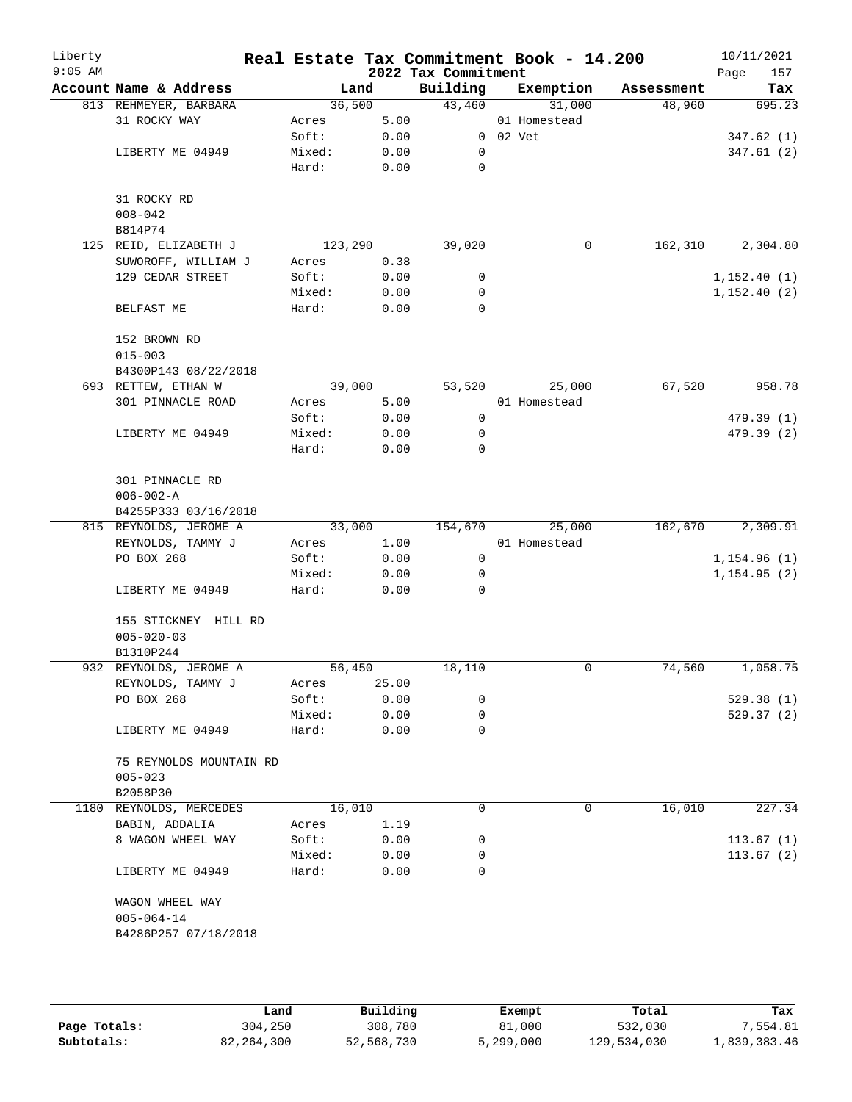| Liberty<br>$9:05$ AM |                                          | Real Estate Tax Commitment Book - 14.200 |              | 2022 Tax Commitment |                |              |            | 10/11/2021<br>157<br>Page |
|----------------------|------------------------------------------|------------------------------------------|--------------|---------------------|----------------|--------------|------------|---------------------------|
|                      | Account Name & Address                   | Land                                     |              | Building            |                | Exemption    | Assessment | Tax                       |
|                      | 813 REHMEYER, BARBARA                    | 36,500                                   |              | 43,460              |                | 31,000       | 48,960     | 695.23                    |
|                      | 31 ROCKY WAY                             | Acres                                    | 5.00         |                     |                | 01 Homestead |            |                           |
|                      |                                          | Soft:                                    | 0.00         |                     | $0$ $02$ $Vet$ |              |            | 347.62(1)                 |
|                      | LIBERTY ME 04949                         | Mixed:                                   | 0.00         | 0                   |                |              |            | 347.61(2)                 |
|                      |                                          | Hard:                                    | 0.00         | 0                   |                |              |            |                           |
|                      | 31 ROCKY RD                              |                                          |              |                     |                |              |            |                           |
|                      | $008 - 042$                              |                                          |              |                     |                |              |            |                           |
|                      | B814P74                                  |                                          |              |                     |                |              |            |                           |
|                      | 125 REID, ELIZABETH J                    | 123,290                                  |              | 39,020              |                | 0            | 162,310    | 2,304.80                  |
|                      | SUWOROFF, WILLIAM J                      | Acres                                    | 0.38         |                     |                |              |            |                           |
|                      | 129 CEDAR STREET                         | Soft:                                    | 0.00         | 0                   |                |              |            | 1,152.40(1)               |
|                      |                                          | Mixed:                                   | 0.00         | 0                   |                |              |            | 1,152.40(2)               |
|                      | BELFAST ME                               | Hard:                                    | 0.00         | $\mathbf 0$         |                |              |            |                           |
|                      | 152 BROWN RD                             |                                          |              |                     |                |              |            |                           |
|                      | $015 - 003$                              |                                          |              |                     |                |              |            |                           |
|                      | B4300P143 08/22/2018                     |                                          |              |                     |                |              |            |                           |
|                      | 693 RETTEW, ETHAN W                      | 39,000                                   |              | 53,520              |                | 25,000       | 67,520     | 958.78                    |
|                      | 301 PINNACLE ROAD                        | Acres                                    | 5.00         |                     |                | 01 Homestead |            |                           |
|                      |                                          | Soft:                                    | 0.00         | 0                   |                |              |            | 479.39(1)                 |
|                      | LIBERTY ME 04949                         | Mixed:                                   | 0.00         | 0                   |                |              |            | 479.39 (2)                |
|                      |                                          | Hard:                                    | 0.00         | $\mathbf 0$         |                |              |            |                           |
|                      | 301 PINNACLE RD<br>$006 - 002 - A$       |                                          |              |                     |                |              |            |                           |
|                      | B4255P333 03/16/2018                     |                                          |              |                     |                |              |            |                           |
|                      | 815 REYNOLDS, JEROME A                   | 33,000                                   |              | 154,670             |                | 25,000       | 162,670    | 2,309.91                  |
|                      | REYNOLDS, TAMMY J                        | Acres                                    | 1.00         |                     |                | 01 Homestead |            |                           |
|                      | PO BOX 268                               | Soft:                                    | 0.00         | $\mathbf 0$         |                |              |            | 1,154.96(1)               |
|                      |                                          | Mixed:                                   | 0.00         | 0                   |                |              |            | 1, 154.95(2)              |
|                      | LIBERTY ME 04949                         | Hard:                                    | 0.00         | 0                   |                |              |            |                           |
|                      | 155 STICKNEY HILL RD<br>$005 - 020 - 03$ |                                          |              |                     |                |              |            |                           |
|                      | B1310P244                                |                                          |              |                     |                |              |            |                           |
|                      | 932 REYNOLDS, JEROME A                   | 56,450                                   |              | 18,110              |                | 0            | 74,560     | 1,058.75                  |
|                      | REYNOLDS, TAMMY J                        | Acres                                    | 25.00        |                     |                |              |            |                           |
|                      | PO BOX 268                               | Soft:                                    | 0.00         | 0                   |                |              |            |                           |
|                      |                                          |                                          |              | 0                   |                |              |            | 529.38 (1)                |
|                      | LIBERTY ME 04949                         | Mixed:<br>Hard:                          | 0.00<br>0.00 | 0                   |                |              |            | 529.37(2)                 |
|                      |                                          |                                          |              |                     |                |              |            |                           |
|                      | 75 REYNOLDS MOUNTAIN RD                  |                                          |              |                     |                |              |            |                           |
|                      | $005 - 023$<br>B2058P30                  |                                          |              |                     |                |              |            |                           |
|                      | 1180 REYNOLDS, MERCEDES                  | 16,010                                   |              | 0                   |                | 0            | 16,010     | 227.34                    |
|                      | BABIN, ADDALIA                           | Acres                                    | 1.19         |                     |                |              |            |                           |
|                      | 8 WAGON WHEEL WAY                        | Soft:                                    | 0.00         | 0                   |                |              |            | 113.67(1)                 |
|                      |                                          |                                          |              | 0                   |                |              |            |                           |
|                      | LIBERTY ME 04949                         | Mixed:<br>Hard:                          | 0.00<br>0.00 | 0                   |                |              |            | 113.67(2)                 |
|                      |                                          |                                          |              |                     |                |              |            |                           |
|                      | WAGON WHEEL WAY                          |                                          |              |                     |                |              |            |                           |
|                      | $005 - 064 - 14$                         |                                          |              |                     |                |              |            |                           |
|                      | B4286P257 07/18/2018                     |                                          |              |                     |                |              |            |                           |
|                      |                                          |                                          |              |                     |                |              |            |                           |
|                      |                                          |                                          |              |                     |                |              |            |                           |
|                      |                                          |                                          |              |                     |                |              |            |                           |

|              | Land       | Building   | Exempt    | Total       | Tax          |
|--------------|------------|------------|-----------|-------------|--------------|
| Page Totals: | 304,250    | 308,780    | 81,000    | 532,030     | 7,554.81     |
| Subtotals:   | 82,264,300 | 52,568,730 | 5,299,000 | 129,534,030 | 1,839,383.46 |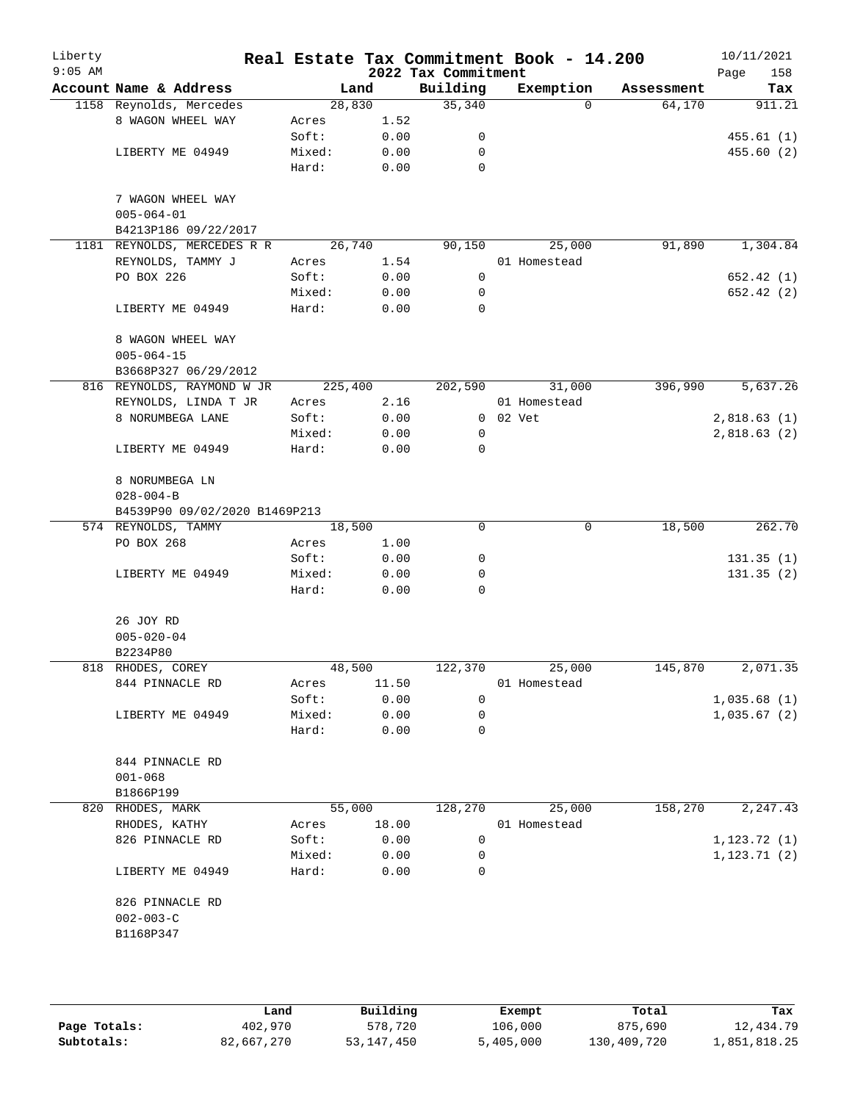| Liberty<br>$9:05$ AM |                               |         |       | 2022 Tax Commitment | Real Estate Tax Commitment Book - 14.200 |            | 10/11/2021<br>158<br>Page |
|----------------------|-------------------------------|---------|-------|---------------------|------------------------------------------|------------|---------------------------|
|                      | Account Name & Address        | Land    |       | Building            | Exemption                                | Assessment | Tax                       |
|                      | 1158 Reynolds, Mercedes       | 28,830  |       | 35,340              | $\Omega$                                 | 64,170     | 911.21                    |
|                      | 8 WAGON WHEEL WAY             | Acres   | 1.52  |                     |                                          |            |                           |
|                      |                               | Soft:   | 0.00  | 0                   |                                          |            | 455.61(1)                 |
|                      | LIBERTY ME 04949              | Mixed:  | 0.00  | 0                   |                                          |            | 455.60(2)                 |
|                      |                               | Hard:   | 0.00  | $\mathbf 0$         |                                          |            |                           |
|                      | 7 WAGON WHEEL WAY             |         |       |                     |                                          |            |                           |
|                      | $005 - 064 - 01$              |         |       |                     |                                          |            |                           |
|                      | B4213P186 09/22/2017          |         |       |                     |                                          |            |                           |
|                      | 1181 REYNOLDS, MERCEDES R R   | 26,740  |       | 90,150              | 25,000                                   | 91,890     | 1,304.84                  |
|                      | REYNOLDS, TAMMY J             | Acres   | 1.54  |                     | 01 Homestead                             |            |                           |
|                      | PO BOX 226                    | Soft:   | 0.00  | 0                   |                                          |            | 652.42(1)                 |
|                      |                               | Mixed:  | 0.00  | 0                   |                                          |            | 652.42 (2)                |
|                      | LIBERTY ME 04949              | Hard:   | 0.00  | $\mathbf 0$         |                                          |            |                           |
|                      | 8 WAGON WHEEL WAY             |         |       |                     |                                          |            |                           |
|                      | $005 - 064 - 15$              |         |       |                     |                                          |            |                           |
|                      | B3668P327 06/29/2012          |         |       |                     |                                          |            |                           |
|                      | 816 REYNOLDS, RAYMOND W JR    | 225,400 |       | 202,590             | 31,000                                   | 396,990    | 5,637.26                  |
|                      | REYNOLDS, LINDA T JR          | Acres   | 2.16  |                     | 01 Homestead                             |            |                           |
|                      | 8 NORUMBEGA LANE              | Soft:   | 0.00  |                     | 0 02 Vet                                 |            | 2,818.63(1)               |
|                      |                               | Mixed:  | 0.00  | 0                   |                                          |            | 2,818.63(2)               |
|                      | LIBERTY ME 04949              | Hard:   | 0.00  | $\mathbf 0$         |                                          |            |                           |
|                      | 8 NORUMBEGA LN                |         |       |                     |                                          |            |                           |
|                      | $028 - 004 - B$               |         |       |                     |                                          |            |                           |
|                      | B4539P90 09/02/2020 B1469P213 |         |       |                     |                                          |            |                           |
|                      | 574 REYNOLDS, TAMMY           | 18,500  |       | $\mathbf 0$         | $\mathbf 0$                              | 18,500     | 262.70                    |
|                      | PO BOX 268                    | Acres   | 1.00  |                     |                                          |            |                           |
|                      |                               | Soft:   | 0.00  | 0                   |                                          |            | 131.35(1)                 |
|                      | LIBERTY ME 04949              | Mixed:  | 0.00  | 0                   |                                          |            | 131.35(2)                 |
|                      |                               | Hard:   | 0.00  | $\Omega$            |                                          |            |                           |
|                      | 26 JOY RD                     |         |       |                     |                                          |            |                           |
|                      | $005 - 020 - 04$              |         |       |                     |                                          |            |                           |
|                      | B2234P80                      |         |       |                     |                                          |            |                           |
|                      | 818 RHODES, COREY             | 48,500  |       | 122,370             | 25,000                                   | 145,870    | 2,071.35                  |
|                      | 844 PINNACLE RD               | Acres   | 11.50 |                     | 01 Homestead                             |            |                           |
|                      |                               | Soft:   | 0.00  | 0                   |                                          |            | 1,035.68(1)               |
|                      | LIBERTY ME 04949              | Mixed:  | 0.00  | 0                   |                                          |            | 1,035.67(2)               |
|                      |                               | Hard:   | 0.00  | 0                   |                                          |            |                           |
|                      | 844 PINNACLE RD               |         |       |                     |                                          |            |                           |
|                      | $001 - 068$                   |         |       |                     |                                          |            |                           |
|                      | B1866P199                     |         |       |                     |                                          |            |                           |
|                      | 820 RHODES, MARK              | 55,000  |       | 128,270             | 25,000                                   | 158,270    | 2, 247.43                 |
|                      | RHODES, KATHY                 | Acres   | 18.00 |                     | 01 Homestead                             |            |                           |
|                      | 826 PINNACLE RD               | Soft:   | 0.00  | 0                   |                                          |            | 1, 123.72(1)              |
|                      |                               | Mixed:  | 0.00  | 0                   |                                          |            | 1, 123.71(2)              |
|                      | LIBERTY ME 04949              | Hard:   | 0.00  | 0                   |                                          |            |                           |
|                      | 826 PINNACLE RD               |         |       |                     |                                          |            |                           |
|                      | $002 - 003 - C$               |         |       |                     |                                          |            |                           |
|                      | B1168P347                     |         |       |                     |                                          |            |                           |
|                      |                               |         |       |                     |                                          |            |                           |
|                      |                               |         |       |                     |                                          |            |                           |

|              | Land       | Building     | Exempt    | Total       | Tax          |
|--------------|------------|--------------|-----------|-------------|--------------|
| Page Totals: | 402,970    | 578,720      | 106,000   | 875,690     | 12,434.79    |
| Subtotals:   | 82,667,270 | 53, 147, 450 | 5,405,000 | 130,409,720 | 1,851,818.25 |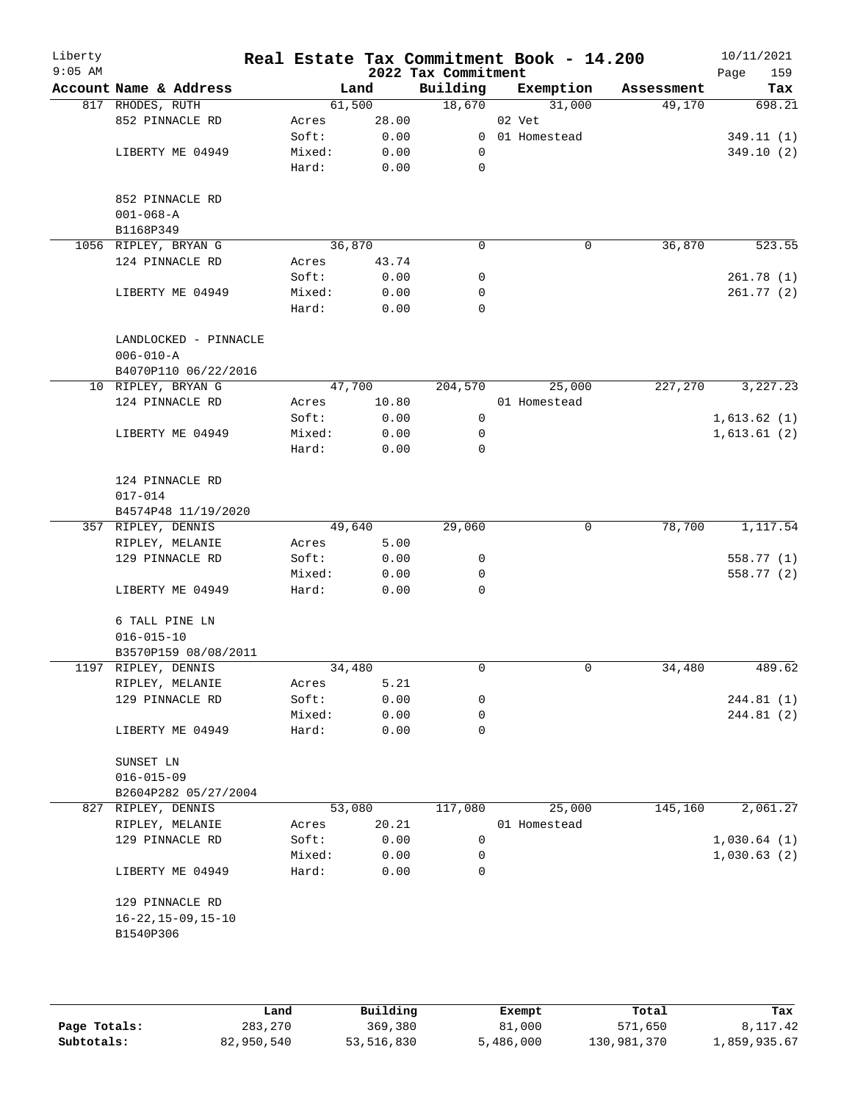| Liberty<br>$9:05$ AM |                             |        |        | 2022 Tax Commitment | Real Estate Tax Commitment Book - 14.200 |            | 10/11/2021<br>Page<br>159 |
|----------------------|-----------------------------|--------|--------|---------------------|------------------------------------------|------------|---------------------------|
|                      | Account Name & Address      |        | Land   | Building            | Exemption                                | Assessment | Tax                       |
|                      | 817 RHODES, RUTH            | 61,500 |        | 18,670              | 31,000                                   | 49,170     | 698.21                    |
|                      | 852 PINNACLE RD             | Acres  | 28.00  |                     | 02 Vet                                   |            |                           |
|                      |                             | Soft:  | 0.00   |                     | 0 01 Homestead                           |            | 349.11(1)                 |
|                      | LIBERTY ME 04949            | Mixed: | 0.00   | 0                   |                                          |            | 349.10(2)                 |
|                      |                             | Hard:  | 0.00   | $\mathbf 0$         |                                          |            |                           |
|                      | 852 PINNACLE RD             |        |        |                     |                                          |            |                           |
|                      | $001 - 068 - A$             |        |        |                     |                                          |            |                           |
|                      | B1168P349                   |        |        |                     |                                          |            |                           |
|                      | 1056 RIPLEY, BRYAN G        | 36,870 |        | $\mathbf 0$         | 0                                        | 36,870     | 523.55                    |
|                      | 124 PINNACLE RD             | Acres  | 43.74  |                     |                                          |            |                           |
|                      |                             | Soft:  | 0.00   | 0                   |                                          |            | 261.78(1)                 |
|                      | LIBERTY ME 04949            | Mixed: | 0.00   | 0                   |                                          |            | 261.77(2)                 |
|                      |                             | Hard:  | 0.00   | 0                   |                                          |            |                           |
|                      | LANDLOCKED - PINNACLE       |        |        |                     |                                          |            |                           |
|                      | $006 - 010 - A$             |        |        |                     |                                          |            |                           |
|                      | B4070P110 06/22/2016        |        |        |                     |                                          |            |                           |
|                      | 10 RIPLEY, BRYAN G          | 47,700 |        | 204,570             | 25,000                                   | 227,270    | 3,227.23                  |
|                      | 124 PINNACLE RD             | Acres  | 10.80  |                     | 01 Homestead                             |            |                           |
|                      |                             | Soft:  | 0.00   | 0                   |                                          |            | 1,613.62(1)               |
|                      | LIBERTY ME 04949            | Mixed: | 0.00   | 0                   |                                          |            | 1,613.61(2)               |
|                      |                             | Hard:  | 0.00   | 0                   |                                          |            |                           |
|                      | 124 PINNACLE RD             |        |        |                     |                                          |            |                           |
|                      | $017 - 014$                 |        |        |                     |                                          |            |                           |
|                      | B4574P48 11/19/2020         |        |        |                     |                                          |            |                           |
|                      | 357 RIPLEY, DENNIS          |        | 49,640 | 29,060              | 0                                        | 78,700     | 1,117.54                  |
|                      | RIPLEY, MELANIE             | Acres  | 5.00   |                     |                                          |            |                           |
|                      | 129 PINNACLE RD             | Soft:  | 0.00   | 0                   |                                          |            | 558.77 (1)                |
|                      |                             | Mixed: | 0.00   | 0                   |                                          |            | 558.77 (2)                |
|                      | LIBERTY ME 04949            | Hard:  | 0.00   | 0                   |                                          |            |                           |
|                      | 6 TALL PINE LN              |        |        |                     |                                          |            |                           |
|                      | $016 - 015 - 10$            |        |        |                     |                                          |            |                           |
|                      | B3570P159 08/08/2011        |        |        |                     |                                          |            |                           |
|                      | 1197 RIPLEY, DENNIS         | 34,480 |        | 0                   | 0                                        | 34,480     | 489.62                    |
|                      | RIPLEY, MELANIE             | Acres  | 5.21   |                     |                                          |            |                           |
|                      | 129 PINNACLE RD             | Soft:  | 0.00   | 0                   |                                          |            | 244.81 (1)                |
|                      |                             | Mixed: | 0.00   | 0                   |                                          |            | 244.81 (2)                |
|                      | LIBERTY ME 04949            | Hard:  | 0.00   | 0                   |                                          |            |                           |
|                      | SUNSET LN                   |        |        |                     |                                          |            |                           |
|                      | $016 - 015 - 09$            |        |        |                     |                                          |            |                           |
|                      | B2604P282 05/27/2004        |        |        |                     |                                          |            |                           |
|                      | 827 RIPLEY, DENNIS          | 53,080 |        | 117,080             | 25,000                                   | 145,160    | 2,061.27                  |
|                      | RIPLEY, MELANIE             | Acres  | 20.21  |                     | 01 Homestead                             |            |                           |
|                      | 129 PINNACLE RD             | Soft:  | 0.00   | 0                   |                                          |            | 1,030.64(1)               |
|                      |                             | Mixed: | 0.00   | 0                   |                                          |            | 1,030.63(2)               |
|                      | LIBERTY ME 04949            | Hard:  | 0.00   | 0                   |                                          |            |                           |
|                      | 129 PINNACLE RD             |        |        |                     |                                          |            |                           |
|                      | $16 - 22, 15 - 09, 15 - 10$ |        |        |                     |                                          |            |                           |
|                      | B1540P306                   |        |        |                     |                                          |            |                           |
|                      |                             |        |        |                     |                                          |            |                           |
|                      |                             |        |        |                     |                                          |            |                           |
|                      |                             |        |        |                     |                                          |            |                           |
|                      |                             |        |        |                     |                                          |            |                           |

|              | Land       | Building   | Exempt    | Total       | Tax          |
|--------------|------------|------------|-----------|-------------|--------------|
| Page Totals: | 283,270    | 369,380    | 81,000    | 571,650     | 8,117.42     |
| Subtotals:   | 82,950,540 | 53,516,830 | 5,486,000 | 130,981,370 | 1,859,935.67 |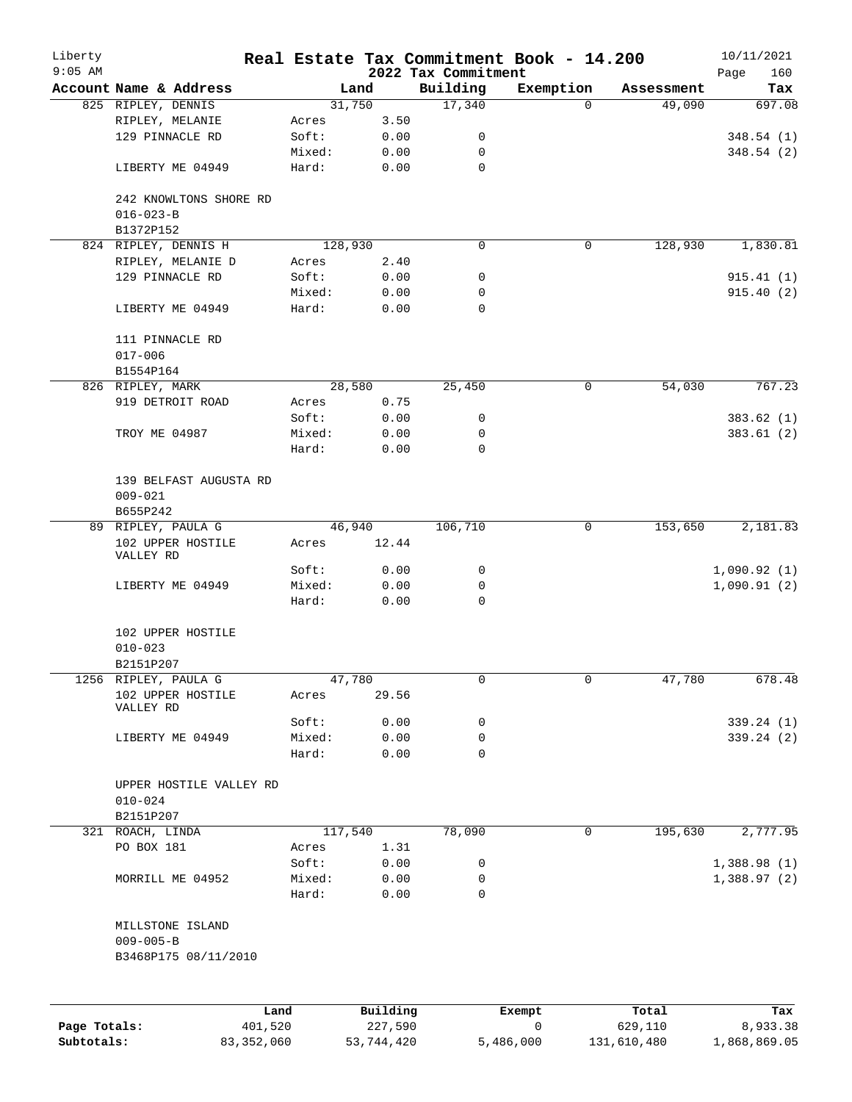| Liberty      |                                                             |         |                 |                     | Real Estate Tax Commitment Book - 14.200 |                      | 10/11/2021    |
|--------------|-------------------------------------------------------------|---------|-----------------|---------------------|------------------------------------------|----------------------|---------------|
| $9:05$ AM    | Account Name & Address                                      |         |                 | 2022 Tax Commitment |                                          |                      | 160<br>Page   |
|              | 825 RIPLEY, DENNIS                                          |         | Land<br>31,750  | Building<br>17,340  | Exemption<br>$\Omega$                    | Assessment<br>49,090 | Tax<br>697.08 |
|              | RIPLEY, MELANIE                                             | Acres   | 3.50            |                     |                                          |                      |               |
|              | 129 PINNACLE RD                                             | Soft:   | 0.00            | 0                   |                                          |                      | 348.54(1)     |
|              |                                                             | Mixed:  | 0.00            | 0                   |                                          |                      | 348.54(2)     |
|              | LIBERTY ME 04949                                            | Hard:   | 0.00            | $\mathbf 0$         |                                          |                      |               |
|              | 242 KNOWLTONS SHORE RD<br>$016 - 023 - B$                   |         |                 |                     |                                          |                      |               |
|              | B1372P152                                                   |         |                 |                     |                                          |                      |               |
|              | 824 RIPLEY, DENNIS H                                        |         | 128,930         | 0                   | 0                                        | 128,930              | 1,830.81      |
|              | RIPLEY, MELANIE D                                           | Acres   | 2.40            |                     |                                          |                      |               |
|              | 129 PINNACLE RD                                             | Soft:   | 0.00            | 0                   |                                          |                      | 915.41(1)     |
|              |                                                             | Mixed:  | 0.00            | 0                   |                                          |                      | 915.40(2)     |
|              | LIBERTY ME 04949                                            | Hard:   | 0.00            | 0                   |                                          |                      |               |
|              | 111 PINNACLE RD<br>$017 - 006$                              |         |                 |                     |                                          |                      |               |
|              | B1554P164                                                   |         |                 |                     |                                          |                      |               |
|              | 826 RIPLEY, MARK                                            |         | 28,580          | 25,450              | 0                                        | 54,030               | 767.23        |
|              | 919 DETROIT ROAD                                            | Acres   | 0.75            |                     |                                          |                      |               |
|              |                                                             | Soft:   | 0.00            | 0                   |                                          |                      | 383.62(1)     |
|              | TROY ME 04987                                               | Mixed:  | 0.00            | 0                   |                                          |                      | 383.61(2)     |
|              |                                                             | Hard:   | 0.00            | $\mathbf 0$         |                                          |                      |               |
|              | 139 BELFAST AUGUSTA RD<br>$009 - 021$                       |         |                 |                     |                                          |                      |               |
|              | B655P242                                                    |         |                 |                     |                                          |                      |               |
|              | 89 RIPLEY, PAULA G                                          |         | 46,940          | 106,710             | $\mathbf 0$                              | 153,650              | 2,181.83      |
|              | 102 UPPER HOSTILE<br>VALLEY RD                              | Acres   | 12.44           |                     |                                          |                      |               |
|              |                                                             | Soft:   | 0.00            | 0                   |                                          |                      | 1,090.92(1)   |
|              | LIBERTY ME 04949                                            | Mixed:  | 0.00            | 0                   |                                          |                      | 1,090.91(2)   |
|              |                                                             | Hard:   | 0.00            | $\mathbf 0$         |                                          |                      |               |
|              | 102 UPPER HOSTILE                                           |         |                 |                     |                                          |                      |               |
|              | $010 - 023$                                                 |         |                 |                     |                                          |                      |               |
|              | B2151P207                                                   |         |                 |                     |                                          |                      |               |
|              | 1256 RIPLEY, PAULA G<br>102 UPPER HOSTILE<br>VALLEY RD      | Acres   | 47,780<br>29.56 | 0                   | 0                                        | 47,780               | 678.48        |
|              |                                                             | Soft:   | 0.00            | 0                   |                                          |                      | 339.24 (1)    |
|              | LIBERTY ME 04949                                            | Mixed:  | 0.00            | 0                   |                                          |                      | 339.24(2)     |
|              |                                                             | Hard:   | 0.00            | $\mathbf 0$         |                                          |                      |               |
|              | UPPER HOSTILE VALLEY RD<br>$010 - 024$<br>B2151P207         |         |                 |                     |                                          |                      |               |
|              | 321 ROACH, LINDA                                            |         | 117,540         | 78,090              | 0                                        | 195,630              | 2,777.95      |
|              | PO BOX 181                                                  | Acres   | 1.31            |                     |                                          |                      |               |
|              |                                                             | Soft:   | 0.00            | 0                   |                                          |                      | 1,388.98(1)   |
|              | MORRILL ME 04952                                            | Mixed:  | 0.00            | 0                   |                                          |                      | 1,388.97(2)   |
|              |                                                             | Hard:   | 0.00            | 0                   |                                          |                      |               |
|              | MILLSTONE ISLAND<br>$009 - 005 - B$<br>B3468P175 08/11/2010 |         |                 |                     |                                          |                      |               |
|              |                                                             |         |                 |                     |                                          |                      |               |
|              |                                                             | Land    | Building        |                     | Exempt                                   | Total                | Tax           |
| Page Totals: |                                                             | 401,520 | 227,590         |                     | 0                                        | 629,110              | 8,933.38      |

**Subtotals:** 83,352,060 53,744,420 5,486,000 131,610,480 1,868,869.05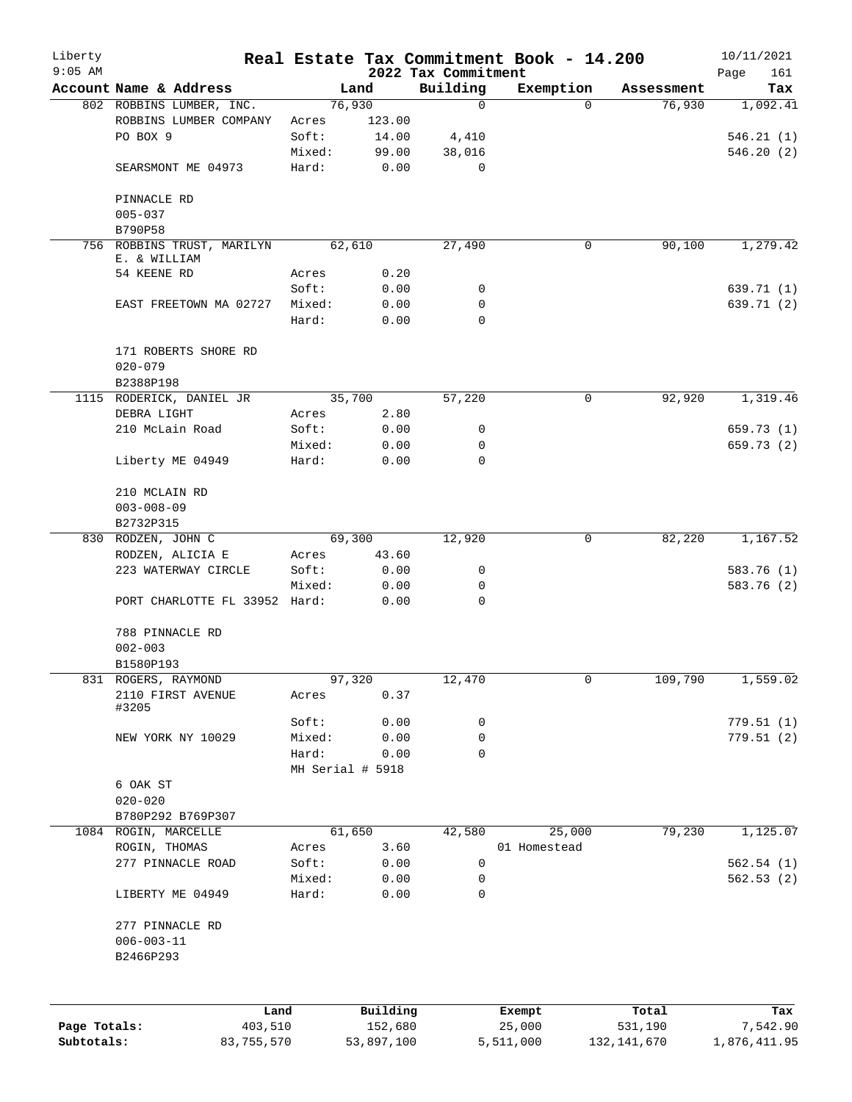| Liberty      |                                            |                 |                  |                         | Real Estate Tax Commitment Book - 14.200 |                      | 10/11/2021      |
|--------------|--------------------------------------------|-----------------|------------------|-------------------------|------------------------------------------|----------------------|-----------------|
| $9:05$ AM    | Account Name & Address                     |                 |                  | 2022 Tax Commitment     |                                          |                      | 161<br>Page     |
|              | 802 ROBBINS LUMBER, INC.                   |                 | Land<br>76,930   | Building<br>$\mathbf 0$ | Exemption<br>$\Omega$                    | Assessment<br>76,930 | Tax<br>1,092.41 |
|              | ROBBINS LUMBER COMPANY                     | Acres           | 123.00           |                         |                                          |                      |                 |
|              | PO BOX 9                                   | Soft:           | 14.00            | 4,410                   |                                          |                      | 546.21(1)       |
|              |                                            | Mixed:          | 99.00            | 38,016                  |                                          |                      | 546.20(2)       |
|              | SEARSMONT ME 04973                         | Hard:           | 0.00             | $\mathbf 0$             |                                          |                      |                 |
|              |                                            |                 |                  |                         |                                          |                      |                 |
|              | PINNACLE RD                                |                 |                  |                         |                                          |                      |                 |
|              | $005 - 037$                                |                 |                  |                         |                                          |                      |                 |
|              | B790P58                                    |                 |                  |                         |                                          |                      |                 |
|              | 756 ROBBINS TRUST, MARILYN<br>E. & WILLIAM |                 | 62,610           | 27,490                  | 0                                        | 90,100               | 1,279.42        |
|              | 54 KEENE RD                                | Acres           | 0.20             |                         |                                          |                      |                 |
|              |                                            | Soft:           | 0.00             | 0                       |                                          |                      | 639.71 (1)      |
|              | EAST FREETOWN MA 02727                     | Mixed:          | 0.00             | 0                       |                                          |                      | 639.71 (2)      |
|              |                                            | Hard:           | 0.00             | 0                       |                                          |                      |                 |
|              |                                            |                 |                  |                         |                                          |                      |                 |
|              | 171 ROBERTS SHORE RD                       |                 |                  |                         |                                          |                      |                 |
|              | $020 - 079$                                |                 |                  |                         |                                          |                      |                 |
|              | B2388P198                                  |                 |                  |                         |                                          |                      |                 |
|              | 1115 RODERICK, DANIEL JR                   |                 | 35,700           | 57,220                  | $\mathsf{O}$                             | 92,920               | 1,319.46        |
|              | DEBRA LIGHT                                | Acres           | 2.80             |                         |                                          |                      |                 |
|              | 210 McLain Road                            | Soft:           | 0.00             | 0                       |                                          |                      | 659.73 (1)      |
|              |                                            | Mixed:          | 0.00             | 0                       |                                          |                      | 659.73 (2)      |
|              | Liberty ME 04949                           | Hard:           | 0.00             | $\mathbf 0$             |                                          |                      |                 |
|              |                                            |                 |                  |                         |                                          |                      |                 |
|              | 210 MCLAIN RD                              |                 |                  |                         |                                          |                      |                 |
|              | $003 - 008 - 09$                           |                 |                  |                         |                                          |                      |                 |
|              | B2732P315                                  |                 |                  |                         |                                          |                      |                 |
|              | 830 RODZEN, JOHN C                         |                 | 69,300           | 12,920                  | 0                                        | 82,220               | 1,167.52        |
|              | RODZEN, ALICIA E                           | Acres           | 43.60            |                         |                                          |                      |                 |
|              | 223 WATERWAY CIRCLE                        | Soft:           | 0.00             | 0                       |                                          |                      | 583.76 (1)      |
|              | PORT CHARLOTTE FL 33952 Hard:              | Mixed:          | 0.00<br>0.00     | 0<br>$\mathbf 0$        |                                          |                      | 583.76 (2)      |
|              |                                            |                 |                  |                         |                                          |                      |                 |
|              | 788 PINNACLE RD                            |                 |                  |                         |                                          |                      |                 |
|              | $002 - 003$                                |                 |                  |                         |                                          |                      |                 |
|              | B1580P193                                  |                 |                  |                         |                                          |                      |                 |
|              | 831 ROGERS, RAYMOND                        |                 | 97,320           | 12,470                  | 0                                        | 109,790              | 1,559.02        |
|              | 2110 FIRST AVENUE                          | Acres           | 0.37             |                         |                                          |                      |                 |
|              | #3205                                      |                 |                  |                         |                                          |                      |                 |
|              |                                            | Soft:           | 0.00             | 0                       |                                          |                      | 779.51(1)       |
|              | NEW YORK NY 10029                          | Mixed:          | 0.00             | 0                       |                                          |                      | 779.51(2)       |
|              |                                            | Hard:           | 0.00             | $\mathbf 0$             |                                          |                      |                 |
|              |                                            |                 | MH Serial # 5918 |                         |                                          |                      |                 |
|              | 6 OAK ST                                   |                 |                  |                         |                                          |                      |                 |
|              | $020 - 020$                                |                 |                  |                         |                                          |                      |                 |
|              | B780P292 B769P307                          |                 |                  |                         |                                          |                      |                 |
|              | 1084 ROGIN, MARCELLE                       |                 | 61,650           | 42,580                  | 25,000                                   | 79,230               | 1,125.07        |
|              | ROGIN, THOMAS                              | Acres           | 3.60             |                         | 01 Homestead                             |                      |                 |
|              | 277 PINNACLE ROAD                          | Soft:           | 0.00             | 0                       |                                          |                      | 562.54(1)       |
|              | LIBERTY ME 04949                           | Mixed:<br>Hard: | 0.00<br>0.00     | 0<br>0                  |                                          |                      | 562.53(2)       |
|              |                                            |                 |                  |                         |                                          |                      |                 |
|              | 277 PINNACLE RD                            |                 |                  |                         |                                          |                      |                 |
|              | $006 - 003 - 11$                           |                 |                  |                         |                                          |                      |                 |
|              | B2466P293                                  |                 |                  |                         |                                          |                      |                 |
|              |                                            |                 |                  |                         |                                          |                      |                 |
|              |                                            | Land            | Building         |                         | Exempt                                   | Total                | Tax             |
| Page Totals: | 403,510                                    |                 | 152,680          |                         | 25,000                                   | 531,190              | 7,542.90        |
| Subtotals:   | 83,755,570                                 |                 | 53,897,100       |                         | 5,511,000                                | 132, 141, 670        | 1,876,411.95    |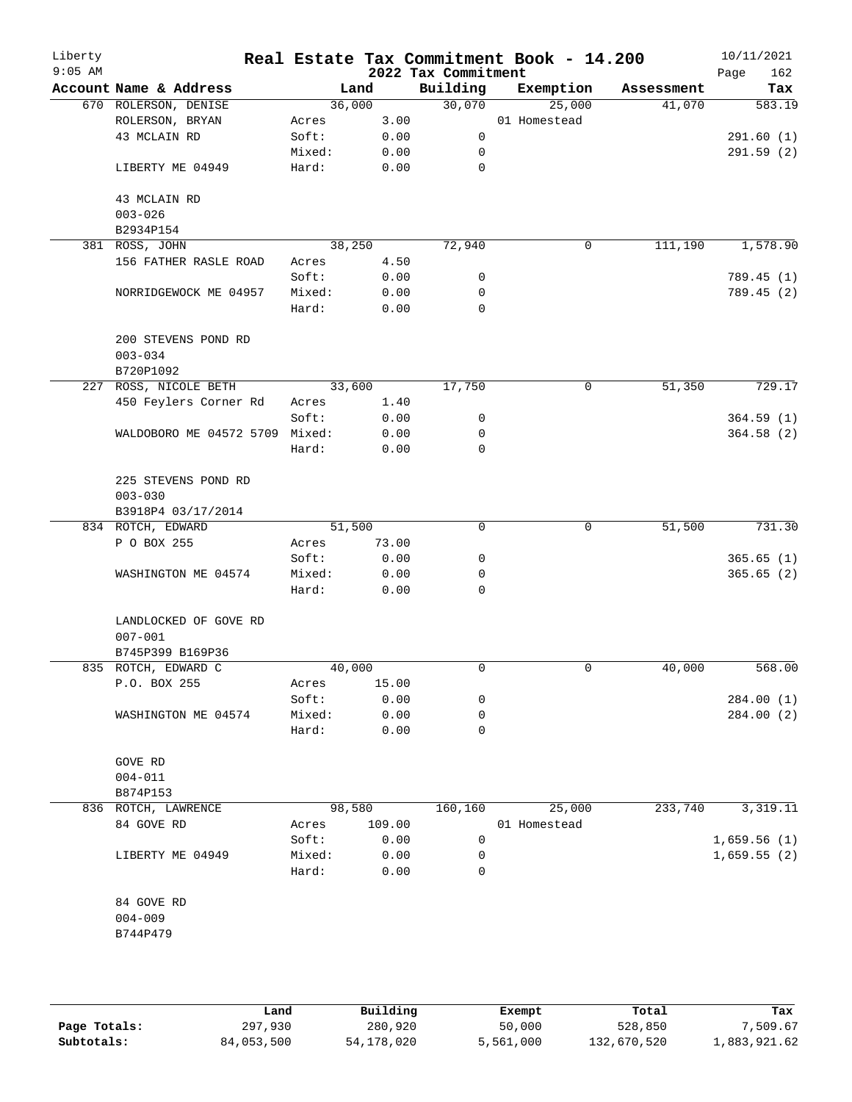| Liberty<br>$9:05$ AM |                                      |        |        | 2022 Tax Commitment | Real Estate Tax Commitment Book - 14.200 |            | 10/11/2021<br>Page<br>162 |
|----------------------|--------------------------------------|--------|--------|---------------------|------------------------------------------|------------|---------------------------|
|                      | Account Name & Address               | Land   |        | Building            | Exemption                                | Assessment | Tax                       |
|                      | 670 ROLERSON, DENISE                 | 36,000 |        | 30,070              | 25,000                                   | 41,070     | 583.19                    |
|                      | ROLERSON, BRYAN                      | Acres  | 3.00   |                     | 01 Homestead                             |            |                           |
|                      | 43 MCLAIN RD                         | Soft:  | 0.00   | 0                   |                                          |            | 291.60(1)                 |
|                      |                                      | Mixed: | 0.00   | 0                   |                                          |            | 291.59(2)                 |
|                      | LIBERTY ME 04949                     | Hard:  | 0.00   | $\mathbf 0$         |                                          |            |                           |
|                      | 43 MCLAIN RD                         |        |        |                     |                                          |            |                           |
|                      | $003 - 026$                          |        |        |                     |                                          |            |                           |
|                      | B2934P154                            |        |        |                     |                                          |            |                           |
|                      | 381 ROSS, JOHN                       | 38,250 |        | 72,940              | 0                                        | 111,190    | 1,578.90                  |
|                      | 156 FATHER RASLE ROAD                | Acres  | 4.50   |                     |                                          |            |                           |
|                      |                                      | Soft:  | 0.00   | 0                   |                                          |            | 789.45 (1)                |
|                      | NORRIDGEWOCK ME 04957                | Mixed: | 0.00   | 0                   |                                          |            | 789.45 (2)                |
|                      |                                      | Hard:  | 0.00   | $\mathbf 0$         |                                          |            |                           |
|                      | 200 STEVENS POND RD<br>$003 - 034$   |        |        |                     |                                          |            |                           |
|                      | B720P1092                            |        |        |                     |                                          |            |                           |
|                      | 227 ROSS, NICOLE BETH                | 33,600 |        | 17,750              | 0                                        | 51,350     | 729.17                    |
|                      | 450 Feylers Corner Rd                | Acres  | 1.40   |                     |                                          |            |                           |
|                      |                                      | Soft:  | 0.00   | 0                   |                                          |            | 364.59(1)                 |
|                      | WALDOBORO ME 04572 5709 Mixed:       |        | 0.00   | 0                   |                                          |            | 364.58(2)                 |
|                      |                                      | Hard:  | 0.00   | $\mathbf 0$         |                                          |            |                           |
|                      | 225 STEVENS POND RD                  |        |        |                     |                                          |            |                           |
|                      | $003 - 030$                          |        |        |                     |                                          |            |                           |
|                      | B3918P4 03/17/2014                   |        |        |                     |                                          |            |                           |
|                      | 834 ROTCH, EDWARD                    | 51,500 |        | 0                   | 0                                        | 51,500     | 731.30                    |
|                      | P O BOX 255                          | Acres  | 73.00  |                     |                                          |            |                           |
|                      |                                      | Soft:  | 0.00   | 0                   |                                          |            | 365.65(1)                 |
|                      | WASHINGTON ME 04574                  | Mixed: | 0.00   | 0                   |                                          |            | 365.65(2)                 |
|                      |                                      | Hard:  | 0.00   | $\mathbf 0$         |                                          |            |                           |
|                      | LANDLOCKED OF GOVE RD<br>$007 - 001$ |        |        |                     |                                          |            |                           |
|                      | B745P399 B169P36                     |        |        |                     |                                          |            |                           |
|                      | 835 ROTCH, EDWARD C                  | 40,000 |        | 0                   | 0                                        | 40,000     | 568.00                    |
|                      | P.O. BOX 255                         | Acres  | 15.00  |                     |                                          |            |                           |
|                      |                                      | Soft:  | 0.00   | 0                   |                                          |            | 284.00(1)                 |
|                      | WASHINGTON ME 04574                  | Mixed: | 0.00   | 0                   |                                          |            | 284.00 (2)                |
|                      |                                      | Hard:  | 0.00   | 0                   |                                          |            |                           |
|                      | GOVE RD                              |        |        |                     |                                          |            |                           |
|                      | $004 - 011$                          |        |        |                     |                                          |            |                           |
|                      | B874P153                             |        |        |                     |                                          |            |                           |
|                      | 836 ROTCH, LAWRENCE                  | 98,580 |        | 160,160             | 25,000                                   | 233,740    | 3,319.11                  |
|                      | 84 GOVE RD                           | Acres  | 109.00 |                     | 01 Homestead                             |            |                           |
|                      |                                      | Soft:  | 0.00   | 0                   |                                          |            | 1,659.56(1)               |
|                      | LIBERTY ME 04949                     | Mixed: | 0.00   | 0                   |                                          |            | 1,659.55(2)               |
|                      |                                      | Hard:  | 0.00   | 0                   |                                          |            |                           |
|                      | 84 GOVE RD                           |        |        |                     |                                          |            |                           |
|                      | $004 - 009$                          |        |        |                     |                                          |            |                           |
|                      | B744P479                             |        |        |                     |                                          |            |                           |
|                      |                                      |        |        |                     |                                          |            |                           |
|                      |                                      |        |        |                     |                                          |            |                           |
|                      |                                      |        |        |                     |                                          |            |                           |

|              | Land       | Building     | Exempt    | Total       | Tax          |  |
|--------------|------------|--------------|-----------|-------------|--------------|--|
| Page Totals: | 297,930    | 280,920      | 50,000    | 528,850     | 7,509.67     |  |
| Subtotals:   | 84,053,500 | 54, 178, 020 | 5,561,000 | 132,670,520 | 1,883,921.62 |  |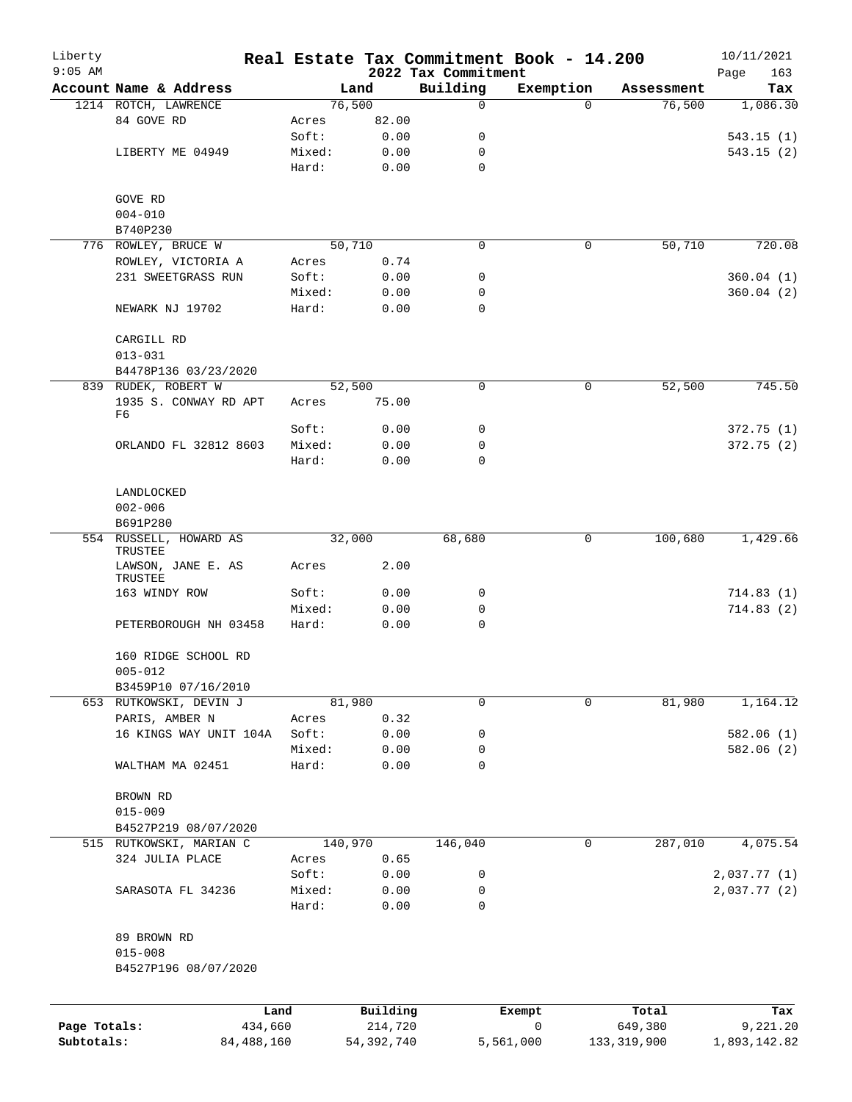| Liberty<br>$9:05$ AM |                                     |                 |              | 2022 Tax Commitment | Real Estate Tax Commitment Book - 14.200 |            | 10/11/2021<br>Page<br>163 |
|----------------------|-------------------------------------|-----------------|--------------|---------------------|------------------------------------------|------------|---------------------------|
|                      | Account Name & Address              |                 | Land         | Building            | Exemption                                | Assessment | Tax                       |
|                      | 1214 ROTCH, LAWRENCE                |                 | 76,500       | $\mathbf 0$         | $\Omega$                                 | 76,500     | 1,086.30                  |
|                      | 84 GOVE RD                          | Acres           | 82.00        |                     |                                          |            |                           |
|                      |                                     | Soft:           | 0.00         | 0                   |                                          |            | 543.15(1)                 |
|                      | LIBERTY ME 04949                    | Mixed:          | 0.00         | 0                   |                                          |            | 543.15(2)                 |
|                      |                                     | Hard:           | 0.00         | $\mathbf 0$         |                                          |            |                           |
|                      | GOVE RD                             |                 |              |                     |                                          |            |                           |
|                      | $004 - 010$                         |                 |              |                     |                                          |            |                           |
|                      | B740P230                            |                 |              |                     |                                          |            |                           |
|                      | 776 ROWLEY, BRUCE W                 |                 | 50,710       | $\mathbf 0$         | 0                                        | 50,710     | 720.08                    |
|                      | ROWLEY, VICTORIA A                  | Acres           | 0.74         |                     |                                          |            |                           |
|                      | 231 SWEETGRASS RUN                  | Soft:           | 0.00         | 0                   |                                          |            | 360.04(1)                 |
|                      |                                     | Mixed:          | 0.00         | 0                   |                                          |            | 360.04(2)                 |
|                      | NEWARK NJ 19702                     | Hard:           | 0.00         | $\mathbf 0$         |                                          |            |                           |
|                      | CARGILL RD<br>$013 - 031$           |                 |              |                     |                                          |            |                           |
|                      | B4478P136 03/23/2020                |                 |              |                     |                                          |            |                           |
|                      | 839 RUDEK, ROBERT W                 |                 | 52,500       | 0                   | 0                                        | 52,500     | 745.50                    |
|                      | 1935 S. CONWAY RD APT<br>F6         | Acres           | 75.00        |                     |                                          |            |                           |
|                      |                                     | Soft:           | 0.00         | 0                   |                                          |            | 372.75(1)                 |
|                      | ORLANDO FL 32812 8603               | Mixed:          | 0.00         | 0                   |                                          |            | 372.75(2)                 |
|                      |                                     | Hard:           | 0.00         | $\mathbf 0$         |                                          |            |                           |
|                      | LANDLOCKED<br>$002 - 006$           |                 |              |                     |                                          |            |                           |
|                      | B691P280                            |                 |              |                     |                                          |            |                           |
| 554                  | RUSSELL, HOWARD AS                  |                 | 32,000       | 68,680              | 0                                        | 100,680    | 1,429.66                  |
|                      | TRUSTEE<br>LAWSON, JANE E. AS       | Acres           | 2.00         |                     |                                          |            |                           |
|                      | TRUSTEE                             |                 |              |                     |                                          |            |                           |
|                      | 163 WINDY ROW                       | Soft:           | 0.00         | 0                   |                                          |            | 714.83(1)                 |
|                      |                                     | Mixed:          | 0.00         | 0                   |                                          |            | 714.83(2)                 |
|                      | PETERBOROUGH NH 03458               | Hard:           | 0.00         | $\mathbf 0$         |                                          |            |                           |
|                      | 160 RIDGE SCHOOL RD<br>$005 - 012$  |                 |              |                     |                                          |            |                           |
|                      | B3459P10 07/16/2010                 |                 |              |                     |                                          |            |                           |
|                      | 653 RUTKOWSKI, DEVIN J              |                 | 81,980       | 0                   | 0                                        | 81,980     | 1,164.12                  |
|                      | PARIS, AMBER N                      | Acres           | 0.32         |                     |                                          |            |                           |
|                      | 16 KINGS WAY UNIT 104A              | Soft:           | 0.00         | 0                   |                                          |            | 582.06(1)                 |
|                      |                                     | Mixed:          | 0.00         | 0                   |                                          |            | 582.06(2)                 |
|                      | WALTHAM MA 02451                    | Hard:           | 0.00         | $\mathbf 0$         |                                          |            |                           |
|                      | BROWN RD                            |                 |              |                     |                                          |            |                           |
|                      | $015 - 009$                         |                 |              |                     |                                          |            |                           |
|                      | B4527P219 08/07/2020                |                 |              |                     |                                          |            |                           |
|                      | 515 RUTKOWSKI, MARIAN C             |                 | 140,970      | 146,040             | 0                                        | 287,010    | 4,075.54                  |
|                      | 324 JULIA PLACE                     | Acres           | 0.65         |                     |                                          |            |                           |
|                      |                                     | Soft:           | 0.00         | 0                   |                                          |            | 2,037.77 (1)              |
|                      | SARASOTA FL 34236                   | Mixed:<br>Hard: | 0.00<br>0.00 | 0<br>$\mathbf 0$    |                                          |            | 2,037.77 (2)              |
|                      |                                     |                 |              |                     |                                          |            |                           |
|                      | 89 BROWN RD                         |                 |              |                     |                                          |            |                           |
|                      | $015 - 008$<br>B4527P196 08/07/2020 |                 |              |                     |                                          |            |                           |
|                      |                                     |                 |              |                     |                                          |            |                           |
|                      |                                     | Land            | Building     |                     | Exempt<br>0                              | Total      | Tax                       |
| Page Totals:         | 434,660                             |                 | 214,720      |                     |                                          | 649,380    | 9,221.20                  |

**Subtotals:** 84,488,160 54,392,740 5,561,000 133,319,900 1,893,142.82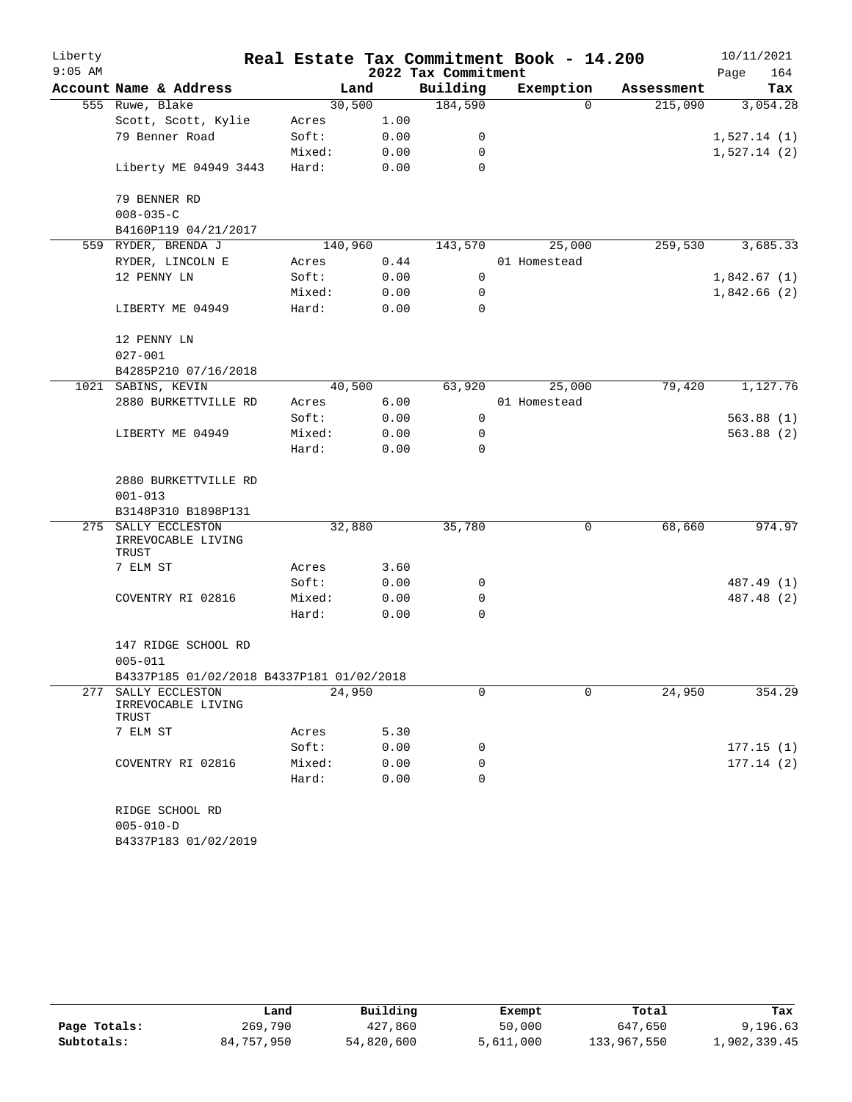| Liberty   |                                           |         |      |                     | Real Estate Tax Commitment Book - 14.200 |            | 10/11/2021  |
|-----------|-------------------------------------------|---------|------|---------------------|------------------------------------------|------------|-------------|
| $9:05$ AM |                                           |         |      | 2022 Tax Commitment |                                          |            | 164<br>Page |
|           | Account Name & Address                    |         | Land | Building            | Exemption                                | Assessment | Tax         |
|           | 555 Ruwe, Blake                           | 30,500  |      | 184,590             | $\Omega$                                 | 215,090    | 3,054.28    |
|           | Scott, Scott, Kylie                       | Acres   | 1.00 |                     |                                          |            |             |
|           | 79 Benner Road                            | Soft:   | 0.00 | 0                   |                                          |            | 1,527.14(1) |
|           |                                           | Mixed:  | 0.00 | 0                   |                                          |            | 1,527.14(2) |
|           | Liberty ME 04949 3443                     | Hard:   | 0.00 | 0                   |                                          |            |             |
|           | 79 BENNER RD                              |         |      |                     |                                          |            |             |
|           | $008 - 035 - C$                           |         |      |                     |                                          |            |             |
|           | B4160P119 04/21/2017                      |         |      |                     |                                          |            |             |
|           | 559 RYDER, BRENDA J                       | 140,960 |      | 143,570             | 25,000                                   | 259,530    | 3,685.33    |
|           | RYDER, LINCOLN E                          | Acres   | 0.44 |                     | 01 Homestead                             |            |             |
|           | 12 PENNY LN                               | Soft:   | 0.00 | $\mathbf 0$         |                                          |            | 1,842.67(1) |
|           |                                           | Mixed:  | 0.00 | 0                   |                                          |            | 1,842.66(2) |
|           | LIBERTY ME 04949                          | Hard:   | 0.00 | 0                   |                                          |            |             |
|           | 12 PENNY LN                               |         |      |                     |                                          |            |             |
|           | $027 - 001$                               |         |      |                     |                                          |            |             |
|           | B4285P210 07/16/2018                      |         |      |                     |                                          |            |             |
|           | 1021 SABINS, KEVIN                        | 40,500  |      | 63,920              | 25,000                                   | 79,420     | 1,127.76    |
|           | 2880 BURKETTVILLE RD                      | Acres   | 6.00 |                     | 01 Homestead                             |            |             |
|           |                                           | Soft:   | 0.00 | 0                   |                                          |            | 563.88(1)   |
|           | LIBERTY ME 04949                          | Mixed:  | 0.00 | 0                   |                                          |            | 563.88(2)   |
|           |                                           | Hard:   | 0.00 | 0                   |                                          |            |             |
|           | 2880 BURKETTVILLE RD                      |         |      |                     |                                          |            |             |
|           | $001 - 013$                               |         |      |                     |                                          |            |             |
|           | B3148P310 B1898P131                       |         |      |                     |                                          |            |             |
| 275       | SALLY ECCLESTON                           | 32,880  |      | 35,780              | 0                                        | 68,660     | 974.97      |
|           | IRREVOCABLE LIVING<br>TRUST               |         |      |                     |                                          |            |             |
|           | 7 ELM ST                                  | Acres   | 3.60 |                     |                                          |            |             |
|           |                                           | Soft:   | 0.00 | 0                   |                                          |            | 487.49 (1)  |
|           | COVENTRY RI 02816                         | Mixed:  | 0.00 | 0                   |                                          |            | 487.48 (2)  |
|           |                                           | Hard:   | 0.00 | $\mathbf 0$         |                                          |            |             |
|           | 147 RIDGE SCHOOL RD                       |         |      |                     |                                          |            |             |
|           | $005 - 011$                               |         |      |                     |                                          |            |             |
|           | B4337P185 01/02/2018 B4337P181 01/02/2018 |         |      |                     |                                          |            |             |
| 277       | SALLY ECCLESTON                           | 24,950  |      | 0                   | 0                                        | 24,950     | 354.29      |
|           | IRREVOCABLE LIVING<br>TRUST               |         |      |                     |                                          |            |             |
|           | 7 ELM ST                                  | Acres   | 5.30 |                     |                                          |            |             |
|           |                                           | Soft:   | 0.00 | 0                   |                                          |            | 177.15(1)   |
|           | COVENTRY RI 02816                         | Mixed:  | 0.00 | 0                   |                                          |            | 177.14(2)   |
|           |                                           | Hard:   | 0.00 | 0                   |                                          |            |             |
|           | RIDGE SCHOOL RD                           |         |      |                     |                                          |            |             |
|           | $005 - 010 - D$                           |         |      |                     |                                          |            |             |
|           | B4337P183 01/02/2019                      |         |      |                     |                                          |            |             |

|              | Land       | Building   | Exempt    | Total       | Tax          |
|--------------|------------|------------|-----------|-------------|--------------|
| Page Totals: | 269,790    | 427,860    | 50,000    | 647,650     | 9,196.63     |
| Subtotals:   | 84,757,950 | 54,820,600 | 5,611,000 | 133,967,550 | 1,902,339.45 |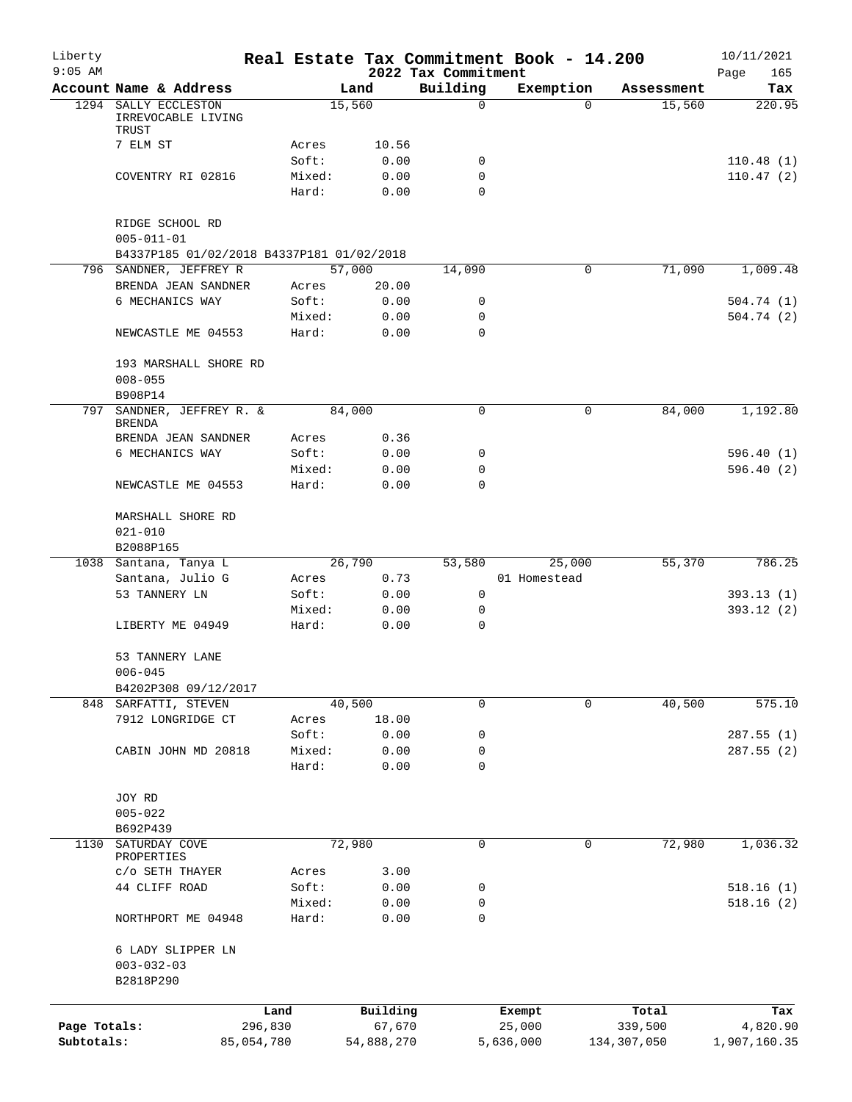| Liberty<br>$9:05$ AM |                                                                                  |                 |              | 2022 Tax Commitment        | Real Estate Tax Commitment Book - 14.200 |             | 10/11/2021<br>Page<br>165 |
|----------------------|----------------------------------------------------------------------------------|-----------------|--------------|----------------------------|------------------------------------------|-------------|---------------------------|
|                      | Account Name & Address                                                           |                 | Land         | Building                   | Exemption                                | Assessment  | Tax                       |
| 1294                 | SALLY ECCLESTON<br>IRREVOCABLE LIVING                                            |                 | 15,560       | 0                          | $\Omega$                                 | 15,560      | 220.95                    |
|                      | TRUST<br>7 ELM ST                                                                | Acres           | 10.56        |                            |                                          |             |                           |
|                      |                                                                                  | Soft:           | 0.00         | 0                          |                                          |             | 110.48(1)                 |
|                      | COVENTRY RI 02816                                                                | Mixed:          | 0.00         | 0                          |                                          |             | 110.47(2)                 |
|                      |                                                                                  | Hard:           | 0.00         | $\Omega$                   |                                          |             |                           |
|                      | RIDGE SCHOOL RD<br>$005 - 011 - 01$<br>B4337P185 01/02/2018 B4337P181 01/02/2018 |                 |              |                            |                                          |             |                           |
|                      | 796 SANDNER, JEFFREY R                                                           |                 | 57,000       | 14,090                     | 0                                        | 71,090      | 1,009.48                  |
|                      | BRENDA JEAN SANDNER                                                              | Acres           | 20.00        |                            |                                          |             |                           |
|                      | 6 MECHANICS WAY                                                                  | Soft:           | 0.00         | 0                          |                                          |             | 504.74(1)                 |
|                      |                                                                                  | Mixed:          | 0.00         | $\mathbf 0$                |                                          |             | 504.74(2)                 |
|                      | NEWCASTLE ME 04553                                                               | Hard:           | 0.00         | $\Omega$                   |                                          |             |                           |
|                      | 193 MARSHALL SHORE RD                                                            |                 |              |                            |                                          |             |                           |
|                      | $008 - 055$                                                                      |                 |              |                            |                                          |             |                           |
|                      | B908P14                                                                          |                 |              |                            |                                          |             |                           |
| 797                  | SANDNER, JEFFREY R. &<br><b>BRENDA</b>                                           |                 | 84,000       | 0                          | 0                                        | 84,000      | 1,192.80                  |
|                      | BRENDA JEAN SANDNER                                                              | Acres           | 0.36         |                            |                                          |             |                           |
|                      | 6 MECHANICS WAY                                                                  | Soft:           | 0.00         | 0                          |                                          |             | 596.40(1)                 |
|                      | NEWCASTLE ME 04553                                                               | Mixed:<br>Hard: | 0.00<br>0.00 | $\mathbf 0$<br>$\mathbf 0$ |                                          |             | 596.40(2)                 |
|                      |                                                                                  |                 |              |                            |                                          |             |                           |
|                      | MARSHALL SHORE RD                                                                |                 |              |                            |                                          |             |                           |
|                      | $021 - 010$                                                                      |                 |              |                            |                                          |             |                           |
|                      | B2088P165                                                                        |                 |              |                            |                                          |             |                           |
|                      | 1038 Santana, Tanya L                                                            |                 | 26,790       | 53,580                     | 25,000                                   | 55,370      | 786.25                    |
|                      | Santana, Julio G                                                                 | Acres           | 0.73         |                            | 01 Homestead                             |             |                           |
|                      | 53 TANNERY LN                                                                    | Soft:           | 0.00         | 0                          |                                          |             | 393.13(1)                 |
|                      |                                                                                  | Mixed:          | 0.00         | 0                          |                                          |             | 393.12 (2)                |
|                      | LIBERTY ME 04949                                                                 | Hard:           | 0.00         | 0                          |                                          |             |                           |
|                      | 53 TANNERY LANE<br>$006 - 045$                                                   |                 |              |                            |                                          |             |                           |
|                      | B4202P308 09/12/2017                                                             |                 |              |                            |                                          |             |                           |
|                      | 848 SARFATTI, STEVEN                                                             |                 | 40,500       | 0                          | $\Omega$                                 | 40,500      | 575.10                    |
|                      | 7912 LONGRIDGE CT                                                                | Acres           | 18.00        |                            |                                          |             |                           |
|                      |                                                                                  | Soft:           | 0.00         | 0                          |                                          |             | 287.55(1)                 |
|                      | CABIN JOHN MD 20818                                                              | Mixed:          | 0.00         | 0                          |                                          |             | 287.55 (2)                |
|                      |                                                                                  | Hard:           | 0.00         | 0                          |                                          |             |                           |
|                      | JOY RD                                                                           |                 |              |                            |                                          |             |                           |
|                      | $005 - 022$<br>B692P439                                                          |                 |              |                            |                                          |             |                           |
| 1130                 | SATURDAY COVE<br>PROPERTIES                                                      |                 | 72,980       | 0                          | 0                                        | 72,980      | 1,036.32                  |
|                      | C/O SETH THAYER                                                                  | Acres           | 3.00         |                            |                                          |             |                           |
|                      | 44 CLIFF ROAD                                                                    | Soft:           | 0.00         | 0                          |                                          |             | 518.16(1)                 |
|                      |                                                                                  | Mixed:          | 0.00         | 0                          |                                          |             | 518.16(2)                 |
|                      | NORTHPORT ME 04948                                                               | Hard:           | 0.00         | 0                          |                                          |             |                           |
|                      | 6 LADY SLIPPER LN<br>$003 - 032 - 03$<br>B2818P290                               |                 |              |                            |                                          |             |                           |
|                      |                                                                                  | Land            | Building     |                            | Exempt                                   | Total       | Tax                       |
| Page Totals:         |                                                                                  | 296,830         | 67,670       |                            | 25,000                                   | 339,500     | 4,820.90                  |
| Subtotals:           |                                                                                  | 85,054,780      | 54,888,270   |                            | 5,636,000                                | 134,307,050 | 1,907,160.35              |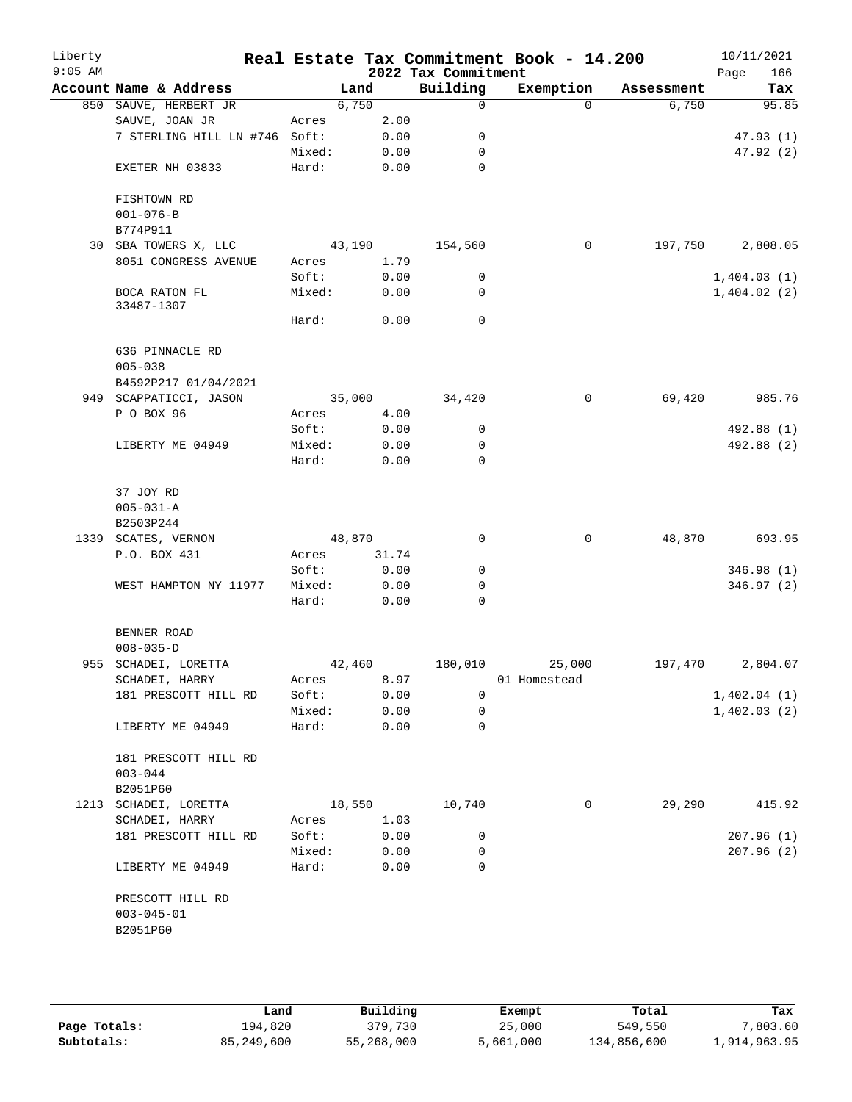| Liberty<br>$9:05$ AM |                                |        |        | 2022 Tax Commitment | Real Estate Tax Commitment Book - 14.200 |            | 10/11/2021<br>166<br>Page |
|----------------------|--------------------------------|--------|--------|---------------------|------------------------------------------|------------|---------------------------|
|                      | Account Name & Address         |        | Land   | Building            | Exemption                                | Assessment | Tax                       |
|                      | 850 SAUVE, HERBERT JR          |        | 6,750  | $\mathbf 0$         | $\Omega$                                 | 6,750      | 95.85                     |
|                      | SAUVE, JOAN JR                 | Acres  | 2.00   |                     |                                          |            |                           |
|                      | 7 STERLING HILL LN #746 Soft:  |        | 0.00   | 0                   |                                          |            | 47.93(1)                  |
|                      |                                | Mixed: | 0.00   | 0                   |                                          |            | 47.92(2)                  |
|                      | EXETER NH 03833                | Hard:  | 0.00   | 0                   |                                          |            |                           |
|                      |                                |        |        |                     |                                          |            |                           |
|                      | FISHTOWN RD                    |        |        |                     |                                          |            |                           |
|                      | $001 - 076 - B$                |        |        |                     |                                          |            |                           |
|                      | B774P911                       |        |        |                     |                                          |            |                           |
| 30                   | SBA TOWERS X, LLC              |        | 43,190 | 154,560             | 0                                        | 197,750    | 2,808.05                  |
|                      | 8051 CONGRESS AVENUE           | Acres  | 1.79   |                     |                                          |            |                           |
|                      |                                | Soft:  | 0.00   | 0                   |                                          |            | 1,404.03(1)               |
|                      | BOCA RATON FL<br>33487-1307    | Mixed: | 0.00   | 0                   |                                          |            | 1,404.02(2)               |
|                      |                                | Hard:  | 0.00   | $\mathbf 0$         |                                          |            |                           |
|                      |                                |        |        |                     |                                          |            |                           |
|                      | 636 PINNACLE RD                |        |        |                     |                                          |            |                           |
|                      | $005 - 038$                    |        |        |                     |                                          |            |                           |
|                      | B4592P217 01/04/2021           |        |        |                     |                                          |            |                           |
|                      | 949 SCAPPATICCI, JASON         |        | 35,000 | 34,420              | 0                                        | 69,420     | 985.76                    |
|                      | P O BOX 96                     | Acres  | 4.00   |                     |                                          |            |                           |
|                      |                                | Soft:  | 0.00   | 0                   |                                          |            | 492.88 (1)                |
|                      | LIBERTY ME 04949               | Mixed: | 0.00   | 0                   |                                          |            | 492.88 (2)                |
|                      |                                | Hard:  | 0.00   | 0                   |                                          |            |                           |
|                      | 37 JOY RD                      |        |        |                     |                                          |            |                           |
|                      | $005 - 031 - A$                |        |        |                     |                                          |            |                           |
|                      | B2503P244                      |        |        |                     |                                          |            |                           |
|                      | 1339 SCATES, VERNON            |        | 48,870 | $\mathbf 0$         | $\mathbf 0$                              | 48,870     | 693.95                    |
|                      | P.O. BOX 431                   | Acres  | 31.74  |                     |                                          |            |                           |
|                      |                                | Soft:  | 0.00   | 0                   |                                          |            | 346.98 (1)                |
|                      | WEST HAMPTON NY 11977          | Mixed: | 0.00   | 0                   |                                          |            | 346.97(2)                 |
|                      |                                | Hard:  | 0.00   | 0                   |                                          |            |                           |
|                      |                                |        |        |                     |                                          |            |                           |
|                      | BENNER ROAD<br>$008 - 035 - D$ |        |        |                     |                                          |            |                           |
|                      | 955 SCHADEI, LORETTA           |        | 42,460 | 180,010             | 25,000                                   | 197,470    | 2,804.07                  |
|                      | SCHADEI, HARRY                 | Acres  | 8.97   |                     | 01 Homestead                             |            |                           |
|                      | 181 PRESCOTT HILL RD           | Soft:  | 0.00   | 0                   |                                          |            | 1,402.04(1)               |
|                      |                                | Mixed: | 0.00   | 0                   |                                          |            | 1,402.03(2)               |
|                      | LIBERTY ME 04949               | Hard:  | 0.00   | $\mathbf 0$         |                                          |            |                           |
|                      |                                |        |        |                     |                                          |            |                           |
|                      | 181 PRESCOTT HILL RD           |        |        |                     |                                          |            |                           |
|                      | $003 - 044$                    |        |        |                     |                                          |            |                           |
|                      | B2051P60                       |        |        |                     |                                          |            |                           |
| 1213                 | SCHADEI, LORETTA               |        | 18,550 | 10,740              | 0                                        | 29,290     | 415.92                    |
|                      | SCHADEI, HARRY                 | Acres  | 1.03   |                     |                                          |            |                           |
|                      | 181 PRESCOTT HILL RD           | Soft:  | 0.00   | 0                   |                                          |            | 207.96(1)                 |
|                      |                                | Mixed: | 0.00   | 0                   |                                          |            | 207.96(2)                 |
|                      | LIBERTY ME 04949               | Hard:  | 0.00   | $\mathbf 0$         |                                          |            |                           |
|                      |                                |        |        |                     |                                          |            |                           |
|                      | PRESCOTT HILL RD               |        |        |                     |                                          |            |                           |
|                      | $003 - 045 - 01$               |        |        |                     |                                          |            |                           |
|                      | B2051P60                       |        |        |                     |                                          |            |                           |
|                      |                                |        |        |                     |                                          |            |                           |
|                      |                                |        |        |                     |                                          |            |                           |

|              | Land       | Building   | Exempt    | Total       | Tax          |
|--------------|------------|------------|-----------|-------------|--------------|
| Page Totals: | 194,820    | 379,730    | 25,000    | 549,550     | 7,803.60     |
| Subtotals:   | 85,249,600 | 55,268,000 | 5,661,000 | 134,856,600 | 1,914,963.95 |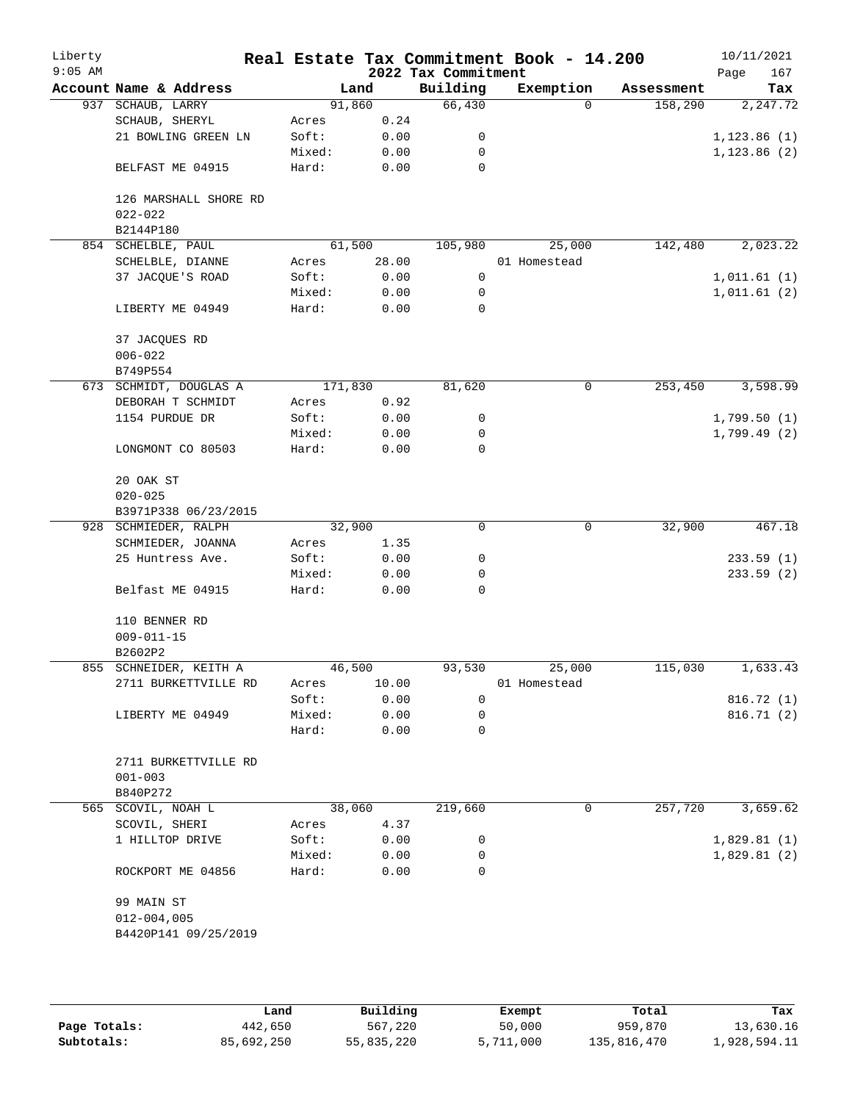| Liberty<br>$9:05$ AM |                        |         |        | Real Estate Tax Commitment Book - 14.200<br>2022 Tax Commitment |              |          |            | 10/11/2021<br>167<br>Page |
|----------------------|------------------------|---------|--------|-----------------------------------------------------------------|--------------|----------|------------|---------------------------|
|                      | Account Name & Address |         | Land   | Building                                                        | Exemption    |          | Assessment | Tax                       |
|                      | 937 SCHAUB, LARRY      |         | 91,860 | 66,430                                                          |              | $\Omega$ | 158,290    | 2,247.72                  |
|                      | SCHAUB, SHERYL         | Acres   | 0.24   |                                                                 |              |          |            |                           |
|                      | 21 BOWLING GREEN LN    | Soft:   | 0.00   | 0                                                               |              |          |            | 1, 123.86(1)              |
|                      |                        | Mixed:  | 0.00   | 0                                                               |              |          |            | 1, 123.86(2)              |
|                      |                        |         |        | 0                                                               |              |          |            |                           |
|                      | BELFAST ME 04915       | Hard:   | 0.00   |                                                                 |              |          |            |                           |
|                      | 126 MARSHALL SHORE RD  |         |        |                                                                 |              |          |            |                           |
|                      | $022 - 022$            |         |        |                                                                 |              |          |            |                           |
|                      | B2144P180              |         |        |                                                                 |              |          |            |                           |
|                      | 854 SCHELBLE, PAUL     |         | 61,500 | 105,980                                                         |              | 25,000   | 142,480    | 2,023.22                  |
|                      | SCHELBLE, DIANNE       | Acres   | 28.00  |                                                                 | 01 Homestead |          |            |                           |
|                      | 37 JACQUE'S ROAD       | Soft:   | 0.00   | 0                                                               |              |          |            | 1,011.61(1)               |
|                      |                        | Mixed:  | 0.00   | 0                                                               |              |          |            | 1,011.61(2)               |
|                      | LIBERTY ME 04949       | Hard:   | 0.00   | $\mathbf 0$                                                     |              |          |            |                           |
|                      |                        |         |        |                                                                 |              |          |            |                           |
|                      | 37 JACQUES RD          |         |        |                                                                 |              |          |            |                           |
|                      | $006 - 022$            |         |        |                                                                 |              |          |            |                           |
|                      | B749P554               |         |        |                                                                 |              |          |            |                           |
|                      | 673 SCHMIDT, DOUGLAS A | 171,830 |        | 81,620                                                          |              | 0        | 253,450    | 3,598.99                  |
|                      | DEBORAH T SCHMIDT      | Acres   | 0.92   |                                                                 |              |          |            |                           |
|                      | 1154 PURDUE DR         | Soft:   | 0.00   | 0                                                               |              |          |            | 1,799.50(1)               |
|                      |                        | Mixed:  | 0.00   | 0                                                               |              |          |            | 1,799.49 (2)              |
|                      | LONGMONT CO 80503      | Hard:   | 0.00   | 0                                                               |              |          |            |                           |
|                      |                        |         |        |                                                                 |              |          |            |                           |
|                      | 20 OAK ST              |         |        |                                                                 |              |          |            |                           |
|                      | $020 - 025$            |         |        |                                                                 |              |          |            |                           |
|                      | B3971P338 06/23/2015   |         |        |                                                                 |              |          |            |                           |
|                      | 928 SCHMIEDER, RALPH   |         | 32,900 | $\mathbf 0$                                                     |              | 0        | 32,900     | 467.18                    |
|                      | SCHMIEDER, JOANNA      | Acres   | 1.35   |                                                                 |              |          |            |                           |
|                      | 25 Huntress Ave.       | Soft:   | 0.00   | 0                                                               |              |          |            | 233.59(1)                 |
|                      |                        | Mixed:  | 0.00   | 0                                                               |              |          |            | 233.59(2)                 |
|                      | Belfast ME 04915       | Hard:   | 0.00   | 0                                                               |              |          |            |                           |
|                      |                        |         |        |                                                                 |              |          |            |                           |
|                      | 110 BENNER RD          |         |        |                                                                 |              |          |            |                           |
|                      | $009 - 011 - 15$       |         |        |                                                                 |              |          |            |                           |
|                      | B2602P2                |         |        |                                                                 |              |          |            |                           |
|                      | 855 SCHNEIDER, KEITH A |         | 46,500 | 93,530                                                          |              | 25,000   | 115,030    | 1,633.43                  |
|                      | 2711 BURKETTVILLE RD   | Acres   | 10.00  |                                                                 | 01 Homestead |          |            |                           |
|                      |                        | Soft:   | 0.00   | 0                                                               |              |          |            | 816.72(1)                 |
|                      | LIBERTY ME 04949       | Mixed:  | 0.00   | 0                                                               |              |          |            | 816.71(2)                 |
|                      |                        | Hard:   | 0.00   | 0                                                               |              |          |            |                           |
|                      | 2711 BURKETTVILLE RD   |         |        |                                                                 |              |          |            |                           |
|                      |                        |         |        |                                                                 |              |          |            |                           |
|                      | $001 - 003$            |         |        |                                                                 |              |          |            |                           |
|                      | B840P272               |         |        |                                                                 |              |          |            |                           |
|                      | 565 SCOVIL, NOAH L     |         | 38,060 | 219,660                                                         |              | 0        | 257,720    | 3,659.62                  |
|                      | SCOVIL, SHERI          | Acres   | 4.37   |                                                                 |              |          |            |                           |
|                      | 1 HILLTOP DRIVE        | Soft:   | 0.00   | 0                                                               |              |          |            | 1,829.81(1)               |
|                      |                        | Mixed:  | 0.00   | 0                                                               |              |          |            | 1,829.81(2)               |
|                      | ROCKPORT ME 04856      | Hard:   | 0.00   | $\Omega$                                                        |              |          |            |                           |
|                      | 99 MAIN ST             |         |        |                                                                 |              |          |            |                           |
|                      |                        |         |        |                                                                 |              |          |            |                           |
|                      | $012 - 004,005$        |         |        |                                                                 |              |          |            |                           |
|                      | B4420P141 09/25/2019   |         |        |                                                                 |              |          |            |                           |
|                      |                        |         |        |                                                                 |              |          |            |                           |
|                      |                        |         |        |                                                                 |              |          |            |                           |
|                      |                        |         |        |                                                                 |              |          |            |                           |

|              | Land       | Building   | Exempt    | Total       | Tax          |
|--------------|------------|------------|-----------|-------------|--------------|
| Page Totals: | 442,650    | 567,220    | 50,000    | 959,870     | 13,630.16    |
| Subtotals:   | 85,692,250 | 55,835,220 | 5,711,000 | 135,816,470 | 1,928,594.11 |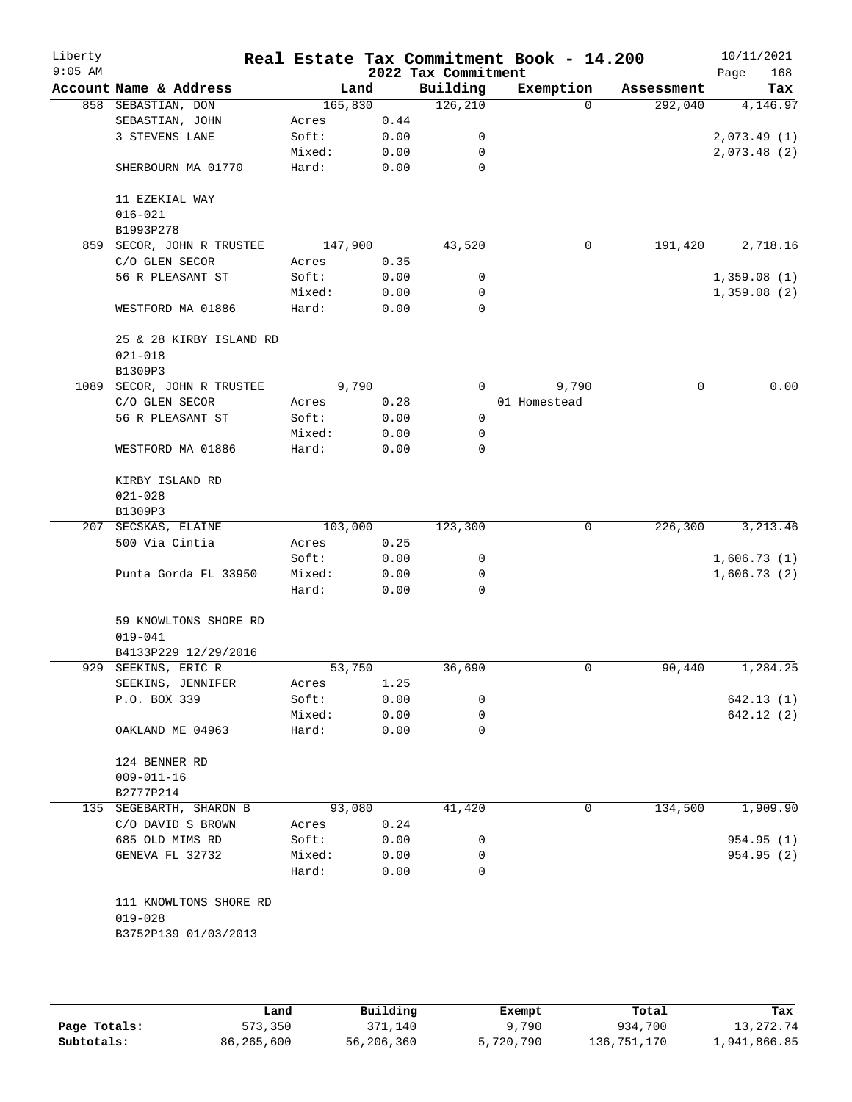| Account Name & Address<br>858 SEBASTIAN, DON<br>SEBASTIAN, JOHN<br>3 STEVENS LANE<br>SHERBOURN MA 01770<br>11 EZEKIAL WAY<br>$016 - 021$<br>B1993P278<br>SECOR, JOHN R TRUSTEE<br>C/O GLEN SECOR<br>56 R PLEASANT ST<br>WESTFORD MA 01886<br>25 & 28 KIRBY ISLAND RD<br>$021 - 018$<br>B1309P3 | 165,830<br>Acres<br>Soft:<br>Mixed:<br>Hard:<br>147,900<br>Acres<br>Soft:<br>Mixed:<br>Hard:                                                                 | Land<br>0.44<br>0.00<br>0.00<br>0.00<br>0.35<br>0.00<br>0.00 | 2022 Tax Commitment<br>Building<br>126, 210<br>0<br>0<br>0<br>43,520 | Exemption<br>$\Omega$<br>0 | Assessment<br>292,040<br>191,420 | 168<br>Page<br>Tax                      |
|------------------------------------------------------------------------------------------------------------------------------------------------------------------------------------------------------------------------------------------------------------------------------------------------|--------------------------------------------------------------------------------------------------------------------------------------------------------------|--------------------------------------------------------------|----------------------------------------------------------------------|----------------------------|----------------------------------|-----------------------------------------|
|                                                                                                                                                                                                                                                                                                |                                                                                                                                                              |                                                              |                                                                      |                            |                                  | 4,146.97<br>2,073.49 (1)<br>2,073.48(2) |
|                                                                                                                                                                                                                                                                                                |                                                                                                                                                              |                                                              |                                                                      |                            |                                  |                                         |
|                                                                                                                                                                                                                                                                                                |                                                                                                                                                              |                                                              |                                                                      |                            |                                  |                                         |
|                                                                                                                                                                                                                                                                                                |                                                                                                                                                              |                                                              |                                                                      |                            |                                  |                                         |
|                                                                                                                                                                                                                                                                                                |                                                                                                                                                              |                                                              |                                                                      |                            |                                  |                                         |
|                                                                                                                                                                                                                                                                                                |                                                                                                                                                              |                                                              |                                                                      |                            |                                  |                                         |
|                                                                                                                                                                                                                                                                                                |                                                                                                                                                              |                                                              |                                                                      |                            |                                  |                                         |
|                                                                                                                                                                                                                                                                                                |                                                                                                                                                              |                                                              |                                                                      |                            |                                  |                                         |
|                                                                                                                                                                                                                                                                                                |                                                                                                                                                              |                                                              |                                                                      |                            |                                  | 2,718.16                                |
|                                                                                                                                                                                                                                                                                                |                                                                                                                                                              |                                                              |                                                                      |                            |                                  |                                         |
|                                                                                                                                                                                                                                                                                                |                                                                                                                                                              |                                                              |                                                                      |                            |                                  | 1,359.08(1)                             |
|                                                                                                                                                                                                                                                                                                |                                                                                                                                                              |                                                              | 0<br>0                                                               |                            |                                  | 1,359.08(2)                             |
|                                                                                                                                                                                                                                                                                                |                                                                                                                                                              | 0.00                                                         | 0                                                                    |                            |                                  |                                         |
|                                                                                                                                                                                                                                                                                                |                                                                                                                                                              |                                                              |                                                                      |                            |                                  |                                         |
|                                                                                                                                                                                                                                                                                                |                                                                                                                                                              |                                                              |                                                                      |                            |                                  |                                         |
| 1089 SECOR, JOHN R TRUSTEE                                                                                                                                                                                                                                                                     |                                                                                                                                                              | 9,790                                                        | 0                                                                    | 9,790                      | 0                                | 0.00                                    |
| C/O GLEN SECOR                                                                                                                                                                                                                                                                                 | Acres                                                                                                                                                        | 0.28                                                         |                                                                      | 01 Homestead               |                                  |                                         |
| 56 R PLEASANT ST                                                                                                                                                                                                                                                                               | Soft:                                                                                                                                                        | 0.00                                                         | 0                                                                    |                            |                                  |                                         |
|                                                                                                                                                                                                                                                                                                | Mixed:                                                                                                                                                       | 0.00                                                         | 0                                                                    |                            |                                  |                                         |
| WESTFORD MA 01886                                                                                                                                                                                                                                                                              | Hard:                                                                                                                                                        | 0.00                                                         | 0                                                                    |                            |                                  |                                         |
| KIRBY ISLAND RD<br>$021 - 028$                                                                                                                                                                                                                                                                 |                                                                                                                                                              |                                                              |                                                                      |                            |                                  |                                         |
| B1309P3                                                                                                                                                                                                                                                                                        |                                                                                                                                                              |                                                              |                                                                      |                            |                                  |                                         |
| 207 SECSKAS, ELAINE                                                                                                                                                                                                                                                                            | 103,000                                                                                                                                                      |                                                              | 123,300                                                              | 0                          | 226,300                          | 3, 213.46                               |
| 500 Via Cintia                                                                                                                                                                                                                                                                                 | Acres                                                                                                                                                        | 0.25                                                         |                                                                      |                            |                                  |                                         |
|                                                                                                                                                                                                                                                                                                | Soft:                                                                                                                                                        | 0.00                                                         | 0                                                                    |                            |                                  | 1,606.73(1)                             |
| Punta Gorda FL 33950                                                                                                                                                                                                                                                                           | Mixed:                                                                                                                                                       | 0.00                                                         | 0                                                                    |                            |                                  | 1,606.73(2)                             |
|                                                                                                                                                                                                                                                                                                | Hard:                                                                                                                                                        | 0.00                                                         | $\Omega$                                                             |                            |                                  |                                         |
| 59 KNOWLTONS SHORE RD<br>$019 - 041$                                                                                                                                                                                                                                                           |                                                                                                                                                              |                                                              |                                                                      |                            |                                  |                                         |
| B4133P229 12/29/2016                                                                                                                                                                                                                                                                           |                                                                                                                                                              |                                                              |                                                                      |                            |                                  |                                         |
| SEEKINS, ERIC R                                                                                                                                                                                                                                                                                |                                                                                                                                                              |                                                              | 36,690                                                               | 0                          | 90,440                           | 1,284.25                                |
| SEEKINS, JENNIFER                                                                                                                                                                                                                                                                              | Acres                                                                                                                                                        | 1.25                                                         |                                                                      |                            |                                  |                                         |
| P.O. BOX 339                                                                                                                                                                                                                                                                                   | Soft:                                                                                                                                                        | 0.00                                                         | 0                                                                    |                            |                                  | 642.13 (1)                              |
|                                                                                                                                                                                                                                                                                                | Mixed:                                                                                                                                                       | 0.00                                                         | 0                                                                    |                            |                                  | 642.12 (2)                              |
| OAKLAND ME 04963                                                                                                                                                                                                                                                                               | Hard:                                                                                                                                                        | 0.00                                                         | 0                                                                    |                            |                                  |                                         |
| 124 BENNER RD                                                                                                                                                                                                                                                                                  |                                                                                                                                                              |                                                              |                                                                      |                            |                                  |                                         |
|                                                                                                                                                                                                                                                                                                |                                                                                                                                                              |                                                              |                                                                      |                            |                                  |                                         |
|                                                                                                                                                                                                                                                                                                |                                                                                                                                                              |                                                              |                                                                      |                            |                                  | 1,909.90                                |
|                                                                                                                                                                                                                                                                                                |                                                                                                                                                              |                                                              |                                                                      |                            |                                  |                                         |
|                                                                                                                                                                                                                                                                                                |                                                                                                                                                              |                                                              |                                                                      |                            |                                  | 954.95 (1)                              |
|                                                                                                                                                                                                                                                                                                |                                                                                                                                                              |                                                              |                                                                      |                            |                                  | 954.95 (2)                              |
|                                                                                                                                                                                                                                                                                                | Hard:                                                                                                                                                        | 0.00                                                         | $\Omega$                                                             |                            |                                  |                                         |
|                                                                                                                                                                                                                                                                                                |                                                                                                                                                              |                                                              |                                                                      |                            |                                  |                                         |
|                                                                                                                                                                                                                                                                                                | $009 - 011 - 16$<br>B2777P214<br>135 SEGEBARTH, SHARON B<br>C/O DAVID S BROWN<br>685 OLD MIMS RD<br>GENEVA FL 32732<br>111 KNOWLTONS SHORE RD<br>$019 - 028$ | Acres<br>Soft:<br>Mixed:<br>B3752P139 01/03/2013             | 53,750<br>93,080<br>0.24<br>0.00<br>0.00                             | 41,420<br>0<br>0           | 0                                | 134,500                                 |

|              | Land       | Building   | Exempt    | Total       | Tax          |
|--------------|------------|------------|-----------|-------------|--------------|
| Page Totals: | 573,350    | 371,140    | 9,790     | 934,700     | 13, 272. 74  |
| Subtotals:   | 86,265,600 | 56,206,360 | 5,720,790 | 136,751,170 | 1,941,866.85 |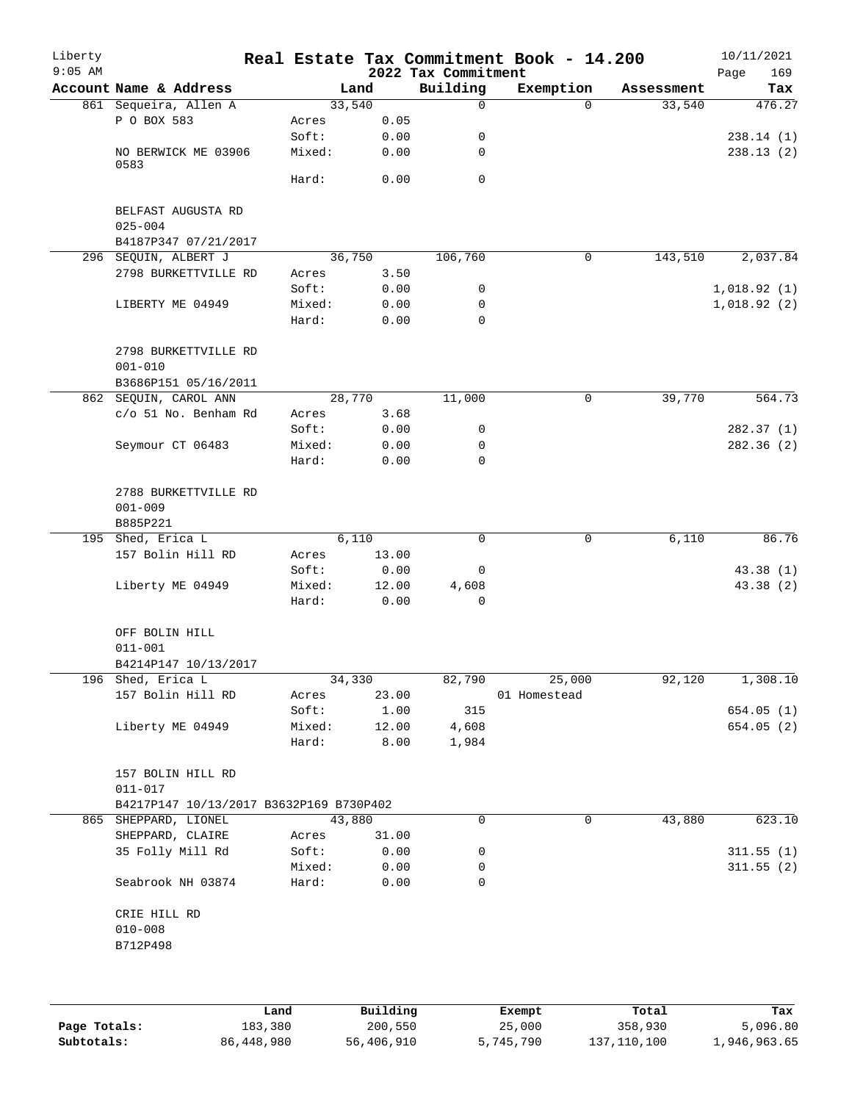| Liberty<br>$9:05$ AM |                                                 |                 |               | 2022 Tax Commitment | Real Estate Tax Commitment Book - 14.200 |            | 10/11/2021<br>169<br>Page |
|----------------------|-------------------------------------------------|-----------------|---------------|---------------------|------------------------------------------|------------|---------------------------|
|                      | Account Name & Address                          |                 | Land          | Building            | Exemption                                | Assessment | Tax                       |
|                      | 861 Sequeira, Allen A                           |                 | 33,540        | 0                   | $\Omega$                                 | 33,540     | 476.27                    |
|                      | P O BOX 583                                     | Acres           | 0.05          |                     |                                          |            |                           |
|                      |                                                 | Soft:           | 0.00          | 0                   |                                          |            | 238.14(1)                 |
|                      | NO BERWICK ME 03906                             | Mixed:          | 0.00          | 0                   |                                          |            | 238.13(2)                 |
|                      | 0583                                            |                 |               |                     |                                          |            |                           |
|                      |                                                 | Hard:           | 0.00          | 0                   |                                          |            |                           |
|                      | BELFAST AUGUSTA RD<br>$025 - 004$               |                 |               |                     |                                          |            |                           |
|                      | B4187P347 07/21/2017                            |                 |               |                     |                                          |            |                           |
|                      | 296 SEQUIN, ALBERT J                            |                 | 36,750        | 106,760             | 0                                        | 143,510    | 2,037.84                  |
|                      | 2798 BURKETTVILLE RD                            | Acres           | 3.50          |                     |                                          |            |                           |
|                      |                                                 | Soft:           | 0.00          | 0                   |                                          |            | 1,018.92(1)               |
|                      | LIBERTY ME 04949                                | Mixed:          | 0.00          | 0                   |                                          |            | 1,018.92(2)               |
|                      |                                                 | Hard:           | 0.00          | 0                   |                                          |            |                           |
|                      | 2798 BURKETTVILLE RD<br>$001 - 010$             |                 |               |                     |                                          |            |                           |
|                      | B3686P151 05/16/2011                            |                 |               |                     |                                          |            |                           |
|                      | 862 SEQUIN, CAROL ANN                           |                 | 28,770        | 11,000              | 0                                        | 39,770     | 564.73                    |
|                      | c/o 51 No. Benham Rd                            | Acres           | 3.68          |                     |                                          |            |                           |
|                      |                                                 | Soft:           | 0.00          | 0                   |                                          |            | 282.37(1)                 |
|                      | Seymour CT 06483                                | Mixed:          | 0.00          | 0                   |                                          |            | 282.36 (2)                |
|                      |                                                 | Hard:           | 0.00          | $\Omega$            |                                          |            |                           |
|                      | 2788 BURKETTVILLE RD<br>$001 - 009$<br>B885P221 |                 |               |                     |                                          |            |                           |
|                      | 195 Shed, Erica L                               |                 | 6,110         | $\mathbf 0$         | $\mathbf 0$                              | 6,110      | 86.76                     |
|                      | 157 Bolin Hill RD                               | Acres           | 13.00         |                     |                                          |            |                           |
|                      |                                                 |                 |               |                     |                                          |            |                           |
|                      |                                                 | Soft:           | 0.00          | 0                   |                                          |            | 43.38 (1)                 |
|                      | Liberty ME 04949                                | Mixed:<br>Hard: | 12.00<br>0.00 | 4,608<br>0          |                                          |            | 43.38 (2)                 |
|                      | OFF BOLIN HILL<br>$011 - 001$                   |                 |               |                     |                                          |            |                           |
|                      | B4214P147 10/13/2017                            |                 |               |                     |                                          |            |                           |
|                      | 196 Shed, Erica L                               |                 | 34,330        | 82,790              | 25,000                                   | 92,120     | 1,308.10                  |
|                      | 157 Bolin Hill RD                               | Acres           | 23.00         |                     | 01 Homestead                             |            |                           |
|                      |                                                 | Soft:           | 1.00          | 315                 |                                          |            | 654.05(1)                 |
|                      | Liberty ME 04949                                | Mixed:          | 12.00         | 4,608               |                                          |            | 654.05(2)                 |
|                      |                                                 | Hard:           | 8.00          | 1,984               |                                          |            |                           |
|                      | 157 BOLIN HILL RD<br>$011 - 017$                |                 |               |                     |                                          |            |                           |
|                      | B4217P147 10/13/2017 B3632P169 B730P402         |                 |               |                     |                                          |            |                           |
|                      | 865 SHEPPARD, LIONEL                            |                 | 43,880        | 0                   | 0                                        | 43,880     | 623.10                    |
|                      | SHEPPARD, CLAIRE                                | Acres           | 31.00         |                     |                                          |            |                           |
|                      | 35 Folly Mill Rd                                | Soft:           | 0.00          | 0                   |                                          |            | 311.55(1)                 |
|                      |                                                 | Mixed:          | 0.00          | 0                   |                                          |            | 311.55(2)                 |
|                      | Seabrook NH 03874                               | Hard:           | 0.00          | 0                   |                                          |            |                           |
|                      | CRIE HILL RD                                    |                 |               |                     |                                          |            |                           |
|                      | $010 - 008$                                     |                 |               |                     |                                          |            |                           |
|                      |                                                 |                 |               |                     |                                          |            |                           |
|                      | B712P498                                        |                 |               |                     |                                          |            |                           |
|                      |                                                 |                 |               |                     |                                          |            |                           |
|                      |                                                 |                 |               |                     |                                          |            |                           |
|                      |                                                 |                 |               |                     |                                          |            |                           |

|              | Land         | Building   | Exempt    | Total       | Tax          |
|--------------|--------------|------------|-----------|-------------|--------------|
| Page Totals: | 183,380      | 200,550    | 25,000    | 358,930     | 5,096.80     |
| Subtotals:   | 86, 448, 980 | 56,406,910 | 5,745,790 | 137,110,100 | 1,946,963.65 |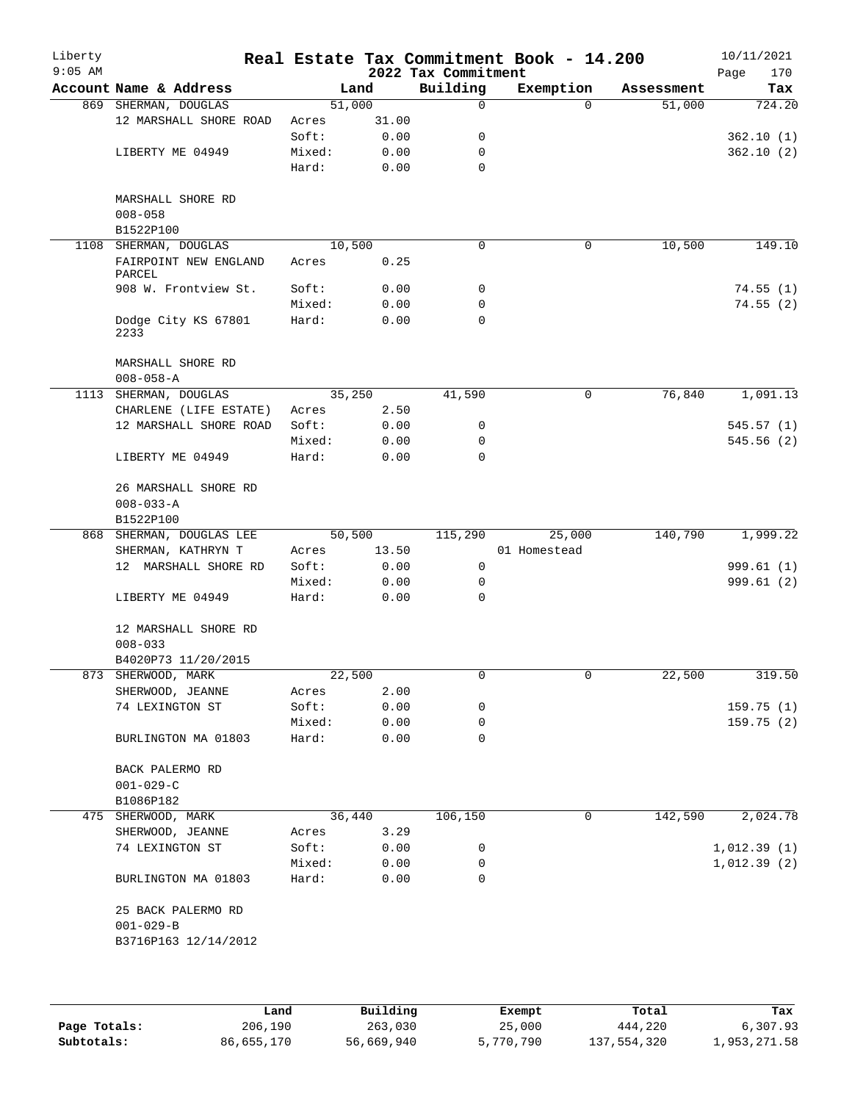| $9:05$ AM |                                       |                 |              | 2022 Tax Commitment | Real Estate Tax Commitment Book - 14.200 |            | 10/11/2021<br>Page<br>170 |
|-----------|---------------------------------------|-----------------|--------------|---------------------|------------------------------------------|------------|---------------------------|
|           | Account Name & Address                |                 | Land         | Building            | Exemption                                | Assessment | Tax                       |
|           | 869 SHERMAN, DOUGLAS                  | 51,000          |              | 0                   | $\Omega$                                 | 51,000     | 724.20                    |
|           | 12 MARSHALL SHORE ROAD                | Acres           | 31.00        |                     |                                          |            |                           |
|           |                                       | Soft:           | 0.00         | 0                   |                                          |            | 362.10(1)                 |
|           | LIBERTY ME 04949                      | Mixed:          | 0.00         | 0                   |                                          |            | 362.10(2)                 |
|           |                                       | Hard:           | 0.00         | $\mathbf 0$         |                                          |            |                           |
|           | MARSHALL SHORE RD<br>$008 - 058$      |                 |              |                     |                                          |            |                           |
|           | B1522P100                             |                 |              |                     |                                          |            |                           |
| 1108      | SHERMAN, DOUGLAS                      | 10,500          |              | 0                   | 0                                        | 10,500     | 149.10                    |
|           | FAIRPOINT NEW ENGLAND<br>PARCEL       | Acres           | 0.25         |                     |                                          |            |                           |
|           | 908 W. Frontview St.                  | Soft:           | 0.00         | 0                   |                                          |            | 74.55(1)                  |
|           |                                       | Mixed:          | 0.00         | 0                   |                                          |            | 74.55(2)                  |
|           | Dodge City KS 67801<br>2233           | Hard:           | 0.00         | 0                   |                                          |            |                           |
|           | MARSHALL SHORE RD                     |                 |              |                     |                                          |            |                           |
|           | $008 - 058 - A$                       |                 |              |                     |                                          |            |                           |
|           | 1113 SHERMAN, DOUGLAS                 | 35,250          |              | 41,590              | 0                                        | 76,840     | 1,091.13                  |
|           | CHARLENE (LIFE ESTATE)                | Acres           | 2.50         |                     |                                          |            |                           |
|           | 12 MARSHALL SHORE ROAD                | Soft:           | 0.00         | 0                   |                                          |            | 545.57(1)                 |
|           | LIBERTY ME 04949                      | Mixed:<br>Hard: | 0.00<br>0.00 | $\mathbf 0$<br>0    |                                          |            | 545.56(2)                 |
|           | 26 MARSHALL SHORE RD                  |                 |              |                     |                                          |            |                           |
|           | $008 - 033 - A$                       |                 |              |                     |                                          |            |                           |
|           | B1522P100                             |                 |              |                     |                                          |            |                           |
|           | 868 SHERMAN, DOUGLAS LEE              | 50,500          |              | 115,290             | 25,000                                   | 140,790    | 1,999.22                  |
|           | SHERMAN, KATHRYN T                    | Acres           | 13.50        |                     | 01 Homestead                             |            |                           |
|           | 12 MARSHALL SHORE RD                  | Soft:           | 0.00         | 0                   |                                          |            | 999.61(1)                 |
|           |                                       | Mixed:          | 0.00         | 0                   |                                          |            | 999.61 (2)                |
|           | LIBERTY ME 04949                      | Hard:           | 0.00         | $\Omega$            |                                          |            |                           |
|           | 12 MARSHALL SHORE RD<br>$008 - 033$   |                 |              |                     |                                          |            |                           |
|           | B4020P73 11/20/2015                   |                 |              |                     |                                          |            |                           |
|           | 873 SHERWOOD, MARK                    | 22,500          |              | 0                   |                                          | 22,500     | 319.50                    |
|           | SHERWOOD, JEANNE                      | Acres           | 2.00         |                     |                                          |            |                           |
|           | 74 LEXINGTON ST                       | Soft:           | 0.00         | 0                   |                                          |            | 159.75(1)                 |
|           |                                       | Mixed:          | 0.00         | 0                   |                                          |            | 159.75(2)                 |
|           | BURLINGTON MA 01803                   | Hard:           | 0.00         | $\Omega$            |                                          |            |                           |
|           | BACK PALERMO RD                       |                 |              |                     |                                          |            |                           |
|           | $001 - 029 - C$                       |                 |              |                     |                                          |            |                           |
|           | B1086P182                             |                 |              |                     |                                          |            |                           |
|           | 475 SHERWOOD, MARK                    |                 | 36,440       | 106,150             | 0                                        | 142,590    | 2,024.78                  |
|           | SHERWOOD, JEANNE                      | Acres           | 3.29         |                     |                                          |            |                           |
|           | 74 LEXINGTON ST                       | Soft:           | 0.00         | 0                   |                                          |            | 1,012.39(1)               |
|           |                                       | Mixed:          | 0.00         | 0                   |                                          |            | 1,012.39(2)               |
|           | BURLINGTON MA 01803                   | Hard:           | 0.00         | 0                   |                                          |            |                           |
|           | 25 BACK PALERMO RD<br>$001 - 029 - B$ |                 |              |                     |                                          |            |                           |
|           | B3716P163 12/14/2012                  |                 |              |                     |                                          |            |                           |
|           |                                       |                 |              |                     |                                          |            |                           |

|              | Land       | Building   | Exempt    | Total       | Tax          |
|--------------|------------|------------|-----------|-------------|--------------|
| Page Totals: | 206,190    | 263,030    | 25,000    | 444,220     | 6,307.93     |
| Subtotals:   | 86,655,170 | 56,669,940 | 5,770,790 | 137,554,320 | 1,953,271.58 |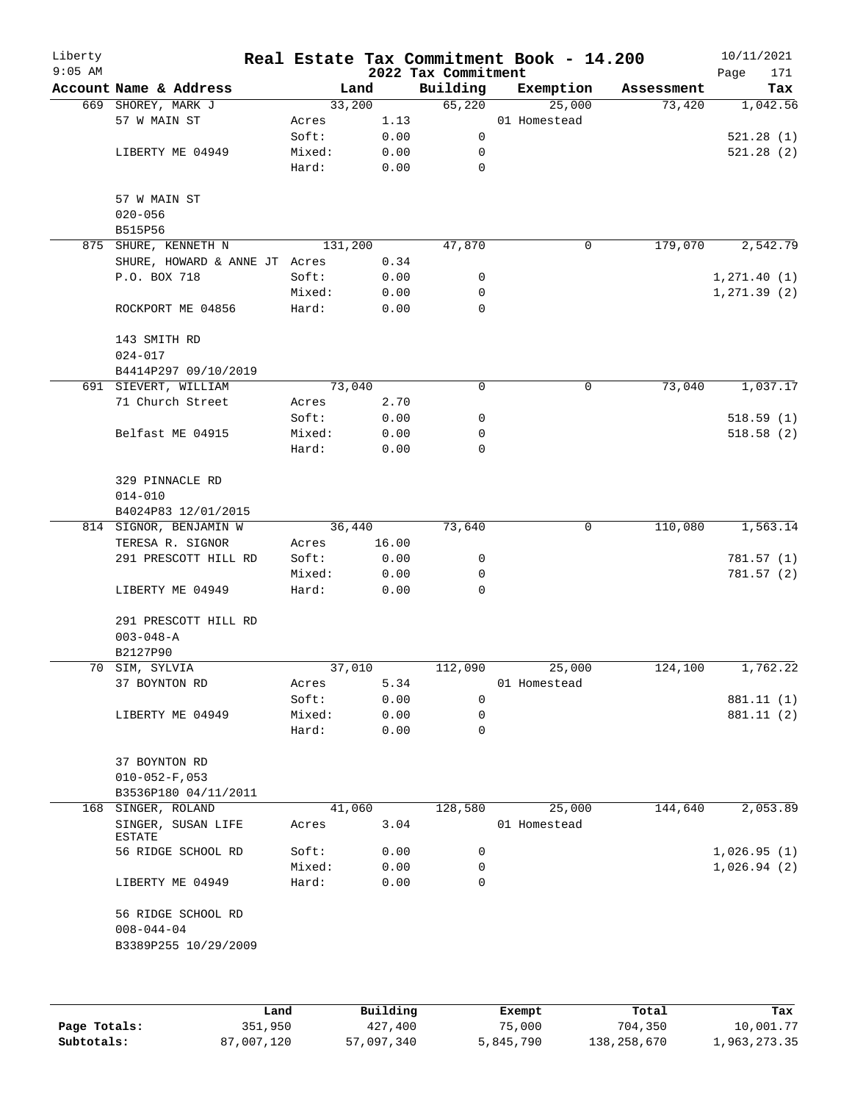| Liberty<br>$9:05$ AM |                                            |                 |       | 2022 Tax Commitment | Real Estate Tax Commitment Book - 14.200 |            | 10/11/2021<br>Page<br>171 |
|----------------------|--------------------------------------------|-----------------|-------|---------------------|------------------------------------------|------------|---------------------------|
|                      | Account Name & Address                     | Land            |       | Building            | Exemption                                | Assessment | Tax                       |
|                      | 669 SHOREY, MARK J                         | 33,200          |       | 65,220              | 25,000                                   | 73,420     | 1,042.56                  |
|                      | 57 W MAIN ST                               | Acres           | 1.13  |                     | 01 Homestead                             |            |                           |
|                      |                                            | Soft:           | 0.00  | 0                   |                                          |            | 521.28(1)                 |
|                      | LIBERTY ME 04949                           | Mixed:          | 0.00  | 0                   |                                          |            | 521.28(2)                 |
|                      |                                            | Hard:           | 0.00  | 0                   |                                          |            |                           |
|                      | 57 W MAIN ST                               |                 |       |                     |                                          |            |                           |
|                      | $020 - 056$                                |                 |       |                     |                                          |            |                           |
|                      | B515P56                                    |                 |       |                     |                                          |            |                           |
|                      | 875 SHURE, KENNETH N                       | 131,200         |       | 47,870              | 0                                        | 179,070    | 2,542.79                  |
|                      | SHURE, HOWARD & ANNE JT Acres              |                 | 0.34  |                     |                                          |            |                           |
|                      | P.O. BOX 718                               | Soft:           | 0.00  | 0                   |                                          |            | 1, 271.40(1)              |
|                      |                                            | Mixed:          | 0.00  | 0                   |                                          |            | 1, 271.39(2)              |
|                      | ROCKPORT ME 04856                          | Hard:           | 0.00  | 0                   |                                          |            |                           |
|                      | 143 SMITH RD                               |                 |       |                     |                                          |            |                           |
|                      | $024 - 017$                                |                 |       |                     |                                          |            |                           |
|                      | B4414P297 09/10/2019                       |                 |       |                     |                                          |            |                           |
|                      | 691 SIEVERT, WILLIAM                       | 73,040          |       | 0                   | $\mathsf{O}$                             | 73,040     | 1,037.17                  |
|                      | 71 Church Street                           | Acres           | 2.70  |                     |                                          |            |                           |
|                      |                                            | Soft:           | 0.00  | 0                   |                                          |            | 518.59(1)                 |
|                      | Belfast ME 04915                           | Mixed:          | 0.00  | 0                   |                                          |            | 518.58(2)                 |
|                      |                                            | Hard:           | 0.00  | 0                   |                                          |            |                           |
|                      | 329 PINNACLE RD                            |                 |       |                     |                                          |            |                           |
|                      | $014 - 010$                                |                 |       |                     |                                          |            |                           |
|                      | B4024P83 12/01/2015                        |                 |       |                     |                                          |            |                           |
|                      | 814 SIGNOR, BENJAMIN W<br>TERESA R. SIGNOR | 36,440<br>Acres | 16.00 | 73,640              | 0                                        | 110,080    | 1,563.14                  |
|                      | 291 PRESCOTT HILL RD                       | Soft:           | 0.00  | 0                   |                                          |            | 781.57 (1)                |
|                      |                                            | Mixed:          | 0.00  | 0                   |                                          |            | 781.57(2)                 |
|                      | LIBERTY ME 04949                           | Hard:           | 0.00  | 0                   |                                          |            |                           |
|                      | 291 PRESCOTT HILL RD<br>$003 - 048 - A$    |                 |       |                     |                                          |            |                           |
|                      | B2127P90                                   |                 |       |                     |                                          |            |                           |
|                      | 70 SIM, SYLVIA                             | 37,010          |       | 112,090             | 25,000                                   | 124,100    | 1,762.22                  |
|                      | 37 BOYNTON RD                              | Acres           | 5.34  |                     | 01 Homestead                             |            |                           |
|                      |                                            | Soft:           | 0.00  | 0                   |                                          |            | 881.11 (1)                |
|                      | LIBERTY ME 04949                           | Mixed:          | 0.00  | 0                   |                                          |            | 881.11 (2)                |
|                      |                                            | Hard:           | 0.00  | 0                   |                                          |            |                           |
|                      | 37 BOYNTON RD                              |                 |       |                     |                                          |            |                           |
|                      | $010 - 052 - F$ , 053                      |                 |       |                     |                                          |            |                           |
|                      | B3536P180 04/11/2011                       |                 |       |                     |                                          |            |                           |
| 168                  | SINGER, ROLAND                             | 41,060          |       | 128,580             | 25,000                                   | 144,640    | 2,053.89                  |
|                      | SINGER, SUSAN LIFE<br>ESTATE               | Acres           | 3.04  |                     | 01 Homestead                             |            |                           |
|                      | 56 RIDGE SCHOOL RD                         | Soft:           | 0.00  | 0                   |                                          |            | 1,026.95(1)               |
|                      |                                            | Mixed:          | 0.00  | 0                   |                                          |            | 1,026.94(2)               |
|                      | LIBERTY ME 04949                           | Hard:           | 0.00  | 0                   |                                          |            |                           |
|                      | 56 RIDGE SCHOOL RD                         |                 |       |                     |                                          |            |                           |
|                      | $008 - 044 - 04$                           |                 |       |                     |                                          |            |                           |
|                      | B3389P255 10/29/2009                       |                 |       |                     |                                          |            |                           |
|                      |                                            |                 |       |                     |                                          |            |                           |
|                      |                                            |                 |       |                     |                                          |            |                           |

|              | Land       | Building   | Exempt    | Total       | Tax          |
|--------------|------------|------------|-----------|-------------|--------------|
| Page Totals: | 351,950    | 427,400    | 75,000    | 704,350     | 10,001.77    |
| Subtotals:   | 87,007,120 | 57,097,340 | 5,845,790 | 138,258,670 | 1,963,273.35 |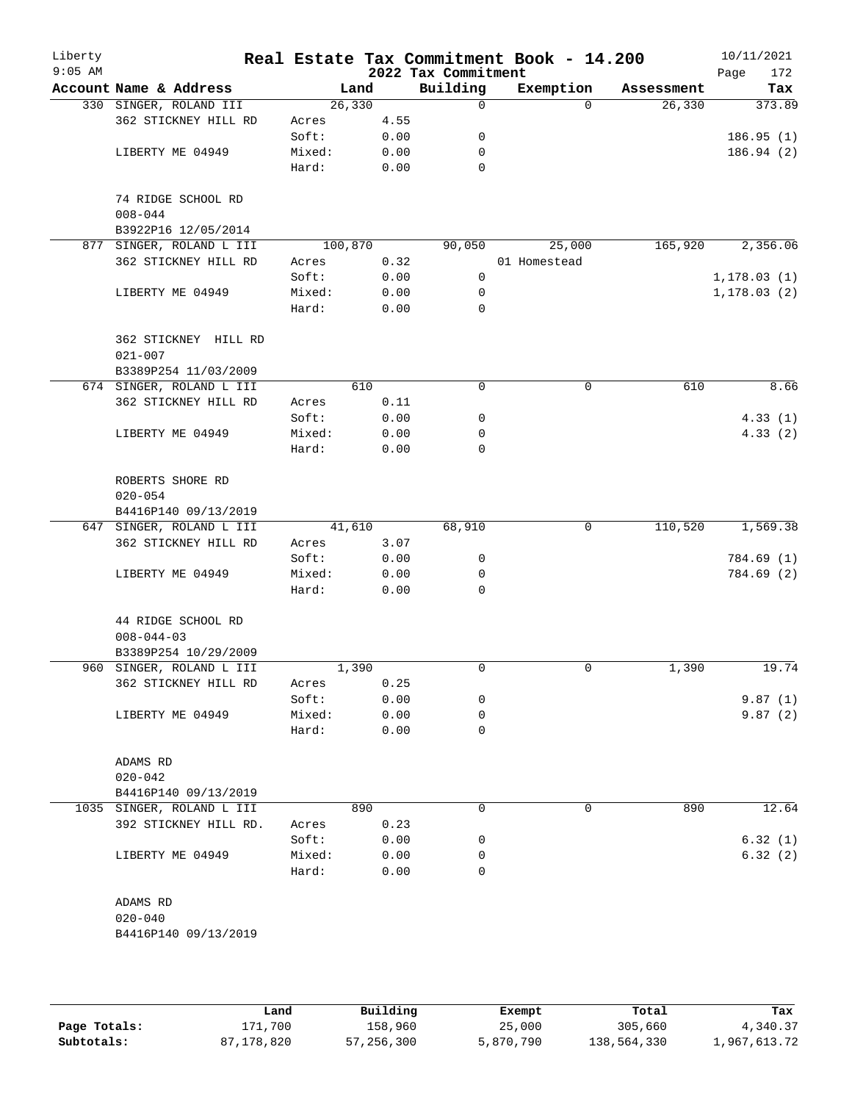| Liberty<br>$9:05$ AM |                                     |        |         | 2022 Tax Commitment | Real Estate Tax Commitment Book - 14.200 |            | 10/11/2021<br>Page<br>172 |
|----------------------|-------------------------------------|--------|---------|---------------------|------------------------------------------|------------|---------------------------|
|                      | Account Name & Address              |        | Land    | Building            | Exemption                                | Assessment | Tax                       |
|                      | 330 SINGER, ROLAND III              |        | 26, 330 | 0                   | $\Omega$                                 | 26,330     | 373.89                    |
|                      | 362 STICKNEY HILL RD                | Acres  | 4.55    |                     |                                          |            |                           |
|                      |                                     | Soft:  | 0.00    | 0                   |                                          |            | 186.95(1)                 |
|                      | LIBERTY ME 04949                    | Mixed: | 0.00    | 0                   |                                          |            | 186.94(2)                 |
|                      |                                     | Hard:  | 0.00    | $\mathbf 0$         |                                          |            |                           |
|                      | 74 RIDGE SCHOOL RD                  |        |         |                     |                                          |            |                           |
|                      | $008 - 044$                         |        |         |                     |                                          |            |                           |
|                      | B3922P16 12/05/2014                 |        |         |                     |                                          |            |                           |
|                      | 877 SINGER, ROLAND L III            |        | 100,870 | 90,050              | 25,000                                   | 165,920    | 2,356.06                  |
|                      | 362 STICKNEY HILL RD                | Acres  | 0.32    |                     | 01 Homestead                             |            |                           |
|                      |                                     | Soft:  | 0.00    | 0                   |                                          |            | 1, 178.03(1)              |
|                      | LIBERTY ME 04949                    | Mixed: | 0.00    | 0                   |                                          |            | 1, 178.03(2)              |
|                      |                                     | Hard:  | 0.00    | $\mathbf 0$         |                                          |            |                           |
|                      | 362 STICKNEY HILL RD<br>$021 - 007$ |        |         |                     |                                          |            |                           |
|                      | B3389P254 11/03/2009                |        |         |                     |                                          |            |                           |
|                      | 674 SINGER, ROLAND L III            |        | 610     | $\mathbf 0$         | 0                                        | 610        | 8.66                      |
|                      | 362 STICKNEY HILL RD                | Acres  | 0.11    |                     |                                          |            |                           |
|                      |                                     | Soft:  | 0.00    | 0                   |                                          |            | 4.33(1)                   |
|                      | LIBERTY ME 04949                    | Mixed: | 0.00    | 0                   |                                          |            | 4.33(2)                   |
|                      |                                     | Hard:  | 0.00    | 0                   |                                          |            |                           |
|                      | ROBERTS SHORE RD<br>$020 - 054$     |        |         |                     |                                          |            |                           |
|                      | B4416P140 09/13/2019                |        |         |                     |                                          |            |                           |
|                      | 647 SINGER, ROLAND L III            |        | 41,610  | 68,910              | 0                                        | 110,520    | 1,569.38                  |
|                      | 362 STICKNEY HILL RD                | Acres  | 3.07    |                     |                                          |            |                           |
|                      |                                     | Soft:  | 0.00    | 0                   |                                          |            | 784.69 (1)                |
|                      | LIBERTY ME 04949                    | Mixed: | 0.00    | $\mathbf 0$         |                                          |            | 784.69 (2)                |
|                      |                                     | Hard:  | 0.00    | 0                   |                                          |            |                           |
|                      | 44 RIDGE SCHOOL RD                  |        |         |                     |                                          |            |                           |
|                      | $008 - 044 - 03$                    |        |         |                     |                                          |            |                           |
|                      | B3389P254 10/29/2009                |        |         |                     |                                          |            |                           |
|                      | 960 SINGER, ROLAND L III            |        | 1,390   | 0                   | 0                                        | 1,390      | 19.74                     |
|                      | 362 STICKNEY HILL RD                | Acres  | 0.25    |                     |                                          |            |                           |
|                      |                                     | Soft:  | 0.00    | 0                   |                                          |            | 9.87(1)                   |
|                      | LIBERTY ME 04949                    | Mixed: | 0.00    | 0                   |                                          |            | 9.87(2)                   |
|                      |                                     | Hard:  | 0.00    | 0                   |                                          |            |                           |
|                      | ADAMS RD                            |        |         |                     |                                          |            |                           |
|                      | $020 - 042$                         |        |         |                     |                                          |            |                           |
|                      | B4416P140 09/13/2019                |        |         |                     |                                          |            |                           |
|                      | 1035 SINGER, ROLAND L III           |        | 890     | 0                   | 0                                        | 890        | 12.64                     |
|                      | 392 STICKNEY HILL RD.               | Acres  | 0.23    |                     |                                          |            |                           |
|                      |                                     | Soft:  | 0.00    | 0                   |                                          |            | 6.32(1)                   |
|                      | LIBERTY ME 04949                    | Mixed: | 0.00    | 0                   |                                          |            | 6.32(2)                   |
|                      |                                     | Hard:  | 0.00    | 0                   |                                          |            |                           |
|                      | ADAMS RD                            |        |         |                     |                                          |            |                           |
|                      | $020 - 040$                         |        |         |                     |                                          |            |                           |
|                      | B4416P140 09/13/2019                |        |         |                     |                                          |            |                           |
|                      |                                     |        |         |                     |                                          |            |                           |

|              | Land       | Building   | Exempt    | Total       | Tax          |
|--------------|------------|------------|-----------|-------------|--------------|
| Page Totals: | 171,700    | 158,960    | 25,000    | 305,660     | 4,340.37     |
| Subtotals:   | 87,178,820 | 57,256,300 | 5,870,790 | 138,564,330 | 1,967,613.72 |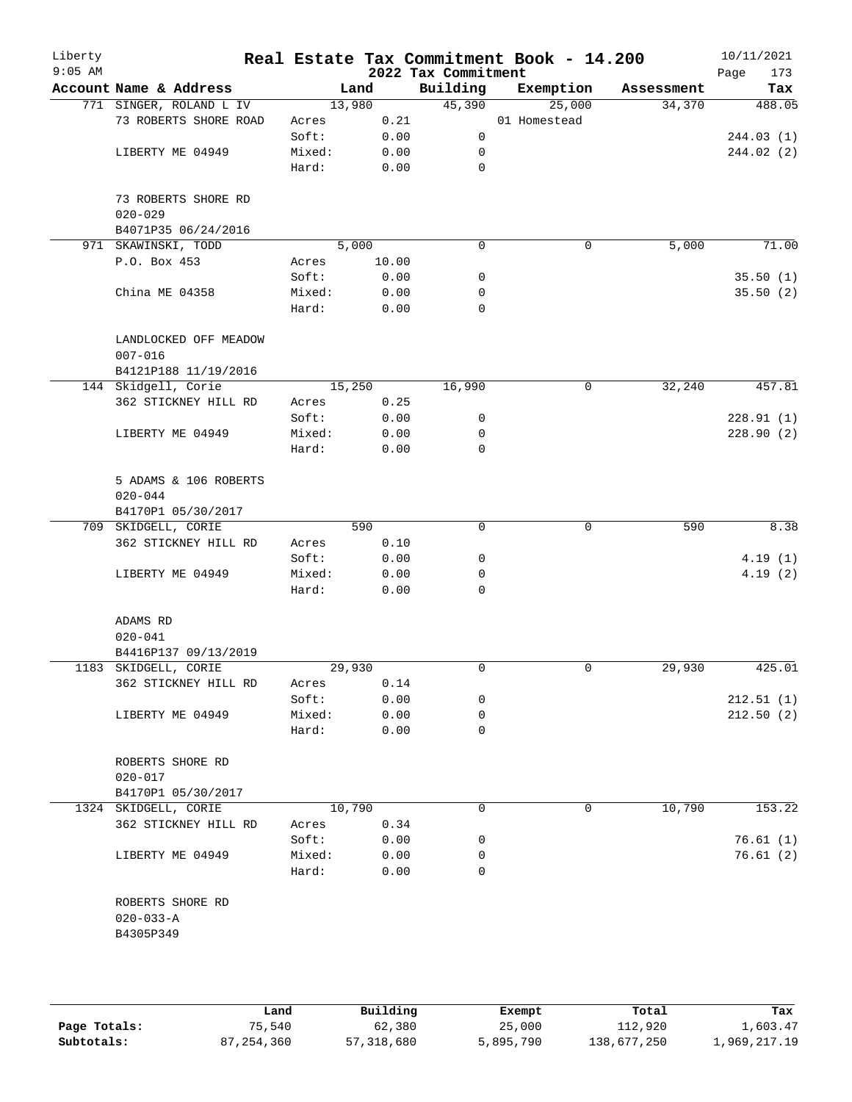| Liberty<br>$9:05$ AM |                                      |        |        | 2022 Tax Commitment | Real Estate Tax Commitment Book - 14.200 |            | 10/11/2021<br>Page<br>173 |
|----------------------|--------------------------------------|--------|--------|---------------------|------------------------------------------|------------|---------------------------|
|                      | Account Name & Address               |        | Land   | Building            | Exemption                                | Assessment | Tax                       |
|                      | 771 SINGER, ROLAND L IV              |        | 13,980 | 45,390              | 25,000                                   | 34,370     | 488.05                    |
|                      | 73 ROBERTS SHORE ROAD                | Acres  | 0.21   |                     | 01 Homestead                             |            |                           |
|                      |                                      | Soft:  | 0.00   | 0                   |                                          |            | 244.03(1)                 |
|                      | LIBERTY ME 04949                     | Mixed: | 0.00   | 0                   |                                          |            | 244.02 (2)                |
|                      |                                      | Hard:  | 0.00   | $\mathbf 0$         |                                          |            |                           |
|                      | 73 ROBERTS SHORE RD<br>$020 - 029$   |        |        |                     |                                          |            |                           |
|                      | B4071P35 06/24/2016                  |        |        |                     |                                          |            |                           |
|                      | 971 SKAWINSKI, TODD                  |        | 5,000  | $\mathbf 0$         | 0                                        | 5,000      | 71.00                     |
|                      | P.O. Box 453                         | Acres  | 10.00  |                     |                                          |            |                           |
|                      |                                      | Soft:  | 0.00   | 0                   |                                          |            | 35.50(1)                  |
|                      | China ME 04358                       | Mixed: | 0.00   | 0                   |                                          |            | 35.50(2)                  |
|                      |                                      | Hard:  | 0.00   | 0                   |                                          |            |                           |
|                      | LANDLOCKED OFF MEADOW<br>$007 - 016$ |        |        |                     |                                          |            |                           |
|                      | B4121P188 11/19/2016                 |        |        |                     |                                          |            |                           |
|                      | 144 Skidgell, Corie                  |        | 15,250 | 16,990              | 0                                        | 32,240     | 457.81                    |
|                      | 362 STICKNEY HILL RD                 | Acres  | 0.25   |                     |                                          |            |                           |
|                      |                                      | Soft:  | 0.00   | 0                   |                                          |            | 228.91(1)                 |
|                      | LIBERTY ME 04949                     | Mixed: | 0.00   | 0                   |                                          |            | 228.90(2)                 |
|                      |                                      | Hard:  | 0.00   | 0                   |                                          |            |                           |
|                      | 5 ADAMS & 106 ROBERTS<br>$020 - 044$ |        |        |                     |                                          |            |                           |
|                      | B4170P1 05/30/2017                   |        |        |                     |                                          |            |                           |
|                      | 709 SKIDGELL, CORIE                  |        | 590    | $\mathbf 0$         | 0                                        | 590        | 8.38                      |
|                      | 362 STICKNEY HILL RD                 | Acres  | 0.10   |                     |                                          |            |                           |
|                      |                                      | Soft:  | 0.00   | 0                   |                                          |            | 4.19(1)                   |
|                      | LIBERTY ME 04949                     | Mixed: | 0.00   | 0                   |                                          |            | 4.19(2)                   |
|                      |                                      | Hard:  | 0.00   | 0                   |                                          |            |                           |
|                      | ADAMS RD                             |        |        |                     |                                          |            |                           |
|                      | $020 - 041$                          |        |        |                     |                                          |            |                           |
|                      | B4416P137 09/13/2019                 |        |        |                     |                                          |            |                           |
|                      | 1183 SKIDGELL, CORIE                 |        | 29,930 | 0                   | 0                                        | 29,930     | 425.01                    |
|                      | 362 STICKNEY HILL RD                 | Acres  | 0.14   |                     |                                          |            |                           |
|                      |                                      | Soft:  | 0.00   | 0                   |                                          |            | 212.51(1)                 |
|                      | LIBERTY ME 04949                     | Mixed: | 0.00   | 0                   |                                          |            | 212.50(2)                 |
|                      |                                      | Hard:  | 0.00   | 0                   |                                          |            |                           |
|                      | ROBERTS SHORE RD<br>$020 - 017$      |        |        |                     |                                          |            |                           |
|                      | B4170P1 05/30/2017                   |        |        |                     |                                          |            |                           |
|                      | 1324 SKIDGELL, CORIE                 |        | 10,790 | 0                   | 0                                        | 10,790     | 153.22                    |
|                      | 362 STICKNEY HILL RD                 | Acres  | 0.34   |                     |                                          |            |                           |
|                      |                                      | Soft:  | 0.00   | 0                   |                                          |            | 76.61(1)                  |
|                      | LIBERTY ME 04949                     | Mixed: | 0.00   | 0                   |                                          |            | 76.61(2)                  |
|                      |                                      | Hard:  | 0.00   | $\Omega$            |                                          |            |                           |
|                      | ROBERTS SHORE RD<br>$020 - 033 - A$  |        |        |                     |                                          |            |                           |
|                      | B4305P349                            |        |        |                     |                                          |            |                           |

|              | Land         | Building   | Exempt    | Total       | Tax          |
|--------------|--------------|------------|-----------|-------------|--------------|
| Page Totals: | 75,540       | 62,380     | 25,000    | 112,920     | 1,603.47     |
| Subtotals:   | 87, 254, 360 | 57,318,680 | 5,895,790 | 138,677,250 | 1,969,217.19 |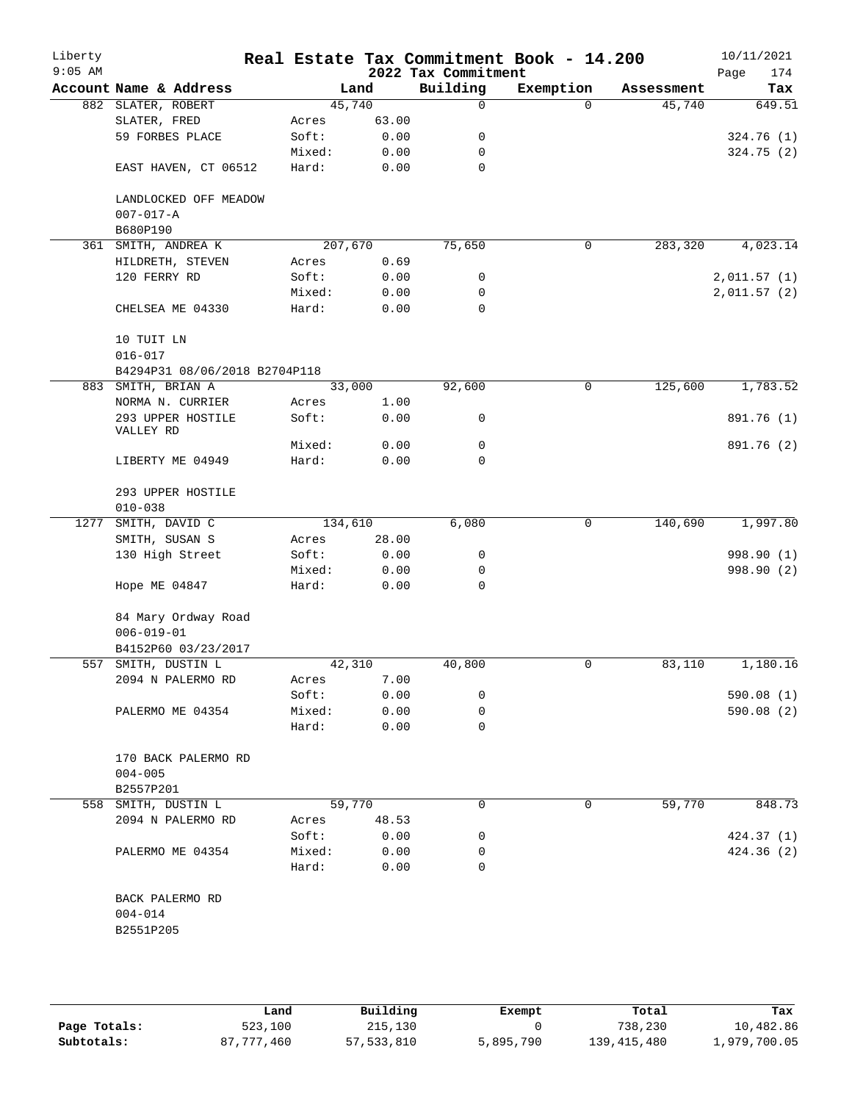| Liberty<br>$9:05$ AM |                                |        |         | 2022 Tax Commitment | Real Estate Tax Commitment Book - 14.200 |            | 10/11/2021<br>Page<br>174 |
|----------------------|--------------------------------|--------|---------|---------------------|------------------------------------------|------------|---------------------------|
|                      | Account Name & Address         |        | Land    | Building            | Exemption                                | Assessment | Tax                       |
|                      | 882 SLATER, ROBERT             |        | 45,740  | 0                   | $\Omega$                                 | 45,740     | 649.51                    |
|                      | SLATER, FRED                   | Acres  | 63.00   |                     |                                          |            |                           |
|                      | 59 FORBES PLACE                | Soft:  | 0.00    | 0                   |                                          |            | 324.76(1)                 |
|                      |                                | Mixed: | 0.00    | 0                   |                                          |            | 324.75(2)                 |
|                      | EAST HAVEN, CT 06512           | Hard:  | 0.00    | 0                   |                                          |            |                           |
|                      | LANDLOCKED OFF MEADOW          |        |         |                     |                                          |            |                           |
|                      | $007 - 017 - A$                |        |         |                     |                                          |            |                           |
|                      | B680P190                       |        |         |                     |                                          |            |                           |
|                      | 361 SMITH, ANDREA K            |        | 207,670 | 75,650              | 0                                        | 283,320    | 4,023.14                  |
|                      | HILDRETH, STEVEN               | Acres  | 0.69    |                     |                                          |            |                           |
|                      | 120 FERRY RD                   | Soft:  | 0.00    | 0                   |                                          |            | 2,011.57(1)               |
|                      |                                | Mixed: | 0.00    | 0                   |                                          |            | 2,011.57(2)               |
|                      | CHELSEA ME 04330               | Hard:  | 0.00    | $\mathbf 0$         |                                          |            |                           |
|                      | 10 TUIT LN                     |        |         |                     |                                          |            |                           |
|                      | $016 - 017$                    |        |         |                     |                                          |            |                           |
|                      | B4294P31 08/06/2018 B2704P118  |        |         |                     |                                          |            |                           |
|                      | 883 SMITH, BRIAN A             |        | 33,000  | 92,600              | 0                                        | 125,600    | 1,783.52                  |
|                      | NORMA N. CURRIER               | Acres  | 1.00    |                     |                                          |            |                           |
|                      | 293 UPPER HOSTILE<br>VALLEY RD | Soft:  | 0.00    | 0                   |                                          |            | 891.76 (1)                |
|                      |                                | Mixed: | 0.00    | 0                   |                                          |            | 891.76 (2)                |
|                      | LIBERTY ME 04949               | Hard:  | 0.00    | 0                   |                                          |            |                           |
|                      | 293 UPPER HOSTILE              |        |         |                     |                                          |            |                           |
|                      | $010 - 038$                    |        |         |                     |                                          |            |                           |
| 1277                 | SMITH, DAVID C                 |        | 134,610 | 6,080               | $\mathbf 0$                              | 140,690    | 1,997.80                  |
|                      | SMITH, SUSAN S                 | Acres  | 28.00   |                     |                                          |            |                           |
|                      | 130 High Street                | Soft:  | 0.00    | 0                   |                                          |            | 998.90 (1)                |
|                      |                                | Mixed: | 0.00    | 0                   |                                          |            | 998.90 (2)                |
|                      | Hope ME 04847                  | Hard:  | 0.00    | $\mathbf 0$         |                                          |            |                           |
|                      | 84 Mary Ordway Road            |        |         |                     |                                          |            |                           |
|                      | $006 - 019 - 01$               |        |         |                     |                                          |            |                           |
|                      | B4152P60 03/23/2017            |        |         |                     |                                          |            |                           |
| 557                  | SMITH, DUSTIN L                |        | 42,310  | 40,800              | 0                                        | 83,110     | 1,180.16                  |
|                      | 2094 N PALERMO RD              | Acres  | 7.00    |                     |                                          |            |                           |
|                      |                                | Soft:  | 0.00    | 0                   |                                          |            | 590.08(1)                 |
|                      | PALERMO ME 04354               | Mixed: | 0.00    | 0                   |                                          |            | 590.08 (2)                |
|                      |                                | Hard:  | 0.00    | 0                   |                                          |            |                           |
|                      | 170 BACK PALERMO RD            |        |         |                     |                                          |            |                           |
|                      | $004 - 005$                    |        |         |                     |                                          |            |                           |
|                      | B2557P201                      |        |         |                     |                                          |            |                           |
|                      | 558 SMITH, DUSTIN L            |        | 59,770  | $\Omega$            | 0                                        | 59,770     | 848.73                    |
|                      | 2094 N PALERMO RD              | Acres  | 48.53   |                     |                                          |            |                           |
|                      |                                | Soft:  | 0.00    | 0                   |                                          |            | 424.37(1)                 |
|                      | PALERMO ME 04354               | Mixed: | 0.00    | 0                   |                                          |            | 424.36(2)                 |
|                      |                                | Hard:  | 0.00    | $\Omega$            |                                          |            |                           |
|                      | BACK PALERMO RD                |        |         |                     |                                          |            |                           |
|                      | $004 - 014$                    |        |         |                     |                                          |            |                           |
|                      | B2551P205                      |        |         |                     |                                          |            |                           |
|                      |                                |        |         |                     |                                          |            |                           |

|              | Land       | Building   |           |               |              |
|--------------|------------|------------|-----------|---------------|--------------|
|              |            |            | Exempt    | Total         | Tax          |
| Page Totals: | 523,100    | 215,130    |           | 738,230       | 10,482.86    |
| Subtotals:   | 87,777,460 | 57,533,810 | 5,895,790 | 139, 415, 480 | 1,979,700.05 |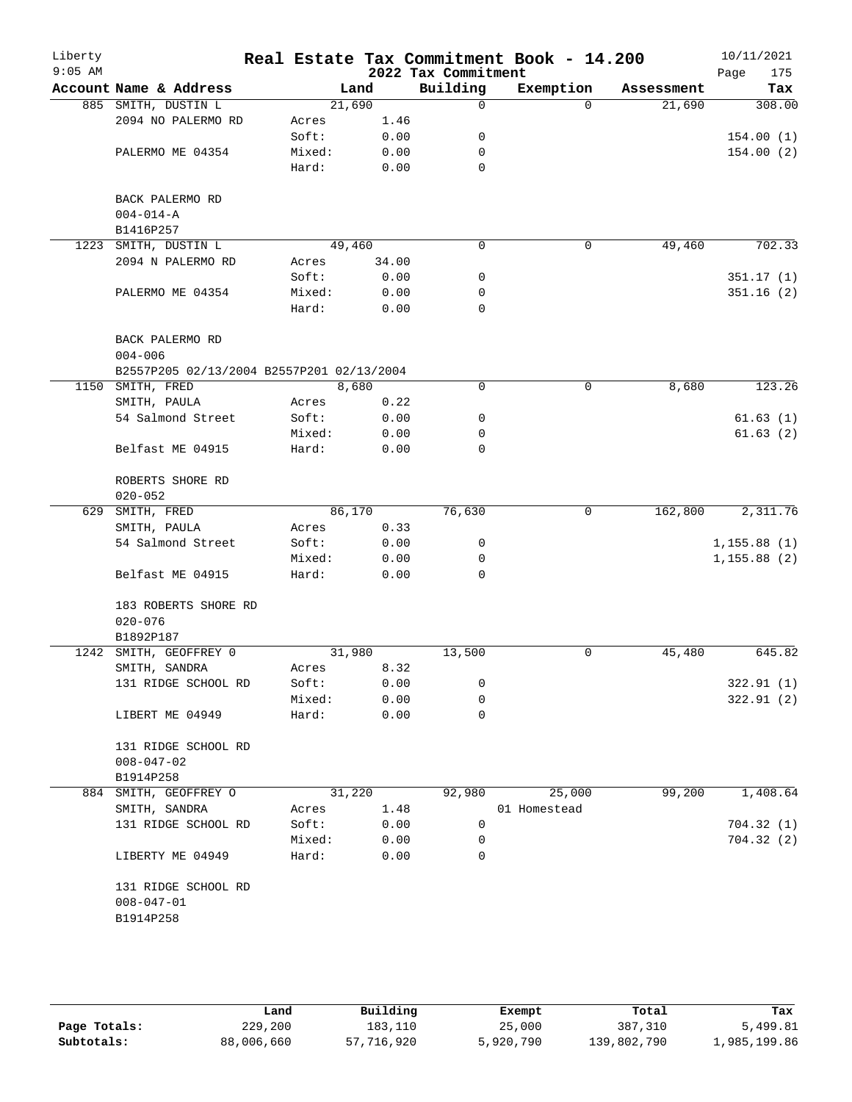| Liberty<br>$9:05$ AM |                                           |                 |              | 2022 Tax Commitment | Real Estate Tax Commitment Book - 14.200 |            | 10/11/2021<br>175<br>Page |
|----------------------|-------------------------------------------|-----------------|--------------|---------------------|------------------------------------------|------------|---------------------------|
|                      | Account Name & Address                    | Land            |              | Building            | Exemption                                | Assessment | Tax                       |
|                      | 885 SMITH, DUSTIN L                       | 21,690          |              | 0                   | $\Omega$                                 | 21,690     | 308.00                    |
|                      | 2094 NO PALERMO RD                        | Acres           | 1.46         |                     |                                          |            |                           |
|                      |                                           | Soft:           | 0.00         | 0                   |                                          |            | 154.00(1)                 |
|                      | PALERMO ME 04354                          | Mixed:          | 0.00         | 0                   |                                          |            | 154.00(2)                 |
|                      |                                           | Hard:           | 0.00         | $\mathbf 0$         |                                          |            |                           |
|                      |                                           |                 |              |                     |                                          |            |                           |
|                      | BACK PALERMO RD                           |                 |              |                     |                                          |            |                           |
|                      | $004 - 014 - A$                           |                 |              |                     |                                          |            |                           |
|                      | B1416P257                                 |                 |              |                     |                                          |            |                           |
| 1223                 | SMITH, DUSTIN L                           | 49,460          |              | 0                   | $\mathbf 0$                              | 49,460     | 702.33                    |
|                      | 2094 N PALERMO RD                         | Acres           | 34.00        |                     |                                          |            |                           |
|                      |                                           | Soft:           | 0.00         | 0<br>0              |                                          |            | 351.17(1)                 |
|                      | PALERMO ME 04354                          | Mixed:<br>Hard: | 0.00<br>0.00 | $\mathbf 0$         |                                          |            | 351.16(2)                 |
|                      |                                           |                 |              |                     |                                          |            |                           |
|                      | BACK PALERMO RD                           |                 |              |                     |                                          |            |                           |
|                      | $004 - 006$                               |                 |              |                     |                                          |            |                           |
|                      | B2557P205 02/13/2004 B2557P201 02/13/2004 |                 |              |                     |                                          |            |                           |
| 1150                 | SMITH, FRED                               | 8,680           |              | 0                   | $\mathbf 0$                              | 8,680      | 123.26                    |
|                      | SMITH, PAULA                              | Acres           | 0.22         |                     |                                          |            |                           |
|                      | 54 Salmond Street                         | Soft:           | 0.00         | 0                   |                                          |            | 61.63(1)                  |
|                      |                                           | Mixed:          | 0.00         | 0                   |                                          |            | 61.63(2)                  |
|                      | Belfast ME 04915                          | Hard:           | 0.00         | $\mathbf 0$         |                                          |            |                           |
|                      |                                           |                 |              |                     |                                          |            |                           |
|                      | ROBERTS SHORE RD                          |                 |              |                     |                                          |            |                           |
|                      | $020 - 052$                               |                 |              |                     |                                          |            |                           |
| 629                  | SMITH, FRED                               | 86,170          |              | 76,630              | 0                                        | 162,800    | 2,311.76                  |
|                      | SMITH, PAULA                              | Acres           | 0.33         |                     |                                          |            |                           |
|                      | 54 Salmond Street                         | Soft:           | 0.00         | 0                   |                                          |            | 1, 155.88(1)              |
|                      |                                           | Mixed:          | 0.00         | 0                   |                                          |            | 1, 155.88(2)              |
|                      | Belfast ME 04915                          | Hard:           | 0.00         | $\Omega$            |                                          |            |                           |
|                      |                                           |                 |              |                     |                                          |            |                           |
|                      | 183 ROBERTS SHORE RD                      |                 |              |                     |                                          |            |                           |
|                      | $020 - 076$                               |                 |              |                     |                                          |            |                           |
|                      | B1892P187                                 |                 |              |                     |                                          |            |                           |
| 1242                 | SMITH, GEOFFREY 0                         | 31,980          |              | 13,500              | 0                                        | 45,480     | 645.82                    |
|                      | SMITH, SANDRA                             | Acres           | 8.32         |                     |                                          |            |                           |
|                      | 131 RIDGE SCHOOL RD                       | Soft:           | 0.00         | 0                   |                                          |            | 322.91 (1)                |
|                      |                                           | Mixed:          | 0.00         | 0                   |                                          |            | 322.91(2)                 |
|                      | LIBERT ME 04949                           | Hard:           | 0.00         | 0                   |                                          |            |                           |
|                      |                                           |                 |              |                     |                                          |            |                           |
|                      | 131 RIDGE SCHOOL RD                       |                 |              |                     |                                          |            |                           |
|                      | $008 - 047 - 02$                          |                 |              |                     |                                          |            |                           |
|                      | B1914P258                                 |                 |              |                     |                                          |            |                           |
|                      | 884 SMITH, GEOFFREY O                     | 31,220          |              | 92,980              | 25,000                                   | 99,200     | 1,408.64                  |
|                      | SMITH, SANDRA<br>131 RIDGE SCHOOL RD      | Acres<br>Soft:  | 1.48<br>0.00 | 0                   | 01 Homestead                             |            | 704.32(1)                 |
|                      |                                           | Mixed:          | 0.00         | 0                   |                                          |            | 704.32(2)                 |
|                      | LIBERTY ME 04949                          | Hard:           | 0.00         | $\Omega$            |                                          |            |                           |
|                      |                                           |                 |              |                     |                                          |            |                           |
|                      | 131 RIDGE SCHOOL RD                       |                 |              |                     |                                          |            |                           |
|                      | $008 - 047 - 01$                          |                 |              |                     |                                          |            |                           |
|                      | B1914P258                                 |                 |              |                     |                                          |            |                           |
|                      |                                           |                 |              |                     |                                          |            |                           |
|                      |                                           |                 |              |                     |                                          |            |                           |

|              | Land       | Building   | Exempt    | Total       | Tax          |
|--------------|------------|------------|-----------|-------------|--------------|
| Page Totals: | 229,200    | 183,110    | 25,000    | 387,310     | 5,499.81     |
| Subtotals:   | 88,006,660 | 57,716,920 | 5,920,790 | 139,802,790 | 1,985,199.86 |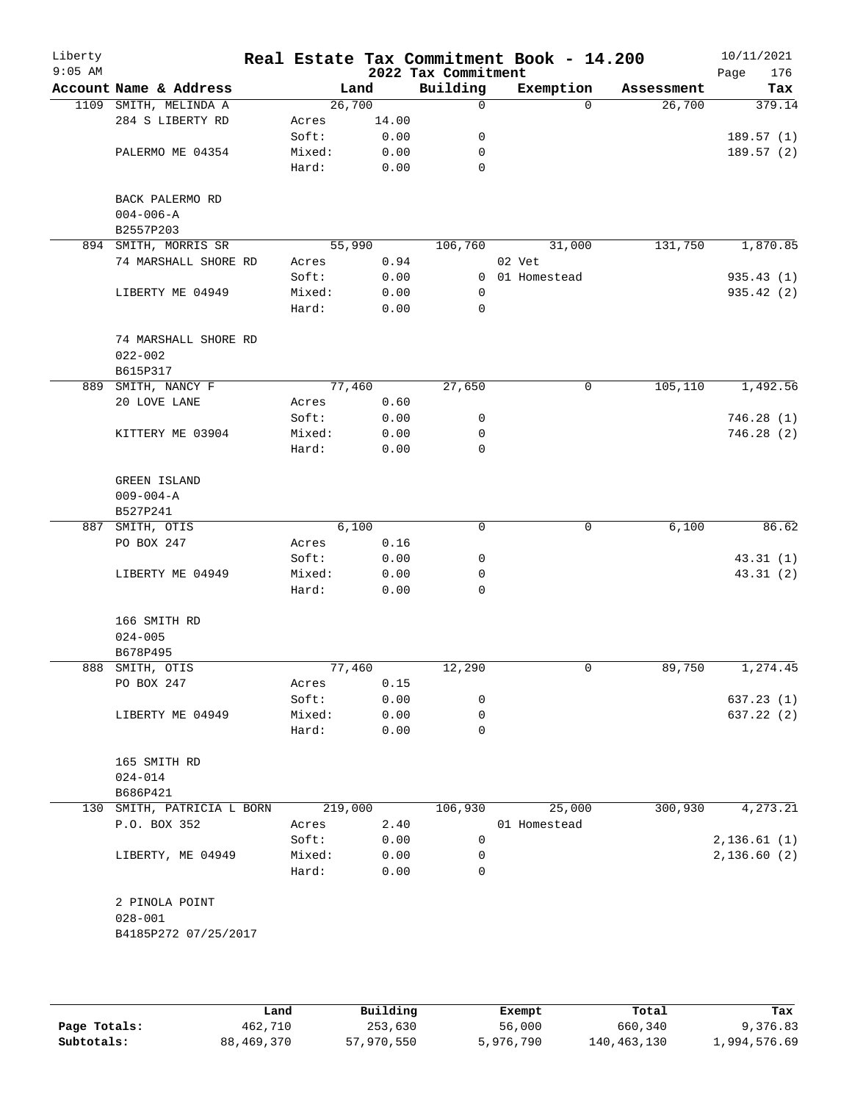| Liberty<br>$9:05$ AM |                              |         |        | 2022 Tax Commitment | Real Estate Tax Commitment Book - 14.200 |            | 10/11/2021<br>176<br>Page |
|----------------------|------------------------------|---------|--------|---------------------|------------------------------------------|------------|---------------------------|
|                      | Account Name & Address       |         | Land   | Building            | Exemption                                | Assessment | Tax                       |
|                      | 1109 SMITH, MELINDA A        |         | 26,700 | 0                   | $\Omega$                                 | 26,700     | 379.14                    |
|                      | 284 S LIBERTY RD             | Acres   | 14.00  |                     |                                          |            |                           |
|                      |                              | Soft:   | 0.00   | 0                   |                                          |            | 189.57(1)                 |
|                      | PALERMO ME 04354             | Mixed:  | 0.00   | 0                   |                                          |            | 189.57(2)                 |
|                      |                              | Hard:   | 0.00   | 0                   |                                          |            |                           |
|                      | BACK PALERMO RD              |         |        |                     |                                          |            |                           |
|                      | $004 - 006 - A$<br>B2557P203 |         |        |                     |                                          |            |                           |
|                      | 894 SMITH, MORRIS SR         |         | 55,990 | 106,760             | 31,000                                   | 131,750    | 1,870.85                  |
|                      | 74 MARSHALL SHORE RD         | Acres   | 0.94   |                     | 02 Vet                                   |            |                           |
|                      |                              | Soft:   | 0.00   | 0                   | 01 Homestead                             |            | 935.43(1)                 |
|                      | LIBERTY ME 04949             | Mixed:  | 0.00   | 0                   |                                          |            | 935.42 (2)                |
|                      |                              | Hard:   | 0.00   | 0                   |                                          |            |                           |
|                      |                              |         |        |                     |                                          |            |                           |
|                      | 74 MARSHALL SHORE RD         |         |        |                     |                                          |            |                           |
|                      | $022 - 002$                  |         |        |                     |                                          |            |                           |
|                      | B615P317                     |         |        |                     |                                          |            |                           |
|                      | 889 SMITH, NANCY F           |         | 77,460 | 27,650              | 0                                        | 105,110    | 1,492.56                  |
|                      | 20 LOVE LANE                 | Acres   | 0.60   |                     |                                          |            |                           |
|                      |                              | Soft:   | 0.00   | 0                   |                                          |            | 746.28(1)                 |
|                      | KITTERY ME 03904             | Mixed:  | 0.00   | 0                   |                                          |            | 746.28(2)                 |
|                      |                              | Hard:   | 0.00   | 0                   |                                          |            |                           |
|                      |                              |         |        |                     |                                          |            |                           |
|                      | GREEN ISLAND                 |         |        |                     |                                          |            |                           |
|                      | $009 - 004 - A$              |         |        |                     |                                          |            |                           |
|                      | B527P241                     |         |        |                     |                                          |            |                           |
|                      | 887 SMITH, OTIS              |         | 6,100  | 0                   | 0                                        | 6,100      | 86.62                     |
|                      | PO BOX 247                   | Acres   | 0.16   |                     |                                          |            |                           |
|                      |                              | Soft:   | 0.00   | $\mathsf{O}$        |                                          |            | 43.31(1)                  |
|                      | LIBERTY ME 04949             | Mixed:  | 0.00   | 0                   |                                          |            | 43.31(2)                  |
|                      |                              | Hard:   | 0.00   | 0                   |                                          |            |                           |
|                      | 166 SMITH RD                 |         |        |                     |                                          |            |                           |
|                      | $024 - 005$                  |         |        |                     |                                          |            |                           |
|                      | B678P495                     |         |        |                     |                                          |            |                           |
| 888                  | SMITH, OTIS                  |         | 77,460 | 12,290              | 0                                        | 89,750     | 1,274.45                  |
|                      | PO BOX 247                   | Acres   | 0.15   |                     |                                          |            |                           |
|                      |                              | Soft:   | 0.00   | 0                   |                                          |            | 637.23(1)                 |
|                      | LIBERTY ME 04949             | Mixed:  | 0.00   | 0                   |                                          |            | 637.22 (2)                |
|                      |                              | Hard:   | 0.00   | 0                   |                                          |            |                           |
|                      | 165 SMITH RD                 |         |        |                     |                                          |            |                           |
|                      | $024 - 014$                  |         |        |                     |                                          |            |                           |
|                      | B686P421                     |         |        |                     |                                          |            |                           |
|                      | 130 SMITH, PATRICIA L BORN   | 219,000 |        | 106,930             | 25,000                                   | 300,930    | 4,273.21                  |
|                      | P.O. BOX 352                 | Acres   | 2.40   |                     | 01 Homestead                             |            |                           |
|                      |                              | Soft:   | 0.00   | 0                   |                                          |            | 2,136.61(1)               |
|                      | LIBERTY, ME 04949            | Mixed:  | 0.00   | 0                   |                                          |            | 2,136.60(2)               |
|                      |                              | Hard:   | 0.00   | 0                   |                                          |            |                           |
|                      |                              |         |        |                     |                                          |            |                           |
|                      | 2 PINOLA POINT               |         |        |                     |                                          |            |                           |
|                      | $028 - 001$                  |         |        |                     |                                          |            |                           |
|                      | B4185P272 07/25/2017         |         |        |                     |                                          |            |                           |
|                      |                              |         |        |                     |                                          |            |                           |
|                      |                              |         |        |                     |                                          |            |                           |

|              | Land       | Building   | Exempt    | Total       | Tax          |
|--------------|------------|------------|-----------|-------------|--------------|
| Page Totals: | 462,710    | 253,630    | 56,000    | 660,340     | 9,376.83     |
| Subtotals:   | 88,469,370 | 57,970,550 | 5,976,790 | 140,463,130 | l,994,576.69 |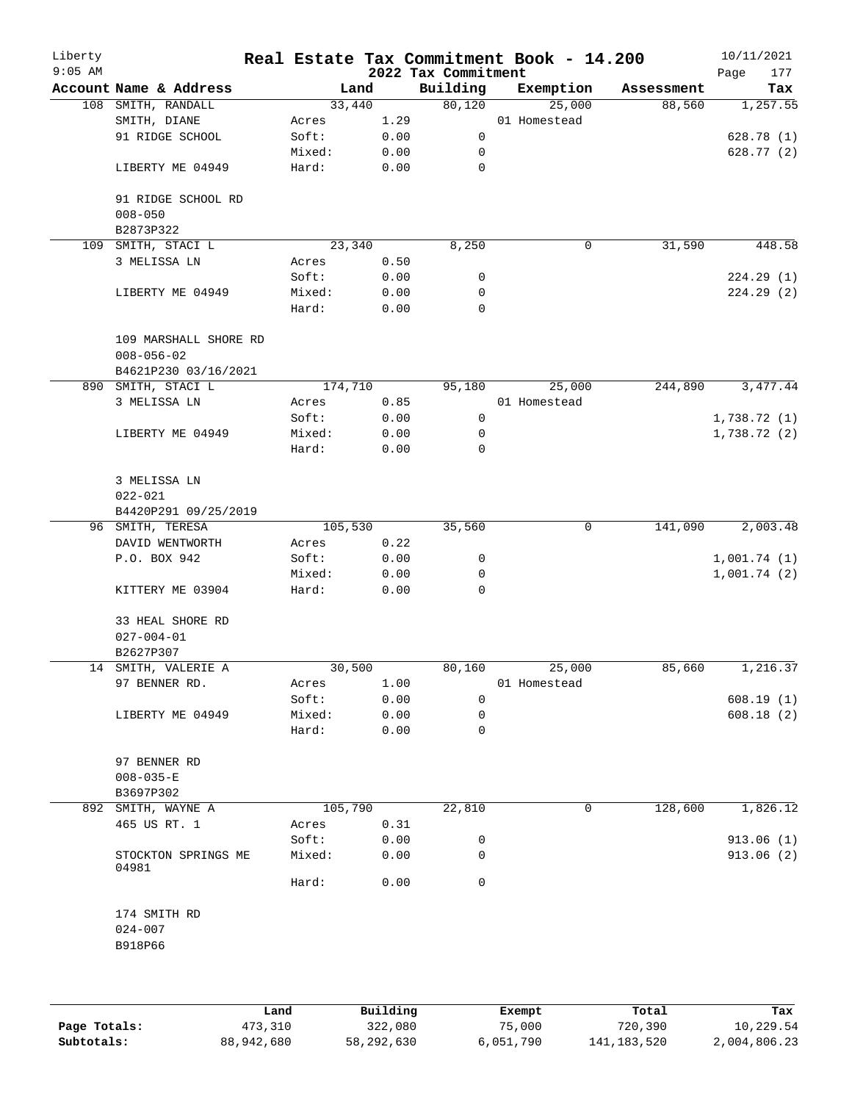| Liberty<br>$9:05$ AM |                                           |         |        | 2022 Tax Commitment | Real Estate Tax Commitment Book - 14.200 |            | 10/11/2021<br>Page<br>177 |
|----------------------|-------------------------------------------|---------|--------|---------------------|------------------------------------------|------------|---------------------------|
|                      | Account Name & Address                    |         | Land   | Building            | Exemption                                | Assessment | Tax                       |
|                      | 108 SMITH, RANDALL                        |         | 33,440 | 80,120              | 25,000                                   | 88,560     | 1,257.55                  |
|                      | SMITH, DIANE                              | Acres   | 1.29   |                     | 01 Homestead                             |            |                           |
|                      | 91 RIDGE SCHOOL                           | Soft:   | 0.00   | 0                   |                                          |            | 628.78(1)                 |
|                      |                                           | Mixed:  | 0.00   | 0                   |                                          |            | 628.77 (2)                |
|                      | LIBERTY ME 04949                          | Hard:   | 0.00   | 0                   |                                          |            |                           |
|                      | 91 RIDGE SCHOOL RD                        |         |        |                     |                                          |            |                           |
|                      | $008 - 050$                               |         |        |                     |                                          |            |                           |
|                      | B2873P322                                 |         |        |                     |                                          |            |                           |
| 109                  | SMITH, STACI L                            |         | 23,340 | 8,250               | $\mathbf 0$                              | 31,590     | 448.58                    |
|                      | 3 MELISSA LN                              | Acres   | 0.50   |                     |                                          |            |                           |
|                      |                                           | Soft:   | 0.00   | 0                   |                                          |            | 224.29(1)                 |
|                      | LIBERTY ME 04949                          | Mixed:  | 0.00   | 0                   |                                          |            | 224.29 (2)                |
|                      |                                           | Hard:   | 0.00   | $\mathbf 0$         |                                          |            |                           |
|                      | 109 MARSHALL SHORE RD<br>$008 - 056 - 02$ |         |        |                     |                                          |            |                           |
|                      | B4621P230 03/16/2021                      |         |        |                     |                                          |            |                           |
|                      | 890 SMITH, STACI L                        | 174,710 |        | 95,180              | 25,000                                   | 244,890    | 3,477.44                  |
|                      | 3 MELISSA LN                              | Acres   | 0.85   |                     | 01 Homestead                             |            |                           |
|                      |                                           | Soft:   | 0.00   | 0                   |                                          |            | 1,738.72 (1)              |
|                      | LIBERTY ME 04949                          | Mixed:  | 0.00   | 0                   |                                          |            | 1,738.72(2)               |
|                      |                                           | Hard:   | 0.00   | 0                   |                                          |            |                           |
|                      | 3 MELISSA LN                              |         |        |                     |                                          |            |                           |
|                      | $022 - 021$                               |         |        |                     |                                          |            |                           |
|                      | B4420P291 09/25/2019                      |         |        |                     |                                          |            |                           |
|                      | 96 SMITH, TERESA                          | 105,530 |        | 35,560              | 0                                        | 141,090    | 2,003.48                  |
|                      | DAVID WENTWORTH                           | Acres   | 0.22   |                     |                                          |            |                           |
|                      | P.O. BOX 942                              | Soft:   | 0.00   | 0                   |                                          |            | 1,001.74(1)               |
|                      |                                           | Mixed:  | 0.00   | 0                   |                                          |            | 1,001.74(2)               |
|                      | KITTERY ME 03904                          | Hard:   | 0.00   | 0                   |                                          |            |                           |
|                      | 33 HEAL SHORE RD                          |         |        |                     |                                          |            |                           |
|                      | $027 - 004 - 01$                          |         |        |                     |                                          |            |                           |
|                      | B2627P307                                 |         |        |                     |                                          |            |                           |
|                      | 14 SMITH, VALERIE A                       |         | 30,500 | 80,160              | 25,000                                   | 85,660     | 1,216.37                  |
|                      | 97 BENNER RD.                             | Acres   | 1.00   |                     | 01 Homestead                             |            |                           |
|                      |                                           | Soft:   | 0.00   | 0                   |                                          |            | 608.19(1)                 |
|                      | LIBERTY ME 04949                          | Mixed:  | 0.00   | 0                   |                                          |            | 608.18(2)                 |
|                      |                                           | Hard:   | 0.00   | 0                   |                                          |            |                           |
|                      | 97 BENNER RD                              |         |        |                     |                                          |            |                           |
|                      | $008 - 035 - E$                           |         |        |                     |                                          |            |                           |
|                      | B3697P302                                 |         |        |                     |                                          |            |                           |
|                      | 892 SMITH, WAYNE A                        | 105,790 |        | 22,810              | 0                                        | 128,600    | 1,826.12                  |
|                      | 465 US RT. 1                              | Acres   | 0.31   |                     |                                          |            |                           |
|                      |                                           | Soft:   | 0.00   | 0                   |                                          |            | 913.06(1)                 |
|                      | STOCKTON SPRINGS ME<br>04981              | Mixed:  | 0.00   | 0                   |                                          |            | 913.06 (2)                |
|                      |                                           | Hard:   | 0.00   | 0                   |                                          |            |                           |
|                      | 174 SMITH RD                              |         |        |                     |                                          |            |                           |
|                      | $024 - 007$<br>B918P66                    |         |        |                     |                                          |            |                           |
|                      |                                           |         |        |                     |                                          |            |                           |
|                      |                                           |         |        |                     |                                          |            |                           |
|                      |                                           |         |        |                     |                                          |            |                           |

|              | Land       | Building   | Exempt    | Total       | Tax          |
|--------------|------------|------------|-----------|-------------|--------------|
| Page Totals: | 473,310    | 322,080    | 75,000    | 720,390     | 10,229.54    |
| Subtotals:   | 88,942,680 | 58,292,630 | 6,051,790 | 141,183,520 | 2,004,806.23 |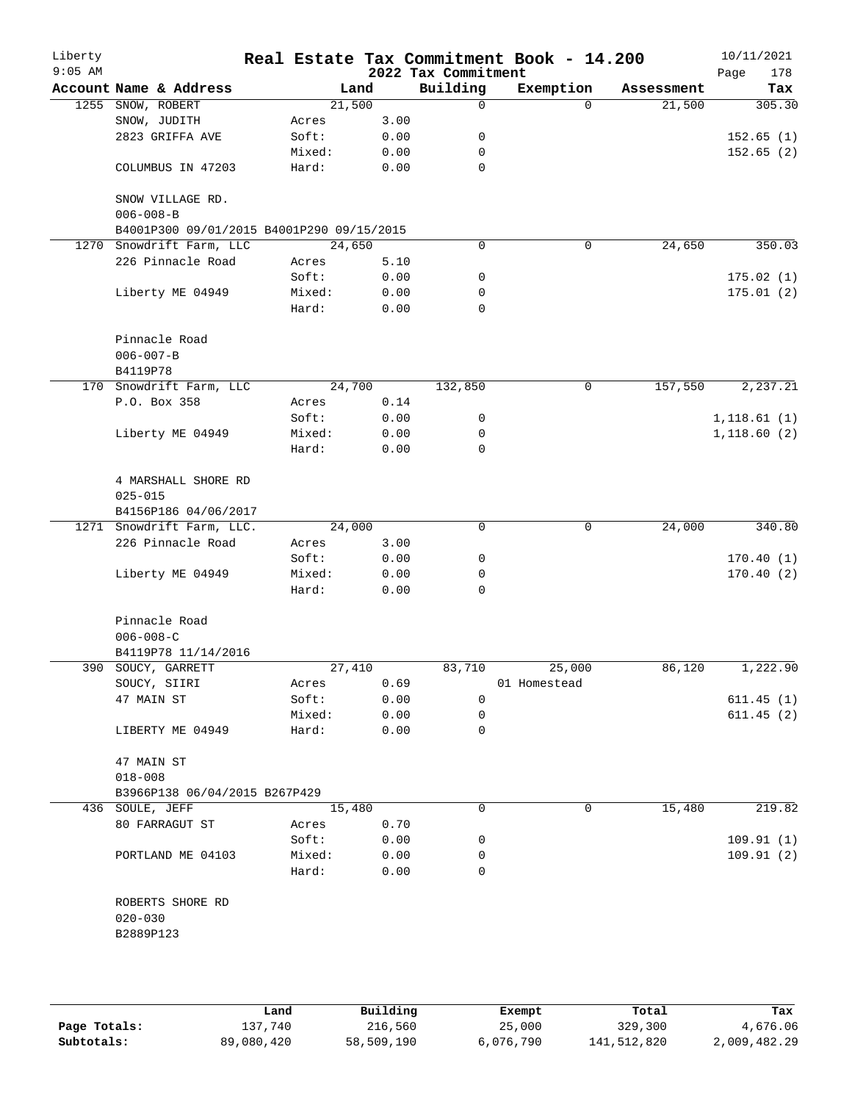| Liberty<br>$9:05$ AM |                                                              |                |              | 2022 Tax Commitment | Real Estate Tax Commitment Book - 14.200 |            | 10/11/2021<br>Page<br>178 |
|----------------------|--------------------------------------------------------------|----------------|--------------|---------------------|------------------------------------------|------------|---------------------------|
|                      | Account Name & Address                                       |                | Land         | Building            | Exemption                                | Assessment | Tax                       |
| 1255                 | SNOW, ROBERT                                                 |                | 21,500       | 0                   | $\Omega$                                 | 21,500     | 305.30                    |
|                      | SNOW, JUDITH                                                 | Acres          | 3.00         |                     |                                          |            |                           |
|                      | 2823 GRIFFA AVE                                              | Soft:          | 0.00         | 0                   |                                          |            | 152.65(1)                 |
|                      |                                                              | Mixed:         | 0.00         | 0                   |                                          |            | 152.65(2)                 |
|                      | COLUMBUS IN 47203                                            | Hard:          | 0.00         | $\mathbf 0$         |                                          |            |                           |
|                      | SNOW VILLAGE RD.                                             |                |              |                     |                                          |            |                           |
|                      | $006 - 008 - B$<br>B4001P300 09/01/2015 B4001P290 09/15/2015 |                |              |                     |                                          |            |                           |
| 1270                 | Snowdrift Farm, LLC                                          |                | 24,650       | 0                   | 0                                        | 24,650     | 350.03                    |
|                      | 226 Pinnacle Road                                            | Acres          | 5.10         |                     |                                          |            |                           |
|                      |                                                              | Soft:          | 0.00         | 0                   |                                          |            | 175.02(1)                 |
|                      | Liberty ME 04949                                             | Mixed:         | 0.00         | 0                   |                                          |            | 175.01(2)                 |
|                      |                                                              | Hard:          | 0.00         | 0                   |                                          |            |                           |
|                      | Pinnacle Road                                                |                |              |                     |                                          |            |                           |
|                      | $006 - 007 - B$                                              |                |              |                     |                                          |            |                           |
|                      | B4119P78                                                     |                |              |                     |                                          |            |                           |
|                      | 170 Snowdrift Farm, LLC                                      |                | 24,700       | 132,850             | 0                                        | 157,550    | 2,237.21                  |
|                      | P.O. Box 358                                                 | Acres          | 0.14         |                     |                                          |            |                           |
|                      |                                                              | Soft:          | 0.00         | 0                   |                                          |            | 1,118.61(1)               |
|                      | Liberty ME 04949                                             | Mixed:         | 0.00         | 0                   |                                          |            | 1,118.60(2)               |
|                      |                                                              | Hard:          | 0.00         | 0                   |                                          |            |                           |
|                      | 4 MARSHALL SHORE RD                                          |                |              |                     |                                          |            |                           |
|                      | $025 - 015$                                                  |                |              |                     |                                          |            |                           |
|                      | B4156P186 04/06/2017                                         |                |              |                     |                                          |            |                           |
|                      | 1271 Snowdrift Farm, LLC.                                    |                | 24,000       | $\mathbf 0$         | 0                                        | 24,000     | 340.80                    |
|                      | 226 Pinnacle Road                                            | Acres          | 3.00         |                     |                                          |            |                           |
|                      |                                                              | Soft:          | 0.00         | 0                   |                                          |            | 170.40(1)                 |
|                      | Liberty ME 04949                                             | Mixed:         | 0.00         | 0                   |                                          |            | 170.40(2)                 |
|                      |                                                              | Hard:          | 0.00         | 0                   |                                          |            |                           |
|                      | Pinnacle Road                                                |                |              |                     |                                          |            |                           |
|                      | $006 - 008 - C$                                              |                |              |                     |                                          |            |                           |
|                      | B4119P78 11/14/2016                                          |                |              |                     |                                          |            |                           |
|                      | 390 SOUCY, GARRETT                                           |                | 27,410       | 83,710              | 25,000                                   | 86,120     | 1,222.90                  |
|                      | SOUCY, SIIRI<br>47 MAIN ST                                   | Acres<br>Soft: | 0.69<br>0.00 | 0                   | 01 Homestead                             |            |                           |
|                      |                                                              | Mixed:         | 0.00         | 0                   |                                          |            | 611.45(1)<br>611.45(2)    |
|                      | LIBERTY ME 04949                                             | Hard:          | 0.00         | 0                   |                                          |            |                           |
|                      | 47 MAIN ST                                                   |                |              |                     |                                          |            |                           |
|                      | $018 - 008$                                                  |                |              |                     |                                          |            |                           |
|                      | B3966P138 06/04/2015 B267P429                                |                |              |                     |                                          |            |                           |
|                      | 436 SOULE, JEFF                                              |                | 15,480       | 0                   | 0                                        | 15,480     | 219.82                    |
|                      | 80 FARRAGUT ST                                               | Acres          | 0.70         |                     |                                          |            |                           |
|                      |                                                              | Soft:          | 0.00         | 0                   |                                          |            | 109.91(1)                 |
|                      | PORTLAND ME 04103                                            | Mixed:         | 0.00         | 0                   |                                          |            | 109.91(2)                 |
|                      |                                                              | Hard:          | 0.00         | 0                   |                                          |            |                           |
|                      | ROBERTS SHORE RD                                             |                |              |                     |                                          |            |                           |
|                      | $020 - 030$                                                  |                |              |                     |                                          |            |                           |
|                      | B2889P123                                                    |                |              |                     |                                          |            |                           |
|                      |                                                              |                |              |                     |                                          |            |                           |
|                      |                                                              |                |              |                     |                                          |            |                           |
|                      |                                                              |                |              |                     |                                          |            |                           |

|              | Land       | Building   | Exempt    | Total       | Tax          |
|--------------|------------|------------|-----------|-------------|--------------|
| Page Totals: | 137,740    | 216,560    | 25,000    | 329,300     | 4,676.06     |
| Subtotals:   | 89,080,420 | 58,509,190 | 6,076,790 | 141,512,820 | 2,009,482.29 |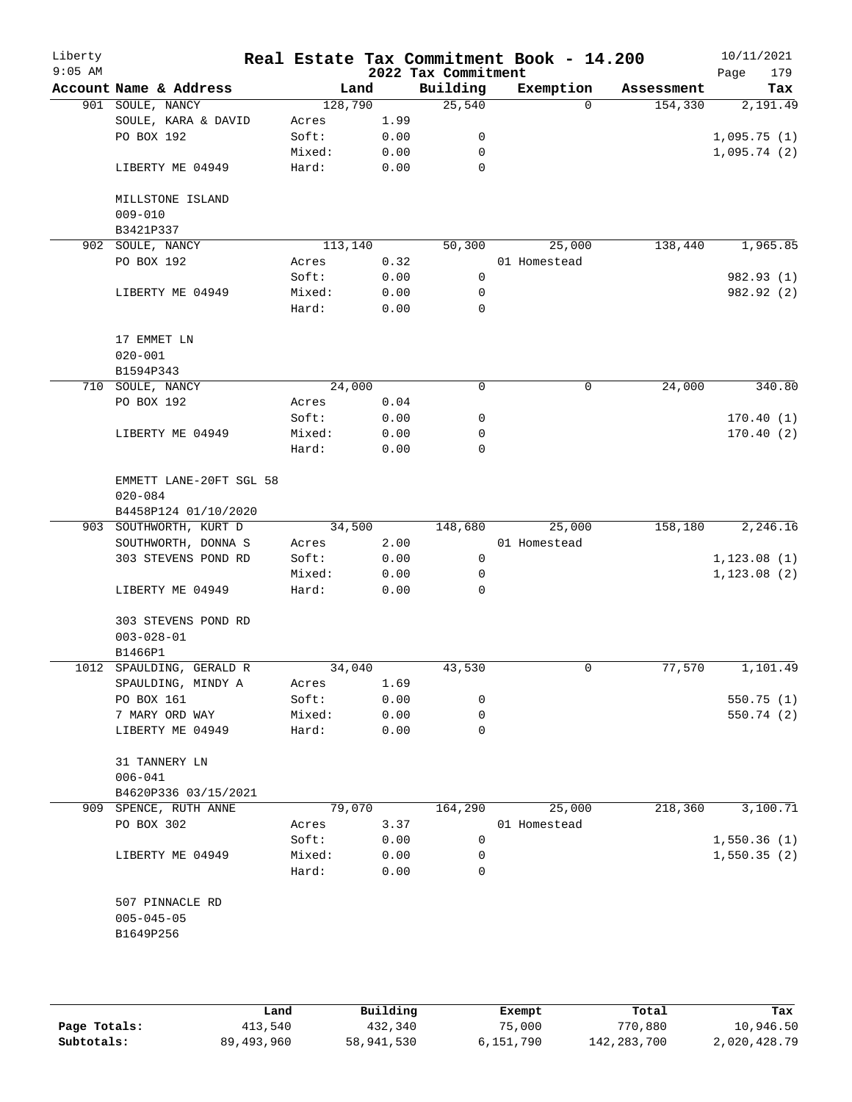| Liberty<br>$9:05$ AM |                          |         |      | 2022 Tax Commitment | Real Estate Tax Commitment Book - 14.200 |            | 10/11/2021<br>179<br>Page |
|----------------------|--------------------------|---------|------|---------------------|------------------------------------------|------------|---------------------------|
|                      | Account Name & Address   | Land    |      | Building            | Exemption                                | Assessment | Tax                       |
|                      | 901 SOULE, NANCY         | 128,790 |      | 25,540              | $\Omega$                                 | 154,330    | 2,191.49                  |
|                      | SOULE, KARA & DAVID      | Acres   | 1.99 |                     |                                          |            |                           |
|                      | PO BOX 192               | Soft:   | 0.00 | 0                   |                                          |            | 1,095.75(1)               |
|                      |                          | Mixed:  | 0.00 | $\mathbf 0$         |                                          |            | 1,095.74(2)               |
|                      | LIBERTY ME 04949         | Hard:   | 0.00 | $\mathbf 0$         |                                          |            |                           |
|                      | MILLSTONE ISLAND         |         |      |                     |                                          |            |                           |
|                      | $009 - 010$              |         |      |                     |                                          |            |                           |
|                      | B3421P337                |         |      |                     |                                          |            |                           |
|                      | 902 SOULE, NANCY         | 113,140 |      | 50,300              | 25,000                                   | 138,440    | 1,965.85                  |
|                      | PO BOX 192               | Acres   | 0.32 |                     | 01 Homestead                             |            |                           |
|                      |                          | Soft:   | 0.00 | 0                   |                                          |            | 982.93 (1)                |
|                      | LIBERTY ME 04949         | Mixed:  | 0.00 | 0                   |                                          |            | 982.92 (2)                |
|                      |                          | Hard:   | 0.00 | 0                   |                                          |            |                           |
|                      |                          |         |      |                     |                                          |            |                           |
|                      | 17 EMMET LN              |         |      |                     |                                          |            |                           |
|                      | $020 - 001$              |         |      |                     |                                          |            |                           |
|                      | B1594P343                |         |      |                     |                                          |            |                           |
|                      | 710 SOULE, NANCY         | 24,000  |      | 0                   | 0                                        | 24,000     | 340.80                    |
|                      | PO BOX 192               | Acres   |      |                     |                                          |            |                           |
|                      |                          |         | 0.04 |                     |                                          |            |                           |
|                      |                          | Soft:   | 0.00 | 0                   |                                          |            | 170.40(1)                 |
|                      | LIBERTY ME 04949         | Mixed:  | 0.00 | 0                   |                                          |            | 170.40(2)                 |
|                      |                          | Hard:   | 0.00 | 0                   |                                          |            |                           |
|                      | EMMETT LANE-20FT SGL 58  |         |      |                     |                                          |            |                           |
|                      | $020 - 084$              |         |      |                     |                                          |            |                           |
|                      | B4458P124 01/10/2020     |         |      |                     |                                          |            |                           |
|                      | 903 SOUTHWORTH, KURT D   | 34,500  |      | 148,680             | 25,000                                   | 158,180    | 2,246.16                  |
|                      | SOUTHWORTH, DONNA S      | Acres   | 2.00 |                     | 01 Homestead                             |            |                           |
|                      | 303 STEVENS POND RD      | Soft:   | 0.00 | 0                   |                                          |            | 1, 123.08(1)              |
|                      |                          | Mixed:  | 0.00 | 0                   |                                          |            | 1, 123.08(2)              |
|                      | LIBERTY ME 04949         | Hard:   | 0.00 | $\Omega$            |                                          |            |                           |
|                      | 303 STEVENS POND RD      |         |      |                     |                                          |            |                           |
|                      | $003 - 028 - 01$         |         |      |                     |                                          |            |                           |
|                      | B1466P1                  |         |      |                     |                                          |            |                           |
|                      | 1012 SPAULDING, GERALD R | 34,040  |      | 43,530              | $\mathbf 0$                              | 77,570     | 1,101.49                  |
|                      | SPAULDING, MINDY A       | Acres   | 1.69 |                     |                                          |            |                           |
|                      | PO BOX 161               | Soft:   | 0.00 | 0                   |                                          |            | 550.75(1)                 |
|                      | 7 MARY ORD WAY           | Mixed:  | 0.00 | 0                   |                                          |            | 550.74 (2)                |
|                      | LIBERTY ME 04949         | Hard:   | 0.00 | 0                   |                                          |            |                           |
|                      | 31 TANNERY LN            |         |      |                     |                                          |            |                           |
|                      | $006 - 041$              |         |      |                     |                                          |            |                           |
|                      |                          |         |      |                     |                                          |            |                           |
|                      | B4620P336 03/15/2021     |         |      |                     |                                          |            |                           |
|                      | 909 SPENCE, RUTH ANNE    | 79,070  |      | 164,290             | 25,000                                   | 218,360    | 3,100.71                  |
|                      | PO BOX 302               | Acres   | 3.37 |                     | 01 Homestead                             |            |                           |
|                      |                          | Soft:   | 0.00 | 0                   |                                          |            | 1,550.36(1)               |
|                      | LIBERTY ME 04949         | Mixed:  | 0.00 | 0                   |                                          |            | 1,550.35(2)               |
|                      |                          | Hard:   | 0.00 | $\Omega$            |                                          |            |                           |
|                      | 507 PINNACLE RD          |         |      |                     |                                          |            |                           |
|                      | $005 - 045 - 05$         |         |      |                     |                                          |            |                           |
|                      | B1649P256                |         |      |                     |                                          |            |                           |
|                      |                          |         |      |                     |                                          |            |                           |
|                      |                          |         |      |                     |                                          |            |                           |
|                      |                          |         |      |                     |                                          |            |                           |
|                      |                          |         |      |                     |                                          |            |                           |

|              | Land       | Building   | Exempt    | Total       | Tax          |
|--------------|------------|------------|-----------|-------------|--------------|
| Page Totals: | 413,540    | 432,340    | 75,000    | 770,880     | 10,946.50    |
| Subtotals:   | 89,493,960 | 58,941,530 | 6,151,790 | 142,283,700 | 2,020,428.79 |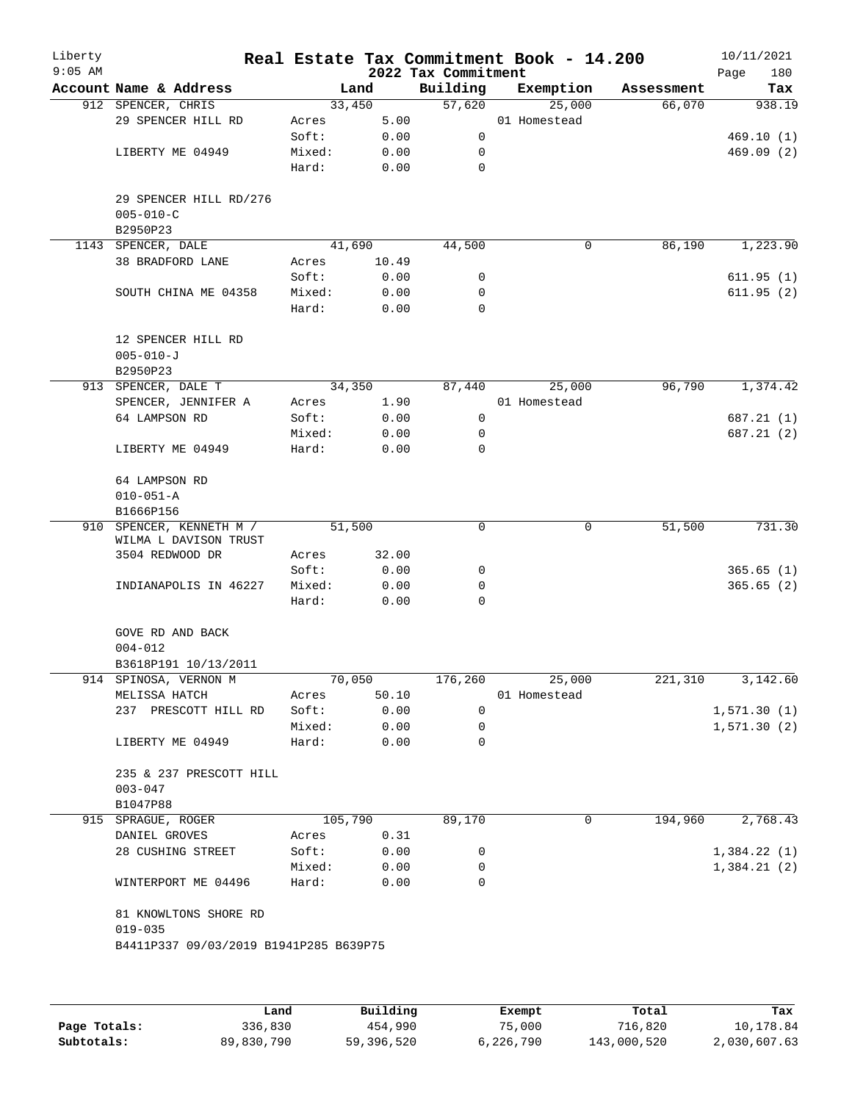| Liberty<br>$9:05$ AM |                                               |         |        | 2022 Tax Commitment | Real Estate Tax Commitment Book - 14.200 |            | 10/11/2021<br>180<br>Page |
|----------------------|-----------------------------------------------|---------|--------|---------------------|------------------------------------------|------------|---------------------------|
|                      | Account Name & Address                        |         | Land   | Building            | Exemption                                | Assessment | Tax                       |
|                      | 912 SPENCER, CHRIS                            | 33,450  |        | 57,620              | 25,000                                   | 66,070     | 938.19                    |
|                      | 29 SPENCER HILL RD                            | Acres   | 5.00   |                     | 01 Homestead                             |            |                           |
|                      |                                               | Soft:   | 0.00   | 0                   |                                          |            | 469.10(1)                 |
|                      | LIBERTY ME 04949                              | Mixed:  | 0.00   | 0                   |                                          |            | 469.09(2)                 |
|                      |                                               | Hard:   | 0.00   | 0                   |                                          |            |                           |
|                      | 29 SPENCER HILL RD/276<br>$005 - 010 - C$     |         |        |                     |                                          |            |                           |
|                      | B2950P23                                      |         |        |                     |                                          |            |                           |
|                      | 1143 SPENCER, DALE                            | 41,690  |        | 44,500              | 0                                        | 86,190     | 1,223.90                  |
|                      | 38 BRADFORD LANE                              | Acres   | 10.49  |                     |                                          |            |                           |
|                      |                                               | Soft:   | 0.00   | 0                   |                                          |            | 611.95(1)                 |
|                      | SOUTH CHINA ME 04358                          | Mixed:  | 0.00   | 0                   |                                          |            | 611.95(2)                 |
|                      |                                               | Hard:   | 0.00   | 0                   |                                          |            |                           |
|                      | 12 SPENCER HILL RD<br>$005 - 010 - J$         |         |        |                     |                                          |            |                           |
|                      | B2950P23                                      |         |        |                     |                                          |            |                           |
|                      | 913 SPENCER, DALE T                           |         | 34,350 | 87,440              | 25,000                                   | 96,790     | 1,374.42                  |
|                      | SPENCER, JENNIFER A                           | Acres   | 1.90   |                     | 01 Homestead                             |            |                           |
|                      | 64 LAMPSON RD                                 | Soft:   | 0.00   | 0                   |                                          |            | 687.21 (1)                |
|                      |                                               | Mixed:  | 0.00   | 0                   |                                          |            | 687.21(2)                 |
|                      | LIBERTY ME 04949                              | Hard:   | 0.00   | 0                   |                                          |            |                           |
|                      | 64 LAMPSON RD<br>$010 - 051 - A$              |         |        |                     |                                          |            |                           |
|                      | B1666P156                                     |         |        |                     |                                          |            |                           |
| 910                  | SPENCER, KENNETH M /<br>WILMA L DAVISON TRUST | 51,500  |        | 0                   | 0                                        | 51,500     | 731.30                    |
|                      | 3504 REDWOOD DR                               | Acres   | 32.00  |                     |                                          |            |                           |
|                      |                                               | Soft:   | 0.00   | 0                   |                                          |            | 365.65(1)                 |
|                      | INDIANAPOLIS IN 46227                         | Mixed:  | 0.00   | 0                   |                                          |            | 365.65(2)                 |
|                      |                                               | Hard:   | 0.00   | 0                   |                                          |            |                           |
|                      | GOVE RD AND BACK<br>$004 - 012$               |         |        |                     |                                          |            |                           |
|                      | B3618P191 10/13/2011                          |         |        |                     |                                          |            |                           |
|                      | 914 SPINOSA, VERNON M                         | 70,050  |        | 176,260             | 25,000                                   | 221,310    | 3,142.60                  |
|                      | MELISSA HATCH                                 | Acres   | 50.10  |                     | 01 Homestead                             |            |                           |
|                      | 237 PRESCOTT HILL RD                          | Soft:   | 0.00   | 0                   |                                          |            | 1,571.30(1)               |
|                      |                                               | Mixed:  | 0.00   | 0                   |                                          |            | 1, 571.30(2)              |
|                      | LIBERTY ME 04949                              | Hard:   | 0.00   | 0                   |                                          |            |                           |
|                      | 235 & 237 PRESCOTT HILL<br>$003 - 047$        |         |        |                     |                                          |            |                           |
|                      | B1047P88                                      |         |        |                     |                                          |            |                           |
|                      | 915 SPRAGUE, ROGER                            | 105,790 |        | 89,170              | 0                                        | 194,960    | 2,768.43                  |
|                      | DANIEL GROVES                                 | Acres   | 0.31   |                     |                                          |            |                           |
|                      | 28 CUSHING STREET                             | Soft:   | 0.00   | 0                   |                                          |            | 1,384.22(1)               |
|                      |                                               | Mixed:  | 0.00   | 0                   |                                          |            | 1,384.21(2)               |
|                      | WINTERPORT ME 04496                           | Hard:   | 0.00   | 0                   |                                          |            |                           |
|                      | 81 KNOWLTONS SHORE RD<br>$019 - 035$          |         |        |                     |                                          |            |                           |
|                      | B4411P337 09/03/2019 B1941P285 B639P75        |         |        |                     |                                          |            |                           |
|                      |                                               |         |        |                     |                                          |            |                           |

|              | Land       | Building   | Exempt    | Total       | Tax          |
|--------------|------------|------------|-----------|-------------|--------------|
| Page Totals: | 336,830    | 454,990    | 75,000    | 716,820     | 10,178.84    |
| Subtotals:   | 89,830,790 | 59,396,520 | 6,226,790 | 143,000,520 | 2,030,607.63 |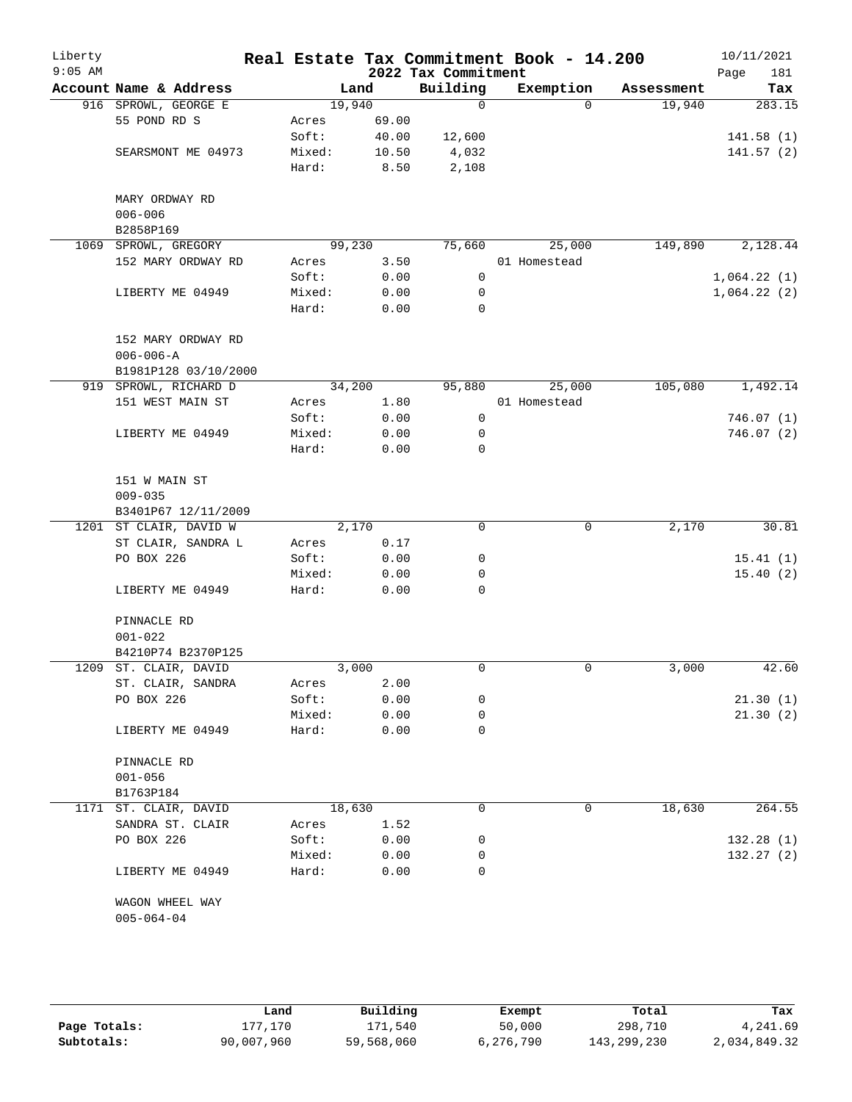| Liberty<br>$9:05$ AM |                                       |        |        | 2022 Tax Commitment | Real Estate Tax Commitment Book - 14.200 |            | 10/11/2021<br>181<br>Page |
|----------------------|---------------------------------------|--------|--------|---------------------|------------------------------------------|------------|---------------------------|
|                      | Account Name & Address                |        | Land   | Building            | Exemption                                | Assessment | Tax                       |
|                      | 916 SPROWL, GEORGE E                  |        | 19,940 | $\mathbf 0$         | $\Omega$                                 | 19,940     | 283.15                    |
|                      | 55 POND RD S                          | Acres  | 69.00  |                     |                                          |            |                           |
|                      |                                       | Soft:  | 40.00  | 12,600              |                                          |            | 141.58(1)                 |
|                      | SEARSMONT ME 04973                    | Mixed: | 10.50  | 4,032               |                                          |            | 141.57(2)                 |
|                      |                                       | Hard:  | 8.50   | 2,108               |                                          |            |                           |
|                      | MARY ORDWAY RD                        |        |        |                     |                                          |            |                           |
|                      | $006 - 006$                           |        |        |                     |                                          |            |                           |
|                      | B2858P169                             |        |        |                     |                                          |            |                           |
| 1069                 | SPROWL, GREGORY                       |        | 99,230 | 75,660              | 25,000                                   | 149,890    | 2,128.44                  |
|                      | 152 MARY ORDWAY RD                    | Acres  | 3.50   |                     | 01 Homestead                             |            |                           |
|                      |                                       | Soft:  | 0.00   | 0                   |                                          |            | 1,064.22(1)               |
|                      | LIBERTY ME 04949                      | Mixed: | 0.00   | 0                   |                                          |            | 1,064.22(2)               |
|                      |                                       | Hard:  | 0.00   | $\mathbf 0$         |                                          |            |                           |
|                      | 152 MARY ORDWAY RD<br>$006 - 006 - A$ |        |        |                     |                                          |            |                           |
|                      | B1981P128 03/10/2000                  |        |        |                     |                                          |            |                           |
|                      | 919 SPROWL, RICHARD D                 |        | 34,200 | 95,880              | 25,000                                   | 105,080    | 1,492.14                  |
|                      | 151 WEST MAIN ST                      | Acres  | 1.80   |                     | 01 Homestead                             |            |                           |
|                      |                                       | Soft:  |        |                     |                                          |            |                           |
|                      |                                       |        | 0.00   | 0                   |                                          |            | 746.07(1)                 |
|                      | LIBERTY ME 04949                      | Mixed: | 0.00   | 0                   |                                          |            | 746.07 (2)                |
|                      |                                       | Hard:  | 0.00   | 0                   |                                          |            |                           |
|                      | 151 W MAIN ST                         |        |        |                     |                                          |            |                           |
|                      | $009 - 035$                           |        |        |                     |                                          |            |                           |
|                      | B3401P67 12/11/2009                   |        |        |                     |                                          |            |                           |
|                      | 1201 ST CLAIR, DAVID W                |        | 2,170  | 0                   | 0                                        | 2,170      | 30.81                     |
|                      | ST CLAIR, SANDRA L                    | Acres  | 0.17   |                     |                                          |            |                           |
|                      | PO BOX 226                            | Soft:  | 0.00   | 0                   |                                          |            | 15.41(1)                  |
|                      |                                       | Mixed: | 0.00   | 0                   |                                          |            | 15.40(2)                  |
|                      | LIBERTY ME 04949                      | Hard:  | 0.00   | 0                   |                                          |            |                           |
|                      | PINNACLE RD                           |        |        |                     |                                          |            |                           |
|                      | $001 - 022$                           |        |        |                     |                                          |            |                           |
|                      | B4210P74 B2370P125                    |        |        |                     |                                          |            |                           |
| 1209                 | ST. CLAIR, DAVID                      |        | 3,000  | 0                   | 0                                        | 3,000      | 42.60                     |
|                      | ST. CLAIR, SANDRA                     | Acres  | 2.00   |                     |                                          |            |                           |
|                      | PO BOX 226                            | Soft:  | 0.00   | 0                   |                                          |            | 21.30(1)                  |
|                      |                                       | Mixed: | 0.00   | 0                   |                                          |            | 21.30(2)                  |
|                      | LIBERTY ME 04949                      | Hard:  | 0.00   | 0                   |                                          |            |                           |
|                      | PINNACLE RD                           |        |        |                     |                                          |            |                           |
|                      | $001 - 056$                           |        |        |                     |                                          |            |                           |
|                      |                                       |        |        |                     |                                          |            |                           |
|                      | B1763P184                             |        |        |                     |                                          |            |                           |
|                      | 1171 ST. CLAIR, DAVID                 |        | 18,630 | 0                   | 0                                        | 18,630     | 264.55                    |
|                      | SANDRA ST. CLAIR                      | Acres  | 1.52   |                     |                                          |            |                           |
|                      | PO BOX 226                            | Soft:  | 0.00   | 0                   |                                          |            | 132.28(1)                 |
|                      |                                       | Mixed: | 0.00   | 0                   |                                          |            | 132.27(2)                 |
|                      | LIBERTY ME 04949                      | Hard:  | 0.00   | $\Omega$            |                                          |            |                           |
|                      | WAGON WHEEL WAY                       |        |        |                     |                                          |            |                           |
|                      | $005 - 064 - 04$                      |        |        |                     |                                          |            |                           |
|                      |                                       |        |        |                     |                                          |            |                           |
|                      |                                       |        |        |                     |                                          |            |                           |

|              | Land       | Building   | Exempt    | Total       | Tax          |
|--------------|------------|------------|-----------|-------------|--------------|
| Page Totals: | 177.170    | 171,540    | 50,000    | 298,710     | 4,241.69     |
| Subtotals:   | 90,007,960 | 59,568,060 | 6,276,790 | 143,299,230 | 2,034,849.32 |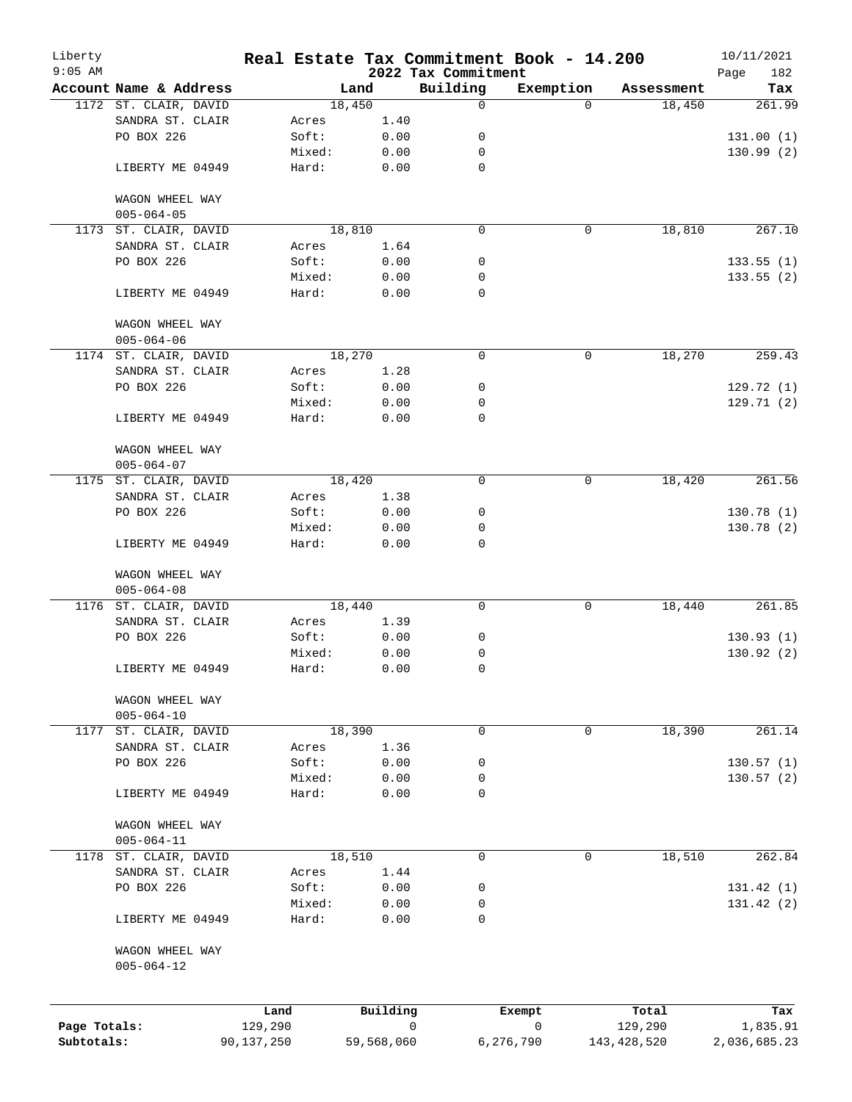| Liberty      |                                     |                 |                 |              |                                 | Real Estate Tax Commitment Book - 14.200 |                  | 10/11/2021         |
|--------------|-------------------------------------|-----------------|-----------------|--------------|---------------------------------|------------------------------------------|------------------|--------------------|
| $9:05$ AM    | Account Name & Address              |                 |                 | Land         | 2022 Tax Commitment<br>Building | Exemption                                | Assessment       | 182<br>Page<br>Tax |
|              | 1172 ST. CLAIR, DAVID               |                 | 18,450          |              | $\mathbf 0$                     | $\Omega$                                 | 18,450           | 261.99             |
|              | SANDRA ST. CLAIR                    |                 | Acres           | 1.40         |                                 |                                          |                  |                    |
|              | PO BOX 226                          |                 | Soft:           | 0.00         | 0                               |                                          |                  | 131.00(1)          |
|              |                                     |                 | Mixed:          | 0.00         | 0                               |                                          |                  | 130.99(2)          |
|              | LIBERTY ME 04949                    |                 | Hard:           | 0.00         | $\mathbf 0$                     |                                          |                  |                    |
|              | WAGON WHEEL WAY                     |                 |                 |              |                                 |                                          |                  |                    |
|              | $005 - 064 - 05$                    |                 |                 |              |                                 |                                          |                  |                    |
|              | 1173 ST. CLAIR, DAVID               |                 | 18,810          |              | $\mathbf 0$                     | 0                                        | 18,810           | 267.10             |
|              | SANDRA ST. CLAIR                    |                 | Acres           | 1.64         |                                 |                                          |                  |                    |
|              | PO BOX 226                          |                 | Soft:           | 0.00         | 0                               |                                          |                  | 133.55(1)          |
|              | LIBERTY ME 04949                    |                 | Mixed:<br>Hard: | 0.00<br>0.00 | 0<br>$\mathbf 0$                |                                          |                  | 133.55(2)          |
|              |                                     |                 |                 |              |                                 |                                          |                  |                    |
|              | WAGON WHEEL WAY<br>$005 - 064 - 06$ |                 |                 |              |                                 |                                          |                  |                    |
|              | 1174 ST. CLAIR, DAVID               |                 | 18,270          |              | $\mathbf 0$                     | 0                                        | 18,270           | 259.43             |
|              | SANDRA ST. CLAIR                    |                 | Acres           | 1.28         |                                 |                                          |                  |                    |
|              | PO BOX 226                          |                 | Soft:           | 0.00         | 0                               |                                          |                  | 129.72(1)          |
|              |                                     |                 | Mixed:          | 0.00         | 0                               |                                          |                  | 129.71(2)          |
|              | LIBERTY ME 04949                    |                 | Hard:           | 0.00         | $\mathbf 0$                     |                                          |                  |                    |
|              | WAGON WHEEL WAY                     |                 |                 |              |                                 |                                          |                  |                    |
|              | $005 - 064 - 07$                    |                 |                 |              |                                 |                                          |                  |                    |
|              | 1175 ST. CLAIR, DAVID               |                 | 18,420          |              | $\mathbf 0$                     | 0                                        | 18,420           | 261.56             |
|              | SANDRA ST. CLAIR                    |                 | Acres           | 1.38         |                                 |                                          |                  |                    |
|              | PO BOX 226                          |                 | Soft:           | 0.00         | 0                               |                                          |                  | 130.78(1)          |
|              |                                     |                 | Mixed:          | 0.00         | 0                               |                                          |                  | 130.78(2)          |
|              | LIBERTY ME 04949                    |                 | Hard:           | 0.00         | 0                               |                                          |                  |                    |
|              | WAGON WHEEL WAY<br>$005 - 064 - 08$ |                 |                 |              |                                 |                                          |                  |                    |
|              | 1176 ST. CLAIR, DAVID               |                 | 18,440          |              | $\mathbf 0$                     | 0                                        | 18,440           | 261.85             |
|              | SANDRA ST. CLAIR                    |                 | Acres           | 1.39         |                                 |                                          |                  |                    |
|              | PO BOX 226                          |                 | Soft:           | 0.00         | 0                               |                                          |                  | 130.93(1)          |
|              |                                     |                 | Mixed:          | 0.00         | 0                               |                                          |                  | 130.92(2)          |
|              | LIBERTY ME 04949                    |                 | Hard:           | 0.00         | $\mathbf 0$                     |                                          |                  |                    |
|              | WAGON WHEEL WAY                     |                 |                 |              |                                 |                                          |                  |                    |
|              | $005 - 064 - 10$                    |                 |                 |              |                                 |                                          |                  |                    |
| 1177         | ST. CLAIR, DAVID                    |                 | 18,390          |              | $\mathbf 0$                     | 0                                        | 18,390           | 261.14             |
|              | SANDRA ST. CLAIR                    |                 | Acres           | 1.36         |                                 |                                          |                  |                    |
|              | PO BOX 226                          |                 | Soft:           | 0.00         | 0                               |                                          |                  | 130.57(1)          |
|              |                                     |                 | Mixed:          | 0.00         | 0                               |                                          |                  | 130.57(2)          |
|              | LIBERTY ME 04949                    |                 | Hard:           | 0.00         | $\mathbf 0$                     |                                          |                  |                    |
|              | WAGON WHEEL WAY                     |                 |                 |              |                                 |                                          |                  |                    |
|              | $005 - 064 - 11$                    |                 |                 |              |                                 |                                          |                  |                    |
| 1178         | ST. CLAIR, DAVID                    |                 | 18,510          |              | $\mathbf 0$                     | 0                                        | 18,510           | 262.84             |
|              | SANDRA ST. CLAIR                    |                 | Acres           | 1.44         |                                 |                                          |                  |                    |
|              | PO BOX 226                          |                 | Soft:           | 0.00         | 0                               |                                          |                  | 131.42(1)          |
|              |                                     |                 | Mixed:          | 0.00         | 0                               |                                          |                  | 131.42(2)          |
|              | LIBERTY ME 04949                    |                 | Hard:           | 0.00         | 0                               |                                          |                  |                    |
|              | WAGON WHEEL WAY                     |                 |                 |              |                                 |                                          |                  |                    |
|              | $005 - 064 - 12$                    |                 |                 |              |                                 |                                          |                  |                    |
|              |                                     |                 |                 |              |                                 |                                          |                  |                    |
| Page Totals: |                                     | Land<br>129,290 |                 | Building     | $\mathbf 0$                     | Exempt<br>0                              | Total<br>129,290 | Tax<br>1,835.91    |
| Subtotals:   |                                     | 90,137,250      |                 | 59,568,060   |                                 | 6,276,790                                | 143, 428, 520    | 2,036,685.23       |
|              |                                     |                 |                 |              |                                 |                                          |                  |                    |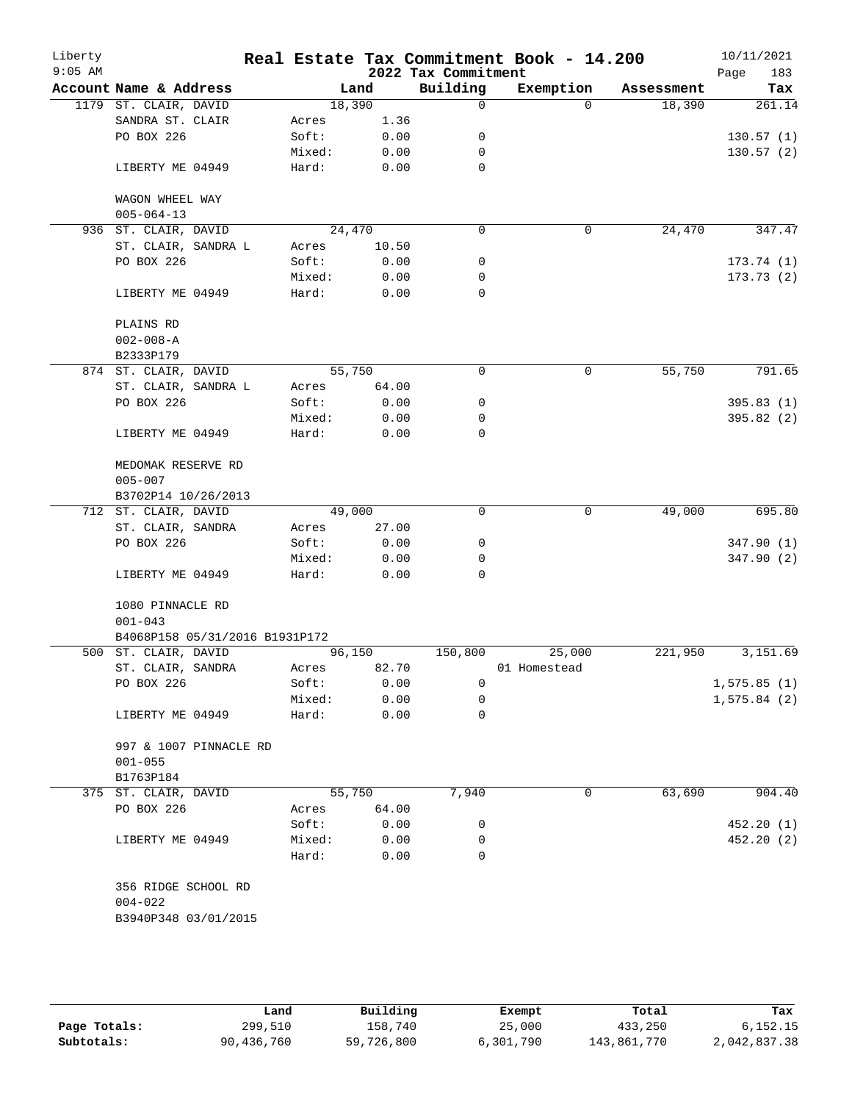| Liberty<br>$9:05$ AM |                                   |        |        | 2022 Tax Commitment | Real Estate Tax Commitment Book - 14.200 |            | 10/11/2021<br>183<br>Page |
|----------------------|-----------------------------------|--------|--------|---------------------|------------------------------------------|------------|---------------------------|
|                      | Account Name & Address            |        | Land   | Building            | Exemption                                | Assessment | Tax                       |
|                      | 1179 ST. CLAIR, DAVID             |        | 18,390 | $\mathbf 0$         | $\Omega$                                 | 18,390     | 261.14                    |
|                      | SANDRA ST. CLAIR                  | Acres  | 1.36   |                     |                                          |            |                           |
|                      | PO BOX 226                        | Soft:  | 0.00   | 0                   |                                          |            | 130.57(1)                 |
|                      |                                   | Mixed: | 0.00   | 0                   |                                          |            | 130.57(2)                 |
|                      | LIBERTY ME 04949                  | Hard:  | 0.00   | $\mathbf 0$         |                                          |            |                           |
|                      | WAGON WHEEL WAY                   |        |        |                     |                                          |            |                           |
|                      | $005 - 064 - 13$                  |        |        |                     |                                          |            |                           |
|                      | 936 ST. CLAIR, DAVID              |        | 24,470 | 0                   | $\mathbf 0$                              | 24,470     | 347.47                    |
|                      | ST. CLAIR, SANDRA L               | Acres  | 10.50  |                     |                                          |            |                           |
|                      | PO BOX 226                        | Soft:  | 0.00   | 0                   |                                          |            | 173.74(1)                 |
|                      |                                   | Mixed: | 0.00   | 0                   |                                          |            | 173.73(2)                 |
|                      | LIBERTY ME 04949                  | Hard:  | 0.00   | $\mathbf 0$         |                                          |            |                           |
|                      | PLAINS RD                         |        |        |                     |                                          |            |                           |
|                      | $002 - 008 - A$                   |        |        |                     |                                          |            |                           |
|                      | B2333P179                         |        |        |                     |                                          |            |                           |
|                      | 874 ST. CLAIR, DAVID              |        | 55,750 | $\mathbf 0$         | 0                                        | 55,750     | 791.65                    |
|                      | ST. CLAIR, SANDRA L               | Acres  | 64.00  |                     |                                          |            |                           |
|                      | PO BOX 226                        | Soft:  | 0.00   | 0                   |                                          |            | 395.83(1)                 |
|                      |                                   | Mixed: | 0.00   | 0                   |                                          |            | 395.82(2)                 |
|                      | LIBERTY ME 04949                  | Hard:  | 0.00   | 0                   |                                          |            |                           |
|                      | MEDOMAK RESERVE RD<br>$005 - 007$ |        |        |                     |                                          |            |                           |
|                      | B3702P14 10/26/2013               |        |        |                     |                                          |            |                           |
|                      | 712 ST. CLAIR, DAVID              |        | 49,000 | $\Omega$            | 0                                        | 49,000     | 695.80                    |
|                      | ST. CLAIR, SANDRA                 | Acres  | 27.00  |                     |                                          |            |                           |
|                      | PO BOX 226                        | Soft:  | 0.00   | 0                   |                                          |            | 347.90 (1)                |
|                      |                                   | Mixed: | 0.00   | 0                   |                                          |            | 347.90 (2)                |
|                      | LIBERTY ME 04949                  | Hard:  | 0.00   | $\Omega$            |                                          |            |                           |
|                      | 1080 PINNACLE RD                  |        |        |                     |                                          |            |                           |
|                      | $001 - 043$                       |        |        |                     |                                          |            |                           |
|                      | B4068P158 05/31/2016 B1931P172    |        |        |                     |                                          |            |                           |
|                      | 500 ST. CLAIR, DAVID              |        | 96,150 | 150,800             | 25,000                                   | 221,950    | 3,151.69                  |
|                      | ST. CLAIR, SANDRA                 | Acres  | 82.70  |                     | 01 Homestead                             |            |                           |
|                      | PO BOX 226                        | Soft:  | 0.00   | 0                   |                                          |            | 1,575.85(1)               |
|                      |                                   | Mixed: | 0.00   | 0                   |                                          |            | 1,575.84(2)               |
|                      | LIBERTY ME 04949                  | Hard:  | 0.00   | 0                   |                                          |            |                           |
|                      | 997 & 1007 PINNACLE RD            |        |        |                     |                                          |            |                           |
|                      | $001 - 055$                       |        |        |                     |                                          |            |                           |
|                      | B1763P184                         |        |        |                     |                                          |            |                           |
|                      | 375 ST. CLAIR, DAVID              |        | 55,750 | 7,940               | 0                                        | 63,690     | 904.40                    |
|                      | PO BOX 226                        | Acres  | 64.00  |                     |                                          |            |                           |
|                      |                                   | Soft:  | 0.00   | 0                   |                                          |            | 452.20(1)                 |
|                      | LIBERTY ME 04949                  | Mixed: | 0.00   | 0                   |                                          |            | 452.20(2)                 |
|                      |                                   | Hard:  | 0.00   | 0                   |                                          |            |                           |
|                      | 356 RIDGE SCHOOL RD               |        |        |                     |                                          |            |                           |
|                      | $004 - 022$                       |        |        |                     |                                          |            |                           |
|                      | B3940P348 03/01/2015              |        |        |                     |                                          |            |                           |
|                      |                                   |        |        |                     |                                          |            |                           |
|                      |                                   |        |        |                     |                                          |            |                           |

|              | Land       | Building   | Exempt    | Total       | Tax          |
|--------------|------------|------------|-----------|-------------|--------------|
| Page Totals: | 299,510    | 158,740    | 25,000    | 433,250     | 6.152.15     |
| Subtotals:   | 90,436,760 | 59,726,800 | 6,301,790 | 143,861,770 | 2,042,837.38 |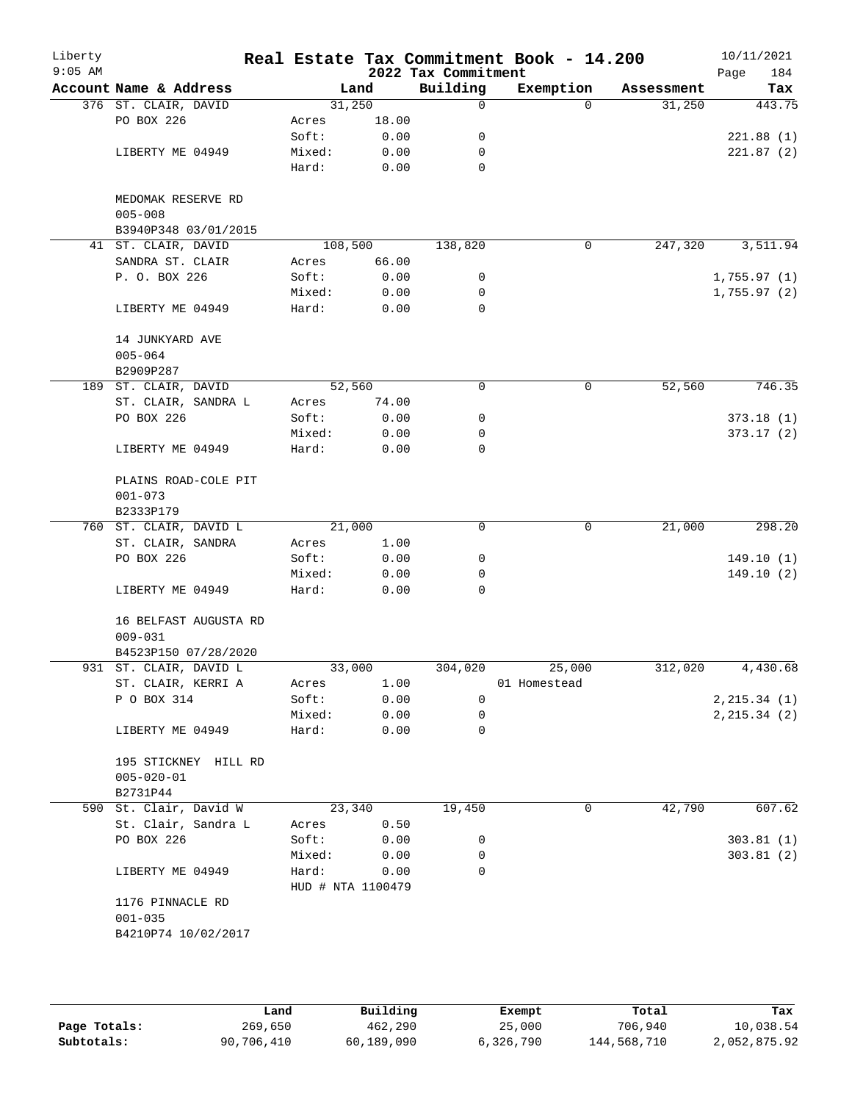| Liberty<br>$9:05$ AM |                                          |                   |        | 2022 Tax Commitment | Real Estate Tax Commitment Book - 14.200 |            | 10/11/2021<br>Page<br>184 |
|----------------------|------------------------------------------|-------------------|--------|---------------------|------------------------------------------|------------|---------------------------|
|                      | Account Name & Address                   |                   | Land   | Building            | Exemption                                | Assessment | Tax                       |
|                      | 376 ST. CLAIR, DAVID                     |                   | 31,250 | 0                   | $\Omega$                                 | 31,250     | 443.75                    |
|                      | PO BOX 226                               | Acres             | 18.00  |                     |                                          |            |                           |
|                      |                                          | Soft:             | 0.00   | 0                   |                                          |            | 221.88(1)                 |
|                      | LIBERTY ME 04949                         | Mixed:            | 0.00   | 0                   |                                          |            | 221.87(2)                 |
|                      |                                          | Hard:             | 0.00   | 0                   |                                          |            |                           |
|                      | MEDOMAK RESERVE RD                       |                   |        |                     |                                          |            |                           |
|                      | $005 - 008$                              |                   |        |                     |                                          |            |                           |
|                      | B3940P348 03/01/2015                     |                   |        |                     |                                          |            |                           |
|                      | 41 ST. CLAIR, DAVID                      | 108,500           |        | 138,820             | 0                                        | 247,320    | 3,511.94                  |
|                      | SANDRA ST. CLAIR                         | Acres             | 66.00  |                     |                                          |            |                           |
|                      | P. O. BOX 226                            | Soft:             | 0.00   | 0                   |                                          |            | 1,755.97(1)               |
|                      |                                          | Mixed:            | 0.00   | 0                   |                                          |            | 1,755.97(2)               |
|                      | LIBERTY ME 04949                         | Hard:             | 0.00   | 0                   |                                          |            |                           |
|                      | 14 JUNKYARD AVE                          |                   |        |                     |                                          |            |                           |
|                      | $005 - 064$                              |                   |        |                     |                                          |            |                           |
|                      | B2909P287                                |                   |        |                     |                                          |            |                           |
|                      | 189 ST. CLAIR, DAVID                     |                   | 52,560 | 0                   | 0                                        | 52,560     | 746.35                    |
|                      | ST. CLAIR, SANDRA L                      | Acres             | 74.00  |                     |                                          |            |                           |
|                      | PO BOX 226                               | Soft:             | 0.00   | 0                   |                                          |            | 373.18(1)                 |
|                      |                                          | Mixed:            | 0.00   | 0                   |                                          |            | 373.17(2)                 |
|                      | LIBERTY ME 04949                         | Hard:             | 0.00   | 0                   |                                          |            |                           |
|                      | PLAINS ROAD-COLE PIT<br>$001 - 073$      |                   |        |                     |                                          |            |                           |
|                      | B2333P179                                |                   |        |                     |                                          |            |                           |
|                      | 760 ST. CLAIR, DAVID L                   |                   | 21,000 | 0                   | 0                                        | 21,000     | 298.20                    |
|                      | ST. CLAIR, SANDRA                        | Acres             | 1.00   |                     |                                          |            |                           |
|                      | PO BOX 226                               | Soft:             | 0.00   | 0                   |                                          |            | 149.10(1)                 |
|                      |                                          | Mixed:            | 0.00   | 0                   |                                          |            | 149.10(2)                 |
|                      | LIBERTY ME 04949                         | Hard:             | 0.00   | 0                   |                                          |            |                           |
|                      | 16 BELFAST AUGUSTA RD<br>$009 - 031$     |                   |        |                     |                                          |            |                           |
|                      | B4523P150 07/28/2020                     |                   |        |                     |                                          |            |                           |
|                      | 931 ST. CLAIR, DAVID L                   |                   | 33,000 | 304,020             | 25,000                                   | 312,020    | 4,430.68                  |
|                      | ST. CLAIR, KERRI A                       | Acres             | 1.00   |                     | 01 Homestead                             |            |                           |
|                      | P O BOX 314                              | Soft:             | 0.00   | 0                   |                                          |            | 2, 215.34 (1)             |
|                      |                                          | Mixed:            | 0.00   | 0                   |                                          |            | 2, 215.34 (2)             |
|                      | LIBERTY ME 04949                         | Hard:             | 0.00   | 0                   |                                          |            |                           |
|                      | 195 STICKNEY HILL RD<br>$005 - 020 - 01$ |                   |        |                     |                                          |            |                           |
|                      | B2731P44                                 |                   |        |                     |                                          |            |                           |
|                      | 590 St. Clair, David W                   |                   | 23,340 | 19,450              | 0                                        | 42,790     | 607.62                    |
|                      | St. Clair, Sandra L                      |                   |        |                     |                                          |            |                           |
|                      |                                          | Acres             | 0.50   |                     |                                          |            |                           |
|                      | PO BOX 226                               | Soft:             | 0.00   | 0                   |                                          |            | 303.81(1)                 |
|                      |                                          | Mixed:            | 0.00   | 0                   |                                          |            | 303.81(2)                 |
|                      | LIBERTY ME 04949                         | Hard:             | 0.00   | 0                   |                                          |            |                           |
|                      |                                          | HUD # NTA 1100479 |        |                     |                                          |            |                           |
|                      | 1176 PINNACLE RD                         |                   |        |                     |                                          |            |                           |
|                      | $001 - 035$                              |                   |        |                     |                                          |            |                           |
|                      | B4210P74 10/02/2017                      |                   |        |                     |                                          |            |                           |
|                      |                                          |                   |        |                     |                                          |            |                           |
|                      |                                          |                   |        |                     |                                          |            |                           |

|              | Land       | Building   | Exempt    | Total       | Tax          |
|--------------|------------|------------|-----------|-------------|--------------|
| Page Totals: | 269,650    | 462,290    | 25,000    | 706,940     | 10,038.54    |
| Subtotals:   | 90,706,410 | 60,189,090 | 6,326,790 | 144,568,710 | 2,052,875.92 |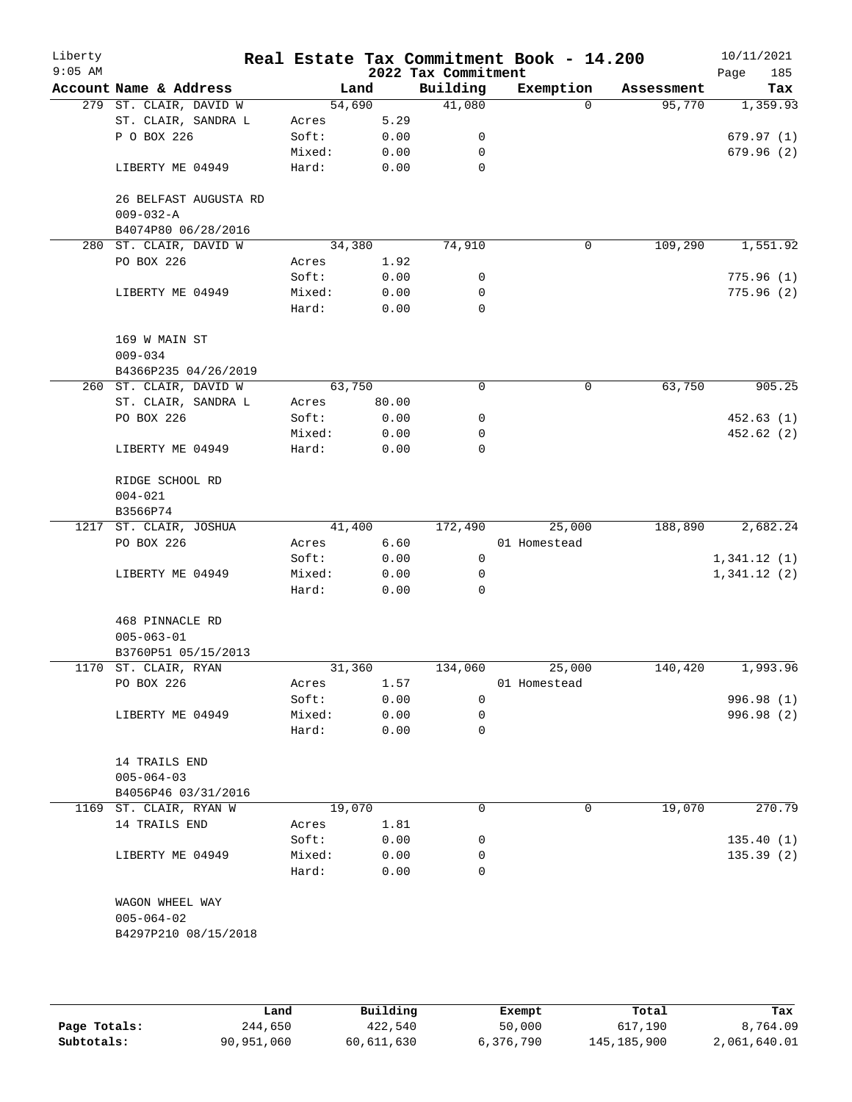| Liberty<br>$9:05$ AM |                                          |        |        | 2022 Tax Commitment | Real Estate Tax Commitment Book - 14.200 |            | 10/11/2021<br>185<br>Page |
|----------------------|------------------------------------------|--------|--------|---------------------|------------------------------------------|------------|---------------------------|
|                      | Account Name & Address                   |        | Land   | Building            | Exemption                                | Assessment | Tax                       |
|                      | 279 ST. CLAIR, DAVID W                   | 54,690 |        | 41,080              | $\Omega$                                 | 95,770     | 1,359.93                  |
|                      | ST. CLAIR, SANDRA L                      | Acres  | 5.29   |                     |                                          |            |                           |
|                      | P O BOX 226                              | Soft:  | 0.00   | 0                   |                                          |            | 679.97(1)                 |
|                      |                                          | Mixed: | 0.00   | 0                   |                                          |            | 679.96(2)                 |
|                      | LIBERTY ME 04949                         | Hard:  | 0.00   | $\mathbf 0$         |                                          |            |                           |
|                      | 26 BELFAST AUGUSTA RD<br>$009 - 032 - A$ |        |        |                     |                                          |            |                           |
|                      | B4074P80 06/28/2016                      |        |        |                     |                                          |            |                           |
| 280                  | ST. CLAIR, DAVID W                       |        | 34,380 | 74,910              | 0                                        | 109,290    | 1,551.92                  |
|                      | PO BOX 226                               | Acres  | 1.92   |                     |                                          |            |                           |
|                      |                                          | Soft:  | 0.00   | 0                   |                                          |            | 775.96(1)                 |
|                      | LIBERTY ME 04949                         | Mixed: | 0.00   | 0                   |                                          |            | 775.96(2)                 |
|                      |                                          | Hard:  | 0.00   | $\mathbf 0$         |                                          |            |                           |
|                      | 169 W MAIN ST                            |        |        |                     |                                          |            |                           |
|                      | $009 - 034$                              |        |        |                     |                                          |            |                           |
|                      | B4366P235 04/26/2019                     |        |        |                     |                                          |            |                           |
|                      | 260 ST. CLAIR, DAVID W                   | 63,750 |        | 0                   | 0                                        | 63,750     | 905.25                    |
|                      | ST. CLAIR, SANDRA L                      | Acres  | 80.00  |                     |                                          |            |                           |
|                      | PO BOX 226                               | Soft:  | 0.00   | 0                   |                                          |            | 452.63(1)                 |
|                      |                                          | Mixed: | 0.00   | 0                   |                                          |            | 452.62 (2)                |
|                      | LIBERTY ME 04949                         | Hard:  | 0.00   | 0                   |                                          |            |                           |
|                      | RIDGE SCHOOL RD                          |        |        |                     |                                          |            |                           |
|                      | $004 - 021$                              |        |        |                     |                                          |            |                           |
|                      | B3566P74                                 |        |        |                     |                                          |            |                           |
|                      | 1217 ST. CLAIR, JOSHUA                   |        | 41,400 | 172,490             | 25,000                                   | 188,890    | 2,682.24                  |
|                      | PO BOX 226                               | Acres  | 6.60   |                     | 01 Homestead                             |            |                           |
|                      |                                          | Soft:  | 0.00   | $\mathsf{O}$        |                                          |            | 1,341.12(1)               |
|                      | LIBERTY ME 04949                         | Mixed: | 0.00   | 0                   |                                          |            | 1,341.12(2)               |
|                      |                                          | Hard:  | 0.00   | 0                   |                                          |            |                           |
|                      | 468 PINNACLE RD                          |        |        |                     |                                          |            |                           |
|                      | $005 - 063 - 01$                         |        |        |                     |                                          |            |                           |
|                      | B3760P51 05/15/2013                      |        |        |                     |                                          |            |                           |
|                      | 1170 ST. CLAIR, RYAN                     | 31,360 |        | 134,060             | 25,000                                   | 140,420    | 1,993.96                  |
|                      | PO BOX 226                               | Acres  | 1.57   |                     | 01 Homestead                             |            |                           |
|                      |                                          | Soft:  | 0.00   | $\Omega$            |                                          |            | 996.98 (1)                |
|                      | LIBERTY ME 04949                         | Mixed: | 0.00   | 0                   |                                          |            | 996.98 (2)                |
|                      |                                          | Hard:  | 0.00   | 0                   |                                          |            |                           |
|                      | 14 TRAILS END                            |        |        |                     |                                          |            |                           |
|                      | $005 - 064 - 03$                         |        |        |                     |                                          |            |                           |
|                      | B4056P46 03/31/2016                      |        |        |                     |                                          |            |                           |
|                      | 1169 ST. CLAIR, RYAN W                   | 19,070 |        | 0                   | 0                                        | 19,070     | 270.79                    |
|                      | 14 TRAILS END                            | Acres  | 1.81   |                     |                                          |            |                           |
|                      |                                          | Soft:  | 0.00   | 0                   |                                          |            | 135.40(1)                 |
|                      | LIBERTY ME 04949                         | Mixed: | 0.00   | 0                   |                                          |            | 135.39(2)                 |
|                      |                                          | Hard:  | 0.00   | $\Omega$            |                                          |            |                           |
|                      | WAGON WHEEL WAY                          |        |        |                     |                                          |            |                           |
|                      | $005 - 064 - 02$                         |        |        |                     |                                          |            |                           |
|                      | B4297P210 08/15/2018                     |        |        |                     |                                          |            |                           |
|                      |                                          |        |        |                     |                                          |            |                           |
|                      |                                          |        |        |                     |                                          |            |                           |
|                      |                                          |        |        |                     |                                          |            |                           |

|              | Land       | Building   | Exempt    | Total       | Tax          |
|--------------|------------|------------|-----------|-------------|--------------|
| Page Totals: | 244,650    | 422,540    | 50,000    | 617,190     | 8,764.09     |
| Subtotals:   | 90,951,060 | 60,611,630 | 6,376,790 | 145,185,900 | 2,061,640.01 |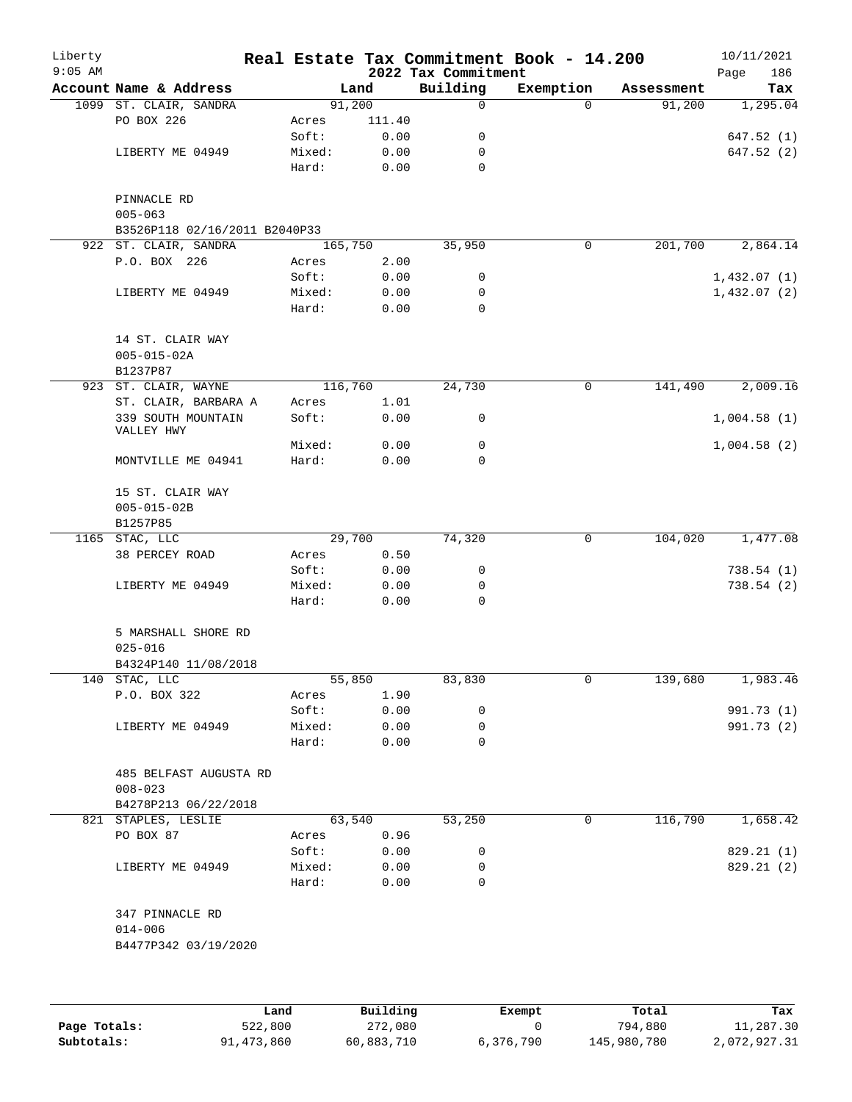| Liberty<br>$9:05$ AM |                                       |         |        | 2022 Tax Commitment | Real Estate Tax Commitment Book - 14.200 |            | 10/11/2021<br>186<br>Page |
|----------------------|---------------------------------------|---------|--------|---------------------|------------------------------------------|------------|---------------------------|
|                      | Account Name & Address                |         | Land   | Building            | Exemption                                | Assessment | Tax                       |
|                      | 1099 ST. CLAIR, SANDRA                | 91,200  |        | 0                   | $\Omega$                                 | 91,200     | 1,295.04                  |
|                      | PO BOX 226                            | Acres   | 111.40 |                     |                                          |            |                           |
|                      |                                       | Soft:   | 0.00   | 0                   |                                          |            | 647.52(1)                 |
|                      | LIBERTY ME 04949                      | Mixed:  | 0.00   | 0                   |                                          |            | 647.52 (2)                |
|                      |                                       | Hard:   | 0.00   | 0                   |                                          |            |                           |
|                      | PINNACLE RD<br>$005 - 063$            |         |        |                     |                                          |            |                           |
|                      | B3526P118 02/16/2011 B2040P33         |         |        |                     |                                          |            |                           |
|                      | 922 ST. CLAIR, SANDRA                 | 165,750 |        | 35,950              | 0                                        | 201,700    | 2,864.14                  |
|                      | P.O. BOX 226                          | Acres   | 2.00   |                     |                                          |            |                           |
|                      |                                       | Soft:   | 0.00   | 0                   |                                          |            | 1,432.07(1)               |
|                      | LIBERTY ME 04949                      | Mixed:  | 0.00   | 0                   |                                          |            | 1,432.07(2)               |
|                      |                                       | Hard:   | 0.00   | $\Omega$            |                                          |            |                           |
|                      | 14 ST. CLAIR WAY<br>$005 - 015 - 02A$ |         |        |                     |                                          |            |                           |
|                      | B1237P87                              |         |        |                     |                                          |            |                           |
|                      | 923 ST. CLAIR, WAYNE                  | 116,760 |        | 24,730              | 0                                        | 141,490    | 2,009.16                  |
|                      | ST. CLAIR, BARBARA A                  | Acres   | 1.01   |                     |                                          |            |                           |
|                      | 339 SOUTH MOUNTAIN<br>VALLEY HWY      | Soft:   | 0.00   | 0                   |                                          |            | 1,004.58(1)               |
|                      |                                       | Mixed:  | 0.00   | 0                   |                                          |            | 1,004.58(2)               |
|                      | MONTVILLE ME 04941                    | Hard:   | 0.00   | 0                   |                                          |            |                           |
|                      | 15 ST. CLAIR WAY<br>$005 - 015 - 02B$ |         |        |                     |                                          |            |                           |
| 1165                 | B1257P85                              |         | 29,700 |                     | 0                                        |            |                           |
|                      | STAC, LLC                             |         |        | 74,320              |                                          | 104,020    | 1,477.08                  |
|                      | 38 PERCEY ROAD                        | Acres   | 0.50   |                     |                                          |            |                           |
|                      |                                       | Soft:   | 0.00   | 0                   |                                          |            | 738.54(1)                 |
|                      | LIBERTY ME 04949                      | Mixed:  | 0.00   | 0                   |                                          |            | 738.54(2)                 |
|                      |                                       | Hard:   | 0.00   | 0                   |                                          |            |                           |
|                      | 5 MARSHALL SHORE RD<br>$025 - 016$    |         |        |                     |                                          |            |                           |
|                      | B4324P140 11/08/2018                  |         |        |                     |                                          |            |                           |
|                      | 140 STAC, LLC                         |         | 55,850 | 83,830              | 0                                        | 139,680    | 1,983.46                  |
|                      | P.O. BOX 322                          | Acres   | 1.90   |                     |                                          |            |                           |
|                      |                                       | Soft:   | 0.00   | 0                   |                                          |            | 991.73 (1)                |
|                      | LIBERTY ME 04949                      | Mixed:  | 0.00   | 0                   |                                          |            | 991.73 (2)                |
|                      |                                       | Hard:   | 0.00   | $\Omega$            |                                          |            |                           |
|                      | 485 BELFAST AUGUSTA RD<br>$008 - 023$ |         |        |                     |                                          |            |                           |
|                      | B4278P213 06/22/2018                  |         |        |                     |                                          |            |                           |
|                      | 821 STAPLES, LESLIE                   |         | 63,540 | 53,250              | $\mathsf{O}$                             | 116,790    | 1,658.42                  |
|                      | PO BOX 87                             | Acres   | 0.96   |                     |                                          |            |                           |
|                      |                                       | Soft:   | 0.00   | 0                   |                                          |            | 829.21 (1)                |
|                      | LIBERTY ME 04949                      | Mixed:  | 0.00   | 0                   |                                          |            | 829.21 (2)                |
|                      |                                       | Hard:   | 0.00   | 0                   |                                          |            |                           |
|                      | 347 PINNACLE RD                       |         |        |                     |                                          |            |                           |
|                      | $014 - 006$                           |         |        |                     |                                          |            |                           |
|                      | B4477P342 03/19/2020                  |         |        |                     |                                          |            |                           |
|                      |                                       |         |        |                     |                                          |            |                           |
|                      |                                       |         |        |                     |                                          |            |                           |

|              | Land       | Building   | Exempt    | Total       | Tax          |
|--------------|------------|------------|-----------|-------------|--------------|
| Page Totals: | 522,800    | 272,080    |           | 794,880     | 11,287.30    |
| Subtotals:   | 91,473,860 | 60,883,710 | 6,376,790 | 145,980,780 | 2,072,927.31 |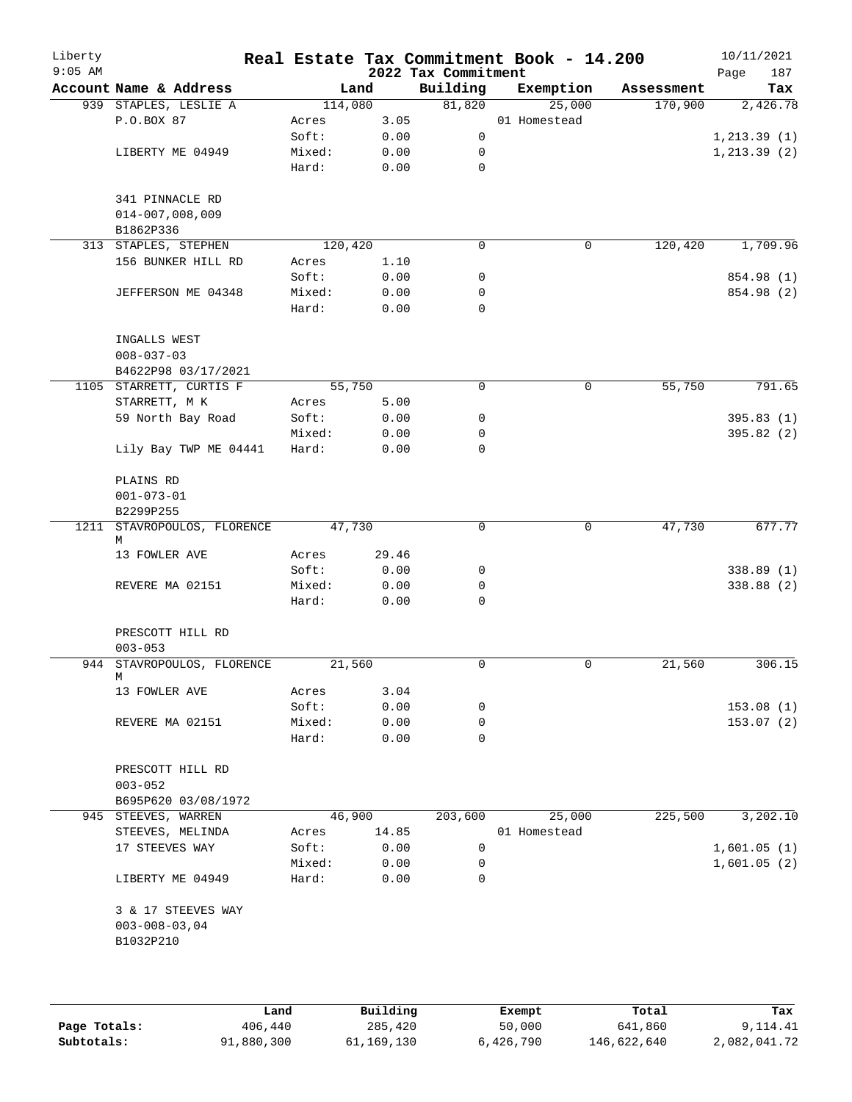| Liberty<br>$9:05$ AM |                                  |         |       | 2022 Tax Commitment | Real Estate Tax Commitment Book - 14.200 |            | 10/11/2021<br>187<br>Page |
|----------------------|----------------------------------|---------|-------|---------------------|------------------------------------------|------------|---------------------------|
|                      | Account Name & Address           | Land    |       | Building            | Exemption                                | Assessment | Tax                       |
|                      | 939 STAPLES, LESLIE A            | 114,080 |       | 81,820              | 25,000                                   | 170,900    | 2,426.78                  |
|                      | P.O.BOX 87                       | Acres   | 3.05  |                     | 01 Homestead                             |            |                           |
|                      |                                  | Soft:   | 0.00  | 0                   |                                          |            | 1, 213.39(1)              |
|                      | LIBERTY ME 04949                 | Mixed:  | 0.00  | 0                   |                                          |            | 1, 213.39(2)              |
|                      |                                  | Hard:   | 0.00  | $\mathbf 0$         |                                          |            |                           |
|                      | 341 PINNACLE RD                  |         |       |                     |                                          |            |                           |
|                      | $014 - 007,008,009$              |         |       |                     |                                          |            |                           |
|                      | B1862P336                        |         |       |                     |                                          |            |                           |
|                      | 313 STAPLES, STEPHEN             | 120,420 |       | $\mathbf 0$         | 0                                        | 120,420    | 1,709.96                  |
|                      | 156 BUNKER HILL RD               | Acres   | 1.10  |                     |                                          |            |                           |
|                      |                                  | Soft:   | 0.00  | 0                   |                                          |            | 854.98 (1)                |
|                      | JEFFERSON ME 04348               | Mixed:  | 0.00  | 0                   |                                          |            | 854.98 (2)                |
|                      |                                  | Hard:   | 0.00  | $\mathbf 0$         |                                          |            |                           |
|                      | INGALLS WEST                     |         |       |                     |                                          |            |                           |
|                      | $008 - 037 - 03$                 |         |       |                     |                                          |            |                           |
|                      | B4622P98 03/17/2021              |         |       |                     |                                          |            |                           |
|                      | 1105 STARRETT, CURTIS F          | 55,750  |       | 0                   | 0                                        | 55,750     | 791.65                    |
|                      | STARRETT, M K                    | Acres   | 5.00  |                     |                                          |            |                           |
|                      | 59 North Bay Road                | Soft:   | 0.00  | 0                   |                                          |            | 395.83(1)                 |
|                      |                                  | Mixed:  | 0.00  | 0                   |                                          |            | 395.82 (2)                |
|                      | Lily Bay TWP ME 04441            | Hard:   | 0.00  | $\mathbf 0$         |                                          |            |                           |
|                      | PLAINS RD                        |         |       |                     |                                          |            |                           |
|                      | $001 - 073 - 01$                 |         |       |                     |                                          |            |                           |
|                      | B2299P255                        |         |       |                     |                                          |            |                           |
|                      | 1211 STAVROPOULOS, FLORENCE<br>M | 47,730  |       | $\mathbf 0$         | $\mathbf 0$                              | 47,730     | 677.77                    |
|                      | 13 FOWLER AVE                    | Acres   | 29.46 |                     |                                          |            |                           |
|                      |                                  | Soft:   | 0.00  | 0                   |                                          |            | 338.89(1)                 |
|                      | REVERE MA 02151                  | Mixed:  | 0.00  | 0                   |                                          |            | 338.88 (2)                |
|                      |                                  | Hard:   | 0.00  | $\mathbf 0$         |                                          |            |                           |
|                      | PRESCOTT HILL RD                 |         |       |                     |                                          |            |                           |
|                      | $003 - 053$                      |         |       |                     |                                          |            |                           |
|                      | 944 STAVROPOULOS, FLORENCE       | 21,560  |       | 0                   | 0                                        | 21,560     | 306.15                    |
|                      | M                                |         |       |                     |                                          |            |                           |
|                      | 13 FOWLER AVE                    | Acres   | 3.04  |                     |                                          |            |                           |
|                      |                                  | Soft:   | 0.00  | 0                   |                                          |            | 153.08(1)                 |
|                      | REVERE MA 02151                  | Mixed:  | 0.00  | 0                   |                                          |            | 153.07 (2)                |
|                      |                                  | Hard:   | 0.00  | 0                   |                                          |            |                           |
|                      | PRESCOTT HILL RD                 |         |       |                     |                                          |            |                           |
|                      | $003 - 052$                      |         |       |                     |                                          |            |                           |
|                      | B695P620 03/08/1972              |         |       |                     |                                          |            |                           |
|                      | 945 STEEVES, WARREN              | 46,900  |       | 203,600             | 25,000                                   | 225,500    | 3,202.10                  |
|                      | STEEVES, MELINDA                 | Acres   | 14.85 |                     | 01 Homestead                             |            |                           |
|                      | 17 STEEVES WAY                   | Soft:   | 0.00  | 0                   |                                          |            | 1,601.05(1)               |
|                      |                                  | Mixed:  | 0.00  | 0                   |                                          |            | 1,601.05(2)               |
|                      | LIBERTY ME 04949                 | Hard:   | 0.00  | 0                   |                                          |            |                           |
|                      | 3 & 17 STEEVES WAY               |         |       |                     |                                          |            |                           |
|                      | $003 - 008 - 03,04$              |         |       |                     |                                          |            |                           |
|                      | B1032P210                        |         |       |                     |                                          |            |                           |
|                      |                                  |         |       |                     |                                          |            |                           |
|                      |                                  |         |       |                     |                                          |            |                           |
|                      |                                  |         |       |                     |                                          |            |                           |

|              | Land       | Building   | Exempt    | Total       | Tax          |
|--------------|------------|------------|-----------|-------------|--------------|
| Page Totals: | 406,440    | 285,420    | 50,000    | 641,860     | 9,114.41     |
| Subtotals:   | 91,880,300 | 61,169,130 | 6,426,790 | 146,622,640 | 2,082,041.72 |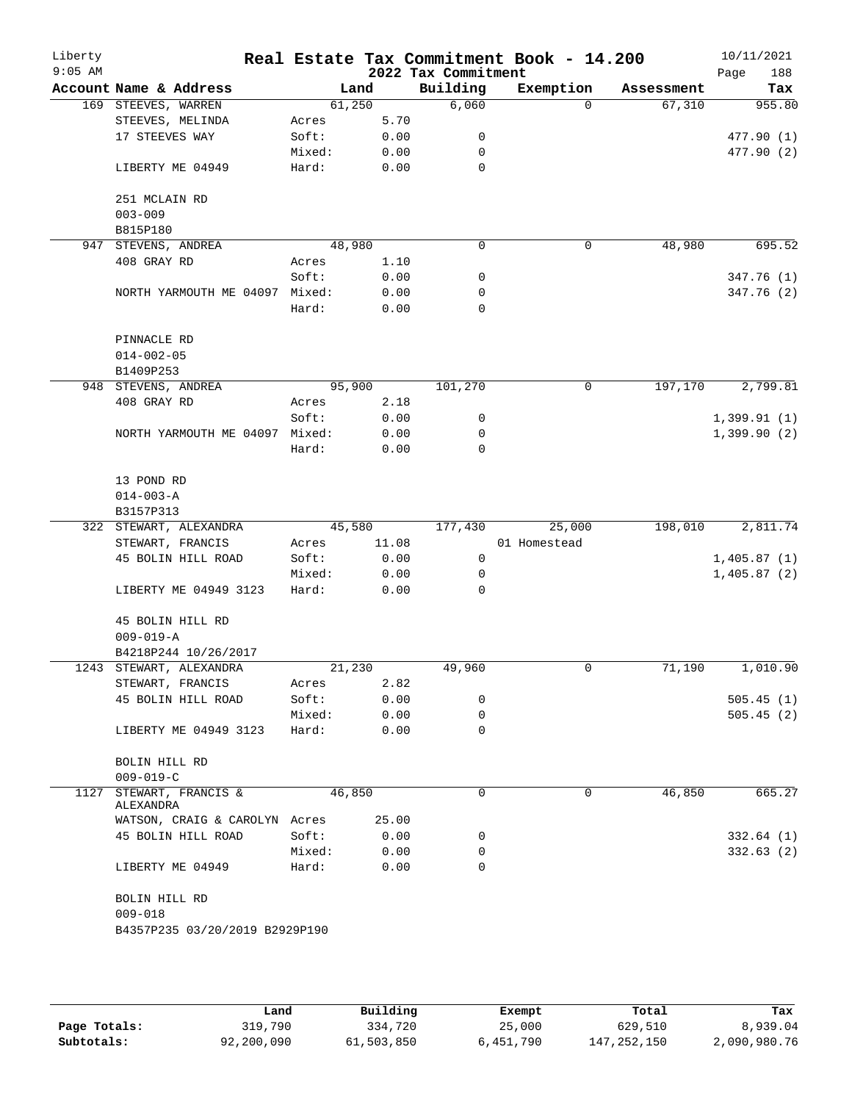| Liberty<br>$9:05$ AM |                                |        |       | 2022 Tax Commitment | Real Estate Tax Commitment Book - 14.200 |            | 10/11/2021<br>188<br>Page |
|----------------------|--------------------------------|--------|-------|---------------------|------------------------------------------|------------|---------------------------|
|                      | Account Name & Address         |        | Land  | Building            | Exemption                                | Assessment | Tax                       |
|                      | 169 STEEVES, WARREN            | 61,250 |       | 6,060               | $\Omega$                                 | 67,310     | 955.80                    |
|                      | STEEVES, MELINDA               | Acres  | 5.70  |                     |                                          |            |                           |
|                      | 17 STEEVES WAY                 | Soft:  | 0.00  | 0                   |                                          |            | 477.90 (1)                |
|                      |                                | Mixed: | 0.00  | 0                   |                                          |            | 477.90 (2)                |
|                      |                                |        |       | $\mathbf 0$         |                                          |            |                           |
|                      | LIBERTY ME 04949               | Hard:  | 0.00  |                     |                                          |            |                           |
|                      |                                |        |       |                     |                                          |            |                           |
|                      | 251 MCLAIN RD                  |        |       |                     |                                          |            |                           |
|                      | $003 - 009$                    |        |       |                     |                                          |            |                           |
|                      | B815P180                       |        |       | $\mathbf 0$         |                                          |            |                           |
| 947                  | STEVENS, ANDREA                | 48,980 |       |                     | 0                                        | 48,980     | 695.52                    |
|                      | 408 GRAY RD                    | Acres  | 1.10  |                     |                                          |            |                           |
|                      |                                | Soft:  | 0.00  | 0                   |                                          |            | 347.76 (1)                |
|                      | NORTH YARMOUTH ME 04097 Mixed: |        | 0.00  | 0                   |                                          |            | 347.76 (2)                |
|                      |                                | Hard:  | 0.00  | 0                   |                                          |            |                           |
|                      |                                |        |       |                     |                                          |            |                           |
|                      | PINNACLE RD                    |        |       |                     |                                          |            |                           |
|                      | $014 - 002 - 05$               |        |       |                     |                                          |            |                           |
|                      | B1409P253                      |        |       |                     |                                          |            |                           |
|                      | 948 STEVENS, ANDREA            | 95,900 |       | 101,270             | 0                                        | 197,170    | 2,799.81                  |
|                      | 408 GRAY RD                    | Acres  | 2.18  |                     |                                          |            |                           |
|                      |                                | Soft:  | 0.00  | 0                   |                                          |            | 1,399.91(1)               |
|                      | NORTH YARMOUTH ME 04097 Mixed: |        | 0.00  | 0                   |                                          |            | 1,399.90(2)               |
|                      |                                | Hard:  | 0.00  | $\mathbf 0$         |                                          |            |                           |
|                      |                                |        |       |                     |                                          |            |                           |
|                      | 13 POND RD                     |        |       |                     |                                          |            |                           |
|                      | $014 - 003 - A$                |        |       |                     |                                          |            |                           |
|                      | B3157P313                      |        |       |                     |                                          |            |                           |
|                      | 322 STEWART, ALEXANDRA         | 45,580 |       | 177,430             | 25,000                                   | 198,010    | 2,811.74                  |
|                      | STEWART, FRANCIS               | Acres  | 11.08 |                     | 01 Homestead                             |            |                           |
|                      | 45 BOLIN HILL ROAD             | Soft:  | 0.00  | 0                   |                                          |            | 1,405.87(1)               |
|                      |                                | Mixed: | 0.00  | 0                   |                                          |            | 1,405.87(2)               |
|                      | LIBERTY ME 04949 3123          | Hard:  | 0.00  | $\Omega$            |                                          |            |                           |
|                      |                                |        |       |                     |                                          |            |                           |
|                      | 45 BOLIN HILL RD               |        |       |                     |                                          |            |                           |
|                      |                                |        |       |                     |                                          |            |                           |
|                      | $009 - 019 - A$                |        |       |                     |                                          |            |                           |
|                      | B4218P244 10/26/2017           |        |       |                     |                                          |            |                           |
|                      | 1243 STEWART, ALEXANDRA        | 21,230 |       | 49,960              | 0                                        | 71,190     | 1,010.90                  |
|                      | STEWART, FRANCIS               | Acres  | 2.82  |                     |                                          |            |                           |
|                      | 45 BOLIN HILL ROAD             | Soft:  | 0.00  | 0                   |                                          |            | 505.45(1)                 |
|                      |                                | Mixed: | 0.00  | 0                   |                                          |            | 505.45(2)                 |
|                      | LIBERTY ME 04949 3123          | Hard:  | 0.00  | 0                   |                                          |            |                           |
|                      |                                |        |       |                     |                                          |            |                           |
|                      | BOLIN HILL RD                  |        |       |                     |                                          |            |                           |
|                      | $009 - 019 - C$                |        |       |                     |                                          |            |                           |
| 1127                 | STEWART, FRANCIS &             | 46,850 |       | 0                   | 0                                        | 46,850     | 665.27                    |
|                      | ALEXANDRA                      |        |       |                     |                                          |            |                           |
|                      | WATSON, CRAIG & CAROLYN Acres  |        | 25.00 |                     |                                          |            |                           |
|                      | 45 BOLIN HILL ROAD             | Soft:  | 0.00  | 0                   |                                          |            | 332.64(1)                 |
|                      |                                | Mixed: | 0.00  | 0                   |                                          |            | 332.63(2)                 |
|                      | LIBERTY ME 04949               | Hard:  | 0.00  | $\Omega$            |                                          |            |                           |
|                      |                                |        |       |                     |                                          |            |                           |
|                      | BOLIN HILL RD                  |        |       |                     |                                          |            |                           |
|                      | $009 - 018$                    |        |       |                     |                                          |            |                           |
|                      | B4357P235 03/20/2019 B2929P190 |        |       |                     |                                          |            |                           |
|                      |                                |        |       |                     |                                          |            |                           |
|                      |                                |        |       |                     |                                          |            |                           |
|                      |                                |        |       |                     |                                          |            |                           |

|              | Land       | Building   | Exempt    | Total         | Tax          |
|--------------|------------|------------|-----------|---------------|--------------|
| Page Totals: | 319,790    | 334,720    | 25,000    | 629,510       | 8,939.04     |
| Subtotals:   | 92,200,090 | 61,503,850 | 6,451,790 | 147, 252, 150 | 2,090,980.76 |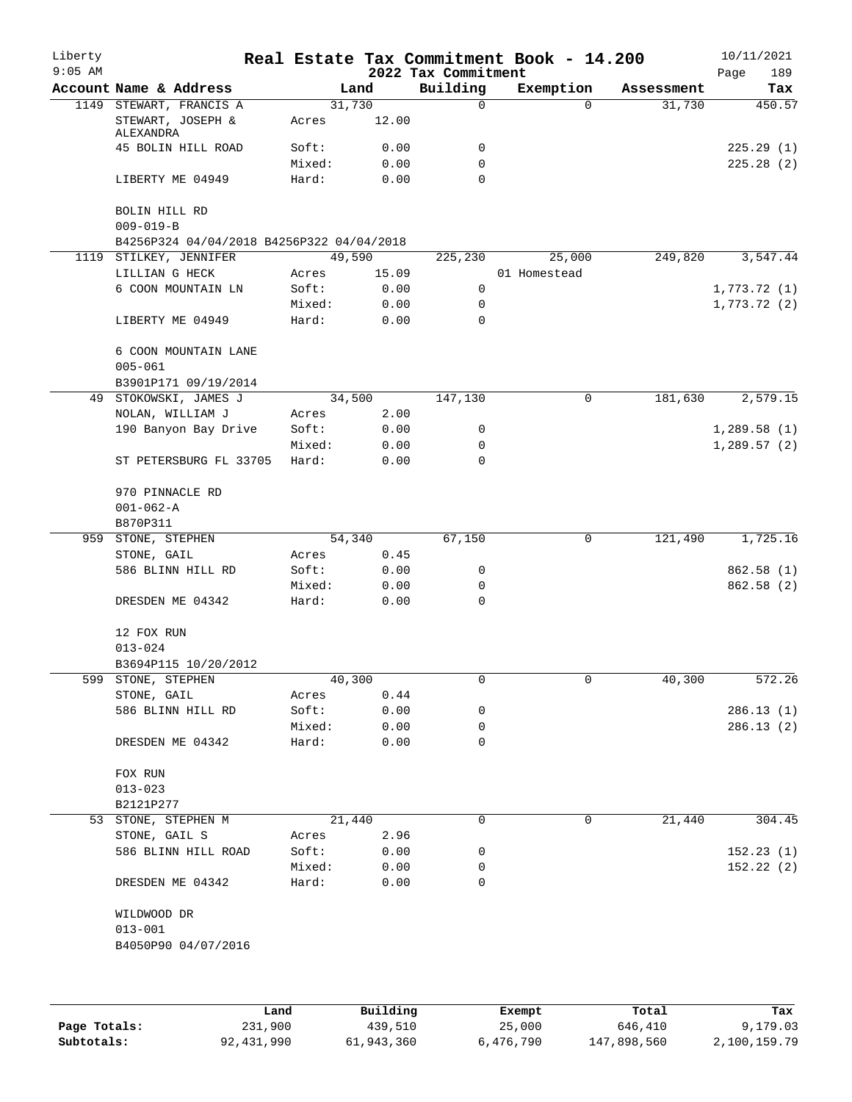| $9:05$ AM |                                           |                 |              | 2022 Tax Commitment | Real Estate Tax Commitment Book - 14.200 |            | 10/11/2021<br>189<br>Page |
|-----------|-------------------------------------------|-----------------|--------------|---------------------|------------------------------------------|------------|---------------------------|
|           | Account Name & Address                    |                 | Land         | Building            | Exemption                                | Assessment | Tax                       |
|           | 1149 STEWART, FRANCIS A                   |                 | 31,730       | 0                   | $\Omega$                                 | 31,730     | 450.57                    |
|           | STEWART, JOSEPH &<br>ALEXANDRA            | Acres           | 12.00        |                     |                                          |            |                           |
|           | 45 BOLIN HILL ROAD                        | Soft:           | 0.00         | 0                   |                                          |            | 225.29(1)                 |
|           |                                           | Mixed:          | 0.00         | 0                   |                                          |            | 225.28(2)                 |
|           | LIBERTY ME 04949                          | Hard:           | 0.00         | $\Omega$            |                                          |            |                           |
|           | BOLIN HILL RD<br>$009 - 019 - B$          |                 |              |                     |                                          |            |                           |
|           | B4256P324 04/04/2018 B4256P322 04/04/2018 |                 |              |                     |                                          |            |                           |
|           | 1119 STILKEY, JENNIFER                    |                 | 49,590       | 225,230             | 25,000                                   | 249,820    | 3,547.44                  |
|           | LILLIAN G HECK                            | Acres           | 15.09        |                     | 01 Homestead                             |            |                           |
|           | 6 COON MOUNTAIN LN                        | Soft:           | 0.00         | 0                   |                                          |            | 1,773.72(1)               |
|           |                                           | Mixed:          | 0.00         | 0                   |                                          |            | 1,773.72(2)               |
|           | LIBERTY ME 04949                          | Hard:           | 0.00         | 0                   |                                          |            |                           |
|           | 6 COON MOUNTAIN LANE<br>$005 - 061$       |                 |              |                     |                                          |            |                           |
|           | B3901P171 09/19/2014                      |                 |              |                     |                                          |            |                           |
| 49        | STOKOWSKI, JAMES J                        |                 | 34,500       | 147,130             | 0                                        | 181,630    | 2,579.15                  |
|           | NOLAN, WILLIAM J                          | Acres           | 2.00         |                     |                                          |            |                           |
|           | 190 Banyon Bay Drive                      | Soft:           | 0.00         | 0                   |                                          |            | 1,289.58(1)               |
|           |                                           | Mixed:          | 0.00         | 0                   |                                          |            | 1,289.57(2)               |
|           | ST PETERSBURG FL 33705                    | Hard:           | 0.00         | 0                   |                                          |            |                           |
|           | 970 PINNACLE RD<br>$001 - 062 - A$        |                 |              |                     |                                          |            |                           |
|           | B870P311                                  |                 |              |                     |                                          |            |                           |
| 959       | STONE, STEPHEN                            |                 | 54,340       | 67,150              | 0                                        | 121,490    | 1,725.16                  |
|           | STONE, GAIL                               | Acres           | 0.45         |                     |                                          |            |                           |
|           | 586 BLINN HILL RD                         | Soft:           | 0.00         | 0                   |                                          |            | 862.58 (1)                |
|           |                                           | Mixed:          | 0.00         | 0                   |                                          |            | 862.58 (2)                |
|           | DRESDEN ME 04342                          | Hard:           | 0.00         | 0                   |                                          |            |                           |
|           | 12 FOX RUN                                |                 |              |                     |                                          |            |                           |
|           | $013 - 024$                               |                 |              |                     |                                          |            |                           |
|           | B3694P115 10/20/2012                      |                 |              |                     |                                          |            |                           |
| 599       | STONE, STEPHEN                            |                 | 40,300       | 0                   | 0                                        | 40,300     | 572.26                    |
|           | STONE, GAIL                               | Acres           | 0.44         |                     |                                          |            |                           |
|           | 586 BLINN HILL RD                         | Soft:           | 0.00         | 0                   |                                          |            | 286.13(1)                 |
|           |                                           | Mixed:          | 0.00         | 0                   |                                          |            | 286.13(2)                 |
|           | DRESDEN ME 04342                          | Hard:           | 0.00         | 0                   |                                          |            |                           |
|           | FOX RUN                                   |                 |              |                     |                                          |            |                           |
|           | $013 - 023$                               |                 |              |                     |                                          |            |                           |
|           | B2121P277<br>53 STONE, STEPHEN M          |                 | 21,440       | 0                   | 0                                        | 21,440     | 304.45                    |
|           | STONE, GAIL S                             | Acres           | 2.96         |                     |                                          |            |                           |
|           | 586 BLINN HILL ROAD                       | Soft:           |              | 0                   |                                          |            | 152.23(1)                 |
|           |                                           |                 | 0.00         |                     |                                          |            |                           |
|           | DRESDEN ME 04342                          | Mixed:<br>Hard: | 0.00<br>0.00 | 0<br>0              |                                          |            | 152.22(2)                 |
|           | WILDWOOD DR                               |                 |              |                     |                                          |            |                           |
|           | $013 - 001$                               |                 |              |                     |                                          |            |                           |
|           | B4050P90 04/07/2016                       |                 |              |                     |                                          |            |                           |
|           |                                           |                 |              |                     |                                          |            |                           |
|           |                                           |                 |              |                     |                                          |            |                           |

|              | Land       | Building   | Exempt    | Total       | Tax          |
|--------------|------------|------------|-----------|-------------|--------------|
| Page Totals: | 231,900    | 439,510    | 25,000    | 646,410     | 9,179.03     |
| Subtotals:   | 92,431,990 | 61,943,360 | 6,476,790 | 147,898,560 | 2,100,159.79 |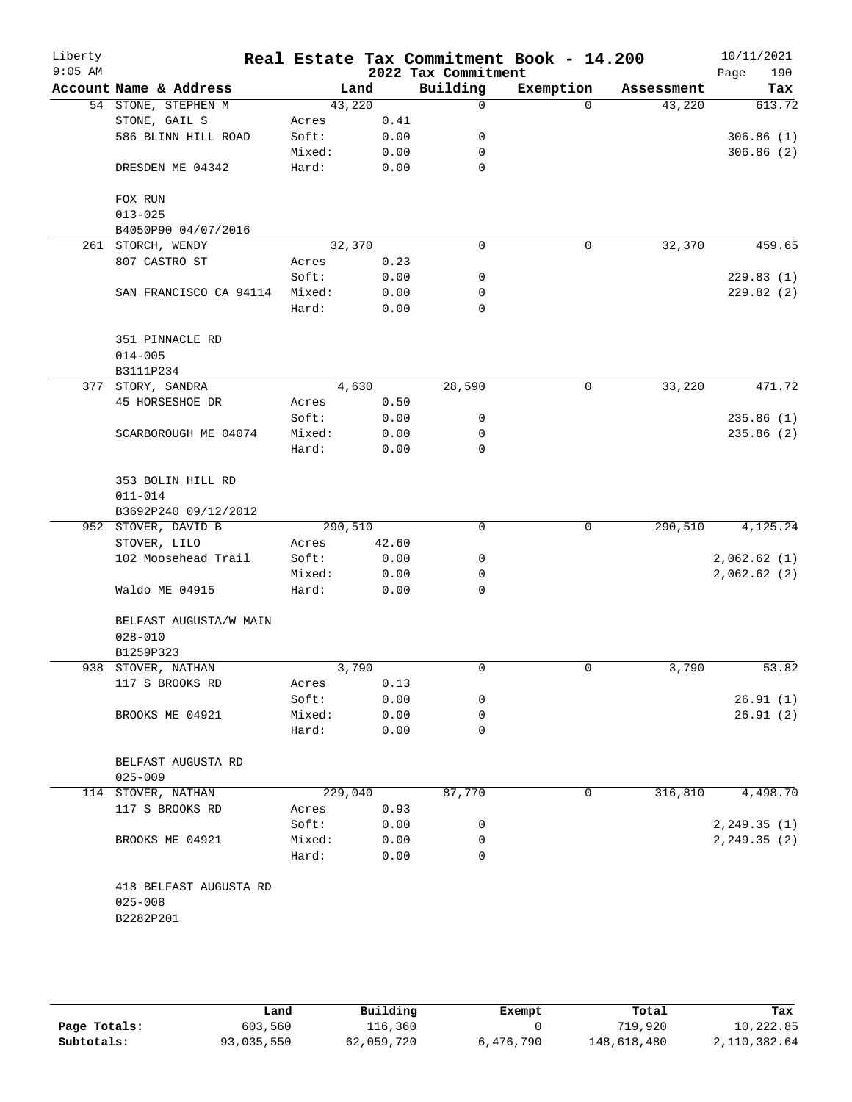| Liberty<br>$9:05$ AM |                                   |         |       | 2022 Tax Commitment | Real Estate Tax Commitment Book - 14.200 |            | 10/11/2021<br>Page<br>190 |
|----------------------|-----------------------------------|---------|-------|---------------------|------------------------------------------|------------|---------------------------|
|                      | Account Name & Address            | Land    |       | Building            | Exemption                                | Assessment | Tax                       |
|                      | 54 STONE, STEPHEN M               | 43,220  |       | 0                   | $\Omega$                                 | 43,220     | 613.72                    |
|                      | STONE, GAIL S                     | Acres   | 0.41  |                     |                                          |            |                           |
|                      | 586 BLINN HILL ROAD               | Soft:   | 0.00  | 0                   |                                          |            | 306.86(1)                 |
|                      |                                   | Mixed:  | 0.00  | 0                   |                                          |            | 306.86(2)                 |
|                      | DRESDEN ME 04342                  | Hard:   | 0.00  | 0                   |                                          |            |                           |
|                      | FOX RUN                           |         |       |                     |                                          |            |                           |
|                      | $013 - 025$                       |         |       |                     |                                          |            |                           |
|                      | B4050P90 04/07/2016               |         |       |                     |                                          |            |                           |
|                      | 261 STORCH, WENDY                 | 32,370  |       | 0                   | 0                                        | 32,370     | 459.65                    |
|                      | 807 CASTRO ST                     | Acres   | 0.23  |                     |                                          |            |                           |
|                      |                                   | Soft:   | 0.00  | 0                   |                                          |            | 229.83(1)                 |
|                      | SAN FRANCISCO CA 94114            | Mixed:  | 0.00  | 0                   |                                          |            | 229.82(2)                 |
|                      |                                   | Hard:   | 0.00  | 0                   |                                          |            |                           |
|                      | 351 PINNACLE RD<br>$014 - 005$    |         |       |                     |                                          |            |                           |
|                      | B3111P234                         |         |       |                     |                                          |            |                           |
|                      | 377 STORY, SANDRA                 | 4,630   |       | 28,590              | 0                                        | 33,220     | 471.72                    |
|                      | 45 HORSESHOE DR                   | Acres   | 0.50  |                     |                                          |            |                           |
|                      |                                   | Soft:   | 0.00  | 0                   |                                          |            | 235.86(1)                 |
|                      | SCARBOROUGH ME 04074              | Mixed:  | 0.00  | 0                   |                                          |            | 235.86 (2)                |
|                      |                                   | Hard:   | 0.00  | 0                   |                                          |            |                           |
|                      |                                   |         |       |                     |                                          |            |                           |
|                      | 353 BOLIN HILL RD                 |         |       |                     |                                          |            |                           |
|                      | $011 - 014$                       |         |       |                     |                                          |            |                           |
|                      | B3692P240 09/12/2012              |         |       |                     |                                          |            |                           |
|                      | 952 STOVER, DAVID B               | 290,510 |       | 0                   | 0                                        | 290,510    | 4,125.24                  |
|                      | STOVER, LILO                      | Acres   | 42.60 |                     |                                          |            |                           |
|                      | 102 Moosehead Trail               | Soft:   | 0.00  | $\mathsf{O}$        |                                          |            | 2,062.62(1)               |
|                      |                                   | Mixed:  | 0.00  | 0                   |                                          |            | 2,062.62(2)               |
|                      | Waldo ME 04915                    | Hard:   | 0.00  | 0                   |                                          |            |                           |
|                      |                                   |         |       |                     |                                          |            |                           |
|                      | BELFAST AUGUSTA/W MAIN            |         |       |                     |                                          |            |                           |
|                      | $028 - 010$                       |         |       |                     |                                          |            |                           |
|                      | B1259P323                         |         |       |                     |                                          |            |                           |
|                      | 938 STOVER, NATHAN                | 3,790   |       | 0                   | 0                                        | 3,790      | 53.82                     |
|                      | 117 S BROOKS RD                   | Acres   | 0.13  |                     |                                          |            |                           |
|                      |                                   | Soft:   | 0.00  | 0                   |                                          |            | 26.91(1)                  |
|                      | BROOKS ME 04921                   | Mixed:  | 0.00  | 0                   |                                          |            | 26.91(2)                  |
|                      |                                   | Hard:   | 0.00  | 0                   |                                          |            |                           |
|                      |                                   |         |       |                     |                                          |            |                           |
|                      | BELFAST AUGUSTA RD<br>$025 - 009$ |         |       |                     |                                          |            |                           |
|                      | 114 STOVER, NATHAN                | 229,040 |       | 87,770              | 0                                        | 316,810    | 4,498.70                  |
|                      | 117 S BROOKS RD                   | Acres   | 0.93  |                     |                                          |            |                           |
|                      |                                   | Soft:   | 0.00  | 0                   |                                          |            | 2, 249.35(1)              |
|                      | BROOKS ME 04921                   | Mixed:  | 0.00  | 0                   |                                          |            | 2, 249.35(2)              |
|                      |                                   | Hard:   | 0.00  | 0                   |                                          |            |                           |
|                      | 418 BELFAST AUGUSTA RD            |         |       |                     |                                          |            |                           |
|                      | $025 - 008$                       |         |       |                     |                                          |            |                           |
|                      | B2282P201                         |         |       |                     |                                          |            |                           |
|                      |                                   |         |       |                     |                                          |            |                           |
|                      |                                   |         |       |                     |                                          |            |                           |

|              | úand       | Building   | Exempt    | Total       | Tax          |
|--------------|------------|------------|-----------|-------------|--------------|
| Page Totals: | 603,560    | 116,360    |           | 719,920     | 10,222.85    |
| Subtotals:   | 93,035,550 | 62,059,720 | 6,476,790 | 148,618,480 | 2,110,382.64 |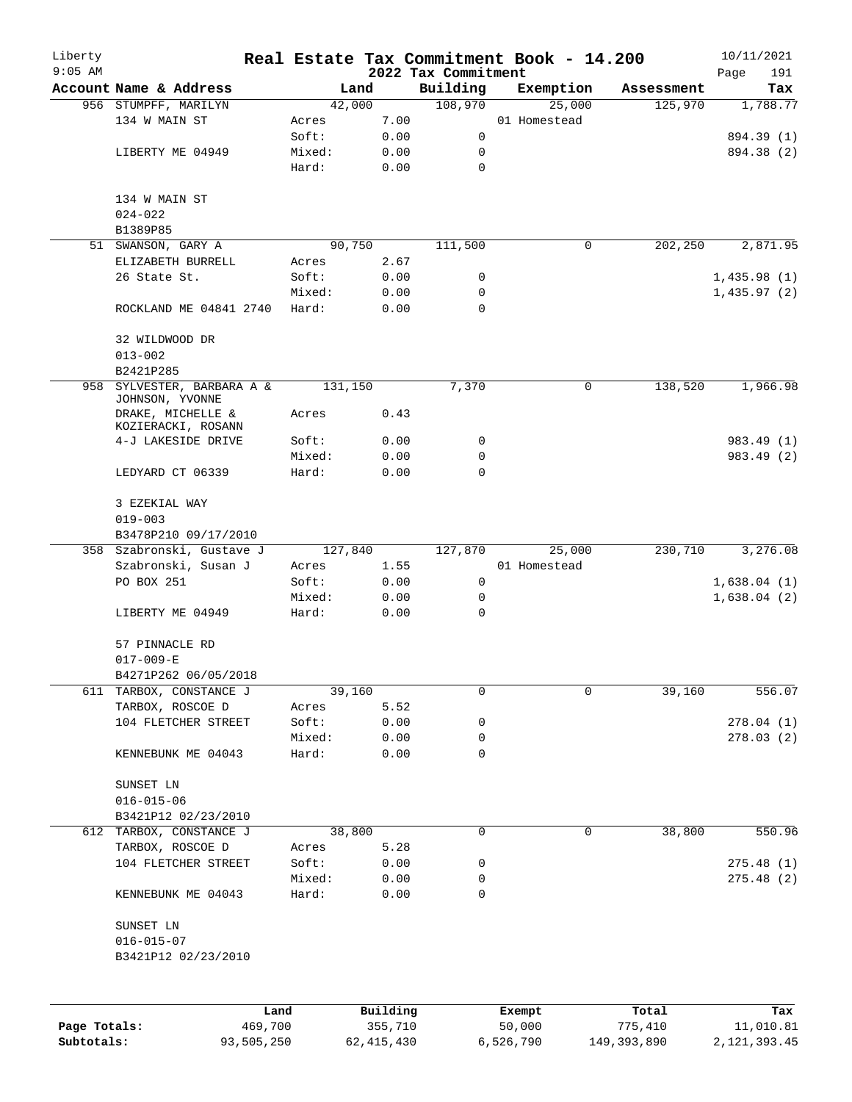| Liberty<br>$9:05$ AM |                                         |                 |              |                                 | Real Estate Tax Commitment Book - 14.200 |             | 10/11/2021         |
|----------------------|-----------------------------------------|-----------------|--------------|---------------------------------|------------------------------------------|-------------|--------------------|
|                      | Account Name & Address                  |                 | Land         | 2022 Tax Commitment<br>Building | Exemption                                | Assessment  | 191<br>Page<br>Tax |
|                      | 956 STUMPFF, MARILYN                    |                 | 42,000       | 108,970                         | 25,000                                   | 125,970     | 1,788.77           |
|                      | 134 W MAIN ST                           | Acres           | 7.00         |                                 | 01 Homestead                             |             |                    |
|                      |                                         | Soft:           | 0.00         | 0                               |                                          |             | 894.39 (1)         |
|                      | LIBERTY ME 04949                        | Mixed:          | 0.00         | 0                               |                                          |             | 894.38 (2)         |
|                      |                                         | Hard:           | 0.00         | $\mathbf 0$                     |                                          |             |                    |
|                      | 134 W MAIN ST                           |                 |              |                                 |                                          |             |                    |
|                      | $024 - 022$                             |                 |              |                                 |                                          |             |                    |
|                      | B1389P85                                |                 |              |                                 |                                          |             |                    |
|                      | 51 SWANSON, GARY A                      |                 | 90,750       | 111,500                         | 0                                        | 202,250     | 2,871.95           |
|                      | ELIZABETH BURRELL                       | Acres           | 2.67         |                                 |                                          |             |                    |
|                      | 26 State St.                            | Soft:           | 0.00         | 0                               |                                          |             | 1,435.98(1)        |
|                      |                                         | Mixed:          | 0.00         | 0                               |                                          |             | 1,435.97(2)        |
|                      | ROCKLAND ME 04841 2740                  | Hard:           | 0.00         | $\Omega$                        |                                          |             |                    |
|                      | 32 WILDWOOD DR                          |                 |              |                                 |                                          |             |                    |
|                      | $013 - 002$<br>B2421P285                |                 |              |                                 |                                          |             |                    |
|                      | 958 SYLVESTER, BARBARA A &              |                 | 131,150      | 7,370                           | $\mathbf 0$                              | 138,520     | 1,966.98           |
|                      | JOHNSON, YVONNE                         |                 |              |                                 |                                          |             |                    |
|                      | DRAKE, MICHELLE &<br>KOZIERACKI, ROSANN | Acres           | 0.43         |                                 |                                          |             |                    |
|                      | 4-J LAKESIDE DRIVE                      | Soft:           | 0.00         | 0                               |                                          |             | 983.49 (1)         |
|                      |                                         | Mixed:          | 0.00         | 0                               |                                          |             | 983.49 (2)         |
|                      | LEDYARD CT 06339                        | Hard:           | 0.00         | 0                               |                                          |             |                    |
|                      | 3 EZEKIAL WAY                           |                 |              |                                 |                                          |             |                    |
|                      | $019 - 003$                             |                 |              |                                 |                                          |             |                    |
|                      | B3478P210 09/17/2010                    |                 |              |                                 |                                          |             |                    |
|                      | 358 Szabronski, Gustave J               |                 | 127,840      | 127,870                         | 25,000                                   | 230,710     | 3,276.08           |
|                      | Szabronski, Susan J                     | Acres           | 1.55         |                                 | 01 Homestead                             |             |                    |
|                      | PO BOX 251                              | Soft:           | 0.00         | 0                               |                                          |             | 1,638.04(1)        |
|                      |                                         | Mixed:          | 0.00         | 0                               |                                          |             | 1,638.04(2)        |
|                      | LIBERTY ME 04949                        | Hard:           | 0.00         | $\mathbf 0$                     |                                          |             |                    |
|                      | 57 PINNACLE RD                          |                 |              |                                 |                                          |             |                    |
|                      | $017 - 009 - E$                         |                 |              |                                 |                                          |             |                    |
|                      | B4271P262 06/05/2018                    |                 |              |                                 |                                          |             |                    |
| 611                  | TARBOX, CONSTANCE J                     |                 | 39,160       | 0                               | $\mathbf 0$                              | 39,160      | 556.07             |
|                      | TARBOX, ROSCOE D                        | Acres           | 5.52         |                                 |                                          |             |                    |
|                      | 104 FLETCHER STREET                     | Soft:           | 0.00         | 0                               |                                          |             | 278.04(1)          |
|                      |                                         | Mixed:          | 0.00         | 0                               |                                          |             | 278.03(2)          |
|                      | KENNEBUNK ME 04043                      | Hard:           | 0.00         | $\mathbf 0$                     |                                          |             |                    |
|                      | SUNSET LN                               |                 |              |                                 |                                          |             |                    |
|                      | $016 - 015 - 06$                        |                 |              |                                 |                                          |             |                    |
|                      | B3421P12 02/23/2010                     |                 |              |                                 |                                          |             |                    |
|                      | 612 TARBOX, CONSTANCE J                 |                 | 38,800       | 0                               | 0                                        | 38,800      | 550.96             |
|                      | TARBOX, ROSCOE D                        | Acres           | 5.28         |                                 |                                          |             |                    |
|                      | 104 FLETCHER STREET                     | Soft:           | 0.00         | 0                               |                                          |             | 275.48(1)          |
|                      | KENNEBUNK ME 04043                      | Mixed:<br>Hard: | 0.00<br>0.00 | 0<br>0                          |                                          |             | 275.48(2)          |
|                      |                                         |                 |              |                                 |                                          |             |                    |
|                      | SUNSET LN                               |                 |              |                                 |                                          |             |                    |
|                      | $016 - 015 - 07$                        |                 |              |                                 |                                          |             |                    |
|                      | B3421P12 02/23/2010                     |                 |              |                                 |                                          |             |                    |
|                      |                                         | Land            | Building     |                                 | Exempt                                   | Total       | Tax                |
| Page Totals:         | 469,700                                 |                 | 355,710      |                                 | 50,000                                   | 775,410     | 11,010.81          |
| Subtotals:           | 93,505,250                              |                 | 62, 415, 430 |                                 | 6,526,790                                | 149,393,890 | 2, 121, 393.45     |
|                      |                                         |                 |              |                                 |                                          |             |                    |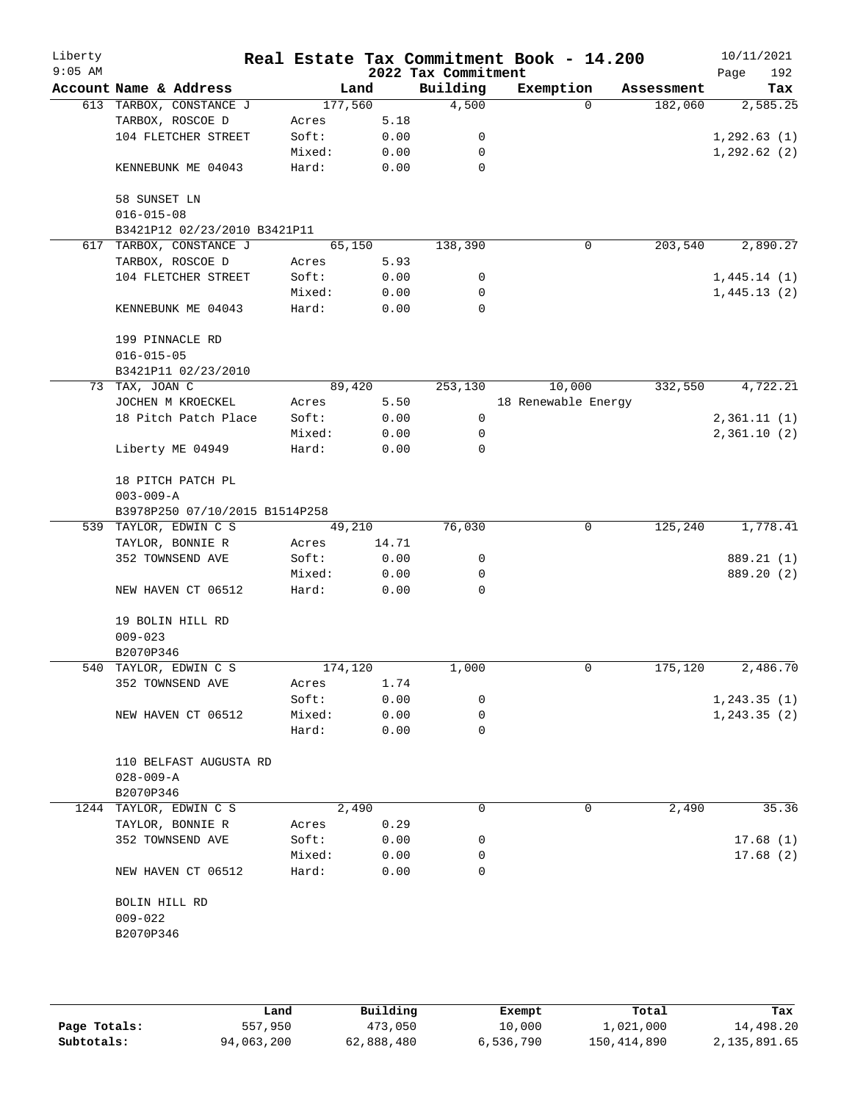| Liberty<br>$9:05$ AM |                                |         |       | 2022 Tax Commitment | Real Estate Tax Commitment Book - 14.200 |            | 10/11/2021<br>192<br>Page |
|----------------------|--------------------------------|---------|-------|---------------------|------------------------------------------|------------|---------------------------|
|                      | Account Name & Address         | Land    |       | Building            | Exemption                                | Assessment | Tax                       |
|                      | 613 TARBOX, CONSTANCE J        | 177,560 |       | 4,500               | $\Omega$                                 | 182,060    | 2,585.25                  |
|                      | TARBOX, ROSCOE D               | Acres   | 5.18  |                     |                                          |            |                           |
|                      | 104 FLETCHER STREET            | Soft:   | 0.00  | 0                   |                                          |            | 1, 292.63(1)              |
|                      |                                | Mixed:  | 0.00  | 0                   |                                          |            | 1, 292.62(2)              |
|                      | KENNEBUNK ME 04043             | Hard:   | 0.00  | 0                   |                                          |            |                           |
|                      | 58 SUNSET LN                   |         |       |                     |                                          |            |                           |
|                      | $016 - 015 - 08$               |         |       |                     |                                          |            |                           |
|                      | B3421P12 02/23/2010 B3421P11   |         |       |                     |                                          |            |                           |
| 617                  | TARBOX, CONSTANCE J            | 65,150  |       | 138,390             | $\mathbf 0$                              | 203,540    | 2,890.27                  |
|                      | TARBOX, ROSCOE D               | Acres   | 5.93  |                     |                                          |            |                           |
|                      | 104 FLETCHER STREET            | Soft:   | 0.00  | 0                   |                                          |            | 1,445.14(1)               |
|                      |                                | Mixed:  | 0.00  | 0                   |                                          |            | 1,445.13(2)               |
|                      | KENNEBUNK ME 04043             | Hard:   | 0.00  | $\mathbf 0$         |                                          |            |                           |
|                      | 199 PINNACLE RD                |         |       |                     |                                          |            |                           |
|                      | $016 - 015 - 05$               |         |       |                     |                                          |            |                           |
|                      | B3421P11 02/23/2010            |         |       |                     |                                          |            |                           |
|                      | 73 TAX, JOAN C                 | 89,420  |       | 253,130             | 10,000                                   | 332,550    | 4,722.21                  |
|                      | JOCHEN M KROECKEL              | Acres   | 5.50  |                     | 18 Renewable Energy                      |            |                           |
|                      | 18 Pitch Patch Place           | Soft:   | 0.00  | $\mathbf 0$         |                                          |            | 2,361.11(1)               |
|                      |                                | Mixed:  | 0.00  | 0                   |                                          |            | 2,361.10(2)               |
|                      | Liberty ME 04949               | Hard:   | 0.00  | 0                   |                                          |            |                           |
|                      | 18 PITCH PATCH PL              |         |       |                     |                                          |            |                           |
|                      | $003 - 009 - A$                |         |       |                     |                                          |            |                           |
|                      | B3978P250 07/10/2015 B1514P258 |         |       |                     |                                          |            |                           |
|                      | 539 TAYLOR, EDWIN C S          | 49,210  |       | 76,030              | 0                                        | 125,240    | 1,778.41                  |
|                      | TAYLOR, BONNIE R               | Acres   | 14.71 |                     |                                          |            |                           |
|                      | 352 TOWNSEND AVE               | Soft:   | 0.00  | 0                   |                                          |            | 889.21 (1)                |
|                      |                                | Mixed:  | 0.00  | 0                   |                                          |            | 889.20 (2)                |
|                      | NEW HAVEN CT 06512             | Hard:   | 0.00  | 0                   |                                          |            |                           |
|                      | 19 BOLIN HILL RD               |         |       |                     |                                          |            |                           |
|                      | $009 - 023$                    |         |       |                     |                                          |            |                           |
|                      | B2070P346                      |         |       |                     |                                          |            |                           |
|                      | 540 TAYLOR, EDWIN C S          | 174,120 |       | 1,000               | 0                                        | 175,120    | 2,486.70                  |
|                      | 352 TOWNSEND AVE               | Acres   | 1.74  |                     |                                          |            |                           |
|                      |                                | Soft:   | 0.00  | 0                   |                                          |            | 1, 243.35(1)              |
|                      | NEW HAVEN CT 06512             | Mixed:  | 0.00  | 0                   |                                          |            | 1, 243.35(2)              |
|                      |                                | Hard:   | 0.00  | 0                   |                                          |            |                           |
|                      | 110 BELFAST AUGUSTA RD         |         |       |                     |                                          |            |                           |
|                      | $028 - 009 - A$                |         |       |                     |                                          |            |                           |
|                      | B2070P346                      |         |       |                     |                                          |            |                           |
|                      | 1244 TAYLOR, EDWIN C S         | 2,490   |       | 0                   | 0                                        | 2,490      | 35.36                     |
|                      | TAYLOR, BONNIE R               | Acres   | 0.29  |                     |                                          |            |                           |
|                      | 352 TOWNSEND AVE               | Soft:   | 0.00  | 0                   |                                          |            | 17.68(1)                  |
|                      |                                | Mixed:  | 0.00  | 0                   |                                          |            | 17.68(2)                  |
|                      | NEW HAVEN CT 06512             | Hard:   | 0.00  | 0                   |                                          |            |                           |
|                      |                                |         |       |                     |                                          |            |                           |
|                      | BOLIN HILL RD                  |         |       |                     |                                          |            |                           |
|                      | $009 - 022$                    |         |       |                     |                                          |            |                           |
|                      | B2070P346                      |         |       |                     |                                          |            |                           |
|                      |                                |         |       |                     |                                          |            |                           |
|                      |                                |         |       |                     |                                          |            |                           |

|              | Land       | Building   | Exempt    | Total         | Tax          |
|--------------|------------|------------|-----------|---------------|--------------|
| Page Totals: | 557,950    | 473,050    | 10,000    | 1,021,000     | 14,498.20    |
| Subtotals:   | 94,063,200 | 62,888,480 | 6,536,790 | 150, 414, 890 | 2,135,891.65 |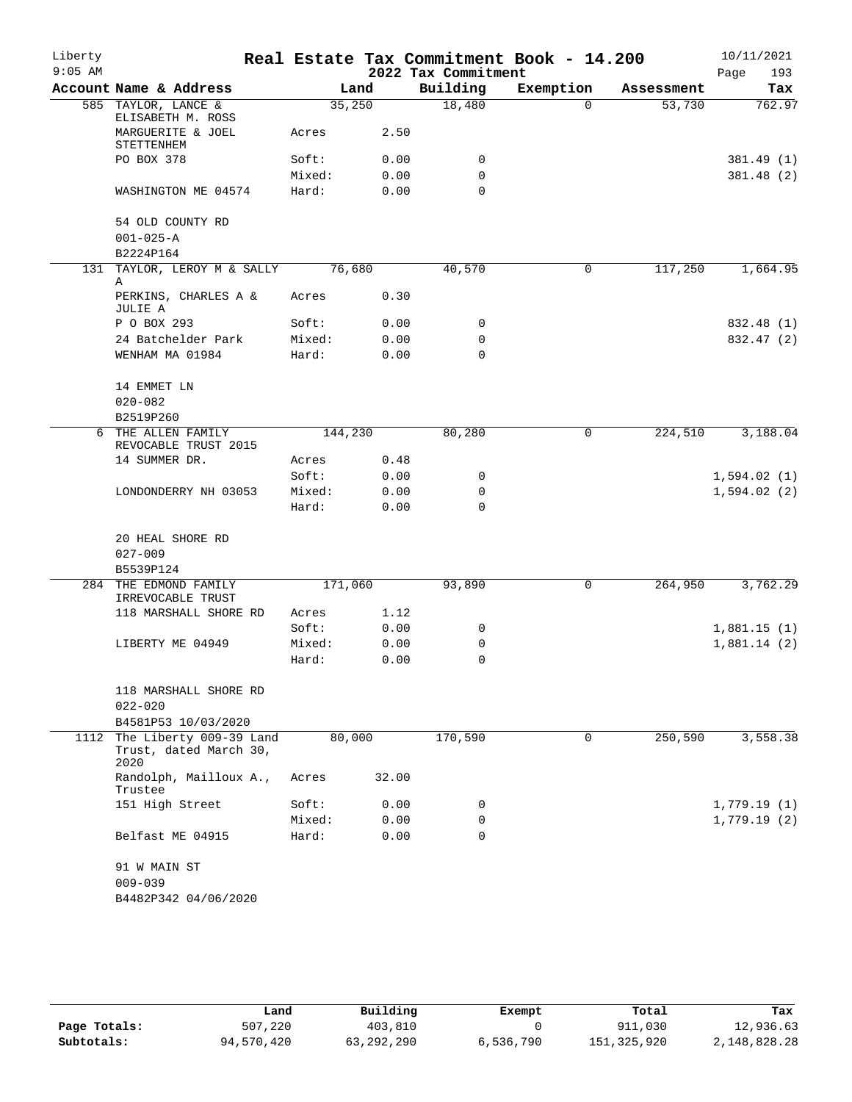| Liberty   |                                                           |         |       |                     | Real Estate Tax Commitment Book - 14.200 |            | 10/11/2021  |
|-----------|-----------------------------------------------------------|---------|-------|---------------------|------------------------------------------|------------|-------------|
| $9:05$ AM |                                                           |         |       | 2022 Tax Commitment |                                          |            | 193<br>Page |
|           | Account Name & Address                                    |         | Land  | Building            | Exemption                                | Assessment | Tax         |
|           | 585 TAYLOR, LANCE &<br>ELISABETH M. ROSS                  | 35,250  |       | 18,480              | $\Omega$                                 | 53,730     | 762.97      |
|           | MARGUERITE & JOEL<br>STETTENHEM                           | Acres   | 2.50  |                     |                                          |            |             |
|           | PO BOX 378                                                | Soft:   | 0.00  | 0                   |                                          |            | 381.49 (1)  |
|           |                                                           | Mixed:  | 0.00  | 0                   |                                          |            | 381.48 (2)  |
|           | WASHINGTON ME 04574                                       | Hard:   | 0.00  | 0                   |                                          |            |             |
|           | 54 OLD COUNTY RD                                          |         |       |                     |                                          |            |             |
|           | $001 - 025 - A$                                           |         |       |                     |                                          |            |             |
|           | B2224P164                                                 |         |       |                     |                                          |            |             |
|           | 131 TAYLOR, LEROY M & SALLY<br>Α                          | 76,680  |       | 40,570              | 0                                        | 117,250    | 1,664.95    |
|           | PERKINS, CHARLES A &<br>JULIE A                           | Acres   | 0.30  |                     |                                          |            |             |
|           | P O BOX 293                                               | Soft:   | 0.00  | 0                   |                                          |            | 832.48 (1)  |
|           | 24 Batchelder Park                                        | Mixed:  | 0.00  | 0                   |                                          |            | 832.47 (2)  |
|           | WENHAM MA 01984                                           | Hard:   | 0.00  | $\Omega$            |                                          |            |             |
|           | 14 EMMET LN                                               |         |       |                     |                                          |            |             |
|           | $020 - 082$                                               |         |       |                     |                                          |            |             |
|           | B2519P260                                                 |         |       |                     |                                          |            |             |
|           | 6 THE ALLEN FAMILY<br>REVOCABLE TRUST 2015                | 144,230 |       | 80,280              | 0                                        | 224,510    | 3,188.04    |
|           | 14 SUMMER DR.                                             | Acres   | 0.48  |                     |                                          |            |             |
|           |                                                           | Soft:   | 0.00  | 0                   |                                          |            | 1,594.02(1) |
|           | LONDONDERRY NH 03053                                      | Mixed:  | 0.00  | 0                   |                                          |            | 1,594.02(2) |
|           |                                                           | Hard:   | 0.00  | $\Omega$            |                                          |            |             |
|           | 20 HEAL SHORE RD                                          |         |       |                     |                                          |            |             |
|           | $027 - 009$                                               |         |       |                     |                                          |            |             |
|           | B5539P124                                                 |         |       |                     |                                          |            |             |
| 284       | THE EDMOND FAMILY<br>IRREVOCABLE TRUST                    | 171,060 |       | 93,890              | 0                                        | 264,950    | 3,762.29    |
|           | 118 MARSHALL SHORE RD                                     | Acres   | 1.12  |                     |                                          |            |             |
|           |                                                           | Soft:   | 0.00  | 0                   |                                          |            | 1,881.15(1) |
|           | LIBERTY ME 04949                                          | Mixed:  | 0.00  | 0                   |                                          |            | 1,881.14(2) |
|           |                                                           | Hard:   | 0.00  | 0                   |                                          |            |             |
|           | 118 MARSHALL SHORE RD                                     |         |       |                     |                                          |            |             |
|           | $022 - 020$                                               |         |       |                     |                                          |            |             |
|           | B4581P53 10/03/2020                                       |         |       |                     |                                          |            |             |
| 1112      | The Liberty 009-39 Land<br>Trust, dated March 30,<br>2020 | 80,000  |       | 170,590             | 0                                        | 250,590    | 3,558.38    |
|           | Randolph, Mailloux A.,<br>Trustee                         | Acres   | 32.00 |                     |                                          |            |             |
|           | 151 High Street                                           | Soft:   | 0.00  | 0                   |                                          |            | 1,779.19(1) |
|           |                                                           | Mixed:  | 0.00  | 0                   |                                          |            | 1,779.19(2) |
|           | Belfast ME 04915                                          | Hard:   | 0.00  | 0                   |                                          |            |             |
|           | 91 W MAIN ST                                              |         |       |                     |                                          |            |             |
|           | $009 - 039$                                               |         |       |                     |                                          |            |             |
|           | B4482P342 04/06/2020                                      |         |       |                     |                                          |            |             |
|           |                                                           |         |       |                     |                                          |            |             |

|              | Land       | Building   | Exempt    | Total       | Tax          |
|--------------|------------|------------|-----------|-------------|--------------|
| Page Totals: | 507,220    | 403,810    |           | 911,030     | 12,936.63    |
| Subtotals:   | 94,570,420 | 63,292,290 | 6,536,790 | 151,325,920 | 2,148,828.28 |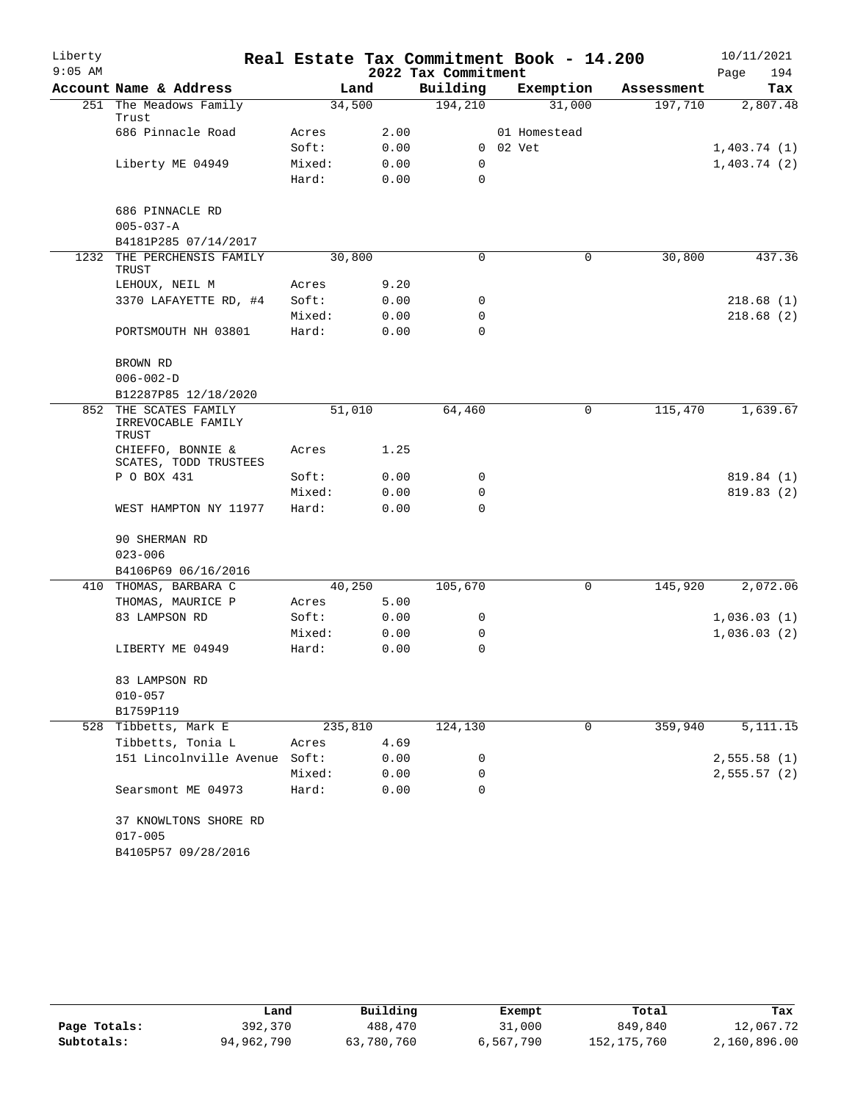| Liberty   |                                                      |                |      |                     | Real Estate Tax Commitment Book - 14.200 |            | 10/11/2021  |
|-----------|------------------------------------------------------|----------------|------|---------------------|------------------------------------------|------------|-------------|
| $9:05$ AM |                                                      |                |      | 2022 Tax Commitment |                                          |            | 194<br>Page |
|           | Account Name & Address                               |                | Land | Building            | Exemption                                | Assessment | Tax         |
|           | 251 The Meadows Family<br>Trust                      | 34,500         |      | 194,210             | 31,000                                   | 197,710    | 2,807.48    |
|           | 686 Pinnacle Road                                    | Acres          | 2.00 |                     | 01 Homestead                             |            |             |
|           |                                                      | Soft:          | 0.00 |                     | 0 02 Vet                                 |            | 1,403.74(1) |
|           | Liberty ME 04949                                     | Mixed:         | 0.00 | 0                   |                                          |            | 1,403.74(2) |
|           |                                                      | Hard:          | 0.00 | 0                   |                                          |            |             |
|           | 686 PINNACLE RD                                      |                |      |                     |                                          |            |             |
|           | $005 - 037 - A$                                      |                |      |                     |                                          |            |             |
|           | B4181P285 07/14/2017                                 |                |      |                     |                                          |            |             |
| 1232      | THE PERCHENSIS FAMILY                                | 30,800         |      | $\Omega$            | 0                                        | 30,800     | 437.36      |
|           | TRUST                                                |                | 9.20 |                     |                                          |            |             |
|           | LEHOUX, NEIL M<br>3370 LAFAYETTE RD, #4              | Acres<br>Soft: | 0.00 | 0                   |                                          |            | 218.68 (1)  |
|           |                                                      | Mixed:         | 0.00 | 0                   |                                          |            | 218.68(2)   |
|           | PORTSMOUTH NH 03801                                  | Hard:          | 0.00 | 0                   |                                          |            |             |
|           |                                                      |                |      |                     |                                          |            |             |
|           | BROWN RD                                             |                |      |                     |                                          |            |             |
|           | $006 - 002 - D$                                      |                |      |                     |                                          |            |             |
|           | B12287P85 12/18/2020                                 |                |      |                     |                                          |            |             |
|           | 852 THE SCATES FAMILY<br>IRREVOCABLE FAMILY<br>TRUST | 51,010         |      | 64,460              | 0                                        | 115,470    | 1,639.67    |
|           | CHIEFFO, BONNIE &<br>SCATES, TODD TRUSTEES           | Acres          | 1.25 |                     |                                          |            |             |
|           | P O BOX 431                                          | Soft:          | 0.00 | 0                   |                                          |            | 819.84 (1)  |
|           |                                                      | Mixed:         | 0.00 | $\mathbf 0$         |                                          |            | 819.83(2)   |
|           | WEST HAMPTON NY 11977                                | Hard:          | 0.00 | $\Omega$            |                                          |            |             |
|           | 90 SHERMAN RD                                        |                |      |                     |                                          |            |             |
|           | $023 - 006$                                          |                |      |                     |                                          |            |             |
|           | B4106P69 06/16/2016                                  |                |      |                     |                                          |            |             |
|           | 410 THOMAS, BARBARA C                                | 40,250         |      | 105,670             | 0                                        | 145,920    | 2,072.06    |
|           | THOMAS, MAURICE P                                    | Acres          | 5.00 |                     |                                          |            |             |
|           | 83 LAMPSON RD                                        | Soft:          | 0.00 | 0                   |                                          |            | 1,036.03(1) |
|           |                                                      | Mixed:         | 0.00 | 0                   |                                          |            | 1,036.03(2) |
|           | LIBERTY ME 04949                                     | Hard:          | 0.00 | 0                   |                                          |            |             |
|           | 83 LAMPSON RD                                        |                |      |                     |                                          |            |             |
|           | $010 - 057$                                          |                |      |                     |                                          |            |             |
|           | B1759P119                                            |                |      |                     |                                          |            |             |
|           | 528 Tibbetts, Mark E                                 | 235,810        |      | 124,130             | 0                                        | 359,940    | 5, 111. 15  |
|           | Tibbetts, Tonia L                                    | Acres          | 4.69 |                     |                                          |            |             |
|           | 151 Lincolnville Avenue Soft:                        |                | 0.00 | 0                   |                                          |            | 2,555.58(1) |
|           |                                                      | Mixed:         | 0.00 | 0                   |                                          |            | 2,555.57(2) |
|           | Searsmont ME 04973                                   | Hard:          | 0.00 | $\Omega$            |                                          |            |             |
|           | 37 KNOWLTONS SHORE RD                                |                |      |                     |                                          |            |             |
|           | $017 - 005$                                          |                |      |                     |                                          |            |             |
|           | B4105P57 09/28/2016                                  |                |      |                     |                                          |            |             |

|              | Land       | Building   | Exempt    | Total       | Tax          |
|--------------|------------|------------|-----------|-------------|--------------|
| Page Totals: | 392,370    | 488,470    | 31,000    | 849,840     | 12,067.72    |
| Subtotals:   | 94,962,790 | 63,780,760 | 6,567,790 | 152,175,760 | 2,160,896.00 |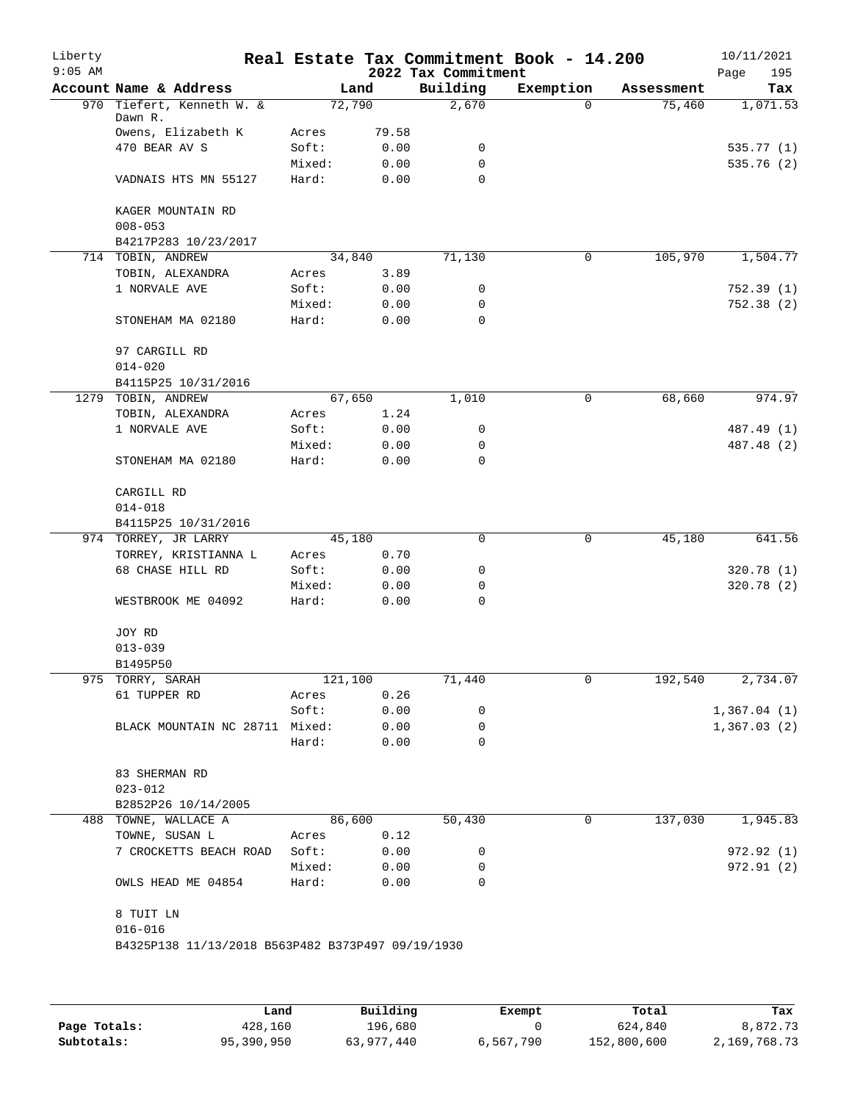| Liberty<br>$9:05$ AM |                                                   |        |         | 2022 Tax Commitment | Real Estate Tax Commitment Book - 14.200 |            | 10/11/2021<br>195<br>Page |
|----------------------|---------------------------------------------------|--------|---------|---------------------|------------------------------------------|------------|---------------------------|
|                      | Account Name & Address                            |        | Land    | Building            | Exemption                                | Assessment | Tax                       |
|                      | 970 Tiefert, Kenneth W. &<br>Dawn R.              |        | 72,790  | 2,670               | $\Omega$                                 | 75,460     | 1,071.53                  |
|                      | Owens, Elizabeth K                                | Acres  | 79.58   |                     |                                          |            |                           |
|                      | 470 BEAR AV S                                     | Soft:  | 0.00    | 0                   |                                          |            | 535.77(1)                 |
|                      |                                                   | Mixed: | 0.00    | 0                   |                                          |            | 535.76(2)                 |
|                      | VADNAIS HTS MN 55127                              | Hard:  | 0.00    | $\Omega$            |                                          |            |                           |
|                      | KAGER MOUNTAIN RD                                 |        |         |                     |                                          |            |                           |
|                      | $008 - 053$                                       |        |         |                     |                                          |            |                           |
|                      | B4217P283 10/23/2017                              |        |         |                     |                                          |            |                           |
|                      | 714 TOBIN, ANDREW                                 |        | 34,840  | 71,130              | 0                                        | 105,970    | 1,504.77                  |
|                      | TOBIN, ALEXANDRA                                  | Acres  | 3.89    |                     |                                          |            |                           |
|                      | 1 NORVALE AVE                                     | Soft:  | 0.00    | 0                   |                                          |            | 752.39(1)                 |
|                      |                                                   | Mixed: | 0.00    | 0                   |                                          |            | 752.38(2)                 |
|                      | STONEHAM MA 02180                                 | Hard:  | 0.00    | 0                   |                                          |            |                           |
|                      | 97 CARGILL RD                                     |        |         |                     |                                          |            |                           |
|                      | $014 - 020$                                       |        |         |                     |                                          |            |                           |
|                      | B4115P25 10/31/2016                               |        |         |                     |                                          |            |                           |
|                      | 1279 TOBIN, ANDREW                                |        | 67,650  | 1,010               | 0                                        | 68,660     | 974.97                    |
|                      | TOBIN, ALEXANDRA                                  | Acres  | 1.24    |                     |                                          |            |                           |
|                      | 1 NORVALE AVE                                     | Soft:  | 0.00    | 0                   |                                          |            | 487.49 (1)                |
|                      |                                                   | Mixed: | 0.00    | 0                   |                                          |            | 487.48 (2)                |
|                      | STONEHAM MA 02180                                 | Hard:  | 0.00    | $\Omega$            |                                          |            |                           |
|                      | CARGILL RD                                        |        |         |                     |                                          |            |                           |
|                      | $014 - 018$                                       |        |         |                     |                                          |            |                           |
|                      | B4115P25 10/31/2016                               |        |         |                     |                                          |            |                           |
|                      | 974 TORREY, JR LARRY                              |        | 45,180  | 0                   | 0                                        | 45,180     | 641.56                    |
|                      | TORREY, KRISTIANNA L                              | Acres  | 0.70    |                     |                                          |            |                           |
|                      | 68 CHASE HILL RD                                  | Soft:  | 0.00    | 0                   |                                          |            | 320.78(1)                 |
|                      |                                                   | Mixed: | 0.00    | 0                   |                                          |            | 320.78 (2)                |
|                      | WESTBROOK ME 04092                                | Hard:  | 0.00    | 0                   |                                          |            |                           |
|                      | JOY RD                                            |        |         |                     |                                          |            |                           |
|                      | $013 - 039$                                       |        |         |                     |                                          |            |                           |
|                      | B1495P50                                          |        |         |                     |                                          |            |                           |
|                      | 975 TORRY, SARAH                                  |        | 121,100 | 71,440              | 0                                        | 192,540    | 2,734.07                  |
|                      | 61 TUPPER RD                                      | Acres  | 0.26    |                     |                                          |            |                           |
|                      |                                                   | Soft:  | 0.00    | 0                   |                                          |            | 1,367.04(1)               |
|                      | BLACK MOUNTAIN NC 28711 Mixed:                    |        | 0.00    | 0                   |                                          |            | 1,367.03(2)               |
|                      |                                                   | Hard:  | 0.00    | $\Omega$            |                                          |            |                           |
|                      |                                                   |        |         |                     |                                          |            |                           |
|                      | 83 SHERMAN RD                                     |        |         |                     |                                          |            |                           |
|                      | $023 - 012$                                       |        |         |                     |                                          |            |                           |
|                      | B2852P26 10/14/2005                               |        |         |                     |                                          |            |                           |
|                      | 488 TOWNE, WALLACE A                              |        | 86,600  | 50,430              | 0                                        | 137,030    | 1,945.83                  |
|                      | TOWNE, SUSAN L                                    | Acres  | 0.12    |                     |                                          |            |                           |
|                      | 7 CROCKETTS BEACH ROAD                            | Soft:  | 0.00    | 0                   |                                          |            | 972.92 (1)                |
|                      |                                                   | Mixed: | 0.00    | 0                   |                                          |            | 972.91 (2)                |
|                      | OWLS HEAD ME 04854                                | Hard:  | 0.00    | 0                   |                                          |            |                           |
|                      | 8 TUIT LN                                         |        |         |                     |                                          |            |                           |
|                      | $016 - 016$                                       |        |         |                     |                                          |            |                           |
|                      | B4325P138 11/13/2018 B563P482 B373P497 09/19/1930 |        |         |                     |                                          |            |                           |
|                      |                                                   |        |         |                     |                                          |            |                           |

|              | Land       | Building   | Exempt    | Total       | Tax          |
|--------------|------------|------------|-----------|-------------|--------------|
| Page Totals: | 428,160    | 196,680    |           | 624,840     | 8,872.73     |
| Subtotals:   | 95,390,950 | 63,977,440 | 6,567,790 | 152,800,600 | 2,169,768.73 |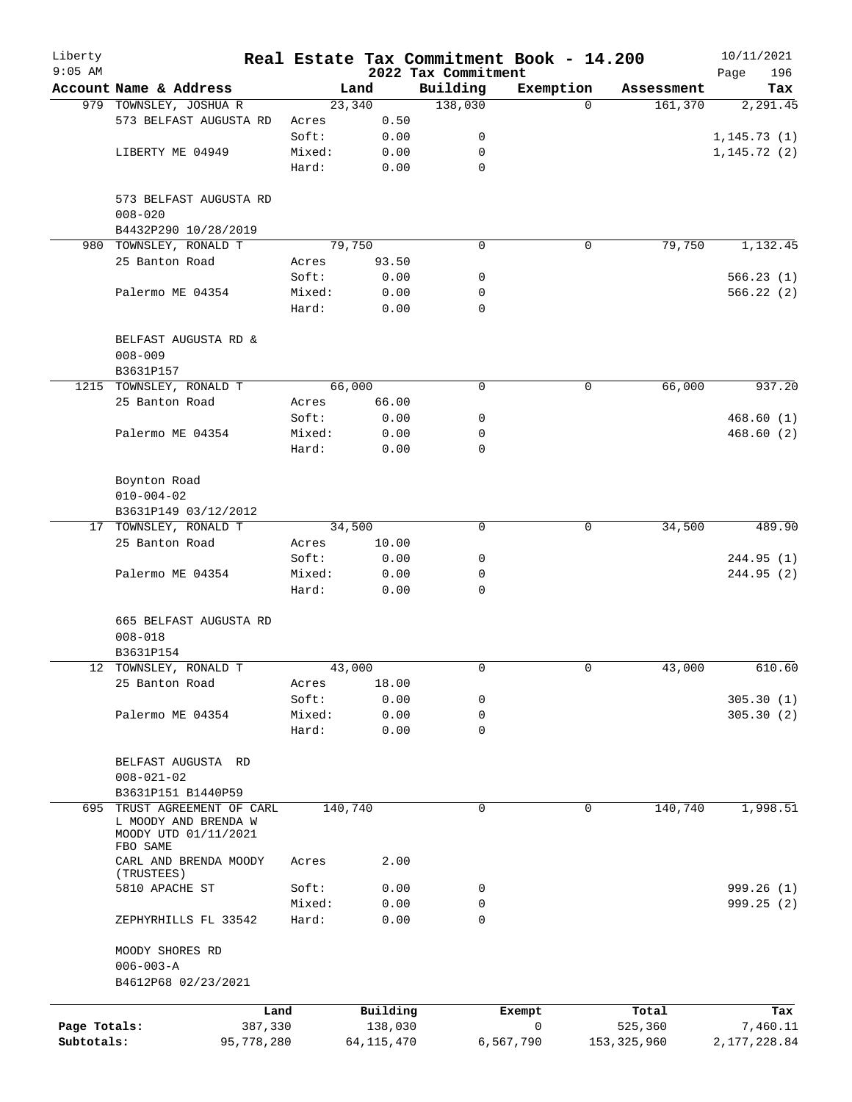| Liberty<br>$9:05$ AM       |                                                          |        |                         | 2022 Tax Commitment | Real Estate Tax Commitment Book - 14.200 |                          | 10/11/2021<br>196<br>Page |
|----------------------------|----------------------------------------------------------|--------|-------------------------|---------------------|------------------------------------------|--------------------------|---------------------------|
|                            | Account Name & Address                                   |        | Land                    | Building            | Exemption                                | Assessment               | Tax                       |
|                            | 979 TOWNSLEY, JOSHUA R                                   |        | 23,340                  | 138,030             | $\Omega$                                 | 161,370                  | 2,291.45                  |
|                            | 573 BELFAST AUGUSTA RD                                   | Acres  | 0.50                    |                     |                                          |                          |                           |
|                            |                                                          | Soft:  | 0.00                    | 0                   |                                          |                          | 1, 145.73(1)              |
|                            | LIBERTY ME 04949                                         | Mixed: | 0.00                    | 0                   |                                          |                          | 1, 145.72(2)              |
|                            |                                                          | Hard:  | 0.00                    | $\mathbf 0$         |                                          |                          |                           |
|                            | 573 BELFAST AUGUSTA RD<br>$008 - 020$                    |        |                         |                     |                                          |                          |                           |
|                            | B4432P290 10/28/2019                                     |        |                         |                     |                                          |                          |                           |
|                            | 980 TOWNSLEY, RONALD T                                   |        | 79,750                  | $\mathbf 0$         | $\mathbf 0$                              | 79,750                   | 1,132.45                  |
|                            | 25 Banton Road                                           | Acres  | 93.50                   |                     |                                          |                          |                           |
|                            |                                                          | Soft:  | 0.00                    | 0                   |                                          |                          | 566.23(1)                 |
|                            | Palermo ME 04354                                         | Mixed: | 0.00                    | 0<br>$\mathbf 0$    |                                          |                          | 566.22(2)                 |
|                            |                                                          | Hard:  | 0.00                    |                     |                                          |                          |                           |
|                            | BELFAST AUGUSTA RD &<br>$008 - 009$                      |        |                         |                     |                                          |                          |                           |
|                            | B3631P157                                                |        |                         |                     |                                          |                          |                           |
|                            | 1215 TOWNSLEY, RONALD T                                  |        | 66,000                  | 0                   | $\mathbf 0$                              | 66,000                   | 937.20                    |
|                            | 25 Banton Road                                           | Acres  | 66.00                   |                     |                                          |                          |                           |
|                            |                                                          | Soft:  | 0.00                    | 0                   |                                          |                          | 468.60(1)                 |
|                            | Palermo ME 04354                                         | Mixed: | 0.00                    | 0                   |                                          |                          | 468.60 (2)                |
|                            |                                                          | Hard:  | 0.00                    | 0                   |                                          |                          |                           |
|                            | Boynton Road                                             |        |                         |                     |                                          |                          |                           |
|                            | $010 - 004 - 02$                                         |        |                         |                     |                                          |                          |                           |
|                            | B3631P149 03/12/2012                                     |        |                         |                     |                                          |                          |                           |
|                            | 17 TOWNSLEY, RONALD T                                    |        | 34,500                  | 0                   | $\mathbf 0$                              | 34,500                   | 489.90                    |
|                            | 25 Banton Road                                           | Acres  | 10.00                   |                     |                                          |                          |                           |
|                            |                                                          | Soft:  | 0.00                    | 0                   |                                          |                          | 244.95(1)                 |
|                            | Palermo ME 04354                                         | Mixed: | 0.00                    | 0                   |                                          |                          | 244.95(2)                 |
|                            |                                                          | Hard:  | 0.00                    | 0                   |                                          |                          |                           |
|                            | 665 BELFAST AUGUSTA RD<br>$008 - 018$                    |        |                         |                     |                                          |                          |                           |
|                            | B3631P154                                                |        |                         |                     |                                          |                          |                           |
|                            | 12 TOWNSLEY, RONALD T                                    |        | 43,000                  | 0                   | $\mathbf 0$                              | 43,000                   | 610.60                    |
|                            | 25 Banton Road                                           | Acres  | 18.00                   |                     |                                          |                          |                           |
|                            |                                                          | Soft:  | 0.00                    | 0                   |                                          |                          | 305.30(1)                 |
|                            | Palermo ME 04354                                         | Mixed: | 0.00                    | 0                   |                                          |                          | 305.30(2)                 |
|                            |                                                          | Hard:  | 0.00                    | $\mathbf 0$         |                                          |                          |                           |
|                            | BELFAST AUGUSTA RD<br>$008 - 021 - 02$                   |        |                         |                     |                                          |                          |                           |
|                            | B3631P151 B1440P59                                       |        |                         |                     |                                          |                          |                           |
| 695                        | TRUST AGREEMENT OF CARL                                  |        | 140,740                 | 0                   | 0                                        | 140,740                  | 1,998.51                  |
|                            | L MOODY AND BRENDA W<br>MOODY UTD 01/11/2021<br>FBO SAME |        |                         |                     |                                          |                          |                           |
|                            | CARL AND BRENDA MOODY<br>(TRUSTEES)                      | Acres  | 2.00                    |                     |                                          |                          |                           |
|                            | 5810 APACHE ST                                           | Soft:  | 0.00                    | 0                   |                                          |                          | 999.26 (1)                |
|                            |                                                          | Mixed: | 0.00                    | 0                   |                                          |                          | 999.25(2)                 |
|                            | ZEPHYRHILLS FL 33542                                     | Hard:  | 0.00                    | 0                   |                                          |                          |                           |
|                            | MOODY SHORES RD<br>$006 - 003 - A$                       |        |                         |                     |                                          |                          |                           |
|                            | B4612P68 02/23/2021                                      |        |                         |                     |                                          |                          |                           |
|                            | Land                                                     |        | Building                |                     | Exempt                                   | Total                    | Tax                       |
| Page Totals:<br>Subtotals: | 387,330<br>95,778,280                                    |        | 138,030<br>64, 115, 470 |                     | 0<br>6,567,790                           | 525,360<br>153, 325, 960 | 7,460.11<br>2,177,228.84  |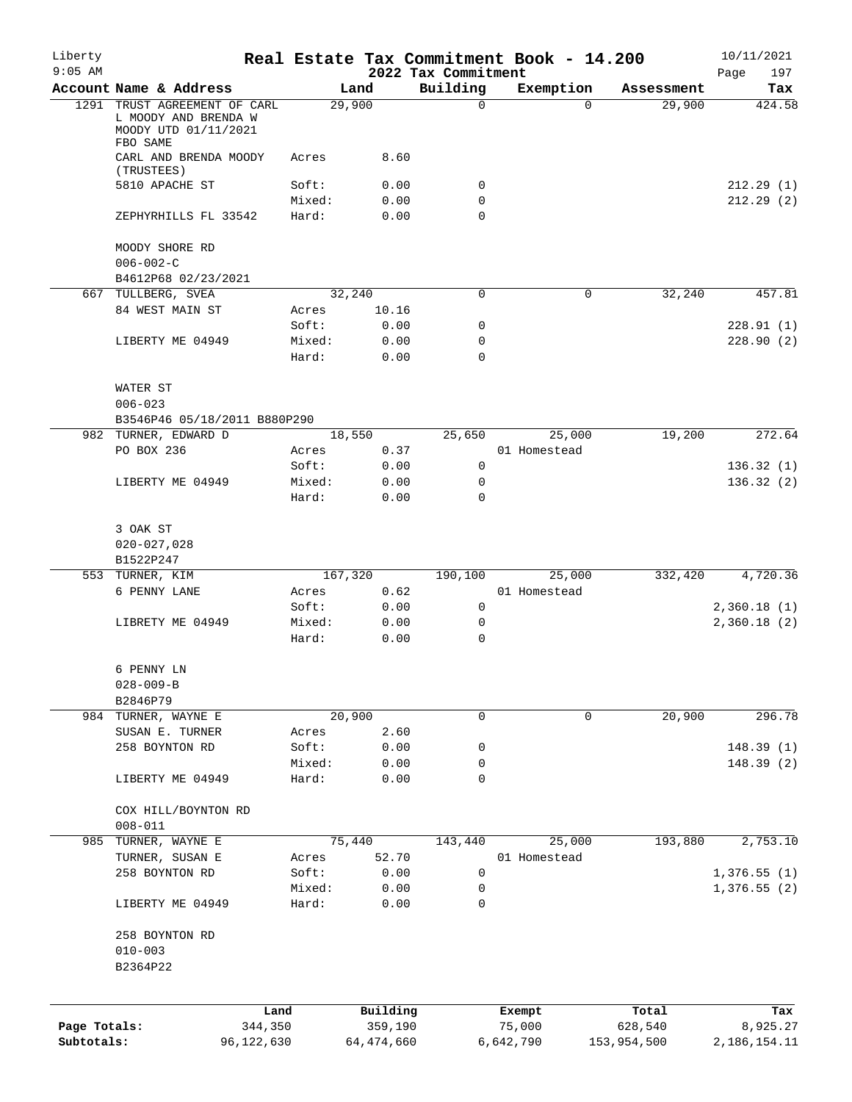| Liberty<br>$9:05$ AM       |                                                                                          |                 |                     |                                 | Real Estate Tax Commitment Book - 14.200 |                        | 10/11/2021                  |
|----------------------------|------------------------------------------------------------------------------------------|-----------------|---------------------|---------------------------------|------------------------------------------|------------------------|-----------------------------|
|                            | Account Name & Address                                                                   |                 | Land                | 2022 Tax Commitment<br>Building | Exemption                                | Assessment             | 197<br>Page<br>Tax          |
|                            | 1291 TRUST AGREEMENT OF CARL<br>L MOODY AND BRENDA W<br>MOODY UTD 01/11/2021<br>FBO SAME |                 | 29,900              | $\mathsf{O}$                    | $\Omega$                                 | 29,900                 | 424.58                      |
|                            | CARL AND BRENDA MOODY<br>(TRUSTEES)                                                      | Acres           | 8.60                |                                 |                                          |                        |                             |
|                            | 5810 APACHE ST                                                                           | Soft:           | 0.00                | 0                               |                                          |                        | 212.29(1)                   |
|                            | ZEPHYRHILLS FL 33542                                                                     | Mixed:<br>Hard: | 0.00<br>0.00        | 0<br>$\mathbf 0$                |                                          |                        | 212.29(2)                   |
|                            | MOODY SHORE RD                                                                           |                 |                     |                                 |                                          |                        |                             |
|                            | $006 - 002 - C$<br>B4612P68 02/23/2021                                                   |                 |                     |                                 |                                          |                        |                             |
|                            | 667 TULLBERG, SVEA                                                                       |                 | 32,240              | 0                               | 0                                        | 32,240                 | 457.81                      |
|                            | 84 WEST MAIN ST                                                                          | Acres           | 10.16               |                                 |                                          |                        |                             |
|                            |                                                                                          | Soft:           | 0.00                | 0                               |                                          |                        | 228.91(1)                   |
|                            | LIBERTY ME 04949                                                                         | Mixed:          | 0.00                | $\mathbf 0$                     |                                          |                        | 228.90(2)                   |
|                            |                                                                                          | Hard:           | 0.00                | $\Omega$                        |                                          |                        |                             |
|                            | WATER ST<br>$006 - 023$                                                                  |                 |                     |                                 |                                          |                        |                             |
|                            | B3546P46 05/18/2011 B880P290                                                             |                 |                     |                                 |                                          |                        |                             |
|                            | 982 TURNER, EDWARD D                                                                     |                 | 18,550              | 25,650                          | 25,000                                   | 19,200                 | 272.64                      |
|                            | PO BOX 236                                                                               | Acres           | 0.37                |                                 | 01 Homestead                             |                        |                             |
|                            |                                                                                          | Soft:           | 0.00                | 0                               |                                          |                        | 136.32(1)                   |
|                            | LIBERTY ME 04949                                                                         | Mixed:          | 0.00                | 0                               |                                          |                        | 136.32(2)                   |
|                            |                                                                                          | Hard:           | 0.00                | $\Omega$                        |                                          |                        |                             |
|                            | 3 OAK ST                                                                                 |                 |                     |                                 |                                          |                        |                             |
|                            | $020 - 027,028$                                                                          |                 |                     |                                 |                                          |                        |                             |
|                            | B1522P247                                                                                |                 |                     |                                 |                                          |                        |                             |
|                            | 553 TURNER, KIM                                                                          |                 | 167,320             | 190,100                         | 25,000                                   | 332,420                | 4,720.36                    |
|                            | 6 PENNY LANE                                                                             | Acres           | 0.62                |                                 | 01 Homestead                             |                        |                             |
|                            |                                                                                          | Soft:           | 0.00                | 0                               |                                          |                        | 2,360.18(1)                 |
|                            | LIBRETY ME 04949                                                                         | Mixed:<br>Hard: | 0.00<br>0.00        | 0<br>$\mathbf 0$                |                                          |                        | 2,360.18(2)                 |
|                            | 6 PENNY LN                                                                               |                 |                     |                                 |                                          |                        |                             |
|                            | $028 - 009 - B$                                                                          |                 |                     |                                 |                                          |                        |                             |
|                            | B2846P79                                                                                 |                 |                     |                                 |                                          |                        |                             |
|                            | 984 TURNER, WAYNE E                                                                      |                 | 20,900              | $\mathbf 0$                     | $\mathbf 0$                              | 20,900                 | 296.78                      |
|                            | SUSAN E. TURNER                                                                          | Acres           | 2.60                |                                 |                                          |                        |                             |
|                            | 258 BOYNTON RD                                                                           | Soft:           | 0.00                | 0                               |                                          |                        | 148.39(1)                   |
|                            |                                                                                          | Mixed:          | 0.00                | 0                               |                                          |                        | 148.39(2)                   |
|                            | LIBERTY ME 04949                                                                         | Hard:           | 0.00                | 0                               |                                          |                        |                             |
|                            | COX HILL/BOYNTON RD                                                                      |                 |                     |                                 |                                          |                        |                             |
|                            | $008 - 011$                                                                              |                 |                     |                                 |                                          |                        |                             |
| 985                        | TURNER, WAYNE E                                                                          |                 | 75,440              | 143,440                         | 25,000                                   | 193,880                | 2,753.10                    |
|                            | TURNER, SUSAN E                                                                          | Acres           | 52.70               |                                 | 01 Homestead                             |                        |                             |
|                            | 258 BOYNTON RD                                                                           | Soft:           | 0.00                | 0                               |                                          |                        | 1,376.55(1)                 |
|                            | LIBERTY ME 04949                                                                         | Mixed:<br>Hard: | 0.00<br>0.00        | 0<br>0                          |                                          |                        | 1,376.55(2)                 |
|                            | 258 BOYNTON RD                                                                           |                 |                     |                                 |                                          |                        |                             |
|                            | $010 - 003$                                                                              |                 |                     |                                 |                                          |                        |                             |
|                            | B2364P22                                                                                 |                 |                     |                                 |                                          |                        |                             |
|                            |                                                                                          |                 |                     |                                 |                                          |                        |                             |
|                            | Land                                                                                     |                 | Building<br>359,190 |                                 | Exempt                                   | Total                  | Tax                         |
| Page Totals:<br>Subtotals: | 344,350<br>96,122,630                                                                    |                 | 64, 474, 660        |                                 | 75,000<br>6,642,790                      | 628,540<br>153,954,500 | 8,925.27<br>2, 186, 154. 11 |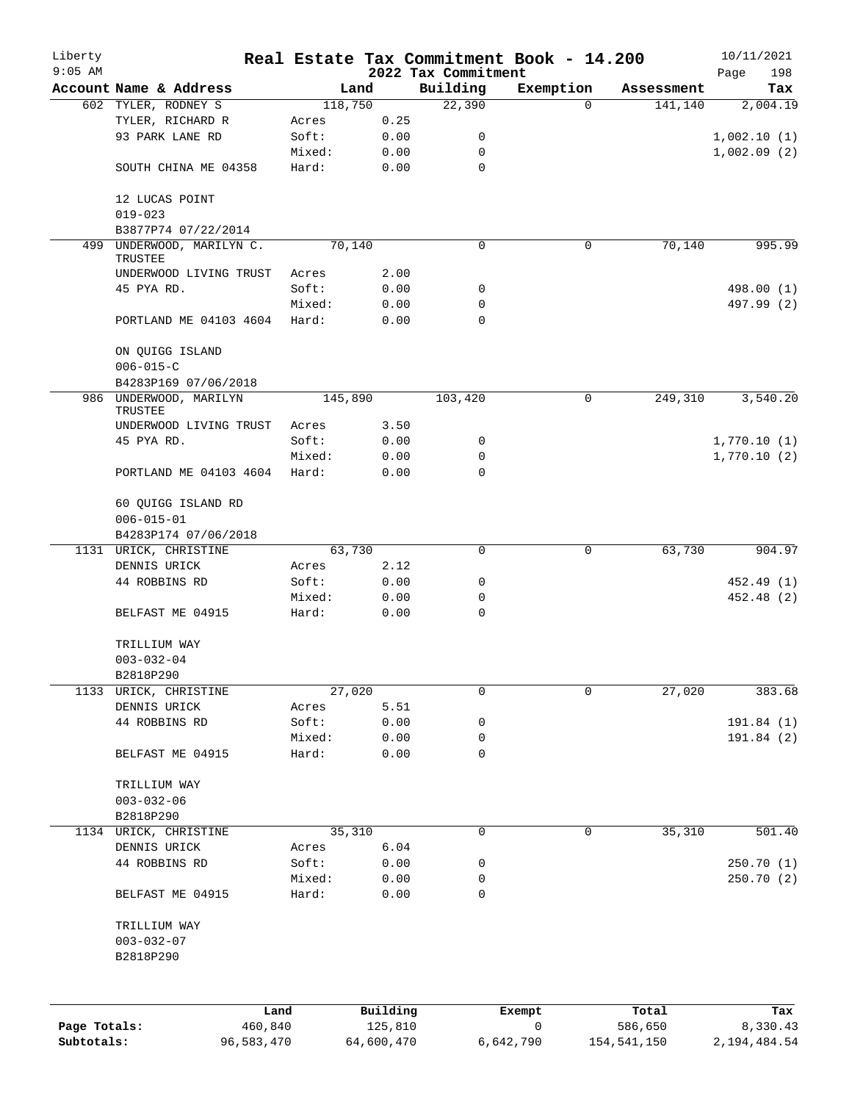| Liberty                    |                               |                       |        |                       | Real Estate Tax Commitment Book - 14.200 |                |                        | 10/11/2021                 |
|----------------------------|-------------------------------|-----------------------|--------|-----------------------|------------------------------------------|----------------|------------------------|----------------------------|
| $9:05$ AM                  | Account Name & Address        |                       |        | Land                  | 2022 Tax Commitment<br>Building          | Exemption      |                        | 198<br>Page                |
|                            | 602 TYLER, RODNEY S           |                       |        | 118,750               | 22,390                                   | $\Omega$       | Assessment<br>141,140  | Tax<br>2,004.19            |
|                            | TYLER, RICHARD R              |                       | Acres  | 0.25                  |                                          |                |                        |                            |
|                            | 93 PARK LANE RD               |                       | Soft:  | 0.00                  | 0                                        |                |                        | 1,002.10(1)                |
|                            |                               |                       | Mixed: | 0.00                  | 0                                        |                |                        | 1,002.09(2)                |
|                            | SOUTH CHINA ME 04358          |                       | Hard:  | 0.00                  | $\mathbf 0$                              |                |                        |                            |
|                            |                               |                       |        |                       |                                          |                |                        |                            |
|                            | 12 LUCAS POINT<br>$019 - 023$ |                       |        |                       |                                          |                |                        |                            |
|                            | B3877P74 07/22/2014           |                       |        |                       |                                          |                |                        |                            |
| 499                        | UNDERWOOD, MARILYN C.         |                       |        | 70,140                | 0                                        | 0              | 70,140                 | 995.99                     |
|                            | TRUSTEE                       |                       |        |                       |                                          |                |                        |                            |
|                            | UNDERWOOD LIVING TRUST        |                       | Acres  | 2.00                  |                                          |                |                        |                            |
|                            | 45 PYA RD.                    |                       | Soft:  | 0.00                  | 0                                        |                |                        | 498.00 (1)                 |
|                            |                               |                       | Mixed: | 0.00                  | 0                                        |                |                        | 497.99 (2)                 |
|                            | PORTLAND ME 04103 4604        |                       | Hard:  | 0.00                  | 0                                        |                |                        |                            |
|                            | ON QUIGG ISLAND               |                       |        |                       |                                          |                |                        |                            |
|                            | $006 - 015 - C$               |                       |        |                       |                                          |                |                        |                            |
|                            | B4283P169 07/06/2018          |                       |        |                       |                                          |                |                        |                            |
| 986                        | UNDERWOOD, MARILYN<br>TRUSTEE |                       |        | 145,890               | 103,420                                  | $\mathbf 0$    | 249,310                | 3,540.20                   |
|                            | UNDERWOOD LIVING TRUST        |                       | Acres  | 3.50                  |                                          |                |                        |                            |
|                            | 45 PYA RD.                    |                       | Soft:  | 0.00                  | 0                                        |                |                        | 1,770.10(1)                |
|                            |                               |                       | Mixed: | 0.00                  | 0                                        |                |                        | 1,770.10(2)                |
|                            | PORTLAND ME 04103 4604        |                       | Hard:  | 0.00                  | $\Omega$                                 |                |                        |                            |
|                            | 60 QUIGG ISLAND RD            |                       |        |                       |                                          |                |                        |                            |
|                            | $006 - 015 - 01$              |                       |        |                       |                                          |                |                        |                            |
|                            | B4283P174 07/06/2018          |                       |        |                       |                                          |                |                        |                            |
|                            | 1131 URICK, CHRISTINE         |                       |        | 63,730                | 0                                        | $\mathbf 0$    | 63,730                 | 904.97                     |
|                            | DENNIS URICK                  |                       | Acres  | 2.12                  |                                          |                |                        |                            |
|                            | 44 ROBBINS RD                 |                       | Soft:  | 0.00                  | 0                                        |                |                        | 452.49 (1)                 |
|                            |                               |                       | Mixed: | 0.00                  | 0                                        |                |                        | 452.48 (2)                 |
|                            | BELFAST ME 04915              |                       | Hard:  | 0.00                  | $\mathbf 0$                              |                |                        |                            |
|                            | TRILLIUM WAY                  |                       |        |                       |                                          |                |                        |                            |
|                            | $003 - 032 - 04$              |                       |        |                       |                                          |                |                        |                            |
|                            | B2818P290                     |                       |        |                       |                                          |                |                        |                            |
| 1133                       | URICK, CHRISTINE              |                       |        | 27,020                | 0                                        | $\mathbf 0$    | 27,020                 | 383.68                     |
|                            | DENNIS URICK                  |                       | Acres  | 5.51                  |                                          |                |                        |                            |
|                            | 44 ROBBINS RD                 |                       | Soft:  | 0.00                  | 0                                        |                |                        | 191.84(1)                  |
|                            |                               |                       | Mixed: | 0.00                  | 0                                        |                |                        | 191.84 (2)                 |
|                            | BELFAST ME 04915              |                       | Hard:  | 0.00                  | $\mathbf 0$                              |                |                        |                            |
|                            | TRILLIUM WAY                  |                       |        |                       |                                          |                |                        |                            |
|                            | $003 - 032 - 06$              |                       |        |                       |                                          |                |                        |                            |
|                            | B2818P290                     |                       |        |                       |                                          |                |                        |                            |
|                            | 1134 URICK, CHRISTINE         |                       |        | 35,310                | 0                                        | 0              | 35,310                 | 501.40                     |
|                            | DENNIS URICK                  |                       | Acres  | $6.04$                |                                          |                |                        |                            |
|                            | 44 ROBBINS RD                 |                       | Soft:  | 0.00                  | 0                                        |                |                        | 250.70(1)                  |
|                            |                               |                       | Mixed: | 0.00                  | 0                                        |                |                        | 250.70(2)                  |
|                            | BELFAST ME 04915              |                       | Hard:  | 0.00                  | 0                                        |                |                        |                            |
|                            | TRILLIUM WAY                  |                       |        |                       |                                          |                |                        |                            |
|                            | $003 - 032 - 07$              |                       |        |                       |                                          |                |                        |                            |
|                            | B2818P290                     |                       |        |                       |                                          |                |                        |                            |
|                            |                               |                       |        |                       |                                          |                |                        |                            |
|                            |                               | Land                  |        | Building              |                                          | Exempt         | Total                  | Tax                        |
| Page Totals:<br>Subtotals: |                               | 460,840<br>96,583,470 |        | 125,810<br>64,600,470 |                                          | 0<br>6,642,790 | 586,650<br>154,541,150 | 8,330.43<br>2, 194, 484.54 |
|                            |                               |                       |        |                       |                                          |                |                        |                            |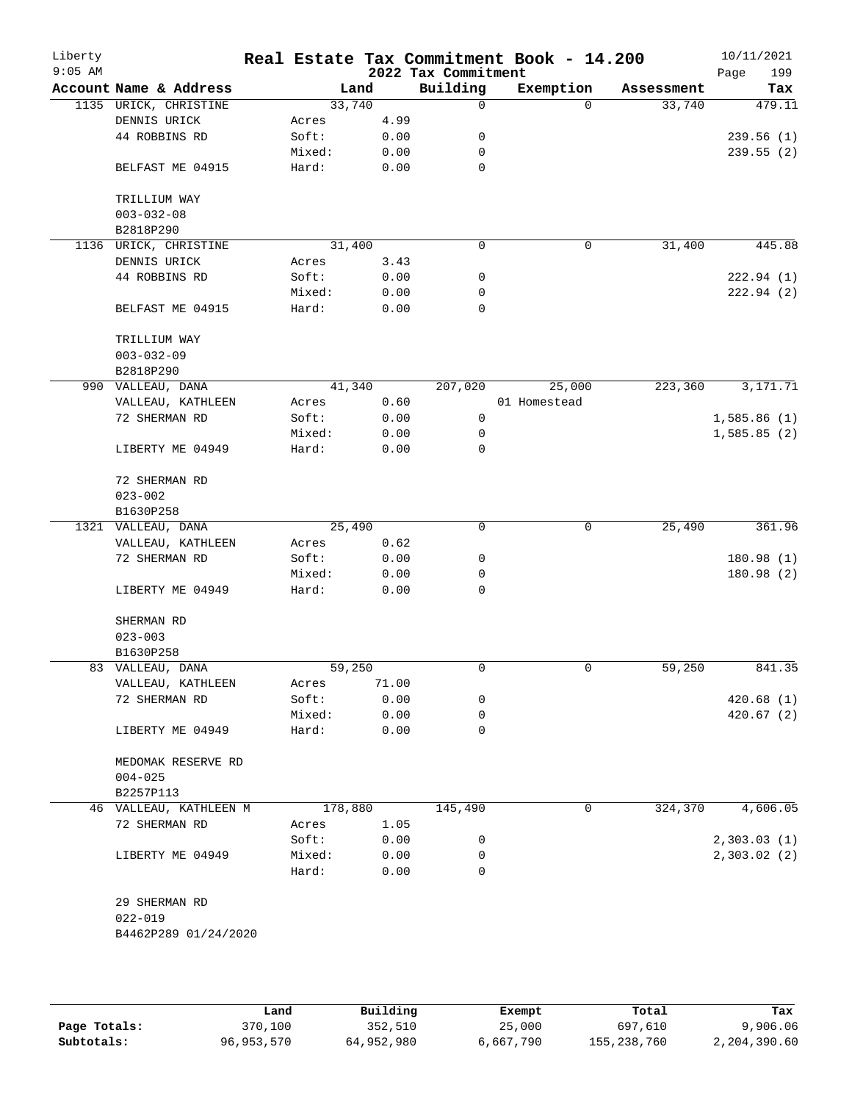| Liberty<br>$9:05$ AM |                               |                 |         |              | 2022 Tax Commitment | Real Estate Tax Commitment Book - 14.200 |          |            | 10/11/2021<br>Page<br>199 |
|----------------------|-------------------------------|-----------------|---------|--------------|---------------------|------------------------------------------|----------|------------|---------------------------|
|                      | Account Name & Address        |                 | Land    |              | Building            | Exemption                                |          | Assessment | Tax                       |
|                      | 1135 URICK, CHRISTINE         |                 | 33,740  |              | 0                   |                                          | $\Omega$ | 33,740     | 479.11                    |
|                      | DENNIS URICK                  | Acres           |         | 4.99         |                     |                                          |          |            |                           |
|                      | 44 ROBBINS RD                 | Soft:           |         | 0.00         | 0                   |                                          |          |            | 239.56(1)                 |
|                      |                               | Mixed:          |         | 0.00         | 0                   |                                          |          |            | 239.55(2)                 |
|                      | BELFAST ME 04915              | Hard:           |         | 0.00         | 0                   |                                          |          |            |                           |
|                      | TRILLIUM WAY                  |                 |         |              |                     |                                          |          |            |                           |
|                      | $003 - 032 - 08$<br>B2818P290 |                 |         |              |                     |                                          |          |            |                           |
| 1136                 | URICK, CHRISTINE              |                 | 31,400  |              | $\mathbf 0$         |                                          | 0        | 31,400     | 445.88                    |
|                      | DENNIS URICK                  | Acres           |         | 3.43         |                     |                                          |          |            |                           |
|                      | 44 ROBBINS RD                 | Soft:           |         | 0.00         | 0                   |                                          |          |            | 222.94(1)                 |
|                      |                               | Mixed:          |         | 0.00         | 0                   |                                          |          |            | 222.94(2)                 |
|                      | BELFAST ME 04915              | Hard:           |         | 0.00         | $\mathbf 0$         |                                          |          |            |                           |
|                      | TRILLIUM WAY                  |                 |         |              |                     |                                          |          |            |                           |
|                      | $003 - 032 - 09$              |                 |         |              |                     |                                          |          |            |                           |
|                      | B2818P290                     |                 |         |              |                     |                                          |          |            |                           |
|                      | 990 VALLEAU, DANA             |                 | 41,340  |              | 207,020             | 25,000                                   |          | 223,360    | 3,171.71                  |
|                      | VALLEAU, KATHLEEN             | Acres           |         | 0.60         |                     | 01 Homestead                             |          |            |                           |
|                      | 72 SHERMAN RD                 | Soft:           |         | 0.00         | 0                   |                                          |          |            | 1,585.86(1)               |
|                      |                               | Mixed:          |         | 0.00         | 0                   |                                          |          |            | 1,585.85(2)               |
|                      | LIBERTY ME 04949              | Hard:           |         | 0.00         | 0                   |                                          |          |            |                           |
|                      | 72 SHERMAN RD                 |                 |         |              |                     |                                          |          |            |                           |
|                      | $023 - 002$                   |                 |         |              |                     |                                          |          |            |                           |
|                      | B1630P258                     |                 |         |              |                     |                                          |          |            |                           |
|                      | 1321 VALLEAU, DANA            |                 | 25,490  |              | $\mathbf 0$         |                                          | 0        | 25,490     | 361.96                    |
|                      | VALLEAU, KATHLEEN             | Acres           |         | 0.62         |                     |                                          |          |            |                           |
|                      | 72 SHERMAN RD                 | Soft:           |         | 0.00         | 0                   |                                          |          |            | 180.98(1)                 |
|                      |                               | Mixed:          |         | 0.00         | 0                   |                                          |          |            | 180.98 (2)                |
|                      | LIBERTY ME 04949              | Hard:           |         | 0.00         | 0                   |                                          |          |            |                           |
|                      | SHERMAN RD                    |                 |         |              |                     |                                          |          |            |                           |
|                      | $023 - 003$                   |                 |         |              |                     |                                          |          |            |                           |
|                      | B1630P258                     |                 |         |              |                     |                                          |          |            |                           |
|                      | 83 VALLEAU, DANA              |                 | 59,250  |              | 0                   |                                          | 0        | 59,250     | 841.35                    |
|                      | VALLEAU, KATHLEEN             | Acres           |         | 71.00        |                     |                                          |          |            |                           |
|                      | 72 SHERMAN RD                 | Soft:           |         | 0.00         | 0                   |                                          |          |            | 420.68(1)                 |
|                      |                               | Mixed:          |         | 0.00         | 0                   |                                          |          |            | 420.67 (2)                |
|                      | LIBERTY ME 04949              | Hard:           |         | 0.00         | 0                   |                                          |          |            |                           |
|                      | MEDOMAK RESERVE RD            |                 |         |              |                     |                                          |          |            |                           |
|                      | $004 - 025$                   |                 |         |              |                     |                                          |          |            |                           |
|                      | B2257P113                     |                 |         |              |                     |                                          |          |            |                           |
|                      | 46 VALLEAU, KATHLEEN M        |                 | 178,880 |              | 145,490             |                                          | 0        | 324,370    | 4,606.05                  |
|                      | 72 SHERMAN RD                 | Acres           |         | 1.05         |                     |                                          |          |            |                           |
|                      |                               | Soft:           |         | 0.00         | 0                   |                                          |          |            | 2,303.03(1)               |
|                      | LIBERTY ME 04949              | Mixed:<br>Hard: |         | 0.00<br>0.00 | 0<br>$\Omega$       |                                          |          |            | 2,303.02(2)               |
|                      |                               |                 |         |              |                     |                                          |          |            |                           |
|                      | 29 SHERMAN RD                 |                 |         |              |                     |                                          |          |            |                           |
|                      | $022 - 019$                   |                 |         |              |                     |                                          |          |            |                           |
|                      | B4462P289 01/24/2020          |                 |         |              |                     |                                          |          |            |                           |
|                      |                               |                 |         |              |                     |                                          |          |            |                           |
|                      |                               |                 |         |              |                     |                                          |          |            |                           |
|                      |                               |                 |         |              |                     |                                          |          |            |                           |

|              | Land       | Building   | Exempt    | Total       | Tax          |
|--------------|------------|------------|-----------|-------------|--------------|
| Page Totals: | 370,100    | 352,510    | 25,000    | 697,610     | 9,906.06     |
| Subtotals:   | 96,953,570 | 64,952,980 | 6,667,790 | 155,238,760 | 2,204,390.60 |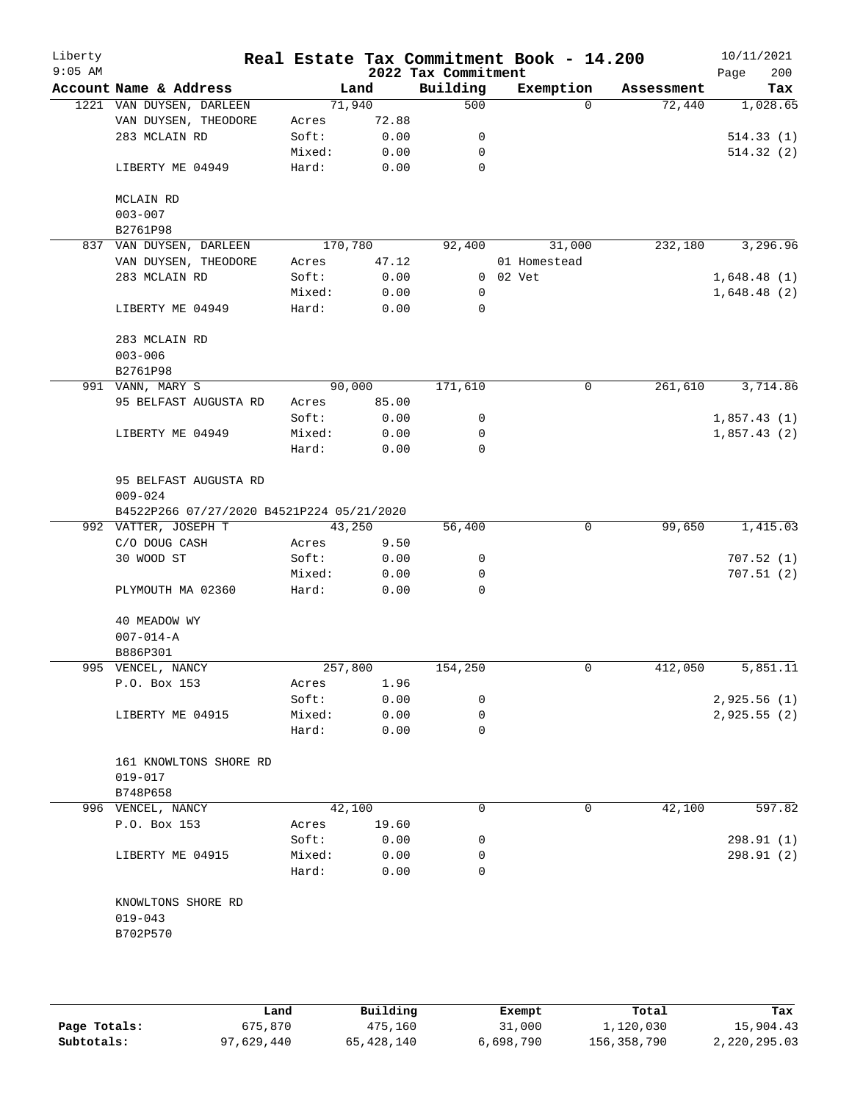| Liberty<br>$9:05$ AM |                                           |         |        | 2022 Tax Commitment | Real Estate Tax Commitment Book - 14.200 |                    | 10/11/2021<br>Page<br>200 |
|----------------------|-------------------------------------------|---------|--------|---------------------|------------------------------------------|--------------------|---------------------------|
|                      | Account Name & Address                    |         | Land   | Building            | Exemption                                | Assessment         | Tax                       |
|                      | 1221 VAN DUYSEN, DARLEEN                  |         | 71,940 | 500                 |                                          | $\Omega$<br>72,440 | 1,028.65                  |
|                      | VAN DUYSEN, THEODORE                      | Acres   | 72.88  |                     |                                          |                    |                           |
|                      | 283 MCLAIN RD                             | Soft:   | 0.00   | 0                   |                                          |                    | 514.33(1)                 |
|                      |                                           | Mixed:  | 0.00   | 0                   |                                          |                    | 514.32(2)                 |
|                      | LIBERTY ME 04949                          | Hard:   | 0.00   | $\mathbf 0$         |                                          |                    |                           |
|                      | MCLAIN RD                                 |         |        |                     |                                          |                    |                           |
|                      | $003 - 007$                               |         |        |                     |                                          |                    |                           |
|                      | B2761P98                                  |         |        |                     |                                          |                    |                           |
|                      | 837 VAN DUYSEN, DARLEEN                   | 170,780 |        | 92,400              | 31,000                                   | 232,180            | 3,296.96                  |
|                      | VAN DUYSEN, THEODORE                      | Acres   | 47.12  |                     | 01 Homestead                             |                    |                           |
|                      | 283 MCLAIN RD                             | Soft:   | 0.00   |                     | $0$ $02$ $Vet$                           |                    | 1,648.48(1)               |
|                      |                                           | Mixed:  | 0.00   | 0                   |                                          |                    | 1,648.48(2)               |
|                      | LIBERTY ME 04949                          | Hard:   | 0.00   | 0                   |                                          |                    |                           |
|                      | 283 MCLAIN RD                             |         |        |                     |                                          |                    |                           |
|                      | $003 - 006$                               |         |        |                     |                                          |                    |                           |
|                      | B2761P98                                  |         |        |                     |                                          |                    |                           |
|                      | 991 VANN, MARY S                          |         | 90,000 | 171,610             |                                          | 261,610<br>0       | 3,714.86                  |
|                      | 95 BELFAST AUGUSTA RD                     | Acres   | 85.00  |                     |                                          |                    |                           |
|                      |                                           | Soft:   | 0.00   | 0                   |                                          |                    | 1,857.43(1)               |
|                      | LIBERTY ME 04949                          | Mixed:  | 0.00   | 0                   |                                          |                    | 1,857.43(2)               |
|                      |                                           | Hard:   | 0.00   | 0                   |                                          |                    |                           |
|                      | 95 BELFAST AUGUSTA RD<br>$009 - 024$      |         |        |                     |                                          |                    |                           |
|                      | B4522P266 07/27/2020 B4521P224 05/21/2020 |         |        |                     |                                          |                    |                           |
|                      | 992 VATTER, JOSEPH T                      |         | 43,250 | 56,400              |                                          | 99,650<br>0        | 1,415.03                  |
|                      | C/O DOUG CASH                             | Acres   | 9.50   |                     |                                          |                    |                           |
|                      | 30 WOOD ST                                | Soft:   | 0.00   | 0                   |                                          |                    | 707.52(1)                 |
|                      |                                           | Mixed:  | 0.00   | 0                   |                                          |                    | 707.51(2)                 |
|                      | PLYMOUTH MA 02360                         | Hard:   | 0.00   | 0                   |                                          |                    |                           |
|                      | 40 MEADOW WY                              |         |        |                     |                                          |                    |                           |
|                      | $007 - 014 - A$                           |         |        |                     |                                          |                    |                           |
|                      | B886P301                                  |         |        |                     |                                          |                    |                           |
|                      | 995 VENCEL, NANCY                         | 257,800 |        | 154,250             |                                          | 0<br>412,050       | 5,851.11                  |
|                      | P.O. Box 153                              | Acres   | 1.96   |                     |                                          |                    |                           |
|                      |                                           | Soft:   | 0.00   | 0                   |                                          |                    | 2,925.56(1)               |
|                      | LIBERTY ME 04915                          | Mixed:  | 0.00   | 0                   |                                          |                    | 2,925.55(2)               |
|                      |                                           | Hard:   | 0.00   | 0                   |                                          |                    |                           |
|                      | 161 KNOWLTONS SHORE RD                    |         |        |                     |                                          |                    |                           |
|                      | $019 - 017$                               |         |        |                     |                                          |                    |                           |
|                      | B748P658                                  |         |        |                     |                                          |                    |                           |
|                      | 996 VENCEL, NANCY                         |         | 42,100 | 0                   |                                          | 0<br>42,100        | 597.82                    |
|                      | P.O. Box 153                              | Acres   | 19.60  |                     |                                          |                    |                           |
|                      |                                           | Soft:   | 0.00   | 0                   |                                          |                    | 298.91 (1)                |
|                      | LIBERTY ME 04915                          | Mixed:  | 0.00   | 0                   |                                          |                    | 298.91(2)                 |
|                      |                                           | Hard:   | 0.00   | 0                   |                                          |                    |                           |
|                      | KNOWLTONS SHORE RD                        |         |        |                     |                                          |                    |                           |
|                      | $019 - 043$                               |         |        |                     |                                          |                    |                           |
|                      | B702P570                                  |         |        |                     |                                          |                    |                           |
|                      |                                           |         |        |                     |                                          |                    |                           |
|                      |                                           |         |        |                     |                                          |                    |                           |
|                      |                                           |         |        |                     |                                          |                    |                           |

|              | Land       | Building     | Exempt    | Total       | Tax          |
|--------------|------------|--------------|-----------|-------------|--------------|
| Page Totals: | 675,870    | 475,160      | 31,000    | 1,120,030   | 15,904.43    |
| Subtotals:   | 97,629,440 | 65, 428, 140 | 6,698,790 | 156,358,790 | 2,220,295.03 |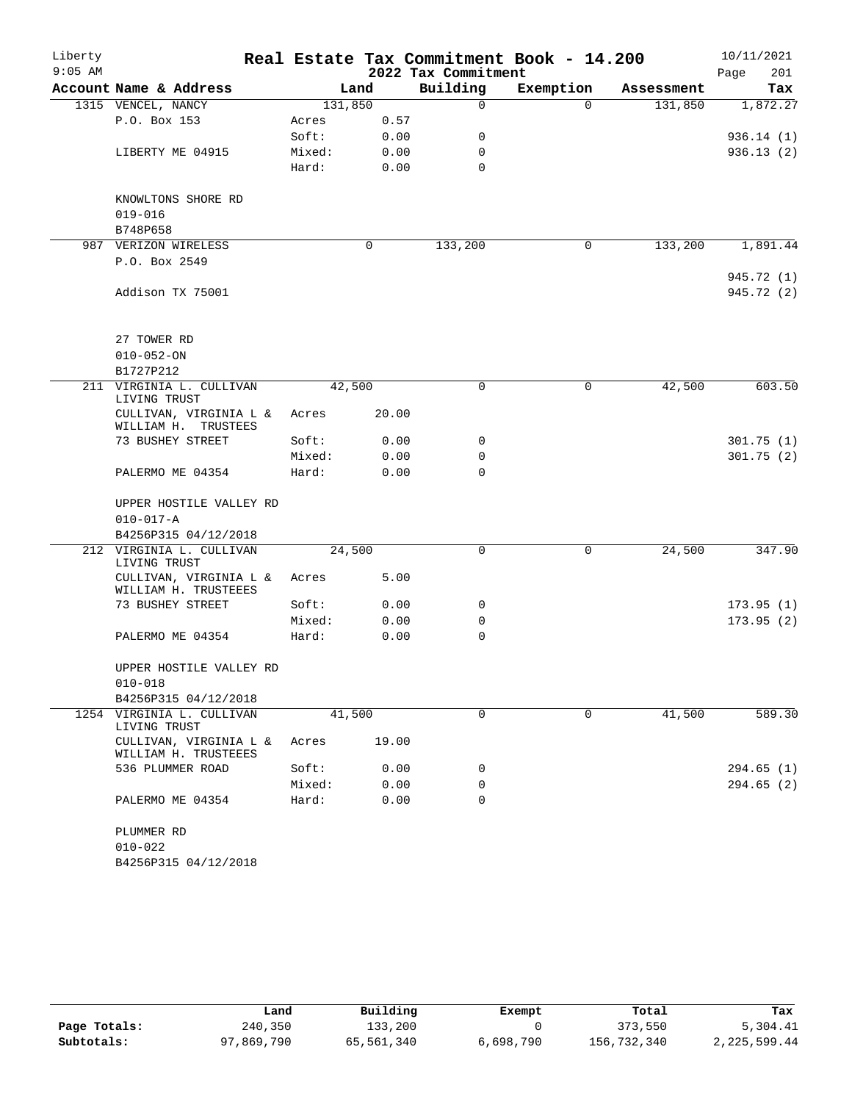| Liberty   |                                                |         |       |                     | Real Estate Tax Commitment Book - 14.200 |            | 10/11/2021  |
|-----------|------------------------------------------------|---------|-------|---------------------|------------------------------------------|------------|-------------|
| $9:05$ AM |                                                |         |       | 2022 Tax Commitment |                                          |            | 201<br>Page |
|           | Account Name & Address                         |         | Land  | Building            | Exemption                                | Assessment | Tax         |
|           | 1315 VENCEL, NANCY                             | 131,850 |       | $\Omega$            | $\Omega$                                 | 131,850    | 1,872.27    |
|           | P.O. Box 153                                   | Acres   | 0.57  |                     |                                          |            |             |
|           |                                                | Soft:   | 0.00  | 0                   |                                          |            | 936.14(1)   |
|           | LIBERTY ME 04915                               | Mixed:  | 0.00  | $\mathbf 0$         |                                          |            | 936.13(2)   |
|           |                                                | Hard:   | 0.00  | 0                   |                                          |            |             |
|           | KNOWLTONS SHORE RD                             |         |       |                     |                                          |            |             |
|           | $019 - 016$                                    |         |       |                     |                                          |            |             |
|           | B748P658                                       |         |       |                     |                                          |            |             |
|           | 987 VERIZON WIRELESS                           |         | 0     | 133,200             | $\mathbf 0$                              | 133,200    | 1,891.44    |
|           | P.O. Box 2549                                  |         |       |                     |                                          |            |             |
|           |                                                |         |       |                     |                                          |            | 945.72 (1)  |
|           | Addison TX 75001                               |         |       |                     |                                          |            | 945.72 (2)  |
|           |                                                |         |       |                     |                                          |            |             |
|           |                                                |         |       |                     |                                          |            |             |
|           | 27 TOWER RD                                    |         |       |                     |                                          |            |             |
|           | $010 - 052 - ON$                               |         |       |                     |                                          |            |             |
|           | B1727P212                                      |         |       |                     |                                          |            |             |
| 211       | VIRGINIA L. CULLIVAN<br>LIVING TRUST           | 42,500  |       | $\mathbf 0$         | $\mathbf 0$                              | 42,500     | 603.50      |
|           | CULLIVAN, VIRGINIA L &<br>WILLIAM H. TRUSTEES  | Acres   | 20.00 |                     |                                          |            |             |
|           | 73 BUSHEY STREET                               | Soft:   | 0.00  | 0                   |                                          |            | 301.75(1)   |
|           |                                                | Mixed:  | 0.00  | $\mathbf 0$         |                                          |            | 301.75(2)   |
|           | PALERMO ME 04354                               | Hard:   | 0.00  | $\Omega$            |                                          |            |             |
|           | UPPER HOSTILE VALLEY RD                        |         |       |                     |                                          |            |             |
|           | $010 - 017 - A$                                |         |       |                     |                                          |            |             |
|           | B4256P315 04/12/2018                           |         |       |                     |                                          |            |             |
|           | 212 VIRGINIA L. CULLIVAN<br>LIVING TRUST       | 24,500  |       | $\mathbf 0$         | $\mathbf 0$                              | 24,500     | 347.90      |
|           | CULLIVAN, VIRGINIA L &<br>WILLIAM H. TRUSTEEES | Acres   | 5.00  |                     |                                          |            |             |
|           | 73 BUSHEY STREET                               | Soft:   | 0.00  | 0                   |                                          |            | 173.95(1)   |
|           |                                                | Mixed:  | 0.00  | 0                   |                                          |            | 173.95(2)   |
|           | PALERMO ME 04354                               | Hard:   | 0.00  | $\mathbf 0$         |                                          |            |             |
|           |                                                |         |       |                     |                                          |            |             |
|           | UPPER HOSTILE VALLEY RD                        |         |       |                     |                                          |            |             |
|           | $010 - 018$                                    |         |       |                     |                                          |            |             |
|           | B4256P315 04/12/2018                           |         |       |                     |                                          |            |             |
|           | 1254 VIRGINIA L. CULLIVAN<br>LIVING TRUST      | 41,500  |       | $\mathbf 0$         | 0                                        | 41,500     | 589.30      |
|           | CULLIVAN, VIRGINIA L &<br>WILLIAM H. TRUSTEEES | Acres   | 19.00 |                     |                                          |            |             |
|           | 536 PLUMMER ROAD                               | Soft:   | 0.00  | 0                   |                                          |            | 294.65(1)   |
|           |                                                | Mixed:  | 0.00  | 0                   |                                          |            | 294.65 (2)  |
|           | PALERMO ME 04354                               | Hard:   | 0.00  | $\mathbf 0$         |                                          |            |             |
|           | PLUMMER RD                                     |         |       |                     |                                          |            |             |
|           | $010 - 022$                                    |         |       |                     |                                          |            |             |
|           | B4256P315 04/12/2018                           |         |       |                     |                                          |            |             |
|           |                                                |         |       |                     |                                          |            |             |

|              | Land       | Building   | Exempt    | Total       | Tax          |
|--------------|------------|------------|-----------|-------------|--------------|
| Page Totals: | 240,350    | 133,200    |           | 373,550     | 5,304.41     |
| Subtotals:   | 97,869,790 | 65,561,340 | 6,698,790 | 156,732,340 | 2,225,599.44 |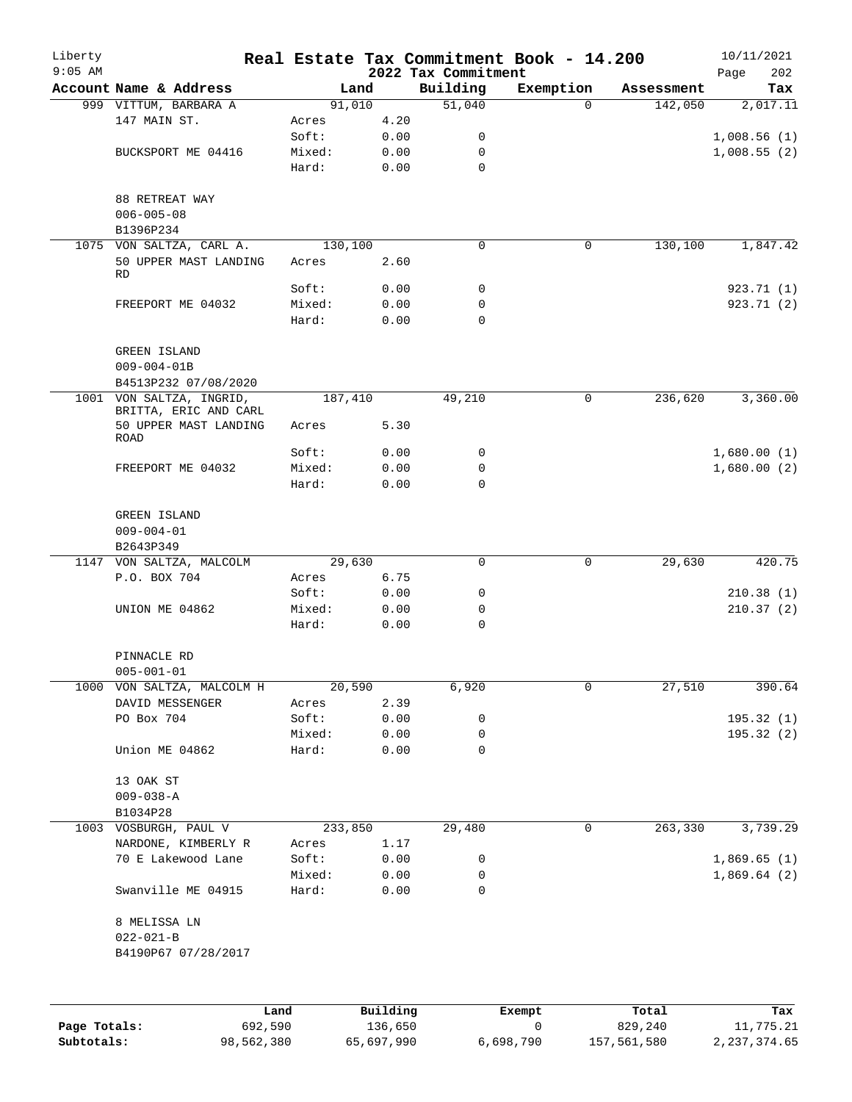| Liberty      |                                                  |                 |              |                                 | Real Estate Tax Commitment Book - 14.200 |            | 10/11/2021         |
|--------------|--------------------------------------------------|-----------------|--------------|---------------------------------|------------------------------------------|------------|--------------------|
| $9:05$ AM    | Account Name & Address                           | Land            |              | 2022 Tax Commitment<br>Building | Exemption                                | Assessment | 202<br>Page<br>Tax |
|              | 999 VITTUM, BARBARA A                            | 91,010          |              | 51,040                          | $\Omega$                                 | 142,050    | 2,017.11           |
|              | 147 MAIN ST.                                     | Acres           | 4.20         |                                 |                                          |            |                    |
|              |                                                  | Soft:           | 0.00         | 0                               |                                          |            | 1,008.56(1)        |
|              | BUCKSPORT ME 04416                               | Mixed:          | 0.00         | 0                               |                                          |            | 1,008.55(2)        |
|              |                                                  | Hard:           | 0.00         | $\mathbf 0$                     |                                          |            |                    |
|              | 88 RETREAT WAY<br>$006 - 005 - 08$<br>B1396P234  |                 |              |                                 |                                          |            |                    |
|              | 1075 VON SALTZA, CARL A.                         | 130,100         |              | 0                               | 0                                        | 130,100    | 1,847.42           |
|              | 50 UPPER MAST LANDING<br><b>RD</b>               | Acres           | 2.60         |                                 |                                          |            |                    |
|              |                                                  | Soft:           | 0.00         | 0                               |                                          |            | 923.71 (1)         |
|              | FREEPORT ME 04032                                | Mixed:          | 0.00         | 0                               |                                          |            | 923.71 (2)         |
|              |                                                  | Hard:           | 0.00         | 0                               |                                          |            |                    |
|              | <b>GREEN ISLAND</b><br>$009 - 004 - 01B$         |                 |              |                                 |                                          |            |                    |
|              | B4513P232 07/08/2020<br>1001 VON SALTZA, INGRID, | 187,410         |              | 49,210                          | 0                                        | 236,620    | 3,360.00           |
|              | BRITTA, ERIC AND CARL<br>50 UPPER MAST LANDING   | Acres           | 5.30         |                                 |                                          |            |                    |
|              | ROAD                                             |                 |              |                                 |                                          |            |                    |
|              |                                                  | Soft:           | 0.00         | 0                               |                                          |            | 1,680.00(1)        |
|              | FREEPORT ME 04032                                | Mixed:          | 0.00         | 0                               |                                          |            | 1,680.00(2)        |
|              |                                                  | Hard:           | 0.00         | 0                               |                                          |            |                    |
|              | GREEN ISLAND<br>$009 - 004 - 01$<br>B2643P349    |                 |              |                                 |                                          |            |                    |
|              | 1147 VON SALTZA, MALCOLM                         | 29,630          |              | $\mathbf 0$                     | 0                                        | 29,630     | 420.75             |
|              | P.O. BOX 704                                     | Acres           | 6.75         |                                 |                                          |            |                    |
|              |                                                  | Soft:           | 0.00         | 0                               |                                          |            | 210.38(1)          |
|              | UNION ME 04862                                   | Mixed:          | 0.00         | 0                               |                                          |            | 210.37(2)          |
|              |                                                  | Hard:           | 0.00         | $\mathbf 0$                     |                                          |            |                    |
|              | PINNACLE RD                                      |                 |              |                                 |                                          |            |                    |
|              | $005 - 001 - 01$                                 |                 |              |                                 |                                          |            |                    |
|              | 1000 VON SALTZA, MALCOLM H                       | 20,590          |              | 6,920                           | 0                                        | 27,510     | 390.64             |
|              | DAVID MESSENGER                                  | Acres           | 2.39         |                                 |                                          |            |                    |
|              | PO Box 704                                       | Soft:           | 0.00         | 0                               |                                          |            | 195.32 (1)         |
|              |                                                  | Mixed:          | 0.00         | 0                               |                                          |            | 195.32 (2)         |
|              | Union ME 04862                                   | Hard:           | 0.00         | 0                               |                                          |            |                    |
|              | 13 OAK ST                                        |                 |              |                                 |                                          |            |                    |
|              | $009 - 038 - A$                                  |                 |              |                                 |                                          |            |                    |
|              | B1034P28                                         |                 |              |                                 |                                          |            |                    |
| 1003         | VOSBURGH, PAUL V                                 | 233,850         |              | 29,480                          | 0                                        | 263,330    | 3,739.29           |
|              | NARDONE, KIMBERLY R                              | Acres           | 1.17         |                                 |                                          |            |                    |
|              | 70 E Lakewood Lane                               | Soft:           | 0.00         | 0                               |                                          |            | 1,869.65(1)        |
|              | Swanville ME 04915                               | Mixed:<br>Hard: | 0.00<br>0.00 | 0<br>0                          |                                          |            | 1,869.64(2)        |
|              |                                                  |                 |              |                                 |                                          |            |                    |
|              | 8 MELISSA LN                                     |                 |              |                                 |                                          |            |                    |
|              | $022 - 021 - B$                                  |                 |              |                                 |                                          |            |                    |
|              | B4190P67 07/28/2017                              |                 |              |                                 |                                          |            |                    |
|              |                                                  |                 |              |                                 |                                          |            |                    |
|              |                                                  | Land            | Building     |                                 | Exempt                                   | Total      | Tax                |
| Page Totals: | 692,590                                          |                 | 136,650      |                                 | 0                                        | 829,240    | 11,775.21          |

**Subtotals:** 98,562,380 65,697,990 6,698,790 157,561,580 2,237,374.65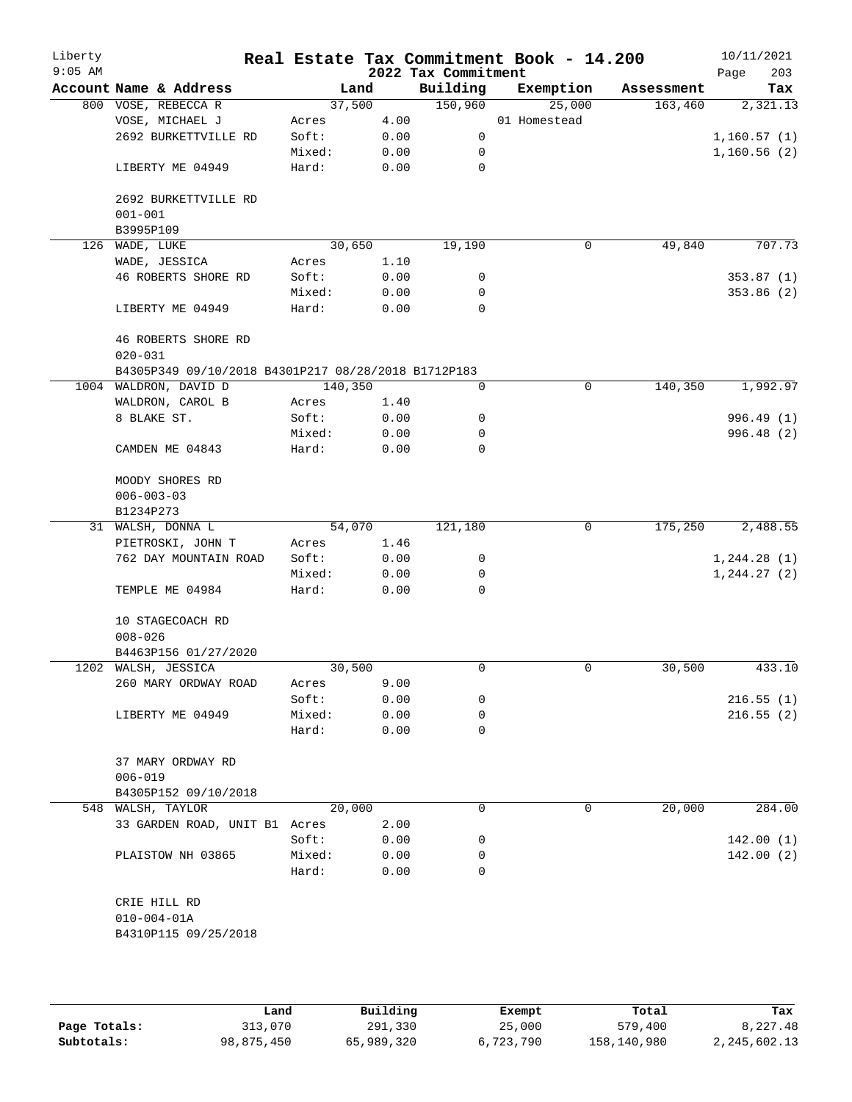| Liberty<br>$9:05$ AM |                                                     |         |      | 2022 Tax Commitment | Real Estate Tax Commitment Book - 14.200 |            | 10/11/2021<br>203<br>Page |
|----------------------|-----------------------------------------------------|---------|------|---------------------|------------------------------------------|------------|---------------------------|
|                      | Account Name & Address                              | Land    |      | Building            | Exemption                                | Assessment | Tax                       |
|                      | 800 VOSE, REBECCA R                                 | 37,500  |      | 150,960             | 25,000                                   | 163,460    | 2,321.13                  |
|                      | VOSE, MICHAEL J                                     | Acres   | 4.00 |                     | 01 Homestead                             |            |                           |
|                      | 2692 BURKETTVILLE RD                                | Soft:   | 0.00 | 0                   |                                          |            | 1,160.57(1)               |
|                      |                                                     | Mixed:  | 0.00 | 0                   |                                          |            | 1,160.56(2)               |
|                      | LIBERTY ME 04949                                    | Hard:   | 0.00 | 0                   |                                          |            |                           |
|                      | 2692 BURKETTVILLE RD                                |         |      |                     |                                          |            |                           |
|                      | $001 - 001$                                         |         |      |                     |                                          |            |                           |
|                      | B3995P109                                           |         |      |                     |                                          |            |                           |
|                      | 126 WADE, LUKE                                      | 30,650  |      | 19,190              | 0                                        | 49,840     | 707.73                    |
|                      | WADE, JESSICA                                       | Acres   | 1.10 |                     |                                          |            |                           |
|                      | 46 ROBERTS SHORE RD                                 | Soft:   | 0.00 | 0                   |                                          |            | 353.87(1)                 |
|                      |                                                     | Mixed:  | 0.00 | 0                   |                                          |            | 353.86 (2)                |
|                      | LIBERTY ME 04949                                    | Hard:   | 0.00 | $\mathbf 0$         |                                          |            |                           |
|                      | 46 ROBERTS SHORE RD<br>$020 - 031$                  |         |      |                     |                                          |            |                           |
|                      | B4305P349 09/10/2018 B4301P217 08/28/2018 B1712P183 |         |      |                     |                                          |            |                           |
|                      | 1004 WALDRON, DAVID D                               | 140,350 |      | 0                   | $\mathbf 0$                              | 140,350    | 1,992.97                  |
|                      | WALDRON, CAROL B                                    | Acres   | 1.40 |                     |                                          |            |                           |
|                      | 8 BLAKE ST.                                         | Soft:   | 0.00 | 0                   |                                          |            | 996.49 (1)                |
|                      |                                                     | Mixed:  | 0.00 | 0                   |                                          |            | 996.48 (2)                |
|                      | CAMDEN ME 04843                                     | Hard:   | 0.00 | 0                   |                                          |            |                           |
|                      | MOODY SHORES RD<br>$006 - 003 - 03$                 |         |      |                     |                                          |            |                           |
|                      | B1234P273                                           |         |      |                     |                                          |            |                           |
|                      | 31 WALSH, DONNA L                                   | 54,070  |      | 121,180             | 0                                        | 175,250    | 2,488.55                  |
|                      | PIETROSKI, JOHN T                                   | Acres   | 1.46 |                     |                                          |            |                           |
|                      | 762 DAY MOUNTAIN ROAD                               | Soft:   | 0.00 | 0                   |                                          |            | 1, 244.28(1)              |
|                      |                                                     | Mixed:  | 0.00 | 0                   |                                          |            | 1, 244.27 (2)             |
|                      | TEMPLE ME 04984                                     | Hard:   | 0.00 | 0                   |                                          |            |                           |
|                      | 10 STAGECOACH RD                                    |         |      |                     |                                          |            |                           |
|                      | $008 - 026$                                         |         |      |                     |                                          |            |                           |
|                      | B4463P156 01/27/2020                                |         |      |                     |                                          |            |                           |
|                      | 1202 WALSH, JESSICA                                 | 30,500  |      | 0                   | 0                                        | 30,500     | 433.10                    |
|                      | 260 MARY ORDWAY ROAD                                | Acres   | 9.00 |                     |                                          |            |                           |
|                      |                                                     | Soft:   | 0.00 | 0                   |                                          |            | 216.55(1)                 |
|                      | LIBERTY ME 04949                                    | Mixed:  | 0.00 | 0                   |                                          |            | 216.55(2)                 |
|                      |                                                     | Hard:   | 0.00 | 0                   |                                          |            |                           |
|                      | 37 MARY ORDWAY RD                                   |         |      |                     |                                          |            |                           |
|                      | $006 - 019$                                         |         |      |                     |                                          |            |                           |
|                      | B4305P152 09/10/2018                                |         |      |                     |                                          |            |                           |
|                      | 548 WALSH, TAYLOR                                   | 20,000  |      | $\Omega$            | 0                                        | 20,000     | 284.00                    |
|                      | 33 GARDEN ROAD, UNIT B1 Acres                       |         | 2.00 |                     |                                          |            |                           |
|                      |                                                     | Soft:   | 0.00 | 0                   |                                          |            | 142.00(1)                 |
|                      | PLAISTOW NH 03865                                   | Mixed:  | 0.00 | 0                   |                                          |            | 142.00(2)                 |
|                      |                                                     | Hard:   | 0.00 | $\Omega$            |                                          |            |                           |
|                      | CRIE HILL RD                                        |         |      |                     |                                          |            |                           |
|                      | $010 - 004 - 01A$                                   |         |      |                     |                                          |            |                           |
|                      | B4310P115 09/25/2018                                |         |      |                     |                                          |            |                           |
|                      |                                                     |         |      |                     |                                          |            |                           |

|              | Land       | Building   | Exempt    | Total       | Tax          |
|--------------|------------|------------|-----------|-------------|--------------|
| Page Totals: | 313,070    | 291,330    | 25,000    | 579,400     | 8,227.48     |
| Subtotals:   | 98,875,450 | 65,989,320 | 6,723,790 | 158,140,980 | 2,245,602.13 |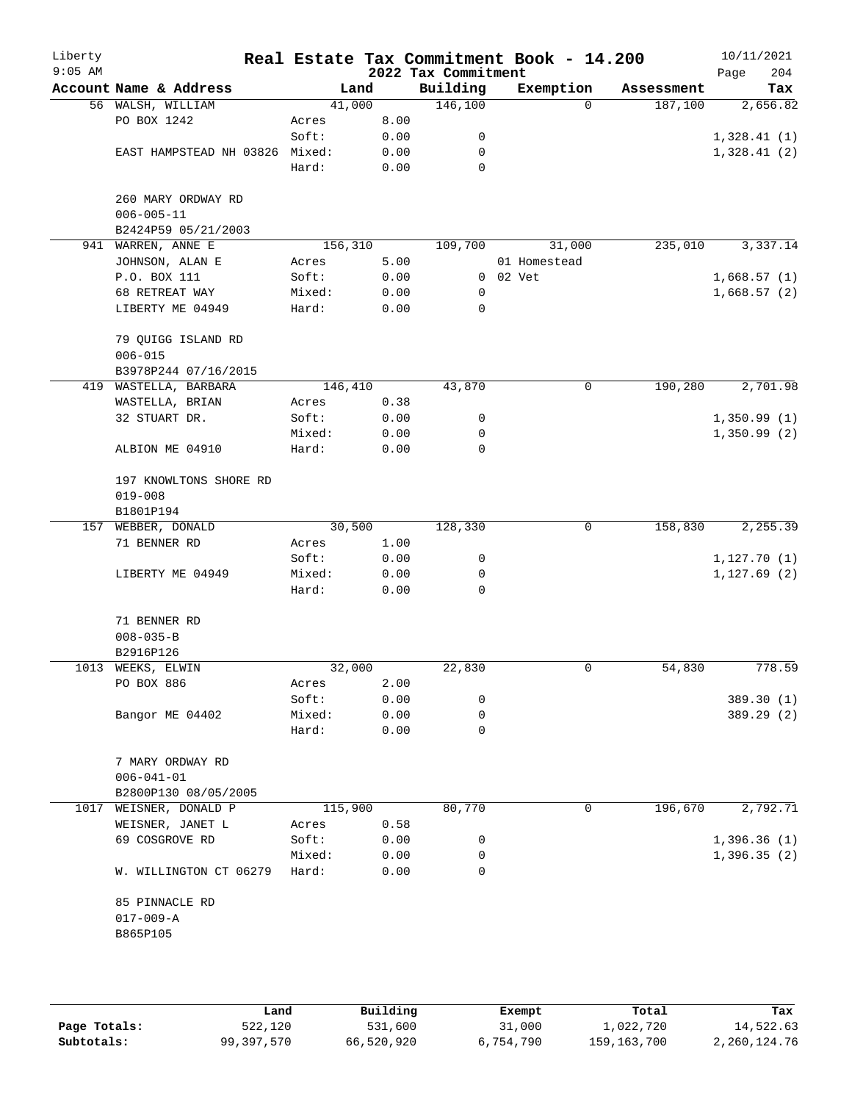| Liberty<br>$9:05$ AM |                                               |                 |              | 2022 Tax Commitment | Real Estate Tax Commitment Book - 14.200 |            | 10/11/2021<br>204<br>Page |
|----------------------|-----------------------------------------------|-----------------|--------------|---------------------|------------------------------------------|------------|---------------------------|
|                      | Account Name & Address                        | Land            |              | Building            | Exemption                                | Assessment | Tax                       |
|                      | 56 WALSH, WILLIAM                             | 41,000          |              | 146,100             | $\Omega$                                 | 187,100    | 2,656.82                  |
|                      | PO BOX 1242                                   | Acres           | 8.00         |                     |                                          |            |                           |
|                      |                                               | Soft:           | 0.00         | 0                   |                                          |            | 1,328.41(1)               |
|                      | EAST HAMPSTEAD NH 03826 Mixed:                |                 | 0.00         | 0                   |                                          |            | 1,328.41(2)               |
|                      |                                               | Hard:           | 0.00         | 0                   |                                          |            |                           |
|                      | 260 MARY ORDWAY RD<br>$006 - 005 - 11$        |                 |              |                     |                                          |            |                           |
|                      | B2424P59 05/21/2003                           |                 |              | 109,700             |                                          |            |                           |
|                      | 941 WARREN, ANNE E                            | 156,310         |              |                     | 31,000                                   | 235,010    | 3,337.14                  |
|                      | JOHNSON, ALAN E                               | Acres           | 5.00         |                     | 01 Homestead                             |            |                           |
|                      | P.O. BOX 111                                  | Soft:           | 0.00         |                     | 0 02 Vet                                 |            | 1,668.57(1)               |
|                      | 68 RETREAT WAY<br>LIBERTY ME 04949            | Mixed:<br>Hard: | 0.00<br>0.00 | 0<br>0              |                                          |            | 1,668.57(2)               |
|                      | 79 QUIGG ISLAND RD<br>$006 - 015$             |                 |              |                     |                                          |            |                           |
|                      | B3978P244 07/16/2015                          |                 |              |                     |                                          |            |                           |
|                      | 419 WASTELLA, BARBARA                         | 146,410         |              | 43,870              | 0                                        | 190,280    | 2,701.98                  |
|                      | WASTELLA, BRIAN                               | Acres           | 0.38         |                     |                                          |            |                           |
|                      | 32 STUART DR.                                 | Soft:           | 0.00         | 0                   |                                          |            | 1,350.99(1)               |
|                      |                                               | Mixed:          | 0.00         | 0                   |                                          |            | 1,350.99(2)               |
|                      | ALBION ME 04910                               | Hard:           | 0.00         | 0                   |                                          |            |                           |
|                      | 197 KNOWLTONS SHORE RD<br>$019 - 008$         |                 |              |                     |                                          |            |                           |
|                      | B1801P194                                     |                 |              |                     |                                          |            |                           |
|                      | 157 WEBBER, DONALD                            | 30,500          |              | 128,330             | 0                                        | 158,830    | 2, 255.39                 |
|                      | 71 BENNER RD                                  | Acres           | 1.00         |                     |                                          |            |                           |
|                      |                                               | Soft:           | 0.00         | 0                   |                                          |            | 1,127.70(1)               |
|                      | LIBERTY ME 04949                              | Mixed:<br>Hard: | 0.00<br>0.00 | 0<br>0              |                                          |            | 1, 127.69(2)              |
|                      | 71 BENNER RD                                  |                 |              |                     |                                          |            |                           |
|                      | $008 - 035 - B$                               |                 |              |                     |                                          |            |                           |
|                      | B2916P126                                     |                 |              |                     |                                          |            |                           |
|                      | 1013 WEEKS, ELWIN                             | 32,000          |              | 22,830              | 0                                        | 54,830     | 778.59                    |
|                      | PO BOX 886                                    | Acres           | 2.00         |                     |                                          |            |                           |
|                      |                                               | Soft:           | 0.00         | 0                   |                                          |            | 389.30 (1)                |
|                      | Bangor ME 04402                               | Mixed:          | 0.00         | 0                   |                                          |            | 389.29 (2)                |
|                      |                                               | Hard:           | 0.00         | 0                   |                                          |            |                           |
|                      | 7 MARY ORDWAY RD<br>$006 - 041 - 01$          |                 |              |                     |                                          |            |                           |
|                      | B2800P130 08/05/2005                          |                 |              |                     |                                          |            |                           |
|                      | 1017 WEISNER, DONALD P                        | 115,900         |              | 80,770              | 0                                        | 196,670    | 2,792.71                  |
|                      | WEISNER, JANET L                              | Acres           | 0.58         |                     |                                          |            |                           |
|                      | 69 COSGROVE RD                                | Soft:           | 0.00         |                     |                                          |            |                           |
|                      |                                               |                 |              | 0<br>0              |                                          |            | 1,396.36(1)               |
|                      | W. WILLINGTON CT 06279                        | Mixed:<br>Hard: | 0.00<br>0.00 | 0                   |                                          |            | 1,396.35(2)               |
|                      | 85 PINNACLE RD<br>$017 - 009 - A$<br>B865P105 |                 |              |                     |                                          |            |                           |
|                      |                                               |                 |              |                     |                                          |            |                           |

|              | Land       | Building   | Exempt    | Total       | Tax          |
|--------------|------------|------------|-----------|-------------|--------------|
| Page Totals: | 522,120    | 531,600    | 31,000    | 1,022,720   | 14,522.63    |
| Subtotals:   | 99,397,570 | 66,520,920 | 6,754,790 | 159,163,700 | 2,260,124.76 |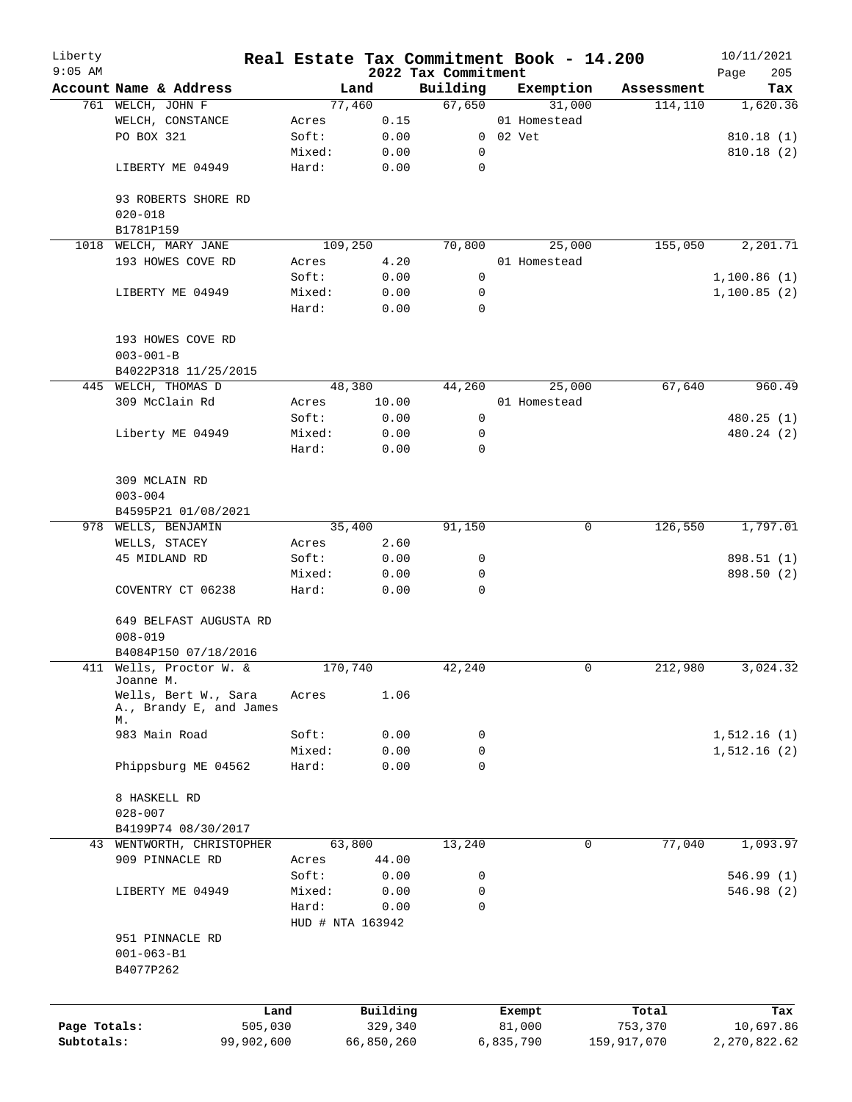| Liberty      |                                                       |        |                  |                                 | Real Estate Tax Commitment Book - 14.200 |                       | 10/11/2021         |
|--------------|-------------------------------------------------------|--------|------------------|---------------------------------|------------------------------------------|-----------------------|--------------------|
| $9:05$ AM    | Account Name & Address                                |        | Land             | 2022 Tax Commitment<br>Building |                                          |                       | 205<br>Page<br>Tax |
|              | 761 WELCH, JOHN F                                     |        | 77,460           | 67,650                          | Exemption<br>31,000                      | Assessment<br>114,110 | 1,620.36           |
|              | WELCH, CONSTANCE                                      | Acres  | 0.15             |                                 | 01 Homestead                             |                       |                    |
|              | PO BOX 321                                            | Soft:  | 0.00             | $\overline{0}$                  | 02 Vet                                   |                       | 810.18(1)          |
|              |                                                       | Mixed: | 0.00             | 0                               |                                          |                       | 810.18(2)          |
|              | LIBERTY ME 04949                                      | Hard:  | 0.00             | $\mathbf 0$                     |                                          |                       |                    |
|              | 93 ROBERTS SHORE RD                                   |        |                  |                                 |                                          |                       |                    |
|              | $020 - 018$                                           |        |                  |                                 |                                          |                       |                    |
|              | B1781P159                                             |        |                  |                                 |                                          |                       |                    |
| 1018         | WELCH, MARY JANE                                      |        | 109,250          | 70,800                          | 25,000                                   | 155,050               | 2,201.71           |
|              | 193 HOWES COVE RD                                     | Acres  | 4.20             |                                 | 01 Homestead                             |                       |                    |
|              |                                                       | Soft:  | 0.00             | 0                               |                                          |                       | 1,100.86(1)        |
|              | LIBERTY ME 04949                                      | Mixed: | 0.00             | 0                               |                                          |                       | 1,100.85(2)        |
|              |                                                       | Hard:  | 0.00             | $\mathbf 0$                     |                                          |                       |                    |
|              | 193 HOWES COVE RD                                     |        |                  |                                 |                                          |                       |                    |
|              | $003 - 001 - B$                                       |        |                  |                                 |                                          |                       |                    |
|              | B4022P318 11/25/2015                                  |        |                  |                                 |                                          |                       |                    |
|              | 445 WELCH, THOMAS D                                   |        | 48,380           | 44,260                          | 25,000                                   | 67,640                | 960.49             |
|              | 309 McClain Rd                                        | Acres  | 10.00            |                                 | 01 Homestead                             |                       |                    |
|              |                                                       | Soft:  | 0.00             | 0                               |                                          |                       | 480.25 (1)         |
|              | Liberty ME 04949                                      | Mixed: | 0.00             | 0                               |                                          |                       | 480.24 (2)         |
|              |                                                       | Hard:  | 0.00             | 0                               |                                          |                       |                    |
|              | 309 MCLAIN RD                                         |        |                  |                                 |                                          |                       |                    |
|              | $003 - 004$                                           |        |                  |                                 |                                          |                       |                    |
|              | B4595P21 01/08/2021                                   |        |                  |                                 |                                          |                       |                    |
|              | 978 WELLS, BENJAMIN                                   |        | 35,400           | 91,150                          |                                          | 126,550<br>0          | 1,797.01           |
|              | WELLS, STACEY                                         | Acres  | 2.60             |                                 |                                          |                       |                    |
|              | 45 MIDLAND RD                                         | Soft:  | 0.00             | 0                               |                                          |                       | 898.51 (1)         |
|              |                                                       | Mixed: | 0.00             | 0                               |                                          |                       | 898.50 (2)         |
|              | COVENTRY CT 06238                                     | Hard:  | 0.00             | $\mathbf 0$                     |                                          |                       |                    |
|              |                                                       |        |                  |                                 |                                          |                       |                    |
|              | 649 BELFAST AUGUSTA RD<br>$008 - 019$                 |        |                  |                                 |                                          |                       |                    |
|              | B4084P150 07/18/2016                                  |        |                  |                                 |                                          |                       |                    |
|              | 411 Wells, Proctor W. &                               |        | 170,740          | 42,240                          |                                          | 0<br>212,980          | 3,024.32           |
|              | Joanne M.                                             |        |                  |                                 |                                          |                       |                    |
|              | Wells, Bert W., Sara<br>A., Brandy E, and James<br>М. | Acres  | 1.06             |                                 |                                          |                       |                    |
|              | 983 Main Road                                         | Soft:  | 0.00             | 0                               |                                          |                       | 1,512.16(1)        |
|              |                                                       | Mixed: | 0.00             | 0                               |                                          |                       | 1,512.16(2)        |
|              | Phippsburg ME 04562                                   | Hard:  | 0.00             | $\mathbf 0$                     |                                          |                       |                    |
|              | 8 HASKELL RD                                          |        |                  |                                 |                                          |                       |                    |
|              | $028 - 007$                                           |        |                  |                                 |                                          |                       |                    |
|              | B4199P74 08/30/2017                                   |        |                  |                                 |                                          |                       |                    |
|              | 43 WENTWORTH, CHRISTOPHER                             |        | 63,800           | 13,240                          |                                          | 77,040<br>0           | 1,093.97           |
|              | 909 PINNACLE RD                                       | Acres  | 44.00            |                                 |                                          |                       |                    |
|              |                                                       | Soft:  | 0.00             | 0                               |                                          |                       | 546.99(1)          |
|              | LIBERTY ME 04949                                      | Mixed: | 0.00             | 0                               |                                          |                       | 546.98(2)          |
|              |                                                       | Hard:  | 0.00             | 0                               |                                          |                       |                    |
|              |                                                       |        | HUD # NTA 163942 |                                 |                                          |                       |                    |
|              | 951 PINNACLE RD                                       |        |                  |                                 |                                          |                       |                    |
|              | $001 - 063 - B1$                                      |        |                  |                                 |                                          |                       |                    |
|              | B4077P262                                             |        |                  |                                 |                                          |                       |                    |
|              |                                                       |        |                  |                                 |                                          |                       |                    |
|              |                                                       | Land   | Building         |                                 | Exempt                                   | Total                 | Tax                |
| Page Totals: | 505,030                                               |        | 329,340          |                                 | 81,000                                   | 753,370               | 10,697.86          |
| Subtotals:   | 99,902,600                                            |        | 66,850,260       |                                 | 6,835,790                                | 159,917,070           | 2, 270, 822.62     |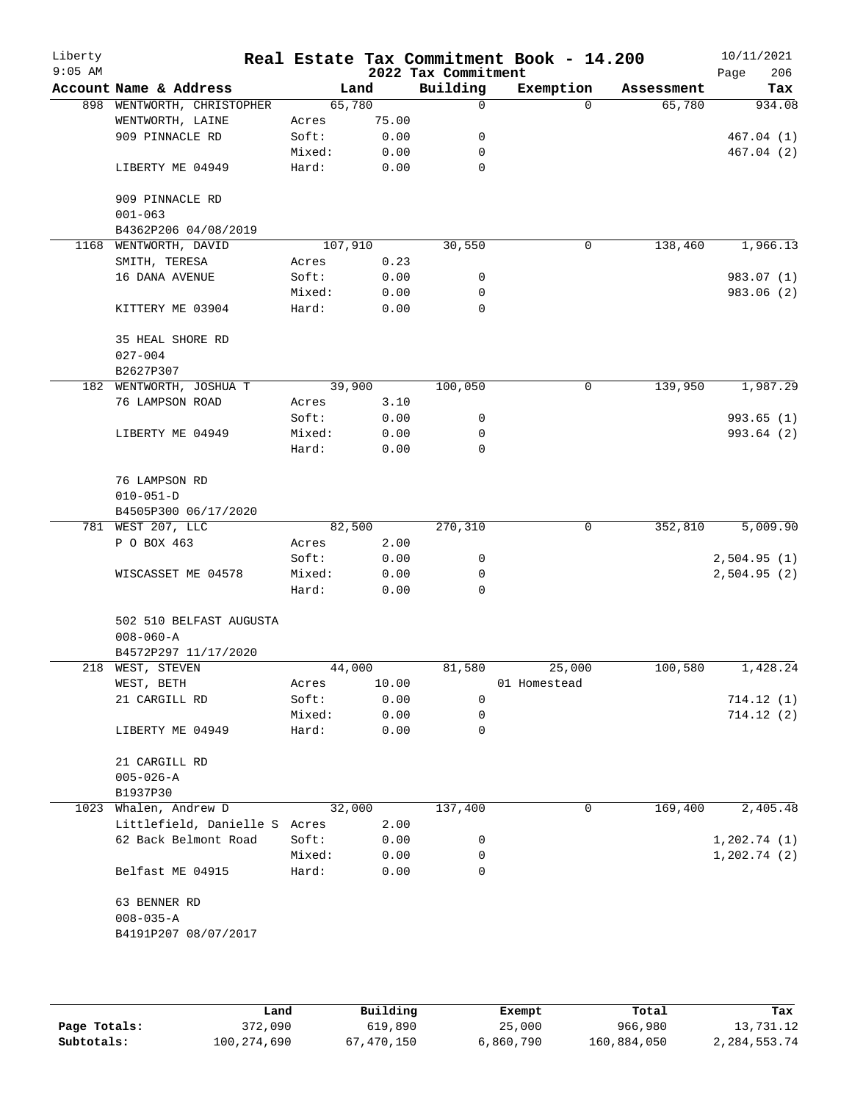| Liberty<br>$9:05$ AM |                                     |        |         | 2022 Tax Commitment | Real Estate Tax Commitment Book - 14.200 |            | 10/11/2021<br>Page<br>206 |
|----------------------|-------------------------------------|--------|---------|---------------------|------------------------------------------|------------|---------------------------|
|                      | Account Name & Address              |        | Land    | Building            | Exemption                                | Assessment | Tax                       |
|                      | 898 WENTWORTH, CHRISTOPHER          |        | 65,780  | 0                   | $\Omega$                                 | 65,780     | 934.08                    |
|                      | WENTWORTH, LAINE                    | Acres  | 75.00   |                     |                                          |            |                           |
|                      | 909 PINNACLE RD                     | Soft:  | 0.00    | 0                   |                                          |            | 467.04(1)                 |
|                      |                                     | Mixed: | 0.00    | 0                   |                                          |            | 467.04(2)                 |
|                      | LIBERTY ME 04949                    | Hard:  | 0.00    | 0                   |                                          |            |                           |
|                      | 909 PINNACLE RD                     |        |         |                     |                                          |            |                           |
|                      | $001 - 063$<br>B4362P206 04/08/2019 |        |         |                     |                                          |            |                           |
|                      | 1168 WENTWORTH, DAVID               |        | 107,910 | 30,550              | 0                                        | 138,460    | 1,966.13                  |
|                      | SMITH, TERESA                       | Acres  | 0.23    |                     |                                          |            |                           |
|                      | 16 DANA AVENUE                      | Soft:  | 0.00    | 0                   |                                          |            | 983.07 (1)                |
|                      |                                     |        |         |                     |                                          |            |                           |
|                      |                                     | Mixed: | 0.00    | 0                   |                                          |            | 983.06 (2)                |
|                      | KITTERY ME 03904                    | Hard:  | 0.00    | 0                   |                                          |            |                           |
|                      | 35 HEAL SHORE RD                    |        |         |                     |                                          |            |                           |
|                      | $027 - 004$                         |        |         |                     |                                          |            |                           |
|                      | B2627P307                           |        |         |                     |                                          |            |                           |
|                      | 182 WENTWORTH, JOSHUA T             |        | 39,900  | 100,050             | 0                                        | 139,950    | 1,987.29                  |
|                      | 76 LAMPSON ROAD                     | Acres  | 3.10    |                     |                                          |            |                           |
|                      |                                     | Soft:  | 0.00    | 0                   |                                          |            | 993.65(1)                 |
|                      | LIBERTY ME 04949                    | Mixed: | 0.00    | 0                   |                                          |            | 993.64 (2)                |
|                      |                                     | Hard:  | 0.00    | $\mathbf 0$         |                                          |            |                           |
|                      | 76 LAMPSON RD                       |        |         |                     |                                          |            |                           |
|                      | $010 - 051 - D$                     |        |         |                     |                                          |            |                           |
|                      | B4505P300 06/17/2020                |        |         |                     |                                          |            |                           |
|                      | 781 WEST 207, LLC                   |        | 82,500  | 270,310             | 0                                        | 352,810    | 5,009.90                  |
|                      | P O BOX 463                         | Acres  | 2.00    |                     |                                          |            |                           |
|                      |                                     | Soft:  | 0.00    | 0                   |                                          |            | 2,504.95(1)               |
|                      | WISCASSET ME 04578                  | Mixed: | 0.00    | 0                   |                                          |            | 2,504.95(2)               |
|                      |                                     | Hard:  | 0.00    | $\Omega$            |                                          |            |                           |
|                      | 502 510 BELFAST AUGUSTA             |        |         |                     |                                          |            |                           |
|                      | $008 - 060 - A$                     |        |         |                     |                                          |            |                           |
|                      | B4572P297 11/17/2020                |        |         |                     |                                          |            |                           |
|                      | 218 WEST, STEVEN                    |        | 44,000  | 81,580              | 25,000                                   | 100,580    | 1,428.24                  |
|                      | WEST, BETH                          | Acres  | 10.00   |                     | 01 Homestead                             |            |                           |
|                      | 21 CARGILL RD                       | Soft:  | 0.00    | $\mathbf 0$         |                                          |            | 714.12(1)                 |
|                      |                                     | Mixed: | 0.00    | 0                   |                                          |            | 714.12(2)                 |
|                      | LIBERTY ME 04949                    | Hard:  | 0.00    | 0                   |                                          |            |                           |
|                      | 21 CARGILL RD                       |        |         |                     |                                          |            |                           |
|                      | $005 - 026 - A$                     |        |         |                     |                                          |            |                           |
|                      | B1937P30                            |        |         |                     |                                          |            |                           |
|                      | 1023 Whalen, Andrew D               |        | 32,000  | 137,400             | 0                                        | 169,400    | 2,405.48                  |
|                      |                                     |        |         |                     |                                          |            |                           |
|                      | Littlefield, Danielle S Acres       |        | 2.00    |                     |                                          |            |                           |
|                      | 62 Back Belmont Road                | Soft:  | 0.00    | 0                   |                                          |            | 1,202.74(1)               |
|                      |                                     | Mixed: | 0.00    | 0                   |                                          |            | 1, 202.74(2)              |
|                      | Belfast ME 04915                    | Hard:  | 0.00    | 0                   |                                          |            |                           |
|                      | 63 BENNER RD                        |        |         |                     |                                          |            |                           |
|                      | $008 - 035 - A$                     |        |         |                     |                                          |            |                           |
|                      | B4191P207 08/07/2017                |        |         |                     |                                          |            |                           |
|                      |                                     |        |         |                     |                                          |            |                           |
|                      |                                     |        |         |                     |                                          |            |                           |
|                      |                                     |        |         |                     |                                          |            |                           |

|              | Land        | Building   | Exempt    | Total       | Tax          |
|--------------|-------------|------------|-----------|-------------|--------------|
| Page Totals: | 372,090     | 619,890    | 25,000    | 966,980     | 13,731.12    |
| Subtotals:   | 100,274,690 | 67,470,150 | 6,860,790 | 160,884,050 | 2,284,553.74 |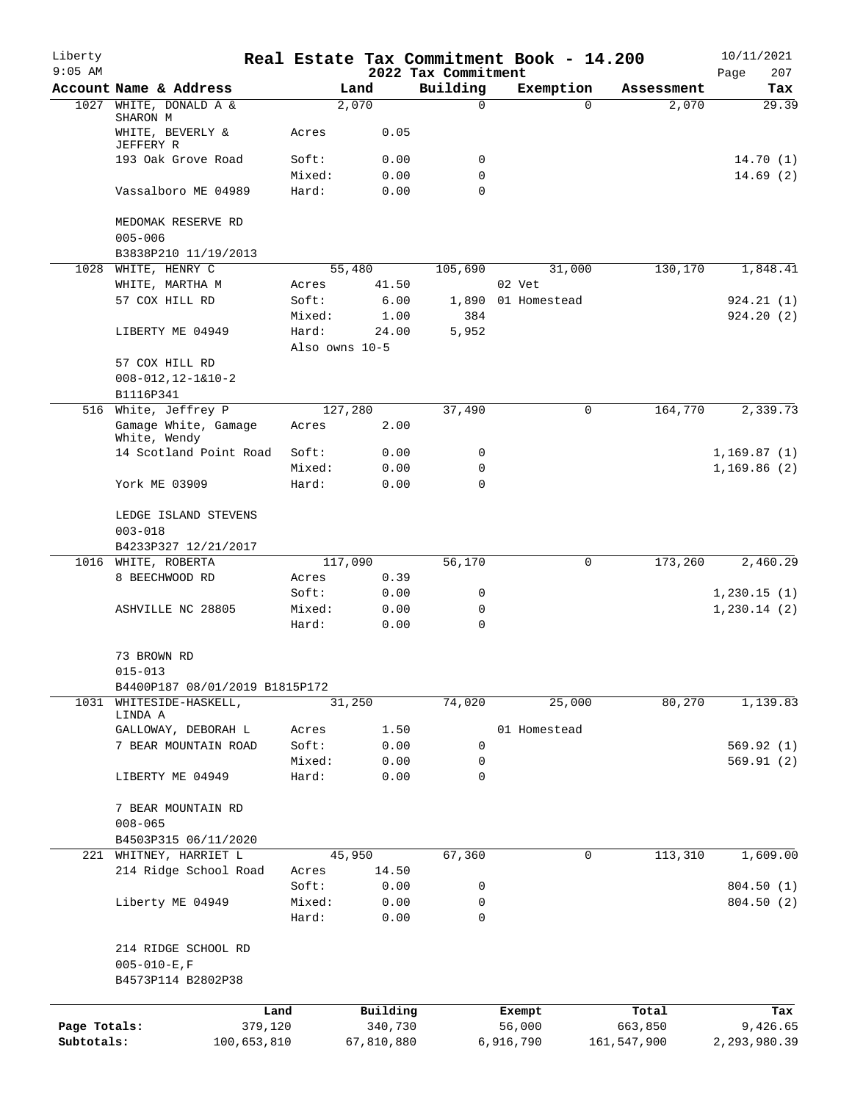| Liberty<br>$9:05$ AM       |                                                                  |                 |                       | 2022 Tax Commitment | Real Estate Tax Commitment Book - 14.200 |                        | 10/11/2021<br>207<br>Page |
|----------------------------|------------------------------------------------------------------|-----------------|-----------------------|---------------------|------------------------------------------|------------------------|---------------------------|
|                            | Account Name & Address                                           |                 | Land                  | Building            | Exemption                                | Assessment             | Tax                       |
| 1027                       | WHITE, DONALD A &                                                |                 | 2,070                 | 0                   | $\Omega$                                 | 2,070                  | 29.39                     |
|                            | SHARON M<br>WHITE, BEVERLY &<br>JEFFERY R                        | Acres           | 0.05                  |                     |                                          |                        |                           |
|                            | 193 Oak Grove Road                                               | Soft:           | 0.00                  | 0                   |                                          |                        | 14.70(1)                  |
|                            |                                                                  | Mixed:          | 0.00                  | 0                   |                                          |                        | 14.69(2)                  |
|                            | Vassalboro ME 04989                                              | Hard:           | 0.00                  | $\mathbf 0$         |                                          |                        |                           |
|                            | MEDOMAK RESERVE RD<br>$005 - 006$                                |                 |                       |                     |                                          |                        |                           |
|                            | B3838P210 11/19/2013                                             |                 |                       |                     |                                          |                        |                           |
| 1028                       | WHITE, HENRY C                                                   |                 | 55,480<br>41.50       | 105,690             | 31,000<br>02 Vet                         | 130,170                | 1,848.41                  |
|                            | WHITE, MARTHA M<br>57 COX HILL RD                                | Acres<br>Soft:  | 6.00                  | 1,890               | 01 Homestead                             |                        | 924.21(1)                 |
|                            |                                                                  | Mixed:          | 1.00                  | 384                 |                                          |                        | 924.20(2)                 |
|                            | LIBERTY ME 04949                                                 | Hard:           | 24.00                 | 5,952               |                                          |                        |                           |
|                            | 57 COX HILL RD                                                   |                 | Also owns 10-5        |                     |                                          |                        |                           |
|                            | $008 - 012, 12 - 1&10 - 2$                                       |                 |                       |                     |                                          |                        |                           |
|                            | B1116P341                                                        |                 |                       |                     |                                          |                        |                           |
|                            | 516 White, Jeffrey P                                             |                 | 127,280               | 37,490              | 0                                        | 164,770                | 2,339.73                  |
|                            | Gamage White, Gamage<br>White, Wendy                             | Acres           | 2.00                  |                     |                                          |                        |                           |
|                            | 14 Scotland Point Road                                           | Soft:           | 0.00                  | 0                   |                                          |                        | 1,169.87(1)               |
|                            |                                                                  | Mixed:          | 0.00                  | 0                   |                                          |                        | 1,169.86(2)               |
|                            | York ME 03909                                                    | Hard:           | 0.00                  | 0                   |                                          |                        |                           |
|                            | LEDGE ISLAND STEVENS<br>$003 - 018$                              |                 |                       |                     |                                          |                        |                           |
|                            | B4233P327 12/21/2017                                             |                 |                       |                     |                                          |                        |                           |
| 1016                       | WHITE, ROBERTA                                                   |                 | 117,090               | 56,170              | $\mathbf 0$                              | 173,260                | 2,460.29                  |
|                            | 8 BEECHWOOD RD                                                   | Acres           | 0.39                  |                     |                                          |                        |                           |
|                            |                                                                  | Soft:           | 0.00                  | 0                   |                                          |                        | 1,230.15(1)               |
|                            | ASHVILLE NC 28805                                                | Mixed:<br>Hard: | 0.00<br>0.00          | 0<br>0              |                                          |                        | 1, 230.14 (2)             |
|                            |                                                                  |                 |                       |                     |                                          |                        |                           |
|                            | 73 BROWN RD<br>$015 - 013$                                       |                 |                       |                     |                                          |                        |                           |
|                            | B4400P187 08/01/2019 B1815P172                                   |                 |                       |                     |                                          |                        |                           |
| 1031                       | WHITESIDE-HASKELL,                                               |                 | 31,250                | 74,020              | 25,000                                   | 80,270                 | 1,139.83                  |
|                            | LINDA A                                                          |                 |                       |                     |                                          |                        |                           |
|                            | GALLOWAY, DEBORAH L                                              | Acres           | 1.50                  |                     | 01 Homestead                             |                        |                           |
|                            | 7 BEAR MOUNTAIN ROAD                                             | Soft:<br>Mixed: | 0.00<br>0.00          | $\mathbf 0$<br>0    |                                          |                        | 569.92(1)<br>569.91(2)    |
|                            | LIBERTY ME 04949                                                 | Hard:           | 0.00                  | 0                   |                                          |                        |                           |
|                            | 7 BEAR MOUNTAIN RD                                               |                 |                       |                     |                                          |                        |                           |
|                            | $008 - 065$                                                      |                 |                       |                     |                                          |                        |                           |
| 221                        | B4503P315 06/11/2020<br>WHITNEY, HARRIET L                       |                 | 45,950                | 67,360              | 0                                        | $1\overline{13,310}$   | 1,609.00                  |
|                            | 214 Ridge School Road                                            | Acres           | 14.50                 |                     |                                          |                        |                           |
|                            |                                                                  | Soft:           | 0.00                  | 0                   |                                          |                        | 804.50 (1)                |
|                            | Liberty ME 04949                                                 | Mixed:          | 0.00                  | 0                   |                                          |                        | 804.50 (2)                |
|                            |                                                                  | Hard:           | 0.00                  | 0                   |                                          |                        |                           |
|                            | 214 RIDGE SCHOOL RD<br>$005 - 010 - E$ , F<br>B4573P114 B2802P38 |                 |                       |                     |                                          |                        |                           |
|                            |                                                                  |                 |                       |                     |                                          |                        |                           |
|                            | Land                                                             |                 | Building              |                     | Exempt                                   | Total                  | Tax                       |
| Page Totals:<br>Subtotals: | 379,120<br>100,653,810                                           |                 | 340,730<br>67,810,880 |                     | 56,000<br>6,916,790                      | 663,850<br>161,547,900 | 9,426.65<br>2,293,980.39  |
|                            |                                                                  |                 |                       |                     |                                          |                        |                           |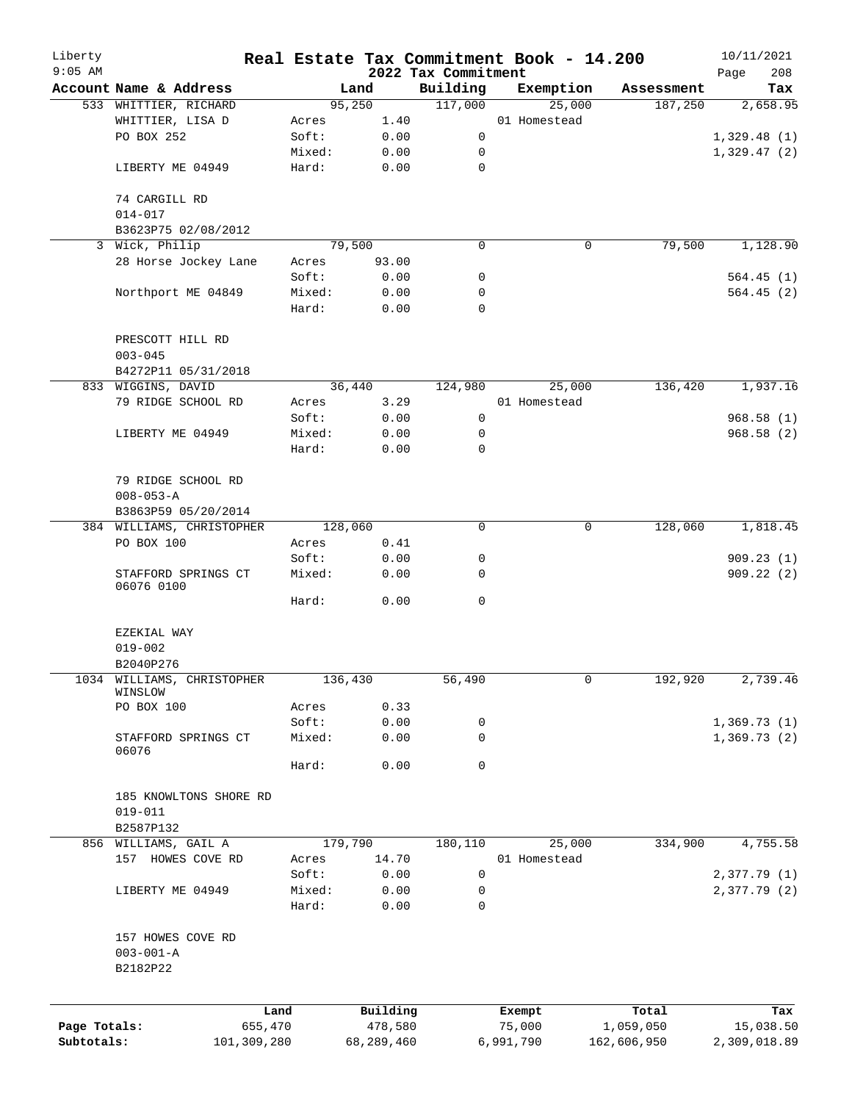| Liberty                         |                                           |                 |                     |                     | Real Estate Tax Commitment Book - 14.200 |                       | 10/11/2021       |
|---------------------------------|-------------------------------------------|-----------------|---------------------|---------------------|------------------------------------------|-----------------------|------------------|
| $9:05$ AM                       | Account Name & Address                    |                 |                     | 2022 Tax Commitment |                                          |                       | 208<br>Page      |
|                                 |                                           |                 | Land<br>95,250      | Building<br>117,000 | Exemption<br>25,000                      | Assessment<br>187,250 | Tax<br>2,658.95  |
|                                 | 533 WHITTIER, RICHARD<br>WHITTIER, LISA D | Acres           | 1.40                |                     | 01 Homestead                             |                       |                  |
|                                 | PO BOX 252                                | Soft:           | 0.00                | 0                   |                                          |                       | 1,329.48(1)      |
|                                 |                                           | Mixed:          | 0.00                | 0                   |                                          |                       | 1,329.47(2)      |
|                                 | LIBERTY ME 04949                          | Hard:           | 0.00                | $\mathbf 0$         |                                          |                       |                  |
|                                 | 74 CARGILL RD                             |                 |                     |                     |                                          |                       |                  |
|                                 | $014 - 017$                               |                 |                     |                     |                                          |                       |                  |
|                                 | B3623P75 02/08/2012                       |                 |                     |                     |                                          |                       |                  |
|                                 | 3 Wick, Philip                            |                 | 79,500              | 0                   | 0                                        | 79,500                | 1,128.90         |
| 28 Horse Jockey Lane            |                                           | Acres           | 93.00               |                     |                                          |                       |                  |
|                                 |                                           | Soft:           | 0.00                | 0                   |                                          |                       | 564.45(1)        |
|                                 | Northport ME 04849                        | Mixed:          | 0.00                | 0                   |                                          |                       | 564.45(2)        |
| PRESCOTT HILL RD<br>$003 - 045$ |                                           | Hard:           | 0.00                | $\mathbf 0$         |                                          |                       |                  |
|                                 |                                           |                 |                     |                     |                                          |                       |                  |
|                                 |                                           |                 |                     |                     |                                          |                       |                  |
|                                 | B4272P11 05/31/2018                       |                 |                     |                     |                                          |                       |                  |
|                                 | 833 WIGGINS, DAVID                        |                 | 36,440              | 124,980             | 25,000                                   | 136,420               | 1,937.16         |
|                                 | 79 RIDGE SCHOOL RD                        | Acres           | 3.29                |                     | 01 Homestead                             |                       |                  |
|                                 |                                           | Soft:           | 0.00                | 0                   |                                          |                       | 968.58 (1)       |
|                                 | LIBERTY ME 04949                          | Mixed:          | 0.00                | $\mathbf 0$         |                                          |                       | 968.58(2)        |
|                                 |                                           | Hard:           | 0.00                | $\Omega$            |                                          |                       |                  |
|                                 |                                           |                 |                     |                     |                                          |                       |                  |
|                                 | 79 RIDGE SCHOOL RD                        |                 |                     |                     |                                          |                       |                  |
|                                 | $008 - 053 - A$                           |                 |                     |                     |                                          |                       |                  |
|                                 | B3863P59 05/20/2014                       |                 |                     |                     |                                          |                       |                  |
|                                 | 384 WILLIAMS, CHRISTOPHER                 |                 | 128,060             | 0                   | $\mathbf 0$                              | 128,060               | 1,818.45         |
|                                 | PO BOX 100                                | Acres           | 0.41                |                     |                                          |                       |                  |
|                                 |                                           | Soft:           | 0.00                | 0                   |                                          |                       | 909.23(1)        |
|                                 | STAFFORD SPRINGS CT<br>06076 0100         | Mixed:          | 0.00                | 0                   |                                          |                       | 909.22(2)        |
|                                 |                                           | Hard:           | 0.00                | 0                   |                                          |                       |                  |
|                                 | EZEKIAL WAY                               |                 |                     |                     |                                          |                       |                  |
|                                 | $019 - 002$                               |                 |                     |                     |                                          |                       |                  |
|                                 | B2040P276                                 |                 |                     |                     |                                          |                       |                  |
| 1034                            | WILLIAMS, CHRISTOPHER                     |                 | 136,430             |                     | 0                                        |                       | 2,739.46         |
|                                 | WINSLOW                                   |                 |                     | 56,490              |                                          | 192,920               |                  |
|                                 | PO BOX 100                                | Acres           | 0.33                |                     |                                          |                       |                  |
|                                 |                                           | Soft:           | 0.00                | 0                   |                                          |                       | 1,369.73(1)      |
|                                 | STAFFORD SPRINGS CT<br>06076              | Mixed:          | 0.00                | 0                   |                                          |                       | 1,369.73(2)      |
|                                 |                                           | Hard:           | 0.00                | 0                   |                                          |                       |                  |
|                                 |                                           |                 |                     |                     |                                          |                       |                  |
|                                 | 185 KNOWLTONS SHORE RD                    |                 |                     |                     |                                          |                       |                  |
|                                 | $019 - 011$                               |                 |                     |                     |                                          |                       |                  |
|                                 | B2587P132                                 |                 |                     |                     |                                          |                       |                  |
|                                 | 856 WILLIAMS, GAIL A                      |                 | 179,790             | 180,110             | 25,000                                   | 334,900               | 4,755.58         |
|                                 | 157 HOWES COVE RD                         | Acres           | 14.70               |                     | 01 Homestead                             |                       |                  |
|                                 |                                           | Soft:           | 0.00                | $\mathbf 0$         |                                          |                       | 2,377.79(1)      |
|                                 | LIBERTY ME 04949                          | Mixed:<br>Hard: | 0.00<br>0.00        | 0<br>0              |                                          |                       | 2,377.79 (2)     |
|                                 |                                           |                 |                     |                     |                                          |                       |                  |
|                                 | 157 HOWES COVE RD                         |                 |                     |                     |                                          |                       |                  |
|                                 | $003 - 001 - A$                           |                 |                     |                     |                                          |                       |                  |
|                                 | B2182P22                                  |                 |                     |                     |                                          |                       |                  |
|                                 |                                           |                 |                     |                     |                                          |                       |                  |
| Page Totals:                    | Land<br>655,470                           |                 | Building<br>478,580 |                     | Exempt<br>75,000                         | Total<br>1,059,050    | Tax<br>15,038.50 |
| Subtotals:                      | 101,309,280                               |                 | 68,289,460          |                     | 6,991,790                                | 162,606,950           | 2,309,018.89     |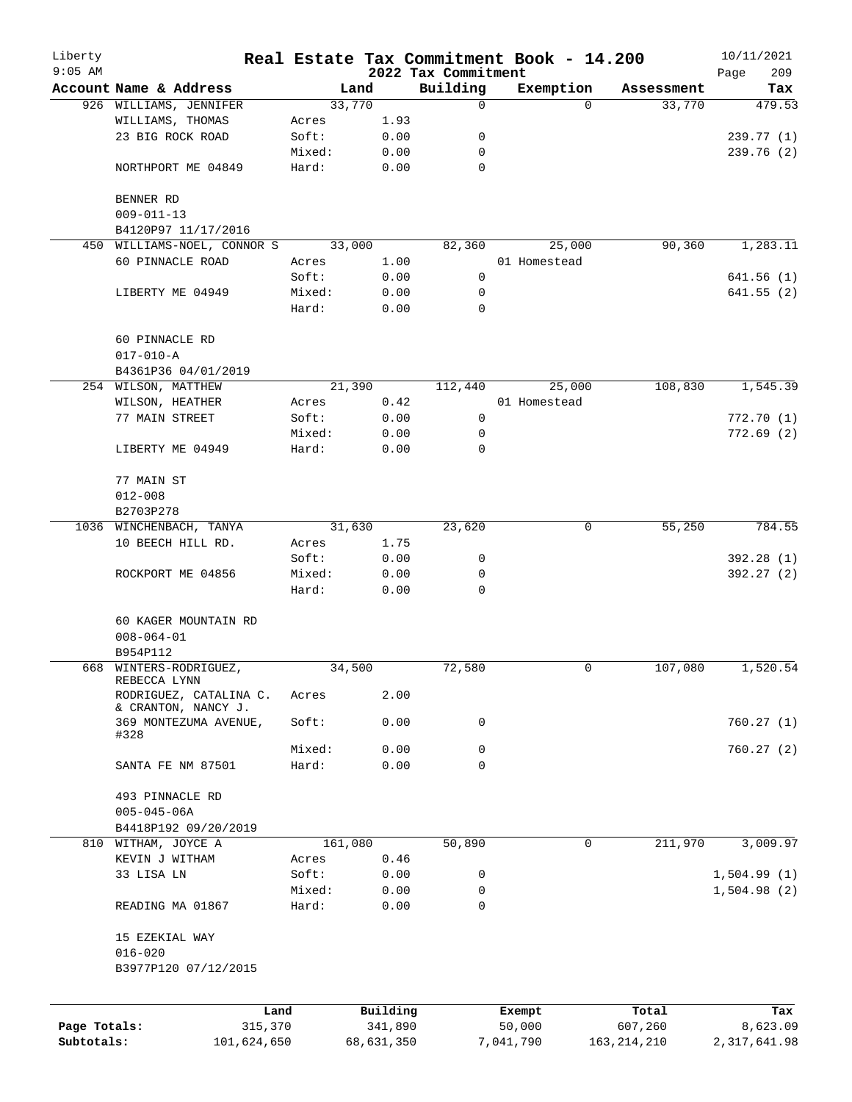| Liberty      |                               |         |            |                     | Real Estate Tax Commitment Book - 14.200 |               | 10/11/2021     |
|--------------|-------------------------------|---------|------------|---------------------|------------------------------------------|---------------|----------------|
| $9:05$ AM    |                               |         |            | 2022 Tax Commitment |                                          |               | 209<br>Page    |
|              | Account Name & Address        |         | Land       | Building            | Exemption                                | Assessment    | Tax            |
|              | 926 WILLIAMS, JENNIFER        |         | 33,770     | $\mathbf 0$         | $\Omega$                                 | 33,770        | 479.53         |
|              | WILLIAMS, THOMAS              | Acres   | 1.93       |                     |                                          |               |                |
|              | 23 BIG ROCK ROAD              | Soft:   | 0.00       | 0                   |                                          |               | 239.77(1)      |
|              |                               | Mixed:  | 0.00       | 0                   |                                          |               | 239.76(2)      |
|              | NORTHPORT ME 04849            | Hard:   | 0.00       | $\mathbf 0$         |                                          |               |                |
|              | BENNER RD                     |         |            |                     |                                          |               |                |
|              | $009 - 011 - 13$              |         |            |                     |                                          |               |                |
|              | B4120P97 11/17/2016           |         |            |                     |                                          |               |                |
| 450          | WILLIAMS-NOEL, CONNOR S       |         | 33,000     | 82,360              | 25,000                                   | 90, 360       | 1,283.11       |
|              | 60 PINNACLE ROAD              | Acres   | 1.00       |                     | 01 Homestead                             |               |                |
|              |                               | Soft:   | 0.00       | 0                   |                                          |               | 641.56(1)      |
|              | LIBERTY ME 04949              | Mixed:  | 0.00       | 0                   |                                          |               | 641.55(2)      |
|              |                               | Hard:   | 0.00       | $\mathbf 0$         |                                          |               |                |
|              | 60 PINNACLE RD                |         |            |                     |                                          |               |                |
|              | $017 - 010 - A$               |         |            |                     |                                          |               |                |
|              | B4361P36 04/01/2019           |         |            |                     |                                          |               |                |
|              | 254 WILSON, MATTHEW           |         | 21,390     | 112,440             | 25,000                                   | 108,830       | 1,545.39       |
|              | WILSON, HEATHER               | Acres   | 0.42       |                     | 01 Homestead                             |               |                |
|              | 77 MAIN STREET                | Soft:   | 0.00       | 0                   |                                          |               | 772.70(1)      |
|              |                               | Mixed:  | 0.00       | 0                   |                                          |               | 772.69(2)      |
|              | LIBERTY ME 04949              | Hard:   | 0.00       | 0                   |                                          |               |                |
|              |                               |         |            |                     |                                          |               |                |
|              | 77 MAIN ST                    |         |            |                     |                                          |               |                |
|              | $012 - 008$                   |         |            |                     |                                          |               |                |
|              | B2703P278                     |         |            |                     |                                          |               |                |
|              | 1036 WINCHENBACH, TANYA       |         | 31,630     | 23,620              | 0                                        | 55,250        | 784.55         |
|              | 10 BEECH HILL RD.             | Acres   | 1.75       |                     |                                          |               |                |
|              |                               | Soft:   | 0.00       | 0                   |                                          |               | 392.28 (1)     |
|              | ROCKPORT ME 04856             | Mixed:  | 0.00       | 0                   |                                          |               | 392.27(2)      |
|              |                               | Hard:   | 0.00       | 0                   |                                          |               |                |
|              | 60 KAGER MOUNTAIN RD          |         |            |                     |                                          |               |                |
|              | $008 - 064 - 01$              |         |            |                     |                                          |               |                |
|              | B954P112                      |         |            |                     |                                          |               |                |
|              | 668 WINTERS-RODRIGUEZ,        |         | 34,500     | 72,580              | 0                                        | 107,080       | 1,520.54       |
|              | REBECCA LYNN                  |         |            |                     |                                          |               |                |
|              | RODRIGUEZ, CATALINA C.        | Acres   | 2.00       |                     |                                          |               |                |
|              | $\&$ CRANTON, NANCY J.        |         |            |                     |                                          |               |                |
|              | 369 MONTEZUMA AVENUE,<br>#328 | Soft:   | 0.00       | 0                   |                                          |               | 760.27(1)      |
|              |                               | Mixed:  | 0.00       | 0                   |                                          |               | 760.27(2)      |
|              | SANTA FE NM 87501             | Hard:   | 0.00       | $\mathbf 0$         |                                          |               |                |
|              |                               |         |            |                     |                                          |               |                |
|              | 493 PINNACLE RD               |         |            |                     |                                          |               |                |
|              | $005 - 045 - 06A$             |         |            |                     |                                          |               |                |
|              | B4418P192 09/20/2019          |         |            |                     |                                          |               |                |
|              | 810 WITHAM, JOYCE A           | 161,080 |            | 50,890              | 0                                        | 211,970       | 3,009.97       |
|              | KEVIN J WITHAM                | Acres   | 0.46       |                     |                                          |               |                |
|              | 33 LISA LN                    | Soft:   | 0.00       | 0                   |                                          |               | 1,504.99(1)    |
|              |                               | Mixed:  | 0.00       | 0                   |                                          |               | 1,504.98(2)    |
|              | READING MA 01867              | Hard:   | 0.00       | $\Omega$            |                                          |               |                |
|              | 15 EZEKIAL WAY                |         |            |                     |                                          |               |                |
|              | $016 - 020$                   |         |            |                     |                                          |               |                |
|              | B3977P120 07/12/2015          |         |            |                     |                                          |               |                |
|              |                               |         |            |                     |                                          |               |                |
|              | Land                          |         | Building   |                     | Exempt                                   | Total         | Tax            |
| Page Totals: | 315,370                       |         | 341,890    |                     | 50,000                                   | 607,260       | 8,623.09       |
| Subtotals:   | 101,624,650                   |         | 68,631,350 |                     | 7,041,790                                | 163, 214, 210 | 2, 317, 641.98 |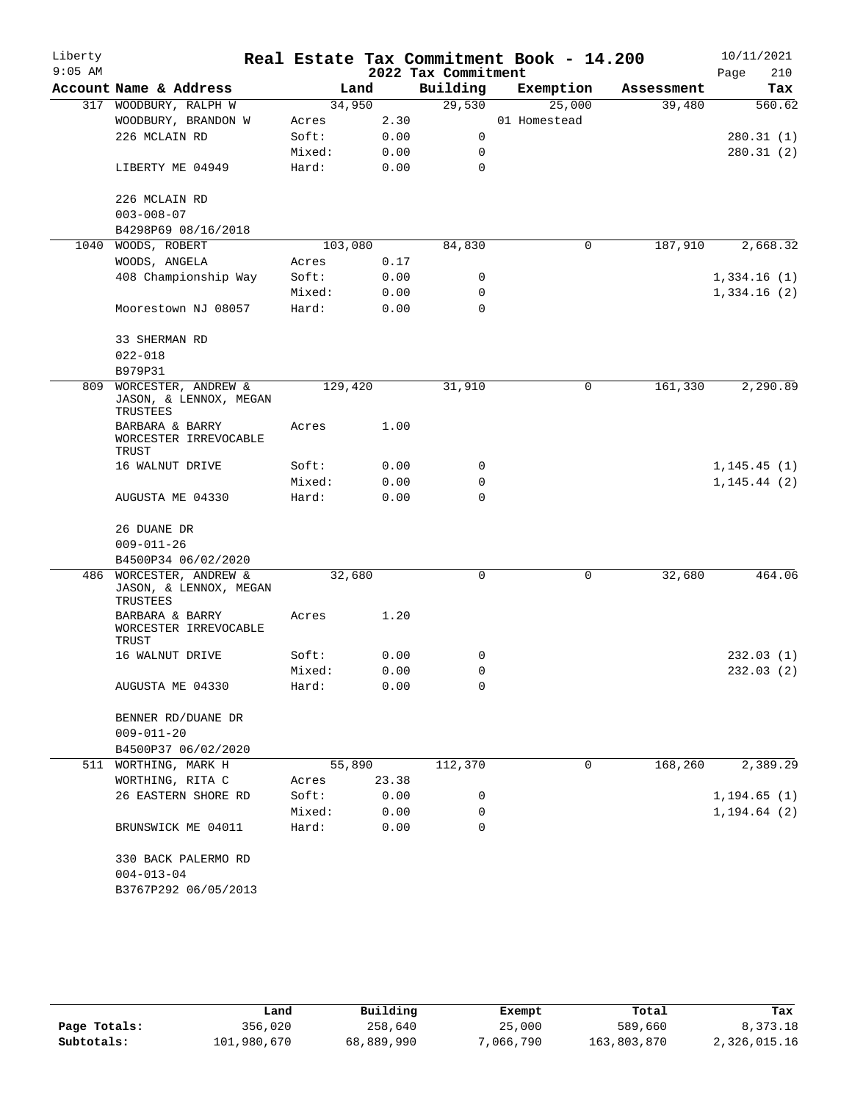| Liberty<br>$9:05$ AM |                                                               |         |       | 2022 Tax Commitment | Real Estate Tax Commitment Book - 14.200 |            | 10/11/2021<br>Page<br>210 |
|----------------------|---------------------------------------------------------------|---------|-------|---------------------|------------------------------------------|------------|---------------------------|
|                      | Account Name & Address                                        | Land    |       | Building            | Exemption                                | Assessment | Tax                       |
| 317                  | WOODBURY, RALPH W                                             | 34,950  |       | 29,530              | 25,000                                   | 39,480     | 560.62                    |
|                      | WOODBURY, BRANDON W                                           | Acres   | 2.30  |                     | 01 Homestead                             |            |                           |
|                      | 226 MCLAIN RD                                                 | Soft:   | 0.00  | 0                   |                                          |            | 280.31(1)                 |
|                      |                                                               | Mixed:  | 0.00  | 0                   |                                          |            | 280.31(2)                 |
|                      | LIBERTY ME 04949                                              | Hard:   | 0.00  | 0                   |                                          |            |                           |
|                      |                                                               |         |       |                     |                                          |            |                           |
|                      | 226 MCLAIN RD                                                 |         |       |                     |                                          |            |                           |
|                      | $003 - 008 - 07$                                              |         |       |                     |                                          |            |                           |
|                      | B4298P69 08/16/2018                                           |         |       |                     |                                          |            |                           |
| 1040                 | WOODS, ROBERT                                                 | 103,080 |       | 84,830              | 0                                        | 187,910    | 2,668.32                  |
|                      | WOODS, ANGELA                                                 | Acres   | 0.17  |                     |                                          |            |                           |
|                      | 408 Championship Way                                          | Soft:   | 0.00  | 0                   |                                          |            | 1,334.16(1)               |
|                      |                                                               | Mixed:  | 0.00  | 0                   |                                          |            | 1,334.16(2)               |
|                      | Moorestown NJ 08057                                           | Hard:   | 0.00  | 0                   |                                          |            |                           |
|                      | 33 SHERMAN RD                                                 |         |       |                     |                                          |            |                           |
|                      | $022 - 018$                                                   |         |       |                     |                                          |            |                           |
|                      | B979P31                                                       |         |       |                     |                                          |            |                           |
| 809                  | WORCESTER, ANDREW &<br>JASON, & LENNOX, MEGAN<br>TRUSTEES     | 129,420 |       | 31,910              | 0                                        | 161,330    | 2,290.89                  |
|                      | BARBARA & BARRY<br>WORCESTER IRREVOCABLE<br>TRUST             | Acres   | 1.00  |                     |                                          |            |                           |
|                      | 16 WALNUT DRIVE                                               | Soft:   | 0.00  | 0                   |                                          |            | 1, 145.45(1)              |
|                      |                                                               | Mixed:  | 0.00  | 0                   |                                          |            | 1, 145.44(2)              |
|                      | AUGUSTA ME 04330                                              | Hard:   | 0.00  | 0                   |                                          |            |                           |
|                      | 26 DUANE DR                                                   |         |       |                     |                                          |            |                           |
|                      | $009 - 011 - 26$                                              |         |       |                     |                                          |            |                           |
|                      | B4500P34 06/02/2020                                           |         |       |                     |                                          |            |                           |
|                      | 486 WORCESTER, ANDREW &<br>JASON, & LENNOX, MEGAN<br>TRUSTEES | 32,680  |       | $\Omega$            | 0                                        | 32,680     | 464.06                    |
|                      | BARBARA & BARRY<br>WORCESTER IRREVOCABLE<br>TRUST             | Acres   | 1.20  |                     |                                          |            |                           |
|                      | 16 WALNUT DRIVE                                               | Soft:   | 0.00  | 0                   |                                          |            | 232.03(1)                 |
|                      |                                                               | Mixed:  | 0.00  | 0                   |                                          |            | 232.03(2)                 |
|                      | AUGUSTA ME 04330                                              | Hard:   | 0.00  | 0                   |                                          |            |                           |
|                      | BENNER RD/DUANE DR                                            |         |       |                     |                                          |            |                           |
|                      | $009 - 011 - 20$                                              |         |       |                     |                                          |            |                           |
|                      | B4500P37 06/02/2020                                           |         |       |                     |                                          |            |                           |
| 511                  | WORTHING, MARK H                                              | 55,890  |       | 112,370             | 0                                        | 168, 260   | 2,389.29                  |
|                      | WORTHING, RITA C                                              | Acres   | 23.38 |                     |                                          |            |                           |
|                      | 26 EASTERN SHORE RD                                           | Soft:   | 0.00  | 0                   |                                          |            | 1, 194.65(1)              |
|                      |                                                               | Mixed:  | 0.00  | 0                   |                                          |            | 1, 194.64(2)              |
|                      | BRUNSWICK ME 04011                                            | Hard:   | 0.00  | 0                   |                                          |            |                           |
|                      | 330 BACK PALERMO RD<br>$004 - 013 - 04$                       |         |       |                     |                                          |            |                           |
|                      | B3767P292 06/05/2013                                          |         |       |                     |                                          |            |                           |

|              | Land        | Building   | Exempt    | Total       | Tax          |
|--------------|-------------|------------|-----------|-------------|--------------|
| Page Totals: | 356,020     | 258,640    | 25,000    | 589,660     | 8,373.18     |
| Subtotals:   | 101,980,670 | 68,889,990 | 7,066,790 | 163,803,870 | 2,326,015.16 |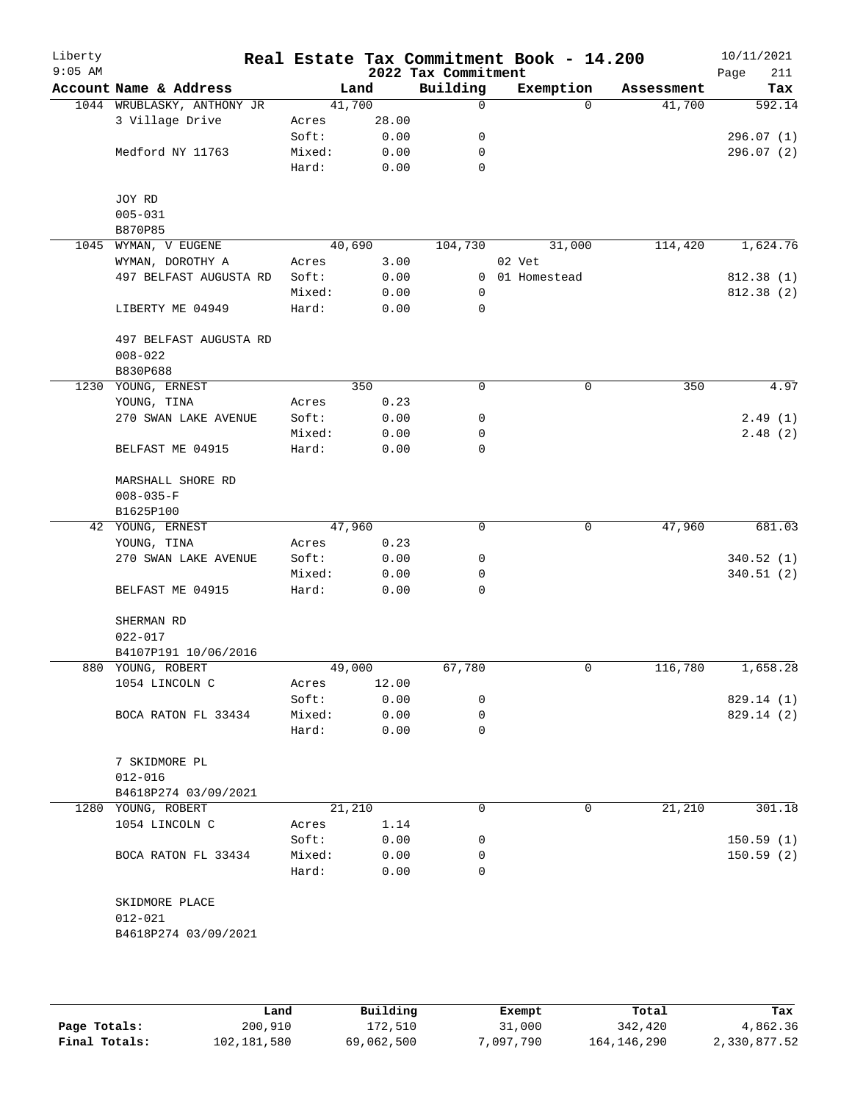| Liberty<br>$9:05$ AM |                            |        |        | 2022 Tax Commitment | Real Estate Tax Commitment Book - 14.200 |            | 10/11/2021<br>211<br>Page |
|----------------------|----------------------------|--------|--------|---------------------|------------------------------------------|------------|---------------------------|
|                      | Account Name & Address     |        | Land   | Building            | Exemption                                | Assessment | Tax                       |
|                      | 1044 WRUBLASKY, ANTHONY JR |        | 41,700 | 0                   | $\Omega$                                 | 41,700     | 592.14                    |
|                      | 3 Village Drive            | Acres  | 28.00  |                     |                                          |            |                           |
|                      |                            | Soft:  | 0.00   | 0                   |                                          |            | 296.07(1)                 |
|                      | Medford NY 11763           | Mixed: | 0.00   | 0                   |                                          |            | 296.07(2)                 |
|                      |                            | Hard:  | 0.00   | 0                   |                                          |            |                           |
|                      | JOY RD                     |        |        |                     |                                          |            |                           |
|                      | $005 - 031$                |        |        |                     |                                          |            |                           |
|                      | B870P85                    |        |        |                     |                                          |            |                           |
|                      | 1045 WYMAN, V EUGENE       |        | 40,690 | 104,730             | 31,000                                   | 114,420    | 1,624.76                  |
|                      | WYMAN, DOROTHY A           | Acres  | 3.00   |                     | 02 Vet                                   |            |                           |
|                      | 497 BELFAST AUGUSTA RD     | Soft:  | 0.00   | 0                   | 01 Homestead                             |            | 812.38(1)                 |
|                      |                            | Mixed: | 0.00   | 0                   |                                          |            | 812.38 (2)                |
|                      | LIBERTY ME 04949           | Hard:  | 0.00   | 0                   |                                          |            |                           |
|                      | 497 BELFAST AUGUSTA RD     |        |        |                     |                                          |            |                           |
|                      | $008 - 022$                |        |        |                     |                                          |            |                           |
|                      | B830P688                   |        |        |                     |                                          |            |                           |
|                      | 1230 YOUNG, ERNEST         |        | 350    | 0                   | 0                                        | 350        | 4.97                      |
|                      | YOUNG, TINA                | Acres  | 0.23   |                     |                                          |            |                           |
|                      | 270 SWAN LAKE AVENUE       | Soft:  | 0.00   | 0                   |                                          |            | 2.49(1)                   |
|                      |                            | Mixed: | 0.00   | 0                   |                                          |            | 2.48(2)                   |
|                      | BELFAST ME 04915           | Hard:  | 0.00   | 0                   |                                          |            |                           |
|                      | MARSHALL SHORE RD          |        |        |                     |                                          |            |                           |
|                      | $008 - 035 - F$            |        |        |                     |                                          |            |                           |
|                      | B1625P100                  |        |        |                     |                                          |            |                           |
|                      | 42 YOUNG, ERNEST           |        | 47,960 | $\mathbf 0$         | $\mathbf 0$                              | 47,960     | 681.03                    |
|                      | YOUNG, TINA                | Acres  | 0.23   |                     |                                          |            |                           |
|                      | 270 SWAN LAKE AVENUE       | Soft:  | 0.00   | 0                   |                                          |            | 340.52 (1)                |
|                      |                            | Mixed: | 0.00   | 0                   |                                          |            | 340.51(2)                 |
|                      | BELFAST ME 04915           | Hard:  | 0.00   | 0                   |                                          |            |                           |
|                      | SHERMAN RD                 |        |        |                     |                                          |            |                           |
|                      | $022 - 017$                |        |        |                     |                                          |            |                           |
|                      | B4107P191 10/06/2016       |        |        |                     |                                          |            |                           |
|                      | 880 YOUNG, ROBERT          |        | 49,000 | 67,780              | 0                                        | 116,780    | 1,658.28                  |
|                      | 1054 LINCOLN C             | Acres  | 12.00  |                     |                                          |            |                           |
|                      |                            | Soft:  | 0.00   | 0                   |                                          |            | 829.14 (1)                |
|                      | BOCA RATON FL 33434        | Mixed: | 0.00   | 0                   |                                          |            | 829.14 (2)                |
|                      |                            | Hard:  | 0.00   | 0                   |                                          |            |                           |
|                      | 7 SKIDMORE PL              |        |        |                     |                                          |            |                           |
|                      | $012 - 016$                |        |        |                     |                                          |            |                           |
|                      | B4618P274 03/09/2021       |        |        |                     |                                          |            |                           |
|                      | 1280 YOUNG, ROBERT         |        | 21,210 | 0                   | 0                                        | 21,210     | 301.18                    |
|                      | 1054 LINCOLN C             | Acres  | 1.14   |                     |                                          |            |                           |
|                      |                            | Soft:  | 0.00   | 0                   |                                          |            | 150.59(1)                 |
|                      | BOCA RATON FL 33434        | Mixed: | 0.00   | 0                   |                                          |            | 150.59(2)                 |
|                      |                            | Hard:  | 0.00   | $\Omega$            |                                          |            |                           |
|                      | SKIDMORE PLACE             |        |        |                     |                                          |            |                           |
|                      | $012 - 021$                |        |        |                     |                                          |            |                           |
|                      | B4618P274 03/09/2021       |        |        |                     |                                          |            |                           |
|                      |                            |        |        |                     |                                          |            |                           |

|               | Land        | Building   | Exempt    | Total       | Tax          |
|---------------|-------------|------------|-----------|-------------|--------------|
| Page Totals:  | 200,910     | 172,510    | 31,000    | 342,420     | 4,862.36     |
| Final Totals: | 102,181,580 | 69,062,500 | 7,097,790 | 164,146,290 | 2,330,877.52 |